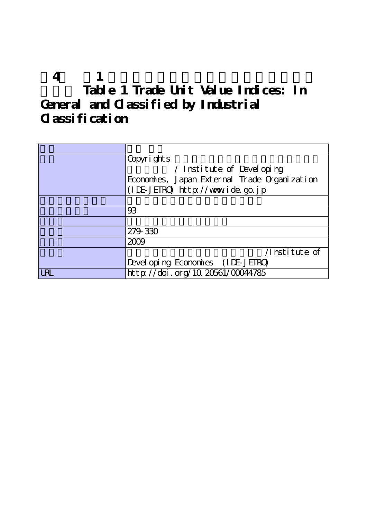|                     | 'Copyrights                                  |
|---------------------|----------------------------------------------|
|                     | / Institute of Developing                    |
|                     | Economies, Japan External Trade Organization |
|                     | (IDE-JEIRO) http://www.ide.go.jp             |
|                     |                                              |
|                     | 93                                           |
|                     |                                              |
|                     | 279-330                                      |
|                     | 2009                                         |
|                     | /Institute of                                |
|                     | Devel oping Economies (IDE-JETRO)            |
| $  \mathrm{U\!R}  $ | http://doi.org/10.20561/00044785             |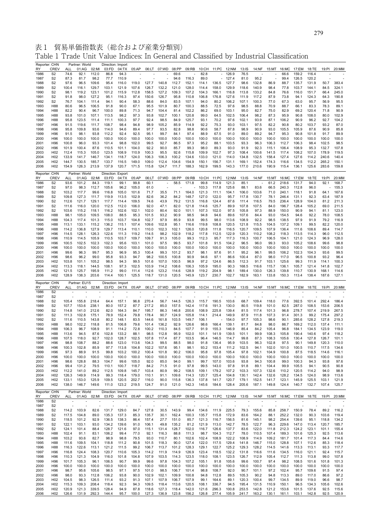表 1 貿易単価指数表(総合および産業分類別) Table 1 Trade Unit Value Indices: In General and Classified by Industrial Classification

| Reporter: CHN<br>RY | <b>CREV</b>                        | ALL                      | Partner: World<br>01:AG | 02:MI          | Direction: Import<br>03:FD       | 04:TX          | 05:AP          |                | 06:LT 07:WD 08:PP                         |                | 09:RB          |                | 10:CH 11:PC 12:NM   |                | 13:1S          | 14:NF          |                | 15:MT 16:MC 17:EM          |                | 18:TE          | 19:PI          | 20:MM          |
|---------------------|------------------------------------|--------------------------|-------------------------|----------------|----------------------------------|----------------|----------------|----------------|-------------------------------------------|----------------|----------------|----------------|---------------------|----------------|----------------|----------------|----------------|----------------------------|----------------|----------------|----------------|----------------|
| 1986                | S <sub>2</sub>                     | 74.6                     | 92.1                    | 112.0          | 86.8                             | 94.3           |                |                |                                           | 69.6           |                | 82.8           |                     | 126.9          | 76.5           |                |                | 66.6                       | 159.2          | 116.4          |                |                |
| 1987                | S <sub>2</sub>                     | 87.3                     | 81.7                    | 98.2           | 77.7                             | 110.9          |                |                |                                           | 94.6           | 116.3          | 89.0           |                     | 127.4          | 81.0           | 95.2           |                | 99.4                       | 126.5          | 120.2          |                |                |
| 1988<br>1989        | S <sub>2</sub><br>S <sub>2</sub>   | 97.6<br>100.4            | 96.5<br>116.1           | 109.6<br>129.7 | 95.4<br>103.1                    | 116.0<br>121.9 | 119.0<br>107.6 | 127.7<br>126.7 | 140.8<br>132.2                            | 112.7<br>121.0 | 152.1<br>128.0 | 114.1<br>114.4 | 136.5<br>158.0      | 127.7<br>129.9 | 98.6<br>118.6  | 132.8<br>140.9 | 86.9<br>98.4   | 88.7<br>77.8               | 135.7<br>103.7 | 131.9<br>144.1 | 50.7<br>84.5   | 383.4<br>324.1 |
| 1990                | S <sub>2</sub>                     | 98.1                     | 119.2                   | 123.1          | 101.2                            | 115.9          | 112.8          | 158.5          | 127.2                                     | 109.3          | 107.2          | 104.3          | 166.1               | 116.8          | 113.8          | 133.2          | 84.8           | 76.6                       | 116.0          | 151.7          | 66.4           | 245.0          |
| 1991                | S <sub>2</sub>                     | 91.8                     | 98.0                    | 127.2          | 95.1                             | 116.3          | 97.4           | 150.6          | 126.7                                     | 95.8           | 110.8          | 106.8          | 176.8               | 127.6          | 111.9          | 117.2          | 87.9           | 73.8                       | 94.1           | 124.3          | 64.3           | 190.8          |
| 1992<br>1993        | S <sub>2</sub><br>H88              | 76.7<br>80.6             | 104.1<br>96.5           | 111.4<br>106.5 | 94.1<br>91.8                     | 90.4<br>90.0   | 58.3<br>67.1   | 88.6<br>95.5   | 84.0<br>101.9                             | 83.5<br>80.7   | 107.1<br>100.3 | 94.0<br>88.5   | 80.2<br>72.5        | 106.2<br>97.6  | 107.1<br>98.5  | 100.3<br>88.8  | 77.0<br>70.9   | 67.3<br>88.7               | 63.0<br>66.1   | 95.7<br>83.3   | 56.9           | 95.5<br>89.1   |
| 1994                | H88                                | 82.2                     | 90.4                    | 96.7           | 100.0                            | 89.8           | 71.3           | 94.7           | 104.4                                     | 81.4           | 102.2          | 86.2           | 69.0                | 103.1          | 95.0           | 82.7           | 75.0           | 82.9                       | 69.2           | 120.4          | 78.3<br>71.8   | 90.9           |
| 1995                | H88                                | 93.8                     | 101.0                   | 107.1          | 113.5                            | 98.2           | 97.3           | 93.8           | 102.7                                     | 100.1          | 120.8          | 99.0           | 64.5                | 102.5          | 106.4          | 98.2           | 87.3           | 95.9                       | 90.8           | 108.0          | 80.0           | 102.9          |
| 1996                | H88                                | 95.8                     | 123.5                   | 111.4          | 111.1                            | 100.3          | 97.7           | 92.4           | 98.5                                      | 84.9           | 125.7          | 93.1           | 70.2                | 97.6           | 102.1          | 93.9           | 87.1           | 106.2                      | 90.9           | 96.2           | 92.7           | 104.2          |
| 1997<br>1998        | H96<br>H96                         | 91.5<br>95.8             | 119.6<br>109.8          | 111.7<br>93.6  | 108.7<br>114.0                   | 98.4<br>94.6   | 94.8<br>89.4   | 98.9<br>97.7   | 105.2<br>93.5                             | 85.9<br>82.8   | 114.9<br>98.8  | 92.2<br>90.6   | 75.3<br>58.7        | 93.0<br>87.8   | 103.1<br>98.9  | 97.5<br>90.9   | 82.2<br>93.0   | 90.8<br>105.5              | 80.2<br>105.9  | 103.7<br>87.6  | 93.2<br>90.9   | 87.0<br>85.8   |
| 1999                | H96                                | 91.5                     | 98.1                    | 93.8           | 112.2                            | 92.4           | 92.5           | 95.1           | 99.7                                      | 84.1           | 97.4           | 88.9           | 67.5                | 91.0           | 89.0           | 89.2           | 94.7           | 95.3                       | 90.8           | 101.8          | 91.7           | 89.9           |
| 2000                | H <sub>96</sub>                    | 100.0                    | 100.0                   | 100.0          | 100.0                            | 100.0          | 100.0          | 100.0          | 100.0                                     | 100.0          | 100.0          | 100.0          | 100.0               | 100.0          | 100.0          | 100.0          | 100.0          | 100.0                      | 100.0          | 100.0          | 100.0          | 100.0          |
| 2001<br>2002        | H <sub>96</sub><br>H96             | 100.8<br>101.9           | 96.0<br>100.4           | 93.3<br>87.6   | 101.4<br>110.5                   | 98.8<br>101.1  | 102.0<br>104.0 | 99.5<br>92.2   | 92.7<br>90.0                              | 86.5<br>85.7   | 97.3<br>99.3   | 95.2<br>98.0   | 88.1<br>89.3        | 103.5<br>93.0  | 93.3<br>91.9   | 96.3<br>92.3   | 106.3<br>115.1 | 112.7<br>106.4             | 106.3<br>108.9 | 98.4<br>95.3   | 102.5<br>132.7 | 98.5<br>107.8  |
| 2003                | H <sub>02</sub>                    | 112.4                    | 115.3                   | 105.0          | 123.5                            | 108.9          | 110.9          | 100.3          | 95.5                                      | 92.6           | 115.8          | 109.9          | 102.7               | 97.3           | 108.4          | 100.6          | 141.5          | 117.4                      | 108.2          | 107.0          | 178.9          | 119.5          |
| 2004                | H <sub>02</sub>                    | 133.9                    | 141.7                   | 146.7          | 134.1                            | 118.7          | 124.0          | 106.3          | 106.3                                     | 100.2          | 134.6          | 133.0          | 121.0               | 114.0          | 134.8          | 132.5          | 158.4          | 127.4                      | 127.6          | 114.2          | 240.6          | 140.4          |
| 2005                | H <sub>02</sub>                    | 144.7                    | 130.5                   | 185.7          | 133.7                            | 116.5          | 149.0          | 109.0          | 112.4                                     | 104.6          | 154.9          | 150.1          | 156.7               | 131.1          | 169.1          | 152.4          | 174.3          | 116.6                      | 134.5          | 112.2          | 265.2          | 150.1          |
| 2006                | H <sub>02</sub>                    | 154.9                    | 126.3                   | 213.9          | 137.9                            | 120.7          | 171.5          | 115.8          | 124.7                                     | 111.7          | 188.3          | 162.9          | 199.5               | 143.3          | 177.0          | 210.6          | 190.9          | 115.4                      | 136.1          | 125.6          | 283.6          | 159.8          |
| Reporter: CHN<br>RY | <b>CREV</b>                        | ALL                      | Partner: World<br>01:AG | 02:MI          | Direction: Export<br>03:FD       | 04:TX          | 05:AP          | 06:LT          | 07:WD 08:PP                               |                | 09:RB          | 10:CH          | 11:PC               | 12:NM          | 13:1S          | 14:NF          | 15:MT          | 16:MC                      | 17:EM          | 18:TE          | 19:PI          | 20:MM          |
| 1986                | S <sub>2</sub>                     | 93.6                     | 101.2                   | 84.3           | 119.1                            | 99.1           | 99.8           | 60.1           |                                           | 58.5           | 171.8          | 99.8           | 114.9               | 121.3          | 85.1           |                | 61.2           | 218.6                      | 131.7          | 94.0           | 92.1           | 168.7          |
| 1987                | S <sub>2</sub>                     | 97.0                     | 98.3                    | 112.7          | 105.6                            | 96.2           | 105.0          | 61.0           |                                           |                |                | 103.3          | 117.8               | 125.6          | 88.1           | 83.6           | 66.5           | 240.3                      | 112.8          | 96.0           |                | 155.3          |
| 1988                | S <sub>2</sub>                     | 103.2<br>109.8           | 117.7<br>127.3          | 99.6<br>111.7  | 116.8<br>119.9                   | 105.0<br>113.5 | 101.6          | 71.7           | 35.5<br>36.2                              | 71.1           | 164.0<br>148.7 | 121.3          | 111.1<br>122.0      | 104.1          | 106.0          | 103.6          | 71.0           | 240.1                      | 118.1          | 91.8<br>92.3   | 64.1           | 167.6          |
| 1989<br>1990        | S <sub>2</sub><br>S <sub>2</sub>   | 112.6                    | 121.7                   | 129.1          | 117.7                            | 114.4          | 102.9<br>109.5 | 82.6<br>74.6   | 43.9                                      | 84.2<br>79.2   | 131.5          | 127.0<br>116.8 | 124.4               | 95.7<br>87.6   | 117.8<br>111.4 | 130.7<br>116.5 | 78.1<br>79.5   | 246.4<br>236.4             | 131.1<br>128.9 | 104.0          | 63.4<br>81.2   | 187.9<br>211.3 |
| 1991                | S <sub>2</sub>                     | 111.6                    | 116.0                   | 120.0          | 112.5                            | 112.0          | 106.0          | 92.0           | 47.1                                      | 82.0           | 121.8          | 114.6          | 125.7               | 89.9           | 107.8          | 107.5          | 84.0           | 196.7                      | 128.4          | 105.2          | 69.0           | 211.5          |
| 1992                | S <sub>2</sub>                     | 103.6                    | 115.2                   | 118.1          | 116.2                            | 102.6          | 102.1          | 102.0          | 80.4                                      | 92.0           | 101.1          | 107.3          | 102.0               | 97.5           | 105.8          | 97.3           | 88.9           | 150.0                      | 90.9           | 94.1           | 81.1           | 123.0          |
| 1993<br>1994        | H88<br>H88                         | 98.1<br>104.3            | 105.0<br>117.4          | 109.5<br>101.3 | 108.0<br>115.0                   | 88.5<br>103.7  | 95.3<br>104.8  | 101.5<br>102.7 | 93.2<br>97.9                              | 90.9<br>85.9   | 98.5<br>93.8   | 94.8<br>99.5   | 94.6<br>98.0        | 89.6<br>113.6  | 107.6<br>108.9 | 84.4<br>92.2   | 93.0<br>98.5   | 154.5<br>138.5             | 94.6<br>97.9   | 92.2<br>91.9   | 78.0<br>79.2   | 108.5<br>116.9 |
| 1995                | H88                                | 113.1                    | 133.1                   | 115.2          | 136.2                            | 115.1          | 107.4          | 109.6          | 102.8                                     | 95.1           | 116.6          | 119.8          | 108.8               | 120.5          | 121.8          | 115.5          | 104.5          | 137.2                      | 109.1          | 99.5           | 82.2           | 120.0          |
| 1996                | H88                                | 114.2                    | 136.8                   | 127.9          | 129.7                            | 113.4          | 110.1          | 110.0          | 102.3                                     | 102.1          | 126.0          | 120.8          | 111.8               | 116.5          | 120.7          | 109.5          | 107.9          | 136.4                      | 111.6          | 108.6          | 89.4           | 114.7          |
| 1997<br>1998        | H <sub>96</sub>                    | 114.5<br>110.9           | 128.1<br>114.5          | 126.3<br>105.9 | 122.6<br>110.5                   | 111.3<br>103.7 | 119.2<br>109.7 | 114.5<br>109.7 | 98.2<br>91.3                              | 102.9<br>105.0 | 118.2<br>99.3  | 117.8<br>112.3 | 112.5<br>95.7       | 122.9<br>117.3 | 120.3<br>116.3 | 110.2<br>100.7 | 108.2<br>106.5 | 118.3<br>104.1             | 113.5<br>121.0 | 114.3<br>124.3 | 96.0<br>96.9   | 112.5<br>128.0 |
| 1999                | H <sub>96</sub><br>H96             | 100.5                    | 102.5                   | 102.3          | 102.3                            | 95.6           | 103.1          | 101.0          | 97.5                                      | 99.5           | 93.7           | 101.8          | 91.5                | 104.2          | 96.5           | 96.0           | 99.3           | 93.0                       | 105.2          | 108.6          | 99.6           | 98.8           |
| 2000                | H96                                | 100.0                    | 100.0                   | 100.0          | 100.0                            | 100.0          | 100.0          | 100.0          | 100.0                                     | 100.0          | 100.0          | 100.0          | 100.0               | 100.0          | 100.0          | 100.0          | 100.0          | 100.0                      | 100.0          | 100.0          | 100.0          | 100.0          |
| 2001                | H96                                | 99.6                     | 96.3                    | 99.7           | 95.3                             | 96.9           | 95.3           | 100.4          | 99.3                                      | 101.2          | 93.7           | 98.1           | 97.6                | 91.1           | 95.2           | 96.1           | 99.5           | 106.2                      | 102.3          | 104.3          | 93.6           | 99.5           |
| 2002<br>2003        | H96<br>H <sub>02</sub>             | 98.6<br>103.8            | 96.2<br>101.1           | 99.0<br>105.2  | 95.8<br>98.5                     | 93.3<br>94.3   | 94.7<br>99.5   | 98.2<br>101.6  | 100.5<br>107.0                            | 100.8<br>100.5 | 90.9<br>96.9   | 94.6<br>97.2   | 97.1<br>124.6       | 86.6<br>86.5   | 100.4<br>112.3 | 87.0<br>91.7   | 98.0<br>103.1  | 117.0<br>125.6             | 96.5<br>99.3   | 100.8<br>111.9 | 93.2<br>114.1  | 96.4<br>100.3  |
| 2004                | H <sub>02</sub>                    | 113.3                    | 118.1                   | 144.5          | 108.1                            | 97.3           | 102.5          | 103.9          | 114.2                                     | 108.6          | 106.3          | 105.9          | 195.0               | 90.3           | 168.5          | 116.6          | 115.7          | 136.1                      | 105.7          | 121.4          | 141.8          | 102.7          |
| 2005                | H <sub>02</sub>                    | 121.5                    | 125.7                   | 195.9          | 111.2                            | 99.0           | 111.4          | 112.6          | 123.2                                     | 114.6          | 128.9          | 119.2          | 204.9               | 98.1           | 189.4          | 130.0          | 126.3          | 139.8                      | 110.7          | 130.9          | 168.1          | 114.6          |
| 2006                | H <sub>02</sub>                    | 128.9                    | 138.3                   | 203.6          | 114.4                            | 100.1          | 125.5          | 118.7          | 131.0                                     | 120.5          | 145.9          | 123.7          | 230.7               | 102.7          | 182.9          | 163.1          | 133.8          | 150.3                      | 113.4          | 138.4          | 187.6          | 127.1          |
|                     |                                    |                          |                         |                |                                  |                |                |                |                                           |                |                |                |                     |                |                |                |                |                            |                |                |                |                |
| Reporter: CHN       |                                    |                          | Partner: EU15           |                | Direction: Import                |                |                |                |                                           |                |                |                |                     |                |                |                |                |                            |                |                |                |                |
| RY<br>1986          | <b>CREV</b><br>S <sub>2</sub>      | ALL                      | 01:AG                   | 02:MI          | 03:FD                            | 04:TX          | 05:AP          | 06:LT          | 07:WD 08:PP 09:RB                         |                |                |                | 10:CH  11:PC  12:NM |                | 13:1S          | 14:NF          |                | 15:MT 16:MC 17:EM          |                | 18:TE          | 19:PI          | 20:MM          |
| 1987                | S <sub>2</sub>                     |                          |                         |                |                                  |                |                |                |                                           |                |                |                |                     |                |                |                |                |                            |                |                |                |                |
| 1988                | S <sub>2</sub>                     | 105.4                    | 155.8                   | 218.4          | 64.4                             | 157.1          | 96.8           | 270.4          | 56.7                                      | 144.5          | 126.3          | 115.7          | 190.5               | 103.6          | 68.7           | 109.4          | 118.0          | 77.6                       | 392.5          | 101.4          | 292.4          | 186.4          |
| 1989<br>1990        | S <sub>2</sub><br>S <sub>2</sub>   | 107.7<br>114.8           | 153.6<br>141.0          | 238.1<br>212.6 | 80.0<br>82.0                     | 157.2<br>164.3 | 87.7<br>84.7   | 217.2<br>195.7 | 85.0<br>86.3                              | 157.5<br>146.8 | 142.4<br>200.6 | 117.6<br>108.9 | 191.3<br>225.8      | 130.0<br>139.4 | 80.5<br>81.5   | 119.8<br>117.4 | 101.0<br>101.3 | 82.5<br>96.8               | 287.0<br>278.7 | 108.5<br>107.4 | 153.6<br>219.9 | 206.5<br>267.5 |
| 1991                | S <sub>2</sub>                     | 111.3                    | 102.8                   | 175.1          | 78.9                             | 152.4          | 79.8           | 178.4          | 90.7                                      | 124.9          | 105.8          | 114.1          | 214.4               | 149.9          | 87.9           | 111.8          | 107.3          | 91.4                       | 301.3          | 99.2           | 175.4          | 297.2          |
| 1992                | S <sub>2</sub>                     | 111.6                    | 110.5                   | 143.8          | 80.2                             | 148.1          | 83.5           | 144.6          | 161.8                                     | 103.5          | 149.7          | 106.1          |                     | 154.0          | 97.7           | 105.3          | 98.6           | 90.1                       | 285.6          | 128.2          | 127.8          | 219.3          |
| 1993                | H88                                | 98.0                     | 102.2                   | 118.8          | 81.5                             | 106.8          | 79.6           | 101.4          | 136.2                                     | 92.9           | 126.6          | 98.6           | 166.4               | 139.1          | 81.7           | 84.8           | 98.0           | 86.7                       | 169.2          | 112.0          | 137.4          | 111.1          |
| 1994<br>1995        | H88<br>H88                         | 106.3<br>113.6           | 96.7<br>94.5            | 108.9<br>87.6  | 91.1<br>102.8                    | 114.2<br>133.2 | 72.8<br>88.1   | 100.2<br>98.5  | 110.3<br>112.8                            | 84.5<br>95.9   | 107.7<br>102.0 | 91.9<br>101.1  | 155.3<br>141.9      | 146.9<br>139.5 | 85.4<br>101.1  | 84.2<br>99.9   | 105.4<br>108.3 | 96.8<br>105.8              | 184.1<br>190.4 | 134.5<br>140.6 | 123.9<br>97.4  | 119.0<br>118.2 |
| 1996                | H88                                | 107.5                    | 118.0                   | 92.7           | 102.0                            | 128.7          | 102.5 107.8    |                | 117.4                                     | 87.7           | 103.5          | 96.4           | 146.5               | 114.7          | 99.8           | 87.3           | 108.3          | 105.6                      | 130.4          | 127.8 126.7    |                | 101.1          |
| 1997                | H96                                | 98.8                     | 108.7                   | 88.2           | 88.6                             | 123.0          | 113.6          | 104.3          | 99.5                                      | 88.5           | 98.0           | 91.8           | 136.4               | 95.9           | 103.5          | 96.3           | 102.8          | 97.5                       | 90.1           | 149.8          | 120.3          | 110.0          |
| 1998<br>1999        | H96<br>H96                         | 100.3<br>97.3            | 102.8<br>88.9           | 85.9<br>91.5   | 97.7<br>99.8                     | 113.8<br>103.2 | 104.8<br>100.2 | 102.2<br>100.4 | 107.6<br>101.8                            | 95.1<br>90.2   | 98.1<br>106.0  | 93.2<br>95.8   | 153.4<br>97.8       | 111.2<br>105.4 | 102.5<br>97.8  | 94.1<br>102.1  | 102.0<br>104.9 | 101.0<br>100.8             | 100.5<br>87.5  | 110.7<br>118.5 | 117.5<br>114.6 | 134.6<br>116.1 |
| 2000                | H96                                | 100.0                    | 100.0                   | 100.0          | 100.0                            | 100.0          | 100.0          | 100.0          | 100.0                                     | 100.0          | 100.0          | 100.0          | 100.0               | 100.0          | 100.0          | 100.0          | 100.0          | 100.0                      | 100.0          | 100.0          | 100.0          | 100.0          |
| 2001                | H96                                | 98.6                     | 128.8                   | 88.3           | 104.7                            | 99.6           | 105.0          | 92.0           | 85.0                                      | 94.0           | 99.1           | 99.7           | 107.0               | 103.6          | 93.8           | 94.3           | 100.8          | 99.0                       | 100.3          | 94.3           | 93.8           | 97.6           |
| 2002<br>2003        | H96<br>H <sub>02</sub>             | 99.4<br>112.2            | 131.2<br>141.0          | 79.5<br>89.2   | 110.1<br>112.5                   | 100.7<br>109.8 | 118.7<br>145.7 | 84.2<br>103.4  | 71.5<br>80.9                              | 91.0<br>99.2   | 97.8<br>108.5  | 99.5<br>109.1  | 143.0<br>179.2      | 97.8<br>107.2  | 91.8<br>103.3  | 89.1<br>107.3  | 104.4<br>132.6 | 99.9<br>110.2              | 105.5<br>120.5 | 94.1<br>114.2  | 90.5<br>94.0   | 90.8<br>98.9   |
| 2004                | H <sub>02</sub>                    | 126.3                    | 149.9                   | 114.9          | 99.3                             | 118.4          | 179.0          | 110.1          | 91.1                                      | 109.6          | 114.3          | 120.7          | 125.4               | 104.8          | 130.1          | 142.4          | 132.6          | 128.2                      | 134.5          | 124.0          | 98.9           | 113.6          |
| 2005                | H <sub>02</sub>                    | 133.1                    | 153.0                   | 125.9          | 109.5                            | 120.5          | 202.7          | 116.0          | 90.0                                      | 115.8          | 136.3          | 137.8          | 141.7               | 120.7          | 179.1          | 152.5          | 141.7          | 123.1                      | 145.9          | 125.5          | 103.1          | 121.9          |
| 2006                | H <sub>02</sub>                    | 138.0                    | 146.7                   | 149.6          | 111.0                            | 123.2          | 219.5          | 124.7          | 91.0                                      | 121.0          | 142.3          | 145.6          | 184.6               | 128.4          | 205.6          | 187.1          | 149.8          | 124.4                      | 140.7          | 132.7          | 107.4          | 125.7          |
| Reporter: CHN<br>RY | <b>CREV</b>                        | ALL                      | Partner: World<br>01:AG | 02:MI          | Direction: Import<br>03:FD 04:TX |                | 05:AP          |                | 06:LT 07:WD 08:PP 09:RB 10:CH 11:PC 12:NM |                |                |                |                     |                | $13:$ IS       |                |                | 14:NF  15:MT  16:MC  17:EM |                | 18:TE          | 19:PI          | 20:MM          |
| 1986                | S <sub>2</sub>                     | $\overline{\phantom{a}}$ |                         |                |                                  |                |                |                |                                           |                |                |                |                     |                |                |                |                |                            |                |                |                |                |
| 1987                | S <sub>2</sub>                     |                          |                         |                |                                  |                |                |                |                                           |                |                |                |                     |                |                |                |                |                            |                |                |                |                |
| 1988<br>1989        | S <sub>2</sub><br>S <sub>2</sub>   | 114.2<br>117.5           | 103.9<br>104.8          | 82.6<br>89.0   | 131.7<br>135.3                   | 129.0<br>137.3 | 84.7<br>85.3   | 127.8<br>135.7 | 30.5<br>30.1                              | 143.9<br>162.4 | 99.4<br>100.3  | 134.6<br>135.7 | 111.9<br>115.8      | 225.5<br>172.9 | 79.3<br>83.6   | 155.6<br>164.2 | 85.8<br>88.1   | 258.7<br>252.2             | 150.9<br>132.0 | 78.4<br>90.3   | 89.2<br>103.6  | 116.2<br>119.4 |
| 1990                | S <sub>2</sub>                     | 118.5                    | 101.2                   | 92.9           | 136.5                            | 138.3          | 86.4           | 157.4          | 27.7                                      | 151.0          | 85.7           | 121.3          | 116.7               | 156.5          | 81.6           | 145.1          | 98.2           | 254.4                      | 139.6          | 95.1           | 118.8          | 134.2          |
| 1991                | S <sub>2</sub>                     | 122.1                    | 103.1                   | 93.0           | 134.2                            | 139.6          | 91.0           | 106.1          | 49.8                                      | 135.2          | 81.2           | 121.9          | 113.0               | 142.7          | 78.5           | 122.7          | 96.3           | 229.6                      | 147.0          | 113.4          | 120.7          | 185.7          |
| 1992                | S <sub>2</sub>                     | 124.1                    | 101.4                   | 88.4           | 128.7                            | 121.6          | 97.0           | 115.1          | 131.4                                     | 128.7          | 102.0          | 116.7          | 126.6               | 137.7          | 83.6           | 122.0          | 111.8          | 212.3                      | 124.2          | 123.1          | 101.1          | 155.4          |
| 1993<br>1994        | H88<br>H88                         | 102.4<br>103.2           | 91.1<br>93.6            | 83.1<br>82.7   | 106.2<br>98.9                    | 99.4<br>98.8   | 77.0<br>79.5   | 92.1<br>93.0   | 116.3<br>110.7                            | 88.8<br>80.1   | 111.3<br>102.6 | 98.7<br>102.4  | 104.3<br>108.9      | 112.7<br>122.2 | 78.0<br>108.9  | 110.5<br>114.9 | 107.4<br>109.2 | 189.3<br>181.7             | 101.6<br>101.4 | 125.3<br>117.3 | 92.5<br>84.4   | 113.6<br>114.6 |
| 1995                | H88                                | 111.6                    | 109.5                   | 104.1          | 118.8                            | 111.2          | 90.8           | 101.5          | 118.3                                     | 90.0           | 127.4          | 122.0          | 117.5               | 129.4          | 141.8          | 146.7          | 115.0          | 128.8                      | 107.1          | 112.6          | 85.3           | 118.4          |
| 1996                | H88                                | 116.3                    | 122.6                   | 113.1          | 121.2                            | 111.5          | 99.2           | 106.7          | 113.7                                     | 101.2          | 128.3          | 129.1          | 122.7               | 125.2          | 129.3          | 128.2          | 114.5          | 141.6                      | 113.3          | 113.1          | 93.3           | 117.7          |
| 1997<br>1998        | H96<br>H96                         | 116.8<br>110.3           | 124.4<br>121.3          | 108.3<br>104.9 | 120.7<br>116.0                   | 110.6<br>101.8 | 105.3<br>104.8 | 114.2<br>107.9 | 111.9<br>103.5                            | 114.9<br>114.3 | 126.9<br>123.5 | 123.4<br>118.0 | 118.5<br>108.1      | 132.2<br>123.5 | 131.8<br>126.7 | 116.6<br>112.9 | 111.6<br>105.4 | 134.5<br>112.7             | 116.0<br>111.3 | 121.1<br>113.8 | 92.4<br>99.0   | 115.7<br>107.8 |
| 1999                | H96                                | 101.7                    | 105.3                   | 96.1           | 106.5                            | 90.7           | 99.9           | 99.6           | 97.8                                      | 104.3          | 107.2          | 105.1          | 91.8                | 105.6          | 99.6           | 100.7          | 97.4           | 98.2                       | 108.5          | 101.6          | 101.8          | 101.3          |
| 2000                | H96                                | 100.0                    | 100.0                   | 100.0          | 100.0                            | 100.0          | 100.0          | 100.0          | 100.0                                     | 100.0          | 100.0          | 100.0          | 100.0               | 100.0          | 100.0          | 100.0          | 100.0          | 100.0                      | 100.0          | 100.0          | 100.0          | 100.0          |
| 2001                | H96<br>H96                         | 98.7                     | 95.6<br>93.3            | 105.6          | 98.5                             | 97.1           | 97.5           | 101.0          | 98.5                                      | 106.7          | 101.4          | 98.8           | 108.7               | 92.0<br>89.5   | 90.7           | 101.1          | 97.2           | 102.4                      | 95.7<br>89.0   | 109.6          | 91.5           | 97.4           |
| 2002<br>2003        | H <sub>02</sub>                    | 98.0<br>104.5            | 98.3                    | 112.8<br>126.5 | 106.2<br>111.4                   | 93.8<br>93.2   | 90.0<br>91.3   | 102.9<br>107.1 | 102.1<br>107.9                            | 109.9<br>106.7 | 100.8<br>107.9 | 94.8<br>99.1   | 112.8<br>164.6      | 89.1           | 105.3<br>120.3 | 90.2<br>100.4  | 94.8<br>99.7   | 113.3<br>134.5             | 89.9           | 117.0<br>119.0 | 86.6<br>96.6   | 97.2<br>98.7   |
| 2004<br>2005        | H <sub>02</sub><br>H <sub>02</sub> | 115.3<br>120.9           | 109.3<br>121.3          | 208.4<br>339.5 | 118.4<br>128.4                   | 92.3<br>94.9   | 94.3<br>87.8   | 109.5<br>118.6 | 118.4<br>127.3                            | 113.6<br>118.4 | 120.5<br>142.0 | 108.1<br>121.6 | 336.7<br>296.3      | 94.5<br>100.8  | 195.4<br>253.5 | 131.5<br>142.8 | 110.9<br>121.2 | 150.1<br>153.6             | 96.5<br>101.5  | 134.3<br>137.6 | 105.6<br>92.5  | 102.6<br>115.6 |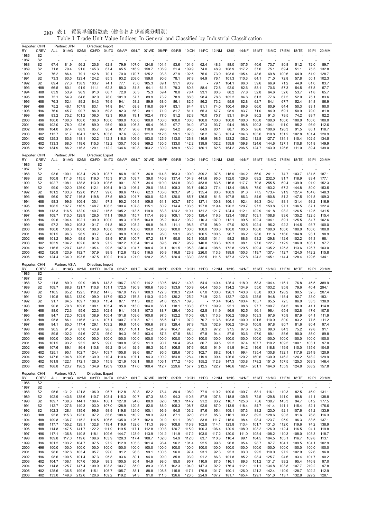| Reporter: CHN<br>RY  | <b>CREV</b>                        | ALL            | Partner: JPN<br>01:AG   | 02:MI          | Direction: Import<br>03:FD | 04:TX                   | 05:AP                   |                      | 06:LT 07:WD 08:PP    |                         | 09:RB                   | 10:CH  11:PC  12:NM     |                         |                        | $13:$ IS                |                         | 14:NF  15:MT  16:MC     |                         | 17:EM                   | 18:TE          | 19:PI          | 20:MM                  |
|----------------------|------------------------------------|----------------|-------------------------|----------------|----------------------------|-------------------------|-------------------------|----------------------|----------------------|-------------------------|-------------------------|-------------------------|-------------------------|------------------------|-------------------------|-------------------------|-------------------------|-------------------------|-------------------------|----------------|----------------|------------------------|
| 1986                 | S <sub>2</sub>                     |                |                         |                |                            |                         |                         |                      |                      |                         |                         |                         |                         |                        |                         |                         |                         |                         |                         |                |                |                        |
| 1987<br>1988         | S <sub>2</sub><br>S2               | 67.4           | 81.9                    | 56.2           | 120.6                      | 62.8                    | 79.9                    | 107.0                | 124.8                | 101.4                   | 53.6                    | 101.6                   | 62.4                    | 48.3                   | 88.0                    | 107.5                   | 40.6                    | 73.7                    | 80.8                    | 51.2           | 72.0           | 89.7                   |
| 1989                 | S2                                 | 71.8           | 79.4                    | 91.0           | 145.3                      | 67.4                    | 65.5                    | 116.9                | 158.7                | 106.9                   | 51.4                    | 109.9                   | 74.0                    | 48.9                   | 108.9                   | 117.2                   | 37.6                    | 75.1                    | 69.4                    | 51.1           | 75.5           | 132.8                  |
| 1990<br>1991         | S2<br>S <sub>2</sub>               | 76.2<br>73.3   | 86.4<br>63.5            | 79.1<br>123.4  | 142.8<br>124.2             | 70.1<br>85.3            | 70.0<br>93.2            | 170.7<br>208.0       | 125.2<br>159.0       | 93.3<br>90.6            | 37.9<br>78.1            | 102.5<br>97.8           | 75.6<br>84.9            | 73.9<br>76.1           | 103.6<br>101.3          | 105.4<br>110.3          | 48.6<br>64.1            | 69.8<br>71.0            | 100.6<br>72.8           | 64.9<br>57.8   | 51.9<br>50.1   | 128.7<br>102.3         |
| 1992                 | S <sub>2</sub>                     | 69.4           | 77.3                    | 138.9          | 103.7                      | 74.1                    | 77.1                    | 75.0                 | 105.3                | 89.1                    | 91.1                    | 90.9                    |                         | 79.1                   | 104.1                   | 96.0                    | 59.6                    | 66.9                    | 71.2                    | 44.9           | 61.0           | 83.7                   |
| 1993<br>1994         | H88<br>H88                         | 66.5<br>63.9   | 80.1<br>53.9            | 91.9<br>96.9   | 111.1<br>91.0              | 62.3<br>66.7            | 58.3<br>72.9            | 51.5<br>56.3         | 94.1<br>75.3         | 61.3<br>59.4            | 79.3<br>70.0            | 80.3<br>78.4            | 88.4<br>93.1            | 72.8<br>80.3           | 92.0<br>88.2            | 82.6<br>77.8            | 53.1<br>52.8            | 70.6<br>64.6            | 57.3<br>52.6            | 54.5<br>53.7   | 67.8<br>71.8   | 57.7<br>65.7           |
| 1995                 | H88                                | 75.1           | 54.9                    | 84.6           | 92.0                       | 78.0                    | 101.3                   | 57.7                 | 89.9                 | 73.2                    | 78.9                    | 88.3                    | 98.4                    | 78.8                   | 102.2                   | 84.6                    | 61.3                    | 77.6                    | 67.5                    | 52.0           | 75.1           | 83.6                   |
| 1996                 | H88                                | 76.3           | 52.4                    | 89.2           | 84.3                       | 76.9                    | 94.1                    | 58.2                 | 89.9                 | 68.0                    | 86.1                    | 82.5                    | 86.2                    | 73.2                   | 95.9                    | 82.8                    | 62.7                    | 84.1                    | 67.7                    | 52.4           | 84.8           | 86.9                   |
| 1997<br>1998         | H <sub>96</sub><br>H96             | 75.2<br>76.0   | 46.1<br>45.7            | 107.9<br>90.7  | 83.1<br>86.0               | 74.8<br>69.8            | 84.1<br>82.3            | 68.8<br>66.2         | 116.0<br>89.1        | 69.7<br>71.9            | 83.1<br>81.7            | 84.4<br>81.1            | 81.1<br>65.3            | 74.0<br>67.7           | 100.4<br>98.9           | 89.6<br>83.7            | 66.0<br>71.0            | 80.9<br>84.9            | 64.4<br>69.1            | 50.3<br>50.9   | 83.1<br>79.0   | 90.0<br>81.8           |
| 1999                 | H <sub>96</sub>                    | 83.2           | 75.2                    | 101.2          | 106.0                      | 72.3                    | 90.6                    | 79.1                 | 102.4                | 77.0                    | 91.2                    | 82.8                    | 70.0                    | 75.7                   | 93.1                    | 84.9                    | 80.2                    | 91.3                    | 79.5                    | 74.2           | 89.7           | 82.2                   |
| 2000<br>2001         | H <sub>96</sub><br>H <sub>96</sub> | 100.0<br>102.0 | 100.0<br>78.0           | 100.0<br>92.6  | 100.0<br>89.0              | 100.0<br>95.9           | 100.0<br>90.0           | 100.0<br>106.3       | 100.0<br>95.4        | 100.0<br>96.2           | 100.0<br>97.7           | 100.0<br>94.0           | 100.0<br>87.3           | 100.0<br>93.7          | 100.0<br>94.4           | 100.0<br>98.8           | 100.0<br>100.3          | 100.0<br>104.1          | 100.0<br>111.0          | 100.0<br>95.2  | 100.0<br>96.9  | 100.0<br>112.6         |
| 2002                 | H96                                | 104.0          | 87.4                    | 88.9           | 85.7                       | 95.4                    | 87.7                    | 96.8                 | 118.8                | 99.0                    | 94.2                    | 95.5                    | 84.9                    | 80.1                   | 88.7                    | 95.5                    | 98.6                    | 100.6                   | 126.3                   | 91.5           | 86.1           | 118.7                  |
| 2003                 | H <sub>02</sub>                    | 113.7          | 61.7                    | 104.1          | 102.5                      | 103.6                   | 97.6                    | 99.8                 | 121.3                | 112.6                   | 99.1                    | 107.8                   | 98.2                    | 87.3                   | 101.4                   | 104.6                   | 103.6                   | 110.8                   | 131.2                   | 102.8          | 101.4          | 120.9                  |
| 2004<br>2005         | H <sub>02</sub><br>H <sub>02</sub> | 125.3<br>133.3 | 63.6<br>68.0            | 118.1<br>119.6 | 102.2<br>115.3             | 112.3<br>112.2          | 118.0<br>130.7          | 106.9<br>106.8       | 153.0<br>169.2       | 125.9<br>130.5          | 113.0<br>133.0          | 126.8<br>142.2          | 116.9<br>139.9          | 98.5<br>102.2          | 123.2<br>159.9          | 136.2<br>159.8          | 112.8<br>124.6          | 127.7<br>144.6          | 134.1<br>127.1          | 110.4<br>110.8 | 102.5<br>101.8 | 134.5<br>149.9         |
| 2006                 | H <sub>02</sub>                    | 134.9          | 86.2                    | 116.3          | 120.1                      | 112.2                   | 134.6                   | 110.8                | 163.2                | 130.9                   | 139.9                   | 153.2                   | 180.1                   | 82.5                   | 164.2                   | 206.5                   | 124.7                   | 143.9                   | 126.6                   | 111.0          | 89.4           | 139.0                  |
| Reporter: CHN        |                                    |                | Partner: JPN            |                | Direction: Export          |                         |                         |                      |                      |                         |                         |                         |                         |                        |                         |                         |                         |                         |                         |                |                |                        |
| RY<br>1986           | CREV<br>S <sub>2</sub>             | ALL            | 01:AG                   | 02:MI          | 03:FD                      | 04:TX                   | 05:AP                   |                      | 06:LT 07:WD 08:PP    |                         | 09:RB                   | 10:CH  11:PC  12:NM     |                         |                        | 13:1S                   | 14:NF                   |                         | 15:MT 16:MC 17:EM 18:TE |                         |                | 19:PI          | 20:MM                  |
| 1987                 | S <sub>2</sub>                     |                |                         |                |                            |                         |                         |                      |                      |                         |                         |                         |                         |                        |                         |                         |                         |                         |                         |                |                |                        |
| 1988                 | S <sub>2</sub>                     | 93.6           | 100.1                   | 103.4          | 126.9                      | 103.7                   | 86.8                    | 110.7                | 36.8                 | 114.8                   | 163.3                   | 100.0                   | 399.2                   | 97.5                   | 115.9                   | 104.2                   | 56.0                    | 241.1                   | 74.7                    | 103.7          | 131.5          | 187.1                  |
| 1989<br>1990         | S <sub>2</sub><br>S <sub>2</sub>   | 100.8<br>102.7 | 111.6<br>108.1          | 115.5<br>138.8 | 119.0<br>113.9             | 115.3<br>108.6          | 91.3<br>90.1            | 103.7<br>89.7        | 39.0<br>34.4         | 140.8<br>110.0          | 137.4<br>134.8          | 104.3<br>93.9           | 441.6<br>453.8          | 95.0<br>83.5           | 132.0<br>116.8          | 129.6<br>117.7          | 69.2<br>70.8            | 232.0<br>255.5          | 91.7<br>69.4            | 118.9<br>139.9 | 83.4<br>91.9   | 177.1<br>152.3         |
| 1991                 | S <sub>2</sub>                     | 99.0           | 102.0                   | 126.0          | 112.1                      | 106.4                   | 91.3                    | 106.4                | 29.0                 | 136.4                   | 108.3                   | 93.7                    | 440.3                   | 77.4                   | 113.4                   | 108.8                   | 75.0                    | 183.2                   | 67.2                    | 144.8          | 80.0           | 153.5                  |
| 1992                 | S <sub>2</sub>                     | 101.2          | 103.3                   | 122.0          | 117.1                      | 99.0                    | 98.6                    | 117.6                | 62.3                 | 105.6                   | 103.7                   | 91.5                    | 135.4                   | 80.3                   | 108.9                   | 91.3                    | 77.5                    | 173.4                   | 91.9                    | 127.4          | 104.6          | 148.3                  |
| 1993<br>1994         | H88<br>H88                         | 96.0<br>98.3   | 97.7<br>99.6            | 116.8<br>106.4 | 119.8<br>130.1             | 87.5<br>97.3            | 89.3<br>90.2            | 101.7<br>101.4       | 100.0<br>109.5       | 62.8<br>61.1            | 120.0<br>103.7          | 85.7<br>87.0            | 126.5<br>127.1          | 81.6<br>100.8          | 107.8<br>106.1          | 86.3<br>92.4            | 84.6<br>86.3            | 180.8<br>134.1          | 81.2<br>88.1            | 147.5<br>131.4 | 101.8<br>98.2  | 109.3<br>116.9         |
| 1995                 | H88                                | 108.5          | 107.7                   | 116.9          | 148.7                      | 108.3                   | 100.4                   | 107.8                | 115.1                | 80.2                    | 114.4                   | 103.5                   | 127.8                   | 119.4                  | 120.2                   | 120.7                   | 97.5                    | 153.8                   | 97.1                    | 136.5          | 87.1           | 122.4                  |
| 1996<br>1997         | H88<br>H <sub>96</sub>             | 113.3<br>109.7 | 116.5<br>113.0          | 132.0<br>129.9 | 140.7<br>126.5             | 115.5<br>111.1          | 105.2<br>106.0          | 113.5<br>115.7       | 119.0<br>117.4       | 83.3<br>86.3            | 124.2<br>109.1          | 110.1<br>105.5          | 131.2<br>128.4          | 121.7<br>116.3         | 124.4<br>123.4          | 112.1<br>108.7          | 102.9<br>103.1          | 141.8<br>108.8          | 98.2<br>93.6            | 126.5<br>135.2 | 112.5<br>122.5 | 131.5<br>115.4         |
| 1998                 | H <sub>96</sub>                    | 99.6           | 104.4                   | 102.1          | 109.0                      | 100.0                   | 98.3                    | 107.6                | 103.8                | 96.2                    | 104.2                   | 103.2                   | 110.3                   | 107.0                  | 112.1                   | 99.5                    | 102.4                   | 104.1                   | 89.1                    | 125.5          | 84.7           | 102.6                  |
| 1999                 | H <sub>96</sub>                    | 97.2           | 99.2                    | 105.3          | 101.7                      | 91.8                    | 96.2                    | 103.2                | 98.8                 | 94.3                    | 111.1                   | 98.3                    | 97.5                    | 98.0                   | 97.0                    | 92.5                    | 102.4                   | 96.2                    | 92.2                    | 114.5          | 93.7           | 100.0                  |
| 2000<br>2001         | H96<br>H <sub>96</sub>             | 100.0<br>101.5 | 100.0<br>96.3           | 100.0<br>96.9  | 100.0<br>93.7              | 100.0<br>94.8           | 100.0<br>98.9           | 100.0<br>101.6       | 100.0<br>99.8        | 100.0<br>95.0           | 100.0<br>93.1           | 100.0<br>96.5           | 100.0<br>100.5          | 100.0<br>100.5         | 100.0<br>96.7           | 100.0<br>96.2           | 100.0<br>98.0           | 100.0<br>111.6          | 100.0<br>116.0          | 100.0<br>104.8 | 100.0<br>93.1  | 100.0<br>98.9          |
| 2002                 | H <sub>96</sub>                    | 101.2          | 98.0                    | 98.5           | 91.3                       | 93.9                    | 97.6                    | 100.7                | 97.2                 | 88.7                    | 90.8                    | 92.1                    | 105.5                   | 101.1                  | 98.2                    | 88.6                    | 93.2                    | 129.8                   | 112.6                   | 102.2          | 91.3           | 98.1                   |
| 2003<br>2004         | H <sub>02</sub><br>H <sub>02</sub> | 103.9<br>116.5 | 104.2<br>120.7          | 102.0<br>145.2 | 92.8<br>105.4              | 97.2<br>99.5            | 102.2<br>107.3          | 103.4<br>104.7       | 101.4<br>108.4       | 89.5<br>91.1            | 86.7<br>101.5           | 95.9<br>105.3           | 140.8<br>246.4          | 103.3<br>108.6         | 109.3<br>172.8          | 98.1<br>129.5           | 97.6<br>109.4           | 122.7<br>135.2          | 112.9<br>125.3          | 106.9<br>113.6 | 106.1<br>126.7 | 97.7<br>103.0          |
| 2005                 | H <sub>02</sub>                    | 120.9          | 123.9                   | 192.7          | 107.9                      | 99.9                    | 112.6                   | 112.0                | 116.5                | 95.9                    | 116.8                   | 123.8                   | 226.0                   | 113.3                  | 189.9                   | 150.3                   | 119.7                   | 137.4                   | 112.7                   | 124.0          | 142.2          | 115.8                  |
| 2006                 | H <sub>02</sub>                    | 124.4          | 134.0                   | 193.6          | 107.5                      | 100.2                   | 114.3                   | 121.0                | 120.2                | 95.3                    | 120.4                   | 133.0                   | 232.5                   | 111.5                  | 187.3                   | 172.8                   | 124.2                   | 145.1                   | 114.4                   | 128.4          | 129.6          | 134.1                  |
|                      |                                    |                |                         |                |                            |                         |                         |                      |                      |                         |                         |                         |                         |                        |                         |                         |                         |                         |                         |                |                |                        |
| Reporter: CHN        |                                    |                | Partner: ASIA           |                | Direction: Import          |                         |                         |                      |                      |                         |                         |                         |                         |                        |                         |                         |                         |                         |                         |                |                |                        |
| RY                   | <b>CREV</b>                        | ALL            | 01:AG                   | 02:MI          | 03:FD                      | 04:TX                   | 05:AP                   |                      | 06:LT 07:WD          | 08:PP                   | 09:RB                   |                         | 10:CH  11:PC  12:NM     |                        | $13:$ IS                | 14:NF                   |                         | 15:MT 16:MC             | 17:EM                   | 18:TE          | 19:PI          | 20:MM                  |
| 1986<br>1987         | S <sub>2</sub><br>S <sub>2</sub>   |                |                         |                |                            |                         |                         |                      |                      |                         |                         |                         |                         |                        |                         |                         |                         |                         |                         |                |                |                        |
| 1988                 | S <sub>2</sub>                     | 111.8          | 89.0                    | 90.9           | 108.8                      | 143.3                   | 196.7                   | 189.0                | 114.2                | 130.6                   | 184.2                   | 149.3                   | 54.4                    | 140.4                  | 125.4                   | 118.0                   | 58.3                    | 104.4                   | 116.1                   | 76.8           | 45.5           | 389.9                  |
| 1989<br>1990         | S <sub>2</sub><br>S <sub>2</sub>   | 109.7<br>110.5 | 88.8<br>85.2            | 121.7<br>122.5 | 110.8<br>110.2             | 151.1<br>147.5          | 172.5<br>167.9          | 190.9<br>179.7       | 108.6<br>108.3       | 136.5<br>127.3          | 153.9<br>130.3          | 150.9<br>128.4          | 64.4<br>67.0            | 153.5<br>130.0         | 134.2<br>126.1          | 134.9<br>143.8          | 55.0<br>85.0            | 103.2<br>93.3           | 95.8<br>128.2           | 79.6<br>90.5   | 40.4<br>32.5   | 294.1<br>207.4         |
| 1991                 | S <sub>2</sub>                     | 110.5          | 86.3                    | 132.0          | 109.0                      | 147.9                   | 153.2                   | 176.8                | 110.3                | 112.9                   | 130.2                   | 125.2                   | 71.9                    | 122.3                  | 132.7                   | 132.6                   | 125.5                   | 94.8                    | 118.4                   | 92.7           | 33.0           | 193.1                  |
| 1992<br>1993         | S <sub>2</sub><br>H88              | 91.7<br>90.8   | 84.5<br>79.8            | 109.7<br>109.6 | 108.8<br>108.1             | 115.4<br>105.4          | 87.1<br>95.0            | 111.3<br>113.0       | 88.2<br>104.0        | 91.6<br>88.1            | 125.1<br>118.1          | 109.5<br>103.3          | 67.1                    | 113.4<br>109.9         | 104.5<br>95.1           | 103.4<br>98.8           | 105.7<br>97.7           | 95.5<br>109.7           | 72.5<br>64.5            | 86.0<br>96.9   | 33.3<br>41.1   | 138.9<br>114.8         |
| 1994                 | H88                                | 88.0           | 72.3                    | 95.6           | 122.3                      | 102.4                   | 91.1                    | 103.8                | 107.3                | 88.7                    | 129.4                   | 100.2                   | 62.8                    | 111.9                  | 96.9                    | 92.5                    | 96.1                    | 96.4                    | 65.4                    | 102.8          | 47.6           | 107.8                  |
| 1995                 | H88                                | 94.7           | 72.0                    | 103.8          | 138.9                      | 105.4                   | 101.8                   | 103.6                | 100.8                | 97.5                    | 152.2                   | 110.6                   | 68.1                    | 113.3                  | 106.2                   | 106.6                   | 103.3                   | 97.6                    | 75.9                    | 87.9           | 64.1           | 111.9                  |
| 1996<br>1997         | H88<br>H <sub>96</sub>             | 95.8<br>94.1   | 86.1<br>85.0            | 116.5<br>117.4 | 131.4<br>129.1             | 107.1<br>103.2          | 100.7<br>99.8           | 101.3<br>101.6       | 97.1<br>106.6        | 86.6<br>87.3            | 147.1<br>129.4          | 97.9<br>97.9            | 70.7<br>75.5            | 113.8<br>102.9         | 103.8<br>106.2          | 100.0<br>104.6          | 101.5<br>100.8          | 110.9<br>97.8           | 80.0<br>80.7            | 83.2<br>81.6   | 77.5<br>80.4   | 111.2<br>97.4          |
| 1998                 | H96                                | 90.5           | 91.9                    | 87.8           | 143.9                      | 98.5                    | 93.7                    | 101.1                | 94.2                 | 84.9                    | 104.7                   | 92.5                    | 58.3                    | 97.2                   | 97.5                    | 97.6                    | 96.2                    | 99.3                    | 84.3                    | 75.2           | 79.8           | 91.1                   |
| 1999<br>2000         | H <sub>96</sub><br>H96             | 89.5<br>100.0  | 102.2<br>100.0          | 94.6<br>100.0  | 127.6<br>100.0             | 95.0<br>100.0           | 94.3<br>100.0           | 96.2<br>100.0        | 103.4<br>100.0       | 87.3<br>100.0           | 97.5<br>100.0           | 88.4<br>100.0           | 67.8<br>100.0           | 94.4<br>100.0          | 87.6<br>100.0           | 93.6<br>100.0           | 97.0<br>100.0           | 89.1<br>100.0           | 88.6<br>100.0           | 90.0<br>100.0  | 85.0<br>100.0  | 89.8<br>100.0          |
| 2001                 | H <sub>96</sub>                    | 101.5          | 93.2                    | 93.2           | 92.5                       | 99.0                    | 100.8                   | 96.9                 | 91.3                 | 90.7                    | 96.4                    | 95.4                    | 86.7                    | 99.5                   | 92.2                    | 97.4                    | 107.7                   | 110.2                   | 109.5                   | 100.1          | 103.1          | 97.0                   |
| 2002                 | H <sub>96</sub>                    | 107.6          | 89.1                    | 86.4           | 110.8                      | 99.2                    | 101.4                   | 92.9                 | 86.3                 | 92.4                    | 106.5                   | 97.6                    | 90.0                    | 91.9                   | 91.9                    | 94.2                    | 116.6                   | 118.8                   | 119.9                   | 110.0          | 135.6          | 104.5                  |
| 2003<br>2004         | H <sub>02</sub><br>H <sub>02</sub> | 125.1<br>147.6 | 95.1<br>104.8           | 102.7<br>129.6 | 124.4<br>139.0             | 103.7<br>110.4          | 105.8<br>110.6          | 99.6<br>107.1        | 88.7<br>94.3         | 95.5<br>100.2           | 128.6<br>154.8          | 107.5<br>128.4          | 102.7<br>119.9          | 88.2<br>99.4           | 104.1<br>126.6          | 99.4<br>120.2           | 135.4<br>160.6          | 130.8<br>139.9          | 132.1<br>146.2          | 117.6<br>124.2 | 291.9<br>518.2 | 120.9<br>129.9         |
| 2005                 | H <sub>02</sub>                    | 161.9          | 122.1                   | 172.1          | 128.0                      | 115.9                   | 121.9                   | 109.1                | 98.0                 | 106.1                   | 177.2                   | 145.0                   | 155.2                   | 112.8                  | 147.3                   | 133.8                   | 178.2                   | 151.0                   | 157.5                   | 125.3          | 569.3          | 146.4                  |
| 2006                 | H <sub>02</sub>                    | 168.8          | 123.7                   | 196.2          | 134.9                      | 120.9                   | 133.6                   | 117.0                | 108.4                | 112.7                   | 229.6                   | 157.7                   | 212.5                   | 122.7                  | 146.6                   | 182.4                   | 201.1                   | 164.0                   | 155.9                   | 124.8          | 538.2          | 157.8                  |
| Reporter: CHN        |                                    |                | Partner: ASIA           |                | Direction: Export          |                         |                         |                      |                      |                         |                         |                         |                         |                        |                         |                         |                         |                         |                         |                |                |                        |
| RY<br>1986           | <b>CREV</b><br>S <sub>2</sub>      | ALL<br>÷,      | 01:AG 02:MI             |                | 03:FD                      | 04:TX                   | 05:AP                   |                      | 06:LT 07:WD 08:PP    |                         | 09:RB                   | 10:CH  11:PC  12:NM     |                         |                        | $13:$ IS                | 14:NF                   |                         | 15:MT 16:MC 17:EM 18:TE |                         |                | 19:PI          | 20:MM                  |
| 1987                 | S <sub>2</sub>                     |                |                         |                |                            |                         |                         |                      |                      |                         |                         |                         |                         |                        |                         |                         |                         |                         |                         |                |                |                        |
| 1988<br>1989         | S <sub>2</sub><br>S <sub>2</sub>   | 95.6<br>102.9  | 131.2<br>143.6          | 121.8<br>138.6 | 106.0<br>110.7             | 96.7<br>103.4           | 112.8<br>115.3          | 80.8<br>90.7         | 52.2<br>57.3         | 78.4<br>88.0            | 89.4<br>94.3            | 108.9<br>110.8          | 77.9<br>87.9            | 119.2<br>107.8         | 109.6<br>118.8          | 109.7<br>139.5          | 63.1<br>72.5            | 116.1<br>129.8          | 119.3<br>141.0          | 82.5<br>89.8   | 46.9<br>41.1   | 131.1<br>138.8         |
| 1990                 | S <sub>2</sub>                     | 109.7          | 138.3                   | 144.1          | 109.4                      | 106.1                   | 127.8                   | 94.6                 | 80.9                 | 82.6                    | 98.3                    | 114.2                   | 91.2                    | 83.2                   | 116.7                   | 125.6                   | 75.6                    | 130.7                   | 145.3                   | 94.7           | 61.2           | 177.5                  |
| 1991                 | S <sub>2</sub>                     | 112.7          | 127.6                   | 140.3          | 103.0                      | 107.0                   | 128.9                   | 120.5                | 82.0                 | 88.0                    | 105.3                   | 108.7                   | 92.6                    | 87.0                   | 113.9                   | 118.4                   | 84.7                    | 141.4                   | 141.1                   | 115.4          | 52.1           | 176.6                  |
| 1992<br>1993         | S <sub>2</sub><br>H88              | 102.3<br>95.8  | 128.1<br>115.3          | 135.6<br>123.0 | 99.6<br>97.2               | 98.9<br>85.6            | 119.8<br>108.6          | 124.0<br>110.2       | 100.1<br>98.3        | 96.9<br>99.1            | 94.5<br>87.1            | 103.2<br>92.0           | 87.6<br>81.2            | 95.4<br>85.3           | 109.1<br>116.1          | 107.3<br>90.2           | 88.2<br>89.2            | 123.0<br>128.6          | 92.1<br>90.3            | 107.6<br>91.6  | 61.2<br>76.8   | 133.9<br>116.3         |
| 1994                 | H88                                | 109.8          | 136.7                   | 115.2          | 114.5                      | 106.6                   | 135.0                   | 126.7                | 102.0                | 91.9                    | 91.1                    | 98.0                    | 83.8                    | 111.7                  | 115.0                   | 98.4                    | 98.4                    | 123.7                   | 95.9                    | 96.3           | 83.5           | 137.1                  |
| 1995                 | H88                                | 117.7          | 155.2                   | 129.1          | 132.8                      | 118.4                   | 119.9                   | 132.6                | 111.3                | 99.0                    | 108.8                   | 116.9                   | 102.8                   | 114.1                  | 123.8                   | 113.4                   | 101.7                   | 131.3                   | 112.0                   | 119.6          | 74.2           | 138.9                  |
| 1996<br>1997         | H88<br>H <sub>96</sub>             | 114.8<br>117.1 | 147.5<br>136.8          | 141.7<br>140.8 | 122.2<br>118.1             | 111.9<br>109.6          | 119.5<br>144.7          | 117.1<br>123.9       | 112.8<br>113.9       | 100.8<br>101.2          | 120.7<br>111.9          | 115.9<br>117.2          | 100.3<br>103.0          | 106.4<br>117.2         | 120.9<br>120.0          | 108.9<br>111.0          | 103.2<br>105.4          | 126.0<br>108.2          | 112.4<br>110.3          | 116.5<br>108.0 | 94.1<br>103.3  | 119.8<br>118.7         |
| 1998                 | H <sub>96</sub>                    | 109.8          | 117.0                   | 119.6          | 108.6                      | 103.9                   | 128.3                   | 117.4                | 108.7                | 102.0                   | 94.9                    | 112.0                   | 83.7                    | 110.3                  | 110.4                   | 99.1                    | 104.5                   | 104.5                   | 105.1                   | 116.7          | 109.8          | 113.1                  |
| 1999                 | H <sub>96</sub>                    | 101.2          | 103.2                   | 104.7          | 97.5                       | 97.2                    | 112.9                   | 105.3                | 101.4                | 98.4                    | 96.2                    | 101.4                   | 92.5                    | 99.8                   | 96.8                    | 95.4                    | 98.7                    | 87.7                    | 104.1                   | 109.5          | 104.1          | 102.9                  |
| 2000<br>2001         | H96<br>H <sub>96</sub>             | 100.0<br>98.6  | 100.0<br>102.6          | 100.0<br>103.4 | 100.0<br>95.7              | 100.0<br>99.0           | 100.0<br>91.2           | 100.0<br>98.3        | 100.0<br>99.1        | 100.0<br>100.5          | 100.0<br>96.0           | 100.0<br>97.4           | 100.0<br>93.1           | 100.0<br>92.3          | 100.0<br>95.3           | 100.0<br>93.0           | 100.0<br>99.5           | 100.0<br>110.0          | 100.0<br>97.2           | 100.0<br>102.9 | 100.0<br>92.6  | 100.0<br>96.0          |
| 2002                 | H <sub>96</sub>                    | 98.6           | 100.5                   | 101.4          | 97.3                       | 95.8                    | 93.6                    | 80.1                 | 94.0                 | 99.0                    | 85.8                    | 93.9                    | 91.2                    | 86.3                   | 101.8                   | 85.2                    | 98.4                    | 125.7                   | 94.6                    | 93.4           | 101.7          | 90.2                   |
| 2003                 | H <sub>02</sub><br>H <sub>02</sub> | 104.7<br>114.8 | 106.1                   | 107.6<br>147.4 | 100.9                      | 98.3                    | 100.5                   | 80.4                 | 94.9                 | 98.0                    | 95.0                    | 95.7                    | 110.9                   | 87.5                   | 116.1                   | 89.3                    | 101.2                   | 131.7                   | 99.2                    | 95.4<br>107.7  | 146.8<br>219.2 | 97.0                   |
| 2004<br>2005<br>2006 | H <sub>02</sub><br>H <sub>02</sub> | 125.6<br>133.0 | 125.7<br>136.5<br>149.8 | 199.6<br>212.6 | 109.9<br>115.1<br>120.6    | 103.8<br>106.7<br>109.2 | 103.7<br>105.7<br>119.2 | 85.0<br>88.1<br>94.3 | 89.3<br>88.8<br>91.0 | 103.7<br>108.5<br>111.5 | 102.3<br>115.8<br>126.6 | 104.0<br>117.1<br>123.5 | 147.3<br>179.8<br>224.9 | 92.2<br>101.7<br>107.7 | 176.4<br>190.1<br>181.7 | 112.1<br>126.0<br>165.4 | 111.1<br>121.2<br>129.1 | 134.8<br>142.4<br>151.0 | 103.8<br>110.9<br>113.7 | 128.7<br>132.8 | 302.2<br>329.2 | 97.8<br>112.9<br>128.1 |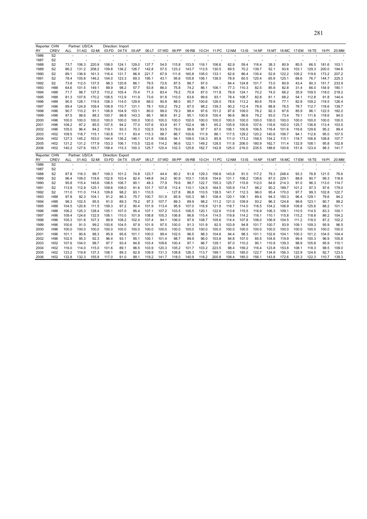|      | Reporter: CHN  |      | Partner: US/CA |       |       | Direction: Import |       |       |       |       |       |       |        |       |       |       |       |       |       |       |       |       |
|------|----------------|------|----------------|-------|-------|-------------------|-------|-------|-------|-------|-------|-------|--------|-------|-------|-------|-------|-------|-------|-------|-------|-------|
| RY   | CREV           | ALL  | 01:AG          | 02:MI | 03:FD | 04:TX             | 05:AP | 06:LT | 07:WD | 08:PP | 09:RB | 10:CH | 11:PC  | 12:NM | 13:IS | 14:NF | 15:MT | 16:MC | 17:EM | 18:TE | 19:PI | 20:MN |
| 1986 | S <sub>2</sub> |      |                |       |       |                   |       |       |       |       |       |       |        |       |       |       |       |       |       |       |       |       |
| 1987 | S2             |      |                |       |       |                   |       |       |       |       |       |       |        |       |       |       |       |       |       |       |       |       |
| 1988 | S <sub>2</sub> | 73.7 | 106.3          | 220.9 | 108.0 | 124.1             | 129.0 | 137.7 | 54.5  | 115.8 | 153.5 | 116.1 | 106.6  | 62.9  | 59.4  | 116.4 | 38.3  | 80.9  | 85.5  | 66.5  | 181.6 | 103.1 |
| 1989 | S <sub>2</sub> | 86.2 | 131.2          | 208.2 | 109.8 | 136.2             | 126.7 | 142.8 | 57.5  | 123.2 | 143.7 | 113.5 | 130.5  | 69.5  | 70.2  | 139.7 | 52.1  | 93.6  | 103.1 | 129.3 | 200.0 | 194.6 |
| 1990 | S <sub>2</sub> | 89.1 | 136.9          | 161.3 | 116.4 | 131.7             | 96.9  | 221.7 | 67.9  | 111.6 | 160.8 | 105.0 | 133.1  | 62.6  | 86.4  | 135.4 | 52.6  | 122.2 | 105.2 | 119.6 | 173.2 | 207.2 |
| 1991 | S <sub>2</sub> | 78.4 | 105.8          | 146.2 | 104.0 | 123.3             | 69.3  | 195.1 | 43.1  | 95.6  | 105.8 | 106.1 | 138.5  | 78.9  | 60.5  | 120.4 | 65.9  | 125.1 | 68.6  | 76.7  | 144.7 | 225.3 |
| 1992 | S <sub>2</sub> | 73.8 | 112.0          | 137.5 | 98.3  | 120.8             | 86.1  | 79.5  | 72.6  | 87.5  | 88.7  | 97.0  | $\sim$ | 84.4  | 124.8 | 101.7 | 73.0  | 80.9  | 43.4  | 90.3  | 151.7 | 233.9 |
| 1993 | H88            | 64.6 | 101.5          | 149.1 | 99.9  | 98.2              | 57.7  | 63.8  | 86.0  | 75.8  | 74.2  | 86.1  | 106.1  | 77.3  | 110.3 | 82.5  | 85.9  | 82.8  | 31.4  | 66.0  | 154.9 | 180.1 |
| 1994 | H88            | 71.7 | 98.7           | 137.5 | 110.2 | 105.4             | 70.4  | 71.3  | 83.4  | 79.2  | 70.9  | 87.0  | 111.8  | 78.9  | 124.1 | 70.2  | 74.0  | 66.2  | 35.9  | 109.5 | 118.0 | 218.2 |

| S <sub>2</sub><br>120.4<br>125.1<br>225.3<br>1991<br>105.8<br>146.2<br>104.0<br>123.3<br>69.3<br>195.1<br>43.1<br>95.6<br>105.8<br>106.1<br>138.5<br>78.9<br>60.5<br>65.9<br>68.6<br>76.7<br>144.7<br>78.4<br>S <sub>2</sub><br>112.0<br>137.5<br>120.8<br>86.1<br>79.5<br>88.7<br>97.0<br>124.8<br>101.7<br>80.9<br>43.4<br>90.3<br>151.7<br>233.9<br>1992<br>73.8<br>98.3<br>72.6<br>87.5<br>73.0<br>84.4<br>57.7<br>110.3<br>66.0<br>180.1<br>H88<br>101.5<br>149.1<br>99.9<br>98.2<br>63.8<br>86.0<br>75.8<br>74.2<br>86.1<br>106.1<br>77.3<br>82.5<br>85.9<br>82.8<br>154.9<br>1993<br>64.6<br>31.4<br>1994<br>H88<br>71.7<br>98.7<br>137.5<br>110.2<br>70.4<br>71.3<br>83.4<br>79.2<br>70.9<br>87.0<br>111.8<br>124.1<br>74.0<br>66.2<br>35.9<br>109.5<br>118.0<br>218.2<br>105.4<br>78.9<br>70.2<br>107.6<br>170.2<br>108.5<br>111.9<br>110.0<br>63.6<br>108.7<br>68.2<br>112.8<br>144.4<br>1995<br>H88<br>81.3<br>112.9<br>73.6<br>91.8<br>99.6<br>93.1<br>78.4<br>82.8<br>81.1<br>54.1<br>91.8<br>H88<br>128.1<br>119.5<br>108.3<br>114.0<br>129.9<br>68.0<br>90.8<br>88.0<br>85.7<br>100.6<br>126.0<br>113.2<br>77.1<br>82.8<br>109.2<br>119.5<br>126.4<br>1996<br>90.5<br>78.6<br>80.6<br>79.9<br>109.4<br>108.9<br>131.1<br>79.2<br>87.0<br>98.2<br>139.3<br>112.4<br>88.8<br>76.5<br>78.7<br>112.7<br>118.6<br>139.7<br>1997<br>H96<br>89.4<br>124.9<br>110.7<br>78.1<br>100.2<br>90.2<br>78.9<br>H96<br>110.2<br>91.1<br>106.9<br>104.9<br>153.1<br>80.0<br>99.0<br>79.3<br>88.4<br>97.6<br>151.2<br>109.0<br>76.2<br>92.3<br>87.6<br>85.9<br>96.1<br>122.5<br>182.0<br>1998<br>90.7<br>87.6<br>87.5<br>98.6<br>88.3<br>100.7<br>143.3<br>86.1<br>96.6<br>81.2<br>95.1<br>100.9<br>100.4<br>96.6<br>79.2<br>93.0<br>73.4<br>79.1<br>118.6<br>94.0<br>1999<br>H96<br>98.8<br>96.6<br>111.6<br>H96<br>100.0<br>100.0<br>100.0<br>100.0<br>100.0<br>100.0<br>100.0<br>100.0<br>100.0<br>100.0<br>100.0<br>100.0<br>100.0<br>100.0<br>100.0<br>100.0<br>100.0<br>100.0<br>100.0<br>100.0<br>100.0<br>2000<br>108.2<br>97.2<br>85.5<br>107.5<br>94.2<br>77.0<br>107.6<br>93.9<br>102.4<br>98.1<br>65.2<br>105.9<br>100.6<br>107.6<br>116.6<br>100.0<br>125.7<br>136.8<br>113.4<br>103.5<br>2001<br>H96<br>81.7<br>105.0<br>96.4<br>84.2<br>119.1<br>93.3<br>70.3<br>102.5<br>98.9<br>97.7<br>106.1<br>100.6<br>106.5<br>116.6<br>129.6<br>95.2<br>99.4<br>2002<br>H96<br>93.5<br>79.0<br>67.0<br>116.4<br>101.6<br>107.5<br>2003<br>109.5<br>118.7<br>115.1<br>130.8<br>111.1<br>83.4<br>115.3<br>98.7<br>86.7<br>100.6<br>111.9<br>86.1<br>117.5<br>129.2<br>120.2<br>140.6<br>106.7<br>94.1<br>112.6<br>95.0<br>H <sub>02</sub><br>146.1<br>108.0<br>134.3<br>158.5<br>118.7<br>107.7<br>2004<br>H <sub>02</sub><br>127.3<br>145.2<br>163.0<br>144.4<br>136.2<br>121.6<br>106.6<br>94.1<br>85.9<br>111.0<br>173.2<br>154.2<br>115.1<br>106.8<br>108.8<br>131.2<br>177.9<br>106.1<br>115.5<br>122.6<br>114.2<br>122.1<br>149.2<br>128.5<br>206.0<br>180.9<br>162.7<br>132.9<br>108.1<br>102.8<br>2005<br>H <sub>02</sub><br>131.2<br>153.3<br>96.6<br>111.8<br>111.4<br>95.8<br>123.4<br>2006<br>H <sub>02</sub><br>140.2<br>127.6<br>193.7<br>158.4<br>115.3<br>100.3<br>125.7<br>120.4<br>102.3<br>125.6<br>162.7<br>142.8<br>125.0<br>216.0<br>235.5<br>188.6<br>100.6<br>151.6<br>98.3<br>141.7<br>Partner: US/CA<br>Reporter: CHN<br>Direction: Export<br><b>CREV</b><br>03:FD 04:TX 05:AP<br>06:LT 07:WD 08:PP 09:RB<br>10:CH 11:PC 12:NM 13:IS<br>RY<br>01:AG<br>02:MI<br>14:NF  15:MT  16:MC  17:EM  18:TE<br>20:MM<br>ALL.<br>19:PI<br>1986<br>S <sub>2</sub><br>S <sub>2</sub><br>1987<br>S <sub>2</sub><br>116.3<br>99.7<br>109.3<br>101.2<br>74.8<br>123.7<br>80.2<br>91.8<br>129.3<br>156.8<br>143.8<br>91.0<br>117.2<br>79.3<br>248.4<br>76.8<br>121.5<br>76.6<br>1988<br>87.8<br>44.4<br>93.3<br>S <sub>2</sub><br>109.0<br>118.6<br>102.6<br>82.4<br>148.8<br>34.2<br>90.9<br>103.1<br>135.6<br>108.2<br>138.6<br>229.1<br>88.8<br>90.7<br>99.3<br>118.6<br>1989<br>96.4<br>103.4<br>154.6<br>131.1<br>87.0<br>S <sub>2</sub><br>145.6<br>122.7<br>113.0<br>114.7<br>1990<br>95.8<br>115.4<br>108.5<br>106.7<br>90.1<br>49.3<br>77.9<br>79.6<br>98.7<br>155.3<br>125.7<br>115.6<br>112.0<br>84.6<br>214.3<br>91.0<br>96.3<br>S <sub>2</sub><br>125.1<br>124.5<br>114.7<br>189.7<br>97.3<br>179.0<br>1991<br>113.9<br>112.9<br>109.6<br>108.0<br>91.6<br>101.7<br>107.8<br>112.4<br>110.1<br>164.5<br>105.9<br>98.2<br>90.2<br>101.2<br>97.6<br>S <sub>2</sub><br>112.3<br>122.7<br>1992<br>111.0<br>111.0<br>114.3<br>109.8<br>98.2<br>93.1<br>110.5<br>127.8<br>86.8<br>110.5<br>138.5<br>141.7<br>96.0<br>170.0<br>97.7<br>99.3<br>102.8<br>95.4<br>H88<br>75.7<br>100.7<br>100.3<br>98.1<br>106.1<br>150.3<br>96.4<br>94.2<br>1993<br>97.8<br>92.3<br>104.1<br>91.2<br>86.3<br>101.9<br>85.9<br>108.4<br>120.1<br>89.4<br>94.3<br>129.1<br>79.6<br>95.5<br>98.2<br>111.2<br>109.9<br>99.2<br>H88<br>98.3<br>102.5<br>89.3<br>79.2<br>97.3<br>107.7<br>89.3<br>89.9<br>121.0<br>93.2<br>96.3<br>124.8<br>99.6<br>123.1<br>80.7<br>1994<br>91.0<br>120.8<br>111.5<br>109.3<br>97.2<br>90.4<br>101.9<br>113.4<br>95.9<br>107.0<br>116.9<br>121.8<br>118.7<br>114.0<br>116.5<br>104.2<br>106.9<br>109.8<br>125.6<br>88.2<br>101.1<br>1995<br>H88<br>104.5<br>125.3<br>128.4<br>105.1<br>107.0<br>95.4<br>107.1<br>107.2<br>103.5<br>106.5<br>120.1<br>122.6<br>106.3<br>109.1<br>110.5<br>100.1<br>1996<br>H88<br>106.2<br>113.8<br>115.5<br>116.9<br>114.5<br>83.3<br>104.2<br>124.6<br>132.5<br>106.1<br>110.0<br>101.9<br>108.8<br>100.3<br>106.8<br>96.8<br>115.4<br>114.5<br>119.8<br>114.2<br>116.1<br>110.1<br>115.8<br>115.2<br>118.8<br>86.2<br>1997<br>H96<br>109.4<br>107.3<br>108.2<br>102.4<br>107.4<br>106.0<br>87.9<br>108.7<br>105.6<br>107.8<br>106.0<br>106.9<br>118.0<br>102.2<br>1998<br>H96<br>105.3<br>101.8<br>99.9<br>94.1<br>114.4<br>104.5<br>111.2<br>87.2<br>96.5<br>100.6<br>99.2<br>100.6<br>104.5<br>97.9<br>101.9<br>97.5<br>100.0<br>91.3<br>101.9<br>92.5<br>103.9<br>94.8<br>101.7<br>100.7<br>93.9<br>109.1<br>109.3<br>95.9<br>1999<br>H96<br>91.0<br>100.0<br>100.0<br>100.0<br>100.0<br>100.0<br>100.0<br>100.0<br>100.0<br>H96<br>100.0<br>100.0<br>100.0<br>100.0<br>100.0<br>100.0<br>100.0<br>100.0<br>100.0<br>100.0<br>100.0<br>100.0<br>100.0<br>2000<br>101.1<br>90.6<br>98.3<br>95.9<br>101.1<br>100.0<br>99.4<br>102.0<br>96.5<br>98.3<br>104.6<br>94.4<br>98.3<br>101.1<br>102.6<br>104.1<br>100.3<br>101.2<br>104.5<br>104.4<br>2001<br>H96<br>95.6<br>102.5<br>95.3<br>92.3<br>96.4<br>93.1<br>95.1<br>100.1<br>101.4<br>98.7<br>89.9<br>96.0<br>103.8<br>107.0<br>85.5<br>104.8<br>119.9<br>99.4<br>100.3<br>105.8<br>2002<br>H96<br>94.8<br>96.9<br>107.6<br>98.7<br>103.4<br>100.4<br>97.1<br>110.2<br>139.3<br>110.1<br>2003<br>H <sub>02</sub><br>104.0<br>97.7<br>93.4<br>94.8<br>109.6<br>96.7<br>129.1<br>97.0<br>90.1<br>110.9<br>98.9<br>105.8<br>95.9<br>223.5<br>2004<br>H <sub>02</sub><br>116.0<br>115.0<br>101.6<br>89.1<br>96.5<br>103.9<br>120.3<br>105.2<br>101.7<br>103.2<br>98.4<br>159.2<br>116.4<br>123.8<br>153.8<br>108.1<br>118.3<br>98.5<br>109.0<br>114.0<br>137.3<br>108.1<br>109.9<br>131.3<br>108.8<br>126.3<br>113.7<br>199.1<br>185.0<br>122.7<br>134.9<br>156.3<br>122.9<br>124.6<br>92.7<br>123.5<br>2005<br>H <sub>02</sub><br>123.2<br>119.8<br>89.3<br>82.9<br>103.5<br>H <sub>02</sub><br>132.8<br>132.3<br>155.9<br>99.1<br>119.2<br>140.9<br>118.2<br>200.8<br>108.4<br>185.0<br>156.1<br>143.8<br>172.6<br>125.3<br>122.3<br>110.7<br>139.3<br>2006<br>117.0<br>91.0<br>141.7<br>118.0 | 1990 | S2 | 89.1 | 136.9 | 161.3 | 116.4 | 131.7 | 96.9 | 221.7 | 67.9 | 111.6 | 160.8 | 105.0 | 133.1 | 62.6 | 86.4 | 135.4 | 52.6 | 122.2 | 105.2 | 119.6 | 173.2 | 207.2 |
|--------------------------------------------------------------------------------------------------------------------------------------------------------------------------------------------------------------------------------------------------------------------------------------------------------------------------------------------------------------------------------------------------------------------------------------------------------------------------------------------------------------------------------------------------------------------------------------------------------------------------------------------------------------------------------------------------------------------------------------------------------------------------------------------------------------------------------------------------------------------------------------------------------------------------------------------------------------------------------------------------------------------------------------------------------------------------------------------------------------------------------------------------------------------------------------------------------------------------------------------------------------------------------------------------------------------------------------------------------------------------------------------------------------------------------------------------------------------------------------------------------------------------------------------------------------------------------------------------------------------------------------------------------------------------------------------------------------------------------------------------------------------------------------------------------------------------------------------------------------------------------------------------------------------------------------------------------------------------------------------------------------------------------------------------------------------------------------------------------------------------------------------------------------------------------------------------------------------------------------------------------------------------------------------------------------------------------------------------------------------------------------------------------------------------------------------------------------------------------------------------------------------------------------------------------------------------------------------------------------------------------------------------------------------------------------------------------------------------------------------------------------------------------------------------------------------------------------------------------------------------------------------------------------------------------------------------------------------------------------------------------------------------------------------------------------------------------------------------------------------------------------------------------------------------------------------------------------------------------------------------------------------------------------------------------------------------------------------------------------------------------------------------------------------------------------------------------------------------------------------------------------------------------------------------------------------------------------------------------------------------------------------------------------------------------------------------------------------------------------------------------------------------------------------------------------------------------------------------------------------------------------------------------------------------------------------------------------------------------------------------------------------------------------------------------------------------------------------------------------------------------------------------------------------------------------------------------------------------------------------------------------------------------------------------------------------------------------------------------------------------------------------------------------------------------------------------------------------------------------------------------------------------------------------------------------------------------------------------------------------------------------------------------------------------------------------------------------------------------------------------------------------------------------------------------------------------------------------------------------------------------------------------------------------------------------------------------------------------------------------------------------------------------------------------------------------------------------------------------------------------------------------------------------------------------------------------------------------------------------------------------------------------------------------------------------------------------------------------------------------------------------------------------------------------------------------------------------------------------------------------------------------------------------------------------------------------------------------------------------------------------------------------------------------------------------------------------------------------------------------------------------------------------------------------------------------------------------------------------------------------------------------------------------------------------------------------------------------------------------------------------------------------------------------------------------------------------------------------------------------------------------------------------------------------------------------------------------------------------------------------------------------------------------------------------------------------------------------------------------------------------------------------------------------------------------------------------------------------------------------------------------------------------------------------------------------------------------------------------------------------------------------------------------------------------------------------------------------------------------------------------------------------------------------------------------------------------------------------------------------------------------------------------------------------------------------------------------------------------------------------------------------------------------------------------------------------------------------------------------------------------------------------------------------------------------------------------------------------------------------------------------------------------------------------------------------------------------------------------------------------------------------------------------------------------------------------------------------------------------------------------------------------------------------------------------------------------------------------------------|------|----|------|-------|-------|-------|-------|------|-------|------|-------|-------|-------|-------|------|------|-------|------|-------|-------|-------|-------|-------|
|                                                                                                                                                                                                                                                                                                                                                                                                                                                                                                                                                                                                                                                                                                                                                                                                                                                                                                                                                                                                                                                                                                                                                                                                                                                                                                                                                                                                                                                                                                                                                                                                                                                                                                                                                                                                                                                                                                                                                                                                                                                                                                                                                                                                                                                                                                                                                                                                                                                                                                                                                                                                                                                                                                                                                                                                                                                                                                                                                                                                                                                                                                                                                                                                                                                                                                                                                                                                                                                                                                                                                                                                                                                                                                                                                                                                                                                                                                                                                                                                                                                                                                                                                                                                                                                                                                                                                                                                                                                                                                                                                                                                                                                                                                                                                                                                                                                                                                                                                                                                                                                                                                                                                                                                                                                                                                                                                                                                                                                                                                                                                                                                                                                                                                                                                                                                                                                                                                                                                                                                                                                                                                                                                                                                                                                                                                                                                                                                                                                                                                                                                                                                                                                                                                                                                                                                                                                                                                                                                                                                                                                                                                                                                                                                                                                                                                                                                                                                                                                                                                                                                                                                              |      |    |      |       |       |       |       |      |       |      |       |       |       |       |      |      |       |      |       |       |       |       |       |
|                                                                                                                                                                                                                                                                                                                                                                                                                                                                                                                                                                                                                                                                                                                                                                                                                                                                                                                                                                                                                                                                                                                                                                                                                                                                                                                                                                                                                                                                                                                                                                                                                                                                                                                                                                                                                                                                                                                                                                                                                                                                                                                                                                                                                                                                                                                                                                                                                                                                                                                                                                                                                                                                                                                                                                                                                                                                                                                                                                                                                                                                                                                                                                                                                                                                                                                                                                                                                                                                                                                                                                                                                                                                                                                                                                                                                                                                                                                                                                                                                                                                                                                                                                                                                                                                                                                                                                                                                                                                                                                                                                                                                                                                                                                                                                                                                                                                                                                                                                                                                                                                                                                                                                                                                                                                                                                                                                                                                                                                                                                                                                                                                                                                                                                                                                                                                                                                                                                                                                                                                                                                                                                                                                                                                                                                                                                                                                                                                                                                                                                                                                                                                                                                                                                                                                                                                                                                                                                                                                                                                                                                                                                                                                                                                                                                                                                                                                                                                                                                                                                                                                                                              |      |    |      |       |       |       |       |      |       |      |       |       |       |       |      |      |       |      |       |       |       |       |       |
|                                                                                                                                                                                                                                                                                                                                                                                                                                                                                                                                                                                                                                                                                                                                                                                                                                                                                                                                                                                                                                                                                                                                                                                                                                                                                                                                                                                                                                                                                                                                                                                                                                                                                                                                                                                                                                                                                                                                                                                                                                                                                                                                                                                                                                                                                                                                                                                                                                                                                                                                                                                                                                                                                                                                                                                                                                                                                                                                                                                                                                                                                                                                                                                                                                                                                                                                                                                                                                                                                                                                                                                                                                                                                                                                                                                                                                                                                                                                                                                                                                                                                                                                                                                                                                                                                                                                                                                                                                                                                                                                                                                                                                                                                                                                                                                                                                                                                                                                                                                                                                                                                                                                                                                                                                                                                                                                                                                                                                                                                                                                                                                                                                                                                                                                                                                                                                                                                                                                                                                                                                                                                                                                                                                                                                                                                                                                                                                                                                                                                                                                                                                                                                                                                                                                                                                                                                                                                                                                                                                                                                                                                                                                                                                                                                                                                                                                                                                                                                                                                                                                                                                                              |      |    |      |       |       |       |       |      |       |      |       |       |       |       |      |      |       |      |       |       |       |       |       |
|                                                                                                                                                                                                                                                                                                                                                                                                                                                                                                                                                                                                                                                                                                                                                                                                                                                                                                                                                                                                                                                                                                                                                                                                                                                                                                                                                                                                                                                                                                                                                                                                                                                                                                                                                                                                                                                                                                                                                                                                                                                                                                                                                                                                                                                                                                                                                                                                                                                                                                                                                                                                                                                                                                                                                                                                                                                                                                                                                                                                                                                                                                                                                                                                                                                                                                                                                                                                                                                                                                                                                                                                                                                                                                                                                                                                                                                                                                                                                                                                                                                                                                                                                                                                                                                                                                                                                                                                                                                                                                                                                                                                                                                                                                                                                                                                                                                                                                                                                                                                                                                                                                                                                                                                                                                                                                                                                                                                                                                                                                                                                                                                                                                                                                                                                                                                                                                                                                                                                                                                                                                                                                                                                                                                                                                                                                                                                                                                                                                                                                                                                                                                                                                                                                                                                                                                                                                                                                                                                                                                                                                                                                                                                                                                                                                                                                                                                                                                                                                                                                                                                                                                              |      |    |      |       |       |       |       |      |       |      |       |       |       |       |      |      |       |      |       |       |       |       |       |
|                                                                                                                                                                                                                                                                                                                                                                                                                                                                                                                                                                                                                                                                                                                                                                                                                                                                                                                                                                                                                                                                                                                                                                                                                                                                                                                                                                                                                                                                                                                                                                                                                                                                                                                                                                                                                                                                                                                                                                                                                                                                                                                                                                                                                                                                                                                                                                                                                                                                                                                                                                                                                                                                                                                                                                                                                                                                                                                                                                                                                                                                                                                                                                                                                                                                                                                                                                                                                                                                                                                                                                                                                                                                                                                                                                                                                                                                                                                                                                                                                                                                                                                                                                                                                                                                                                                                                                                                                                                                                                                                                                                                                                                                                                                                                                                                                                                                                                                                                                                                                                                                                                                                                                                                                                                                                                                                                                                                                                                                                                                                                                                                                                                                                                                                                                                                                                                                                                                                                                                                                                                                                                                                                                                                                                                                                                                                                                                                                                                                                                                                                                                                                                                                                                                                                                                                                                                                                                                                                                                                                                                                                                                                                                                                                                                                                                                                                                                                                                                                                                                                                                                                              |      |    |      |       |       |       |       |      |       |      |       |       |       |       |      |      |       |      |       |       |       |       |       |
|                                                                                                                                                                                                                                                                                                                                                                                                                                                                                                                                                                                                                                                                                                                                                                                                                                                                                                                                                                                                                                                                                                                                                                                                                                                                                                                                                                                                                                                                                                                                                                                                                                                                                                                                                                                                                                                                                                                                                                                                                                                                                                                                                                                                                                                                                                                                                                                                                                                                                                                                                                                                                                                                                                                                                                                                                                                                                                                                                                                                                                                                                                                                                                                                                                                                                                                                                                                                                                                                                                                                                                                                                                                                                                                                                                                                                                                                                                                                                                                                                                                                                                                                                                                                                                                                                                                                                                                                                                                                                                                                                                                                                                                                                                                                                                                                                                                                                                                                                                                                                                                                                                                                                                                                                                                                                                                                                                                                                                                                                                                                                                                                                                                                                                                                                                                                                                                                                                                                                                                                                                                                                                                                                                                                                                                                                                                                                                                                                                                                                                                                                                                                                                                                                                                                                                                                                                                                                                                                                                                                                                                                                                                                                                                                                                                                                                                                                                                                                                                                                                                                                                                                              |      |    |      |       |       |       |       |      |       |      |       |       |       |       |      |      |       |      |       |       |       |       |       |
|                                                                                                                                                                                                                                                                                                                                                                                                                                                                                                                                                                                                                                                                                                                                                                                                                                                                                                                                                                                                                                                                                                                                                                                                                                                                                                                                                                                                                                                                                                                                                                                                                                                                                                                                                                                                                                                                                                                                                                                                                                                                                                                                                                                                                                                                                                                                                                                                                                                                                                                                                                                                                                                                                                                                                                                                                                                                                                                                                                                                                                                                                                                                                                                                                                                                                                                                                                                                                                                                                                                                                                                                                                                                                                                                                                                                                                                                                                                                                                                                                                                                                                                                                                                                                                                                                                                                                                                                                                                                                                                                                                                                                                                                                                                                                                                                                                                                                                                                                                                                                                                                                                                                                                                                                                                                                                                                                                                                                                                                                                                                                                                                                                                                                                                                                                                                                                                                                                                                                                                                                                                                                                                                                                                                                                                                                                                                                                                                                                                                                                                                                                                                                                                                                                                                                                                                                                                                                                                                                                                                                                                                                                                                                                                                                                                                                                                                                                                                                                                                                                                                                                                                              |      |    |      |       |       |       |       |      |       |      |       |       |       |       |      |      |       |      |       |       |       |       |       |
|                                                                                                                                                                                                                                                                                                                                                                                                                                                                                                                                                                                                                                                                                                                                                                                                                                                                                                                                                                                                                                                                                                                                                                                                                                                                                                                                                                                                                                                                                                                                                                                                                                                                                                                                                                                                                                                                                                                                                                                                                                                                                                                                                                                                                                                                                                                                                                                                                                                                                                                                                                                                                                                                                                                                                                                                                                                                                                                                                                                                                                                                                                                                                                                                                                                                                                                                                                                                                                                                                                                                                                                                                                                                                                                                                                                                                                                                                                                                                                                                                                                                                                                                                                                                                                                                                                                                                                                                                                                                                                                                                                                                                                                                                                                                                                                                                                                                                                                                                                                                                                                                                                                                                                                                                                                                                                                                                                                                                                                                                                                                                                                                                                                                                                                                                                                                                                                                                                                                                                                                                                                                                                                                                                                                                                                                                                                                                                                                                                                                                                                                                                                                                                                                                                                                                                                                                                                                                                                                                                                                                                                                                                                                                                                                                                                                                                                                                                                                                                                                                                                                                                                                              |      |    |      |       |       |       |       |      |       |      |       |       |       |       |      |      |       |      |       |       |       |       |       |
|                                                                                                                                                                                                                                                                                                                                                                                                                                                                                                                                                                                                                                                                                                                                                                                                                                                                                                                                                                                                                                                                                                                                                                                                                                                                                                                                                                                                                                                                                                                                                                                                                                                                                                                                                                                                                                                                                                                                                                                                                                                                                                                                                                                                                                                                                                                                                                                                                                                                                                                                                                                                                                                                                                                                                                                                                                                                                                                                                                                                                                                                                                                                                                                                                                                                                                                                                                                                                                                                                                                                                                                                                                                                                                                                                                                                                                                                                                                                                                                                                                                                                                                                                                                                                                                                                                                                                                                                                                                                                                                                                                                                                                                                                                                                                                                                                                                                                                                                                                                                                                                                                                                                                                                                                                                                                                                                                                                                                                                                                                                                                                                                                                                                                                                                                                                                                                                                                                                                                                                                                                                                                                                                                                                                                                                                                                                                                                                                                                                                                                                                                                                                                                                                                                                                                                                                                                                                                                                                                                                                                                                                                                                                                                                                                                                                                                                                                                                                                                                                                                                                                                                                              |      |    |      |       |       |       |       |      |       |      |       |       |       |       |      |      |       |      |       |       |       |       |       |
|                                                                                                                                                                                                                                                                                                                                                                                                                                                                                                                                                                                                                                                                                                                                                                                                                                                                                                                                                                                                                                                                                                                                                                                                                                                                                                                                                                                                                                                                                                                                                                                                                                                                                                                                                                                                                                                                                                                                                                                                                                                                                                                                                                                                                                                                                                                                                                                                                                                                                                                                                                                                                                                                                                                                                                                                                                                                                                                                                                                                                                                                                                                                                                                                                                                                                                                                                                                                                                                                                                                                                                                                                                                                                                                                                                                                                                                                                                                                                                                                                                                                                                                                                                                                                                                                                                                                                                                                                                                                                                                                                                                                                                                                                                                                                                                                                                                                                                                                                                                                                                                                                                                                                                                                                                                                                                                                                                                                                                                                                                                                                                                                                                                                                                                                                                                                                                                                                                                                                                                                                                                                                                                                                                                                                                                                                                                                                                                                                                                                                                                                                                                                                                                                                                                                                                                                                                                                                                                                                                                                                                                                                                                                                                                                                                                                                                                                                                                                                                                                                                                                                                                                              |      |    |      |       |       |       |       |      |       |      |       |       |       |       |      |      |       |      |       |       |       |       |       |
|                                                                                                                                                                                                                                                                                                                                                                                                                                                                                                                                                                                                                                                                                                                                                                                                                                                                                                                                                                                                                                                                                                                                                                                                                                                                                                                                                                                                                                                                                                                                                                                                                                                                                                                                                                                                                                                                                                                                                                                                                                                                                                                                                                                                                                                                                                                                                                                                                                                                                                                                                                                                                                                                                                                                                                                                                                                                                                                                                                                                                                                                                                                                                                                                                                                                                                                                                                                                                                                                                                                                                                                                                                                                                                                                                                                                                                                                                                                                                                                                                                                                                                                                                                                                                                                                                                                                                                                                                                                                                                                                                                                                                                                                                                                                                                                                                                                                                                                                                                                                                                                                                                                                                                                                                                                                                                                                                                                                                                                                                                                                                                                                                                                                                                                                                                                                                                                                                                                                                                                                                                                                                                                                                                                                                                                                                                                                                                                                                                                                                                                                                                                                                                                                                                                                                                                                                                                                                                                                                                                                                                                                                                                                                                                                                                                                                                                                                                                                                                                                                                                                                                                                              |      |    |      |       |       |       |       |      |       |      |       |       |       |       |      |      |       |      |       |       |       |       |       |
|                                                                                                                                                                                                                                                                                                                                                                                                                                                                                                                                                                                                                                                                                                                                                                                                                                                                                                                                                                                                                                                                                                                                                                                                                                                                                                                                                                                                                                                                                                                                                                                                                                                                                                                                                                                                                                                                                                                                                                                                                                                                                                                                                                                                                                                                                                                                                                                                                                                                                                                                                                                                                                                                                                                                                                                                                                                                                                                                                                                                                                                                                                                                                                                                                                                                                                                                                                                                                                                                                                                                                                                                                                                                                                                                                                                                                                                                                                                                                                                                                                                                                                                                                                                                                                                                                                                                                                                                                                                                                                                                                                                                                                                                                                                                                                                                                                                                                                                                                                                                                                                                                                                                                                                                                                                                                                                                                                                                                                                                                                                                                                                                                                                                                                                                                                                                                                                                                                                                                                                                                                                                                                                                                                                                                                                                                                                                                                                                                                                                                                                                                                                                                                                                                                                                                                                                                                                                                                                                                                                                                                                                                                                                                                                                                                                                                                                                                                                                                                                                                                                                                                                                              |      |    |      |       |       |       |       |      |       |      |       |       |       |       |      |      |       |      |       |       |       |       |       |
|                                                                                                                                                                                                                                                                                                                                                                                                                                                                                                                                                                                                                                                                                                                                                                                                                                                                                                                                                                                                                                                                                                                                                                                                                                                                                                                                                                                                                                                                                                                                                                                                                                                                                                                                                                                                                                                                                                                                                                                                                                                                                                                                                                                                                                                                                                                                                                                                                                                                                                                                                                                                                                                                                                                                                                                                                                                                                                                                                                                                                                                                                                                                                                                                                                                                                                                                                                                                                                                                                                                                                                                                                                                                                                                                                                                                                                                                                                                                                                                                                                                                                                                                                                                                                                                                                                                                                                                                                                                                                                                                                                                                                                                                                                                                                                                                                                                                                                                                                                                                                                                                                                                                                                                                                                                                                                                                                                                                                                                                                                                                                                                                                                                                                                                                                                                                                                                                                                                                                                                                                                                                                                                                                                                                                                                                                                                                                                                                                                                                                                                                                                                                                                                                                                                                                                                                                                                                                                                                                                                                                                                                                                                                                                                                                                                                                                                                                                                                                                                                                                                                                                                                              |      |    |      |       |       |       |       |      |       |      |       |       |       |       |      |      |       |      |       |       |       |       |       |
|                                                                                                                                                                                                                                                                                                                                                                                                                                                                                                                                                                                                                                                                                                                                                                                                                                                                                                                                                                                                                                                                                                                                                                                                                                                                                                                                                                                                                                                                                                                                                                                                                                                                                                                                                                                                                                                                                                                                                                                                                                                                                                                                                                                                                                                                                                                                                                                                                                                                                                                                                                                                                                                                                                                                                                                                                                                                                                                                                                                                                                                                                                                                                                                                                                                                                                                                                                                                                                                                                                                                                                                                                                                                                                                                                                                                                                                                                                                                                                                                                                                                                                                                                                                                                                                                                                                                                                                                                                                                                                                                                                                                                                                                                                                                                                                                                                                                                                                                                                                                                                                                                                                                                                                                                                                                                                                                                                                                                                                                                                                                                                                                                                                                                                                                                                                                                                                                                                                                                                                                                                                                                                                                                                                                                                                                                                                                                                                                                                                                                                                                                                                                                                                                                                                                                                                                                                                                                                                                                                                                                                                                                                                                                                                                                                                                                                                                                                                                                                                                                                                                                                                                              |      |    |      |       |       |       |       |      |       |      |       |       |       |       |      |      |       |      |       |       |       |       |       |
|                                                                                                                                                                                                                                                                                                                                                                                                                                                                                                                                                                                                                                                                                                                                                                                                                                                                                                                                                                                                                                                                                                                                                                                                                                                                                                                                                                                                                                                                                                                                                                                                                                                                                                                                                                                                                                                                                                                                                                                                                                                                                                                                                                                                                                                                                                                                                                                                                                                                                                                                                                                                                                                                                                                                                                                                                                                                                                                                                                                                                                                                                                                                                                                                                                                                                                                                                                                                                                                                                                                                                                                                                                                                                                                                                                                                                                                                                                                                                                                                                                                                                                                                                                                                                                                                                                                                                                                                                                                                                                                                                                                                                                                                                                                                                                                                                                                                                                                                                                                                                                                                                                                                                                                                                                                                                                                                                                                                                                                                                                                                                                                                                                                                                                                                                                                                                                                                                                                                                                                                                                                                                                                                                                                                                                                                                                                                                                                                                                                                                                                                                                                                                                                                                                                                                                                                                                                                                                                                                                                                                                                                                                                                                                                                                                                                                                                                                                                                                                                                                                                                                                                                              |      |    |      |       |       |       |       |      |       |      |       |       |       |       |      |      |       |      |       |       |       |       |       |
|                                                                                                                                                                                                                                                                                                                                                                                                                                                                                                                                                                                                                                                                                                                                                                                                                                                                                                                                                                                                                                                                                                                                                                                                                                                                                                                                                                                                                                                                                                                                                                                                                                                                                                                                                                                                                                                                                                                                                                                                                                                                                                                                                                                                                                                                                                                                                                                                                                                                                                                                                                                                                                                                                                                                                                                                                                                                                                                                                                                                                                                                                                                                                                                                                                                                                                                                                                                                                                                                                                                                                                                                                                                                                                                                                                                                                                                                                                                                                                                                                                                                                                                                                                                                                                                                                                                                                                                                                                                                                                                                                                                                                                                                                                                                                                                                                                                                                                                                                                                                                                                                                                                                                                                                                                                                                                                                                                                                                                                                                                                                                                                                                                                                                                                                                                                                                                                                                                                                                                                                                                                                                                                                                                                                                                                                                                                                                                                                                                                                                                                                                                                                                                                                                                                                                                                                                                                                                                                                                                                                                                                                                                                                                                                                                                                                                                                                                                                                                                                                                                                                                                                                              |      |    |      |       |       |       |       |      |       |      |       |       |       |       |      |      |       |      |       |       |       |       |       |
|                                                                                                                                                                                                                                                                                                                                                                                                                                                                                                                                                                                                                                                                                                                                                                                                                                                                                                                                                                                                                                                                                                                                                                                                                                                                                                                                                                                                                                                                                                                                                                                                                                                                                                                                                                                                                                                                                                                                                                                                                                                                                                                                                                                                                                                                                                                                                                                                                                                                                                                                                                                                                                                                                                                                                                                                                                                                                                                                                                                                                                                                                                                                                                                                                                                                                                                                                                                                                                                                                                                                                                                                                                                                                                                                                                                                                                                                                                                                                                                                                                                                                                                                                                                                                                                                                                                                                                                                                                                                                                                                                                                                                                                                                                                                                                                                                                                                                                                                                                                                                                                                                                                                                                                                                                                                                                                                                                                                                                                                                                                                                                                                                                                                                                                                                                                                                                                                                                                                                                                                                                                                                                                                                                                                                                                                                                                                                                                                                                                                                                                                                                                                                                                                                                                                                                                                                                                                                                                                                                                                                                                                                                                                                                                                                                                                                                                                                                                                                                                                                                                                                                                                              |      |    |      |       |       |       |       |      |       |      |       |       |       |       |      |      |       |      |       |       |       |       |       |
|                                                                                                                                                                                                                                                                                                                                                                                                                                                                                                                                                                                                                                                                                                                                                                                                                                                                                                                                                                                                                                                                                                                                                                                                                                                                                                                                                                                                                                                                                                                                                                                                                                                                                                                                                                                                                                                                                                                                                                                                                                                                                                                                                                                                                                                                                                                                                                                                                                                                                                                                                                                                                                                                                                                                                                                                                                                                                                                                                                                                                                                                                                                                                                                                                                                                                                                                                                                                                                                                                                                                                                                                                                                                                                                                                                                                                                                                                                                                                                                                                                                                                                                                                                                                                                                                                                                                                                                                                                                                                                                                                                                                                                                                                                                                                                                                                                                                                                                                                                                                                                                                                                                                                                                                                                                                                                                                                                                                                                                                                                                                                                                                                                                                                                                                                                                                                                                                                                                                                                                                                                                                                                                                                                                                                                                                                                                                                                                                                                                                                                                                                                                                                                                                                                                                                                                                                                                                                                                                                                                                                                                                                                                                                                                                                                                                                                                                                                                                                                                                                                                                                                                                              |      |    |      |       |       |       |       |      |       |      |       |       |       |       |      |      |       |      |       |       |       |       |       |
|                                                                                                                                                                                                                                                                                                                                                                                                                                                                                                                                                                                                                                                                                                                                                                                                                                                                                                                                                                                                                                                                                                                                                                                                                                                                                                                                                                                                                                                                                                                                                                                                                                                                                                                                                                                                                                                                                                                                                                                                                                                                                                                                                                                                                                                                                                                                                                                                                                                                                                                                                                                                                                                                                                                                                                                                                                                                                                                                                                                                                                                                                                                                                                                                                                                                                                                                                                                                                                                                                                                                                                                                                                                                                                                                                                                                                                                                                                                                                                                                                                                                                                                                                                                                                                                                                                                                                                                                                                                                                                                                                                                                                                                                                                                                                                                                                                                                                                                                                                                                                                                                                                                                                                                                                                                                                                                                                                                                                                                                                                                                                                                                                                                                                                                                                                                                                                                                                                                                                                                                                                                                                                                                                                                                                                                                                                                                                                                                                                                                                                                                                                                                                                                                                                                                                                                                                                                                                                                                                                                                                                                                                                                                                                                                                                                                                                                                                                                                                                                                                                                                                                                                              |      |    |      |       |       |       |       |      |       |      |       |       |       |       |      |      |       |      |       |       |       |       |       |
|                                                                                                                                                                                                                                                                                                                                                                                                                                                                                                                                                                                                                                                                                                                                                                                                                                                                                                                                                                                                                                                                                                                                                                                                                                                                                                                                                                                                                                                                                                                                                                                                                                                                                                                                                                                                                                                                                                                                                                                                                                                                                                                                                                                                                                                                                                                                                                                                                                                                                                                                                                                                                                                                                                                                                                                                                                                                                                                                                                                                                                                                                                                                                                                                                                                                                                                                                                                                                                                                                                                                                                                                                                                                                                                                                                                                                                                                                                                                                                                                                                                                                                                                                                                                                                                                                                                                                                                                                                                                                                                                                                                                                                                                                                                                                                                                                                                                                                                                                                                                                                                                                                                                                                                                                                                                                                                                                                                                                                                                                                                                                                                                                                                                                                                                                                                                                                                                                                                                                                                                                                                                                                                                                                                                                                                                                                                                                                                                                                                                                                                                                                                                                                                                                                                                                                                                                                                                                                                                                                                                                                                                                                                                                                                                                                                                                                                                                                                                                                                                                                                                                                                                              |      |    |      |       |       |       |       |      |       |      |       |       |       |       |      |      |       |      |       |       |       |       |       |
|                                                                                                                                                                                                                                                                                                                                                                                                                                                                                                                                                                                                                                                                                                                                                                                                                                                                                                                                                                                                                                                                                                                                                                                                                                                                                                                                                                                                                                                                                                                                                                                                                                                                                                                                                                                                                                                                                                                                                                                                                                                                                                                                                                                                                                                                                                                                                                                                                                                                                                                                                                                                                                                                                                                                                                                                                                                                                                                                                                                                                                                                                                                                                                                                                                                                                                                                                                                                                                                                                                                                                                                                                                                                                                                                                                                                                                                                                                                                                                                                                                                                                                                                                                                                                                                                                                                                                                                                                                                                                                                                                                                                                                                                                                                                                                                                                                                                                                                                                                                                                                                                                                                                                                                                                                                                                                                                                                                                                                                                                                                                                                                                                                                                                                                                                                                                                                                                                                                                                                                                                                                                                                                                                                                                                                                                                                                                                                                                                                                                                                                                                                                                                                                                                                                                                                                                                                                                                                                                                                                                                                                                                                                                                                                                                                                                                                                                                                                                                                                                                                                                                                                                              |      |    |      |       |       |       |       |      |       |      |       |       |       |       |      |      |       |      |       |       |       |       |       |
|                                                                                                                                                                                                                                                                                                                                                                                                                                                                                                                                                                                                                                                                                                                                                                                                                                                                                                                                                                                                                                                                                                                                                                                                                                                                                                                                                                                                                                                                                                                                                                                                                                                                                                                                                                                                                                                                                                                                                                                                                                                                                                                                                                                                                                                                                                                                                                                                                                                                                                                                                                                                                                                                                                                                                                                                                                                                                                                                                                                                                                                                                                                                                                                                                                                                                                                                                                                                                                                                                                                                                                                                                                                                                                                                                                                                                                                                                                                                                                                                                                                                                                                                                                                                                                                                                                                                                                                                                                                                                                                                                                                                                                                                                                                                                                                                                                                                                                                                                                                                                                                                                                                                                                                                                                                                                                                                                                                                                                                                                                                                                                                                                                                                                                                                                                                                                                                                                                                                                                                                                                                                                                                                                                                                                                                                                                                                                                                                                                                                                                                                                                                                                                                                                                                                                                                                                                                                                                                                                                                                                                                                                                                                                                                                                                                                                                                                                                                                                                                                                                                                                                                                              |      |    |      |       |       |       |       |      |       |      |       |       |       |       |      |      |       |      |       |       |       |       |       |
|                                                                                                                                                                                                                                                                                                                                                                                                                                                                                                                                                                                                                                                                                                                                                                                                                                                                                                                                                                                                                                                                                                                                                                                                                                                                                                                                                                                                                                                                                                                                                                                                                                                                                                                                                                                                                                                                                                                                                                                                                                                                                                                                                                                                                                                                                                                                                                                                                                                                                                                                                                                                                                                                                                                                                                                                                                                                                                                                                                                                                                                                                                                                                                                                                                                                                                                                                                                                                                                                                                                                                                                                                                                                                                                                                                                                                                                                                                                                                                                                                                                                                                                                                                                                                                                                                                                                                                                                                                                                                                                                                                                                                                                                                                                                                                                                                                                                                                                                                                                                                                                                                                                                                                                                                                                                                                                                                                                                                                                                                                                                                                                                                                                                                                                                                                                                                                                                                                                                                                                                                                                                                                                                                                                                                                                                                                                                                                                                                                                                                                                                                                                                                                                                                                                                                                                                                                                                                                                                                                                                                                                                                                                                                                                                                                                                                                                                                                                                                                                                                                                                                                                                              |      |    |      |       |       |       |       |      |       |      |       |       |       |       |      |      |       |      |       |       |       |       |       |
|                                                                                                                                                                                                                                                                                                                                                                                                                                                                                                                                                                                                                                                                                                                                                                                                                                                                                                                                                                                                                                                                                                                                                                                                                                                                                                                                                                                                                                                                                                                                                                                                                                                                                                                                                                                                                                                                                                                                                                                                                                                                                                                                                                                                                                                                                                                                                                                                                                                                                                                                                                                                                                                                                                                                                                                                                                                                                                                                                                                                                                                                                                                                                                                                                                                                                                                                                                                                                                                                                                                                                                                                                                                                                                                                                                                                                                                                                                                                                                                                                                                                                                                                                                                                                                                                                                                                                                                                                                                                                                                                                                                                                                                                                                                                                                                                                                                                                                                                                                                                                                                                                                                                                                                                                                                                                                                                                                                                                                                                                                                                                                                                                                                                                                                                                                                                                                                                                                                                                                                                                                                                                                                                                                                                                                                                                                                                                                                                                                                                                                                                                                                                                                                                                                                                                                                                                                                                                                                                                                                                                                                                                                                                                                                                                                                                                                                                                                                                                                                                                                                                                                                                              |      |    |      |       |       |       |       |      |       |      |       |       |       |       |      |      |       |      |       |       |       |       |       |
|                                                                                                                                                                                                                                                                                                                                                                                                                                                                                                                                                                                                                                                                                                                                                                                                                                                                                                                                                                                                                                                                                                                                                                                                                                                                                                                                                                                                                                                                                                                                                                                                                                                                                                                                                                                                                                                                                                                                                                                                                                                                                                                                                                                                                                                                                                                                                                                                                                                                                                                                                                                                                                                                                                                                                                                                                                                                                                                                                                                                                                                                                                                                                                                                                                                                                                                                                                                                                                                                                                                                                                                                                                                                                                                                                                                                                                                                                                                                                                                                                                                                                                                                                                                                                                                                                                                                                                                                                                                                                                                                                                                                                                                                                                                                                                                                                                                                                                                                                                                                                                                                                                                                                                                                                                                                                                                                                                                                                                                                                                                                                                                                                                                                                                                                                                                                                                                                                                                                                                                                                                                                                                                                                                                                                                                                                                                                                                                                                                                                                                                                                                                                                                                                                                                                                                                                                                                                                                                                                                                                                                                                                                                                                                                                                                                                                                                                                                                                                                                                                                                                                                                                              |      |    |      |       |       |       |       |      |       |      |       |       |       |       |      |      |       |      |       |       |       |       |       |
|                                                                                                                                                                                                                                                                                                                                                                                                                                                                                                                                                                                                                                                                                                                                                                                                                                                                                                                                                                                                                                                                                                                                                                                                                                                                                                                                                                                                                                                                                                                                                                                                                                                                                                                                                                                                                                                                                                                                                                                                                                                                                                                                                                                                                                                                                                                                                                                                                                                                                                                                                                                                                                                                                                                                                                                                                                                                                                                                                                                                                                                                                                                                                                                                                                                                                                                                                                                                                                                                                                                                                                                                                                                                                                                                                                                                                                                                                                                                                                                                                                                                                                                                                                                                                                                                                                                                                                                                                                                                                                                                                                                                                                                                                                                                                                                                                                                                                                                                                                                                                                                                                                                                                                                                                                                                                                                                                                                                                                                                                                                                                                                                                                                                                                                                                                                                                                                                                                                                                                                                                                                                                                                                                                                                                                                                                                                                                                                                                                                                                                                                                                                                                                                                                                                                                                                                                                                                                                                                                                                                                                                                                                                                                                                                                                                                                                                                                                                                                                                                                                                                                                                                              |      |    |      |       |       |       |       |      |       |      |       |       |       |       |      |      |       |      |       |       |       |       |       |
|                                                                                                                                                                                                                                                                                                                                                                                                                                                                                                                                                                                                                                                                                                                                                                                                                                                                                                                                                                                                                                                                                                                                                                                                                                                                                                                                                                                                                                                                                                                                                                                                                                                                                                                                                                                                                                                                                                                                                                                                                                                                                                                                                                                                                                                                                                                                                                                                                                                                                                                                                                                                                                                                                                                                                                                                                                                                                                                                                                                                                                                                                                                                                                                                                                                                                                                                                                                                                                                                                                                                                                                                                                                                                                                                                                                                                                                                                                                                                                                                                                                                                                                                                                                                                                                                                                                                                                                                                                                                                                                                                                                                                                                                                                                                                                                                                                                                                                                                                                                                                                                                                                                                                                                                                                                                                                                                                                                                                                                                                                                                                                                                                                                                                                                                                                                                                                                                                                                                                                                                                                                                                                                                                                                                                                                                                                                                                                                                                                                                                                                                                                                                                                                                                                                                                                                                                                                                                                                                                                                                                                                                                                                                                                                                                                                                                                                                                                                                                                                                                                                                                                                                              |      |    |      |       |       |       |       |      |       |      |       |       |       |       |      |      |       |      |       |       |       |       |       |
|                                                                                                                                                                                                                                                                                                                                                                                                                                                                                                                                                                                                                                                                                                                                                                                                                                                                                                                                                                                                                                                                                                                                                                                                                                                                                                                                                                                                                                                                                                                                                                                                                                                                                                                                                                                                                                                                                                                                                                                                                                                                                                                                                                                                                                                                                                                                                                                                                                                                                                                                                                                                                                                                                                                                                                                                                                                                                                                                                                                                                                                                                                                                                                                                                                                                                                                                                                                                                                                                                                                                                                                                                                                                                                                                                                                                                                                                                                                                                                                                                                                                                                                                                                                                                                                                                                                                                                                                                                                                                                                                                                                                                                                                                                                                                                                                                                                                                                                                                                                                                                                                                                                                                                                                                                                                                                                                                                                                                                                                                                                                                                                                                                                                                                                                                                                                                                                                                                                                                                                                                                                                                                                                                                                                                                                                                                                                                                                                                                                                                                                                                                                                                                                                                                                                                                                                                                                                                                                                                                                                                                                                                                                                                                                                                                                                                                                                                                                                                                                                                                                                                                                                              |      |    |      |       |       |       |       |      |       |      |       |       |       |       |      |      |       |      |       |       |       |       |       |
|                                                                                                                                                                                                                                                                                                                                                                                                                                                                                                                                                                                                                                                                                                                                                                                                                                                                                                                                                                                                                                                                                                                                                                                                                                                                                                                                                                                                                                                                                                                                                                                                                                                                                                                                                                                                                                                                                                                                                                                                                                                                                                                                                                                                                                                                                                                                                                                                                                                                                                                                                                                                                                                                                                                                                                                                                                                                                                                                                                                                                                                                                                                                                                                                                                                                                                                                                                                                                                                                                                                                                                                                                                                                                                                                                                                                                                                                                                                                                                                                                                                                                                                                                                                                                                                                                                                                                                                                                                                                                                                                                                                                                                                                                                                                                                                                                                                                                                                                                                                                                                                                                                                                                                                                                                                                                                                                                                                                                                                                                                                                                                                                                                                                                                                                                                                                                                                                                                                                                                                                                                                                                                                                                                                                                                                                                                                                                                                                                                                                                                                                                                                                                                                                                                                                                                                                                                                                                                                                                                                                                                                                                                                                                                                                                                                                                                                                                                                                                                                                                                                                                                                                              |      |    |      |       |       |       |       |      |       |      |       |       |       |       |      |      |       |      |       |       |       |       |       |
|                                                                                                                                                                                                                                                                                                                                                                                                                                                                                                                                                                                                                                                                                                                                                                                                                                                                                                                                                                                                                                                                                                                                                                                                                                                                                                                                                                                                                                                                                                                                                                                                                                                                                                                                                                                                                                                                                                                                                                                                                                                                                                                                                                                                                                                                                                                                                                                                                                                                                                                                                                                                                                                                                                                                                                                                                                                                                                                                                                                                                                                                                                                                                                                                                                                                                                                                                                                                                                                                                                                                                                                                                                                                                                                                                                                                                                                                                                                                                                                                                                                                                                                                                                                                                                                                                                                                                                                                                                                                                                                                                                                                                                                                                                                                                                                                                                                                                                                                                                                                                                                                                                                                                                                                                                                                                                                                                                                                                                                                                                                                                                                                                                                                                                                                                                                                                                                                                                                                                                                                                                                                                                                                                                                                                                                                                                                                                                                                                                                                                                                                                                                                                                                                                                                                                                                                                                                                                                                                                                                                                                                                                                                                                                                                                                                                                                                                                                                                                                                                                                                                                                                                              |      |    |      |       |       |       |       |      |       |      |       |       |       |       |      |      |       |      |       |       |       |       |       |
|                                                                                                                                                                                                                                                                                                                                                                                                                                                                                                                                                                                                                                                                                                                                                                                                                                                                                                                                                                                                                                                                                                                                                                                                                                                                                                                                                                                                                                                                                                                                                                                                                                                                                                                                                                                                                                                                                                                                                                                                                                                                                                                                                                                                                                                                                                                                                                                                                                                                                                                                                                                                                                                                                                                                                                                                                                                                                                                                                                                                                                                                                                                                                                                                                                                                                                                                                                                                                                                                                                                                                                                                                                                                                                                                                                                                                                                                                                                                                                                                                                                                                                                                                                                                                                                                                                                                                                                                                                                                                                                                                                                                                                                                                                                                                                                                                                                                                                                                                                                                                                                                                                                                                                                                                                                                                                                                                                                                                                                                                                                                                                                                                                                                                                                                                                                                                                                                                                                                                                                                                                                                                                                                                                                                                                                                                                                                                                                                                                                                                                                                                                                                                                                                                                                                                                                                                                                                                                                                                                                                                                                                                                                                                                                                                                                                                                                                                                                                                                                                                                                                                                                                              |      |    |      |       |       |       |       |      |       |      |       |       |       |       |      |      |       |      |       |       |       |       |       |
|                                                                                                                                                                                                                                                                                                                                                                                                                                                                                                                                                                                                                                                                                                                                                                                                                                                                                                                                                                                                                                                                                                                                                                                                                                                                                                                                                                                                                                                                                                                                                                                                                                                                                                                                                                                                                                                                                                                                                                                                                                                                                                                                                                                                                                                                                                                                                                                                                                                                                                                                                                                                                                                                                                                                                                                                                                                                                                                                                                                                                                                                                                                                                                                                                                                                                                                                                                                                                                                                                                                                                                                                                                                                                                                                                                                                                                                                                                                                                                                                                                                                                                                                                                                                                                                                                                                                                                                                                                                                                                                                                                                                                                                                                                                                                                                                                                                                                                                                                                                                                                                                                                                                                                                                                                                                                                                                                                                                                                                                                                                                                                                                                                                                                                                                                                                                                                                                                                                                                                                                                                                                                                                                                                                                                                                                                                                                                                                                                                                                                                                                                                                                                                                                                                                                                                                                                                                                                                                                                                                                                                                                                                                                                                                                                                                                                                                                                                                                                                                                                                                                                                                                              |      |    |      |       |       |       |       |      |       |      |       |       |       |       |      |      |       |      |       |       |       |       |       |
|                                                                                                                                                                                                                                                                                                                                                                                                                                                                                                                                                                                                                                                                                                                                                                                                                                                                                                                                                                                                                                                                                                                                                                                                                                                                                                                                                                                                                                                                                                                                                                                                                                                                                                                                                                                                                                                                                                                                                                                                                                                                                                                                                                                                                                                                                                                                                                                                                                                                                                                                                                                                                                                                                                                                                                                                                                                                                                                                                                                                                                                                                                                                                                                                                                                                                                                                                                                                                                                                                                                                                                                                                                                                                                                                                                                                                                                                                                                                                                                                                                                                                                                                                                                                                                                                                                                                                                                                                                                                                                                                                                                                                                                                                                                                                                                                                                                                                                                                                                                                                                                                                                                                                                                                                                                                                                                                                                                                                                                                                                                                                                                                                                                                                                                                                                                                                                                                                                                                                                                                                                                                                                                                                                                                                                                                                                                                                                                                                                                                                                                                                                                                                                                                                                                                                                                                                                                                                                                                                                                                                                                                                                                                                                                                                                                                                                                                                                                                                                                                                                                                                                                                              |      |    |      |       |       |       |       |      |       |      |       |       |       |       |      |      |       |      |       |       |       |       |       |
|                                                                                                                                                                                                                                                                                                                                                                                                                                                                                                                                                                                                                                                                                                                                                                                                                                                                                                                                                                                                                                                                                                                                                                                                                                                                                                                                                                                                                                                                                                                                                                                                                                                                                                                                                                                                                                                                                                                                                                                                                                                                                                                                                                                                                                                                                                                                                                                                                                                                                                                                                                                                                                                                                                                                                                                                                                                                                                                                                                                                                                                                                                                                                                                                                                                                                                                                                                                                                                                                                                                                                                                                                                                                                                                                                                                                                                                                                                                                                                                                                                                                                                                                                                                                                                                                                                                                                                                                                                                                                                                                                                                                                                                                                                                                                                                                                                                                                                                                                                                                                                                                                                                                                                                                                                                                                                                                                                                                                                                                                                                                                                                                                                                                                                                                                                                                                                                                                                                                                                                                                                                                                                                                                                                                                                                                                                                                                                                                                                                                                                                                                                                                                                                                                                                                                                                                                                                                                                                                                                                                                                                                                                                                                                                                                                                                                                                                                                                                                                                                                                                                                                                                              |      |    |      |       |       |       |       |      |       |      |       |       |       |       |      |      |       |      |       |       |       |       |       |
|                                                                                                                                                                                                                                                                                                                                                                                                                                                                                                                                                                                                                                                                                                                                                                                                                                                                                                                                                                                                                                                                                                                                                                                                                                                                                                                                                                                                                                                                                                                                                                                                                                                                                                                                                                                                                                                                                                                                                                                                                                                                                                                                                                                                                                                                                                                                                                                                                                                                                                                                                                                                                                                                                                                                                                                                                                                                                                                                                                                                                                                                                                                                                                                                                                                                                                                                                                                                                                                                                                                                                                                                                                                                                                                                                                                                                                                                                                                                                                                                                                                                                                                                                                                                                                                                                                                                                                                                                                                                                                                                                                                                                                                                                                                                                                                                                                                                                                                                                                                                                                                                                                                                                                                                                                                                                                                                                                                                                                                                                                                                                                                                                                                                                                                                                                                                                                                                                                                                                                                                                                                                                                                                                                                                                                                                                                                                                                                                                                                                                                                                                                                                                                                                                                                                                                                                                                                                                                                                                                                                                                                                                                                                                                                                                                                                                                                                                                                                                                                                                                                                                                                                              |      |    |      |       |       |       |       |      |       |      |       |       |       |       |      |      |       |      |       |       |       |       |       |
|                                                                                                                                                                                                                                                                                                                                                                                                                                                                                                                                                                                                                                                                                                                                                                                                                                                                                                                                                                                                                                                                                                                                                                                                                                                                                                                                                                                                                                                                                                                                                                                                                                                                                                                                                                                                                                                                                                                                                                                                                                                                                                                                                                                                                                                                                                                                                                                                                                                                                                                                                                                                                                                                                                                                                                                                                                                                                                                                                                                                                                                                                                                                                                                                                                                                                                                                                                                                                                                                                                                                                                                                                                                                                                                                                                                                                                                                                                                                                                                                                                                                                                                                                                                                                                                                                                                                                                                                                                                                                                                                                                                                                                                                                                                                                                                                                                                                                                                                                                                                                                                                                                                                                                                                                                                                                                                                                                                                                                                                                                                                                                                                                                                                                                                                                                                                                                                                                                                                                                                                                                                                                                                                                                                                                                                                                                                                                                                                                                                                                                                                                                                                                                                                                                                                                                                                                                                                                                                                                                                                                                                                                                                                                                                                                                                                                                                                                                                                                                                                                                                                                                                                              |      |    |      |       |       |       |       |      |       |      |       |       |       |       |      |      |       |      |       |       |       |       |       |
|                                                                                                                                                                                                                                                                                                                                                                                                                                                                                                                                                                                                                                                                                                                                                                                                                                                                                                                                                                                                                                                                                                                                                                                                                                                                                                                                                                                                                                                                                                                                                                                                                                                                                                                                                                                                                                                                                                                                                                                                                                                                                                                                                                                                                                                                                                                                                                                                                                                                                                                                                                                                                                                                                                                                                                                                                                                                                                                                                                                                                                                                                                                                                                                                                                                                                                                                                                                                                                                                                                                                                                                                                                                                                                                                                                                                                                                                                                                                                                                                                                                                                                                                                                                                                                                                                                                                                                                                                                                                                                                                                                                                                                                                                                                                                                                                                                                                                                                                                                                                                                                                                                                                                                                                                                                                                                                                                                                                                                                                                                                                                                                                                                                                                                                                                                                                                                                                                                                                                                                                                                                                                                                                                                                                                                                                                                                                                                                                                                                                                                                                                                                                                                                                                                                                                                                                                                                                                                                                                                                                                                                                                                                                                                                                                                                                                                                                                                                                                                                                                                                                                                                                              |      |    |      |       |       |       |       |      |       |      |       |       |       |       |      |      |       |      |       |       |       |       |       |
|                                                                                                                                                                                                                                                                                                                                                                                                                                                                                                                                                                                                                                                                                                                                                                                                                                                                                                                                                                                                                                                                                                                                                                                                                                                                                                                                                                                                                                                                                                                                                                                                                                                                                                                                                                                                                                                                                                                                                                                                                                                                                                                                                                                                                                                                                                                                                                                                                                                                                                                                                                                                                                                                                                                                                                                                                                                                                                                                                                                                                                                                                                                                                                                                                                                                                                                                                                                                                                                                                                                                                                                                                                                                                                                                                                                                                                                                                                                                                                                                                                                                                                                                                                                                                                                                                                                                                                                                                                                                                                                                                                                                                                                                                                                                                                                                                                                                                                                                                                                                                                                                                                                                                                                                                                                                                                                                                                                                                                                                                                                                                                                                                                                                                                                                                                                                                                                                                                                                                                                                                                                                                                                                                                                                                                                                                                                                                                                                                                                                                                                                                                                                                                                                                                                                                                                                                                                                                                                                                                                                                                                                                                                                                                                                                                                                                                                                                                                                                                                                                                                                                                                                              |      |    |      |       |       |       |       |      |       |      |       |       |       |       |      |      |       |      |       |       |       |       |       |
|                                                                                                                                                                                                                                                                                                                                                                                                                                                                                                                                                                                                                                                                                                                                                                                                                                                                                                                                                                                                                                                                                                                                                                                                                                                                                                                                                                                                                                                                                                                                                                                                                                                                                                                                                                                                                                                                                                                                                                                                                                                                                                                                                                                                                                                                                                                                                                                                                                                                                                                                                                                                                                                                                                                                                                                                                                                                                                                                                                                                                                                                                                                                                                                                                                                                                                                                                                                                                                                                                                                                                                                                                                                                                                                                                                                                                                                                                                                                                                                                                                                                                                                                                                                                                                                                                                                                                                                                                                                                                                                                                                                                                                                                                                                                                                                                                                                                                                                                                                                                                                                                                                                                                                                                                                                                                                                                                                                                                                                                                                                                                                                                                                                                                                                                                                                                                                                                                                                                                                                                                                                                                                                                                                                                                                                                                                                                                                                                                                                                                                                                                                                                                                                                                                                                                                                                                                                                                                                                                                                                                                                                                                                                                                                                                                                                                                                                                                                                                                                                                                                                                                                                              |      |    |      |       |       |       |       |      |       |      |       |       |       |       |      |      |       |      |       |       |       |       |       |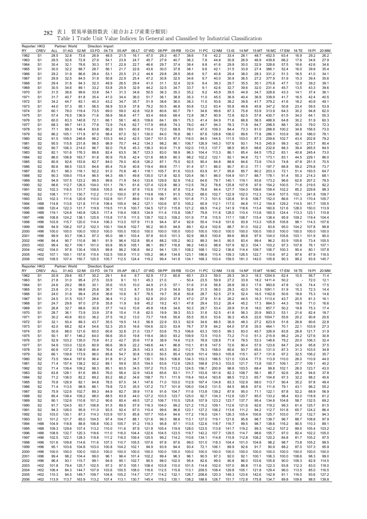| Reporter: HKG<br>RY | <b>CREV</b>                        | ALL            | Partner: World<br>01:AG | 02:MI          | Direction: Import<br>03:FD | 04:TX          | 05:AP          | 06:LT          | 07:WD          | 08:PP          | 09:RB          | 10:CH          | 11:PC          | 12:NM          | 13:IS          | 14:NF          | 15:MT          | 16:MC            | 17:EM          | 18:TE          | 19:PI          | 20:MM          |
|---------------------|------------------------------------|----------------|-------------------------|----------------|----------------------------|----------------|----------------|----------------|----------------|----------------|----------------|----------------|----------------|----------------|----------------|----------------|----------------|------------------|----------------|----------------|----------------|----------------|
| 1962                | S <sub>1</sub>                     | 28.5           | 32.8                    | 73.6           | 26.9                       | 48.5           | 21.5           | 16.1           | 47.0           | 29.3           | 40.7           | 38.6           | 7.6            | 42.2           | 33.4           | 28.1           | 48.7           | 452.5            | 63.4           | 16.9           | 29.2           | 26.2           |
| 1963<br>1964        | S <sub>1</sub><br>S <sub>1</sub>   | 29.5<br>30.4   | 32.6<br>32.1            | 72.8<br>78.6   | 27.9<br>30.3               | 54.1<br>57.1   | 23.9<br>22.9   | 24.7<br>22.7   | 45.7<br>46.6   | 27.9<br>29.7   | 40.7<br>37.4   | 36.3<br>38.4   | 7.8<br>9.8     | 44.8<br>41.6   | 30.8<br>29.9   | 26.9<br>30.0   | 46.9<br>32.9   | 439.8<br>328.6   | 66.2<br>57.5   | 17.6<br>16.6   | 34.6           | 27.9<br>34.6   |
| 1965                | S <sub>1</sub>                     | 30.0           | 32.2                    | 88.7           | 28.7                       | 56.1           | 21.7           | 22.6           | 43.6           | 30.0           | 37.8           | 38.1           | 9.6            | 42.1           | 31.5           | 33.9           | 27.4           | 366.1            | 52.4           | 16.0           | 42.6<br>39.9   | 35.4           |
| 1966                | S <sub>1</sub>                     | 29.2           | 31.9                    | 86.6           | 28.4                       | 53.1           | 20.5           | 21.2           | 44.8           | 29.8           | 28.5           | 36.6           | 9.7            | 40.8           | 29.4           | 38.0           | 28.3           | 331.2            | 51.3           | 16.5           | 41.0           | 34.1           |
| 1967                | S <sub>1</sub>                     | 29.9           | 32.5                    | 84.5           | 31.9                       | 50.8           | 22.9           | 25.4           | 47.2           | 30.8           | 32.5           | 34.6           | 9.7            | 40.0           | 30.9           | 36.5           | 27.2           | 377.9            | 51.9           | 15.3           | 39.4           | 35.6           |
| 1968<br>1969        | S <sub>1</sub><br>S <sub>1</sub>   | 29.4<br>30.5   | 31.8<br>34.6            | 94.3<br>89.1   | 32.3<br>33.2               | 49.9<br>53.8   | 26.5<br>25.9   | 29.4<br>32.9   | 41.0<br>44.2   | 31.1<br>32.5   | 32.4<br>34.7   | 32.9<br>33.7   | 9.4<br>9.1     | 39.3<br>42.6   | 29.7<br>32.7   | 35.5<br>39.6   | 30.1<br>32.0   | 270.8<br>231.4   | 47.7<br>45.7   | 12.8<br>13.5   | 39.2<br>43.3   | 39.1<br>39.6   |
| 1970                | S <sub>1</sub>                     | 31.5           | 36.6                    | 99.6           | 33.8                       | 54.1           | 31.3           | 34.6           | 50.5           | 36.3           | 35.3           | 35.2           | 9.2            | 45.9           | 39.5           | 44.9           | 34.7           | 328.8            | 43.3           | 14.1           | 37.4           | 36.1           |
| 1971                | S <sub>1</sub>                     | 31.7           | 40.7                    | 81.8           | 35.4                       | 41.0           | 34.4           | 36.0           | 51.7           | 36.1           | 38.9           | 35.3           | 11.0           | 45.5           | 36.9           | 40.4           | 36.9           | 339.9            | 41.7           | 16.5           | 42.4           | 40.5           |
| 1972<br>1973        | S <sub>1</sub><br>S <sub>1</sub>   | 34.2<br>44.0   | 44.7<br>57.3            | 83.1<br>95.1   | 40.3<br>56.5               | 43.2<br>58.9   | 34.7<br>53.9   | 35.7<br>37.8   | 51.9<br>79.2   | 38.6<br>50.5   | 36.0<br>46.8   | 38.3<br>50.8   | 11.0<br>13.2   | 50.6<br>63.4   | 38.2<br>55.8   | 39.8<br>49.8   | 41.7<br>45.8   | 379.2<br>347.2   | 41.6<br>50.8   | 18.2<br>23.4   | 40.9<br>59.5   | 49.1<br>53.9   |
| 1974                | S <sub>1</sub>                     | 60.1           | 78.0                    | 119.4          | 73.5                       | 69.0           | 59.0           | 42.8           | 102.8          | 80.6           | 60.7           | 79.1           | 34.6           | 99.6           | 87.3           | 75.8           | 53.9           | 313.9            | 64.3           | 30.2           | 94.8           | 62.0           |
| 1975                | S <sub>1</sub>                     | 57.4           | 76.5                    | 136.9          | 71.6                       | 58.9           | 56.6           | 47.7           | 93.4           | 69.6           | 68.4           | 72.8           | 38.7           | 90.9           | 72.8           | 62.5           | 57.8           | 430.7            | 61.5           | 34.0           | 64.1           | 55.3           |
| 1976<br>1977        | S <sub>1</sub><br>S <sub>1</sub>   | 60.0<br>68.3   | 83.3<br>99.7            | 140.8<br>141.3 | 72.1<br>77.8               | 66.1<br>72.9   | 58.1<br>74.6   | 46.5<br>62.7   | 109.6<br>117.9 | 64.1<br>69.8   | 69.1<br>74.3   | 75.3<br>78.0   | 41.4<br>44.7   | 84.9<br>94.3   | 71.6<br>76.3   | 66.8<br>71.8   | 56.5<br>64.7   | 488.9<br>298.5   | 64.8<br>88.1   | 30.2<br>30.5   | 51.9<br>79.0   | 60.3<br>72.3   |
| 1978                | S <sub>1</sub>                     | 77.1           | 99.3                    | 146.4          | 83.8                       | 86.2           | 69.1           | 60.8           | 110.4          | 72.0           | 68.9           | 78.0           | 47.0           | 109.3          | 84.4           | 73.3           | 81.0           | 288.9            | 100.2          | 34.8           | 156.5          | 73.0           |
| 1979                | S <sub>2</sub>                     | 86.2           | 105.1                   | 171.8          | 87.9                       | 98.4           | 67.0           | 52.1           | 130.0          | 84.0           | 76.8           | 98.1           | 67.6           | 128.8          | 106.0          | 89.6           | 77.8           | 286.1            | 103.9          | 38.3           | 186.0          | 78.1           |
| 1980                | S <sub>2</sub>                     | 91.5           | 109.5<br>115.8          | 246.8<br>231.8 | 96.2                       | 103.3<br>98.9  | 64.2<br>70.7   | 42.5<br>44.2   | 124.7<br>134.3 | 101.5          | 87.5<br>86.1   | 116.0<br>106.7 | 84.0<br>126.9  | 144.5          | 111.5<br>107.6 | 103.0          | 87.3           | 259.6            | 102.7<br>99.3  | 43.4<br>42.1   | 202.8<br>273.7 | 79.2           |
| 1981<br>1982        | S <sub>2</sub><br>S <sub>2</sub>   | 95.5<br>90.7   | 106.3                   | 214.0          | 98.5<br>96.7               | 92.0           | 75.6           | 45.3           | 136.3          | 98.2<br>93.9   | 71.9           | 102.0          | 115.3          | 145.3<br>137.7 | 98.5           | 93.1<br>85.5   | 74.5<br>68.6   | 245.9<br>232.6   | 88.3           | 39.4           | 265.5          | 80.4<br>84.5   |
| 1983                | S <sub>2</sub>                     | 82.1           | 101.6                   | 176.3          | 89.8                       | 82.4           | 63.5           | 38.7           | 123.3          | 83.0           | 58.9           | 96.3           | 104.4          | 113.3          | 86.1           | 85.4           | 64.5           | 175.2            | 83.1           | 40.8           | 245.4          | 73.0           |
| 1984                | S <sub>2</sub>                     | 86.0           | 106.8                   | 163.7          | 91.8                       | 90.9           | 70.6           | 42.4           | 121.6          | 88.9           | 80.3           | 98.2           | 102.2          | 122.1          | 92.1           | 94.8           | 72.1           | 173.1            | 83.1           | 44.5           | 229.1          | 86.0           |
| 1985<br>1986        | S <sub>2</sub><br>S <sub>2</sub>   | 80.9<br>80.6   | 92.6<br>88.5            | 153.6<br>133.5 | 82.7<br>84.8               | 84.0<br>85.4   | 76.0<br>70.8   | 40.6<br>40.8   | 126.2<br>119.4 | 87.1<br>89.8   | 75.0<br>77.1   | 92.5<br>91.4   | 95.4<br>57.1   | 84.8<br>86.0   | 88.6<br>90.7   | 84.6<br>81.0   | 73.9<br>77.1   | 174.0<br>197.7   | 74.8<br>66.8   | 47.8<br>59.2   | 251.5<br>276.8 | 70.5<br>73.7   |
| 1987                | S <sub>2</sub>                     | 83.1           | 98.3                    | 116.1          | 92.2                       | 91.0           | 70.8           | 46.1           | 118.1          | 105.7          | 81.6           | 103.5          | 63.9           | 91.7           | 95.6           | 85.7           | 80.2           | 203.3            | 72.1           | 51.4           | 193.5          | 64.7           |
| 1988                | S <sub>2</sub>                     | 90.3           | 109.0                   | 115.4          | 96.5                       | 94.3           | 68.1           | 49.8           | 135.0          | 121.8          | 92.5           | 120.4          | 56.1           | 86.0           | 104.9          | 101.7          | 88.7           | 178.1            | 91.4           | 55.3           | 214.3          | 68.1           |
| 1989<br>1990        | S <sub>2</sub><br>S <sub>2</sub>   | 94.9<br>98.6   | 107.5<br>112.7          | 123.2<br>126.5 | 99.5<br>104.0              | 99.6<br>101.1  | 71.9<br>78.1   | 54.0<br>61.6   | 133.6<br>127.4 | 129.9<br>122.8 | 92.9<br>88.3   | 116.2<br>112.5 | 64.6<br>78.2   | 79.7<br>78.8   | 140.1<br>125.8 | 119.1<br>107.8 | 93.6<br>97.9   | 173.2<br>154.2   | 96.6<br>100.5  | 62.6<br>71.6   | 207.2<br>219.5 | 78.5<br>92.2   |
| 1991                | S <sub>2</sub>                     | 102.3          | 116.5                   | 131.7          | 108.6                      | 105.5          | 80.4           | 67.9           | 110.6          | 117.8          | 87.8           | 112.4          | 78.6           | 84.4           | 127.7          | 104.0          | 108.6          | 159.4            | 102.2          | 85.2           | 229.8          | 98.3           |
| 1992                | S <sub>2</sub>                     | 108.1          | 117.1                   | 130.7          | 112.2                      | 111.0          | 100.0          | 87.6           | 119.8          | 106.1          | 91.5           | 105.2          | 68.0           | 102.7          | 122.9          | 102.0          | 112.3          | 134.6            | 107.5          | 102.1          | 241.8          | 109.7          |
| 1993                | S <sub>3</sub>                     | 102.3          | 111.6                   | 120.9          | 110.0                      | 102.8          | 101.7          | 89.6           | 131.9          | 99.7           | 95.1           | 101.8          | 71.3           | 101.5          | 120.8          | 91.6           | 108.7          | 152.0            | 86.6           | 111.3          | 170.4          | 105.7          |
| 1994<br>1995        | H88<br>H88                         | 114.8<br>120.4 | 113.6<br>122.3          | 121.8<br>131.7 | 111.8<br>119.9             | 108.4<br>119.5 | 105.4<br>111.9 | 94.2<br>100.7  | 127.1<br>134.5 | 100.6<br>127.0 | 97.5<br>115.8  | 105.2<br>121.2 | 65.9<br>69.5   | 112.1<br>114.2 | 117.0<br>141.9 | 94.8<br>118.6  | 111.2<br>113.4 | 154.8<br>160.6   | 129.2<br>121.6 | 114.5<br>128.0 | 161.7<br>150.0 | 105.5<br>113.9 |
| 1996                | H88                                | 119.1          | 124.8                   | 140.8          | 126.5                      | 117.4          | 118.4          | 108.5          | 134.9          | 111.4          | 115.8          | 108.7          | 79.8           | 111.8          | 128.0          | 110.4          | 113.8          | 160.5            | 124.4          | 113.3          | 123.1          | 110.8          |
| 1997                | H <sub>96</sub>                    | 108.8          | 124.2                   | 138.1          | 125.9                      | 115.8          | 117.9          | 111.5          | 135.7          | 102.3          | 109.2          | 101.9          | 77.8           | 115.5          | 117.1          | 108.7          | 115.4          | 138.4            | 95.9           | 109.2          | 119.4          | 104.4          |
| 1998<br>1999        | H96<br>H <sub>96</sub>             | 103.9<br>94.9  | 115.7<br>106.2          | 120.0<br>107.2 | 114.4<br>102.3             | 106.3<br>100.1 | 113.0<br>104.8 | 107.9<br>102.7 | 111.9<br>95.2  | 94.4<br>90.5   | 97.4<br>94.8   | 92.9<br>89.1   | 55.4<br>62.4   | 114.8<br>102.6 | 101.6<br>88.7  | 93.9<br>91.0   | 113.3<br>102.2 | 105.8<br>83.6    | 105.8<br>95.0  | 98.1<br>104.2  | 114.3<br>107.8 | 107.6<br>99.8  |
| 2000                | H <sub>96</sub>                    | 100.0          | 100.0                   | 100.0          | 100.0                      | 100.0          | 100.0          | 100.0          | 100.0          | 100.0          | 100.0          | 100.0          | 100.0          | 100.0          | 100.0          | 100.0          | 100.0          | 100.0            | 100.0          | 100.0          | 100.0          | 100.0          |
| 2001                | H <sub>96</sub>                    | 99.9           | 93.7                    | 106.3          | 97.3                       | 95.0           | 98.1           | 103.4          | 97.8           | 93.5           | 101.3          | 92.9           | 88.5           | 100.6          | 89.6           | 89.8           | 97.9           | 104.0            | 105.6          | 103.1          | 101.9          | 90.0           |
| 2002                | H96                                | 94.4           | 90.7                    | 110.8          | 98.1                       | 91.9           | 96.4           | 102.8          | 85.4           | 88.2           | 105.2          | 90.2           | 89.3           | 94.5           | 90.5           | 83.4           | 99.4<br>104.1  | 96.2             | 93.9           | 105.6          | 73.4           | 105.5          |
| 2003<br>2004        | H <sub>02</sub><br>H <sub>02</sub> | 99.4<br>104.0  | 92.7<br>97.8            | 109.1<br>130.4 | 101.0<br>109.5             | 93.8<br>99.8   | 95.9<br>96.2   | 105.1<br>106.8 | 96.1<br>94.2   | 89.7<br>94.1   | 116.8<br>125.1 | 96.2<br>108.2  | 145.0<br>168.1 | 98.9<br>102.2  | 107.9<br>136.6 | 92.3<br>114.4  | 109.7          | 103.2<br>106.7   | 97.3<br>100.3  | 107.8<br>95.4  | 76.1<br>80.1   | 107.1<br>107.8 |
| 2005                | H <sub>02</sub>                    | 107.1          | 100.1                   | 157.6          | 115.4                      | 102.5          | 100.9          | 111.0          | 105.2          | 96.4           | 134.8          | 123.1          | 186.6          | 110.4          | 159.3          | 126.5          | 122.7          | 110.6            | 97.2           | 97.6           | 87.9           | 116.5          |
|                     | H <sub>02</sub>                    | 109.5          | 107.4                   | 150.7          | 120.5                      | 105.7          | 112.5          | 124.4          | 119.2          | 99.4           | 141.8          | 134.1          | 168.3          | 103.4          | 159.5          | 181.3          | 142.0          | 105.8            | 90.3           | 99.2           | 93.9           | 145.7          |
| 2006                |                                    |                |                         |                |                            |                |                |                |                |                |                |                |                |                |                |                |                |                  |                |                |                |                |
| Reporter: HKG       |                                    |                | Partner: World          |                | Direction: Export          |                |                |                |                |                |                |                |                |                |                |                |                |                  |                |                |                |                |
| RY<br>1962          | CREV<br>S <sub>1</sub>             | ALL<br>20.9    | 01:AG<br>29.6           | 02:MI<br>93.7  | 03:FD<br>30.2              | 04:TX<br>29.1  | 05:AP<br>8.4   | 06:LT<br>9.7   | 07:WD<br>52.9  | 08:PP<br>17.3  | 09:RB<br>60.8  | 10:CH<br>60.1  | 11:PC<br>23.3  | 12:NM<br>59.0  | 13:IS<br>29.3  | 14:NF<br>34.3  | 15:MT<br>18.3  | 16:MC<br>1204.9  | 17:EM<br>62.4  | 18:TE<br>10.5  | 19:PI<br>56.7  | 20:MM<br>11.4  |
| 1963                | S <sub>1</sub>                     | 21.8           | 31.0                    | 95.4           | 27.5                       | 33.9           | 9.1            | 10.1           | 45.3           | 21.0           |                | 50.4           | 23.5           | 59.9           | 27.2           | 33.9           | 18.2           | 1411.4           | 50.2           |                | 72.0           | 12.1           |
| 1964                | S <sub>1</sub>                     | 24.6           | 29.2                    | 98.6           | 30.1                       | 35.6           | 10.5           | 10.0           | 44.9           | 21.5           | 57.1           | 51.6           | 31.6           | 56.8           | 28.8           | 39.3           | 17.9           | 993.6            | 47.8           | 12.6           | 74.4           | 17.5           |
| 1965                | S <sub>1</sub>                     | 23.8           | 31.3                    | 99.8           | 25.8                       | 36.7           | 10.3           | 8.7            | 53.8           | 21.9           | 54.9           | 52.8           | 31.5           | 58.0           | 29.3           | 42.0           | 16.3           | 1091.1           | 51.9           | 15.3           | 72.3           | 14.4           |
| 1966<br>1967        | S <sub>1</sub><br>S <sub>1</sub>   | 24.0<br>24.5   | 31.6<br>31.5            | 99.4<br>103.7  | 25.8<br>28.6               | 36.6<br>36.4   | 10.6<br>11.2   | 8.7<br>9.2     | 76.5<br>62.8   | 19.7<br>20.0   | 35.8<br>37.9   | 50.8<br>47.0   | 28.7<br>27.9   | 52.5<br>51.6   | 27.9<br>28.2   | 52.4<br>44.5   | 16.5<br>16.3   | 1162.8<br>1113.4 | 50.6<br>43.7   | 18.6<br>20.5   | 75.3<br>81.3   | 14.6<br>16.1   |
| 1968                | S <sub>1</sub>                     | 24.7           | 29.8                    | 97.0           | 27.8                       | 35.8           | 11.9           | 9.8            | 45.2           | 19.2           | 43.1           | 47.8           | 29.4           | 53.2           | 26.4           | 45.2           | 17.3           | 864.5            | 44.3           | 19.8           | 71.0           | 16.6           |
| 1969                | S <sub>1</sub>                     | 26.8           | 32.7                    | 68.6           | 30.9                       | 37.7           | 14.0           | 10.6           | 45.8           | 18.8           | 34.6           | 50.3           | 29.7           | 53.4           | 29.9           | 51.8           | 18.0           | 857.7            | 50.2           | 19.8           | 75.3           | 17.4           |
| 1970<br>1971        | S <sub>1</sub><br>S <sub>1</sub>   | 28.7<br>30.2   | 36.1<br>40.6            | 73.9<br>83.0   | 33.9<br>36.2               | 37.8<br>37.5   | 15.4<br>16.2   | 11.8<br>13.0   | 62.5<br>73.7   | 19.9<br>19.8   | 39.3<br>55.6   | 53.3<br>55.5   | 31.6<br>35.0   | 52.5<br>53.6   | 41.8<br>36.3   | 56.3<br>45.6   | 20.9<br>22.6   | 993.3<br>1004.7  | 53.1<br>55.6   | 21.6<br>20.2   | 82.4<br>90.8   | 18.7<br>20.6   |
| 1972                | 51                                 | 32.1           | 50.4                    | 89.3           | 43.7                       | 35.5           | 19.5           | 14.3           | 56.9           | 22.9           | 53.3           | 62.9           | 34.6           | 66.5           | 36.9           | 48.3           | 27.2           | 623.9            | 51.8           | 26.8           | 90.6           | 22.8           |
| 1973                | S <sub>1</sub>                     | 42.0           | 68.2                    | 92.4           | 54.6                       | 52.3           | 25.5           | 16.6           | 104.6          | 32.0           | 53.9           | 76.7           | 37.9           | 84.2           | 64.0           | 57.8           | 35.5           | 464.1            | 70.1           | 22.1           | 103.9          | 27.3           |
| 1974<br>1975        | S <sub>1</sub><br>S <sub>1</sub>   | 50.9<br>50.1   | 88.0<br>87.1            | 121.6<br>146.2 | 60.0<br>64.0               | 60.6<br>56.6   | 32.8<br>35.0   | 21.0<br>19.8   | 133.7<br>118.4 | 53.6<br>38.0   | 75.3<br>93.2   | 106.6<br>109.9 | 63.3<br>72.5   | 100.5<br>110.5 | 99.3<br>73.2   | 83.0<br>71.0   | 45.7<br>51.3   | 326.9<br>215.9   | 83.8<br>86.2   | 26.8<br>24.2   | 121.7<br>127.6 | 31.9<br>30.8   |
| 1976                | S <sub>1</sub>                     | 52.9           | 103.2                   | 135.0          | 70.8                       | 61.2           | 42.7           | 20.6           | 117.8          | 38.9           | 74.6           | 112.5          | 78.9           | 128.8          | 71.9           | 78.5           | 53.3           | 148.6            | 79.2           | 20.0           | 106.3          | 32.4           |
| 1977                | S <sub>1</sub>                     | 54.9           | 133.0                   | 132.6          | 80.9                       | 66.6           | 36.9           | 22.2           | 149.6          | 44.1           | 86.8           | 110.1          | 81.8           | 147.5          | 72.6           | 90.4           | 57.9           | 123.6            | 84.7           | 24.9           | 95.8           | 37.5           |
| 1978<br>1979        | S <sub>1</sub><br>S <sub>2</sub>   | 60.8<br>66.1   | 137.2<br>139.8          | 136.9<br>173.9 | 86.4<br>96.0               | 76.4<br>85.8   | 47.9<br>54.7   | 28.5<br>30.8   | 143.3<br>135.0 | 45.3<br>50.5   | 80.2<br>85.4   | 112.7<br>120.9 | 79.3<br>101.4  | 158.0<br>169.0 | 85.6<br>105.8  | 93.7<br>115.1  | 65.0<br>67.7   | 131.0<br>131.8   | 87.3<br>97.2   | 31.3<br>32.5   | 103.5<br>106.2 | 34.8<br>35.7   |
| 1980                | S <sub>2</sub>                     | 73.5           | 164.4                   | 197.6          | 96.4                       | 91.8           | 61.2           | 34.7           | 130.1          | 59.3           | 106.6          | 134.3          | 153.3          | 186.5          | 121.0          | 133.4          | 77.5           | 113.9            | 110.0          | 26.0           | 110.9          | 44.0           |
| 1981                | S <sub>2</sub>                     | 71.4           | 157.4                   | 138.2          | 92.2                       | 89.1           | 59.9           | 35.5           | 154.5          | 63.6           | 112.6          | 129.5          | 168.8          | 219.3          | 103.5          | 121.7          | 73.8           | 100.7            | 109.1          | 27.7           | 109.1          | 40.2           |
| 1982                | S <sub>2</sub>                     | 71.4           | 139.4                   | 109.2          | 98.3                       | 85.1           | 60.5           | 34.5           | 157.2          | 70.5           | 113.2          | 124.5          | 156.7          | 200.9          | 98.8           | 103.5          | 68.4           | 99.8             | 102.1          | 26.0           | 123.7          | 43.0           |
| 1983<br>1984        | S <sub>2</sub><br>S <sub>2</sub>   | 63.8<br>71.2   | 128.1<br>136.0          | 81.6<br>82.2   | 88.5<br>89.2               | 76.0<br>83.2   | 56.4<br>66.2   | 32.9<br>34.6   | 143.6<br>158.7 | 65.6<br>70.1   | 83.1<br>111.9  | 111.7<br>116.4 | 153.8<br>163.4 | 161.6<br>163.8 | 82.3<br>88.5   | 108.7<br>112.3 | 56.1<br>65.7   | 86.7<br>104.8    | 92.6<br>97.3   | 26.4<br>32.2   | 94.6<br>98.2   | 37.8<br>45.6   |
| 1985                | S <sub>2</sub>                     | 70.8           | 126.9                   | 82.1           | 84.8                       | 78.5           | 67.0           | 34.1           | 147.6          | 71.0           | 103.0          | 112.9          | 167.4          | 134.8          | 83.3           | 102.9          | 68.0           | 113.7            | 90.4           | 35.2           | 97.8           | 49.4           |
| 1986                | S <sub>2</sub>                     | 71.4           | 113.5                   | 98.9           | 86.1                       | 79.8           | 72.5           | 35.5           | 137.2          | 73.7           | 101.9          | 106.0          | 104.0          | 131.5          | 84.5           | 88.8           | 67.6           | 111.6            | 79.1           | 43.1           | 96.2           | 55.2           |
| 1987<br>1988        | S <sub>2</sub><br>S <sub>2</sub>   | 75.9<br>85.4   | 122.6<br>138.4          | 102.7<br>109.2 | 89.3<br>98.0               | 84.9<br>88.5   | 82.7<br>83.9   | 39.9<br>44.0   | 117.6<br>127.2 | 91.6<br>103.5  | 104.7<br>123.7 | 111.6<br>125.0 | 113.8<br>92.7  | 139.2<br>134.3 | 87.8<br>112.6  | 95.0<br>120.7  | 71.1<br>85.5   | 122.1<br>133.2   | 87.8<br>98.4   | 52.2<br>63.0   | 68.9<br>118.9  | 56.9<br>61.2   |
| 1989                | S <sub>2</sub>                     | 90.1           | 132.6                   | 110.8          | 101.2                      | 90.6           | 85.4           | 49.5           | 127.2          | 106.7          | 110.5          | 125.8          | 107.9          | 123.2          | 123.7          | 137.7          | 95.4           | 134.8            | 104.8          | 58.7           | 132.5          | 69.2           |
| 1990                | S <sub>2</sub>                     | 91.7           | 124.5                   | 93.7           | 106.8                      | 91.5           | 89.5           | 57.9           | 116.3          | 104.0          | 99.2           | 121.2          | 115.2          | 109.1          | 112.6          | 121.6          | 92.6           | 119.2            | 99.3           | 61.4           | 125.7          | 81.5           |
| 1991<br>1992        | S <sub>2</sub><br>S <sub>2</sub>   | 94.3<br>103.0  | 126.0<br>130.1          | 95.9<br>87.3   | 111.0<br>114.3             | 93.5<br>103.9  | 92.4<br>107.5  | 67.0<br>85.8   | 110.4<br>107.7 | 99.6<br>105.4  | 96.6<br>94.6   | 123.1<br>117.2 | 127.2<br>116.0 | 106.2<br>124.1 | 113.6<br>126.3 | 111.2<br>105.4 | 94.2<br>100.6  | 112.7<br>125.7   | 101.8<br>103.0 | 65.7<br>77.2   | 124.2<br>132.7 | 86.4<br>94.3   |
| 1993                | S3                                 | 101.2          | 121.7                   | 85.0           | 104.5                      | 97.4           | 104.7          | 88.1           | 121.6          | 99.3           | 98.6           | 113.1          | 127.0          | 119.1          | 121.6          | 95.8           | 98.7           | 138.7            | 96.7           | 88.7           | 108.8          | 97.9           |
| 1994                | H88                                | 104.9          | 118.8                   | 88.8           | 106.8                      | 100.3          | 105.7          | 91.2           | 119.3          | 95.8           | 97.1           | 113.5          | 122.6          | 118.7          | 116.7          | 99.5           | 98.7           | 138.6            | 116.2          | 90.5           | 110.3          | 89.1           |
| 1995                | H88                                | 109.3          | 129.6                   | 107.4          | 113.2                      | 110.0          | 111.6          | 97.9           | 121.8          | 105.4          | 119.9          | 128.0          | 123.5          | 113.6          | 141.7          | 119.2          | 99.3           | 142.2            | 107.2          | 89.5           | 105.4          | 103.2          |
| 1996<br>1997        | H88<br>H96                         | 108.9<br>102.5 | 132.7<br>122.1          | 120.3<br>128.3 | 118.6<br>119.8             | 111.0<br>111.2 | 116.0<br>116.0 | 104.4<br>109.4 | 122.6<br>120.5 | 104.5<br>99.2  | 123.5<br>114.2 | 119.7<br>110.6 | 142.2<br>134.1 | 107.7<br>114.8 | 129.5<br>115.8 | 114.7<br>112.8 | 98.6<br>108.2  | 155.7<br>120.2   | 97.0<br>84.8   | 82.4<br>81.7   | 102.2<br>105.2 | 105.0<br>97.5  |
| 1998                | H96                                | 101.6          | 109.8                   | 114.6          | 111.6                      | 107.3          | 110.7          | 105.5          | 107.6          | 97.8           | 97.6           | 99.0           | 101.0          | 118.3          | 104.4          | 101.0          | 104.8          | 98.2             | 98.7           | 73.8           | 105.2          | 99.5           |
| 1999                | H <sub>96</sub>                    | 95.1           | 103.6                   | 104.8          | 103.0                      | 100.8          | 104.2          | 102.1          | 94.9           | 93.9           | 94.4           | 93.4           | 72.1           | 106.1          | 89.9           | 92.6           | 91.7           | 90.9             | 88.2           | 87.0           | 107.3          | 95.9           |
| 2000<br>2001        | H96<br>H96                         | 100.0<br>99.4  | 100.0<br>98.2           | 100.0<br>104.4 | 100.0<br>99.0              | 100.0<br>96.1  | 100.0<br>96.4  | 100.0<br>101.4 | 100.0<br>102.2 | 100.0<br>99.4  | 100.0<br>96.3  | 100.0<br>96.1  | 100.0<br>90.5  | 100.0<br>97.3  | 100.0<br>92.0  | 100.0<br>92.1  | 100.0<br>100.1 | 100.0<br>106.3   | 100.0<br>100.0 | 100.0<br>108.6 | 100.0<br>98.3  | 100.0<br>99.0  |
| 2002                | H96                                | 96.4           | 93.1                    | 115.7          | 99.1                       | 94.9           | 95.1           | 102.7          | 90.5           | 98.0           | 102.5          | 95.4           | 82.6           | 99.0           | 90.8           | 86.0           | 103.6          | 105.8            | 90.0           | 109.3          | 82.9           | 114.5          |
| 2003                | H <sub>02</sub>                    | 101.8          | 79.4                    | 125.7          | 102.5                      | 97.3           | 97.0           | 105.1          | 108.4          | 103.8          | 110.0          | 101.5          | 114.6          | 102.0          | 107.0          | 86.8           | 111.6          | 122.3            | 93.8           | 112.3          | 83.0           | 118.0          |
| 2004<br>2005        | H <sub>02</sub><br>H <sub>02</sub> | 106.4<br>110.3 | 84.3<br>94.5            | 144.7<br>149.7 | 107.9<br>109.7             | 103.6<br>104.8 | 100.5<br>105.2 | 108.0<br>114.7 | 116.6<br>127.7 | 112.5<br>114.2 | 115.8<br>132.1 | 113.1<br>126.7 | 209.5<br>208.6 | 108.4<br>120.3 | 129.8<br>149.3 | 105.1<br>123.6 | 121.8<br>142.6 | 129.4<br>142.9   | 96.0<br>91.1   | 113.5<br>116.0 | 85.0<br>93.6   | 116.5<br>127.2 |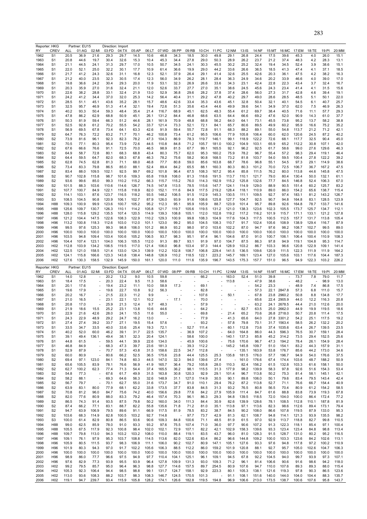| Reporter: HKG<br>Partner: EU15<br>Direction: Import<br>CREV<br>05:AP<br>07:WD<br>08:PP<br>09:RB<br>10:CH<br>11:PC<br>12:NM<br>$13:$ IS<br>RY<br>ALL<br>01:AG<br>02:MI<br>03:FD<br>04:TX<br>06:LT<br>14:NF<br>15:MT<br>1962<br>S1<br>20.5<br>21.6<br>29.3<br>29.7<br>10.6<br>34.3<br>18.5<br>30.0<br>49.8<br>29.1<br>26.8<br>24.4<br>17.5<br>36.9<br>14.5<br>46.8<br>20.8<br>30.4<br>32.6<br>29.0<br>50.3<br>28.9<br>26.2<br>23.7<br>21.2<br>S1<br>44.6<br>19.7<br>15.3<br>10.4<br>45.3<br>34.4<br>27.8<br>1963<br>30.2<br>25.2<br>32.4<br>1964<br>S1<br>21.1<br>44.5<br>24.1<br>31.3<br>29.7<br>17.0<br>10.5<br>50.7<br>24.1<br>30.3<br>45.5<br>19.4<br>34.5<br>22.0<br>25.0<br>32.2<br>29.0<br>33.6<br>36.5<br>1965<br>S1<br>52.1<br>30.1<br>17.7<br>10.9<br>61.4<br>36.6<br>19.9<br>44.2<br>26.6<br>18.5<br>21.7<br>32.6<br>29.1<br>32.6<br>25.5<br>20.3<br>1966<br>S1<br>41.2<br>24.3<br>31.1<br>16.8<br>12.3<br>52.1<br>37.9<br>26.4<br>41.4<br>42.6<br>32.3<br>20.2<br>S1<br>21.2<br>40.0<br>23.5<br>30.5<br>17.4<br>12.3<br>56.0<br>34.9<br>26.2<br>28.1<br>28.4<br>36.3<br>24.9<br>34.6<br>1967<br>22.8<br>1968<br>S1<br>19.8<br>36.6<br>24.2<br>30.4<br>29.3<br>20.0<br>11.9<br>53.1<br>32.3<br>26.9<br>26.6<br>33.6<br>34.3<br>23.1<br>42.4<br>S1<br>20.3<br>35.9<br>27.0<br>31.6<br>32.4<br>21.1<br>12.0<br>52.6<br>33.7<br>27.7<br>27.0<br>35.1<br>38.6<br>24.5<br>45.6<br>24.3<br>1969<br>22.6<br>32.4<br>37.8<br>1970<br>38.2<br>28.8<br>33.1<br>21.9<br>13.0<br>52.9<br>36.8<br>29.6<br>28.2<br>37.4<br>28.6<br>56.0<br>27.3<br>S1<br>1971<br>S1<br>24.2<br>41.2<br>34.4<br>37.0<br>32.0<br>25.3<br>14.2<br>56.4<br>40.4<br>31.1<br>29.2<br>47.8<br>40.2<br>29.7<br>49.0<br>28.6<br>1972<br>S1<br>28.5<br>51.1<br>45.1<br>43.6<br>35.2<br>28.1<br>15.7<br>48.6<br>42.6<br>33.4<br>35.3<br>43.6<br>45.1<br>32.8<br>50.4<br>32.1<br>1973<br>S1<br>32.5<br>95.7<br>46.9<br>51.3<br>41.4<br>32.1<br>19.4<br>72.6<br>51.3<br>35.6<br>43.4<br>44.6<br>49.9<br>39.6<br>54.1<br>34.9<br>1974<br>S1<br>40.2<br>93.3<br>50.4<br>59.3<br>48.4<br>35.4<br>21.4<br>116.7<br>68.9<br>45.1<br>62.5<br>48.3<br>55.4<br>61.2<br>69.7<br>38.4<br>1975<br>S1<br>47.8<br>86.2<br>62.9<br>68.8<br>50.9<br>45.1<br>26.1<br>131.2<br>84.4<br>46.8<br>68.6<br>63.5<br>64.4<br>66.6<br>69.2<br>47.6<br>1976<br>S1<br>50.3<br>81.9<br>59.4<br>66.3<br>51.2<br>44.6<br>28.1<br>161.9<br>70.9<br>48.8<br>68.8<br>56.2<br>64.0<br>64.1<br>73.1<br>45.5<br>1977<br>S1<br>52.5<br>92.8<br>61.2<br>70.2<br>55.5<br>54.2<br>33.7<br>121.4<br>73.3<br>52.1<br>72.1<br>84.1<br>65.7<br>80.6<br>89.5<br>49.9<br>1978<br>S1<br>56.9<br>69.5<br>67.8<br>73.4<br>64.1<br>63.3<br>42.6<br>91.9<br>59.4<br>55.7<br>72.8<br>91.1<br>68.3<br>88.2<br>89.1<br>55.0<br>1979<br>S2<br>64.7<br>76.3<br>72.2<br>83.2<br>71.7<br>70.1<br>46.2<br>100.8<br>73.4<br>61.2<br>95.5<br>106.6<br>77.9<br>105.8<br>106.4<br>60.0<br>S2<br>122.2<br>1980<br>73.9<br>81.6<br>96.1<br>92.3<br>82.3<br>78.2<br>47.3<br>104.3<br>86.9<br>78.3<br>119.7<br>146.1<br>99.1<br>118.9<br>72.6<br>S2<br>110.8<br>100.2<br>103.1<br>1981<br>70.5<br>77.1<br>80.3<br>95.4<br>73.9<br>72.6<br>44.5<br>84.8<br>71.2<br>105.7<br>181.0<br>104.9<br>65.9<br>S <sub>2</sub><br>72.5<br>70.0<br>46.5<br>165.5<br>92.1<br>96.2<br>92.5<br>1982<br>67.6<br>66.6<br>76.6<br>91.1<br>98.9<br>81.5<br>67.7<br>99.1<br>61.7<br>75.9<br>78.2<br>1983<br>S2<br>64.9<br>58.7<br>72.8<br>80.1<br>68.3<br>68.8<br>43.4<br>80.3<br>75.7<br>62.0<br>95.3<br>160.2<br>96.7<br>55.4<br>59.5<br>73.2<br>1984<br>S2<br>64.4<br>64.7<br>82.0<br>68.3<br>67.8<br>46.3<br>78.2<br>75.6<br>58.2<br>90.8<br>168.5<br>81.8<br>103.7<br>54.0<br>78.6<br>1985<br>S2<br>62.8<br>74.5<br>62.8<br>81.3<br>71.1<br>68.0<br>46.8<br>77.7<br>80.8<br>59.0<br>85.6<br>163.8<br>68.7<br>96.8<br>55.1<br>S <sub>2</sub><br>85.0<br>160.3<br>80.3<br>101.2<br>70.0<br>1986<br>73.4<br>83.3<br>79.8<br>86.5<br>88.1<br>52.4<br>89.4<br>84.2<br>65.5<br>88.1<br>80.3<br>S <sub>2</sub><br>95.4<br>1987<br>83.4<br>88.0<br>109.5<br>102.1<br>92.5<br>99.7<br>69.2<br>101.8<br>96.4<br>67.5<br>108.3<br>167.2<br>85.8<br>111.5<br>76.2<br>1988<br>S <sub>2</sub><br>90.7<br>102.8<br>115.8<br>98.7<br>101.6<br>109.3<br>65.8<br>119.8<br>108.0<br>118.6<br>191.5<br>113.7<br>110.1<br>121.7<br>79.0<br>81.3<br>S2<br>93.6<br>99.6<br>85.0<br>99.3<br>110.2<br>115.2<br>66.3<br>115.7<br>115.2<br>76.0<br>114.3<br>192.9<br>115.2<br>125.8<br>132.6<br>77.7<br>1989<br>1990<br>S2<br>103.6<br>110.6<br>114.6<br>126.7<br>74.5<br>147.8<br>113.5<br>78.5<br>147.7<br>124.1<br>114.9<br>129.0<br>88.9<br>101.5<br>88.3<br>115.6<br>100.7<br>122.1<br>118.9<br>82.0<br>152.1<br>219.2<br>128.4<br>110.9<br>1991<br>S2<br>107.7<br>84.9<br>115.8<br>111.6<br>84.9<br>117.5<br>118.1<br>89.0 | 17:EM<br>16:MC<br>39.6<br>45.3<br>48.3<br>37.4<br>52.4<br>34.5<br>41.3<br>47.4<br>47.5<br>36.1<br>33.9<br>46.6<br>22.3<br>43.4<br>23.4<br>41.4<br>42.8<br>31.7<br>28.5<br>48.5<br>40.1<br>54.5<br>37.0<br>62.0<br>40.5<br>71.6<br>52.0<br>90.9<br>73.8<br>95.2<br>60.2<br>95.9<br>54.8<br>113.7<br>62.0<br>120.6<br>68.1<br>117.7<br>112.2<br>65.2<br>99.0<br>58.6<br>57.2<br>98.3<br>59.5<br>100.4<br>54.5<br>97.3<br>106.7<br>72.5 | 19:PI<br>18:TE<br>4.0<br>26.0<br>4.2<br>28.3<br>3.9<br>38.6<br>4.1<br>37.1<br>38.2<br>4.2<br>39.0<br>4.0<br>32.4<br>3.7<br>4.1<br>31.5<br>39.4<br>4.6<br>5.1<br>50.1<br>6.1<br>40.7<br>7.5<br>46.9<br>11.1<br>57.7<br>14.3<br>61.0<br>13.7<br>58.2<br>16.6<br>75.2<br>21.2<br>71.2<br>24.5<br>87.2<br>32.5<br>90.4<br>30.8<br>107.1<br>27.6<br>129.6<br>29.4<br>119.1<br>122.2<br>27.8 | 20:MM<br>15.1<br>13.1<br>15.1<br>18.5<br>16.3<br>17.0<br>16.7<br>15.6<br>19.1<br>22.0<br>25.7<br>26.3<br>29.3<br>37.7<br>38.8<br>35.2<br>42.1<br>40.2<br>45.0<br>42.0<br>46.3 |
|------------------------------------------------------------------------------------------------------------------------------------------------------------------------------------------------------------------------------------------------------------------------------------------------------------------------------------------------------------------------------------------------------------------------------------------------------------------------------------------------------------------------------------------------------------------------------------------------------------------------------------------------------------------------------------------------------------------------------------------------------------------------------------------------------------------------------------------------------------------------------------------------------------------------------------------------------------------------------------------------------------------------------------------------------------------------------------------------------------------------------------------------------------------------------------------------------------------------------------------------------------------------------------------------------------------------------------------------------------------------------------------------------------------------------------------------------------------------------------------------------------------------------------------------------------------------------------------------------------------------------------------------------------------------------------------------------------------------------------------------------------------------------------------------------------------------------------------------------------------------------------------------------------------------------------------------------------------------------------------------------------------------------------------------------------------------------------------------------------------------------------------------------------------------------------------------------------------------------------------------------------------------------------------------------------------------------------------------------------------------------------------------------------------------------------------------------------------------------------------------------------------------------------------------------------------------------------------------------------------------------------------------------------------------------------------------------------------------------------------------------------------------------------------------------------------------------------------------------------------------------------------------------------------------------------------------------------------------------------------------------------------------------------------------------------------------------------------------------------------------------------------------------------------------------------------------------------------------------------------------------------------------------------------------------------------------------------------------------------------------------------------------------------------------------------------------------------------------------------------------------------------------------------------------------------------------------------------------------------------------------------------------------------------------------------------------------------------------------------------------------------------------------------------------------------------------------------------------------------------------------------------------------------------------------------------------------------------------------------------------------------------------------------------------------------------------------------------------------------------------------------------------------------------------------------------------------------------------------------------------------------------------------------------------------------------------------------------------------------------------------------------------------------------------------------------------------------------------------------------------------------------------------------------------------------------------------------------------------------------------------------------------------------------------------------------------------------------------------------------------------------------------------------|--------------------------------------------------------------------------------------------------------------------------------------------------------------------------------------------------------------------------------------------------------------------------------------------------------------------------------------------------------------------------------------------------------------------------------------|----------------------------------------------------------------------------------------------------------------------------------------------------------------------------------------------------------------------------------------------------------------------------------------------------------------------------------------------------------------------------------------|-------------------------------------------------------------------------------------------------------------------------------------------------------------------------------|
|                                                                                                                                                                                                                                                                                                                                                                                                                                                                                                                                                                                                                                                                                                                                                                                                                                                                                                                                                                                                                                                                                                                                                                                                                                                                                                                                                                                                                                                                                                                                                                                                                                                                                                                                                                                                                                                                                                                                                                                                                                                                                                                                                                                                                                                                                                                                                                                                                                                                                                                                                                                                                                                                                                                                                                                                                                                                                                                                                                                                                                                                                                                                                                                                                                                                                                                                                                                                                                                                                                                                                                                                                                                                                                                                                                                                                                                                                                                                                                                                                                                                                                                                                                                                                                                                                                                                                                                                                                                                                                                                                                                                                                                                                                                                                                                    |                                                                                                                                                                                                                                                                                                                                                                                                                                      |                                                                                                                                                                                                                                                                                                                                                                                        |                                                                                                                                                                               |
|                                                                                                                                                                                                                                                                                                                                                                                                                                                                                                                                                                                                                                                                                                                                                                                                                                                                                                                                                                                                                                                                                                                                                                                                                                                                                                                                                                                                                                                                                                                                                                                                                                                                                                                                                                                                                                                                                                                                                                                                                                                                                                                                                                                                                                                                                                                                                                                                                                                                                                                                                                                                                                                                                                                                                                                                                                                                                                                                                                                                                                                                                                                                                                                                                                                                                                                                                                                                                                                                                                                                                                                                                                                                                                                                                                                                                                                                                                                                                                                                                                                                                                                                                                                                                                                                                                                                                                                                                                                                                                                                                                                                                                                                                                                                                                                    |                                                                                                                                                                                                                                                                                                                                                                                                                                      |                                                                                                                                                                                                                                                                                                                                                                                        |                                                                                                                                                                               |
|                                                                                                                                                                                                                                                                                                                                                                                                                                                                                                                                                                                                                                                                                                                                                                                                                                                                                                                                                                                                                                                                                                                                                                                                                                                                                                                                                                                                                                                                                                                                                                                                                                                                                                                                                                                                                                                                                                                                                                                                                                                                                                                                                                                                                                                                                                                                                                                                                                                                                                                                                                                                                                                                                                                                                                                                                                                                                                                                                                                                                                                                                                                                                                                                                                                                                                                                                                                                                                                                                                                                                                                                                                                                                                                                                                                                                                                                                                                                                                                                                                                                                                                                                                                                                                                                                                                                                                                                                                                                                                                                                                                                                                                                                                                                                                                    |                                                                                                                                                                                                                                                                                                                                                                                                                                      |                                                                                                                                                                                                                                                                                                                                                                                        |                                                                                                                                                                               |
|                                                                                                                                                                                                                                                                                                                                                                                                                                                                                                                                                                                                                                                                                                                                                                                                                                                                                                                                                                                                                                                                                                                                                                                                                                                                                                                                                                                                                                                                                                                                                                                                                                                                                                                                                                                                                                                                                                                                                                                                                                                                                                                                                                                                                                                                                                                                                                                                                                                                                                                                                                                                                                                                                                                                                                                                                                                                                                                                                                                                                                                                                                                                                                                                                                                                                                                                                                                                                                                                                                                                                                                                                                                                                                                                                                                                                                                                                                                                                                                                                                                                                                                                                                                                                                                                                                                                                                                                                                                                                                                                                                                                                                                                                                                                                                                    |                                                                                                                                                                                                                                                                                                                                                                                                                                      |                                                                                                                                                                                                                                                                                                                                                                                        |                                                                                                                                                                               |
|                                                                                                                                                                                                                                                                                                                                                                                                                                                                                                                                                                                                                                                                                                                                                                                                                                                                                                                                                                                                                                                                                                                                                                                                                                                                                                                                                                                                                                                                                                                                                                                                                                                                                                                                                                                                                                                                                                                                                                                                                                                                                                                                                                                                                                                                                                                                                                                                                                                                                                                                                                                                                                                                                                                                                                                                                                                                                                                                                                                                                                                                                                                                                                                                                                                                                                                                                                                                                                                                                                                                                                                                                                                                                                                                                                                                                                                                                                                                                                                                                                                                                                                                                                                                                                                                                                                                                                                                                                                                                                                                                                                                                                                                                                                                                                                    |                                                                                                                                                                                                                                                                                                                                                                                                                                      |                                                                                                                                                                                                                                                                                                                                                                                        |                                                                                                                                                                               |
|                                                                                                                                                                                                                                                                                                                                                                                                                                                                                                                                                                                                                                                                                                                                                                                                                                                                                                                                                                                                                                                                                                                                                                                                                                                                                                                                                                                                                                                                                                                                                                                                                                                                                                                                                                                                                                                                                                                                                                                                                                                                                                                                                                                                                                                                                                                                                                                                                                                                                                                                                                                                                                                                                                                                                                                                                                                                                                                                                                                                                                                                                                                                                                                                                                                                                                                                                                                                                                                                                                                                                                                                                                                                                                                                                                                                                                                                                                                                                                                                                                                                                                                                                                                                                                                                                                                                                                                                                                                                                                                                                                                                                                                                                                                                                                                    |                                                                                                                                                                                                                                                                                                                                                                                                                                      |                                                                                                                                                                                                                                                                                                                                                                                        |                                                                                                                                                                               |
|                                                                                                                                                                                                                                                                                                                                                                                                                                                                                                                                                                                                                                                                                                                                                                                                                                                                                                                                                                                                                                                                                                                                                                                                                                                                                                                                                                                                                                                                                                                                                                                                                                                                                                                                                                                                                                                                                                                                                                                                                                                                                                                                                                                                                                                                                                                                                                                                                                                                                                                                                                                                                                                                                                                                                                                                                                                                                                                                                                                                                                                                                                                                                                                                                                                                                                                                                                                                                                                                                                                                                                                                                                                                                                                                                                                                                                                                                                                                                                                                                                                                                                                                                                                                                                                                                                                                                                                                                                                                                                                                                                                                                                                                                                                                                                                    |                                                                                                                                                                                                                                                                                                                                                                                                                                      |                                                                                                                                                                                                                                                                                                                                                                                        |                                                                                                                                                                               |
|                                                                                                                                                                                                                                                                                                                                                                                                                                                                                                                                                                                                                                                                                                                                                                                                                                                                                                                                                                                                                                                                                                                                                                                                                                                                                                                                                                                                                                                                                                                                                                                                                                                                                                                                                                                                                                                                                                                                                                                                                                                                                                                                                                                                                                                                                                                                                                                                                                                                                                                                                                                                                                                                                                                                                                                                                                                                                                                                                                                                                                                                                                                                                                                                                                                                                                                                                                                                                                                                                                                                                                                                                                                                                                                                                                                                                                                                                                                                                                                                                                                                                                                                                                                                                                                                                                                                                                                                                                                                                                                                                                                                                                                                                                                                                                                    |                                                                                                                                                                                                                                                                                                                                                                                                                                      |                                                                                                                                                                                                                                                                                                                                                                                        |                                                                                                                                                                               |
|                                                                                                                                                                                                                                                                                                                                                                                                                                                                                                                                                                                                                                                                                                                                                                                                                                                                                                                                                                                                                                                                                                                                                                                                                                                                                                                                                                                                                                                                                                                                                                                                                                                                                                                                                                                                                                                                                                                                                                                                                                                                                                                                                                                                                                                                                                                                                                                                                                                                                                                                                                                                                                                                                                                                                                                                                                                                                                                                                                                                                                                                                                                                                                                                                                                                                                                                                                                                                                                                                                                                                                                                                                                                                                                                                                                                                                                                                                                                                                                                                                                                                                                                                                                                                                                                                                                                                                                                                                                                                                                                                                                                                                                                                                                                                                                    |                                                                                                                                                                                                                                                                                                                                                                                                                                      |                                                                                                                                                                                                                                                                                                                                                                                        |                                                                                                                                                                               |
|                                                                                                                                                                                                                                                                                                                                                                                                                                                                                                                                                                                                                                                                                                                                                                                                                                                                                                                                                                                                                                                                                                                                                                                                                                                                                                                                                                                                                                                                                                                                                                                                                                                                                                                                                                                                                                                                                                                                                                                                                                                                                                                                                                                                                                                                                                                                                                                                                                                                                                                                                                                                                                                                                                                                                                                                                                                                                                                                                                                                                                                                                                                                                                                                                                                                                                                                                                                                                                                                                                                                                                                                                                                                                                                                                                                                                                                                                                                                                                                                                                                                                                                                                                                                                                                                                                                                                                                                                                                                                                                                                                                                                                                                                                                                                                                    |                                                                                                                                                                                                                                                                                                                                                                                                                                      |                                                                                                                                                                                                                                                                                                                                                                                        |                                                                                                                                                                               |
|                                                                                                                                                                                                                                                                                                                                                                                                                                                                                                                                                                                                                                                                                                                                                                                                                                                                                                                                                                                                                                                                                                                                                                                                                                                                                                                                                                                                                                                                                                                                                                                                                                                                                                                                                                                                                                                                                                                                                                                                                                                                                                                                                                                                                                                                                                                                                                                                                                                                                                                                                                                                                                                                                                                                                                                                                                                                                                                                                                                                                                                                                                                                                                                                                                                                                                                                                                                                                                                                                                                                                                                                                                                                                                                                                                                                                                                                                                                                                                                                                                                                                                                                                                                                                                                                                                                                                                                                                                                                                                                                                                                                                                                                                                                                                                                    |                                                                                                                                                                                                                                                                                                                                                                                                                                      |                                                                                                                                                                                                                                                                                                                                                                                        |                                                                                                                                                                               |
|                                                                                                                                                                                                                                                                                                                                                                                                                                                                                                                                                                                                                                                                                                                                                                                                                                                                                                                                                                                                                                                                                                                                                                                                                                                                                                                                                                                                                                                                                                                                                                                                                                                                                                                                                                                                                                                                                                                                                                                                                                                                                                                                                                                                                                                                                                                                                                                                                                                                                                                                                                                                                                                                                                                                                                                                                                                                                                                                                                                                                                                                                                                                                                                                                                                                                                                                                                                                                                                                                                                                                                                                                                                                                                                                                                                                                                                                                                                                                                                                                                                                                                                                                                                                                                                                                                                                                                                                                                                                                                                                                                                                                                                                                                                                                                                    |                                                                                                                                                                                                                                                                                                                                                                                                                                      |                                                                                                                                                                                                                                                                                                                                                                                        |                                                                                                                                                                               |
|                                                                                                                                                                                                                                                                                                                                                                                                                                                                                                                                                                                                                                                                                                                                                                                                                                                                                                                                                                                                                                                                                                                                                                                                                                                                                                                                                                                                                                                                                                                                                                                                                                                                                                                                                                                                                                                                                                                                                                                                                                                                                                                                                                                                                                                                                                                                                                                                                                                                                                                                                                                                                                                                                                                                                                                                                                                                                                                                                                                                                                                                                                                                                                                                                                                                                                                                                                                                                                                                                                                                                                                                                                                                                                                                                                                                                                                                                                                                                                                                                                                                                                                                                                                                                                                                                                                                                                                                                                                                                                                                                                                                                                                                                                                                                                                    |                                                                                                                                                                                                                                                                                                                                                                                                                                      |                                                                                                                                                                                                                                                                                                                                                                                        |                                                                                                                                                                               |
|                                                                                                                                                                                                                                                                                                                                                                                                                                                                                                                                                                                                                                                                                                                                                                                                                                                                                                                                                                                                                                                                                                                                                                                                                                                                                                                                                                                                                                                                                                                                                                                                                                                                                                                                                                                                                                                                                                                                                                                                                                                                                                                                                                                                                                                                                                                                                                                                                                                                                                                                                                                                                                                                                                                                                                                                                                                                                                                                                                                                                                                                                                                                                                                                                                                                                                                                                                                                                                                                                                                                                                                                                                                                                                                                                                                                                                                                                                                                                                                                                                                                                                                                                                                                                                                                                                                                                                                                                                                                                                                                                                                                                                                                                                                                                                                    |                                                                                                                                                                                                                                                                                                                                                                                                                                      |                                                                                                                                                                                                                                                                                                                                                                                        |                                                                                                                                                                               |
|                                                                                                                                                                                                                                                                                                                                                                                                                                                                                                                                                                                                                                                                                                                                                                                                                                                                                                                                                                                                                                                                                                                                                                                                                                                                                                                                                                                                                                                                                                                                                                                                                                                                                                                                                                                                                                                                                                                                                                                                                                                                                                                                                                                                                                                                                                                                                                                                                                                                                                                                                                                                                                                                                                                                                                                                                                                                                                                                                                                                                                                                                                                                                                                                                                                                                                                                                                                                                                                                                                                                                                                                                                                                                                                                                                                                                                                                                                                                                                                                                                                                                                                                                                                                                                                                                                                                                                                                                                                                                                                                                                                                                                                                                                                                                                                    |                                                                                                                                                                                                                                                                                                                                                                                                                                      |                                                                                                                                                                                                                                                                                                                                                                                        |                                                                                                                                                                               |
|                                                                                                                                                                                                                                                                                                                                                                                                                                                                                                                                                                                                                                                                                                                                                                                                                                                                                                                                                                                                                                                                                                                                                                                                                                                                                                                                                                                                                                                                                                                                                                                                                                                                                                                                                                                                                                                                                                                                                                                                                                                                                                                                                                                                                                                                                                                                                                                                                                                                                                                                                                                                                                                                                                                                                                                                                                                                                                                                                                                                                                                                                                                                                                                                                                                                                                                                                                                                                                                                                                                                                                                                                                                                                                                                                                                                                                                                                                                                                                                                                                                                                                                                                                                                                                                                                                                                                                                                                                                                                                                                                                                                                                                                                                                                                                                    |                                                                                                                                                                                                                                                                                                                                                                                                                                      |                                                                                                                                                                                                                                                                                                                                                                                        |                                                                                                                                                                               |
|                                                                                                                                                                                                                                                                                                                                                                                                                                                                                                                                                                                                                                                                                                                                                                                                                                                                                                                                                                                                                                                                                                                                                                                                                                                                                                                                                                                                                                                                                                                                                                                                                                                                                                                                                                                                                                                                                                                                                                                                                                                                                                                                                                                                                                                                                                                                                                                                                                                                                                                                                                                                                                                                                                                                                                                                                                                                                                                                                                                                                                                                                                                                                                                                                                                                                                                                                                                                                                                                                                                                                                                                                                                                                                                                                                                                                                                                                                                                                                                                                                                                                                                                                                                                                                                                                                                                                                                                                                                                                                                                                                                                                                                                                                                                                                                    |                                                                                                                                                                                                                                                                                                                                                                                                                                      |                                                                                                                                                                                                                                                                                                                                                                                        |                                                                                                                                                                               |
|                                                                                                                                                                                                                                                                                                                                                                                                                                                                                                                                                                                                                                                                                                                                                                                                                                                                                                                                                                                                                                                                                                                                                                                                                                                                                                                                                                                                                                                                                                                                                                                                                                                                                                                                                                                                                                                                                                                                                                                                                                                                                                                                                                                                                                                                                                                                                                                                                                                                                                                                                                                                                                                                                                                                                                                                                                                                                                                                                                                                                                                                                                                                                                                                                                                                                                                                                                                                                                                                                                                                                                                                                                                                                                                                                                                                                                                                                                                                                                                                                                                                                                                                                                                                                                                                                                                                                                                                                                                                                                                                                                                                                                                                                                                                                                                    |                                                                                                                                                                                                                                                                                                                                                                                                                                      |                                                                                                                                                                                                                                                                                                                                                                                        |                                                                                                                                                                               |
|                                                                                                                                                                                                                                                                                                                                                                                                                                                                                                                                                                                                                                                                                                                                                                                                                                                                                                                                                                                                                                                                                                                                                                                                                                                                                                                                                                                                                                                                                                                                                                                                                                                                                                                                                                                                                                                                                                                                                                                                                                                                                                                                                                                                                                                                                                                                                                                                                                                                                                                                                                                                                                                                                                                                                                                                                                                                                                                                                                                                                                                                                                                                                                                                                                                                                                                                                                                                                                                                                                                                                                                                                                                                                                                                                                                                                                                                                                                                                                                                                                                                                                                                                                                                                                                                                                                                                                                                                                                                                                                                                                                                                                                                                                                                                                                    |                                                                                                                                                                                                                                                                                                                                                                                                                                      |                                                                                                                                                                                                                                                                                                                                                                                        |                                                                                                                                                                               |
|                                                                                                                                                                                                                                                                                                                                                                                                                                                                                                                                                                                                                                                                                                                                                                                                                                                                                                                                                                                                                                                                                                                                                                                                                                                                                                                                                                                                                                                                                                                                                                                                                                                                                                                                                                                                                                                                                                                                                                                                                                                                                                                                                                                                                                                                                                                                                                                                                                                                                                                                                                                                                                                                                                                                                                                                                                                                                                                                                                                                                                                                                                                                                                                                                                                                                                                                                                                                                                                                                                                                                                                                                                                                                                                                                                                                                                                                                                                                                                                                                                                                                                                                                                                                                                                                                                                                                                                                                                                                                                                                                                                                                                                                                                                                                                                    |                                                                                                                                                                                                                                                                                                                                                                                                                                      |                                                                                                                                                                                                                                                                                                                                                                                        |                                                                                                                                                                               |
|                                                                                                                                                                                                                                                                                                                                                                                                                                                                                                                                                                                                                                                                                                                                                                                                                                                                                                                                                                                                                                                                                                                                                                                                                                                                                                                                                                                                                                                                                                                                                                                                                                                                                                                                                                                                                                                                                                                                                                                                                                                                                                                                                                                                                                                                                                                                                                                                                                                                                                                                                                                                                                                                                                                                                                                                                                                                                                                                                                                                                                                                                                                                                                                                                                                                                                                                                                                                                                                                                                                                                                                                                                                                                                                                                                                                                                                                                                                                                                                                                                                                                                                                                                                                                                                                                                                                                                                                                                                                                                                                                                                                                                                                                                                                                                                    |                                                                                                                                                                                                                                                                                                                                                                                                                                      |                                                                                                                                                                                                                                                                                                                                                                                        |                                                                                                                                                                               |
|                                                                                                                                                                                                                                                                                                                                                                                                                                                                                                                                                                                                                                                                                                                                                                                                                                                                                                                                                                                                                                                                                                                                                                                                                                                                                                                                                                                                                                                                                                                                                                                                                                                                                                                                                                                                                                                                                                                                                                                                                                                                                                                                                                                                                                                                                                                                                                                                                                                                                                                                                                                                                                                                                                                                                                                                                                                                                                                                                                                                                                                                                                                                                                                                                                                                                                                                                                                                                                                                                                                                                                                                                                                                                                                                                                                                                                                                                                                                                                                                                                                                                                                                                                                                                                                                                                                                                                                                                                                                                                                                                                                                                                                                                                                                                                                    |                                                                                                                                                                                                                                                                                                                                                                                                                                      |                                                                                                                                                                                                                                                                                                                                                                                        |                                                                                                                                                                               |
|                                                                                                                                                                                                                                                                                                                                                                                                                                                                                                                                                                                                                                                                                                                                                                                                                                                                                                                                                                                                                                                                                                                                                                                                                                                                                                                                                                                                                                                                                                                                                                                                                                                                                                                                                                                                                                                                                                                                                                                                                                                                                                                                                                                                                                                                                                                                                                                                                                                                                                                                                                                                                                                                                                                                                                                                                                                                                                                                                                                                                                                                                                                                                                                                                                                                                                                                                                                                                                                                                                                                                                                                                                                                                                                                                                                                                                                                                                                                                                                                                                                                                                                                                                                                                                                                                                                                                                                                                                                                                                                                                                                                                                                                                                                                                                                    |                                                                                                                                                                                                                                                                                                                                                                                                                                      |                                                                                                                                                                                                                                                                                                                                                                                        |                                                                                                                                                                               |
|                                                                                                                                                                                                                                                                                                                                                                                                                                                                                                                                                                                                                                                                                                                                                                                                                                                                                                                                                                                                                                                                                                                                                                                                                                                                                                                                                                                                                                                                                                                                                                                                                                                                                                                                                                                                                                                                                                                                                                                                                                                                                                                                                                                                                                                                                                                                                                                                                                                                                                                                                                                                                                                                                                                                                                                                                                                                                                                                                                                                                                                                                                                                                                                                                                                                                                                                                                                                                                                                                                                                                                                                                                                                                                                                                                                                                                                                                                                                                                                                                                                                                                                                                                                                                                                                                                                                                                                                                                                                                                                                                                                                                                                                                                                                                                                    |                                                                                                                                                                                                                                                                                                                                                                                                                                      |                                                                                                                                                                                                                                                                                                                                                                                        |                                                                                                                                                                               |
|                                                                                                                                                                                                                                                                                                                                                                                                                                                                                                                                                                                                                                                                                                                                                                                                                                                                                                                                                                                                                                                                                                                                                                                                                                                                                                                                                                                                                                                                                                                                                                                                                                                                                                                                                                                                                                                                                                                                                                                                                                                                                                                                                                                                                                                                                                                                                                                                                                                                                                                                                                                                                                                                                                                                                                                                                                                                                                                                                                                                                                                                                                                                                                                                                                                                                                                                                                                                                                                                                                                                                                                                                                                                                                                                                                                                                                                                                                                                                                                                                                                                                                                                                                                                                                                                                                                                                                                                                                                                                                                                                                                                                                                                                                                                                                                    |                                                                                                                                                                                                                                                                                                                                                                                                                                      |                                                                                                                                                                                                                                                                                                                                                                                        |                                                                                                                                                                               |
|                                                                                                                                                                                                                                                                                                                                                                                                                                                                                                                                                                                                                                                                                                                                                                                                                                                                                                                                                                                                                                                                                                                                                                                                                                                                                                                                                                                                                                                                                                                                                                                                                                                                                                                                                                                                                                                                                                                                                                                                                                                                                                                                                                                                                                                                                                                                                                                                                                                                                                                                                                                                                                                                                                                                                                                                                                                                                                                                                                                                                                                                                                                                                                                                                                                                                                                                                                                                                                                                                                                                                                                                                                                                                                                                                                                                                                                                                                                                                                                                                                                                                                                                                                                                                                                                                                                                                                                                                                                                                                                                                                                                                                                                                                                                                                                    |                                                                                                                                                                                                                                                                                                                                                                                                                                      |                                                                                                                                                                                                                                                                                                                                                                                        |                                                                                                                                                                               |
|                                                                                                                                                                                                                                                                                                                                                                                                                                                                                                                                                                                                                                                                                                                                                                                                                                                                                                                                                                                                                                                                                                                                                                                                                                                                                                                                                                                                                                                                                                                                                                                                                                                                                                                                                                                                                                                                                                                                                                                                                                                                                                                                                                                                                                                                                                                                                                                                                                                                                                                                                                                                                                                                                                                                                                                                                                                                                                                                                                                                                                                                                                                                                                                                                                                                                                                                                                                                                                                                                                                                                                                                                                                                                                                                                                                                                                                                                                                                                                                                                                                                                                                                                                                                                                                                                                                                                                                                                                                                                                                                                                                                                                                                                                                                                                                    |                                                                                                                                                                                                                                                                                                                                                                                                                                      |                                                                                                                                                                                                                                                                                                                                                                                        | 46.4                                                                                                                                                                          |
|                                                                                                                                                                                                                                                                                                                                                                                                                                                                                                                                                                                                                                                                                                                                                                                                                                                                                                                                                                                                                                                                                                                                                                                                                                                                                                                                                                                                                                                                                                                                                                                                                                                                                                                                                                                                                                                                                                                                                                                                                                                                                                                                                                                                                                                                                                                                                                                                                                                                                                                                                                                                                                                                                                                                                                                                                                                                                                                                                                                                                                                                                                                                                                                                                                                                                                                                                                                                                                                                                                                                                                                                                                                                                                                                                                                                                                                                                                                                                                                                                                                                                                                                                                                                                                                                                                                                                                                                                                                                                                                                                                                                                                                                                                                                                                                    |                                                                                                                                                                                                                                                                                                                                                                                                                                      |                                                                                                                                                                                                                                                                                                                                                                                        | 39.2                                                                                                                                                                          |
|                                                                                                                                                                                                                                                                                                                                                                                                                                                                                                                                                                                                                                                                                                                                                                                                                                                                                                                                                                                                                                                                                                                                                                                                                                                                                                                                                                                                                                                                                                                                                                                                                                                                                                                                                                                                                                                                                                                                                                                                                                                                                                                                                                                                                                                                                                                                                                                                                                                                                                                                                                                                                                                                                                                                                                                                                                                                                                                                                                                                                                                                                                                                                                                                                                                                                                                                                                                                                                                                                                                                                                                                                                                                                                                                                                                                                                                                                                                                                                                                                                                                                                                                                                                                                                                                                                                                                                                                                                                                                                                                                                                                                                                                                                                                                                                    |                                                                                                                                                                                                                                                                                                                                                                                                                                      |                                                                                                                                                                                                                                                                                                                                                                                        |                                                                                                                                                                               |
|                                                                                                                                                                                                                                                                                                                                                                                                                                                                                                                                                                                                                                                                                                                                                                                                                                                                                                                                                                                                                                                                                                                                                                                                                                                                                                                                                                                                                                                                                                                                                                                                                                                                                                                                                                                                                                                                                                                                                                                                                                                                                                                                                                                                                                                                                                                                                                                                                                                                                                                                                                                                                                                                                                                                                                                                                                                                                                                                                                                                                                                                                                                                                                                                                                                                                                                                                                                                                                                                                                                                                                                                                                                                                                                                                                                                                                                                                                                                                                                                                                                                                                                                                                                                                                                                                                                                                                                                                                                                                                                                                                                                                                                                                                                                                                                    |                                                                                                                                                                                                                                                                                                                                                                                                                                      | 29.1<br>114.9                                                                                                                                                                                                                                                                                                                                                                          | 38.6                                                                                                                                                                          |
|                                                                                                                                                                                                                                                                                                                                                                                                                                                                                                                                                                                                                                                                                                                                                                                                                                                                                                                                                                                                                                                                                                                                                                                                                                                                                                                                                                                                                                                                                                                                                                                                                                                                                                                                                                                                                                                                                                                                                                                                                                                                                                                                                                                                                                                                                                                                                                                                                                                                                                                                                                                                                                                                                                                                                                                                                                                                                                                                                                                                                                                                                                                                                                                                                                                                                                                                                                                                                                                                                                                                                                                                                                                                                                                                                                                                                                                                                                                                                                                                                                                                                                                                                                                                                                                                                                                                                                                                                                                                                                                                                                                                                                                                                                                                                                                    |                                                                                                                                                                                                                                                                                                                                                                                                                                      | 36.7<br>167.2                                                                                                                                                                                                                                                                                                                                                                          | 47.5                                                                                                                                                                          |
|                                                                                                                                                                                                                                                                                                                                                                                                                                                                                                                                                                                                                                                                                                                                                                                                                                                                                                                                                                                                                                                                                                                                                                                                                                                                                                                                                                                                                                                                                                                                                                                                                                                                                                                                                                                                                                                                                                                                                                                                                                                                                                                                                                                                                                                                                                                                                                                                                                                                                                                                                                                                                                                                                                                                                                                                                                                                                                                                                                                                                                                                                                                                                                                                                                                                                                                                                                                                                                                                                                                                                                                                                                                                                                                                                                                                                                                                                                                                                                                                                                                                                                                                                                                                                                                                                                                                                                                                                                                                                                                                                                                                                                                                                                                                                                                    | 80.0<br>113.8                                                                                                                                                                                                                                                                                                                                                                                                                        | 44.6<br>145.8                                                                                                                                                                                                                                                                                                                                                                          | 47.5                                                                                                                                                                          |
|                                                                                                                                                                                                                                                                                                                                                                                                                                                                                                                                                                                                                                                                                                                                                                                                                                                                                                                                                                                                                                                                                                                                                                                                                                                                                                                                                                                                                                                                                                                                                                                                                                                                                                                                                                                                                                                                                                                                                                                                                                                                                                                                                                                                                                                                                                                                                                                                                                                                                                                                                                                                                                                                                                                                                                                                                                                                                                                                                                                                                                                                                                                                                                                                                                                                                                                                                                                                                                                                                                                                                                                                                                                                                                                                                                                                                                                                                                                                                                                                                                                                                                                                                                                                                                                                                                                                                                                                                                                                                                                                                                                                                                                                                                                                                                                    | 130.4<br>80.4                                                                                                                                                                                                                                                                                                                                                                                                                        | 50.0<br>132.1                                                                                                                                                                                                                                                                                                                                                                          | 61.1                                                                                                                                                                          |
|                                                                                                                                                                                                                                                                                                                                                                                                                                                                                                                                                                                                                                                                                                                                                                                                                                                                                                                                                                                                                                                                                                                                                                                                                                                                                                                                                                                                                                                                                                                                                                                                                                                                                                                                                                                                                                                                                                                                                                                                                                                                                                                                                                                                                                                                                                                                                                                                                                                                                                                                                                                                                                                                                                                                                                                                                                                                                                                                                                                                                                                                                                                                                                                                                                                                                                                                                                                                                                                                                                                                                                                                                                                                                                                                                                                                                                                                                                                                                                                                                                                                                                                                                                                                                                                                                                                                                                                                                                                                                                                                                                                                                                                                                                                                                                                    | 146.8<br>84.5                                                                                                                                                                                                                                                                                                                                                                                                                        | 52.4<br>106.3                                                                                                                                                                                                                                                                                                                                                                          | 67.0                                                                                                                                                                          |
|                                                                                                                                                                                                                                                                                                                                                                                                                                                                                                                                                                                                                                                                                                                                                                                                                                                                                                                                                                                                                                                                                                                                                                                                                                                                                                                                                                                                                                                                                                                                                                                                                                                                                                                                                                                                                                                                                                                                                                                                                                                                                                                                                                                                                                                                                                                                                                                                                                                                                                                                                                                                                                                                                                                                                                                                                                                                                                                                                                                                                                                                                                                                                                                                                                                                                                                                                                                                                                                                                                                                                                                                                                                                                                                                                                                                                                                                                                                                                                                                                                                                                                                                                                                                                                                                                                                                                                                                                                                                                                                                                                                                                                                                                                                                                                                    | 151.4<br>90.5                                                                                                                                                                                                                                                                                                                                                                                                                        | 60.2<br>125.7                                                                                                                                                                                                                                                                                                                                                                          | 83.2                                                                                                                                                                          |
|                                                                                                                                                                                                                                                                                                                                                                                                                                                                                                                                                                                                                                                                                                                                                                                                                                                                                                                                                                                                                                                                                                                                                                                                                                                                                                                                                                                                                                                                                                                                                                                                                                                                                                                                                                                                                                                                                                                                                                                                                                                                                                                                                                                                                                                                                                                                                                                                                                                                                                                                                                                                                                                                                                                                                                                                                                                                                                                                                                                                                                                                                                                                                                                                                                                                                                                                                                                                                                                                                                                                                                                                                                                                                                                                                                                                                                                                                                                                                                                                                                                                                                                                                                                                                                                                                                                                                                                                                                                                                                                                                                                                                                                                                                                                                                                    |                                                                                                                                                                                                                                                                                                                                                                                                                                      |                                                                                                                                                                                                                                                                                                                                                                                        |                                                                                                                                                                               |
|                                                                                                                                                                                                                                                                                                                                                                                                                                                                                                                                                                                                                                                                                                                                                                                                                                                                                                                                                                                                                                                                                                                                                                                                                                                                                                                                                                                                                                                                                                                                                                                                                                                                                                                                                                                                                                                                                                                                                                                                                                                                                                                                                                                                                                                                                                                                                                                                                                                                                                                                                                                                                                                                                                                                                                                                                                                                                                                                                                                                                                                                                                                                                                                                                                                                                                                                                                                                                                                                                                                                                                                                                                                                                                                                                                                                                                                                                                                                                                                                                                                                                                                                                                                                                                                                                                                                                                                                                                                                                                                                                                                                                                                                                                                                                                                    | 154.2<br>86.0                                                                                                                                                                                                                                                                                                                                                                                                                        | 138.7<br>65.6                                                                                                                                                                                                                                                                                                                                                                          | 115.4                                                                                                                                                                         |
| 1992<br>S <sub>2</sub><br>103.1<br>87.6<br>123.7<br>116.5<br>118.2<br>93.5<br>148.2<br>106.5<br>91.5<br>112.9<br>145.3<br>130.5<br>111.1<br>109.5<br>92.7<br>114.1                                                                                                                                                                                                                                                                                                                                                                                                                                                                                                                                                                                                                                                                                                                                                                                                                                                                                                                                                                                                                                                                                                                                                                                                                                                                                                                                                                                                                                                                                                                                                                                                                                                                                                                                                                                                                                                                                                                                                                                                                                                                                                                                                                                                                                                                                                                                                                                                                                                                                                                                                                                                                                                                                                                                                                                                                                                                                                                                                                                                                                                                                                                                                                                                                                                                                                                                                                                                                                                                                                                                                                                                                                                                                                                                                                                                                                                                                                                                                                                                                                                                                                                                                                                                                                                                                                                                                                                                                                                                                                                                                                                                                 | 183.1<br>97.4                                                                                                                                                                                                                                                                                                                                                                                                                        | 143.2<br>81.2                                                                                                                                                                                                                                                                                                                                                                          | 126.7                                                                                                                                                                         |
| S3<br>108.5<br>104.5<br>90.8<br>120.9<br>106.1<br>102.7<br>87.9<br>126.0<br>93.9<br>108.6<br>125.8<br>127.7<br>104.7<br>92.5<br>90.7<br>1993<br>91.6                                                                                                                                                                                                                                                                                                                                                                                                                                                                                                                                                                                                                                                                                                                                                                                                                                                                                                                                                                                                                                                                                                                                                                                                                                                                                                                                                                                                                                                                                                                                                                                                                                                                                                                                                                                                                                                                                                                                                                                                                                                                                                                                                                                                                                                                                                                                                                                                                                                                                                                                                                                                                                                                                                                                                                                                                                                                                                                                                                                                                                                                                                                                                                                                                                                                                                                                                                                                                                                                                                                                                                                                                                                                                                                                                                                                                                                                                                                                                                                                                                                                                                                                                                                                                                                                                                                                                                                                                                                                                                                                                                                                                               | 164.8<br>94.8                                                                                                                                                                                                                                                                                                                                                                                                                        | 83.1<br>128.5                                                                                                                                                                                                                                                                                                                                                                          | 123.9                                                                                                                                                                         |
| H88<br>109.3<br>100.9<br>99.9<br>123.6<br>100.7<br>105.2<br>95.2<br>112.3<br>95.1<br>95.9<br>105.9<br>88.7<br>123.9<br>101.4<br>95.7<br>89.8<br>1994                                                                                                                                                                                                                                                                                                                                                                                                                                                                                                                                                                                                                                                                                                                                                                                                                                                                                                                                                                                                                                                                                                                                                                                                                                                                                                                                                                                                                                                                                                                                                                                                                                                                                                                                                                                                                                                                                                                                                                                                                                                                                                                                                                                                                                                                                                                                                                                                                                                                                                                                                                                                                                                                                                                                                                                                                                                                                                                                                                                                                                                                                                                                                                                                                                                                                                                                                                                                                                                                                                                                                                                                                                                                                                                                                                                                                                                                                                                                                                                                                                                                                                                                                                                                                                                                                                                                                                                                                                                                                                                                                                                                                               | 164.8<br>92.6                                                                                                                                                                                                                                                                                                                                                                                                                        | 78.7<br>133.7                                                                                                                                                                                                                                                                                                                                                                          | 141.6                                                                                                                                                                         |
| 125.6<br>109.7<br>130.7<br>126.3<br>110.1<br>114.2<br>105.8<br>121.7<br>105.6<br>121.0<br>138.3<br>123.6<br>102.3<br>1995<br>H88<br>119.7<br>119.5<br>131.2                                                                                                                                                                                                                                                                                                                                                                                                                                                                                                                                                                                                                                                                                                                                                                                                                                                                                                                                                                                                                                                                                                                                                                                                                                                                                                                                                                                                                                                                                                                                                                                                                                                                                                                                                                                                                                                                                                                                                                                                                                                                                                                                                                                                                                                                                                                                                                                                                                                                                                                                                                                                                                                                                                                                                                                                                                                                                                                                                                                                                                                                                                                                                                                                                                                                                                                                                                                                                                                                                                                                                                                                                                                                                                                                                                                                                                                                                                                                                                                                                                                                                                                                                                                                                                                                                                                                                                                                                                                                                                                                                                                                                        | 105.5<br>173.7                                                                                                                                                                                                                                                                                                                                                                                                                       | 125.7<br>134.7                                                                                                                                                                                                                                                                                                                                                                         | 112.1                                                                                                                                                                         |
| H88<br>128.0<br>115.8<br>129.2<br>135.5<br>107.4<br>120.5<br>114.9<br>139.3<br>108.8<br>105.1<br>102.8<br>119.2<br>117.2<br>116.2<br>101.9<br>1996<br>112.0                                                                                                                                                                                                                                                                                                                                                                                                                                                                                                                                                                                                                                                                                                                                                                                                                                                                                                                                                                                                                                                                                                                                                                                                                                                                                                                                                                                                                                                                                                                                                                                                                                                                                                                                                                                                                                                                                                                                                                                                                                                                                                                                                                                                                                                                                                                                                                                                                                                                                                                                                                                                                                                                                                                                                                                                                                                                                                                                                                                                                                                                                                                                                                                                                                                                                                                                                                                                                                                                                                                                                                                                                                                                                                                                                                                                                                                                                                                                                                                                                                                                                                                                                                                                                                                                                                                                                                                                                                                                                                                                                                                                                        | 115.7<br>171.1                                                                                                                                                                                                                                                                                                                                                                                                                       | 133.1<br>121.2                                                                                                                                                                                                                                                                                                                                                                         | 127.8                                                                                                                                                                         |
| 121.2<br>104.4<br>147.5<br>122.6<br>108.3<br>122.9<br>110.2<br>129.3<br>100.9<br>99.8<br>108.3<br>104.9<br>117.6<br>104.3<br>117.5<br>100.5<br>1997<br>H96                                                                                                                                                                                                                                                                                                                                                                                                                                                                                                                                                                                                                                                                                                                                                                                                                                                                                                                                                                                                                                                                                                                                                                                                                                                                                                                                                                                                                                                                                                                                                                                                                                                                                                                                                                                                                                                                                                                                                                                                                                                                                                                                                                                                                                                                                                                                                                                                                                                                                                                                                                                                                                                                                                                                                                                                                                                                                                                                                                                                                                                                                                                                                                                                                                                                                                                                                                                                                                                                                                                                                                                                                                                                                                                                                                                                                                                                                                                                                                                                                                                                                                                                                                                                                                                                                                                                                                                                                                                                                                                                                                                                                         | 112.5<br>157.7                                                                                                                                                                                                                                                                                                                                                                                                                       | 113.8<br>131.7                                                                                                                                                                                                                                                                                                                                                                         | 105.4                                                                                                                                                                         |
|                                                                                                                                                                                                                                                                                                                                                                                                                                                                                                                                                                                                                                                                                                                                                                                                                                                                                                                                                                                                                                                                                                                                                                                                                                                                                                                                                                                                                                                                                                                                                                                                                                                                                                                                                                                                                                                                                                                                                                                                                                                                                                                                                                                                                                                                                                                                                                                                                                                                                                                                                                                                                                                                                                                                                                                                                                                                                                                                                                                                                                                                                                                                                                                                                                                                                                                                                                                                                                                                                                                                                                                                                                                                                                                                                                                                                                                                                                                                                                                                                                                                                                                                                                                                                                                                                                                                                                                                                                                                                                                                                                                                                                                                                                                                                                                    |                                                                                                                                                                                                                                                                                                                                                                                                                                      |                                                                                                                                                                                                                                                                                                                                                                                        |                                                                                                                                                                               |
| 112.0<br>101.1<br>123.0<br>99.2<br>95.0<br>102.4<br>105.6<br>H96<br>113.2<br>100.8<br>118.3<br>112.6<br>103.0<br>104.5<br>108.3<br>110.7<br>91.7<br>1998                                                                                                                                                                                                                                                                                                                                                                                                                                                                                                                                                                                                                                                                                                                                                                                                                                                                                                                                                                                                                                                                                                                                                                                                                                                                                                                                                                                                                                                                                                                                                                                                                                                                                                                                                                                                                                                                                                                                                                                                                                                                                                                                                                                                                                                                                                                                                                                                                                                                                                                                                                                                                                                                                                                                                                                                                                                                                                                                                                                                                                                                                                                                                                                                                                                                                                                                                                                                                                                                                                                                                                                                                                                                                                                                                                                                                                                                                                                                                                                                                                                                                                                                                                                                                                                                                                                                                                                                                                                                                                                                                                                                                           | 108.9<br>138.9                                                                                                                                                                                                                                                                                                                                                                                                                       | 129.4<br>116.7                                                                                                                                                                                                                                                                                                                                                                         | 87.9                                                                                                                                                                          |
| 99.5<br>125.3<br>106.0<br>102.2<br>1999<br>H96<br>97.6<br>99.3<br>98.8<br>101.2<br>86.9<br>93.2<br>98.0<br>97.0<br>103.6<br>87.0<br>94.7<br>97.6                                                                                                                                                                                                                                                                                                                                                                                                                                                                                                                                                                                                                                                                                                                                                                                                                                                                                                                                                                                                                                                                                                                                                                                                                                                                                                                                                                                                                                                                                                                                                                                                                                                                                                                                                                                                                                                                                                                                                                                                                                                                                                                                                                                                                                                                                                                                                                                                                                                                                                                                                                                                                                                                                                                                                                                                                                                                                                                                                                                                                                                                                                                                                                                                                                                                                                                                                                                                                                                                                                                                                                                                                                                                                                                                                                                                                                                                                                                                                                                                                                                                                                                                                                                                                                                                                                                                                                                                                                                                                                                                                                                                                                   | 108.7<br>98.2                                                                                                                                                                                                                                                                                                                                                                                                                        | 102.7<br>99.5                                                                                                                                                                                                                                                                                                                                                                          | 89.0                                                                                                                                                                          |
| 100.0<br>100.0<br>100.0<br>100.0<br>100.0<br>100.0<br>100.0<br>100.0<br>100.0<br>100.0<br>100.0<br>2000<br>H96<br>100.0<br>100.0<br>100.0<br>100.0<br>100.0                                                                                                                                                                                                                                                                                                                                                                                                                                                                                                                                                                                                                                                                                                                                                                                                                                                                                                                                                                                                                                                                                                                                                                                                                                                                                                                                                                                                                                                                                                                                                                                                                                                                                                                                                                                                                                                                                                                                                                                                                                                                                                                                                                                                                                                                                                                                                                                                                                                                                                                                                                                                                                                                                                                                                                                                                                                                                                                                                                                                                                                                                                                                                                                                                                                                                                                                                                                                                                                                                                                                                                                                                                                                                                                                                                                                                                                                                                                                                                                                                                                                                                                                                                                                                                                                                                                                                                                                                                                                                                                                                                                                                        | 100.0<br>100.0                                                                                                                                                                                                                                                                                                                                                                                                                       | 100.0<br>100.0                                                                                                                                                                                                                                                                                                                                                                         | 100.0                                                                                                                                                                         |
| 109.4<br>105.2<br>106.5<br>93.7<br>97.4<br>104.6<br>87.0<br>2001<br>H96<br>103.5<br>94.8<br>103.4<br>100.6<br>98.3<br>95.1<br>96.1<br>91.0<br>100.7                                                                                                                                                                                                                                                                                                                                                                                                                                                                                                                                                                                                                                                                                                                                                                                                                                                                                                                                                                                                                                                                                                                                                                                                                                                                                                                                                                                                                                                                                                                                                                                                                                                                                                                                                                                                                                                                                                                                                                                                                                                                                                                                                                                                                                                                                                                                                                                                                                                                                                                                                                                                                                                                                                                                                                                                                                                                                                                                                                                                                                                                                                                                                                                                                                                                                                                                                                                                                                                                                                                                                                                                                                                                                                                                                                                                                                                                                                                                                                                                                                                                                                                                                                                                                                                                                                                                                                                                                                                                                                                                                                                                                                | 106.1<br>106.4                                                                                                                                                                                                                                                                                                                                                                                                                       | 100.4<br>110.9                                                                                                                                                                                                                                                                                                                                                                         | 108.3                                                                                                                                                                         |
| 112.0<br>91.9<br>104.7<br>2002<br>H96<br>104.4<br>107.4<br>123.1<br>104.0<br>106.3<br>105.5<br>91.3<br>89.7<br>93.1<br>97.0<br>87.5<br>86.3<br>97.8                                                                                                                                                                                                                                                                                                                                                                                                                                                                                                                                                                                                                                                                                                                                                                                                                                                                                                                                                                                                                                                                                                                                                                                                                                                                                                                                                                                                                                                                                                                                                                                                                                                                                                                                                                                                                                                                                                                                                                                                                                                                                                                                                                                                                                                                                                                                                                                                                                                                                                                                                                                                                                                                                                                                                                                                                                                                                                                                                                                                                                                                                                                                                                                                                                                                                                                                                                                                                                                                                                                                                                                                                                                                                                                                                                                                                                                                                                                                                                                                                                                                                                                                                                                                                                                                                                                                                                                                                                                                                                                                                                                                                                | 94.9<br>119.1                                                                                                                                                                                                                                                                                                                                                                                                                        | 104.8<br>95.3                                                                                                                                                                                                                                                                                                                                                                          | 114.7                                                                                                                                                                         |
| 128.9<br>2003<br>H02<br>112.8<br>103.9<br>134.2<br>106.5<br>119.5<br>117.0<br>121.4<br>106.0<br>96.8<br>103.4<br>97.3<br>144.4<br>103.2<br>86.7<br>103.3                                                                                                                                                                                                                                                                                                                                                                                                                                                                                                                                                                                                                                                                                                                                                                                                                                                                                                                                                                                                                                                                                                                                                                                                                                                                                                                                                                                                                                                                                                                                                                                                                                                                                                                                                                                                                                                                                                                                                                                                                                                                                                                                                                                                                                                                                                                                                                                                                                                                                                                                                                                                                                                                                                                                                                                                                                                                                                                                                                                                                                                                                                                                                                                                                                                                                                                                                                                                                                                                                                                                                                                                                                                                                                                                                                                                                                                                                                                                                                                                                                                                                                                                                                                                                                                                                                                                                                                                                                                                                                                                                                                                                           | 96.6<br>120.8                                                                                                                                                                                                                                                                                                                                                                                                                        | 122.9<br>109.1                                                                                                                                                                                                                                                                                                                                                                         | 141.4                                                                                                                                                                         |
| 108.7<br>229.4<br>120.9                                                                                                                                                                                                                                                                                                                                                                                                                                                                                                                                                                                                                                                                                                                                                                                                                                                                                                                                                                                                                                                                                                                                                                                                                                                                                                                                                                                                                                                                                                                                                                                                                                                                                                                                                                                                                                                                                                                                                                                                                                                                                                                                                                                                                                                                                                                                                                                                                                                                                                                                                                                                                                                                                                                                                                                                                                                                                                                                                                                                                                                                                                                                                                                                                                                                                                                                                                                                                                                                                                                                                                                                                                                                                                                                                                                                                                                                                                                                                                                                                                                                                                                                                                                                                                                                                                                                                                                                                                                                                                                                                                                                                                                                                                                                                            |                                                                                                                                                                                                                                                                                                                                                                                                                                      |                                                                                                                                                                                                                                                                                                                                                                                        |                                                                                                                                                                               |
| 2004<br>H02<br>122.5<br>121.0<br>158.5<br>121.4<br>133.0<br>124.3<br>139.9<br>112.2<br>102.8<br>106.8<br>141.5<br>136.5<br>109.6                                                                                                                                                                                                                                                                                                                                                                                                                                                                                                                                                                                                                                                                                                                                                                                                                                                                                                                                                                                                                                                                                                                                                                                                                                                                                                                                                                                                                                                                                                                                                                                                                                                                                                                                                                                                                                                                                                                                                                                                                                                                                                                                                                                                                                                                                                                                                                                                                                                                                                                                                                                                                                                                                                                                                                                                                                                                                                                                                                                                                                                                                                                                                                                                                                                                                                                                                                                                                                                                                                                                                                                                                                                                                                                                                                                                                                                                                                                                                                                                                                                                                                                                                                                                                                                                                                                                                                                                                                                                                                                                                                                                                                                   | 122.3<br>111.5                                                                                                                                                                                                                                                                                                                                                                                                                       | 111.9<br>111.9                                                                                                                                                                                                                                                                                                                                                                         | 164.2                                                                                                                                                                         |
| 126.9<br>223.2<br>123.4<br>127.0<br>2005<br>H <sub>02</sub><br>124.1<br>115.8<br>166.6<br>123.3<br>143.8<br>138.4<br>148.8<br>110.2<br>118.5<br>122.1<br>145.7<br>169.1                                                                                                                                                                                                                                                                                                                                                                                                                                                                                                                                                                                                                                                                                                                                                                                                                                                                                                                                                                                                                                                                                                                                                                                                                                                                                                                                                                                                                                                                                                                                                                                                                                                                                                                                                                                                                                                                                                                                                                                                                                                                                                                                                                                                                                                                                                                                                                                                                                                                                                                                                                                                                                                                                                                                                                                                                                                                                                                                                                                                                                                                                                                                                                                                                                                                                                                                                                                                                                                                                                                                                                                                                                                                                                                                                                                                                                                                                                                                                                                                                                                                                                                                                                                                                                                                                                                                                                                                                                                                                                                                                                                                            | 105.6<br>103.1                                                                                                                                                                                                                                                                                                                                                                                                                       | 117.6<br>104.4                                                                                                                                                                                                                                                                                                                                                                         | 187.3                                                                                                                                                                         |
| 2006<br>H <sub>02</sub><br>127.6<br>130.3<br>158.5<br>132.9<br>145.9<br>150.0<br>161.1<br>120.0<br>111.0<br>111.6<br>135.9<br>196.7<br>143.5<br>175.3<br>157.7<br>151.0                                                                                                                                                                                                                                                                                                                                                                                                                                                                                                                                                                                                                                                                                                                                                                                                                                                                                                                                                                                                                                                                                                                                                                                                                                                                                                                                                                                                                                                                                                                                                                                                                                                                                                                                                                                                                                                                                                                                                                                                                                                                                                                                                                                                                                                                                                                                                                                                                                                                                                                                                                                                                                                                                                                                                                                                                                                                                                                                                                                                                                                                                                                                                                                                                                                                                                                                                                                                                                                                                                                                                                                                                                                                                                                                                                                                                                                                                                                                                                                                                                                                                                                                                                                                                                                                                                                                                                                                                                                                                                                                                                                                            | 96.5<br>94.9                                                                                                                                                                                                                                                                                                                                                                                                                         | 122.3<br>103.2                                                                                                                                                                                                                                                                                                                                                                         | 226.2                                                                                                                                                                         |
| Partner: EU15<br>Reporter: HKG<br>Direction: Export                                                                                                                                                                                                                                                                                                                                                                                                                                                                                                                                                                                                                                                                                                                                                                                                                                                                                                                                                                                                                                                                                                                                                                                                                                                                                                                                                                                                                                                                                                                                                                                                                                                                                                                                                                                                                                                                                                                                                                                                                                                                                                                                                                                                                                                                                                                                                                                                                                                                                                                                                                                                                                                                                                                                                                                                                                                                                                                                                                                                                                                                                                                                                                                                                                                                                                                                                                                                                                                                                                                                                                                                                                                                                                                                                                                                                                                                                                                                                                                                                                                                                                                                                                                                                                                                                                                                                                                                                                                                                                                                                                                                                                                                                                                                |                                                                                                                                                                                                                                                                                                                                                                                                                                      |                                                                                                                                                                                                                                                                                                                                                                                        |                                                                                                                                                                               |
| CREV<br>02:MI<br>05:AP<br>07:WD<br>08:PP<br>09:RB<br>10:CH 11:PC<br>12:NM<br>13:1S<br>14:NF<br>RY                                                                                                                                                                                                                                                                                                                                                                                                                                                                                                                                                                                                                                                                                                                                                                                                                                                                                                                                                                                                                                                                                                                                                                                                                                                                                                                                                                                                                                                                                                                                                                                                                                                                                                                                                                                                                                                                                                                                                                                                                                                                                                                                                                                                                                                                                                                                                                                                                                                                                                                                                                                                                                                                                                                                                                                                                                                                                                                                                                                                                                                                                                                                                                                                                                                                                                                                                                                                                                                                                                                                                                                                                                                                                                                                                                                                                                                                                                                                                                                                                                                                                                                                                                                                                                                                                                                                                                                                                                                                                                                                                                                                                                                                                  | 17:EM                                                                                                                                                                                                                                                                                                                                                                                                                                | 18:TE<br>19:PI                                                                                                                                                                                                                                                                                                                                                                         | 20:MM                                                                                                                                                                         |
| ALL<br>01:AG<br>03:FD<br>04:TX<br>06:LT<br>15:MT                                                                                                                                                                                                                                                                                                                                                                                                                                                                                                                                                                                                                                                                                                                                                                                                                                                                                                                                                                                                                                                                                                                                                                                                                                                                                                                                                                                                                                                                                                                                                                                                                                                                                                                                                                                                                                                                                                                                                                                                                                                                                                                                                                                                                                                                                                                                                                                                                                                                                                                                                                                                                                                                                                                                                                                                                                                                                                                                                                                                                                                                                                                                                                                                                                                                                                                                                                                                                                                                                                                                                                                                                                                                                                                                                                                                                                                                                                                                                                                                                                                                                                                                                                                                                                                                                                                                                                                                                                                                                                                                                                                                                                                                                                                                   | 16:MC                                                                                                                                                                                                                                                                                                                                                                                                                                |                                                                                                                                                                                                                                                                                                                                                                                        |                                                                                                                                                                               |
| 66.2<br>39.8<br>14.0<br>12.8<br>20.2<br>13.2<br>9.0<br>59.8<br>163.0<br>52.4<br>51.0<br>1962<br>S1<br>10.5                                                                                                                                                                                                                                                                                                                                                                                                                                                                                                                                                                                                                                                                                                                                                                                                                                                                                                                                                                                                                                                                                                                                                                                                                                                                                                                                                                                                                                                                                                                                                                                                                                                                                                                                                                                                                                                                                                                                                                                                                                                                                                                                                                                                                                                                                                                                                                                                                                                                                                                                                                                                                                                                                                                                                                                                                                                                                                                                                                                                                                                                                                                                                                                                                                                                                                                                                                                                                                                                                                                                                                                                                                                                                                                                                                                                                                                                                                                                                                                                                                                                                                                                                                                                                                                                                                                                                                                                                                                                                                                                                                                                                                                                         | 73.7                                                                                                                                                                                                                                                                                                                                                                                                                                 | 7.8<br>79.0                                                                                                                                                                                                                                                                                                                                                                            | 11.7                                                                                                                                                                          |
| 17.5<br>20.3<br>22.4<br>38.6<br>18.4<br>9.5<br>11.3<br>58.6<br>113.8<br>47.9<br>1963<br>S1<br>$\overline{\phantom{a}}$                                                                                                                                                                                                                                                                                                                                                                                                                                                                                                                                                                                                                                                                                                                                                                                                                                                                                                                                                                                                                                                                                                                                                                                                                                                                                                                                                                                                                                                                                                                                                                                                                                                                                                                                                                                                                                                                                                                                                                                                                                                                                                                                                                                                                                                                                                                                                                                                                                                                                                                                                                                                                                                                                                                                                                                                                                                                                                                                                                                                                                                                                                                                                                                                                                                                                                                                                                                                                                                                                                                                                                                                                                                                                                                                                                                                                                                                                                                                                                                                                                                                                                                                                                                                                                                                                                                                                                                                                                                                                                                                                                                                                                                             | 48.2                                                                                                                                                                                                                                                                                                                                                                                                                                 | 98.9                                                                                                                                                                                                                                                                                                                                                                                   | 13.0                                                                                                                                                                          |
| 23.3<br>S1<br>20.1<br>17.6<br>19.4<br>23.2<br>11.1<br>10.0<br>58.9<br>17.3<br>69.1<br>ä,<br>54.2<br>1964<br>$\overline{\phantom{a}}$                                                                                                                                                                                                                                                                                                                                                                                                                                                                                                                                                                                                                                                                                                                                                                                                                                                                                                                                                                                                                                                                                                                                                                                                                                                                                                                                                                                                                                                                                                                                                                                                                                                                                                                                                                                                                                                                                                                                                                                                                                                                                                                                                                                                                                                                                                                                                                                                                                                                                                                                                                                                                                                                                                                                                                                                                                                                                                                                                                                                                                                                                                                                                                                                                                                                                                                                                                                                                                                                                                                                                                                                                                                                                                                                                                                                                                                                                                                                                                                                                                                                                                                                                                                                                                                                                                                                                                                                                                                                                                                                                                                                                                               | 48.9<br>÷.                                                                                                                                                                                                                                                                                                                                                                                                                           | 86.8<br>7.4                                                                                                                                                                                                                                                                                                                                                                            | 17.5                                                                                                                                                                          |
| 17.9<br>22.7<br>56.3<br>82.8<br>22.1<br>1965<br>S1<br>19.6<br>19.6<br>10.8<br>9.2<br>57.3                                                                                                                                                                                                                                                                                                                                                                                                                                                                                                                                                                                                                                                                                                                                                                                                                                                                                                                                                                                                                                                                                                                                                                                                                                                                                                                                                                                                                                                                                                                                                                                                                                                                                                                                                                                                                                                                                                                                                                                                                                                                                                                                                                                                                                                                                                                                                                                                                                                                                                                                                                                                                                                                                                                                                                                                                                                                                                                                                                                                                                                                                                                                                                                                                                                                                                                                                                                                                                                                                                                                                                                                                                                                                                                                                                                                                                                                                                                                                                                                                                                                                                                                                                                                                                                                                                                                                                                                                                                                                                                                                                                                                                                                                          | 2847.8<br>57.3                                                                                                                                                                                                                                                                                                                                                                                                                       | 111.0<br>6.8                                                                                                                                                                                                                                                                                                                                                                           | 15.7                                                                                                                                                                          |
| 21.5<br>9.9<br>23.8<br>S1<br>20.2<br>16.7<br>22.3<br>11.2<br>107.6<br>50.1<br>67.8<br>1966                                                                                                                                                                                                                                                                                                                                                                                                                                                                                                                                                                                                                                                                                                                                                                                                                                                                                                                                                                                                                                                                                                                                                                                                                                                                                                                                                                                                                                                                                                                                                                                                                                                                                                                                                                                                                                                                                                                                                                                                                                                                                                                                                                                                                                                                                                                                                                                                                                                                                                                                                                                                                                                                                                                                                                                                                                                                                                                                                                                                                                                                                                                                                                                                                                                                                                                                                                                                                                                                                                                                                                                                                                                                                                                                                                                                                                                                                                                                                                                                                                                                                                                                                                                                                                                                                                                                                                                                                                                                                                                                                                                                                                                                                         | 2960.2<br>50.8                                                                                                                                                                                                                                                                                                                                                                                                                       | 134.8<br>8.8                                                                                                                                                                                                                                                                                                                                                                           | 17.7                                                                                                                                                                          |
| 23.1<br>22.1<br>12.1<br>22.4<br>16.5                                                                                                                                                                                                                                                                                                                                                                                                                                                                                                                                                                                                                                                                                                                                                                                                                                                                                                                                                                                                                                                                                                                                                                                                                                                                                                                                                                                                                                                                                                                                                                                                                                                                                                                                                                                                                                                                                                                                                                                                                                                                                                                                                                                                                                                                                                                                                                                                                                                                                                                                                                                                                                                                                                                                                                                                                                                                                                                                                                                                                                                                                                                                                                                                                                                                                                                                                                                                                                                                                                                                                                                                                                                                                                                                                                                                                                                                                                                                                                                                                                                                                                                                                                                                                                                                                                                                                                                                                                                                                                                                                                                                                                                                                                                                               |                                                                                                                                                                                                                                                                                                                                                                                                                                      |                                                                                                                                                                                                                                                                                                                                                                                        |                                                                                                                                                                               |
| 21.0<br>10.2<br>17.1<br>70.0<br>65.6<br>1967<br>S1                                                                                                                                                                                                                                                                                                                                                                                                                                                                                                                                                                                                                                                                                                                                                                                                                                                                                                                                                                                                                                                                                                                                                                                                                                                                                                                                                                                                                                                                                                                                                                                                                                                                                                                                                                                                                                                                                                                                                                                                                                                                                                                                                                                                                                                                                                                                                                                                                                                                                                                                                                                                                                                                                                                                                                                                                                                                                                                                                                                                                                                                                                                                                                                                                                                                                                                                                                                                                                                                                                                                                                                                                                                                                                                                                                                                                                                                                                                                                                                                                                                                                                                                                                                                                                                                                                                                                                                                                                                                                                                                                                                                                                                                                                                                 | 2905.9<br>44.0                                                                                                                                                                                                                                                                                                                                                                                                                       | 12.2<br>116.3                                                                                                                                                                                                                                                                                                                                                                          | 20.8                                                                                                                                                                          |
| 20.8<br>25.9<br>12.4<br>57.9<br>S1<br>17.0<br>21.3<br>9.7<br>48.3<br>63.2<br>24.1<br>1968<br>$\overline{\phantom{a}}$                                                                                                                                                                                                                                                                                                                                                                                                                                                                                                                                                                                                                                                                                                                                                                                                                                                                                                                                                                                                                                                                                                                                                                                                                                                                                                                                                                                                                                                                                                                                                                                                                                                                                                                                                                                                                                                                                                                                                                                                                                                                                                                                                                                                                                                                                                                                                                                                                                                                                                                                                                                                                                                                                                                                                                                                                                                                                                                                                                                                                                                                                                                                                                                                                                                                                                                                                                                                                                                                                                                                                                                                                                                                                                                                                                                                                                                                                                                                                                                                                                                                                                                                                                                                                                                                                                                                                                                                                                                                                                                                                                                                                                                              | 2678.5<br>44.4                                                                                                                                                                                                                                                                                                                                                                                                                       | 21.0<br>112.6                                                                                                                                                                                                                                                                                                                                                                          | 20.0                                                                                                                                                                          |
| 23.1<br>64.2<br>S1<br>21.9<br>18.6<br>25.2<br>13.8<br>10.6<br>44.6<br>82.7<br>63.5<br>25.0<br>1969<br>15.5                                                                                                                                                                                                                                                                                                                                                                                                                                                                                                                                                                                                                                                                                                                                                                                                                                                                                                                                                                                                                                                                                                                                                                                                                                                                                                                                                                                                                                                                                                                                                                                                                                                                                                                                                                                                                                                                                                                                                                                                                                                                                                                                                                                                                                                                                                                                                                                                                                                                                                                                                                                                                                                                                                                                                                                                                                                                                                                                                                                                                                                                                                                                                                                                                                                                                                                                                                                                                                                                                                                                                                                                                                                                                                                                                                                                                                                                                                                                                                                                                                                                                                                                                                                                                                                                                                                                                                                                                                                                                                                                                                                                                                                                         | 2662.0<br>44.9                                                                                                                                                                                                                                                                                                                                                                                                                       | 119.5<br>19.9                                                                                                                                                                                                                                                                                                                                                                          | 18.6                                                                                                                                                                          |
| 22.9<br>1970<br>S1<br>21.6<br>42.6<br>28.0<br>24.1<br>15.5<br>11.6<br>55.0<br>69.8<br>21.4<br>65.2<br>70.6<br>26.8                                                                                                                                                                                                                                                                                                                                                                                                                                                                                                                                                                                                                                                                                                                                                                                                                                                                                                                                                                                                                                                                                                                                                                                                                                                                                                                                                                                                                                                                                                                                                                                                                                                                                                                                                                                                                                                                                                                                                                                                                                                                                                                                                                                                                                                                                                                                                                                                                                                                                                                                                                                                                                                                                                                                                                                                                                                                                                                                                                                                                                                                                                                                                                                                                                                                                                                                                                                                                                                                                                                                                                                                                                                                                                                                                                                                                                                                                                                                                                                                                                                                                                                                                                                                                                                                                                                                                                                                                                                                                                                                                                                                                                                                 | 2718.0<br>50.7                                                                                                                                                                                                                                                                                                                                                                                                                       | 20.8<br>111.4                                                                                                                                                                                                                                                                                                                                                                          | 17.5                                                                                                                                                                          |
| 1971<br>22.9<br>29.2<br>77.9<br>27.8<br>24.3<br>13.0<br>S1<br>48.9<br>24.7<br>16.2<br>41.3<br>65.6<br>64.0<br>$\overline{a}$                                                                                                                                                                                                                                                                                                                                                                                                                                                                                                                                                                                                                                                                                                                                                                                                                                                                                                                                                                                                                                                                                                                                                                                                                                                                                                                                                                                                                                                                                                                                                                                                                                                                                                                                                                                                                                                                                                                                                                                                                                                                                                                                                                                                                                                                                                                                                                                                                                                                                                                                                                                                                                                                                                                                                                                                                                                                                                                                                                                                                                                                                                                                                                                                                                                                                                                                                                                                                                                                                                                                                                                                                                                                                                                                                                                                                                                                                                                                                                                                                                                                                                                                                                                                                                                                                                                                                                                                                                                                                                                                                                                                                                                       | 3301.2<br>54.2                                                                                                                                                                                                                                                                                                                                                                                                                       | 25.1<br>117.5                                                                                                                                                                                                                                                                                                                                                                          | 19.2                                                                                                                                                                          |
| 27.4<br>39.2<br>93.2<br>57.8<br>1972<br>S1<br>27.4<br>33.7<br>27.1<br>19.5<br>15.4<br>57.6<br>79.8<br>70.1<br>31.7<br>÷,                                                                                                                                                                                                                                                                                                                                                                                                                                                                                                                                                                                                                                                                                                                                                                                                                                                                                                                                                                                                                                                                                                                                                                                                                                                                                                                                                                                                                                                                                                                                                                                                                                                                                                                                                                                                                                                                                                                                                                                                                                                                                                                                                                                                                                                                                                                                                                                                                                                                                                                                                                                                                                                                                                                                                                                                                                                                                                                                                                                                                                                                                                                                                                                                                                                                                                                                                                                                                                                                                                                                                                                                                                                                                                                                                                                                                                                                                                                                                                                                                                                                                                                                                                                                                                                                                                                                                                                                                                                                                                                                                                                                                                                           | 1563.4<br>58.5                                                                                                                                                                                                                                                                                                                                                                                                                       | 26.2<br>132.2                                                                                                                                                                                                                                                                                                                                                                          | 20.2                                                                                                                                                                          |
| 72.1<br>1973<br>S1<br>33.5<br>34.7<br>33.5<br>40.0<br>33.6<br>25.4<br>19.3<br>52.7<br>111.4<br>60.1<br>112.8<br>73.6<br>37.4<br>$\overline{\phantom{a}}$                                                                                                                                                                                                                                                                                                                                                                                                                                                                                                                                                                                                                                                                                                                                                                                                                                                                                                                                                                                                                                                                                                                                                                                                                                                                                                                                                                                                                                                                                                                                                                                                                                                                                                                                                                                                                                                                                                                                                                                                                                                                                                                                                                                                                                                                                                                                                                                                                                                                                                                                                                                                                                                                                                                                                                                                                                                                                                                                                                                                                                                                                                                                                                                                                                                                                                                                                                                                                                                                                                                                                                                                                                                                                                                                                                                                                                                                                                                                                                                                                                                                                                                                                                                                                                                                                                                                                                                                                                                                                                                                                                                                                           | 1035.6<br>63.4                                                                                                                                                                                                                                                                                                                                                                                                                       | 139.5<br>26.7                                                                                                                                                                                                                                                                                                                                                                          | 23.5                                                                                                                                                                          |
|                                                                                                                                                                                                                                                                                                                                                                                                                                                                                                                                                                                                                                                                                                                                                                                                                                                                                                                                                                                                                                                                                                                                                                                                                                                                                                                                                                                                                                                                                                                                                                                                                                                                                                                                                                                                                                                                                                                                                                                                                                                                                                                                                                                                                                                                                                                                                                                                                                                                                                                                                                                                                                                                                                                                                                                                                                                                                                                                                                                                                                                                                                                                                                                                                                                                                                                                                                                                                                                                                                                                                                                                                                                                                                                                                                                                                                                                                                                                                                                                                                                                                                                                                                                                                                                                                                                                                                                                                                                                                                                                                                                                                                                                                                                                                                                    |                                                                                                                                                                                                                                                                                                                                                                                                                                      |                                                                                                                                                                                                                                                                                                                                                                                        |                                                                                                                                                                               |
| 22.5<br>1974<br>S1<br>40.2<br>52.0<br>60.0<br>46.2<br>39.1<br>31.7<br>135.7<br>36.9<br>107.2<br>64.0<br>164.8<br>86.0<br>44.3                                                                                                                                                                                                                                                                                                                                                                                                                                                                                                                                                                                                                                                                                                                                                                                                                                                                                                                                                                                                                                                                                                                                                                                                                                                                                                                                                                                                                                                                                                                                                                                                                                                                                                                                                                                                                                                                                                                                                                                                                                                                                                                                                                                                                                                                                                                                                                                                                                                                                                                                                                                                                                                                                                                                                                                                                                                                                                                                                                                                                                                                                                                                                                                                                                                                                                                                                                                                                                                                                                                                                                                                                                                                                                                                                                                                                                                                                                                                                                                                                                                                                                                                                                                                                                                                                                                                                                                                                                                                                                                                                                                                                                                      | 596.3<br>76.5                                                                                                                                                                                                                                                                                                                                                                                                                        | 30.7<br>159.1                                                                                                                                                                                                                                                                                                                                                                          | 28.4                                                                                                                                                                          |
| 20.4<br>1975<br>S1<br>39.1<br>49.4<br>136.1<br>49.4<br>38.1<br>32.3<br>124.1<br>58.6<br>100.0<br>140.1<br>137.3<br>85.8<br>45.2<br>$\overline{\phantom{a}}$<br>٠                                                                                                                                                                                                                                                                                                                                                                                                                                                                                                                                                                                                                                                                                                                                                                                                                                                                                                                                                                                                                                                                                                                                                                                                                                                                                                                                                                                                                                                                                                                                                                                                                                                                                                                                                                                                                                                                                                                                                                                                                                                                                                                                                                                                                                                                                                                                                                                                                                                                                                                                                                                                                                                                                                                                                                                                                                                                                                                                                                                                                                                                                                                                                                                                                                                                                                                                                                                                                                                                                                                                                                                                                                                                                                                                                                                                                                                                                                                                                                                                                                                                                                                                                                                                                                                                                                                                                                                                                                                                                                                                                                                                                   | 314.2<br>73.5                                                                                                                                                                                                                                                                                                                                                                                                                        | 29.4<br>152.5                                                                                                                                                                                                                                                                                                                                                                          | 25.6                                                                                                                                                                          |
| 59.5<br>1976<br>S1<br>44.8<br>61.5<br>44.1<br>39.9<br>22.6<br>134.0<br>45.9<br>100.6<br>75.6<br>170.6<br>96.7<br>47.3                                                                                                                                                                                                                                                                                                                                                                                                                                                                                                                                                                                                                                                                                                                                                                                                                                                                                                                                                                                                                                                                                                                                                                                                                                                                                                                                                                                                                                                                                                                                                                                                                                                                                                                                                                                                                                                                                                                                                                                                                                                                                                                                                                                                                                                                                                                                                                                                                                                                                                                                                                                                                                                                                                                                                                                                                                                                                                                                                                                                                                                                                                                                                                                                                                                                                                                                                                                                                                                                                                                                                                                                                                                                                                                                                                                                                                                                                                                                                                                                                                                                                                                                                                                                                                                                                                                                                                                                                                                                                                                                                                                                                                                              | 194.2<br>78.4                                                                                                                                                                                                                                                                                                                                                                                                                        | 26.1<br>154.9                                                                                                                                                                                                                                                                                                                                                                          | 28.4                                                                                                                                                                          |
|                                                                                                                                                                                                                                                                                                                                                                                                                                                                                                                                                                                                                                                                                                                                                                                                                                                                                                                                                                                                                                                                                                                                                                                                                                                                                                                                                                                                                                                                                                                                                                                                                                                                                                                                                                                                                                                                                                                                                                                                                                                                                                                                                                                                                                                                                                                                                                                                                                                                                                                                                                                                                                                                                                                                                                                                                                                                                                                                                                                                                                                                                                                                                                                                                                                                                                                                                                                                                                                                                                                                                                                                                                                                                                                                                                                                                                                                                                                                                                                                                                                                                                                                                                                                                                                                                                                                                                                                                                                                                                                                                                                                                                                                                                                                                                                    | 154.1<br>83.2                                                                                                                                                                                                                                                                                                                                                                                                                        | 44.3<br>157.9                                                                                                                                                                                                                                                                                                                                                                          | 31.1                                                                                                                                                                          |
| 1977<br>S1<br>46.8<br>84.9<br>68.3<br>47.3<br>39.7<br>23.6<br>181.3<br>39.3<br>112.2<br>145.2<br>145.8<br>109.7<br>51.0<br>$\overline{\phantom{a}}$<br>÷,<br>$\overline{\phantom{a}}$                                                                                                                                                                                                                                                                                                                                                                                                                                                                                                                                                                                                                                                                                                                                                                                                                                                                                                                                                                                                                                                                                                                                                                                                                                                                                                                                                                                                                                                                                                                                                                                                                                                                                                                                                                                                                                                                                                                                                                                                                                                                                                                                                                                                                                                                                                                                                                                                                                                                                                                                                                                                                                                                                                                                                                                                                                                                                                                                                                                                                                                                                                                                                                                                                                                                                                                                                                                                                                                                                                                                                                                                                                                                                                                                                                                                                                                                                                                                                                                                                                                                                                                                                                                                                                                                                                                                                                                                                                                                                                                                                                                              | 176.7<br>85.6                                                                                                                                                                                                                                                                                                                                                                                                                        | 44.2<br>173.0                                                                                                                                                                                                                                                                                                                                                                          | 34.6                                                                                                                                                                          |
| 1978<br>S1<br>52.9<br>87.9<br>70.7<br>57.3<br>43.8<br>31.5<br>158.6<br>22.5<br>34.7<br>112.8<br>ä,<br>135.1<br>163.9<br>53.8                                                                                                                                                                                                                                                                                                                                                                                                                                                                                                                                                                                                                                                                                                                                                                                                                                                                                                                                                                                                                                                                                                                                                                                                                                                                                                                                                                                                                                                                                                                                                                                                                                                                                                                                                                                                                                                                                                                                                                                                                                                                                                                                                                                                                                                                                                                                                                                                                                                                                                                                                                                                                                                                                                                                                                                                                                                                                                                                                                                                                                                                                                                                                                                                                                                                                                                                                                                                                                                                                                                                                                                                                                                                                                                                                                                                                                                                                                                                                                                                                                                                                                                                                                                                                                                                                                                                                                                                                                                                                                                                                                                                                                                       |                                                                                                                                                                                                                                                                                                                                                                                                                                      | 54.0<br>176.6                                                                                                                                                                                                                                                                                                                                                                          | 37.5                                                                                                                                                                          |
| 135.8<br>S2<br>60.0<br>80.9<br>80.6<br>66.2<br>52.5<br>36.5<br>175.6<br>23.8<br>44.4<br>125.5<br>25.3<br>181.5<br>176.0<br>57.7<br>$\overline{\phantom{a}}$                                                                                                                                                                                                                                                                                                                                                                                                                                                                                                                                                                                                                                                                                                                                                                                                                                                                                                                                                                                                                                                                                                                                                                                                                                                                                                                                                                                                                                                                                                                                                                                                                                                                                                                                                                                                                                                                                                                                                                                                                                                                                                                                                                                                                                                                                                                                                                                                                                                                                                                                                                                                                                                                                                                                                                                                                                                                                                                                                                                                                                                                                                                                                                                                                                                                                                                                                                                                                                                                                                                                                                                                                                                                                                                                                                                                                                                                                                                                                                                                                                                                                                                                                                                                                                                                                                                                                                                                                                                                                                                                                                                                                        | 196.7<br>94.9                                                                                                                                                                                                                                                                                                                                                                                                                        |                                                                                                                                                                                                                                                                                                                                                                                        |                                                                                                                                                                               |
| ä,                                                                                                                                                                                                                                                                                                                                                                                                                                                                                                                                                                                                                                                                                                                                                                                                                                                                                                                                                                                                                                                                                                                                                                                                                                                                                                                                                                                                                                                                                                                                                                                                                                                                                                                                                                                                                                                                                                                                                                                                                                                                                                                                                                                                                                                                                                                                                                                                                                                                                                                                                                                                                                                                                                                                                                                                                                                                                                                                                                                                                                                                                                                                                                                                                                                                                                                                                                                                                                                                                                                                                                                                                                                                                                                                                                                                                                                                                                                                                                                                                                                                                                                                                                                                                                                                                                                                                                                                                                                                                                                                                                                                                                                                                                                                                                                 |                                                                                                                                                                                                                                                                                                                                                                                                                                      |                                                                                                                                                                                                                                                                                                                                                                                        |                                                                                                                                                                               |
| S <sub>2</sub><br>69.4<br>97.1<br>123.0<br>84.1<br>74.8<br>60.3<br>44.5<br>147.0<br>32.3<br>94.0<br>139.6<br>27.4<br>161.0<br>176.6<br>67.4                                                                                                                                                                                                                                                                                                                                                                                                                                                                                                                                                                                                                                                                                                                                                                                                                                                                                                                                                                                                                                                                                                                                                                                                                                                                                                                                                                                                                                                                                                                                                                                                                                                                                                                                                                                                                                                                                                                                                                                                                                                                                                                                                                                                                                                                                                                                                                                                                                                                                                                                                                                                                                                                                                                                                                                                                                                                                                                                                                                                                                                                                                                                                                                                                                                                                                                                                                                                                                                                                                                                                                                                                                                                                                                                                                                                                                                                                                                                                                                                                                                                                                                                                                                                                                                                                                                                                                                                                                                                                                                                                                                                                                        | 174.4<br>103.6                                                                                                                                                                                                                                                                                                                                                                                                                       | 48.7<br>188.2                                                                                                                                                                                                                                                                                                                                                                          | 50.9                                                                                                                                                                          |
| S <sub>2</sub><br>65.6<br>105.5<br>83.9<br>78.1<br>76.6<br>56.9<br>41.9<br>165.7<br>36.4<br>79.2<br>105.8<br>28.0<br>110.3<br>82.4<br>156.2<br>61.5                                                                                                                                                                                                                                                                                                                                                                                                                                                                                                                                                                                                                                                                                                                                                                                                                                                                                                                                                                                                                                                                                                                                                                                                                                                                                                                                                                                                                                                                                                                                                                                                                                                                                                                                                                                                                                                                                                                                                                                                                                                                                                                                                                                                                                                                                                                                                                                                                                                                                                                                                                                                                                                                                                                                                                                                                                                                                                                                                                                                                                                                                                                                                                                                                                                                                                                                                                                                                                                                                                                                                                                                                                                                                                                                                                                                                                                                                                                                                                                                                                                                                                                                                                                                                                                                                                                                                                                                                                                                                                                                                                                                                                | 132.8<br>103.3                                                                                                                                                                                                                                                                                                                                                                                                                       | 61.6<br>158.1                                                                                                                                                                                                                                                                                                                                                                          | 50.0                                                                                                                                                                          |
| S <sub>2</sub><br>62.7<br>100.2<br>62.3<br>77.4<br>71.3<br>54.4<br>37.4<br>165.5<br>36.2<br>98.1<br>115.5<br>31.3<br>177.9<br>98.2<br>139.9<br>58.3                                                                                                                                                                                                                                                                                                                                                                                                                                                                                                                                                                                                                                                                                                                                                                                                                                                                                                                                                                                                                                                                                                                                                                                                                                                                                                                                                                                                                                                                                                                                                                                                                                                                                                                                                                                                                                                                                                                                                                                                                                                                                                                                                                                                                                                                                                                                                                                                                                                                                                                                                                                                                                                                                                                                                                                                                                                                                                                                                                                                                                                                                                                                                                                                                                                                                                                                                                                                                                                                                                                                                                                                                                                                                                                                                                                                                                                                                                                                                                                                                                                                                                                                                                                                                                                                                                                                                                                                                                                                                                                                                                                                                                | 97.8<br>92.6                                                                                                                                                                                                                                                                                                                                                                                                                         | 51.6<br>154.3                                                                                                                                                                                                                                                                                                                                                                          | 53.4                                                                                                                                                                          |
| S <sub>2</sub><br>92.9<br>54.8<br>77.3<br>67.6<br>61.7<br>49.9<br>31.5<br>163.8<br>30.8<br>120.3<br>29.1<br>101.4<br>96.7<br>113.8<br>50.2<br>$\overline{\phantom{a}}$                                                                                                                                                                                                                                                                                                                                                                                                                                                                                                                                                                                                                                                                                                                                                                                                                                                                                                                                                                                                                                                                                                                                                                                                                                                                                                                                                                                                                                                                                                                                                                                                                                                                                                                                                                                                                                                                                                                                                                                                                                                                                                                                                                                                                                                                                                                                                                                                                                                                                                                                                                                                                                                                                                                                                                                                                                                                                                                                                                                                                                                                                                                                                                                                                                                                                                                                                                                                                                                                                                                                                                                                                                                                                                                                                                                                                                                                                                                                                                                                                                                                                                                                                                                                                                                                                                                                                                                                                                                                                                                                                                                                             | 75.3<br>81.4                                                                                                                                                                                                                                                                                                                                                                                                                         | 58.1<br>145.1                                                                                                                                                                                                                                                                                                                                                                          | 42.1                                                                                                                                                                          |
| S <sub>2</sub><br>90.1<br>58.2<br>88.1<br>69.3<br>64.6<br>56.3<br>32.6<br>148.9<br>31.1<br>127.0<br>114.9<br>30.5<br>89.8<br>106.0<br>50.1<br>$\overline{\phantom{a}}$                                                                                                                                                                                                                                                                                                                                                                                                                                                                                                                                                                                                                                                                                                                                                                                                                                                                                                                                                                                                                                                                                                                                                                                                                                                                                                                                                                                                                                                                                                                                                                                                                                                                                                                                                                                                                                                                                                                                                                                                                                                                                                                                                                                                                                                                                                                                                                                                                                                                                                                                                                                                                                                                                                                                                                                                                                                                                                                                                                                                                                                                                                                                                                                                                                                                                                                                                                                                                                                                                                                                                                                                                                                                                                                                                                                                                                                                                                                                                                                                                                                                                                                                                                                                                                                                                                                                                                                                                                                                                                                                                                                                             | 79.6<br>83.4                                                                                                                                                                                                                                                                                                                                                                                                                         | 79.5<br>143.4                                                                                                                                                                                                                                                                                                                                                                          | 42.4                                                                                                                                                                          |
| S <sub>2</sub><br>56.7<br>79.7<br>70.1<br>62.7<br>55.0<br>31.6<br>173.7<br>34.7<br>91.0<br>110.1<br>29.4<br>76.2<br>87.2<br>113.8<br>52.7                                                                                                                                                                                                                                                                                                                                                                                                                                                                                                                                                                                                                                                                                                                                                                                                                                                                                                                                                                                                                                                                                                                                                                                                                                                                                                                                                                                                                                                                                                                                                                                                                                                                                                                                                                                                                                                                                                                                                                                                                                                                                                                                                                                                                                                                                                                                                                                                                                                                                                                                                                                                                                                                                                                                                                                                                                                                                                                                                                                                                                                                                                                                                                                                                                                                                                                                                                                                                                                                                                                                                                                                                                                                                                                                                                                                                                                                                                                                                                                                                                                                                                                                                                                                                                                                                                                                                                                                                                                                                                                                                                                                                                          | 71.1<br>76.6                                                                                                                                                                                                                                                                                                                                                                                                                         | 66.7<br>154.4                                                                                                                                                                                                                                                                                                                                                                          | 40.9                                                                                                                                                                          |
| S <sub>2</sub><br>63.9<br>83.1<br>80.0<br>77.9<br>68.1<br>62.2<br>33.8<br>173.5<br>37.7<br>83.8<br>84.5<br>31.3<br>93.2<br>76.5<br>80.8<br>56.5                                                                                                                                                                                                                                                                                                                                                                                                                                                                                                                                                                                                                                                                                                                                                                                                                                                                                                                                                                                                                                                                                                                                                                                                                                                                                                                                                                                                                                                                                                                                                                                                                                                                                                                                                                                                                                                                                                                                                                                                                                                                                                                                                                                                                                                                                                                                                                                                                                                                                                                                                                                                                                                                                                                                                                                                                                                                                                                                                                                                                                                                                                                                                                                                                                                                                                                                                                                                                                                                                                                                                                                                                                                                                                                                                                                                                                                                                                                                                                                                                                                                                                                                                                                                                                                                                                                                                                                                                                                                                                                                                                                                                                    | 70.4<br>80.9                                                                                                                                                                                                                                                                                                                                                                                                                         | 61.2<br>154.2                                                                                                                                                                                                                                                                                                                                                                          | 58.5                                                                                                                                                                          |
| S <sub>2</sub><br>81.2<br>84.7<br>74.2<br>29.8<br>84.2<br>111.4<br>61.6                                                                                                                                                                                                                                                                                                                                                                                                                                                                                                                                                                                                                                                                                                                                                                                                                                                                                                                                                                                                                                                                                                                                                                                                                                                                                                                                                                                                                                                                                                                                                                                                                                                                                                                                                                                                                                                                                                                                                                                                                                                                                                                                                                                                                                                                                                                                                                                                                                                                                                                                                                                                                                                                                                                                                                                                                                                                                                                                                                                                                                                                                                                                                                                                                                                                                                                                                                                                                                                                                                                                                                                                                                                                                                                                                                                                                                                                                                                                                                                                                                                                                                                                                                                                                                                                                                                                                                                                                                                                                                                                                                                                                                                                                                            | 83.8                                                                                                                                                                                                                                                                                                                                                                                                                                 |                                                                                                                                                                                                                                                                                                                                                                                        | 67.8                                                                                                                                                                          |
| 70.8<br>96.0<br>75.6<br>40.0<br>156.6<br>77.6<br>27.9<br>105.9<br>84.7                                                                                                                                                                                                                                                                                                                                                                                                                                                                                                                                                                                                                                                                                                                                                                                                                                                                                                                                                                                                                                                                                                                                                                                                                                                                                                                                                                                                                                                                                                                                                                                                                                                                                                                                                                                                                                                                                                                                                                                                                                                                                                                                                                                                                                                                                                                                                                                                                                                                                                                                                                                                                                                                                                                                                                                                                                                                                                                                                                                                                                                                                                                                                                                                                                                                                                                                                                                                                                                                                                                                                                                                                                                                                                                                                                                                                                                                                                                                                                                                                                                                                                                                                                                                                                                                                                                                                                                                                                                                                                                                                                                                                                                                                                             | 88.8                                                                                                                                                                                                                                                                                                                                                                                                                                 | 73.9<br>119.3                                                                                                                                                                                                                                                                                                                                                                          |                                                                                                                                                                               |
| S <sub>2</sub><br>82.0<br>77.6<br>80.9<br>88.0<br>83.3<br>79.2<br>46.4<br>157.4<br>70.3<br>96.1<br>86.3<br>29.3<br>94.8<br>139.5<br>118.5<br>72.0                                                                                                                                                                                                                                                                                                                                                                                                                                                                                                                                                                                                                                                                                                                                                                                                                                                                                                                                                                                                                                                                                                                                                                                                                                                                                                                                                                                                                                                                                                                                                                                                                                                                                                                                                                                                                                                                                                                                                                                                                                                                                                                                                                                                                                                                                                                                                                                                                                                                                                                                                                                                                                                                                                                                                                                                                                                                                                                                                                                                                                                                                                                                                                                                                                                                                                                                                                                                                                                                                                                                                                                                                                                                                                                                                                                                                                                                                                                                                                                                                                                                                                                                                                                                                                                                                                                                                                                                                                                                                                                                                                                                                                  | 104.0<br>100.0                                                                                                                                                                                                                                                                                                                                                                                                                       | 86.4<br>172.4                                                                                                                                                                                                                                                                                                                                                                          | 77.2                                                                                                                                                                          |
| S <sub>2</sub><br>86.5<br>74.3<br>91.4<br>93.5<br>87.5<br>79.8<br>50.2<br>160.0<br>34.0<br>111.3<br>84.4<br>30.9<br>82.6<br>139.9<br>128.6<br>78.1                                                                                                                                                                                                                                                                                                                                                                                                                                                                                                                                                                                                                                                                                                                                                                                                                                                                                                                                                                                                                                                                                                                                                                                                                                                                                                                                                                                                                                                                                                                                                                                                                                                                                                                                                                                                                                                                                                                                                                                                                                                                                                                                                                                                                                                                                                                                                                                                                                                                                                                                                                                                                                                                                                                                                                                                                                                                                                                                                                                                                                                                                                                                                                                                                                                                                                                                                                                                                                                                                                                                                                                                                                                                                                                                                                                                                                                                                                                                                                                                                                                                                                                                                                                                                                                                                                                                                                                                                                                                                                                                                                                                                                 | 108.5<br>112.8                                                                                                                                                                                                                                                                                                                                                                                                                       | 110.1<br>187.8                                                                                                                                                                                                                                                                                                                                                                         | 81.9                                                                                                                                                                          |
| S <sub>2</sub><br>87.4<br>66.2<br>77.1<br>83.1<br>88.7<br>82.2<br>55.8<br>135.6<br>71.8<br>71.2<br>81.0<br>35.1<br>113.8<br>97.1<br>113.6<br>82.3                                                                                                                                                                                                                                                                                                                                                                                                                                                                                                                                                                                                                                                                                                                                                                                                                                                                                                                                                                                                                                                                                                                                                                                                                                                                                                                                                                                                                                                                                                                                                                                                                                                                                                                                                                                                                                                                                                                                                                                                                                                                                                                                                                                                                                                                                                                                                                                                                                                                                                                                                                                                                                                                                                                                                                                                                                                                                                                                                                                                                                                                                                                                                                                                                                                                                                                                                                                                                                                                                                                                                                                                                                                                                                                                                                                                                                                                                                                                                                                                                                                                                                                                                                                                                                                                                                                                                                                                                                                                                                                                                                                                                                  | 98.6<br>112.6                                                                                                                                                                                                                                                                                                                                                                                                                        | 89.4<br>173.1                                                                                                                                                                                                                                                                                                                                                                          | 79.4                                                                                                                                                                          |
| S <sub>2</sub><br>78.5<br>94.7<br>63.9<br>106.9<br>79.5<br>89.6<br>91.1<br>66.9<br>117.5<br>81.9<br>83.2<br>38.7<br>84.5<br>90.2<br>108.0<br>86.6                                                                                                                                                                                                                                                                                                                                                                                                                                                                                                                                                                                                                                                                                                                                                                                                                                                                                                                                                                                                                                                                                                                                                                                                                                                                                                                                                                                                                                                                                                                                                                                                                                                                                                                                                                                                                                                                                                                                                                                                                                                                                                                                                                                                                                                                                                                                                                                                                                                                                                                                                                                                                                                                                                                                                                                                                                                                                                                                                                                                                                                                                                                                                                                                                                                                                                                                                                                                                                                                                                                                                                                                                                                                                                                                                                                                                                                                                                                                                                                                                                                                                                                                                                                                                                                                                                                                                                                                                                                                                                                                                                                                                                  | 107.8<br>119.5                                                                                                                                                                                                                                                                                                                                                                                                                       | 87.9<br>133.0                                                                                                                                                                                                                                                                                                                                                                          | 95.3                                                                                                                                                                          |
| S <sub>2</sub><br>103.6<br>68.3<br>114.9<br>82.8<br>100.5<br>103.2<br>92.7<br>114.8<br>97.7<br>73.7<br>42.9<br>81.3<br>62.1<br>108.7<br>94.8                                                                                                                                                                                                                                                                                                                                                                                                                                                                                                                                                                                                                                                                                                                                                                                                                                                                                                                                                                                                                                                                                                                                                                                                                                                                                                                                                                                                                                                                                                                                                                                                                                                                                                                                                                                                                                                                                                                                                                                                                                                                                                                                                                                                                                                                                                                                                                                                                                                                                                                                                                                                                                                                                                                                                                                                                                                                                                                                                                                                                                                                                                                                                                                                                                                                                                                                                                                                                                                                                                                                                                                                                                                                                                                                                                                                                                                                                                                                                                                                                                                                                                                                                                                                                                                                                                                                                                                                                                                                                                                                                                                                                                       | 114.1<br>121.3                                                                                                                                                                                                                                                                                                                                                                                                                       | 93.9<br>135.5                                                                                                                                                                                                                                                                                                                                                                          | 98.2                                                                                                                                                                          |
| S3<br>61.4<br>80.8<br>90.6<br>71.1<br>81.9<br>61.5<br>92.9                                                                                                                                                                                                                                                                                                                                                                                                                                                                                                                                                                                                                                                                                                                                                                                                                                                                                                                                                                                                                                                                                                                                                                                                                                                                                                                                                                                                                                                                                                                                                                                                                                                                                                                                                                                                                                                                                                                                                                                                                                                                                                                                                                                                                                                                                                                                                                                                                                                                                                                                                                                                                                                                                                                                                                                                                                                                                                                                                                                                                                                                                                                                                                                                                                                                                                                                                                                                                                                                                                                                                                                                                                                                                                                                                                                                                                                                                                                                                                                                                                                                                                                                                                                                                                                                                                                                                                                                                                                                                                                                                                                                                                                                                                                         |                                                                                                                                                                                                                                                                                                                                                                                                                                      | 99.8                                                                                                                                                                                                                                                                                                                                                                                   | 110.5                                                                                                                                                                         |
| 100.0<br>82.9<br>86.5<br>93.6<br>109.3<br>84.8<br>100.6<br>48.5<br>97.0                                                                                                                                                                                                                                                                                                                                                                                                                                                                                                                                                                                                                                                                                                                                                                                                                                                                                                                                                                                                                                                                                                                                                                                                                                                                                                                                                                                                                                                                                                                                                                                                                                                                                                                                                                                                                                                                                                                                                                                                                                                                                                                                                                                                                                                                                                                                                                                                                                                                                                                                                                                                                                                                                                                                                                                                                                                                                                                                                                                                                                                                                                                                                                                                                                                                                                                                                                                                                                                                                                                                                                                                                                                                                                                                                                                                                                                                                                                                                                                                                                                                                                                                                                                                                                                                                                                                                                                                                                                                                                                                                                                                                                                                                                            | 113.7<br>118.8                                                                                                                                                                                                                                                                                                                                                                                                                       | 82.7                                                                                                                                                                                                                                                                                                                                                                                   |                                                                                                                                                                               |
| H88<br>99.0<br>62.5<br>85.9<br>78.0<br>91.0<br>93.3<br>93.2<br>97.6<br>75.5<br>107.4<br>71.0<br>36.0<br>97.7<br>90.6<br>107.2<br>91.3                                                                                                                                                                                                                                                                                                                                                                                                                                                                                                                                                                                                                                                                                                                                                                                                                                                                                                                                                                                                                                                                                                                                                                                                                                                                                                                                                                                                                                                                                                                                                                                                                                                                                                                                                                                                                                                                                                                                                                                                                                                                                                                                                                                                                                                                                                                                                                                                                                                                                                                                                                                                                                                                                                                                                                                                                                                                                                                                                                                                                                                                                                                                                                                                                                                                                                                                                                                                                                                                                                                                                                                                                                                                                                                                                                                                                                                                                                                                                                                                                                                                                                                                                                                                                                                                                                                                                                                                                                                                                                                                                                                                                                              | 122.3<br>118.1                                                                                                                                                                                                                                                                                                                                                                                                                       | 85.4<br>97.1                                                                                                                                                                                                                                                                                                                                                                           | 100.4                                                                                                                                                                         |
| 72.9<br>H88<br>105.5<br>67.5<br>117.9<br>92.3<br>100.8<br>98.4<br>102.0<br>102.1<br>107.1<br>82.2<br>42.1<br>102.9<br>158.3<br>139.6<br>93.3                                                                                                                                                                                                                                                                                                                                                                                                                                                                                                                                                                                                                                                                                                                                                                                                                                                                                                                                                                                                                                                                                                                                                                                                                                                                                                                                                                                                                                                                                                                                                                                                                                                                                                                                                                                                                                                                                                                                                                                                                                                                                                                                                                                                                                                                                                                                                                                                                                                                                                                                                                                                                                                                                                                                                                                                                                                                                                                                                                                                                                                                                                                                                                                                                                                                                                                                                                                                                                                                                                                                                                                                                                                                                                                                                                                                                                                                                                                                                                                                                                                                                                                                                                                                                                                                                                                                                                                                                                                                                                                                                                                                                                       | 123.4<br>123.4                                                                                                                                                                                                                                                                                                                                                                                                                       | 84.8<br>98.8                                                                                                                                                                                                                                                                                                                                                                           | 113.4                                                                                                                                                                         |
| H88<br>109.7<br>79.8<br>113.0<br>94.3<br>103.2<br>103.2<br>108.0<br>110.0<br>88.4<br>119.1<br>83.5<br>43.7<br>96.0<br>81.0<br>128.3<br>91.5                                                                                                                                                                                                                                                                                                                                                                                                                                                                                                                                                                                                                                                                                                                                                                                                                                                                                                                                                                                                                                                                                                                                                                                                                                                                                                                                                                                                                                                                                                                                                                                                                                                                                                                                                                                                                                                                                                                                                                                                                                                                                                                                                                                                                                                                                                                                                                                                                                                                                                                                                                                                                                                                                                                                                                                                                                                                                                                                                                                                                                                                                                                                                                                                                                                                                                                                                                                                                                                                                                                                                                                                                                                                                                                                                                                                                                                                                                                                                                                                                                                                                                                                                                                                                                                                                                                                                                                                                                                                                                                                                                                                                                        | 128.7<br>131.0                                                                                                                                                                                                                                                                                                                                                                                                                       | 80.2<br>95.2                                                                                                                                                                                                                                                                                                                                                                           | 116.5                                                                                                                                                                         |
| 109.1<br>97.9<br>103.7<br>108.8<br>114.5<br>113.6<br>122.6<br>86.2<br>96.6<br>144.8<br>109.2<br>H96<br>76.1<br>95.3<br>82.0<br>83.4<br>100.0                                                                                                                                                                                                                                                                                                                                                                                                                                                                                                                                                                                                                                                                                                                                                                                                                                                                                                                                                                                                                                                                                                                                                                                                                                                                                                                                                                                                                                                                                                                                                                                                                                                                                                                                                                                                                                                                                                                                                                                                                                                                                                                                                                                                                                                                                                                                                                                                                                                                                                                                                                                                                                                                                                                                                                                                                                                                                                                                                                                                                                                                                                                                                                                                                                                                                                                                                                                                                                                                                                                                                                                                                                                                                                                                                                                                                                                                                                                                                                                                                                                                                                                                                                                                                                                                                                                                                                                                                                                                                                                                                                                                                                       | 103.3<br>123.6                                                                                                                                                                                                                                                                                                                                                                                                                       | 84.2<br>102.6                                                                                                                                                                                                                                                                                                                                                                          | 113.1                                                                                                                                                                         |
| 106.9<br>106.0<br>102.7<br>147.1<br>105.1<br>127.6<br>93.3<br>H96<br>105.9<br>80.5<br>111.5<br>93.7<br>98.3<br>111.1<br>90.2<br>80.9<br>97.6                                                                                                                                                                                                                                                                                                                                                                                                                                                                                                                                                                                                                                                                                                                                                                                                                                                                                                                                                                                                                                                                                                                                                                                                                                                                                                                                                                                                                                                                                                                                                                                                                                                                                                                                                                                                                                                                                                                                                                                                                                                                                                                                                                                                                                                                                                                                                                                                                                                                                                                                                                                                                                                                                                                                                                                                                                                                                                                                                                                                                                                                                                                                                                                                                                                                                                                                                                                                                                                                                                                                                                                                                                                                                                                                                                                                                                                                                                                                                                                                                                                                                                                                                                                                                                                                                                                                                                                                                                                                                                                                                                                                                                       | 94.8<br>117.8                                                                                                                                                                                                                                                                                                                                                                                                                        | 97.2<br>100.2                                                                                                                                                                                                                                                                                                                                                                          | 110.9                                                                                                                                                                         |
|                                                                                                                                                                                                                                                                                                                                                                                                                                                                                                                                                                                                                                                                                                                                                                                                                                                                                                                                                                                                                                                                                                                                                                                                                                                                                                                                                                                                                                                                                                                                                                                                                                                                                                                                                                                                                                                                                                                                                                                                                                                                                                                                                                                                                                                                                                                                                                                                                                                                                                                                                                                                                                                                                                                                                                                                                                                                                                                                                                                                                                                                                                                                                                                                                                                                                                                                                                                                                                                                                                                                                                                                                                                                                                                                                                                                                                                                                                                                                                                                                                                                                                                                                                                                                                                                                                                                                                                                                                                                                                                                                                                                                                                                                                                                                                                    |                                                                                                                                                                                                                                                                                                                                                                                                                                      |                                                                                                                                                                                                                                                                                                                                                                                        |                                                                                                                                                                               |
| 102.2<br>105.6<br>106.3<br>112.2<br>159.2<br>101.9<br>120.8<br>88.1<br>92.7<br>H96<br>101.9<br>80.3<br>94.3<br>97.0<br>91.7<br>88.5<br>86.0                                                                                                                                                                                                                                                                                                                                                                                                                                                                                                                                                                                                                                                                                                                                                                                                                                                                                                                                                                                                                                                                                                                                                                                                                                                                                                                                                                                                                                                                                                                                                                                                                                                                                                                                                                                                                                                                                                                                                                                                                                                                                                                                                                                                                                                                                                                                                                                                                                                                                                                                                                                                                                                                                                                                                                                                                                                                                                                                                                                                                                                                                                                                                                                                                                                                                                                                                                                                                                                                                                                                                                                                                                                                                                                                                                                                                                                                                                                                                                                                                                                                                                                                                                                                                                                                                                                                                                                                                                                                                                                                                                                                                                        | 105.0<br>95.7                                                                                                                                                                                                                                                                                                                                                                                                                        | 102.6<br>104.7                                                                                                                                                                                                                                                                                                                                                                         | 106.3                                                                                                                                                                         |
| 100.0<br>100.0<br>100.0<br>100.0<br>100.0<br>100.0<br>100.0<br>100.0<br>H96<br>100.0<br>100.0<br>100.0<br>100.0<br>100.0<br>100.0<br>100.0<br>100.0                                                                                                                                                                                                                                                                                                                                                                                                                                                                                                                                                                                                                                                                                                                                                                                                                                                                                                                                                                                                                                                                                                                                                                                                                                                                                                                                                                                                                                                                                                                                                                                                                                                                                                                                                                                                                                                                                                                                                                                                                                                                                                                                                                                                                                                                                                                                                                                                                                                                                                                                                                                                                                                                                                                                                                                                                                                                                                                                                                                                                                                                                                                                                                                                                                                                                                                                                                                                                                                                                                                                                                                                                                                                                                                                                                                                                                                                                                                                                                                                                                                                                                                                                                                                                                                                                                                                                                                                                                                                                                                                                                                                                                | 100.0<br>100.0                                                                                                                                                                                                                                                                                                                                                                                                                       | 100.0<br>100.0                                                                                                                                                                                                                                                                                                                                                                         | 100.0                                                                                                                                                                         |
| 77.7<br>97.7<br>125.1<br>109.1<br>94.5<br>92.2<br>104.5<br>H96<br>98.9<br>86.0<br>96.6<br>97.5<br>94.9<br>110.4<br>104.1<br>96.1<br>67.8                                                                                                                                                                                                                                                                                                                                                                                                                                                                                                                                                                                                                                                                                                                                                                                                                                                                                                                                                                                                                                                                                                                                                                                                                                                                                                                                                                                                                                                                                                                                                                                                                                                                                                                                                                                                                                                                                                                                                                                                                                                                                                                                                                                                                                                                                                                                                                                                                                                                                                                                                                                                                                                                                                                                                                                                                                                                                                                                                                                                                                                                                                                                                                                                                                                                                                                                                                                                                                                                                                                                                                                                                                                                                                                                                                                                                                                                                                                                                                                                                                                                                                                                                                                                                                                                                                                                                                                                                                                                                                                                                                                                                                           | 99.7<br>94.0                                                                                                                                                                                                                                                                                                                                                                                                                         | 93.9<br>97.3                                                                                                                                                                                                                                                                                                                                                                           | 107.1                                                                                                                                                                         |
| 77.3<br>96.4<br>127.8<br>109.9<br>131.3<br>71.2<br>H96<br>97.6<br>82.9<br>93.9<br>95.5<br>93.9<br>93.0<br>109.3<br>96.1<br>81.4<br>106.6                                                                                                                                                                                                                                                                                                                                                                                                                                                                                                                                                                                                                                                                                                                                                                                                                                                                                                                                                                                                                                                                                                                                                                                                                                                                                                                                                                                                                                                                                                                                                                                                                                                                                                                                                                                                                                                                                                                                                                                                                                                                                                                                                                                                                                                                                                                                                                                                                                                                                                                                                                                                                                                                                                                                                                                                                                                                                                                                                                                                                                                                                                                                                                                                                                                                                                                                                                                                                                                                                                                                                                                                                                                                                                                                                                                                                                                                                                                                                                                                                                                                                                                                                                                                                                                                                                                                                                                                                                                                                                                                                                                                                                           | 90.6<br>91.6                                                                                                                                                                                                                                                                                                                                                                                                                         | 98.6<br>94.2                                                                                                                                                                                                                                                                                                                                                                           | 118.0                                                                                                                                                                         |
| 79.5<br>85.7<br>127.7<br>114.6<br>157.5<br>254.5<br>80.9<br>107.6<br>H <sub>0</sub> 2<br>99.2<br>95.0<br>96.4<br>96.3<br>98.8<br>89.7<br>94.7<br>110.0                                                                                                                                                                                                                                                                                                                                                                                                                                                                                                                                                                                                                                                                                                                                                                                                                                                                                                                                                                                                                                                                                                                                                                                                                                                                                                                                                                                                                                                                                                                                                                                                                                                                                                                                                                                                                                                                                                                                                                                                                                                                                                                                                                                                                                                                                                                                                                                                                                                                                                                                                                                                                                                                                                                                                                                                                                                                                                                                                                                                                                                                                                                                                                                                                                                                                                                                                                                                                                                                                                                                                                                                                                                                                                                                                                                                                                                                                                                                                                                                                                                                                                                                                                                                                                                                                                                                                                                                                                                                                                                                                                                                                             | 107.6<br>89.3                                                                                                                                                                                                                                                                                                                                                                                                                        | 89.3<br>88.0                                                                                                                                                                                                                                                                                                                                                                           | 115.4                                                                                                                                                                         |
| 124.7<br>223.3<br>121.6<br>92.3<br>94.4                                                                                                                                                                                                                                                                                                                                                                                                                                                                                                                                                                                                                                                                                                                                                                                                                                                                                                                                                                                                                                                                                                                                                                                                                                                                                                                                                                                                                                                                                                                                                                                                                                                                                                                                                                                                                                                                                                                                                                                                                                                                                                                                                                                                                                                                                                                                                                                                                                                                                                                                                                                                                                                                                                                                                                                                                                                                                                                                                                                                                                                                                                                                                                                                                                                                                                                                                                                                                                                                                                                                                                                                                                                                                                                                                                                                                                                                                                                                                                                                                                                                                                                                                                                                                                                                                                                                                                                                                                                                                                                                                                                                                                                                                                                                            | 97.8                                                                                                                                                                                                                                                                                                                                                                                                                                 | 90.3<br>86.5                                                                                                                                                                                                                                                                                                                                                                           |                                                                                                                                                                               |
| 1979<br>1980<br>1981<br>1982<br>1983<br>1984<br>1985<br>1986<br>1987<br>1988<br>1989<br>1990<br>1991<br>1992<br>1993<br>1994<br>1995<br>1996<br>1997<br>1998<br>1999<br>2000<br>2001<br>2002<br>2003<br>106.4<br>158.1<br>80.1<br>105.3<br>2004<br>H <sub>02</sub><br>105.3<br>98.5<br>98.8<br>99.1<br>131.7<br>92.9<br>138.1<br>113.0<br>93.6<br>108.3<br>108.3<br>146.7<br>124.5<br>170.5<br>91.1<br>108.1<br>151.6<br>140.0<br>2005<br>H <sub>02</sub><br>88.2<br>103.7<br>98.3<br>101.3<br>$\overline{\phantom{a}}$                                                                                                                                                                                                                                                                                                                                                                                                                                                                                                                                                                                                                                                                                                                                                                                                                                                                                                                                                                                                                                                                                                                                                                                                                                                                                                                                                                                                                                                                                                                                                                                                                                                                                                                                                                                                                                                                                                                                                                                                                                                                                                                                                                                                                                                                                                                                                                                                                                                                                                                                                                                                                                                                                                                                                                                                                                                                                                                                                                                                                                                                                                                                                                                                                                                                                                                                                                                                                                                                                                                                                                                                                                                                                                                                                                                                                                                                                                                                                                                                                                                                                                                                                                                                                                                            | 119.3<br>104.0<br>144.0                                                                                                                                                                                                                                                                                                                                                                                                              | 104.4<br>88.3                                                                                                                                                                                                                                                                                                                                                                          | 123.6<br>135.7                                                                                                                                                                |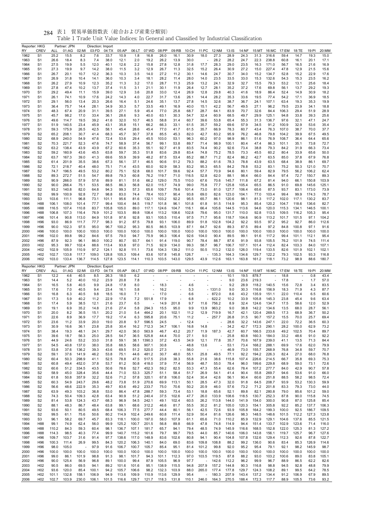| Reporter: HKG<br>RY  | <b>CREV</b>                                           | ALL                    | Partner: JPN<br>01:AG   | 02:MI                  | Direction: Import<br>03:FD | 04:TX                 | 05:AP                   | 06:LT                   | 07:WD                  | 08:PP                   | 09:RB                          | 10:CH                 | 11:PC               | 12:NM                   | 13:IS                   | 14:NF                   | 15:MT                   | 16:MC                   | 17:EM                | 18:TE                  | 19:PI                | 20:MM                |
|----------------------|-------------------------------------------------------|------------------------|-------------------------|------------------------|----------------------------|-----------------------|-------------------------|-------------------------|------------------------|-------------------------|--------------------------------|-----------------------|---------------------|-------------------------|-------------------------|-------------------------|-------------------------|-------------------------|----------------------|------------------------|----------------------|----------------------|
| 1962                 | S <sub>1</sub>                                        | 25.2                   | 15.5                    | 8.2                    | 7.6                        | 33.7                  | 10.9                    | 1.8                     | 16.8                   | 26.0                    | 16.1                           | 30.9                  | 18.0                | 27.3                    | 28.9                    | 24.3                    | 31.3                    | 316.6                   | 59.4                 | 14.7                   | 19.3                 | 15.0                 |
| 1963<br>1964         | S <sub>1</sub><br>S <sub>1</sub>                      | 26.6<br>27.5           | 18.4<br>19.9            | 8.3<br>5.5             | 7.4<br>12.0                | 38.0<br>40.1          | 12.1<br>12.6            | 2.0<br>2.2              | 19.2<br>15.8           | 26.2<br>27.8            | 13.9<br>12.8                   | 30.0<br>31.8          | 17.7                | 28.2<br>28.3            | 28.2<br>29.0            | 24.7<br>23.5            | 22.3<br>16.3            | 238.8<br>171.0          | 60.8<br>56.7         | 16.1<br>16.5           | 20.1<br>21.6         | 17.1<br>16.9         |
| 1965                 | S <sub>1</sub>                                        | 27.3                   | 19.9                    | 9.7                    | 14.2                       | 38.0                  | 11.5                    | 3.2                     | 12.9                   | 26.7                    | 11.3                           | 32.5                  | 15.2                | 26.4                    | 30.9                    | 27.2                    | 15.0                    | 227.4                   | 47.8                 | 12.9                   | 21.5                 | 15.6                 |
| 1966                 | S <sub>1</sub>                                        | 26.7                   | 20.1                    | 10.7                   | 12.2                       | 36.3                  | 10.3                    | 3.5                     | 14.0                   | 27.2                    | 11.2                           | 30.1                  | 14.6                | 24.7                    | 30.7                    | 34.0                    | 15.2                    | 134.7                   | 52.8                 | 15.2                   | 22.9                 | 17.6                 |
| 1967                 | S <sub>1</sub>                                        | 26.9                   | 31.8                    | 10.4                   | 14.1                       | 36.0                  | 10.3                    | 3.4                     | 18.1                   | 28.2                    | 11.4                           | 28.0                  | 14.0                | 23.5                    | 33.5                    | 33.0                    | 15.3                    | 132.6                   | 54.3                 | 15.3                   | 23.5                 | 16.2                 |
| 1968<br>1969         | S <sub>1</sub><br>S <sub>1</sub>                      | 26.2<br>27.8           | 27.9<br>47.4            | 10.9<br>10.2           | 12.3<br>13.7               | 35.2<br>37.4          | 11.3<br>11.5            | 3.2<br>3.1              | 17.0<br>21.1           | 28.7<br>30.1            | 11.3<br>11.9                   | 25.9<br>26.4          | 13.2<br>12.7        | 24.1<br>28.1            | 32.9<br>35.2            | 32.7<br>37.2            | 15.5<br>17.6            | 79.3<br>69.8            | 53.2<br>56.1         | 13.1<br>13.7           | 25.6<br>29.2         | 18.4<br>19.3         |
| 1970                 | S <sub>1</sub>                                        | 29.2                   | 49.4                    | 11.1                   | 15.9                       | 39.0                  | 12.9                    | 3.6                     | 20.8                   | 33.0                    | 12.4                           | 26.9                  | 12.8                | 29.8                    | 40.3                    | 41.6                    | 18.9                    | 86.4                    | 52.4                 | 14.9                   | 30.9                 | 18.2                 |
| 1971                 | S <sub>1</sub>                                        | 26.1                   | 74.1                    | 10.9                   | 17.6                       | 24.2                  | 14.3                    | 4.0                     | 22.7                   | 31.7                    | 13.6                           | 26.1                  | 14.4                | 28.2                    | 35.3                    | 33.6                    | 19.5                    | 77.4                    | 54.2                 | 17.1                   | 36.9                 | 18.5                 |
| 1972<br>1973         | S <sub>1</sub><br>S <sub>1</sub>                      | 29.1<br>36.4           | 56.0<br>75.7            | 13.4<br>14.4           | 20.3<br>28.1               | 26.6<br>34.9          | 16.4<br>30.3            | 5.1<br>5.7              | 24.6<br>33.5           | 35.1<br>49.1            | 13.7<br>16.9                   | 27.8<br>40.0          | 14.5<br>15.1        | 32.6<br>42.2            | 38.7<br>56.7            | 36.7<br>49.5            | 24.1<br>27.1            | 107.1<br>96.2           | 63.4<br>79.5         | 19.3<br>23.9           | 35.3<br>34.1         | 19.9<br>18.8         |
| 1974                 | S <sub>1</sub>                                        | 48.3                   | 67.4                    | 20.9                   | 31.1                       | 39.5                  | 27.1                    | 5.9                     | 45.4                   | 77.0                    | 25.8                           | 68.7                  | 28.7                | 64.1                    | 83.9                    | 70.7                    | 32.6                    | 84.4                    | 106.3                | 29.4                   | 51.9                 | 28.9                 |
| 1975                 | S <sub>1</sub>                                        | 45.7                   | 98.2                    | 17.0                   | 33.4                       | 36.1                  | 28.6                    | 9.3                     | 40.0                   | 63.1                    | 30.3                           | 54.7                  | 32.4                | 60.9                    | 68.5                    | 49.7                    | 29.9                    | 125.1                   | 94.8                 | 33.8                   | 39.3                 | 25.6                 |
| 1976<br>1977         | S <sub>1</sub><br>S <sub>1</sub>                      | 49.6<br>51.9           | 114.7<br>140.5          | 19.5<br>23.4           | 39.2<br>45.9               | 41.6<br>43.1          | 32.0<br>35.8            | 10.7<br>15.1            | 46.5<br>66.2           | 58.8<br>66.3            | 31.4<br>33.1                   | 60.7<br>61.5          | 39.6<br>35.7        | 53.8<br>59.2            | 65.4<br>69.6            | 55.3<br>57.9            | 31.3<br>34.5            | 136.7<br>91.2           | 97.6<br>100.9        | 32.1<br>32.9           | 47.1<br>53.6         | 24.7<br>35.4         |
| 1978                 | S1                                                    | 59.3                   | 175.9                   | 26.5                   | 42.5                       | 58.1                  | 45.4                    | 28.6                    | 45.4                   | 77.0                    | 41.7                           | 61.5                  | 35.7                | 66.9                    | 78.3                    | 60.7                    | 43.4                    | 76.3                    | 107.0                | 38.7                   | 70.0                 | 37.7                 |
| 1979                 | S <sub>2</sub>                                        | 65.2                   | 208.1                   | 30.7                   | 41.4                       | 68.3                  | 45.7                    | 30.7                    | 37.8                   | 85.5                    | 45.3                           | 82.0                  | 42.7                | 83.2                    | 95.9                    | 76.2                    | 46.8                    | 79.8                    | 104.2                | 39.9                   | 67.5                 | 49.5                 |
| 1980<br>1981         | S <sub>2</sub><br>S <sub>2</sub>                      | 68.9<br>70.3           | 240.0<br>221.7          | 54.9<br>52.3           | 47.6<br>47.6               | 72.4<br>74.7          | 53.6<br>58.9            | 29.4<br>37.4            | 45.5<br>56.7           | 103.0<br>99.1           | 53.1<br>53.8                   | 96.3<br>89.7          | 60.2<br>71.4        | 97.0<br>98.9            | 98.9<br>100.1           | 86.1<br>80.4            | 51.6<br>47.4            | 76.9<br>86.3            | 108.7<br>101.1       | 36.4<br>35.1           | 64.4<br>73.8         | 65.6<br>72.7         |
| 1982                 | S <sub>2</sub>                                        | 63.2                   | 138.4                   | 43.9                   | 43.9                       | 67.2                  | 60.6                    | 35.3                    | 55.1                   | 92.7                    | 41.9                           | 83.5                  | 74.4                | 90.2                    | 92.6                    | 73.4                    | 38.8                    | 79.3                    | 84.2                 | 31.9                   | 66.3                 | 73.4                 |
| 1983                 | S <sub>2</sub>                                        | 59.2                   | 160.9                   | 43.6                   | 45.5                       | 63.8                  | 59.7                    | 35.3                    | 51.8                   | 83.6                    | 29.8                           | 83.4                  | 74.8                | 75.2                    | 78.5                    | 73.3                    | 45.5                    | 60.2                    | 80.4                 | 33.9                   | 65.6                 | 50.0                 |
| 1984                 | S <sub>2</sub>                                        | 63.7<br>61.4           | 167.3<br>201.9          | 39.0<br>35.5           | 41.3                       | 69.6<br>67.3          | 55.9                    | 39.9<br>37.1            | 48.2<br>46.5           | 87.5<br>90.6            | 53.4                           | 85.2<br>79.3          | 88.7                | 71.2<br>61.6            | 82.4<br>78.3            | 86.2<br>78.8            | 42.7<br>43.9            | 63.5<br>63.5            | 85.0<br>68.4         | 37.8<br>38.9           | 67.9<br>86.1         | 76.8<br>69.7         |
| 1985<br>1986         | S2<br>S <sub>2</sub>                                  | 72.1                   | 218.7                   | 40.4                   | 38.6<br>48.0               | 75.1                  | 56.1<br>71.4            | 43.5                    | 60.0                   | 92.9                    | 51.2<br>58.3                   | 83.2                  | 88.2<br>95.3        | 65.5                    | 84.2                    | 78.8                    | 53.2                    | 83.1                    | 75.2                 | 50.3                   | 121.0                | 70.7                 |
| 1987                 | S <sub>2</sub>                                        | 74.7                   | 196.5                   | 49.5                   | 53.2                       | 80.2                  | 75.1                    | 52.8                    | 68.0                   | 101.7                   | 59.6                           | 92.4                  | 57.7                | 70.9                    | 94.6                    | 80.1                    | 59.4                    | 82.9                    | 79.5                 | 56.2                   | 106.2                | 62.4                 |
| 1988                 | S <sub>2</sub>                                        | 89.3                   | 272.7                   | 51.5                   | 54.7                       | 89.8                  | 79.3                    | 60.8                    | 76.2                   | 119.7                   | 71.0                           | 116.5                 | 52.8                | 62.0                    | 88.1                    | 98.4                    | 66.0                    | 84.4                    | 97.4                 | 72.7                   | 150.7                | 89.3                 |
| 1989<br>1990         | S2<br>S <sub>2</sub>                                  | 90.9<br>90.0           | 266.0<br>266.4          | 57.9<br>75.1           | 57.6<br>53.5               | 89.9<br>88.5          | 81.1<br>86.3            | 51.6<br>56.8            | 66.2<br>62.0           | 129.0<br>115.7          | 75.5<br>74.9                   | 110.0<br>99.0         | 67.6<br>75.8        | 70.6<br>77.7            | 145.7<br>125.8          | 111.8<br>105.4          | 67.2<br>65.5            | 81.4<br>86.5            | 94.0<br>91.0         | 66.1<br>69.8           | 150.8<br>145.6       | 103.9<br>125.1       |
| 1991                 | S <sub>2</sub>                                        | 93.2                   | 140.8                   | 82.0                   | 64.8                       | 94.3                  | 99.3                    | 57.3                    | 65.6                   | 109.7                   | 79.6                           | 101.4                 | 73.0                | 81.0                    | 127.7                   | 106.4                   | 65.6                    | 87.5                    | 93.7                 | 83.1                   | 173.0                | 73.9                 |
| 1992                 | S <sub>2</sub>                                        | 99.9                   | 100.9                   | 92.8                   | 72.7                       | 98.8                  | 83.0                    | 74.4                    | 78.4                   | 103.7                   | 90.4                           | 93.8                  | 69.0                | 82.6                    | 123.0                   | 104.1                   | 77.0                    | 103.4                   | 99.4                 | 99.9                   | 174.3                | 78.7                 |
| 1993<br>1994         | S <sub>3</sub><br>H88                                 | 103.6<br>106.1         | 111.1<br>108.0          | 96.8<br>101.4          | 73.1<br>77.7               | 101.1<br>99.4         | 95.6<br>100.4           | 81.6<br>84.5            | 132.1<br>119.7         | 103.2<br>101.8          | 92.2<br>96.1                   | 95.5<br>101.8         | 65.7<br>61.8        | 86.1<br>91.5            | 120.6<br>114.9          | 98.1<br>95.3            | 81.3<br>85.4            | 117.2<br>120.2          | 102.0<br>104.7       | 117.1<br>118.6         | 130.2<br>136.6       | 83.7<br>82.7         |
| 1995                 | H88                                                   | 116.5                  | 107.4                   | 110.8                  | 83.7                       | 105.8                 | 105.0                   | 89.0                    | 117.1                  | 124.6                   | 104.7                          | 116.1                 | 66.4                | 105.6                   | 144.5                   | 113.6                   | 94.6                    | 120.0                   | 115.3                | 134.1                  | 146.5                | 100.1                |
| 1996                 | H88                                                   | 106.8                  | 107.3                   | 116.4                  | 76.9                       | 101.2                 | 103.5                   | 89.8                    | 108.4                  | 113.2                   | 108.6                          | 102.8                 | 79.6                | 95.0                    | 131.7                   | 110.0                   | 92.8                    | 113.5                   | 109.5                | 116.2                  | 105.3                | 95.4                 |
| 1997                 | H <sub>96</sub>                                       | 101.4                  | 90.8                    | 113.0                  | 84.9                       | 101.8                 | 97.6                    | 92.8                    | 93.1                   | 105.5                   | 110.4                          | 97.5                  | 71.7                | 95.6                    | 118.7                   | 104.6                   | 90.9                    | 113.2                   | 101.7                | 101.5                  | 97.1                 | 104.2                |
| 1998<br>1999         | H96<br>H <sub>96</sub>                                | 93.0<br>90.0           | 86.9<br>102.3           | 111.7<br>97.5          | 77.7<br>95.0               | 98.3<br>96.7          | 91.2<br>100.2           | 87.5<br>95.3            | 79.8<br>80.5           | 93.1<br>86.5            | 106.0<br>103.9                 | 89.9<br>87.1          | 51.8<br>64.7        | 102.8<br>92.6           | 104.2<br>89.3           | 92.2<br>87.5            | 93.5<br>89.4            | 97.2<br>97.2            | 95.2<br>84.8         | 92.7<br>100.8          | 86.0<br>97.1         | 112.6<br>91.6        |
| 2000                 | H <sub>96</sub>                                       | 100.0                  | 100.0                   | 100.0                  | 100.0                      | 100.0                 | 100.0                   | 100.0                   | 100.0                  | 100.0                   | 100.0                          | 100.0                 | 100.0               | 100.0                   | 100.0                   | 100.0                   | 100.0                   | 100.0                   | 100.0                | 100.0                  | 100.0                | 100.0                |
| 2001                 | H <sub>96</sub>                                       | 102.0                  | 89.8                    | 99.2                   | 84.6                       | 97.5                  | 79.0                    | 94.7                    | 75.9                   | 96.3                    | 106.4                          | 92.6                  | 104.0               | 90.4                    | 89.5                    | 99.1                    | 91.6                    | 117.2                   | 99.4                 | 101.1                  | 112.1                | 95.4                 |
| 2002<br>2003         | H96<br>H <sub>02</sub>                                | 87.9<br>95.3           | 92.3<br>99.7            | 96.1<br>102.4          | 86.0<br>88.6               | 100.2<br>113.4        | 80.7<br>93.8            | 93.7<br>97.0            | 64.1<br>71.5           | 91.4<br>92.9            | 119.0<br>134.0                 | 90.7<br>99.3          | 78.4<br>58.7        | 88.7<br>96.7            | 87.6<br>106.7           | 91.9<br>107.1           | 93.8<br>101.4           | 105.5<br>112.4          | 76.2<br>82.4         | 101.9<br>103.3         | 74.5<br>84.0         | 111.4<br>107.1       |
| 2004                 | H <sub>02</sub>                                       | 102.9                  | 105.9                   | 110.9                  | 97.2                       | 124.1                 | 92.8                    | 111.1                   | 73.6                   | 104.3                   | 139.2                          | 111.0                 | 50.5                | 113.2                   | 132.0                   | 126.0                   | 119.4                   | 133.5                   | 82.6                 | 101.9                  | 102.1                | 102.1                |
| 2005                 | H <sub>02</sub>                                       | 102.7                  | 133.8                   | 117.7                  | 109.0                      | 128.8                 | 105.3                   | 109.4                   | 83.6                   | 107.8                   | 145.8                          | 126.7                 |                     | 135.3                   | 164.3                   | 134.6                   | 129.7                   | 122.2                   | 79.3                 | 102.5                  | 93.3                 | 116.8                |
|                      |                                                       |                        |                         |                        |                            |                       | 123.5                   |                         |                        |                         |                                |                       |                     |                         | 163.1                   |                         | 161.2                   | 118.1                   | 73.2                 | 98.9                   | 88.6                 |                      |
| 2006                 | H <sub>02</sub>                                       | 103.0                  | 133.4                   | 136.7                  | 114.5                      | 127.8                 |                         | 114.1                   | 110.3                  | 103.5                   | 143.0                          | 129.5                 | 43.9                | 112.6                   |                         | 163.8                   |                         |                         |                      |                        |                      | 180.7                |
| Reporter: HKG        |                                                       |                        | Partner: JPN            |                        | Direction: Export          |                       |                         |                         |                        |                         |                                |                       |                     |                         |                         |                         |                         |                         |                      |                        |                      |                      |
| RY<br>1962           | CREV<br>S <sub>1</sub>                                | ALL<br>12.2            | 01:AG<br>4.6            | 02:MI<br>40.5          | 03:FD<br>8.5               | 04:TX<br>26.3         | 05:AP<br>18.0           | 06:LT<br>6.2            | 07:WD                  | 08:PP                   | 09:RB                          |                       | 10:CH  11:PC  12:NM |                         | 13:1S<br>10.1           | 14:NF<br>19.5           | 15:MT<br>878.7          | 16:MC                   | 17:EM<br>18.8        | 18:TE                  | 19:PI<br>0.8         | 20:MM<br>43.4        |
| 1963                 | S <sub>1</sub>                                        | 14.4                   | 5.2                     | 40.0                   | 10.2                       | 23.9                  | 20.8                    | 7.8                     |                        |                         |                                |                       |                     |                         | 9.0                     | 23.6                    | 219.3                   |                         | 17.8                 |                        | 1.7                  | 57.0                 |
| 1964                 | S <sub>1</sub>                                        | 16.5                   | 5.8                     | 40.5                   | 9.9                        | 24.8                  | 17.8                    | 8.0                     |                        | 18.3                    |                                | 4.6                   |                     |                         | 9.2                     | 28.9                    | 118.2                   | 140.5                   | 15.6                 | 72.8                   | 3.4                  | 83.5                 |
| 1965<br>1966         | S <sub>1</sub><br>S <sub>1</sub>                      | 17.6<br>16.8           | 7.0<br>6.3              | 40.5<br>40.5           | 9.4<br>9.8                 | 23.4<br>18.5          | 16.1<br>16.0            | 5.8<br>7.1              |                        | 16.2<br>17.0            |                                | 5.3<br>6.6            |                     | $-1331.0$<br>872.0      | 9.0<br>8.6              | 30.3<br>43.2            | 116.8<br>135.9          | 156.9<br>151.1          | 18.3<br>22.0         | 71.9<br>110.4          | 4.3<br>6.5           | 87.7<br>60.6         |
| 1967                 | S <sub>1</sub>                                        | 17.3                   | 5.9                     | 40.2                   | 11.2                       | 22.9                  | 17.6                    | 7.2                     | 551.8                  | 17.9                    |                                | 6.8                   |                     | 622.2                   | 10.2                    | 33.9                    | 105.8                   | 145.3                   | 23.8                 | 45.4                   | 9.6                  | 63.4                 |
| 1968                 | S <sub>1</sub>                                        | 17.4                   | 5.9                     | 38.5                   | 12.1                       | 21.6                  | 23.7                    | 6.5                     |                        | 14.9                    | 201.8                          | 9.7                   | 11.6                | 756.2                   | 8.9                     | 32.4                    | 124.6                   | 134.7                   | 17.5                 | 58.6                   | 12.0                 | 52.9                 |
| 1969                 | S <sub>1</sub><br>S <sub>1</sub>                      | 19.1                   | 6.9<br>8.2              | 35.2<br>36.5           | 14.8                       | 21.6                  | 27.4<br>21.0            | 5.8<br>5.4              | 294.3<br>464.2         | 15.5                    | 95.0                           | 9.9                   | 13.9                | 963.2                   | 9.0                     | 38.8<br>42.1            | 142.2                   | 134.6                   | 13.5                 | 68.0<br>68.9           | 28.7                 | 56.1                 |
| 1970<br>1971         | S <sub>1</sub>                                        | 20.0<br>22.6           | 8.9                     | 36.9                   | 15.1<br>17.7               | 20.2<br>19.2          | 17.4                    | 6.3                     | 595.8                  | 20.1<br>20.6            | 102.1<br>75.1                  | 11.2<br>11.2          | 12.9                | 719.9<br>257.7          | 16.7<br>26.8            | 31.5                    | 120.4<br>90.7           | 269.5<br>157.2          | 17.3<br>15.5         | 70.0                   | 36.7<br>25.7         | 50.2<br>69.4         |
| 1972                 | 51                                                    | 23.6                   | 11.2                    | 33.9                   | 20.0                       | 19.0                  | 20.8                    | 9.7                     | 596.5                  | 24.5                    |                                | 12.4                  |                     |                         | 28.6                    | 32.2                    | 143.6                   | 247.1                   | 22.0                 | 72.2                   | 36.5                 | 60.3                 |
| 1973                 | S <sub>1</sub>                                        | 30.9                   | 16.6                    | 36.1                   | 23.8                       | 25.8                  | 30.4                    | 16.2                    | 712.3                  | 34.7                    | 106.1                          | 16.8                  | 14.8                |                         | 34.2                    | 42.7                    | 172.3                   | 290.1                   | 28.2                 | 100.0                  | 62.9                 | 73.2                 |
| 1974<br>1975         | S <sub>1</sub><br>S <sub>1</sub>                      | 38.4<br>39.6           | 19.3<br>18.7            | 48.1<br>56.3           | 24.1<br>25.0               | 29.7<br>28.5          | 42.0<br>54.7            | 36.0<br>36.5            | 563.9<br>525.8         | 46.7<br>44.4            | 43.2<br>70.0                   | 20.7<br>27.1          | 11.9<br>9.0         | 187.3                   | 42.7<br>25.8            | 60.7<br>60.8            | 166.5<br>160.3          | 233.6<br>184.0          | 49.2<br>33.2         | 102.5<br>48.6          | 70.4<br>91.0         | 89.7<br>92.2         |
| 1976                 | S <sub>1</sub>                                        | 44.9                   | 24.6                    | 53.2                   | 33.0                       | 31.8                  | 59.1                    | 38.1                    | 1390.3                 | 37.2                    | 43.5                           | 34.9                  | 12.1                | 77.8                    | 35.7                    | 70.6                    | 167.9                   | 239.0                   | 41.1                 | 13.5                   | 71.3                 | 84.4                 |
| 1977                 | S <sub>1</sub>                                        | 54.5                   | 40.8                    | 137.0                  | 38.0                       | 35.8                  | 68.5                    | 58.6                    | 907.1                  | 30.8                    | $\overline{\phantom{a}}$<br>ä, | 48.8                  | 13.6<br>÷,          | ä<br>ä                  | 53.1                    | 73.4                    | 168.2                   | 288.1                   | 69.9                 | 17.6                   | 62.0                 | 79.9                 |
| 1978<br>1979         | S <sub>1</sub><br>S <sub>2</sub>                      | 53.8<br>59.1           | 37.6<br>37.6            | 136.2<br>141.9         | 39.3<br>46.2               | 43.6<br>53.8          | 69.5<br>75.1            | 51.2<br>44.6            | 520.0<br>481.2         | 27.3<br>30.7            | 48.0                           | 56.0<br>55.1          | 25.8                | 49.5                    | 46.9<br>77.1            | 73.0<br>92.2            | 155.7<br>194.2          | 268.9<br>226.3          | 76.8<br>82.4         | 34.8<br>27.0           | 59.7<br>68.0         | 70.7<br>76.8         |
| 1980                 | S <sub>2</sub>                                        | 60.4                   | 50.3                    | 298.9                  | 41.1                       | 52.5                  | 78.8                    | 47.5                    | 517.5                  | 23.8                    | 38.3                           | 55.8                  | 21.6                | 38.6                    | 115.8                   | 107.4                   | 226.6                   | 214.5                   | 66.7                 | 35.8                   | 69.3                 | 75.3                 |
| 1981                 | S <sub>2</sub>                                        | 60.8                   | 49.4                    | 452.0                  | 37.8                       | 53.7                  | 81.2                    | 50.8                    | 418.0                  | 37.9                    | 77.4                           | 56.9                  | 48.7                | 55.0                    | 78.4                    | 96.0                    | 199.6                   | 229.8                   | 68.9                 | 59.0                   | 73.1                 | 72.6                 |
| 1982<br>1983         | S <sub>2</sub><br>S <sub>2</sub>                      | 60.6<br>58.9           | 51.2<br>45.0            | 334.5<br>328.4         | 43.5<br>35.6               | 50.6<br>44.4          | 78.6<br>71.0            | 52.7<br>53.3            | 452.3<br>325.7         | 59.2<br>51.1            | 82.5<br>58.4                   | 53.3<br>51.7          | 47.3<br>26.9        | 55.4<br>54.1            | 62.6<br>41.4            | 78.4<br>90.4            | 107.2<br>55.8           | 277.7<br>269.7          | 84.0<br>94.6         | 42.9<br>53.6           | 90.7<br>91.0         | 57.8<br>66.0         |
| 1984                 | S <sub>2</sub>                                        | 61.8                   | 50.8                    | 357.9                  | 32.2                       | 52.6                  | 71.2                    | 57.8                    | 320.1                  | 67.8                    | 106.0                          | 52.4                  | 30.4                | 42.6                    | 56.1                    | 90.4                    | 60.6                    | 251.8                   | 88.5                 | 58.2                   | 98.5                 | 72.4                 |
| 1985                 | S <sub>2</sub>                                        | 60.3                   | 54.9                    | 243.7                  | 29.6                       | 48.2                  | 73.8                    | 51.9                    | 270.6                  | 69.9                    | 113.1                          | 50.1                  | 28.5                | 47.3                    | 32.0                    | 91.8                    | 64.5                    | 208.7                   | 93.9                 | 53.2                   | 130.3                | 59.9                 |
| 1986                 | S <sub>2</sub>                                        | 56.6                   | 48.6                    | 222.9<br>103.2         | 35.3                       | 49.7                  | 83.6                    | 49.2                    | 233.7                  | 75.0                    | 70.6                           | 50.2                  | 20.9                | 46.0                    | 57.6                    | 73.2                    | 71.2                    | 201.8                   | 83.3                 | 79.3                   | 73.0                 | 44.0                 |
| 1987<br>1988         | S <sub>2</sub><br>S <sub>2</sub>                      | 63.9<br>74.3           | 49.3<br>50.4            | 109.3                  | 36.8<br>42.8               | 53.0<br>63.4          | 86.4<br>90.9            | 47.8<br>51.2            | 288.7<br>240.4         | 59.3<br>37.5            | 73.4<br>102.6                  | 53.1<br>47.7          | 18.8<br>26.0        | 65.6<br>133.9           | 52.1<br>108.6           | 89.8<br>118.5           | 82.1<br>130.7           | 280.8<br>252.3          | 79.0<br>87.8         | 85.6<br>90.0           | 101.2<br>115.8       | 59.0<br>74.5         |
| 1989                 | S <sub>2</sub>                                        | 81.4                   | 53.8                    | 124.3                  | 43.7                       | 68.3                  | 96.9                    | 54.5                    | 242.1                  | 49.1                    | 102.4                          | 60.5                  | 26.2                | 113.8                   | 144.0                   | 141.9                   | 154.0                   | 300.0                   | 90.8                 | 87.0                   | 125.8                | 85.4                 |
| 1990                 | S <sub>2</sub>                                        | 88.1                   | 48.3                    | 86.7                   | 48.4                       | 63.8                  | 99.1                    | 68.6                    | 312.2                  | 46.6                    | 81.7                           | 55.5                  | 30.2                | 81.2                    | 105.0                   | 120.3                   | 154.1                   | 305.8                   | 92.2                 | 85.2                   | 137.7                | 106.3                |
| 1991<br>1992         | S <sub>2</sub><br>S <sub>2</sub>                      | 93.6<br>99.5           | 50.1<br>61.1            | 80.5<br>75.6           | 49.5<br>50.6               | 68.4<br>80.2          | 106.3<br>114.9          | 77.5<br>102.4           | 277.7<br>249.6         | 44.4<br>60.8            | 80.1<br>111.4                  | 56.1<br>52.9          | 42.5<br>50.4        | 72.6<br>81.6            | 93.9<br>126.6           | 105.8<br>98.3           | 164.2<br>148.5          | 199.3<br>148.6          | 100.0<br>101.5       | 92.5<br>112.2          | 186.7<br>127.3       | 109.5<br>123.8       |
| 1993                 | S3                                                    | 96.1                   | 58.2                    | 69.7                   | 45.7                       | 83.3                  | 118.1                   | 100.0                   | 197.0                  | 58.0                    | 107.9                          | 61.1                  | 65.6                | 71.0                    | 110.2                   | 85.9                    | 132.9                   | 129.1                   | 104.6                | 137.6                  | 85.5                 | 121.5                |
| 1994                 | H88                                                   | 99.1                   | 74.9                    | 62.4                   | 56.0                       | 99.9                  | 125.2                   | 100.7                   | 201.5                  | 56.8                    | 89.8                           | 66.9                  | 47.8                | 74.8                    | 114.9                   | 94.4                    | 151.4                   | 133.7                   | 102.9                | 123.6                  | 71.4                 | 116.0                |
| 1995<br>1996         | H88<br>H88                                            | 110.2<br>114.3         | 84.3<br>98.5            | 59.3<br>40.3           | 60.4<br>77.4               | 98.1<br>99.9          | 136.7<br>140.7          | 107.1<br>115.2          | 181.7<br>161.6         | 65.7<br>79.7            | 94.1<br>99.7                   | 79.4<br>79.5          | 48.5<br>44.0        | 74.9<br>85.7            | 145.9<br>140.6          | 116.6<br>106.0          | 168.5<br>143.8          | 152.8<br>156.1          | 122.0<br>119.7       | 125.3<br>125.7         | 81.3<br>96.7         | 127.2<br>127.6       |
| 1997                 | H96                                                   | 109.7                  | 103.7                   | 31.6                   | 91.4                       | 97.7                  | 138.6                   | 117.0                   | 148.9                  | 83.6                    | 102.6                          | 80.8                  | 94.1                | 90.4                    | 104.8                   | 107.8                   | 132.6                   | 129.4                   | 112.3                | 92.6                   | 87.8                 | 122.7                |
| 1998                 | H96                                                   | 100.3                  | 111.4                   | 26.9                   | 99.5                       | 84.3                  | 120.2                   | 106.3                   | 140.1                  | 84.0                    | 69.0                           | 83.6                  | 109.8               | 108.8                   | 88.2                    | 99.2                    | 136.0                   | 90.6                    | 83.4                 | 85.3                   | 126.9                | 114.6                |
| 1999<br>2000         | H <sub>96</sub><br>H96                                | 98.0<br>100.0          | 105.0<br>100.0          | ×,<br>100.0            | 97.9<br>100.0              | 91.6<br>100.0         | 106.7<br>100.0          | 100.7<br>100.0          | 105.7<br>100.0         | 85.4<br>100.0           | 95.1<br>100.0                  | 81.4<br>100.0         | 101.2<br>100.0      | 99.8<br>100.0           | 92.0<br>100.0           | 95.2<br>100.0           | 95.4<br>100.0           | 79.1<br>100.0           | 92.1<br>100.0        | 98.2<br>100.0          | 145.9<br>100.0       | 98.7<br>100.0        |
| 2001                 | H <sub>96</sub>                                       | 99.0                   | 86.1                    | 101.9                  | 98.8                       | 91.3                  | 98.1                    | 101.7                   | 94.3                   | 101.1                   | 112.3                          | 97.0                  | 103.5               | 119.5                   | 87.8                    | 88.2                    | 93.0                    | 103.2                   | 100.6                | 89.0                   | 83.8                 | 105.1                |
| 2002                 | H96                                                   | 90.0                   | 125.4                   | 56.9                   | 96.8                       | 89.1                  | 100.0                   | 99.4                    | 87.9                   | 105.5                   | 96.9                           | 97.7                  | $\overline{a}$      | 142.6                   | 112.2                   | 96.2                    | 99.9                    | 96.7                    | 88.9                 | 86.5                   | 62.2                 | 82.6                 |
| 2003                 | H <sub>02</sub>                                       | 90.5                   | 86.0                    | 69.5                   | 94.1                       | 89.2                  | 101.6                   | 101.6                   | 95.1                   | 138.9                   | 115.5                          | 94.8                  | 207.9               | 157.2                   | 144.8                   | 90.3                    | 116.8                   | 98.8                    | 94.5                 | 92.8                   | 48.8                 | 79.9                 |
| 2004<br>2005<br>2006 | H <sub>02</sub><br>H <sub>02</sub><br>H <sub>02</sub> | 93.6<br>101.1<br>102.7 | 120.0<br>132.8<br>103.9 | 85.4<br>158.1<br>230.0 | 100.1<br>106.9<br>106.1    | 94.2<br>94.9<br>101.5 | 105.7<br>113.6<br>116.6 | 106.6<br>109.9<br>129.7 | 98.2<br>110.9<br>121.7 | 132.3<br>113.6<br>118.3 | 103.9<br>129.9<br>131.8        | 88.0<br>95.4<br>110.1 | 265.0<br>٠<br>246.0 | 177.4<br>180.3<br>164.3 | 177.8<br>207.9<br>270.5 | 129.7<br>143.4<br>188.4 | 124.3<br>137.2<br>172.3 | 108.2<br>134.4<br>117.7 | 89.1<br>91.2<br>88.9 | 99.5<br>106.9<br>105.5 | 64.2<br>67.9<br>73.6 | 78.5<br>89.5<br>93.2 |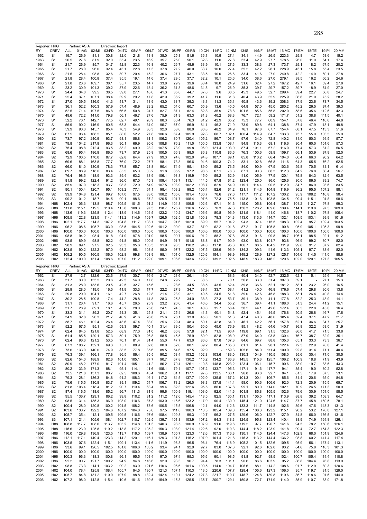| Reporter: HKG<br><b>CREV</b>                                                                                                                                                            |                | Partner: ASIA  |                | Direction: Import |                   |                |                | 07:WD          | 08:PP          |                | 10:CH          |                          |                |                  |                |                |                |               |                | 19:PI          |                |
|-----------------------------------------------------------------------------------------------------------------------------------------------------------------------------------------|----------------|----------------|----------------|-------------------|-------------------|----------------|----------------|----------------|----------------|----------------|----------------|--------------------------|----------------|------------------|----------------|----------------|----------------|---------------|----------------|----------------|----------------|
| RY<br>1962<br>S <sub>1</sub>                                                                                                                                                            | ALL<br>19.7    | 01:AG<br>26.9  | 02:MI<br>81.1  | 03:FD<br>30.8     | 04:TX<br>32.0     | 05:AP<br>21.8  | 06:LT<br>13.8  | 35.0           | 25.8           | 09:RB<br>51.6  | 36.1           | 11:PC<br>10.9            | 12:NM<br>27.4  | $13:$ IS<br>34.1 | 14:NF<br>44.9  | 15:MT<br>26.5  | 16:MC<br>223.3 | 17:EM<br>29.8 | 18:TE<br>14.7  | 53.6           | 20:MM<br>15.2  |
| 1963<br>S1                                                                                                                                                                              | 20.5           | 27.6           | 81.9           | 32.0              | 35.4              | 23.5           | 16.9           | 35.7           | 25.0           | 50.1           | 32.8           | 11.0                     | 27.8           | 33.4             | 42.9           | 27.7           | 178.5          | 26.0          | 11.9           | 64.1           | 17.4           |
| 1964<br>S1                                                                                                                                                                              | 21.7           | 26.9           | 85.7           | 34.7              | 42.8              | 22.3           | 16.8           | 40.2           | 26.7           | 48.6           | 33.9           | 10.1                     | 27.6           | 33.3             | 38.3           | 27.3           | 173.7          | 29.1          | 18.2           | 67.5           | 20.2           |
| 1965<br>S1                                                                                                                                                                              | 21.7           | 28.0           | 96.0           | 32.4              | 43.1              | 22.8           | 17.3           | 37.8           | 27.2           | 46.0           | 33.7           | 10.0                     | 27.4           | 35.2             | 42.2           | 26.1           | 228.9          | 43.1          | 15.8           | 55.4           | 23.5           |
| 1966<br>S1                                                                                                                                                                              | 21.5           | 28.4           | 98.8           | 32.6              | 39.7              | 20.4           | 15.2           | 36.6           | 27.7           | 43.1           | 33.5           | 10.0                     | 26.6           | 33.4             | 41.6           | 27.0           | 240.8          | 42.2          | 14.0           | 60.1           | 27.8           |
| S <sub>1</sub><br>1967                                                                                                                                                                  | 21.8           | 28.4           | 100.8          | 37.4              | 35.5              | 19.1           | 14.6           | 37.4           | 29.5           | 37.7           | 32.2           | 10.1                     | 25.6           | 34.0             | 38.6           | 27.0           | 279.1          | 38.5          | 16.2           | 66.2           | 24.6           |
| S <sub>1</sub><br>1968                                                                                                                                                                  | 21.8           | 26.6           | 109.7          | 38.1              | 35.7              | 23.5           | 14.7           | 33.8           | 29.9           | 39.6           | 33.4           | 10.0                     | 24.9           | 31.6             | 32.4           | 27.2           | 167.2          | 42.7          | 16.1           | 59.4           | 27.8           |
| 1969<br>S1                                                                                                                                                                              | 23.2           | 30.9           | 101.3          | 39.2              | 37.9              | 22.6           | 18.4           | 36.2           | 31.3           | 48.6           | 34.5           | 9.7                      | 26.9           | 35.3             | 39.7           | 29.7           | 157.2          | 39.7          | 18.9           | 54.9           | 27.0           |
| 1970<br>S1                                                                                                                                                                              | 24.4           | 34.0           | 99.5           | 38.5              | 39.0              | 27.1           | 18.6           | 41.3           | 35.8           | 44.7           | 37.0           | 9.6                      | 30.5           | 45.3             | 49.5           | 32.7           | 299.4          | 39.4          | 22.7           | 56.8           | 24.7           |
| S <sub>1</sub><br>1971                                                                                                                                                                  | 25.4           | 37.1           | 107.1          | 38.4              | 39.9              | 29.2           | 17.8           | 42.9           | 36.2           | 39.2           | 41.7           | 11.6                     | 31.8           | 40.4             | 43.9           | 35.9           | 225.9          | 36.6          | 21.9           | 75.2           | 28.2           |
| S <sub>1</sub><br>1972                                                                                                                                                                  | 27.0           | 39.5           | 136.0          | 41.3              | 41.7              | 31.1           | 18.9           | 43.0           | 38.7           | 39.3           | 43.1           | 11.3                     | 35.1           | 40.8             | 43.6           | 39.2           | 308.3          | 37.9          | 23.6           | 78.7           | 34.5           |
| 1973<br>S1                                                                                                                                                                              | 36.1           | 52.2           | 160.3          | 57.9              | 57.4              | 48.9           | 23.2           | 65.2           | 54.0           | 60.7           | 55.9           | 13.6                     | 45.5           | 64.8             | 57.0           | 45.0           | 280.2          | 45.2          | 26.5           | 97.4           | 39.3           |
| 1974<br>S1                                                                                                                                                                              | 52.5           | 71.4           | 197.5          | 86.8              | 66.5              | 50.8           | 24.7           | 82.7           | 87.1           | 82.4           | 82.8           | 35.9                     | 78.8           | 101.5            | 85.6           | 55.8           | 202.0          | 58.6          | 35.6           | 112.6          | 42.3           |
| 1975<br>S <sub>1</sub>                                                                                                                                                                  | 49.6           | 72.2           | 141.0          | 79.8              | 56.1              | 46.7           | 27.6           | 75.9           | 61.9           | 63.3           | 81.3           | 40.2                     | 68.3           | 76.7             | 72.1           | 59.2           | 171.7          | 51.2          | 38.8           | 111.5          | 40.1           |
| S <sub>1</sub><br>1976                                                                                                                                                                  | 52.2           | 76.1           | 142.7          | 77.5              | 62.7              | 49.1           | 26.9           | 88.3           | 60.4           | 76.3           | 81.2           | 42.9                     | 65.2           | 75.3             | 77.7           | 60.9           | 154.1          | 57.8          | 46.4           | 110.6          | 44.8           |
| 1977<br>S1                                                                                                                                                                              | 56.9           | 90.2           | 146.9          | 80.5              | 68.3              | 64.4           | 34.0           | 95.7           | 67.0           | 86.9           | 84.1           | 46.2                     | 71.9           | 73.9             | 89.8           | 64.1           | 138.8          | 57.4          | 47.9           | 118.1          | 49.8           |
| S <sub>1</sub><br>1978                                                                                                                                                                  | 59.9           | 90.3           | 145.7          | 85.4              | 76.3              | 54.9           | 30.3           | 92.0           | 58.0           | 88.0           | 80.8           | 48.2                     | 84.9           | 76.1             | 97.8           | 67.7           | 154.4          | 68.1          | 47.5           | 113.3          | 51.6           |
| 1979<br>S <sub>2</sub>                                                                                                                                                                  | 67.5<br>73.7   | 96.4           | 168.2          | 85.1              | 88.0              | 52.2           | 27.8           | 106.6          | 67.4           | 105.9          | 92.8<br>105.2  | 68.7                     | 102.1          | 100.4            | 114.9          | 64.7           | 133.3          | 73.7          | 55.0           | 103.5          | 55.9           |
| S <sub>2</sub><br>1980<br>S <sub>2</sub><br>1981                                                                                                                                        | 79.8           | 97.2<br>104.2  | 240.9<br>217.8 | 93.7<br>96.3      | 93.1<br>90.1      | 56.8<br>66.9   | 31.1<br>30.6   | 106.2<br>108.8 | 80.7<br>76.2   | 120.4<br>111.0 | 100.5          | 86.7<br>133.8            | 108.7<br>108.4 | 97.6<br>94.9     | 134.0<br>115.3 | 72.8<br>68.1   | 140.2<br>116.6 | 81.0<br>80.4  | 50.3<br>60.0   | 94.5<br>101.6  | 57.7<br>57.3   |
| S <sub>2</sub><br>1982                                                                                                                                                                  | 75.4           | 98.8           | 212.4          | 93.5              | 83.2              | 69.9           | 28.2           | 107.5          | 73.9           | 99.8           | 96.0           | 121.4                    | 103.0          | 87.4             | 101.1          | 67.2           | 116.0          | 77.4          | 57.3           | 81.2           | 56.5           |
| S <sub>2</sub><br>1983                                                                                                                                                                  | 68.6           | 95.4           | 186.9          | 86.0              | 73.7              | 57.9           | 25.8           | 100.5          | 66.3           | 98.0           | 86.8           | 110.8                    | 86.6           | 76.3             | 100.6          | 58.9           | 109.7          | 66.1          | 53.9           | 97.9           | 52.0           |
| S <sub>2</sub><br>1984                                                                                                                                                                  | 72.9           | 100.5          | 170.0          | 87.7              | 82.8              | 64.4           | 27.9           | 99.3           | 74.8           | 102.0          | 94.8           | 107.7                    | 89.1           | 85.8             | 110.2          | 66.4           | 104.0          | 66.4          | 66.3           | 90.2           | 64.2           |
| S <sub>2</sub><br>1985                                                                                                                                                                  | 69.6           | 88.1           | 163.8          | 77.7              | 76.0              | 72.2           | 27.7           | 98.1           | 73.3           | 96.6           | 94.6           | 100.3                    | 74.2           | 83.1             | 102.8          | 66.8           | 111.6          | 64.3          | 65.5           | 76.2           | 62.5           |
| S <sub>2</sub><br>1986                                                                                                                                                                  | 66.0           | 81.0           | 130.9          | 78.3              | 77.8              | 65.7           | 28.8           | 90.4           | 74.9           | 95.1           | 89.0           | 59.2                     | 73.5           | 84.0             | 90.9           | 67.5           | 103.6          | 59.8          | 70.5           | 81.1           | 61.4           |
| S <sub>2</sub><br>1987                                                                                                                                                                  | 69.7           | 88.9           | 118.0          | 83.4              | 85.5              | 65.0           | 33.2           | 91.8           | 85.9           | 97.2           | 98.5           | 67.1                     | 76.3           | 87.1             | 90.3           | 68.3           | 112.3          | 64.2          | 76.8           | 66.4           | 56.7           |
| S <sub>2</sub><br>1988                                                                                                                                                                  | 76.4           | 98.5           | 118.9          | 93.3              | 89.4              | 63.2           | 38.9           | 106.1          | 98.8           | 119.9          | 115.0          | 59.2                     | 62.9           | 111.0            | 105.9          | 77.5           | 120.1          | 75.8          | 84.3           | 82.4           | 63.5           |
| S <sub>2</sub><br>1989                                                                                                                                                                  | 81.8           | 99.2           | 122.4          | 91.2              | 96.0              | 67.0           | 45.3           | 109.4          | 108.7          | 113.1          | 114.5          | 67.8                     | 61.2           | 123.4            | 125.0          | 86.0           | 125.6          | 80.0          | 86.5           | 89.2           | 74.7           |
| S <sub>2</sub><br>1990                                                                                                                                                                  | 85.9           | 97.0           | 118.3          | 93.7              | 98.3              | 72.9           | 54.9           | 107.5          | 103.9          | 102.2          | 108.7          | 82.9                     | 54.9           | 119.1            | 114.4          | 90.5           | 112.9          | 84.7          | 86.9           | 93.6           | 83.5           |
| S <sub>2</sub><br>1991                                                                                                                                                                  | 90.1           | 100.4          | 120.7          | 95.1              | 103.2             | 77.1           | 64.1           | 98.4           | 103.2          | 99.2           | 106.4          | 82.6                     | 61.2           | 121.1            | 114.6          | 104.8          | 116.9          | 86.2          | 95.5           | 107.2          | 88.1           |
| 1992<br>S <sub>2</sub>                                                                                                                                                                  | 99.9           | 104.8          | 121.4          | 99.7              | 107.0             | 97.5           | 83.0           | 108.2          | 105.6          | 101.4          | 100.7          | 70.6                     | 77.0           | 117.7            | 111.2          | 107.2          | 130.2          | 95.9          | 108.2          | 116.8          | 98.4           |
| 1993<br>S <sub>3</sub>                                                                                                                                                                  | 99.2           | 101.2          | 118.7          | 94.5              | 99.1              | 98.6           | 87.2           | 120.5          | 101.7          | 105.4          | 97.6           | 72.3                     | 75.5           | 113.8            | 101.6          | 103.5          | 134.5          | 99.4          | 115.1          | 94.8           | 98.6           |
| H88<br>1994                                                                                                                                                                             | 102.4          | 106.3          | 113.8          | 98.7              | 105.5             | 101.5          | 91.2           | 114.9          | 104.3          | 109.5          | 102.6          | 67.1                     | 91.6           | 115.0            | 105.8          | 106.4          | 138.7          | 101.2         | 112.7          | 97.8           | 99.3           |
| H88<br>1995                                                                                                                                                                             | 111.8          | 115.1          | 119.5          | 110.4             | 115.8             | 108.3          | 97.3           | 118.7          | 125.7          | 136.6          | 122.5          | 70.3                     | 97.8           | 136.3            | 128.2          | 109.6          | 139.4          | 114.1         | 119.8          | 97.5           | 109.0          |
| 1996<br>H88                                                                                                                                                                             | 113.6          | 119.3          | 125.8          | 112.4             | 113.9             | 114.6          | 104.5          | 123.2          | 110.2          | 134.7          | 106.6          | 80.8                     | 96.9           | 121.5            | 118.4          | 111.0          | 146.8          | 118.7         | 110.2          | 97.8           | 106.4          |
| H96<br>1997                                                                                                                                                                             | 109.5          | 122.8          | 123.5          | 114.1             | 113.2             | 114.9          | 109.7          | 126.5          | 102.5          | 121.8          | 100.8          | 78.3                     | 104.3          | 113.0            | 113.6          | 114.7          | 132.1          | 108.5         | 103.1          | 99.9           | 101.6          |
| 1998<br>H96                                                                                                                                                                             | 102.1          | 117.7          | 114.3          | 107.2             | 104.8             | 111.7          | 108.1          | 104.7          | 91.6           | 102.0          | 89.9           | 55.7                     | 104.2          | 94.3             | 97.4           | 115.5          | 108.3          | 102.4         | 95.7           | 102.4          | 103.5          |
| H96<br>1999                                                                                                                                                                             | 96.2           | 108.6          | 105.7          | 103.0             | 98.5              | 104.5          | 102.6          | 101.2          | 90.9           | 93.7           | 87.9           | 62.2                     | 101.8          | 87.2             | 91.7           | 105.8          | 90.8           | 95.9          | 105.1          | 105.3          | 99.8           |
| 2000<br>H96                                                                                                                                                                             | 100.0          | 100.0          | 100.0          | 100.0             | 100.0             | 100.0          | 100.0          | 100.0          | 100.0          | 100.0          | 100.0          | 100.0                    | 100.0          | 100.0            | 100.0          | 100.0          | 100.0          | 100.0         | 100.0          | 100.0          | 100.0          |
| H96<br>2001                                                                                                                                                                             | 98.8           | 94.2           | 98.4           | 91.8              | 94.9              | 97.8           | 101.9          | 98.5           | 90.7           | 100.6          | 91.2           | 88.2                     | 97.8           | 89.3             | 91.6           | 99.8           | 98.7           | 106.1         | 98.5           | 92.1           | 91.2           |
| 2002<br>H96                                                                                                                                                                             | 93.5           | 89.9           | 98.8           | 92.2              | 91.8              | 96.0           | 100.5          | 84.9           | 91.7           | 101.6          | 88.8           | 91.7                     | 90.9           | 93.0             | 83.8           | 101.7          | 93.8           | 96.9          | 99.2           | 80.7           | 82.0           |
| H <sub>02</sub><br>2003                                                                                                                                                                 | 98.9<br>103.5  | 89.1<br>90.2   | 97.5<br>122.2  | 92.5              | 93.3<br>98.2      | 95.6<br>95.1   | 103.3<br>103.5 | 91.9<br>85.0   | 93.3<br>97.7   | 110.2<br>122.2 | 94.0<br>107.5  | 117.8<br>138.9           | 95.3<br>96.9   | 106.7<br>134.2   | 88.5           | 104.2          | 111.9<br>113.3 | 99.8<br>105.1 | 91.7           | 87.2<br>88.6   | 82.4<br>82.0   |
| 2004<br>H <sub>0</sub> 2<br>2005<br>H <sub>02</sub>                                                                                                                                     | 109.2          | 90.5           | 160.5          | 97.0<br>106.0     | 102.8             | 99.8           | 108.9          | 95.1           | 101.0          | 132.5          | 120.6          | 154.1                    | 98.9           | 149.2            | 109.3<br>126.9 | 111.6<br>127.2 | 125.7          | 104.6         | 97.7<br>114.5  | 111.0          | 88.6           |
| H <sub>02</sub><br>2006                                                                                                                                                                 | 112.4          | 100.0          | 151.4          | 108.6             | 107.0             | 111.2          | 122.0          | 109.1          | 106.6          | 143.6          | 129.2          | 139.2                    | 102.5          | 148.9            | 183.9          | 146.2          | 120.6          | 102.0         | 120.1          | 127.3          | 105.5          |
|                                                                                                                                                                                         |                |                |                |                   |                   |                |                |                |                |                |                |                          |                |                  |                |                |                |               |                |                |                |
| Reporter: HKG                                                                                                                                                                           |                | Partner: ASIA  |                |                   |                   |                |                |                |                |                |                |                          |                |                  |                |                |                |               |                |                |                |
|                                                                                                                                                                                         |                |                |                |                   | Direction: Export |                |                |                |                |                |                |                          |                |                  |                |                |                |               |                |                |                |
| <b>CREV</b><br>RY                                                                                                                                                                       | ALL            | 01:AG          | 02:MI          | 03:FD             | 04:TX             | 05:AP          | 06:LT          | 07:WD          | 08:PP          | 09:RB          | 10:CH          | 11:PC                    | 12:NM          | 13:IS            | 14:NF          | 15:MT          | 16:MC          | 17:EM         | 18:TE          | 19:PI          | 20:MM          |
| 1962<br>S <sub>1</sub>                                                                                                                                                                  | 27.9           | 12.7           | 122.6          | 23.6              | 37.9              | 30.7           | 16.9           | 21.7           | 23.6           | 26.1           | 43.0           | $\overline{\phantom{a}}$ | 68.6           | 40.4             | 34.0           | 52.7           | 232.5          | 62.1          | 15.1           | 25.6           | 14.6           |
| S <sub>1</sub><br>1963                                                                                                                                                                  | 31.7           | 30.0           | 133.2          | 20.6              | 42.3              | 54.0           | 17.8           | 24.8           | 29.2           |                | 38.5           | $\sim$                   | 70.1           | 36.8             | 33.0           | 51.4           | 307.3          | 59.1          |                | 27.1           | 15.3           |
| S <sub>1</sub><br>1964                                                                                                                                                                  | 31.3           | 28.0           | 133.6          | 20.5              | 42.5              | 32.7           | 15.6           |                | 28.6           | 34.5           | 38.5           | 43.5                     | 62.4           | 39.8             | 36.6           | 52.1           | 181.2          | 58.1          | 23.2           | 26.0           | 16.5           |
| S <sub>1</sub><br>1965                                                                                                                                                                  | 29.9           | 28.0           | 119.0          | 16.5              | 41.9              | 33.3           | 17.7           | 22.2           | 27.9           | 34.7           | 39.4           | 33.7                     | 58.4           | 41.2             | 40.0           | 46.8           | 176.6          | 57.4          | 29.8           | 30.6           | 13.8           |
| S <sub>1</sub><br>1966                                                                                                                                                                  | 29.8           | 29.0           | 104.1          | 16.1              | 42.7              | 26.8           | 12.8           | 21.4           | 23.9           | 32.1           | 40.5           | 24.5                     | 51.8           | 39.0             | 42.6           | 45.8           | 188.3          | 53.1          | 26.4           | 40.8           | 14.4           |
| S <sub>1</sub><br>1967                                                                                                                                                                  | 30.2           | 28.5           | 100.8          | 17.4              | 44.2              | 28.8           | 14.8           | 28.3           | 25.3           | 34.0           | 38.3           | 27.3                     | 53.7           | 39.1<br>36.7     | 38.9           | 41.1           | 177.8          | 52.2          | 25.3           | 43.9<br>41.2   | 14.1           |
| S <sub>1</sub><br>S <sub>1</sub>                                                                                                                                                        | 31.1<br>31.7   | 26.4<br>28.9   | 91.7<br>89.1   | 16.6<br>18.1      | 45.7<br>45.2      | 26.5<br>28.0   | 25.9<br>25.6   | 23.2<br>24.1   | 26.6<br>24.5   | 41.4<br>30.1   | 40.0<br>40.6   | 34.4<br>35.7             | 55.2<br>56.4   | 38.5             | 39.4<br>44.1   | 41.1<br>42.6   | 188.0<br>172.4 | 51.3<br>50.5  | 24.4<br>22.8   | 45.0           | 15.1<br>16.4   |
| S <sub>1</sub>                                                                                                                                                                          | 33.3           | 31.1           | 89.2           | 20.7              | 44.3              | 35.1           | 25.8           | 21.1           | 25.4           | 26.6           | 41.3           | 40.1                     | 54.8           | 52.4             | 45.4           | 44.5           | 176.8          | 50.5          | 26.8           | 46.7           | 17.6           |
| 51                                                                                                                                                                                      | 34.9           | 32.8           | 90.3           | 21.7              | 40.9              | 41.6           | 26.6           | 25.6           | 26.1           | 33.0           | 45.U           | 50.1                     | 51.3           | 47.4             | 40.3           | 48.U           | 185.4          | 52.4          | 37.1           | 47.2           | 21.7           |
| S <sub>1</sub>                                                                                                                                                                          | 38.7           | 46.1           | 102.4          | 26.4              | 43.6              | 47.4           | 33.0           | 25.6           | 29.4           | 48.3           | 50.1           | 42.8                     | 64.0           | 46.1             | 42.2           | 56.1           | 157.8          | 62.1          | 36.6           | 34.7           | 25.7           |
| 1968<br>1969<br>1970<br>1971<br>1972<br>1973<br>S <sub>1</sub>                                                                                                                          | 52.2           | 67.5           | 95.1           | 42.6              | 59.3              | 59.7           | 40.1           | 31.4           | 39.5           | 50.4           | 60.0           | 45.0                     | 76.9           | 85.1             | 48.2           | 64.6           | 140.7          | 86.8          | 32.2           | 63.0           | 31.9           |
| 1974<br>S <sub>1</sub>                                                                                                                                                                  | 62.4           | 84.5           | 121.8          | 52.5              | 68.9              | 77.0           | 31.0           | 46.2           | 60.8           | 57.8           | 82.1           | 71.5                     | 90.4           | 119.8            | 69.1           | 91.5           | 132.6          | 86.0          | 41.7           | 71.5           | 33.8           |
| 1975<br>S <sub>1</sub>                                                                                                                                                                  | 61.4           | 85.5           | 129.1          | 57.3              | 59.1              | 75.9           | 26.8           | 58.5           | 45.5           | 75.9           | 89.0           | 82.8                     | 108.0          | 87.9             | 64.0           | 93.8           | 130.4          | 76.7          | 38.7           | 82.9           | 35.1           |
| S1<br>1976                                                                                                                                                                              | 62.4           | 96.6           | 121.2          | 53.5              | 70.1              | 81.4           | 31.4           | 55.0           | 47.7           | 63.0           | 86.6           | 87.8                     | 137.3          | 84.6             | 69.7           | 88.8           | 135.3          | 65.1          | 33.3           | 73.3           | 36.7           |
| S <sub>1</sub><br>1977                                                                                                                                                                  | 67.3           | 108.7          | 132.1          | 69.3              | 75.7              | 88.9           | 32.8           | 80.0           | 52.6           | 88.1           | 89.2           | 88.4                     | 165.8          | 81.1             | 81.4           | 98.1           | 122.4          | 72.3          | 22.9           | 78.0           | 41.4           |
| 1978<br>S1                                                                                                                                                                              | 73.6           | 133.0          | 140.0          | 74.9              | 88.5              | 77.8           | 35.6           | 89.5           | 54.6           | 97.5           | 92.9           | ×,                       | 159.3          | 105.6            | 84.0           | 111.4          | 109.0          | 92.8          | 31.4           | 71.1           | 40.4           |
| 1979<br>S2                                                                                                                                                                              | 76.3           | 139.1          | 166.1          | 77.8              | 96.5              | 86.4           | 35.5           | 90.2           | 58.4           | 103.2          | 102.8          | 103.6                    | 183.0          | 130.3            | 104.9          | 110.5          | 108.0          | 95.6          | 30.4           | 71.0           | 30.5           |
| 1980<br>S <sub>2</sub>                                                                                                                                                                  | 82.6           | 154.0          | 188.9          | 82.6              | 101.0             | 105.1          | 37.7           | 90.7           | 67.8           | 130.2          | 115.2          | 134.2                    | 186.8          | 145.5            | 115.3          | 125.7          | 106.2          | 100.9         | 18.8           | 71.9           | 43.9           |
| S <sub>2</sub>                                                                                                                                                                          | 80.9           | 148.2          | 177.0          | 81.7              | 101.4             | 105.1          | 41.2           | 86.2           | 70.4           | 126.1          | 110.8          | 148.8                    | 223.2          | 123.4            | 106.1          | 115.7          | 90.6           | 88.0          | 19.7           | 83.6           | 43.3           |
| S2                                                                                                                                                                                      | 80.2           | 133.9          | 171.3          | 88.1              | 95.1              | 114.1          | 41.6           | 105.1          | 79.1           | 107.7          | 107.2          | 133.7                    | 195.3          | 117.1            | 91.6           | 117.7          | 94.1           | 85.4          | 19.0           | 80.2           | 52.8           |
| 1981<br>1982<br>1983<br>S2                                                                                                                                                              | 73.5           | 121.8          | 137.3          | 80.7              | 82.5              | 108.6          | 43.4           | 106.2          | 81.1           | 117.1          | 97.8           | 132.5                    | 163.1          | 96.8             | 93.8           | 92.7           | 84.1           | 81.5          | 17.9           | 67.5           | 53.1           |
| S <sub>2</sub>                                                                                                                                                                          | 79.3           | 128.1          | 136.3          | 84.8              | 91.2              | 108.3          | 46.1           | 117.2          | 84.5           | 137.7          | 102.0          | 135.5                    | 167.2          | 101.3            | 100.4          | 106.7          | 85.6           | 81.4          | 20.6           | 65.0           | 84.8           |
| S <sub>2</sub>                                                                                                                                                                          | 79.6           | 115.5          | 130.8          | 83.7              | 89.1              | 109.2          | 54.7           | 106.7          | 78.2           | 126.0          | 98.3           | 137.5                    | 141.4          | 98.0             | 90.6           | 106.6          | 92.0           | 72.3          | 20.9           | 115.5          | 65.7           |
| S2                                                                                                                                                                                      | 81.8           | 106.4          | 118.4          | 81.2              | 90.7              | 113.4          | 63.4           | 99.4           | 82.3           | 122.6          | 95.5           | 86.0                     | 137.8          | 99.1             | 80.0           | 114.0          | 102.1          | 70.9          | 26.5           | 171.3          | 50.9           |
| S <sub>2</sub>                                                                                                                                                                          | 87.4           | 116.5          | 118.6          | 85.2              | 96.7              | 111.3          | 81.9           | 99.6           | 100.9          | 119.1          | 103.0          | 92.0                     | 141.6          | 101.8            | 85.8           | 105.5          | 102.6          | 79.6          | 30.9           | 151.0          | 58.5           |
| S <sub>2</sub>                                                                                                                                                                          | 95.5           | 136.7          | 129.1          | 86.2              | 99.8              | 110.2          | 81.2           | 111.2          | 112.6          | 145.4          | 118.5          | 82.5                     | 135.1          | 131.1            | 105.5          | 117.1          | 113.9          | 88.8          | 39.2           | 158.3          | 64.7           |
| S <sub>2</sub>                                                                                                                                                                          | 98.5           | 131.4          | 135.3          | 96.0              | 103.0             | 110.6          | 87.3           | 103.0          | 116.6          | 123.2          | 117.9          | 90.4                     | 130.0          | 145.4            | 121.0          | 124.6          | 114.7          | 87.7          | 45.8           | 160.5          | 78.1           |
| S2<br>S <sub>2</sub>                                                                                                                                                                    | 100.4<br>103.6 | 128.0<br>130.7 | 120.8<br>122.2 | 100.2<br>104.6    | 104.5             | 108.2<br>104.0 | 78.6           | 100.5          | 115.5<br>111.8 | 106.8          | 112.1          | 94.0                     | 112.6<br>109.0 | 133.3<br>135.4   | 111.7          | 114.8<br>123.2 | 102.6          | 89.6<br>90.2  | 47.6<br>53.2   | 148.3<br>176.0 | 131.3<br>127.1 |
| S2                                                                                                                                                                                      |                |                | 112.1          | 109.5             | 107.2             | 110.6          | 75.6<br>97.6   | 97.5           | 109.8          | 100.3<br>99.3  | 113.3          | 105.4<br>96.2            |                | 129.6            | 108.3<br>106.0 | 122.7          | 115.1          | 84.8          | 66.0           | 156.5          | 131.6          |
| S <sub>3</sub>                                                                                                                                                                          | 105.7<br>107.1 | 135.4<br>121.4 | 105.6          | 108.1             | 109.5<br>102.7    | 110.7          | 102.5          | 108.4<br>139.7 | 101.8          |                | 110.7<br>107.2 | 94.3                     | 127.5<br>118.3 | 124.5            | 95.8           | 123.4          | 127.9          | 88.9          | 74.9           | 164.8          | 126.1          |
| H88                                                                                                                                                                                     | 108.8          | 117.7          | 108.6          | 113.7             | 103.2             | 114.8          | 101.3          | 140.3          | 98.5           | 103.9<br>100.9 | 107.9          | 91.6                     | 119.6          | 119.2            | 97.7           | 120.7          | 140.4<br>141.6 | 94.5          | 78.2           | 150.6          | 126.1          |
| <b>H88</b>                                                                                                                                                                              | 115.6          | 123.9          | 125.8          | 119.2             | 113.8             | 117.2          | 105.2          | 150.3          | 108.9          | 121.4          | 122.6          | 92.0                     | 119.3          | 144.4            | 118.2          | 123.9          | 141.8          | 99.4          | 72.7           | 154.3          | 122.3          |
| H88                                                                                                                                                                                     | 116.0          | 129.8          | 136.9          | 123.5             | 113.7             | 119.0          | 109.7          | 138.9          | 105.7          | 123.3          | 112.6          | 107.3                    | 116.3          | 130.1            | 114.5          | 124.4          | 147.3          | 102.9         | 68.0           | 151.9          | 124.6          |
| H96                                                                                                                                                                                     | 112.1          | 117.1          | 149.4          | 123.3             | 114.2             | 120.1          | 116.1          | 129.3          | 101.8          | 115.2          | 107.9          | 101.4                    | 121.8          | 116.3            | 113.2          | 144.4          | 136.2          | 98.8          | 60.2           | 141.4          | 117.4          |
| H96                                                                                                                                                                                     | 103.5          | 107.6          | 122.4          | 115.1             | 109.1             | 113.4          | 111.6          | 111.9          | 98.3           | 96.5           | 98.4           | 76.4                     | 118.9          | 105.2            | 101.5          | 132.6          | 109.5          | 95.9          | 56.1           | 137.4          | 113.1          |
| H96                                                                                                                                                                                     | 93.6           | 99.1           | 126.5          | 102.5             | 101.8             | 106.0          | 103.2          | 93.4           | 94.1           | 92.9           | 92.7           | 83.0                     | 107.3          | 92.1             | 92.6           | 102.0          | 93.2           | 84.6          | 75.8           | 118.3          | 101.3          |
| H96                                                                                                                                                                                     | 100.0          | 100.0          | 100.0          | 100.0             | 100.0             | 100.0          | 100.0          | 100.0          | 100.0          | 100.0          | 100.0          | 100.0                    | 100.0          | 100.0            | 100.0          | 100.0          | 100.0          | 100.0         | 100.0          | 100.0          | 100.0          |
| H96                                                                                                                                                                                     | 100.3          | 96.3           | 118.3          | 100.8             | 96.1              | 95.5           | 103.4          | 97.0           | 97.4           | 95.3           | 95.6           | 90.1                     | 98.5           | 91.8             | 92.7           | 98.5           | 102.4          | 100.7         | 105.4          | 114.4          | 110.8          |
| H96                                                                                                                                                                                     | 92.2           | 90.7           | 121.7          | 100.2             | 94.9              | 94.8           | 116.6          | 92.0           | 93.3           | 96.7           | 94.4           | 78.3                     | 101.1          | 90.6             | 86.6           | 103.9          | 95.2           | 86.8          | 104.4          | 76.8           | 113.9          |
| H <sub>0</sub> 2                                                                                                                                                                        | 98.8           | 73.3           | 114.1          | 103.2             | 99.2              | 93.0           | 121.6          | 110.6          | 96.6           | 101.6          | 100.5          | 114.0                    | 104.7          | 106.6            | 88.1           | 114.2          | 108.6          | 91.7          | 112.9          | 80.3           | 120.6          |
| 1984<br>1985<br>1986<br>1987<br>1988<br>1989<br>1990<br>1991<br>1992<br>1993<br>1994<br>1995<br>1996<br>1997<br>1998<br>1999<br>2000<br>2001<br>2002<br>2003<br>2004<br>H <sub>02</sub> | 104.0          | 78.4           | 125.8          | 108.4             | 105.7             | 94.5           | 130.7          | 121.3          | 107.1          | 110.3          | 113.5          | 220.6                    | 107.7          | 128.4            | 105.6          | 127.3          | 106.0          | 95.7          | 119.7          | 81.5           | 129.0          |
| 2005<br>H <sub>02</sub><br>2006<br>H <sub>02</sub>                                                                                                                                      | 105.7<br>107.2 | 84.8<br>98.0   | 131.2<br>142.8 | 110.0<br>115.4    | 107.9<br>110.6    | 98.8<br>101.6  | 132.4<br>139.5 | 142.4<br>154.9 | 110.1<br>115.3 | 124.2<br>125.5 | 127.3<br>135.7 | 221.7<br>200.7           | 119.7<br>129.1 | 148.7<br>150.8   | 124.8<br>172.7 | 139.8<br>171.9 | 119.6<br>114.0 | 86.7<br>85.9  | 118.6<br>110.7 | 91.6<br>88.0   | 144.0<br>171.8 |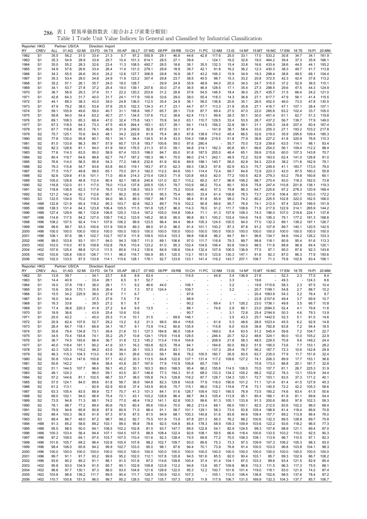| 貿易単価指数表(総合および産業分類別)<br>表1<br>286 |
|----------------------------------|
|----------------------------------|

| Reporter: HKG<br>RY | <b>CREV</b>                        | ALL            | Partner: US/CA<br>01:AG | 02:MI                    | 03:FD          | Direction: Import<br>04:TX | 05:AP          | 06:LT          | 07:WD              | 08:PP          | 09:RB                    | 10:CH                        | 11:PC                            | 12:NM                    | 13:IS           | 14:NF          | 15:MT          | 16:MC                 | 17:EM         | 18:TE          | 19:PI          | 20:MM          |
|---------------------|------------------------------------|----------------|-------------------------|--------------------------|----------------|----------------------------|----------------|----------------|--------------------|----------------|--------------------------|------------------------------|----------------------------------|--------------------------|-----------------|----------------|----------------|-----------------------|---------------|----------------|----------------|----------------|
| 1962                | S <sub>1</sub>                     | 35.5           | 56.2                    | 31.0                     | 33.4           | 21.3                       | 5.7            | 97.2           | 550.9              | 29.1           | 46.8                     | 44.6                         | 42.8                             | 117.6                    | 25.0            | 33.1           | 17.0           | 533.2                 | 30.8          | 34.7           | 34.1           | 161.9          |
| 1963                | S <sub>1</sub>                     | 35.3           | 54.9                    | 28.9                     | 33.9           | 25.7                       | 10.4           | 101.3          | 614.1              | 28.5           | 27.1                     | 39.9                         |                                  | 124.1                    | 16.0            | 32.6           | 19.0           | 464.2                 | 39.4          | 37.3           | 35.9           | 166.1          |
| 1964                | S <sub>1</sub>                     | 35.0           | 55.2                    | 28.3                     | 32.6           | 23.4                       | 11.3           | 108.5          | 492.7              | 28.5           | 18.6                     | 38.1                         | 35.5                             | 132.3                    | 15.4            | 33.8           | 16.6           | 433.4                 | 38.6          | 44.5           | 44.1           | 193.2          |
| 1965                | S <sub>1</sub>                     | 34.9           | 57.6                    | 26.6                     | 33.4           | 26.4                       | 11.4           | 131.0          | 279.1              | 29.8           | 18.9                     | 39.7                         | 42.1                             | 91.8                     | 16.2            | 36.2           | 12.3           | 430.3                 | 38.3          | 49.7           | 41.7           | 113.8          |
| 1966                | S <sub>1</sub>                     | 34.3           | 55.5                    | 26.6                     | 35.0           | 24.2                       | 12.6           | 127.7          | 306.9              | 29.8           | 16.9                     | 38.7                         | 43.2                             | 106.3                    | 15.9            | 34.9           | 19.3           | 298.4                 | 38.8          | 49.5           | 68.1           | 104.4          |
| 1967<br>1968        | S <sub>1</sub><br>S <sub>1</sub>   | 35.3<br>35.2   | 53.4<br>57.1            | 28.0<br>26.1             | 34.8<br>35.7   | 24.9<br>24.0               | 11.9<br>18.0   | 123.2<br>128.7 | 307.4              | 29.8<br>29.9   | 23.7<br>24.9             | 38.5<br>35.9                 | 45.5<br>48.9                     | 98.7<br>94.0             | 15.3<br>20.0    | 33.2<br>34.0   | 20.8<br>24.7   | 372.5<br>315.5        | 42.3<br>37.2  | 42.4<br>52.9   | 37.8<br>38.5   | 113.2<br>115.1 |
| 1969                | S <sub>1</sub>                     | 34.1           | 53.7                    | 27.8                     | 37.2           | 25.4                       | 19.0           | 139.1          | 207.6              | 30.0           | 27.4                     | 36.5                         | 46.4                             | 128.5                    | 17.1            | 35.4           | 27.3           | 299.5                 | 29.6          | 47.5           | 44.3           | 124.9          |
| 1970                | S <sub>1</sub>                     | 36.7           | 56.9                    | 29.3                     | 37.9           | 31.1                       | 22.2           | 120.2          | 203.6              | 31.2           | 28.8                     | 37.6                         | 54.5                             | 146.5                    | 18.4            | 36.0           | 25.7           | 435.7                 | 31.5          | 66.4           | 24.2           | 121.0          |
| 1971                | S <sub>1</sub>                     | 42.8           | 64.3                    | 31.7                     | 40.0           | 31.7                       | 24.1           | 117.9          | 100.9              | 33.6           | 29.0                     | 38.0                         | 55.4                             | 118.3                    | 14.3            | 36.8           | 27.1           | 617.7                 | 47.9          | 56.1           | 41.4           | 115.5          |
| 1972                | S <sub>1</sub>                     | 44.1           | 68.3                    | 38.3                     | 43.0           | 34.0                       | 24.8           | 136.0          | 112.5              | 35.4           | 24.9                     | 36.1                         | 58.5                             | 136.8                    | 20.6            | 35.1           | 26.5           | 452.5                 | 46.0          | 73.0           | 47.8           | 130.5          |
| 1973                | S <sub>1</sub>                     | 47.9           | 79.2                    | 38.0                     | 53.8           | 37.6                       | 25.5           | 152.3          | 134.3              | 41.7           | 23.1                     | 44.7                         | 67.7                             | 113.3                    | 21.9            | 35.8           | 27.1           | 416.7                 | 47.1          | 107.1          | 28.4           | 107.1          |
| 1974                | S <sub>1</sub>                     | 59.1           | 105.9                   | 49.6                     | 59.0           | 40.7                       | 31.1           | 158.8          | 165.7              | 65.7           | 28.1                     | 73.9                         | 87.7                             | 69.4                     | 27.0            | 47.0           | 22.0           | 285.8                 | 63.2          | 102.4          | 33.7           | 105.0          |
| 1975                | S <sub>1</sub>                     | 59.8           | 94.0                    | 54.4                     | 63.2           | 40.7                       | 27.1           | 134.5          | 137.6              | 73.2           | 38.6                     | 62.4                         | 113.1                            | 99.8                     | 28.3            | 50.1           | 30.0           | 451.4                 | 61.1          | 62.7           | 51.3           | 119.8          |
| 1976<br>1977        | S <sub>1</sub><br>S <sub>1</sub>   | 69.1<br>67.3   | 108.3<br>118.5          | 65.3<br>64.3             | 68.4<br>73.3   | 47.0<br>47.5               | 32.4<br>40.9   | 175.8<br>264.4 | 143.1<br>183.1     | 70.9<br>63.7   | 34.0<br>39.1             | 63.1<br>64.1                 | 110.7<br>114.5                   | 129.5<br>156.2           | 33.4<br>32.8    | 53.5<br>58.1   | 26.7<br>31.1   | 437.2<br>259.3        | 56.7<br>34.8  | 139.7<br>207.4 | 77.9<br>60.4   | 149.0<br>167.4 |
| 1978                | S <sub>1</sub>                     | 67.7           | 116.8                   | 65.3                     | 76.1           | 46.9                       | 31.9           | 249.9          | 92.9               | 67.5           | 33.1                     | 67.4                         |                                  | 141.9                    | 38.1            | 58.4           | 33.0           | 205.3                 | 27.1          | 193.2          | 103.2          | 217.8          |
| 1979                | S <sub>2</sub>                     | 75.7           | 125.1                   | 70.6                     | 84.5           | 48.1                       | 34.2           | 222.8          | 91.9               | 75.4           | 38.0                     | 87.8                         | 138.9                            | 174.0                    | 45.4            | 66.5           | 32.6           | 219.0                 | 35.9          | 295.6          | 109.4          | 185.3          |
| 1980                | S <sub>2</sub>                     | 77.8           | 135.0                   | 95.8                     | 90.1           | 55.1                       | 34.1           | 94.4           | 134.5              | 91.8           | 43.5                     | 104.3                        | 198.6                            | 219.5                    | 51.8            | 77.9           | 36.8           | 227.2                 | 41.8          | 320.9          | 76.8           | 110.3          |
| 1981                | S <sub>2</sub>                     | 81.0           | 133.9                   | 86.3                     | 89.7           | 57.9                       | 60.7           | 131.8          | 183.7              | 100.6          | 59.0                     | 97.6                         | 280.4                            |                          | 55.7            | 70.0           | 72.9           | 239.6                 | 63.5          | 114.1          | 98.1           | 83.4           |
| 1982                | S <sub>2</sub>                     | 82.3           | 128.8                   | 81.1                     | 94.0           | 61.9                       | 59.0           | 176.5          | 211.3              | 97.0           | 59.1                     | 94.8                         | 214.1                            | 182.3                    | 60.8            | 65.1           | 66.6           | 254.0                 | 56.1          | 109.4          | 112.2          | 98.4           |
| 1983                | S <sub>2</sub>                     | 77.6           | 114.3                   | 63.5                     | 95.0           | 58.9                       | 67.4           | 103.5          | 198.0              | 84.7           | 65.0                     | 91.8                         | 187.5                            | 205.0                    | 48.4            | 65.1           | 59.9           | 215.6                 | 60.0          | 107.3          | 143.8          | 70.7           |
| 1984                | S <sub>2</sub>                     | 80.4           | 119.7                   | 64.6                     | 98.8           | 62.7                       | 74.7           | 187.2          | 195.3              | 96.1           | 75.5                     | 96.0                         | 214.1                            | 242.1                    | 48.5            | 72.2           | 53.8           | 183.0                 | 62.4          | 141.0          | 126.8          | 81.0           |
| 1985<br>1986        | S <sub>2</sub><br>S <sub>2</sub>   | 76.6<br>79.3   | 114.0<br>115.8          | 56.5<br>54.7             | 95.9<br>93.6   | 54.3<br>63.8               | 77.2<br>84.0   | 146.9<br>119.1 | 232.6<br>183.7     | 81.9<br>87.0   | 60.6<br>62.3             | 89.9<br>89.3                 | 198.1<br>138.3                   | 140.7<br>67.6            | 56.0<br>62.9    | 62.8<br>63.3   | 54.3<br>75.7   | 223.8<br>249.4        | 38.2<br>41.1  | 171.6<br>183.7 | 162.9<br>173.0 | 79.1<br>79.0   |
| 1987                | S <sub>2</sub>                     | 77.5           | 115.7                   | 49.8                     | 99.5           | 65.1                       | 75.0           | 201.3          | 182.0              | 112.2          | 84.6                     | 100.1                        | 114.4                            | 72.4                     | 69.7            | 64.6           | 72.9           | 223.3                 | 42.0          | 87.5           | 160.2          | 55.8           |
| 1988                | S <sub>2</sub>                     | 92.6           | 129.8                   | 41.6                     | 101.1          | 71.0                       | 80.6           | 214.3          | 215.4              | 129.3          | 71.9                     | 120.8                        | 64.0                             | 82.0                     | 77.2            | 100.5          | 82.8           | 279.3                 | 63.2          | 79.8           | 160.8          | 60.1           |
| 1989                | S <sub>2</sub>                     | 105.0          | 128.8                   | 46.8                     | 112.4          | 80.4                       | 92.1           | 185.9          | 240.6              | 131.0          | 82.7                     | 110.2                        | 65.2                             | 67.7                     | 96.9            | 106.2          | 98.7           | 270.4                 | 93.0          | 118.3          | 162.0          | 73.8           |
| 1990                | S <sub>2</sub>                     | 116.8          | 132.0                   | 61.1                     | 117.5          | 79.0                       | 113.4          | 137.8          | 205.5              | 125.1          | 79.7                     | 103.9                        | 66.2                             | 70.4                     | 80.1            | 93.6           | 75.8           | 247.4                 | 110.8         | 201.8          | 138.1          | 119.3          |
| 1991                | S <sub>2</sub>                     | 118.8          | 138.9                   | 62.3                     | 117.9          | 76.5                       | 112.9          | 136.5          | 163.5              | 117.7          | 75.2                     | 103.6                        | 46.0                             | 57.3                     | 79.8            | 86.3           | 64.7           | 225.6                 | 97.2          | 278.3          | 120.9          | 168.4          |
| 1992                | S2                                 | 121.2          | 142.4                   | 62.1                     | 112.6          | 95.7                       | 90.2           | 93.6           | 157.6              | 95.3           | 75.4                     | 98.0                         | 33.4                             | 61.4                     | 108.6           | 78.3           | 73.7           | 217.6                 | 106.4         | 301.7          | 163.0          | 172.2          |
| 1993                | S <sub>3</sub>                     | 122.5          | 134.9                   | 70.2                     | 110.9          | 94.0                       | 96.3           | 89.3           | 159.7              | 88.7           | 74.3                     | 98.4                         | 81.8                             | 85.9                     | 99.2            | 74.2           | 80.2           | 225.5                 | 102.8         | 322.0          | 162.5          | 168.0          |
| 1994<br>1995        | H88<br>H88                         | 122.8<br>138.3 | 121.9<br>131.4          | 65.4<br>64.3             | 118.2<br>123.8 | 95.3<br>106.4              | 103.7<br>105.5 | 92.8<br>111.5  | 162.3<br>191.6     | 89.7<br>125.7  | 74.9<br>96.0             | 102.2<br>114.3               | 90.9<br>78.0                     | 88.6<br>91.2             | 95.7<br>111.7   | 76.9<br>108.6  | 74.1<br>71.9   | 212.5<br>217.9        | 97.4<br>122.9 | 323.8<br>314.1 | 199.5<br>265.9 | 151.9<br>144.2 |
| 1996                | H88                                | 127.4          | 129.9                   | 66.1                     | 132.6          | 106.6                      | 125.3          | 133.4          | 167.2              | 105.0          | 104.8                    | 106.4                        | 71.1                             | 91.3                     | 107.9           | 108.3          | 74.3           | 196.0                 | 107.0         | 219.8          | 224.1          | 137.8          |
| 1997                | H96                                | 114.6          | 117.5                   | 84.2                     | 127.0          | 109.7                      | 116.2          | 123.9          | 145.2              | 95.9           | 95.0                     | 96.8                         | 83.1                             | 100.2                    | 103.4           | 104.6          | 74.9           | 195.3                 | 79.1          | 177.2          | 181.3          | 168.6          |
| 1998                | H96                                | 108.2          | 107.5                   | 92.4                     | 114.1          | 107.6                      | 106.2          | 99.9           | 123.5              | 96.4           | 94.4                     | 96.4                         | 105.3                            | 124.5                    | 100.5           | 94.0           | 77.0           | 132.3                 | 89.1          | 139.2          | 197.1          | 126.7          |
| 1999                | H96                                | 99.6           | 99.7                    | 93.3                     | 100.6          | 101.9                      | 100.9          | 89.3           | 88.0               | 91.0           | 96.5                     | 91.4                         | 101.1                            | 100.2                    | 87.3            | 87.8           | 91.2           | 107.8                 | 89.7          | 140.1          | 120.5          | 142.5          |
| 2000                | H96                                | 100.0          | 100.0                   | 100.0                    | 100.0          | 100.0                      | 100.0          | 100.0          | 100.0              | 100.0          | 100.0                    | 100.0                        | 100.0                            | 100.0                    | 100.0           | 100.0          | 100.0          | 100.0                 | 100.0         | 100.0          | 100.0          | 100.0          |
| 2001                | H96                                | 108.1          | 97.6                    | 98.1                     | 102.7          | 102.7                      | 107.9          | 111.9          | 109.5              | 103.4          | 103.3                    | 98.8                         | 106.8                            | 96.2                     | 84.7            | 84.1           | 96.6           | 134.7                 | 94.6          | 104.2          | 126.2          | 103.3          |
| 2002                | H96                                | 99.0           | 103.8                   | 93.1                     | 101.7          | 94.0                       | 94.3           | 109.7          | 111.0              | 89.1           | 106.6                    | 97.0                         | 111.7                            | 116.8                    | 79.3            | 89.7           | 99.8           | 118.1                 | 80.9          | 95.4           | 91.6           | 113.3          |
| 2003<br>2004        | H <sub>02</sub><br>H <sub>02</sub> | 103.0<br>107.6 | 115.0<br>125.4          | 87.6<br>88.8             | 109.8<br>121.0 | 102.8<br>111.5             | 78.6<br>85.6   | 110.4<br>114.2 | 123.2<br>135.6     | 91.0<br>84.9   | 95.3<br>106.6            | 102.4<br>104.4               | 104.6<br>132.4                   | 106.4<br>107.9           | 93.8<br>106.5   | 104.0<br>136.9 | 98.5<br>77.5   | 111.6<br>97.1         | 88.9<br>95.0  | 96.9<br>87.8   | 84.4<br>92.3   | 120.1<br>143.6 |
| 2005                | H <sub>02</sub>                    | 103.6          | 126.8                   | 100.5                    | 126.7          | 111.1                      | 96.0           | 116.7          | 160.9              | 85.1           | 120.5                    | 112.1                        | 161.0                            | 123.6                    | 130.3           | 147.1          | 91.6           | 82.3                  | 87.0          | 86.3           | 77.9           | 150.6          |
| 2006                | H <sub>02</sub>                    | 102.0          | 133.5                   | 87.5                     | 133.8          | 114.1                      | 115.6          | 128.1          | 178.1              | 92.7           | 123.6                    | 123.1                        | 141.4                            | 116.2                    | 143.7           | 207.1          | 106.7          | 71.3                  | 75.8          | 102.6          | 83.4           | 156.1          |
|                     |                                    |                |                         |                          |                |                            |                |                |                    |                |                          |                              |                                  |                          |                 |                |                |                       |               |                |                |                |
|                     |                                    |                |                         |                          |                |                            |                |                |                    |                |                          |                              |                                  |                          |                 |                |                |                       |               |                |                |                |
| Reporter: HKG<br>RY | <b>CREV</b>                        | ALL            | Partner: US/CA          |                          |                | Direction: Export          |                |                | 07:WD              | 08:PP          | 09:RB                    |                              |                                  |                          |                 |                |                |                       |               |                | 19:PI          |                |
| 1962                | S <sub>1</sub>                     | 13.9           | 01:AG<br>39.7           | 02:MI                    | 03:FD<br>34.1  | 04:TX<br>23.7              | 05:AP<br>6.8   | 06:LT<br>8.9   | 63.4               |                |                          | 10:CH  11:PC  12:NM<br>114.5 |                                  | 44.9                     | $13:$ IS<br>3.4 | 14:NF<br>136.9 | 15:MT<br>21.6  | 16:MC                 | 17:EM<br>52.3 | 18:TE<br>2.3   | 77.0           | 20:MM<br>8.4   |
| 1963                | S <sub>1</sub>                     | 14.4           | 40.9                    |                          | 33.4           | 28.1                       | 6.5            | 9.1            | 52.7               |                |                          |                              |                                  |                          | 3.3             |                | 19.6           |                       | 49.3          |                | 124.3          | 8.6            |
| 1964                | S <sub>1</sub>                     | 16.0           | 37.8                    | 118.1                    | 36.0           | 28.1                       | 7.1            | 9.2            | 46.6               | 44.0           | $\overline{\phantom{a}}$ | 106.1                        | ä,                               | $\overline{\phantom{a}}$ | 3.2             |                | 19.8           | 1115.6                | 58.3          | 2.3            | 97.5           | 10.4           |
| 1965                | S <sub>1</sub>                     | 15.6           | 35.9                    | 170.1                    | 35.5           | 26.4                       | 7.0            | 7.3            | 57.0               | 124.4          |                          | 109.7                        |                                  |                          | 3.2             |                | 20.7           | 1199.1                | 54.8          | 2.7            | 88.7           | 10.2           |
| 1966                | S <sub>1</sub>                     | 15.5           | 34.2                    | 225.9                    | 38.0           | 27.9                       | 7.1            | 6.7            |                    |                |                          | 97.6                         |                                  | $\overline{\phantom{a}}$ |                 |                | 20.4           | 1583.9                | 54.3          | 3.2            | 76.4           | 9.7            |
| 1967                | S <sub>1</sub>                     | 16.0           | 34.4                    |                          | 37.5           | 27.6                       | 7.5            | 7.6            |                    |                | $\overline{\phantom{a}}$ | 88.9                         |                                  | $\overline{\phantom{a}}$ |                 |                | 22.8           | 2157.6                | 49.4          | 3.7            | 69.9           | 10.7           |
| 1968                | S <sub>1</sub>                     | 16.3           | 33.6                    |                          | 39.5           | 27.2                       | 8.1            | 8.7            |                    |                |                          | 90.2                         |                                  | 69.4                     | 3.1             | 126.2          | 23.0           | 1736.1                | 49.8          | 3.5            | 66.7           | 10.8           |
| 1969<br>1970        | S <sub>1</sub><br>S <sub>1</sub>   | 17.4<br>18.9   | 36.8<br>36.6            | 220.3                    | 41.9<br>43.9   | 27.2<br>25.4               | 9.4<br>10.6    | 9.9<br>10.6    | 13.5<br>$\sim$ $-$ |                |                          | 88.1<br>90.7                 |                                  | 74.6                     | 2.9<br>3.1      | 66.1<br>72.8   | 23.0           | 2094.5<br>25.4 2194.9 | 52.4<br>50.3  | 4.1<br>4.6     | 79.8<br>79.3   | 11.6<br>13.9   |
| 1971                | S <sub>1</sub>                     | 20.0           | 42.2                    | $\overline{\phantom{a}}$ | 45.0           | 25.3                       | 11.4           | 10.1           | 31.5               | $\sim$         |                          | 69.6 146.1                   |                                  | $\overline{\phantom{a}}$ | 3.5             | 43.3           |                | 25.7 1442.5           | 52.3          | 5.1            | 81.0           | 14.6           |
| 1972                | S <sub>1</sub>                     | 20.9           | 62.4                    | 107.6                    | 52.7           | 29.2                       | 13.2           | 9.2            | 31.3               | 99.5           | 69.4                     | 118.6                        |                                  | 61.6                     | 5.3             | 48.6           | 28.5           | 1023.4                | 45.5          | 6.2            | 92.9           | 14.8           |
| 1973                | S <sub>1</sub>                     | 26.4           | 64.7                    | 118.1                    | 66.9           | 34.1                       | 16.7           | 9.1            | 73.9               | 114.2          | 80.6                     | 135.4                        |                                  | $-115.8$                 | 6.0             | 43.6           | 36.8           | 782.8                 | 63.8          | 7.2            | 94.4           | 18.5           |
| 1974                | S <sub>1</sub>                     | 30.6           | 79.4                    | 134.8                    | 73.1           | 39.4                       | 21.6           | 10.1           | 127.3              | 184.8          | 86.0                     | 138.4                        | $\frac{1}{2}$                    | 169.0                    | 8.4             | 63.5           | 51.2           | 545.4                 | 59.8          | 7.2            | 104.7          | 22.7           |
| 1975                | S <sub>1</sub>                     | 34.5           | 70.4                    | 193.8                    | 74.1           | 35.2                       | 25.7           | 10.8           | 124.1              | 179.9          | 114.8                    | 128.5                        | $\overline{\phantom{a}}$         | 246.4                    | 20.7            | 52.2           | 48.6           | 324.1                 | 90.0          | 10.0           | 105.2          | 22.9           |
| 1976<br>1977        | S <sub>1</sub><br>S <sub>1</sub>   | 36.7<br>40.0   | 74.5                    | 193.6<br>191.1           | 86.4           | 36.7<br>41.9               | 31.8           | 12.3           | 145.2<br>183.8     | 113.4          | 118.4                    | 104.8<br>84.1                | ٠<br>÷.                          | 208.9<br>184.6           | 21.8            | 58.3           | 48.5<br>51.9   | 229.5<br>195.0        | 70.8          | 9.6<br>7.7     | 149.2<br>153.1 | 24.4<br>28.2   |
| 1978                | S <sub>1</sub>                     | 42.3           | 118.4<br>125.3          | 119.2                    | 90.2<br>98.2   | 43.5                       | 33.1<br>36.4   | 16.2<br>26.1   | 103.3              | 62.5<br>65.4   | 78.4<br>83.1             | 72.8                         | $\overline{\phantom{a}}$         | 137.3                    | 50.0<br>29.4    | 69.2<br>76.7   | 56.2           | 187.7                 | 73.6<br>72.3  | 10.6           | 142.8          | 29.9           |
| 1979                | S <sub>2</sub>                     | 46.3           | 115.3                   | 104.3                    | 113.0          | 51.8                       | 39.1           | 26.6           | 102.0              | 59.1           | 99.6                     | 78.2                         | 105.5                            | 160.7                    | 26.9            | 83.5           | 63.7           | 235.0                 | 77.9          | 11.7           | 151.6          | 32.4           |
| 1980                | S <sub>2</sub>                     | 50.8           | 133.4                   | 147.6                    | 100.8          | 57.1                       | 42.2           | 30.3           | 113.5              | 64.8           | 122.6                    | 137.1                        | 131.4                            | 117.2                    | 109.6           | 127.2          | 74.1           | 206.3                 | 89.9          | 17.7           | 153.1          | 36.6           |
| 1981                | S <sub>2</sub>                     | 50.6           | 142.2                   |                          | 98.4           | 58.4                       | 43.8           | 29.7           | 167.6              | 77.9           | 110.9                    | 106.8                        | 65.7                             | 139.1                    |                 |                | 70.8           | 173.0                 | 86.8          | 20.1           | 181.7          | 32.8           |
| 1982                | S <sub>2</sub>                     | 51.1           | 144.5                   | 107.7                    | 96.6           | 59.1                       | 45.2           | 30.1           | 163.3              | 89.0           | 168.5                    | 95.4                         | 88.2                             | 155.8                    | 114.5           | 108.5          | 70.5           | 157.7                 | 81.1          | 26.7           | 225.3          | 31.9           |
| 1983                | S <sub>2</sub>                     | 48.1           | 124.3                   |                          | 96.0           | 59.1                       | 43.5           | 30.7           | 146.8              | 77.3           | 154.3                    | 91.5                         | 68.0                             | 133.3                    | 134.3           | 105.2          | 66.2           | 102.2                 | 78.3          | 13.1           | 153.9          | 34.4           |
| 1984                | S <sub>2</sub>                     | 57.2           | 144.6                   | 81.1                     | 102.5          | 66.7                       | 53.7           | 38.0           | 155.8              | 74.3           | 129.8                    | 116.2                        | 87.7                             | 128.7                    | 134.3           | 120.1          | 72.7           | 153.1                 | 83.5          | 37.3           | 171.2          | 40.1           |
| 1985                | S <sub>2</sub><br>S <sub>2</sub>   | 57.5<br>61.2   | 124.1<br>113.1          | 84.0<br>÷,               | 89.6<br>92.9   | 61.8<br>62.9               | 56.7<br>60.6   | 36.9<br>37.4   | 164.8<br>143.9     | 82.3<br>80.6   | 129.8<br>75.7            | 143.8<br>115.1               | 77.9<br>88.0                     | 116.0<br>118.2           | 190.6           | 101.2<br>77.8  | 71.1<br>73.1   | 121.4<br>145.5        | 81.4          | 41.5<br>42.2   | 127.9<br>105.3 | 45.3<br>58.6   |
| 1986<br>1987        | S <sub>2</sub>                     | 63.3           | 105.4                   | 83.5                     | 88.9           | 72.7                       | 70.7           | 41.3           | 101.3              | 84.1           | 51.6                     | 126.7                        | 109.4                            | 102.1                    | 119.6<br>190.5  | 76.9           | 73.5           | 180.2                 | 72.2<br>74.6  | 63.4           | 61.5           | 50.6           |
| 1988                | S <sub>2</sub>                     | 68.0           | 102.1                   | 94.0                     | 96.9           | 75.4                       | 72.1           | 43.1           | 103.2              | 128.8          | 86.4                     | 88.7                         | 84.3                             | 105.4                    | 113.9           | 95.1           | 85.4           | 166.1                 | 81.9          | 81.1           | 89.8           | 54.4           |
| 1989                | S <sub>2</sub>                     | 73.5           | 94.8                    | 71.3                     | 88.1           | 74.2                       | 77.0           | 48.4           | 119.2              | 141.1          | 62.8                     | 100.3                        | 99.6                             | 81.3                     | 105.1           | 133.9          | 91.3           | 200.6                 | 86.6          | 97.8           | 102.3          | 59.3           |
| 1990                | S <sub>2</sub>                     | 78.1           | 98.7                    | 77.2                     | 89.4           | 80.6                       | 79.5           | 60.4           | 95.6               | 130.4          | 70.0                     | 96.2                         | 213.4                            | 68.1                     | 66.0            | 100.1          | 92.5           | 212.0                 | 83.6          | 102.2          | 96.0           | 68.4           |
| 1991                | S <sub>2</sub>                     | 79.9           | 94.6                    | 65.8                     | 90.8           | 87.9                       | 80.9           | 71.0           | 88.4               | 91.1           | 58.7                     | 101.1                        | 129.1                            | 58.3                     | 73.0            | 93.8           | 105.4          | 198.9                 | 81.4          | 118.4          | 86.6           | 70.8           |
| 1992                | S <sub>2</sub>                     | 89.4           | 100.3                   | 56.5                     | 91.9           | 97.3                       | 97.6           | 87.5           | 81.5               | 94.9           | 68.1                     | 100.3                        | 140.8                            | 51.6                     | 83.8            | 94.6           | 108.4          | 157.7                 | 89.2          | 113.9          | 96.4           | 76.0           |
| 1993                | S <sub>3</sub><br>H88              | 89.4           | 86.7                    | 48.0                     | 87.2           | 98.7                       | 99.2           | 92.7           | 75.5               | 101.9          | 73.9                     | 87.8                         | 251.3                            | 56.3                     | 76.2            | 88.2           | 100.6          | 132.3                 | 89.5          | 128.8          | 89.7           | 75.8           |
| 1994<br>1995        | H88                                | 91.3<br>95.5   | 85.2<br>98.5            | 58.6<br>50.0             | 89.2<br>94.1   | 103.1<br>108.5             | 99.0<br>102.2  | 95.8<br>102.8  | 78.6<br>81.5       | 92.5<br>93.7   | 104.8<br>147.7           | 85.4<br>89.5                 | 178.3<br>122.8                   | 58.9<br>54.1             | 109.3<br>82.9   | 109.9<br>124.5 | 103.6<br>99.3  | 122.2<br>107.8        | 93.6<br>98.9  | 118.2<br>121.1 | 96.5<br>89.4   | 77.3<br>87.0   |
| 1996                | H88                                | 100.3          | 103.4                   | 56.4                     | 94.4           | 107.1                      | 104.5          | 107.5          | 88.9               | 108.4          | 122.4                    | 92.6                         | 108.1                            | 59.5                     | 66.6            | 118.4          | 100.6          | 133.5                 | 103.2         | 110.0          | 92.5           | 90.3           |
| 1997                | H <sub>96</sub>                    | 97.2           | 109.5                   | 64.1                     | 97.5           | 103.7                      | 107.5          | 110.4          | 101.6              | 92.3           | 128.4                    | 74.5                         | 69.8                             | 77.2                     | 70.0            | 108.3          | 108.1          | 113.9                 | 96.7          | 110.5          | 97.1           | 82.3           |
| 1998                | H96                                | 101.6          | 105.7                   | 69.2                     | 96.4           | 102.8                      | 105.4          | 107.8          | 98.2               | 102.7          | 109.7                    | 93.0                         | 89.8                             | 75.3                     | 73.3            | 97.3           | 109.9          | 107.3                 | 106.2         | 105.3          | 98.3           | 93.0           |
| 1999                | H <sub>96</sub>                    | 99.4           | 106.0                   | 65.8                     | 94.2           | 99.9                       | 102.7          | 103.0          | 95.0               | 98.1           | 87.6                     | 94.4                         | 70.1                             | 73.9                     | 76.8            | 91.4           | 100.0          | 103.0                 | 96.8          | 103.8          | 104.1          | 98.3           |
| 2000                | H96                                | 100.0          | 100.0                   | 100.0                    | 100.0          | 100.0                      | 100.0          | 100.0          | 100.0              | 100.0          | 100.0                    | 100.0                        | 100.0                            | 100.0                    | 100.0           | 100.0          | 100.0          | 100.0                 | 100.0         | 100.0          | 100.0          | 100.0          |
| 2001                | H <sub>96</sub>                    | 99.7           | 91.1                    | 91.7                     | 93.2           | 99.6                       | 95.2           | 102.0          | 112.1              | 107.8          | 120.8                    | 94.5                         | 181.6                            | 85.5                     | 92.0            | 90.4           | 103.1          | 95.7                  | 99.3          | 102.9          | 86.7           | 108.2          |
| 2002<br>2003        | H96<br>H <sub>02</sub>             | 93.6<br>95.8   | 90.2<br>93.0            | 85.2<br>104.9            | 91.1<br>91.5   | 88.1<br>85.7               | 91.5<br>90.1   | 101.6<br>102.8 | 87.0<br>109.8      | 114.6<br>123.8 | 109.8<br>112.2           | 100.4<br>94.8                | 37.4<br>13.6                     | 91.4<br>95.7             | 104.1<br>109.8  | 87.0<br>96.6   | 103.3<br>110.3 | 99.6<br>111.5         | 93.4<br>96.3  | 121.5<br>117.3 | 82.9<br>75.5   | 85.4<br>88.1   |
| 2004                | H <sub>02</sub>                    | 96.6           | 97.7                    | 130.1                    | 97.3           | 88.0                       | 93.0           | 104.6          | 121.6              | 128.9          | 122.0                    | 95.3                         | 12.2                             | 100.7                    | 101.6           | 101.4          | 119.0          | 118.1                 | 93.0          | 121.9          | 74.2           | 87.4           |
| 2005<br>2006        | H <sub>02</sub><br>H <sub>02</sub> | 103.8<br>110.7 | 96.8<br>100.8           | 139.2<br>151.5           | 111.7<br>96.0  | 89.5<br>99.7               | 90.4<br>95.2   | 111.7<br>128.5 | 128.5<br>152.7     | 130.9<br>135.7 | 152.0<br>157.3           | 107.3<br>128.3               | $\overline{\phantom{a}}$<br>11.8 | 105.1<br>117.9           | 112.0<br>106.7  | 106.4<br>131.5 | 136.8<br>169.9 | 152.6<br>132.3        | 98.5<br>104.3 | 137.6<br>137.7 | 78.4<br>85.7   | 97.2<br>106.7  |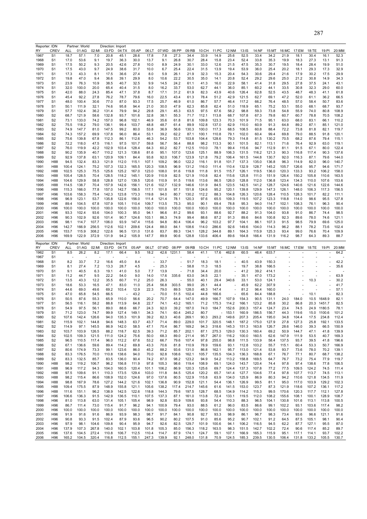| Reporter: IDN |                 |                | Partner: World |                | Direction: Import |                |                |                |                |              |                |                |              |                |                |                |                |               |                          |                |               |                |
|---------------|-----------------|----------------|----------------|----------------|-------------------|----------------|----------------|----------------|----------------|--------------|----------------|----------------|--------------|----------------|----------------|----------------|----------------|---------------|--------------------------|----------------|---------------|----------------|
| RY            | <b>CREV</b>     | ALL            | 01:AG          | 02:MI          | 03:FD             | 04:TX          | 05:AP          | 06:LT          | 07:WD          | 08:PP        | 09:RB          | 10:CH          | 11:PC        | 12:NM          | 13:IS          | 14:NF          | 15:MT          | 16:MC         | 17:EM                    | 18:TE          | 19:PI         | 20:MM          |
| 1967          | S <sub>1</sub>  | 18.7           | 57.1           | 7.0            | 20.8              | 45.1           | 28.6           | 17.8           | 7.8            | 27.3         | 34.4           | 33.9           | 14.9         | 25.6           | 52.5           | 33.4           | 34.2           | 21.9          | 18.1                     | 30.4           | 16.1          | 52.3           |
| 1968          | S1              | 17.0           | 53.6           | 9.1            | 19.7              | 36.3           | 30.0           | 13.7           | 9.1            | 26.8         | 30.7           | 28.4           | 15.8         | 23.4           | 52.4           | 33.8           | 35.3           | 19.9          | 18.3                     | 27.3           | 13.1          | 91.3           |
| 1969          | S1              | 17.5           | 50.2           | 9.3            | 20.5              | 42.6           | 27.8           | 10.0           | 8.9            | 24.9         | 30.1           | 33.0           | 12.6         | 21.5           | 47.5           | 35.3           | 30.7           | 19.5          | 18.4                     | 28.4           | 19.9          | 51.0           |
| 1970          | S1              | 17.5           | 43.0           | 9.7            | 24.9              | 38.6           | 31.7           | 10.0           | 6.7            | 25.4         | 22.4           | 31.5           | 13.9         | 19.4           | 53.9           | 36.0           | 25.4           | 20.2          | 18.1                     | 29.3           | 17.3          | 32.9           |
| 1971          | S1              | 17.3           | 43.3           | 8.1            | 17.5              | 36.6           | 27.4           | 8.0            | 5.9            | 26.1         | 21.9           | 32.3           | 15.3         | 20.4           | 54.3           | 30.6           | 29.4           | 21.6          | 17.9                     | 30.2           | 17.5          | 29.9           |
|               |                 |                |                |                |                   |                |                |                |                |              |                |                |              |                |                |                |                |               |                          |                |               |                |
| 1972          | S1              | 19.8           | 47.0           | 9.4            | 36.6              | 39.1           | 29.9           | 8.0            | 10.6           | 22.2         | 30.5           | 35.0           | 14.1         | 20.8           | 52.4           | 29.2           | 29.6           | 25.0          | 21.2                     | 30.8           | 14.9          | 34.3           |
| 1973          | S1              | 23.9           | 76.3           | 10.9           | 38.5              | 40.7           | 32.5           | 9.9            | 14.5           | 24.2         | 61.1           | 41.3           | 16.0         | 22.9           | 58.1           | 41.4           | 31.8           | 29.5          | 27.8                     | 37.5           | 24.1          | 43.1           |
| 1974          | S1              | 32.0           | 100.0          | 20.0           | 65.4              | 40.4           | 31.5           | 8.0            | 16.2           | 33.7         | 53.0           | 62.7           | 44.1         | 36.0           | 85.1           | 60.2           | 44.1           | 33.5          | 30.8                     | 32.3           | 29.0          | 60.0           |
| 1975          | S1              | 42.0           | 88.0           | 24.3           | 85.4              | 47.1           | 37.8           | 8.7            | 17.1           | 31.2         | 61.9           | 82.3           | 43.9         | 40.6           | 126.4          | 62.8           | 52.5           | 43.5          | 48.7                     | 48.3           | 41.1          | 61.8           |
| 1976          | S1              | 45.4           | 92.2           | 27.8           | 76.2              | 78.7           | 79.6           | 16.0           | 22.5           | 43.4         | 61.3           | 78.4           | 51.2         | 42.9           | 121.5          | 62.7           | 69.1           | 47.2          | 52.0                     | 61.1           | 36.2          | 66.5           |
| 1977          | S1              | 48.0           | 100.4          | 30.6           | 77.0              | 87.0           | 93.3           | 17.5           | 25.7           | 46.9         | 61.0           | 86.7           | 57.7         | 46.4           | 117.2          | 66.2           | 76.4           | 48.5          | 57.0                     | 58.4           | 50.7          | 83.6           |
| 1978          | S1              | 50.1           | 111.9          | 32.1           | 74.6              | 95.8           | 94.4           | 21.0           | 30.0           | 47.9         | 62.3           | 85.8           | 62.4         | 51.0           | 118.9          | 65.1           | 75.2           | 53.1          | 55.0                     | 68.1           | 68.7          | 93.7           |
| 1979          | S1              | 57.7           | 102.4          | 36.2           | 131.4             | 79.9           | 94.2           | 29.8           | 29.1           | 45.3         | 63.5           | 97.5           | 67.6         | 58.2           | 98.8           | 59.3           | 73.8           | 54.8          | 55.9                     | 74.0           | 80.8          | 108.9          |
|               |                 |                |                |                |                   |                |                |                |                |              |                |                |              |                |                |                |                |               |                          |                |               |                |
| 1980          | S <sub>2</sub>  | 68.7           | 121.9          | 58.6           | 132.8             | 93.7           | 101.6          | 32.8           | 38.1           | 55.3         | 71.7           | 112.1          | 113.8        | 68.7           | 107.8          | 67.3           | 79.8           | 60.7          | 60.7                     | 78.8           | 70.5          | 108.2          |
| 1981          | S <sub>2</sub>  | 73.1           | 133.0          | 74.2           | 157.0             | 96.8           | 102.1          | 46.9           | 35.6           | 61.8         | 81.6           | 109.8          | 123.3        | 70.3           | 101.9          | 71.5           | 95.1           | 63.0          | 68.0                     | 83.1           | 66.1          | 110.2          |
| 1982          | S <sub>2</sub>  | 75.5           | 118.2          | 79.0           | 136.1             | 99.4           | 103.7          | 48.8           | 48.7           | 61.4         | 89.9           | 102.8          | 137.0        | 62.9           | 110.0          | 60.9           | 91.3           | 64.8          | 89.2                     | 87.1           | 85.1          | 121.0          |
| 1983          | S <sub>2</sub>  | 74.9           | 147.7          | 81.0           | 147.5             | 99.2           | 80.0           | 53.8           | 36.9           | 56.6         | 130.3          | 100.0          | 117.3        | 68.5           | 108.5          | 60.8           | 88.4           | 72.2          | 73.8                     | 81.8           | 82.1          | 119.7          |
| 1984          | S <sub>2</sub>  | 74.3           | 157.2          | 69.9           | 137.8             | 96.0           | 86.4           | 53.1           | 39.2           | 62.2         | 87.1           | 100.1          | 110.8        | 79.1           | 102.0          | 60.4           | 99.4           | 69.8          | 79.0                     | 88.5           | 91.8          | 120.1          |
| 1985          | S <sub>2</sub>  | 75.6           | 139.8          | 67.8           | 112.3             | 86.1           | 112.6          | 46.3           | 54.2           | 53.7         | 103.8          | 104.4          | 128.6        | 79.3           | 114.8          | 81.5           | 130.2          | 70.5          | 68.2                     | 87.6           | 79.4          | 115.1          |
| 1986          | S <sub>2</sub>  | 72.2           | 118.0          | 47.5           | 116.1             | 97.5           | 101.7          | 59.8           | 56.7           | 56.4         | 88.8           | 98.2           | 113.3        | 90.1           | 101.5          | 82.1           | 113.1          | 71.6          | 76.4                     | 92.9           | 63.0          | 119.1          |
|               |                 |                |                |                |                   |                |                |                |                |              |                |                |              |                |                |                |                |               |                          |                |               |                |
| 1987          | S <sub>2</sub>  | 76.0           | 119.9          | 42.2           | 102.9             | 103.4          | 128.4          | 64.3           | 60.2           | 82.7         | 112.5          | 110.0          | 78.1         | 99.4           | 115.6          | 94.7           | 112.9          | 81.1          | 91.5                     | 67.1           | 80.0          | 122.4          |
| 1988          | S <sub>2</sub>  | 90.2           | 135.9          | 40.7           | 110.2             | 121.3          | 138.6          | 81.6           | 95.1           | 107.0        | 123.6          | 125.1          | 88.9         | 106.3          | 131.5          | 116.2          | 121.3          | 90.3          | 116.8                    | 117.4          | 90.3          | 137.6          |
| 1989          | S <sub>2</sub>  | 92.9           | 137.8          | 63.1           | 120.9             | 109.1          | 84.4           | 93.8           | 92.0           | 106.7        | 123.9          | 121.8          | 79.2         | 106.4          | 161.5          | 144.8          | 130.7          | 92.0          | 116.3                    | 87.1           | 79.6          | 144.0          |
| 1990          | H88             | 94.5           | 132.4          | 83.3           | 121.9             | 112.0          | 115.1          | 107.1          | 109.2          | 96.0         | 122.2          | 116.1          | 91.8         | 101.7          | 137.3          | 135.0          | 136.8          | 96.3          | 114.9                    | 82.0           | 96.0          | 140.7          |
| 1991          | H88             | 100.4          | 124.1          | 75.2           | 107.3             | 132.3          | 165.5          | 120.3          | 108.5          | 96.9         | 131.2          | 116.0          | 111.4        | 110.4          | 132.9          | 128.7          | 145.2          | 105.7         | 126.6                    | 95.7           | 94.6          | 171.7          |
| 1992          | H88             | 102.5          | 125.3          | 75.5           | 125.6             | 125.2          | 167.0          | 123.0          | 108.0          | 91.6         | 119.8          | 111.8          | 91.5         | 115.7          | 126.1          | 119.5          | 136.0          | 120.3         | 133.3                    | 93.2           | 106.2         | 158.0          |
| 1993          | H88             | 105.4          | 128.5          | 70.4           | 128.5             | 118.2          | 145.1          | 120.9          | 110.9          | 82.5         | 121.9          | 110.8          | 82.4         | 115.6          | 125.8          | 111.0          | 151.9          | 126.4         | 150.2                    | 105.8          | 110.6         | 163.5          |
| 1994          | H88             | 104.6          | 129.9          | 58.8           | 128.8             | 127.0          | 139.5          | 120.6          | 110.9          | 91.5         | 119.6          | 113.6          | 86.5         | 126.0          | 128.8          | 112.0          | 136.8          | 123.4         | 134.3                    | 110.0          | 107.6         | 153.6          |
|               |                 |                |                |                |                   |                |                |                |                |              |                |                |              |                |                |                |                |               |                          |                |               |                |
| 1995          | H88             | 114.5          | 138.7          | 70.4           | 157.9             | 142.6          | 156.1          | 121.6          | 102.7          | 132.9        | 146.6          | 131.9          | 84.5         | 123.5          | 142.5          | 141.2          | 128.7          | 124.6         | 140.6                    | 121.6          | 122.6         | 144.6          |
| 1996          | H88             | 115.3          | 166.0          | 77.8           | 157.0             | 142.7          | 156.5          | 117.1          | 101.8          | 97.1         | 151.8          | 124.6          | 95.2         | 120.1          | 139.8          | 129.9          | 147.3          | 126.1         | 148.0                    | 106.3          | 117.3         | 156.5          |
| 1997          | H96             | 103.6          | 158.3          | 75.4           | 142.3             | 123.8          | 173.3          | 119.8          | 94.0           | 80.7         | 130.2          | 112.2          | 88.3         | 104.8          | 126.3          | 120.6          | 128.4          | 110.5         | 128.3                    | 101.7          | 82.2          | 111.1          |
| 1998          | H96             | 96.9           | 123.1          | 53.7           | 135.8             | 122.6          | 156.0          | 111.4          | 121.4          | 78.1         | 120.3          | 97.6           | 65.5         | 109.3          | 119.5          | 107.2          | 123.3          | 118.8         | 114.0                    | 98.6           | 95.5          | 127.8          |
| 1999          | H96             | 89.4           | 104.5          | 67.8           | 107.9             | 105.1          | 110.4          | 109.7          | 113.5          | 75.3         | 95.0           | 90.1           | 69.4         | 78.8           | 95.3           | 94.0           | 114.7          | 102.1         | 108.3                    | 76.1           | 96.3          | 90.4           |
| 2000          | H96             | 100.0          | 100.0          | 100.0          | 100.0             | 100.0          | 100.0          | 100.0          | 100.0          | 100.0        | 100.0          | 100.0          | 100.0        | 100.0          | 100.0          | 100.0          | 100.0          | 100.0         | 100.0                    | 100.0          | 100.0         | 100.0          |
| 2001          | H96             | 93.3           | 102.4          | 93.6           | 104.0             | 100.3          | 95.0           | 94.1           | 96.6           | 81.2         | 99.6           | 93.1           | 88.6         | 92.7           | 88.2           | 91.3           | 104.0          | 93.8          | 91.0                     | 86.7           | 74.4          | 98.5           |
|               |                 | 90.3           |                |                |                   |                |                |                |                |              | 99.4           |                |              | 91.3           |                |                |                |               |                          |                | 74.6          | 121.1          |
| 2002          | H96             |                | 102.9          | 92.6           | 101.4             | 90.7           | 124.6          | 103.1          | 86.3           | 74.9         |                | 88.6           | 87.2         |                | 89.6           | 84.6           | 100.8          | 92.3          | 89.6                     | 78.0           |               |                |
| 2003          | H96             | 98.1           | 114.7          | 107.7          | 106.0             | 93.9           | 147.4          | 115.6          | 94.8           | 80.4         | 106.4          | 96.2           | 103.2        | 97.7           | 104.1          | 86.1           | 107.3          | 91.5          | 98.5                     | 79.9           | 69.6          | 125.0          |
| 2004          | H96             | 142.7          | 166.9          | 256.5          | 112.6             | 102.1          | 209.6          | 124.4          | 88.0           | 84.1         | 108.6          | 114.0          | 286.6        | 92.6           | 149.6          | 104.0          | 114.3          | 96.2          | 88.1                     | 78.2           | 73.6          | 102.4          |
| 2005          | H96             | 153.7          | 115.9          | 308.2          | 122.6             | 96.5           | 131.0          | 131.6          | 83.7           | 89.3         | 134.1          | 128.2          | 344.8        | 89.1           | 164.3          | 115.9          | 125.3          | 93.4          | 99.0                     | 76.6           | 70.4          | 109.9          |
| 2006          | H96             | 169.9          | 122.9          | 372.9          | 131.9             | 94.2           | 105.9          | 147.7          | 89.9           | 90.6         | 128.8          | 133.6          | 406.4        | 89.6           | 164.8          | 166.4          | 131.9          | 116.2         | 98.7                     | 64.3           | 89.3          | 88.7           |
|               |                 |                |                |                |                   |                |                |                |                |              |                |                |              |                |                |                |                |               |                          |                |               |                |
|               |                 |                |                |                |                   |                |                |                |                |              |                |                |              |                |                |                |                |               |                          |                |               |                |
| Reporter: IDN |                 |                | Partner: World |                | Direction: Import |                |                |                |                |              |                |                |              |                |                |                |                |               |                          |                |               |                |
| RY            | <b>CREV</b>     | ALL            | 01:AG          | 02:MI          | 03:FD             | 04:TX          | 05:AP          | 06:LT          | 07:WD          | 08:PP        | 09:RB          | 10:CH          | 11:PC        | 12:NM          | 13:1S          | 14:NF          | 15:MT          | 16:MC         | 17:EM  18:TE             |                | 19:PI         | 20:MM          |
| 1962          | S1              | 8.5            | 26.2           | 8.2            | 17.1              | 66.4           | 9.5            | 18.2           | 42.6           | 1231.1       | 58.4           | 41.1           | 17.6         | 462.8          | 60.5           | 46.4           | 633.7          |               |                          |                |               | 64.2           |
| 1967          | S1              |                |                | ٠.             |                   |                |                |                |                |              |                |                |              |                |                |                |                |               | $\overline{\phantom{a}}$ |                |               |                |
| 1968          | S1              | 8.2            | 33.7           | 7.2            | 16.6              | 45.0           | 8.4            |                | 33.7           |              | 51.7           | 18.3           | 18.1         |                | 40.5           | 43.9           | 150.3          |               |                          |                |               | 42.2           |
| 1969          | S1              | 8.1            | 27.4           | 7.2            | 13.3              | 28.7           | 4.5            |                | 25.3           |              | 58.8           | 11.3           | 18.5         |                | 19.7           | 38.8           | 166.5          |               |                          |                |               | 35.6           |
| 1970          | S1              | 9.1            | 40.5           | 6.3            | 19.1              | 41.0           | 5.0            | 7.7            | 13.9           |              | 71.8           | 34.4           | 20.0         |                | 41.2           | 39.2           | 414.1          |               |                          |                |               |                |
|               | S <sub>1</sub>  | 11.2           |                | 9.5            |                   | 54.0           | 9.0            |                | 17.6           |              | 63.0           |                | 22.1         |                |                |                |                | $\sim$        |                          |                |               |                |
| 1971          |                 |                | 44.7           |                | 22.2              |                |                | 14.0           |                | 335.6        |                | 34.5           |              |                | 35.1           | 47.0           | 173.2          | $\sim$        |                          |                |               | 63.9           |
| 1972          | S <sub>1</sub>  | 13.5           | 43.3           | 12.2           | 35.5              | 60.7           | 11.2           | 25.0           | 26.3           |              | 55.0           | 40.1           | 29.4         | 340.6          | 33.1           | 53.0           | 124.1          |               |                          | 10.3           |               | 30.2           |
| 1973          | S <sub>1</sub>  | 18.6           | 53.3           | 16.5           | 47.1              | 83.0           | 11.0           | 25.4           | 56.8           | 303.5        | 99.0           | 26.1           | 44.4         |                | 45.9           | 62.2           | 307.9          |               |                          |                |               | 41.7           |
| 1974          | S1              | 44.6           | 69.0           | 49.6           | 69.2              | 103.4          | 12.9           | 22.3           | 79.0           | 89.5         | 128.0          | 48.3           | 147.4        |                | 81.2           | 96.4           | 160.0          |               |                          |                |               | 57.1           |
| 1975          | S <sub>1</sub>  | 47.0           | 65.8           | 54.5           | 66.5              |                | 43.2           |                | 70.0           | 51.5         | 102.4          | 44.8           | 166.6        |                | 65.6           | 84.4           | 188.8          |               |                          | 10.1           |               | 82.3           |
| 1976          | S1              | 50.5           | 87.6           | 55.3           | 65.9              | 110.0          | 56.6           | 20.2           | 70.7           | 64.4         | 147.0          | 49.9           | 166.7        | 107.9          | 154.3          | 90.5           | 131.1          | 24.0          | 184.0                    | 10.5           | 1648.9        | 82.1           |
| 1977          | S1              | 56.5           | 116.1          | 58.2           | 88.8              | 113.9          | 64.8           | 22.7           | 74.1           | 43.2         | 165.1          | 71.2           | 175.3        | 114.2          | 166.1          | 123.2          | 85.8           | 30.2          | 86.8                     | 20.3           | 1451.7        | 82.5           |
| 1978          | S1              | 54.9           | 97.5           | 56.1           | 89.0              | 88.6           | 66.7           | 24.3           | 92.0           | 39.2         | 187.0          | 74.0           | 184.7        | 152.6          | 200.3          | 157.4          | 124.7          | 23.4          | 74.5                     | 24.9           | 1180.5        | 78.1           |
| 1979          | S <sub>1</sub>  | 71.2           | 123.0          | 74.7           | 99.9              | 127.4          | 149.1          | 34.3           | 74.1           | 60.4         | 245.2          | 80.7           |              | $-153.1$       | 160.9          | 186.5          | 156.7          | 44.3          | 119.6                    |                | 15.0 1100.6   | 101.2          |
| 1980          | S <sub>2</sub>  | 107.6          | 142.4          | 126.6          | 94.0              | 135.3          | 101.9          | 39.2           | 82.3           | 40.6         | 269.1          | 90.3           | 293.2 149.6  |                | 207.3          | 205.4          | 195.0          | 34.8          | 104.4                    | 17.5           | 234.8         | 112.4          |
| 1981          | S <sub>2</sub>  | 115.9          | 102.1          | 144.8          | 94.6              | 148.3          | 63.7           | 43.7           | 71.4           | 89.0         | 229.0          | 101.7          | 320.5        | 148.1          | 187.2          | 175.0          | 127.9          | 27.8          | 127.3                    | 25.8           | 192.1         | 133.5          |
| 1982          | S <sub>2</sub>  | 114.9          | 97.1           | 145.5          | 86.9              | 142.0          | 58.5           | 47.1           | 70.4           | 86.7         | 169.2          | 94.3           | 318.6        | 145.3          | 151.3          | 163.8          | 126.7          | 28.6          | 146.0                    | 39.3           | 66.5          | 150.9          |
|               |                 |                |                |                |                   |                |                |                |                |              |                |                |              |                |                |                |                |               |                          |                |               |                |
| 1983          | S <sub>2</sub>  | 103.7          | 103.9          | 126.5          | 88.2              | 118.7          | 62.5           | 39.3           | 71.2           | 85.7         | 202.1          | 87.1           | 275.3        | 129.0          | 130.3          | 160.4          | 69.2           | 50.9          | 144.7                    | 47.1           | 41.8          | 139.9          |
| 1984          | S <sub>2</sub>  | 102.5          | 109.3          | 121.5          | 111.0             | 124.2          | 75.6           | 50.0           | 68.3           | 89.0         | 211.4          | 95.7           | 267.0        | 116.2          | 100.0          | 160.5          | 62.6           | 147.9         | 111.9                    | 53.5           | 40.7          | 169.3          |
| 1985          | S <sub>2</sub>  | 96.5           | 110.5          | 117.4          | 96.0              | 112.2          | 67.6           | 53.2           | 66.7           | 79.6         | 107.4          | 97.8           | 255.0        | 98.8           | 111.5          | 133.9          | 58.4           | 137.5         | 93.7                     | 39.5           | 41.8          | 196.6          |
| 1986          | S <sub>2</sub>  | 67.1           | 136.6          | 59.6           | 89.4              | 114.2          | 69.8           | 43.3           | 70.6           | 81.8         | 110.9          | 78.9           | 159.6        | 93.1           | 112.8          | 103.2          | 55.7           | 115.1         | 60.4                     | 53.3           | 50.7          | 166.9          |
| 1987          | S <sub>2</sub>  | 80.6           | 174.9          | 73.3           | 99.1              | 123.6          | 86.0           | 45.2           | 88.2           | 93.6         | 131.0          | 86.8           | 162.1        | 95.7           | 113.0          | 121.4          | 53.8           | 93.7          | 73.6                     | 78.0           | 70.2          | 139.1          |
| 1988          | S <sub>2</sub>  | 83.3           | 176.5          | 70.0           | 110.8             | 138.6          | 94.0           | 70.0           | 92.8           | 108.6        | 162.1          | 105.7          | 135.5        | 104.3          | 136.3          | 168.8          | 67.1           | 76.7          | 77.1                     | 80.7           | 68.7          | 138.2          |
| 1989          | S <sub>2</sub>  | 83.3           | 132.5          | 85.7           | 83.5              | 136.0          | 90.4           | 74.2           | 87.0           | 98.2         | 123.2          | 94.9           | 54.2         | 113.2          | 158.8          | 169.5          | 64.7           | 76.7          | 73.2                     | 75.4           | 77.9          | 119.7          |
| 1990          | H88             | 98.2           | 119.2          | 106.7          | 96.2              | 156.8          | 111.9          | 97.8           | 105.3          | 98.6         | 119.4          | 108.9          | 69.1         | 124.0          | 143.7          | 120.4          | 74.4           | 97.8          | 97.4                     | 138.6          | 77.8          | 106.5          |
| 1991          | H88             | 96.9           | 117.2          | 94.3           | 104.0             | 160.5          | 120.4          | 101.1          | 106.2          | 86.9         | 120.3          | 125.6          | 69.7         | 124.4          | 137.3          | 107.8          | 77.2           | 77.5          | 109.5                    | 124.2          | 74.5          | 111.4          |
|               |                 |                |                |                |                   |                |                |                |                |              |                |                |              |                |                |                |                |               |                          |                |               |                |
| 1992          | H88             | 97.5           | 109.6          | 91.1           | 110.3             | 173.5          | 129.4          | 103.0          | 111.8          | 84.5         | 125.4          | 120.2          | 65.7         | 141.4          | 127.7          | 104.6          | 77.4           | 97.8          | 107.7                    | 113.7          | 74.5          | 113.1          |
| 1993          | H88             | 98.2           | 115.4          | 86.6           | 108.9             | 152.0          | 124.6          | 97.0           | 137.6          | 80.5         | 122.9          | 115.8          | 63.9         | 134.0          | 125.9          | 86.9           | 80.3           | 94.2          | 110.6                    | 121.8          | 134.5         | 111.9          |
| 1994          | H88             | 98.8           | 167.9          | 78.6           | 127.2             | 144.2          | 121.6          | 102.1          | 136.8          | 90.9         | 152.8          | 121.1          | 54.4         | 136.1          | 126.9          | 99.5           | 81.1           | 95.0          | 117.0                    | 103.9          | 129.2         | 102.3          |
| 1995          | H88             | 109.4          | 175.5          | 87.9           | 148.9             | 155.8          | 121.1          | 105.6          | 138.2          | 117.4        | 214.7          | 145.6          | 61.6         | 141.5          | 153.0          | 123.7          | 87.3           | 121.9         | 118.6                    | 107.2          | 136.1         | 117.2          |
| 1996          | H88             | 111.6          | 151.1          | 96.2           | 138.9             | 142.5          | 122.6          | 118.8          | 144.3          | 79.6         | 197.5          | 128.7          | 68.5         | 134.9          | 114.2          | 115.3          | 99.5           | 170.6         | 120.3                    | 117.7          | 112.1         | 127.8          |
| 1997          | H96             | 106.6          | 136.3          | 91.5           | 142.9             | 136.5          | 110.1          | 107.5          | 137.3          | 87.1         | 161.0          | 113.8          | 72.4         | 133.1          | 119.5          | 112.0          | 108.2          | 155.6         | 108.1                    | 100.1          | 128.9         | 108.7          |
| 1998          | H <sub>96</sub> | 81.0           | 113.8          | 63.0           | 131.4             | 105.1          | 105.4          | 98.9           | 92.8           | 83.9         | 109.6          | 93.8           | 54.4         | 110.3          | 88.3           | 96.5           | 104.1          | 130.8         | 101.6                    | 113.1          | 113.8         | 100.5          |
| 1999          | H <sub>96</sub> | 86.7           | 111.4          | 73.0           | 115.4             | 91.7           | 96.2           | 94.1           | 100.9          | 79.4         | 93.0           | 88.5           | 61.2         | 96.0           | 83.5           | 86.6           | 99.1           | 102.2         | 93.1                     | 103.6          | 117.4         | 98.2           |
|               |                 |                |                |                |                   |                |                |                |                |              |                |                |              |                |                |                |                |               |                          |                |               |                |
| 2000          | H96             | 100.0          | 100.0          | 100.0          | 100.0             | 100.0          | 100.0          | 100.0          | 100.0          | 100.0        | 100.0          | 100.0          | 100.0        | 100.0          | 100.0          | 100.0          | 100.0          | 100.0         | 100.0                    | 100.0          | 100.0         | 100.0          |
| 2001          | H96             | 91.9           | 91.6           | 91.6           | 86.9              | 93.9           | 98.3           | 98.7           | 91.7           | 84.1         | 90.8           | 92.7           | 93.3         | 98.9           | 86.1           | 96.7           | 98.3           | 73.4          | 93.6                     | 96.6           | 121.1         | 91.6           |
| 2002          | H96             | 90.8           | 93.3           | 91.5           | 102.4             | 87.9           | 93.6           | 96.5           | 90.2           | 80.2         | 107.5          | 91.0           | 85.6         | 95.2           | 90.7           | 102.1          | 91.2           | 64.5          | 87.5                     | 105.1          | 98.1          | 90.4           |
| 2003          | H96             | 97.9           | 98.1           | 104.6          | 109.8             | 90.4           | 95.9           | 94.7           | 92.6           | 82.5         | 129.7          | 101.9          | 100.6        | 94.1           | 106.2          | 116.5          | 94.5           | 62.2          | 87.7                     | 127.1          | 95.5          | 87.0           |
| 2004          | H96             | 137.9          | 107.3          | 267.8          | 140.0             | 102.1          | 103.8          | 101.8          | 105.3          | 85.0         | 156.3          | 118.2          | 163.5        | 98.3           | 151.5          | 142.7          | 102.2          | 72.4          | 90.6                     | 117.4          | 85.2          | 89.7           |
| 2005<br>2006  | H96             | 137.6<br>165.2 | 104.5<br>104.5 | 272.4<br>320.4 | 110.8<br>116.8    | 106.7<br>112.5 | 112.5<br>155.1 | 110.4<br>247.3 | 114.7<br>139.9 | 87.9<br>92.1 | 174.1<br>248.0 | 124.7<br>131.8 | 59.1<br>70.9 | 107.1<br>124.5 | 166.9<br>185.3 | 165.3<br>239.5 | 115.9<br>130.5 | 95.1<br>106.4 | 117.1<br>131.8           | 114.1<br>133.2 | 93.7<br>105.5 | 102.2<br>130.7 |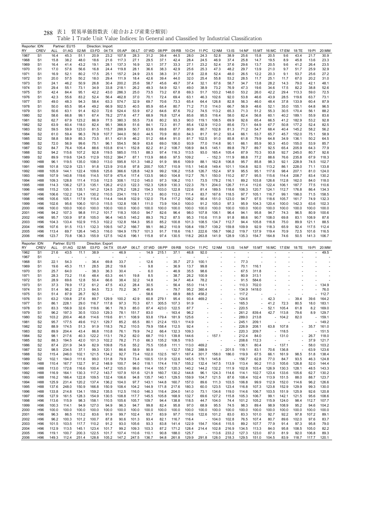| 貿易単価指数表(総合および産業分類別)<br>表1<br>288 |  |  |
|----------------------------------|--|--|
|----------------------------------|--|--|

| Reporter: IDN<br>RY | <b>CREV</b>                      | ALL            | Partner: EU15<br>01:AG | 02:MI          | Direction: Import<br>03:FD | 04:TX          | 05:AP          | 06:LT                    | 07:WD          | 08:PP                    | 09:RB          | 10:CH          | 11:PC                             | 12:NM                    | 13:1S                                                | 14:NF          | 15:MT           | 16:MC             | 17:EM          | 18:TE          | 19:PI          | 20:MM          |
|---------------------|----------------------------------|----------------|------------------------|----------------|----------------------------|----------------|----------------|--------------------------|----------------|--------------------------|----------------|----------------|-----------------------------------|--------------------------|------------------------------------------------------|----------------|-----------------|-------------------|----------------|----------------|----------------|----------------|
| 1967                | S <sub>1</sub>                   | 16.4           | 45.3                   | 51.1           | 20.9                       | 23.2           | 107.8          | 28.3                     | 31.2           | 39.4                     | 44.5           | 28.0           | 24.3                              | 52.8                     | 38.9                                                 | 25.6           | 15.8            | 20.5              | 9.6            | 43.4           | 21.7           | 30.9           |
| 1968                | S1                               | 15.8           | 38.2                   | 48.0           | 18.6                       | 21.6           | 117.3          | 27.1                     | 29.5           | 37.1                     | 42.4           | 28.4           | 24.5                              | 46.9                     | 37.4                                                 | 25.8           | 14.7            | 19.5              | 8.9            | 45.8           | 13.6           | 23.3           |
| 1969                | S <sub>1</sub>                   | 16.4           | 41.4                   | 43.2           | 19.1                       | 28.1           | 137.3          | 16.9                     | 32.1           | 37.7                     | 33.3           | 27.1           | 23.2                              | 52.4                     | 37.6                                                 | 29.6           | 13.7            | 20.5              | 9.6            | 41.2           | 26.4           | 23.5           |
| 1970                | S <sub>1</sub><br>S <sub>1</sub> | 17.0           | 57.6<br>52.1           | 56.6<br>80.2   | 16.8                       | 24.4<br>25.1   | 119.8          | 28.1<br>24.9             | 36.6<br>23.5   | 38.3<br>38.3             | 42.9<br>31.7   | 25.6<br>27.8   | 25.3<br>22.8                      | 47.3<br>52.4             | 48.2<br>48.0                                         | 29.7<br>26.5   | 13.9<br>12.2    | 21.0<br>20.3      | 9.7<br>9.1     | 51.7<br>53.7   | 25.9<br>25.6   | 32.9<br>27.2   |
| 1971<br>1972        | S1                               | 16.9<br>20.0   | 57.5                   | 50.2           | 17.5<br>18.0               | 29.4           | 157.2<br>111.9 | 18.4                     | 42.6           | 39.4                     | 44.0           | 32.0           | 25.4                              | 55.8                     | 53.2                                                 | 28.5           | 11.7            | 25.1              | 11.7           | 67.0           | 20.2           | 31.0           |
| 1973                | S1                               | 24.1           | 46.2                   | 50.9           | 26.8                       | 30.4           | 200.2          | 25.6                     | 58.7           | 45.6                     | 49.7           | 37.4           | 32.1                              | 67.6                     | 58.7                                                 | 34.7           | 13.8            | 28.2              | 14.3           | 79.0           | 42.1           | 48.1           |
| 1974                | S1                               | 29.4           | 55.1                   | 73.1           | 34.9                       | 33.8           | 218.1          | 26.2                     | 49.3           | 54.9                     | 52.1           | 49.0           | 38.9                              | 73.2                     | 76.9                                                 | 47.3           | 19.6            | 34.6              | 17.5           | 82.2           | 38.8           | 52.6           |
| 1975                | S1                               | 42.4           | 84.4                   | 95.1           | 42.2                       | 43.0           | 286.3          | 25.0                     | 73.5           | 73.2                     | 67.8           | 69.3           | 51.7                              | 103.2                    | 148.0                                                | 53.2           | 26.0            | 42.2              | 29.4           | 113.3          | 59.0           | 72.5           |
| 1976                | S1                               | 42.3           | 55.6                   | 83.2           | 52.4                       | 56.4           | 462.8          | 37.0                     | 70.1           | 72.4                     | 69.4           | 63.1           | 46.3                              | 102.6                    | 92.0                                                 | 53.8           | 46.6            | 43.9              | 28.5           | 119.6          | 63.7           | 73.1           |
| 1977<br>1978        | S1<br>S1                         | 49.0<br>50.0   | 48.3<br>65.5           | 94.3<br>95.4   | 58.4<br>49.2               | 63.3<br>66.9   | 574.7<br>502.5 | 32.9<br>40.5             | 69.7<br>85.9   | 70.6<br>65.4             | 73.3<br>80.7   | 65.4<br>71.2   | 64.4<br>71.0                      | 126.8<br>114.0           | 82.8<br>66.7                                         | 56.3<br>56.9   | 46.0<br>48.6    | 48.4<br>52.1      | 37.8<br>35.0   | 133.9<br>155.1 | 60.4<br>64.8   | 87.9<br>96.5   |
| 1979                | S1                               | 50.6           | 63.1                   | 91.4           | 62.0                       | 72.6           | 524.4          | 53.9                     | 67.2           | 64.6                     | 87.6           | 70.2           | 74.5                              | 113.2                    | 65.3                                                 | 71.3           | 51.2            | 55.3              | 30.5           | 170.4          | 56.1           | 88.2           |
| 1980                | S2                               | 58.6           | 66.8                   | 99.1           | 67.4                       | 78.2           | 277.6          | 47.7                     | 68.9           | 76.8                     | 127.4          | 85.6           | 95.5                              | 116.4                    | 58.0                                                 | 82.4           | 56.8            | 60.1              | 40.2           | 189.1          | 55.9           | 83.6           |
| 1981                | S2                               | 62.7           | 67.9                   | 123.2          | 86.9                       | 77.5           | 380.3          | 55.5                     | 73.6           | 80.2                     | 93.3           | 90.0           | 119.1                             | 108.5                    | 69.9                                                 | 92.6           | 65.4            | 66.5              | 41.2           | 182.9          | 53.2           | 92.8           |
| 1982                | S2                               | 63.9           | 60.4                   | 118.0          | 82.4                       | 95.1           | 366.9          | 51.6                     | 84.1           | 72.3                     | 81.7           | 85.4           | 132.9                             | 112.0                    | 85.6                                                 | 73.1           | 64.9            | 67.7              | 50.8           | 177.2          | 52.4           | 82.5           |
| 1983<br>1984        | S2<br>S <sub>2</sub>             | 59.5<br>61.0   | 59.9<br>59.4           | 123.0<br>96.3  | 81.5<br>76.9               | 115.7<br>107.7 | 288.9<br>344.0 | 50.7<br>56.0             | 63.9<br>44.5   | 69.8<br>70.9             | 87.7<br>80.0   | 80.9<br>84.3   | 80.7<br>81.7                      | 102.8<br>91.2            | 81.3<br>93.4                                         | 71.2<br>66.1   | 54.7<br>53.7    | 68.4<br>65.7      | 40.4<br>45.7   | 145.2<br>152.0 | 58.2<br>75.1   | 56.2<br>58.9   |
| 1985                | S2                               | 58.8           | 58.9                   | 85.3           | 73.5                       | 81.1           | 431.9          | 46.2                     | 51.2           | 68.4                     | 91.0           | 81.7           | 102.5                             | 91.0                     | 85.8                                                 | 61.8           | 79.9            | 64.8              | 34.9           | 136.1          | 50.2           | 64.5           |
| 1986                | S2                               | 72.0           | 56.9                   | 99.6           | 75.1                       | 96.1           | 554.5          | 56.9                     | 63.6           | 69.0                     | 106.0          | 93.9           | 77.0                              | 114.8                    | 90.1                                                 | 66.1           | 85.9            | 90.3              | 45.0           | 155.0          | 53.9           | 85.7           |
| 1987                | S2                               | 84.7           | 76.4                   | 105.4          | 88.6                       | 103.8          | 614.1          | 152.8                    | 82.2           | 81.2                     | 108.7          | 108.9          | 84.5                              | 145.1                    | 89.8                                                 | 78.7           | 89.7            | 92.5              | 65.4           | 205.9          | 64.3           | 77.9           |
| 1988                | S2                               | 94.2           | 115.6                  | 107.2          | 92.8                       | 119.5          | 585.0          | 115.1                    | 88.3           | 97.4                     | 116.3          | 113.5          | 93.0                              | 165.4                    | 105.4                                                | 87.9           | 70.3            | 93.8              | 92.7           | 245.0          | 80.7           | 92.6           |
| 1989<br>1990        | S2<br>H88                        | 89.9<br>96.1   | 119.6<br>119.5         | 124.5<br>135.0 | 112.9<br>108.0             | 103.2<br>113.0 | 384.7<br>595.8 | 87.1<br>101.3            | 113.9<br>148.2 | 88.6<br>91.9             | 97.5<br>99.6   | 109.2<br>109.9 | 88.1                              | 152.3<br>162.8           | 111.9<br>106.8                                       | 88.8<br>95.7   | 77.2<br>85.8    | 88.6<br>98.3      | 76.6<br>92.1   | 235.8<br>228.9 | 67.9<br>74.5   | 118.3<br>102.7 |
| 1991                | H88                              | 101.8          | 132.9                  | 123.1          | 91.8                       | 123.9          | 310.8          | 97.8                     | 200.7          | 105.7                    | 110.9          | 115.1          | 140.8                             | 149.4                    | 101.1                                                | 104.8          | 92.5            | 113.2             | 86.1           | 228.0          | 71.1           | 133.8          |
| 1992                | H88                              | 105.9          | 144.1                  | 122.4          | 109.6                      | 125.6          | 366.6          | 128.8                    | 142.9          | 99.2                     | 106.2          | 115.8          | 126.7                             | 152.4                    | 97.9                                                 | 95.5           | 95.1            | 117.6             | 98.4           | 207.1          | 81.0           | 124.0          |
| 1993                | H88                              | 107.9          | 140.8                  | 119.6          | 114.5                      | 107.9          | 475.4          | 117.4                    | 133.5          | 98.0                     | 104.8          | 112.7          | 76.1                              | 150.0                    | 110.2                                                | 87.7           | 95.5            | 115.6             | 114.4          | 208.7          | 83.4           | 130.2          |
| 1994                | H88                              | 109.3          | 128.8                  | 111.4          | 113.6                      | 112.5          | 308.1          | 112.0                    | 145.0          | 97.3                     | 106.2          | 110.1          | 73.5                              | 178.2                    | 116.1                                                | 89.2           | 103.8           | 126.6             | 112.8          | 162.0          | 84.0           | 118.0          |
| 1995                | H88                              | 114.3          | 136.2                  | 127.3          | 135.1                      | 126.2          | 412.0          | 122.3                    | 152.3          | 128.9                    | 130.3          | 122.3          | 79.1                              | 204.0                    | 126.7                                                | 111.4          | 112.6           | 122.4             | 106.1          | 187.7          | 77.5           | 110.6          |
| 1996<br>1997        | H88<br>H96                       | 115.2<br>106.6 | 135.1<br>132.2         | 135.1<br>124.1 | 141.2<br>130.2             | 124.5<br>110.5 | 276.2<br>234.1 | 128.2<br>119.1           | 154.3<br>117.3 | 103.0<br>80.0            | 122.8<br>113.2 | 122.6<br>111.4 | 81.4<br>83.7                      | 189.5<br>167.6           | 118.6<br>118.5                                       | 106.3<br>97.7  | 120.7<br>105.1  | 124.1<br>116.7    | 112.7<br>99.1  | 176.8<br>198.0 | 86.4<br>71.5   | 134.3<br>158.5 |
| 1998                | H96                              | 105.6          | 105.1                  | 117.9          | 115.4                      | 114.4          | 144.8          | 102.9                    | 132.0          | 75.4                     | 117.2          | 106.2          | 90.4                              | 151.0                    | 123.0                                                | 94.7           | 97.5            | 118.6             | 105.7          | 161.7          | 74.9           | 132.3          |
| 1999                | H96                              | 102.6          | 95.6                   | 106.0          | 101.0                      | 115.5          | 132.8          | 108.1                    | 111.0          | 73.9                     | 104.0          | 100.0          | 91.2                              | 105.0                    | 97.3                                                 | 95.9           | 104.3           | 120.4             | 100.0          | 142.3          | 63.6           | 102.3          |
| 2000                | H <sub>96</sub>                  | 100.0          | 100.0                  | 100.0          | 100.0                      | 100.0          | 100.0          | 100.0                    | 100.0          | 100.0                    | 100.0          | 100.0          | 100.0                             | 100.0                    | 100.0                                                | 100.0          | 100.0           | 100.0             | 100.0          | 100.0          | 100.0          | 100.0          |
| 2001                | H96                              | 94.2           | 107.3                  | 98.8           | 111.2                      | 101.7          | 118.3          | 105.0                    | 94.7           | 82.6                     | 96.4           | 98.0           | 107.8                             | 106.1                    | 96.4                                                 | 94.1           | 95.8            | 94.7              | 74.3           | 96.5           | 80.9           | 100.6          |
| 2002                | H96<br>H96                       | 95.7<br>104.3  | 130.9<br>133.4         | 97.8<br>102.9  | 105.0<br>115.3             | 96.4<br>102.2  | 140.5<br>132.8 | 145.2<br>164.3           | 89.3<br>95.0   | 76.2<br>85.2             | 87.5<br>100.8  | 95.3<br>101.3  | 110.6<br>108.5                    | 111.9<br>134.7           | 91.8<br>112.7                                        | 88.6<br>94.4   | 90.7<br>105.8   | 108.0<br>116.8    | 69.8<br>75.0   | 83.1<br>89.9   | 108.9<br>121.1 | 87.6<br>88.5   |
| 2003<br>2004        | H <sub>96</sub>                  | 107.6          | 91.5                   | 113.1          | 132.3                      | 109.5          | 147.2          | 166.7                    | 99.1           | 86.2                     | 110.9          | 108.4          | 159.7                             | 139.2                    | 159.8                                                | 109.9          | 92.9            | 118.3             | 65.9           | 92.4           | 117.5          | 112.4          |
| 2005                | H96                              | 113.4          | 69.7                   | 126.4          | 145.3                      | 116.0          | 184.9          | 179.7                    | 101.3          | 91.7                     | 118.6          | 116.1          | 222.6                             | 156.7                    | 166.2                                                | 119.7          | 137.9           | 119.4             | 70.9           | 72.5           | 101.6          | 116.5          |
| 2006                | H96                              | 123.7          | 70.8                   | 136.3          | 155.9                      | 127.5          | 142.6          | 196.1                    | 115.8          | 97.4                     | 130.5          | 118.2          | 263.8                             | 141.9                    | 128.9                                                | 135.3          | 154.7           | 164.8             | 74.6           | 50.5           | 141.3          | 106.7          |
|                     |                                  |                |                        |                |                            |                |                |                          |                |                          |                |                |                                   |                          |                                                      |                |                 |                   |                |                |                |                |
| Reporter: IDN       |                                  |                | Partner: EU15          |                | Direction: Export          |                |                |                          |                |                          |                |                |                                   |                          |                                                      |                |                 |                   |                |                |                |                |
| RY                  | CREV                             | ALL            | 01:AG                  | 02:MI          | 03:FD                      | 04:TX          | 05:AP          | 06:LT                    | 07:WD          | 08:PP                    | 09:RB          | 10:CH          | 11:PC                             | 12:NM                    | $13:$ IS                                             | 14:NF          |                 | 15:MT 16:MC 17:EM |                | 18:TE          | 19:PI          | 20:MM          |
| 1962                | S <sub>1</sub><br>S <sub>1</sub> | 21.6           | 43.5                   | 11.1           | 38.9                       |                | 46.9           | $\overline{\phantom{a}}$ | 14.9           | 215.1                    | 37.1           | 46.8           | 92.0                              |                          |                                                      |                |                 |                   |                |                |                | 49.5           |
| 1967<br>1968        | S <sub>1</sub>                   | 22.1           | 54.3                   |                | 36.4                       | 69.8           | 33.7           |                          | 12.6           |                          | 35.7           | 27.3           | 100.1                             |                          |                                                      | 77.3           |                 |                   |                |                |                |                |
| 1969                | S1                               | 19.6           | 45.3                   | 11.1           | 28.5                       | 28.2           | 19.6           |                          | 9.8            |                          | 36.9           | 13.7           | 99.8                              |                          |                                                      | 70.1           | 116.1           |                   |                |                |                |                |
| 1970                | S <sub>1</sub>                   | 25.7           | 64.0                   |                | 38.3                       | 36.3           | 30.4           | J.                       | 6.0            | $\overline{\phantom{a}}$ | 46.9           | 35.5           | 98.6                              | ×,                       | ä,                                                   | 67.5           | 311.8           | ÷,                |                |                |                |                |
| 1971                | S <sub>1</sub>                   | 28.3           | 73.2                   | 11.6           | 48.4                       | 63.3           | 44.1           | 19.8                     | 8.5            | $\overline{\phantom{a}}$ | 38.7           | 26.2           | 100.9                             |                          |                                                      | 80.9           | 313.1           |                   |                |                |                |                |
| 1972                | S <sub>1</sub><br>S1             | 28.9           | 69.6<br>78.9           | 12.8           | 50.4                       | 66.6<br>47.5   | 38.4           | 32.2<br>28.4             | 14.8<br>30.5   | ä,<br>ä,                 | 34.7<br>56.4   | 46.4           | 78.2                              |                          |                                                      | 91.5<br>110.3  | 584.6           |                   |                |                |                | 134.9          |
| 1973<br>1974        | S <sub>1</sub>                   | 37.3<br>51.4   | 96.2                   | 17.2<br>21.3   | 61.2<br>84.5               | 72.3           | 43.2<br>70.2   | 36.7                     | 46.9           | $\overline{\phantom{a}}$ | 79.7           | 55.0<br>95.2   | 114.1<br>360.4                    | ×,                       |                                                      | 134.9          | 702.0<br>1418.0 |                   |                |                |                | 76.0           |
| 1975                | S <sub>1</sub>                   | 51.4           | 87.9                   | 26.7           | 92.5                       |                |                |                          | 58.6           |                          | 68.9           | 88.5           | 458.2                             |                          |                                                      | 117.2          |                 |                   |                |                |                | 112.7          |
| 1976                | S <sub>1</sub>                   | 63.2           | 139.8                  | 27.6           | 89.7                       | 129.9          | 100.2          | 42.9                     | 60.8           | 279.1                    | 95.4           | 93.4           | 469.2                             |                          |                                                      | 124.6          |                 | 42.3              |                | 39.4           | 39.6           | 164.2          |
| 1977                | S1                               | 86.1           | 228.1                  | 29.0           | 116.7                      | 117.8          | 97.3           | 70.3                     | 67.1           | 305.5                    | 107.3          | 91.9           |                                   |                          |                                                      | 165.3          |                 | 41.2              | 72.3           | 80.5           | 18.0           | 183.1          |
| 1978                | S <sub>1</sub><br>S1             | 83.3<br>96.2   | 156.9<br>197.3         | 32.6           | 119.6                      | 96.1           | 78.3           | 85.0<br>151.7            | 87.4<br>83.0   | 423.0                    | 122.5          | 87.7           | L,                                | $\overline{\phantom{a}}$ |                                                      | 220.5          |                 | 52.1<br>42.7      | 105.4          | 61.8           | 8.2<br>8.9     | 169.0          |
| 1979<br>1980        | S <sub>2</sub>                   | 103.2          | 200.4                  | 30.5<br>46.8   | 133.0<br>114.6             | 129.3<br>119.6 | 78.1<br>81.1   | 108.9                    | 93.8           | 179.4                    | 163.4<br>181.9 | 96.2<br>125.6  |                                   |                          |                                                      | 261.2<br>289.0 | 839.4<br>213.8  |                   | 113.8<br>104.2 | 79.6<br>82.0   |                | 129.7<br>159.1 |
| 1981                | S2                               | 95.7           | 177.5                  | 49.6           | 112.1                      | 129.7          | 85.2           | 65.5                     | 80.1           | 212.4                    | 153.1          | 114.9          |                                   |                          |                                                      | 245.1          | 209.1           |                   |                |                |                | 149.2          |
| 1982                | S2                               | 88.9           | 174.5                  | 51.3           | 91.9                       | 118.3          | 76.2           | 110.5                    | 79.9           | 158.4                    | 112.5          | 92.4           | $\overline{\phantom{a}}$          | $\overline{\phantom{a}}$ | $\overline{\phantom{a}}$                             | 226.9          | 208.1           |                   | 63.8 107.8     | ÷,             | 35.7           | 161.0          |
| 1983                | S2                               | 89.9           | 204.4                  | 43.4           | 86.8                       | 110.8          | 76.1           | 79.9                     | 74.2           | 66.4                     | 132.3          | 109.3          | $\overline{\phantom{a}}$          | $\overline{\phantom{a}}$ | $\overline{\phantom{a}}$                             | 220.3          | 209.7           | $\sim$            | 118.5          |                |                | 151.5          |
| 1984                | S <sub>2</sub>                   | 98.1           | 217.6                  | 40.3           | 122.2                      | 113.1          | 78.2           | 82.0                     | 68.7           | 110.1                    | 139.8          | 144.6          | ÷,                                | $-157.1$<br>÷,           | $\overline{\phantom{a}}$<br>$\overline{\phantom{a}}$ | 212.4          | 84.0            | $\sim$<br>÷.      | 131.0          |                | 26.7           | 118.0          |
| 1985<br>1986        | S <sub>2</sub><br>S <sub>2</sub> | 88.3<br>87.4   | 194.5<br>231.9         | 42.0<br>34.9   | 101.3<br>82.9              | 102.2<br>109.8 | 78.2<br>75.6   | 71.0<br>55.2             | 66.3<br>75.5   | 135.2<br>135.8           | 108.5<br>111.1 | 119.5<br>113.0 | 469.2                             | $\overline{\phantom{a}}$ | $\overline{\phantom{a}}$                             | 208.6<br>136.1 | 112.3<br>80.4   |                   | $-137.1$       | L,             | 37.9<br>58.0   | 121.7<br>103.2 |
| 1987                | S <sub>2</sub>                   | 98.5           | 234.5                  | 37.1           | 99.3                       | 120.1          | 86.6           | 58.9                     | 90.9           |                          | $-132.7$       | 156.2          | 388.9                             |                          | $-201.5$                                             | 119.1          | 83.1            | 70.6              | 136.8          | L,             | 63.9           | 123.6          |
| 1988                | S <sub>2</sub>                   | 115.4          | 246.0                  | 102.1          | 121.5                      | 134.2          | 92.7           | 73.4                     | 102.0          | 132.5                    | 167.1          | 187.4          | 301.7                             | 158.0                    | 186.0                                                | 119.9          | 67.5            | 66.1              | 161.9          | 98.5           | 51.8           | 138.4          |
| 1989                | S <sub>2</sub>                   | 102.1          | 194.0                  | 111.6          | 99.0                       | 131.8          | 79.9           | 73.4                     | 100.5          | 131.9                    | 122.6          | 145.5          | 178.1                             | 145.8                    | $\overline{\phantom{a}}$                             | 156.7          | 62.8            | 77.0              | 84.7           | 93.5           | 46.3           | 124.8          |
| 1990                | H88                              | 110.4          | 167.7                  | 132.7          | 91.2                       | 148.9          | 100.7          | 94.0                     | 118.1          | 174.4                    | 119.7          | 155.2          | 132.4                             | 147.5                    | 113.9                                                | 113.4          | 90.2            | 111.0             | 105.6          | 126.8          | 52.0           | 144.4          |
| 1991                | H88<br>H88                       | 113.0          | 172.6                  | 116.6          | 100.4                      | 147.2          | 105.0          | 99.6                     | 114.4          | 155.7                    | 120.3          | 140.2          | 144.2                             | 132.2                    | 111.9                                                | 102.8          | 103.4           | 126.9             | 130.3          | 128.1          | 48.5           | 143.3          |
| 1992<br>1993        | H88                              | 116.9<br>116.2 | 164.1<br>166.4         | 130.3<br>122.8 | 117.2<br>109.5             | 143.7<br>132.4 | 107.9<br>106.6 | 101.6<br>94.8            | 121.9<br>135.7 | 160.7<br>140.1           | 130.2<br>129.5 | 144.8<br>159.9 | 96.1<br>104.7                     | 124.3<br>121.5           | 114.6<br>87.6                                        | 114.1<br>108.4 | 102.7<br>102.4  | 123.4<br>113.9    | 133.6<br>151.5 | 105.6<br>88.0  | 62.7<br>88.7   | 130.2<br>123.7 |
| 1994                | H88                              | 125.9          | 231.4                  | 120.2          | 137.4                      | 136.2          | 104.0          | 97.7                     | 143.1          | 144.8                    | 160.7          | 157.0          | 89.6                              | 111.3                    | 103.5                                                | 106.8          | 99.9            | 112.9             | 152.0          | 114.6          | 96.2           | 126.6          |
| 1995                | H88                              | 137.6          | 248.0                  | 150.9          | 166.8                      | 150.9          | 108.4          | 104.2                    | 144.9          | 171.8                    | 217.6          | 180.3          | 60.0                              | 123.5                    | 123.4                                                | 116.8          | 107.3           | 123.8             | 152.9          | 129.9          | 99.3           | 130.0          |
| 1996                | H88                              | 133.8          | 214.8                  | 134.1          | 159.2                      | 135.5          | 112.5          | 116.0                    | 146.3          | 116.4                    | 204.0          | 141.0          | 73.1                              | 134.6                    | 119.0                                                | 114.6          | 106.7           | 103.5             | 151.9          | 125.9          | 92.6           | 120.8          |
| 1997                | H96                              | 127.9          | 161.5                  | 128.3          | 154.9                      | 130.5          | 108.8          | 117.7                    | 145.5          | 105.8                    | 168.9          | 132.7          | 69.6                              | 127.2                    | 115.8                                                | 105.3          | 106.7           | 99.1              | 142.1          | 121.5          | 95.6           | 108.6          |
| 1998<br>1999        | H96<br>H96                       | 113.6<br>100.3 | 115.9<br>114.1         | 98.3<br>94.9   | 158.1<br>127.0             | 110.5<br>94.9  | 105.6<br>96.3  | 105.7<br>94.7            | 109.7<br>99.8  | 94.4<br>82.4             | 138.8<br>95.8  | 118.5<br>97.0  | 44.7<br>68.9                      | 104.0<br>95.5            | 74.4<br>74.5                                         | 101.2<br>98.3  | 105.2<br>89.4   | 115.9<br>98.9     | 124.0<br>108.9 | 98.4<br>95.2   | 112.7<br>94.6  | 107.7<br>104.2 |
| 2000                | H96                              | 100.0          | 100.0                  | 100.0          | 100.0                      | 100.0          | 100.0          | 100.0                    | 100.0          | 100.0                    | 100.0          | 100.0          | 100.0                             | 100.0                    | 100.0                                                | 100.0          | 100.0           | 100.0             | 100.0          | 100.0          | 100.0          | 100.0          |
| 2001                | H <sub>96</sub>                  | 96.3           | 86.5                   | 113.2          | 83.6                       | 91.9           | 99.7           | 102.4                    | 93.7           | 83.9                     | 97.7           | 110.6          | 122.6                             | 101.2                    | 83.0                                                 | 83.3           | 101.0           | 92.7              | 92.2           | 97.8           | 107.2          | 89.1           |
| 2002                | H96                              | 96.2           | 100.3                  | 101.2          | 100.7                      | 87.8           | 90.6           | 101.3                    | 93.4           | 82.1                     | 116.7          | 116.4          | $\overline{\phantom{a}}$          | 104.0                    | 102.8                                                | 76.5           | 107.4           | 80.7              | 89.6           | 102.0          | 97.6           | 83.7           |
| 2003                | H <sub>96</sub>                  | 101.5          | 103.5                  | 117.7          | 110.2                      | 91.2           | 93.0           | 105.6                    | 93.3           | 83.8                     | 141.4          | 122.9          | 154.7                             | 104.6                    | 115.5                                                | 89.2           | 107.7           | 77.9              | 91.4           | 97.3           | 95.8           | 79.0           |
| 2004<br>2005        | H96<br>H <sub>96</sub>           | 112.9<br>119.1 | 113.5<br>100.7         | 145.1<br>200.3 | 123.4<br>122.5             | 101.7<br>101.7 | 99.2<br>107.4  | 109.3<br>110.6           | 103.3<br>110.1 | 87.2<br>90.8             | 171.2<br>188.0 | 128.4<br>125.7 | 214.4<br>$\overline{\phantom{a}}$ | 102.8<br>113.6           | 216.9<br>233.2                                       | 134.5<br>127.3 | 113.3<br>123.0  | 84.0<br>87.0      | 95.8<br>81.9   | 108.5<br>92.0  | 105.0<br>106.8 | 82.2<br>89.3   |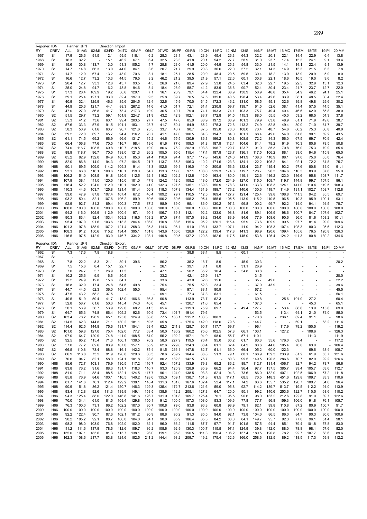|                                                      | Reporter: IDN   |       | Partner: JPN |       | Direction: Import |       |                          |                          |             |                          |          |       |       |                          |       |          |                          |                          |       |       |       |          |
|------------------------------------------------------|-----------------|-------|--------------|-------|-------------------|-------|--------------------------|--------------------------|-------------|--------------------------|----------|-------|-------|--------------------------|-------|----------|--------------------------|--------------------------|-------|-------|-------|----------|
| RY                                                   | <b>CREV</b>     | ALL   | 01:AG        | 02:MI | 03:FD             | 04:TX | 05:AP                    | 06:LT                    | 07:WD       | 08:PP                    | 09:RB    | 10:CH | 11:PC | 12:NM                    | 13:1S | 14:NF    | 15:MT                    | 16:MC                    | 17:EM | 18:TE | 19:PI | 20:MM    |
| 1967                                                 | S <sub>1</sub>  | 17.9  | 26.6         | 91.5  | 12.1              | 59.5  | 118.1                    | 6.2                      | 28.3        | 23.1                     | 43.1     | 23.9  | 45.4  | 26.3                     | 64.3  | 32.2     | 20.1                     | 22.1                     | 14.4  | 22.9  | 6.4   | 13.8     |
|                                                      |                 |       | 32.2         |       | 15.1              |       |                          |                          | 32.5        | 23.3                     |          | 20.1  | 54.2  | 27.7                     | 58.9  | 31.0     | 23.7                     | 17.4                     | 15.3  | 24.1  |       |          |
| 1968                                                 | S1              | 16.3  |              |       |                   | 46.2  | 67.1                     | 6.4                      |             |                          | 41.8     |       |       |                          |       |          |                          |                          |       |       | 9.1   | 13.4     |
| 1969                                                 | S <sub>1</sub>  | 15.6  | 30.8         | 113.7 | 13.0              | 51.3  | 105.2                    | 4.7                      | 25.8        | 23.0                     | 41.5     | 20.0  | 44.9  | 25.3                     | 54.8  | 33.0     | 21.5                     | 14.1                     | 14.1  | 22.4  | 9.1   | 13.9     |
| 1970                                                 | S <sub>1</sub>  | 14.7  | 14.8         | 66.3  | 13.0              | 44.0  | 84.1                     | 3.6                      | 20.7        | 21.7                     | 29.9     | 20.8  | 36.6  | 22.0                     | 57.2  | 32.1     | 14.3                     | 14.9                     | 13.3  | 21.5  | 6.3   | 7.8      |
| 1971                                                 | S1              | 14.7  | 12.9         | 67.4  | 13.2              | 43.0  | 70.6                     | 3.1                      | 18.1        | 25.1                     | 28.5     | 20.0  | 48.4  | 20.5                     | 59.5  | 30.4     | 18.2                     | 13.9                     | 13.9  | 20.9  | 5.9   | 8.0      |
| 1972                                                 | S1              | 16.6  | 12.7         | 73.2  | 13.3              | 44.5  | 76.5                     | 3.2                      | 46.2        | 21.2                     | 39.5     | 21.9  | 57.1  | 22.6                     | 60.1  | 30.8     | 22.1                     | 18.6                     | 16.5  | 19.0  | 9.6   | 8.2      |
|                                                      |                 |       | 12.7         |       |                   |       |                          |                          |             |                          |          |       |       |                          |       |          |                          |                          | 22.5  |       |       |          |
| 1973                                                 | S1              | 20.4  |              | 93.3  | 12.8              | 43.7  | 93.5                     | 4.5                      | 26.8        | 21.6                     | 89.4     | 27.9  | 53.8  | 24.5                     | 63.4  | 32.0     | 22.7                     | 19.5                     |       | 32.9  | 13.1  | 12.3     |
| 1974                                                 | S1              | 25.0  | 24.8         | 94.7  | 16.2              | 48.8  | 94.6                     | 5.4                      | 18.4        | 26.9                     | 58.7     | 44.2  | 83.9  | 36.6                     | 90.7  | 52.4     | 30.4                     | 23.4                     | 21.7  | 23.7  | 12.7  | 22.0     |
| 1975                                                 | S1              | 37.3  | 28.4         | 109.9 | 19.2              | 58.6  | 120.1                    | 7.1                      | 16.1        | 26.9                     | 79.1     | 54.4  | 122.4 | 38.9                     | 130.9 | 50.9     | 46.8                     | 35.4                     | 34.9  | 46.2  | 24.1  | 25.1     |
| 1976                                                 | S1              | 39.1  | 25.4         | 127.1 | 33.0              | 82.4  | 197.0                    | 9.5                      | 25.8        | 39.7                     | 70.5     | 57.5  | 135.0 | 40.5                     | 128.4 | 53.4     | 42.6                     | 33.9                     | 38.1  | 48.5  | 30.4  | 22.4     |
| 1977                                                 | S1              | 40.9  | 32.4         | 125.9 | 46.3              | 85.6  | 254.5                    | 12.4                     | 32.6        | 45.9                     | 70.0     | 64.5  | 172.3 | 46.2                     | 131.0 | 58.5     | 45.1                     | 32.6                     | 39.8  | 49.8  | 29.6  | 30.2     |
|                                                      |                 |       |              |       |                   |       |                          |                          |             |                          |          |       |       |                          |       |          |                          |                          |       |       |       |          |
| 1978                                                 | S1              | 44.9  | 25.6         | 121.7 | 44.1              | 88.3  | 267.2                    | 14.6                     | 41.0        | 51.7                     | 72.1     | 61.4  | 230.8 | 59.7                     | 139.7 | 61.5     | 52.6                     | 38.1                     | 41.4  | 57.5  | 44.5  | 35.1     |
| 1979                                                 | S1              | 47.0  | 27.0         | 86.8  | 41.7              | 73.4  | 217.3                    | 19.9                     | 36.5        | 40.7                     | 79.0     | 74.1  | 193.3 | 74.1                     | 103.3 | 75.7     | 49.4                     | 40.4                     | 46.6  | 62.0  | 65.8  | 38.0     |
| 1980                                                 | S <sub>2</sub>  | 51.5  | 29.7         | 73.2  | 59.1              | 101.8 | 224.7                    | 21.9                     | 43.2        | 42.9                     | 102.1    | 83.7  | 172.8 | 91.5                     | 115.3 | 88.0     | 55.5                     | 40.0                     | 53.2  | 68.5  | 54.3  | 37.8     |
| 1981                                                 | S <sub>2</sub>  | 55.3  | 41.2         | 73.6  | 63.1              | 99.4  | 203.5                    | 27.7                     | 47.5        | 47.6                     | 85.9     | 88.9  | 197.2 | 83.9                     | 101.3 | 79.9     | 63.8                     | 48.9                     | 61.1  | 71.9  | 49.6  | 38.7     |
| 1982                                                 | S <sub>2</sub>  |       | 33.3         | 57.9  | 91.5              | 101.1 | 183.1                    | 23.7                     | 41.7        | 50.4                     | 84.9     | 85.2  | 175.3 | 72.6                     | 113.2 | 74.9     | 52.8                     | 49.4                     | 80.0  | 71.0  | 61.7  | 39.7     |
|                                                      |                 | 57.6  |              |       |                   |       |                          |                          |             |                          |          |       |       |                          |       |          |                          |                          |       |       |       |          |
| 1983                                                 | S <sub>2</sub>  | 58.3  | 50.9         | 61.6  | 63.7              | 96.7  | 121.6                    | 25.5                     | 33.7        | 46.7                     | 90.7     | 87.5  | 195.8 | 70.6                     | 108.0 | 73.4     | 48.7                     | 54.6                     | 66.2  | 75.3  | 60.8  | 40.9     |
| 1984                                                 | S <sub>2</sub>  | 59.2  | 72.0         | 69.7  | 65.7              | 94.4  | 116.2                    | 20.7                     | 41.1        | 47.0                     | 100.5    | 84.3  | 194.7 | 84.0                     | 101.1 | 68.4     | 49.0                     | 54.0                     | 61.6  | 90.1  | 59.2  | 43.5     |
| 1985                                                 | S <sub>2</sub>  | 61.1  | 74.5         | 69.2  | 66.9              | 96.6  | 131.7                    | 15.2                     | 44.6        | 55.5                     | 130.9    | 86.3  | 196.2 | 80.8                     | 108.5 | 72.2     | 84.3                     | 56.0                     | 67.5  | 69.7  | 70.9  | 42.4     |
| 1986                                                 | S <sub>2</sub>  | 66.4  | 106.8        | 77.6  | 70.5              | 116.7 | 98.4                     | 19.6                     | 61.6        | 77.6                     | 109.3    | 91.8  | 187.9 | 112.4                    | 104.6 | 81.4     | 79.2                     | 61.9                     | 70.3  | 80.6  | 78.5  | 50.8     |
|                                                      |                 |       |              |       |                   |       |                          |                          |             |                          | 202.9    |       |       |                          |       |          |                          |                          |       |       |       |          |
| 1987                                                 | S <sub>2</sub>  | 74.0  | 116.7        | 108.5 | 69.8              | 110.7 | 218.5                    | 19.0                     | 86.6        | 76.2                     |          | 103.8 | 196.7 | 129.7                    | 123.7 | 91.9     | 85.3                     | 70.8                     | 76.0  | 75.3  | 79.9  | 65.4     |
| 1988                                                 | S <sub>2</sub>  | 88.9  | 118.7        | 96.7  | 70.5              | 138.0 | 121.3                    | 26.2                     | 105.0       | 95.6                     | 115.4    | 117.4 | 187.9 | 123.7                    | 136.1 | 117.5    | 106.2                    | 88.1                     | 93.0  | 94.6  | 115.8 | 65.0     |
| 1989                                                 | S <sub>2</sub>  | 85.2  | 82.9         | 132.0 | 84.9              | 100.1 | 85.0                     | 24.4                     | 110.6       | 94.4                     | 97.7     | 117.8 | 149.6 | 124.0                    | 141.9 | 138.3    | 110.9                    | 88.1                     | 97.0  | 75.0  | 65.0  | 76.4     |
| 1990                                                 | H88             | 82.0  | 86.8         | 114.0 | 94.3              | 97.2  | 104.5                    | 21.7                     | 113.7       | 85.8                     | 106.3    | 110.2 | 171.6 | 123.3                    | 134.1 | 122.2    | 106.2                    | 84.1                     | 92.1  | 72.2  | 81.8  | 75.7     |
| 1991                                                 | H88             | 90.1  | 69.5         | 109.0 | 114.2             | 109.3 | 91.4                     | 48.3                     | 102.6       | 99.1                     | 116.0    | 114.0 | 300.5 | 153.6                    | 132.4 | 123.7    | 115.4                    | 93.2                     | 97.6  | 80.8  | 114.0 | 91.1     |
| 1992                                                 | H88             | 93.1  | 66.8         | 116.1 | 100.6             | 110.1 | 119.0                    | 54.7                     | 113.3       | 117.0                    | 97.1     | 108.0 | 229.3 | 174.6                    | 119.7 | 128.7    | 96.3                     | 104.6                    | 110.3 | 83.9  | 87.6  | 95.9     |
|                                                      |                 |       |              |       |                   |       |                          |                          |             |                          |          |       |       |                          |       |          |                          |                          |       |       |       |          |
| 1993                                                 | H88             | 106.2 | 51.0         | 108.5 | 91.8              | 120.9 | 112.5                    | 62.1                     | 116.2       | 102.2                    | 112.6    | 112.0 | 163.4 | 180.0                    | 119.1 | 122.6    | 116.2                    | 123.0                    | 136.6 | 95.8  | 108.7 | 111.7    |
| 1994                                                 | H88             | 107.9 | 38.1         | 111.0 | 120.5             | 115.0 | 101.0                    | 47.9                     | 124.2       | 112.5                    | 108.2    | 118.0 | 172.0 | 234.9                    | 127.0 | 115.0    | 109.7                    | 119.7                    | 144.8 | 99.7  | 107.5 | 96.1     |
| 1995                                                 | H88             | 116.4 | 52.2         | 124.0 | 112.0             | 110.1 | 102.0                    | 41.0                     | 132.3       | 127.5                    | 135.1    | 139.3 | 150.9 | 178.3                    | 141.0 | 133.3    | 108.3                    | 124.1                    | 141.0 | 110.4 | 119.5 | 108.3    |
| 1996                                                 | H88             | 110.3 | 44.6         | 103.7 | 125.8             | 121.4 | 101.4                    | 50.8                     | 118.3       | 107.8                    | 134.4    | 131.9 | 189.7 | 176.2                    | 140.6 | 130.6    | 119.7                    | 114.9                    | 131.1 | 102.7 | 108.7 | 112.8    |
|                                                      |                 |       |              |       |                   |       |                          |                          |             |                          |          |       |       |                          |       |          |                          |                          |       |       |       |          |
| 1997                                                 | H96             | 99.0  | 47.9         | 87.8  | 107.4             | 107.4 | 67.2                     | 46.4                     | 109.2       | 79.7                     | 110.5    | 112.5 | 169.4 | 127.7                    | 121.4 | 125.4    | 99.8                     | 108.8                    | 111.3 | 94.2  | 85.5  | 69.7     |
| 1998                                                 | H <sub>96</sub> | 93.2  | 50.4         | 82.1  | 107.6             | 106.2 | 89.9                     | 60.6                     | 100.2       | 89.6                     | 105.2    | 95.4  | 155.5 | 105.5                    | 113.9 | 115.2    | 110.5                    | 96.5                     | 110.3 | 95.9  | 100.1 | 93.1     |
| 1999                                                 | H96             | 92.9  | 92.7         | 81.2  | 89.4              | 100.3 | 77.5                     | 87.2                     | 98.9        | 89.0                     | 95.1     | 86.0  | 130.2 | 97.3                     | 96.8  | 100.2    | 99.7                     | 92.2                     | 114.0 | 94.1  | 94.5  | 78.7     |
| 2000                                                 | H96             | 100.0 | 100.0        | 100.0 | 100.0             | 100.0 | 100.0                    | 100.0                    | 100.0       | 100.0                    | 100.0    | 100.0 | 100.0 | 100.0                    | 100.0 | 100.0    | 100.0                    | 100.0                    | 100.0 | 100.0 | 100.0 | 100.0    |
|                                                      | H96             | 94.2  | 116.0        |       |                   | 100.4 |                          |                          |             | 89.3                     | 112.1    |       |       | 98.8                     | 81.6  | 89.1     |                          | 98.6                     | 100.7 |       | 107.6 | 102.7    |
| 2001                                                 |                 |       |              | 105.9 | 112.9             |       | 97.1                     | 90.1                     | 106.7       |                          |          | 92.2  | 133.0 |                          |       |          | 106.9                    |                          |       | 84.7  |       |          |
| 2002                                                 | H96             | 90.3  | 83.4         | 92.4  | 103.4             | 109.2 | 116.5                    | 103.2                    | 97.0        | 87.4                     | 107.0    | 89.2  | 134.0 | 83.9                     | 84.6  | 77.9     | 108.6                    | 90.6                     | 96.0  | 81.6  | 103.2 | 101.1    |
| 2003                                                 | H96             | 95.4  | 107.0        | 91.6  | 103.6             | 113.3 | 204.4                    | 136.0                    | 110.8       | 88.6                     | 115.6    | 95.2  | 120.1 | 115.4                    | 95.9  | 73.6     | 109.9                    | 99.5                     | 97.7  | 81.4  | 99.0  | 109.6    |
| 2004                                                 | H96             | 101.3 | 97.8         | 138.9 | 107.2             | 121.4 | 268.3                    | 95.3                     | 114.6       | 96.1                     | 91.0     | 108.1 | 133.7 | 107.1                    | 111.0 | 94.2     | 108.3                    | 107.4                    | 108.3 | 80.3  | 95.6  | 112.3    |
| 2005                                                 | H96             | 108.3 | 91.2         | 150.6 | 115.2             | 134.4 | 395.1                    | 101.8                    | 143.6       | 100.0                    | 128.6    | 122.2 | 139.4 | 117.8                    | 141.3 | 98.9     | 120.6                    | 109.4                    | 105.6 | 76.5  | 120.8 | 126.3    |
|                                                      | H96             | 116.5 |              |       |                   |       |                          | 198.1                    |             | 90.5                     | 137.2    |       |       |                          |       | 153.8    |                          |                          | 111.3 | 80.8  |       | 134.6    |
| 2006                                                 |                 |       | 97.5         | 142.9 | 93.0              | 146.7 | 334.2                    |                          | 140.8       |                          |          | 120.8 | 162.6 | 117.5                    | 145.0 |          | 126.4                    | 124.2                    |       |       | 130.2 |          |
|                                                      |                 |       |              |       |                   |       |                          |                          |             |                          |          |       |       |                          |       |          |                          |                          |       |       |       |          |
|                                                      |                 |       |              |       |                   |       |                          |                          |             |                          |          |       |       |                          |       |          |                          |                          |       |       |       |          |
|                                                      | Reporter: IDN   |       | Partner: JPN |       | Direction: Export |       |                          |                          |             |                          |          |       |       |                          |       |          |                          |                          |       |       |       |          |
| RY                                                   | <b>CREV</b>     | ALL   | 01:AG        | 02:MI | 03:FD             | 04:TX | 05:AP                    |                          | 06:LT 07:WD | 08:PP                    | 09:RB    | 10:CH | 11:PC | 12:NM                    | 13:IS | 14:NF    | 15:MT                    | 16:MC 17:EM              |       | 18:TE | 19:PI | 20:MM    |
|                                                      | S <sub>1</sub>  | 7.3   | 17.6         | 7.9   | 18.8              |       |                          |                          |             |                          | 38.8     | 38.4  | 9.5   |                          | 60.1  |          |                          |                          |       |       |       |          |
| 1962<br>1967                                         | S1              |       |              |       |                   |       |                          |                          |             |                          |          |       |       |                          |       |          |                          |                          |       |       |       |          |
| 1968                                                 | S1              | 7.8   | 22.2         | 8.3   | 21.1              | 89.1  | 39.6                     | ٠                        | 86.2        | $\overline{a}$           | 35.2     | 18.7  | 8.9   |                          | 45.9  | 30.3     | $\overline{\phantom{a}}$ | ÷,                       |       |       |       | 20.2     |
|                                                      | S1              | 7.5   | 15.6         | 8.4   | 15.1              | 22.7  |                          |                          | 26.1        | ÷,                       | 39.1     | 8.1   | 8.8   |                          | 31.1  | 26.9     |                          |                          |       |       |       |          |
|                                                      |                 |       |              |       |                   |       |                          |                          |             |                          |          |       |       |                          |       |          |                          |                          |       |       |       |          |
|                                                      | S1              | 7.0   | 24.7         | 5.7   | 26.9              | 17.3  |                          |                          | 47.1        | $\overline{\phantom{a}}$ | 50.2     | 35.2  | 10.4  |                          | 54.8  | 30.8     |                          | $\overline{\phantom{a}}$ |       |       |       |          |
| 1969<br>1970<br>1971                                 | S1              | 10.2  | 25.6         | 9.9   | 16.6              | 30.5  | $\overline{\phantom{a}}$ | $\overline{\phantom{a}}$ | 33.2        |                          | 42.1     | 25.9  | 11.7  |                          |       | 31.5     |                          |                          |       |       |       | 20.0     |
| 1972                                                 | S1              | 12.2  | 24.9         | 12.8  | 15.6              | 64.1  |                          |                          | 33.6        |                          | 43.0     | 32.6  | 15.6  |                          |       | 35.7     | 49.0                     |                          |       |       |       | 22.2     |
|                                                      | S1              | 16.8  | 32.9         | 17.4  | 24.8              | 64.6  | 49.8                     |                          | 75.4        |                          | 75.5     | 52.3  | 23.4  |                          |       | 37.0     | 43.9                     |                          |       |       |       | 39.6     |
|                                                      | S1              | 44.7  | 44.5         | 52.3  | 36.0              | 102.4 | 55.0                     |                          | 95.4        |                          | 97.1     | 88.1  | 80.9  | $\overline{\phantom{a}}$ |       | 67.2     |                          |                          |       |       |       | 45.5     |
| 1973<br>1974                                         |                 |       |              |       |                   |       |                          |                          |             |                          |          |       |       |                          |       |          |                          |                          |       |       |       |          |
|                                                      | S1              | 47.5  | 43.2         | 58.2  | 37.5              |       |                          |                          | 69.1        |                          | 77.3     | 37.3  | 63.1  |                          |       | 61.5     |                          |                          |       |       |       | 56.1     |
| 1976                                                 | S1              | 49.5  | 51.9         | 59.4  | 41.7              | 118.0 | 106.6                    | 36.3                     | 60.8        |                          | $-113.9$ | 73.7  | 62.3  |                          |       | 60.8     |                          | 25.6                     | 101.0 | 27.2  |       | 60.4     |
|                                                      | S1              | 52.8  | 58.7         | 61.6  | 50.3              | 145.4 | 74.0                     | 40.6                     | 45.1        |                          | $-120.7$ | 71.6  | 65.4  |                          |       | 107.0    |                          |                          |       | 45.3  |       | 65.1     |
| 1975<br>1977<br>1978                                 | S1              | 50.1  | 56.9         | 56.7  | 53.9              | 129.0 | 68.2                     | 41.5                     | 65.4        |                          | $-139.3$ | 75.9  | 69.7  |                          | 49.4  | 127.7    |                          | 53.4                     | 68.6  | 13.9  | 115.8 | 69.0     |
| 1979                                                 | S1              | 64.7  | 65.3         | 74.8  | 66.4              | 105.2 | 92.6                     | 60.9                     | 73.4        | 401.7 191.4              |          | 79.6  |       |                          |       | $-153.5$ |                          | 113.4                    | 64.1  | 21.0  | 74.0  | 85.0     |
| 1980                                                 | S2              | 103.4 | 78.2         | 126.9 | 65.1              | 125.0 | 124.9                    | 68.8                     | 77.5        | 183.1                    | 215.2    | 103.3 | 108.3 |                          |       | 170.8    |                          | 236.1                    | 62.4  | 91.1  |       | 98.6     |
|                                                      |                 |       |              |       |                   |       |                          |                          |             |                          |          |       |       |                          |       |          |                          |                          |       |       |       |          |
| 1981                                                 | S <sub>2</sub>  | 114.5 | 62.3         | 144.8 | 71.1              | 130.2 | 181.1                    | 59.5                     | 65.8        |                          | $-175.4$ | 142.0 | 118.6 | 79.6                     |       | 144.7    |                          |                          | 69.1  |       | 63.2  | 111.4    |
| 1982                                                 | S <sub>2</sub>  | 114.4 | 62.5         | 144.8 | 75.6              | 131.7 | 154.1                    | 63.4                     | 62.3        | 211.8                    | 128.7    | 90.7  | 117.7 | 69.7                     |       | 96.4     | ä,                       | 117.9                    | 79.2  | 150.5 |       | $-119.2$ |
| 1983                                                 | S <sub>2</sub>  | 101.0 | 59.8         | 127.0 | 75.4              | 102.0 | 77.7                     | 63.4                     | 50.0        | 186.2                    | 160.2    | 75.6  | 102.5 | 57.8                     | 66.1  | 103.1    | $\blacksquare$           | 127.2                    |       | 108.6 |       | $-126.3$ |
| 1984                                                 | S2              | 97.0  | 64.7         | 120.9 | 74.8              | 111.0 | 108.5                    | 64.0                     | 55.2        | 192.2                    | 157.1    | 94.0  | 98.0  | 55.7                     | 57.1  | 110.1    |                          |                          |       | 111.3 |       | $-111.9$ |
| 1985                                                 | S <sub>2</sub>  | 92.5  | 65.2         | 115.4 | 71.3              | 106.1 | 138.5                    | 76.2                     | 58.0        | 227.9                    | 119.5    | 76.4  | 95.0  | 60.2                     | 61.7  | 80.3     | 35.6                     | 176.0                    | 69.4  |       |       | $-117.2$ |
|                                                      |                 |       |              |       |                   |       |                          |                          |             |                          |          |       |       |                          |       |          |                          |                          |       |       |       |          |
| 1986                                                 | S2              | 57.0  | 77.2         | 62.6  | 83.9              | 107.0 | 157.1                    | 58.9                     | 62.6        | 229.8                    | 124.3    | 66.4  | 61.1  | 62.4                     | 64.2  | 80.6     | 44.0                     | 105.4                    | 70.0  | 63.0  |       | $-106.4$ |
| 1987                                                 | S2              | 66.5  | 110.8        | 73.4  | 88.8              | 116.1 | 142.2                    | 75.4                     | 81.5        | 236.1                    | 147.8    | 82.7  | 61.1  | 65.0                     | 66.4  | 105.2    | 60.0                     | 122.3                    |       | 69.6  | 68.4  | 108.7    |
| 1988                                                 | S2              | 66.9  | 116.8        | 73.2  | 91.9              | 128.8 | 129.6                    | 80.3                     | 78.6        | 239.2                    | 164.4    | 86.8  | 51.3  | 79.1                     | 88.1  | 168.9    | 139.3                    | 233.9                    | 81.2  | 61.9  | 53.7  | 121.6    |
| 1989                                                 | S2              | 70.6  | 94.7         | 82.1  | 58.0              | 124.1 | 101.8                    | 93.8                     | 80.2        | 182.3                    | 142.5    | 76.7  |       | 80.3                     | 99.5  | 149.5    | 120.3                    | 286.6                    | 70.7  | 82.9  | 92.2  | 126.6    |
| 1990                                                 | H88             | 85.6  | 72.7         | 103.1 | 76.9              | 130.5 | 117.2                    | 116.7                    | 92.4        | 157.2                    | 133.9    | 79.8  | 65.2  | 86.2                     | 89.7  | 112.7    | 131.4                    | 406.7                    | 82.7  | 94.2  | 78.7  | 56.6     |
|                                                      |                 |       |              |       |                   |       |                          |                          |             |                          |          |       |       |                          |       |          |                          |                          |       |       |       |          |
| 1991                                                 | H88             | 83.8  | 76.2         | 91.6  | 88.3              | 131.7 | 118.3                    | 116.7                    | 93.3        | 120.9                    | 128.9    | 85.9  | 66.2  | 94.4                     | 96.4  | 97.7     | 137.5                    | 385.7                    | 93.4  | 105.7 | 63.6  | 112.7    |
| 1992                                                 | H88             | 81.0  | 71.1         | 88.4  | 88.5              | 132.1 | 124.5                    | 117.7                    | 96.1        | 124.9                    | 138.5    | 93.3  | 62.4  | 94.3                     | 73.6  | 86.0     | 132.0                    | 407.1                    | 102.5 | 106.9 | 57.2  | 111.8    |
| 1993                                                 | H88             | 85.8  | 76.9         | 84.6  | 100.1             | 116.5 | 140.2                    | 128.6                    | 135.0       | 109.1                    | 138.7    | 101.3 | 61.5  | 117.1                    | 68.5  | 70.5     | 148.3                    | 451.6                    | 129.8 | 109.7 | 83.3  | 110.6    |
| 1994                                                 | H88             | 81.7  | 141.6        | 76.1  | 112.4             | 129.2 | 138.1                    | 118.4                    | 131.3       | 131.8                    | 167.6    | 102.4 | 52.4  | 117.1                    | 74.2  | 83.6     | 135.7                    | 535.2                    | 126.7 | 109.7 | 84.6  | 96.4     |
|                                                      | H88             | 90.9  | 151.8        | 86.2  | 121.4             | 150.7 | 146.3                    | 129.3                    | 135.4       | 172.7                    | 213.6    |       | 59.0  | 95.8                     | 92.7  | 114.2    | 139.7                    |                          | 119.5 | 112.2 | 91.0  | 113.9    |
|                                                      |                 |       |              |       |                   |       |                          |                          |             |                          |          | 121.6 |       |                          |       |          |                          | 513.7                    |       |       |       |          |
|                                                      | H88             | 93.4  | 112.8        | 92.6  | 111.3             | 139.9 | 149.1                    | 153.5                    | 138.6       | 112.2                    | 205.1    | 127.3 | 64.7  | 120.0                    | 90.1  | 99.2     | 140.6                    | 253.6                    | 122.7 | 110.5 | 68.6  | 110.2    |
|                                                      | H96             | 94.3  | 125.4        | 88.0  | 122.0             | 146.8 | 141.6                    | 126.7                    | 131.9       | 101.8                    | 169.7    | 125.4 | 70.1  | 95.5                     | 90.6  | 98.0     | 133.2                    | 212.6                    | 122.8 | 91.0  | 89.7  | 122.6    |
|                                                      | H96             | 70.0  | 134.4        | 61.0  | 81.5              | 109.4 | 129.8                    | 150.1                    | 91.2        | 100.5                    | 107.3    | 108.0 | 53.3  | 109.6                    | 77.8  | 77.7     | 96.8                     | 159.3                    | 106.0 | 91.8  | 76.1  | 105.7    |
|                                                      | H96             | 76.3  | 100.0        | 73.1  | 96.2              | 102.2 | 107.0                    | 80.7                     | 100.8       | 79.0                     | 93.8     | 96.3  | 60.8  | 98.9                     | 79.1  | 82.1     | 99.8                     | 110.8                    | 87.2  | 80.9  | 100.7 | 91.7     |
|                                                      | H96             | 100.0 | 100.0        | 100.0 | 100.0             | 100.0 | 100.0                    | 100.0                    | 100.0       | 100.0                    | 100.0    | 100.0 | 100.0 | 100.0                    | 100.0 | 100.0    | 100.0                    | 100.0                    | 100.0 | 100.0 | 100.0 | 100.0    |
|                                                      |                 |       |              |       |                   |       |                          |                          |             |                          |          |       |       |                          |       |          |                          |                          |       |       |       |          |
| 1995<br>1996<br>1997<br>1998<br>1999<br>2000<br>2001 | H96             | 92.2  | 122.4        | 90.7  | 87.6              | 102.1 | 101.2                    | 90.9                     | 88.8        | 90.2                     | 91.3     | 85.5  | 94.0  | 92.1                     | 73.8  | 104.6    | 86.5                     | 86.0                     | 84.7  | 90.3  | 80.6  | 100.6    |
| 2002                                                 | H96             | 90.2  | 105.2        | 92.1  | 80.7              | 100.0 | 104.0                    | 84.1                     | 90.0        | 85.9                     | 106.4    | 85.3  | 84.2  | 83.0                     | 84.1  | 149.7    | 95.7                     | 92.3                     | 77.0  | 96.1  | 51.4  | 98.1     |
| 2003                                                 | H96             | 98.2  | 98.0         | 103.0 | 76.8              | 102.0 | 102.0                    | 82.1                     | 96.0        | 86.2                     | 111.5    | 87.7  | 97.7  | 91.7                     | 101.5 | 157.5    | 94.4                     | 85.1                     | 79.4  | 101.8 | 57.8  | 83.0     |
| 2004                                                 | H96             | 111.2 | 111.6        | 137.9 | 78.6              | 112.6 | 109.7                    | 86.2                     | 108.6       | 92.9                     | 130.3    | 100.7 | 115.5 | 97.1                     | 124.9 | 139.8    | 112.0                    | 88.0                     | 78.8  | 98.1  | 57.6  | 82.0     |
| 2005                                                 | H96             | 135.0 | 107.1        | 183.6 | 81.3              | 115.7 | 138.1                    | 96.0                     | 119.1       | 95.8                     | 150.5    | 111.3 | 150.4 | 106.2                    | 137.4 | 180.5    | 120.8                    | 78.2                     | 92.7  | 107.7 | 68.6  | 89.6     |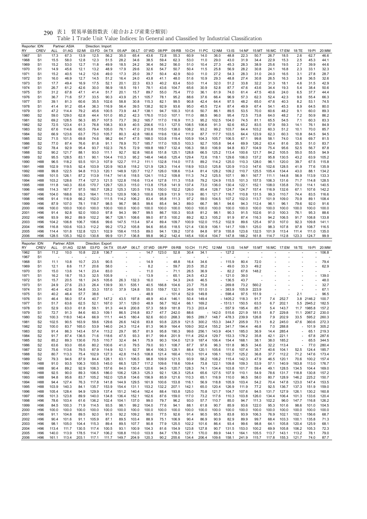| 17.3<br>13.9<br>12.5<br>22.3<br>1967<br>67.3<br>56.2<br>35.0<br>65.4<br>43.6<br>72.8<br>55.3<br>60.9<br>14.0<br>36.0<br>48.8<br>50.7<br>26.7<br>18.5<br>2.6<br>62.7<br>46.6<br>S <sub>1</sub><br>22.9<br>15.5<br>58.0<br>12.8<br>12.3<br>51.5<br>28.2<br>34.6<br>38.5<br>59.4<br>62.3<br>53.0<br>29.0<br>43.0<br>31.9<br>15.3<br>2.5<br>45.3<br>44.1<br>1968<br>S1<br>11.0<br>34.4<br>53.0<br>49.9<br>18.5<br>24.2<br>36.4<br>56.2<br>56.0<br>10.4<br>27.3<br>45.3<br>28.3<br>38.9<br>25.6<br>19.5<br>2.7<br>39.9<br>44.6<br>1969<br>S <sub>1</sub><br>15.2<br>12.7<br>11.8<br>51.0<br>14.9<br>45.6<br>12.1<br>48.9<br>17.9<br>29.6<br>32.6<br>54.7<br>50.7<br>50.4<br>25.8<br>56.9<br>28.2<br>30.8<br>24.1<br>16.8<br>2.3<br>32.3<br>1970<br>S <sub>1</sub><br>13.2<br>11.5<br>33.1<br>40.5<br>14.2<br>12.6<br>49.0<br>17.3<br>25.0<br>39.7<br>50.4<br>42.9<br>50.0<br>27.2<br>54.3<br>28.3<br>24.0<br>27.8<br>28.7<br>1971<br>S1<br>15.2<br>11.0<br>31.0<br>16.5<br>3.1<br>32.6<br>46.9<br>12.7<br>51.2<br>16.4<br>24.0<br>43.8<br>41.1<br>48.0<br>29.3<br>48.8<br>27.4<br>30.8<br>26.5<br>16.3<br>36.5<br>1972<br>S1<br>16.0<br>14.5<br>51.6<br>10.9<br>3.8<br>49.4<br>20.1<br>22.3<br>63.3<br>63.4<br>33.8<br>32.2<br>42.9<br>1973<br>S1<br>17.7<br>16.9<br>17.5<br>52.1<br>40.2<br>53.0<br>11.4<br>32.0<br>51.2<br>31.3<br>18.1<br>4.6<br>31.5<br>78.1<br>87.7<br>50.6<br>1974<br>S1<br>26.7<br>61.2<br>42.6<br>30.0<br>56.9<br>18.5<br>19.1<br>43.6<br>104.7<br>65.6<br>30.9<br>52.8<br>47.6<br>43.6<br>34.4<br>19.3<br>5.4<br>38.4<br>20.1<br>89.7<br>75.4<br>24.0<br>44.4<br>1975<br>S1<br>31.2<br>67.8<br>47.1<br>41.4<br>51.7<br>15.7<br>55.0<br>77.0<br>36.1<br>61.9<br>74.0<br>61.4<br>47.5<br>40.6<br>6.5<br>37.7<br>36.7<br>71.6<br>57.7<br>33.5<br>90.3<br>43.9<br>25.1<br>105.7<br>78.1<br>95.2<br>66.4<br>96.9<br>62.3<br>52.4<br>42.3<br>66.3<br>1976<br>S1<br>88.6<br>37.6<br>57.3<br>9.6<br>55.4<br>99.5<br>40.3<br>1977<br>S1<br>39.1<br>81.3<br>60.6<br>35.5<br>102.6<br>58.8<br>30.8<br>115.3<br>82.1<br>90.8<br>42.4<br>64.4<br>97.5<br>48.2<br>65.0<br>47.6<br>8.2<br>53.1<br>74.5<br>91.2<br>65.4<br>39.5<br>138.2<br>92.9<br>93.6<br>95.0<br>87.4<br>80.0<br>1978<br>S1<br>41.4<br>36.3<br>116.9<br>56.4<br>45.5<br>72.4<br>49.9<br>67.4<br>54.1<br>45.3<br>8.9<br>64.5<br>114.4<br>79.2<br>73.9<br>138.1<br>100.3<br>50.7<br>89.5<br>53.5<br>70.0<br>48.2<br>9.1<br>60.0<br>89.3<br>1979<br>S1<br>47.2<br>45.6<br>100.5<br>44.7<br>94.7<br>101.6<br>86.1<br>60.6<br>86.2<br>59.0<br>129.0<br>62.8<br>101.0<br>85.2<br>42.3<br>176.0<br>113.0<br>107.1<br>96.0<br>95.4<br>72.5<br>73.8<br>48.2<br>7.2<br>1980<br>S2<br>44.4<br>111.0<br>88.5<br>64.0<br>50.9<br>128.5<br>73.7<br>39.2<br>116.9<br>1981<br>S2<br>69.2<br>56.3<br>85.7<br>107.5<br>165.7<br>117.0<br>111.3<br>95.2<br>102.5<br>104.0<br>74.5<br>81.1<br>65.5<br>54.5<br>7.1<br>60.3<br>83.3<br>123.4<br>108.3<br>93.9<br>206.6<br>113.1<br>127.5<br>108.5<br>92.6<br>59.3<br>84.9<br>1982<br>S2<br>72.5<br>61.3<br>76.8<br>40.5<br>106.6<br>91.3<br>65.2<br>83.5<br>57.9<br>14.1<br>76.1<br>114.6<br>79.4<br>76.1<br>115.0<br>138.0<br>108.2<br>93.2<br>99.2<br>85.7<br>1983<br>S2<br>67.6<br>60.5<br>105.0<br>47.0<br>210.8<br>103.7<br>64.4<br>103.2<br>60.3<br>51.2<br>10.1<br>70.0<br>123.6<br>75.0<br>105.7<br>80.3<br>180.6<br>119.6<br>130.4<br>87.7<br>117.7<br>103.5<br>123.9<br>62.3<br>60.3<br>94.5<br>1984<br>S2<br>66.9<br>63.7<br>42.8<br>111.9<br>64.4<br>10.8<br>84.5<br>98.2<br>119.4<br>99.8<br>1985<br>S2<br>71.5<br>101.5<br>69.8<br>74.6<br>64.7<br>47.5<br>168.0<br>103.8<br>105.9<br>104.3<br>105.7<br>106.5<br>67.1<br>58.1<br>74.0<br>13.6<br>69.7<br>81.5<br>87.4<br>78.9<br>105.5<br>105.8<br>94.4<br>69.9<br>126.2<br>63.4<br>83.7<br>1986<br>S2<br>77.0<br>76.6<br>81.8<br>91.1<br>70.7<br>185.7<br>117.0<br>103.3<br>92.7<br>81.6<br>35.5<br>51.0<br>92.9<br>95.4<br>93.7<br>102.3<br>76.5<br>72.9<br>169.8<br>169.7<br>132.4<br>106.3<br>58.0<br>106.9<br>94.8<br>83.7<br>104.9<br>75.4<br>95.6<br>87.8<br>1987<br>S2<br>78.4<br>52.5<br>56.7<br>121.7<br>93.0<br>111.1<br>92.7<br>92.8<br>160.6<br>151.8<br>125.1<br>128.8<br>125.2<br>113.4<br>100.6<br>121.7<br>84.2<br>105.5<br>55.0<br>55.5<br>94.9<br>1988<br>S2<br>90.2<br>88.1<br>66.5<br>128.5<br>125.4<br>130.5<br>1989<br>S2<br>95.5<br>83.1<br>90.1<br>104.4<br>110.3<br>95.2<br>148.4<br>146.6<br>129.4<br>72.6<br>118.1<br>129.6<br>106.0<br>137.2<br>95.8<br>43.2<br>63.9<br>105.2<br>96.5<br>118.2<br>93.5<br>107.9<br>122.7<br>132.8<br>114.0<br>114.2<br>125.0<br>110.3<br>128.0<br>96.1<br>120.0<br>39.7<br>115.8<br>1990<br>H88<br>101.3<br>111.2<br>111.1<br>117.5<br>89.2<br>67.5<br>102.9<br>119.5<br>92.4<br>103.9<br>120.9<br>163.8<br>118.2<br>121.9<br>128.3<br>114.4<br>103.0<br>125.8<br>120.9<br>113.0<br>147.6<br>128.5<br>77.6<br>135.9<br>1991<br>H88<br>118.9<br>102.6<br>41.9<br>99.8<br>122.5<br>113.3<br>120.1<br>148.9<br>120.7<br>126.0<br>108.6<br>128.2<br>109.2<br>110.7<br>125.5<br>105.4<br>134.4<br>134.2<br>1992<br>H88<br>94.8<br>112.7<br>113.4<br>81.4<br>43.0<br>88.1<br>126.1<br>113.9<br>109.8<br>99.1<br>1993<br>H88<br>101.5<br>87.2<br>114.7<br>141.6<br>118.5<br>124.1<br>115.2<br>111.3<br>74.2<br>125.5<br>107.1<br>167.7<br>111.1<br>144.8<br>56.9<br>113.9<br>133.3<br>128.6<br>127.3<br>121.5<br>122.8<br>116.6<br>127.8<br>124.9<br>115.5<br>106.3<br>128.5<br>1994<br>H88<br>103.2<br>77.4<br>113.4<br>111.3<br>115.8<br>79.2<br>101.3<br>157.5<br>131.6<br>71.7<br>114.8<br>140.3<br>170.7<br>129.7<br>120.3<br>115.0<br>113.8<br>73.0<br>130.4<br>122.1<br>135.8<br>70.0<br>114.1<br>140.5<br>1995<br>H88<br>111.8<br>83.6<br>175.8<br>141.9<br>137.4<br>136.0<br>152.1<br>108.0<br>167.7<br>160.7<br>128.2<br>125.3<br>120.5<br>150.0<br>152.2<br>126.0<br>128.7<br>124.7<br>124.7<br>157.4<br>132.6<br>107.6<br>142.2<br>1996<br>H88<br>114.3<br>97.5<br>119.3<br>85.4<br>116.9<br>67.1<br>104.0<br>168.6<br>93.3<br>164.1<br>115.3<br>120.9<br>106.3<br>100.6<br>128.9<br>131.9<br>113.9<br>80.1<br>121.7<br>116.7<br>110.8<br>131.5<br>99.3<br>110.7<br>74.4<br>83.5<br>116.6<br>1997<br>H96<br>1998<br>91.4<br>116.9<br>66.2<br>152.0<br>111.5<br>114.2<br>106.2<br>83.4<br>95.8<br>111.3<br>97.2<br>59.0<br>104.5<br>107.2<br>102.0<br>113.7<br>101.9<br>109.0<br>70.9<br>89.1<br>108.4<br>H96<br>107.0<br>78.1<br>118.7<br>98.5<br>96.7<br>98.5<br>99.6<br>85.4<br>94.3<br>89.0<br>66.7<br>98.1<br>94.6<br>94.3<br>112.4<br>96.1<br>96.1<br>79.6<br>92.0<br>91.6<br>1999<br>H96<br>87.9<br>100.0<br>100.0<br>100.0<br>100.0<br>100.0<br>100.0<br>100.0<br>100.0<br>100.0<br>100.0<br>100.0<br>100.0<br>100.0<br>100.0<br>100.0<br>100.0<br>100.0<br>100.0<br>100.0<br>100.0<br>100.0<br>2000<br>H <sub>96</sub><br>91.4<br>92.8<br>92.0<br>100.0<br>97.8<br>94.3<br>99.7<br>99.5<br>86.7<br>100.3<br>93.8<br>81.2<br>98.1<br>90.3<br>91.5<br>102.6<br>91.0<br>100.3<br>76.1<br>95.3<br>88.6<br>2001<br>H96<br>2002<br>93.9<br>99.2<br>89.9<br>102.2<br>96.7<br>128.1<br>108.6<br>99.0<br>87.5<br>100.2<br>89.2<br>82.3<br>105.2<br>91.9<br>87.4<br>116.3<br>94.2<br>106.5<br>91.7<br>108.8<br>133.8<br>H96<br>104.2<br>106.8<br>106.7<br>106.6<br>99.6<br>147.5<br>113.4<br>97.4<br>89.4<br>109.7<br>100.9<br>102.0<br>115.2<br>102.9<br>89.6<br>125.4<br>97.0<br>107.0<br>92.3<br>109.8<br>141.1<br>2003<br>H96<br>116.8<br>100.6<br>103.3<br>112.2<br>99.2<br>173.2<br>105.8<br>94.6<br>85.6<br>118.5<br>121.4<br>130.9<br>106.1<br>141.7<br>109.1<br>125.0<br>98.3<br>107.8<br>97.8<br>108.7<br>116.5<br>2004<br>H96<br>101.8<br>132.8<br>123.1<br>102.9<br>158.4<br>115.5<br>89.0<br>139.2<br>137.6<br>84.8<br>155.8<br>123.6<br>132.5<br>113.4<br>111.4<br>111.0<br>135.0<br>2005<br>H96<br>114.4<br>94.1<br>97.9<br>101.9<br>H96<br>128.5<br>135.3<br>162.0<br>130.8<br>99.9<br>131.7<br>136.8<br>99.8<br>96.2<br>142.4<br>145.4<br>100.4<br>147.8<br>166.2<br>112.8<br>123.3<br>99.9<br>2006<br>104.7<br>161.8<br>114.7<br>124.7<br>Reporter: IDN<br>Partner: ASIA<br>Direction: Export<br>08:PP<br>09:RB<br>10:CH<br>11:PC<br>$13:$ IS<br>RY<br>CREV<br>ALL<br>01:AG<br>02:MI<br>03:FD<br>04:TX<br>05:AP<br>06:LT<br>07:WD<br>12:NM<br>14:NF<br>15:MT<br>16:MC 17:EM<br>18:TE<br>19:PI<br>20:MM<br>10.8<br>52.8<br>34.1<br>127.2<br>1962<br>S <sub>1</sub><br>11.2<br>10.0<br>22.8<br>136.7<br>14.7<br>123.0<br>30.4<br>106.8<br>1967<br>S <sub>1</sub><br>10.7<br>23.5<br>48.8<br>1968<br>S <sub>1</sub><br>11.1<br>10.8<br>90.5<br>14.9<br>16.4<br>34.6<br>115.9<br>80.4<br>72.0<br>79.4<br>20.6<br>59.7<br>20.5<br>35.2<br>49.0<br>33.3<br>49.2<br>62.9<br>1969<br>S1<br>12.1<br>8.6<br>11.7<br>58.0<br>8.2<br>1970<br>15.0<br>13.6<br>14.1<br>23.4<br>83.0<br>11.0<br>÷,<br>71.1<br>26.5<br>36.9<br>82.2<br>67.6<br>148.2<br>S <sub>1</sub><br>÷,<br>18.7<br>32.5<br>105.9<br>13.9<br>65.1<br>43.2<br>121.0<br>39.0<br>1971<br>S <sub>1</sub><br>16.2<br>15.3<br>24.5<br>139.0<br>1972<br>15.7<br>20.5<br>18.1<br>24.5<br>105.6<br>16.0<br>54.3<br>24.6<br>46.5<br>136.5<br>43.7<br>48.0<br>S <sub>1</sub><br>26.3<br>132.3<br>24.9<br>27.6<br>23.3<br>26.4<br>139.9<br>30.1<br>535.1<br>40.5<br>104.6<br>23.7<br>75.8<br>269.8<br>73.2<br>32.7<br>1973<br>S1<br>166.8<br>560.2<br>40.4<br>42.6<br>54.8<br>33.3<br>157.0<br>37.9<br>124.8<br>55.0<br>159.7<br>132.1<br>34.6<br>151.0<br>383.9<br>105.9<br>223.9<br>67.1<br>1974<br>S <sub>1</sub><br>÷.<br>46.4<br>38.6<br>48.9<br>101.4<br>149.8<br>598.4<br>97.5<br>151.9<br>96.5<br>1975<br>S <sub>1</sub><br>40.2<br>57.7<br>52.9<br>2.1<br>1976<br>56.0<br>57.4<br>40.7<br>147.2<br>43.5<br>197.8<br>48.9<br>146.1<br>50.4<br>149.4<br>$-1405.2$<br>118.3<br>91.7<br>252.7<br>3.8<br>2146.2<br>100.7<br>S <sub>1</sub><br>46.4<br>40.4<br>7.4<br>63.6<br>62.5<br>52.1<br>167.0<br>37.1<br>129.0<br>48.9<br>56.7<br>162.4<br>169.2<br>$-1513.1$<br>150.5<br>63.5<br>202.1<br>2945.2<br>182.5<br>1977<br>S <sub>1</sub><br>51.7<br>66.1<br>6.7<br>5.5<br>52.9<br>63.0<br>61.8<br>59.1<br>91.3<br>44.9<br>200.8<br>57.3<br>58.9<br>181.8<br>203.4<br>557.9<br>195.4<br>85.7<br>143.7<br>11.7<br>1985.8<br>157.2<br>1978<br>S <sub>1</sub><br>73.3<br>$\overline{\phantom{a}}$<br>5.4<br>91.3<br>60.3<br>242.0<br>221.9<br>229.8<br>2067.2<br>230.0<br>1979<br>S1<br>72.7<br>84.6<br>109.1<br>86.5<br>216.8<br>83.7<br>47.7<br>88.6<br>142.0<br>515.6<br>181.5<br>8.7<br>11.1<br>1980<br>S <sub>2</sub><br>100.3<br>118.0<br>66.9<br>92.6<br>268.3<br>99.5<br>148.7<br>478.3<br>239.9<br>126.8<br>202.9<br>33.5<br>595.2<br>260.3<br>140.4<br>111.1<br>44.5<br>180.4<br>60.0<br>289.7<br>7.9<br>1981<br>S2<br>102.5<br>90.5<br>163.9<br>59.6<br>129.6<br>26.6<br>142.6<br>83.8<br>93.8<br>225.9<br>121.5<br>300.2<br>153.3<br>344.7<br>205.9<br>73.1<br>8.2<br>245.0<br>47.6<br>360.6<br>272.3<br>1982<br>100.0<br>53.9<br>146.0<br>112.4<br>96.9<br>164.4<br>109.0<br>302.4<br>155.2<br>341.7<br>194.4<br>46.8<br>288.8<br>101.9<br>305.2<br>S2<br>83.7<br>165.0<br>24.3<br>81.3<br>7.0<br>1983<br>S <sub>2</sub><br>91.4<br>86.3<br>143.4<br>57.4<br>29.7<br>95.7<br>95.8<br>190.3<br>99.6<br>256.1<br>143.9<br>404.1<br>185.0<br>36.9<br>14.4<br>285.4<br>65.1<br>219.3<br>113.2<br>81.9<br>÷,<br>1984<br>S <sub>2</sub><br>91.7<br>87.4<br>136.5<br>71.6<br>118.6<br>47.5<br>93.3<br>81.7<br>99.4<br>201.9<br>111.4<br>252.4<br>129.7<br>153.3<br>178.2<br>35.8<br>42.1<br>221.1<br>67.8<br>287.6<br>÷,<br>S <sub>2</sub><br>85.2<br>89.3<br>130.6<br>70.5<br>110.7<br>32.4<br>84.1<br>75.9<br>90.3<br>104.0<br>121.9<br>187.4<br>106.4<br>154.4<br>168.1<br>38.1<br>38.0<br>185.2<br>344.5<br>1985<br>65.5<br>÷,<br>S <sub>2</sub><br>63.6<br>93.0<br>65.6<br>80.2<br>100.6<br>41.0<br>79.5<br>79.0<br>93.1<br>108.7<br>87.7<br>97.6<br>96.3<br>151.8<br>96.5<br>34.6<br>32.2<br>113.4<br>77.0<br>280.4<br>1986<br>L,<br>S <sub>2</sub><br>75.6<br>113.6<br>79.5<br>87.9<br>114.9<br>52.1<br>92.7<br>98.4<br>128.1<br>88.4<br>120.1<br>105.6<br>111.6<br>107.4<br>35.7<br>40.6<br>104.1<br>124.4<br>185.7<br>1987<br>106.3<br>52.5<br>1988<br>S <sub>2</sub><br>80.7<br>113.3<br>75.4<br>102.9<br>127.3<br>42.8<br>114.5<br>108.8<br>121.4<br>160.4<br>110.3<br>101.4<br>106.1<br>102.7<br>125.2<br>36.8<br>37.7<br>112.2<br>71.2<br>147.6<br>173.4<br>1989<br>S <sub>2</sub><br>79.3<br>94.6<br>87.9<br>84.4<br>128.1<br>63.1<br>106.5<br>98.8<br>109.9<br>121.5<br>93.9<br>58.2<br>108.2<br>115.4<br>142.3<br>47.9<br>46.5<br>120.1<br>70.6<br>100.2<br>157.4<br>1990<br>H88<br>91.0<br>93.5<br>106.3<br>100.5<br>145.0<br>66.5<br>125.7<br>117.2<br>109.6<br>118.6<br>109.4<br>73.8<br>122.1<br>109.8<br>109.3<br>53.9<br>57.1<br>140.9<br>163.8<br>113.0<br>176.7<br>1991<br>H88<br>90.4<br>89.2<br>92.9<br>106.3<br>157.6<br>84.0<br>130.4<br>120.6<br>94.5<br>120.7<br>128.3<br>74.1<br>134.4<br>103.8<br>101.7<br>59.4<br>49.1<br>128.5<br>134.5<br>104.4<br>169.0<br>1992<br>H88<br>92.5<br>90.0<br>89.3<br>106.5<br>186.0<br>106.2<br>128.3<br>125.3<br>92.1<br>126.3<br>125.4<br>65.6<br>127.5<br>107.9<br>110.1<br>54.9<br>78.6<br>131.7<br>118.8<br>130.8<br>157.2<br>1993<br>94.8<br>95.6<br>83.7<br>105.2<br>162.0<br>125.8<br>134.6<br>156.9<br>85.9<br>121.6<br>110.3<br>65.1<br>116.9<br>110.0<br>96.5<br>58.0<br>80.7<br>128.9<br>146.2<br>225.2<br>150.7<br>H88<br>1994<br>94.4<br>127.4<br>76.3<br>117.8<br>141.8<br>144.9<br>129.5<br>161.9<br>100.6<br>153.8<br>116.1<br>56.9<br>118.8<br>105.9<br>103.4<br>54.2<br>70.4<br>147.8<br>123.0<br>147.4<br>153.5<br>H88<br>1995<br>H88<br>103.9<br>140.3<br>84.1<br>135.7<br>153.9<br>154.4<br>131.1<br>153.2<br>132.2<br>207.1<br>142.1<br>65.0<br>120.4<br>126.9<br>111.9<br>77.2<br>92.5<br>136.7<br>137.3<br>151.9<br>159.0<br>1996<br>H88<br>105.4<br>128.4<br>94.9<br>129.9<br>137.4<br>151.2<br>140.4<br>162.4<br>88.4<br>193.8<br>125.0<br>70.8<br>121.7<br>104.7<br>107.6<br>94.5<br>131.7<br>127.9<br>126.1<br>130.2<br>160.8<br>1997<br>101.3<br>123.8<br>89.9<br>140.0<br>134.8<br>136.4<br>152.1<br>162.6<br>87.6<br>159.0<br>117.0<br>73.2<br>117.6<br>110.3<br>103.8<br>126.0<br>134.4<br>106.4<br>101.3<br>133.6<br>120.4<br>H <sub>96</sub><br>1998<br>H96<br>78.6<br>103.4<br>61.6<br>136.2<br>102.4<br>104.1<br>137.0<br>99.0<br>79.7<br>96.2<br>93.0<br>57.7<br>110.7<br>85.0<br>94.7<br>111.3<br>102.2<br>96.0<br>147.7<br>116.8<br>126.2<br>1999<br>H96<br>84.5<br>100.3<br>71.9<br>114.5<br>93.5<br>98.1<br>99.2<br>104.0<br>77.6<br>94.1<br>88.1<br>90.7<br>85.9<br>93.6<br>122.0<br>95.3<br>101.6<br>98.6<br>101.0<br>104.5<br>61.8<br>2000<br>H96<br>100.0<br>100.0<br>100.0<br>100.0<br>100.0<br>100.0<br>100.0<br>100.0<br>100.0<br>100.0<br>100.0<br>100.0<br>100.0<br>100.0<br>100.0<br>100.0<br>100.0<br>100.0<br>100.0<br>100.0<br>100.0<br>2001<br>91.1<br>104.8<br>89.5<br>92.0<br>91.5<br>92.2<br>109.2<br>90.0<br>77.5<br>92.6<br>91.4<br>90.5<br>95.5<br>83.8<br>93.9<br>106.3<br>76.9<br>102.1<br>102.1<br>156.6<br>68.7<br>H <sub>96</sub><br>2002<br>H96<br>90.4<br>101.6<br>91.1<br>105.9<br>87.1<br>89.5<br>103.4<br>88.9<br>75.1<br>106.9<br>90.4<br>86.9<br>90.9<br>82.9<br>89.9<br>99.7<br>68.4<br>103.3<br>100.1<br>135.8<br>71.3<br>2003<br>98.1<br>105.0<br>104.4<br>115.3<br>89.4<br>89.5<br>107.7<br>90.8<br>77.9<br>125.5<br>102.2<br>101.6<br>86.4<br>93.4<br>99.6<br>98.8<br>64.1<br>105.8<br>120.4<br>125.9<br>68.1<br>H <sub>96</sub><br>2004<br>113.4<br>111.7<br>130.5<br>117.4<br>100.5<br>93.1<br>100.9<br>104.3<br>81.6<br>154.9<br>123.8<br>127.8<br>90.7<br>131.5<br>153.0<br>100.2<br>69.9<br>105.8<br>106.2<br>105.3<br>72.3<br>H <sub>96</sub><br>2005<br>140.0<br>113.9<br>178.5<br>114.7<br>106.2<br>108.8<br>110.0<br>103.9<br>84.7<br>178.5<br>127.1<br>170.0<br>89.9<br>144.1<br>164.1<br>105.5<br>113.7<br>143.1<br>113.2<br>78.1<br>79.0<br>H <sub>96</sub><br>2006<br>H96<br>161.1<br>113.4<br>203.1<br>117.1<br>111.7<br>149.7<br>204.9<br>120.3<br>90.2<br>255.6<br>134.4<br>206.4<br>109.6<br>158.1<br>241.9<br>115.7<br>117.8<br>155.3<br>121.7<br>74.0<br>87.7 | Reporter: IDN |             |     | Partner: ASIA |       | Direction: Import |       |       |       | 07:WD |       |       | 10:CH |       |       |       |       |       |       |       |       |       |       |
|----------------------------------------------------------------------------------------------------------------------------------------------------------------------------------------------------------------------------------------------------------------------------------------------------------------------------------------------------------------------------------------------------------------------------------------------------------------------------------------------------------------------------------------------------------------------------------------------------------------------------------------------------------------------------------------------------------------------------------------------------------------------------------------------------------------------------------------------------------------------------------------------------------------------------------------------------------------------------------------------------------------------------------------------------------------------------------------------------------------------------------------------------------------------------------------------------------------------------------------------------------------------------------------------------------------------------------------------------------------------------------------------------------------------------------------------------------------------------------------------------------------------------------------------------------------------------------------------------------------------------------------------------------------------------------------------------------------------------------------------------------------------------------------------------------------------------------------------------------------------------------------------------------------------------------------------------------------------------------------------------------------------------------------------------------------------------------------------------------------------------------------------------------------------------------------------------------------------------------------------------------------------------------------------------------------------------------------------------------------------------------------------------------------------------------------------------------------------------------------------------------------------------------------------------------------------------------------------------------------------------------------------------------------------------------------------------------------------------------------------------------------------------------------------------------------------------------------------------------------------------------------------------------------------------------------------------------------------------------------------------------------------------------------------------------------------------------------------------------------------------------------------------------------------------------------------------------------------------------------------------------------------------------------------------------------------------------------------------------------------------------------------------------------------------------------------------------------------------------------------------------------------------------------------------------------------------------------------------------------------------------------------------------------------------------------------------------------------------------------------------------------------------------------------------------------------------------------------------------------------------------------------------------------------------------------------------------------------------------------------------------------------------------------------------------------------------------------------------------------------------------------------------------------------------------------------------------------------------------------------------------------------------------------------------------------------------------------------------------------------------------------------------------------------------------------------------------------------------------------------------------------------------------------------------------------------------------------------------------------------------------------------------------------------------------------------------------------------------------------------------------------------------------------------------------------------------------------------------------------------------------------------------------------------------------------------------------------------------------------------------------------------------------------------------------------------------------------------------------------------------------------------------------------------------------------------------------------------------------------------------------------------------------------------------------------------------------------------------------------------------------------------------------------------------------------------------------------------------------------------------------------------------------------------------------------------------------------------------------------------------------------------------------------------------------------------------------------------------------------------------------------------------------------------------------------------------------------------------------------------------------------------------------------------------------------------------------------------------------------------------------------------------------------------------------------------------------------------------------------------------------------------------------------------------------------------------------------------------------------------------------------------------------------------------------------------------------------------------------------------------------------------------------------------------------------------------------------------------------------------------------------------------------------------------------------------------------------------------------------------------------------------------------------------------------------------------------------------------------------------------------------------------------------------------------------------------------------------------------------------------------------------------------------------------------------------------------------------------------------------------------------------------------------------------------------------------------------------------------------------------------------------------------------------------------------------------------------------------------------------------------------------------------------------------------------------------------------------------------------------------------------------------------------------------------------------------------------------------------------------------------------------------------------------------------------------------------------------------------------------------------------------------------------------------------------------------------------------------------------------------------------------------------------------------------------------------------------------------------------------------------------------------------------------------------------------------------------------------------------------------------------------------------------------------------------------------------------------------------------------------------------------------------------------------------------------------------------------------------------------------------------------------------------------------------------------------------------------------------------------------------------------------------------------------------------------------------------------------------------------------------------------------------------------------------------------------------------------------------------------------------------------------------------------------------------------------------------------------------------------------------------------------------------------------------------------------------------------------------------------------------------------------------------------------------------------------------------------------------------------------------------------------------------------------------------------------------------------------------------------------------------------------------------------------------------------------------------------------------------------------------------------------------------------------------------------------------------------------------------------------------------------------------------------------------------------------------------------------------------------------------------------------------------------------------------------------------------------------------------------------------------------------------------------------------------------------------------------------------------------------------------------------------------------------------------------------------------------------------------------------------------------------------------------------------------------------------------------------------------------------------------------------------------------------------------------------------------------------------------------------------------------------------------------------------------------------------------------------------------------------------------------------------------------------------------------------------------------------------------------------------------------------------------------------------------------------------------------------------------------------------------------------------------------------------------------------------------------------------------------------------------------------------------------------------------------------------------------------------------------------------------------------------------------------------------------------------------------------------------------------------------------------------------------------------------------------------------------------------------------------------------------------------------------------------------------------------------------------------------------------------------------------------------------------------------------------------------------------------------------------------------------------------------------------------------------------------------------------------------------------------------------------------------------------------------------------------------------------------------------------------------------------------------------------------------------------------------------------------------------------------------------------------------------------------------------------------------------------------------------------------------------------------------------------------------------------------------------------------------------------------------------------------------------------------------------------------------------------------------------------------------------------------------------------------------------------------------------------------------------------------------------------------------------------------------------------------------------------------------------------------------------------------------------------------------------------------------------------------------------------------------------------------------------------------------------------------------------------------------------------------------------------------------------------------------------------------------------------------------------------------------------------------------------------------------------------------------------------------------------------------------------------------------------------------------------------------------------------------------------------------------------------------------------------------------------------------------------------------------------------------------------------------------------------------------------------------------------------------------------------------------------------------------------------------------------------------------------------------------------------------------------------------------------------------------------------------------------------------------------------------------------------------------------------------------------------------------------------------------------------------------------------------------------------------------------------------------------------------------------------------------------------------------------------------------------------------------------------------------------------------------------------------------------------------------------------------------------------------------------------------------------------------------------------------------------------------------------------------------------------------------------------------------------------------------------------------------------------------------------------------------------------------------------------------------------------------------------------------------------------------------------------------------------------------------------------------------------------------------------------------------------------------------------------------------------------------------------------------------------------------------------------------------------------------------------------------------------------------------------------------------------------------------------------------------------------------------------------------------------------------------------------------------------------------------------------------------------------------------------------------------------------------------------------------------------------------------------------------------------------------------------------------------------------------------------------------------------------------------------------------------------------------------------------------------------------------------------------------------------------------------------------------------------------------------------------------------------------------------------------------------------------------------------------------------------------------------------------------------------------------------------------------------------------------------------------------------------------------------------------------------------------------------------------------------------------------------------------------------------------------------------------------------------------------------------------------------------------------------------------------------------------------------------------------------------------------------------------------------------------------------------------------|---------------|-------------|-----|---------------|-------|-------------------|-------|-------|-------|-------|-------|-------|-------|-------|-------|-------|-------|-------|-------|-------|-------|-------|-------|
|                                                                                                                                                                                                                                                                                                                                                                                                                                                                                                                                                                                                                                                                                                                                                                                                                                                                                                                                                                                                                                                                                                                                                                                                                                                                                                                                                                                                                                                                                                                                                                                                                                                                                                                                                                                                                                                                                                                                                                                                                                                                                                                                                                                                                                                                                                                                                                                                                                                                                                                                                                                                                                                                                                                                                                                                                                                                                                                                                                                                                                                                                                                                                                                                                                                                                                                                                                                                                                                                                                                                                                                                                                                                                                                                                                                                                                                                                                                                                                                                                                                                                                                                                                                                                                                                                                                                                                                                                                                                                                                                                                                                                                                                                                                                                                                                                                                                                                                                                                                                                                                                                                                                                                                                                                                                                                                                                                                                                                                                                                                                                                                                                                                                                                                                                                                                                                                                                                                                                                                                                                                                                                                                                                                                                                                                                                                                                                                                                                                                                                                                                                                                                                                                                                                                                                                                                                                                                                                                                                                                                                                                                                                                                                                                                                                                                                                                                                                                                                                                                                                                                                                                                                                                                                                                                                                                                                                                                                                                                                                                                                                                                                                                                                                                                                                                                                                                                                                                                                                                                                                                                                                                                                                                                                                                                                                                                                                                                                                                                                                                                                                                                                                                                                                                                                                                                                                                                                                                                                                                                                                                                                                                                                                                                                                                                                                                                                                                                                                                                                                                                                                                                                                                                                                                                                                                                                                                                                                                                                                                                                                                                                                                                                                                                                                                                                                                                                                                                                                                                                                                                                                                                                                                                                                                                                                                                                                                                                                                                                                                                                                                                                                                                                                                                                                                                                                                                                                                                                                                                                                                                                                                                                                                                                                                                                                                                                                                                                                                                                                                                                                                                                                                                                                                                                                                                                                                                                                                                                                                                                                                                                                                                                                                                                                                                                                                                                                                                                                                                                                                                                                                                                                                                                                                                                                                                                                                                                                                                                                                                                                                                                                                                                                                                                                                                                                                                                                                                                                                                                                                                                                                                                                                                                                                                                                                                                                                                                                                                                                                                                                                                                                                                                                                                                                                                                                                                                                                                                                                                                                                                                                                                                                                                                                                                                                                                                                                                                                                                                                                                                                                                                  | RY            | <b>CREV</b> | ALL | 01:AG         | 02:MI | 03:FD             | 04:TX | 05:AP | 06:LT |       | 08:PP | 09:RB |       | 11:PC | 12:NM | 13:1S | 14:NF | 15:MT | 16:MC | 17:EM | 18:TE | 19:PI | 20:MM |
|                                                                                                                                                                                                                                                                                                                                                                                                                                                                                                                                                                                                                                                                                                                                                                                                                                                                                                                                                                                                                                                                                                                                                                                                                                                                                                                                                                                                                                                                                                                                                                                                                                                                                                                                                                                                                                                                                                                                                                                                                                                                                                                                                                                                                                                                                                                                                                                                                                                                                                                                                                                                                                                                                                                                                                                                                                                                                                                                                                                                                                                                                                                                                                                                                                                                                                                                                                                                                                                                                                                                                                                                                                                                                                                                                                                                                                                                                                                                                                                                                                                                                                                                                                                                                                                                                                                                                                                                                                                                                                                                                                                                                                                                                                                                                                                                                                                                                                                                                                                                                                                                                                                                                                                                                                                                                                                                                                                                                                                                                                                                                                                                                                                                                                                                                                                                                                                                                                                                                                                                                                                                                                                                                                                                                                                                                                                                                                                                                                                                                                                                                                                                                                                                                                                                                                                                                                                                                                                                                                                                                                                                                                                                                                                                                                                                                                                                                                                                                                                                                                                                                                                                                                                                                                                                                                                                                                                                                                                                                                                                                                                                                                                                                                                                                                                                                                                                                                                                                                                                                                                                                                                                                                                                                                                                                                                                                                                                                                                                                                                                                                                                                                                                                                                                                                                                                                                                                                                                                                                                                                                                                                                                                                                                                                                                                                                                                                                                                                                                                                                                                                                                                                                                                                                                                                                                                                                                                                                                                                                                                                                                                                                                                                                                                                                                                                                                                                                                                                                                                                                                                                                                                                                                                                                                                                                                                                                                                                                                                                                                                                                                                                                                                                                                                                                                                                                                                                                                                                                                                                                                                                                                                                                                                                                                                                                                                                                                                                                                                                                                                                                                                                                                                                                                                                                                                                                                                                                                                                                                                                                                                                                                                                                                                                                                                                                                                                                                                                                                                                                                                                                                                                                                                                                                                                                                                                                                                                                                                                                                                                                                                                                                                                                                                                                                                                                                                                                                                                                                                                                                                                                                                                                                                                                                                                                                                                                                                                                                                                                                                                                                                                                                                                                                                                                                                                                                                                                                                                                                                                                                                                                                                                                                                                                                                                                                                                                                                                                                                                                                                                                                                                  |               |             |     |               |       |                   |       |       |       |       |       |       |       |       |       |       |       |       |       |       |       |       |       |
|                                                                                                                                                                                                                                                                                                                                                                                                                                                                                                                                                                                                                                                                                                                                                                                                                                                                                                                                                                                                                                                                                                                                                                                                                                                                                                                                                                                                                                                                                                                                                                                                                                                                                                                                                                                                                                                                                                                                                                                                                                                                                                                                                                                                                                                                                                                                                                                                                                                                                                                                                                                                                                                                                                                                                                                                                                                                                                                                                                                                                                                                                                                                                                                                                                                                                                                                                                                                                                                                                                                                                                                                                                                                                                                                                                                                                                                                                                                                                                                                                                                                                                                                                                                                                                                                                                                                                                                                                                                                                                                                                                                                                                                                                                                                                                                                                                                                                                                                                                                                                                                                                                                                                                                                                                                                                                                                                                                                                                                                                                                                                                                                                                                                                                                                                                                                                                                                                                                                                                                                                                                                                                                                                                                                                                                                                                                                                                                                                                                                                                                                                                                                                                                                                                                                                                                                                                                                                                                                                                                                                                                                                                                                                                                                                                                                                                                                                                                                                                                                                                                                                                                                                                                                                                                                                                                                                                                                                                                                                                                                                                                                                                                                                                                                                                                                                                                                                                                                                                                                                                                                                                                                                                                                                                                                                                                                                                                                                                                                                                                                                                                                                                                                                                                                                                                                                                                                                                                                                                                                                                                                                                                                                                                                                                                                                                                                                                                                                                                                                                                                                                                                                                                                                                                                                                                                                                                                                                                                                                                                                                                                                                                                                                                                                                                                                                                                                                                                                                                                                                                                                                                                                                                                                                                                                                                                                                                                                                                                                                                                                                                                                                                                                                                                                                                                                                                                                                                                                                                                                                                                                                                                                                                                                                                                                                                                                                                                                                                                                                                                                                                                                                                                                                                                                                                                                                                                                                                                                                                                                                                                                                                                                                                                                                                                                                                                                                                                                                                                                                                                                                                                                                                                                                                                                                                                                                                                                                                                                                                                                                                                                                                                                                                                                                                                                                                                                                                                                                                                                                                                                                                                                                                                                                                                                                                                                                                                                                                                                                                                                                                                                                                                                                                                                                                                                                                                                                                                                                                                                                                                                                                                                                                                                                                                                                                                                                                                                                                                                                                                                                                                                                  |               |             |     |               |       |                   |       |       |       |       |       |       |       |       |       |       |       |       |       |       |       |       |       |
|                                                                                                                                                                                                                                                                                                                                                                                                                                                                                                                                                                                                                                                                                                                                                                                                                                                                                                                                                                                                                                                                                                                                                                                                                                                                                                                                                                                                                                                                                                                                                                                                                                                                                                                                                                                                                                                                                                                                                                                                                                                                                                                                                                                                                                                                                                                                                                                                                                                                                                                                                                                                                                                                                                                                                                                                                                                                                                                                                                                                                                                                                                                                                                                                                                                                                                                                                                                                                                                                                                                                                                                                                                                                                                                                                                                                                                                                                                                                                                                                                                                                                                                                                                                                                                                                                                                                                                                                                                                                                                                                                                                                                                                                                                                                                                                                                                                                                                                                                                                                                                                                                                                                                                                                                                                                                                                                                                                                                                                                                                                                                                                                                                                                                                                                                                                                                                                                                                                                                                                                                                                                                                                                                                                                                                                                                                                                                                                                                                                                                                                                                                                                                                                                                                                                                                                                                                                                                                                                                                                                                                                                                                                                                                                                                                                                                                                                                                                                                                                                                                                                                                                                                                                                                                                                                                                                                                                                                                                                                                                                                                                                                                                                                                                                                                                                                                                                                                                                                                                                                                                                                                                                                                                                                                                                                                                                                                                                                                                                                                                                                                                                                                                                                                                                                                                                                                                                                                                                                                                                                                                                                                                                                                                                                                                                                                                                                                                                                                                                                                                                                                                                                                                                                                                                                                                                                                                                                                                                                                                                                                                                                                                                                                                                                                                                                                                                                                                                                                                                                                                                                                                                                                                                                                                                                                                                                                                                                                                                                                                                                                                                                                                                                                                                                                                                                                                                                                                                                                                                                                                                                                                                                                                                                                                                                                                                                                                                                                                                                                                                                                                                                                                                                                                                                                                                                                                                                                                                                                                                                                                                                                                                                                                                                                                                                                                                                                                                                                                                                                                                                                                                                                                                                                                                                                                                                                                                                                                                                                                                                                                                                                                                                                                                                                                                                                                                                                                                                                                                                                                                                                                                                                                                                                                                                                                                                                                                                                                                                                                                                                                                                                                                                                                                                                                                                                                                                                                                                                                                                                                                                                                                                                                                                                                                                                                                                                                                                                                                                                                                                                                                                                  |               |             |     |               |       |                   |       |       |       |       |       |       |       |       |       |       |       |       |       |       |       |       |       |
|                                                                                                                                                                                                                                                                                                                                                                                                                                                                                                                                                                                                                                                                                                                                                                                                                                                                                                                                                                                                                                                                                                                                                                                                                                                                                                                                                                                                                                                                                                                                                                                                                                                                                                                                                                                                                                                                                                                                                                                                                                                                                                                                                                                                                                                                                                                                                                                                                                                                                                                                                                                                                                                                                                                                                                                                                                                                                                                                                                                                                                                                                                                                                                                                                                                                                                                                                                                                                                                                                                                                                                                                                                                                                                                                                                                                                                                                                                                                                                                                                                                                                                                                                                                                                                                                                                                                                                                                                                                                                                                                                                                                                                                                                                                                                                                                                                                                                                                                                                                                                                                                                                                                                                                                                                                                                                                                                                                                                                                                                                                                                                                                                                                                                                                                                                                                                                                                                                                                                                                                                                                                                                                                                                                                                                                                                                                                                                                                                                                                                                                                                                                                                                                                                                                                                                                                                                                                                                                                                                                                                                                                                                                                                                                                                                                                                                                                                                                                                                                                                                                                                                                                                                                                                                                                                                                                                                                                                                                                                                                                                                                                                                                                                                                                                                                                                                                                                                                                                                                                                                                                                                                                                                                                                                                                                                                                                                                                                                                                                                                                                                                                                                                                                                                                                                                                                                                                                                                                                                                                                                                                                                                                                                                                                                                                                                                                                                                                                                                                                                                                                                                                                                                                                                                                                                                                                                                                                                                                                                                                                                                                                                                                                                                                                                                                                                                                                                                                                                                                                                                                                                                                                                                                                                                                                                                                                                                                                                                                                                                                                                                                                                                                                                                                                                                                                                                                                                                                                                                                                                                                                                                                                                                                                                                                                                                                                                                                                                                                                                                                                                                                                                                                                                                                                                                                                                                                                                                                                                                                                                                                                                                                                                                                                                                                                                                                                                                                                                                                                                                                                                                                                                                                                                                                                                                                                                                                                                                                                                                                                                                                                                                                                                                                                                                                                                                                                                                                                                                                                                                                                                                                                                                                                                                                                                                                                                                                                                                                                                                                                                                                                                                                                                                                                                                                                                                                                                                                                                                                                                                                                                                                                                                                                                                                                                                                                                                                                                                                                                                                                                                                                                  |               |             |     |               |       |                   |       |       |       |       |       |       |       |       |       |       |       |       |       |       |       |       |       |
|                                                                                                                                                                                                                                                                                                                                                                                                                                                                                                                                                                                                                                                                                                                                                                                                                                                                                                                                                                                                                                                                                                                                                                                                                                                                                                                                                                                                                                                                                                                                                                                                                                                                                                                                                                                                                                                                                                                                                                                                                                                                                                                                                                                                                                                                                                                                                                                                                                                                                                                                                                                                                                                                                                                                                                                                                                                                                                                                                                                                                                                                                                                                                                                                                                                                                                                                                                                                                                                                                                                                                                                                                                                                                                                                                                                                                                                                                                                                                                                                                                                                                                                                                                                                                                                                                                                                                                                                                                                                                                                                                                                                                                                                                                                                                                                                                                                                                                                                                                                                                                                                                                                                                                                                                                                                                                                                                                                                                                                                                                                                                                                                                                                                                                                                                                                                                                                                                                                                                                                                                                                                                                                                                                                                                                                                                                                                                                                                                                                                                                                                                                                                                                                                                                                                                                                                                                                                                                                                                                                                                                                                                                                                                                                                                                                                                                                                                                                                                                                                                                                                                                                                                                                                                                                                                                                                                                                                                                                                                                                                                                                                                                                                                                                                                                                                                                                                                                                                                                                                                                                                                                                                                                                                                                                                                                                                                                                                                                                                                                                                                                                                                                                                                                                                                                                                                                                                                                                                                                                                                                                                                                                                                                                                                                                                                                                                                                                                                                                                                                                                                                                                                                                                                                                                                                                                                                                                                                                                                                                                                                                                                                                                                                                                                                                                                                                                                                                                                                                                                                                                                                                                                                                                                                                                                                                                                                                                                                                                                                                                                                                                                                                                                                                                                                                                                                                                                                                                                                                                                                                                                                                                                                                                                                                                                                                                                                                                                                                                                                                                                                                                                                                                                                                                                                                                                                                                                                                                                                                                                                                                                                                                                                                                                                                                                                                                                                                                                                                                                                                                                                                                                                                                                                                                                                                                                                                                                                                                                                                                                                                                                                                                                                                                                                                                                                                                                                                                                                                                                                                                                                                                                                                                                                                                                                                                                                                                                                                                                                                                                                                                                                                                                                                                                                                                                                                                                                                                                                                                                                                                                                                                                                                                                                                                                                                                                                                                                                                                                                                                                                                                                                  |               |             |     |               |       |                   |       |       |       |       |       |       |       |       |       |       |       |       |       |       |       |       |       |
|                                                                                                                                                                                                                                                                                                                                                                                                                                                                                                                                                                                                                                                                                                                                                                                                                                                                                                                                                                                                                                                                                                                                                                                                                                                                                                                                                                                                                                                                                                                                                                                                                                                                                                                                                                                                                                                                                                                                                                                                                                                                                                                                                                                                                                                                                                                                                                                                                                                                                                                                                                                                                                                                                                                                                                                                                                                                                                                                                                                                                                                                                                                                                                                                                                                                                                                                                                                                                                                                                                                                                                                                                                                                                                                                                                                                                                                                                                                                                                                                                                                                                                                                                                                                                                                                                                                                                                                                                                                                                                                                                                                                                                                                                                                                                                                                                                                                                                                                                                                                                                                                                                                                                                                                                                                                                                                                                                                                                                                                                                                                                                                                                                                                                                                                                                                                                                                                                                                                                                                                                                                                                                                                                                                                                                                                                                                                                                                                                                                                                                                                                                                                                                                                                                                                                                                                                                                                                                                                                                                                                                                                                                                                                                                                                                                                                                                                                                                                                                                                                                                                                                                                                                                                                                                                                                                                                                                                                                                                                                                                                                                                                                                                                                                                                                                                                                                                                                                                                                                                                                                                                                                                                                                                                                                                                                                                                                                                                                                                                                                                                                                                                                                                                                                                                                                                                                                                                                                                                                                                                                                                                                                                                                                                                                                                                                                                                                                                                                                                                                                                                                                                                                                                                                                                                                                                                                                                                                                                                                                                                                                                                                                                                                                                                                                                                                                                                                                                                                                                                                                                                                                                                                                                                                                                                                                                                                                                                                                                                                                                                                                                                                                                                                                                                                                                                                                                                                                                                                                                                                                                                                                                                                                                                                                                                                                                                                                                                                                                                                                                                                                                                                                                                                                                                                                                                                                                                                                                                                                                                                                                                                                                                                                                                                                                                                                                                                                                                                                                                                                                                                                                                                                                                                                                                                                                                                                                                                                                                                                                                                                                                                                                                                                                                                                                                                                                                                                                                                                                                                                                                                                                                                                                                                                                                                                                                                                                                                                                                                                                                                                                                                                                                                                                                                                                                                                                                                                                                                                                                                                                                                                                                                                                                                                                                                                                                                                                                                                                                                                                                                                                                                  |               |             |     |               |       |                   |       |       |       |       |       |       |       |       |       |       |       |       |       |       |       |       |       |
|                                                                                                                                                                                                                                                                                                                                                                                                                                                                                                                                                                                                                                                                                                                                                                                                                                                                                                                                                                                                                                                                                                                                                                                                                                                                                                                                                                                                                                                                                                                                                                                                                                                                                                                                                                                                                                                                                                                                                                                                                                                                                                                                                                                                                                                                                                                                                                                                                                                                                                                                                                                                                                                                                                                                                                                                                                                                                                                                                                                                                                                                                                                                                                                                                                                                                                                                                                                                                                                                                                                                                                                                                                                                                                                                                                                                                                                                                                                                                                                                                                                                                                                                                                                                                                                                                                                                                                                                                                                                                                                                                                                                                                                                                                                                                                                                                                                                                                                                                                                                                                                                                                                                                                                                                                                                                                                                                                                                                                                                                                                                                                                                                                                                                                                                                                                                                                                                                                                                                                                                                                                                                                                                                                                                                                                                                                                                                                                                                                                                                                                                                                                                                                                                                                                                                                                                                                                                                                                                                                                                                                                                                                                                                                                                                                                                                                                                                                                                                                                                                                                                                                                                                                                                                                                                                                                                                                                                                                                                                                                                                                                                                                                                                                                                                                                                                                                                                                                                                                                                                                                                                                                                                                                                                                                                                                                                                                                                                                                                                                                                                                                                                                                                                                                                                                                                                                                                                                                                                                                                                                                                                                                                                                                                                                                                                                                                                                                                                                                                                                                                                                                                                                                                                                                                                                                                                                                                                                                                                                                                                                                                                                                                                                                                                                                                                                                                                                                                                                                                                                                                                                                                                                                                                                                                                                                                                                                                                                                                                                                                                                                                                                                                                                                                                                                                                                                                                                                                                                                                                                                                                                                                                                                                                                                                                                                                                                                                                                                                                                                                                                                                                                                                                                                                                                                                                                                                                                                                                                                                                                                                                                                                                                                                                                                                                                                                                                                                                                                                                                                                                                                                                                                                                                                                                                                                                                                                                                                                                                                                                                                                                                                                                                                                                                                                                                                                                                                                                                                                                                                                                                                                                                                                                                                                                                                                                                                                                                                                                                                                                                                                                                                                                                                                                                                                                                                                                                                                                                                                                                                                                                                                                                                                                                                                                                                                                                                                                                                                                                                                                                                                                                  |               |             |     |               |       |                   |       |       |       |       |       |       |       |       |       |       |       |       |       |       |       |       |       |
|                                                                                                                                                                                                                                                                                                                                                                                                                                                                                                                                                                                                                                                                                                                                                                                                                                                                                                                                                                                                                                                                                                                                                                                                                                                                                                                                                                                                                                                                                                                                                                                                                                                                                                                                                                                                                                                                                                                                                                                                                                                                                                                                                                                                                                                                                                                                                                                                                                                                                                                                                                                                                                                                                                                                                                                                                                                                                                                                                                                                                                                                                                                                                                                                                                                                                                                                                                                                                                                                                                                                                                                                                                                                                                                                                                                                                                                                                                                                                                                                                                                                                                                                                                                                                                                                                                                                                                                                                                                                                                                                                                                                                                                                                                                                                                                                                                                                                                                                                                                                                                                                                                                                                                                                                                                                                                                                                                                                                                                                                                                                                                                                                                                                                                                                                                                                                                                                                                                                                                                                                                                                                                                                                                                                                                                                                                                                                                                                                                                                                                                                                                                                                                                                                                                                                                                                                                                                                                                                                                                                                                                                                                                                                                                                                                                                                                                                                                                                                                                                                                                                                                                                                                                                                                                                                                                                                                                                                                                                                                                                                                                                                                                                                                                                                                                                                                                                                                                                                                                                                                                                                                                                                                                                                                                                                                                                                                                                                                                                                                                                                                                                                                                                                                                                                                                                                                                                                                                                                                                                                                                                                                                                                                                                                                                                                                                                                                                                                                                                                                                                                                                                                                                                                                                                                                                                                                                                                                                                                                                                                                                                                                                                                                                                                                                                                                                                                                                                                                                                                                                                                                                                                                                                                                                                                                                                                                                                                                                                                                                                                                                                                                                                                                                                                                                                                                                                                                                                                                                                                                                                                                                                                                                                                                                                                                                                                                                                                                                                                                                                                                                                                                                                                                                                                                                                                                                                                                                                                                                                                                                                                                                                                                                                                                                                                                                                                                                                                                                                                                                                                                                                                                                                                                                                                                                                                                                                                                                                                                                                                                                                                                                                                                                                                                                                                                                                                                                                                                                                                                                                                                                                                                                                                                                                                                                                                                                                                                                                                                                                                                                                                                                                                                                                                                                                                                                                                                                                                                                                                                                                                                                                                                                                                                                                                                                                                                                                                                                                                                                                                                                                                                  |               |             |     |               |       |                   |       |       |       |       |       |       |       |       |       |       |       |       |       |       |       |       |       |
|                                                                                                                                                                                                                                                                                                                                                                                                                                                                                                                                                                                                                                                                                                                                                                                                                                                                                                                                                                                                                                                                                                                                                                                                                                                                                                                                                                                                                                                                                                                                                                                                                                                                                                                                                                                                                                                                                                                                                                                                                                                                                                                                                                                                                                                                                                                                                                                                                                                                                                                                                                                                                                                                                                                                                                                                                                                                                                                                                                                                                                                                                                                                                                                                                                                                                                                                                                                                                                                                                                                                                                                                                                                                                                                                                                                                                                                                                                                                                                                                                                                                                                                                                                                                                                                                                                                                                                                                                                                                                                                                                                                                                                                                                                                                                                                                                                                                                                                                                                                                                                                                                                                                                                                                                                                                                                                                                                                                                                                                                                                                                                                                                                                                                                                                                                                                                                                                                                                                                                                                                                                                                                                                                                                                                                                                                                                                                                                                                                                                                                                                                                                                                                                                                                                                                                                                                                                                                                                                                                                                                                                                                                                                                                                                                                                                                                                                                                                                                                                                                                                                                                                                                                                                                                                                                                                                                                                                                                                                                                                                                                                                                                                                                                                                                                                                                                                                                                                                                                                                                                                                                                                                                                                                                                                                                                                                                                                                                                                                                                                                                                                                                                                                                                                                                                                                                                                                                                                                                                                                                                                                                                                                                                                                                                                                                                                                                                                                                                                                                                                                                                                                                                                                                                                                                                                                                                                                                                                                                                                                                                                                                                                                                                                                                                                                                                                                                                                                                                                                                                                                                                                                                                                                                                                                                                                                                                                                                                                                                                                                                                                                                                                                                                                                                                                                                                                                                                                                                                                                                                                                                                                                                                                                                                                                                                                                                                                                                                                                                                                                                                                                                                                                                                                                                                                                                                                                                                                                                                                                                                                                                                                                                                                                                                                                                                                                                                                                                                                                                                                                                                                                                                                                                                                                                                                                                                                                                                                                                                                                                                                                                                                                                                                                                                                                                                                                                                                                                                                                                                                                                                                                                                                                                                                                                                                                                                                                                                                                                                                                                                                                                                                                                                                                                                                                                                                                                                                                                                                                                                                                                                                                                                                                                                                                                                                                                                                                                                                                                                                                                                                                                                  |               |             |     |               |       |                   |       |       |       |       |       |       |       |       |       |       |       |       |       |       |       |       |       |
|                                                                                                                                                                                                                                                                                                                                                                                                                                                                                                                                                                                                                                                                                                                                                                                                                                                                                                                                                                                                                                                                                                                                                                                                                                                                                                                                                                                                                                                                                                                                                                                                                                                                                                                                                                                                                                                                                                                                                                                                                                                                                                                                                                                                                                                                                                                                                                                                                                                                                                                                                                                                                                                                                                                                                                                                                                                                                                                                                                                                                                                                                                                                                                                                                                                                                                                                                                                                                                                                                                                                                                                                                                                                                                                                                                                                                                                                                                                                                                                                                                                                                                                                                                                                                                                                                                                                                                                                                                                                                                                                                                                                                                                                                                                                                                                                                                                                                                                                                                                                                                                                                                                                                                                                                                                                                                                                                                                                                                                                                                                                                                                                                                                                                                                                                                                                                                                                                                                                                                                                                                                                                                                                                                                                                                                                                                                                                                                                                                                                                                                                                                                                                                                                                                                                                                                                                                                                                                                                                                                                                                                                                                                                                                                                                                                                                                                                                                                                                                                                                                                                                                                                                                                                                                                                                                                                                                                                                                                                                                                                                                                                                                                                                                                                                                                                                                                                                                                                                                                                                                                                                                                                                                                                                                                                                                                                                                                                                                                                                                                                                                                                                                                                                                                                                                                                                                                                                                                                                                                                                                                                                                                                                                                                                                                                                                                                                                                                                                                                                                                                                                                                                                                                                                                                                                                                                                                                                                                                                                                                                                                                                                                                                                                                                                                                                                                                                                                                                                                                                                                                                                                                                                                                                                                                                                                                                                                                                                                                                                                                                                                                                                                                                                                                                                                                                                                                                                                                                                                                                                                                                                                                                                                                                                                                                                                                                                                                                                                                                                                                                                                                                                                                                                                                                                                                                                                                                                                                                                                                                                                                                                                                                                                                                                                                                                                                                                                                                                                                                                                                                                                                                                                                                                                                                                                                                                                                                                                                                                                                                                                                                                                                                                                                                                                                                                                                                                                                                                                                                                                                                                                                                                                                                                                                                                                                                                                                                                                                                                                                                                                                                                                                                                                                                                                                                                                                                                                                                                                                                                                                                                                                                                                                                                                                                                                                                                                                                                                                                                                                                                                                                                  |               |             |     |               |       |                   |       |       |       |       |       |       |       |       |       |       |       |       |       |       |       |       |       |
|                                                                                                                                                                                                                                                                                                                                                                                                                                                                                                                                                                                                                                                                                                                                                                                                                                                                                                                                                                                                                                                                                                                                                                                                                                                                                                                                                                                                                                                                                                                                                                                                                                                                                                                                                                                                                                                                                                                                                                                                                                                                                                                                                                                                                                                                                                                                                                                                                                                                                                                                                                                                                                                                                                                                                                                                                                                                                                                                                                                                                                                                                                                                                                                                                                                                                                                                                                                                                                                                                                                                                                                                                                                                                                                                                                                                                                                                                                                                                                                                                                                                                                                                                                                                                                                                                                                                                                                                                                                                                                                                                                                                                                                                                                                                                                                                                                                                                                                                                                                                                                                                                                                                                                                                                                                                                                                                                                                                                                                                                                                                                                                                                                                                                                                                                                                                                                                                                                                                                                                                                                                                                                                                                                                                                                                                                                                                                                                                                                                                                                                                                                                                                                                                                                                                                                                                                                                                                                                                                                                                                                                                                                                                                                                                                                                                                                                                                                                                                                                                                                                                                                                                                                                                                                                                                                                                                                                                                                                                                                                                                                                                                                                                                                                                                                                                                                                                                                                                                                                                                                                                                                                                                                                                                                                                                                                                                                                                                                                                                                                                                                                                                                                                                                                                                                                                                                                                                                                                                                                                                                                                                                                                                                                                                                                                                                                                                                                                                                                                                                                                                                                                                                                                                                                                                                                                                                                                                                                                                                                                                                                                                                                                                                                                                                                                                                                                                                                                                                                                                                                                                                                                                                                                                                                                                                                                                                                                                                                                                                                                                                                                                                                                                                                                                                                                                                                                                                                                                                                                                                                                                                                                                                                                                                                                                                                                                                                                                                                                                                                                                                                                                                                                                                                                                                                                                                                                                                                                                                                                                                                                                                                                                                                                                                                                                                                                                                                                                                                                                                                                                                                                                                                                                                                                                                                                                                                                                                                                                                                                                                                                                                                                                                                                                                                                                                                                                                                                                                                                                                                                                                                                                                                                                                                                                                                                                                                                                                                                                                                                                                                                                                                                                                                                                                                                                                                                                                                                                                                                                                                                                                                                                                                                                                                                                                                                                                                                                                                                                                                                                                                                                                  |               |             |     |               |       |                   |       |       |       |       |       |       |       |       |       |       |       |       |       |       |       |       |       |
|                                                                                                                                                                                                                                                                                                                                                                                                                                                                                                                                                                                                                                                                                                                                                                                                                                                                                                                                                                                                                                                                                                                                                                                                                                                                                                                                                                                                                                                                                                                                                                                                                                                                                                                                                                                                                                                                                                                                                                                                                                                                                                                                                                                                                                                                                                                                                                                                                                                                                                                                                                                                                                                                                                                                                                                                                                                                                                                                                                                                                                                                                                                                                                                                                                                                                                                                                                                                                                                                                                                                                                                                                                                                                                                                                                                                                                                                                                                                                                                                                                                                                                                                                                                                                                                                                                                                                                                                                                                                                                                                                                                                                                                                                                                                                                                                                                                                                                                                                                                                                                                                                                                                                                                                                                                                                                                                                                                                                                                                                                                                                                                                                                                                                                                                                                                                                                                                                                                                                                                                                                                                                                                                                                                                                                                                                                                                                                                                                                                                                                                                                                                                                                                                                                                                                                                                                                                                                                                                                                                                                                                                                                                                                                                                                                                                                                                                                                                                                                                                                                                                                                                                                                                                                                                                                                                                                                                                                                                                                                                                                                                                                                                                                                                                                                                                                                                                                                                                                                                                                                                                                                                                                                                                                                                                                                                                                                                                                                                                                                                                                                                                                                                                                                                                                                                                                                                                                                                                                                                                                                                                                                                                                                                                                                                                                                                                                                                                                                                                                                                                                                                                                                                                                                                                                                                                                                                                                                                                                                                                                                                                                                                                                                                                                                                                                                                                                                                                                                                                                                                                                                                                                                                                                                                                                                                                                                                                                                                                                                                                                                                                                                                                                                                                                                                                                                                                                                                                                                                                                                                                                                                                                                                                                                                                                                                                                                                                                                                                                                                                                                                                                                                                                                                                                                                                                                                                                                                                                                                                                                                                                                                                                                                                                                                                                                                                                                                                                                                                                                                                                                                                                                                                                                                                                                                                                                                                                                                                                                                                                                                                                                                                                                                                                                                                                                                                                                                                                                                                                                                                                                                                                                                                                                                                                                                                                                                                                                                                                                                                                                                                                                                                                                                                                                                                                                                                                                                                                                                                                                                                                                                                                                                                                                                                                                                                                                                                                                                                                                                                                                                                                                  |               |             |     |               |       |                   |       |       |       |       |       |       |       |       |       |       |       |       |       |       |       |       |       |
|                                                                                                                                                                                                                                                                                                                                                                                                                                                                                                                                                                                                                                                                                                                                                                                                                                                                                                                                                                                                                                                                                                                                                                                                                                                                                                                                                                                                                                                                                                                                                                                                                                                                                                                                                                                                                                                                                                                                                                                                                                                                                                                                                                                                                                                                                                                                                                                                                                                                                                                                                                                                                                                                                                                                                                                                                                                                                                                                                                                                                                                                                                                                                                                                                                                                                                                                                                                                                                                                                                                                                                                                                                                                                                                                                                                                                                                                                                                                                                                                                                                                                                                                                                                                                                                                                                                                                                                                                                                                                                                                                                                                                                                                                                                                                                                                                                                                                                                                                                                                                                                                                                                                                                                                                                                                                                                                                                                                                                                                                                                                                                                                                                                                                                                                                                                                                                                                                                                                                                                                                                                                                                                                                                                                                                                                                                                                                                                                                                                                                                                                                                                                                                                                                                                                                                                                                                                                                                                                                                                                                                                                                                                                                                                                                                                                                                                                                                                                                                                                                                                                                                                                                                                                                                                                                                                                                                                                                                                                                                                                                                                                                                                                                                                                                                                                                                                                                                                                                                                                                                                                                                                                                                                                                                                                                                                                                                                                                                                                                                                                                                                                                                                                                                                                                                                                                                                                                                                                                                                                                                                                                                                                                                                                                                                                                                                                                                                                                                                                                                                                                                                                                                                                                                                                                                                                                                                                                                                                                                                                                                                                                                                                                                                                                                                                                                                                                                                                                                                                                                                                                                                                                                                                                                                                                                                                                                                                                                                                                                                                                                                                                                                                                                                                                                                                                                                                                                                                                                                                                                                                                                                                                                                                                                                                                                                                                                                                                                                                                                                                                                                                                                                                                                                                                                                                                                                                                                                                                                                                                                                                                                                                                                                                                                                                                                                                                                                                                                                                                                                                                                                                                                                                                                                                                                                                                                                                                                                                                                                                                                                                                                                                                                                                                                                                                                                                                                                                                                                                                                                                                                                                                                                                                                                                                                                                                                                                                                                                                                                                                                                                                                                                                                                                                                                                                                                                                                                                                                                                                                                                                                                                                                                                                                                                                                                                                                                                                                                                                                                                                                                                                                  |               |             |     |               |       |                   |       |       |       |       |       |       |       |       |       |       |       |       |       |       |       |       |       |
|                                                                                                                                                                                                                                                                                                                                                                                                                                                                                                                                                                                                                                                                                                                                                                                                                                                                                                                                                                                                                                                                                                                                                                                                                                                                                                                                                                                                                                                                                                                                                                                                                                                                                                                                                                                                                                                                                                                                                                                                                                                                                                                                                                                                                                                                                                                                                                                                                                                                                                                                                                                                                                                                                                                                                                                                                                                                                                                                                                                                                                                                                                                                                                                                                                                                                                                                                                                                                                                                                                                                                                                                                                                                                                                                                                                                                                                                                                                                                                                                                                                                                                                                                                                                                                                                                                                                                                                                                                                                                                                                                                                                                                                                                                                                                                                                                                                                                                                                                                                                                                                                                                                                                                                                                                                                                                                                                                                                                                                                                                                                                                                                                                                                                                                                                                                                                                                                                                                                                                                                                                                                                                                                                                                                                                                                                                                                                                                                                                                                                                                                                                                                                                                                                                                                                                                                                                                                                                                                                                                                                                                                                                                                                                                                                                                                                                                                                                                                                                                                                                                                                                                                                                                                                                                                                                                                                                                                                                                                                                                                                                                                                                                                                                                                                                                                                                                                                                                                                                                                                                                                                                                                                                                                                                                                                                                                                                                                                                                                                                                                                                                                                                                                                                                                                                                                                                                                                                                                                                                                                                                                                                                                                                                                                                                                                                                                                                                                                                                                                                                                                                                                                                                                                                                                                                                                                                                                                                                                                                                                                                                                                                                                                                                                                                                                                                                                                                                                                                                                                                                                                                                                                                                                                                                                                                                                                                                                                                                                                                                                                                                                                                                                                                                                                                                                                                                                                                                                                                                                                                                                                                                                                                                                                                                                                                                                                                                                                                                                                                                                                                                                                                                                                                                                                                                                                                                                                                                                                                                                                                                                                                                                                                                                                                                                                                                                                                                                                                                                                                                                                                                                                                                                                                                                                                                                                                                                                                                                                                                                                                                                                                                                                                                                                                                                                                                                                                                                                                                                                                                                                                                                                                                                                                                                                                                                                                                                                                                                                                                                                                                                                                                                                                                                                                                                                                                                                                                                                                                                                                                                                                                                                                                                                                                                                                                                                                                                                                                                                                                                                                                                                                  |               |             |     |               |       |                   |       |       |       |       |       |       |       |       |       |       |       |       |       |       |       |       |       |
|                                                                                                                                                                                                                                                                                                                                                                                                                                                                                                                                                                                                                                                                                                                                                                                                                                                                                                                                                                                                                                                                                                                                                                                                                                                                                                                                                                                                                                                                                                                                                                                                                                                                                                                                                                                                                                                                                                                                                                                                                                                                                                                                                                                                                                                                                                                                                                                                                                                                                                                                                                                                                                                                                                                                                                                                                                                                                                                                                                                                                                                                                                                                                                                                                                                                                                                                                                                                                                                                                                                                                                                                                                                                                                                                                                                                                                                                                                                                                                                                                                                                                                                                                                                                                                                                                                                                                                                                                                                                                                                                                                                                                                                                                                                                                                                                                                                                                                                                                                                                                                                                                                                                                                                                                                                                                                                                                                                                                                                                                                                                                                                                                                                                                                                                                                                                                                                                                                                                                                                                                                                                                                                                                                                                                                                                                                                                                                                                                                                                                                                                                                                                                                                                                                                                                                                                                                                                                                                                                                                                                                                                                                                                                                                                                                                                                                                                                                                                                                                                                                                                                                                                                                                                                                                                                                                                                                                                                                                                                                                                                                                                                                                                                                                                                                                                                                                                                                                                                                                                                                                                                                                                                                                                                                                                                                                                                                                                                                                                                                                                                                                                                                                                                                                                                                                                                                                                                                                                                                                                                                                                                                                                                                                                                                                                                                                                                                                                                                                                                                                                                                                                                                                                                                                                                                                                                                                                                                                                                                                                                                                                                                                                                                                                                                                                                                                                                                                                                                                                                                                                                                                                                                                                                                                                                                                                                                                                                                                                                                                                                                                                                                                                                                                                                                                                                                                                                                                                                                                                                                                                                                                                                                                                                                                                                                                                                                                                                                                                                                                                                                                                                                                                                                                                                                                                                                                                                                                                                                                                                                                                                                                                                                                                                                                                                                                                                                                                                                                                                                                                                                                                                                                                                                                                                                                                                                                                                                                                                                                                                                                                                                                                                                                                                                                                                                                                                                                                                                                                                                                                                                                                                                                                                                                                                                                                                                                                                                                                                                                                                                                                                                                                                                                                                                                                                                                                                                                                                                                                                                                                                                                                                                                                                                                                                                                                                                                                                                                                                                                                                                                                                                  |               |             |     |               |       |                   |       |       |       |       |       |       |       |       |       |       |       |       |       |       |       |       |       |
|                                                                                                                                                                                                                                                                                                                                                                                                                                                                                                                                                                                                                                                                                                                                                                                                                                                                                                                                                                                                                                                                                                                                                                                                                                                                                                                                                                                                                                                                                                                                                                                                                                                                                                                                                                                                                                                                                                                                                                                                                                                                                                                                                                                                                                                                                                                                                                                                                                                                                                                                                                                                                                                                                                                                                                                                                                                                                                                                                                                                                                                                                                                                                                                                                                                                                                                                                                                                                                                                                                                                                                                                                                                                                                                                                                                                                                                                                                                                                                                                                                                                                                                                                                                                                                                                                                                                                                                                                                                                                                                                                                                                                                                                                                                                                                                                                                                                                                                                                                                                                                                                                                                                                                                                                                                                                                                                                                                                                                                                                                                                                                                                                                                                                                                                                                                                                                                                                                                                                                                                                                                                                                                                                                                                                                                                                                                                                                                                                                                                                                                                                                                                                                                                                                                                                                                                                                                                                                                                                                                                                                                                                                                                                                                                                                                                                                                                                                                                                                                                                                                                                                                                                                                                                                                                                                                                                                                                                                                                                                                                                                                                                                                                                                                                                                                                                                                                                                                                                                                                                                                                                                                                                                                                                                                                                                                                                                                                                                                                                                                                                                                                                                                                                                                                                                                                                                                                                                                                                                                                                                                                                                                                                                                                                                                                                                                                                                                                                                                                                                                                                                                                                                                                                                                                                                                                                                                                                                                                                                                                                                                                                                                                                                                                                                                                                                                                                                                                                                                                                                                                                                                                                                                                                                                                                                                                                                                                                                                                                                                                                                                                                                                                                                                                                                                                                                                                                                                                                                                                                                                                                                                                                                                                                                                                                                                                                                                                                                                                                                                                                                                                                                                                                                                                                                                                                                                                                                                                                                                                                                                                                                                                                                                                                                                                                                                                                                                                                                                                                                                                                                                                                                                                                                                                                                                                                                                                                                                                                                                                                                                                                                                                                                                                                                                                                                                                                                                                                                                                                                                                                                                                                                                                                                                                                                                                                                                                                                                                                                                                                                                                                                                                                                                                                                                                                                                                                                                                                                                                                                                                                                                                                                                                                                                                                                                                                                                                                                                                                                                                                                                                                                  |               |             |     |               |       |                   |       |       |       |       |       |       |       |       |       |       |       |       |       |       |       |       |       |
|                                                                                                                                                                                                                                                                                                                                                                                                                                                                                                                                                                                                                                                                                                                                                                                                                                                                                                                                                                                                                                                                                                                                                                                                                                                                                                                                                                                                                                                                                                                                                                                                                                                                                                                                                                                                                                                                                                                                                                                                                                                                                                                                                                                                                                                                                                                                                                                                                                                                                                                                                                                                                                                                                                                                                                                                                                                                                                                                                                                                                                                                                                                                                                                                                                                                                                                                                                                                                                                                                                                                                                                                                                                                                                                                                                                                                                                                                                                                                                                                                                                                                                                                                                                                                                                                                                                                                                                                                                                                                                                                                                                                                                                                                                                                                                                                                                                                                                                                                                                                                                                                                                                                                                                                                                                                                                                                                                                                                                                                                                                                                                                                                                                                                                                                                                                                                                                                                                                                                                                                                                                                                                                                                                                                                                                                                                                                                                                                                                                                                                                                                                                                                                                                                                                                                                                                                                                                                                                                                                                                                                                                                                                                                                                                                                                                                                                                                                                                                                                                                                                                                                                                                                                                                                                                                                                                                                                                                                                                                                                                                                                                                                                                                                                                                                                                                                                                                                                                                                                                                                                                                                                                                                                                                                                                                                                                                                                                                                                                                                                                                                                                                                                                                                                                                                                                                                                                                                                                                                                                                                                                                                                                                                                                                                                                                                                                                                                                                                                                                                                                                                                                                                                                                                                                                                                                                                                                                                                                                                                                                                                                                                                                                                                                                                                                                                                                                                                                                                                                                                                                                                                                                                                                                                                                                                                                                                                                                                                                                                                                                                                                                                                                                                                                                                                                                                                                                                                                                                                                                                                                                                                                                                                                                                                                                                                                                                                                                                                                                                                                                                                                                                                                                                                                                                                                                                                                                                                                                                                                                                                                                                                                                                                                                                                                                                                                                                                                                                                                                                                                                                                                                                                                                                                                                                                                                                                                                                                                                                                                                                                                                                                                                                                                                                                                                                                                                                                                                                                                                                                                                                                                                                                                                                                                                                                                                                                                                                                                                                                                                                                                                                                                                                                                                                                                                                                                                                                                                                                                                                                                                                                                                                                                                                                                                                                                                                                                                                                                                                                                                                                                                                  |               |             |     |               |       |                   |       |       |       |       |       |       |       |       |       |       |       |       |       |       |       |       |       |
|                                                                                                                                                                                                                                                                                                                                                                                                                                                                                                                                                                                                                                                                                                                                                                                                                                                                                                                                                                                                                                                                                                                                                                                                                                                                                                                                                                                                                                                                                                                                                                                                                                                                                                                                                                                                                                                                                                                                                                                                                                                                                                                                                                                                                                                                                                                                                                                                                                                                                                                                                                                                                                                                                                                                                                                                                                                                                                                                                                                                                                                                                                                                                                                                                                                                                                                                                                                                                                                                                                                                                                                                                                                                                                                                                                                                                                                                                                                                                                                                                                                                                                                                                                                                                                                                                                                                                                                                                                                                                                                                                                                                                                                                                                                                                                                                                                                                                                                                                                                                                                                                                                                                                                                                                                                                                                                                                                                                                                                                                                                                                                                                                                                                                                                                                                                                                                                                                                                                                                                                                                                                                                                                                                                                                                                                                                                                                                                                                                                                                                                                                                                                                                                                                                                                                                                                                                                                                                                                                                                                                                                                                                                                                                                                                                                                                                                                                                                                                                                                                                                                                                                                                                                                                                                                                                                                                                                                                                                                                                                                                                                                                                                                                                                                                                                                                                                                                                                                                                                                                                                                                                                                                                                                                                                                                                                                                                                                                                                                                                                                                                                                                                                                                                                                                                                                                                                                                                                                                                                                                                                                                                                                                                                                                                                                                                                                                                                                                                                                                                                                                                                                                                                                                                                                                                                                                                                                                                                                                                                                                                                                                                                                                                                                                                                                                                                                                                                                                                                                                                                                                                                                                                                                                                                                                                                                                                                                                                                                                                                                                                                                                                                                                                                                                                                                                                                                                                                                                                                                                                                                                                                                                                                                                                                                                                                                                                                                                                                                                                                                                                                                                                                                                                                                                                                                                                                                                                                                                                                                                                                                                                                                                                                                                                                                                                                                                                                                                                                                                                                                                                                                                                                                                                                                                                                                                                                                                                                                                                                                                                                                                                                                                                                                                                                                                                                                                                                                                                                                                                                                                                                                                                                                                                                                                                                                                                                                                                                                                                                                                                                                                                                                                                                                                                                                                                                                                                                                                                                                                                                                                                                                                                                                                                                                                                                                                                                                                                                                                                                                                                                                                                  |               |             |     |               |       |                   |       |       |       |       |       |       |       |       |       |       |       |       |       |       |       |       |       |
|                                                                                                                                                                                                                                                                                                                                                                                                                                                                                                                                                                                                                                                                                                                                                                                                                                                                                                                                                                                                                                                                                                                                                                                                                                                                                                                                                                                                                                                                                                                                                                                                                                                                                                                                                                                                                                                                                                                                                                                                                                                                                                                                                                                                                                                                                                                                                                                                                                                                                                                                                                                                                                                                                                                                                                                                                                                                                                                                                                                                                                                                                                                                                                                                                                                                                                                                                                                                                                                                                                                                                                                                                                                                                                                                                                                                                                                                                                                                                                                                                                                                                                                                                                                                                                                                                                                                                                                                                                                                                                                                                                                                                                                                                                                                                                                                                                                                                                                                                                                                                                                                                                                                                                                                                                                                                                                                                                                                                                                                                                                                                                                                                                                                                                                                                                                                                                                                                                                                                                                                                                                                                                                                                                                                                                                                                                                                                                                                                                                                                                                                                                                                                                                                                                                                                                                                                                                                                                                                                                                                                                                                                                                                                                                                                                                                                                                                                                                                                                                                                                                                                                                                                                                                                                                                                                                                                                                                                                                                                                                                                                                                                                                                                                                                                                                                                                                                                                                                                                                                                                                                                                                                                                                                                                                                                                                                                                                                                                                                                                                                                                                                                                                                                                                                                                                                                                                                                                                                                                                                                                                                                                                                                                                                                                                                                                                                                                                                                                                                                                                                                                                                                                                                                                                                                                                                                                                                                                                                                                                                                                                                                                                                                                                                                                                                                                                                                                                                                                                                                                                                                                                                                                                                                                                                                                                                                                                                                                                                                                                                                                                                                                                                                                                                                                                                                                                                                                                                                                                                                                                                                                                                                                                                                                                                                                                                                                                                                                                                                                                                                                                                                                                                                                                                                                                                                                                                                                                                                                                                                                                                                                                                                                                                                                                                                                                                                                                                                                                                                                                                                                                                                                                                                                                                                                                                                                                                                                                                                                                                                                                                                                                                                                                                                                                                                                                                                                                                                                                                                                                                                                                                                                                                                                                                                                                                                                                                                                                                                                                                                                                                                                                                                                                                                                                                                                                                                                                                                                                                                                                                                                                                                                                                                                                                                                                                                                                                                                                                                                                                                                                                                                  |               |             |     |               |       |                   |       |       |       |       |       |       |       |       |       |       |       |       |       |       |       |       |       |
|                                                                                                                                                                                                                                                                                                                                                                                                                                                                                                                                                                                                                                                                                                                                                                                                                                                                                                                                                                                                                                                                                                                                                                                                                                                                                                                                                                                                                                                                                                                                                                                                                                                                                                                                                                                                                                                                                                                                                                                                                                                                                                                                                                                                                                                                                                                                                                                                                                                                                                                                                                                                                                                                                                                                                                                                                                                                                                                                                                                                                                                                                                                                                                                                                                                                                                                                                                                                                                                                                                                                                                                                                                                                                                                                                                                                                                                                                                                                                                                                                                                                                                                                                                                                                                                                                                                                                                                                                                                                                                                                                                                                                                                                                                                                                                                                                                                                                                                                                                                                                                                                                                                                                                                                                                                                                                                                                                                                                                                                                                                                                                                                                                                                                                                                                                                                                                                                                                                                                                                                                                                                                                                                                                                                                                                                                                                                                                                                                                                                                                                                                                                                                                                                                                                                                                                                                                                                                                                                                                                                                                                                                                                                                                                                                                                                                                                                                                                                                                                                                                                                                                                                                                                                                                                                                                                                                                                                                                                                                                                                                                                                                                                                                                                                                                                                                                                                                                                                                                                                                                                                                                                                                                                                                                                                                                                                                                                                                                                                                                                                                                                                                                                                                                                                                                                                                                                                                                                                                                                                                                                                                                                                                                                                                                                                                                                                                                                                                                                                                                                                                                                                                                                                                                                                                                                                                                                                                                                                                                                                                                                                                                                                                                                                                                                                                                                                                                                                                                                                                                                                                                                                                                                                                                                                                                                                                                                                                                                                                                                                                                                                                                                                                                                                                                                                                                                                                                                                                                                                                                                                                                                                                                                                                                                                                                                                                                                                                                                                                                                                                                                                                                                                                                                                                                                                                                                                                                                                                                                                                                                                                                                                                                                                                                                                                                                                                                                                                                                                                                                                                                                                                                                                                                                                                                                                                                                                                                                                                                                                                                                                                                                                                                                                                                                                                                                                                                                                                                                                                                                                                                                                                                                                                                                                                                                                                                                                                                                                                                                                                                                                                                                                                                                                                                                                                                                                                                                                                                                                                                                                                                                                                                                                                                                                                                                                                                                                                                                                                                                                                                                                                                  |               |             |     |               |       |                   |       |       |       |       |       |       |       |       |       |       |       |       |       |       |       |       |       |
|                                                                                                                                                                                                                                                                                                                                                                                                                                                                                                                                                                                                                                                                                                                                                                                                                                                                                                                                                                                                                                                                                                                                                                                                                                                                                                                                                                                                                                                                                                                                                                                                                                                                                                                                                                                                                                                                                                                                                                                                                                                                                                                                                                                                                                                                                                                                                                                                                                                                                                                                                                                                                                                                                                                                                                                                                                                                                                                                                                                                                                                                                                                                                                                                                                                                                                                                                                                                                                                                                                                                                                                                                                                                                                                                                                                                                                                                                                                                                                                                                                                                                                                                                                                                                                                                                                                                                                                                                                                                                                                                                                                                                                                                                                                                                                                                                                                                                                                                                                                                                                                                                                                                                                                                                                                                                                                                                                                                                                                                                                                                                                                                                                                                                                                                                                                                                                                                                                                                                                                                                                                                                                                                                                                                                                                                                                                                                                                                                                                                                                                                                                                                                                                                                                                                                                                                                                                                                                                                                                                                                                                                                                                                                                                                                                                                                                                                                                                                                                                                                                                                                                                                                                                                                                                                                                                                                                                                                                                                                                                                                                                                                                                                                                                                                                                                                                                                                                                                                                                                                                                                                                                                                                                                                                                                                                                                                                                                                                                                                                                                                                                                                                                                                                                                                                                                                                                                                                                                                                                                                                                                                                                                                                                                                                                                                                                                                                                                                                                                                                                                                                                                                                                                                                                                                                                                                                                                                                                                                                                                                                                                                                                                                                                                                                                                                                                                                                                                                                                                                                                                                                                                                                                                                                                                                                                                                                                                                                                                                                                                                                                                                                                                                                                                                                                                                                                                                                                                                                                                                                                                                                                                                                                                                                                                                                                                                                                                                                                                                                                                                                                                                                                                                                                                                                                                                                                                                                                                                                                                                                                                                                                                                                                                                                                                                                                                                                                                                                                                                                                                                                                                                                                                                                                                                                                                                                                                                                                                                                                                                                                                                                                                                                                                                                                                                                                                                                                                                                                                                                                                                                                                                                                                                                                                                                                                                                                                                                                                                                                                                                                                                                                                                                                                                                                                                                                                                                                                                                                                                                                                                                                                                                                                                                                                                                                                                                                                                                                                                                                                                                                                                                  |               |             |     |               |       |                   |       |       |       |       |       |       |       |       |       |       |       |       |       |       |       |       |       |
|                                                                                                                                                                                                                                                                                                                                                                                                                                                                                                                                                                                                                                                                                                                                                                                                                                                                                                                                                                                                                                                                                                                                                                                                                                                                                                                                                                                                                                                                                                                                                                                                                                                                                                                                                                                                                                                                                                                                                                                                                                                                                                                                                                                                                                                                                                                                                                                                                                                                                                                                                                                                                                                                                                                                                                                                                                                                                                                                                                                                                                                                                                                                                                                                                                                                                                                                                                                                                                                                                                                                                                                                                                                                                                                                                                                                                                                                                                                                                                                                                                                                                                                                                                                                                                                                                                                                                                                                                                                                                                                                                                                                                                                                                                                                                                                                                                                                                                                                                                                                                                                                                                                                                                                                                                                                                                                                                                                                                                                                                                                                                                                                                                                                                                                                                                                                                                                                                                                                                                                                                                                                                                                                                                                                                                                                                                                                                                                                                                                                                                                                                                                                                                                                                                                                                                                                                                                                                                                                                                                                                                                                                                                                                                                                                                                                                                                                                                                                                                                                                                                                                                                                                                                                                                                                                                                                                                                                                                                                                                                                                                                                                                                                                                                                                                                                                                                                                                                                                                                                                                                                                                                                                                                                                                                                                                                                                                                                                                                                                                                                                                                                                                                                                                                                                                                                                                                                                                                                                                                                                                                                                                                                                                                                                                                                                                                                                                                                                                                                                                                                                                                                                                                                                                                                                                                                                                                                                                                                                                                                                                                                                                                                                                                                                                                                                                                                                                                                                                                                                                                                                                                                                                                                                                                                                                                                                                                                                                                                                                                                                                                                                                                                                                                                                                                                                                                                                                                                                                                                                                                                                                                                                                                                                                                                                                                                                                                                                                                                                                                                                                                                                                                                                                                                                                                                                                                                                                                                                                                                                                                                                                                                                                                                                                                                                                                                                                                                                                                                                                                                                                                                                                                                                                                                                                                                                                                                                                                                                                                                                                                                                                                                                                                                                                                                                                                                                                                                                                                                                                                                                                                                                                                                                                                                                                                                                                                                                                                                                                                                                                                                                                                                                                                                                                                                                                                                                                                                                                                                                                                                                                                                                                                                                                                                                                                                                                                                                                                                                                                                                                                                                                  |               |             |     |               |       |                   |       |       |       |       |       |       |       |       |       |       |       |       |       |       |       |       |       |
|                                                                                                                                                                                                                                                                                                                                                                                                                                                                                                                                                                                                                                                                                                                                                                                                                                                                                                                                                                                                                                                                                                                                                                                                                                                                                                                                                                                                                                                                                                                                                                                                                                                                                                                                                                                                                                                                                                                                                                                                                                                                                                                                                                                                                                                                                                                                                                                                                                                                                                                                                                                                                                                                                                                                                                                                                                                                                                                                                                                                                                                                                                                                                                                                                                                                                                                                                                                                                                                                                                                                                                                                                                                                                                                                                                                                                                                                                                                                                                                                                                                                                                                                                                                                                                                                                                                                                                                                                                                                                                                                                                                                                                                                                                                                                                                                                                                                                                                                                                                                                                                                                                                                                                                                                                                                                                                                                                                                                                                                                                                                                                                                                                                                                                                                                                                                                                                                                                                                                                                                                                                                                                                                                                                                                                                                                                                                                                                                                                                                                                                                                                                                                                                                                                                                                                                                                                                                                                                                                                                                                                                                                                                                                                                                                                                                                                                                                                                                                                                                                                                                                                                                                                                                                                                                                                                                                                                                                                                                                                                                                                                                                                                                                                                                                                                                                                                                                                                                                                                                                                                                                                                                                                                                                                                                                                                                                                                                                                                                                                                                                                                                                                                                                                                                                                                                                                                                                                                                                                                                                                                                                                                                                                                                                                                                                                                                                                                                                                                                                                                                                                                                                                                                                                                                                                                                                                                                                                                                                                                                                                                                                                                                                                                                                                                                                                                                                                                                                                                                                                                                                                                                                                                                                                                                                                                                                                                                                                                                                                                                                                                                                                                                                                                                                                                                                                                                                                                                                                                                                                                                                                                                                                                                                                                                                                                                                                                                                                                                                                                                                                                                                                                                                                                                                                                                                                                                                                                                                                                                                                                                                                                                                                                                                                                                                                                                                                                                                                                                                                                                                                                                                                                                                                                                                                                                                                                                                                                                                                                                                                                                                                                                                                                                                                                                                                                                                                                                                                                                                                                                                                                                                                                                                                                                                                                                                                                                                                                                                                                                                                                                                                                                                                                                                                                                                                                                                                                                                                                                                                                                                                                                                                                                                                                                                                                                                                                                                                                                                                                                                                                                                                  |               |             |     |               |       |                   |       |       |       |       |       |       |       |       |       |       |       |       |       |       |       |       |       |
|                                                                                                                                                                                                                                                                                                                                                                                                                                                                                                                                                                                                                                                                                                                                                                                                                                                                                                                                                                                                                                                                                                                                                                                                                                                                                                                                                                                                                                                                                                                                                                                                                                                                                                                                                                                                                                                                                                                                                                                                                                                                                                                                                                                                                                                                                                                                                                                                                                                                                                                                                                                                                                                                                                                                                                                                                                                                                                                                                                                                                                                                                                                                                                                                                                                                                                                                                                                                                                                                                                                                                                                                                                                                                                                                                                                                                                                                                                                                                                                                                                                                                                                                                                                                                                                                                                                                                                                                                                                                                                                                                                                                                                                                                                                                                                                                                                                                                                                                                                                                                                                                                                                                                                                                                                                                                                                                                                                                                                                                                                                                                                                                                                                                                                                                                                                                                                                                                                                                                                                                                                                                                                                                                                                                                                                                                                                                                                                                                                                                                                                                                                                                                                                                                                                                                                                                                                                                                                                                                                                                                                                                                                                                                                                                                                                                                                                                                                                                                                                                                                                                                                                                                                                                                                                                                                                                                                                                                                                                                                                                                                                                                                                                                                                                                                                                                                                                                                                                                                                                                                                                                                                                                                                                                                                                                                                                                                                                                                                                                                                                                                                                                                                                                                                                                                                                                                                                                                                                                                                                                                                                                                                                                                                                                                                                                                                                                                                                                                                                                                                                                                                                                                                                                                                                                                                                                                                                                                                                                                                                                                                                                                                                                                                                                                                                                                                                                                                                                                                                                                                                                                                                                                                                                                                                                                                                                                                                                                                                                                                                                                                                                                                                                                                                                                                                                                                                                                                                                                                                                                                                                                                                                                                                                                                                                                                                                                                                                                                                                                                                                                                                                                                                                                                                                                                                                                                                                                                                                                                                                                                                                                                                                                                                                                                                                                                                                                                                                                                                                                                                                                                                                                                                                                                                                                                                                                                                                                                                                                                                                                                                                                                                                                                                                                                                                                                                                                                                                                                                                                                                                                                                                                                                                                                                                                                                                                                                                                                                                                                                                                                                                                                                                                                                                                                                                                                                                                                                                                                                                                                                                                                                                                                                                                                                                                                                                                                                                                                                                                                                                                                                                                  |               |             |     |               |       |                   |       |       |       |       |       |       |       |       |       |       |       |       |       |       |       |       |       |
|                                                                                                                                                                                                                                                                                                                                                                                                                                                                                                                                                                                                                                                                                                                                                                                                                                                                                                                                                                                                                                                                                                                                                                                                                                                                                                                                                                                                                                                                                                                                                                                                                                                                                                                                                                                                                                                                                                                                                                                                                                                                                                                                                                                                                                                                                                                                                                                                                                                                                                                                                                                                                                                                                                                                                                                                                                                                                                                                                                                                                                                                                                                                                                                                                                                                                                                                                                                                                                                                                                                                                                                                                                                                                                                                                                                                                                                                                                                                                                                                                                                                                                                                                                                                                                                                                                                                                                                                                                                                                                                                                                                                                                                                                                                                                                                                                                                                                                                                                                                                                                                                                                                                                                                                                                                                                                                                                                                                                                                                                                                                                                                                                                                                                                                                                                                                                                                                                                                                                                                                                                                                                                                                                                                                                                                                                                                                                                                                                                                                                                                                                                                                                                                                                                                                                                                                                                                                                                                                                                                                                                                                                                                                                                                                                                                                                                                                                                                                                                                                                                                                                                                                                                                                                                                                                                                                                                                                                                                                                                                                                                                                                                                                                                                                                                                                                                                                                                                                                                                                                                                                                                                                                                                                                                                                                                                                                                                                                                                                                                                                                                                                                                                                                                                                                                                                                                                                                                                                                                                                                                                                                                                                                                                                                                                                                                                                                                                                                                                                                                                                                                                                                                                                                                                                                                                                                                                                                                                                                                                                                                                                                                                                                                                                                                                                                                                                                                                                                                                                                                                                                                                                                                                                                                                                                                                                                                                                                                                                                                                                                                                                                                                                                                                                                                                                                                                                                                                                                                                                                                                                                                                                                                                                                                                                                                                                                                                                                                                                                                                                                                                                                                                                                                                                                                                                                                                                                                                                                                                                                                                                                                                                                                                                                                                                                                                                                                                                                                                                                                                                                                                                                                                                                                                                                                                                                                                                                                                                                                                                                                                                                                                                                                                                                                                                                                                                                                                                                                                                                                                                                                                                                                                                                                                                                                                                                                                                                                                                                                                                                                                                                                                                                                                                                                                                                                                                                                                                                                                                                                                                                                                                                                                                                                                                                                                                                                                                                                                                                                                                                                                                                                  |               |             |     |               |       |                   |       |       |       |       |       |       |       |       |       |       |       |       |       |       |       |       |       |
|                                                                                                                                                                                                                                                                                                                                                                                                                                                                                                                                                                                                                                                                                                                                                                                                                                                                                                                                                                                                                                                                                                                                                                                                                                                                                                                                                                                                                                                                                                                                                                                                                                                                                                                                                                                                                                                                                                                                                                                                                                                                                                                                                                                                                                                                                                                                                                                                                                                                                                                                                                                                                                                                                                                                                                                                                                                                                                                                                                                                                                                                                                                                                                                                                                                                                                                                                                                                                                                                                                                                                                                                                                                                                                                                                                                                                                                                                                                                                                                                                                                                                                                                                                                                                                                                                                                                                                                                                                                                                                                                                                                                                                                                                                                                                                                                                                                                                                                                                                                                                                                                                                                                                                                                                                                                                                                                                                                                                                                                                                                                                                                                                                                                                                                                                                                                                                                                                                                                                                                                                                                                                                                                                                                                                                                                                                                                                                                                                                                                                                                                                                                                                                                                                                                                                                                                                                                                                                                                                                                                                                                                                                                                                                                                                                                                                                                                                                                                                                                                                                                                                                                                                                                                                                                                                                                                                                                                                                                                                                                                                                                                                                                                                                                                                                                                                                                                                                                                                                                                                                                                                                                                                                                                                                                                                                                                                                                                                                                                                                                                                                                                                                                                                                                                                                                                                                                                                                                                                                                                                                                                                                                                                                                                                                                                                                                                                                                                                                                                                                                                                                                                                                                                                                                                                                                                                                                                                                                                                                                                                                                                                                                                                                                                                                                                                                                                                                                                                                                                                                                                                                                                                                                                                                                                                                                                                                                                                                                                                                                                                                                                                                                                                                                                                                                                                                                                                                                                                                                                                                                                                                                                                                                                                                                                                                                                                                                                                                                                                                                                                                                                                                                                                                                                                                                                                                                                                                                                                                                                                                                                                                                                                                                                                                                                                                                                                                                                                                                                                                                                                                                                                                                                                                                                                                                                                                                                                                                                                                                                                                                                                                                                                                                                                                                                                                                                                                                                                                                                                                                                                                                                                                                                                                                                                                                                                                                                                                                                                                                                                                                                                                                                                                                                                                                                                                                                                                                                                                                                                                                                                                                                                                                                                                                                                                                                                                                                                                                                                                                                                                                                                                  |               |             |     |               |       |                   |       |       |       |       |       |       |       |       |       |       |       |       |       |       |       |       |       |
|                                                                                                                                                                                                                                                                                                                                                                                                                                                                                                                                                                                                                                                                                                                                                                                                                                                                                                                                                                                                                                                                                                                                                                                                                                                                                                                                                                                                                                                                                                                                                                                                                                                                                                                                                                                                                                                                                                                                                                                                                                                                                                                                                                                                                                                                                                                                                                                                                                                                                                                                                                                                                                                                                                                                                                                                                                                                                                                                                                                                                                                                                                                                                                                                                                                                                                                                                                                                                                                                                                                                                                                                                                                                                                                                                                                                                                                                                                                                                                                                                                                                                                                                                                                                                                                                                                                                                                                                                                                                                                                                                                                                                                                                                                                                                                                                                                                                                                                                                                                                                                                                                                                                                                                                                                                                                                                                                                                                                                                                                                                                                                                                                                                                                                                                                                                                                                                                                                                                                                                                                                                                                                                                                                                                                                                                                                                                                                                                                                                                                                                                                                                                                                                                                                                                                                                                                                                                                                                                                                                                                                                                                                                                                                                                                                                                                                                                                                                                                                                                                                                                                                                                                                                                                                                                                                                                                                                                                                                                                                                                                                                                                                                                                                                                                                                                                                                                                                                                                                                                                                                                                                                                                                                                                                                                                                                                                                                                                                                                                                                                                                                                                                                                                                                                                                                                                                                                                                                                                                                                                                                                                                                                                                                                                                                                                                                                                                                                                                                                                                                                                                                                                                                                                                                                                                                                                                                                                                                                                                                                                                                                                                                                                                                                                                                                                                                                                                                                                                                                                                                                                                                                                                                                                                                                                                                                                                                                                                                                                                                                                                                                                                                                                                                                                                                                                                                                                                                                                                                                                                                                                                                                                                                                                                                                                                                                                                                                                                                                                                                                                                                                                                                                                                                                                                                                                                                                                                                                                                                                                                                                                                                                                                                                                                                                                                                                                                                                                                                                                                                                                                                                                                                                                                                                                                                                                                                                                                                                                                                                                                                                                                                                                                                                                                                                                                                                                                                                                                                                                                                                                                                                                                                                                                                                                                                                                                                                                                                                                                                                                                                                                                                                                                                                                                                                                                                                                                                                                                                                                                                                                                                                                                                                                                                                                                                                                                                                                                                                                                                                                                                                                                  |               |             |     |               |       |                   |       |       |       |       |       |       |       |       |       |       |       |       |       |       |       |       |       |
|                                                                                                                                                                                                                                                                                                                                                                                                                                                                                                                                                                                                                                                                                                                                                                                                                                                                                                                                                                                                                                                                                                                                                                                                                                                                                                                                                                                                                                                                                                                                                                                                                                                                                                                                                                                                                                                                                                                                                                                                                                                                                                                                                                                                                                                                                                                                                                                                                                                                                                                                                                                                                                                                                                                                                                                                                                                                                                                                                                                                                                                                                                                                                                                                                                                                                                                                                                                                                                                                                                                                                                                                                                                                                                                                                                                                                                                                                                                                                                                                                                                                                                                                                                                                                                                                                                                                                                                                                                                                                                                                                                                                                                                                                                                                                                                                                                                                                                                                                                                                                                                                                                                                                                                                                                                                                                                                                                                                                                                                                                                                                                                                                                                                                                                                                                                                                                                                                                                                                                                                                                                                                                                                                                                                                                                                                                                                                                                                                                                                                                                                                                                                                                                                                                                                                                                                                                                                                                                                                                                                                                                                                                                                                                                                                                                                                                                                                                                                                                                                                                                                                                                                                                                                                                                                                                                                                                                                                                                                                                                                                                                                                                                                                                                                                                                                                                                                                                                                                                                                                                                                                                                                                                                                                                                                                                                                                                                                                                                                                                                                                                                                                                                                                                                                                                                                                                                                                                                                                                                                                                                                                                                                                                                                                                                                                                                                                                                                                                                                                                                                                                                                                                                                                                                                                                                                                                                                                                                                                                                                                                                                                                                                                                                                                                                                                                                                                                                                                                                                                                                                                                                                                                                                                                                                                                                                                                                                                                                                                                                                                                                                                                                                                                                                                                                                                                                                                                                                                                                                                                                                                                                                                                                                                                                                                                                                                                                                                                                                                                                                                                                                                                                                                                                                                                                                                                                                                                                                                                                                                                                                                                                                                                                                                                                                                                                                                                                                                                                                                                                                                                                                                                                                                                                                                                                                                                                                                                                                                                                                                                                                                                                                                                                                                                                                                                                                                                                                                                                                                                                                                                                                                                                                                                                                                                                                                                                                                                                                                                                                                                                                                                                                                                                                                                                                                                                                                                                                                                                                                                                                                                                                                                                                                                                                                                                                                                                                                                                                                                                                                                                                                                  |               |             |     |               |       |                   |       |       |       |       |       |       |       |       |       |       |       |       |       |       |       |       |       |
|                                                                                                                                                                                                                                                                                                                                                                                                                                                                                                                                                                                                                                                                                                                                                                                                                                                                                                                                                                                                                                                                                                                                                                                                                                                                                                                                                                                                                                                                                                                                                                                                                                                                                                                                                                                                                                                                                                                                                                                                                                                                                                                                                                                                                                                                                                                                                                                                                                                                                                                                                                                                                                                                                                                                                                                                                                                                                                                                                                                                                                                                                                                                                                                                                                                                                                                                                                                                                                                                                                                                                                                                                                                                                                                                                                                                                                                                                                                                                                                                                                                                                                                                                                                                                                                                                                                                                                                                                                                                                                                                                                                                                                                                                                                                                                                                                                                                                                                                                                                                                                                                                                                                                                                                                                                                                                                                                                                                                                                                                                                                                                                                                                                                                                                                                                                                                                                                                                                                                                                                                                                                                                                                                                                                                                                                                                                                                                                                                                                                                                                                                                                                                                                                                                                                                                                                                                                                                                                                                                                                                                                                                                                                                                                                                                                                                                                                                                                                                                                                                                                                                                                                                                                                                                                                                                                                                                                                                                                                                                                                                                                                                                                                                                                                                                                                                                                                                                                                                                                                                                                                                                                                                                                                                                                                                                                                                                                                                                                                                                                                                                                                                                                                                                                                                                                                                                                                                                                                                                                                                                                                                                                                                                                                                                                                                                                                                                                                                                                                                                                                                                                                                                                                                                                                                                                                                                                                                                                                                                                                                                                                                                                                                                                                                                                                                                                                                                                                                                                                                                                                                                                                                                                                                                                                                                                                                                                                                                                                                                                                                                                                                                                                                                                                                                                                                                                                                                                                                                                                                                                                                                                                                                                                                                                                                                                                                                                                                                                                                                                                                                                                                                                                                                                                                                                                                                                                                                                                                                                                                                                                                                                                                                                                                                                                                                                                                                                                                                                                                                                                                                                                                                                                                                                                                                                                                                                                                                                                                                                                                                                                                                                                                                                                                                                                                                                                                                                                                                                                                                                                                                                                                                                                                                                                                                                                                                                                                                                                                                                                                                                                                                                                                                                                                                                                                                                                                                                                                                                                                                                                                                                                                                                                                                                                                                                                                                                                                                                                                                                                                                                                                                  |               |             |     |               |       |                   |       |       |       |       |       |       |       |       |       |       |       |       |       |       |       |       |       |
|                                                                                                                                                                                                                                                                                                                                                                                                                                                                                                                                                                                                                                                                                                                                                                                                                                                                                                                                                                                                                                                                                                                                                                                                                                                                                                                                                                                                                                                                                                                                                                                                                                                                                                                                                                                                                                                                                                                                                                                                                                                                                                                                                                                                                                                                                                                                                                                                                                                                                                                                                                                                                                                                                                                                                                                                                                                                                                                                                                                                                                                                                                                                                                                                                                                                                                                                                                                                                                                                                                                                                                                                                                                                                                                                                                                                                                                                                                                                                                                                                                                                                                                                                                                                                                                                                                                                                                                                                                                                                                                                                                                                                                                                                                                                                                                                                                                                                                                                                                                                                                                                                                                                                                                                                                                                                                                                                                                                                                                                                                                                                                                                                                                                                                                                                                                                                                                                                                                                                                                                                                                                                                                                                                                                                                                                                                                                                                                                                                                                                                                                                                                                                                                                                                                                                                                                                                                                                                                                                                                                                                                                                                                                                                                                                                                                                                                                                                                                                                                                                                                                                                                                                                                                                                                                                                                                                                                                                                                                                                                                                                                                                                                                                                                                                                                                                                                                                                                                                                                                                                                                                                                                                                                                                                                                                                                                                                                                                                                                                                                                                                                                                                                                                                                                                                                                                                                                                                                                                                                                                                                                                                                                                                                                                                                                                                                                                                                                                                                                                                                                                                                                                                                                                                                                                                                                                                                                                                                                                                                                                                                                                                                                                                                                                                                                                                                                                                                                                                                                                                                                                                                                                                                                                                                                                                                                                                                                                                                                                                                                                                                                                                                                                                                                                                                                                                                                                                                                                                                                                                                                                                                                                                                                                                                                                                                                                                                                                                                                                                                                                                                                                                                                                                                                                                                                                                                                                                                                                                                                                                                                                                                                                                                                                                                                                                                                                                                                                                                                                                                                                                                                                                                                                                                                                                                                                                                                                                                                                                                                                                                                                                                                                                                                                                                                                                                                                                                                                                                                                                                                                                                                                                                                                                                                                                                                                                                                                                                                                                                                                                                                                                                                                                                                                                                                                                                                                                                                                                                                                                                                                                                                                                                                                                                                                                                                                                                                                                                                                                                                                                                                                                  |               |             |     |               |       |                   |       |       |       |       |       |       |       |       |       |       |       |       |       |       |       |       |       |
|                                                                                                                                                                                                                                                                                                                                                                                                                                                                                                                                                                                                                                                                                                                                                                                                                                                                                                                                                                                                                                                                                                                                                                                                                                                                                                                                                                                                                                                                                                                                                                                                                                                                                                                                                                                                                                                                                                                                                                                                                                                                                                                                                                                                                                                                                                                                                                                                                                                                                                                                                                                                                                                                                                                                                                                                                                                                                                                                                                                                                                                                                                                                                                                                                                                                                                                                                                                                                                                                                                                                                                                                                                                                                                                                                                                                                                                                                                                                                                                                                                                                                                                                                                                                                                                                                                                                                                                                                                                                                                                                                                                                                                                                                                                                                                                                                                                                                                                                                                                                                                                                                                                                                                                                                                                                                                                                                                                                                                                                                                                                                                                                                                                                                                                                                                                                                                                                                                                                                                                                                                                                                                                                                                                                                                                                                                                                                                                                                                                                                                                                                                                                                                                                                                                                                                                                                                                                                                                                                                                                                                                                                                                                                                                                                                                                                                                                                                                                                                                                                                                                                                                                                                                                                                                                                                                                                                                                                                                                                                                                                                                                                                                                                                                                                                                                                                                                                                                                                                                                                                                                                                                                                                                                                                                                                                                                                                                                                                                                                                                                                                                                                                                                                                                                                                                                                                                                                                                                                                                                                                                                                                                                                                                                                                                                                                                                                                                                                                                                                                                                                                                                                                                                                                                                                                                                                                                                                                                                                                                                                                                                                                                                                                                                                                                                                                                                                                                                                                                                                                                                                                                                                                                                                                                                                                                                                                                                                                                                                                                                                                                                                                                                                                                                                                                                                                                                                                                                                                                                                                                                                                                                                                                                                                                                                                                                                                                                                                                                                                                                                                                                                                                                                                                                                                                                                                                                                                                                                                                                                                                                                                                                                                                                                                                                                                                                                                                                                                                                                                                                                                                                                                                                                                                                                                                                                                                                                                                                                                                                                                                                                                                                                                                                                                                                                                                                                                                                                                                                                                                                                                                                                                                                                                                                                                                                                                                                                                                                                                                                                                                                                                                                                                                                                                                                                                                                                                                                                                                                                                                                                                                                                                                                                                                                                                                                                                                                                                                                                                                                                                                                                                  |               |             |     |               |       |                   |       |       |       |       |       |       |       |       |       |       |       |       |       |       |       |       |       |
|                                                                                                                                                                                                                                                                                                                                                                                                                                                                                                                                                                                                                                                                                                                                                                                                                                                                                                                                                                                                                                                                                                                                                                                                                                                                                                                                                                                                                                                                                                                                                                                                                                                                                                                                                                                                                                                                                                                                                                                                                                                                                                                                                                                                                                                                                                                                                                                                                                                                                                                                                                                                                                                                                                                                                                                                                                                                                                                                                                                                                                                                                                                                                                                                                                                                                                                                                                                                                                                                                                                                                                                                                                                                                                                                                                                                                                                                                                                                                                                                                                                                                                                                                                                                                                                                                                                                                                                                                                                                                                                                                                                                                                                                                                                                                                                                                                                                                                                                                                                                                                                                                                                                                                                                                                                                                                                                                                                                                                                                                                                                                                                                                                                                                                                                                                                                                                                                                                                                                                                                                                                                                                                                                                                                                                                                                                                                                                                                                                                                                                                                                                                                                                                                                                                                                                                                                                                                                                                                                                                                                                                                                                                                                                                                                                                                                                                                                                                                                                                                                                                                                                                                                                                                                                                                                                                                                                                                                                                                                                                                                                                                                                                                                                                                                                                                                                                                                                                                                                                                                                                                                                                                                                                                                                                                                                                                                                                                                                                                                                                                                                                                                                                                                                                                                                                                                                                                                                                                                                                                                                                                                                                                                                                                                                                                                                                                                                                                                                                                                                                                                                                                                                                                                                                                                                                                                                                                                                                                                                                                                                                                                                                                                                                                                                                                                                                                                                                                                                                                                                                                                                                                                                                                                                                                                                                                                                                                                                                                                                                                                                                                                                                                                                                                                                                                                                                                                                                                                                                                                                                                                                                                                                                                                                                                                                                                                                                                                                                                                                                                                                                                                                                                                                                                                                                                                                                                                                                                                                                                                                                                                                                                                                                                                                                                                                                                                                                                                                                                                                                                                                                                                                                                                                                                                                                                                                                                                                                                                                                                                                                                                                                                                                                                                                                                                                                                                                                                                                                                                                                                                                                                                                                                                                                                                                                                                                                                                                                                                                                                                                                                                                                                                                                                                                                                                                                                                                                                                                                                                                                                                                                                                                                                                                                                                                                                                                                                                                                                                                                                                                                                                                  |               |             |     |               |       |                   |       |       |       |       |       |       |       |       |       |       |       |       |       |       |       |       |       |
|                                                                                                                                                                                                                                                                                                                                                                                                                                                                                                                                                                                                                                                                                                                                                                                                                                                                                                                                                                                                                                                                                                                                                                                                                                                                                                                                                                                                                                                                                                                                                                                                                                                                                                                                                                                                                                                                                                                                                                                                                                                                                                                                                                                                                                                                                                                                                                                                                                                                                                                                                                                                                                                                                                                                                                                                                                                                                                                                                                                                                                                                                                                                                                                                                                                                                                                                                                                                                                                                                                                                                                                                                                                                                                                                                                                                                                                                                                                                                                                                                                                                                                                                                                                                                                                                                                                                                                                                                                                                                                                                                                                                                                                                                                                                                                                                                                                                                                                                                                                                                                                                                                                                                                                                                                                                                                                                                                                                                                                                                                                                                                                                                                                                                                                                                                                                                                                                                                                                                                                                                                                                                                                                                                                                                                                                                                                                                                                                                                                                                                                                                                                                                                                                                                                                                                                                                                                                                                                                                                                                                                                                                                                                                                                                                                                                                                                                                                                                                                                                                                                                                                                                                                                                                                                                                                                                                                                                                                                                                                                                                                                                                                                                                                                                                                                                                                                                                                                                                                                                                                                                                                                                                                                                                                                                                                                                                                                                                                                                                                                                                                                                                                                                                                                                                                                                                                                                                                                                                                                                                                                                                                                                                                                                                                                                                                                                                                                                                                                                                                                                                                                                                                                                                                                                                                                                                                                                                                                                                                                                                                                                                                                                                                                                                                                                                                                                                                                                                                                                                                                                                                                                                                                                                                                                                                                                                                                                                                                                                                                                                                                                                                                                                                                                                                                                                                                                                                                                                                                                                                                                                                                                                                                                                                                                                                                                                                                                                                                                                                                                                                                                                                                                                                                                                                                                                                                                                                                                                                                                                                                                                                                                                                                                                                                                                                                                                                                                                                                                                                                                                                                                                                                                                                                                                                                                                                                                                                                                                                                                                                                                                                                                                                                                                                                                                                                                                                                                                                                                                                                                                                                                                                                                                                                                                                                                                                                                                                                                                                                                                                                                                                                                                                                                                                                                                                                                                                                                                                                                                                                                                                                                                                                                                                                                                                                                                                                                                                                                                                                                                                                                                                  |               |             |     |               |       |                   |       |       |       |       |       |       |       |       |       |       |       |       |       |       |       |       |       |
|                                                                                                                                                                                                                                                                                                                                                                                                                                                                                                                                                                                                                                                                                                                                                                                                                                                                                                                                                                                                                                                                                                                                                                                                                                                                                                                                                                                                                                                                                                                                                                                                                                                                                                                                                                                                                                                                                                                                                                                                                                                                                                                                                                                                                                                                                                                                                                                                                                                                                                                                                                                                                                                                                                                                                                                                                                                                                                                                                                                                                                                                                                                                                                                                                                                                                                                                                                                                                                                                                                                                                                                                                                                                                                                                                                                                                                                                                                                                                                                                                                                                                                                                                                                                                                                                                                                                                                                                                                                                                                                                                                                                                                                                                                                                                                                                                                                                                                                                                                                                                                                                                                                                                                                                                                                                                                                                                                                                                                                                                                                                                                                                                                                                                                                                                                                                                                                                                                                                                                                                                                                                                                                                                                                                                                                                                                                                                                                                                                                                                                                                                                                                                                                                                                                                                                                                                                                                                                                                                                                                                                                                                                                                                                                                                                                                                                                                                                                                                                                                                                                                                                                                                                                                                                                                                                                                                                                                                                                                                                                                                                                                                                                                                                                                                                                                                                                                                                                                                                                                                                                                                                                                                                                                                                                                                                                                                                                                                                                                                                                                                                                                                                                                                                                                                                                                                                                                                                                                                                                                                                                                                                                                                                                                                                                                                                                                                                                                                                                                                                                                                                                                                                                                                                                                                                                                                                                                                                                                                                                                                                                                                                                                                                                                                                                                                                                                                                                                                                                                                                                                                                                                                                                                                                                                                                                                                                                                                                                                                                                                                                                                                                                                                                                                                                                                                                                                                                                                                                                                                                                                                                                                                                                                                                                                                                                                                                                                                                                                                                                                                                                                                                                                                                                                                                                                                                                                                                                                                                                                                                                                                                                                                                                                                                                                                                                                                                                                                                                                                                                                                                                                                                                                                                                                                                                                                                                                                                                                                                                                                                                                                                                                                                                                                                                                                                                                                                                                                                                                                                                                                                                                                                                                                                                                                                                                                                                                                                                                                                                                                                                                                                                                                                                                                                                                                                                                                                                                                                                                                                                                                                                                                                                                                                                                                                                                                                                                                                                                                                                                                                                                                                  |               |             |     |               |       |                   |       |       |       |       |       |       |       |       |       |       |       |       |       |       |       |       |       |
|                                                                                                                                                                                                                                                                                                                                                                                                                                                                                                                                                                                                                                                                                                                                                                                                                                                                                                                                                                                                                                                                                                                                                                                                                                                                                                                                                                                                                                                                                                                                                                                                                                                                                                                                                                                                                                                                                                                                                                                                                                                                                                                                                                                                                                                                                                                                                                                                                                                                                                                                                                                                                                                                                                                                                                                                                                                                                                                                                                                                                                                                                                                                                                                                                                                                                                                                                                                                                                                                                                                                                                                                                                                                                                                                                                                                                                                                                                                                                                                                                                                                                                                                                                                                                                                                                                                                                                                                                                                                                                                                                                                                                                                                                                                                                                                                                                                                                                                                                                                                                                                                                                                                                                                                                                                                                                                                                                                                                                                                                                                                                                                                                                                                                                                                                                                                                                                                                                                                                                                                                                                                                                                                                                                                                                                                                                                                                                                                                                                                                                                                                                                                                                                                                                                                                                                                                                                                                                                                                                                                                                                                                                                                                                                                                                                                                                                                                                                                                                                                                                                                                                                                                                                                                                                                                                                                                                                                                                                                                                                                                                                                                                                                                                                                                                                                                                                                                                                                                                                                                                                                                                                                                                                                                                                                                                                                                                                                                                                                                                                                                                                                                                                                                                                                                                                                                                                                                                                                                                                                                                                                                                                                                                                                                                                                                                                                                                                                                                                                                                                                                                                                                                                                                                                                                                                                                                                                                                                                                                                                                                                                                                                                                                                                                                                                                                                                                                                                                                                                                                                                                                                                                                                                                                                                                                                                                                                                                                                                                                                                                                                                                                                                                                                                                                                                                                                                                                                                                                                                                                                                                                                                                                                                                                                                                                                                                                                                                                                                                                                                                                                                                                                                                                                                                                                                                                                                                                                                                                                                                                                                                                                                                                                                                                                                                                                                                                                                                                                                                                                                                                                                                                                                                                                                                                                                                                                                                                                                                                                                                                                                                                                                                                                                                                                                                                                                                                                                                                                                                                                                                                                                                                                                                                                                                                                                                                                                                                                                                                                                                                                                                                                                                                                                                                                                                                                                                                                                                                                                                                                                                                                                                                                                                                                                                                                                                                                                                                                                                                                                                                                                                                  |               |             |     |               |       |                   |       |       |       |       |       |       |       |       |       |       |       |       |       |       |       |       |       |
|                                                                                                                                                                                                                                                                                                                                                                                                                                                                                                                                                                                                                                                                                                                                                                                                                                                                                                                                                                                                                                                                                                                                                                                                                                                                                                                                                                                                                                                                                                                                                                                                                                                                                                                                                                                                                                                                                                                                                                                                                                                                                                                                                                                                                                                                                                                                                                                                                                                                                                                                                                                                                                                                                                                                                                                                                                                                                                                                                                                                                                                                                                                                                                                                                                                                                                                                                                                                                                                                                                                                                                                                                                                                                                                                                                                                                                                                                                                                                                                                                                                                                                                                                                                                                                                                                                                                                                                                                                                                                                                                                                                                                                                                                                                                                                                                                                                                                                                                                                                                                                                                                                                                                                                                                                                                                                                                                                                                                                                                                                                                                                                                                                                                                                                                                                                                                                                                                                                                                                                                                                                                                                                                                                                                                                                                                                                                                                                                                                                                                                                                                                                                                                                                                                                                                                                                                                                                                                                                                                                                                                                                                                                                                                                                                                                                                                                                                                                                                                                                                                                                                                                                                                                                                                                                                                                                                                                                                                                                                                                                                                                                                                                                                                                                                                                                                                                                                                                                                                                                                                                                                                                                                                                                                                                                                                                                                                                                                                                                                                                                                                                                                                                                                                                                                                                                                                                                                                                                                                                                                                                                                                                                                                                                                                                                                                                                                                                                                                                                                                                                                                                                                                                                                                                                                                                                                                                                                                                                                                                                                                                                                                                                                                                                                                                                                                                                                                                                                                                                                                                                                                                                                                                                                                                                                                                                                                                                                                                                                                                                                                                                                                                                                                                                                                                                                                                                                                                                                                                                                                                                                                                                                                                                                                                                                                                                                                                                                                                                                                                                                                                                                                                                                                                                                                                                                                                                                                                                                                                                                                                                                                                                                                                                                                                                                                                                                                                                                                                                                                                                                                                                                                                                                                                                                                                                                                                                                                                                                                                                                                                                                                                                                                                                                                                                                                                                                                                                                                                                                                                                                                                                                                                                                                                                                                                                                                                                                                                                                                                                                                                                                                                                                                                                                                                                                                                                                                                                                                                                                                                                                                                                                                                                                                                                                                                                                                                                                                                                                                                                                                                                                                  |               |             |     |               |       |                   |       |       |       |       |       |       |       |       |       |       |       |       |       |       |       |       |       |
|                                                                                                                                                                                                                                                                                                                                                                                                                                                                                                                                                                                                                                                                                                                                                                                                                                                                                                                                                                                                                                                                                                                                                                                                                                                                                                                                                                                                                                                                                                                                                                                                                                                                                                                                                                                                                                                                                                                                                                                                                                                                                                                                                                                                                                                                                                                                                                                                                                                                                                                                                                                                                                                                                                                                                                                                                                                                                                                                                                                                                                                                                                                                                                                                                                                                                                                                                                                                                                                                                                                                                                                                                                                                                                                                                                                                                                                                                                                                                                                                                                                                                                                                                                                                                                                                                                                                                                                                                                                                                                                                                                                                                                                                                                                                                                                                                                                                                                                                                                                                                                                                                                                                                                                                                                                                                                                                                                                                                                                                                                                                                                                                                                                                                                                                                                                                                                                                                                                                                                                                                                                                                                                                                                                                                                                                                                                                                                                                                                                                                                                                                                                                                                                                                                                                                                                                                                                                                                                                                                                                                                                                                                                                                                                                                                                                                                                                                                                                                                                                                                                                                                                                                                                                                                                                                                                                                                                                                                                                                                                                                                                                                                                                                                                                                                                                                                                                                                                                                                                                                                                                                                                                                                                                                                                                                                                                                                                                                                                                                                                                                                                                                                                                                                                                                                                                                                                                                                                                                                                                                                                                                                                                                                                                                                                                                                                                                                                                                                                                                                                                                                                                                                                                                                                                                                                                                                                                                                                                                                                                                                                                                                                                                                                                                                                                                                                                                                                                                                                                                                                                                                                                                                                                                                                                                                                                                                                                                                                                                                                                                                                                                                                                                                                                                                                                                                                                                                                                                                                                                                                                                                                                                                                                                                                                                                                                                                                                                                                                                                                                                                                                                                                                                                                                                                                                                                                                                                                                                                                                                                                                                                                                                                                                                                                                                                                                                                                                                                                                                                                                                                                                                                                                                                                                                                                                                                                                                                                                                                                                                                                                                                                                                                                                                                                                                                                                                                                                                                                                                                                                                                                                                                                                                                                                                                                                                                                                                                                                                                                                                                                                                                                                                                                                                                                                                                                                                                                                                                                                                                                                                                                                                                                                                                                                                                                                                                                                                                                                                                                                                                                                                                  |               |             |     |               |       |                   |       |       |       |       |       |       |       |       |       |       |       |       |       |       |       |       |       |
|                                                                                                                                                                                                                                                                                                                                                                                                                                                                                                                                                                                                                                                                                                                                                                                                                                                                                                                                                                                                                                                                                                                                                                                                                                                                                                                                                                                                                                                                                                                                                                                                                                                                                                                                                                                                                                                                                                                                                                                                                                                                                                                                                                                                                                                                                                                                                                                                                                                                                                                                                                                                                                                                                                                                                                                                                                                                                                                                                                                                                                                                                                                                                                                                                                                                                                                                                                                                                                                                                                                                                                                                                                                                                                                                                                                                                                                                                                                                                                                                                                                                                                                                                                                                                                                                                                                                                                                                                                                                                                                                                                                                                                                                                                                                                                                                                                                                                                                                                                                                                                                                                                                                                                                                                                                                                                                                                                                                                                                                                                                                                                                                                                                                                                                                                                                                                                                                                                                                                                                                                                                                                                                                                                                                                                                                                                                                                                                                                                                                                                                                                                                                                                                                                                                                                                                                                                                                                                                                                                                                                                                                                                                                                                                                                                                                                                                                                                                                                                                                                                                                                                                                                                                                                                                                                                                                                                                                                                                                                                                                                                                                                                                                                                                                                                                                                                                                                                                                                                                                                                                                                                                                                                                                                                                                                                                                                                                                                                                                                                                                                                                                                                                                                                                                                                                                                                                                                                                                                                                                                                                                                                                                                                                                                                                                                                                                                                                                                                                                                                                                                                                                                                                                                                                                                                                                                                                                                                                                                                                                                                                                                                                                                                                                                                                                                                                                                                                                                                                                                                                                                                                                                                                                                                                                                                                                                                                                                                                                                                                                                                                                                                                                                                                                                                                                                                                                                                                                                                                                                                                                                                                                                                                                                                                                                                                                                                                                                                                                                                                                                                                                                                                                                                                                                                                                                                                                                                                                                                                                                                                                                                                                                                                                                                                                                                                                                                                                                                                                                                                                                                                                                                                                                                                                                                                                                                                                                                                                                                                                                                                                                                                                                                                                                                                                                                                                                                                                                                                                                                                                                                                                                                                                                                                                                                                                                                                                                                                                                                                                                                                                                                                                                                                                                                                                                                                                                                                                                                                                                                                                                                                                                                                                                                                                                                                                                                                                                                                                                                                                                                                                                                  |               |             |     |               |       |                   |       |       |       |       |       |       |       |       |       |       |       |       |       |       |       |       |       |
|                                                                                                                                                                                                                                                                                                                                                                                                                                                                                                                                                                                                                                                                                                                                                                                                                                                                                                                                                                                                                                                                                                                                                                                                                                                                                                                                                                                                                                                                                                                                                                                                                                                                                                                                                                                                                                                                                                                                                                                                                                                                                                                                                                                                                                                                                                                                                                                                                                                                                                                                                                                                                                                                                                                                                                                                                                                                                                                                                                                                                                                                                                                                                                                                                                                                                                                                                                                                                                                                                                                                                                                                                                                                                                                                                                                                                                                                                                                                                                                                                                                                                                                                                                                                                                                                                                                                                                                                                                                                                                                                                                                                                                                                                                                                                                                                                                                                                                                                                                                                                                                                                                                                                                                                                                                                                                                                                                                                                                                                                                                                                                                                                                                                                                                                                                                                                                                                                                                                                                                                                                                                                                                                                                                                                                                                                                                                                                                                                                                                                                                                                                                                                                                                                                                                                                                                                                                                                                                                                                                                                                                                                                                                                                                                                                                                                                                                                                                                                                                                                                                                                                                                                                                                                                                                                                                                                                                                                                                                                                                                                                                                                                                                                                                                                                                                                                                                                                                                                                                                                                                                                                                                                                                                                                                                                                                                                                                                                                                                                                                                                                                                                                                                                                                                                                                                                                                                                                                                                                                                                                                                                                                                                                                                                                                                                                                                                                                                                                                                                                                                                                                                                                                                                                                                                                                                                                                                                                                                                                                                                                                                                                                                                                                                                                                                                                                                                                                                                                                                                                                                                                                                                                                                                                                                                                                                                                                                                                                                                                                                                                                                                                                                                                                                                                                                                                                                                                                                                                                                                                                                                                                                                                                                                                                                                                                                                                                                                                                                                                                                                                                                                                                                                                                                                                                                                                                                                                                                                                                                                                                                                                                                                                                                                                                                                                                                                                                                                                                                                                                                                                                                                                                                                                                                                                                                                                                                                                                                                                                                                                                                                                                                                                                                                                                                                                                                                                                                                                                                                                                                                                                                                                                                                                                                                                                                                                                                                                                                                                                                                                                                                                                                                                                                                                                                                                                                                                                                                                                                                                                                                                                                                                                                                                                                                                                                                                                                                                                                                                                                                                                                                                  |               |             |     |               |       |                   |       |       |       |       |       |       |       |       |       |       |       |       |       |       |       |       |       |
|                                                                                                                                                                                                                                                                                                                                                                                                                                                                                                                                                                                                                                                                                                                                                                                                                                                                                                                                                                                                                                                                                                                                                                                                                                                                                                                                                                                                                                                                                                                                                                                                                                                                                                                                                                                                                                                                                                                                                                                                                                                                                                                                                                                                                                                                                                                                                                                                                                                                                                                                                                                                                                                                                                                                                                                                                                                                                                                                                                                                                                                                                                                                                                                                                                                                                                                                                                                                                                                                                                                                                                                                                                                                                                                                                                                                                                                                                                                                                                                                                                                                                                                                                                                                                                                                                                                                                                                                                                                                                                                                                                                                                                                                                                                                                                                                                                                                                                                                                                                                                                                                                                                                                                                                                                                                                                                                                                                                                                                                                                                                                                                                                                                                                                                                                                                                                                                                                                                                                                                                                                                                                                                                                                                                                                                                                                                                                                                                                                                                                                                                                                                                                                                                                                                                                                                                                                                                                                                                                                                                                                                                                                                                                                                                                                                                                                                                                                                                                                                                                                                                                                                                                                                                                                                                                                                                                                                                                                                                                                                                                                                                                                                                                                                                                                                                                                                                                                                                                                                                                                                                                                                                                                                                                                                                                                                                                                                                                                                                                                                                                                                                                                                                                                                                                                                                                                                                                                                                                                                                                                                                                                                                                                                                                                                                                                                                                                                                                                                                                                                                                                                                                                                                                                                                                                                                                                                                                                                                                                                                                                                                                                                                                                                                                                                                                                                                                                                                                                                                                                                                                                                                                                                                                                                                                                                                                                                                                                                                                                                                                                                                                                                                                                                                                                                                                                                                                                                                                                                                                                                                                                                                                                                                                                                                                                                                                                                                                                                                                                                                                                                                                                                                                                                                                                                                                                                                                                                                                                                                                                                                                                                                                                                                                                                                                                                                                                                                                                                                                                                                                                                                                                                                                                                                                                                                                                                                                                                                                                                                                                                                                                                                                                                                                                                                                                                                                                                                                                                                                                                                                                                                                                                                                                                                                                                                                                                                                                                                                                                                                                                                                                                                                                                                                                                                                                                                                                                                                                                                                                                                                                                                                                                                                                                                                                                                                                                                                                                                                                                                                                                                                                  |               |             |     |               |       |                   |       |       |       |       |       |       |       |       |       |       |       |       |       |       |       |       |       |
|                                                                                                                                                                                                                                                                                                                                                                                                                                                                                                                                                                                                                                                                                                                                                                                                                                                                                                                                                                                                                                                                                                                                                                                                                                                                                                                                                                                                                                                                                                                                                                                                                                                                                                                                                                                                                                                                                                                                                                                                                                                                                                                                                                                                                                                                                                                                                                                                                                                                                                                                                                                                                                                                                                                                                                                                                                                                                                                                                                                                                                                                                                                                                                                                                                                                                                                                                                                                                                                                                                                                                                                                                                                                                                                                                                                                                                                                                                                                                                                                                                                                                                                                                                                                                                                                                                                                                                                                                                                                                                                                                                                                                                                                                                                                                                                                                                                                                                                                                                                                                                                                                                                                                                                                                                                                                                                                                                                                                                                                                                                                                                                                                                                                                                                                                                                                                                                                                                                                                                                                                                                                                                                                                                                                                                                                                                                                                                                                                                                                                                                                                                                                                                                                                                                                                                                                                                                                                                                                                                                                                                                                                                                                                                                                                                                                                                                                                                                                                                                                                                                                                                                                                                                                                                                                                                                                                                                                                                                                                                                                                                                                                                                                                                                                                                                                                                                                                                                                                                                                                                                                                                                                                                                                                                                                                                                                                                                                                                                                                                                                                                                                                                                                                                                                                                                                                                                                                                                                                                                                                                                                                                                                                                                                                                                                                                                                                                                                                                                                                                                                                                                                                                                                                                                                                                                                                                                                                                                                                                                                                                                                                                                                                                                                                                                                                                                                                                                                                                                                                                                                                                                                                                                                                                                                                                                                                                                                                                                                                                                                                                                                                                                                                                                                                                                                                                                                                                                                                                                                                                                                                                                                                                                                                                                                                                                                                                                                                                                                                                                                                                                                                                                                                                                                                                                                                                                                                                                                                                                                                                                                                                                                                                                                                                                                                                                                                                                                                                                                                                                                                                                                                                                                                                                                                                                                                                                                                                                                                                                                                                                                                                                                                                                                                                                                                                                                                                                                                                                                                                                                                                                                                                                                                                                                                                                                                                                                                                                                                                                                                                                                                                                                                                                                                                                                                                                                                                                                                                                                                                                                                                                                                                                                                                                                                                                                                                                                                                                                                                                                                                                                                                  |               |             |     |               |       |                   |       |       |       |       |       |       |       |       |       |       |       |       |       |       |       |       |       |
|                                                                                                                                                                                                                                                                                                                                                                                                                                                                                                                                                                                                                                                                                                                                                                                                                                                                                                                                                                                                                                                                                                                                                                                                                                                                                                                                                                                                                                                                                                                                                                                                                                                                                                                                                                                                                                                                                                                                                                                                                                                                                                                                                                                                                                                                                                                                                                                                                                                                                                                                                                                                                                                                                                                                                                                                                                                                                                                                                                                                                                                                                                                                                                                                                                                                                                                                                                                                                                                                                                                                                                                                                                                                                                                                                                                                                                                                                                                                                                                                                                                                                                                                                                                                                                                                                                                                                                                                                                                                                                                                                                                                                                                                                                                                                                                                                                                                                                                                                                                                                                                                                                                                                                                                                                                                                                                                                                                                                                                                                                                                                                                                                                                                                                                                                                                                                                                                                                                                                                                                                                                                                                                                                                                                                                                                                                                                                                                                                                                                                                                                                                                                                                                                                                                                                                                                                                                                                                                                                                                                                                                                                                                                                                                                                                                                                                                                                                                                                                                                                                                                                                                                                                                                                                                                                                                                                                                                                                                                                                                                                                                                                                                                                                                                                                                                                                                                                                                                                                                                                                                                                                                                                                                                                                                                                                                                                                                                                                                                                                                                                                                                                                                                                                                                                                                                                                                                                                                                                                                                                                                                                                                                                                                                                                                                                                                                                                                                                                                                                                                                                                                                                                                                                                                                                                                                                                                                                                                                                                                                                                                                                                                                                                                                                                                                                                                                                                                                                                                                                                                                                                                                                                                                                                                                                                                                                                                                                                                                                                                                                                                                                                                                                                                                                                                                                                                                                                                                                                                                                                                                                                                                                                                                                                                                                                                                                                                                                                                                                                                                                                                                                                                                                                                                                                                                                                                                                                                                                                                                                                                                                                                                                                                                                                                                                                                                                                                                                                                                                                                                                                                                                                                                                                                                                                                                                                                                                                                                                                                                                                                                                                                                                                                                                                                                                                                                                                                                                                                                                                                                                                                                                                                                                                                                                                                                                                                                                                                                                                                                                                                                                                                                                                                                                                                                                                                                                                                                                                                                                                                                                                                                                                                                                                                                                                                                                                                                                                                                                                                                                                                                                                  |               |             |     |               |       |                   |       |       |       |       |       |       |       |       |       |       |       |       |       |       |       |       |       |
|                                                                                                                                                                                                                                                                                                                                                                                                                                                                                                                                                                                                                                                                                                                                                                                                                                                                                                                                                                                                                                                                                                                                                                                                                                                                                                                                                                                                                                                                                                                                                                                                                                                                                                                                                                                                                                                                                                                                                                                                                                                                                                                                                                                                                                                                                                                                                                                                                                                                                                                                                                                                                                                                                                                                                                                                                                                                                                                                                                                                                                                                                                                                                                                                                                                                                                                                                                                                                                                                                                                                                                                                                                                                                                                                                                                                                                                                                                                                                                                                                                                                                                                                                                                                                                                                                                                                                                                                                                                                                                                                                                                                                                                                                                                                                                                                                                                                                                                                                                                                                                                                                                                                                                                                                                                                                                                                                                                                                                                                                                                                                                                                                                                                                                                                                                                                                                                                                                                                                                                                                                                                                                                                                                                                                                                                                                                                                                                                                                                                                                                                                                                                                                                                                                                                                                                                                                                                                                                                                                                                                                                                                                                                                                                                                                                                                                                                                                                                                                                                                                                                                                                                                                                                                                                                                                                                                                                                                                                                                                                                                                                                                                                                                                                                                                                                                                                                                                                                                                                                                                                                                                                                                                                                                                                                                                                                                                                                                                                                                                                                                                                                                                                                                                                                                                                                                                                                                                                                                                                                                                                                                                                                                                                                                                                                                                                                                                                                                                                                                                                                                                                                                                                                                                                                                                                                                                                                                                                                                                                                                                                                                                                                                                                                                                                                                                                                                                                                                                                                                                                                                                                                                                                                                                                                                                                                                                                                                                                                                                                                                                                                                                                                                                                                                                                                                                                                                                                                                                                                                                                                                                                                                                                                                                                                                                                                                                                                                                                                                                                                                                                                                                                                                                                                                                                                                                                                                                                                                                                                                                                                                                                                                                                                                                                                                                                                                                                                                                                                                                                                                                                                                                                                                                                                                                                                                                                                                                                                                                                                                                                                                                                                                                                                                                                                                                                                                                                                                                                                                                                                                                                                                                                                                                                                                                                                                                                                                                                                                                                                                                                                                                                                                                                                                                                                                                                                                                                                                                                                                                                                                                                                                                                                                                                                                                                                                                                                                                                                                                                                                                                                                                  |               |             |     |               |       |                   |       |       |       |       |       |       |       |       |       |       |       |       |       |       |       |       |       |
|                                                                                                                                                                                                                                                                                                                                                                                                                                                                                                                                                                                                                                                                                                                                                                                                                                                                                                                                                                                                                                                                                                                                                                                                                                                                                                                                                                                                                                                                                                                                                                                                                                                                                                                                                                                                                                                                                                                                                                                                                                                                                                                                                                                                                                                                                                                                                                                                                                                                                                                                                                                                                                                                                                                                                                                                                                                                                                                                                                                                                                                                                                                                                                                                                                                                                                                                                                                                                                                                                                                                                                                                                                                                                                                                                                                                                                                                                                                                                                                                                                                                                                                                                                                                                                                                                                                                                                                                                                                                                                                                                                                                                                                                                                                                                                                                                                                                                                                                                                                                                                                                                                                                                                                                                                                                                                                                                                                                                                                                                                                                                                                                                                                                                                                                                                                                                                                                                                                                                                                                                                                                                                                                                                                                                                                                                                                                                                                                                                                                                                                                                                                                                                                                                                                                                                                                                                                                                                                                                                                                                                                                                                                                                                                                                                                                                                                                                                                                                                                                                                                                                                                                                                                                                                                                                                                                                                                                                                                                                                                                                                                                                                                                                                                                                                                                                                                                                                                                                                                                                                                                                                                                                                                                                                                                                                                                                                                                                                                                                                                                                                                                                                                                                                                                                                                                                                                                                                                                                                                                                                                                                                                                                                                                                                                                                                                                                                                                                                                                                                                                                                                                                                                                                                                                                                                                                                                                                                                                                                                                                                                                                                                                                                                                                                                                                                                                                                                                                                                                                                                                                                                                                                                                                                                                                                                                                                                                                                                                                                                                                                                                                                                                                                                                                                                                                                                                                                                                                                                                                                                                                                                                                                                                                                                                                                                                                                                                                                                                                                                                                                                                                                                                                                                                                                                                                                                                                                                                                                                                                                                                                                                                                                                                                                                                                                                                                                                                                                                                                                                                                                                                                                                                                                                                                                                                                                                                                                                                                                                                                                                                                                                                                                                                                                                                                                                                                                                                                                                                                                                                                                                                                                                                                                                                                                                                                                                                                                                                                                                                                                                                                                                                                                                                                                                                                                                                                                                                                                                                                                                                                                                                                                                                                                                                                                                                                                                                                                                                                                                                                                                                                                  |               |             |     |               |       |                   |       |       |       |       |       |       |       |       |       |       |       |       |       |       |       |       |       |
|                                                                                                                                                                                                                                                                                                                                                                                                                                                                                                                                                                                                                                                                                                                                                                                                                                                                                                                                                                                                                                                                                                                                                                                                                                                                                                                                                                                                                                                                                                                                                                                                                                                                                                                                                                                                                                                                                                                                                                                                                                                                                                                                                                                                                                                                                                                                                                                                                                                                                                                                                                                                                                                                                                                                                                                                                                                                                                                                                                                                                                                                                                                                                                                                                                                                                                                                                                                                                                                                                                                                                                                                                                                                                                                                                                                                                                                                                                                                                                                                                                                                                                                                                                                                                                                                                                                                                                                                                                                                                                                                                                                                                                                                                                                                                                                                                                                                                                                                                                                                                                                                                                                                                                                                                                                                                                                                                                                                                                                                                                                                                                                                                                                                                                                                                                                                                                                                                                                                                                                                                                                                                                                                                                                                                                                                                                                                                                                                                                                                                                                                                                                                                                                                                                                                                                                                                                                                                                                                                                                                                                                                                                                                                                                                                                                                                                                                                                                                                                                                                                                                                                                                                                                                                                                                                                                                                                                                                                                                                                                                                                                                                                                                                                                                                                                                                                                                                                                                                                                                                                                                                                                                                                                                                                                                                                                                                                                                                                                                                                                                                                                                                                                                                                                                                                                                                                                                                                                                                                                                                                                                                                                                                                                                                                                                                                                                                                                                                                                                                                                                                                                                                                                                                                                                                                                                                                                                                                                                                                                                                                                                                                                                                                                                                                                                                                                                                                                                                                                                                                                                                                                                                                                                                                                                                                                                                                                                                                                                                                                                                                                                                                                                                                                                                                                                                                                                                                                                                                                                                                                                                                                                                                                                                                                                                                                                                                                                                                                                                                                                                                                                                                                                                                                                                                                                                                                                                                                                                                                                                                                                                                                                                                                                                                                                                                                                                                                                                                                                                                                                                                                                                                                                                                                                                                                                                                                                                                                                                                                                                                                                                                                                                                                                                                                                                                                                                                                                                                                                                                                                                                                                                                                                                                                                                                                                                                                                                                                                                                                                                                                                                                                                                                                                                                                                                                                                                                                                                                                                                                                                                                                                                                                                                                                                                                                                                                                                                                                                                                                                                                                                                                  |               |             |     |               |       |                   |       |       |       |       |       |       |       |       |       |       |       |       |       |       |       |       |       |
|                                                                                                                                                                                                                                                                                                                                                                                                                                                                                                                                                                                                                                                                                                                                                                                                                                                                                                                                                                                                                                                                                                                                                                                                                                                                                                                                                                                                                                                                                                                                                                                                                                                                                                                                                                                                                                                                                                                                                                                                                                                                                                                                                                                                                                                                                                                                                                                                                                                                                                                                                                                                                                                                                                                                                                                                                                                                                                                                                                                                                                                                                                                                                                                                                                                                                                                                                                                                                                                                                                                                                                                                                                                                                                                                                                                                                                                                                                                                                                                                                                                                                                                                                                                                                                                                                                                                                                                                                                                                                                                                                                                                                                                                                                                                                                                                                                                                                                                                                                                                                                                                                                                                                                                                                                                                                                                                                                                                                                                                                                                                                                                                                                                                                                                                                                                                                                                                                                                                                                                                                                                                                                                                                                                                                                                                                                                                                                                                                                                                                                                                                                                                                                                                                                                                                                                                                                                                                                                                                                                                                                                                                                                                                                                                                                                                                                                                                                                                                                                                                                                                                                                                                                                                                                                                                                                                                                                                                                                                                                                                                                                                                                                                                                                                                                                                                                                                                                                                                                                                                                                                                                                                                                                                                                                                                                                                                                                                                                                                                                                                                                                                                                                                                                                                                                                                                                                                                                                                                                                                                                                                                                                                                                                                                                                                                                                                                                                                                                                                                                                                                                                                                                                                                                                                                                                                                                                                                                                                                                                                                                                                                                                                                                                                                                                                                                                                                                                                                                                                                                                                                                                                                                                                                                                                                                                                                                                                                                                                                                                                                                                                                                                                                                                                                                                                                                                                                                                                                                                                                                                                                                                                                                                                                                                                                                                                                                                                                                                                                                                                                                                                                                                                                                                                                                                                                                                                                                                                                                                                                                                                                                                                                                                                                                                                                                                                                                                                                                                                                                                                                                                                                                                                                                                                                                                                                                                                                                                                                                                                                                                                                                                                                                                                                                                                                                                                                                                                                                                                                                                                                                                                                                                                                                                                                                                                                                                                                                                                                                                                                                                                                                                                                                                                                                                                                                                                                                                                                                                                                                                                                                                                                                                                                                                                                                                                                                                                                                                                                                                                                                                                                                  |               |             |     |               |       |                   |       |       |       |       |       |       |       |       |       |       |       |       |       |       |       |       |       |
|                                                                                                                                                                                                                                                                                                                                                                                                                                                                                                                                                                                                                                                                                                                                                                                                                                                                                                                                                                                                                                                                                                                                                                                                                                                                                                                                                                                                                                                                                                                                                                                                                                                                                                                                                                                                                                                                                                                                                                                                                                                                                                                                                                                                                                                                                                                                                                                                                                                                                                                                                                                                                                                                                                                                                                                                                                                                                                                                                                                                                                                                                                                                                                                                                                                                                                                                                                                                                                                                                                                                                                                                                                                                                                                                                                                                                                                                                                                                                                                                                                                                                                                                                                                                                                                                                                                                                                                                                                                                                                                                                                                                                                                                                                                                                                                                                                                                                                                                                                                                                                                                                                                                                                                                                                                                                                                                                                                                                                                                                                                                                                                                                                                                                                                                                                                                                                                                                                                                                                                                                                                                                                                                                                                                                                                                                                                                                                                                                                                                                                                                                                                                                                                                                                                                                                                                                                                                                                                                                                                                                                                                                                                                                                                                                                                                                                                                                                                                                                                                                                                                                                                                                                                                                                                                                                                                                                                                                                                                                                                                                                                                                                                                                                                                                                                                                                                                                                                                                                                                                                                                                                                                                                                                                                                                                                                                                                                                                                                                                                                                                                                                                                                                                                                                                                                                                                                                                                                                                                                                                                                                                                                                                                                                                                                                                                                                                                                                                                                                                                                                                                                                                                                                                                                                                                                                                                                                                                                                                                                                                                                                                                                                                                                                                                                                                                                                                                                                                                                                                                                                                                                                                                                                                                                                                                                                                                                                                                                                                                                                                                                                                                                                                                                                                                                                                                                                                                                                                                                                                                                                                                                                                                                                                                                                                                                                                                                                                                                                                                                                                                                                                                                                                                                                                                                                                                                                                                                                                                                                                                                                                                                                                                                                                                                                                                                                                                                                                                                                                                                                                                                                                                                                                                                                                                                                                                                                                                                                                                                                                                                                                                                                                                                                                                                                                                                                                                                                                                                                                                                                                                                                                                                                                                                                                                                                                                                                                                                                                                                                                                                                                                                                                                                                                                                                                                                                                                                                                                                                                                                                                                                                                                                                                                                                                                                                                                                                                                                                                                                                                                                                                                  |               |             |     |               |       |                   |       |       |       |       |       |       |       |       |       |       |       |       |       |       |       |       |       |
|                                                                                                                                                                                                                                                                                                                                                                                                                                                                                                                                                                                                                                                                                                                                                                                                                                                                                                                                                                                                                                                                                                                                                                                                                                                                                                                                                                                                                                                                                                                                                                                                                                                                                                                                                                                                                                                                                                                                                                                                                                                                                                                                                                                                                                                                                                                                                                                                                                                                                                                                                                                                                                                                                                                                                                                                                                                                                                                                                                                                                                                                                                                                                                                                                                                                                                                                                                                                                                                                                                                                                                                                                                                                                                                                                                                                                                                                                                                                                                                                                                                                                                                                                                                                                                                                                                                                                                                                                                                                                                                                                                                                                                                                                                                                                                                                                                                                                                                                                                                                                                                                                                                                                                                                                                                                                                                                                                                                                                                                                                                                                                                                                                                                                                                                                                                                                                                                                                                                                                                                                                                                                                                                                                                                                                                                                                                                                                                                                                                                                                                                                                                                                                                                                                                                                                                                                                                                                                                                                                                                                                                                                                                                                                                                                                                                                                                                                                                                                                                                                                                                                                                                                                                                                                                                                                                                                                                                                                                                                                                                                                                                                                                                                                                                                                                                                                                                                                                                                                                                                                                                                                                                                                                                                                                                                                                                                                                                                                                                                                                                                                                                                                                                                                                                                                                                                                                                                                                                                                                                                                                                                                                                                                                                                                                                                                                                                                                                                                                                                                                                                                                                                                                                                                                                                                                                                                                                                                                                                                                                                                                                                                                                                                                                                                                                                                                                                                                                                                                                                                                                                                                                                                                                                                                                                                                                                                                                                                                                                                                                                                                                                                                                                                                                                                                                                                                                                                                                                                                                                                                                                                                                                                                                                                                                                                                                                                                                                                                                                                                                                                                                                                                                                                                                                                                                                                                                                                                                                                                                                                                                                                                                                                                                                                                                                                                                                                                                                                                                                                                                                                                                                                                                                                                                                                                                                                                                                                                                                                                                                                                                                                                                                                                                                                                                                                                                                                                                                                                                                                                                                                                                                                                                                                                                                                                                                                                                                                                                                                                                                                                                                                                                                                                                                                                                                                                                                                                                                                                                                                                                                                                                                                                                                                                                                                                                                                                                                                                                                                                                                                                                                                  |               |             |     |               |       |                   |       |       |       |       |       |       |       |       |       |       |       |       |       |       |       |       |       |
|                                                                                                                                                                                                                                                                                                                                                                                                                                                                                                                                                                                                                                                                                                                                                                                                                                                                                                                                                                                                                                                                                                                                                                                                                                                                                                                                                                                                                                                                                                                                                                                                                                                                                                                                                                                                                                                                                                                                                                                                                                                                                                                                                                                                                                                                                                                                                                                                                                                                                                                                                                                                                                                                                                                                                                                                                                                                                                                                                                                                                                                                                                                                                                                                                                                                                                                                                                                                                                                                                                                                                                                                                                                                                                                                                                                                                                                                                                                                                                                                                                                                                                                                                                                                                                                                                                                                                                                                                                                                                                                                                                                                                                                                                                                                                                                                                                                                                                                                                                                                                                                                                                                                                                                                                                                                                                                                                                                                                                                                                                                                                                                                                                                                                                                                                                                                                                                                                                                                                                                                                                                                                                                                                                                                                                                                                                                                                                                                                                                                                                                                                                                                                                                                                                                                                                                                                                                                                                                                                                                                                                                                                                                                                                                                                                                                                                                                                                                                                                                                                                                                                                                                                                                                                                                                                                                                                                                                                                                                                                                                                                                                                                                                                                                                                                                                                                                                                                                                                                                                                                                                                                                                                                                                                                                                                                                                                                                                                                                                                                                                                                                                                                                                                                                                                                                                                                                                                                                                                                                                                                                                                                                                                                                                                                                                                                                                                                                                                                                                                                                                                                                                                                                                                                                                                                                                                                                                                                                                                                                                                                                                                                                                                                                                                                                                                                                                                                                                                                                                                                                                                                                                                                                                                                                                                                                                                                                                                                                                                                                                                                                                                                                                                                                                                                                                                                                                                                                                                                                                                                                                                                                                                                                                                                                                                                                                                                                                                                                                                                                                                                                                                                                                                                                                                                                                                                                                                                                                                                                                                                                                                                                                                                                                                                                                                                                                                                                                                                                                                                                                                                                                                                                                                                                                                                                                                                                                                                                                                                                                                                                                                                                                                                                                                                                                                                                                                                                                                                                                                                                                                                                                                                                                                                                                                                                                                                                                                                                                                                                                                                                                                                                                                                                                                                                                                                                                                                                                                                                                                                                                                                                                                                                                                                                                                                                                                                                                                                                                                                                                                                                                                                  |               |             |     |               |       |                   |       |       |       |       |       |       |       |       |       |       |       |       |       |       |       |       |       |
|                                                                                                                                                                                                                                                                                                                                                                                                                                                                                                                                                                                                                                                                                                                                                                                                                                                                                                                                                                                                                                                                                                                                                                                                                                                                                                                                                                                                                                                                                                                                                                                                                                                                                                                                                                                                                                                                                                                                                                                                                                                                                                                                                                                                                                                                                                                                                                                                                                                                                                                                                                                                                                                                                                                                                                                                                                                                                                                                                                                                                                                                                                                                                                                                                                                                                                                                                                                                                                                                                                                                                                                                                                                                                                                                                                                                                                                                                                                                                                                                                                                                                                                                                                                                                                                                                                                                                                                                                                                                                                                                                                                                                                                                                                                                                                                                                                                                                                                                                                                                                                                                                                                                                                                                                                                                                                                                                                                                                                                                                                                                                                                                                                                                                                                                                                                                                                                                                                                                                                                                                                                                                                                                                                                                                                                                                                                                                                                                                                                                                                                                                                                                                                                                                                                                                                                                                                                                                                                                                                                                                                                                                                                                                                                                                                                                                                                                                                                                                                                                                                                                                                                                                                                                                                                                                                                                                                                                                                                                                                                                                                                                                                                                                                                                                                                                                                                                                                                                                                                                                                                                                                                                                                                                                                                                                                                                                                                                                                                                                                                                                                                                                                                                                                                                                                                                                                                                                                                                                                                                                                                                                                                                                                                                                                                                                                                                                                                                                                                                                                                                                                                                                                                                                                                                                                                                                                                                                                                                                                                                                                                                                                                                                                                                                                                                                                                                                                                                                                                                                                                                                                                                                                                                                                                                                                                                                                                                                                                                                                                                                                                                                                                                                                                                                                                                                                                                                                                                                                                                                                                                                                                                                                                                                                                                                                                                                                                                                                                                                                                                                                                                                                                                                                                                                                                                                                                                                                                                                                                                                                                                                                                                                                                                                                                                                                                                                                                                                                                                                                                                                                                                                                                                                                                                                                                                                                                                                                                                                                                                                                                                                                                                                                                                                                                                                                                                                                                                                                                                                                                                                                                                                                                                                                                                                                                                                                                                                                                                                                                                                                                                                                                                                                                                                                                                                                                                                                                                                                                                                                                                                                                                                                                                                                                                                                                                                                                                                                                                                                                                                                                                                                  |               |             |     |               |       |                   |       |       |       |       |       |       |       |       |       |       |       |       |       |       |       |       |       |
|                                                                                                                                                                                                                                                                                                                                                                                                                                                                                                                                                                                                                                                                                                                                                                                                                                                                                                                                                                                                                                                                                                                                                                                                                                                                                                                                                                                                                                                                                                                                                                                                                                                                                                                                                                                                                                                                                                                                                                                                                                                                                                                                                                                                                                                                                                                                                                                                                                                                                                                                                                                                                                                                                                                                                                                                                                                                                                                                                                                                                                                                                                                                                                                                                                                                                                                                                                                                                                                                                                                                                                                                                                                                                                                                                                                                                                                                                                                                                                                                                                                                                                                                                                                                                                                                                                                                                                                                                                                                                                                                                                                                                                                                                                                                                                                                                                                                                                                                                                                                                                                                                                                                                                                                                                                                                                                                                                                                                                                                                                                                                                                                                                                                                                                                                                                                                                                                                                                                                                                                                                                                                                                                                                                                                                                                                                                                                                                                                                                                                                                                                                                                                                                                                                                                                                                                                                                                                                                                                                                                                                                                                                                                                                                                                                                                                                                                                                                                                                                                                                                                                                                                                                                                                                                                                                                                                                                                                                                                                                                                                                                                                                                                                                                                                                                                                                                                                                                                                                                                                                                                                                                                                                                                                                                                                                                                                                                                                                                                                                                                                                                                                                                                                                                                                                                                                                                                                                                                                                                                                                                                                                                                                                                                                                                                                                                                                                                                                                                                                                                                                                                                                                                                                                                                                                                                                                                                                                                                                                                                                                                                                                                                                                                                                                                                                                                                                                                                                                                                                                                                                                                                                                                                                                                                                                                                                                                                                                                                                                                                                                                                                                                                                                                                                                                                                                                                                                                                                                                                                                                                                                                                                                                                                                                                                                                                                                                                                                                                                                                                                                                                                                                                                                                                                                                                                                                                                                                                                                                                                                                                                                                                                                                                                                                                                                                                                                                                                                                                                                                                                                                                                                                                                                                                                                                                                                                                                                                                                                                                                                                                                                                                                                                                                                                                                                                                                                                                                                                                                                                                                                                                                                                                                                                                                                                                                                                                                                                                                                                                                                                                                                                                                                                                                                                                                                                                                                                                                                                                                                                                                                                                                                                                                                                                                                                                                                                                                                                                                                                                                                                                                                  |               |             |     |               |       |                   |       |       |       |       |       |       |       |       |       |       |       |       |       |       |       |       |       |
|                                                                                                                                                                                                                                                                                                                                                                                                                                                                                                                                                                                                                                                                                                                                                                                                                                                                                                                                                                                                                                                                                                                                                                                                                                                                                                                                                                                                                                                                                                                                                                                                                                                                                                                                                                                                                                                                                                                                                                                                                                                                                                                                                                                                                                                                                                                                                                                                                                                                                                                                                                                                                                                                                                                                                                                                                                                                                                                                                                                                                                                                                                                                                                                                                                                                                                                                                                                                                                                                                                                                                                                                                                                                                                                                                                                                                                                                                                                                                                                                                                                                                                                                                                                                                                                                                                                                                                                                                                                                                                                                                                                                                                                                                                                                                                                                                                                                                                                                                                                                                                                                                                                                                                                                                                                                                                                                                                                                                                                                                                                                                                                                                                                                                                                                                                                                                                                                                                                                                                                                                                                                                                                                                                                                                                                                                                                                                                                                                                                                                                                                                                                                                                                                                                                                                                                                                                                                                                                                                                                                                                                                                                                                                                                                                                                                                                                                                                                                                                                                                                                                                                                                                                                                                                                                                                                                                                                                                                                                                                                                                                                                                                                                                                                                                                                                                                                                                                                                                                                                                                                                                                                                                                                                                                                                                                                                                                                                                                                                                                                                                                                                                                                                                                                                                                                                                                                                                                                                                                                                                                                                                                                                                                                                                                                                                                                                                                                                                                                                                                                                                                                                                                                                                                                                                                                                                                                                                                                                                                                                                                                                                                                                                                                                                                                                                                                                                                                                                                                                                                                                                                                                                                                                                                                                                                                                                                                                                                                                                                                                                                                                                                                                                                                                                                                                                                                                                                                                                                                                                                                                                                                                                                                                                                                                                                                                                                                                                                                                                                                                                                                                                                                                                                                                                                                                                                                                                                                                                                                                                                                                                                                                                                                                                                                                                                                                                                                                                                                                                                                                                                                                                                                                                                                                                                                                                                                                                                                                                                                                                                                                                                                                                                                                                                                                                                                                                                                                                                                                                                                                                                                                                                                                                                                                                                                                                                                                                                                                                                                                                                                                                                                                                                                                                                                                                                                                                                                                                                                                                                                                                                                                                                                                                                                                                                                                                                                                                                                                                                                                                                                                                                  |               |             |     |               |       |                   |       |       |       |       |       |       |       |       |       |       |       |       |       |       |       |       |       |
|                                                                                                                                                                                                                                                                                                                                                                                                                                                                                                                                                                                                                                                                                                                                                                                                                                                                                                                                                                                                                                                                                                                                                                                                                                                                                                                                                                                                                                                                                                                                                                                                                                                                                                                                                                                                                                                                                                                                                                                                                                                                                                                                                                                                                                                                                                                                                                                                                                                                                                                                                                                                                                                                                                                                                                                                                                                                                                                                                                                                                                                                                                                                                                                                                                                                                                                                                                                                                                                                                                                                                                                                                                                                                                                                                                                                                                                                                                                                                                                                                                                                                                                                                                                                                                                                                                                                                                                                                                                                                                                                                                                                                                                                                                                                                                                                                                                                                                                                                                                                                                                                                                                                                                                                                                                                                                                                                                                                                                                                                                                                                                                                                                                                                                                                                                                                                                                                                                                                                                                                                                                                                                                                                                                                                                                                                                                                                                                                                                                                                                                                                                                                                                                                                                                                                                                                                                                                                                                                                                                                                                                                                                                                                                                                                                                                                                                                                                                                                                                                                                                                                                                                                                                                                                                                                                                                                                                                                                                                                                                                                                                                                                                                                                                                                                                                                                                                                                                                                                                                                                                                                                                                                                                                                                                                                                                                                                                                                                                                                                                                                                                                                                                                                                                                                                                                                                                                                                                                                                                                                                                                                                                                                                                                                                                                                                                                                                                                                                                                                                                                                                                                                                                                                                                                                                                                                                                                                                                                                                                                                                                                                                                                                                                                                                                                                                                                                                                                                                                                                                                                                                                                                                                                                                                                                                                                                                                                                                                                                                                                                                                                                                                                                                                                                                                                                                                                                                                                                                                                                                                                                                                                                                                                                                                                                                                                                                                                                                                                                                                                                                                                                                                                                                                                                                                                                                                                                                                                                                                                                                                                                                                                                                                                                                                                                                                                                                                                                                                                                                                                                                                                                                                                                                                                                                                                                                                                                                                                                                                                                                                                                                                                                                                                                                                                                                                                                                                                                                                                                                                                                                                                                                                                                                                                                                                                                                                                                                                                                                                                                                                                                                                                                                                                                                                                                                                                                                                                                                                                                                                                                                                                                                                                                                                                                                                                                                                                                                                                                                                                                                                                                                  |               |             |     |               |       |                   |       |       |       |       |       |       |       |       |       |       |       |       |       |       |       |       |       |
|                                                                                                                                                                                                                                                                                                                                                                                                                                                                                                                                                                                                                                                                                                                                                                                                                                                                                                                                                                                                                                                                                                                                                                                                                                                                                                                                                                                                                                                                                                                                                                                                                                                                                                                                                                                                                                                                                                                                                                                                                                                                                                                                                                                                                                                                                                                                                                                                                                                                                                                                                                                                                                                                                                                                                                                                                                                                                                                                                                                                                                                                                                                                                                                                                                                                                                                                                                                                                                                                                                                                                                                                                                                                                                                                                                                                                                                                                                                                                                                                                                                                                                                                                                                                                                                                                                                                                                                                                                                                                                                                                                                                                                                                                                                                                                                                                                                                                                                                                                                                                                                                                                                                                                                                                                                                                                                                                                                                                                                                                                                                                                                                                                                                                                                                                                                                                                                                                                                                                                                                                                                                                                                                                                                                                                                                                                                                                                                                                                                                                                                                                                                                                                                                                                                                                                                                                                                                                                                                                                                                                                                                                                                                                                                                                                                                                                                                                                                                                                                                                                                                                                                                                                                                                                                                                                                                                                                                                                                                                                                                                                                                                                                                                                                                                                                                                                                                                                                                                                                                                                                                                                                                                                                                                                                                                                                                                                                                                                                                                                                                                                                                                                                                                                                                                                                                                                                                                                                                                                                                                                                                                                                                                                                                                                                                                                                                                                                                                                                                                                                                                                                                                                                                                                                                                                                                                                                                                                                                                                                                                                                                                                                                                                                                                                                                                                                                                                                                                                                                                                                                                                                                                                                                                                                                                                                                                                                                                                                                                                                                                                                                                                                                                                                                                                                                                                                                                                                                                                                                                                                                                                                                                                                                                                                                                                                                                                                                                                                                                                                                                                                                                                                                                                                                                                                                                                                                                                                                                                                                                                                                                                                                                                                                                                                                                                                                                                                                                                                                                                                                                                                                                                                                                                                                                                                                                                                                                                                                                                                                                                                                                                                                                                                                                                                                                                                                                                                                                                                                                                                                                                                                                                                                                                                                                                                                                                                                                                                                                                                                                                                                                                                                                                                                                                                                                                                                                                                                                                                                                                                                                                                                                                                                                                                                                                                                                                                                                                                                                                                                                                                                                                  |               |             |     |               |       |                   |       |       |       |       |       |       |       |       |       |       |       |       |       |       |       |       |       |
|                                                                                                                                                                                                                                                                                                                                                                                                                                                                                                                                                                                                                                                                                                                                                                                                                                                                                                                                                                                                                                                                                                                                                                                                                                                                                                                                                                                                                                                                                                                                                                                                                                                                                                                                                                                                                                                                                                                                                                                                                                                                                                                                                                                                                                                                                                                                                                                                                                                                                                                                                                                                                                                                                                                                                                                                                                                                                                                                                                                                                                                                                                                                                                                                                                                                                                                                                                                                                                                                                                                                                                                                                                                                                                                                                                                                                                                                                                                                                                                                                                                                                                                                                                                                                                                                                                                                                                                                                                                                                                                                                                                                                                                                                                                                                                                                                                                                                                                                                                                                                                                                                                                                                                                                                                                                                                                                                                                                                                                                                                                                                                                                                                                                                                                                                                                                                                                                                                                                                                                                                                                                                                                                                                                                                                                                                                                                                                                                                                                                                                                                                                                                                                                                                                                                                                                                                                                                                                                                                                                                                                                                                                                                                                                                                                                                                                                                                                                                                                                                                                                                                                                                                                                                                                                                                                                                                                                                                                                                                                                                                                                                                                                                                                                                                                                                                                                                                                                                                                                                                                                                                                                                                                                                                                                                                                                                                                                                                                                                                                                                                                                                                                                                                                                                                                                                                                                                                                                                                                                                                                                                                                                                                                                                                                                                                                                                                                                                                                                                                                                                                                                                                                                                                                                                                                                                                                                                                                                                                                                                                                                                                                                                                                                                                                                                                                                                                                                                                                                                                                                                                                                                                                                                                                                                                                                                                                                                                                                                                                                                                                                                                                                                                                                                                                                                                                                                                                                                                                                                                                                                                                                                                                                                                                                                                                                                                                                                                                                                                                                                                                                                                                                                                                                                                                                                                                                                                                                                                                                                                                                                                                                                                                                                                                                                                                                                                                                                                                                                                                                                                                                                                                                                                                                                                                                                                                                                                                                                                                                                                                                                                                                                                                                                                                                                                                                                                                                                                                                                                                                                                                                                                                                                                                                                                                                                                                                                                                                                                                                                                                                                                                                                                                                                                                                                                                                                                                                                                                                                                                                                                                                                                                                                                                                                                                                                                                                                                                                                                                                                                                                                                                  |               |             |     |               |       |                   |       |       |       |       |       |       |       |       |       |       |       |       |       |       |       |       |       |
|                                                                                                                                                                                                                                                                                                                                                                                                                                                                                                                                                                                                                                                                                                                                                                                                                                                                                                                                                                                                                                                                                                                                                                                                                                                                                                                                                                                                                                                                                                                                                                                                                                                                                                                                                                                                                                                                                                                                                                                                                                                                                                                                                                                                                                                                                                                                                                                                                                                                                                                                                                                                                                                                                                                                                                                                                                                                                                                                                                                                                                                                                                                                                                                                                                                                                                                                                                                                                                                                                                                                                                                                                                                                                                                                                                                                                                                                                                                                                                                                                                                                                                                                                                                                                                                                                                                                                                                                                                                                                                                                                                                                                                                                                                                                                                                                                                                                                                                                                                                                                                                                                                                                                                                                                                                                                                                                                                                                                                                                                                                                                                                                                                                                                                                                                                                                                                                                                                                                                                                                                                                                                                                                                                                                                                                                                                                                                                                                                                                                                                                                                                                                                                                                                                                                                                                                                                                                                                                                                                                                                                                                                                                                                                                                                                                                                                                                                                                                                                                                                                                                                                                                                                                                                                                                                                                                                                                                                                                                                                                                                                                                                                                                                                                                                                                                                                                                                                                                                                                                                                                                                                                                                                                                                                                                                                                                                                                                                                                                                                                                                                                                                                                                                                                                                                                                                                                                                                                                                                                                                                                                                                                                                                                                                                                                                                                                                                                                                                                                                                                                                                                                                                                                                                                                                                                                                                                                                                                                                                                                                                                                                                                                                                                                                                                                                                                                                                                                                                                                                                                                                                                                                                                                                                                                                                                                                                                                                                                                                                                                                                                                                                                                                                                                                                                                                                                                                                                                                                                                                                                                                                                                                                                                                                                                                                                                                                                                                                                                                                                                                                                                                                                                                                                                                                                                                                                                                                                                                                                                                                                                                                                                                                                                                                                                                                                                                                                                                                                                                                                                                                                                                                                                                                                                                                                                                                                                                                                                                                                                                                                                                                                                                                                                                                                                                                                                                                                                                                                                                                                                                                                                                                                                                                                                                                                                                                                                                                                                                                                                                                                                                                                                                                                                                                                                                                                                                                                                                                                                                                                                                                                                                                                                                                                                                                                                                                                                                                                                                                                                                                                                                                  |               |             |     |               |       |                   |       |       |       |       |       |       |       |       |       |       |       |       |       |       |       |       |       |
|                                                                                                                                                                                                                                                                                                                                                                                                                                                                                                                                                                                                                                                                                                                                                                                                                                                                                                                                                                                                                                                                                                                                                                                                                                                                                                                                                                                                                                                                                                                                                                                                                                                                                                                                                                                                                                                                                                                                                                                                                                                                                                                                                                                                                                                                                                                                                                                                                                                                                                                                                                                                                                                                                                                                                                                                                                                                                                                                                                                                                                                                                                                                                                                                                                                                                                                                                                                                                                                                                                                                                                                                                                                                                                                                                                                                                                                                                                                                                                                                                                                                                                                                                                                                                                                                                                                                                                                                                                                                                                                                                                                                                                                                                                                                                                                                                                                                                                                                                                                                                                                                                                                                                                                                                                                                                                                                                                                                                                                                                                                                                                                                                                                                                                                                                                                                                                                                                                                                                                                                                                                                                                                                                                                                                                                                                                                                                                                                                                                                                                                                                                                                                                                                                                                                                                                                                                                                                                                                                                                                                                                                                                                                                                                                                                                                                                                                                                                                                                                                                                                                                                                                                                                                                                                                                                                                                                                                                                                                                                                                                                                                                                                                                                                                                                                                                                                                                                                                                                                                                                                                                                                                                                                                                                                                                                                                                                                                                                                                                                                                                                                                                                                                                                                                                                                                                                                                                                                                                                                                                                                                                                                                                                                                                                                                                                                                                                                                                                                                                                                                                                                                                                                                                                                                                                                                                                                                                                                                                                                                                                                                                                                                                                                                                                                                                                                                                                                                                                                                                                                                                                                                                                                                                                                                                                                                                                                                                                                                                                                                                                                                                                                                                                                                                                                                                                                                                                                                                                                                                                                                                                                                                                                                                                                                                                                                                                                                                                                                                                                                                                                                                                                                                                                                                                                                                                                                                                                                                                                                                                                                                                                                                                                                                                                                                                                                                                                                                                                                                                                                                                                                                                                                                                                                                                                                                                                                                                                                                                                                                                                                                                                                                                                                                                                                                                                                                                                                                                                                                                                                                                                                                                                                                                                                                                                                                                                                                                                                                                                                                                                                                                                                                                                                                                                                                                                                                                                                                                                                                                                                                                                                                                                                                                                                                                                                                                                                                                                                                                                                                                                                                                  |               |             |     |               |       |                   |       |       |       |       |       |       |       |       |       |       |       |       |       |       |       |       |       |
|                                                                                                                                                                                                                                                                                                                                                                                                                                                                                                                                                                                                                                                                                                                                                                                                                                                                                                                                                                                                                                                                                                                                                                                                                                                                                                                                                                                                                                                                                                                                                                                                                                                                                                                                                                                                                                                                                                                                                                                                                                                                                                                                                                                                                                                                                                                                                                                                                                                                                                                                                                                                                                                                                                                                                                                                                                                                                                                                                                                                                                                                                                                                                                                                                                                                                                                                                                                                                                                                                                                                                                                                                                                                                                                                                                                                                                                                                                                                                                                                                                                                                                                                                                                                                                                                                                                                                                                                                                                                                                                                                                                                                                                                                                                                                                                                                                                                                                                                                                                                                                                                                                                                                                                                                                                                                                                                                                                                                                                                                                                                                                                                                                                                                                                                                                                                                                                                                                                                                                                                                                                                                                                                                                                                                                                                                                                                                                                                                                                                                                                                                                                                                                                                                                                                                                                                                                                                                                                                                                                                                                                                                                                                                                                                                                                                                                                                                                                                                                                                                                                                                                                                                                                                                                                                                                                                                                                                                                                                                                                                                                                                                                                                                                                                                                                                                                                                                                                                                                                                                                                                                                                                                                                                                                                                                                                                                                                                                                                                                                                                                                                                                                                                                                                                                                                                                                                                                                                                                                                                                                                                                                                                                                                                                                                                                                                                                                                                                                                                                                                                                                                                                                                                                                                                                                                                                                                                                                                                                                                                                                                                                                                                                                                                                                                                                                                                                                                                                                                                                                                                                                                                                                                                                                                                                                                                                                                                                                                                                                                                                                                                                                                                                                                                                                                                                                                                                                                                                                                                                                                                                                                                                                                                                                                                                                                                                                                                                                                                                                                                                                                                                                                                                                                                                                                                                                                                                                                                                                                                                                                                                                                                                                                                                                                                                                                                                                                                                                                                                                                                                                                                                                                                                                                                                                                                                                                                                                                                                                                                                                                                                                                                                                                                                                                                                                                                                                                                                                                                                                                                                                                                                                                                                                                                                                                                                                                                                                                                                                                                                                                                                                                                                                                                                                                                                                                                                                                                                                                                                                                                                                                                                                                                                                                                                                                                                                                                                                                                                                                                                                                                                                  |               |             |     |               |       |                   |       |       |       |       |       |       |       |       |       |       |       |       |       |       |       |       |       |
|                                                                                                                                                                                                                                                                                                                                                                                                                                                                                                                                                                                                                                                                                                                                                                                                                                                                                                                                                                                                                                                                                                                                                                                                                                                                                                                                                                                                                                                                                                                                                                                                                                                                                                                                                                                                                                                                                                                                                                                                                                                                                                                                                                                                                                                                                                                                                                                                                                                                                                                                                                                                                                                                                                                                                                                                                                                                                                                                                                                                                                                                                                                                                                                                                                                                                                                                                                                                                                                                                                                                                                                                                                                                                                                                                                                                                                                                                                                                                                                                                                                                                                                                                                                                                                                                                                                                                                                                                                                                                                                                                                                                                                                                                                                                                                                                                                                                                                                                                                                                                                                                                                                                                                                                                                                                                                                                                                                                                                                                                                                                                                                                                                                                                                                                                                                                                                                                                                                                                                                                                                                                                                                                                                                                                                                                                                                                                                                                                                                                                                                                                                                                                                                                                                                                                                                                                                                                                                                                                                                                                                                                                                                                                                                                                                                                                                                                                                                                                                                                                                                                                                                                                                                                                                                                                                                                                                                                                                                                                                                                                                                                                                                                                                                                                                                                                                                                                                                                                                                                                                                                                                                                                                                                                                                                                                                                                                                                                                                                                                                                                                                                                                                                                                                                                                                                                                                                                                                                                                                                                                                                                                                                                                                                                                                                                                                                                                                                                                                                                                                                                                                                                                                                                                                                                                                                                                                                                                                                                                                                                                                                                                                                                                                                                                                                                                                                                                                                                                                                                                                                                                                                                                                                                                                                                                                                                                                                                                                                                                                                                                                                                                                                                                                                                                                                                                                                                                                                                                                                                                                                                                                                                                                                                                                                                                                                                                                                                                                                                                                                                                                                                                                                                                                                                                                                                                                                                                                                                                                                                                                                                                                                                                                                                                                                                                                                                                                                                                                                                                                                                                                                                                                                                                                                                                                                                                                                                                                                                                                                                                                                                                                                                                                                                                                                                                                                                                                                                                                                                                                                                                                                                                                                                                                                                                                                                                                                                                                                                                                                                                                                                                                                                                                                                                                                                                                                                                                                                                                                                                                                                                                                                                                                                                                                                                                                                                                                                                                                                                                                                                                                                                  |               |             |     |               |       |                   |       |       |       |       |       |       |       |       |       |       |       |       |       |       |       |       |       |
|                                                                                                                                                                                                                                                                                                                                                                                                                                                                                                                                                                                                                                                                                                                                                                                                                                                                                                                                                                                                                                                                                                                                                                                                                                                                                                                                                                                                                                                                                                                                                                                                                                                                                                                                                                                                                                                                                                                                                                                                                                                                                                                                                                                                                                                                                                                                                                                                                                                                                                                                                                                                                                                                                                                                                                                                                                                                                                                                                                                                                                                                                                                                                                                                                                                                                                                                                                                                                                                                                                                                                                                                                                                                                                                                                                                                                                                                                                                                                                                                                                                                                                                                                                                                                                                                                                                                                                                                                                                                                                                                                                                                                                                                                                                                                                                                                                                                                                                                                                                                                                                                                                                                                                                                                                                                                                                                                                                                                                                                                                                                                                                                                                                                                                                                                                                                                                                                                                                                                                                                                                                                                                                                                                                                                                                                                                                                                                                                                                                                                                                                                                                                                                                                                                                                                                                                                                                                                                                                                                                                                                                                                                                                                                                                                                                                                                                                                                                                                                                                                                                                                                                                                                                                                                                                                                                                                                                                                                                                                                                                                                                                                                                                                                                                                                                                                                                                                                                                                                                                                                                                                                                                                                                                                                                                                                                                                                                                                                                                                                                                                                                                                                                                                                                                                                                                                                                                                                                                                                                                                                                                                                                                                                                                                                                                                                                                                                                                                                                                                                                                                                                                                                                                                                                                                                                                                                                                                                                                                                                                                                                                                                                                                                                                                                                                                                                                                                                                                                                                                                                                                                                                                                                                                                                                                                                                                                                                                                                                                                                                                                                                                                                                                                                                                                                                                                                                                                                                                                                                                                                                                                                                                                                                                                                                                                                                                                                                                                                                                                                                                                                                                                                                                                                                                                                                                                                                                                                                                                                                                                                                                                                                                                                                                                                                                                                                                                                                                                                                                                                                                                                                                                                                                                                                                                                                                                                                                                                                                                                                                                                                                                                                                                                                                                                                                                                                                                                                                                                                                                                                                                                                                                                                                                                                                                                                                                                                                                                                                                                                                                                                                                                                                                                                                                                                                                                                                                                                                                                                                                                                                                                                                                                                                                                                                                                                                                                                                                                                                                                                                                                                                                  |               |             |     |               |       |                   |       |       |       |       |       |       |       |       |       |       |       |       |       |       |       |       |       |
|                                                                                                                                                                                                                                                                                                                                                                                                                                                                                                                                                                                                                                                                                                                                                                                                                                                                                                                                                                                                                                                                                                                                                                                                                                                                                                                                                                                                                                                                                                                                                                                                                                                                                                                                                                                                                                                                                                                                                                                                                                                                                                                                                                                                                                                                                                                                                                                                                                                                                                                                                                                                                                                                                                                                                                                                                                                                                                                                                                                                                                                                                                                                                                                                                                                                                                                                                                                                                                                                                                                                                                                                                                                                                                                                                                                                                                                                                                                                                                                                                                                                                                                                                                                                                                                                                                                                                                                                                                                                                                                                                                                                                                                                                                                                                                                                                                                                                                                                                                                                                                                                                                                                                                                                                                                                                                                                                                                                                                                                                                                                                                                                                                                                                                                                                                                                                                                                                                                                                                                                                                                                                                                                                                                                                                                                                                                                                                                                                                                                                                                                                                                                                                                                                                                                                                                                                                                                                                                                                                                                                                                                                                                                                                                                                                                                                                                                                                                                                                                                                                                                                                                                                                                                                                                                                                                                                                                                                                                                                                                                                                                                                                                                                                                                                                                                                                                                                                                                                                                                                                                                                                                                                                                                                                                                                                                                                                                                                                                                                                                                                                                                                                                                                                                                                                                                                                                                                                                                                                                                                                                                                                                                                                                                                                                                                                                                                                                                                                                                                                                                                                                                                                                                                                                                                                                                                                                                                                                                                                                                                                                                                                                                                                                                                                                                                                                                                                                                                                                                                                                                                                                                                                                                                                                                                                                                                                                                                                                                                                                                                                                                                                                                                                                                                                                                                                                                                                                                                                                                                                                                                                                                                                                                                                                                                                                                                                                                                                                                                                                                                                                                                                                                                                                                                                                                                                                                                                                                                                                                                                                                                                                                                                                                                                                                                                                                                                                                                                                                                                                                                                                                                                                                                                                                                                                                                                                                                                                                                                                                                                                                                                                                                                                                                                                                                                                                                                                                                                                                                                                                                                                                                                                                                                                                                                                                                                                                                                                                                                                                                                                                                                                                                                                                                                                                                                                                                                                                                                                                                                                                                                                                                                                                                                                                                                                                                                                                                                                                                                                                                                                                                                  |               |             |     |               |       |                   |       |       |       |       |       |       |       |       |       |       |       |       |       |       |       |       |       |
|                                                                                                                                                                                                                                                                                                                                                                                                                                                                                                                                                                                                                                                                                                                                                                                                                                                                                                                                                                                                                                                                                                                                                                                                                                                                                                                                                                                                                                                                                                                                                                                                                                                                                                                                                                                                                                                                                                                                                                                                                                                                                                                                                                                                                                                                                                                                                                                                                                                                                                                                                                                                                                                                                                                                                                                                                                                                                                                                                                                                                                                                                                                                                                                                                                                                                                                                                                                                                                                                                                                                                                                                                                                                                                                                                                                                                                                                                                                                                                                                                                                                                                                                                                                                                                                                                                                                                                                                                                                                                                                                                                                                                                                                                                                                                                                                                                                                                                                                                                                                                                                                                                                                                                                                                                                                                                                                                                                                                                                                                                                                                                                                                                                                                                                                                                                                                                                                                                                                                                                                                                                                                                                                                                                                                                                                                                                                                                                                                                                                                                                                                                                                                                                                                                                                                                                                                                                                                                                                                                                                                                                                                                                                                                                                                                                                                                                                                                                                                                                                                                                                                                                                                                                                                                                                                                                                                                                                                                                                                                                                                                                                                                                                                                                                                                                                                                                                                                                                                                                                                                                                                                                                                                                                                                                                                                                                                                                                                                                                                                                                                                                                                                                                                                                                                                                                                                                                                                                                                                                                                                                                                                                                                                                                                                                                                                                                                                                                                                                                                                                                                                                                                                                                                                                                                                                                                                                                                                                                                                                                                                                                                                                                                                                                                                                                                                                                                                                                                                                                                                                                                                                                                                                                                                                                                                                                                                                                                                                                                                                                                                                                                                                                                                                                                                                                                                                                                                                                                                                                                                                                                                                                                                                                                                                                                                                                                                                                                                                                                                                                                                                                                                                                                                                                                                                                                                                                                                                                                                                                                                                                                                                                                                                                                                                                                                                                                                                                                                                                                                                                                                                                                                                                                                                                                                                                                                                                                                                                                                                                                                                                                                                                                                                                                                                                                                                                                                                                                                                                                                                                                                                                                                                                                                                                                                                                                                                                                                                                                                                                                                                                                                                                                                                                                                                                                                                                                                                                                                                                                                                                                                                                                                                                                                                                                                                                                                                                                                                                                                                                                                                                                                  |               |             |     |               |       |                   |       |       |       |       |       |       |       |       |       |       |       |       |       |       |       |       |       |
|                                                                                                                                                                                                                                                                                                                                                                                                                                                                                                                                                                                                                                                                                                                                                                                                                                                                                                                                                                                                                                                                                                                                                                                                                                                                                                                                                                                                                                                                                                                                                                                                                                                                                                                                                                                                                                                                                                                                                                                                                                                                                                                                                                                                                                                                                                                                                                                                                                                                                                                                                                                                                                                                                                                                                                                                                                                                                                                                                                                                                                                                                                                                                                                                                                                                                                                                                                                                                                                                                                                                                                                                                                                                                                                                                                                                                                                                                                                                                                                                                                                                                                                                                                                                                                                                                                                                                                                                                                                                                                                                                                                                                                                                                                                                                                                                                                                                                                                                                                                                                                                                                                                                                                                                                                                                                                                                                                                                                                                                                                                                                                                                                                                                                                                                                                                                                                                                                                                                                                                                                                                                                                                                                                                                                                                                                                                                                                                                                                                                                                                                                                                                                                                                                                                                                                                                                                                                                                                                                                                                                                                                                                                                                                                                                                                                                                                                                                                                                                                                                                                                                                                                                                                                                                                                                                                                                                                                                                                                                                                                                                                                                                                                                                                                                                                                                                                                                                                                                                                                                                                                                                                                                                                                                                                                                                                                                                                                                                                                                                                                                                                                                                                                                                                                                                                                                                                                                                                                                                                                                                                                                                                                                                                                                                                                                                                                                                                                                                                                                                                                                                                                                                                                                                                                                                                                                                                                                                                                                                                                                                                                                                                                                                                                                                                                                                                                                                                                                                                                                                                                                                                                                                                                                                                                                                                                                                                                                                                                                                                                                                                                                                                                                                                                                                                                                                                                                                                                                                                                                                                                                                                                                                                                                                                                                                                                                                                                                                                                                                                                                                                                                                                                                                                                                                                                                                                                                                                                                                                                                                                                                                                                                                                                                                                                                                                                                                                                                                                                                                                                                                                                                                                                                                                                                                                                                                                                                                                                                                                                                                                                                                                                                                                                                                                                                                                                                                                                                                                                                                                                                                                                                                                                                                                                                                                                                                                                                                                                                                                                                                                                                                                                                                                                                                                                                                                                                                                                                                                                                                                                                                                                                                                                                                                                                                                                                                                                                                                                                                                                                                                                                                  |               |             |     |               |       |                   |       |       |       |       |       |       |       |       |       |       |       |       |       |       |       |       |       |
|                                                                                                                                                                                                                                                                                                                                                                                                                                                                                                                                                                                                                                                                                                                                                                                                                                                                                                                                                                                                                                                                                                                                                                                                                                                                                                                                                                                                                                                                                                                                                                                                                                                                                                                                                                                                                                                                                                                                                                                                                                                                                                                                                                                                                                                                                                                                                                                                                                                                                                                                                                                                                                                                                                                                                                                                                                                                                                                                                                                                                                                                                                                                                                                                                                                                                                                                                                                                                                                                                                                                                                                                                                                                                                                                                                                                                                                                                                                                                                                                                                                                                                                                                                                                                                                                                                                                                                                                                                                                                                                                                                                                                                                                                                                                                                                                                                                                                                                                                                                                                                                                                                                                                                                                                                                                                                                                                                                                                                                                                                                                                                                                                                                                                                                                                                                                                                                                                                                                                                                                                                                                                                                                                                                                                                                                                                                                                                                                                                                                                                                                                                                                                                                                                                                                                                                                                                                                                                                                                                                                                                                                                                                                                                                                                                                                                                                                                                                                                                                                                                                                                                                                                                                                                                                                                                                                                                                                                                                                                                                                                                                                                                                                                                                                                                                                                                                                                                                                                                                                                                                                                                                                                                                                                                                                                                                                                                                                                                                                                                                                                                                                                                                                                                                                                                                                                                                                                                                                                                                                                                                                                                                                                                                                                                                                                                                                                                                                                                                                                                                                                                                                                                                                                                                                                                                                                                                                                                                                                                                                                                                                                                                                                                                                                                                                                                                                                                                                                                                                                                                                                                                                                                                                                                                                                                                                                                                                                                                                                                                                                                                                                                                                                                                                                                                                                                                                                                                                                                                                                                                                                                                                                                                                                                                                                                                                                                                                                                                                                                                                                                                                                                                                                                                                                                                                                                                                                                                                                                                                                                                                                                                                                                                                                                                                                                                                                                                                                                                                                                                                                                                                                                                                                                                                                                                                                                                                                                                                                                                                                                                                                                                                                                                                                                                                                                                                                                                                                                                                                                                                                                                                                                                                                                                                                                                                                                                                                                                                                                                                                                                                                                                                                                                                                                                                                                                                                                                                                                                                                                                                                                                                                                                                                                                                                                                                                                                                                                                                                                                                                                                                                                  |               |             |     |               |       |                   |       |       |       |       |       |       |       |       |       |       |       |       |       |       |       |       |       |
|                                                                                                                                                                                                                                                                                                                                                                                                                                                                                                                                                                                                                                                                                                                                                                                                                                                                                                                                                                                                                                                                                                                                                                                                                                                                                                                                                                                                                                                                                                                                                                                                                                                                                                                                                                                                                                                                                                                                                                                                                                                                                                                                                                                                                                                                                                                                                                                                                                                                                                                                                                                                                                                                                                                                                                                                                                                                                                                                                                                                                                                                                                                                                                                                                                                                                                                                                                                                                                                                                                                                                                                                                                                                                                                                                                                                                                                                                                                                                                                                                                                                                                                                                                                                                                                                                                                                                                                                                                                                                                                                                                                                                                                                                                                                                                                                                                                                                                                                                                                                                                                                                                                                                                                                                                                                                                                                                                                                                                                                                                                                                                                                                                                                                                                                                                                                                                                                                                                                                                                                                                                                                                                                                                                                                                                                                                                                                                                                                                                                                                                                                                                                                                                                                                                                                                                                                                                                                                                                                                                                                                                                                                                                                                                                                                                                                                                                                                                                                                                                                                                                                                                                                                                                                                                                                                                                                                                                                                                                                                                                                                                                                                                                                                                                                                                                                                                                                                                                                                                                                                                                                                                                                                                                                                                                                                                                                                                                                                                                                                                                                                                                                                                                                                                                                                                                                                                                                                                                                                                                                                                                                                                                                                                                                                                                                                                                                                                                                                                                                                                                                                                                                                                                                                                                                                                                                                                                                                                                                                                                                                                                                                                                                                                                                                                                                                                                                                                                                                                                                                                                                                                                                                                                                                                                                                                                                                                                                                                                                                                                                                                                                                                                                                                                                                                                                                                                                                                                                                                                                                                                                                                                                                                                                                                                                                                                                                                                                                                                                                                                                                                                                                                                                                                                                                                                                                                                                                                                                                                                                                                                                                                                                                                                                                                                                                                                                                                                                                                                                                                                                                                                                                                                                                                                                                                                                                                                                                                                                                                                                                                                                                                                                                                                                                                                                                                                                                                                                                                                                                                                                                                                                                                                                                                                                                                                                                                                                                                                                                                                                                                                                                                                                                                                                                                                                                                                                                                                                                                                                                                                                                                                                                                                                                                                                                                                                                                                                                                                                                                                                                                                                                  |               |             |     |               |       |                   |       |       |       |       |       |       |       |       |       |       |       |       |       |       |       |       |       |
|                                                                                                                                                                                                                                                                                                                                                                                                                                                                                                                                                                                                                                                                                                                                                                                                                                                                                                                                                                                                                                                                                                                                                                                                                                                                                                                                                                                                                                                                                                                                                                                                                                                                                                                                                                                                                                                                                                                                                                                                                                                                                                                                                                                                                                                                                                                                                                                                                                                                                                                                                                                                                                                                                                                                                                                                                                                                                                                                                                                                                                                                                                                                                                                                                                                                                                                                                                                                                                                                                                                                                                                                                                                                                                                                                                                                                                                                                                                                                                                                                                                                                                                                                                                                                                                                                                                                                                                                                                                                                                                                                                                                                                                                                                                                                                                                                                                                                                                                                                                                                                                                                                                                                                                                                                                                                                                                                                                                                                                                                                                                                                                                                                                                                                                                                                                                                                                                                                                                                                                                                                                                                                                                                                                                                                                                                                                                                                                                                                                                                                                                                                                                                                                                                                                                                                                                                                                                                                                                                                                                                                                                                                                                                                                                                                                                                                                                                                                                                                                                                                                                                                                                                                                                                                                                                                                                                                                                                                                                                                                                                                                                                                                                                                                                                                                                                                                                                                                                                                                                                                                                                                                                                                                                                                                                                                                                                                                                                                                                                                                                                                                                                                                                                                                                                                                                                                                                                                                                                                                                                                                                                                                                                                                                                                                                                                                                                                                                                                                                                                                                                                                                                                                                                                                                                                                                                                                                                                                                                                                                                                                                                                                                                                                                                                                                                                                                                                                                                                                                                                                                                                                                                                                                                                                                                                                                                                                                                                                                                                                                                                                                                                                                                                                                                                                                                                                                                                                                                                                                                                                                                                                                                                                                                                                                                                                                                                                                                                                                                                                                                                                                                                                                                                                                                                                                                                                                                                                                                                                                                                                                                                                                                                                                                                                                                                                                                                                                                                                                                                                                                                                                                                                                                                                                                                                                                                                                                                                                                                                                                                                                                                                                                                                                                                                                                                                                                                                                                                                                                                                                                                                                                                                                                                                                                                                                                                                                                                                                                                                                                                                                                                                                                                                                                                                                                                                                                                                                                                                                                                                                                                                                                                                                                                                                                                                                                                                                                                                                                                                                                                                                                                  |               |             |     |               |       |                   |       |       |       |       |       |       |       |       |       |       |       |       |       |       |       |       |       |
|                                                                                                                                                                                                                                                                                                                                                                                                                                                                                                                                                                                                                                                                                                                                                                                                                                                                                                                                                                                                                                                                                                                                                                                                                                                                                                                                                                                                                                                                                                                                                                                                                                                                                                                                                                                                                                                                                                                                                                                                                                                                                                                                                                                                                                                                                                                                                                                                                                                                                                                                                                                                                                                                                                                                                                                                                                                                                                                                                                                                                                                                                                                                                                                                                                                                                                                                                                                                                                                                                                                                                                                                                                                                                                                                                                                                                                                                                                                                                                                                                                                                                                                                                                                                                                                                                                                                                                                                                                                                                                                                                                                                                                                                                                                                                                                                                                                                                                                                                                                                                                                                                                                                                                                                                                                                                                                                                                                                                                                                                                                                                                                                                                                                                                                                                                                                                                                                                                                                                                                                                                                                                                                                                                                                                                                                                                                                                                                                                                                                                                                                                                                                                                                                                                                                                                                                                                                                                                                                                                                                                                                                                                                                                                                                                                                                                                                                                                                                                                                                                                                                                                                                                                                                                                                                                                                                                                                                                                                                                                                                                                                                                                                                                                                                                                                                                                                                                                                                                                                                                                                                                                                                                                                                                                                                                                                                                                                                                                                                                                                                                                                                                                                                                                                                                                                                                                                                                                                                                                                                                                                                                                                                                                                                                                                                                                                                                                                                                                                                                                                                                                                                                                                                                                                                                                                                                                                                                                                                                                                                                                                                                                                                                                                                                                                                                                                                                                                                                                                                                                                                                                                                                                                                                                                                                                                                                                                                                                                                                                                                                                                                                                                                                                                                                                                                                                                                                                                                                                                                                                                                                                                                                                                                                                                                                                                                                                                                                                                                                                                                                                                                                                                                                                                                                                                                                                                                                                                                                                                                                                                                                                                                                                                                                                                                                                                                                                                                                                                                                                                                                                                                                                                                                                                                                                                                                                                                                                                                                                                                                                                                                                                                                                                                                                                                                                                                                                                                                                                                                                                                                                                                                                                                                                                                                                                                                                                                                                                                                                                                                                                                                                                                                                                                                                                                                                                                                                                                                                                                                                                                                                                                                                                                                                                                                                                                                                                                                                                                                                                                                                                                                                  |               |             |     |               |       |                   |       |       |       |       |       |       |       |       |       |       |       |       |       |       |       |       |       |
|                                                                                                                                                                                                                                                                                                                                                                                                                                                                                                                                                                                                                                                                                                                                                                                                                                                                                                                                                                                                                                                                                                                                                                                                                                                                                                                                                                                                                                                                                                                                                                                                                                                                                                                                                                                                                                                                                                                                                                                                                                                                                                                                                                                                                                                                                                                                                                                                                                                                                                                                                                                                                                                                                                                                                                                                                                                                                                                                                                                                                                                                                                                                                                                                                                                                                                                                                                                                                                                                                                                                                                                                                                                                                                                                                                                                                                                                                                                                                                                                                                                                                                                                                                                                                                                                                                                                                                                                                                                                                                                                                                                                                                                                                                                                                                                                                                                                                                                                                                                                                                                                                                                                                                                                                                                                                                                                                                                                                                                                                                                                                                                                                                                                                                                                                                                                                                                                                                                                                                                                                                                                                                                                                                                                                                                                                                                                                                                                                                                                                                                                                                                                                                                                                                                                                                                                                                                                                                                                                                                                                                                                                                                                                                                                                                                                                                                                                                                                                                                                                                                                                                                                                                                                                                                                                                                                                                                                                                                                                                                                                                                                                                                                                                                                                                                                                                                                                                                                                                                                                                                                                                                                                                                                                                                                                                                                                                                                                                                                                                                                                                                                                                                                                                                                                                                                                                                                                                                                                                                                                                                                                                                                                                                                                                                                                                                                                                                                                                                                                                                                                                                                                                                                                                                                                                                                                                                                                                                                                                                                                                                                                                                                                                                                                                                                                                                                                                                                                                                                                                                                                                                                                                                                                                                                                                                                                                                                                                                                                                                                                                                                                                                                                                                                                                                                                                                                                                                                                                                                                                                                                                                                                                                                                                                                                                                                                                                                                                                                                                                                                                                                                                                                                                                                                                                                                                                                                                                                                                                                                                                                                                                                                                                                                                                                                                                                                                                                                                                                                                                                                                                                                                                                                                                                                                                                                                                                                                                                                                                                                                                                                                                                                                                                                                                                                                                                                                                                                                                                                                                                                                                                                                                                                                                                                                                                                                                                                                                                                                                                                                                                                                                                                                                                                                                                                                                                                                                                                                                                                                                                                                                                                                                                                                                                                                                                                                                                                                                                                                                                                                                                                                  |               |             |     |               |       |                   |       |       |       |       |       |       |       |       |       |       |       |       |       |       |       |       |       |
|                                                                                                                                                                                                                                                                                                                                                                                                                                                                                                                                                                                                                                                                                                                                                                                                                                                                                                                                                                                                                                                                                                                                                                                                                                                                                                                                                                                                                                                                                                                                                                                                                                                                                                                                                                                                                                                                                                                                                                                                                                                                                                                                                                                                                                                                                                                                                                                                                                                                                                                                                                                                                                                                                                                                                                                                                                                                                                                                                                                                                                                                                                                                                                                                                                                                                                                                                                                                                                                                                                                                                                                                                                                                                                                                                                                                                                                                                                                                                                                                                                                                                                                                                                                                                                                                                                                                                                                                                                                                                                                                                                                                                                                                                                                                                                                                                                                                                                                                                                                                                                                                                                                                                                                                                                                                                                                                                                                                                                                                                                                                                                                                                                                                                                                                                                                                                                                                                                                                                                                                                                                                                                                                                                                                                                                                                                                                                                                                                                                                                                                                                                                                                                                                                                                                                                                                                                                                                                                                                                                                                                                                                                                                                                                                                                                                                                                                                                                                                                                                                                                                                                                                                                                                                                                                                                                                                                                                                                                                                                                                                                                                                                                                                                                                                                                                                                                                                                                                                                                                                                                                                                                                                                                                                                                                                                                                                                                                                                                                                                                                                                                                                                                                                                                                                                                                                                                                                                                                                                                                                                                                                                                                                                                                                                                                                                                                                                                                                                                                                                                                                                                                                                                                                                                                                                                                                                                                                                                                                                                                                                                                                                                                                                                                                                                                                                                                                                                                                                                                                                                                                                                                                                                                                                                                                                                                                                                                                                                                                                                                                                                                                                                                                                                                                                                                                                                                                                                                                                                                                                                                                                                                                                                                                                                                                                                                                                                                                                                                                                                                                                                                                                                                                                                                                                                                                                                                                                                                                                                                                                                                                                                                                                                                                                                                                                                                                                                                                                                                                                                                                                                                                                                                                                                                                                                                                                                                                                                                                                                                                                                                                                                                                                                                                                                                                                                                                                                                                                                                                                                                                                                                                                                                                                                                                                                                                                                                                                                                                                                                                                                                                                                                                                                                                                                                                                                                                                                                                                                                                                                                                                                                                                                                                                                                                                                                                                                                                                                                                                                                                                                                                                  |               |             |     |               |       |                   |       |       |       |       |       |       |       |       |       |       |       |       |       |       |       |       |       |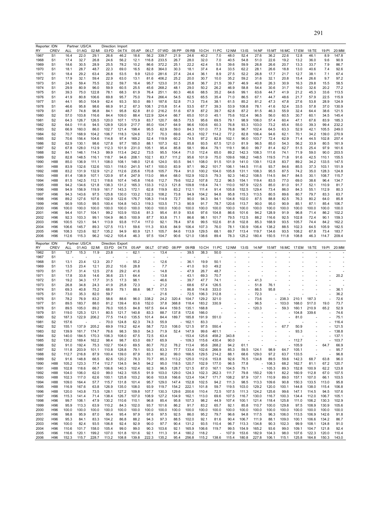| Reporter: IDN |                        |                | Partner: US/CA |                | Direction: Import |                |                |                          |                |                          |                |                |                                   |                          |                |                             |                |                   |                |                |                |                |
|---------------|------------------------|----------------|----------------|----------------|-------------------|----------------|----------------|--------------------------|----------------|--------------------------|----------------|----------------|-----------------------------------|--------------------------|----------------|-----------------------------|----------------|-------------------|----------------|----------------|----------------|----------------|
| RY            | CREV                   | ALL            | 01:AG          | 02:MI          | 03:FD             | 04:TX          | 05:AP          | 06:LT                    | 07:WD          | 08:PP                    | 09:RB          | 10:CH          | 11:PC                             | 12:NM                    | 13:IS          | 14:NF                       | 15:MT          | 16:MC             | 17:EM          | 18:TE          | 19:PI          | 20:MM          |
| 1967          | S <sub>1</sub>         | 16.4           | 22.0           | 29.1           | 26.6              | 46.2           | 18.6           | 56.2                     | 339.7          | 21.9                     | 24.6           | 40.2           | 7.0                               | 48.0                     | 52.4           | 27.6                        | 36.2           | 22.6              | 12.8           | 46.1           | 8.9            | 147.8          |
| 1968          | S <sub>1</sub>         | 17.4           | 32.7           | 26.8           | 24.6              | 56.2           | 12.1           | 116.8                    | 233.5          | 26.7                     | 28.0           | 32.0           | 7.0                               | 40.5                     | 54.8           | 51.0                        | 22.6           | 19.2              | 13.2           | 36.0           | 9.6            | 90.9           |
|               |                        |                |                |                |                   |                |                |                          |                |                          |                |                |                                   |                          |                |                             |                |                   |                |                |                |                |
| 1969          | S <sub>1</sub>         | 18.6           | 30.5           | 28.9           | 25.5              | 78.2           | 10.2           | 86.6                     | 372.2          | 25.1                     | 22.2           | 42.4           | 5.5                               | 39.6                     | 59.9           | 26.8                        | 26.6           | 20.7              | 13.3           | 33.7           | 7.9            | 86.7           |
| 1970          | S <sub>1</sub>         | 18.1           | 28.7           | 48.7           | 22.3              | 69.0           | 16.5           | 82.8                     | 364.0          | 30.3                     | 18.1           | 37.4           | 8.4                               | 33.5                     | 62.2           | 28.1                        | 26.6           | 18.8              | 13.0           | 40.6           | 7.4            | 92.6           |
| 1971          | S <sub>1</sub>         | 18.4           | 29.2           | 63.4           | 26.8              | 53.5           | 9.9            | 123.0                    | 281.6          | 27.4                     | 24.4           | 36.1           | 8.9                               | 27.5                     | 52.2           | 26.8                        | 17.7           | 21.7              | 12.7           | 38.1           | 7.1            | 67.4           |
|               |                        | 17.9           |                | 59.4           | 22.9              | 63.0           |                | 81.6                     | 406.2          | 25.2                     | 20.0           | 30.7           |                                   |                          |                |                             | 32.1           |                   |                | 26.6           | 9.7            |                |
| 1972          | S <sub>1</sub>         |                | 32.1           |                |                   |                | 13.1           |                          |                |                          |                |                | 10.0                              | 35.2                     | 59.2           | 31.6                        |                | 20.8              | 15.4           |                |                | 97.2           |
| 1973          | S <sub>1</sub>         | 24.5           | 59.4           | 75.5           | 32.2              | 59.7           | 16.4           | 95.7                     | 123.0          | 31.5                     | 25.8           | 36.7           | 21.5                              | 39.7                     | 46.9           | 40.8                        | 26.3           | 30.9              | 16.3           | 29.8           | 15.5           | 58.5           |
| 1974          | S <sub>1</sub>         | 29.9           | 80.9           | 96.0           | 59.9              | 60.5           | 25.5           | 45.6                     | 268.2          | 48.1                     | 29.0           | 50.2           | 26.2                              | 46.9                     | 58.8           | 54.4                        | 30.6           | 31.7              | 16.0           | 32.6           | 20.2           | 77.2           |
| 1975          | S <sub>1</sub>         | 39.3           | 75.0           | 122.8          | 78.1              | 68.3           | 61.9           | 76.4                     | 251.1          | 60.3                     | 46.6           | 68.5           | 35.2                              | 64.6                     | 99.1           | 63.6                        | 44.7           | 41.9              | 21.2           | 45.3           | 33.6           | 113.5          |
|               |                        |                |                |                |                   |                |                |                          |                |                          |                |                |                                   |                          |                |                             |                |                   |                |                |                |                |
| 1976          | S <sub>1</sub>         | 41.9           | 80.8           | 106.6          | 69.8              | 95.7           | 75.0           | 79.4                     | 266.4          | 54.5                     | 62.5           | 65.5           | 35.4                              | 71.0                     | 86.5           | 67.1                        | 44.7           | 48.6              | 21.7           | 57.9           | 22.5           | 115.9          |
| 1977          | S <sub>1</sub>         | 44.1           | 95.0           | 104.9          | 62.4              | 93.3           | 50.0           | 89.1                     | 187.6          | 52.8                     | 71.3           | 73.4           | 38.1                              | 61.5                     | 85.2           | 81.2                        | 47.3           | 47.8              | 27.6           | 53.8           | 28.9           | 124.9          |
| 1978          | S <sub>1</sub>         | 46.6           | 95.8           | 98.6           | 66.9              | 91.2           | 67.3           | 108.1                    | 215.8          | 51.4                     | 53.5           | 67.7           | 39.3                              | 53.9                     | 108.8          | 78.1                        | 41.6           | 52.4              | 33.5           | 57.8           | 37.0           | 130.9          |
|               |                        |                |                |                |                   |                |                |                          |                |                          |                |                |                                   |                          |                |                             |                |                   |                |                |                |                |
| 1979          | S <sub>1</sub>         | 48.7           | 74.8           | 96.8           | 84.1              | 95.8           | 62.8           | 81.0                     | 216.2          | 51.6                     | 67.9           | 87.2           | 39.7                              | 62.8                     | 87.2           | 81.5                        | 46.3           | 55.9              | 32.4           | 64.4           | 38.6           | 121.5          |
| 1980          | S <sub>2</sub>         | 57.0           | 103.8          | 116.6          | 84.4              | 109.0          | 88.4           | 122.9                    | 324.4          | 66.7                     | 65.0           | 101.0          | 45.1                              | 75.6                     | 102.4          | 96.5                        | 56.0           | 60.5              | 30.7           | 60.1           | 34.5           | 145.4          |
| 1981          | S <sub>2</sub>         | 64.3           | 126.7          | 126.5          | 120.0             | 107.1          | 173.9          | 83.7                     | 120.7          | 68.5                     | 73.5           | 95.6           | 69.5                              | 79.1                     | 98.9           | 106.0                       | 57.4           | 60.4              | 47.1           | 67.6           | 83.9           | 185.3          |
|               | S <sub>2</sub>         | 64.0           | 111.6          | 94.5           | 128.9             | 120.9          | 217.7          | 85.0                     | 104.7          | 64.9                     | 96.6           | 100.6          | 60.3                              | 76.8                     | 93.3           | 103.0                       | 73.2           | 65.4              | 55.0           | 39.3           | 99.4           | 232.2          |
| 1982          |                        |                |                |                |                   |                |                |                          |                |                          |                |                |                                   |                          |                |                             |                |                   |                |                |                |                |
| 1983          | S <sub>2</sub>         | 66.9           | 160.0          | 86.0           | 102.7             | 121.4          | 198.4          | 95.5                     | 62.9           | 59.0                     | 84.3           | 101.0          | 77.3                              | 76.8                     | 96.7           | 102.4                       | 64.5           | 63.3              | 52.9           | 42.1           | 105.5          | 249.0          |
| 1984          | S <sub>2</sub>         | 70.7           | 168.9          | 104.2          | 106.7             | 118.3          | 124.6          | 72.7                     | 70.3           | 69.6                     | 45.3           | 102.7          | 114.2                             | 77.2                     | 82.8           | 106.4                       | 94.6           | 62.1              | 70.1           | 34.2           | 139.0          | 270.9          |
| 1985          | S <sub>2</sub>         | 70.6           | 156.4          | 104.6          | 114.8             | 97.4           | 169.2          | 52.4                     | 119.9          | 60.2                     | 74.5           | 97.2           | 82.8                              | 102.1                    | 96.0           | 103.7                       | 72.4           | 62.9              | 71.4           | 44.5           | 102.8          | 257.4          |
|               |                        |                |                |                |                   |                |                |                          |                |                          |                |                |                                   |                          |                |                             |                |                   |                |                |                |                |
| 1986          | S <sub>2</sub>         | 62.9           | 130.1          | 98.6           | 127.8             | 97.7           | 185.0          | 88.1                     | 107.3          | 62.1                     | 85.8           | 93.5           | 67.5                              | 121.0                    | 81.9           | 96.5                        | 85.0           | 54.3              | 56.2           | 33.9           | 80.5           | 161.9          |
| 1987          | S <sub>2</sub>         | 67.8           | 128.0          | 112.9          | 112.3             | 101.9          | 231.0          | 105.1                    | 95.4           | 85.8                     | 58.1           | 99.4           | 79.1                              | 119.1                    | 96.0           | 99.7                        | 81.4           | 62.7              | 51.5           | 25.4           | 97.9           | 161.6          |
| 1988          | S <sub>2</sub>         | 84.1           | 146.1          | 114.3          | 99.9              | 113.4          | 242.2          | 73.5                     | 95.5           | 104.4                    | 71.0           | 112.4          | 65.0                              | 89.2                     | 142.3          | 108.3                       | 111.6          | 74.1              | 71.9           | 59.0           | 90.0           | 203.5          |
| 1989          | S <sub>2</sub>         | 82.8           | 148.5          | 116.1          | 118.7             | 94.6           | 208.1          | 102.1                    | 83.7           | 111.2                    | 95.6           | 101.9          | 75.0                              | 109.6                    | 168.2          | 148.5                       | 119.5          | 71.8              | 91.6           | 42.5           | 110.1          | 155.5          |
|               |                        |                |                |                |                   |                |                |                          |                |                          |                |                |                                   |                          |                |                             |                |                   |                |                |                |                |
| 1990          | H88                    | 85.0           | 136.9          | 111.1          | 108.0             | 108.1          | 148.0          | 121.6                    | 124.0          | 93.5                     | 94.1           | 108.0          | 91.5                              | 101.9                    | 141.0          | 139.1                       | 112.8          | 83.7              | 89.2           | 34.2           | 133.5          | 147.5          |
| 1991          | H88                    | 83.9           | 132.6          | 132.6          | 103.1             | 118.0          | 241.5          | 147.1                    | 100.0          | 83.9                     | 97.1           | 99.2           | 101.7                             | 106.1                    | 144.5          | 111.6                       | 93.7           | 84.6              | 85.5           | 37.3           | 103.1          | 151.9          |
| 1992          | H88                    | 83.2           | 131.9          | 132.9          | 121.2             | 112.6          | 235.6          | 170.8                    | 105.7          | 79.4                     | 91.0           | 100.2          | 104.0                             | 105.8                    | 131.1          | 108.3                       | 95.5           | 87.5              | 74.2           | 35.0           | 128.3          | 124.8          |
|               |                        |                |                |                |                   |                |                |                          |                |                          |                |                |                                   |                          |                |                             |                |                   |                |                |                |                |
| 1993          | H88                    | 81.4           | 138.9          | 107.1          | 120.9             | 97.4           | 247.9          | 113.0                    | 99.4           | 68.0                     | 102.9          | 102.5          | 79.3                              | 92.3                     | 140.2          | 108.5                       | 114.5          | 84.7              | 84.5           | 30.1           | 108.7          | 115.7          |
| 1994          | H88                    | 81.5           | 142.5          | 112.1          | 118.6             | 107.4          | 145.8          | 116.6                    | 112.7          | 79.6                     | 102.2          | 107.8          | 72.2                              | 96.5                     | 154.1          | 119.4                       | 83.5           | 77.0              | 69.0           | 38.6           | 96.4           | 134.7          |
| 1995          | H88                    | 94.2           | 134.6          | 121.8          | 138.3             | 131.2          | 165.3          | 133.3                    | 112.3          | 121.8                    | 109.8          | 118.4          | 74.1                              | 110.0                    | 167.9          | 122.5                       | 85.0           | 81.0              | 91.7           | 52.1           | 110.9          | 81.7           |
|               |                        |                |                |                |                   |                |                |                          |                |                          |                |                |                                   |                          |                |                             |                |                   |                |                |                |                |
| 1996          | H88                    | 94.9           | 156.9          | 119.9          | 161.7             | 143.3          | 172.1          | 62.8                     | 119.9          | 83.2                     | 112.1          | 111.4          | 91.4                              | 105.8                    | 152.5          | 129.4                       | 73.4           | 86.0              | 84.3           | 55.1           | 112.9          | 80.3           |
| 1997          | H96                    | 94.3           | 143.6          | 97.5           | 125.8             | 130.0          | 133.2          | 132.3                    | 108.2          | 73.8                     | 94.9           | 104.2          | 94.8                              | 95.8                     | 115.3          | 113.5                       | 80.5           | 89.6              | 80.7           | 79.7           | 83.3           | 63.7           |
| 1998          | H96                    | 89.2           | 127.6          | 107.6          | 102.9             | 122.6          | 176.7          | 108.3                    | 114.9          | 72.7                     | 90.0           | 94.3           | 94.1                              | 104.8                    | 102.0          | 87.5                        | 88.8           | 82.5              | 76.3           | 80.2           | 64.0           | 85.8           |
|               |                        | 90.9           | 105.0          | 99.5           | 100.4             | 104.8          | 143.3          | 119.3                    | 103.5          |                          | 90.9           | 91.7           |                                   | 120.6                    | 113.7          | 90.0                        | 95.0           | 90.9              | 85.1           | 87.1           |                | 106.7          |
| 1999          | H <sub>96</sub>        |                |                |                |                   |                |                |                          |                | 71.3                     |                |                | 78.7                              |                          |                |                             |                |                   |                |                | 85.4           |                |
| 2000          | H96                    | 100.0          | 100.0          | 100.0          | 100.0             | 100.0          | 100.0          | 100.0                    | 100.0          | 100.0                    | 100.0          | 100.0          | 100.0                             | 100.0                    | 100.0          | 100.0                       | 100.0          | 100.0             | 100.0          | 100.0          | 100.0          | 100.0          |
| 2001          | H96                    | 94.4           | 101.7          | 104.1          | 99.2              | 103.9          | 153.6          | 81.3                     | 95.4           | 81.9                     | 93.6           | 97.6           | 104.8                             | 86.6                     | 101.6          | 94.2                        | 128.9          | 91.9              | 96.8           | 71.4           | 86.2           | 102.2          |
| 2002          | H96                    | 92.3           | 103.3          | 99.1           | 104.9             | 86.5           | 100.9          | 87.7                     | 93.8           | 71.1                     | 86.6           | 98.1           | 101.7                             | 79.5                     | 112.5          | 88.2                        | 116.6          | 92.5              | 102.8          | 72.4           | 90.1           | 159.3          |
|               |                        |                |                |                |                   |                |                |                          |                |                          |                |                |                                   |                          |                |                             |                |                   |                |                |                |                |
| 2003          | H <sub>96</sub>        | 100.5          | 123.1          | 94.1           | 113.9             | 93.8           | 117.4          | 117.0                    | 92.1           | 78.4                     | 97.6           | 99.5           | 102.6                             | 81.8                     | 102.8          | 85.3                        | 168.9          | 93.5              | 105.7          | 74.4           | 84.2           | 162.2          |
| 2004          | H <sub>96</sub>        | 106.6          | 145.7          | 89.3           | 127.5             | 113.1          | 59.6           | 111.3                    | 93.6           | 84.9                     | 106.4          | 107.3          | 76.0                              | 78.1                     | 130.9          | 106.4                       | 138.2          | 88.5              | 102.3          | 64.5           | 105.9          | 182.5          |
| 2005          | H <sub>96</sub>        | 108.3          | 123.6          | 92.7           | 135.2             | 94.9           | 60.9           | 121.1                    | 105.7          | 84.6                     | 113.9          | 129.5          | 68.1                              | 69.7                     | 113.4          | 119.7                       | 134.6          | 93.5              | 108.2          | 67.8           | 73.4           | 183.7          |
| 2006          | H <sub>96</sub>        | 112.6          | 115.3          | 96.2           | 142.2             | 105.4          | 46.3           | 97.5                     | 104.7          | 90.6                     | 121.0          | 138.6          | 89.4                              | 78.3                     | 125.2          | 180.4                       | 150.5          | 111.8             | 108.8          | 46.3           | 114.7          | 209.4          |
|               |                        |                |                |                |                   |                |                |                          |                |                          |                |                |                                   |                          |                |                             |                |                   |                |                |                |                |
|               |                        |                |                |                |                   |                |                |                          |                |                          |                |                |                                   |                          |                |                             |                |                   |                |                |                |                |
|               |                        |                |                |                |                   |                |                |                          |                |                          |                |                |                                   |                          |                |                             |                |                   |                |                |                |                |
| Reporter: IDN |                        |                | Partner: US/CA |                | Direction: Export |                |                |                          |                |                          |                |                |                                   |                          |                |                             |                |                   |                |                |                |                |
| RY            | <b>CREV</b>            | ALL            | 01:AG          | 02:MI          | 03:FD             | 04:TX          | 05:AP          | 06:LT                    | 07:WD          | 08:PP                    | 09:RB          | 10:CH          | 11:PC                             | 12:NM                    | 13:1S          | 14:NF                       |                | 15:MT 16:MC 17:EM |                | 18:TE          | 19:PI          | 20:MM          |
| 1962          | S <sub>1</sub>         | 12.7           | 15.3           | 11.9           | 23.8              |                | 62.1           |                          | 13.4           | ÷.                       | 39.5           | 38.3           | 50.0                              |                          |                |                             |                |                   |                |                |                |                |
| 1967          | S <sub>1</sub>         |                |                |                |                   |                |                |                          |                |                          |                |                |                                   |                          |                |                             |                |                   |                |                |                |                |
|               |                        |                |                |                |                   |                |                |                          |                |                          |                |                |                                   |                          |                |                             |                |                   |                |                |                |                |
| 1968          | S <sub>1</sub>         | 13.1           | 23.4           | 12.3           | 20.7              |                | 55.2           |                          | 12.6           | $\overline{\phantom{a}}$ | 36.1           | 19.9           | 50.1                              |                          |                |                             |                |                   |                |                |                |                |
| 1969          | S <sub>1</sub>         | 13.5           | 23.4           | 12.1           | 20.2              | 10.6           | 28.8           |                          | 7.7            |                          | 41.0           | 9.0            | 49.2                              |                          |                |                             |                |                   |                |                |                |                |
| 1970          | S <sub>1</sub>         | 15.7           | 31.4           | 12.5           | 27.6              | 29.2           | 41.6           |                          | 14.8           | $\overline{\phantom{a}}$ | 47.9           | 26.7           | 48.7                              |                          |                |                             |                |                   |                |                |                |                |
|               |                        |                |                |                |                   |                |                | $\overline{\phantom{a}}$ |                | $\overline{\phantom{a}}$ |                |                |                                   |                          |                |                             |                |                   |                |                |                |                |
| 1971          | S <sub>1</sub>         | 17.8           | 33.8           | 14.6           | 36.6              | 23.1           | 64.4           |                          | 13.8           |                          | 43.1           | 69.3           | 70.7                              |                          | ä,             |                             |                |                   |                |                |                | 20.2           |
| 1972          | S <sub>1</sub>         | 19.2           | 34.3           | 17.7           | 31.5              | 17.3           | 98.1           | $\overline{\phantom{a}}$ | 46.6           | $\overline{\phantom{a}}$ | 39.7           | 47.7           | 74.1                              |                          | ÷,             | 41.3                        | ÷,             |                   |                |                |                |                |
| 1973          | S <sub>1</sub>         | 26.8           | 34.8           | 24.3           | 41.9              | 25.8           | 72.3           |                          | 21.2           | $\overline{\phantom{a}}$ | 68.6           | 57.4           | 126.5                             |                          |                | 51.8                        | 76.1           |                   |                |                |                |                |
|               | S <sub>1</sub>         | 69.3           |                |                |                   | 79.1           | 88.6           |                          | 17.5           | $\overline{\phantom{a}}$ |                |                |                                   |                          |                | 86.5                        | 95.8           |                   |                |                |                |                |
| 1974          |                        |                | 40.8           | 75.2           | 68.9              |                |                | 98.7                     |                |                          | 86.8           | 114.8          | 333.0                             |                          |                |                             |                |                   |                |                |                | 36.1           |
| 1975          | S <sub>1</sub>         | 73.0           | 35.3           | 82.0           | 59.7              |                |                |                          | 21.6           |                          | 72.5           | 106.3          | 312.8                             |                          |                | 72.3                        |                |                   |                |                |                | 36.2           |
| 1976          | S <sub>1</sub>         | 78.2           | 76.9           | 83.2           | 58.6              | 88.6           | 96.0           | 338.2                    | 24.2           | 320.4                    | 104.7          | 129.2          | 321.0                             |                          |                | 73.6                        | ×.             | 238.3             | 210.1          | 187.3          |                | 72.6           |
| 1977          | S <sub>1</sub>         | 89.5           | 183.7          | 88.0           | 81.2              | 139.4          | 83.6           | 152.0                    | 37.8           | 368.8                    | 118.4          | 183.2          | 330.9                             |                          |                | 96.5                        | ٠              | 103.0             | 168.0          | 517.0          | 19.0           | 73.7           |
|               |                        | 89.5           |                |                |                   |                |                |                          |                |                          |                |                |                                   | $\overline{\phantom{a}}$ |                |                             |                |                   |                |                | 65.2           |                |
| 1978          | S <sub>1</sub>         |                | 105.0          | 89.2           | 76.0              | 105.5          | 84.8           | 167.5                    | 64.4           | 159.5                    | 135.1          | 168.8          |                                   |                          |                | 120.3                       |                | 59.3              | 160.1          | 210.9          |                | 52.9           |
| 1979          | S <sub>1</sub>         | 119.0          | 125.3          | 121.1          | 80.5              | 121.7          | 140.8          | 83.3                     | 88.7           | 137.8                    | 172.6          | 166.0          |                                   |                          |                |                             |                |                   | 104.8          | 339.6          |                | 74.6           |
| 1980          | S <sub>2</sub>         | 187.3          | 122.9          | 206.2          | 77.5              | 114.0          | 135.5          | 101.4                    | 84.4           | 189.7                    | 185.8          | 191.9          | 551.0                             |                          |                |                             |                |                   | 81.0           |                |                | 75.1           |
| 1981          | S <sub>2</sub>         | 157.6          |                |                | 70.0              | 124.8          | 62.3           | 74.3                     | 55.9           |                          | $-162.1$       | 83.3           |                                   |                          |                |                             |                |                   |                |                |                | 116.4          |
|               |                        |                |                |                |                   |                |                |                          |                |                          |                |                |                                   |                          |                |                             |                |                   |                |                |                |                |
| 1982          | S <sub>2</sub>         | 155.1          | 137.9          | 205.2          | 69.9              | 119.2          | 62.4           | 58.7                     | 72.0           | 108.0                    | 121.5          | 97.5           | 550.4                             |                          |                |                             |                | 67.7              | 50.9           |                |                | 121.5          |
| 1983          | S <sub>2</sub>         | 139.9          | 161.7          | 174.7          | 76.6              | 98.3           | 59.0           | 54.3                     | 71.9           | 52.4                     | 147.9          | 99.6           | 461.1                             |                          |                |                             |                |                   | 93.3           |                |                | 138.8          |
| 1984          | S <sub>2</sub>         | 140.0          | 184.5          | 170.3          | 106.3             | 108.0          | 67.5           | 72.5                     | 63.4           |                          | $-153.4$       | 125.6          | 458.2                             | 343.8                    |                |                             |                |                   |                |                |                | 137.1          |
| 1985          | S <sub>2</sub>         | 130.2          | 169.4          | 162.2          | 98.4              | 98.7           | 63.0           | 69.7                     | 65.9           |                          | $-109.3$       | 115.6          | 430.4                             | 90.0                     |                |                             |                |                   | 112.7          |                |                | 103.7          |
|               |                        |                |                |                |                   |                |                |                          |                |                          |                |                |                                   |                          |                | ÷,                          |                | L,                |                |                |                |                |
| 1986          | S <sub>2</sub>         | 91.0           | 192.4          | 75.3           | 102.7             | 104.0          | 69.5           | 80.7                     | 70.2           | 78.2                     | 113.4          | 95.6           | 268.2                             | 94.2                     | 61.1           |                             |                |                   | 105.9          |                | 64.7           | 66.9           |
| 1987          | S <sub>2</sub>         | 111.8          | 203.9          | 101.1          | 110.8             | 128.8          | 79.1           | 93.3                     | 83.3           | 77.7                     | 133.4          | 102.6          | 266.9                             | 85.3                     | 59.5           | 124.1                       | 98.9           | 64.7              | 105.1          |                |                | 95.7           |
| 1988          | S <sub>2</sub>         | 112.7          | 216.8          | 87.9           | 100.4             | 139.0          | 87.9           | 83.1                     | 90.2           | 99.0                     | 166.5          | 129.5          | 214.2                             | 88.1                     | 68.6           | 129.0                       | 97.2           | 63.7              | 133.5          | ÷,             |                | 96.8           |
| 1989          | S <sub>2</sub>         | 91.6           | 148.8          | 66.5           | 82.6              | 120.2          | 78.3           | 70.7                     | 85.3           | 113.2                    | 125.0          | 112.6          | 153.8                             | 92.6                     | 76.5           | 134.8                       | 89.5           | 59.6              | 142.3          | 68.7           | 63.8           | 96.0           |
|               |                        |                |                |                |                   |                |                |                          |                |                          |                |                |                                   |                          |                |                             |                |                   |                |                |                |                |
| 1990          | H88                    | 105.2          | 123.3          | 77.4           | 112.7             | 134.5          | 94.5           | 94.2                     | 95.0           | 118.5                    | 120.7          | 102.9          | 177.0                             | 96.5                     | 77.8           | $\sim$                      | 108.3          | 68.2              | 162.7          | 81.1           | 67.2           | 120.7          |
| 1991          | H88                    | 102.8          | 118.6          | 66.7           | 106.6             | 140.3          | 102.4          | 92.3                     | 96.5           | 128.7                    | 121.5          | 87.0           | 167.1                             | 104.5                    | 79.1           | $\mathcal{L}_{\mathcal{A}}$ | 105.3          | 89.3              | 152.8          | 100.9          | 62.2           | 123.8          |
| 1992          | H88                    | 104.0          | 106.0          | 62.0           | 99.0              | 142.3          | 105.5          | 91.9                     | 103.0          | 129.0                    | 124.3          | 102.3          | 262.3                             | 111.7                    | 79.8           | 150.2                       | 109.1          | 82.2              | 160.9          | 112.8          | 67.0           | 107.5          |
|               |                        |                |                |                |                   |                |                |                          |                |                          |                |                |                                   |                          |                |                             |                |                   |                |                |                |                |
| 1993          | H88                    | 102.3          | 117.0          | 62.6           | 100.1             | 125.8          | 103.2          | 90.6                     | 103.8          | 166.6                    | 123.4          | 104.7          | 171.7                             | 108.2                    | 97.9           | 137.1                       | 110.9          | 89.0              | 157.1          | 107.0          | 66.1           | 103.5          |
| 1994          | H88                    | 109.0          | 164.4          | 57.7           | 115.7             | 131.8          | 101.4          | 95.7                     | 129.0          | 147.4                    | 152.8          | 102.5          | 94.2                              | 111.3                    | 98.5           | 113.3                       | 109.6          | 90.8              | 150.3          | 133.5          | 113.0          | 95.8           |
| 1995          | H88                    | 116.9          | 167.6          | 63.8           | 126.9             | 135.0          | 108.0          | 93.9                     | 119.7          | 154.2                    | 222.1          | 101.8          | 59.7                              | 119.5                    | 103.0          | 129.2                       | 120.0          | 100.1             | 144.8          | 138.0          | 115.4          | 106.8          |
| 1996          | H88                    | 120.0          | 143.8          | 73.5           | 128.1             | 127.2          | 109.8          | 107.7                    | 130.3          | 129.6                    | 200.6          | 110.4          | 72.5                              | 107.5                    | 111.3          | 124.2                       | 125.6          | 99.6              | 147.1          | 114.5          | 94.5           | 107.6          |
|               |                        |                |                |                |                   |                |                |                          |                |                          |                |                |                                   |                          |                |                             |                |                   |                |                |                |                |
| 1997          | H96                    | 115.3          | 141.4          | 71.4           | 138.4             | 126.7          | 107.0          | 108.9                    | 127.2          | 104.9                    | 162.1          | 113.0          | 69.6                              | 107.5                    | 116.7          | 130.0                       | 116.7          | 100.3             | 134.4          | 112.0          | 106.7          | 105.1          |
| 1998          | H96                    | 99.7           | 106.1          | 47.9           | 130.2             | 110.6          | 110.1          | 96.8                     | 85.4           | 95.8                     | 107.3          | 98.2           | 44.9                              | 107.4                    | 100.1          | 121.4                       | 118.4          | 125.8             | 111.0          | 106.2          | 130.3          | 102.9          |
| 1999          | H96                    | 95.9           | 113.3          | 63.9           | 110.2             | 84.3           | 102.0          | 93.7                     | 101.6          | 86.2                     | 91.7           | 83.2           | 65.7                              | 92.1                     | 85.8           | 110.7                       | 100.0          | 129.8             | 97.5           | 108.9          | 130.9          | 105.6          |
|               |                        |                |                |                |                   |                |                |                          |                |                          |                |                |                                   |                          |                |                             |                |                   |                |                |                |                |
| 2000          | H <sub>96</sub>        | 100.0          | 100.0          | 100.0          | 100.0             | 100.0          | 100.0          | 100.0                    | 100.0          | 100.0                    | 100.0          | 100.0          | 100.0                             | 100.0                    | 100.0          | 100.0                       | 100.0          | 100.0             | 100.0          | 100.0          | 100.0          | 100.0          |
| 2001          | H96                    | 98.8           | 95.9           | 87.0           | 95.4              | 95.4           | 97.9           | 97.6                     | 97.5           | 92.5                     | 86.0           | 95.2           | 79.7                              | 96.6                     | 94.8           | 117.5                       | 96.3           | 106.0             | 113.5          | 106.9          | 142.6          | 91.8           |
| 2002          | H96                    | 95.3           | 84.1           | 83.3           | 104.2             | 86.8           | 88.2           | 94.3                     | 97.3           | 88.5                     | 102.0          | 92.1           | 81.6                              | 90.4                     | 106.7          | 111.9                       | 88.1           | 109.0             | 100.1          | 106.6          | 134.2          | 86.7           |
| 2003          | H96                    | 100.0          | 82.4           | 93.5           | 106.8             | 92.4           | 92.9           | 90.0                     | 97.7           | 90.4                     | 131.2          | 93.5           | 110.4                             | 96.7                     | 113.3          | 134.8                       | 90.3           | 102.3             | 99.9           | 108.1          | 124.8          | 91.0           |
|               |                        |                |                |                |                   |                |                |                          |                |                          |                |                |                                   |                          |                |                             |                |                   |                |                |                |                |
| 2004          | H <sub>96</sub>        | 110.6          | 101.7          | 158.0          | 105.4             | 99.0           | 99.0           | 90.3                     | 103.6          | 92.1                     | 165.9          | 106.6          | 119.7                             | 99.5                     | 154.9          | 165.2                       | 93.6           | 99.0              | 109.1          | 104.7          | 121.8          | 92.4           |
| 2005<br>2006  | H <sub>96</sub><br>H96 | 116.6<br>152.3 | 120.1<br>115.7 | 199.2<br>228.7 | 107.0<br>113.2    | 101.8<br>108.8 | 101.6<br>139.8 | 92.1<br>222.3            | 111.3<br>135.2 | 91.4<br>95.4             | 180.2<br>256.8 | 118.2<br>115.2 | $\overline{\phantom{a}}$<br>138.6 | 107.9<br>115.4           | 153.6<br>180.8 | 182.9<br>227.8              | 104.3<br>106.1 | 98.0<br>115.1     | 107.6<br>125.8 | 122.3<br>164.8 | 120.0<br>150.3 | 110.4<br>143.0 |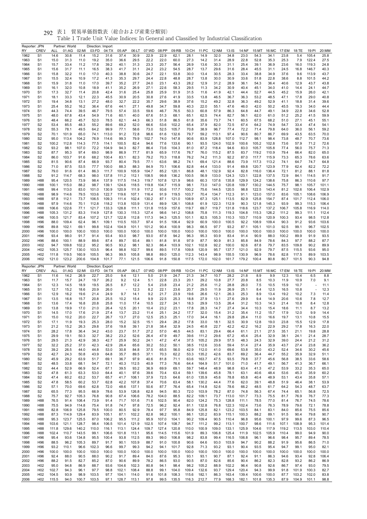| 貿易単価指数表(総合および産業分類別)<br>表1<br>292 |
|----------------------------------|
|----------------------------------|

| Reporter: JPN |                                    |                    | Partner: World |                | Direction: Import |                |                |                | 07:WD          |               |                |                |                |                |                |                |                |                |               |                |                |                |
|---------------|------------------------------------|--------------------|----------------|----------------|-------------------|----------------|----------------|----------------|----------------|---------------|----------------|----------------|----------------|----------------|----------------|----------------|----------------|----------------|---------------|----------------|----------------|----------------|
| RY<br>1962    | <b>CREV</b><br>S <sub>1</sub>      | <b>ALL</b><br>14.6 | 01:AG<br>30.8  | 02:MI<br>11.4  | 03:FD<br>15.2     | 04:TX<br>31.6  | 05:AP<br>37.4  | 06:LT<br>30.9  | 22.9           | 08:PP<br>22.9 | 09:RB<br>62.1  | 10:CH<br>28.1  | 11:PC<br>14.9  | 12:NM<br>32.0  | 13:IS<br>34.8  | 14:NF<br>23.0  | 15:MT<br>54.3  | 16:MC<br>34.1  | 17:EM<br>23.8 | 18:TE<br>5.4   | 19:PI<br>105.4 | 20:MM<br>25.8  |
| 1963          | S <sub>1</sub>                     | 15.0               | 31.3           | 11.0           | 19.2              | 35.0           | 36.6           | 29.5           | 22.2           | 22.0          | 60.0           | 27.3           | 14.2           | 31.4           | 28.9           | 22.8           | 52.8           | 35.3           | 25.3          | 7.9            | 122.4          | 27.5           |
| 1964          | S <sub>1</sub>                     | 15.7               | 33.4           | 11.2           | 17.8              | 39.2           | 40.1           | 31.3           | 23.3           | 20.7          | 56.4           | 26.9           | 13.6           | 30.3           | 31.1           | 25.4           | 39.1           | 36.9           | 23.6          | 16.0           | 119.3          | 24.8           |
| 1965          | S <sub>1</sub>                     | 15.6               | 31.7           | 11.1           | 16.5              | 38.3           | 41.7           | 31.1           | 24.2           | 23.2          | 54.5           | 28.7           | 13.7           | 29.6           | 31.6           | 28.4           | 45.5           | 31.1           | 24.5          | 16.8           | 146.7          | 40.3           |
| 1966          | S <sub>1</sub>                     | 15.8               | 32.2           | 11.0           | 17.0              | 40.3           | 38.8           | 30.6           | 24.7           | 22.1          | 53.8           | 30.0           | 13.4           | 30.5           | 28.3           | 33.4           | 38.8           | 34.9           | 37.6          | 9.6            | 113.9          | 43.7           |
| 1967          | S <sub>1</sub>                     | 15.5               | 32.4           | 10.9           | 17.2              | 41.3           | 35.3           | 29.7           | 24.4           | 22.8          | 48.8           | 28.7           | 13.8           | 30.0           | 30.9           | 33.6           | 51.8           | 22.8           | 38.6          | 8.8            | 101.5          | 44.2           |
| 1968          | S <sub>1</sub><br>S <sub>1</sub>   | 15.9<br>16.1       | 31.8<br>32.0   | 11.0<br>10.8   | 17.0<br>18.9      | 39.7<br>41.1   | 35.2<br>35.2   | 27.7<br>26.9   | 24.0<br>27.1   | 23.1<br>22.6  | 43.3<br>58.3   | 28.2<br>29.5   | 12.9           | 31.2<br>34.2   | 28.9<br>30.9   | 36.1<br>40.4   | 54.3<br>45.1   | 36.4           | 40.6<br>41.0  | 12.9           | 43.7<br>24.1   | 43.8           |
| 1969<br>1970  | S <sub>1</sub>                     | 17.3               | 32.7           | 11.4           | 20.8              | 42.4           | 31.6           | 25.4           | 25.8           | 25.9          | 51.9           | 31.5           | 11.3<br>11.6   | 41.9           | 42.1           | 44.4           | 52.7           | 34.0<br>44.5   | 45.2          | 14.4<br>15.9   | 26.0           | 44.7<br>42.1   |
| 1971          | S <sub>1</sub>                     | 18.1               | 33.3           | 12.1           | 22.3              | 45.5           | 30.9           | 20.5           | 30.8           | 27.6          | 41.9           | 33.5           | 13.8           | 46.5           | 36.7           | 36.3           | 53.2           | 48.5           | 47.1          | 17.8           | 29.0           | 40.8           |
| 1972          | S <sub>1</sub>                     | 19.4               | 34.8           | 13.1           | 27.2              | 48.0           | 32.7           | 22.2           | 35.7           | 29.6          | 38.9           | 37.6           | 15.2           | 49.2           | 32.8           | 36.3           | 49.2           | 52.9           | 41.1          | 18.8           | 31.4           | 39.6           |
| 1973          | S <sub>1</sub>                     | 25.4               | 55.2           | 16.2           | 36.4              | 67.6           | 44.1           | 27.1           | 49.8           | 34.7          | 59.8           | 40.3           | 22.0           | 55.1           | 47.6           | 46.0           | 42.0           | 50.2           | 45.5          | 19.3           | 34.0           | 44.4           |
| 1974          | S <sub>1</sub>                     | 44.3               | 74.4           | 39.5           | 46.7              | 79.5           | 57.4           | 33.5           | 59.6           | 46.7          | 76.5           | 50.3           | 60.8           | 57.9           | 86.3           | 64.8           | 44.7           | 49.1           | 34.9          | 22.8           | 34.6           | 52.8           |
| 1975          | S <sub>1</sub>                     | 48.0               | 67.8           | 43.4           | 54.9              | 71.6           | 60.1           | 40.0           | 67.6           | 51.3          | 68.1           | 65.1           | 62.5           | 74.4           | 82.7           | 56.1           | 62.0           | 61.0           | 51.2          | 25.2           | 41.5           | 59.9           |
| 1976          | S <sub>1</sub>                     | 48.4               | 66.2           | 45.7           | 52.0              | 78.5           | 62.1           | 44.3           | 66.3           | 51.8          | 86.5           | 61.8           | 35.6           | 73.7           | 74.1           | 60.5           | 67.5           | 68.2           | 51.0          | 27.1           | 45.1           | 55.1           |
| 1977          | S <sub>2</sub>                     | 53.4               | 85.5           | 48.3           | 55.2              | 89.6           | 69.2           | 52.0           | 66.6           | 53.6          | 102.2          | 65.4           | 37.9           | 82.0           | 72.5           | 67.4           | 64.2           | 74.9           | 54.7          | 33.4           | 47.4           | 54.1           |
| 1978<br>1979  | S <sub>2</sub><br>S <sub>2</sub>   | 55.3<br>70.1       | 78.1<br>101.9  | 49.5<br>65.0   | 64.2<br>74.1      | 99.9<br>113.0  | 77.1<br>91.2   | 58.6<br>72.8   | 73.0<br>98.6   | 52.5          | 105.7<br>132.6 | 70.8<br>79.7   | 38.9<br>59.2   | 96.7<br>113.1  | 77.4<br>97.4   | 72.2<br>90.6   | 71.4<br>80.7   | 79.8<br>86.7   | 64.0<br>69.9  | 36.0<br>43.5   | 56.1           | 59.2<br>70.0   |
| 1980          | S <sub>2</sub>                     | 95.0               | 113.4          | 104.2          | 76.9              | 114.6          | 99.3           | 79.9           | 102.7          | 61.6<br>74.0  | 147.8          | 90.6           | 83.9           | 128.8          | 107.0          | 112.7          | 98.1           | 98.4           | 73.8          | 48.7           | 63.5<br>70.7   | 73.6           |
| 1981          | S <sub>2</sub>                     | 100.2              | 112.8          | 114.3          | 77.5              | 114.1          | 100.5          | 82.4           | 94.6           | 77.6          | 133.6          | 90.1           | 93.5           | 124.0          | 102.9          | 100.6          | 105.2          | 102.8          | 73.6          | 57.9           | 71.2           | 72.6           |
| 1982          | S <sub>2</sub>                     | 93.2               | 98.1           | 107.0          | 72.2              | 104.9          | 94.3           | 82.7           | 86.4           | 73.6          | 104.3          | 81.0           | 87.2           | 118.4          | 94.6           | 83.0           | 105.7          | 105.8          | 77.4          | 56.0           | 75.7           | 71.3           |
| 1983          | S <sub>2</sub>                     | 87.7               | 95.3           | 97.4           | 69.0              | 98.9           | 86.9           | 77.7           | 81.9           | 65.9          | 117.6          | 76.7           | 76.0           | 115.2          | 87.5           | 83.7           | 119.2          | 110.9          | 79.4          | 66.4           | 82.0           | 65.0           |
| 1984          | S <sub>2</sub>                     | 86.0               | 103.7          | 91.6           | 68.2              | 100.4          | 83.1           | 82.3           | 79.2           | 70.3          | 118.8          | 76.2           | 74.2           | 111.3          | 92.2           | 87.0           | 117.7          | 115.9          | 73.3          | 65.3           | 78.6           | 63.6           |
| 1985          | S <sub>2</sub>                     | 81.5               | 90.6           | 87.4           | 66.9              | 93.7           | 80.4           | 79.5           | 77.1           | 63.6          | 98.2           | 74.1           | 69.4           | 121.4          | 88.6           | 73.9           | 117.3          | 113.2          | 74.1          | 64.7           | 74.7           | 64.8           |
| 1986          | S <sub>2</sub>                     | 71.0               | 87.5           | 53.5           | 77.7              | 100.0          | 88.3           | 88.3           | 84.9           | 70.1          | 106.6          | 82.8           | 44.4           | 133.0          | 91.4           | 69.8           | 120.7          | 123.9          | 77.9          | 62.4           | 82.2           | 72.2           |
| 1987          | S <sub>2</sub>                     | 79.0               | 91.6           | 61.4           | 86.3              | 111.7          | 100.9          | 105.9          | 104.7          | 85.2          | 120.1          | 86.8           | 48.1           | 132.9          | 92.4           | 82.8           | 116.0          | 136.4          | 72.1          | 81.2           | 88.1           | 81.8           |
| 1988<br>1989  | S <sub>2</sub><br>H88              | 91.2<br>95.4       | 114.7<br>120.5 | 68.3<br>73.9   | 98.0<br>98.4      | 137.8<br>137.9 | 111.2<br>117.5 | 112.1<br>114.3 | 108.5<br>119.7 | 99.8<br>107.8 | 136.2<br>121.9 | 100.5<br>98.6  | 56.9<br>60.3   | 133.0<br>137.6 | 124.3<br>135.8 | 123.1<br>129.9 | 122.8<br>124.2 | 137.5<br>138.6 | 72.9<br>75.8  | 84.1<br>86.3   | 114.5<br>110.6 | 91.7<br>97.7   |
| 1990          | H88                                | 100.1              | 115.0          | 88.2           | 98.7              | 139.1          | 124.6          | 118.5          | 119.8          | 104.7         | 115.9          | 98.1           | 73.0           | 147.0          | 120.8          | 109.7          | 130.2          | 144.5          | 75.7          | 98.1           | 105.7          | 101.1          |
| 1991          | H88                                | 99.4               | 113.0          | 83.0           | 101.0             | 130.9          | 120.9          | 111.9          | 117.2          | 93.6          | 117.7          | 100.2          | 75.6           | 144.5          | 120.5          | 98.8           | 122.5          | 143.4          | 81.2          | 102.6          | 106.4          | 102.9          |
| 1992          | H88                                | 98.9               | 114.6          | 79.5           | 103.6             | 122.7          | 119.6          | 107.1          | 116.4          | 91.9          | 119.5          | 103.7          | 70.4           | 134.7          | 112.3          | 91.1           | 123.0          | 157.0          | 83.6          | 105.1          | 108.6          | 106.9          |
| 1993          | H88                                | 97.8               | 112.1          | 73.7           | 106.5             | 109.3          | 111.4          | 102.4          | 130.2          | 87.1          | 121.0          | 108.9          | 67.3           | 125.1          | 113.5          | 82.9           | 125.8          | 154.7          | 87.4          | 101.7          | 112.4          | 106.0          |
| 1994          | H88                                | 97.9               | 114.6          | 70.1           | 112.8             | 118.2          | 113.8          | 103.9          | 131.4          | 89.9          | 126.1          | 108.8          | 61.9           | 122.3          | 112.9          | 90.3           | 121.8          | 145.3          | 93.9          | 99.3           | 115.3          | 106.4          |
| 1995          | H88                                | 106.6              | 122.6          | 77.1           | 121.7             | 133.3          | 128.8          | 111.1          | 131.8          | 115.9         | 157.6          | 119.7          | 69.7           | 119.7          | 131.8          | 118.6          | 123.7          | 137.2          | 106.7         | 105.8          | 116.9          | 114.0          |
| 1996          | H88                                | 105.3              | 131.2          | 83.3           | 114.9             | 127.8          | 130.3          | 115.3          | 127.4          | 98.6          | 141.2          | 108.8          | 75.8           | 111.3          | 119.3          | 104.8          | 115.3          | 126.2          | 111.2         | 99.3           | 111.1          | 112.4          |
| 1997          | H96                                | 100.5              | 121.7          | 83.4           | 107.2             | 121.7          | 122.8          | 112.8          | 117.3          | 94.3          | 125.5          | 101.1          | 82.5           | 105.3          | 110.3          | 103.7          | 110.9          | 120.9          | 100.3         | 93.4           | 98.5           | 112.8          |
| 1998<br>1999  | H96<br>H96                         | 88.0<br>89.8       | 109.4<br>102.1 | 62.4<br>69.1   | 96.1<br>99.8      | 109.1<br>102.4 | 110.5<br>104.9 | 103.7<br>101.1 | 97.4<br>101.2  | 91.5<br>90.4  | 106.4<br>100.9 | 92.9<br>98.3   | 60.9<br>66.5   | 100.0<br>97.7  | 100.5<br>93.2  | 92.2<br>87.1   | 108.9<br>105.1 | 109.4<br>101.0 | 90.3<br>92.5  | 91.2<br>99.1   | 93.6<br>96.7   | 103.6<br>102.5 |
| 2000          | H96                                | 100.0              | 100.0          | 100.0          | 100.0             | 100.0          | 100.0          | 100.0          | 100.0          | 100.0         | 100.0          | 100.0          | 100.0          | 100.0          | 100.0          | 100.0          | 100.0          | 100.0          | 100.0         | 100.0          | 100.0          | 100.0          |
| 2001          | H96                                | 93.4               | 98.0           | 91.7           | 91.4              | 93.4           | 93.0           | 98.7           | 93.0           | 87.8          | 94.2           | 96.3           | 95.3           | 93.9           | 83.4           | 91.4           | 90.9           | 88.0           | 100.2         | 89.9           | 91.9           | 93.5           |
| 2002          | H96                                | 88.6               | 100.1          | 88.9           | 89.6              | 87.4           | 89.7           | 93.4           | 89.1           | 81.8          | 91.8           | 97.9           | 87.7           | 90.9           | 81.3           | 85.8           | 84.9           | 78.6           | 84.3          | 97.7           | 88.2           | 87.7           |
| 2003          | H <sub>02</sub>                    | 94.7               | 109.8          | 102.2          | 95.2              | 90.5           | 93.2           | 98.1           | 92.3           | 86.4          | 103.9          | 102.1          | 102.8          | 92.2           | 100.0          | 92.6           | 87.8           | 79.7           | 83.5          | 109.8          | 90.2           | 89.9           |
| 2004          | H <sub>02</sub>                    | 105.3              | 125.7          | 130.0          | 103.5             | 96.4           | 98.8           | 102.7          | 99.6           | 89.5          | 117.8          | 109.8          | 120.9          | 95.7           | 137.7          | 121.0          | 92.9           | 79.7           | 87.5          | 115.5          | 93.6           | 95.0           |
| 2005          | H <sub>02</sub>                    | 111.8              | 119.5          | 160.9          | 105.5             | 96.3           | 99.5           | 105.8          | 98.8           | 89.0          | 125.0          | 112.3          | 143.4          | 98.9           | 155.5          | 130.9          | 96.9           | 78.6           | 82.8          | 117.5          | 89.9           | 103.5          |
| 2006          | H <sub>02</sub>                    | 121.0              | 123.2          | 200.6          | 104.8             | 101.7          | 77.1           | 121.5          | 106.6          | 91.8          | 150.8          | 117.5          | 172.0          | 102.0          | 161.7          | 179.2          | 100.4          | 80.8           | 80.7          | 101.5          | 90.3           | 94.8           |
|               |                                    |                    |                |                |                   |                |                |                |                |               |                |                |                |                |                |                |                |                |               |                |                |                |
| Reporter: JPN |                                    |                    | Partner: World |                | Direction: Export |                |                |                |                |               |                |                |                |                |                |                |                |                |               |                |                |                |
| RY            | <b>CREV</b>                        | ALL                | 01:AG          | 02:MI          | 03:FD             | 04:TX          | 05:AP          | 06:LT          | 07:WD          | 08:PP         | 09:RB          | 10:CH          | 11:PC          | 12:NM          | 13:IS          | 14:NF          | 15:MT          | 16:MC          | 17:EM         | 18:TE          | 19:PI          | 20:MM          |
| 1962          | S <sub>1</sub>                     | 11.6               | 14.2           | 26.9           | 22.7              | 25.0           | 9.4            | 12.1           | 5.0            | 21.9          | 24.7           | 21.3           | 34.7           | 10.7           | 28.2           | 21.8           | 8.9            | 9.9            | 12.3          | 10.4           | 6.5            | 8.8            |
| 1963          | S <sub>1</sub>                     | 11.7               | 15.7           | 24.7           | 19.7              | 26.2           | 9.2            | 12.4           | 5.1            | 22.8          | 23.3           | 20.1           | 29.2           | 10.8           | 27.7           | 20.8           | 8.5            | 10.3           | 11.9          | 10.9           | 7.0            | 9.1            |
| 1964          | S <sub>1</sub>                     | 12.3               | 14.5           | 18.9           | 19.5              | 26.5           | 8.7            | 12.2           | 5.4            | 23.8          | 23.4           | 21.2           | 25.6           | 11.2           | 28.8           | 26.0           | 7.5            | 10.5           | 15.9          | 10.7           |                | 11.1           |
| 1965          | S <sub>1</sub><br>S <sub>1</sub>   | 12.7<br>12.9       | 15.2<br>16.2   | 18.6<br>19.6   | 20.9<br>21.4      | 26.0<br>24.9   | 9.7            | 12.3<br>14.1   | 8.2<br>9.2     | 22.1<br>21.7  | 23.6           | 20.7<br>19.6   | 29.5<br>26.6   | 11.9<br>12.1   | 26.9           | 25.1<br>25.3   | 8.4<br>8.9     | 12.5<br>13.4   | 16.5<br>19.2  | 10.8<br>10.2   |                | 12.3           |
| 1966<br>1967  | S <sub>1</sub>                     | 13.5               | 16.8           | 15.7           | 20.8              | 25.5           | 10.2           | 15.4           | 9.9            | 22.5          | 23.9<br>25.3   | 18.8           | 27.9           | 13.1           | 26.3<br>27.6   | 29.9           | 9.4            | 14.9           | 20.6          | 10.6           | 7.3<br>7.8     | 11.4<br>12.7   |
| 1968          | S <sub>1</sub>                     | 13.6               | 17.4           | 16.8           | 20.8              | 25.8           | 11.0           | 17.4           | 10.5           | 22.7          | 24.1           | 18.3           | 29.9           | 13.5           | 26.4           | 31.2           | 10.3           | 14.3           | 21.4          | 10.8           | 8.4            | 12.8           |
| 1969          | S <sub>1</sub>                     | 13.8               | 19.9           | 17.0           | 21.0              | 26.4           | 12.5           | 20.1           | 10.4           | 23.2          | 23.1           | 17.8           | 28.3           | 14.7           | 27.4           | 34.4           | 10.3           | 15.4           | 18.6          | 11.1           | 8.7            | 13.2           |
| 1970          | S <sub>1</sub>                     | 14.5               | 17.0           | 17.6           | 21.9              | 27.4           | 13.7           | 23.2           | 11.4           | 25.1          | 24.2           | 17.7           | 32.0           | 15.4           | 31.2           | 35.4           | 11.2           | 15.7           | 17.9          | 12.0           | 9.9            | 14.4           |
| 1971          | S <sub>1</sub>                     | 15.0               | 10.2           | 20.0           | 22.7              | 26.7           | 13.7           | 27.0           | 12.5           | 25.3          | 25.1           | 17.0           | 34.4           | 16.1           | 29.8           | 28.4           | 11.0           | 16.6           | 19.7          | 13.1           | 10.8           | 15.5           |
| 1972          | S <sub>1</sub>                     | 17.1               | 11.9           | 19.3           | 25.3              | 28.0           | 15.2           | 32.5           | 15.1           | 29.4          | 28.2           | 17.8           | 33.0           | 18.1           | 32.5           | 30.9           | 12.8           | 19.0           | 23.8          | 15.5           | 12.9           | 17.8           |
| 1973          | S <sub>1</sub>                     | 21.2               | 15.2           | 26.3           | 29.8              | 37.6           | 19.8           | 39.1           | 21.8           | 38.4          | 32.9           | 24.5           | 40.8           | 22.7           | 42.2           | 42.2           | 16.2           | 22.9           | 29.2          | 17.8           | 16.3           | 22.0           |
| 1974<br>1975  | S <sub>1</sub><br>S <sub>1</sub>   | 28.2<br>29.9       | 17.8<br>19.1   | 36.4<br>50.3   | 34.2<br>32.7      | 43.0<br>38.2   | 23.7<br>23.2   | 51.7<br>52.6   | 27.2<br>26.4   | 57.0<br>47.9  | 46.5<br>49.7   | 44.5<br>39.6   | 83.1<br>111.2  | 29.4<br>29.6   | 66.4<br>67.2   | 61.1<br>45.4   | 21.1<br>25.4   | 27.5<br>32.9   | 35.1<br>38.1  | 21.1<br>24.1   | 19.8<br>21.4   | 28.8<br>28.7   |
| 1976          | S <sub>1</sub>                     | 29.5               | 21.3           | 42.9           | 38.3              | 42.7           | 25.9           | 50.2           | 24.1           | 47.2          | 47.4           | 37.5           | 105.2          | 29.9           | 57.5           | 48.3           | 24.3           | 32.9           | 39.0          | 24.4           | 21.2           | 31.2           |
| 1977          | S <sub>2</sub>                     | 32.2               | 25.2           | 37.0           | 42.3              | 42.9           | 26.4           | 65.6           | 30.2           | 53.2          | 50.1           | 38.5           | 112.6          | 33.6           | 59.4           | 51.4           | 27.4           | 35.9           | 43.7          | 27.4           | 23.8           | 36.2           |
| 1978          | S <sub>2</sub>                     | 39.2               | 26.5           | 44.0           | 44.8              | 53.0           | 30.8           | 84.8           | 37.5           | 65.5          | 56.0           | 42.9           | 112.0          | 41.0           | 69.6           | 53.8           | 35.0           | 43.2           | 52.4          | 34.6           | 30.2           | 45.6           |
| 1979          | S <sub>2</sub>                     | 42.7               | 24.3           | 50.8           | 43.9              | 64.8           | 35.7           | 89.5           | 37.1           | 70.3          | 62.2           | 53.3           | 135.2          | 42.6           | 83.7           | 69.2           | 36.4           | 44.7           | 55.2          | 35.9           | 32.9           | 51.1           |
| 1980          | S <sub>2</sub>                     | 45.9               | 29.2           | 63.9           | 51.7              | 69.1           | 36.7           | 97.9           | 40.6           | 81.8          | 71.1           | 63.6           | 163.7          | 47.5           | 93.5           | 79.8           | 37.7           | 45.6           | 56.8          | 38.5           | 33.6           | 58.6           |
| 1981          | S <sub>2</sub>                     | 48.5               | 33.8           | 68.1           | 54.7              | 72.1           | 40.3           | 112.5          | 40.9           | 77.3          | 76.6           | 64.4           | 164.9          | 51.7           | 101.0          | 71.0           | 41.7           | 49.1           | 56.7          | 41.3           | 36.7           | 66.1           |
| 1982<br>1983  | S <sub>2</sub><br>S <sub>2</sub>   | 44.4<br>47.8       | 52.9<br>61.3   | 66.9<br>63.3   | 52.4<br>53.0      | 67.1<br>64.4   | 39.5<br>40.1   | 93.2<br>97.6   | 36.9<br>39.6   | 69.9<br>70.4  | 69.1<br>63.4   | 59.7<br>59.1   | 148.4<br>139.6 | 48.9<br>45.8   | 98.8<br>78.1   | 63.4<br>63.1   | 41.3<br>40.6   | 47.2<br>48.4   | 53.9<br>53.6  | 33.2<br>45.3   | 35.3<br>35.9   | 65.0<br>60.2   |
| 1984          | S <sub>2</sub>                     | 47.4               | 60.2           | 63.2           | 53.7              | 65.7           | 41.7           | 108.1          | 37.9           | 72.5          | 64.6           | 61.0           | 135.9          | 45.6           | 78.8           | 65.8           | 40.4           | 48.9           | 53.1          | 43.4           | 35.8           | 57.1           |
| 1985          | S <sub>2</sub>                     | 47.8               | 58.5           | 60.2           | 53.7              | 62.8           | 42.2           | 107.8          | 37.4           | 70.6          | 63.4           | 58.1           | 130.2          | 44.4           | 77.6           | 62.0           | 39.1           | 48.8           | 51.9          | 46.4           | 38.1           | 53.9           |
| 1986          | S <sub>2</sub>                     | 57.1               | 70.0           | 69.6           | 62.8              | 72.0           | 48.6           | 137.1          | 50.6           | 87.7          | 76.4           | 65.4           | 114.8          | 52.6           | 78.6           | 66.2           | 48.5           | 61.7           | 64.2          | 54.3           | 48.7           | 63.7           |
| 1987          | S <sub>2</sub>                     | 65.5               | 77.3           | 95.5           | 66.9              | 78.6           | 53.9           | 126.8          | 62.8           | 94.5          | 80.3           | 72.0           | 103.9          | 78.2           | 87.0           | 74.8           | 56.3           | 67.4           | 74.4          | 65.1           | 56.8           | 72.5           |
| 1988          | S <sub>2</sub>                     | 75.7               | 92.7           | 105.3          | 76.8              | 90.8           | 67.4           | 106.6          | 78.2           | 104.0         | 88.5           | 82.2           | 109.1          | 73.7           | 113.0          | 101.7          | 73.3           | 75.5           | 81.7          | 76.9           | 76.7           | 77.3           |
| 1989          | H88                                | 76.5               | 91.4           | 108.4          | 73.9              | 91.4           | 71.7           | 101.6          | 71.6           | 102.5         | 90.4           | 82.0           | 124.2          | 75.3           | 128.8          | 111.1          | 78.5           | 77.0           | 81.4          | 76.7           | 74.5           | 78.6           |
| 1990          | H88                                | 75.5               | 94.9           | 114.8          | 75.4              | 91.8           | 74.7           | 97.8           | 72.5           | 96.2          | 92.4           | 81.1           | 132.8          | 76.8           | 122.3          | 102.4          | 73.6           | 76.3           | 78.9          | 79.6           | 72.1           | 78.8           |
| 1991<br>1992  | H88<br>H88                         | 82.8<br>87.3       | 106.9<br>114.9 | 125.8<br>129.4 | 79.5<br>83.9      | 100.0<br>105.1 | 80.5<br>87.1   | 92.9<br>102.2  | 78.4<br>82.8   | 97.7<br>98.2  | 95.8<br>100.1  | 84.9<br>86.1   | 125.8<br>120.2 | 82.1<br>83.9   | 123.2<br>115.1 | 103.5<br>100.3 | 84.1<br>88.2   | 83.1<br>89.1   | 84.0<br>91.5  | 85.6<br>90.4   | 75.5<br>79.8   | 85.6<br>90.7   |
| 1993          | H88                                | 95.3               | 123.7          | 125.5          | 87.0              | 106.2          | 95.5           | 111.2          | 95.9           | 107.0         | 104.1          | 90.2           | 109.4          | 90.5           | 110.4          | 96.8           | 95.6           | 100.1          | 97.9          | 99.6           | 87.3           | 96.5           |
| 1994          | H88                                | 103.6              | 121.1          | 128.7          | 98.4              | 106.5          | 101.4          | 121.9          | 102.5          | 107.4         | 108.7          | 94.7           | 111.2          | 99.2           | 113.1          | 100.7          | 98.6           | 111.6          | 107.1         | 108.9          | 95.3           | 101.4          |
| 1995          | H88                                | 111.8              | 129.6          | 140.2          | 110.0             | 116.1          | 113.1          | 124.4          | 109.7          | 127.4         | 120.8          | 110.0          | 100.9          | 109.0          | 133.1          | 125.9          | 104.6          | 117.9          | 119.2         | 113.5          | 103.0          | 110.4          |
| 1996          | H88                                | 102.4              | 110.7          | 143.5          | 99.1              | 106.6          | 101.8          | 113.1          | 95.6           | 114.5         | 115.6          | 101.9          | 89.3           | 106.8          | 125.4          | 111.9          | 102.5          | 105.9          | 110.4         | 99.0           | 94.9           | 90.0           |
| 1997          | H <sub>96</sub>                    | 95.4               | 93.6           | 134.8          | 95.5              | 100.4          | 93.8           | 112.5          | 89.3           | 99.0          | 106.8          | 98.2           | 83.8           | 99.4           | 116.5          | 106.8          | 96.1           | 96.6           | 98.4          | 95.7           | 89.4           | 78.5           |
| 1998          | H96                                | 88.5               | 96.2           | 105.3          | 89.7              | 91.7           | 90.1           | 103.9          | 88.7           | 91.0          | 100.8          | 90.6           | 64.6           | 93.0           | 103.9          | 94.7           | 90.2           | 88.2           | 91.9          | 95.6           | 86.5           | 71.0           |
| 1999          | H96                                | 93.2               | 110.1          | 96.6           | 102.3             | 96.6           | 99.7           | 99.3           | 94.2           | 94.1          | 101.7          | 92.8           | 71.3           | 93.2           | 93.1           | 90.4           | 93.5           | 95.4           | 94.7          | 99.1           | 95.0           | 82.1           |
| 2000          | H96                                | 100.0              | 100.0          | 100.0          | 100.0             | 100.0          | 100.0          | 100.0          | 100.0          | 100.0         | 100.0          | 100.0          | 100.0          | 100.0          | 100.0          | 100.0          | 100.0          | 100.0          | 100.0         | 100.0          | 100.0          | 100.0          |
| 2001          | H <sub>96</sub>                    | 92.4               | 88.0           | 90.5           | 88.0              | 90.2           | 91.7           | 89.4           | 84.0           | 87.6          | 95.3           | 93.1           | 93.1           | 90.7           | 87.1           | 92.4           | 91.1           | 86.3           | 94.6          | 93.4           | 92.8           | 106.4          |
| 2002<br>2003  | H96<br>H <sub>02</sub>             | 88.2<br>95.0       | 91.5<br>94.8   | 82.7<br>86.9   | 85.2<br>88.7      | 87.0<br>93.6   | 90.6<br>104.6  | 89.9<br>102.3  | 78.2<br>80.8   | 86.5<br>94.1  | 93.0<br>98.4   | 90.5<br>98.2   | 87.0<br>105.2  | 82.6<br>88.9   | 85.6<br>102.2  | 90.4<br>96.4   | 86.2<br>90.8   | 82.3<br>92.6   | 82.8<br>86.7  | 93.2<br>97.4   | 86.2<br>93.0   | 86.9<br>79.5   |
| 2004          | H <sub>02</sub>                    | 102.7              | 94.3           | 96.1           | 97.7              | 98.8           | 102.1          | 108.4          | 88.8           | 99.1          | 104.0          | 109.4          | 132.6          | 93.7           | 129.4          | 120.4          | 94.3           | 99.9           | 91.8          | 101.9          | 100.3          | 82.7           |
| 2005<br>2006  | H <sub>02</sub><br>H <sub>02</sub> | 104.5<br>115.5     | 93.9<br>94.0   | 98.9<br>100.7  | 103.5<br>103.5    | 97.7<br>97.1   | 104.1<br>128.7 | 114.0<br>113.1 | 91.6<br>97.8   | 101.8<br>99.5 | 108.3<br>135.5 | 115.6<br>116.3 | 182.1<br>212.7 | 86.3<br>77.9   | 163.4<br>168.3 | 139.4<br>182.1 | 100.6<br>101.8 | 100.0<br>135.3 | 87.7<br>87.9  | 103.2<br>104.9 | 102.0<br>101.1 | 83.8<br>98.8   |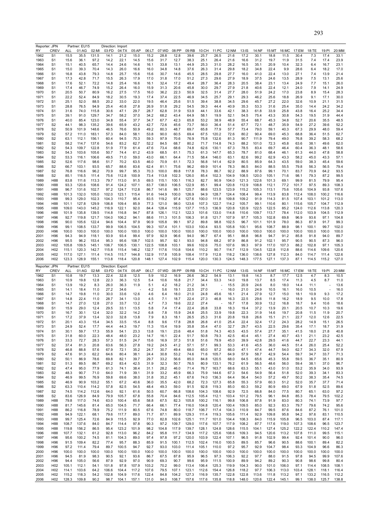|                                                                                                                                                                                                                                                                                                                                                      | Reporter: JPN                      |                | Partner: EU15  |                | Direction: Import |                |               |               |                |                |                |                |                |                |                |                |                |               |                |                |                          |                |
|------------------------------------------------------------------------------------------------------------------------------------------------------------------------------------------------------------------------------------------------------------------------------------------------------------------------------------------------------|------------------------------------|----------------|----------------|----------------|-------------------|----------------|---------------|---------------|----------------|----------------|----------------|----------------|----------------|----------------|----------------|----------------|----------------|---------------|----------------|----------------|--------------------------|----------------|
| RY<br>1962                                                                                                                                                                                                                                                                                                                                           | <b>CREV</b><br>S <sub>1</sub>      | ALL<br>15.5    | 01:AG<br>35.5  | 02:MI<br>131.5 | 03:FD<br>14.1     | 04:TX<br>21.2  | 05:AP<br>15.0 | 06:LT<br>15.2 | 07:WD<br>28.8  | 08:PP<br>12.8  | 09:RB<br>39.6  | 10:CH<br>25.7  | 11:PC<br>26.5  | 12:NM<br>21.6  | 13:IS<br>17.2  | 14:NF<br>30.1  | 15:MT<br>18.8  | 16:MC<br>11.5 | 17:EM<br>30.4  | 18:TE<br>7.3   | 19:PI<br>17.4            | 20:MM<br>33.1  |
| 1963                                                                                                                                                                                                                                                                                                                                                 | S <sub>1</sub>                     | 15.6           | 36.1           | 97.2           | 14.2              | 22.1           | 14.5          | 15.6          | 31.7           | 12.7           | 38.3           | 25.1           | 26.4           | 21.6           | 16.6           | 31.2           | 19.7           | 11.9          | 31.5           | 7.4            | 17.4                     | 23.9           |
| 1964                                                                                                                                                                                                                                                                                                                                                 | S <sub>1</sub>                     | 15.1           | 40.5           | 65.7           | 14.4              | 24.6           | 14.6          | 16.1          | 33.8           | 13.1           | 44.9           | 25.3           | 31.0           | 28.2           | 16.5           | 35.1           | 20.9           | 10.4          | 32.3           | 6.4            | 16.7                     | 23.1           |
| 1965                                                                                                                                                                                                                                                                                                                                                 | S <sub>1</sub>                     | 15.0           | 39.3           | 70.4           | 14.3              | 26.0           | 16.6          | 16.0          | 34.8           | 14.8           | 37.6           | 26.3           | 31.4           | 29.8           | 18.2           | 34.8           | 22.4           | 9.9           | 28.6           | 6.4            | 18.2                     | 17.0           |
| 1966                                                                                                                                                                                                                                                                                                                                                 | S <sub>1</sub>                     | 16.8           | 43.8           | 79.3           | 14.8              | 25.7           | 15.6          | 15.6          | 30.7           | 14.6           | 45.5           | 28.5           | 29.8           | 27.7           | 16.0           | 41.0           | 22.4           | 13.0          | 27.1           | 7.4            | 13.9                     | 21.4           |
| 1967                                                                                                                                                                                                                                                                                                                                                 | S <sub>1</sub>                     | 17.3           | 42.8           | 71.7           | 15.5              | 26.3           | 17.9          | 17.0          | 31.8           | 17.0           | 51.2           | 27.3           | 29.6           | 27.9           | 18.9           | 37.5           | 24.6           | 13.5          | 28.9           | 7.5            | 13.1                     | 25.6           |
| 1968<br>1969                                                                                                                                                                                                                                                                                                                                         | S <sub>1</sub><br>S <sub>1</sub>   | 17.6<br>17.4   | 52.1<br>46.7   | 72.2<br>74.9   | 14.8<br>15.2      | 25.4<br>26.4   | 16.6<br>16.0  | 16.1<br>15.9  | 32.4<br>31.3   | 17.2<br>20.6   | 49.4<br>45.8   | 28.7<br>30.0   | 36.4<br>29.7   | 28.3<br>27.9   | 20.5<br>21.8   | 38.4<br>40.6   | 23.1<br>22.4   | 13.4<br>12.1  | 24.9<br>24.0   | 7.7<br>7.9     | 15.1<br>14.1             | 26.0<br>24.9   |
| 1970                                                                                                                                                                                                                                                                                                                                                 | S <sub>1</sub>                     | 20.5           | 50.7           | 80.9           | 16.2              | 27.5           | 17.5          | 16.0          | 36.2           | 22.3           | 50.9           | 32.5           | 31.4           | 27.7           | 28.0           | 51.9           | 24.2           | 17.0          | 23.8           | 8.9            | 15.4                     | 28.3           |
| 1971                                                                                                                                                                                                                                                                                                                                                 | S <sub>1</sub>                     | 22.2           | 52.4           | 84.9           | 18.2              | 30.5           | 19.3          | 17.4          | 37.4           | 22.5           | 46.9           | 34.5           | 25.7           | 29.1           | 29.3           | 46.2           | 25.6           | 18.8          | 26.9           | 9.1            | 17.1                     | 30.0           |
| 1972                                                                                                                                                                                                                                                                                                                                                 | S <sub>1</sub>                     | 25.1           | 52.0           | 88.5           | 20.2              | 33.0           | 22.0          | 19.5          | 46.4           | 25.6           | 51.5           | 39.4           | 38.8           | 34.5           | 29.6           | 45.7           | 27.2           | 22.0          | 32.6           | 10.9           | 21.1                     | 31.5           |
| 1973                                                                                                                                                                                                                                                                                                                                                 | S <sub>1</sub>                     | 28.8           | 76.5           | 94.9           | 25.4              | 40.8           | 27.8          | 26.9          | 51.8           | 29.2           | 54.5           | 39.3           | 44.4           | 40.9           | 35.3           | 53.3           | 31.6           | 25.4          | 35.0           | 14.4           | 24.2                     | 34.2           |
| 1974                                                                                                                                                                                                                                                                                                                                                 | S <sub>1</sub>                     | 31.6           | 74.0           | 115.8          | 30.6              | 47.1           | 29.7          | 28.7          | 62.8           | 31.9           | 53.9           | 44.1           | 33.6           | 42.1           | 38.3           | 61.8           | 33.9           | 25.8          | 43.8           | 16.4           | 25.2                     | 34.4           |
| 1975                                                                                                                                                                                                                                                                                                                                                 | S <sub>1</sub>                     | 39.1           | 91.0           | 129.7          | 34.7              | 58.2           | 37.0          | 34.2          | 68.2           | 43.4           | 64.9           | 58.1           | 19.9           | 52.1           | 54.5           | 75.4           | 43.3           | 30.8          | 54.3           | 19.5           | 31.9                     | 44.4           |
| 1976                                                                                                                                                                                                                                                                                                                                                 | S <sub>1</sub>                     | 40.0           | 85.4           | 123.0          | 34.8              | 55.4           | 37.7          | 34.7          | 67.7           | 42.3           | 65.8           | 53.2           | 38.9           | 48.9           | 55.4           | 68.7           | 45.3           | 34.8          | 52.7           | 20.6           | 35.5                     | 48.5           |
| 1977                                                                                                                                                                                                                                                                                                                                                 | S <sub>2</sub>                     | 44.1           | 98.3           | 135.2          | 39.6              | 65.9           | 43.2          | 42.7          | 72.6           | 45.6           | 73.7           | 56.0           | 36.4           | 51.4           | 67.7           | 72.1           | 48.7           | 35.9          | 54.9           | 27.2           | 39.6                     | 52.2           |
| 1978                                                                                                                                                                                                                                                                                                                                                 | S <sub>2</sub>                     | 50.9           | 101.9          | 148.6          | 46.5              | 76.6           | 50.9          | 49.2          | 80.3           | 48.7           | 69.7           | 65.8           | 77.9           | 57.7           | 73.4           | 79.0           | 59.1           | 40.3          | 67.3           | 29.9           | 48.0                     | 59.4           |
| 1979                                                                                                                                                                                                                                                                                                                                                 | S <sub>2</sub>                     | 57.2           | 111.0          | 183.1          | 57.3              | 84.0           | 58.1          | 53.8          | 90.0           | 60.5           | 69.4           | 67.5           | 120.2          | 72.6           | 80.2           | 90.4           | 69.0           | 45.3          | 68.8           | 36.4           | 51.5                     | 62.7           |
| 1980<br>1981                                                                                                                                                                                                                                                                                                                                         | S <sub>2</sub><br>S <sub>2</sub>   | 63.1<br>58.2   | 112.1<br>114.7 | 156.1<br>137.6 | 60.4<br>54.6      | 94.5<br>83.2   | 70.3<br>62.7  | 59.3<br>52.2  | 97.9<br>84.5   | 70.6<br>68.7   | 76.9<br>80.2   | 75.8<br>71.7   | 132.6<br>114.8 | 81.3<br>74.3   | 90.7<br>88.2   | 111.9<br>101.0 | 79.4<br>72.3   | 49.0<br>45.8  | 76.8<br>63.6   | 39.2<br>38.1   | 58.3<br>49.6             | 68.2<br>62.0   |
| 1982                                                                                                                                                                                                                                                                                                                                                 | S <sub>2</sub>                     | 54.3           | 109.7          | 122.8          | 51.9              | 77.9           | 61.4          | 47.6          | 73.4           | 68.6           | 74.8           | 62.6           | 130.1          | 67.3           | 78.5           | 83.4           | 69.7           | 46.4          | 60.4           | 36.3           | 48.1                     | 58.6           |
| 1983                                                                                                                                                                                                                                                                                                                                                 | S <sub>2</sub>                     | 54.3           | 103.6          | 105.6          | 50.7              | 74.4           | 61.2          | 43.9          | 68.5           | 61.1           | 75.3           | 61.3           | 147.7          | 65.3           | 78.7           | 81.0           | 68.4           | 46.1          | 61.3           | 44.0           | 47.8                     | 58.8           |
| 1984                                                                                                                                                                                                                                                                                                                                                 | S <sub>2</sub>                     | 53.3           | 116.1          | 106.6          | 49.5              | 71.0           | 59.0          | 43.0          | 66.1           | 64.4           | 71.5           | 58.4           | 146.0          | 63.1           | 82.6           | 99.2           | 62.9           | 43.3          | 58.2           | 45.0           | 43.3                     | 57.1           |
| 1985                                                                                                                                                                                                                                                                                                                                                 | S <sub>2</sub>                     | 52.6           | 117.6          | 98.6           | 51.7              | 70.2           | 63.5          | 46.0          | 70.9           | 61.1           | 72.3           | 56.8           | 141.4          | 62.9           | 80.5           | 85.9           | 64.3           | 43.5          | 59.0           | 38.3           | 45.4                     | 59.6           |
| 1986                                                                                                                                                                                                                                                                                                                                                 | S <sub>2</sub>                     | 66.7           | 103.1          | 93.5           | 65.7              | 88.6           | 83.6          | 62.4          | 81.1           | 75.6           | 96.2           | 69.9           | 101.4          | 78.3           | 86.5           | 84.0           | 88.5           | 55.5          | 79.8           | 56.3           | 56.5                     | 79.4           |
| 1987                                                                                                                                                                                                                                                                                                                                                 | S <sub>2</sub>                     | 76.8           | 116.6          | 96.2           | 70.9              | 99.7           | 95.3          | 70.3          | 100.0          | 89.8           | 117.8          | 78.3           | 86.7           | 92.2           | 88.9           | 87.6           | 99.1           | 70.1          | 83.7           | 70.9           | 64.2                     | 93.5           |
| 1988                                                                                                                                                                                                                                                                                                                                                 | S2                                 | 85.1           | 116.5          | 111.4          | 75.6              | 112.8          | 100.9         | 73.4          | 113.8          | 102.3          | 126.0          | 85.4           | 102.3          | 104.9          | 108.5          | 120.0          | 105.1          | 71.6          | 98.1           | 79.3           | 87.2                     | 99.5           |
| 1989                                                                                                                                                                                                                                                                                                                                                 | H88                                | 83.8           | 111.6          | 113.3          | 79.7              | 113.0          | 91.5          | 69.5          | 115.1          | 100.1          | 116.3          | 82.7           | 90.9           | 104.0          | 121.3          | 122.6          | 101.3          | 69.1          | 99.9           | 81.5           | 79.9                     | 95.4           |
| 1990                                                                                                                                                                                                                                                                                                                                                 | H88                                | 93.3           | 120.6          | 108.6          | 91.4              | 124.2          | 107.1         | 83.7          | 138.0          | 106.5          | 122.9          | 85.1           | 99.4           | 120.8          | 112.9          | 108.8          | 112.1          | 77.2          | 101.7          | 97.5           | 89.3                     | 108.3          |
| 1991                                                                                                                                                                                                                                                                                                                                                 | H88                                | 96.7           | 131.6          | 102.7          | 97.2              | 124.7          | 112.8         | 86.7          | 141.6          | 99.1           | 125.7          | 88.6           | 123.5          | 123.9          | 115.2          | 105.3          | 113.1          | 75.6          | 105.6          | 104.9          | 93.8                     | 107.6          |
| 1992                                                                                                                                                                                                                                                                                                                                                 | H88                                | 101.3          | 132.0          | 105.0          | 102.0             | 123.1          | 115.4         | 91.6          | 144.9          | 100.0          | 126.9          | 94.9           | 128.7          | 124.4          | 108.4          | 99.4           | 113.9          | 83.8          | 112.4          | 108.0          | 100.2                    | 116.6          |
| 1993                                                                                                                                                                                                                                                                                                                                                 | H88                                | 99.3           | 129.0          | 102.3          | 104.3             | 110.7          | 95.4          | 83.5          | 119.2          | 97.4           | 127.6          | 100.0          | 111.8          | 109.8          | 109.2          | 91.9           | 114.3          | 81.5          | 107.4          | 103.1          | 101.2                    | 113.0          |
| 1994                                                                                                                                                                                                                                                                                                                                                 | H88                                | 101.1          | 127.8          | 129.9          | 106.8             | 109.4          | 85.9          | 77.3          | 121.0          | 98.0           | 123.6          | 107.3          | 122.7          | 114.2          | 105.7          | 99.1           | 110.6          | 80.1          | 115.6          | 105.7          | 104.7                    | 112.9          |
| 1995<br>1996                                                                                                                                                                                                                                                                                                                                         | H88<br>H88                         | 109.0<br>101.9 | 143.0<br>135.8 | 145.2<br>139.5 | 116.9<br>114.8    | 122.1<br>116.8 | 92.0<br>94.7  | 84.4<br>87.8  | 128.4<br>126.1 | 115.9<br>112.1 | 137.7<br>122.3 | 115.3<br>101.6 | 136.9<br>133.0 | 120.8<br>114.8 | 120.9<br>110.6 | 122.5<br>109.7 | 122.5<br>113.7 | 85.2<br>78.4  | 124.0<br>112.0 | 112.6<br>103.9 | 113.8<br>104.5           | 120.3<br>112.9 |
| 1997                                                                                                                                                                                                                                                                                                                                                 | H96                                | 92.7           | 119.8          | 121.7          | 104.0             | 106.2          | 94.1          | 88.6          | 111.3          | 101.5          | 106.3          | 91.8           | 121.7          | 107.9          | 97.7           | 105.3          | 102.8          | 69.8          | 96.9           | 93.6           | 97.1                     | 104.8          |
| 1998                                                                                                                                                                                                                                                                                                                                                 | H96                                | 90.0           | 105.6          | 122.4          | 94.6              | 104.4          | 97.9          | 90.9          | 105.8          | 99.1           | 97.2           | 89.8           | 98.8           | 102.5          | 96.7           | 101.1          | 101.9          | 78.0          | 86.3           | 87.9           | 91.7                     | 99.3           |
| 1999                                                                                                                                                                                                                                                                                                                                                 | H96                                | 99.1           | 108.5          | 133.7          | 99.9              | 106.5          | 104.5         | 99.3          | 107.4          | 101.1          | 103.0          | 100.4          | 93.5           | 105.8          | 100.1          | 95.6           | 108.7          | 88.9          | 98.1           | 100.1          | 99.7                     | 102.0          |
| 2000                                                                                                                                                                                                                                                                                                                                                 | H <sub>96</sub>                    | 100.0          | 100.0          | 100.0          | 100.0             | 100.0          | 100.0         | 100.0         | 100.0          | 100.0          | 100.0          | 100.0          | 100.0          | 100.0          | 100.0          | 100.0          | 100.0          | 100.0         | 100.0          | 100.0          | 100.0                    | 100.0          |
| 2001                                                                                                                                                                                                                                                                                                                                                 | H96                                | 94.3           | 94.9           | 118.1          | 93.9              | 93.4           | 99.4          | 97.9          | 92.9           | 96.6           | 94.0           | 96.7           | 67.4           | 95.1           | 88.8           | 96.8           | 94.7           | 91.2          | 85.8           | 91.8           | 94.0                     | 89.7           |
| 2002                                                                                                                                                                                                                                                                                                                                                 | H96                                | 95.5           | 96.2           | 153.4          | 95.3              | 95.6           | 108.7         | 102.5         | 95.7           | 92.1           | 93.0           | 94.8           | 68.2           | 97.9           | 86.8           | 91.2           | 102.1          | 95.7          | 90.5           | 90.5           | 87.3                     | 96.0           |
| 2003                                                                                                                                                                                                                                                                                                                                                 | H <sub>02</sub>                    | 105.8          | 109.5          | 145.1          | 106.7             | 106.5          | 130.1         | 122.5         | 108.8          | 103.1          | 99.6           | 102.6          | 75.0           | 107.6          | 99.3           | 97.9           | 117.0          | 107.3         | 88.2           | 102.8          | 97.1                     | 105.3          |
| 2004                                                                                                                                                                                                                                                                                                                                                 | H <sub>02</sub>                    | 115.1          | 120.3          | 142.7          | 115.8             | 115.4          | 146.2         | 132.7         | 117.6          | 110.8          | 104.6          | 110.2          | 90.7           | 114.7          | 112.9          | 134.5          | 122.8          | 112.8         | 88.6           | 114.6          | 109.6                    | 120.6          |
| 2005                                                                                                                                                                                                                                                                                                                                                 | H <sub>02</sub><br>H <sub>02</sub> | 117.0<br>123.3 | 127.1<br>128.9 | 111.4          | 114.5             | 115.7          | 144.8         | 132.9         | 117.8          | 105.9          | 108.4          | 117.9          | 112.8          | 118.2          | 136.0          | 138.6          | 127.8          | 112.3         | 84.0           | 114.7          | 111.4                    | 122.6          |
| 2006                                                                                                                                                                                                                                                                                                                                                 |                                    |                |                |                |                   |                |               |               |                |                |                |                |                |                |                |                |                |               |                |                |                          |                |
|                                                                                                                                                                                                                                                                                                                                                      |                                    |                |                | 155.1          | 113.8             | 118.4          | 120.8         | 148.1         | 127.4          | 102.9          | 115.4          | 120.0          | 130.3          | 124.5          | 148.3          | 177.5          | 127.1          | 137.3         | 87.1           | 114.5          | 115.2                    | 127.0          |
|                                                                                                                                                                                                                                                                                                                                                      | Reporter: JPN                      |                | Partner: EU15  |                | Direction: Export |                |               |               |                |                |                |                |                |                |                |                |                |               |                |                |                          |                |
|                                                                                                                                                                                                                                                                                                                                                      | CREV                               | ALL            | 01:AG          | 02:MI          | 03:FD             | 04:TX          | 05:AP         | 06:LT         | 07:WD          | 08:PP          | 09:RB          | 10:CH          | 11:PC          | 12:NM          | $13:$ IS       | 14:NF          | 15:MT          | 16:MC         | 17:EM          | 18:TE          | 19:PI                    |                |
| RY<br>1962                                                                                                                                                                                                                                                                                                                                           | S <sub>1</sub>                     | 10.8           | 19.7           | 13.3           | 22.4              | 32.8           | 12.5          | 5.9           | 10.2           | 16.9           | 26.6           | 36.2           | 54.9           | 13.1           | 19.8           | 14.3           | 8.7            | 17.7          | 12.5           | 4.7            | 8.3                      | 10.5           |
|                                                                                                                                                                                                                                                                                                                                                      | S <sub>1</sub>                     | 10.9           | 19.8           | 12.8           | 22.3              | 36.3           | 12.5          | 5.4           | 10.6           | 16.8           | 21.7           | 34.4           | 53.3           | 14.0           | 19.8           | 13.7           | 8.5            | 17.4          | 11.3           | 4.5            | 8.7                      | 11.0           |
|                                                                                                                                                                                                                                                                                                                                                      | S <sub>1</sub><br>S <sub>1</sub>   | 13.9<br>14.1   | 19.2<br>18.4   | 8.3<br>11.0    | 26.0<br>27.2      | 36.3<br>34.6   | 11.9          | 5.1<br>4.2    | 4.2<br>5.6     | 18.2<br>19.1   | 21.2<br>22.5   | 34.1<br>27.0   |                | 15.5<br>16.0   | 20.9<br>21.0   | 24.6<br>24.9   | 8.0<br>10.5    | 18.0<br>16.1  | 14.4<br>16.0   | 11.1<br>10.5   | $\overline{\phantom{a}}$ | 13.6<br>16.0   |
|                                                                                                                                                                                                                                                                                                                                                      | S <sub>1</sub>                     | 14.7           | 19.8           | 11.0           | 30.0              | 33.6           | 12.6          | 4.6           | 6.4            | 18.0           | 21.0           | 24.8           | 45.6           | 16.1           | 21.4           | 27.9           | 12.7           | 15.0          | 18.1           | 10.9           | 9.3                      | 17.2           |
|                                                                                                                                                                                                                                                                                                                                                      | S <sub>1</sub>                     | 14.8           | 22.4           | 11.0           | 28.7              | 34.1           | 13.0          | 4.5           | 7.1            | 18.7           | 22.4           | 27.3           | 46.8           | 16.3           | 22.5           | 29.6           | 11.8           | 16.2          | 18.9           | 9.5            | 10.0                     | 17.8           |
|                                                                                                                                                                                                                                                                                                                                                      | S <sub>1</sub>                     | 14.7           | 27.0           | 12.8           | 27.0              | 33.7           | 13.2          | 4.7           | 7.3            | 19.6           | 22.2           | 27.4           |                | 16.7           | 17.8           | 30.9           | 13.2           | 16.8          | 18.7           | 9.4            | 10.6                     | 18.6           |
|                                                                                                                                                                                                                                                                                                                                                      | S <sub>1</sub>                     | 15.9           | 29.0           | 12.4           | 29.5              | 33.1           | 13.5          | 5.8           | 7.4            | 17.4           | 22.4           | 26.8           | 33.8           | 18.3           | 19.4           | 37.2           | 13.9           | 20.1          | 20.5           | 10.7           | 10.3                     | 19.6           |
|                                                                                                                                                                                                                                                                                                                                                      | S <sub>1</sub>                     | 16.7           | 30.1           | 12.4           | 32.0              | 32.2           | 14.2          | 6.8           | 7.8            | 15.9           | 24.8           | 25.5           | 33.9           | 19.8           | 22.3           | 31.9           | 14.6           | 19.7          | 20.8           | 11.5           | 11.9                     | 20.7           |
|                                                                                                                                                                                                                                                                                                                                                      | 51                                 | 17.2           | 37.9           | 13.4           | 32.U              | 32.8           | 13.8          | 7.9           | 8.3            | 18.1           | 26.5           | 25.3           | 31.6           | 20.8           | 19.8           | 26.6           | 15.1           | 21.1          | 22. I          | 12.0           | 12.6                     | 22.5           |
|                                                                                                                                                                                                                                                                                                                                                      | S <sub>1</sub>                     | 20.1           | 43.3           | 15.4           | 34.5              | 33.5           | 15.4          | 8.8           | 9.6            | 17.8           | 28.8           | 26.8           | 41.0           | 25.4           | 22.4           | 32.4           | 17.2           | 24.3          | 28.2           | 14.9           | 15.1                     | 26.5           |
|                                                                                                                                                                                                                                                                                                                                                      | S <sub>1</sub>                     | 24.9           | 52.4           | 17.7           | 44.4              | 44.3           | 19.7          | 11.3          | 15.4           | 19.9           | 35.8           | 35.4           | 47.0           | 32.7           | 29.7           | 43.5           | 22.5           | 29.6          | 35.4           | 17.1           | 18.7                     | 31.9           |
|                                                                                                                                                                                                                                                                                                                                                      | S <sub>1</sub>                     | 30.1           | 59.7           | 17.3           | 55.9              | 54.1           | 23.3          | 13.8          | 19.1           | 23.6           | 48.4           | 51.8           | 74.3           | 40.5           | 43.5           | 57.4           | 27.7           | 35.1          | 41.5           | 18.0           | 21.8                     | 40.8           |
|                                                                                                                                                                                                                                                                                                                                                      | S <sub>1</sub><br>S <sub>1</sub>   | 31.8<br>33.3   | 60.0<br>72.7   | 22.3<br>28.3   | 48.4<br>57.3      | 48.0<br>51.5   | 23.2<br>24.7  | 14.7<br>15.6  | 16.1<br>16.9   | 22.4<br>37.3   | 51.7<br>51.8   | 50.8<br>51.6   | 79.3<br>79.9   | 42.5<br>45.0   | 40.4<br>39.9   | 45.1<br>42.8   | 27.4<br>29.5   | 40.7<br>41.6  | 43.1<br>44.7   | 21.1<br>22.7   | 23.2<br>23.3             | 42.5<br>44.1   |
|                                                                                                                                                                                                                                                                                                                                                      | S <sub>2</sub>                     | 37.4           | 81.3           | 20.8           | 63.6              | 56.3           | 27.8          | 19.2          | 24.5           | 41.2           | 57.1           | 57.1           | 99.3           | 53.3           | 41.6           | 45.5           | 36.0           | 44.5          | 51.4           | 26.0           | 25.4                     | 52.2           |
|                                                                                                                                                                                                                                                                                                                                                      | S <sub>2</sub>                     | 46.8           | 88.8           | 57.6           | 67.9              | 72.1           | 35.2          | 24.7          | 30.7           | 49.4           | 68.0           | 65.0           | 97.2           | 66.0           | 47.1           | 47.4           | 44.7           | 54.0          | 62.7           | 34.3           | 32.0                     | 67.9           |
|                                                                                                                                                                                                                                                                                                                                                      | S <sub>2</sub>                     | 47.6           | 91.3           | 62.2           | 64.6              | 80.4           | 38.1          | 24.4          | 30.8           | 53.2           | 74.6           | 71.6           | 105.7          | 64.9           | 57.9           | 58.7           | 42.9           | 54.4          | 59.7           | 34.7           | 33.7                     | 71.3           |
|                                                                                                                                                                                                                                                                                                                                                      | S <sub>2</sub>                     | 50.1           | 86.9           | 78.6           | 69.8              | 82.1           | 39.7          | 29.7          | 33.2           | 56.6           | 85.0           | 84.8           | 120.5          | 68.0           | 64.5           | 65.6           | 45.3           | 55.8          | 59.5           | 36.7           | 35.1                     | 80.9           |
|                                                                                                                                                                                                                                                                                                                                                      | S <sub>2</sub>                     | 51.3           | 89.5           | 86.7           | 69.2              | 83.4           | 42.5          | 31.9          | 32.3           | 50.7           | 76.5           | 80.9           | 133.1          | 76.2           | 61.9           | 56.5           | 48.6           | 56.0          | 59.4           | 38.1           | 37.0                     | 96.7           |
|                                                                                                                                                                                                                                                                                                                                                      | S <sub>2</sub>                     | 47.4           | 95.0           | 77.9           | 61.3              | 74.1           | 38.4          | 31.1          | 28.2           | 46.0           | 71.4           | 76.7           | 163.7          | 68.6           | 63.3           | 55.1           | 43.0           | 51.0          | 53.2           | 35.9           | 34.0                     | 93.9           |
|                                                                                                                                                                                                                                                                                                                                                      | S <sub>2</sub>                     | 48.3           | 90.7           | 71.0           | 64.0              | 71.9           | 39.1          | 31.9          | 33.2           | 45.9           | 66.3           | 75.9           | 144.6          | 67.3           | 54.6           | 54.9           | 56.4           | 51.8          | 52.0           | 39.3           | 34.1                     | 83.3           |
|                                                                                                                                                                                                                                                                                                                                                      | S <sub>2</sub>                     | 46.9           | 99.5           | 76.9           | 59.8              | 69.6           | 38.0          | 31.8          | 35.2           | 45.1           | 67.6           | 74.0           | 136.3          | 64.4           | 56.4           | 54.0           | 57.2           | 49.7          | 50.2           | 38.3           | 35.4                     | 74.5           |
|                                                                                                                                                                                                                                                                                                                                                      | S <sub>2</sub>                     | 46.9           | 90.9           | 103.2          | 55.1              | 67.2           | 40.6          | 36.0          | 35.5           | 42.0<br>59.0   | 68.2           | 72.3<br>92.8   | 127.3          | 65.8           | 55.3<br>60.3   | 57.9           | 60.3<br>80.9   | 51.2          | 52.0<br>67.9   | 35.7           | 37.7<br>52.5             | 71.4           |
|                                                                                                                                                                                                                                                                                                                                                      | S <sub>2</sub><br>S <sub>2</sub>   | 63.3<br>74.5   | 110.4<br>114.2 | 114.2<br>112.6 | 57.8<br>64.0      | 82.5<br>92.1   | 54.5<br>61.6  | 48.4<br>50.5  | 49.3<br>60.7   | 66.8           | 91.5<br>108.6  | 104.3          | 119.3<br>108.6 | 85.0<br>92.9   | 72.5           | 59.2<br>66.8   | 84.0           | 69.0<br>77.5  | 80.7           | 51.8<br>65.1   | 63.0                     | 89.6<br>97.2   |
|                                                                                                                                                                                                                                                                                                                                                      | S <sub>2</sub>                     | 83.6           | 126.9          | 84.9           | 79.9              | 105.7          | 67.8          | 55.8          | 70.4           | 84.6           | 112.5          | 105.4          | 112.1          | 103.4          | 101.2          | 79.5           | 96.1           | 84.8          | 85.3           | 78.4           | 79.5                     | 102.2          |
|                                                                                                                                                                                                                                                                                                                                                      | H88                                | 79.8           | 117.0          | 74.6           | 63.0              | 100.4          | 65.6          | 58.8          | 67.5           | 82.3           | 105.8          | 100.2          | 116.1          | 99.8           | 106.8          | 87.8           | 91.9           | 83.0          | 80.3           | 74.1           | 73.9                     | 97.7           |
|                                                                                                                                                                                                                                                                                                                                                      | H88                                | 81.7           | 145.6          | 81.4           | 65.0              | 104.5          | 71.7          | 66.4          | 66.1           | 77.4           | 116.0          | 104.8          | 120.4          | 100.4          | 109.5          | 85.0           | 92.3           | 83.3          | 79.7           | 79.6           | 74.2                     | 95.6           |
|                                                                                                                                                                                                                                                                                                                                                      | <b>H88</b>                         | 86.2           | 116.8          | 78.9           | 75.2              | 111.9          | 80.5          | 67.6          | 74.8           | 80.0           | 118.7          | 106.7          | 117.4          | 104.3          | 110.9          | 84.7           | 99.5           | 87.6          | 84.6           | 87.2           | 76.1                     | 101.0          |
|                                                                                                                                                                                                                                                                                                                                                      | H88                                | 94.9           | 122.1          | 68.1           | 79.6              | 117.7          | 89.0          | 71.7          | 87.1           | 89.9           | 129.3          | 111.4          | 119.3          | 105.6          | 111.4          | 92.9           | 109.8          | 95.8          | 94.2           | 97.6           | 83.1                     | 110.5          |
|                                                                                                                                                                                                                                                                                                                                                      | H88                                | 99.7           | 125.4          | 72.6           | 84.9              | 115.5          | 92.9          | 77.0          | 82.8           | 102.6          | 125.1          | 111.7          | 101.0          | 104.4          | 108.3          | 84.0           | 115.9          | 105.8         | 96.5           | 103.0          | 87.4                     | 117.1          |
|                                                                                                                                                                                                                                                                                                                                                      | H88                                | 108.7          | 137.6          | 84.0           | 84.7              | 114.4          | 97.8          | 90.3          | 97.2           | 109.7          | 129.0          | 117.6          | 107.7          | 117.9          | 108.2          | 87.7           | 117.6          | 119.0         | 107.3          | 108.6          | 96.5                     | 123.7          |
|                                                                                                                                                                                                                                                                                                                                                      | H88                                | 119.8          | 156.2          | 86.5           | 95.4              | 123.2          | 101.9         | 98.2          | 104.8          | 117.9          | 139.7          | 128.1          | 124.8          | 128.6          | 115.5          | 104.1          | 127.4          | 125.2         | 122.2          | 122.4          | 110.2                    | 147.4          |
|                                                                                                                                                                                                                                                                                                                                                      | H88                                | 107.7          | 132.1          | 61.2           | 92.8              | 113.0          | 96.2          | 84.2          | 95.8           | 111.7          | 134.9          | 117.2          | 125.6          | 108.6          | 109.3          | 94.5           | 120.6          | 113.2         | 107.8          | 111.0          | 99.5                     | 115.1          |
|                                                                                                                                                                                                                                                                                                                                                      | H96                                | 95.6           | 100.2          | 74.5           | 81.1              | 104.3          | 89.0          | 97.4          | 97.8           | 97.2           | 120.0          | 103.9          | 122.4          | 107.1          | 96.5           | 91.8           | 102.9          | 99.4          | 92.4           | 101.4          | 90.0                     | 96.0           |
|                                                                                                                                                                                                                                                                                                                                                      | H96                                | 91.5           | 109.4          | 82.2           | 77.4              | 95.7           | 88.3          | 85.9          | 91.5           | 100.1          | 112.5          | 102.4          | 116.0          | 100.5          | 89.5           | 85.7           | 96.6           | 90.5          | 88.6           | 100.1          | 89.4                     | 82.2           |
|                                                                                                                                                                                                                                                                                                                                                      | H96                                | 97.2           | 111.4          | 79.4           | 89.7              | 100.5          | 94.7          | 92.7          | 93.0           | 103.0          | 111.4          | 105.1          | 110.0          | 97.2           | 95.7           | 92.9           | 104.7          | 98.4          | 93.3           | 104.9          | 96.6                     | 86.3           |
|                                                                                                                                                                                                                                                                                                                                                      | H96                                | 100.0          | 100.0          | 100.0          | 100.0             | 100.0          | 100.0         | 100.0         | 100.0          | 100.0          | 100.0          | 100.0          | 100.0          | 100.0          | 100.0          | 100.0          | 100.0          | 100.0         | 100.0          | 100.0          | 100.0                    | 100.0          |
|                                                                                                                                                                                                                                                                                                                                                      | H96<br>H96                         | 94.5           | 81.9           | 98.3           | 90.5              | 92.1           | 93.6          | 86.7<br>90.9  | 67.5           | 87.8<br>90.7   | 95.9           | 96.5           | 97.3           | 106.3          | 92.2           | 97.7           | 88.0<br>89.2   | 91.5          | 97.8<br>90.8   | 94.5           | 99.9<br>99.8             | 107.6<br>80.4  |
|                                                                                                                                                                                                                                                                                                                                                      | H <sub>02</sub>                    | 94.4<br>105.1  | 105.0<br>112.1 | 56.6<br>54.1   | 87.9<br>101.8     | 92.9<br>97.8   | 97.0<br>107.9 | 103.2         | 69.3<br>70.2   | 99.0           | 99.6<br>113.4  | 95.9<br>106.4  | 111.5<br>125.3 | 100.9<br>119.9 | 89.9<br>104.3  | 94.2<br>90.0   | 101.0          | 90.3<br>106.0 | 97.1           | 98.6<br>114.4  | 108.5                    | 108.1          |
|                                                                                                                                                                                                                                                                                                                                                      | H <sub>02</sub>                    | 114.1          | 103.6          | 64.2           | 106.6             | 104.4          | 117.2         | 107.6         | 79.5           | 107.1          | 123.1          | 112.6          | 154.4          | 126.8          | 118.2          | 97.7           | 106.3          | 113.0         | 103.4          | 128.1          | 118.1                    | 116.4          |
| 1963<br>1964<br>1965<br>1966<br>1967<br>1968<br>1969<br>1970<br>1971<br>1972<br>1973<br>1974<br>1975<br>1976<br>1977<br>1978<br>1979<br>1980<br>1981<br>1982<br>1983<br>1984<br>1985<br>1986<br>1987<br>1988<br>1989<br>1990<br>1991<br>1992<br>1993<br>1994<br>1995<br>1996<br>1997<br>1998<br>1999<br>2000<br>2001<br>2002<br>2003<br>2004<br>2005 | H <sub>02</sub>                    | 115.2          | 118.3          | 54.2           | 102.8             | 104.9          | 117.6         | 122.4         | 84.8           | 104.2          | 127.3          | 116.9          | 135.7          | 122.8          | 122.8          | 113.6          | 111.8          | 113.2         | 97.1           | 133.2          | 116.5                    | 20:MM<br>112.2 |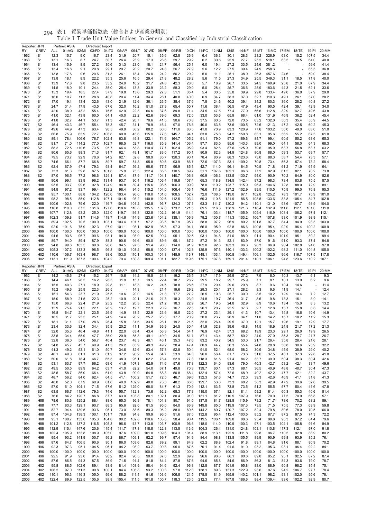|  | 294 | 表 1 |  | 貿易単価指数表(総合および産業分類別) |  |
|--|-----|-----|--|---------------------|--|
|--|-----|-----|--|---------------------|--|

| 16:MC 17:EM<br>12.3<br>31.9<br>62.8<br>36.3<br>30.1<br>28.3<br>23.2<br>326.9<br>63.0<br>15.2<br>34.4<br>S <sub>1</sub><br>15.7<br>9.0<br>16.7<br>23.4<br>20.7<br>15.1<br>35.6<br>26.9<br>6.4<br>107.5<br>1962<br>1963<br>S <sub>1</sub><br>13.1<br>16.3<br>8.7<br>24.7<br>30.7<br>26.4<br>23.9<br>17.3<br>28.6<br>59.7<br>29.2<br>6.2<br>30.6<br>25.9<br>27.7<br>25.2<br>518.1<br>63.5<br>16.5<br>64.0<br>40.0<br>1964<br>S <sub>1</sub><br>13.4<br>15.9<br>27.2<br>30.6<br>31.3<br>23.0<br>18.1<br>21.7<br>56.4<br>19.4<br>27.2<br>33.5<br>24.6<br>381.2<br>59.6<br>41.4<br>8.9<br>25.1<br>6.0<br>1965<br>S <sub>1</sub><br>13.4<br>16.8<br>9.1<br>20.8<br>29.1<br>29.7<br>20.2<br>20.7<br>24.8<br>56.7<br>27.9<br>5.6<br>12.2<br>27.5<br>39.4<br>24.9<br>258.3<br>65.5<br>36.8<br>1966<br>S <sub>1</sub><br>13.8<br>17.6<br>20.6<br>31.3<br>26.1<br>18.4<br>26.0<br>24.2<br>56.2<br>29.2<br>11.1<br>25.1<br>38.9<br>26.3<br>457.6<br>24.6<br>59.0<br>38.4<br>9.6<br>5.6<br>18.1<br>22.2<br>35.3<br>25.6<br>16.5<br>29.4<br>21.8<br>48.2<br>28.2<br>27.3<br>34.9<br>25.5<br>349.3<br>40.0<br>1967<br>S <sub>1</sub><br>13.8<br>8.9<br>5.6<br>11.5<br>31.1<br>18.5<br>71.8<br>42.3<br>13.9<br>17.8<br>23.5<br>35.2<br>24.9<br>16.2<br>31.7<br>24.8<br>28.0<br>5.7<br>18.9<br>26.7<br>33.5<br>24.5<br>169.9<br>25.8<br>21.0<br>67.9<br>34.4<br>1968<br>S <sub>1</sub><br>9.8<br>25.7<br>S <sub>1</sub><br>14.5<br>18.0<br>10.1<br>24.4<br>35.0<br>25.4<br>13.8<br>33.9<br>23.2<br>58.3<br>29.0<br>5.0<br>28.4<br>36.6<br>25.9<br>183.6<br>44.3<br>21.5<br>62.1<br>33.6<br>1969<br>1970<br>15.3<br>19.4<br>10.5<br>27.4<br>37.9<br>19.8<br>13.6<br>29.3<br>27.3<br>35.4<br>30.5<br>35.8<br>39.9<br>29.8<br>133.4<br>49.0<br>36.0<br>37.9<br>29.0<br>S <sub>1</sub><br>51.1<br>5.4<br>16.0<br>19.7<br>28.8<br>40.8<br>20.4<br>40.8<br>40.0<br>6.9<br>38.3<br>37.0<br>32.7<br>49.1<br>26.1<br>37.0<br>28.2<br>1971<br>S <sub>1</sub><br>11.3<br>11.4<br>34.4<br>26.1<br>34.7<br>110.3<br>27.2<br>17.0<br>19.1<br>32.6<br>43.0<br>21.9<br>12.6<br>36.1<br>26.5<br>38.4<br>37.6<br>24.6<br>40.2<br>39.1<br>34.2<br>80.3<br>36.0<br>28.2<br>40.8<br>1972<br>S <sub>1</sub><br>13.4<br>7.8<br>32.0<br>S <sub>1</sub><br>31.4<br>17.9<br>43.5<br>16.2<br>27.9<br>65.4<br>50.7<br>38.4<br>56.5<br>47.9<br>43.4<br>90.5<br>42.4<br>39.1<br>42.9<br>34.0<br>1973<br>24.7<br>67.6<br>51.0<br>11.6<br>42.9<br>32.9<br>1974<br>42.0<br>38.9<br>43.2<br>75.6<br>22.3<br>66.6<br>37.6<br>89.8<br>71.4<br>47.6<br>77.4<br>77.9<br>112.8<br>42.7<br>43.8<br>S <sub>1</sub><br>55.4<br>34.5<br>56.6<br>49.6<br>41.0<br>32.1<br>43.8<br>60.0<br>40.0<br>22.2<br>62.6<br>39.6<br>69.3<br>72.5<br>33.0<br>65.9<br>46.9<br>36.2<br>45.4<br>1975<br>S <sub>1</sub><br>64.1<br>53.6<br>68.4<br>61.0<br>131.9<br>52.4<br>72.0<br>41.8<br>32.7<br>53.7<br>71.3<br>42.4<br>26.7<br>70.6<br>41.5<br>90.6<br>70.8<br>37.5<br>60.5<br>73.5<br>63.2<br>132.0<br>50.3<br>35.4<br>55.9<br>44.5<br>1976<br>S <sub>1</sub><br>44.1<br>S <sub>2</sub><br>46.4<br>43.3<br>46.7<br>55.4<br>78.3<br>45.7<br>31.1<br>78.9<br>46.4<br>97.0<br>76.8<br>40.0<br>63.5<br>73.6<br>100.5<br>72.6<br>121.3<br>47.2<br>42.5<br>60.2<br>45.3<br>1977<br>49.6<br>44.9<br>47.3<br>90.5<br>49.9<br>36.2<br>88.2<br>60.0<br>111.0<br>83.5<br>70.9<br>83.3<br>120.9<br>77.6<br>103.2<br>50.0<br>49.0<br>63.0<br>51.0<br>1978<br>S <sub>2</sub><br>63.4<br>41.0<br>1979<br>S <sub>2</sub><br>75.9<br>63.9<br>72.7<br>106.8<br>60.0<br>45.6<br>115.9<br>145.7<br>94.1<br>75.6<br>94.2<br>150.8<br>83.1<br>95.6<br>56.2<br>55.2<br>67.3<br>61.0<br>66.8<br>77.6<br>63.8<br>97.2<br>S <sub>2</sub><br>89.1<br>78.4<br>106.6<br>76.7<br>102.4<br>63.8<br>49.8<br>122.1<br>74.6<br>164.7<br>105.2<br>91.1<br>79.0<br>169.6<br>84.7<br>99.4<br>60.5<br>55.2<br>68.6<br>65.3<br>1980<br>S <sub>2</sub><br>91.7<br>71.0<br>114.2<br>77.0<br>102.7<br>68.5<br>52.7<br>116.0<br>85.9<br>141.4<br>106.4<br>97.7<br>83.0<br>95.6<br>143.3<br>89.0<br>99.0<br>64.1<br>64.3<br>68.3<br>1981<br>58.0<br>S <sub>2</sub><br>88.2<br>72.5<br>110.6<br>73.5<br>95.7<br>66.4<br>53.8<br>110.4<br>77.7<br>102.4<br>95.9<br>93.4<br>82.6<br>87.6<br>125.9<br>79.6<br>95.9<br>63.7<br>63.2<br>1982<br>56.8<br>63.7<br>S <sub>2</sub><br>80.6<br>65.6<br>98.3<br>71.3<br>62.1<br>49.1<br>101.7<br>117.2<br>90.1<br>80.9<br>82.3<br>84.9<br>124.8<br>80.8<br>88.0<br>59.3<br>53.7<br>69.7<br>57.7<br>1983<br>91.7<br>83.0<br>70.6<br>62.1<br>123.6<br>S <sub>2</sub><br>79.5<br>73.7<br>92.9<br>94.2<br>52.8<br>98.9<br>85.7<br>120.3<br>90.1<br>78.4<br>80.9<br>88.3<br>73.0<br>88.3<br>58.7<br>54.4<br>73.3<br>57.1<br>1984<br>S <sub>2</sub><br>66.1<br>87.7<br>66.8<br>89.7<br>59.7<br>95.8<br>80.6<br>93.9<br>86.7<br>72.6<br>107.3<br>83.1<br>109.2<br>70.8<br>73.4<br>55.3<br>57.4<br>73.2<br>58.4<br>1985<br>74.6<br>51.8<br>62.4<br>67.9<br>47.4<br>79.3<br>93.4<br>56.2<br>98.6<br>77.5<br>96.9<br>85.1<br>42.7<br>114.0<br>96.1<br>61.2<br>71.9<br>61.9<br>64.1<br>1986<br>S <sub>2</sub><br>64.7<br>84.5<br>70.5<br>71.8<br>75.9<br>S <sub>2</sub><br>73.3<br>81.3<br>59.8<br>87.5<br>101.8<br>75.3<br>122.4<br>85.5<br>110.5<br>89.7<br>51.1<br>107.6<br>102.1<br>96.6<br>77.2<br>82.9<br>82.1<br>70.2<br>73.8<br>1987<br>61.5<br>133.5<br>82.6<br>S <sub>2</sub><br>87.0<br>96.5<br>77.2<br>98.6<br>124.1<br>87.4<br>87.9<br>111.7<br>104.1<br>140.7<br>106.8<br>60.9<br>106.3<br>130.7<br>94.0<br>90.9<br>70.2<br>84.9<br>80.0<br>1988<br>90.6<br>99.1<br>83.9<br>96.2<br>131.4<br>93.7<br>90.4<br>116.2<br>106.4<br>119.8<br>107.4<br>65.3<br>134.5<br>142.4<br>97.2<br>98.3<br>73.4<br>83.8<br>75.5<br>87.5<br>1989<br>H88<br>118.8<br>93.5<br>93.7<br>99.6<br>92.8<br>124.9<br>94.8<br>89.4<br>98.5<br>106.3<br>99.9<br>78.0<br>110.2<br>123.7<br>115.9<br>104.6<br>72.8<br>88.0<br>72.9<br>89.1<br>1990<br>H88<br>115.6<br>96.3<br>94.9<br>97.2<br>93.7<br>99.4<br>122.2<br>98.4<br>94.5<br>115.2<br>104.0<br>106.4<br>103.1<br>76.6<br>111.9<br>127.2<br>102.9<br>99.5<br>110.5<br>75.9<br>99.0<br>76.8<br>95.3<br>1991<br>H88<br>95.7<br>100.1<br>88.8<br>104.2<br>120.0<br>103.4<br>96.0<br>101.6<br>108.5<br>102.7<br>72.0<br>108.5<br>119.0<br>97.1<br>102.8<br>125.2<br>78.3<br>75.9<br>101.0<br>1992<br>H88<br>118.0<br>101.7<br>98.2<br>98.5<br>101.5<br>103.4<br>1993<br>H88<br>85.0<br>112.8<br>107.1<br>98.2<br>140.8<br>102.6<br>112.5<br>69.3<br>110.5<br>121.9<br>86.5<br>108.5<br>133.6<br>83.8<br>105.4<br>84.7<br>102.8<br>100.6<br>102.8<br>122.0<br>116.7<br>101.2<br>96.7<br>124.3<br>107.1<br>120.2<br>93.6<br>107.7<br>104.0<br>1994<br>H88<br>79.6<br>104.8<br>142.8<br>63.3<br>111.7<br>94.2<br>110.1<br>131.0<br>93.9<br>110.0<br>131.6<br>127.6<br>110.8<br>107.8<br>173.2<br>121.5<br>69.5<br>138.9<br>121.3<br>1995<br>H88<br>110.8<br>87.5<br>118.6<br>135.5<br>116.3<br>116.4<br>132.9<br>111.6<br>112.1<br>101.0<br>111.0<br>107.7<br>112.8<br>125.0<br>122.0<br>119.7<br>116.3<br>102.2<br>161.9<br>76.1<br>103.4<br>118.7<br>105.9<br>116.9<br>103.4<br>106.2<br>112.1<br>1996<br>H88<br>93.2<br>132.8<br>114.4<br>109.4<br>97.4<br>109.8<br>93.0<br>1997<br>H <sub>96</sub><br>102.3<br>91.7<br>114.6<br>118.7<br>114.6<br>114.9<br>123.6<br>104.2<br>138.1<br>106.9<br>79.2<br>100.7<br>111.3<br>103.2<br>106.7<br>107.8<br>101.9<br>98.9<br>115.1<br>89.4<br>102.5<br>100.0<br>103.1<br>103.4<br>101.7<br>93.5<br>107.9<br>95.7<br>97.2<br>96.9<br>89.2<br>97.7<br>94.9<br>103.0<br>1998<br>H <sub>96</sub><br>70.5<br>97.2<br>58.8<br>101.8<br>84.4<br>93.3<br>101.6<br>75.9<br>102.3<br>101.1<br>98.1<br>97.3<br>95.9<br>92.8<br>86.6<br>95.4<br>92.9<br>100.2<br>100.9<br>1999<br>H <sub>96</sub><br>92.0<br>97.9<br>102.9<br>98.3<br>94.1<br>66.0<br>100.5<br>96.4<br>100.0<br>100.0<br>100.0<br>100.0<br>100.0<br>100.0<br>100.0<br>100.0<br>100.0<br>100.0<br>100.0<br>100.0<br>100.0<br>2000<br>H <sub>96</sub><br>100.0<br>100.0<br>100.0<br>100.0<br>100.0<br>100.0<br>100.0<br>100.0<br>95.1<br>93.1<br>99.4<br>2001<br>H <sub>96</sub><br>94.6<br>93.6<br>96.7<br>90.6<br>93.1<br>94.0<br>98.9<br>92.5<br>90.4<br>92.5<br>94.8<br>81.0<br>88.0<br>91.4<br>90.4<br>101.9<br>95.1<br>89.2<br>89.4<br>90.6<br>89.6<br>95.1<br>87.2<br>87.2<br>82.1<br>83.9<br>87.0<br>91.0<br>93.3<br>87.4<br>94.8<br>2002<br>H <sub>96</sub><br>89.7<br>94.0<br>87.9<br>88.3<br>94.6<br>90.0<br>91.3<br>91.6<br>99.6<br>103.5<br>89.8<br>91.4<br>91.9<br>103.3<br>96.3<br>90.3<br>90.4<br>97.8<br>2003<br>H <sub>02</sub><br>94.8<br>90.8<br>94.5<br>97.3<br>96.0<br>114.0<br>102.8<br>92.8<br>96.9<br>102.8<br>94.6<br>105.3<br>107.2<br>103.2<br>137.4<br>102.3<br>125.9<br>97.6<br>102.2<br>98.2<br>105.0<br>2004<br>H <sub>02</sub><br>133.3<br>96.5<br>96.3<br>101.0<br>98.8<br>100.0<br>140.1<br>133.3<br>100.2<br>111.0<br>104.8<br>2005<br>H <sub>02</sub><br>110.6<br>106.7<br>163.4<br>98.7<br>98.6<br>103.0<br>110.1<br>100.3<br>101.8<br>145.9<br>113.7<br>148.1<br>103.1<br>160.8<br>149.4<br>106.1<br>102.5<br>96.6<br>116.7<br>107.5<br>117.8<br>100.4<br>79.4<br>130.8<br>175.1<br>159.1<br>106.1<br>107.1<br>2006<br>H <sub>02</sub><br>113.1<br>111.9<br>187.3<br>104.2<br>109.4<br>101.1<br>182.7<br>119.6<br>107.8<br>201.4<br>110.1<br>94.8<br>123.6<br>110.2<br>Reporter: JPN<br>Partner: ASIA<br>Direction:<br>Export<br><b>CREV</b><br>07:WD<br>08:PP<br>09:RB<br>10:CH<br>11:PC<br>16:MC<br>17:EM<br>19:PI<br>20:MM<br>ALL<br>01:AG<br>02:MI<br>03:FD<br>04:TX<br>05:AP<br>06:LT<br>12:NM<br>13:IS<br>14:NF<br>15:MT<br>18:TE<br>RY<br>27.2<br>14.2<br>45.6<br>27.4<br>15.2<br>10.6<br>14.2<br>16.5<br>21.8<br>19.2<br>26.5<br>31.7<br>17.9<br>29.9<br>7.9<br>10.3<br>13.7<br>9.3<br>1962<br>S <sub>1</sub><br>26.7<br>8.0<br>6.1<br>46.1<br>22.4<br>29.5<br>29.7<br>9.6<br>1963<br>S <sub>1</sub><br>14.4<br>26.5<br>16.2<br>28.5<br>11.9<br>15.7<br>19.5<br>18.7<br>26.2<br>18.2<br>25.9<br>7.1<br>8.1<br>10.1<br>13.9<br>6.2<br>27.1<br>29.8<br>18.8<br>28.6<br>20.4<br>29.6<br>29.8<br>1964<br>S <sub>1</sub><br>15.5<br>40.3<br>18.9<br>11.1<br>18.3<br>16.2<br>24.5<br>27.9<br>8.7<br>9.6<br>10.4<br>14.6<br>11.4<br>49.6<br>25.9<br>22.3<br>26.5<br>21.4<br>19.6<br>29.2<br>29.3<br>20.1<br>27.1<br>28.2<br>9.6<br>12.4<br>1965<br>S <sub>1</sub><br>15.2<br>14.3<br>8.3<br>11.9<br>14.1<br>23.7<br>21.9<br>25.5<br>10.6<br>20.0<br>14.5<br>21.8<br>17.7<br>27.2<br>26.5<br>19.3<br>25.7<br>30.0<br>10.2<br>7.2<br>12.7<br>1966<br>S1<br>15.1<br>54.3<br>8.5<br>12.9<br>14.4<br>10.9<br>26.4<br>1967<br>S <sub>1</sub><br>15.0<br>58.9<br>21.5<br>22.3<br>25.2<br>20.1<br>21.6<br>21.3<br>18.3<br>23.9<br>24.8<br>19.7<br>31.7<br>8.6<br>9.8<br>13.3<br>15.1<br>8.0<br>14.1<br>25.2<br>18.3<br>22.9<br>32.9<br>13.2<br>1968<br>S <sub>1</sub><br>15.0<br>66.8<br>22.4<br>21.9<br>12.2<br>20.3<br>22.4<br>21.2<br>26.7<br>19.5<br>24.8<br>8.9<br>10.6<br>13.4<br>15.0<br>8.3<br>75.4<br>21.5<br>22.1<br>26.2<br>19.7<br>22.3<br>20.9<br>22.5<br>26.1<br>20.7<br>25.5<br>14.4<br>1969<br>S <sub>1</sub><br>15.9<br>13.7<br>16.7<br>37.3<br>9.7<br>12.8<br>13.7<br>15.8<br>8.6<br>22.0<br>16.8<br>22.1<br>23.5<br>26.9<br>18.5<br>22.9<br>23.6<br>16.5<br>27.2<br>23.1<br>29.1<br>10.7<br>13.4<br>16.6<br>1970<br>S <sub>1</sub><br>64.7<br>14.9<br>41.3<br>14.8<br>10.6<br>14.9<br>25.5<br>25.1<br>20.2<br>25.7<br>23.3<br>20.9<br>30.0<br>26.9<br>1971<br>S <sub>1</sub><br>16.5<br>31.7<br>24.9<br>14.4<br>17.7<br>23.7<br>34.1<br>11.0<br>14.2<br>15.7<br>18.2<br>11.2<br>15.3<br>29.5<br>1972<br>18.1<br>27.0<br>28.6<br>26.4<br>15.8<br>31.6<br>33.5<br>26.1<br>19.2<br>21.5<br>32.0<br>26.4<br>37.0<br>19.6<br>17.7<br>S <sub>1</sub><br>31.1<br>12.1<br>15.7<br>19.1<br>12.9<br>S <sub>1</sub><br>23.4<br>33.6<br>32.4<br>34.4<br>35.9<br>20.2<br>41.1<br>34.9<br>36.9<br>24.5<br>30.4<br>41.9<br>32.8<br>39.6<br>48.8<br>21.7<br>17.2<br>21.3<br>1973<br>14.5<br>18.9<br>24.8<br>32.0<br>35.3<br>49.8<br>22.0<br>56.3<br>76.9<br>42.4<br>68.2<br>23.3<br>29.1<br>26.0<br>19.9<br>26.5<br>1974<br>S1<br>46.4<br>41.1<br>63.4<br>43.4<br>34.4<br>54.1<br>57.3<br>19.9<br>47.7<br>55.8<br>49.1<br>58.7<br>50.2<br>24.0<br>35.3<br>21.7<br>1975<br>S <sub>1</sub><br>33.5<br>34.4<br>65.9<br>36.0<br>20.9<br>49.9<br>34.5<br>51.1<br>87.1<br>43.4<br>27.0<br>28.7<br>26.7<br>32.8<br>23.7<br>47.6<br>26.4<br>35.8<br>28.1<br>1976<br>S1<br>36.0<br>54.0<br>56.7<br>40.4<br>48.3<br>48.1<br>46.1<br>35.3<br>83.2<br>40.7<br>54.5<br>53.0<br>21.7<br>28.4<br>21.6<br>S <sub>2</sub><br>60.9<br>26.2<br>65.9<br>48.3<br>49.2<br>47.4<br>80.9<br>56.3<br>55.4<br>24.8<br>30.6<br>23.9<br>32.2<br>1977<br>34.8<br>45.7<br>45.7<br>41.5<br>38.4<br>44.7<br>28.8<br>38.8<br>S <sub>2</sub><br>49.2<br>82.6<br>57.3<br>52.8<br>50.4<br>52.1<br>30.9<br>34.8<br>38.9<br>29.0<br>40.2<br>1978<br>41.3<br>53.1<br>61.0<br>50.7<br>34.6<br>53.4<br>91.0<br>68.0<br>58.2<br>45.9<br>S <sub>2</sub><br>55.4<br>64.3<br>96.0<br>29.8<br>1979<br>46.1<br>49.0<br>61.1<br>61.3<br>61.2<br>37.2<br>90.2<br>64.7<br>53.9<br>56.4<br>81.7<br>73.6<br>31.6<br>37.5<br>48.1<br>37.3<br>41.0<br>S <sub>2</sub><br>50.0<br>65.3<br>38.3<br>95.1<br>76.4<br>39.0<br>42.6<br>1980<br>61.8<br>78.4<br>66.7<br>62.2<br>52.9<br>77.3<br>118.3<br>61.5<br>91.4<br>84.2<br>33.7<br>50.4<br>38.3<br>30.4<br>S <sub>2</sub><br>63.7<br>66.2<br>107.3<br>62.9<br>122.3<br>93.6<br>79.0<br>40.3<br>53.2<br>42.1<br>33.7<br>49.6<br>1981<br>53.1<br>97.7<br>68.6<br>41.9<br>74.6<br>57.6<br>77.8<br>64.0<br>42.7<br>S <sub>2</sub><br>49.5<br>50.5<br>41.0<br>82.2<br>54.0<br>67.1<br>49.8<br>139.7<br>87.3<br>36.5<br>40.9<br>40.7<br>47.3<br>1982<br>89.9<br>64.2<br>63.7<br>70.3<br>60.1<br>68.1<br>48.8<br>30.4<br>S <sub>2</sub><br>43.8<br>72.6<br>40.2<br>32.2<br>43.7<br>1983<br>48.5<br>58.7<br>86.0<br>66.4<br>61.9<br>90.9<br>54.8<br>68.3<br>50.8<br>68.4<br>132.4<br>57.4<br>68.9<br>42.2<br>47.7<br>42.1<br>1984<br>S <sub>2</sub><br>41.1<br>72.5<br>74.7<br>42.6<br>41.3<br>48.7<br>56.2<br>84.0<br>62.4<br>64.5<br>106.2<br>51.7<br>46.7<br>69.6<br>132.3<br>57.6<br>72.0<br>39.3<br>46.9<br>41.1<br>31.8<br>S <sub>2</sub><br>48.0<br>52.0<br>60.9<br>40.9<br>102.9<br>48.0<br>48.2<br>129.7<br>73.3<br>68.2<br>38.3<br>42.9<br>47.2<br>39.6<br>32.8<br>39.5<br>1985<br>87.9<br>61.8<br>73.3<br>66.6<br>53.8<br>1986<br>S <sub>2</sub><br>57.0<br>61.0<br>104.1<br>71.5<br>67.6<br>51.2<br>129.0<br>68.0<br>84.7<br>61.3<br>70.9<br>112.1<br>63.5<br>73.8<br>73.5<br>51.2<br>55.5<br>57.7<br>50.4<br>41.6<br>47.8<br>1987<br>S <sub>2</sub><br>63.5<br>66.7<br>112.6<br>79.3<br>74.6<br>55.7<br>132.3<br>73.6<br>92.2<br>68.3<br>77.8<br>115.0<br>67.1<br>82.1<br>81.1<br>59.2<br>61.4<br>66.3<br>55.3<br>46.6<br>51.4<br>1988<br>S <sub>2</sub><br>76.6<br>84.2<br>120.7<br>86.8<br>87.7<br>63.0<br>103.8<br>80.1<br>102.1<br>80.4<br>91.0<br>131.1<br>81.2<br>110.5<br>107.9<br>76.6<br>70.0<br>77.5<br>70.9<br>66.8<br>57.1<br>1989<br>80.6<br>125.2<br>88.4<br>88.6<br>65.3<br>78.1<br>101.8<br>80.7<br>91.5<br>137.5<br>81.7<br>128.8<br>115.9<br>79.2<br>71.7<br>78.6<br>70.2<br>68.2<br>59.1<br>H88<br>78.6<br>96.9<br>1990<br>H88<br>77.7<br>83.3<br>129.1<br>90.7<br>88.3<br>65.6<br>92.0<br>81.5<br>95.0<br>84.0<br>86.9<br>149.8<br>85.0<br>119.9<br>107.3<br>73.5<br>71.5<br>75.5<br>77.3<br>63.9<br>59.8<br>1991<br>82.7<br>94.4<br>139.5<br>93.6<br>96.1<br>73.0<br>88.6<br>89.3<br>96.2<br>88.0<br>89.6<br>144.2<br>89.7<br>120.7<br>107.2<br>82.4<br>79.8<br>80.6<br>78.0<br>70.5<br>66.0<br>H88<br>1992<br>87.4<br>104.8<br>138.3<br>100.1<br>101.7<br>78.6<br>94.8<br>90.9<br>96.5<br>91.6<br>87.5<br>132.8<br>95.4<br>112.4<br>103.5<br>85.2<br>87.7<br>87.2<br>87.5<br>74.3<br>72.2<br>H88<br>1993<br>95.1<br>108.7<br>133.6<br>105.3<br>104.8<br>90.2<br>102.8<br>110.6<br>103.5<br>98.4<br>90.4<br>119.5<br>106.1<br>109.8<br>98.6<br>95.4<br>99.8<br>95.3<br>97.2<br>84.4<br>79.6<br>H88<br>1994<br>101.2<br>112.8<br>137.2<br>116.5<br>105.3<br>96.6<br>113.7<br>113.8<br>103.7<br>100.9<br>96.6<br>118.0<br>114.0<br>110.9<br>100.3<br>97.1<br>103.5<br>104.1<br>105.8<br>91.6<br>84.9<br>H88<br>1995<br>112.9<br>115.4<br>147.6<br>120.6<br>115.4<br>111.7<br>117.3<br>118.8<br>122.8<br>113.8<br>113.6<br>104.3<br>126.4<br>131.0<br>124.8<br>103.1<br>110.8<br>117.3<br>112.1<br>97.0<br>91.8<br>H88<br>1996<br>102.4<br>105.9<br>153.8<br>108.9<br>105.0<br>97.6<br>109.0<br>101.0<br>109.6<br>104.3<br>101.4<br>88.9<br>113.1<br>122.9<br>111.8<br>99.8<br>96.7<br>110.5<br>92.8<br>88.9<br>80.2<br>H88<br>1997<br>95.4<br>93.2<br>141.9<br>100.7<br>99.2<br>86.7<br>109.1<br>92.2<br>99.7<br>97.4<br>94.9<br>98.8<br>113.8<br>105.5<br>89.9<br>90.9<br>99.8<br>93.9<br>85.2<br>76.1<br>H <sub>96</sub><br>84.4<br>1998<br>H96<br>87.6<br>84.7<br>106.5<br>90.6<br>90.1<br>86.0<br>103.6<br>82.6<br>89.2<br>89.1<br>84.9<br>62.2<br>88.8<br>102.4<br>91.8<br>89.1<br>84.8<br>91.6<br>88.1<br>80.9<br>70.2<br>1999<br>92.3<br>97.3<br>95.1<br>104.5<br>96.1<br>94.2<br>98.2<br>93.7<br>90.8<br>95.0<br>87.6<br>70.1<br>91.4<br>91.6<br>91.0<br>93.2<br>95.3<br>93.1<br>96.4<br>92.2<br>84.1<br>H <sub>96</sub><br>2000<br>100.0<br>100.0<br>100.0<br>100.0<br>100.0<br>100.0<br>100.0<br>100.0<br>100.0<br>100.0<br>100.0<br>100.0<br>100.0<br>100.0<br>100.0<br>100.0<br>100.0<br>100.0<br>100.0<br>100.0<br>100.0<br>H96<br>2001<br>92.5<br>91.9<br>93.0<br>91.4<br>90.2<br>82.4<br>90.5<br>90.0<br>87.0<br>92.9<br>89.9<br>96.6<br>90.6<br>86.1<br>90.6<br>89.0<br>85.2<br>95.1<br>92.5<br>87.2<br>87.4<br>H <sub>96</sub><br>2002<br>H96<br>87.6<br>86.5<br>94.3<br>87.5<br>86.9<br>71.5<br>91.4<br>81.8<br>84.4<br>87.8<br>87.6<br>94.6<br>85.8<br>84.6<br>86.9<br>86.3<br>81.3<br>84.3<br>93.6<br>79.0<br>78.7<br>2003<br>95.8<br>88.5<br>102.6<br>89.4<br>93.9<br>81.4<br>103.9<br>88.4<br>94.6<br>92.4<br>96.8<br>112.8<br>101.9<br>95.8<br>88.0<br>88.9<br>90.8<br>98.2<br>85.4<br>75.1<br>H <sub>02</sub><br>87.7<br>2004<br>H <sub>02</sub><br>106.2<br>97.0<br>111.3<br>99.8<br>100.1<br>84.4<br>106.8<br>93.2<br>100.3<br>97.8<br>112.3<br>138.1<br>89.3<br>131.3<br>122.9<br>93.6<br>97.6<br>94.2<br>106.7<br>97.7<br>78.4<br>2005<br>H <sub>02</sub><br>110.1<br>96.3<br>116.3<br>105.0<br>99.6<br>88.2<br>111.4<br>91.6<br>103.6<br>106.8<br>121.5<br>178.8<br>81.9<br>165.9<br>140.2<br>101.1<br>98.2<br>93.1<br>102.0<br>95.6<br>78.1<br>2006<br>H <sub>02</sub><br>122.4<br>89.9<br>122.5<br>105.6<br>98.8<br>105.4<br>111.5<br>101.8<br>100.7<br>118.3<br>123.5<br>212.3<br>77.4<br>167.8<br>186.6<br>98.4<br>139.4<br>93.6<br>102.2<br>92.9<br>80.7 | Reporter: JPN |             |            | Partner: ASIA |       | Direction: Import |       | 05:AP |       | 07:WD | 08:PP |       |       |       |       |          |       |       |  |       |       |       |
|-------------------------------------------------------------------------------------------------------------------------------------------------------------------------------------------------------------------------------------------------------------------------------------------------------------------------------------------------------------------------------------------------------------------------------------------------------------------------------------------------------------------------------------------------------------------------------------------------------------------------------------------------------------------------------------------------------------------------------------------------------------------------------------------------------------------------------------------------------------------------------------------------------------------------------------------------------------------------------------------------------------------------------------------------------------------------------------------------------------------------------------------------------------------------------------------------------------------------------------------------------------------------------------------------------------------------------------------------------------------------------------------------------------------------------------------------------------------------------------------------------------------------------------------------------------------------------------------------------------------------------------------------------------------------------------------------------------------------------------------------------------------------------------------------------------------------------------------------------------------------------------------------------------------------------------------------------------------------------------------------------------------------------------------------------------------------------------------------------------------------------------------------------------------------------------------------------------------------------------------------------------------------------------------------------------------------------------------------------------------------------------------------------------------------------------------------------------------------------------------------------------------------------------------------------------------------------------------------------------------------------------------------------------------------------------------------------------------------------------------------------------------------------------------------------------------------------------------------------------------------------------------------------------------------------------------------------------------------------------------------------------------------------------------------------------------------------------------------------------------------------------------------------------------------------------------------------------------------------------------------------------------------------------------------------------------------------------------------------------------------------------------------------------------------------------------------------------------------------------------------------------------------------------------------------------------------------------------------------------------------------------------------------------------------------------------------------------------------------------------------------------------------------------------------------------------------------------------------------------------------------------------------------------------------------------------------------------------------------------------------------------------------------------------------------------------------------------------------------------------------------------------------------------------------------------------------------------------------------------------------------------------------------------------------------------------------------------------------------------------------------------------------------------------------------------------------------------------------------------------------------------------------------------------------------------------------------------------------------------------------------------------------------------------------------------------------------------------------------------------------------------------------------------------------------------------------------------------------------------------------------------------------------------------------------------------------------------------------------------------------------------------------------------------------------------------------------------------------------------------------------------------------------------------------------------------------------------------------------------------------------------------------------------------------------------------------------------------------------------------------------------------------------------------------------------------------------------------------------------------------------------------------------------------------------------------------------------------------------------------------------------------------------------------------------------------------------------------------------------------------------------------------------------------------------------------------------------------------------------------------------------------------------------------------------------------------------------------------------------------------------------------------------------------------------------------------------------------------------------------------------------------------------------------------------------------------------------------------------------------------------------------------------------------------------------------------------------------------------------------------------------------------------------------------------------------------------------------------------------------------------------------------------------------------------------------------------------------------------------------------------------------------------------------------------------------------------------------------------------------------------------------------------------------------------------------------------------------------------------------------------------------------------------------------------------------------------------------------------------------------------------------------------------------------------------------------------------------------------------------------------------------------------------------------------------------------------------------------------------------------------------------------------------------------------------------------------------------------------------------------------------------------------------------------------------------------------------------------------------------------------------------------------------------------------------------------------------------------------------------------------------------------------------------------------------------------------------------------------------------------------------------------------------------------------------------------------------------------------------------------------------------------------------------------------------------------------------------------------------------------------------------------------------------------------------------------------------------------------------------------------------------------------------------------------------------------------------------------------------------------------------------------------------------------------------------------------------------------------------------------------------------------------------------------------------------------------------------------------------------------------------------------------------------------------------------------------------------------------------------------------------------------------------------------------------------------------------------------------------------------------------------------------------------------------------------------------------------------------------------------------------------------------------------------------------------------------------------------------------------------------------------------------------------------------------------------------------------------------------------------------------------------------------------------------------------------------------------------------------------------------------------------------------------------------------------------------------------------------------------------------------------------------------------------------------------------------------------------------------------------------------------------------------------------------------------------------------------------------------------------------------------------------------------------------------------------------------------------------------------------------------------------------------------------------------------------------------------------------------------------------------------------------------------------------------------------------------------------------------------------------------------------------------------------------------------------------------------------------------------------------------------------------------------------------------------------------------------------------------------------------------------------------------------------------------------------------------------------------------------------------------------------------------------------------------------------------------------------------------------------------------------------------------------------------------------------------------------------------------------------------------------------------------------------------------------------------------------------------------------------------------------------------------------------------------------------------------------------------------------------------------------------------------------------------------------------------------------------------------------------------------------------------------------------------------------------------------------------------------------------------------------------------------------------------------------------------------------------------------------------------------------------------------------------------------------------------------------------------------------------------------------------------------------------------------------------------------------------------------------------------------------------------------------------------------------------------------------------------------------------------------------------------------------------------------------------------------------------------------------------------------------------------------------------------------------------------------------------------------------------------------------------------------------------------------------------------------------------------------------------------------------------------------------------------------------------------------------------------------------------------------------------------------------------------------------------------------------------------------------------------------------------------------------------------------------------------------------------------------------------------------------------------------------------------------------------------------------------------------------------------------------------------------------------------------------------------------------------------------------------------------------------------------------------------------------------------------------------------------------------------------------------------------------------------------------------------------------------------------------------------------------------------------------------------------------------------------------------------------------------------------------------------------------------------------------------------------------------------------------------------------------------------------------------------------------------------------------------------------------------------------------------------------------------------------------------------------------------------------------------------------------------------------------------------------------------------------------------------------------------------------------------------------------------------------------------------------------------------------------------------------------------------------------------------------------------------------------------------------------------------------------------------------------------------------------------------------------------------------------------------------------------------------------------------------------------------------------------------------------------------------------------------------------------------------------------------------------------------------------------------------------------------------------------------------------------------------------------------------------------------------------------------------------------------------------------------------------------------------------------------------------------------------------------------------------------------------------------------------------------------------------------------------------------------------------------------------------------------------------------------------------------------------------------------------------------------------------------------------------------------------------------------------------------------------------------------------------------------------------------------------------------------------------------------------------------------------------------------------------------------------------------------------------------------------------------------------------------------------------------------------------------------------------------------------------------------------------------------------------------------------------------------------------------------------------------------------------------------------------------------------------------------------------------------------------------------------------------------------------------------------------------------------------------------------------------------------------------------------------------------------------------------------------------------------------------------------------------------------------------------------------------------------------------------------------------------------------------------------------------------------------------------------------------------------------------------------------------------------------------------------------------------------------------------------------------------------------------------------------------------------------------------------------------------------------------------------------------------------------------------------------------------------------------------------------------------------------------------------------------------------------------------------------------------------------------------------------------------------------------------------------------------------------------------------------------------------------------------------------------------------------------------------------------------------------------------------------------------------------------------------------------------------------------------------------------------------------------------------------------------------------------------------------------------------------------------------------------------------------------------------------------------------------------------------------------------------------------------------------------------------------------------------------------------------------------------------------------------------------------------------------------------------------------------------------------------------------------------------------------------------------------------------------------------------------------------------------------------------------------------------------------------------------------------------------------------------------------------------------------------------------------------------------------------------------------------------------------------------------------------------------------------------------------------------------------------------------------------------------------------------------------------------------------------------------------------------------------------------------------------------------------------------------------------------------------------------------------------------------------------------------------------------------------------------------------------------------------------------------------------------------------------------------------------------------------------------------------------------------------------------------------------------------------------------------------------------------------------------------------------------------------------------------------------------------------------------|---------------|-------------|------------|---------------|-------|-------------------|-------|-------|-------|-------|-------|-------|-------|-------|-------|----------|-------|-------|--|-------|-------|-------|
|                                                                                                                                                                                                                                                                                                                                                                                                                                                                                                                                                                                                                                                                                                                                                                                                                                                                                                                                                                                                                                                                                                                                                                                                                                                                                                                                                                                                                                                                                                                                                                                                                                                                                                                                                                                                                                                                                                                                                                                                                                                                                                                                                                                                                                                                                                                                                                                                                                                                                                                                                                                                                                                                                                                                                                                                                                                                                                                                                                                                                                                                                                                                                                                                                                                                                                                                                                                                                                                                                                                                                                                                                                                                                                                                                                                                                                                                                                                                                                                                                                                                                                                                                                                                                                                                                                                                                                                                                                                                                                                                                                                                                                                                                                                                                                                                                                                                                                                                                                                                                                                                                                                                                                                                                                                                                                                                                                                                                                                                                                                                                                                                                                                                                                                                                                                                                                                                                                                                                                                                                                                                                                                                                                                                                                                                                                                                                                                                                                                                                                                                                                                                                                                                                                                                                                                                                                                                                                                                                                                                                                                                                                                                                                                                                                                                                                                                                                                                                                                                                                                                                                                                                                                                                                                                                                                                                                                                                                                                                                                                                                                                                                                                                                                                                                                                                                                                                                                                                                                                                                                                                                                                                                                                                                                                                                                                                                                                                                                                                                                                                                                                                                                                                                                                                                                                                                                                                                                                                                                                                                                                                                                                                                                                                                                                                                                                                                                                                                                                                                                                                                                                                                                                                                                                                                                                                                                                                                                                                                                                                                                                                                                                                                                                                                                                                                                                                                                                                                                                                                                                                                                                                                                                                                                                                                                                                                                                                                                                                                                                                                                                                                                                                                                                                                                                                                                                                                                                                                                                                                                                                                                                                                                                                                                                                                                                                                                                                                                                                                                                                                                                                                                                                                                                                                                                                                                                                                                                                                                                                                                                                                                                                                                                                                                                                                                                                                                                                                                                                                                                                                                                                                                                                                                                                                                                                                                                                                                                                                                                                                                                                                                                                                                                                                                                                                                                                                                                                                                                                                                                                                                                                                                                                                                                                                                                                                                                                                                                                                                                                                                                                                                                                                                                                                                                                                                                                                                                                                                                                                                                                                                                                                                                                                                                                                                                                                                                                                                                                                                                                                                                                                                                                                                                                                                                                                                                                                                                                                                                                                                                                                                                                                                                                                                                                                                                                                                                                                                                                                                                                                                                                                                                                                                                                                                                                                                                                                                                                                                                                                                                                                                                                                                                                                                                                                                                                                                                                                                                                                                                                                                                                                                                                                                                                                                                                                                                                                                                                                                                                                                                                                                                                                                     | RY            | <b>CREV</b> | <b>ALL</b> | 01:AG         | 02:MI | 03:FD             | 04:TX |       | 06:LT |       |       | 09:RB | 10:CH | 11:PC | 12:NM | $13:$ IS | 14:NF | 15:MT |  | 18:TE | 19:PI | 20:MM |
|                                                                                                                                                                                                                                                                                                                                                                                                                                                                                                                                                                                                                                                                                                                                                                                                                                                                                                                                                                                                                                                                                                                                                                                                                                                                                                                                                                                                                                                                                                                                                                                                                                                                                                                                                                                                                                                                                                                                                                                                                                                                                                                                                                                                                                                                                                                                                                                                                                                                                                                                                                                                                                                                                                                                                                                                                                                                                                                                                                                                                                                                                                                                                                                                                                                                                                                                                                                                                                                                                                                                                                                                                                                                                                                                                                                                                                                                                                                                                                                                                                                                                                                                                                                                                                                                                                                                                                                                                                                                                                                                                                                                                                                                                                                                                                                                                                                                                                                                                                                                                                                                                                                                                                                                                                                                                                                                                                                                                                                                                                                                                                                                                                                                                                                                                                                                                                                                                                                                                                                                                                                                                                                                                                                                                                                                                                                                                                                                                                                                                                                                                                                                                                                                                                                                                                                                                                                                                                                                                                                                                                                                                                                                                                                                                                                                                                                                                                                                                                                                                                                                                                                                                                                                                                                                                                                                                                                                                                                                                                                                                                                                                                                                                                                                                                                                                                                                                                                                                                                                                                                                                                                                                                                                                                                                                                                                                                                                                                                                                                                                                                                                                                                                                                                                                                                                                                                                                                                                                                                                                                                                                                                                                                                                                                                                                                                                                                                                                                                                                                                                                                                                                                                                                                                                                                                                                                                                                                                                                                                                                                                                                                                                                                                                                                                                                                                                                                                                                                                                                                                                                                                                                                                                                                                                                                                                                                                                                                                                                                                                                                                                                                                                                                                                                                                                                                                                                                                                                                                                                                                                                                                                                                                                                                                                                                                                                                                                                                                                                                                                                                                                                                                                                                                                                                                                                                                                                                                                                                                                                                                                                                                                                                                                                                                                                                                                                                                                                                                                                                                                                                                                                                                                                                                                                                                                                                                                                                                                                                                                                                                                                                                                                                                                                                                                                                                                                                                                                                                                                                                                                                                                                                                                                                                                                                                                                                                                                                                                                                                                                                                                                                                                                                                                                                                                                                                                                                                                                                                                                                                                                                                                                                                                                                                                                                                                                                                                                                                                                                                                                                                                                                                                                                                                                                                                                                                                                                                                                                                                                                                                                                                                                                                                                                                                                                                                                                                                                                                                                                                                                                                                                                                                                                                                                                                                                                                                                                                                                                                                                                                                                                                                                                                                                                                                                                                                                                                                                                                                                                                                                                                                                                                                                                                                                                                                                                                                                                                                                                                                                                                                                                                                                                                     |               |             |            |               |       |                   |       |       |       |       |       |       |       |       |       |          |       |       |  |       |       |       |
|                                                                                                                                                                                                                                                                                                                                                                                                                                                                                                                                                                                                                                                                                                                                                                                                                                                                                                                                                                                                                                                                                                                                                                                                                                                                                                                                                                                                                                                                                                                                                                                                                                                                                                                                                                                                                                                                                                                                                                                                                                                                                                                                                                                                                                                                                                                                                                                                                                                                                                                                                                                                                                                                                                                                                                                                                                                                                                                                                                                                                                                                                                                                                                                                                                                                                                                                                                                                                                                                                                                                                                                                                                                                                                                                                                                                                                                                                                                                                                                                                                                                                                                                                                                                                                                                                                                                                                                                                                                                                                                                                                                                                                                                                                                                                                                                                                                                                                                                                                                                                                                                                                                                                                                                                                                                                                                                                                                                                                                                                                                                                                                                                                                                                                                                                                                                                                                                                                                                                                                                                                                                                                                                                                                                                                                                                                                                                                                                                                                                                                                                                                                                                                                                                                                                                                                                                                                                                                                                                                                                                                                                                                                                                                                                                                                                                                                                                                                                                                                                                                                                                                                                                                                                                                                                                                                                                                                                                                                                                                                                                                                                                                                                                                                                                                                                                                                                                                                                                                                                                                                                                                                                                                                                                                                                                                                                                                                                                                                                                                                                                                                                                                                                                                                                                                                                                                                                                                                                                                                                                                                                                                                                                                                                                                                                                                                                                                                                                                                                                                                                                                                                                                                                                                                                                                                                                                                                                                                                                                                                                                                                                                                                                                                                                                                                                                                                                                                                                                                                                                                                                                                                                                                                                                                                                                                                                                                                                                                                                                                                                                                                                                                                                                                                                                                                                                                                                                                                                                                                                                                                                                                                                                                                                                                                                                                                                                                                                                                                                                                                                                                                                                                                                                                                                                                                                                                                                                                                                                                                                                                                                                                                                                                                                                                                                                                                                                                                                                                                                                                                                                                                                                                                                                                                                                                                                                                                                                                                                                                                                                                                                                                                                                                                                                                                                                                                                                                                                                                                                                                                                                                                                                                                                                                                                                                                                                                                                                                                                                                                                                                                                                                                                                                                                                                                                                                                                                                                                                                                                                                                                                                                                                                                                                                                                                                                                                                                                                                                                                                                                                                                                                                                                                                                                                                                                                                                                                                                                                                                                                                                                                                                                                                                                                                                                                                                                                                                                                                                                                                                                                                                                                                                                                                                                                                                                                                                                                                                                                                                                                                                                                                                                                                                                                                                                                                                                                                                                                                                                                                                                                                                                                                                                                                                                                                                                                                                                                                                                                                                                                                                                                                                                                                     |               |             |            |               |       |                   |       |       |       |       |       |       |       |       |       |          |       |       |  |       |       |       |
|                                                                                                                                                                                                                                                                                                                                                                                                                                                                                                                                                                                                                                                                                                                                                                                                                                                                                                                                                                                                                                                                                                                                                                                                                                                                                                                                                                                                                                                                                                                                                                                                                                                                                                                                                                                                                                                                                                                                                                                                                                                                                                                                                                                                                                                                                                                                                                                                                                                                                                                                                                                                                                                                                                                                                                                                                                                                                                                                                                                                                                                                                                                                                                                                                                                                                                                                                                                                                                                                                                                                                                                                                                                                                                                                                                                                                                                                                                                                                                                                                                                                                                                                                                                                                                                                                                                                                                                                                                                                                                                                                                                                                                                                                                                                                                                                                                                                                                                                                                                                                                                                                                                                                                                                                                                                                                                                                                                                                                                                                                                                                                                                                                                                                                                                                                                                                                                                                                                                                                                                                                                                                                                                                                                                                                                                                                                                                                                                                                                                                                                                                                                                                                                                                                                                                                                                                                                                                                                                                                                                                                                                                                                                                                                                                                                                                                                                                                                                                                                                                                                                                                                                                                                                                                                                                                                                                                                                                                                                                                                                                                                                                                                                                                                                                                                                                                                                                                                                                                                                                                                                                                                                                                                                                                                                                                                                                                                                                                                                                                                                                                                                                                                                                                                                                                                                                                                                                                                                                                                                                                                                                                                                                                                                                                                                                                                                                                                                                                                                                                                                                                                                                                                                                                                                                                                                                                                                                                                                                                                                                                                                                                                                                                                                                                                                                                                                                                                                                                                                                                                                                                                                                                                                                                                                                                                                                                                                                                                                                                                                                                                                                                                                                                                                                                                                                                                                                                                                                                                                                                                                                                                                                                                                                                                                                                                                                                                                                                                                                                                                                                                                                                                                                                                                                                                                                                                                                                                                                                                                                                                                                                                                                                                                                                                                                                                                                                                                                                                                                                                                                                                                                                                                                                                                                                                                                                                                                                                                                                                                                                                                                                                                                                                                                                                                                                                                                                                                                                                                                                                                                                                                                                                                                                                                                                                                                                                                                                                                                                                                                                                                                                                                                                                                                                                                                                                                                                                                                                                                                                                                                                                                                                                                                                                                                                                                                                                                                                                                                                                                                                                                                                                                                                                                                                                                                                                                                                                                                                                                                                                                                                                                                                                                                                                                                                                                                                                                                                                                                                                                                                                                                                                                                                                                                                                                                                                                                                                                                                                                                                                                                                                                                                                                                                                                                                                                                                                                                                                                                                                                                                                                                                                                                                                                                                                                                                                                                                                                                                                                                                                                                                                                                                                     |               |             |            |               |       |                   |       |       |       |       |       |       |       |       |       |          |       |       |  |       |       |       |
|                                                                                                                                                                                                                                                                                                                                                                                                                                                                                                                                                                                                                                                                                                                                                                                                                                                                                                                                                                                                                                                                                                                                                                                                                                                                                                                                                                                                                                                                                                                                                                                                                                                                                                                                                                                                                                                                                                                                                                                                                                                                                                                                                                                                                                                                                                                                                                                                                                                                                                                                                                                                                                                                                                                                                                                                                                                                                                                                                                                                                                                                                                                                                                                                                                                                                                                                                                                                                                                                                                                                                                                                                                                                                                                                                                                                                                                                                                                                                                                                                                                                                                                                                                                                                                                                                                                                                                                                                                                                                                                                                                                                                                                                                                                                                                                                                                                                                                                                                                                                                                                                                                                                                                                                                                                                                                                                                                                                                                                                                                                                                                                                                                                                                                                                                                                                                                                                                                                                                                                                                                                                                                                                                                                                                                                                                                                                                                                                                                                                                                                                                                                                                                                                                                                                                                                                                                                                                                                                                                                                                                                                                                                                                                                                                                                                                                                                                                                                                                                                                                                                                                                                                                                                                                                                                                                                                                                                                                                                                                                                                                                                                                                                                                                                                                                                                                                                                                                                                                                                                                                                                                                                                                                                                                                                                                                                                                                                                                                                                                                                                                                                                                                                                                                                                                                                                                                                                                                                                                                                                                                                                                                                                                                                                                                                                                                                                                                                                                                                                                                                                                                                                                                                                                                                                                                                                                                                                                                                                                                                                                                                                                                                                                                                                                                                                                                                                                                                                                                                                                                                                                                                                                                                                                                                                                                                                                                                                                                                                                                                                                                                                                                                                                                                                                                                                                                                                                                                                                                                                                                                                                                                                                                                                                                                                                                                                                                                                                                                                                                                                                                                                                                                                                                                                                                                                                                                                                                                                                                                                                                                                                                                                                                                                                                                                                                                                                                                                                                                                                                                                                                                                                                                                                                                                                                                                                                                                                                                                                                                                                                                                                                                                                                                                                                                                                                                                                                                                                                                                                                                                                                                                                                                                                                                                                                                                                                                                                                                                                                                                                                                                                                                                                                                                                                                                                                                                                                                                                                                                                                                                                                                                                                                                                                                                                                                                                                                                                                                                                                                                                                                                                                                                                                                                                                                                                                                                                                                                                                                                                                                                                                                                                                                                                                                                                                                                                                                                                                                                                                                                                                                                                                                                                                                                                                                                                                                                                                                                                                                                                                                                                                                                                                                                                                                                                                                                                                                                                                                                                                                                                                                                                                                                                                                                                                                                                                                                                                                                                                                                                                                                                                                                                                     |               |             |            |               |       |                   |       |       |       |       |       |       |       |       |       |          |       |       |  |       |       |       |
|                                                                                                                                                                                                                                                                                                                                                                                                                                                                                                                                                                                                                                                                                                                                                                                                                                                                                                                                                                                                                                                                                                                                                                                                                                                                                                                                                                                                                                                                                                                                                                                                                                                                                                                                                                                                                                                                                                                                                                                                                                                                                                                                                                                                                                                                                                                                                                                                                                                                                                                                                                                                                                                                                                                                                                                                                                                                                                                                                                                                                                                                                                                                                                                                                                                                                                                                                                                                                                                                                                                                                                                                                                                                                                                                                                                                                                                                                                                                                                                                                                                                                                                                                                                                                                                                                                                                                                                                                                                                                                                                                                                                                                                                                                                                                                                                                                                                                                                                                                                                                                                                                                                                                                                                                                                                                                                                                                                                                                                                                                                                                                                                                                                                                                                                                                                                                                                                                                                                                                                                                                                                                                                                                                                                                                                                                                                                                                                                                                                                                                                                                                                                                                                                                                                                                                                                                                                                                                                                                                                                                                                                                                                                                                                                                                                                                                                                                                                                                                                                                                                                                                                                                                                                                                                                                                                                                                                                                                                                                                                                                                                                                                                                                                                                                                                                                                                                                                                                                                                                                                                                                                                                                                                                                                                                                                                                                                                                                                                                                                                                                                                                                                                                                                                                                                                                                                                                                                                                                                                                                                                                                                                                                                                                                                                                                                                                                                                                                                                                                                                                                                                                                                                                                                                                                                                                                                                                                                                                                                                                                                                                                                                                                                                                                                                                                                                                                                                                                                                                                                                                                                                                                                                                                                                                                                                                                                                                                                                                                                                                                                                                                                                                                                                                                                                                                                                                                                                                                                                                                                                                                                                                                                                                                                                                                                                                                                                                                                                                                                                                                                                                                                                                                                                                                                                                                                                                                                                                                                                                                                                                                                                                                                                                                                                                                                                                                                                                                                                                                                                                                                                                                                                                                                                                                                                                                                                                                                                                                                                                                                                                                                                                                                                                                                                                                                                                                                                                                                                                                                                                                                                                                                                                                                                                                                                                                                                                                                                                                                                                                                                                                                                                                                                                                                                                                                                                                                                                                                                                                                                                                                                                                                                                                                                                                                                                                                                                                                                                                                                                                                                                                                                                                                                                                                                                                                                                                                                                                                                                                                                                                                                                                                                                                                                                                                                                                                                                                                                                                                                                                                                                                                                                                                                                                                                                                                                                                                                                                                                                                                                                                                                                                                                                                                                                                                                                                                                                                                                                                                                                                                                                                                                                                                                                                                                                                                                                                                                                                                                                                                                                                                                                                                                     |               |             |            |               |       |                   |       |       |       |       |       |       |       |       |       |          |       |       |  |       |       |       |
|                                                                                                                                                                                                                                                                                                                                                                                                                                                                                                                                                                                                                                                                                                                                                                                                                                                                                                                                                                                                                                                                                                                                                                                                                                                                                                                                                                                                                                                                                                                                                                                                                                                                                                                                                                                                                                                                                                                                                                                                                                                                                                                                                                                                                                                                                                                                                                                                                                                                                                                                                                                                                                                                                                                                                                                                                                                                                                                                                                                                                                                                                                                                                                                                                                                                                                                                                                                                                                                                                                                                                                                                                                                                                                                                                                                                                                                                                                                                                                                                                                                                                                                                                                                                                                                                                                                                                                                                                                                                                                                                                                                                                                                                                                                                                                                                                                                                                                                                                                                                                                                                                                                                                                                                                                                                                                                                                                                                                                                                                                                                                                                                                                                                                                                                                                                                                                                                                                                                                                                                                                                                                                                                                                                                                                                                                                                                                                                                                                                                                                                                                                                                                                                                                                                                                                                                                                                                                                                                                                                                                                                                                                                                                                                                                                                                                                                                                                                                                                                                                                                                                                                                                                                                                                                                                                                                                                                                                                                                                                                                                                                                                                                                                                                                                                                                                                                                                                                                                                                                                                                                                                                                                                                                                                                                                                                                                                                                                                                                                                                                                                                                                                                                                                                                                                                                                                                                                                                                                                                                                                                                                                                                                                                                                                                                                                                                                                                                                                                                                                                                                                                                                                                                                                                                                                                                                                                                                                                                                                                                                                                                                                                                                                                                                                                                                                                                                                                                                                                                                                                                                                                                                                                                                                                                                                                                                                                                                                                                                                                                                                                                                                                                                                                                                                                                                                                                                                                                                                                                                                                                                                                                                                                                                                                                                                                                                                                                                                                                                                                                                                                                                                                                                                                                                                                                                                                                                                                                                                                                                                                                                                                                                                                                                                                                                                                                                                                                                                                                                                                                                                                                                                                                                                                                                                                                                                                                                                                                                                                                                                                                                                                                                                                                                                                                                                                                                                                                                                                                                                                                                                                                                                                                                                                                                                                                                                                                                                                                                                                                                                                                                                                                                                                                                                                                                                                                                                                                                                                                                                                                                                                                                                                                                                                                                                                                                                                                                                                                                                                                                                                                                                                                                                                                                                                                                                                                                                                                                                                                                                                                                                                                                                                                                                                                                                                                                                                                                                                                                                                                                                                                                                                                                                                                                                                                                                                                                                                                                                                                                                                                                                                                                                                                                                                                                                                                                                                                                                                                                                                                                                                                                                                                                                                                                                                                                                                                                                                                                                                                                                                                                                                                                                                     |               |             |            |               |       |                   |       |       |       |       |       |       |       |       |       |          |       |       |  |       |       |       |
|                                                                                                                                                                                                                                                                                                                                                                                                                                                                                                                                                                                                                                                                                                                                                                                                                                                                                                                                                                                                                                                                                                                                                                                                                                                                                                                                                                                                                                                                                                                                                                                                                                                                                                                                                                                                                                                                                                                                                                                                                                                                                                                                                                                                                                                                                                                                                                                                                                                                                                                                                                                                                                                                                                                                                                                                                                                                                                                                                                                                                                                                                                                                                                                                                                                                                                                                                                                                                                                                                                                                                                                                                                                                                                                                                                                                                                                                                                                                                                                                                                                                                                                                                                                                                                                                                                                                                                                                                                                                                                                                                                                                                                                                                                                                                                                                                                                                                                                                                                                                                                                                                                                                                                                                                                                                                                                                                                                                                                                                                                                                                                                                                                                                                                                                                                                                                                                                                                                                                                                                                                                                                                                                                                                                                                                                                                                                                                                                                                                                                                                                                                                                                                                                                                                                                                                                                                                                                                                                                                                                                                                                                                                                                                                                                                                                                                                                                                                                                                                                                                                                                                                                                                                                                                                                                                                                                                                                                                                                                                                                                                                                                                                                                                                                                                                                                                                                                                                                                                                                                                                                                                                                                                                                                                                                                                                                                                                                                                                                                                                                                                                                                                                                                                                                                                                                                                                                                                                                                                                                                                                                                                                                                                                                                                                                                                                                                                                                                                                                                                                                                                                                                                                                                                                                                                                                                                                                                                                                                                                                                                                                                                                                                                                                                                                                                                                                                                                                                                                                                                                                                                                                                                                                                                                                                                                                                                                                                                                                                                                                                                                                                                                                                                                                                                                                                                                                                                                                                                                                                                                                                                                                                                                                                                                                                                                                                                                                                                                                                                                                                                                                                                                                                                                                                                                                                                                                                                                                                                                                                                                                                                                                                                                                                                                                                                                                                                                                                                                                                                                                                                                                                                                                                                                                                                                                                                                                                                                                                                                                                                                                                                                                                                                                                                                                                                                                                                                                                                                                                                                                                                                                                                                                                                                                                                                                                                                                                                                                                                                                                                                                                                                                                                                                                                                                                                                                                                                                                                                                                                                                                                                                                                                                                                                                                                                                                                                                                                                                                                                                                                                                                                                                                                                                                                                                                                                                                                                                                                                                                                                                                                                                                                                                                                                                                                                                                                                                                                                                                                                                                                                                                                                                                                                                                                                                                                                                                                                                                                                                                                                                                                                                                                                                                                                                                                                                                                                                                                                                                                                                                                                                                                                                                                                                                                                                                                                                                                                                                                                                                                                                                                                                                                                     |               |             |            |               |       |                   |       |       |       |       |       |       |       |       |       |          |       |       |  |       |       |       |
|                                                                                                                                                                                                                                                                                                                                                                                                                                                                                                                                                                                                                                                                                                                                                                                                                                                                                                                                                                                                                                                                                                                                                                                                                                                                                                                                                                                                                                                                                                                                                                                                                                                                                                                                                                                                                                                                                                                                                                                                                                                                                                                                                                                                                                                                                                                                                                                                                                                                                                                                                                                                                                                                                                                                                                                                                                                                                                                                                                                                                                                                                                                                                                                                                                                                                                                                                                                                                                                                                                                                                                                                                                                                                                                                                                                                                                                                                                                                                                                                                                                                                                                                                                                                                                                                                                                                                                                                                                                                                                                                                                                                                                                                                                                                                                                                                                                                                                                                                                                                                                                                                                                                                                                                                                                                                                                                                                                                                                                                                                                                                                                                                                                                                                                                                                                                                                                                                                                                                                                                                                                                                                                                                                                                                                                                                                                                                                                                                                                                                                                                                                                                                                                                                                                                                                                                                                                                                                                                                                                                                                                                                                                                                                                                                                                                                                                                                                                                                                                                                                                                                                                                                                                                                                                                                                                                                                                                                                                                                                                                                                                                                                                                                                                                                                                                                                                                                                                                                                                                                                                                                                                                                                                                                                                                                                                                                                                                                                                                                                                                                                                                                                                                                                                                                                                                                                                                                                                                                                                                                                                                                                                                                                                                                                                                                                                                                                                                                                                                                                                                                                                                                                                                                                                                                                                                                                                                                                                                                                                                                                                                                                                                                                                                                                                                                                                                                                                                                                                                                                                                                                                                                                                                                                                                                                                                                                                                                                                                                                                                                                                                                                                                                                                                                                                                                                                                                                                                                                                                                                                                                                                                                                                                                                                                                                                                                                                                                                                                                                                                                                                                                                                                                                                                                                                                                                                                                                                                                                                                                                                                                                                                                                                                                                                                                                                                                                                                                                                                                                                                                                                                                                                                                                                                                                                                                                                                                                                                                                                                                                                                                                                                                                                                                                                                                                                                                                                                                                                                                                                                                                                                                                                                                                                                                                                                                                                                                                                                                                                                                                                                                                                                                                                                                                                                                                                                                                                                                                                                                                                                                                                                                                                                                                                                                                                                                                                                                                                                                                                                                                                                                                                                                                                                                                                                                                                                                                                                                                                                                                                                                                                                                                                                                                                                                                                                                                                                                                                                                                                                                                                                                                                                                                                                                                                                                                                                                                                                                                                                                                                                                                                                                                                                                                                                                                                                                                                                                                                                                                                                                                                                                                                                                                                                                                                                                                                                                                                                                                                                                                                                                                                                                                                     |               |             |            |               |       |                   |       |       |       |       |       |       |       |       |       |          |       |       |  |       |       |       |
|                                                                                                                                                                                                                                                                                                                                                                                                                                                                                                                                                                                                                                                                                                                                                                                                                                                                                                                                                                                                                                                                                                                                                                                                                                                                                                                                                                                                                                                                                                                                                                                                                                                                                                                                                                                                                                                                                                                                                                                                                                                                                                                                                                                                                                                                                                                                                                                                                                                                                                                                                                                                                                                                                                                                                                                                                                                                                                                                                                                                                                                                                                                                                                                                                                                                                                                                                                                                                                                                                                                                                                                                                                                                                                                                                                                                                                                                                                                                                                                                                                                                                                                                                                                                                                                                                                                                                                                                                                                                                                                                                                                                                                                                                                                                                                                                                                                                                                                                                                                                                                                                                                                                                                                                                                                                                                                                                                                                                                                                                                                                                                                                                                                                                                                                                                                                                                                                                                                                                                                                                                                                                                                                                                                                                                                                                                                                                                                                                                                                                                                                                                                                                                                                                                                                                                                                                                                                                                                                                                                                                                                                                                                                                                                                                                                                                                                                                                                                                                                                                                                                                                                                                                                                                                                                                                                                                                                                                                                                                                                                                                                                                                                                                                                                                                                                                                                                                                                                                                                                                                                                                                                                                                                                                                                                                                                                                                                                                                                                                                                                                                                                                                                                                                                                                                                                                                                                                                                                                                                                                                                                                                                                                                                                                                                                                                                                                                                                                                                                                                                                                                                                                                                                                                                                                                                                                                                                                                                                                                                                                                                                                                                                                                                                                                                                                                                                                                                                                                                                                                                                                                                                                                                                                                                                                                                                                                                                                                                                                                                                                                                                                                                                                                                                                                                                                                                                                                                                                                                                                                                                                                                                                                                                                                                                                                                                                                                                                                                                                                                                                                                                                                                                                                                                                                                                                                                                                                                                                                                                                                                                                                                                                                                                                                                                                                                                                                                                                                                                                                                                                                                                                                                                                                                                                                                                                                                                                                                                                                                                                                                                                                                                                                                                                                                                                                                                                                                                                                                                                                                                                                                                                                                                                                                                                                                                                                                                                                                                                                                                                                                                                                                                                                                                                                                                                                                                                                                                                                                                                                                                                                                                                                                                                                                                                                                                                                                                                                                                                                                                                                                                                                                                                                                                                                                                                                                                                                                                                                                                                                                                                                                                                                                                                                                                                                                                                                                                                                                                                                                                                                                                                                                                                                                                                                                                                                                                                                                                                                                                                                                                                                                                                                                                                                                                                                                                                                                                                                                                                                                                                                                                                                                                                                                                                                                                                                                                                                                                                                                                                                                                                                                                                                                     |               |             |            |               |       |                   |       |       |       |       |       |       |       |       |       |          |       |       |  |       |       |       |
|                                                                                                                                                                                                                                                                                                                                                                                                                                                                                                                                                                                                                                                                                                                                                                                                                                                                                                                                                                                                                                                                                                                                                                                                                                                                                                                                                                                                                                                                                                                                                                                                                                                                                                                                                                                                                                                                                                                                                                                                                                                                                                                                                                                                                                                                                                                                                                                                                                                                                                                                                                                                                                                                                                                                                                                                                                                                                                                                                                                                                                                                                                                                                                                                                                                                                                                                                                                                                                                                                                                                                                                                                                                                                                                                                                                                                                                                                                                                                                                                                                                                                                                                                                                                                                                                                                                                                                                                                                                                                                                                                                                                                                                                                                                                                                                                                                                                                                                                                                                                                                                                                                                                                                                                                                                                                                                                                                                                                                                                                                                                                                                                                                                                                                                                                                                                                                                                                                                                                                                                                                                                                                                                                                                                                                                                                                                                                                                                                                                                                                                                                                                                                                                                                                                                                                                                                                                                                                                                                                                                                                                                                                                                                                                                                                                                                                                                                                                                                                                                                                                                                                                                                                                                                                                                                                                                                                                                                                                                                                                                                                                                                                                                                                                                                                                                                                                                                                                                                                                                                                                                                                                                                                                                                                                                                                                                                                                                                                                                                                                                                                                                                                                                                                                                                                                                                                                                                                                                                                                                                                                                                                                                                                                                                                                                                                                                                                                                                                                                                                                                                                                                                                                                                                                                                                                                                                                                                                                                                                                                                                                                                                                                                                                                                                                                                                                                                                                                                                                                                                                                                                                                                                                                                                                                                                                                                                                                                                                                                                                                                                                                                                                                                                                                                                                                                                                                                                                                                                                                                                                                                                                                                                                                                                                                                                                                                                                                                                                                                                                                                                                                                                                                                                                                                                                                                                                                                                                                                                                                                                                                                                                                                                                                                                                                                                                                                                                                                                                                                                                                                                                                                                                                                                                                                                                                                                                                                                                                                                                                                                                                                                                                                                                                                                                                                                                                                                                                                                                                                                                                                                                                                                                                                                                                                                                                                                                                                                                                                                                                                                                                                                                                                                                                                                                                                                                                                                                                                                                                                                                                                                                                                                                                                                                                                                                                                                                                                                                                                                                                                                                                                                                                                                                                                                                                                                                                                                                                                                                                                                                                                                                                                                                                                                                                                                                                                                                                                                                                                                                                                                                                                                                                                                                                                                                                                                                                                                                                                                                                                                                                                                                                                                                                                                                                                                                                                                                                                                                                                                                                                                                                                                                                                                                                                                                                                                                                                                                                                                                                                                                                                                                                                                                     |               |             |            |               |       |                   |       |       |       |       |       |       |       |       |       |          |       |       |  |       |       |       |
|                                                                                                                                                                                                                                                                                                                                                                                                                                                                                                                                                                                                                                                                                                                                                                                                                                                                                                                                                                                                                                                                                                                                                                                                                                                                                                                                                                                                                                                                                                                                                                                                                                                                                                                                                                                                                                                                                                                                                                                                                                                                                                                                                                                                                                                                                                                                                                                                                                                                                                                                                                                                                                                                                                                                                                                                                                                                                                                                                                                                                                                                                                                                                                                                                                                                                                                                                                                                                                                                                                                                                                                                                                                                                                                                                                                                                                                                                                                                                                                                                                                                                                                                                                                                                                                                                                                                                                                                                                                                                                                                                                                                                                                                                                                                                                                                                                                                                                                                                                                                                                                                                                                                                                                                                                                                                                                                                                                                                                                                                                                                                                                                                                                                                                                                                                                                                                                                                                                                                                                                                                                                                                                                                                                                                                                                                                                                                                                                                                                                                                                                                                                                                                                                                                                                                                                                                                                                                                                                                                                                                                                                                                                                                                                                                                                                                                                                                                                                                                                                                                                                                                                                                                                                                                                                                                                                                                                                                                                                                                                                                                                                                                                                                                                                                                                                                                                                                                                                                                                                                                                                                                                                                                                                                                                                                                                                                                                                                                                                                                                                                                                                                                                                                                                                                                                                                                                                                                                                                                                                                                                                                                                                                                                                                                                                                                                                                                                                                                                                                                                                                                                                                                                                                                                                                                                                                                                                                                                                                                                                                                                                                                                                                                                                                                                                                                                                                                                                                                                                                                                                                                                                                                                                                                                                                                                                                                                                                                                                                                                                                                                                                                                                                                                                                                                                                                                                                                                                                                                                                                                                                                                                                                                                                                                                                                                                                                                                                                                                                                                                                                                                                                                                                                                                                                                                                                                                                                                                                                                                                                                                                                                                                                                                                                                                                                                                                                                                                                                                                                                                                                                                                                                                                                                                                                                                                                                                                                                                                                                                                                                                                                                                                                                                                                                                                                                                                                                                                                                                                                                                                                                                                                                                                                                                                                                                                                                                                                                                                                                                                                                                                                                                                                                                                                                                                                                                                                                                                                                                                                                                                                                                                                                                                                                                                                                                                                                                                                                                                                                                                                                                                                                                                                                                                                                                                                                                                                                                                                                                                                                                                                                                                                                                                                                                                                                                                                                                                                                                                                                                                                                                                                                                                                                                                                                                                                                                                                                                                                                                                                                                                                                                                                                                                                                                                                                                                                                                                                                                                                                                                                                                                                                                                                                                                                                                                                                                                                                                                                                                                                                                                                                                                                                     |               |             |            |               |       |                   |       |       |       |       |       |       |       |       |       |          |       |       |  |       |       |       |
|                                                                                                                                                                                                                                                                                                                                                                                                                                                                                                                                                                                                                                                                                                                                                                                                                                                                                                                                                                                                                                                                                                                                                                                                                                                                                                                                                                                                                                                                                                                                                                                                                                                                                                                                                                                                                                                                                                                                                                                                                                                                                                                                                                                                                                                                                                                                                                                                                                                                                                                                                                                                                                                                                                                                                                                                                                                                                                                                                                                                                                                                                                                                                                                                                                                                                                                                                                                                                                                                                                                                                                                                                                                                                                                                                                                                                                                                                                                                                                                                                                                                                                                                                                                                                                                                                                                                                                                                                                                                                                                                                                                                                                                                                                                                                                                                                                                                                                                                                                                                                                                                                                                                                                                                                                                                                                                                                                                                                                                                                                                                                                                                                                                                                                                                                                                                                                                                                                                                                                                                                                                                                                                                                                                                                                                                                                                                                                                                                                                                                                                                                                                                                                                                                                                                                                                                                                                                                                                                                                                                                                                                                                                                                                                                                                                                                                                                                                                                                                                                                                                                                                                                                                                                                                                                                                                                                                                                                                                                                                                                                                                                                                                                                                                                                                                                                                                                                                                                                                                                                                                                                                                                                                                                                                                                                                                                                                                                                                                                                                                                                                                                                                                                                                                                                                                                                                                                                                                                                                                                                                                                                                                                                                                                                                                                                                                                                                                                                                                                                                                                                                                                                                                                                                                                                                                                                                                                                                                                                                                                                                                                                                                                                                                                                                                                                                                                                                                                                                                                                                                                                                                                                                                                                                                                                                                                                                                                                                                                                                                                                                                                                                                                                                                                                                                                                                                                                                                                                                                                                                                                                                                                                                                                                                                                                                                                                                                                                                                                                                                                                                                                                                                                                                                                                                                                                                                                                                                                                                                                                                                                                                                                                                                                                                                                                                                                                                                                                                                                                                                                                                                                                                                                                                                                                                                                                                                                                                                                                                                                                                                                                                                                                                                                                                                                                                                                                                                                                                                                                                                                                                                                                                                                                                                                                                                                                                                                                                                                                                                                                                                                                                                                                                                                                                                                                                                                                                                                                                                                                                                                                                                                                                                                                                                                                                                                                                                                                                                                                                                                                                                                                                                                                                                                                                                                                                                                                                                                                                                                                                                                                                                                                                                                                                                                                                                                                                                                                                                                                                                                                                                                                                                                                                                                                                                                                                                                                                                                                                                                                                                                                                                                                                                                                                                                                                                                                                                                                                                                                                                                                                                                                                                                                                                                                                                                                                                                                                                                                                                                                                                                                                                                                                                     |               |             |            |               |       |                   |       |       |       |       |       |       |       |       |       |          |       |       |  |       |       |       |
|                                                                                                                                                                                                                                                                                                                                                                                                                                                                                                                                                                                                                                                                                                                                                                                                                                                                                                                                                                                                                                                                                                                                                                                                                                                                                                                                                                                                                                                                                                                                                                                                                                                                                                                                                                                                                                                                                                                                                                                                                                                                                                                                                                                                                                                                                                                                                                                                                                                                                                                                                                                                                                                                                                                                                                                                                                                                                                                                                                                                                                                                                                                                                                                                                                                                                                                                                                                                                                                                                                                                                                                                                                                                                                                                                                                                                                                                                                                                                                                                                                                                                                                                                                                                                                                                                                                                                                                                                                                                                                                                                                                                                                                                                                                                                                                                                                                                                                                                                                                                                                                                                                                                                                                                                                                                                                                                                                                                                                                                                                                                                                                                                                                                                                                                                                                                                                                                                                                                                                                                                                                                                                                                                                                                                                                                                                                                                                                                                                                                                                                                                                                                                                                                                                                                                                                                                                                                                                                                                                                                                                                                                                                                                                                                                                                                                                                                                                                                                                                                                                                                                                                                                                                                                                                                                                                                                                                                                                                                                                                                                                                                                                                                                                                                                                                                                                                                                                                                                                                                                                                                                                                                                                                                                                                                                                                                                                                                                                                                                                                                                                                                                                                                                                                                                                                                                                                                                                                                                                                                                                                                                                                                                                                                                                                                                                                                                                                                                                                                                                                                                                                                                                                                                                                                                                                                                                                                                                                                                                                                                                                                                                                                                                                                                                                                                                                                                                                                                                                                                                                                                                                                                                                                                                                                                                                                                                                                                                                                                                                                                                                                                                                                                                                                                                                                                                                                                                                                                                                                                                                                                                                                                                                                                                                                                                                                                                                                                                                                                                                                                                                                                                                                                                                                                                                                                                                                                                                                                                                                                                                                                                                                                                                                                                                                                                                                                                                                                                                                                                                                                                                                                                                                                                                                                                                                                                                                                                                                                                                                                                                                                                                                                                                                                                                                                                                                                                                                                                                                                                                                                                                                                                                                                                                                                                                                                                                                                                                                                                                                                                                                                                                                                                                                                                                                                                                                                                                                                                                                                                                                                                                                                                                                                                                                                                                                                                                                                                                                                                                                                                                                                                                                                                                                                                                                                                                                                                                                                                                                                                                                                                                                                                                                                                                                                                                                                                                                                                                                                                                                                                                                                                                                                                                                                                                                                                                                                                                                                                                                                                                                                                                                                                                                                                                                                                                                                                                                                                                                                                                                                                                                                                                                                                                                                                                                                                                                                                                                                                                                                                                                                                                                                                                     |               |             |            |               |       |                   |       |       |       |       |       |       |       |       |       |          |       |       |  |       |       |       |
|                                                                                                                                                                                                                                                                                                                                                                                                                                                                                                                                                                                                                                                                                                                                                                                                                                                                                                                                                                                                                                                                                                                                                                                                                                                                                                                                                                                                                                                                                                                                                                                                                                                                                                                                                                                                                                                                                                                                                                                                                                                                                                                                                                                                                                                                                                                                                                                                                                                                                                                                                                                                                                                                                                                                                                                                                                                                                                                                                                                                                                                                                                                                                                                                                                                                                                                                                                                                                                                                                                                                                                                                                                                                                                                                                                                                                                                                                                                                                                                                                                                                                                                                                                                                                                                                                                                                                                                                                                                                                                                                                                                                                                                                                                                                                                                                                                                                                                                                                                                                                                                                                                                                                                                                                                                                                                                                                                                                                                                                                                                                                                                                                                                                                                                                                                                                                                                                                                                                                                                                                                                                                                                                                                                                                                                                                                                                                                                                                                                                                                                                                                                                                                                                                                                                                                                                                                                                                                                                                                                                                                                                                                                                                                                                                                                                                                                                                                                                                                                                                                                                                                                                                                                                                                                                                                                                                                                                                                                                                                                                                                                                                                                                                                                                                                                                                                                                                                                                                                                                                                                                                                                                                                                                                                                                                                                                                                                                                                                                                                                                                                                                                                                                                                                                                                                                                                                                                                                                                                                                                                                                                                                                                                                                                                                                                                                                                                                                                                                                                                                                                                                                                                                                                                                                                                                                                                                                                                                                                                                                                                                                                                                                                                                                                                                                                                                                                                                                                                                                                                                                                                                                                                                                                                                                                                                                                                                                                                                                                                                                                                                                                                                                                                                                                                                                                                                                                                                                                                                                                                                                                                                                                                                                                                                                                                                                                                                                                                                                                                                                                                                                                                                                                                                                                                                                                                                                                                                                                                                                                                                                                                                                                                                                                                                                                                                                                                                                                                                                                                                                                                                                                                                                                                                                                                                                                                                                                                                                                                                                                                                                                                                                                                                                                                                                                                                                                                                                                                                                                                                                                                                                                                                                                                                                                                                                                                                                                                                                                                                                                                                                                                                                                                                                                                                                                                                                                                                                                                                                                                                                                                                                                                                                                                                                                                                                                                                                                                                                                                                                                                                                                                                                                                                                                                                                                                                                                                                                                                                                                                                                                                                                                                                                                                                                                                                                                                                                                                                                                                                                                                                                                                                                                                                                                                                                                                                                                                                                                                                                                                                                                                                                                                                                                                                                                                                                                                                                                                                                                                                                                                                                                                                                                                                                                                                                                                                                                                                                                                                                                                                                                                                                                                                     |               |             |            |               |       |                   |       |       |       |       |       |       |       |       |       |          |       |       |  |       |       |       |
|                                                                                                                                                                                                                                                                                                                                                                                                                                                                                                                                                                                                                                                                                                                                                                                                                                                                                                                                                                                                                                                                                                                                                                                                                                                                                                                                                                                                                                                                                                                                                                                                                                                                                                                                                                                                                                                                                                                                                                                                                                                                                                                                                                                                                                                                                                                                                                                                                                                                                                                                                                                                                                                                                                                                                                                                                                                                                                                                                                                                                                                                                                                                                                                                                                                                                                                                                                                                                                                                                                                                                                                                                                                                                                                                                                                                                                                                                                                                                                                                                                                                                                                                                                                                                                                                                                                                                                                                                                                                                                                                                                                                                                                                                                                                                                                                                                                                                                                                                                                                                                                                                                                                                                                                                                                                                                                                                                                                                                                                                                                                                                                                                                                                                                                                                                                                                                                                                                                                                                                                                                                                                                                                                                                                                                                                                                                                                                                                                                                                                                                                                                                                                                                                                                                                                                                                                                                                                                                                                                                                                                                                                                                                                                                                                                                                                                                                                                                                                                                                                                                                                                                                                                                                                                                                                                                                                                                                                                                                                                                                                                                                                                                                                                                                                                                                                                                                                                                                                                                                                                                                                                                                                                                                                                                                                                                                                                                                                                                                                                                                                                                                                                                                                                                                                                                                                                                                                                                                                                                                                                                                                                                                                                                                                                                                                                                                                                                                                                                                                                                                                                                                                                                                                                                                                                                                                                                                                                                                                                                                                                                                                                                                                                                                                                                                                                                                                                                                                                                                                                                                                                                                                                                                                                                                                                                                                                                                                                                                                                                                                                                                                                                                                                                                                                                                                                                                                                                                                                                                                                                                                                                                                                                                                                                                                                                                                                                                                                                                                                                                                                                                                                                                                                                                                                                                                                                                                                                                                                                                                                                                                                                                                                                                                                                                                                                                                                                                                                                                                                                                                                                                                                                                                                                                                                                                                                                                                                                                                                                                                                                                                                                                                                                                                                                                                                                                                                                                                                                                                                                                                                                                                                                                                                                                                                                                                                                                                                                                                                                                                                                                                                                                                                                                                                                                                                                                                                                                                                                                                                                                                                                                                                                                                                                                                                                                                                                                                                                                                                                                                                                                                                                                                                                                                                                                                                                                                                                                                                                                                                                                                                                                                                                                                                                                                                                                                                                                                                                                                                                                                                                                                                                                                                                                                                                                                                                                                                                                                                                                                                                                                                                                                                                                                                                                                                                                                                                                                                                                                                                                                                                                                                                                                                                                                                                                                                                                                                                                                                                                                                                                                                                                                                                     |               |             |            |               |       |                   |       |       |       |       |       |       |       |       |       |          |       |       |  |       |       |       |
|                                                                                                                                                                                                                                                                                                                                                                                                                                                                                                                                                                                                                                                                                                                                                                                                                                                                                                                                                                                                                                                                                                                                                                                                                                                                                                                                                                                                                                                                                                                                                                                                                                                                                                                                                                                                                                                                                                                                                                                                                                                                                                                                                                                                                                                                                                                                                                                                                                                                                                                                                                                                                                                                                                                                                                                                                                                                                                                                                                                                                                                                                                                                                                                                                                                                                                                                                                                                                                                                                                                                                                                                                                                                                                                                                                                                                                                                                                                                                                                                                                                                                                                                                                                                                                                                                                                                                                                                                                                                                                                                                                                                                                                                                                                                                                                                                                                                                                                                                                                                                                                                                                                                                                                                                                                                                                                                                                                                                                                                                                                                                                                                                                                                                                                                                                                                                                                                                                                                                                                                                                                                                                                                                                                                                                                                                                                                                                                                                                                                                                                                                                                                                                                                                                                                                                                                                                                                                                                                                                                                                                                                                                                                                                                                                                                                                                                                                                                                                                                                                                                                                                                                                                                                                                                                                                                                                                                                                                                                                                                                                                                                                                                                                                                                                                                                                                                                                                                                                                                                                                                                                                                                                                                                                                                                                                                                                                                                                                                                                                                                                                                                                                                                                                                                                                                                                                                                                                                                                                                                                                                                                                                                                                                                                                                                                                                                                                                                                                                                                                                                                                                                                                                                                                                                                                                                                                                                                                                                                                                                                                                                                                                                                                                                                                                                                                                                                                                                                                                                                                                                                                                                                                                                                                                                                                                                                                                                                                                                                                                                                                                                                                                                                                                                                                                                                                                                                                                                                                                                                                                                                                                                                                                                                                                                                                                                                                                                                                                                                                                                                                                                                                                                                                                                                                                                                                                                                                                                                                                                                                                                                                                                                                                                                                                                                                                                                                                                                                                                                                                                                                                                                                                                                                                                                                                                                                                                                                                                                                                                                                                                                                                                                                                                                                                                                                                                                                                                                                                                                                                                                                                                                                                                                                                                                                                                                                                                                                                                                                                                                                                                                                                                                                                                                                                                                                                                                                                                                                                                                                                                                                                                                                                                                                                                                                                                                                                                                                                                                                                                                                                                                                                                                                                                                                                                                                                                                                                                                                                                                                                                                                                                                                                                                                                                                                                                                                                                                                                                                                                                                                                                                                                                                                                                                                                                                                                                                                                                                                                                                                                                                                                                                                                                                                                                                                                                                                                                                                                                                                                                                                                                                                                                                                                                                                                                                                                                                                                                                                                                                                                                                                                                                                                     |               |             |            |               |       |                   |       |       |       |       |       |       |       |       |       |          |       |       |  |       |       |       |
|                                                                                                                                                                                                                                                                                                                                                                                                                                                                                                                                                                                                                                                                                                                                                                                                                                                                                                                                                                                                                                                                                                                                                                                                                                                                                                                                                                                                                                                                                                                                                                                                                                                                                                                                                                                                                                                                                                                                                                                                                                                                                                                                                                                                                                                                                                                                                                                                                                                                                                                                                                                                                                                                                                                                                                                                                                                                                                                                                                                                                                                                                                                                                                                                                                                                                                                                                                                                                                                                                                                                                                                                                                                                                                                                                                                                                                                                                                                                                                                                                                                                                                                                                                                                                                                                                                                                                                                                                                                                                                                                                                                                                                                                                                                                                                                                                                                                                                                                                                                                                                                                                                                                                                                                                                                                                                                                                                                                                                                                                                                                                                                                                                                                                                                                                                                                                                                                                                                                                                                                                                                                                                                                                                                                                                                                                                                                                                                                                                                                                                                                                                                                                                                                                                                                                                                                                                                                                                                                                                                                                                                                                                                                                                                                                                                                                                                                                                                                                                                                                                                                                                                                                                                                                                                                                                                                                                                                                                                                                                                                                                                                                                                                                                                                                                                                                                                                                                                                                                                                                                                                                                                                                                                                                                                                                                                                                                                                                                                                                                                                                                                                                                                                                                                                                                                                                                                                                                                                                                                                                                                                                                                                                                                                                                                                                                                                                                                                                                                                                                                                                                                                                                                                                                                                                                                                                                                                                                                                                                                                                                                                                                                                                                                                                                                                                                                                                                                                                                                                                                                                                                                                                                                                                                                                                                                                                                                                                                                                                                                                                                                                                                                                                                                                                                                                                                                                                                                                                                                                                                                                                                                                                                                                                                                                                                                                                                                                                                                                                                                                                                                                                                                                                                                                                                                                                                                                                                                                                                                                                                                                                                                                                                                                                                                                                                                                                                                                                                                                                                                                                                                                                                                                                                                                                                                                                                                                                                                                                                                                                                                                                                                                                                                                                                                                                                                                                                                                                                                                                                                                                                                                                                                                                                                                                                                                                                                                                                                                                                                                                                                                                                                                                                                                                                                                                                                                                                                                                                                                                                                                                                                                                                                                                                                                                                                                                                                                                                                                                                                                                                                                                                                                                                                                                                                                                                                                                                                                                                                                                                                                                                                                                                                                                                                                                                                                                                                                                                                                                                                                                                                                                                                                                                                                                                                                                                                                                                                                                                                                                                                                                                                                                                                                                                                                                                                                                                                                                                                                                                                                                                                                                                                                                                                                                                                                                                                                                                                                                                                                                                                                                                                                                                                     |               |             |            |               |       |                   |       |       |       |       |       |       |       |       |       |          |       |       |  |       |       |       |
|                                                                                                                                                                                                                                                                                                                                                                                                                                                                                                                                                                                                                                                                                                                                                                                                                                                                                                                                                                                                                                                                                                                                                                                                                                                                                                                                                                                                                                                                                                                                                                                                                                                                                                                                                                                                                                                                                                                                                                                                                                                                                                                                                                                                                                                                                                                                                                                                                                                                                                                                                                                                                                                                                                                                                                                                                                                                                                                                                                                                                                                                                                                                                                                                                                                                                                                                                                                                                                                                                                                                                                                                                                                                                                                                                                                                                                                                                                                                                                                                                                                                                                                                                                                                                                                                                                                                                                                                                                                                                                                                                                                                                                                                                                                                                                                                                                                                                                                                                                                                                                                                                                                                                                                                                                                                                                                                                                                                                                                                                                                                                                                                                                                                                                                                                                                                                                                                                                                                                                                                                                                                                                                                                                                                                                                                                                                                                                                                                                                                                                                                                                                                                                                                                                                                                                                                                                                                                                                                                                                                                                                                                                                                                                                                                                                                                                                                                                                                                                                                                                                                                                                                                                                                                                                                                                                                                                                                                                                                                                                                                                                                                                                                                                                                                                                                                                                                                                                                                                                                                                                                                                                                                                                                                                                                                                                                                                                                                                                                                                                                                                                                                                                                                                                                                                                                                                                                                                                                                                                                                                                                                                                                                                                                                                                                                                                                                                                                                                                                                                                                                                                                                                                                                                                                                                                                                                                                                                                                                                                                                                                                                                                                                                                                                                                                                                                                                                                                                                                                                                                                                                                                                                                                                                                                                                                                                                                                                                                                                                                                                                                                                                                                                                                                                                                                                                                                                                                                                                                                                                                                                                                                                                                                                                                                                                                                                                                                                                                                                                                                                                                                                                                                                                                                                                                                                                                                                                                                                                                                                                                                                                                                                                                                                                                                                                                                                                                                                                                                                                                                                                                                                                                                                                                                                                                                                                                                                                                                                                                                                                                                                                                                                                                                                                                                                                                                                                                                                                                                                                                                                                                                                                                                                                                                                                                                                                                                                                                                                                                                                                                                                                                                                                                                                                                                                                                                                                                                                                                                                                                                                                                                                                                                                                                                                                                                                                                                                                                                                                                                                                                                                                                                                                                                                                                                                                                                                                                                                                                                                                                                                                                                                                                                                                                                                                                                                                                                                                                                                                                                                                                                                                                                                                                                                                                                                                                                                                                                                                                                                                                                                                                                                                                                                                                                                                                                                                                                                                                                                                                                                                                                                                                                                                                                                                                                                                                                                                                                                                                                                                                                                                                                                                                     |               |             |            |               |       |                   |       |       |       |       |       |       |       |       |       |          |       |       |  |       |       |       |
|                                                                                                                                                                                                                                                                                                                                                                                                                                                                                                                                                                                                                                                                                                                                                                                                                                                                                                                                                                                                                                                                                                                                                                                                                                                                                                                                                                                                                                                                                                                                                                                                                                                                                                                                                                                                                                                                                                                                                                                                                                                                                                                                                                                                                                                                                                                                                                                                                                                                                                                                                                                                                                                                                                                                                                                                                                                                                                                                                                                                                                                                                                                                                                                                                                                                                                                                                                                                                                                                                                                                                                                                                                                                                                                                                                                                                                                                                                                                                                                                                                                                                                                                                                                                                                                                                                                                                                                                                                                                                                                                                                                                                                                                                                                                                                                                                                                                                                                                                                                                                                                                                                                                                                                                                                                                                                                                                                                                                                                                                                                                                                                                                                                                                                                                                                                                                                                                                                                                                                                                                                                                                                                                                                                                                                                                                                                                                                                                                                                                                                                                                                                                                                                                                                                                                                                                                                                                                                                                                                                                                                                                                                                                                                                                                                                                                                                                                                                                                                                                                                                                                                                                                                                                                                                                                                                                                                                                                                                                                                                                                                                                                                                                                                                                                                                                                                                                                                                                                                                                                                                                                                                                                                                                                                                                                                                                                                                                                                                                                                                                                                                                                                                                                                                                                                                                                                                                                                                                                                                                                                                                                                                                                                                                                                                                                                                                                                                                                                                                                                                                                                                                                                                                                                                                                                                                                                                                                                                                                                                                                                                                                                                                                                                                                                                                                                                                                                                                                                                                                                                                                                                                                                                                                                                                                                                                                                                                                                                                                                                                                                                                                                                                                                                                                                                                                                                                                                                                                                                                                                                                                                                                                                                                                                                                                                                                                                                                                                                                                                                                                                                                                                                                                                                                                                                                                                                                                                                                                                                                                                                                                                                                                                                                                                                                                                                                                                                                                                                                                                                                                                                                                                                                                                                                                                                                                                                                                                                                                                                                                                                                                                                                                                                                                                                                                                                                                                                                                                                                                                                                                                                                                                                                                                                                                                                                                                                                                                                                                                                                                                                                                                                                                                                                                                                                                                                                                                                                                                                                                                                                                                                                                                                                                                                                                                                                                                                                                                                                                                                                                                                                                                                                                                                                                                                                                                                                                                                                                                                                                                                                                                                                                                                                                                                                                                                                                                                                                                                                                                                                                                                                                                                                                                                                                                                                                                                                                                                                                                                                                                                                                                                                                                                                                                                                                                                                                                                                                                                                                                                                                                                                                                                                                                                                                                                                                                                                                                                                                                                                                                                                                                                                                                                     |               |             |            |               |       |                   |       |       |       |       |       |       |       |       |       |          |       |       |  |       |       |       |
|                                                                                                                                                                                                                                                                                                                                                                                                                                                                                                                                                                                                                                                                                                                                                                                                                                                                                                                                                                                                                                                                                                                                                                                                                                                                                                                                                                                                                                                                                                                                                                                                                                                                                                                                                                                                                                                                                                                                                                                                                                                                                                                                                                                                                                                                                                                                                                                                                                                                                                                                                                                                                                                                                                                                                                                                                                                                                                                                                                                                                                                                                                                                                                                                                                                                                                                                                                                                                                                                                                                                                                                                                                                                                                                                                                                                                                                                                                                                                                                                                                                                                                                                                                                                                                                                                                                                                                                                                                                                                                                                                                                                                                                                                                                                                                                                                                                                                                                                                                                                                                                                                                                                                                                                                                                                                                                                                                                                                                                                                                                                                                                                                                                                                                                                                                                                                                                                                                                                                                                                                                                                                                                                                                                                                                                                                                                                                                                                                                                                                                                                                                                                                                                                                                                                                                                                                                                                                                                                                                                                                                                                                                                                                                                                                                                                                                                                                                                                                                                                                                                                                                                                                                                                                                                                                                                                                                                                                                                                                                                                                                                                                                                                                                                                                                                                                                                                                                                                                                                                                                                                                                                                                                                                                                                                                                                                                                                                                                                                                                                                                                                                                                                                                                                                                                                                                                                                                                                                                                                                                                                                                                                                                                                                                                                                                                                                                                                                                                                                                                                                                                                                                                                                                                                                                                                                                                                                                                                                                                                                                                                                                                                                                                                                                                                                                                                                                                                                                                                                                                                                                                                                                                                                                                                                                                                                                                                                                                                                                                                                                                                                                                                                                                                                                                                                                                                                                                                                                                                                                                                                                                                                                                                                                                                                                                                                                                                                                                                                                                                                                                                                                                                                                                                                                                                                                                                                                                                                                                                                                                                                                                                                                                                                                                                                                                                                                                                                                                                                                                                                                                                                                                                                                                                                                                                                                                                                                                                                                                                                                                                                                                                                                                                                                                                                                                                                                                                                                                                                                                                                                                                                                                                                                                                                                                                                                                                                                                                                                                                                                                                                                                                                                                                                                                                                                                                                                                                                                                                                                                                                                                                                                                                                                                                                                                                                                                                                                                                                                                                                                                                                                                                                                                                                                                                                                                                                                                                                                                                                                                                                                                                                                                                                                                                                                                                                                                                                                                                                                                                                                                                                                                                                                                                                                                                                                                                                                                                                                                                                                                                                                                                                                                                                                                                                                                                                                                                                                                                                                                                                                                                                                                                                                                                                                                                                                                                                                                                                                                                                                                                                                                                                                                                     |               |             |            |               |       |                   |       |       |       |       |       |       |       |       |       |          |       |       |  |       |       |       |
|                                                                                                                                                                                                                                                                                                                                                                                                                                                                                                                                                                                                                                                                                                                                                                                                                                                                                                                                                                                                                                                                                                                                                                                                                                                                                                                                                                                                                                                                                                                                                                                                                                                                                                                                                                                                                                                                                                                                                                                                                                                                                                                                                                                                                                                                                                                                                                                                                                                                                                                                                                                                                                                                                                                                                                                                                                                                                                                                                                                                                                                                                                                                                                                                                                                                                                                                                                                                                                                                                                                                                                                                                                                                                                                                                                                                                                                                                                                                                                                                                                                                                                                                                                                                                                                                                                                                                                                                                                                                                                                                                                                                                                                                                                                                                                                                                                                                                                                                                                                                                                                                                                                                                                                                                                                                                                                                                                                                                                                                                                                                                                                                                                                                                                                                                                                                                                                                                                                                                                                                                                                                                                                                                                                                                                                                                                                                                                                                                                                                                                                                                                                                                                                                                                                                                                                                                                                                                                                                                                                                                                                                                                                                                                                                                                                                                                                                                                                                                                                                                                                                                                                                                                                                                                                                                                                                                                                                                                                                                                                                                                                                                                                                                                                                                                                                                                                                                                                                                                                                                                                                                                                                                                                                                                                                                                                                                                                                                                                                                                                                                                                                                                                                                                                                                                                                                                                                                                                                                                                                                                                                                                                                                                                                                                                                                                                                                                                                                                                                                                                                                                                                                                                                                                                                                                                                                                                                                                                                                                                                                                                                                                                                                                                                                                                                                                                                                                                                                                                                                                                                                                                                                                                                                                                                                                                                                                                                                                                                                                                                                                                                                                                                                                                                                                                                                                                                                                                                                                                                                                                                                                                                                                                                                                                                                                                                                                                                                                                                                                                                                                                                                                                                                                                                                                                                                                                                                                                                                                                                                                                                                                                                                                                                                                                                                                                                                                                                                                                                                                                                                                                                                                                                                                                                                                                                                                                                                                                                                                                                                                                                                                                                                                                                                                                                                                                                                                                                                                                                                                                                                                                                                                                                                                                                                                                                                                                                                                                                                                                                                                                                                                                                                                                                                                                                                                                                                                                                                                                                                                                                                                                                                                                                                                                                                                                                                                                                                                                                                                                                                                                                                                                                                                                                                                                                                                                                                                                                                                                                                                                                                                                                                                                                                                                                                                                                                                                                                                                                                                                                                                                                                                                                                                                                                                                                                                                                                                                                                                                                                                                                                                                                                                                                                                                                                                                                                                                                                                                                                                                                                                                                                                                                                                                                                                                                                                                                                                                                                                                                                                                                                                                                                                                     |               |             |            |               |       |                   |       |       |       |       |       |       |       |       |       |          |       |       |  |       |       |       |
|                                                                                                                                                                                                                                                                                                                                                                                                                                                                                                                                                                                                                                                                                                                                                                                                                                                                                                                                                                                                                                                                                                                                                                                                                                                                                                                                                                                                                                                                                                                                                                                                                                                                                                                                                                                                                                                                                                                                                                                                                                                                                                                                                                                                                                                                                                                                                                                                                                                                                                                                                                                                                                                                                                                                                                                                                                                                                                                                                                                                                                                                                                                                                                                                                                                                                                                                                                                                                                                                                                                                                                                                                                                                                                                                                                                                                                                                                                                                                                                                                                                                                                                                                                                                                                                                                                                                                                                                                                                                                                                                                                                                                                                                                                                                                                                                                                                                                                                                                                                                                                                                                                                                                                                                                                                                                                                                                                                                                                                                                                                                                                                                                                                                                                                                                                                                                                                                                                                                                                                                                                                                                                                                                                                                                                                                                                                                                                                                                                                                                                                                                                                                                                                                                                                                                                                                                                                                                                                                                                                                                                                                                                                                                                                                                                                                                                                                                                                                                                                                                                                                                                                                                                                                                                                                                                                                                                                                                                                                                                                                                                                                                                                                                                                                                                                                                                                                                                                                                                                                                                                                                                                                                                                                                                                                                                                                                                                                                                                                                                                                                                                                                                                                                                                                                                                                                                                                                                                                                                                                                                                                                                                                                                                                                                                                                                                                                                                                                                                                                                                                                                                                                                                                                                                                                                                                                                                                                                                                                                                                                                                                                                                                                                                                                                                                                                                                                                                                                                                                                                                                                                                                                                                                                                                                                                                                                                                                                                                                                                                                                                                                                                                                                                                                                                                                                                                                                                                                                                                                                                                                                                                                                                                                                                                                                                                                                                                                                                                                                                                                                                                                                                                                                                                                                                                                                                                                                                                                                                                                                                                                                                                                                                                                                                                                                                                                                                                                                                                                                                                                                                                                                                                                                                                                                                                                                                                                                                                                                                                                                                                                                                                                                                                                                                                                                                                                                                                                                                                                                                                                                                                                                                                                                                                                                                                                                                                                                                                                                                                                                                                                                                                                                                                                                                                                                                                                                                                                                                                                                                                                                                                                                                                                                                                                                                                                                                                                                                                                                                                                                                                                                                                                                                                                                                                                                                                                                                                                                                                                                                                                                                                                                                                                                                                                                                                                                                                                                                                                                                                                                                                                                                                                                                                                                                                                                                                                                                                                                                                                                                                                                                                                                                                                                                                                                                                                                                                                                                                                                                                                                                                                                                                                                                                                                                                                                                                                                                                                                                                                                                                                                                                                                                                     |               |             |            |               |       |                   |       |       |       |       |       |       |       |       |       |          |       |       |  |       |       |       |
|                                                                                                                                                                                                                                                                                                                                                                                                                                                                                                                                                                                                                                                                                                                                                                                                                                                                                                                                                                                                                                                                                                                                                                                                                                                                                                                                                                                                                                                                                                                                                                                                                                                                                                                                                                                                                                                                                                                                                                                                                                                                                                                                                                                                                                                                                                                                                                                                                                                                                                                                                                                                                                                                                                                                                                                                                                                                                                                                                                                                                                                                                                                                                                                                                                                                                                                                                                                                                                                                                                                                                                                                                                                                                                                                                                                                                                                                                                                                                                                                                                                                                                                                                                                                                                                                                                                                                                                                                                                                                                                                                                                                                                                                                                                                                                                                                                                                                                                                                                                                                                                                                                                                                                                                                                                                                                                                                                                                                                                                                                                                                                                                                                                                                                                                                                                                                                                                                                                                                                                                                                                                                                                                                                                                                                                                                                                                                                                                                                                                                                                                                                                                                                                                                                                                                                                                                                                                                                                                                                                                                                                                                                                                                                                                                                                                                                                                                                                                                                                                                                                                                                                                                                                                                                                                                                                                                                                                                                                                                                                                                                                                                                                                                                                                                                                                                                                                                                                                                                                                                                                                                                                                                                                                                                                                                                                                                                                                                                                                                                                                                                                                                                                                                                                                                                                                                                                                                                                                                                                                                                                                                                                                                                                                                                                                                                                                                                                                                                                                                                                                                                                                                                                                                                                                                                                                                                                                                                                                                                                                                                                                                                                                                                                                                                                                                                                                                                                                                                                                                                                                                                                                                                                                                                                                                                                                                                                                                                                                                                                                                                                                                                                                                                                                                                                                                                                                                                                                                                                                                                                                                                                                                                                                                                                                                                                                                                                                                                                                                                                                                                                                                                                                                                                                                                                                                                                                                                                                                                                                                                                                                                                                                                                                                                                                                                                                                                                                                                                                                                                                                                                                                                                                                                                                                                                                                                                                                                                                                                                                                                                                                                                                                                                                                                                                                                                                                                                                                                                                                                                                                                                                                                                                                                                                                                                                                                                                                                                                                                                                                                                                                                                                                                                                                                                                                                                                                                                                                                                                                                                                                                                                                                                                                                                                                                                                                                                                                                                                                                                                                                                                                                                                                                                                                                                                                                                                                                                                                                                                                                                                                                                                                                                                                                                                                                                                                                                                                                                                                                                                                                                                                                                                                                                                                                                                                                                                                                                                                                                                                                                                                                                                                                                                                                                                                                                                                                                                                                                                                                                                                                                                                                                                                                                                                                                                                                                                                                                                                                                                                                                                                                                                                                                     |               |             |            |               |       |                   |       |       |       |       |       |       |       |       |       |          |       |       |  |       |       |       |
|                                                                                                                                                                                                                                                                                                                                                                                                                                                                                                                                                                                                                                                                                                                                                                                                                                                                                                                                                                                                                                                                                                                                                                                                                                                                                                                                                                                                                                                                                                                                                                                                                                                                                                                                                                                                                                                                                                                                                                                                                                                                                                                                                                                                                                                                                                                                                                                                                                                                                                                                                                                                                                                                                                                                                                                                                                                                                                                                                                                                                                                                                                                                                                                                                                                                                                                                                                                                                                                                                                                                                                                                                                                                                                                                                                                                                                                                                                                                                                                                                                                                                                                                                                                                                                                                                                                                                                                                                                                                                                                                                                                                                                                                                                                                                                                                                                                                                                                                                                                                                                                                                                                                                                                                                                                                                                                                                                                                                                                                                                                                                                                                                                                                                                                                                                                                                                                                                                                                                                                                                                                                                                                                                                                                                                                                                                                                                                                                                                                                                                                                                                                                                                                                                                                                                                                                                                                                                                                                                                                                                                                                                                                                                                                                                                                                                                                                                                                                                                                                                                                                                                                                                                                                                                                                                                                                                                                                                                                                                                                                                                                                                                                                                                                                                                                                                                                                                                                                                                                                                                                                                                                                                                                                                                                                                                                                                                                                                                                                                                                                                                                                                                                                                                                                                                                                                                                                                                                                                                                                                                                                                                                                                                                                                                                                                                                                                                                                                                                                                                                                                                                                                                                                                                                                                                                                                                                                                                                                                                                                                                                                                                                                                                                                                                                                                                                                                                                                                                                                                                                                                                                                                                                                                                                                                                                                                                                                                                                                                                                                                                                                                                                                                                                                                                                                                                                                                                                                                                                                                                                                                                                                                                                                                                                                                                                                                                                                                                                                                                                                                                                                                                                                                                                                                                                                                                                                                                                                                                                                                                                                                                                                                                                                                                                                                                                                                                                                                                                                                                                                                                                                                                                                                                                                                                                                                                                                                                                                                                                                                                                                                                                                                                                                                                                                                                                                                                                                                                                                                                                                                                                                                                                                                                                                                                                                                                                                                                                                                                                                                                                                                                                                                                                                                                                                                                                                                                                                                                                                                                                                                                                                                                                                                                                                                                                                                                                                                                                                                                                                                                                                                                                                                                                                                                                                                                                                                                                                                                                                                                                                                                                                                                                                                                                                                                                                                                                                                                                                                                                                                                                                                                                                                                                                                                                                                                                                                                                                                                                                                                                                                                                                                                                                                                                                                                                                                                                                                                                                                                                                                                                                                                                                                                                                                                                                                                                                                                                                                                                                                                                                                                                                                                                     |               |             |            |               |       |                   |       |       |       |       |       |       |       |       |       |          |       |       |  |       |       |       |
|                                                                                                                                                                                                                                                                                                                                                                                                                                                                                                                                                                                                                                                                                                                                                                                                                                                                                                                                                                                                                                                                                                                                                                                                                                                                                                                                                                                                                                                                                                                                                                                                                                                                                                                                                                                                                                                                                                                                                                                                                                                                                                                                                                                                                                                                                                                                                                                                                                                                                                                                                                                                                                                                                                                                                                                                                                                                                                                                                                                                                                                                                                                                                                                                                                                                                                                                                                                                                                                                                                                                                                                                                                                                                                                                                                                                                                                                                                                                                                                                                                                                                                                                                                                                                                                                                                                                                                                                                                                                                                                                                                                                                                                                                                                                                                                                                                                                                                                                                                                                                                                                                                                                                                                                                                                                                                                                                                                                                                                                                                                                                                                                                                                                                                                                                                                                                                                                                                                                                                                                                                                                                                                                                                                                                                                                                                                                                                                                                                                                                                                                                                                                                                                                                                                                                                                                                                                                                                                                                                                                                                                                                                                                                                                                                                                                                                                                                                                                                                                                                                                                                                                                                                                                                                                                                                                                                                                                                                                                                                                                                                                                                                                                                                                                                                                                                                                                                                                                                                                                                                                                                                                                                                                                                                                                                                                                                                                                                                                                                                                                                                                                                                                                                                                                                                                                                                                                                                                                                                                                                                                                                                                                                                                                                                                                                                                                                                                                                                                                                                                                                                                                                                                                                                                                                                                                                                                                                                                                                                                                                                                                                                                                                                                                                                                                                                                                                                                                                                                                                                                                                                                                                                                                                                                                                                                                                                                                                                                                                                                                                                                                                                                                                                                                                                                                                                                                                                                                                                                                                                                                                                                                                                                                                                                                                                                                                                                                                                                                                                                                                                                                                                                                                                                                                                                                                                                                                                                                                                                                                                                                                                                                                                                                                                                                                                                                                                                                                                                                                                                                                                                                                                                                                                                                                                                                                                                                                                                                                                                                                                                                                                                                                                                                                                                                                                                                                                                                                                                                                                                                                                                                                                                                                                                                                                                                                                                                                                                                                                                                                                                                                                                                                                                                                                                                                                                                                                                                                                                                                                                                                                                                                                                                                                                                                                                                                                                                                                                                                                                                                                                                                                                                                                                                                                                                                                                                                                                                                                                                                                                                                                                                                                                                                                                                                                                                                                                                                                                                                                                                                                                                                                                                                                                                                                                                                                                                                                                                                                                                                                                                                                                                                                                                                                                                                                                                                                                                                                                                                                                                                                                                                                                                                                                                                                                                                                                                                                                                                                                                                                                                                                                                                                                     |               |             |            |               |       |                   |       |       |       |       |       |       |       |       |       |          |       |       |  |       |       |       |
|                                                                                                                                                                                                                                                                                                                                                                                                                                                                                                                                                                                                                                                                                                                                                                                                                                                                                                                                                                                                                                                                                                                                                                                                                                                                                                                                                                                                                                                                                                                                                                                                                                                                                                                                                                                                                                                                                                                                                                                                                                                                                                                                                                                                                                                                                                                                                                                                                                                                                                                                                                                                                                                                                                                                                                                                                                                                                                                                                                                                                                                                                                                                                                                                                                                                                                                                                                                                                                                                                                                                                                                                                                                                                                                                                                                                                                                                                                                                                                                                                                                                                                                                                                                                                                                                                                                                                                                                                                                                                                                                                                                                                                                                                                                                                                                                                                                                                                                                                                                                                                                                                                                                                                                                                                                                                                                                                                                                                                                                                                                                                                                                                                                                                                                                                                                                                                                                                                                                                                                                                                                                                                                                                                                                                                                                                                                                                                                                                                                                                                                                                                                                                                                                                                                                                                                                                                                                                                                                                                                                                                                                                                                                                                                                                                                                                                                                                                                                                                                                                                                                                                                                                                                                                                                                                                                                                                                                                                                                                                                                                                                                                                                                                                                                                                                                                                                                                                                                                                                                                                                                                                                                                                                                                                                                                                                                                                                                                                                                                                                                                                                                                                                                                                                                                                                                                                                                                                                                                                                                                                                                                                                                                                                                                                                                                                                                                                                                                                                                                                                                                                                                                                                                                                                                                                                                                                                                                                                                                                                                                                                                                                                                                                                                                                                                                                                                                                                                                                                                                                                                                                                                                                                                                                                                                                                                                                                                                                                                                                                                                                                                                                                                                                                                                                                                                                                                                                                                                                                                                                                                                                                                                                                                                                                                                                                                                                                                                                                                                                                                                                                                                                                                                                                                                                                                                                                                                                                                                                                                                                                                                                                                                                                                                                                                                                                                                                                                                                                                                                                                                                                                                                                                                                                                                                                                                                                                                                                                                                                                                                                                                                                                                                                                                                                                                                                                                                                                                                                                                                                                                                                                                                                                                                                                                                                                                                                                                                                                                                                                                                                                                                                                                                                                                                                                                                                                                                                                                                                                                                                                                                                                                                                                                                                                                                                                                                                                                                                                                                                                                                                                                                                                                                                                                                                                                                                                                                                                                                                                                                                                                                                                                                                                                                                                                                                                                                                                                                                                                                                                                                                                                                                                                                                                                                                                                                                                                                                                                                                                                                                                                                                                                                                                                                                                                                                                                                                                                                                                                                                                                                                                                                                                                                                                                                                                                                                                                                                                                                                                                                                                                                                                                                                     |               |             |            |               |       |                   |       |       |       |       |       |       |       |       |       |          |       |       |  |       |       |       |
|                                                                                                                                                                                                                                                                                                                                                                                                                                                                                                                                                                                                                                                                                                                                                                                                                                                                                                                                                                                                                                                                                                                                                                                                                                                                                                                                                                                                                                                                                                                                                                                                                                                                                                                                                                                                                                                                                                                                                                                                                                                                                                                                                                                                                                                                                                                                                                                                                                                                                                                                                                                                                                                                                                                                                                                                                                                                                                                                                                                                                                                                                                                                                                                                                                                                                                                                                                                                                                                                                                                                                                                                                                                                                                                                                                                                                                                                                                                                                                                                                                                                                                                                                                                                                                                                                                                                                                                                                                                                                                                                                                                                                                                                                                                                                                                                                                                                                                                                                                                                                                                                                                                                                                                                                                                                                                                                                                                                                                                                                                                                                                                                                                                                                                                                                                                                                                                                                                                                                                                                                                                                                                                                                                                                                                                                                                                                                                                                                                                                                                                                                                                                                                                                                                                                                                                                                                                                                                                                                                                                                                                                                                                                                                                                                                                                                                                                                                                                                                                                                                                                                                                                                                                                                                                                                                                                                                                                                                                                                                                                                                                                                                                                                                                                                                                                                                                                                                                                                                                                                                                                                                                                                                                                                                                                                                                                                                                                                                                                                                                                                                                                                                                                                                                                                                                                                                                                                                                                                                                                                                                                                                                                                                                                                                                                                                                                                                                                                                                                                                                                                                                                                                                                                                                                                                                                                                                                                                                                                                                                                                                                                                                                                                                                                                                                                                                                                                                                                                                                                                                                                                                                                                                                                                                                                                                                                                                                                                                                                                                                                                                                                                                                                                                                                                                                                                                                                                                                                                                                                                                                                                                                                                                                                                                                                                                                                                                                                                                                                                                                                                                                                                                                                                                                                                                                                                                                                                                                                                                                                                                                                                                                                                                                                                                                                                                                                                                                                                                                                                                                                                                                                                                                                                                                                                                                                                                                                                                                                                                                                                                                                                                                                                                                                                                                                                                                                                                                                                                                                                                                                                                                                                                                                                                                                                                                                                                                                                                                                                                                                                                                                                                                                                                                                                                                                                                                                                                                                                                                                                                                                                                                                                                                                                                                                                                                                                                                                                                                                                                                                                                                                                                                                                                                                                                                                                                                                                                                                                                                                                                                                                                                                                                                                                                                                                                                                                                                                                                                                                                                                                                                                                                                                                                                                                                                                                                                                                                                                                                                                                                                                                                                                                                                                                                                                                                                                                                                                                                                                                                                                                                                                                                                                                                                                                                                                                                                                                                                                                                                                                                                                                                                                                                     |               |             |            |               |       |                   |       |       |       |       |       |       |       |       |       |          |       |       |  |       |       |       |
|                                                                                                                                                                                                                                                                                                                                                                                                                                                                                                                                                                                                                                                                                                                                                                                                                                                                                                                                                                                                                                                                                                                                                                                                                                                                                                                                                                                                                                                                                                                                                                                                                                                                                                                                                                                                                                                                                                                                                                                                                                                                                                                                                                                                                                                                                                                                                                                                                                                                                                                                                                                                                                                                                                                                                                                                                                                                                                                                                                                                                                                                                                                                                                                                                                                                                                                                                                                                                                                                                                                                                                                                                                                                                                                                                                                                                                                                                                                                                                                                                                                                                                                                                                                                                                                                                                                                                                                                                                                                                                                                                                                                                                                                                                                                                                                                                                                                                                                                                                                                                                                                                                                                                                                                                                                                                                                                                                                                                                                                                                                                                                                                                                                                                                                                                                                                                                                                                                                                                                                                                                                                                                                                                                                                                                                                                                                                                                                                                                                                                                                                                                                                                                                                                                                                                                                                                                                                                                                                                                                                                                                                                                                                                                                                                                                                                                                                                                                                                                                                                                                                                                                                                                                                                                                                                                                                                                                                                                                                                                                                                                                                                                                                                                                                                                                                                                                                                                                                                                                                                                                                                                                                                                                                                                                                                                                                                                                                                                                                                                                                                                                                                                                                                                                                                                                                                                                                                                                                                                                                                                                                                                                                                                                                                                                                                                                                                                                                                                                                                                                                                                                                                                                                                                                                                                                                                                                                                                                                                                                                                                                                                                                                                                                                                                                                                                                                                                                                                                                                                                                                                                                                                                                                                                                                                                                                                                                                                                                                                                                                                                                                                                                                                                                                                                                                                                                                                                                                                                                                                                                                                                                                                                                                                                                                                                                                                                                                                                                                                                                                                                                                                                                                                                                                                                                                                                                                                                                                                                                                                                                                                                                                                                                                                                                                                                                                                                                                                                                                                                                                                                                                                                                                                                                                                                                                                                                                                                                                                                                                                                                                                                                                                                                                                                                                                                                                                                                                                                                                                                                                                                                                                                                                                                                                                                                                                                                                                                                                                                                                                                                                                                                                                                                                                                                                                                                                                                                                                                                                                                                                                                                                                                                                                                                                                                                                                                                                                                                                                                                                                                                                                                                                                                                                                                                                                                                                                                                                                                                                                                                                                                                                                                                                                                                                                                                                                                                                                                                                                                                                                                                                                                                                                                                                                                                                                                                                                                                                                                                                                                                                                                                                                                                                                                                                                                                                                                                                                                                                                                                                                                                                                                                                                                                                                                                                                                                                                                                                                                                                                                                                                                                                                                                     |               |             |            |               |       |                   |       |       |       |       |       |       |       |       |       |          |       |       |  |       |       |       |
|                                                                                                                                                                                                                                                                                                                                                                                                                                                                                                                                                                                                                                                                                                                                                                                                                                                                                                                                                                                                                                                                                                                                                                                                                                                                                                                                                                                                                                                                                                                                                                                                                                                                                                                                                                                                                                                                                                                                                                                                                                                                                                                                                                                                                                                                                                                                                                                                                                                                                                                                                                                                                                                                                                                                                                                                                                                                                                                                                                                                                                                                                                                                                                                                                                                                                                                                                                                                                                                                                                                                                                                                                                                                                                                                                                                                                                                                                                                                                                                                                                                                                                                                                                                                                                                                                                                                                                                                                                                                                                                                                                                                                                                                                                                                                                                                                                                                                                                                                                                                                                                                                                                                                                                                                                                                                                                                                                                                                                                                                                                                                                                                                                                                                                                                                                                                                                                                                                                                                                                                                                                                                                                                                                                                                                                                                                                                                                                                                                                                                                                                                                                                                                                                                                                                                                                                                                                                                                                                                                                                                                                                                                                                                                                                                                                                                                                                                                                                                                                                                                                                                                                                                                                                                                                                                                                                                                                                                                                                                                                                                                                                                                                                                                                                                                                                                                                                                                                                                                                                                                                                                                                                                                                                                                                                                                                                                                                                                                                                                                                                                                                                                                                                                                                                                                                                                                                                                                                                                                                                                                                                                                                                                                                                                                                                                                                                                                                                                                                                                                                                                                                                                                                                                                                                                                                                                                                                                                                                                                                                                                                                                                                                                                                                                                                                                                                                                                                                                                                                                                                                                                                                                                                                                                                                                                                                                                                                                                                                                                                                                                                                                                                                                                                                                                                                                                                                                                                                                                                                                                                                                                                                                                                                                                                                                                                                                                                                                                                                                                                                                                                                                                                                                                                                                                                                                                                                                                                                                                                                                                                                                                                                                                                                                                                                                                                                                                                                                                                                                                                                                                                                                                                                                                                                                                                                                                                                                                                                                                                                                                                                                                                                                                                                                                                                                                                                                                                                                                                                                                                                                                                                                                                                                                                                                                                                                                                                                                                                                                                                                                                                                                                                                                                                                                                                                                                                                                                                                                                                                                                                                                                                                                                                                                                                                                                                                                                                                                                                                                                                                                                                                                                                                                                                                                                                                                                                                                                                                                                                                                                                                                                                                                                                                                                                                                                                                                                                                                                                                                                                                                                                                                                                                                                                                                                                                                                                                                                                                                                                                                                                                                                                                                                                                                                                                                                                                                                                                                                                                                                                                                                                                                                                                                                                                                                                                                                                                                                                                                                                                                                                                                                                                                                     |               |             |            |               |       |                   |       |       |       |       |       |       |       |       |       |          |       |       |  |       |       |       |
|                                                                                                                                                                                                                                                                                                                                                                                                                                                                                                                                                                                                                                                                                                                                                                                                                                                                                                                                                                                                                                                                                                                                                                                                                                                                                                                                                                                                                                                                                                                                                                                                                                                                                                                                                                                                                                                                                                                                                                                                                                                                                                                                                                                                                                                                                                                                                                                                                                                                                                                                                                                                                                                                                                                                                                                                                                                                                                                                                                                                                                                                                                                                                                                                                                                                                                                                                                                                                                                                                                                                                                                                                                                                                                                                                                                                                                                                                                                                                                                                                                                                                                                                                                                                                                                                                                                                                                                                                                                                                                                                                                                                                                                                                                                                                                                                                                                                                                                                                                                                                                                                                                                                                                                                                                                                                                                                                                                                                                                                                                                                                                                                                                                                                                                                                                                                                                                                                                                                                                                                                                                                                                                                                                                                                                                                                                                                                                                                                                                                                                                                                                                                                                                                                                                                                                                                                                                                                                                                                                                                                                                                                                                                                                                                                                                                                                                                                                                                                                                                                                                                                                                                                                                                                                                                                                                                                                                                                                                                                                                                                                                                                                                                                                                                                                                                                                                                                                                                                                                                                                                                                                                                                                                                                                                                                                                                                                                                                                                                                                                                                                                                                                                                                                                                                                                                                                                                                                                                                                                                                                                                                                                                                                                                                                                                                                                                                                                                                                                                                                                                                                                                                                                                                                                                                                                                                                                                                                                                                                                                                                                                                                                                                                                                                                                                                                                                                                                                                                                                                                                                                                                                                                                                                                                                                                                                                                                                                                                                                                                                                                                                                                                                                                                                                                                                                                                                                                                                                                                                                                                                                                                                                                                                                                                                                                                                                                                                                                                                                                                                                                                                                                                                                                                                                                                                                                                                                                                                                                                                                                                                                                                                                                                                                                                                                                                                                                                                                                                                                                                                                                                                                                                                                                                                                                                                                                                                                                                                                                                                                                                                                                                                                                                                                                                                                                                                                                                                                                                                                                                                                                                                                                                                                                                                                                                                                                                                                                                                                                                                                                                                                                                                                                                                                                                                                                                                                                                                                                                                                                                                                                                                                                                                                                                                                                                                                                                                                                                                                                                                                                                                                                                                                                                                                                                                                                                                                                                                                                                                                                                                                                                                                                                                                                                                                                                                                                                                                                                                                                                                                                                                                                                                                                                                                                                                                                                                                                                                                                                                                                                                                                                                                                                                                                                                                                                                                                                                                                                                                                                                                                                                                                                                                                                                                                                                                                                                                                                                                                                                                                                                                                                                                                                     |               |             |            |               |       |                   |       |       |       |       |       |       |       |       |       |          |       |       |  |       |       |       |
|                                                                                                                                                                                                                                                                                                                                                                                                                                                                                                                                                                                                                                                                                                                                                                                                                                                                                                                                                                                                                                                                                                                                                                                                                                                                                                                                                                                                                                                                                                                                                                                                                                                                                                                                                                                                                                                                                                                                                                                                                                                                                                                                                                                                                                                                                                                                                                                                                                                                                                                                                                                                                                                                                                                                                                                                                                                                                                                                                                                                                                                                                                                                                                                                                                                                                                                                                                                                                                                                                                                                                                                                                                                                                                                                                                                                                                                                                                                                                                                                                                                                                                                                                                                                                                                                                                                                                                                                                                                                                                                                                                                                                                                                                                                                                                                                                                                                                                                                                                                                                                                                                                                                                                                                                                                                                                                                                                                                                                                                                                                                                                                                                                                                                                                                                                                                                                                                                                                                                                                                                                                                                                                                                                                                                                                                                                                                                                                                                                                                                                                                                                                                                                                                                                                                                                                                                                                                                                                                                                                                                                                                                                                                                                                                                                                                                                                                                                                                                                                                                                                                                                                                                                                                                                                                                                                                                                                                                                                                                                                                                                                                                                                                                                                                                                                                                                                                                                                                                                                                                                                                                                                                                                                                                                                                                                                                                                                                                                                                                                                                                                                                                                                                                                                                                                                                                                                                                                                                                                                                                                                                                                                                                                                                                                                                                                                                                                                                                                                                                                                                                                                                                                                                                                                                                                                                                                                                                                                                                                                                                                                                                                                                                                                                                                                                                                                                                                                                                                                                                                                                                                                                                                                                                                                                                                                                                                                                                                                                                                                                                                                                                                                                                                                                                                                                                                                                                                                                                                                                                                                                                                                                                                                                                                                                                                                                                                                                                                                                                                                                                                                                                                                                                                                                                                                                                                                                                                                                                                                                                                                                                                                                                                                                                                                                                                                                                                                                                                                                                                                                                                                                                                                                                                                                                                                                                                                                                                                                                                                                                                                                                                                                                                                                                                                                                                                                                                                                                                                                                                                                                                                                                                                                                                                                                                                                                                                                                                                                                                                                                                                                                                                                                                                                                                                                                                                                                                                                                                                                                                                                                                                                                                                                                                                                                                                                                                                                                                                                                                                                                                                                                                                                                                                                                                                                                                                                                                                                                                                                                                                                                                                                                                                                                                                                                                                                                                                                                                                                                                                                                                                                                                                                                                                                                                                                                                                                                                                                                                                                                                                                                                                                                                                                                                                                                                                                                                                                                                                                                                                                                                                                                                                                                                                                                                                                                                                                                                                                                                                                                                                                                                                                                                                     |               |             |            |               |       |                   |       |       |       |       |       |       |       |       |       |          |       |       |  |       |       |       |
|                                                                                                                                                                                                                                                                                                                                                                                                                                                                                                                                                                                                                                                                                                                                                                                                                                                                                                                                                                                                                                                                                                                                                                                                                                                                                                                                                                                                                                                                                                                                                                                                                                                                                                                                                                                                                                                                                                                                                                                                                                                                                                                                                                                                                                                                                                                                                                                                                                                                                                                                                                                                                                                                                                                                                                                                                                                                                                                                                                                                                                                                                                                                                                                                                                                                                                                                                                                                                                                                                                                                                                                                                                                                                                                                                                                                                                                                                                                                                                                                                                                                                                                                                                                                                                                                                                                                                                                                                                                                                                                                                                                                                                                                                                                                                                                                                                                                                                                                                                                                                                                                                                                                                                                                                                                                                                                                                                                                                                                                                                                                                                                                                                                                                                                                                                                                                                                                                                                                                                                                                                                                                                                                                                                                                                                                                                                                                                                                                                                                                                                                                                                                                                                                                                                                                                                                                                                                                                                                                                                                                                                                                                                                                                                                                                                                                                                                                                                                                                                                                                                                                                                                                                                                                                                                                                                                                                                                                                                                                                                                                                                                                                                                                                                                                                                                                                                                                                                                                                                                                                                                                                                                                                                                                                                                                                                                                                                                                                                                                                                                                                                                                                                                                                                                                                                                                                                                                                                                                                                                                                                                                                                                                                                                                                                                                                                                                                                                                                                                                                                                                                                                                                                                                                                                                                                                                                                                                                                                                                                                                                                                                                                                                                                                                                                                                                                                                                                                                                                                                                                                                                                                                                                                                                                                                                                                                                                                                                                                                                                                                                                                                                                                                                                                                                                                                                                                                                                                                                                                                                                                                                                                                                                                                                                                                                                                                                                                                                                                                                                                                                                                                                                                                                                                                                                                                                                                                                                                                                                                                                                                                                                                                                                                                                                                                                                                                                                                                                                                                                                                                                                                                                                                                                                                                                                                                                                                                                                                                                                                                                                                                                                                                                                                                                                                                                                                                                                                                                                                                                                                                                                                                                                                                                                                                                                                                                                                                                                                                                                                                                                                                                                                                                                                                                                                                                                                                                                                                                                                                                                                                                                                                                                                                                                                                                                                                                                                                                                                                                                                                                                                                                                                                                                                                                                                                                                                                                                                                                                                                                                                                                                                                                                                                                                                                                                                                                                                                                                                                                                                                                                                                                                                                                                                                                                                                                                                                                                                                                                                                                                                                                                                                                                                                                                                                                                                                                                                                                                                                                                                                                                                                                                                                                                                                                                                                                                                                                                                                                                                                                                                                                                                                                                     |               |             |            |               |       |                   |       |       |       |       |       |       |       |       |       |          |       |       |  |       |       |       |
|                                                                                                                                                                                                                                                                                                                                                                                                                                                                                                                                                                                                                                                                                                                                                                                                                                                                                                                                                                                                                                                                                                                                                                                                                                                                                                                                                                                                                                                                                                                                                                                                                                                                                                                                                                                                                                                                                                                                                                                                                                                                                                                                                                                                                                                                                                                                                                                                                                                                                                                                                                                                                                                                                                                                                                                                                                                                                                                                                                                                                                                                                                                                                                                                                                                                                                                                                                                                                                                                                                                                                                                                                                                                                                                                                                                                                                                                                                                                                                                                                                                                                                                                                                                                                                                                                                                                                                                                                                                                                                                                                                                                                                                                                                                                                                                                                                                                                                                                                                                                                                                                                                                                                                                                                                                                                                                                                                                                                                                                                                                                                                                                                                                                                                                                                                                                                                                                                                                                                                                                                                                                                                                                                                                                                                                                                                                                                                                                                                                                                                                                                                                                                                                                                                                                                                                                                                                                                                                                                                                                                                                                                                                                                                                                                                                                                                                                                                                                                                                                                                                                                                                                                                                                                                                                                                                                                                                                                                                                                                                                                                                                                                                                                                                                                                                                                                                                                                                                                                                                                                                                                                                                                                                                                                                                                                                                                                                                                                                                                                                                                                                                                                                                                                                                                                                                                                                                                                                                                                                                                                                                                                                                                                                                                                                                                                                                                                                                                                                                                                                                                                                                                                                                                                                                                                                                                                                                                                                                                                                                                                                                                                                                                                                                                                                                                                                                                                                                                                                                                                                                                                                                                                                                                                                                                                                                                                                                                                                                                                                                                                                                                                                                                                                                                                                                                                                                                                                                                                                                                                                                                                                                                                                                                                                                                                                                                                                                                                                                                                                                                                                                                                                                                                                                                                                                                                                                                                                                                                                                                                                                                                                                                                                                                                                                                                                                                                                                                                                                                                                                                                                                                                                                                                                                                                                                                                                                                                                                                                                                                                                                                                                                                                                                                                                                                                                                                                                                                                                                                                                                                                                                                                                                                                                                                                                                                                                                                                                                                                                                                                                                                                                                                                                                                                                                                                                                                                                                                                                                                                                                                                                                                                                                                                                                                                                                                                                                                                                                                                                                                                                                                                                                                                                                                                                                                                                                                                                                                                                                                                                                                                                                                                                                                                                                                                                                                                                                                                                                                                                                                                                                                                                                                                                                                                                                                                                                                                                                                                                                                                                                                                                                                                                                                                                                                                                                                                                                                                                                                                                                                                                                                                                                                                                                                                                                                                                                                                                                                                                                                                                                                                                                                                                     |               |             |            |               |       |                   |       |       |       |       |       |       |       |       |       |          |       |       |  |       |       |       |
|                                                                                                                                                                                                                                                                                                                                                                                                                                                                                                                                                                                                                                                                                                                                                                                                                                                                                                                                                                                                                                                                                                                                                                                                                                                                                                                                                                                                                                                                                                                                                                                                                                                                                                                                                                                                                                                                                                                                                                                                                                                                                                                                                                                                                                                                                                                                                                                                                                                                                                                                                                                                                                                                                                                                                                                                                                                                                                                                                                                                                                                                                                                                                                                                                                                                                                                                                                                                                                                                                                                                                                                                                                                                                                                                                                                                                                                                                                                                                                                                                                                                                                                                                                                                                                                                                                                                                                                                                                                                                                                                                                                                                                                                                                                                                                                                                                                                                                                                                                                                                                                                                                                                                                                                                                                                                                                                                                                                                                                                                                                                                                                                                                                                                                                                                                                                                                                                                                                                                                                                                                                                                                                                                                                                                                                                                                                                                                                                                                                                                                                                                                                                                                                                                                                                                                                                                                                                                                                                                                                                                                                                                                                                                                                                                                                                                                                                                                                                                                                                                                                                                                                                                                                                                                                                                                                                                                                                                                                                                                                                                                                                                                                                                                                                                                                                                                                                                                                                                                                                                                                                                                                                                                                                                                                                                                                                                                                                                                                                                                                                                                                                                                                                                                                                                                                                                                                                                                                                                                                                                                                                                                                                                                                                                                                                                                                                                                                                                                                                                                                                                                                                                                                                                                                                                                                                                                                                                                                                                                                                                                                                                                                                                                                                                                                                                                                                                                                                                                                                                                                                                                                                                                                                                                                                                                                                                                                                                                                                                                                                                                                                                                                                                                                                                                                                                                                                                                                                                                                                                                                                                                                                                                                                                                                                                                                                                                                                                                                                                                                                                                                                                                                                                                                                                                                                                                                                                                                                                                                                                                                                                                                                                                                                                                                                                                                                                                                                                                                                                                                                                                                                                                                                                                                                                                                                                                                                                                                                                                                                                                                                                                                                                                                                                                                                                                                                                                                                                                                                                                                                                                                                                                                                                                                                                                                                                                                                                                                                                                                                                                                                                                                                                                                                                                                                                                                                                                                                                                                                                                                                                                                                                                                                                                                                                                                                                                                                                                                                                                                                                                                                                                                                                                                                                                                                                                                                                                                                                                                                                                                                                                                                                                                                                                                                                                                                                                                                                                                                                                                                                                                                                                                                                                                                                                                                                                                                                                                                                                                                                                                                                                                                                                                                                                                                                                                                                                                                                                                                                                                                                                                                                                                                                                                                                                                                                                                                                                                                                                                                                                                                                                                                                                                     |               |             |            |               |       |                   |       |       |       |       |       |       |       |       |       |          |       |       |  |       |       |       |
|                                                                                                                                                                                                                                                                                                                                                                                                                                                                                                                                                                                                                                                                                                                                                                                                                                                                                                                                                                                                                                                                                                                                                                                                                                                                                                                                                                                                                                                                                                                                                                                                                                                                                                                                                                                                                                                                                                                                                                                                                                                                                                                                                                                                                                                                                                                                                                                                                                                                                                                                                                                                                                                                                                                                                                                                                                                                                                                                                                                                                                                                                                                                                                                                                                                                                                                                                                                                                                                                                                                                                                                                                                                                                                                                                                                                                                                                                                                                                                                                                                                                                                                                                                                                                                                                                                                                                                                                                                                                                                                                                                                                                                                                                                                                                                                                                                                                                                                                                                                                                                                                                                                                                                                                                                                                                                                                                                                                                                                                                                                                                                                                                                                                                                                                                                                                                                                                                                                                                                                                                                                                                                                                                                                                                                                                                                                                                                                                                                                                                                                                                                                                                                                                                                                                                                                                                                                                                                                                                                                                                                                                                                                                                                                                                                                                                                                                                                                                                                                                                                                                                                                                                                                                                                                                                                                                                                                                                                                                                                                                                                                                                                                                                                                                                                                                                                                                                                                                                                                                                                                                                                                                                                                                                                                                                                                                                                                                                                                                                                                                                                                                                                                                                                                                                                                                                                                                                                                                                                                                                                                                                                                                                                                                                                                                                                                                                                                                                                                                                                                                                                                                                                                                                                                                                                                                                                                                                                                                                                                                                                                                                                                                                                                                                                                                                                                                                                                                                                                                                                                                                                                                                                                                                                                                                                                                                                                                                                                                                                                                                                                                                                                                                                                                                                                                                                                                                                                                                                                                                                                                                                                                                                                                                                                                                                                                                                                                                                                                                                                                                                                                                                                                                                                                                                                                                                                                                                                                                                                                                                                                                                                                                                                                                                                                                                                                                                                                                                                                                                                                                                                                                                                                                                                                                                                                                                                                                                                                                                                                                                                                                                                                                                                                                                                                                                                                                                                                                                                                                                                                                                                                                                                                                                                                                                                                                                                                                                                                                                                                                                                                                                                                                                                                                                                                                                                                                                                                                                                                                                                                                                                                                                                                                                                                                                                                                                                                                                                                                                                                                                                                                                                                                                                                                                                                                                                                                                                                                                                                                                                                                                                                                                                                                                                                                                                                                                                                                                                                                                                                                                                                                                                                                                                                                                                                                                                                                                                                                                                                                                                                                                                                                                                                                                                                                                                                                                                                                                                                                                                                                                                                                                                                                                                                                                                                                                                                                                                                                                                                                                                                                                                                                                                     |               |             |            |               |       |                   |       |       |       |       |       |       |       |       |       |          |       |       |  |       |       |       |
|                                                                                                                                                                                                                                                                                                                                                                                                                                                                                                                                                                                                                                                                                                                                                                                                                                                                                                                                                                                                                                                                                                                                                                                                                                                                                                                                                                                                                                                                                                                                                                                                                                                                                                                                                                                                                                                                                                                                                                                                                                                                                                                                                                                                                                                                                                                                                                                                                                                                                                                                                                                                                                                                                                                                                                                                                                                                                                                                                                                                                                                                                                                                                                                                                                                                                                                                                                                                                                                                                                                                                                                                                                                                                                                                                                                                                                                                                                                                                                                                                                                                                                                                                                                                                                                                                                                                                                                                                                                                                                                                                                                                                                                                                                                                                                                                                                                                                                                                                                                                                                                                                                                                                                                                                                                                                                                                                                                                                                                                                                                                                                                                                                                                                                                                                                                                                                                                                                                                                                                                                                                                                                                                                                                                                                                                                                                                                                                                                                                                                                                                                                                                                                                                                                                                                                                                                                                                                                                                                                                                                                                                                                                                                                                                                                                                                                                                                                                                                                                                                                                                                                                                                                                                                                                                                                                                                                                                                                                                                                                                                                                                                                                                                                                                                                                                                                                                                                                                                                                                                                                                                                                                                                                                                                                                                                                                                                                                                                                                                                                                                                                                                                                                                                                                                                                                                                                                                                                                                                                                                                                                                                                                                                                                                                                                                                                                                                                                                                                                                                                                                                                                                                                                                                                                                                                                                                                                                                                                                                                                                                                                                                                                                                                                                                                                                                                                                                                                                                                                                                                                                                                                                                                                                                                                                                                                                                                                                                                                                                                                                                                                                                                                                                                                                                                                                                                                                                                                                                                                                                                                                                                                                                                                                                                                                                                                                                                                                                                                                                                                                                                                                                                                                                                                                                                                                                                                                                                                                                                                                                                                                                                                                                                                                                                                                                                                                                                                                                                                                                                                                                                                                                                                                                                                                                                                                                                                                                                                                                                                                                                                                                                                                                                                                                                                                                                                                                                                                                                                                                                                                                                                                                                                                                                                                                                                                                                                                                                                                                                                                                                                                                                                                                                                                                                                                                                                                                                                                                                                                                                                                                                                                                                                                                                                                                                                                                                                                                                                                                                                                                                                                                                                                                                                                                                                                                                                                                                                                                                                                                                                                                                                                                                                                                                                                                                                                                                                                                                                                                                                                                                                                                                                                                                                                                                                                                                                                                                                                                                                                                                                                                                                                                                                                                                                                                                                                                                                                                                                                                                                                                                                                                                                                                                                                                                                                                                                                                                                                                                                                                                                                                                                                                                     |               |             |            |               |       |                   |       |       |       |       |       |       |       |       |       |          |       |       |  |       |       |       |
|                                                                                                                                                                                                                                                                                                                                                                                                                                                                                                                                                                                                                                                                                                                                                                                                                                                                                                                                                                                                                                                                                                                                                                                                                                                                                                                                                                                                                                                                                                                                                                                                                                                                                                                                                                                                                                                                                                                                                                                                                                                                                                                                                                                                                                                                                                                                                                                                                                                                                                                                                                                                                                                                                                                                                                                                                                                                                                                                                                                                                                                                                                                                                                                                                                                                                                                                                                                                                                                                                                                                                                                                                                                                                                                                                                                                                                                                                                                                                                                                                                                                                                                                                                                                                                                                                                                                                                                                                                                                                                                                                                                                                                                                                                                                                                                                                                                                                                                                                                                                                                                                                                                                                                                                                                                                                                                                                                                                                                                                                                                                                                                                                                                                                                                                                                                                                                                                                                                                                                                                                                                                                                                                                                                                                                                                                                                                                                                                                                                                                                                                                                                                                                                                                                                                                                                                                                                                                                                                                                                                                                                                                                                                                                                                                                                                                                                                                                                                                                                                                                                                                                                                                                                                                                                                                                                                                                                                                                                                                                                                                                                                                                                                                                                                                                                                                                                                                                                                                                                                                                                                                                                                                                                                                                                                                                                                                                                                                                                                                                                                                                                                                                                                                                                                                                                                                                                                                                                                                                                                                                                                                                                                                                                                                                                                                                                                                                                                                                                                                                                                                                                                                                                                                                                                                                                                                                                                                                                                                                                                                                                                                                                                                                                                                                                                                                                                                                                                                                                                                                                                                                                                                                                                                                                                                                                                                                                                                                                                                                                                                                                                                                                                                                                                                                                                                                                                                                                                                                                                                                                                                                                                                                                                                                                                                                                                                                                                                                                                                                                                                                                                                                                                                                                                                                                                                                                                                                                                                                                                                                                                                                                                                                                                                                                                                                                                                                                                                                                                                                                                                                                                                                                                                                                                                                                                                                                                                                                                                                                                                                                                                                                                                                                                                                                                                                                                                                                                                                                                                                                                                                                                                                                                                                                                                                                                                                                                                                                                                                                                                                                                                                                                                                                                                                                                                                                                                                                                                                                                                                                                                                                                                                                                                                                                                                                                                                                                                                                                                                                                                                                                                                                                                                                                                                                                                                                                                                                                                                                                                                                                                                                                                                                                                                                                                                                                                                                                                                                                                                                                                                                                                                                                                                                                                                                                                                                                                                                                                                                                                                                                                                                                                                                                                                                                                                                                                                                                                                                                                                                                                                                                                                                                                                                                                                                                                                                                                                                                                                                                                                                                                                                                                                                     |               |             |            |               |       |                   |       |       |       |       |       |       |       |       |       |          |       |       |  |       |       |       |
|                                                                                                                                                                                                                                                                                                                                                                                                                                                                                                                                                                                                                                                                                                                                                                                                                                                                                                                                                                                                                                                                                                                                                                                                                                                                                                                                                                                                                                                                                                                                                                                                                                                                                                                                                                                                                                                                                                                                                                                                                                                                                                                                                                                                                                                                                                                                                                                                                                                                                                                                                                                                                                                                                                                                                                                                                                                                                                                                                                                                                                                                                                                                                                                                                                                                                                                                                                                                                                                                                                                                                                                                                                                                                                                                                                                                                                                                                                                                                                                                                                                                                                                                                                                                                                                                                                                                                                                                                                                                                                                                                                                                                                                                                                                                                                                                                                                                                                                                                                                                                                                                                                                                                                                                                                                                                                                                                                                                                                                                                                                                                                                                                                                                                                                                                                                                                                                                                                                                                                                                                                                                                                                                                                                                                                                                                                                                                                                                                                                                                                                                                                                                                                                                                                                                                                                                                                                                                                                                                                                                                                                                                                                                                                                                                                                                                                                                                                                                                                                                                                                                                                                                                                                                                                                                                                                                                                                                                                                                                                                                                                                                                                                                                                                                                                                                                                                                                                                                                                                                                                                                                                                                                                                                                                                                                                                                                                                                                                                                                                                                                                                                                                                                                                                                                                                                                                                                                                                                                                                                                                                                                                                                                                                                                                                                                                                                                                                                                                                                                                                                                                                                                                                                                                                                                                                                                                                                                                                                                                                                                                                                                                                                                                                                                                                                                                                                                                                                                                                                                                                                                                                                                                                                                                                                                                                                                                                                                                                                                                                                                                                                                                                                                                                                                                                                                                                                                                                                                                                                                                                                                                                                                                                                                                                                                                                                                                                                                                                                                                                                                                                                                                                                                                                                                                                                                                                                                                                                                                                                                                                                                                                                                                                                                                                                                                                                                                                                                                                                                                                                                                                                                                                                                                                                                                                                                                                                                                                                                                                                                                                                                                                                                                                                                                                                                                                                                                                                                                                                                                                                                                                                                                                                                                                                                                                                                                                                                                                                                                                                                                                                                                                                                                                                                                                                                                                                                                                                                                                                                                                                                                                                                                                                                                                                                                                                                                                                                                                                                                                                                                                                                                                                                                                                                                                                                                                                                                                                                                                                                                                                                                                                                                                                                                                                                                                                                                                                                                                                                                                                                                                                                                                                                                                                                                                                                                                                                                                                                                                                                                                                                                                                                                                                                                                                                                                                                                                                                                                                                                                                                                                                                                                                                                                                                                                                                                                                                                                                                                                                                                                                                                                                                                                     |               |             |            |               |       |                   |       |       |       |       |       |       |       |       |       |          |       |       |  |       |       |       |
|                                                                                                                                                                                                                                                                                                                                                                                                                                                                                                                                                                                                                                                                                                                                                                                                                                                                                                                                                                                                                                                                                                                                                                                                                                                                                                                                                                                                                                                                                                                                                                                                                                                                                                                                                                                                                                                                                                                                                                                                                                                                                                                                                                                                                                                                                                                                                                                                                                                                                                                                                                                                                                                                                                                                                                                                                                                                                                                                                                                                                                                                                                                                                                                                                                                                                                                                                                                                                                                                                                                                                                                                                                                                                                                                                                                                                                                                                                                                                                                                                                                                                                                                                                                                                                                                                                                                                                                                                                                                                                                                                                                                                                                                                                                                                                                                                                                                                                                                                                                                                                                                                                                                                                                                                                                                                                                                                                                                                                                                                                                                                                                                                                                                                                                                                                                                                                                                                                                                                                                                                                                                                                                                                                                                                                                                                                                                                                                                                                                                                                                                                                                                                                                                                                                                                                                                                                                                                                                                                                                                                                                                                                                                                                                                                                                                                                                                                                                                                                                                                                                                                                                                                                                                                                                                                                                                                                                                                                                                                                                                                                                                                                                                                                                                                                                                                                                                                                                                                                                                                                                                                                                                                                                                                                                                                                                                                                                                                                                                                                                                                                                                                                                                                                                                                                                                                                                                                                                                                                                                                                                                                                                                                                                                                                                                                                                                                                                                                                                                                                                                                                                                                                                                                                                                                                                                                                                                                                                                                                                                                                                                                                                                                                                                                                                                                                                                                                                                                                                                                                                                                                                                                                                                                                                                                                                                                                                                                                                                                                                                                                                                                                                                                                                                                                                                                                                                                                                                                                                                                                                                                                                                                                                                                                                                                                                                                                                                                                                                                                                                                                                                                                                                                                                                                                                                                                                                                                                                                                                                                                                                                                                                                                                                                                                                                                                                                                                                                                                                                                                                                                                                                                                                                                                                                                                                                                                                                                                                                                                                                                                                                                                                                                                                                                                                                                                                                                                                                                                                                                                                                                                                                                                                                                                                                                                                                                                                                                                                                                                                                                                                                                                                                                                                                                                                                                                                                                                                                                                                                                                                                                                                                                                                                                                                                                                                                                                                                                                                                                                                                                                                                                                                                                                                                                                                                                                                                                                                                                                                                                                                                                                                                                                                                                                                                                                                                                                                                                                                                                                                                                                                                                                                                                                                                                                                                                                                                                                                                                                                                                                                                                                                                                                                                                                                                                                                                                                                                                                                                                                                                                                                                                                                                                                                                                                                                                                                                                                                                                                                                                                                                                                                                                                     |               |             |            |               |       |                   |       |       |       |       |       |       |       |       |       |          |       |       |  |       |       |       |
|                                                                                                                                                                                                                                                                                                                                                                                                                                                                                                                                                                                                                                                                                                                                                                                                                                                                                                                                                                                                                                                                                                                                                                                                                                                                                                                                                                                                                                                                                                                                                                                                                                                                                                                                                                                                                                                                                                                                                                                                                                                                                                                                                                                                                                                                                                                                                                                                                                                                                                                                                                                                                                                                                                                                                                                                                                                                                                                                                                                                                                                                                                                                                                                                                                                                                                                                                                                                                                                                                                                                                                                                                                                                                                                                                                                                                                                                                                                                                                                                                                                                                                                                                                                                                                                                                                                                                                                                                                                                                                                                                                                                                                                                                                                                                                                                                                                                                                                                                                                                                                                                                                                                                                                                                                                                                                                                                                                                                                                                                                                                                                                                                                                                                                                                                                                                                                                                                                                                                                                                                                                                                                                                                                                                                                                                                                                                                                                                                                                                                                                                                                                                                                                                                                                                                                                                                                                                                                                                                                                                                                                                                                                                                                                                                                                                                                                                                                                                                                                                                                                                                                                                                                                                                                                                                                                                                                                                                                                                                                                                                                                                                                                                                                                                                                                                                                                                                                                                                                                                                                                                                                                                                                                                                                                                                                                                                                                                                                                                                                                                                                                                                                                                                                                                                                                                                                                                                                                                                                                                                                                                                                                                                                                                                                                                                                                                                                                                                                                                                                                                                                                                                                                                                                                                                                                                                                                                                                                                                                                                                                                                                                                                                                                                                                                                                                                                                                                                                                                                                                                                                                                                                                                                                                                                                                                                                                                                                                                                                                                                                                                                                                                                                                                                                                                                                                                                                                                                                                                                                                                                                                                                                                                                                                                                                                                                                                                                                                                                                                                                                                                                                                                                                                                                                                                                                                                                                                                                                                                                                                                                                                                                                                                                                                                                                                                                                                                                                                                                                                                                                                                                                                                                                                                                                                                                                                                                                                                                                                                                                                                                                                                                                                                                                                                                                                                                                                                                                                                                                                                                                                                                                                                                                                                                                                                                                                                                                                                                                                                                                                                                                                                                                                                                                                                                                                                                                                                                                                                                                                                                                                                                                                                                                                                                                                                                                                                                                                                                                                                                                                                                                                                                                                                                                                                                                                                                                                                                                                                                                                                                                                                                                                                                                                                                                                                                                                                                                                                                                                                                                                                                                                                                                                                                                                                                                                                                                                                                                                                                                                                                                                                                                                                                                                                                                                                                                                                                                                                                                                                                                                                                                                                                                                                                                                                                                                                                                                                                                                                                                                                                                                                                                                                     |               |             |            |               |       |                   |       |       |       |       |       |       |       |       |       |          |       |       |  |       |       |       |
|                                                                                                                                                                                                                                                                                                                                                                                                                                                                                                                                                                                                                                                                                                                                                                                                                                                                                                                                                                                                                                                                                                                                                                                                                                                                                                                                                                                                                                                                                                                                                                                                                                                                                                                                                                                                                                                                                                                                                                                                                                                                                                                                                                                                                                                                                                                                                                                                                                                                                                                                                                                                                                                                                                                                                                                                                                                                                                                                                                                                                                                                                                                                                                                                                                                                                                                                                                                                                                                                                                                                                                                                                                                                                                                                                                                                                                                                                                                                                                                                                                                                                                                                                                                                                                                                                                                                                                                                                                                                                                                                                                                                                                                                                                                                                                                                                                                                                                                                                                                                                                                                                                                                                                                                                                                                                                                                                                                                                                                                                                                                                                                                                                                                                                                                                                                                                                                                                                                                                                                                                                                                                                                                                                                                                                                                                                                                                                                                                                                                                                                                                                                                                                                                                                                                                                                                                                                                                                                                                                                                                                                                                                                                                                                                                                                                                                                                                                                                                                                                                                                                                                                                                                                                                                                                                                                                                                                                                                                                                                                                                                                                                                                                                                                                                                                                                                                                                                                                                                                                                                                                                                                                                                                                                                                                                                                                                                                                                                                                                                                                                                                                                                                                                                                                                                                                                                                                                                                                                                                                                                                                                                                                                                                                                                                                                                                                                                                                                                                                                                                                                                                                                                                                                                                                                                                                                                                                                                                                                                                                                                                                                                                                                                                                                                                                                                                                                                                                                                                                                                                                                                                                                                                                                                                                                                                                                                                                                                                                                                                                                                                                                                                                                                                                                                                                                                                                                                                                                                                                                                                                                                                                                                                                                                                                                                                                                                                                                                                                                                                                                                                                                                                                                                                                                                                                                                                                                                                                                                                                                                                                                                                                                                                                                                                                                                                                                                                                                                                                                                                                                                                                                                                                                                                                                                                                                                                                                                                                                                                                                                                                                                                                                                                                                                                                                                                                                                                                                                                                                                                                                                                                                                                                                                                                                                                                                                                                                                                                                                                                                                                                                                                                                                                                                                                                                                                                                                                                                                                                                                                                                                                                                                                                                                                                                                                                                                                                                                                                                                                                                                                                                                                                                                                                                                                                                                                                                                                                                                                                                                                                                                                                                                                                                                                                                                                                                                                                                                                                                                                                                                                                                                                                                                                                                                                                                                                                                                                                                                                                                                                                                                                                                                                                                                                                                                                                                                                                                                                                                                                                                                                                                                                                                                                                                                                                                                                                                                                                                                                                                                                                                                                                                                                     |               |             |            |               |       |                   |       |       |       |       |       |       |       |       |       |          |       |       |  |       |       |       |
|                                                                                                                                                                                                                                                                                                                                                                                                                                                                                                                                                                                                                                                                                                                                                                                                                                                                                                                                                                                                                                                                                                                                                                                                                                                                                                                                                                                                                                                                                                                                                                                                                                                                                                                                                                                                                                                                                                                                                                                                                                                                                                                                                                                                                                                                                                                                                                                                                                                                                                                                                                                                                                                                                                                                                                                                                                                                                                                                                                                                                                                                                                                                                                                                                                                                                                                                                                                                                                                                                                                                                                                                                                                                                                                                                                                                                                                                                                                                                                                                                                                                                                                                                                                                                                                                                                                                                                                                                                                                                                                                                                                                                                                                                                                                                                                                                                                                                                                                                                                                                                                                                                                                                                                                                                                                                                                                                                                                                                                                                                                                                                                                                                                                                                                                                                                                                                                                                                                                                                                                                                                                                                                                                                                                                                                                                                                                                                                                                                                                                                                                                                                                                                                                                                                                                                                                                                                                                                                                                                                                                                                                                                                                                                                                                                                                                                                                                                                                                                                                                                                                                                                                                                                                                                                                                                                                                                                                                                                                                                                                                                                                                                                                                                                                                                                                                                                                                                                                                                                                                                                                                                                                                                                                                                                                                                                                                                                                                                                                                                                                                                                                                                                                                                                                                                                                                                                                                                                                                                                                                                                                                                                                                                                                                                                                                                                                                                                                                                                                                                                                                                                                                                                                                                                                                                                                                                                                                                                                                                                                                                                                                                                                                                                                                                                                                                                                                                                                                                                                                                                                                                                                                                                                                                                                                                                                                                                                                                                                                                                                                                                                                                                                                                                                                                                                                                                                                                                                                                                                                                                                                                                                                                                                                                                                                                                                                                                                                                                                                                                                                                                                                                                                                                                                                                                                                                                                                                                                                                                                                                                                                                                                                                                                                                                                                                                                                                                                                                                                                                                                                                                                                                                                                                                                                                                                                                                                                                                                                                                                                                                                                                                                                                                                                                                                                                                                                                                                                                                                                                                                                                                                                                                                                                                                                                                                                                                                                                                                                                                                                                                                                                                                                                                                                                                                                                                                                                                                                                                                                                                                                                                                                                                                                                                                                                                                                                                                                                                                                                                                                                                                                                                                                                                                                                                                                                                                                                                                                                                                                                                                                                                                                                                                                                                                                                                                                                                                                                                                                                                                                                                                                                                                                                                                                                                                                                                                                                                                                                                                                                                                                                                                                                                                                                                                                                                                                                                                                                                                                                                                                                                                                                                                                                                                                                                                                                                                                                                                                                                                                                                                                                                                                                                     |               |             |            |               |       |                   |       |       |       |       |       |       |       |       |       |          |       |       |  |       |       |       |
|                                                                                                                                                                                                                                                                                                                                                                                                                                                                                                                                                                                                                                                                                                                                                                                                                                                                                                                                                                                                                                                                                                                                                                                                                                                                                                                                                                                                                                                                                                                                                                                                                                                                                                                                                                                                                                                                                                                                                                                                                                                                                                                                                                                                                                                                                                                                                                                                                                                                                                                                                                                                                                                                                                                                                                                                                                                                                                                                                                                                                                                                                                                                                                                                                                                                                                                                                                                                                                                                                                                                                                                                                                                                                                                                                                                                                                                                                                                                                                                                                                                                                                                                                                                                                                                                                                                                                                                                                                                                                                                                                                                                                                                                                                                                                                                                                                                                                                                                                                                                                                                                                                                                                                                                                                                                                                                                                                                                                                                                                                                                                                                                                                                                                                                                                                                                                                                                                                                                                                                                                                                                                                                                                                                                                                                                                                                                                                                                                                                                                                                                                                                                                                                                                                                                                                                                                                                                                                                                                                                                                                                                                                                                                                                                                                                                                                                                                                                                                                                                                                                                                                                                                                                                                                                                                                                                                                                                                                                                                                                                                                                                                                                                                                                                                                                                                                                                                                                                                                                                                                                                                                                                                                                                                                                                                                                                                                                                                                                                                                                                                                                                                                                                                                                                                                                                                                                                                                                                                                                                                                                                                                                                                                                                                                                                                                                                                                                                                                                                                                                                                                                                                                                                                                                                                                                                                                                                                                                                                                                                                                                                                                                                                                                                                                                                                                                                                                                                                                                                                                                                                                                                                                                                                                                                                                                                                                                                                                                                                                                                                                                                                                                                                                                                                                                                                                                                                                                                                                                                                                                                                                                                                                                                                                                                                                                                                                                                                                                                                                                                                                                                                                                                                                                                                                                                                                                                                                                                                                                                                                                                                                                                                                                                                                                                                                                                                                                                                                                                                                                                                                                                                                                                                                                                                                                                                                                                                                                                                                                                                                                                                                                                                                                                                                                                                                                                                                                                                                                                                                                                                                                                                                                                                                                                                                                                                                                                                                                                                                                                                                                                                                                                                                                                                                                                                                                                                                                                                                                                                                                                                                                                                                                                                                                                                                                                                                                                                                                                                                                                                                                                                                                                                                                                                                                                                                                                                                                                                                                                                                                                                                                                                                                                                                                                                                                                                                                                                                                                                                                                                                                                                                                                                                                                                                                                                                                                                                                                                                                                                                                                                                                                                                                                                                                                                                                                                                                                                                                                                                                                                                                                                                                                                                                                                                                                                                                                                                                                                                                                                                                                                                                                                                                     |               |             |            |               |       |                   |       |       |       |       |       |       |       |       |       |          |       |       |  |       |       |       |
|                                                                                                                                                                                                                                                                                                                                                                                                                                                                                                                                                                                                                                                                                                                                                                                                                                                                                                                                                                                                                                                                                                                                                                                                                                                                                                                                                                                                                                                                                                                                                                                                                                                                                                                                                                                                                                                                                                                                                                                                                                                                                                                                                                                                                                                                                                                                                                                                                                                                                                                                                                                                                                                                                                                                                                                                                                                                                                                                                                                                                                                                                                                                                                                                                                                                                                                                                                                                                                                                                                                                                                                                                                                                                                                                                                                                                                                                                                                                                                                                                                                                                                                                                                                                                                                                                                                                                                                                                                                                                                                                                                                                                                                                                                                                                                                                                                                                                                                                                                                                                                                                                                                                                                                                                                                                                                                                                                                                                                                                                                                                                                                                                                                                                                                                                                                                                                                                                                                                                                                                                                                                                                                                                                                                                                                                                                                                                                                                                                                                                                                                                                                                                                                                                                                                                                                                                                                                                                                                                                                                                                                                                                                                                                                                                                                                                                                                                                                                                                                                                                                                                                                                                                                                                                                                                                                                                                                                                                                                                                                                                                                                                                                                                                                                                                                                                                                                                                                                                                                                                                                                                                                                                                                                                                                                                                                                                                                                                                                                                                                                                                                                                                                                                                                                                                                                                                                                                                                                                                                                                                                                                                                                                                                                                                                                                                                                                                                                                                                                                                                                                                                                                                                                                                                                                                                                                                                                                                                                                                                                                                                                                                                                                                                                                                                                                                                                                                                                                                                                                                                                                                                                                                                                                                                                                                                                                                                                                                                                                                                                                                                                                                                                                                                                                                                                                                                                                                                                                                                                                                                                                                                                                                                                                                                                                                                                                                                                                                                                                                                                                                                                                                                                                                                                                                                                                                                                                                                                                                                                                                                                                                                                                                                                                                                                                                                                                                                                                                                                                                                                                                                                                                                                                                                                                                                                                                                                                                                                                                                                                                                                                                                                                                                                                                                                                                                                                                                                                                                                                                                                                                                                                                                                                                                                                                                                                                                                                                                                                                                                                                                                                                                                                                                                                                                                                                                                                                                                                                                                                                                                                                                                                                                                                                                                                                                                                                                                                                                                                                                                                                                                                                                                                                                                                                                                                                                                                                                                                                                                                                                                                                                                                                                                                                                                                                                                                                                                                                                                                                                                                                                                                                                                                                                                                                                                                                                                                                                                                                                                                                                                                                                                                                                                                                                                                                                                                                                                                                                                                                                                                                                                                                                                                                                                                                                                                                                                                                                                                                                                                                                                                                                                                                                     |               |             |            |               |       |                   |       |       |       |       |       |       |       |       |       |          |       |       |  |       |       |       |
|                                                                                                                                                                                                                                                                                                                                                                                                                                                                                                                                                                                                                                                                                                                                                                                                                                                                                                                                                                                                                                                                                                                                                                                                                                                                                                                                                                                                                                                                                                                                                                                                                                                                                                                                                                                                                                                                                                                                                                                                                                                                                                                                                                                                                                                                                                                                                                                                                                                                                                                                                                                                                                                                                                                                                                                                                                                                                                                                                                                                                                                                                                                                                                                                                                                                                                                                                                                                                                                                                                                                                                                                                                                                                                                                                                                                                                                                                                                                                                                                                                                                                                                                                                                                                                                                                                                                                                                                                                                                                                                                                                                                                                                                                                                                                                                                                                                                                                                                                                                                                                                                                                                                                                                                                                                                                                                                                                                                                                                                                                                                                                                                                                                                                                                                                                                                                                                                                                                                                                                                                                                                                                                                                                                                                                                                                                                                                                                                                                                                                                                                                                                                                                                                                                                                                                                                                                                                                                                                                                                                                                                                                                                                                                                                                                                                                                                                                                                                                                                                                                                                                                                                                                                                                                                                                                                                                                                                                                                                                                                                                                                                                                                                                                                                                                                                                                                                                                                                                                                                                                                                                                                                                                                                                                                                                                                                                                                                                                                                                                                                                                                                                                                                                                                                                                                                                                                                                                                                                                                                                                                                                                                                                                                                                                                                                                                                                                                                                                                                                                                                                                                                                                                                                                                                                                                                                                                                                                                                                                                                                                                                                                                                                                                                                                                                                                                                                                                                                                                                                                                                                                                                                                                                                                                                                                                                                                                                                                                                                                                                                                                                                                                                                                                                                                                                                                                                                                                                                                                                                                                                                                                                                                                                                                                                                                                                                                                                                                                                                                                                                                                                                                                                                                                                                                                                                                                                                                                                                                                                                                                                                                                                                                                                                                                                                                                                                                                                                                                                                                                                                                                                                                                                                                                                                                                                                                                                                                                                                                                                                                                                                                                                                                                                                                                                                                                                                                                                                                                                                                                                                                                                                                                                                                                                                                                                                                                                                                                                                                                                                                                                                                                                                                                                                                                                                                                                                                                                                                                                                                                                                                                                                                                                                                                                                                                                                                                                                                                                                                                                                                                                                                                                                                                                                                                                                                                                                                                                                                                                                                                                                                                                                                                                                                                                                                                                                                                                                                                                                                                                                                                                                                                                                                                                                                                                                                                                                                                                                                                                                                                                                                                                                                                                                                                                                                                                                                                                                                                                                                                                                                                                                                                                                                                                                                                                                                                                                                                                                                                                                                                                                                                                                                                     |               |             |            |               |       |                   |       |       |       |       |       |       |       |       |       |          |       |       |  |       |       |       |
|                                                                                                                                                                                                                                                                                                                                                                                                                                                                                                                                                                                                                                                                                                                                                                                                                                                                                                                                                                                                                                                                                                                                                                                                                                                                                                                                                                                                                                                                                                                                                                                                                                                                                                                                                                                                                                                                                                                                                                                                                                                                                                                                                                                                                                                                                                                                                                                                                                                                                                                                                                                                                                                                                                                                                                                                                                                                                                                                                                                                                                                                                                                                                                                                                                                                                                                                                                                                                                                                                                                                                                                                                                                                                                                                                                                                                                                                                                                                                                                                                                                                                                                                                                                                                                                                                                                                                                                                                                                                                                                                                                                                                                                                                                                                                                                                                                                                                                                                                                                                                                                                                                                                                                                                                                                                                                                                                                                                                                                                                                                                                                                                                                                                                                                                                                                                                                                                                                                                                                                                                                                                                                                                                                                                                                                                                                                                                                                                                                                                                                                                                                                                                                                                                                                                                                                                                                                                                                                                                                                                                                                                                                                                                                                                                                                                                                                                                                                                                                                                                                                                                                                                                                                                                                                                                                                                                                                                                                                                                                                                                                                                                                                                                                                                                                                                                                                                                                                                                                                                                                                                                                                                                                                                                                                                                                                                                                                                                                                                                                                                                                                                                                                                                                                                                                                                                                                                                                                                                                                                                                                                                                                                                                                                                                                                                                                                                                                                                                                                                                                                                                                                                                                                                                                                                                                                                                                                                                                                                                                                                                                                                                                                                                                                                                                                                                                                                                                                                                                                                                                                                                                                                                                                                                                                                                                                                                                                                                                                                                                                                                                                                                                                                                                                                                                                                                                                                                                                                                                                                                                                                                                                                                                                                                                                                                                                                                                                                                                                                                                                                                                                                                                                                                                                                                                                                                                                                                                                                                                                                                                                                                                                                                                                                                                                                                                                                                                                                                                                                                                                                                                                                                                                                                                                                                                                                                                                                                                                                                                                                                                                                                                                                                                                                                                                                                                                                                                                                                                                                                                                                                                                                                                                                                                                                                                                                                                                                                                                                                                                                                                                                                                                                                                                                                                                                                                                                                                                                                                                                                                                                                                                                                                                                                                                                                                                                                                                                                                                                                                                                                                                                                                                                                                                                                                                                                                                                                                                                                                                                                                                                                                                                                                                                                                                                                                                                                                                                                                                                                                                                                                                                                                                                                                                                                                                                                                                                                                                                                                                                                                                                                                                                                                                                                                                                                                                                                                                                                                                                                                                                                                                                                                                                                                                                                                                                                                                                                                                                                                                                                                                                                                                                                                     |               |             |            |               |       |                   |       |       |       |       |       |       |       |       |       |          |       |       |  |       |       |       |
|                                                                                                                                                                                                                                                                                                                                                                                                                                                                                                                                                                                                                                                                                                                                                                                                                                                                                                                                                                                                                                                                                                                                                                                                                                                                                                                                                                                                                                                                                                                                                                                                                                                                                                                                                                                                                                                                                                                                                                                                                                                                                                                                                                                                                                                                                                                                                                                                                                                                                                                                                                                                                                                                                                                                                                                                                                                                                                                                                                                                                                                                                                                                                                                                                                                                                                                                                                                                                                                                                                                                                                                                                                                                                                                                                                                                                                                                                                                                                                                                                                                                                                                                                                                                                                                                                                                                                                                                                                                                                                                                                                                                                                                                                                                                                                                                                                                                                                                                                                                                                                                                                                                                                                                                                                                                                                                                                                                                                                                                                                                                                                                                                                                                                                                                                                                                                                                                                                                                                                                                                                                                                                                                                                                                                                                                                                                                                                                                                                                                                                                                                                                                                                                                                                                                                                                                                                                                                                                                                                                                                                                                                                                                                                                                                                                                                                                                                                                                                                                                                                                                                                                                                                                                                                                                                                                                                                                                                                                                                                                                                                                                                                                                                                                                                                                                                                                                                                                                                                                                                                                                                                                                                                                                                                                                                                                                                                                                                                                                                                                                                                                                                                                                                                                                                                                                                                                                                                                                                                                                                                                                                                                                                                                                                                                                                                                                                                                                                                                                                                                                                                                                                                                                                                                                                                                                                                                                                                                                                                                                                                                                                                                                                                                                                                                                                                                                                                                                                                                                                                                                                                                                                                                                                                                                                                                                                                                                                                                                                                                                                                                                                                                                                                                                                                                                                                                                                                                                                                                                                                                                                                                                                                                                                                                                                                                                                                                                                                                                                                                                                                                                                                                                                                                                                                                                                                                                                                                                                                                                                                                                                                                                                                                                                                                                                                                                                                                                                                                                                                                                                                                                                                                                                                                                                                                                                                                                                                                                                                                                                                                                                                                                                                                                                                                                                                                                                                                                                                                                                                                                                                                                                                                                                                                                                                                                                                                                                                                                                                                                                                                                                                                                                                                                                                                                                                                                                                                                                                                                                                                                                                                                                                                                                                                                                                                                                                                                                                                                                                                                                                                                                                                                                                                                                                                                                                                                                                                                                                                                                                                                                                                                                                                                                                                                                                                                                                                                                                                                                                                                                                                                                                                                                                                                                                                                                                                                                                                                                                                                                                                                                                                                                                                                                                                                                                                                                                                                                                                                                                                                                                                                                                                                                                                                                                                                                                                                                                                                                                                                                                                                                                                                                                                     |               |             |            |               |       |                   |       |       |       |       |       |       |       |       |       |          |       |       |  |       |       |       |
|                                                                                                                                                                                                                                                                                                                                                                                                                                                                                                                                                                                                                                                                                                                                                                                                                                                                                                                                                                                                                                                                                                                                                                                                                                                                                                                                                                                                                                                                                                                                                                                                                                                                                                                                                                                                                                                                                                                                                                                                                                                                                                                                                                                                                                                                                                                                                                                                                                                                                                                                                                                                                                                                                                                                                                                                                                                                                                                                                                                                                                                                                                                                                                                                                                                                                                                                                                                                                                                                                                                                                                                                                                                                                                                                                                                                                                                                                                                                                                                                                                                                                                                                                                                                                                                                                                                                                                                                                                                                                                                                                                                                                                                                                                                                                                                                                                                                                                                                                                                                                                                                                                                                                                                                                                                                                                                                                                                                                                                                                                                                                                                                                                                                                                                                                                                                                                                                                                                                                                                                                                                                                                                                                                                                                                                                                                                                                                                                                                                                                                                                                                                                                                                                                                                                                                                                                                                                                                                                                                                                                                                                                                                                                                                                                                                                                                                                                                                                                                                                                                                                                                                                                                                                                                                                                                                                                                                                                                                                                                                                                                                                                                                                                                                                                                                                                                                                                                                                                                                                                                                                                                                                                                                                                                                                                                                                                                                                                                                                                                                                                                                                                                                                                                                                                                                                                                                                                                                                                                                                                                                                                                                                                                                                                                                                                                                                                                                                                                                                                                                                                                                                                                                                                                                                                                                                                                                                                                                                                                                                                                                                                                                                                                                                                                                                                                                                                                                                                                                                                                                                                                                                                                                                                                                                                                                                                                                                                                                                                                                                                                                                                                                                                                                                                                                                                                                                                                                                                                                                                                                                                                                                                                                                                                                                                                                                                                                                                                                                                                                                                                                                                                                                                                                                                                                                                                                                                                                                                                                                                                                                                                                                                                                                                                                                                                                                                                                                                                                                                                                                                                                                                                                                                                                                                                                                                                                                                                                                                                                                                                                                                                                                                                                                                                                                                                                                                                                                                                                                                                                                                                                                                                                                                                                                                                                                                                                                                                                                                                                                                                                                                                                                                                                                                                                                                                                                                                                                                                                                                                                                                                                                                                                                                                                                                                                                                                                                                                                                                                                                                                                                                                                                                                                                                                                                                                                                                                                                                                                                                                                                                                                                                                                                                                                                                                                                                                                                                                                                                                                                                                                                                                                                                                                                                                                                                                                                                                                                                                                                                                                                                                                                                                                                                                                                                                                                                                                                                                                                                                                                                                                                                                                                                                                                                                                                                                                                                                                                                                                                                                                                                                                                                                                     |               |             |            |               |       |                   |       |       |       |       |       |       |       |       |       |          |       |       |  |       |       |       |
|                                                                                                                                                                                                                                                                                                                                                                                                                                                                                                                                                                                                                                                                                                                                                                                                                                                                                                                                                                                                                                                                                                                                                                                                                                                                                                                                                                                                                                                                                                                                                                                                                                                                                                                                                                                                                                                                                                                                                                                                                                                                                                                                                                                                                                                                                                                                                                                                                                                                                                                                                                                                                                                                                                                                                                                                                                                                                                                                                                                                                                                                                                                                                                                                                                                                                                                                                                                                                                                                                                                                                                                                                                                                                                                                                                                                                                                                                                                                                                                                                                                                                                                                                                                                                                                                                                                                                                                                                                                                                                                                                                                                                                                                                                                                                                                                                                                                                                                                                                                                                                                                                                                                                                                                                                                                                                                                                                                                                                                                                                                                                                                                                                                                                                                                                                                                                                                                                                                                                                                                                                                                                                                                                                                                                                                                                                                                                                                                                                                                                                                                                                                                                                                                                                                                                                                                                                                                                                                                                                                                                                                                                                                                                                                                                                                                                                                                                                                                                                                                                                                                                                                                                                                                                                                                                                                                                                                                                                                                                                                                                                                                                                                                                                                                                                                                                                                                                                                                                                                                                                                                                                                                                                                                                                                                                                                                                                                                                                                                                                                                                                                                                                                                                                                                                                                                                                                                                                                                                                                                                                                                                                                                                                                                                                                                                                                                                                                                                                                                                                                                                                                                                                                                                                                                                                                                                                                                                                                                                                                                                                                                                                                                                                                                                                                                                                                                                                                                                                                                                                                                                                                                                                                                                                                                                                                                                                                                                                                                                                                                                                                                                                                                                                                                                                                                                                                                                                                                                                                                                                                                                                                                                                                                                                                                                                                                                                                                                                                                                                                                                                                                                                                                                                                                                                                                                                                                                                                                                                                                                                                                                                                                                                                                                                                                                                                                                                                                                                                                                                                                                                                                                                                                                                                                                                                                                                                                                                                                                                                                                                                                                                                                                                                                                                                                                                                                                                                                                                                                                                                                                                                                                                                                                                                                                                                                                                                                                                                                                                                                                                                                                                                                                                                                                                                                                                                                                                                                                                                                                                                                                                                                                                                                                                                                                                                                                                                                                                                                                                                                                                                                                                                                                                                                                                                                                                                                                                                                                                                                                                                                                                                                                                                                                                                                                                                                                                                                                                                                                                                                                                                                                                                                                                                                                                                                                                                                                                                                                                                                                                                                                                                                                                                                                                                                                                                                                                                                                                                                                                                                                                                                                                                                                                                                                                                                                                                                                                                                                                                                                                                                                                                                                                                     |               |             |            |               |       |                   |       |       |       |       |       |       |       |       |       |          |       |       |  |       |       |       |
|                                                                                                                                                                                                                                                                                                                                                                                                                                                                                                                                                                                                                                                                                                                                                                                                                                                                                                                                                                                                                                                                                                                                                                                                                                                                                                                                                                                                                                                                                                                                                                                                                                                                                                                                                                                                                                                                                                                                                                                                                                                                                                                                                                                                                                                                                                                                                                                                                                                                                                                                                                                                                                                                                                                                                                                                                                                                                                                                                                                                                                                                                                                                                                                                                                                                                                                                                                                                                                                                                                                                                                                                                                                                                                                                                                                                                                                                                                                                                                                                                                                                                                                                                                                                                                                                                                                                                                                                                                                                                                                                                                                                                                                                                                                                                                                                                                                                                                                                                                                                                                                                                                                                                                                                                                                                                                                                                                                                                                                                                                                                                                                                                                                                                                                                                                                                                                                                                                                                                                                                                                                                                                                                                                                                                                                                                                                                                                                                                                                                                                                                                                                                                                                                                                                                                                                                                                                                                                                                                                                                                                                                                                                                                                                                                                                                                                                                                                                                                                                                                                                                                                                                                                                                                                                                                                                                                                                                                                                                                                                                                                                                                                                                                                                                                                                                                                                                                                                                                                                                                                                                                                                                                                                                                                                                                                                                                                                                                                                                                                                                                                                                                                                                                                                                                                                                                                                                                                                                                                                                                                                                                                                                                                                                                                                                                                                                                                                                                                                                                                                                                                                                                                                                                                                                                                                                                                                                                                                                                                                                                                                                                                                                                                                                                                                                                                                                                                                                                                                                                                                                                                                                                                                                                                                                                                                                                                                                                                                                                                                                                                                                                                                                                                                                                                                                                                                                                                                                                                                                                                                                                                                                                                                                                                                                                                                                                                                                                                                                                                                                                                                                                                                                                                                                                                                                                                                                                                                                                                                                                                                                                                                                                                                                                                                                                                                                                                                                                                                                                                                                                                                                                                                                                                                                                                                                                                                                                                                                                                                                                                                                                                                                                                                                                                                                                                                                                                                                                                                                                                                                                                                                                                                                                                                                                                                                                                                                                                                                                                                                                                                                                                                                                                                                                                                                                                                                                                                                                                                                                                                                                                                                                                                                                                                                                                                                                                                                                                                                                                                                                                                                                                                                                                                                                                                                                                                                                                                                                                                                                                                                                                                                                                                                                                                                                                                                                                                                                                                                                                                                                                                                                                                                                                                                                                                                                                                                                                                                                                                                                                                                                                                                                                                                                                                                                                                                                                                                                                                                                                                                                                                                                                                                                                                                                                                                                                                                                                                                                                                                                                                                                                                                                                                     |               |             |            |               |       |                   |       |       |       |       |       |       |       |       |       |          |       |       |  |       |       |       |
|                                                                                                                                                                                                                                                                                                                                                                                                                                                                                                                                                                                                                                                                                                                                                                                                                                                                                                                                                                                                                                                                                                                                                                                                                                                                                                                                                                                                                                                                                                                                                                                                                                                                                                                                                                                                                                                                                                                                                                                                                                                                                                                                                                                                                                                                                                                                                                                                                                                                                                                                                                                                                                                                                                                                                                                                                                                                                                                                                                                                                                                                                                                                                                                                                                                                                                                                                                                                                                                                                                                                                                                                                                                                                                                                                                                                                                                                                                                                                                                                                                                                                                                                                                                                                                                                                                                                                                                                                                                                                                                                                                                                                                                                                                                                                                                                                                                                                                                                                                                                                                                                                                                                                                                                                                                                                                                                                                                                                                                                                                                                                                                                                                                                                                                                                                                                                                                                                                                                                                                                                                                                                                                                                                                                                                                                                                                                                                                                                                                                                                                                                                                                                                                                                                                                                                                                                                                                                                                                                                                                                                                                                                                                                                                                                                                                                                                                                                                                                                                                                                                                                                                                                                                                                                                                                                                                                                                                                                                                                                                                                                                                                                                                                                                                                                                                                                                                                                                                                                                                                                                                                                                                                                                                                                                                                                                                                                                                                                                                                                                                                                                                                                                                                                                                                                                                                                                                                                                                                                                                                                                                                                                                                                                                                                                                                                                                                                                                                                                                                                                                                                                                                                                                                                                                                                                                                                                                                                                                                                                                                                                                                                                                                                                                                                                                                                                                                                                                                                                                                                                                                                                                                                                                                                                                                                                                                                                                                                                                                                                                                                                                                                                                                                                                                                                                                                                                                                                                                                                                                                                                                                                                                                                                                                                                                                                                                                                                                                                                                                                                                                                                                                                                                                                                                                                                                                                                                                                                                                                                                                                                                                                                                                                                                                                                                                                                                                                                                                                                                                                                                                                                                                                                                                                                                                                                                                                                                                                                                                                                                                                                                                                                                                                                                                                                                                                                                                                                                                                                                                                                                                                                                                                                                                                                                                                                                                                                                                                                                                                                                                                                                                                                                                                                                                                                                                                                                                                                                                                                                                                                                                                                                                                                                                                                                                                                                                                                                                                                                                                                                                                                                                                                                                                                                                                                                                                                                                                                                                                                                                                                                                                                                                                                                                                                                                                                                                                                                                                                                                                                                                                                                                                                                                                                                                                                                                                                                                                                                                                                                                                                                                                                                                                                                                                                                                                                                                                                                                                                                                                                                                                                                                                                                                                                                                                                                                                                                                                                                                                                                                                                                                                                                                                     |               |             |            |               |       |                   |       |       |       |       |       |       |       |       |       |          |       |       |  |       |       |       |
|                                                                                                                                                                                                                                                                                                                                                                                                                                                                                                                                                                                                                                                                                                                                                                                                                                                                                                                                                                                                                                                                                                                                                                                                                                                                                                                                                                                                                                                                                                                                                                                                                                                                                                                                                                                                                                                                                                                                                                                                                                                                                                                                                                                                                                                                                                                                                                                                                                                                                                                                                                                                                                                                                                                                                                                                                                                                                                                                                                                                                                                                                                                                                                                                                                                                                                                                                                                                                                                                                                                                                                                                                                                                                                                                                                                                                                                                                                                                                                                                                                                                                                                                                                                                                                                                                                                                                                                                                                                                                                                                                                                                                                                                                                                                                                                                                                                                                                                                                                                                                                                                                                                                                                                                                                                                                                                                                                                                                                                                                                                                                                                                                                                                                                                                                                                                                                                                                                                                                                                                                                                                                                                                                                                                                                                                                                                                                                                                                                                                                                                                                                                                                                                                                                                                                                                                                                                                                                                                                                                                                                                                                                                                                                                                                                                                                                                                                                                                                                                                                                                                                                                                                                                                                                                                                                                                                                                                                                                                                                                                                                                                                                                                                                                                                                                                                                                                                                                                                                                                                                                                                                                                                                                                                                                                                                                                                                                                                                                                                                                                                                                                                                                                                                                                                                                                                                                                                                                                                                                                                                                                                                                                                                                                                                                                                                                                                                                                                                                                                                                                                                                                                                                                                                                                                                                                                                                                                                                                                                                                                                                                                                                                                                                                                                                                                                                                                                                                                                                                                                                                                                                                                                                                                                                                                                                                                                                                                                                                                                                                                                                                                                                                                                                                                                                                                                                                                                                                                                                                                                                                                                                                                                                                                                                                                                                                                                                                                                                                                                                                                                                                                                                                                                                                                                                                                                                                                                                                                                                                                                                                                                                                                                                                                                                                                                                                                                                                                                                                                                                                                                                                                                                                                                                                                                                                                                                                                                                                                                                                                                                                                                                                                                                                                                                                                                                                                                                                                                                                                                                                                                                                                                                                                                                                                                                                                                                                                                                                                                                                                                                                                                                                                                                                                                                                                                                                                                                                                                                                                                                                                                                                                                                                                                                                                                                                                                                                                                                                                                                                                                                                                                                                                                                                                                                                                                                                                                                                                                                                                                                                                                                                                                                                                                                                                                                                                                                                                                                                                                                                                                                                                                                                                                                                                                                                                                                                                                                                                                                                                                                                                                                                                                                                                                                                                                                                                                                                                                                                                                                                                                                                                                                                                                                                                                                                                                                                                                                                                                                                                                                                                                                                                                                     |               |             |            |               |       |                   |       |       |       |       |       |       |       |       |       |          |       |       |  |       |       |       |
|                                                                                                                                                                                                                                                                                                                                                                                                                                                                                                                                                                                                                                                                                                                                                                                                                                                                                                                                                                                                                                                                                                                                                                                                                                                                                                                                                                                                                                                                                                                                                                                                                                                                                                                                                                                                                                                                                                                                                                                                                                                                                                                                                                                                                                                                                                                                                                                                                                                                                                                                                                                                                                                                                                                                                                                                                                                                                                                                                                                                                                                                                                                                                                                                                                                                                                                                                                                                                                                                                                                                                                                                                                                                                                                                                                                                                                                                                                                                                                                                                                                                                                                                                                                                                                                                                                                                                                                                                                                                                                                                                                                                                                                                                                                                                                                                                                                                                                                                                                                                                                                                                                                                                                                                                                                                                                                                                                                                                                                                                                                                                                                                                                                                                                                                                                                                                                                                                                                                                                                                                                                                                                                                                                                                                                                                                                                                                                                                                                                                                                                                                                                                                                                                                                                                                                                                                                                                                                                                                                                                                                                                                                                                                                                                                                                                                                                                                                                                                                                                                                                                                                                                                                                                                                                                                                                                                                                                                                                                                                                                                                                                                                                                                                                                                                                                                                                                                                                                                                                                                                                                                                                                                                                                                                                                                                                                                                                                                                                                                                                                                                                                                                                                                                                                                                                                                                                                                                                                                                                                                                                                                                                                                                                                                                                                                                                                                                                                                                                                                                                                                                                                                                                                                                                                                                                                                                                                                                                                                                                                                                                                                                                                                                                                                                                                                                                                                                                                                                                                                                                                                                                                                                                                                                                                                                                                                                                                                                                                                                                                                                                                                                                                                                                                                                                                                                                                                                                                                                                                                                                                                                                                                                                                                                                                                                                                                                                                                                                                                                                                                                                                                                                                                                                                                                                                                                                                                                                                                                                                                                                                                                                                                                                                                                                                                                                                                                                                                                                                                                                                                                                                                                                                                                                                                                                                                                                                                                                                                                                                                                                                                                                                                                                                                                                                                                                                                                                                                                                                                                                                                                                                                                                                                                                                                                                                                                                                                                                                                                                                                                                                                                                                                                                                                                                                                                                                                                                                                                                                                                                                                                                                                                                                                                                                                                                                                                                                                                                                                                                                                                                                                                                                                                                                                                                                                                                                                                                                                                                                                                                                                                                                                                                                                                                                                                                                                                                                                                                                                                                                                                                                                                                                                                                                                                                                                                                                                                                                                                                                                                                                                                                                                                                                                                                                                                                                                                                                                                                                                                                                                                                                                                                                                                                                                                                                                                                                                                                                                                                                                                                                                                                                                                                     |               |             |            |               |       |                   |       |       |       |       |       |       |       |       |       |          |       |       |  |       |       |       |
|                                                                                                                                                                                                                                                                                                                                                                                                                                                                                                                                                                                                                                                                                                                                                                                                                                                                                                                                                                                                                                                                                                                                                                                                                                                                                                                                                                                                                                                                                                                                                                                                                                                                                                                                                                                                                                                                                                                                                                                                                                                                                                                                                                                                                                                                                                                                                                                                                                                                                                                                                                                                                                                                                                                                                                                                                                                                                                                                                                                                                                                                                                                                                                                                                                                                                                                                                                                                                                                                                                                                                                                                                                                                                                                                                                                                                                                                                                                                                                                                                                                                                                                                                                                                                                                                                                                                                                                                                                                                                                                                                                                                                                                                                                                                                                                                                                                                                                                                                                                                                                                                                                                                                                                                                                                                                                                                                                                                                                                                                                                                                                                                                                                                                                                                                                                                                                                                                                                                                                                                                                                                                                                                                                                                                                                                                                                                                                                                                                                                                                                                                                                                                                                                                                                                                                                                                                                                                                                                                                                                                                                                                                                                                                                                                                                                                                                                                                                                                                                                                                                                                                                                                                                                                                                                                                                                                                                                                                                                                                                                                                                                                                                                                                                                                                                                                                                                                                                                                                                                                                                                                                                                                                                                                                                                                                                                                                                                                                                                                                                                                                                                                                                                                                                                                                                                                                                                                                                                                                                                                                                                                                                                                                                                                                                                                                                                                                                                                                                                                                                                                                                                                                                                                                                                                                                                                                                                                                                                                                                                                                                                                                                                                                                                                                                                                                                                                                                                                                                                                                                                                                                                                                                                                                                                                                                                                                                                                                                                                                                                                                                                                                                                                                                                                                                                                                                                                                                                                                                                                                                                                                                                                                                                                                                                                                                                                                                                                                                                                                                                                                                                                                                                                                                                                                                                                                                                                                                                                                                                                                                                                                                                                                                                                                                                                                                                                                                                                                                                                                                                                                                                                                                                                                                                                                                                                                                                                                                                                                                                                                                                                                                                                                                                                                                                                                                                                                                                                                                                                                                                                                                                                                                                                                                                                                                                                                                                                                                                                                                                                                                                                                                                                                                                                                                                                                                                                                                                                                                                                                                                                                                                                                                                                                                                                                                                                                                                                                                                                                                                                                                                                                                                                                                                                                                                                                                                                                                                                                                                                                                                                                                                                                                                                                                                                                                                                                                                                                                                                                                                                                                                                                                                                                                                                                                                                                                                                                                                                                                                                                                                                                                                                                                                                                                                                                                                                                                                                                                                                                                                                                                                                                                                                                                                                                                                                                                                                                                                                                                                                                                                                                                                                                                     |               |             |            |               |       |                   |       |       |       |       |       |       |       |       |       |          |       |       |  |       |       |       |
|                                                                                                                                                                                                                                                                                                                                                                                                                                                                                                                                                                                                                                                                                                                                                                                                                                                                                                                                                                                                                                                                                                                                                                                                                                                                                                                                                                                                                                                                                                                                                                                                                                                                                                                                                                                                                                                                                                                                                                                                                                                                                                                                                                                                                                                                                                                                                                                                                                                                                                                                                                                                                                                                                                                                                                                                                                                                                                                                                                                                                                                                                                                                                                                                                                                                                                                                                                                                                                                                                                                                                                                                                                                                                                                                                                                                                                                                                                                                                                                                                                                                                                                                                                                                                                                                                                                                                                                                                                                                                                                                                                                                                                                                                                                                                                                                                                                                                                                                                                                                                                                                                                                                                                                                                                                                                                                                                                                                                                                                                                                                                                                                                                                                                                                                                                                                                                                                                                                                                                                                                                                                                                                                                                                                                                                                                                                                                                                                                                                                                                                                                                                                                                                                                                                                                                                                                                                                                                                                                                                                                                                                                                                                                                                                                                                                                                                                                                                                                                                                                                                                                                                                                                                                                                                                                                                                                                                                                                                                                                                                                                                                                                                                                                                                                                                                                                                                                                                                                                                                                                                                                                                                                                                                                                                                                                                                                                                                                                                                                                                                                                                                                                                                                                                                                                                                                                                                                                                                                                                                                                                                                                                                                                                                                                                                                                                                                                                                                                                                                                                                                                                                                                                                                                                                                                                                                                                                                                                                                                                                                                                                                                                                                                                                                                                                                                                                                                                                                                                                                                                                                                                                                                                                                                                                                                                                                                                                                                                                                                                                                                                                                                                                                                                                                                                                                                                                                                                                                                                                                                                                                                                                                                                                                                                                                                                                                                                                                                                                                                                                                                                                                                                                                                                                                                                                                                                                                                                                                                                                                                                                                                                                                                                                                                                                                                                                                                                                                                                                                                                                                                                                                                                                                                                                                                                                                                                                                                                                                                                                                                                                                                                                                                                                                                                                                                                                                                                                                                                                                                                                                                                                                                                                                                                                                                                                                                                                                                                                                                                                                                                                                                                                                                                                                                                                                                                                                                                                                                                                                                                                                                                                                                                                                                                                                                                                                                                                                                                                                                                                                                                                                                                                                                                                                                                                                                                                                                                                                                                                                                                                                                                                                                                                                                                                                                                                                                                                                                                                                                                                                                                                                                                                                                                                                                                                                                                                                                                                                                                                                                                                                                                                                                                                                                                                                                                                                                                                                                                                                                                                                                                                                                                                                                                                                                                                                                                                                                                                                                                                                                                                                                                                                                                     |               |             |            |               |       |                   |       |       |       |       |       |       |       |       |       |          |       |       |  |       |       |       |
|                                                                                                                                                                                                                                                                                                                                                                                                                                                                                                                                                                                                                                                                                                                                                                                                                                                                                                                                                                                                                                                                                                                                                                                                                                                                                                                                                                                                                                                                                                                                                                                                                                                                                                                                                                                                                                                                                                                                                                                                                                                                                                                                                                                                                                                                                                                                                                                                                                                                                                                                                                                                                                                                                                                                                                                                                                                                                                                                                                                                                                                                                                                                                                                                                                                                                                                                                                                                                                                                                                                                                                                                                                                                                                                                                                                                                                                                                                                                                                                                                                                                                                                                                                                                                                                                                                                                                                                                                                                                                                                                                                                                                                                                                                                                                                                                                                                                                                                                                                                                                                                                                                                                                                                                                                                                                                                                                                                                                                                                                                                                                                                                                                                                                                                                                                                                                                                                                                                                                                                                                                                                                                                                                                                                                                                                                                                                                                                                                                                                                                                                                                                                                                                                                                                                                                                                                                                                                                                                                                                                                                                                                                                                                                                                                                                                                                                                                                                                                                                                                                                                                                                                                                                                                                                                                                                                                                                                                                                                                                                                                                                                                                                                                                                                                                                                                                                                                                                                                                                                                                                                                                                                                                                                                                                                                                                                                                                                                                                                                                                                                                                                                                                                                                                                                                                                                                                                                                                                                                                                                                                                                                                                                                                                                                                                                                                                                                                                                                                                                                                                                                                                                                                                                                                                                                                                                                                                                                                                                                                                                                                                                                                                                                                                                                                                                                                                                                                                                                                                                                                                                                                                                                                                                                                                                                                                                                                                                                                                                                                                                                                                                                                                                                                                                                                                                                                                                                                                                                                                                                                                                                                                                                                                                                                                                                                                                                                                                                                                                                                                                                                                                                                                                                                                                                                                                                                                                                                                                                                                                                                                                                                                                                                                                                                                                                                                                                                                                                                                                                                                                                                                                                                                                                                                                                                                                                                                                                                                                                                                                                                                                                                                                                                                                                                                                                                                                                                                                                                                                                                                                                                                                                                                                                                                                                                                                                                                                                                                                                                                                                                                                                                                                                                                                                                                                                                                                                                                                                                                                                                                                                                                                                                                                                                                                                                                                                                                                                                                                                                                                                                                                                                                                                                                                                                                                                                                                                                                                                                                                                                                                                                                                                                                                                                                                                                                                                                                                                                                                                                                                                                                                                                                                                                                                                                                                                                                                                                                                                                                                                                                                                                                                                                                                                                                                                                                                                                                                                                                                                                                                                                                                                                                                                                                                                                                                                                                                                                                                                                                                                                                                                                                                                                     |               |             |            |               |       |                   |       |       |       |       |       |       |       |       |       |          |       |       |  |       |       |       |
|                                                                                                                                                                                                                                                                                                                                                                                                                                                                                                                                                                                                                                                                                                                                                                                                                                                                                                                                                                                                                                                                                                                                                                                                                                                                                                                                                                                                                                                                                                                                                                                                                                                                                                                                                                                                                                                                                                                                                                                                                                                                                                                                                                                                                                                                                                                                                                                                                                                                                                                                                                                                                                                                                                                                                                                                                                                                                                                                                                                                                                                                                                                                                                                                                                                                                                                                                                                                                                                                                                                                                                                                                                                                                                                                                                                                                                                                                                                                                                                                                                                                                                                                                                                                                                                                                                                                                                                                                                                                                                                                                                                                                                                                                                                                                                                                                                                                                                                                                                                                                                                                                                                                                                                                                                                                                                                                                                                                                                                                                                                                                                                                                                                                                                                                                                                                                                                                                                                                                                                                                                                                                                                                                                                                                                                                                                                                                                                                                                                                                                                                                                                                                                                                                                                                                                                                                                                                                                                                                                                                                                                                                                                                                                                                                                                                                                                                                                                                                                                                                                                                                                                                                                                                                                                                                                                                                                                                                                                                                                                                                                                                                                                                                                                                                                                                                                                                                                                                                                                                                                                                                                                                                                                                                                                                                                                                                                                                                                                                                                                                                                                                                                                                                                                                                                                                                                                                                                                                                                                                                                                                                                                                                                                                                                                                                                                                                                                                                                                                                                                                                                                                                                                                                                                                                                                                                                                                                                                                                                                                                                                                                                                                                                                                                                                                                                                                                                                                                                                                                                                                                                                                                                                                                                                                                                                                                                                                                                                                                                                                                                                                                                                                                                                                                                                                                                                                                                                                                                                                                                                                                                                                                                                                                                                                                                                                                                                                                                                                                                                                                                                                                                                                                                                                                                                                                                                                                                                                                                                                                                                                                                                                                                                                                                                                                                                                                                                                                                                                                                                                                                                                                                                                                                                                                                                                                                                                                                                                                                                                                                                                                                                                                                                                                                                                                                                                                                                                                                                                                                                                                                                                                                                                                                                                                                                                                                                                                                                                                                                                                                                                                                                                                                                                                                                                                                                                                                                                                                                                                                                                                                                                                                                                                                                                                                                                                                                                                                                                                                                                                                                                                                                                                                                                                                                                                                                                                                                                                                                                                                                                                                                                                                                                                                                                                                                                                                                                                                                                                                                                                                                                                                                                                                                                                                                                                                                                                                                                                                                                                                                                                                                                                                                                                                                                                                                                                                                                                                                                                                                                                                                                                                                                                                                                                                                                                                                                                                                                                                                                                                                                                                                                                                                     |               |             |            |               |       |                   |       |       |       |       |       |       |       |       |       |          |       |       |  |       |       |       |
|                                                                                                                                                                                                                                                                                                                                                                                                                                                                                                                                                                                                                                                                                                                                                                                                                                                                                                                                                                                                                                                                                                                                                                                                                                                                                                                                                                                                                                                                                                                                                                                                                                                                                                                                                                                                                                                                                                                                                                                                                                                                                                                                                                                                                                                                                                                                                                                                                                                                                                                                                                                                                                                                                                                                                                                                                                                                                                                                                                                                                                                                                                                                                                                                                                                                                                                                                                                                                                                                                                                                                                                                                                                                                                                                                                                                                                                                                                                                                                                                                                                                                                                                                                                                                                                                                                                                                                                                                                                                                                                                                                                                                                                                                                                                                                                                                                                                                                                                                                                                                                                                                                                                                                                                                                                                                                                                                                                                                                                                                                                                                                                                                                                                                                                                                                                                                                                                                                                                                                                                                                                                                                                                                                                                                                                                                                                                                                                                                                                                                                                                                                                                                                                                                                                                                                                                                                                                                                                                                                                                                                                                                                                                                                                                                                                                                                                                                                                                                                                                                                                                                                                                                                                                                                                                                                                                                                                                                                                                                                                                                                                                                                                                                                                                                                                                                                                                                                                                                                                                                                                                                                                                                                                                                                                                                                                                                                                                                                                                                                                                                                                                                                                                                                                                                                                                                                                                                                                                                                                                                                                                                                                                                                                                                                                                                                                                                                                                                                                                                                                                                                                                                                                                                                                                                                                                                                                                                                                                                                                                                                                                                                                                                                                                                                                                                                                                                                                                                                                                                                                                                                                                                                                                                                                                                                                                                                                                                                                                                                                                                                                                                                                                                                                                                                                                                                                                                                                                                                                                                                                                                                                                                                                                                                                                                                                                                                                                                                                                                                                                                                                                                                                                                                                                                                                                                                                                                                                                                                                                                                                                                                                                                                                                                                                                                                                                                                                                                                                                                                                                                                                                                                                                                                                                                                                                                                                                                                                                                                                                                                                                                                                                                                                                                                                                                                                                                                                                                                                                                                                                                                                                                                                                                                                                                                                                                                                                                                                                                                                                                                                                                                                                                                                                                                                                                                                                                                                                                                                                                                                                                                                                                                                                                                                                                                                                                                                                                                                                                                                                                                                                                                                                                                                                                                                                                                                                                                                                                                                                                                                                                                                                                                                                                                                                                                                                                                                                                                                                                                                                                                                                                                                                                                                                                                                                                                                                                                                                                                                                                                                                                                                                                                                                                                                                                                                                                                                                                                                                                                                                                                                                                                                                                                                                                                                                                                                                                                                                                                                                                                                                                                                                                                                     |               |             |            |               |       |                   |       |       |       |       |       |       |       |       |       |          |       |       |  |       |       |       |
|                                                                                                                                                                                                                                                                                                                                                                                                                                                                                                                                                                                                                                                                                                                                                                                                                                                                                                                                                                                                                                                                                                                                                                                                                                                                                                                                                                                                                                                                                                                                                                                                                                                                                                                                                                                                                                                                                                                                                                                                                                                                                                                                                                                                                                                                                                                                                                                                                                                                                                                                                                                                                                                                                                                                                                                                                                                                                                                                                                                                                                                                                                                                                                                                                                                                                                                                                                                                                                                                                                                                                                                                                                                                                                                                                                                                                                                                                                                                                                                                                                                                                                                                                                                                                                                                                                                                                                                                                                                                                                                                                                                                                                                                                                                                                                                                                                                                                                                                                                                                                                                                                                                                                                                                                                                                                                                                                                                                                                                                                                                                                                                                                                                                                                                                                                                                                                                                                                                                                                                                                                                                                                                                                                                                                                                                                                                                                                                                                                                                                                                                                                                                                                                                                                                                                                                                                                                                                                                                                                                                                                                                                                                                                                                                                                                                                                                                                                                                                                                                                                                                                                                                                                                                                                                                                                                                                                                                                                                                                                                                                                                                                                                                                                                                                                                                                                                                                                                                                                                                                                                                                                                                                                                                                                                                                                                                                                                                                                                                                                                                                                                                                                                                                                                                                                                                                                                                                                                                                                                                                                                                                                                                                                                                                                                                                                                                                                                                                                                                                                                                                                                                                                                                                                                                                                                                                                                                                                                                                                                                                                                                                                                                                                                                                                                                                                                                                                                                                                                                                                                                                                                                                                                                                                                                                                                                                                                                                                                                                                                                                                                                                                                                                                                                                                                                                                                                                                                                                                                                                                                                                                                                                                                                                                                                                                                                                                                                                                                                                                                                                                                                                                                                                                                                                                                                                                                                                                                                                                                                                                                                                                                                                                                                                                                                                                                                                                                                                                                                                                                                                                                                                                                                                                                                                                                                                                                                                                                                                                                                                                                                                                                                                                                                                                                                                                                                                                                                                                                                                                                                                                                                                                                                                                                                                                                                                                                                                                                                                                                                                                                                                                                                                                                                                                                                                                                                                                                                                                                                                                                                                                                                                                                                                                                                                                                                                                                                                                                                                                                                                                                                                                                                                                                                                                                                                                                                                                                                                                                                                                                                                                                                                                                                                                                                                                                                                                                                                                                                                                                                                                                                                                                                                                                                                                                                                                                                                                                                                                                                                                                                                                                                                                                                                                                                                                                                                                                                                                                                                                                                                                                                                                                                                                                                                                                                                                                                                                                                                                                                                                                                                                                                                                                     |               |             |            |               |       |                   |       |       |       |       |       |       |       |       |       |          |       |       |  |       |       |       |
|                                                                                                                                                                                                                                                                                                                                                                                                                                                                                                                                                                                                                                                                                                                                                                                                                                                                                                                                                                                                                                                                                                                                                                                                                                                                                                                                                                                                                                                                                                                                                                                                                                                                                                                                                                                                                                                                                                                                                                                                                                                                                                                                                                                                                                                                                                                                                                                                                                                                                                                                                                                                                                                                                                                                                                                                                                                                                                                                                                                                                                                                                                                                                                                                                                                                                                                                                                                                                                                                                                                                                                                                                                                                                                                                                                                                                                                                                                                                                                                                                                                                                                                                                                                                                                                                                                                                                                                                                                                                                                                                                                                                                                                                                                                                                                                                                                                                                                                                                                                                                                                                                                                                                                                                                                                                                                                                                                                                                                                                                                                                                                                                                                                                                                                                                                                                                                                                                                                                                                                                                                                                                                                                                                                                                                                                                                                                                                                                                                                                                                                                                                                                                                                                                                                                                                                                                                                                                                                                                                                                                                                                                                                                                                                                                                                                                                                                                                                                                                                                                                                                                                                                                                                                                                                                                                                                                                                                                                                                                                                                                                                                                                                                                                                                                                                                                                                                                                                                                                                                                                                                                                                                                                                                                                                                                                                                                                                                                                                                                                                                                                                                                                                                                                                                                                                                                                                                                                                                                                                                                                                                                                                                                                                                                                                                                                                                                                                                                                                                                                                                                                                                                                                                                                                                                                                                                                                                                                                                                                                                                                                                                                                                                                                                                                                                                                                                                                                                                                                                                                                                                                                                                                                                                                                                                                                                                                                                                                                                                                                                                                                                                                                                                                                                                                                                                                                                                                                                                                                                                                                                                                                                                                                                                                                                                                                                                                                                                                                                                                                                                                                                                                                                                                                                                                                                                                                                                                                                                                                                                                                                                                                                                                                                                                                                                                                                                                                                                                                                                                                                                                                                                                                                                                                                                                                                                                                                                                                                                                                                                                                                                                                                                                                                                                                                                                                                                                                                                                                                                                                                                                                                                                                                                                                                                                                                                                                                                                                                                                                                                                                                                                                                                                                                                                                                                                                                                                                                                                                                                                                                                                                                                                                                                                                                                                                                                                                                                                                                                                                                                                                                                                                                                                                                                                                                                                                                                                                                                                                                                                                                                                                                                                                                                                                                                                                                                                                                                                                                                                                                                                                                                                                                                                                                                                                                                                                                                                                                                                                                                                                                                                                                                                                                                                                                                                                                                                                                                                                                                                                                                                                                                                                                                                                                                                                                                                                                                                                                                                                                                                                                                                                                                                                     |               |             |            |               |       |                   |       |       |       |       |       |       |       |       |       |          |       |       |  |       |       |       |
|                                                                                                                                                                                                                                                                                                                                                                                                                                                                                                                                                                                                                                                                                                                                                                                                                                                                                                                                                                                                                                                                                                                                                                                                                                                                                                                                                                                                                                                                                                                                                                                                                                                                                                                                                                                                                                                                                                                                                                                                                                                                                                                                                                                                                                                                                                                                                                                                                                                                                                                                                                                                                                                                                                                                                                                                                                                                                                                                                                                                                                                                                                                                                                                                                                                                                                                                                                                                                                                                                                                                                                                                                                                                                                                                                                                                                                                                                                                                                                                                                                                                                                                                                                                                                                                                                                                                                                                                                                                                                                                                                                                                                                                                                                                                                                                                                                                                                                                                                                                                                                                                                                                                                                                                                                                                                                                                                                                                                                                                                                                                                                                                                                                                                                                                                                                                                                                                                                                                                                                                                                                                                                                                                                                                                                                                                                                                                                                                                                                                                                                                                                                                                                                                                                                                                                                                                                                                                                                                                                                                                                                                                                                                                                                                                                                                                                                                                                                                                                                                                                                                                                                                                                                                                                                                                                                                                                                                                                                                                                                                                                                                                                                                                                                                                                                                                                                                                                                                                                                                                                                                                                                                                                                                                                                                                                                                                                                                                                                                                                                                                                                                                                                                                                                                                                                                                                                                                                                                                                                                                                                                                                                                                                                                                                                                                                                                                                                                                                                                                                                                                                                                                                                                                                                                                                                                                                                                                                                                                                                                                                                                                                                                                                                                                                                                                                                                                                                                                                                                                                                                                                                                                                                                                                                                                                                                                                                                                                                                                                                                                                                                                                                                                                                                                                                                                                                                                                                                                                                                                                                                                                                                                                                                                                                                                                                                                                                                                                                                                                                                                                                                                                                                                                                                                                                                                                                                                                                                                                                                                                                                                                                                                                                                                                                                                                                                                                                                                                                                                                                                                                                                                                                                                                                                                                                                                                                                                                                                                                                                                                                                                                                                                                                                                                                                                                                                                                                                                                                                                                                                                                                                                                                                                                                                                                                                                                                                                                                                                                                                                                                                                                                                                                                                                                                                                                                                                                                                                                                                                                                                                                                                                                                                                                                                                                                                                                                                                                                                                                                                                                                                                                                                                                                                                                                                                                                                                                                                                                                                                                                                                                                                                                                                                                                                                                                                                                                                                                                                                                                                                                                                                                                                                                                                                                                                                                                                                                                                                                                                                                                                                                                                                                                                                                                                                                                                                                                                                                                                                                                                                                                                                                                                                                                                                                                                                                                                                                                                                                                                                                                                                                                                                                                     |               |             |            |               |       |                   |       |       |       |       |       |       |       |       |       |          |       |       |  |       |       |       |
|                                                                                                                                                                                                                                                                                                                                                                                                                                                                                                                                                                                                                                                                                                                                                                                                                                                                                                                                                                                                                                                                                                                                                                                                                                                                                                                                                                                                                                                                                                                                                                                                                                                                                                                                                                                                                                                                                                                                                                                                                                                                                                                                                                                                                                                                                                                                                                                                                                                                                                                                                                                                                                                                                                                                                                                                                                                                                                                                                                                                                                                                                                                                                                                                                                                                                                                                                                                                                                                                                                                                                                                                                                                                                                                                                                                                                                                                                                                                                                                                                                                                                                                                                                                                                                                                                                                                                                                                                                                                                                                                                                                                                                                                                                                                                                                                                                                                                                                                                                                                                                                                                                                                                                                                                                                                                                                                                                                                                                                                                                                                                                                                                                                                                                                                                                                                                                                                                                                                                                                                                                                                                                                                                                                                                                                                                                                                                                                                                                                                                                                                                                                                                                                                                                                                                                                                                                                                                                                                                                                                                                                                                                                                                                                                                                                                                                                                                                                                                                                                                                                                                                                                                                                                                                                                                                                                                                                                                                                                                                                                                                                                                                                                                                                                                                                                                                                                                                                                                                                                                                                                                                                                                                                                                                                                                                                                                                                                                                                                                                                                                                                                                                                                                                                                                                                                                                                                                                                                                                                                                                                                                                                                                                                                                                                                                                                                                                                                                                                                                                                                                                                                                                                                                                                                                                                                                                                                                                                                                                                                                                                                                                                                                                                                                                                                                                                                                                                                                                                                                                                                                                                                                                                                                                                                                                                                                                                                                                                                                                                                                                                                                                                                                                                                                                                                                                                                                                                                                                                                                                                                                                                                                                                                                                                                                                                                                                                                                                                                                                                                                                                                                                                                                                                                                                                                                                                                                                                                                                                                                                                                                                                                                                                                                                                                                                                                                                                                                                                                                                                                                                                                                                                                                                                                                                                                                                                                                                                                                                                                                                                                                                                                                                                                                                                                                                                                                                                                                                                                                                                                                                                                                                                                                                                                                                                                                                                                                                                                                                                                                                                                                                                                                                                                                                                                                                                                                                                                                                                                                                                                                                                                                                                                                                                                                                                                                                                                                                                                                                                                                                                                                                                                                                                                                                                                                                                                                                                                                                                                                                                                                                                                                                                                                                                                                                                                                                                                                                                                                                                                                                                                                                                                                                                                                                                                                                                                                                                                                                                                                                                                                                                                                                                                                                                                                                                                                                                                                                                                                                                                                                                                                                                                                                                                                                                                                                                                                                                                                                                                                                                                                                                                                                                     |               |             |            |               |       |                   |       |       |       |       |       |       |       |       |       |          |       |       |  |       |       |       |
|                                                                                                                                                                                                                                                                                                                                                                                                                                                                                                                                                                                                                                                                                                                                                                                                                                                                                                                                                                                                                                                                                                                                                                                                                                                                                                                                                                                                                                                                                                                                                                                                                                                                                                                                                                                                                                                                                                                                                                                                                                                                                                                                                                                                                                                                                                                                                                                                                                                                                                                                                                                                                                                                                                                                                                                                                                                                                                                                                                                                                                                                                                                                                                                                                                                                                                                                                                                                                                                                                                                                                                                                                                                                                                                                                                                                                                                                                                                                                                                                                                                                                                                                                                                                                                                                                                                                                                                                                                                                                                                                                                                                                                                                                                                                                                                                                                                                                                                                                                                                                                                                                                                                                                                                                                                                                                                                                                                                                                                                                                                                                                                                                                                                                                                                                                                                                                                                                                                                                                                                                                                                                                                                                                                                                                                                                                                                                                                                                                                                                                                                                                                                                                                                                                                                                                                                                                                                                                                                                                                                                                                                                                                                                                                                                                                                                                                                                                                                                                                                                                                                                                                                                                                                                                                                                                                                                                                                                                                                                                                                                                                                                                                                                                                                                                                                                                                                                                                                                                                                                                                                                                                                                                                                                                                                                                                                                                                                                                                                                                                                                                                                                                                                                                                                                                                                                                                                                                                                                                                                                                                                                                                                                                                                                                                                                                                                                                                                                                                                                                                                                                                                                                                                                                                                                                                                                                                                                                                                                                                                                                                                                                                                                                                                                                                                                                                                                                                                                                                                                                                                                                                                                                                                                                                                                                                                                                                                                                                                                                                                                                                                                                                                                                                                                                                                                                                                                                                                                                                                                                                                                                                                                                                                                                                                                                                                                                                                                                                                                                                                                                                                                                                                                                                                                                                                                                                                                                                                                                                                                                                                                                                                                                                                                                                                                                                                                                                                                                                                                                                                                                                                                                                                                                                                                                                                                                                                                                                                                                                                                                                                                                                                                                                                                                                                                                                                                                                                                                                                                                                                                                                                                                                                                                                                                                                                                                                                                                                                                                                                                                                                                                                                                                                                                                                                                                                                                                                                                                                                                                                                                                                                                                                                                                                                                                                                                                                                                                                                                                                                                                                                                                                                                                                                                                                                                                                                                                                                                                                                                                                                                                                                                                                                                                                                                                                                                                                                                                                                                                                                                                                                                                                                                                                                                                                                                                                                                                                                                                                                                                                                                                                                                                                                                                                                                                                                                                                                                                                                                                                                                                                                                                                                                                                                                                                                                                                                                                                                                                                                                                                                                                                                                                                     |               |             |            |               |       |                   |       |       |       |       |       |       |       |       |       |          |       |       |  |       |       |       |
|                                                                                                                                                                                                                                                                                                                                                                                                                                                                                                                                                                                                                                                                                                                                                                                                                                                                                                                                                                                                                                                                                                                                                                                                                                                                                                                                                                                                                                                                                                                                                                                                                                                                                                                                                                                                                                                                                                                                                                                                                                                                                                                                                                                                                                                                                                                                                                                                                                                                                                                                                                                                                                                                                                                                                                                                                                                                                                                                                                                                                                                                                                                                                                                                                                                                                                                                                                                                                                                                                                                                                                                                                                                                                                                                                                                                                                                                                                                                                                                                                                                                                                                                                                                                                                                                                                                                                                                                                                                                                                                                                                                                                                                                                                                                                                                                                                                                                                                                                                                                                                                                                                                                                                                                                                                                                                                                                                                                                                                                                                                                                                                                                                                                                                                                                                                                                                                                                                                                                                                                                                                                                                                                                                                                                                                                                                                                                                                                                                                                                                                                                                                                                                                                                                                                                                                                                                                                                                                                                                                                                                                                                                                                                                                                                                                                                                                                                                                                                                                                                                                                                                                                                                                                                                                                                                                                                                                                                                                                                                                                                                                                                                                                                                                                                                                                                                                                                                                                                                                                                                                                                                                                                                                                                                                                                                                                                                                                                                                                                                                                                                                                                                                                                                                                                                                                                                                                                                                                                                                                                                                                                                                                                                                                                                                                                                                                                                                                                                                                                                                                                                                                                                                                                                                                                                                                                                                                                                                                                                                                                                                                                                                                                                                                                                                                                                                                                                                                                                                                                                                                                                                                                                                                                                                                                                                                                                                                                                                                                                                                                                                                                                                                                                                                                                                                                                                                                                                                                                                                                                                                                                                                                                                                                                                                                                                                                                                                                                                                                                                                                                                                                                                                                                                                                                                                                                                                                                                                                                                                                                                                                                                                                                                                                                                                                                                                                                                                                                                                                                                                                                                                                                                                                                                                                                                                                                                                                                                                                                                                                                                                                                                                                                                                                                                                                                                                                                                                                                                                                                                                                                                                                                                                                                                                                                                                                                                                                                                                                                                                                                                                                                                                                                                                                                                                                                                                                                                                                                                                                                                                                                                                                                                                                                                                                                                                                                                                                                                                                                                                                                                                                                                                                                                                                                                                                                                                                                                                                                                                                                                                                                                                                                                                                                                                                                                                                                                                                                                                                                                                                                                                                                                                                                                                                                                                                                                                                                                                                                                                                                                                                                                                                                                                                                                                                                                                                                                                                                                                                                                                                                                                                                                                                                                                                                                                                                                                                                                                                                                                                                                                                                                                                                                     |               |             |            |               |       |                   |       |       |       |       |       |       |       |       |       |          |       |       |  |       |       |       |
|                                                                                                                                                                                                                                                                                                                                                                                                                                                                                                                                                                                                                                                                                                                                                                                                                                                                                                                                                                                                                                                                                                                                                                                                                                                                                                                                                                                                                                                                                                                                                                                                                                                                                                                                                                                                                                                                                                                                                                                                                                                                                                                                                                                                                                                                                                                                                                                                                                                                                                                                                                                                                                                                                                                                                                                                                                                                                                                                                                                                                                                                                                                                                                                                                                                                                                                                                                                                                                                                                                                                                                                                                                                                                                                                                                                                                                                                                                                                                                                                                                                                                                                                                                                                                                                                                                                                                                                                                                                                                                                                                                                                                                                                                                                                                                                                                                                                                                                                                                                                                                                                                                                                                                                                                                                                                                                                                                                                                                                                                                                                                                                                                                                                                                                                                                                                                                                                                                                                                                                                                                                                                                                                                                                                                                                                                                                                                                                                                                                                                                                                                                                                                                                                                                                                                                                                                                                                                                                                                                                                                                                                                                                                                                                                                                                                                                                                                                                                                                                                                                                                                                                                                                                                                                                                                                                                                                                                                                                                                                                                                                                                                                                                                                                                                                                                                                                                                                                                                                                                                                                                                                                                                                                                                                                                                                                                                                                                                                                                                                                                                                                                                                                                                                                                                                                                                                                                                                                                                                                                                                                                                                                                                                                                                                                                                                                                                                                                                                                                                                                                                                                                                                                                                                                                                                                                                                                                                                                                                                                                                                                                                                                                                                                                                                                                                                                                                                                                                                                                                                                                                                                                                                                                                                                                                                                                                                                                                                                                                                                                                                                                                                                                                                                                                                                                                                                                                                                                                                                                                                                                                                                                                                                                                                                                                                                                                                                                                                                                                                                                                                                                                                                                                                                                                                                                                                                                                                                                                                                                                                                                                                                                                                                                                                                                                                                                                                                                                                                                                                                                                                                                                                                                                                                                                                                                                                                                                                                                                                                                                                                                                                                                                                                                                                                                                                                                                                                                                                                                                                                                                                                                                                                                                                                                                                                                                                                                                                                                                                                                                                                                                                                                                                                                                                                                                                                                                                                                                                                                                                                                                                                                                                                                                                                                                                                                                                                                                                                                                                                                                                                                                                                                                                                                                                                                                                                                                                                                                                                                                                                                                                                                                                                                                                                                                                                                                                                                                                                                                                                                                                                                                                                                                                                                                                                                                                                                                                                                                                                                                                                                                                                                                                                                                                                                                                                                                                                                                                                                                                                                                                                                                                                                                                                                                                                                                                                                                                                                                                                                                                                                                                                                                                                     |               |             |            |               |       |                   |       |       |       |       |       |       |       |       |       |          |       |       |  |       |       |       |
|                                                                                                                                                                                                                                                                                                                                                                                                                                                                                                                                                                                                                                                                                                                                                                                                                                                                                                                                                                                                                                                                                                                                                                                                                                                                                                                                                                                                                                                                                                                                                                                                                                                                                                                                                                                                                                                                                                                                                                                                                                                                                                                                                                                                                                                                                                                                                                                                                                                                                                                                                                                                                                                                                                                                                                                                                                                                                                                                                                                                                                                                                                                                                                                                                                                                                                                                                                                                                                                                                                                                                                                                                                                                                                                                                                                                                                                                                                                                                                                                                                                                                                                                                                                                                                                                                                                                                                                                                                                                                                                                                                                                                                                                                                                                                                                                                                                                                                                                                                                                                                                                                                                                                                                                                                                                                                                                                                                                                                                                                                                                                                                                                                                                                                                                                                                                                                                                                                                                                                                                                                                                                                                                                                                                                                                                                                                                                                                                                                                                                                                                                                                                                                                                                                                                                                                                                                                                                                                                                                                                                                                                                                                                                                                                                                                                                                                                                                                                                                                                                                                                                                                                                                                                                                                                                                                                                                                                                                                                                                                                                                                                                                                                                                                                                                                                                                                                                                                                                                                                                                                                                                                                                                                                                                                                                                                                                                                                                                                                                                                                                                                                                                                                                                                                                                                                                                                                                                                                                                                                                                                                                                                                                                                                                                                                                                                                                                                                                                                                                                                                                                                                                                                                                                                                                                                                                                                                                                                                                                                                                                                                                                                                                                                                                                                                                                                                                                                                                                                                                                                                                                                                                                                                                                                                                                                                                                                                                                                                                                                                                                                                                                                                                                                                                                                                                                                                                                                                                                                                                                                                                                                                                                                                                                                                                                                                                                                                                                                                                                                                                                                                                                                                                                                                                                                                                                                                                                                                                                                                                                                                                                                                                                                                                                                                                                                                                                                                                                                                                                                                                                                                                                                                                                                                                                                                                                                                                                                                                                                                                                                                                                                                                                                                                                                                                                                                                                                                                                                                                                                                                                                                                                                                                                                                                                                                                                                                                                                                                                                                                                                                                                                                                                                                                                                                                                                                                                                                                                                                                                                                                                                                                                                                                                                                                                                                                                                                                                                                                                                                                                                                                                                                                                                                                                                                                                                                                                                                                                                                                                                                                                                                                                                                                                                                                                                                                                                                                                                                                                                                                                                                                                                                                                                                                                                                                                                                                                                                                                                                                                                                                                                                                                                                                                                                                                                                                                                                                                                                                                                                                                                                                                                                                                                                                                                                                                                                                                                                                                                                                                                                                                                                                                                     |               |             |            |               |       |                   |       |       |       |       |       |       |       |       |       |          |       |       |  |       |       |       |
|                                                                                                                                                                                                                                                                                                                                                                                                                                                                                                                                                                                                                                                                                                                                                                                                                                                                                                                                                                                                                                                                                                                                                                                                                                                                                                                                                                                                                                                                                                                                                                                                                                                                                                                                                                                                                                                                                                                                                                                                                                                                                                                                                                                                                                                                                                                                                                                                                                                                                                                                                                                                                                                                                                                                                                                                                                                                                                                                                                                                                                                                                                                                                                                                                                                                                                                                                                                                                                                                                                                                                                                                                                                                                                                                                                                                                                                                                                                                                                                                                                                                                                                                                                                                                                                                                                                                                                                                                                                                                                                                                                                                                                                                                                                                                                                                                                                                                                                                                                                                                                                                                                                                                                                                                                                                                                                                                                                                                                                                                                                                                                                                                                                                                                                                                                                                                                                                                                                                                                                                                                                                                                                                                                                                                                                                                                                                                                                                                                                                                                                                                                                                                                                                                                                                                                                                                                                                                                                                                                                                                                                                                                                                                                                                                                                                                                                                                                                                                                                                                                                                                                                                                                                                                                                                                                                                                                                                                                                                                                                                                                                                                                                                                                                                                                                                                                                                                                                                                                                                                                                                                                                                                                                                                                                                                                                                                                                                                                                                                                                                                                                                                                                                                                                                                                                                                                                                                                                                                                                                                                                                                                                                                                                                                                                                                                                                                                                                                                                                                                                                                                                                                                                                                                                                                                                                                                                                                                                                                                                                                                                                                                                                                                                                                                                                                                                                                                                                                                                                                                                                                                                                                                                                                                                                                                                                                                                                                                                                                                                                                                                                                                                                                                                                                                                                                                                                                                                                                                                                                                                                                                                                                                                                                                                                                                                                                                                                                                                                                                                                                                                                                                                                                                                                                                                                                                                                                                                                                                                                                                                                                                                                                                                                                                                                                                                                                                                                                                                                                                                                                                                                                                                                                                                                                                                                                                                                                                                                                                                                                                                                                                                                                                                                                                                                                                                                                                                                                                                                                                                                                                                                                                                                                                                                                                                                                                                                                                                                                                                                                                                                                                                                                                                                                                                                                                                                                                                                                                                                                                                                                                                                                                                                                                                                                                                                                                                                                                                                                                                                                                                                                                                                                                                                                                                                                                                                                                                                                                                                                                                                                                                                                                                                                                                                                                                                                                                                                                                                                                                                                                                                                                                                                                                                                                                                                                                                                                                                                                                                                                                                                                                                                                                                                                                                                                                                                                                                                                                                                                                                                                                                                                                                                                                                                                                                                                                                                                                                                                                                                                                                                                                                                                                     |               |             |            |               |       |                   |       |       |       |       |       |       |       |       |       |          |       |       |  |       |       |       |
|                                                                                                                                                                                                                                                                                                                                                                                                                                                                                                                                                                                                                                                                                                                                                                                                                                                                                                                                                                                                                                                                                                                                                                                                                                                                                                                                                                                                                                                                                                                                                                                                                                                                                                                                                                                                                                                                                                                                                                                                                                                                                                                                                                                                                                                                                                                                                                                                                                                                                                                                                                                                                                                                                                                                                                                                                                                                                                                                                                                                                                                                                                                                                                                                                                                                                                                                                                                                                                                                                                                                                                                                                                                                                                                                                                                                                                                                                                                                                                                                                                                                                                                                                                                                                                                                                                                                                                                                                                                                                                                                                                                                                                                                                                                                                                                                                                                                                                                                                                                                                                                                                                                                                                                                                                                                                                                                                                                                                                                                                                                                                                                                                                                                                                                                                                                                                                                                                                                                                                                                                                                                                                                                                                                                                                                                                                                                                                                                                                                                                                                                                                                                                                                                                                                                                                                                                                                                                                                                                                                                                                                                                                                                                                                                                                                                                                                                                                                                                                                                                                                                                                                                                                                                                                                                                                                                                                                                                                                                                                                                                                                                                                                                                                                                                                                                                                                                                                                                                                                                                                                                                                                                                                                                                                                                                                                                                                                                                                                                                                                                                                                                                                                                                                                                                                                                                                                                                                                                                                                                                                                                                                                                                                                                                                                                                                                                                                                                                                                                                                                                                                                                                                                                                                                                                                                                                                                                                                                                                                                                                                                                                                                                                                                                                                                                                                                                                                                                                                                                                                                                                                                                                                                                                                                                                                                                                                                                                                                                                                                                                                                                                                                                                                                                                                                                                                                                                                                                                                                                                                                                                                                                                                                                                                                                                                                                                                                                                                                                                                                                                                                                                                                                                                                                                                                                                                                                                                                                                                                                                                                                                                                                                                                                                                                                                                                                                                                                                                                                                                                                                                                                                                                                                                                                                                                                                                                                                                                                                                                                                                                                                                                                                                                                                                                                                                                                                                                                                                                                                                                                                                                                                                                                                                                                                                                                                                                                                                                                                                                                                                                                                                                                                                                                                                                                                                                                                                                                                                                                                                                                                                                                                                                                                                                                                                                                                                                                                                                                                                                                                                                                                                                                                                                                                                                                                                                                                                                                                                                                                                                                                                                                                                                                                                                                                                                                                                                                                                                                                                                                                                                                                                                                                                                                                                                                                                                                                                                                                                                                                                                                                                                                                                                                                                                                                                                                                                                                                                                                                                                                                                                                                                                                                                                                                                                                                                                                                                                                                                                                                                                                                                                                                                                     |               |             |            |               |       |                   |       |       |       |       |       |       |       |       |       |          |       |       |  |       |       |       |
|                                                                                                                                                                                                                                                                                                                                                                                                                                                                                                                                                                                                                                                                                                                                                                                                                                                                                                                                                                                                                                                                                                                                                                                                                                                                                                                                                                                                                                                                                                                                                                                                                                                                                                                                                                                                                                                                                                                                                                                                                                                                                                                                                                                                                                                                                                                                                                                                                                                                                                                                                                                                                                                                                                                                                                                                                                                                                                                                                                                                                                                                                                                                                                                                                                                                                                                                                                                                                                                                                                                                                                                                                                                                                                                                                                                                                                                                                                                                                                                                                                                                                                                                                                                                                                                                                                                                                                                                                                                                                                                                                                                                                                                                                                                                                                                                                                                                                                                                                                                                                                                                                                                                                                                                                                                                                                                                                                                                                                                                                                                                                                                                                                                                                                                                                                                                                                                                                                                                                                                                                                                                                                                                                                                                                                                                                                                                                                                                                                                                                                                                                                                                                                                                                                                                                                                                                                                                                                                                                                                                                                                                                                                                                                                                                                                                                                                                                                                                                                                                                                                                                                                                                                                                                                                                                                                                                                                                                                                                                                                                                                                                                                                                                                                                                                                                                                                                                                                                                                                                                                                                                                                                                                                                                                                                                                                                                                                                                                                                                                                                                                                                                                                                                                                                                                                                                                                                                                                                                                                                                                                                                                                                                                                                                                                                                                                                                                                                                                                                                                                                                                                                                                                                                                                                                                                                                                                                                                                                                                                                                                                                                                                                                                                                                                                                                                                                                                                                                                                                                                                                                                                                                                                                                                                                                                                                                                                                                                                                                                                                                                                                                                                                                                                                                                                                                                                                                                                                                                                                                                                                                                                                                                                                                                                                                                                                                                                                                                                                                                                                                                                                                                                                                                                                                                                                                                                                                                                                                                                                                                                                                                                                                                                                                                                                                                                                                                                                                                                                                                                                                                                                                                                                                                                                                                                                                                                                                                                                                                                                                                                                                                                                                                                                                                                                                                                                                                                                                                                                                                                                                                                                                                                                                                                                                                                                                                                                                                                                                                                                                                                                                                                                                                                                                                                                                                                                                                                                                                                                                                                                                                                                                                                                                                                                                                                                                                                                                                                                                                                                                                                                                                                                                                                                                                                                                                                                                                                                                                                                                                                                                                                                                                                                                                                                                                                                                                                                                                                                                                                                                                                                                                                                                                                                                                                                                                                                                                                                                                                                                                                                                                                                                                                                                                                                                                                                                                                                                                                                                                                                                                                                                                                                                                                                                                                                                                                                                                                                                                                                                                                                                                                                                                                     |               |             |            |               |       |                   |       |       |       |       |       |       |       |       |       |          |       |       |  |       |       |       |
|                                                                                                                                                                                                                                                                                                                                                                                                                                                                                                                                                                                                                                                                                                                                                                                                                                                                                                                                                                                                                                                                                                                                                                                                                                                                                                                                                                                                                                                                                                                                                                                                                                                                                                                                                                                                                                                                                                                                                                                                                                                                                                                                                                                                                                                                                                                                                                                                                                                                                                                                                                                                                                                                                                                                                                                                                                                                                                                                                                                                                                                                                                                                                                                                                                                                                                                                                                                                                                                                                                                                                                                                                                                                                                                                                                                                                                                                                                                                                                                                                                                                                                                                                                                                                                                                                                                                                                                                                                                                                                                                                                                                                                                                                                                                                                                                                                                                                                                                                                                                                                                                                                                                                                                                                                                                                                                                                                                                                                                                                                                                                                                                                                                                                                                                                                                                                                                                                                                                                                                                                                                                                                                                                                                                                                                                                                                                                                                                                                                                                                                                                                                                                                                                                                                                                                                                                                                                                                                                                                                                                                                                                                                                                                                                                                                                                                                                                                                                                                                                                                                                                                                                                                                                                                                                                                                                                                                                                                                                                                                                                                                                                                                                                                                                                                                                                                                                                                                                                                                                                                                                                                                                                                                                                                                                                                                                                                                                                                                                                                                                                                                                                                                                                                                                                                                                                                                                                                                                                                                                                                                                                                                                                                                                                                                                                                                                                                                                                                                                                                                                                                                                                                                                                                                                                                                                                                                                                                                                                                                                                                                                                                                                                                                                                                                                                                                                                                                                                                                                                                                                                                                                                                                                                                                                                                                                                                                                                                                                                                                                                                                                                                                                                                                                                                                                                                                                                                                                                                                                                                                                                                                                                                                                                                                                                                                                                                                                                                                                                                                                                                                                                                                                                                                                                                                                                                                                                                                                                                                                                                                                                                                                                                                                                                                                                                                                                                                                                                                                                                                                                                                                                                                                                                                                                                                                                                                                                                                                                                                                                                                                                                                                                                                                                                                                                                                                                                                                                                                                                                                                                                                                                                                                                                                                                                                                                                                                                                                                                                                                                                                                                                                                                                                                                                                                                                                                                                                                                                                                                                                                                                                                                                                                                                                                                                                                                                                                                                                                                                                                                                                                                                                                                                                                                                                                                                                                                                                                                                                                                                                                                                                                                                                                                                                                                                                                                                                                                                                                                                                                                                                                                                                                                                                                                                                                                                                                                                                                                                                                                                                                                                                                                                                                                                                                                                                                                                                                                                                                                                                                                                                                                                                                                                                                                                                                                                                                                                                                                                                                                                                                                                                                                                                     |               |             |            |               |       |                   |       |       |       |       |       |       |       |       |       |          |       |       |  |       |       |       |
|                                                                                                                                                                                                                                                                                                                                                                                                                                                                                                                                                                                                                                                                                                                                                                                                                                                                                                                                                                                                                                                                                                                                                                                                                                                                                                                                                                                                                                                                                                                                                                                                                                                                                                                                                                                                                                                                                                                                                                                                                                                                                                                                                                                                                                                                                                                                                                                                                                                                                                                                                                                                                                                                                                                                                                                                                                                                                                                                                                                                                                                                                                                                                                                                                                                                                                                                                                                                                                                                                                                                                                                                                                                                                                                                                                                                                                                                                                                                                                                                                                                                                                                                                                                                                                                                                                                                                                                                                                                                                                                                                                                                                                                                                                                                                                                                                                                                                                                                                                                                                                                                                                                                                                                                                                                                                                                                                                                                                                                                                                                                                                                                                                                                                                                                                                                                                                                                                                                                                                                                                                                                                                                                                                                                                                                                                                                                                                                                                                                                                                                                                                                                                                                                                                                                                                                                                                                                                                                                                                                                                                                                                                                                                                                                                                                                                                                                                                                                                                                                                                                                                                                                                                                                                                                                                                                                                                                                                                                                                                                                                                                                                                                                                                                                                                                                                                                                                                                                                                                                                                                                                                                                                                                                                                                                                                                                                                                                                                                                                                                                                                                                                                                                                                                                                                                                                                                                                                                                                                                                                                                                                                                                                                                                                                                                                                                                                                                                                                                                                                                                                                                                                                                                                                                                                                                                                                                                                                                                                                                                                                                                                                                                                                                                                                                                                                                                                                                                                                                                                                                                                                                                                                                                                                                                                                                                                                                                                                                                                                                                                                                                                                                                                                                                                                                                                                                                                                                                                                                                                                                                                                                                                                                                                                                                                                                                                                                                                                                                                                                                                                                                                                                                                                                                                                                                                                                                                                                                                                                                                                                                                                                                                                                                                                                                                                                                                                                                                                                                                                                                                                                                                                                                                                                                                                                                                                                                                                                                                                                                                                                                                                                                                                                                                                                                                                                                                                                                                                                                                                                                                                                                                                                                                                                                                                                                                                                                                                                                                                                                                                                                                                                                                                                                                                                                                                                                                                                                                                                                                                                                                                                                                                                                                                                                                                                                                                                                                                                                                                                                                                                                                                                                                                                                                                                                                                                                                                                                                                                                                                                                                                                                                                                                                                                                                                                                                                                                                                                                                                                                                                                                                                                                                                                                                                                                                                                                                                                                                                                                                                                                                                                                                                                                                                                                                                                                                                                                                                                                                                                                                                                                                                                                                                                                                                                                                                                                                                                                                                                                                                                                                                                                                                                     |               |             |            |               |       |                   |       |       |       |       |       |       |       |       |       |          |       |       |  |       |       |       |
|                                                                                                                                                                                                                                                                                                                                                                                                                                                                                                                                                                                                                                                                                                                                                                                                                                                                                                                                                                                                                                                                                                                                                                                                                                                                                                                                                                                                                                                                                                                                                                                                                                                                                                                                                                                                                                                                                                                                                                                                                                                                                                                                                                                                                                                                                                                                                                                                                                                                                                                                                                                                                                                                                                                                                                                                                                                                                                                                                                                                                                                                                                                                                                                                                                                                                                                                                                                                                                                                                                                                                                                                                                                                                                                                                                                                                                                                                                                                                                                                                                                                                                                                                                                                                                                                                                                                                                                                                                                                                                                                                                                                                                                                                                                                                                                                                                                                                                                                                                                                                                                                                                                                                                                                                                                                                                                                                                                                                                                                                                                                                                                                                                                                                                                                                                                                                                                                                                                                                                                                                                                                                                                                                                                                                                                                                                                                                                                                                                                                                                                                                                                                                                                                                                                                                                                                                                                                                                                                                                                                                                                                                                                                                                                                                                                                                                                                                                                                                                                                                                                                                                                                                                                                                                                                                                                                                                                                                                                                                                                                                                                                                                                                                                                                                                                                                                                                                                                                                                                                                                                                                                                                                                                                                                                                                                                                                                                                                                                                                                                                                                                                                                                                                                                                                                                                                                                                                                                                                                                                                                                                                                                                                                                                                                                                                                                                                                                                                                                                                                                                                                                                                                                                                                                                                                                                                                                                                                                                                                                                                                                                                                                                                                                                                                                                                                                                                                                                                                                                                                                                                                                                                                                                                                                                                                                                                                                                                                                                                                                                                                                                                                                                                                                                                                                                                                                                                                                                                                                                                                                                                                                                                                                                                                                                                                                                                                                                                                                                                                                                                                                                                                                                                                                                                                                                                                                                                                                                                                                                                                                                                                                                                                                                                                                                                                                                                                                                                                                                                                                                                                                                                                                                                                                                                                                                                                                                                                                                                                                                                                                                                                                                                                                                                                                                                                                                                                                                                                                                                                                                                                                                                                                                                                                                                                                                                                                                                                                                                                                                                                                                                                                                                                                                                                                                                                                                                                                                                                                                                                                                                                                                                                                                                                                                                                                                                                                                                                                                                                                                                                                                                                                                                                                                                                                                                                                                                                                                                                                                                                                                                                                                                                                                                                                                                                                                                                                                                                                                                                                                                                                                                                                                                                                                                                                                                                                                                                                                                                                                                                                                                                                                                                                                                                                                                                                                                                                                                                                                                                                                                                                                                                                                                                                                                                                                                                                                                                                                                                                                                                                                                                                                                                                     |               |             |            |               |       |                   |       |       |       |       |       |       |       |       |       |          |       |       |  |       |       |       |
|                                                                                                                                                                                                                                                                                                                                                                                                                                                                                                                                                                                                                                                                                                                                                                                                                                                                                                                                                                                                                                                                                                                                                                                                                                                                                                                                                                                                                                                                                                                                                                                                                                                                                                                                                                                                                                                                                                                                                                                                                                                                                                                                                                                                                                                                                                                                                                                                                                                                                                                                                                                                                                                                                                                                                                                                                                                                                                                                                                                                                                                                                                                                                                                                                                                                                                                                                                                                                                                                                                                                                                                                                                                                                                                                                                                                                                                                                                                                                                                                                                                                                                                                                                                                                                                                                                                                                                                                                                                                                                                                                                                                                                                                                                                                                                                                                                                                                                                                                                                                                                                                                                                                                                                                                                                                                                                                                                                                                                                                                                                                                                                                                                                                                                                                                                                                                                                                                                                                                                                                                                                                                                                                                                                                                                                                                                                                                                                                                                                                                                                                                                                                                                                                                                                                                                                                                                                                                                                                                                                                                                                                                                                                                                                                                                                                                                                                                                                                                                                                                                                                                                                                                                                                                                                                                                                                                                                                                                                                                                                                                                                                                                                                                                                                                                                                                                                                                                                                                                                                                                                                                                                                                                                                                                                                                                                                                                                                                                                                                                                                                                                                                                                                                                                                                                                                                                                                                                                                                                                                                                                                                                                                                                                                                                                                                                                                                                                                                                                                                                                                                                                                                                                                                                                                                                                                                                                                                                                                                                                                                                                                                                                                                                                                                                                                                                                                                                                                                                                                                                                                                                                                                                                                                                                                                                                                                                                                                                                                                                                                                                                                                                                                                                                                                                                                                                                                                                                                                                                                                                                                                                                                                                                                                                                                                                                                                                                                                                                                                                                                                                                                                                                                                                                                                                                                                                                                                                                                                                                                                                                                                                                                                                                                                                                                                                                                                                                                                                                                                                                                                                                                                                                                                                                                                                                                                                                                                                                                                                                                                                                                                                                                                                                                                                                                                                                                                                                                                                                                                                                                                                                                                                                                                                                                                                                                                                                                                                                                                                                                                                                                                                                                                                                                                                                                                                                                                                                                                                                                                                                                                                                                                                                                                                                                                                                                                                                                                                                                                                                                                                                                                                                                                                                                                                                                                                                                                                                                                                                                                                                                                                                                                                                                                                                                                                                                                                                                                                                                                                                                                                                                                                                                                                                                                                                                                                                                                                                                                                                                                                                                                                                                                                                                                                                                                                                                                                                                                                                                                                                                                                                                                                                                                                                                                                                                                                                                                                                                                                                                                                                                                                                                                                                     |               |             |            |               |       |                   |       |       |       |       |       |       |       |       |       |          |       |       |  |       |       |       |
|                                                                                                                                                                                                                                                                                                                                                                                                                                                                                                                                                                                                                                                                                                                                                                                                                                                                                                                                                                                                                                                                                                                                                                                                                                                                                                                                                                                                                                                                                                                                                                                                                                                                                                                                                                                                                                                                                                                                                                                                                                                                                                                                                                                                                                                                                                                                                                                                                                                                                                                                                                                                                                                                                                                                                                                                                                                                                                                                                                                                                                                                                                                                                                                                                                                                                                                                                                                                                                                                                                                                                                                                                                                                                                                                                                                                                                                                                                                                                                                                                                                                                                                                                                                                                                                                                                                                                                                                                                                                                                                                                                                                                                                                                                                                                                                                                                                                                                                                                                                                                                                                                                                                                                                                                                                                                                                                                                                                                                                                                                                                                                                                                                                                                                                                                                                                                                                                                                                                                                                                                                                                                                                                                                                                                                                                                                                                                                                                                                                                                                                                                                                                                                                                                                                                                                                                                                                                                                                                                                                                                                                                                                                                                                                                                                                                                                                                                                                                                                                                                                                                                                                                                                                                                                                                                                                                                                                                                                                                                                                                                                                                                                                                                                                                                                                                                                                                                                                                                                                                                                                                                                                                                                                                                                                                                                                                                                                                                                                                                                                                                                                                                                                                                                                                                                                                                                                                                                                                                                                                                                                                                                                                                                                                                                                                                                                                                                                                                                                                                                                                                                                                                                                                                                                                                                                                                                                                                                                                                                                                                                                                                                                                                                                                                                                                                                                                                                                                                                                                                                                                                                                                                                                                                                                                                                                                                                                                                                                                                                                                                                                                                                                                                                                                                                                                                                                                                                                                                                                                                                                                                                                                                                                                                                                                                                                                                                                                                                                                                                                                                                                                                                                                                                                                                                                                                                                                                                                                                                                                                                                                                                                                                                                                                                                                                                                                                                                                                                                                                                                                                                                                                                                                                                                                                                                                                                                                                                                                                                                                                                                                                                                                                                                                                                                                                                                                                                                                                                                                                                                                                                                                                                                                                                                                                                                                                                                                                                                                                                                                                                                                                                                                                                                                                                                                                                                                                                                                                                                                                                                                                                                                                                                                                                                                                                                                                                                                                                                                                                                                                                                                                                                                                                                                                                                                                                                                                                                                                                                                                                                                                                                                                                                                                                                                                                                                                                                                                                                                                                                                                                                                                                                                                                                                                                                                                                                                                                                                                                                                                                                                                                                                                                                                                                                                                                                                                                                                                                                                                                                                                                                                                                                                                                                                                                                                                                                                                                                                                                                                                                                                                                                                                                                     |               |             |            |               |       |                   |       |       |       |       |       |       |       |       |       |          |       |       |  |       |       |       |
|                                                                                                                                                                                                                                                                                                                                                                                                                                                                                                                                                                                                                                                                                                                                                                                                                                                                                                                                                                                                                                                                                                                                                                                                                                                                                                                                                                                                                                                                                                                                                                                                                                                                                                                                                                                                                                                                                                                                                                                                                                                                                                                                                                                                                                                                                                                                                                                                                                                                                                                                                                                                                                                                                                                                                                                                                                                                                                                                                                                                                                                                                                                                                                                                                                                                                                                                                                                                                                                                                                                                                                                                                                                                                                                                                                                                                                                                                                                                                                                                                                                                                                                                                                                                                                                                                                                                                                                                                                                                                                                                                                                                                                                                                                                                                                                                                                                                                                                                                                                                                                                                                                                                                                                                                                                                                                                                                                                                                                                                                                                                                                                                                                                                                                                                                                                                                                                                                                                                                                                                                                                                                                                                                                                                                                                                                                                                                                                                                                                                                                                                                                                                                                                                                                                                                                                                                                                                                                                                                                                                                                                                                                                                                                                                                                                                                                                                                                                                                                                                                                                                                                                                                                                                                                                                                                                                                                                                                                                                                                                                                                                                                                                                                                                                                                                                                                                                                                                                                                                                                                                                                                                                                                                                                                                                                                                                                                                                                                                                                                                                                                                                                                                                                                                                                                                                                                                                                                                                                                                                                                                                                                                                                                                                                                                                                                                                                                                                                                                                                                                                                                                                                                                                                                                                                                                                                                                                                                                                                                                                                                                                                                                                                                                                                                                                                                                                                                                                                                                                                                                                                                                                                                                                                                                                                                                                                                                                                                                                                                                                                                                                                                                                                                                                                                                                                                                                                                                                                                                                                                                                                                                                                                                                                                                                                                                                                                                                                                                                                                                                                                                                                                                                                                                                                                                                                                                                                                                                                                                                                                                                                                                                                                                                                                                                                                                                                                                                                                                                                                                                                                                                                                                                                                                                                                                                                                                                                                                                                                                                                                                                                                                                                                                                                                                                                                                                                                                                                                                                                                                                                                                                                                                                                                                                                                                                                                                                                                                                                                                                                                                                                                                                                                                                                                                                                                                                                                                                                                                                                                                                                                                                                                                                                                                                                                                                                                                                                                                                                                                                                                                                                                                                                                                                                                                                                                                                                                                                                                                                                                                                                                                                                                                                                                                                                                                                                                                                                                                                                                                                                                                                                                                                                                                                                                                                                                                                                                                                                                                                                                                                                                                                                                                                                                                                                                                                                                                                                                                                                                                                                                                                                                                                                                                                                                                                                                                                                                                                                                                                                                                                                                                                                                                     |               |             |            |               |       |                   |       |       |       |       |       |       |       |       |       |          |       |       |  |       |       |       |
|                                                                                                                                                                                                                                                                                                                                                                                                                                                                                                                                                                                                                                                                                                                                                                                                                                                                                                                                                                                                                                                                                                                                                                                                                                                                                                                                                                                                                                                                                                                                                                                                                                                                                                                                                                                                                                                                                                                                                                                                                                                                                                                                                                                                                                                                                                                                                                                                                                                                                                                                                                                                                                                                                                                                                                                                                                                                                                                                                                                                                                                                                                                                                                                                                                                                                                                                                                                                                                                                                                                                                                                                                                                                                                                                                                                                                                                                                                                                                                                                                                                                                                                                                                                                                                                                                                                                                                                                                                                                                                                                                                                                                                                                                                                                                                                                                                                                                                                                                                                                                                                                                                                                                                                                                                                                                                                                                                                                                                                                                                                                                                                                                                                                                                                                                                                                                                                                                                                                                                                                                                                                                                                                                                                                                                                                                                                                                                                                                                                                                                                                                                                                                                                                                                                                                                                                                                                                                                                                                                                                                                                                                                                                                                                                                                                                                                                                                                                                                                                                                                                                                                                                                                                                                                                                                                                                                                                                                                                                                                                                                                                                                                                                                                                                                                                                                                                                                                                                                                                                                                                                                                                                                                                                                                                                                                                                                                                                                                                                                                                                                                                                                                                                                                                                                                                                                                                                                                                                                                                                                                                                                                                                                                                                                                                                                                                                                                                                                                                                                                                                                                                                                                                                                                                                                                                                                                                                                                                                                                                                                                                                                                                                                                                                                                                                                                                                                                                                                                                                                                                                                                                                                                                                                                                                                                                                                                                                                                                                                                                                                                                                                                                                                                                                                                                                                                                                                                                                                                                                                                                                                                                                                                                                                                                                                                                                                                                                                                                                                                                                                                                                                                                                                                                                                                                                                                                                                                                                                                                                                                                                                                                                                                                                                                                                                                                                                                                                                                                                                                                                                                                                                                                                                                                                                                                                                                                                                                                                                                                                                                                                                                                                                                                                                                                                                                                                                                                                                                                                                                                                                                                                                                                                                                                                                                                                                                                                                                                                                                                                                                                                                                                                                                                                                                                                                                                                                                                                                                                                                                                                                                                                                                                                                                                                                                                                                                                                                                                                                                                                                                                                                                                                                                                                                                                                                                                                                                                                                                                                                                                                                                                                                                                                                                                                                                                                                                                                                                                                                                                                                                                                                                                                                                                                                                                                                                                                                                                                                                                                                                                                                                                                                                                                                                                                                                                                                                                                                                                                                                                                                                                                                                                                                                                                                                                                                                                                                                                                                                                                                                                                                                                                                                                     |               |             |            |               |       |                   |       |       |       |       |       |       |       |       |       |          |       |       |  |       |       |       |
|                                                                                                                                                                                                                                                                                                                                                                                                                                                                                                                                                                                                                                                                                                                                                                                                                                                                                                                                                                                                                                                                                                                                                                                                                                                                                                                                                                                                                                                                                                                                                                                                                                                                                                                                                                                                                                                                                                                                                                                                                                                                                                                                                                                                                                                                                                                                                                                                                                                                                                                                                                                                                                                                                                                                                                                                                                                                                                                                                                                                                                                                                                                                                                                                                                                                                                                                                                                                                                                                                                                                                                                                                                                                                                                                                                                                                                                                                                                                                                                                                                                                                                                                                                                                                                                                                                                                                                                                                                                                                                                                                                                                                                                                                                                                                                                                                                                                                                                                                                                                                                                                                                                                                                                                                                                                                                                                                                                                                                                                                                                                                                                                                                                                                                                                                                                                                                                                                                                                                                                                                                                                                                                                                                                                                                                                                                                                                                                                                                                                                                                                                                                                                                                                                                                                                                                                                                                                                                                                                                                                                                                                                                                                                                                                                                                                                                                                                                                                                                                                                                                                                                                                                                                                                                                                                                                                                                                                                                                                                                                                                                                                                                                                                                                                                                                                                                                                                                                                                                                                                                                                                                                                                                                                                                                                                                                                                                                                                                                                                                                                                                                                                                                                                                                                                                                                                                                                                                                                                                                                                                                                                                                                                                                                                                                                                                                                                                                                                                                                                                                                                                                                                                                                                                                                                                                                                                                                                                                                                                                                                                                                                                                                                                                                                                                                                                                                                                                                                                                                                                                                                                                                                                                                                                                                                                                                                                                                                                                                                                                                                                                                                                                                                                                                                                                                                                                                                                                                                                                                                                                                                                                                                                                                                                                                                                                                                                                                                                                                                                                                                                                                                                                                                                                                                                                                                                                                                                                                                                                                                                                                                                                                                                                                                                                                                                                                                                                                                                                                                                                                                                                                                                                                                                                                                                                                                                                                                                                                                                                                                                                                                                                                                                                                                                                                                                                                                                                                                                                                                                                                                                                                                                                                                                                                                                                                                                                                                                                                                                                                                                                                                                                                                                                                                                                                                                                                                                                                                                                                                                                                                                                                                                                                                                                                                                                                                                                                                                                                                                                                                                                                                                                                                                                                                                                                                                                                                                                                                                                                                                                                                                                                                                                                                                                                                                                                                                                                                                                                                                                                                                                                                                                                                                                                                                                                                                                                                                                                                                                                                                                                                                                                                                                                                                                                                                                                                                                                                                                                                                                                                                                                                                                                                                                                                                                                                                                                                                                                                                                                                                                                                                                                                                                     |               |             |            |               |       |                   |       |       |       |       |       |       |       |       |       |          |       |       |  |       |       |       |
|                                                                                                                                                                                                                                                                                                                                                                                                                                                                                                                                                                                                                                                                                                                                                                                                                                                                                                                                                                                                                                                                                                                                                                                                                                                                                                                                                                                                                                                                                                                                                                                                                                                                                                                                                                                                                                                                                                                                                                                                                                                                                                                                                                                                                                                                                                                                                                                                                                                                                                                                                                                                                                                                                                                                                                                                                                                                                                                                                                                                                                                                                                                                                                                                                                                                                                                                                                                                                                                                                                                                                                                                                                                                                                                                                                                                                                                                                                                                                                                                                                                                                                                                                                                                                                                                                                                                                                                                                                                                                                                                                                                                                                                                                                                                                                                                                                                                                                                                                                                                                                                                                                                                                                                                                                                                                                                                                                                                                                                                                                                                                                                                                                                                                                                                                                                                                                                                                                                                                                                                                                                                                                                                                                                                                                                                                                                                                                                                                                                                                                                                                                                                                                                                                                                                                                                                                                                                                                                                                                                                                                                                                                                                                                                                                                                                                                                                                                                                                                                                                                                                                                                                                                                                                                                                                                                                                                                                                                                                                                                                                                                                                                                                                                                                                                                                                                                                                                                                                                                                                                                                                                                                                                                                                                                                                                                                                                                                                                                                                                                                                                                                                                                                                                                                                                                                                                                                                                                                                                                                                                                                                                                                                                                                                                                                                                                                                                                                                                                                                                                                                                                                                                                                                                                                                                                                                                                                                                                                                                                                                                                                                                                                                                                                                                                                                                                                                                                                                                                                                                                                                                                                                                                                                                                                                                                                                                                                                                                                                                                                                                                                                                                                                                                                                                                                                                                                                                                                                                                                                                                                                                                                                                                                                                                                                                                                                                                                                                                                                                                                                                                                                                                                                                                                                                                                                                                                                                                                                                                                                                                                                                                                                                                                                                                                                                                                                                                                                                                                                                                                                                                                                                                                                                                                                                                                                                                                                                                                                                                                                                                                                                                                                                                                                                                                                                                                                                                                                                                                                                                                                                                                                                                                                                                                                                                                                                                                                                                                                                                                                                                                                                                                                                                                                                                                                                                                                                                                                                                                                                                                                                                                                                                                                                                                                                                                                                                                                                                                                                                                                                                                                                                                                                                                                                                                                                                                                                                                                                                                                                                                                                                                                                                                                                                                                                                                                                                                                                                                                                                                                                                                                                                                                                                                                                                                                                                                                                                                                                                                                                                                                                                                                                                                                                                                                                                                                                                                                                                                                                                                                                                                                                                                                                                                                                                                                                                                                                                                                                                                                                                                                                                                                                                     |               |             |            |               |       |                   |       |       |       |       |       |       |       |       |       |          |       |       |  |       |       |       |
|                                                                                                                                                                                                                                                                                                                                                                                                                                                                                                                                                                                                                                                                                                                                                                                                                                                                                                                                                                                                                                                                                                                                                                                                                                                                                                                                                                                                                                                                                                                                                                                                                                                                                                                                                                                                                                                                                                                                                                                                                                                                                                                                                                                                                                                                                                                                                                                                                                                                                                                                                                                                                                                                                                                                                                                                                                                                                                                                                                                                                                                                                                                                                                                                                                                                                                                                                                                                                                                                                                                                                                                                                                                                                                                                                                                                                                                                                                                                                                                                                                                                                                                                                                                                                                                                                                                                                                                                                                                                                                                                                                                                                                                                                                                                                                                                                                                                                                                                                                                                                                                                                                                                                                                                                                                                                                                                                                                                                                                                                                                                                                                                                                                                                                                                                                                                                                                                                                                                                                                                                                                                                                                                                                                                                                                                                                                                                                                                                                                                                                                                                                                                                                                                                                                                                                                                                                                                                                                                                                                                                                                                                                                                                                                                                                                                                                                                                                                                                                                                                                                                                                                                                                                                                                                                                                                                                                                                                                                                                                                                                                                                                                                                                                                                                                                                                                                                                                                                                                                                                                                                                                                                                                                                                                                                                                                                                                                                                                                                                                                                                                                                                                                                                                                                                                                                                                                                                                                                                                                                                                                                                                                                                                                                                                                                                                                                                                                                                                                                                                                                                                                                                                                                                                                                                                                                                                                                                                                                                                                                                                                                                                                                                                                                                                                                                                                                                                                                                                                                                                                                                                                                                                                                                                                                                                                                                                                                                                                                                                                                                                                                                                                                                                                                                                                                                                                                                                                                                                                                                                                                                                                                                                                                                                                                                                                                                                                                                                                                                                                                                                                                                                                                                                                                                                                                                                                                                                                                                                                                                                                                                                                                                                                                                                                                                                                                                                                                                                                                                                                                                                                                                                                                                                                                                                                                                                                                                                                                                                                                                                                                                                                                                                                                                                                                                                                                                                                                                                                                                                                                                                                                                                                                                                                                                                                                                                                                                                                                                                                                                                                                                                                                                                                                                                                                                                                                                                                                                                                                                                                                                                                                                                                                                                                                                                                                                                                                                                                                                                                                                                                                                                                                                                                                                                                                                                                                                                                                                                                                                                                                                                                                                                                                                                                                                                                                                                                                                                                                                                                                                                                                                                                                                                                                                                                                                                                                                                                                                                                                                                                                                                                                                                                                                                                                                                                                                                                                                                                                                                                                                                                                                                                                                                                                                                                                                                                                                                                                                                                                                                                                                                                                                                                     |               |             |            |               |       |                   |       |       |       |       |       |       |       |       |       |          |       |       |  |       |       |       |
|                                                                                                                                                                                                                                                                                                                                                                                                                                                                                                                                                                                                                                                                                                                                                                                                                                                                                                                                                                                                                                                                                                                                                                                                                                                                                                                                                                                                                                                                                                                                                                                                                                                                                                                                                                                                                                                                                                                                                                                                                                                                                                                                                                                                                                                                                                                                                                                                                                                                                                                                                                                                                                                                                                                                                                                                                                                                                                                                                                                                                                                                                                                                                                                                                                                                                                                                                                                                                                                                                                                                                                                                                                                                                                                                                                                                                                                                                                                                                                                                                                                                                                                                                                                                                                                                                                                                                                                                                                                                                                                                                                                                                                                                                                                                                                                                                                                                                                                                                                                                                                                                                                                                                                                                                                                                                                                                                                                                                                                                                                                                                                                                                                                                                                                                                                                                                                                                                                                                                                                                                                                                                                                                                                                                                                                                                                                                                                                                                                                                                                                                                                                                                                                                                                                                                                                                                                                                                                                                                                                                                                                                                                                                                                                                                                                                                                                                                                                                                                                                                                                                                                                                                                                                                                                                                                                                                                                                                                                                                                                                                                                                                                                                                                                                                                                                                                                                                                                                                                                                                                                                                                                                                                                                                                                                                                                                                                                                                                                                                                                                                                                                                                                                                                                                                                                                                                                                                                                                                                                                                                                                                                                                                                                                                                                                                                                                                                                                                                                                                                                                                                                                                                                                                                                                                                                                                                                                                                                                                                                                                                                                                                                                                                                                                                                                                                                                                                                                                                                                                                                                                                                                                                                                                                                                                                                                                                                                                                                                                                                                                                                                                                                                                                                                                                                                                                                                                                                                                                                                                                                                                                                                                                                                                                                                                                                                                                                                                                                                                                                                                                                                                                                                                                                                                                                                                                                                                                                                                                                                                                                                                                                                                                                                                                                                                                                                                                                                                                                                                                                                                                                                                                                                                                                                                                                                                                                                                                                                                                                                                                                                                                                                                                                                                                                                                                                                                                                                                                                                                                                                                                                                                                                                                                                                                                                                                                                                                                                                                                                                                                                                                                                                                                                                                                                                                                                                                                                                                                                                                                                                                                                                                                                                                                                                                                                                                                                                                                                                                                                                                                                                                                                                                                                                                                                                                                                                                                                                                                                                                                                                                                                                                                                                                                                                                                                                                                                                                                                                                                                                                                                                                                                                                                                                                                                                                                                                                                                                                                                                                                                                                                                                                                                                                                                                                                                                                                                                                                                                                                                                                                                                                                                                                                                                                                                                                                                                                                                                                                                                                                                                                                                                                                                     |               |             |            |               |       |                   |       |       |       |       |       |       |       |       |       |          |       |       |  |       |       |       |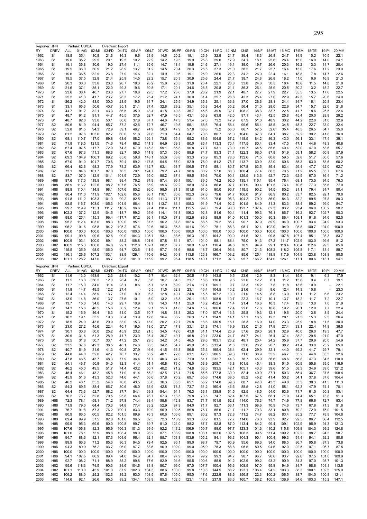| Reporter: JPN                                                                                                                                                        |                                    |                | Partner: US/CA |                | Direction: Import |                |                |                |               |                |               |                |                |               |                |                |               |                |                |                |                |                |
|----------------------------------------------------------------------------------------------------------------------------------------------------------------------|------------------------------------|----------------|----------------|----------------|-------------------|----------------|----------------|----------------|---------------|----------------|---------------|----------------|----------------|---------------|----------------|----------------|---------------|----------------|----------------|----------------|----------------|----------------|
| RY                                                                                                                                                                   | CREV                               | ALL            | 01:AG          | 02:MI          | 03:FD             | 04:TX          | 05:AP          | 06:LT          | 07:WD         | 08:PP          | 09:RB         | 10:CH          | 11:PC          | 12:NM         | 13:IS          | 14:NF          | 15:MT         | 16:MC          | 17:EM          | 18:TE          | 19:PI          | 20:MM          |
| 1962                                                                                                                                                                 | S <sub>1</sub>                     | 18.8           | 35.4           | 30.8           | 21.6              | 16.3           | 9.6            | 23.9           | 14.6          | 20.2           | 18.1          | 26.9           | 32.9           | 21.7          | 39.4           | 18.3           | 26.8          | 24.7           | 14.9           | 10.2           | 10.5           | 22.1           |
| 1963                                                                                                                                                                 | S1                                 | 19.0           | 35.2           | 29.5           | 20.1              | 19.5           | 10.2           | 22.9           | 14.2          | 19.5           | 19.9          | 25.8           | 29.0           | 17.9          | 34.1           | 18.1           | 25.6          | 26.4           | 15.0           | 16.0           | 14.0           | 24.1           |
| 1964                                                                                                                                                                 | S1                                 | 19.1           | 35.8           | 30.6           | 19.0              | 27.4           | 11.1           | 35.6           | 14.7          | 18.4           | 19.6          | 24.6           | 27.1           | 19.1          | 39.0           | 19.7           | 26.6          | 20.3           | 16.2           | 13.3           | 14.7           | 20.4           |
| 1965<br>1966                                                                                                                                                         | S1<br>S1                           | 19.5<br>19.6   | 36.0<br>36.5   | 30.9<br>32.9   | 21.2<br>23.8      | 28.9<br>27.9   | 13.7<br>14.6   | 31.2<br>32.1   | 14.5<br>14.9  | 20.4<br>19.6   | 20.3<br>19.1  | 26.5<br>26.9   | 27.3<br>26.6   | 21.0<br>22.3  | 38.2<br>34.2   | 21.7<br>26.0   | 25.7<br>22.4  | 16.4<br>16.1   | 13.0<br>18.8   | 17.6<br>7.8    | 17.2<br>14.7   | 23.0<br>22.6   |
| 1967                                                                                                                                                                 | S <sub>1</sub>                     | 19.5           | 37.5           | 32.8           | 21.4              | 25.9           | 14.5           | 22.2           | 15.7          | 20.3           | 30.9          | 25.6           | 24.4           | 21.7          | 38.7           | 24.8           | 26.8          | 16.2           | 11.0           | 6.9            | 16.9           | 21.3           |
| 1968                                                                                                                                                                 | S1                                 | 20.3           | 36.3           | 33.8           | 20.0              | 26.7           | 18.0           | 28.2           | 15.9          | 20.3           | 31.8          | 26.4           | 22.1           | 20.8          | 33.8           | 24.6           | 30.5          | 18.4           | 18.6           | 11.5           | 14.8           | 21.8           |
| 1969                                                                                                                                                                 | S1                                 | 21.6           | 37.1           | 35.1           | 22.0              | 29.3           | 19.6           | 30.8           | 17.1          | 20.1           | 34.6          | 26.5           | 20.8           | 21.1          | 36.3           | 26.4           | 25.9          | 20.5           | 30.2           | 13.2           | 15.2           | 22.7           |
| 1970                                                                                                                                                                 | S1                                 | 23.6           | 38.4           | 40.7           | 23.0              | 27.7           | 18.8           | 29.5           | 17.2          | 23.0           | 37.0          | 28.2           | 21.9           | 22.1          | 48.7           | 27.7           | 27.9          | 22.7           | 35.5           | 13.5           | 17.6           | 22.5           |
| 1971                                                                                                                                                                 | S <sub>1</sub>                     | 25.2           | 41.3           | 41.7           | 23.7              | 28.3           | 17.2           | 25.4           | 21.2          | 24.1           | 36.0          | 31.4           | 25.7           | 28.8          | 42.3           | 25.4           | 27.0          | 22.9           | 42.3           | 15.7           | 20.6           | 24.0           |
| 1972                                                                                                                                                                 | S1                                 | 26.2           | 42.0           | 43.0           | 30.0              | 28.9           | 19.5           | 34.7           | 24.1          | 25.5           | 34.9          | 35.3           | 25.1           | 33.3          | 37.0           | 26.6           | 28.1          | 24.4           | 34.7           | 16.1           | 20.8           | 23.4           |
| 1973                                                                                                                                                                 | S1                                 | 33.1           | 65.3           | 50.6           | 40.7              | 35.1           | 21.1           | 37.4           | 32.8          | 29.2           | 35.1          | 35.8           | 24.4           | 35.2          | 56.4           | 31.0           | 28.0          | 22.9           | 34.7           | 15.7           | 22.6           | 21.8           |
| 1974<br>1975                                                                                                                                                         | S1<br>S <sub>1</sub>               | 44.7<br>48.7   | 91.2<br>91.2   | 82.1<br>91.1   | 43.3<br>44.7      | 36.5<br>45.5   | 35.0<br>37.5   | 48.4<br>62.7   | 41.5<br>47.9  | 40.3<br>46.5   | 35.7<br>43.1  | 45.6<br>56.8   | 39.9<br>63.8   | 32.7<br>42.0  | 108.2<br>97.1  | 38.3<br>43.4   | 33.7<br>42.5  | 22.5<br>25.8   | 41.7<br>45.4   | 18.6<br>20.0   | 25.5<br>28.9   | 22.6<br>29.2   |
| 1976                                                                                                                                                                 | S <sub>1</sub>                     | 48.7           | 82.0           | 93.0           | 50.1              | 50.6           | 37.8           | 67.1           | 44.6          | 47.3           | 51.4          | 57.0           | 73.2           | 47.9          | 87.9           | 51.0           | 48.9          | 30.2           | 44.2           | 22.0           | 31.0           | 32.6           |
| 1977                                                                                                                                                                 | S <sub>2</sub>                     | 50.6           | 81.9           | 94.4           | 55.7              | 57.2           | 42.6           | 72.7           | 46.7          | 49.5           | 55.1          | 58.6           | 76.4           | 56.4          | 99.6           | 56.4           | 48.5          | 34.5           | 48.3           | 22.7           | 33.0           | 32.4           |
| 1978                                                                                                                                                                 | S <sub>2</sub>                     | 52.8           | 81.5           | 94.3           | 72.9              | 59.1           | 46.7           | 74.9           | 50.3          | 47.9           | 57.8          | 60.8           | 75.2           | 55.0          | 86.7           | 57.5           | 52.6          | 35.4           | 48.5           | 26.5           | 34.7           | 35.0           |
| 1979                                                                                                                                                                 | S <sub>2</sub>                     | 61.2           | 97.6           | 103.6          | 82.7              | 60.0           | 51.8           | 97.8           | 71.0          | 54.4           | 64.7          | 70.6           | 80.7           | 61.0          | 104.0          | 67.3           | 64.1          | 38.7           | 52.2           | 30.2           | 41.8           | 36.9           |
| 1980                                                                                                                                                                 | S <sub>2</sub>                     | 68.1           | 110.7          | 117.0          | 69.8              | 63.6           | 58.2           | 126.1          | 73.8          | 65.4           | 65.2          | 83.6           | 104.5          | 67.2          | 118.5          | 84.2           | 86.3          | 43.0           | 56.1           | 33.1           | 47.4           | 39.1           |
| 1981                                                                                                                                                                 | S <sub>2</sub>                     | 71.8           | 118.5          | 121.5          | 74.6              | 78.4           | 68.2           | 141.3          | 64.9          | 69.3           | 80.0          | 86.4           | 113.3          | 70.4          | 117.5          | 80.4           | 83.4          | 47.5           | 47.1           | 44.6           | 48.3           | 40.6           |
| 1982<br>1983                                                                                                                                                         | S <sub>2</sub><br>S <sub>2</sub>   | 67.4<br>67.6   | 97.5<br>97.3   | 117.7<br>111.3 | 72.9<br>68.6      | 74.3<br>82.7   | 67.9<br>59.5   | 145.3<br>141.9 | 59.1<br>57.3  | 65.8<br>59.0   | 90.8<br>88.9  | 77.7<br>74.7   | 93.1<br>83.3   | 73.0<br>71.1  | 119.7<br>122.3 | 64.5<br>68.0   | 85.6<br>87.8  | 49.4<br>51.9   | 52.0<br>59.1   | 47.0<br>58.2   | 53.6<br>60.8   | 55.7<br>57.9   |
| 1984                                                                                                                                                                 | S <sub>2</sub>                     | 69.3           | 104.9          | 106.1          | 69.2              | 85.6           | 59.8           | 148.1          | 55.6          | 63.8           | 93.3          | 75.9           | 85.3           | 78.6          | 132.6          | 71.5           | 80.8          | 59.5           | 52.8           | 51.7           | 60.0           | 57.6           |
| 1985                                                                                                                                                                 | S <sub>2</sub>                     | 67.0           | 91.0           | 101.7          | 70.6              | 79.4           | 59.2           | 117.5          | 54.5          | 57.0           | 92.9          | 76.0           | 81.2           | 78.7          | 113.7          | 60.9           | 82.0          | 60.6           | 55.3           | 63.0           | 58.6           | 60.2           |
| 1986                                                                                                                                                                 | S <sub>2</sub>                     | 66.4           | 82.6           | 98.3           | 77.9              | 78.2           | 63.9           | 112.7          | 63.1          | 61.7           | 106.5         | 77.6           | 58.1           | 80.7          | 107.8          | 63.5           | 85.4          | 63.4           | 59.4           | 47.7           | 62.0           | 62.7           |
| 1987                                                                                                                                                                 | S <sub>2</sub>                     | 73.1           | 84.6           | 101.7          | 87.0              | 76.5           | 70.1           | 124.7          | 79.2          | 74.7           | 98.6          | 80.2           | 57.0           | 88.3          | 100.4          | 77.4           | 86.5          | 70.5           | 71.2           | 65.5           | 65.7           | 67.6           |
| 1988                                                                                                                                                                 | S <sub>2</sub>                     | 83.7           | 107.0          | 112.9          | 101.1             | 101.9          | 72.9           | 95.0           | 85.2          | 87.4           | 98.5          | 89.6           | 70.0           | 90.1          | 125.5          | 113.6          | 92.7          | 72.3           | 62.5           | 67.0           | 86.4           | 71.2           |
| 1989                                                                                                                                                                 | H88                                | 87.6           | 117.0          | 119.9          | 98.1              | 98.4           | 76.2           | 84.9           | 97.4          | 96.1           | 100.1         | 89.5           | 74.2           | 92.0          | 135.1          | 115.1          | 95.4          | 76.4           | 68.1           | 73.5           | 94.5           | 76.3           |
| 1990                                                                                                                                                                 | H88<br>H88                         | 86.9           | 113.2          | 122.6<br>114.8 | 98.2<br>98.1      | 107.6<br>107.6 | 76.5<br>80.2   | 85.9<br>86.0   | 99.6          | 92.2           | 98.9<br>101.8 | 87.4           | 86.8<br>90.0   | 97.7          | 121.9<br>119.5 | 99.4<br>90.2   | 101.5<br>94.5 | 76.4<br>80.2   | 70.6           | 77.3<br>79.4   | 85.6           | 77.0           |
| 1991<br>1992                                                                                                                                                         | H88                                | 88.8<br>90.4   | 110.4<br>111.0 | 111.9          | 102.1             | 102.6          | 85.6           | 86.1           | 98.5<br>110.1 | 81.3<br>80.6   | 102.3         | 91.0<br>87.6   | 79.6           | 96.7<br>91.7  | 106.0          | 81.7           | 86.9          | 80.2           | 81.1<br>83.7   | 82.5           | 91.7<br>92.1   | 80.4<br>79.8   |
| 1993                                                                                                                                                                 | H88                                | 91.8           | 111.2          | 103.3          | 101.0             | 99.2           | 82.5           | 84.9           | 111.3         | 77.7           | 105.1         | 93.8           | 78.5           | 96.3          | 104.2          | 79.0           | 86.0          | 84.3           | 82.2           | 89.5           | 97.8           | 80.3           |
| 1994                                                                                                                                                                 | H88                                | 93.5           | 116.7          | 103.0          | 105.3             | 101.9          | 86.4           | 91.1           | 113.7         | 83.1           | 105.3         | 91.9           | 71.4           | 92.2          | 101.5          | 84.9           | 81.3          | 83.3           | 88.4           | 89.2           | 99.0           | 84.7           |
| 1995                                                                                                                                                                 | H88                                | 99.7           | 119.9          | 115.1          | 111.7             | 116.2          | 96.6           | 97.4           | 118.4         | 111.1          | 115.5         | 99.0           | 79.4           | 90.0          | 123.7          | 107.4          | 82.3          | 83.2           | 93.4           | 96.9           | 100.2          | 90.2           |
| 1996                                                                                                                                                                 | H88                                | 102.3          | 137.2          | 112.9          | 104.5             | 118.7          | 99.2           | 95.6           | 114.1         | 91.8           | 106.3         | 92.8           | 81.6           | 90.4          | 111.4          | 99.3           | 76.1          | 86.7           | 116.2          | 92.7           | 102.7          | 90.3           |
| 1997                                                                                                                                                                 | H96                                | 98.0           | 125.4          | 115.3          | 96.4              | 117.7          | 97.2           | 96.1           | 110.0         | 87.8           | 102.6         | 89.3           | 88.9           | 91.0          | 101.3          | 100.0          | 80.3          | 86.4           | 108.1          | 91.6           | 94.6           | 92.5           |
| 1998                                                                                                                                                                 | H96                                | 95.2           | 112.4          | 103.0          | 88.3              | 109.0          | 95.1           | 87.5           | 96.2          | 87.8           | 102.6         | 88.5           | 79.2           | 85.7          | 90.7           | 97.9           | 89.9          | 94.0           | 100.7          | 93.4           | 94.9           | 93.3           |
| 1999                                                                                                                                                                 | H96                                | 96.2           | 101.6          | 98.8           | 94.2              | 105.2          | 97.6           | 92.6           | 95.3          | 85.8           | 101.6         | 93.0           | 75.1           | 86.3          | 98.1           | 92.4           | 102.0         | 94.0           | 98.8           | 100.7          | 94.0           | 100.0          |
| 2000<br>2001                                                                                                                                                         | H96<br>H96                         | 100.0<br>99.1  | 100.0<br>99.8  | 100.0<br>99.6  | 100.0<br>92.6     | 100.0<br>99.0  | 100.0<br>104.3 | 100.0<br>105.1 | 100.0<br>93.1 | 100.0<br>88.6  | 100.0<br>96.3 | 100.0<br>97.3  | 100.0<br>104.2 | 100.0<br>90.0 | 100.0<br>81.5  | 100.0<br>92.4  | 100.0<br>99.5 | 100.0<br>107.8 | 100.0<br>107.4 | 100.0<br>85.1  | 100.0<br>98.3  | 100.0<br>83.7  |
| 2002                                                                                                                                                                 | H96                                | 100.9          | 103.1          | 100.0          | 89.1              | 88.2           | 108.8          | 101.6          | 87.8          | 84.1           | 97.1          | 104.0          | 98.1           | 88.4          | 75.0           | 91.3           | 97.2          | 111.7          | 102.9          | 103.0          | 99.6           | 81.2           |
| 2003                                                                                                                                                                 | H <sub>02</sub>                    | 106.9          | 115.3          | 100.8          | 94.8              | 92.1           | 112.8          | 109.1          | 88.2          | 87.7           | 98.9          | 109.1          | 110.4          | 94.8          | 70.9           | 94.9           | 99.1          | 118.4          | 106.4          | 112.6          | 99.5           | 85.8           |
| 2004                                                                                                                                                                 | H <sub>0</sub> 2                   | 115.5          | 135.9          | 98.0           | 106.0             | 94.7           | 123.6          | 111.9          | 97.7          | 91.6           | 98.6          | 118.7          | 136.4          | 96.6          | 80.7           | 121.3          | 108.2         | 118.2          | 105.8          | 117.1          | 113.4          | 88.7           |
| 2005                                                                                                                                                                 | H <sub>02</sub>                    | 116.1          | 126.6          | 107.2          | 103.1             | 88.9           | 129.1          | 110.6          | 94.3          | 90.8           | 113.8         | 126.8          | 166.7          | 103.2         | 85.6           | 125.4          | 118.9         | 117.9          | 104.9          | 123.8          | 108.8          | 90.5           |
|                                                                                                                                                                      |                                    |                |                |                |                   |                |                |                |               |                |               |                |                |               |                |                |               |                |                |                |                |                |
| 2006                                                                                                                                                                 | H <sub>02</sub>                    | 121.1          | 128.2          | 147.0          | 98.7              | 98.8           | 101.0          | 115.9          | 99.2          | 96.4           | 118.5         | 140.1          | 171.2          | 97.3          | 95.7           | 166.2          | 134.0         | 126.1          | 117.1          | 80.6           | 113.1          | 94.1           |
|                                                                                                                                                                      |                                    |                | Partner: US/CA |                | Direction: Export |                |                |                |               |                |               |                |                |               |                |                |               |                |                |                |                |                |
| Reporter: JPN<br>RY                                                                                                                                                  | <b>CREV</b>                        | ALL            | 01:AG          | 02:MI          | 03:FD             | 04:TX          | 05:AP          | 06:LT          | 07:WD         | 08:PP          | 09:RB         | 10:CH          | 11:PC          | 12:NM         | 13:IS          | 14:NF          | 15:MT         | 16:MC          | 17:EM          | 18:TE          | 19:PI          | 20:MM          |
| 1962                                                                                                                                                                 | S <sub>1</sub>                     | 11.6           | 13.0           | 493.9          | 12.3              | 28.4           | 10.2           | 5.7            | 10.4          | 62.4           | 20.5          | 17.9           | 143.5          | 9.5           | 23.6           | 12.9           | 8.3           | 11.4           | 15.6           | 9.1            | 6.3            | 17.9           |
| 1963                                                                                                                                                                 | S <sub>1</sub>                     | 11.5           | 16.3           | 336.2          | 12.0              | 28.4           | 9.7            | 5.6            | 10.7          | 64.3           | 21.7          | 16.6           | 130.6          | 9.6           | 23.0           | 12.2           | 8.1           | 11.2           | 13.6           | 9.4            | 6.7            | 19.1           |
| 1964                                                                                                                                                                 | S <sub>1</sub>                     | 11.7           | 15.0           | 84.0           | 11.4              | 28.1           | 8.6            | 5.1            | 12.9          | 69.9           | 21.6          | 17.1           | 109.1          | 9.7           | 23.3           | 14.2           | 7.8           | 11.8           | 13.6           | 10.9           |                | 22.1           |
| 1965                                                                                                                                                                 | S <sub>1</sub>                     | 11.8           | 14.7           | 49.5           | 12.2              | 27.4           |                | 5.5            | 11.5          | 62.8           | 23.1          | 16.4           | 104.5          | 10.2          | 21.6           | 14.3           | 8.6           | 12.4           | 14.3           | 10.8           |                | 23.3           |
| 1966<br>1967                                                                                                                                                         | S1<br>S1                           | 12.4<br>13.0   | 14.4<br>14.8   | 38.9<br>36.0   | 13.7<br>13.7      | 27.0<br>27.6   | 9.9<br>10.1    | 6.3<br>6.9     | 12.8<br>13.2  | 40.7<br>46.8   | 24.8<br>26.1  | 15.5<br>16.3   | 107.2<br>108.9 | 10.0<br>10.7  | 21.0<br>22.2   | 14.5<br>16.7   | 8.8<br>10.1   | 13.0<br>13.7   | 17.1<br>18.2   | 11.2<br>11.7   | 6.6<br>7.2     | 23.2<br>22.7   |
| 1968                                                                                                                                                                 | S1                                 | 13.7           | 15.0           | 34.0           | 14.3              | 29.7           | 10.9           | 7.9            | 14.3          | 41.1           | 25.0          | 16.2           | 452.4          | 11.4          | 21.4           | 16.6           | 10.3          | 17.4           | 19.5           | 13.0           | 7.0            | 21.9           |
| 1969                                                                                                                                                                 | S <sub>1</sub>                     | 14.3           | 15.6           | 48.5           | 15.6              | 30.2           | 12.4           | 9.1            | 15.3          | 41.8           | 24.6          | 15.7           | 106.6          | 12.4          | 22.6           | 17.6           | 10.8          | 19.2           | 20.1           | 12.9           | 7.7            | 22.4           |
| 1970                                                                                                                                                                 | S <sub>1</sub>                     | 15.2           | 16.9           | 46.4           | 16.3              | 31.0           | 13.5           | 10.7           | 14.8          | 38.3           | 25.3          | 17.0           | 107.4          | 13.3          | 25.8           | 19.3           | 12.1          | 19.6           | 20.0           | 13.6           | 8.5            | 24.4           |
| 1971                                                                                                                                                                 | 51                                 | 16.2           | 19.1           | 53.5           | 19.3              | 30.4           | 13.9           | 12.8           | 16.4          | 38.2           | 26.3          | 17.1           | 124.9          | 14.1          | 27.1           | 16.5           | 12.3          | 20.1           | 21.5           | 15.3           | 9.5            | 26.4           |
|                                                                                                                                                                      | S <sub>1</sub>                     | 18.9           | 24.0           | 43.6           | 20.9              | 33.0           | 15.3           | 15.0           | 20.2          | 42.7           | 29.8          | 18.6           | 130.9          | 16.1          | 28.3           | 16.9           | 14.0          | 23.3           | 25.9           | 18.8           | 11.5           | 30.0           |
|                                                                                                                                                                      | S <sub>1</sub>                     | 23.0           | 27.2           | 45.6           | 22.4              | 40.1           | 19.0           | 18.0           | 27.7          | 47.8           | 33.1          | 21.3           | 174.1          | 19.9          | 33.0           | 21.5           | 17.9          | 27.4           | 33.1           | 22.4           | 14.8           | 36.5           |
|                                                                                                                                                                      | S1<br>S1                           | 30.1<br>30.9   | 30.8<br>31.6   | 50.0<br>51.3   | 25.2<br>28.0      | 45.9<br>41.7   | 23.2<br>23.0   | 21.5<br>25.4   | 34.5<br>36.7  | 42.6<br>49.7   | 43.8<br>46.8  | 31.1<br>29.1   | 174.4<br>223.0 | 25.9<br>24.7  | 57.6<br>54.7   | 29.0<br>24.1   | 28.1<br>26.4  | 32.9<br>37.4   | 40.0<br>38.2   | 26.0<br>29.5   | 19.3<br>21.0   | 47.7<br>47.0   |
|                                                                                                                                                                      | S1                                 | 30.5           | 31.8           | 50.7           | 33.1              | 47.2           | 25.1           | 29.5           | 34.2          | 54.5           | 46.5          | 29.6           | 183.1          | 26.2          | 48.1           | 25.4           | 24.2          | 35.9           | 37.7           | 29.9           | 20.0           | 54.9           |
|                                                                                                                                                                      | S <sub>2</sub>                     | 33.5           | 37.6           | 42.3           | 38.5              | 48.1           | 24.8           | 36.5           | 34.2          | 54.7           | 49.9          | 31.5           | 213.4          | 31.6          | 52.0           | 28.2           | 26.7          | 38.2           | 41.4           | 33.0           | 23.2           | 65.0           |
|                                                                                                                                                                      | S <sub>2</sub>                     | 40.7           | 51.9           | 31.6           | 41.3              | 60.8           | 27.9           | 46.6           | 41.5          | 66.3           | 56.5          | 35.3           | 195.4          | 38.4          | 62.4           | 29.9           | 32.1          | 44.0           | 49.2           | 41.7           | 29.7           | 79.1           |
|                                                                                                                                                                      | S <sub>2</sub>                     | 44.8           | 44.0           | 32.0           | 42.7              | 76.7           | 33.7           | 56.2           | 40.1          | 72.8           | 61.1          | 42.0           | 206.5          | 39.3          | 71.0           | 38.9           | 35.2          | 46.7           | 55.2           | 44.8           | 33.3           | 92.6           |
|                                                                                                                                                                      | S <sub>2</sub>                     | 47.8           | 46.5           | 43.7           | 48.3              | 77.9           | 36.4           | 57.7           | 40.3          | 74.2           | 71.0          | 51.1           | 232.7          | 44.3          | 78.7           | 45.9           | 36.6          | 48.6           | 56.8           | 47.3           | 34.5           | 110.0          |
|                                                                                                                                                                      | S <sub>2</sub><br>S <sub>2</sub>   | 54.1<br>46.2   | 46.7<br>45.0   | 50.9<br>49.5   | 54.0<br>51.7      | 82.3<br>74.4   | 41.4<br>43.2   | 61.1<br>50.7   | 40.8<br>40.2  | 73.0<br>71.2   | 76.0<br>74.8  | 53.9<br>53.5   | 209.7<br>193.5 | 43.8<br>42.1  | 101.5<br>105.1 | 45.4<br>43.3   | 38.3<br>39.6  | 51.5<br>51.5   | 60.9<br>58.3   | 55.8<br>34.9   | 39.0<br>39.0   | 116.9<br>121.2 |
|                                                                                                                                                                      | S <sub>2</sub>                     | 45.4           | 46.1           | 43.2           | 45.8              | 71.9           | 41.4           | 55.2           | 42.5          | 78.4           | 71.5          | 55.6           | 177.8          | 39.0          | 82.4           | 40.9           | 37.1          | 50.3           | 55.4           | 36.7           | 37.6           | 108.4          |
|                                                                                                                                                                      | S <sub>2</sub>                     | 45.9           | 51.6           | 43.3           | 52.3              | 74.6           | 44.1           | 56.6           | 37.8          | 70.2           | 69.7          | 55.6           | 174.6          | 39.5          | 85.2           | 45.2           | 41.4          | 50.2           | 54.1           | 37.8           | 37.6           | 104.4          |
|                                                                                                                                                                      | S <sub>2</sub>                     | 46.2           | 48.1           | 35.2           | 54.6              | 70.8           | 43.5           | 53.6           | 36.3          | 65.3           | 65.1          | 55.2           | 174.0          | 39.3          | 88.7           | 42.0           | 43.3          | 49.8           | 53.3           | 38.3           | 41.5           | 111.3          |
|                                                                                                                                                                      | S <sub>2</sub>                     | 54.3           | 69.5           | 38.4           | 66.7              | 80.6           | 48.0           | 63.9           | 42.8          | 78.3           | 73.7          | 61.2           | 160.4          | 46.6          | 88.5           | 42.8           | 51.0          | 58.1           | 62.3           | 47.9           | 51.1           | 70.1           |
|                                                                                                                                                                      | S <sub>2</sub>                     | 64.4           | 73.3           | 52.7           | 68.2              | 87.7           | 54.1           | 69.3           | 54.4          | 94.1           | 76.3          | 66.1           | 138.5          | 51.5          | 92.5           | 48.5           | 54.0          | 63.6           | 71.7           | 61.5           | 60.3           | 83.1           |
|                                                                                                                                                                      | S <sub>2</sub>                     | 70.2           | 73.7           | 52.8           | 70.5              | 95.8           | 66.4           | 76.7           | 67.3          | 113.5          | 79.8          | 70.5           | 74.7           | 62.4          | 107.5          | 67.5           | 68.1          | 71.9           | 74.4           | 65.1           | 73.8           | 91.3           |
|                                                                                                                                                                      | H88                                | 72.3           | 78.1           | 59.1           | 71.2              | 97.8           | 74.4           | 83.4           | 55.6          | 112.9          | 83.7          | 71.7           | 101.5          | 62.8          | 114.0          | 76.3           | 74.7          | 74.9           | 77.8           | 66.6           | 72.7           | 93.4           |
|                                                                                                                                                                      | H88<br>H88                         | 71.9<br>76.7   | 79.0<br>91.8   | 64.4<br>57.3   | 70.3<br>76.2      | 94.8<br>100.1  | 77.4<br>83.3   | 83.2<br>70.9   | 52.9<br>55.9  | 97.9<br>102.5  | 84.0<br>85.8  | 71.7<br>76.7   | 92.7<br>85.6   | 63.1<br>71.7  | 111.3<br>111.7 | 68.6<br>70.3   | 70.9<br>83.1  | 74.6<br>80.8   | 73.7<br>79.2   | 67.8<br>72.0   | 71.3<br>75.0   | 91.8<br>101.5  |
| 1972<br>1973<br>1974<br>1975<br>1976<br>1977<br>1978<br>1979<br>1980<br>1981<br>1982<br>1983<br>1984<br>1985<br>1986<br>1987<br>1988<br>1989<br>1990<br>1991<br>1992 | H88                                | 80.9           | 86.5           | 60.5           | 82.2              | 101.5          | 89.9           | 76.3           | 60.6          | 106.6          | 89.1          | 80.2           | 87.3           | 72.8          | 111.2          | 74.7           | 88.2          | 83.4           | 85.2           | 77.7           | 78.8           | 104.8          |
|                                                                                                                                                                      | H88                                | 89.4           | 99.9           | 57.5           | 82.8              | 101.0          | 96.5           | 82.5           | 72.3          | 118.9          | 93.3          | 83.2           | 81.5           | 77.7          | 114.0          | 76.0           | 93.9          | 92.7           | 92.5           | 86.7           | 86.4           | 112.5          |
|                                                                                                                                                                      | H88                                | 99.9           | 95.3           | 69.6           | 90.0              | 100.8          | 99.7           | 89.7           | 81.0          | 124.0          | 98.2          | 87.7           | 92.8           | 87.0          | 113.4          | 84.2           | 99.4          | 109.1          | 102.9          | 95.9           | 94.3           | 121.3          |
|                                                                                                                                                                      | H88                                | 107.6          | 106.8          | 82.3           | 95.9              | 106.3          | 101.3          | 99.5           | 92.2          | 143.2          | 106.9         | 100.7          | 98.0           | 97.7          | 123.3          | 101.6          | 110.2         | 115.8          | 109.8          | 104.3          | 99.2           | 124.8          |
|                                                                                                                                                                      | H88                                | 101.6          | 78.1           | 73.9           | 88.8              | 108.4          | 98.0           | 96.2           | 87.1          | 133.9          | 108.8         | 103.1          | 103.6          | 102.5         | 108.3          | 99.5           | 111.4         | 109.2          | 102.2          | 98.7           | 94.3           | 98.7           |
|                                                                                                                                                                      | H96                                | 94.7           | 88.6           | 82.1           | 87.3              | 104.6          | 96.4           | 92.1           | 85.7          | 103.8          | 103.6         | 105.2          | 84.1           | 96.3          | 104.3          | 90.4           | 100.4         | 99.3           | 91.4           | 94.1           | 92.2           | 80.6           |
|                                                                                                                                                                      | H96                                | 89.9           | 66.6           | 71.2           | 85.3              | 96.3           | 94.5           | 79.4           | 92.5          | 96.1           | 99.0          | 98.7           | 79.7           | 90.9          | 95.6           | 89.6           | 94.0          | 88.5           | 86.7           | 95.8           | 87.3           | 73.8           |
|                                                                                                                                                                      | H96                                | 94.3           | 80.9           | 75.2           | 93.7              | 96.0           | 97.7           | 83.6           | 96.9          | 102.0          | 99.0          | 95.9           | 78.3           | 88.8          | 95.5           | 89.5           | 94.6          | 92.0           | 92.5           | 97.1           | 96.7           | 87.5           |
|                                                                                                                                                                      | H96<br>H96                         | 100.0<br>94.1  | 100.0<br>107.5 | 100.0<br>86.9  | 100.0<br>89.4     | 100.0<br>94.0  | 100.0<br>94.6  | 100.0<br>84.7  | 100.0<br>88.4 | 100.0<br>97.9  | 100.0<br>99.4 | 100.0<br>99.2  | 100.0<br>99.3  | 100.0<br>94.7 | 100.0<br>98.7  | 100.0<br>96.7  | 100.0<br>96.6 | 100.0<br>93.7  | 100.0<br>92.6  | 100.0<br>97.5  | 100.0<br>101.0 | 100.0<br>109.9 |
| 1993<br>1994<br>1995<br>1996<br>1997<br>1998<br>1999<br>2000<br>2001<br>2002                                                                                         | H96                                | 92.7           | 108.2          | 71.1           | 88.9              | 85.2           | 99.8           | 77.6           | 82.9          | 94.6           | 95.5          | 100.6          | 85.9           | 91.2          | 102.9          | 99.2           | 93.2          | 90.9           | 84.3           | 97.0           | 98.7           | 101.3          |
| 2003                                                                                                                                                                 | H <sub>02</sub>                    | 95.6           | 118.3          | 74.5           | 90.3              | 84.6           | 104.6          | 83.8           | 80.7          | 96.0           | 97.0          | 107.7          | 100.4          | 95.6          | 108.5          | 97.0           | 95.8          | 94.9           | 84.7           | 98.8           | 101.1          | 113.8          |
| 2004<br>2005                                                                                                                                                         | H <sub>02</sub><br>H <sub>02</sub> | 101.1<br>106.2 | 110.0<br>88.0  | 45.9<br>25.2   | 101.0<br>102.6    | 87.9<br>89.2   | 102.3<br>93.0  | 104.3<br>108.5 | 88.6<br>87.6  | 100.0<br>105.0 | 99.8<br>95.0  | 110.8<br>117.6 | 144.5<br>222.9 | 88.2<br>88.6  | 123.1<br>156.8 | 106.4<br>122.3 | 94.2<br>100.2 | 103.3<br>106.5 | 88.3<br>88.7   | 100.1<br>104.0 | 102.5<br>100.8 | 125.0<br>121.1 |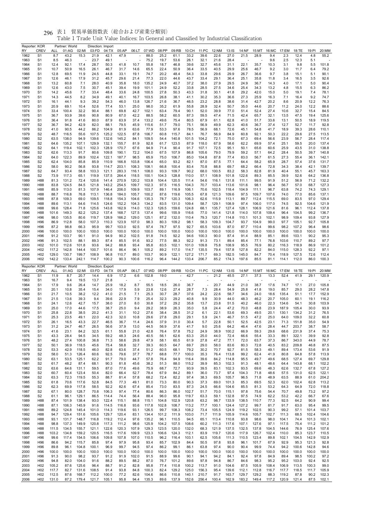| 貿易単価指数表(総合および産業分類別)<br>296 表1 |  |  |  |  |  |
|-------------------------------|--|--|--|--|--|
|-------------------------------|--|--|--|--|--|

| Reporter: KOR | <b>CREV</b>                        |                | Partner: World<br>01:AG |                | Direction: Import<br>03:FD |                | 05:AP          |                | 06:LT 07:WD    | 08:PP          | 09:RB          | 10:CH          | 11:PC          |                |                |                |                |               |                |                |                | 20:MM          |
|---------------|------------------------------------|----------------|-------------------------|----------------|----------------------------|----------------|----------------|----------------|----------------|----------------|----------------|----------------|----------------|----------------|----------------|----------------|----------------|---------------|----------------|----------------|----------------|----------------|
| RY<br>1962    | S <sub>1</sub>                     | ALL<br>8.7     | 43.2                    | 02:MI<br>15.3  | 21.9                       | 04:TX<br>42.1  | 47.9           |                | 88.0           | 25.2           | 61.1           | 33.2           | 39.6           | 12:NM<br>22.6  | 13:IS<br>27.0  | 14:NF<br>21.5  | 15:MT<br>28.9  | 16:MC<br>9.4  | 17:EM<br>2.3   | 18:TE<br>12.4  | 19:PI<br>4.8   | 55.2           |
| 1963          | S <sub>1</sub>                     | 8.5            | 46.3                    |                | 23.7                       | 49.1           |                |                | 75.2           | 19.7           | 53.6           | 26.1           | 32.1           | 21.6           | 28.4           |                |                | 9.6           | 2.5            | 12.3           | 5.1            |                |
| 1964          | S <sub>1</sub>                     | 12.4           | 92.1                    | 17.4           | 28.7                       | 50.3           | 41.8           | 10.7           | 55.8           | 18.7           | 46.8           | 39.6           | 32.7           | 45.6           | 31.1           | 22.1           | 35.7           | 10.3          | 3.1            | 9.8            | 5.5            | 101.8          |
| 1965          | S <sub>1</sub>                     | 10.7           | 50.9                    | 16.5           | 26.1                       | 46.7           | 31.7           | 14.6           | 65.5           | 22.4           | 50.9           | 36.4           | 33.5           | 40.5           | 29.9           | 25.6           | 46.7           | 9.2           | 3.0            | 11.7           | 6.4            | 79.2           |
| 1966          | S <sub>1</sub>                     | 12.8           | 69.5                    | 11.9           | 24.5                       | 44.8           | 33.1           | 19.1           | 74.7           | 20.2           | 48.4           | 54.3           | 33.8           | 29.6           | 29.9           | 26.7           | 36.6           | 9.7           | 3.8            | 15.1           | 5.1            | 90.1           |
| 1967          | S <sub>1</sub>                     | 12.6           | 46.1                    | 17.9           | 31.2                       | 45.7           | 29.6           | 21.4           | 77.3           | 22.0           | 44.6           | 43.7           | 33.4           | 29.1           | 36.4           | 25.1           | 35.8           | 11.8          | 3.4            | 16.5           | 3.5            | 92.6           |
| 1968          | S <sub>1</sub>                     | 13.2<br>12.6   | 60.8<br>43.0            | 7.1            | 28.0<br>30.7               | 40.9<br>45.1   | 35.8<br>39.4   | 18.0<br>19.9   | 135.2<br>101.1 | 24.9<br>24.9   | 40.7<br>52.2   | 37.2<br>33.8   | 38.0           | 27.9<br>27.5   | 29.5<br>34.6   | 24.9<br>25.4   | 36.7<br>34.3   | 14.3<br>13.2  | 4.0            | 17.1<br>15.5   | 5.0<br>6.3     | 90.4           |
| 1969<br>1970  | S <sub>1</sub><br>S <sub>1</sub>   | 14.2           | 45.6                    | 7.5<br>7.7     | 33.4                       | 48.4           | 33.6           | 24.8           | 100.5          | 27.8           | 50.3           | 43.3           | 28.5<br>31.8   | 30.1           | 41.8           | 29.2           | 42.0           | 15.0          | 4.8<br>5.0     | 19.1           | 7.4            | 86.2<br>78.1   |
| 1971          | S <sub>1</sub>                     | 14.3           | 44.5                    | 8.2            | 34.9                       | 49.1           | 40.1           | 16.7           | 103.5          | 26.8           | 38.1           | 41.1           | 30.2           | 35.3           | 36.6           | 27.3           | 25.9           | 16.3          | 7.1            | 16.4           | 9.2            | 74.7           |
| 1972          | S <sub>1</sub>                     | 16.1           | 44.1                    | 9.3            | 39.2                       | 54.3           | 46.0           | 13.8           | 126.7          | 21.6           | 36.7           | 46.5           | 23.2           | 28.8           | 38.6           | 31.4           | 42.7           | 20.2          | 8.6            | 20.9           | 12.2           | 76.3           |
| 1973          | S <sub>1</sub>                     | 20.9           | 69.1                    | 10.4           | 52.6                       | 77.4           | 53.1           | 25.0           | 98.0           | 35.2           | 61.9           | 55.8           | 28.9           | 32.4           | 50.7           | 35.0           | 44.6           | 20.7          | 11.2           | 24.0           | 12.2           | 88.6           |
| 1974          | S <sub>1</sub>                     | 33.4           | 100.4                   | 32.2           | 90.4                       | 88.1           | 69.8           | 42.7           | 102.1          | 63.4           | 79.4           | 90.1           | 52.0           | 39.9           | 77.0           | 51.4           | 52.4           | 27.4          | 10.6           | 32.7           | 15.4           | 84.5           |
| 1975          | S <sub>1</sub>                     | 36.7           | 93.9                    | 39.6           | 90.8                       | 80.9           | 67.0           | 42.2           | 88.5           | 58.2           | 60.5           | 87.3           | 59.5           | 47.4           | 71.5           | 42.4           | 65.7           | 32.1          | 13.5           | 47.5           | 19.4           | 125.6          |
| 1976          | S <sub>1</sub>                     | 36.4           | 91.8                    | 41.6           | 80.0                       | 87.9           | 63.9           | 37.4           | 133.2          | 49.6           | 75.4           | 80.5           | 67.9           | 61.1           | 62.8           | 41.0           | 51.7           | 33.6          | 13.1           | 50.5           | 18.9           | 119.5          |
| 1977          | S <sub>2</sub>                     | 36.7           | 94.2                    | 42.9           | 82.0                       | 88.1           | 79.5           | 45.9           | 115.6          | 51.7           | 79.0           | 75.1           | 56.9           | 49.9           | 62.3           | 40.6           | 36.7           | 37.4          | 12.7           | 52.7           | 11.7           | 92.8           |
| 1978<br>1979  | S <sub>2</sub><br>S <sub>2</sub>   | 41.0           | 90.5<br>116.5           | 44.2<br>55.6   | 86.2<br>107.5              | 104.9<br>125.2 | 81.9<br>122.5  | 63.6<br>87.8   | 77.9<br>106.7  | 53.3<br>60.8   | 97.6<br>115.7  | 78.5<br>84.1   | 56.9<br>76.7   | 68.1<br>56.9   | 72.6<br>84.9   | 45.1<br>60.8   | 54.8<br>92.1   | 41.7<br>50.3  | 18.9<br>22.2   | 39.3<br>29.6   | 28.6<br>27.5   | 110.1<br>113.5 |
| 1980          | S <sub>2</sub>                     | 48.7<br>63.5   | 138.0                   | 94.9           | 139.6                      | 132.6          | 145.2          | 84.1           | 109.5          | 54.4           | 140.8          | 101.5          | 104.2          | 72.1           | 75.0           | 67.3           | 69.4           | 56.6          | 23.9           | 56.7           | 28.4           | 117.4          |
| 1981          | S <sub>2</sub>                     | 64.6           | 135.2                   | 107.1          | 129.9                      | 132.1          | 155.7          | 81.9           | 92.8           | 61.7           | 123.5          | 87.9           | 118.0          | 67.9           | 58.6           | 62.2           | 69.9           | 57.4          | 25.1           | 59.5           | 20.0           | 137.4          |
| 1982          | S <sub>2</sub>                     | 64.1           | 119.4                   | 102.1          | 102.3                      | 128.9          | 170.7          | 67.6           | 94.9           | 71.4           | 90.4           | 91.7           | 107.1          | 72.5           | 95.1           | 50.1           | 65.6           | 60.6          | 25.9           | 43.5           | 31.0           | 138.8          |
| 1983          | S <sub>2</sub>                     | 62.6           | 113.3                   | 91.7           | 80.6                       | 109.8          | 190.1          | 72.2           | 104.0          | 67.5           | 107.9          | 86.8           | 105.6          | 79.0           | 79.9           | 59.2           | 57.1           | 64.2          | 28.4           | 50.5           | 39.7           | 140.8          |
| 1984          | S <sub>2</sub>                     | 64.0           | 122.3                   | 89.9           | 102.4                      | 122.1          | 187.7          | 98.5           | 65.9           | 75.0           | 106.7          | 85.0           | 104.8          | 87.8           | 77.4           | 83.0           | 56.7           | 61.5          | 27.3           | 55.4           | 36.1           | 142.1          |
| 1985          | S <sub>2</sub>                     | 62.4           | 104.0                   | 85.8           | 85.9                       | 110.9          | 166.8          | 103.8          | 106.4          | 65.0           | 93.2           | 82.1           | 87.0           | 87.5           | 77.1           | 64.4           | 58.2           | 65.9          | 28.7           | 57.4           | 37.6           | 131.7          |
| 1986          | S <sub>2</sub>                     | 58.0           | 90.2                    | 56.8           | 93.8                       | 114.7          | 203.1          | 108.3          | 108.1          | 66.8           | 100.4          | 83.4           | 70.8           | 88.8           | 69.7           | 68.2           | 66.4           | 72.8          | 34.3           | 38.4           | 42.1           | 139.7          |
| 1987          | S <sub>2</sub><br>S <sub>2</sub>   | 64.7<br>73.9   | 93.4                    | 58.8<br>65.1   | 103.3                      | 121.1<br>137.5 | 283.3          | 116.1          | 108.0<br>100.1 | 93.3           | 109.7          | 90.2<br>110.0  | 68.0<br>57.1   | 100.5<br>108.9 | 83.2           | 58.3<br>122.6  | 82.8<br>89.3   | 81.9          | 40.4           | 55.1<br>52.6   | 45.7           | 163.3          |
| 1988<br>1989  | H88                                | 81.3           | 117.3<br>131.2          | 72.4           | 119.9<br>120.6             | 141.4          | 264.4<br>270.9 | 118.5<br>120.2 | 103.8          | 104.3<br>104.4 | 128.8<br>120.5 | 111.4          | 54.6           | 116.1          | 101.8<br>131.8 | 111.1          | 99.5           | 85.5<br>91.9  | 39.9<br>51.2   | 56.9           | 64.2<br>71.2   | 136.8<br>132.2 |
| 1990          | H88                                | 83.8           | 124.5                   | 84.5           | 121.8                      | 143.2          | 254.5          | 109.7          | 102.3          | 97.5           | 116.5          | 104.3          | 70.7           | 103.4          | 113.6          | 101.6          | 98.1           | 96.4          | 56.7           | 57.0           | 68.7           | 127.3          |
| 1991          | H88                                | 85.9           | 113.0                   | 81.3           | 107.9                      | 146.4          | 206.0          | 109.9          | 103.7          | 89.1           | 116.9          | 106.1          | 70.6           | 102.5          | 118.4          | 104.9          | 111.1          | 96.7          | 63.8           | 74.2           | 74.3           | 129.1          |
| 1992          | H88                                | 88.7           | 116.8                   | 76.8           | 113.1                      | 136.8          | 184.0          | 105.7          | 100.2          | 87.6           | 119.6          | 105.5          | 67.8           | 121.3          | 109.6          | 97.5           | 109.7          | 107.6         | 74.0           | 77.0           | 85.6           | 137.1          |
| 1993          | H88                                | 87.8           | 109.3                   | 69.0           | 109.5                      | 118.8          | 154.3          | 104.6          | 135.3          | 78.7           | 120.3          | 106.3          | 62.6           | 115.9          | 113.1          | 89.7           | 112.4          | 115.5         | 69.0           | 83.5           | 97.0           | 129.4          |
| 1994          | H88                                | 89.6           | 113.1                   | 64.6           | 114.5                      | 124.6          | 152.2          | 104.3          | 134.2          | 83.5           | 131.0          | 109.4          | 58.7           | 129.1          | 108.9          | 97.4           | 106.0          | 117.0         | 74.5           | 92.5           | 104.6          | 121.9          |
| 1995          | H88                                | 99.6           | 128.4                   | 71.8           | 125.6                      | 143.8          | 162.9          | 114.0          | 132.3          | 126.5          | 159.6          | 124.8          | 68.1           | 135.7          | 127.4          | 128.1          | 106.9          | 121.6         | 81.6           | 96.1           | 112.4          | 137.8          |
| 1996          | H88                                | 101.6          | 149.3                   | 82.2           | 125.2                      | 137.4          | 168.7          | 127.5          | 137.4          | 99.6           | 155.9          | 116.6          | 77.0           | 141.4          | 121.8          | 114.0          | 107.8          | 109.4         | 96.4           | 104.5          | 99.2           | 136.7          |
| 1997          | H96                                | 98.0           | 135.5                   | 80.6           | 119.7                      | 128.9          | 166.2          | 129.0          | 125.1          | 87.2           | 132.0          | 110.4          | 79.3           | 120.7          | 114.8          | 110.1          | 101.3          | 102.1         | 98.9           | 109.4          | 93.8           | 127.9          |
| 1998<br>1999  | H96<br>H96                         | 86.9<br>87.2   | 112.8<br>98.8           | 58.0<br>66.3   | 107.3<br>95.9              | 110.3<br>99.7  | 123.9<br>103.0 | 107.0<br>92.5  | 98.3<br>97.4   | 80.3<br>78.7   | 109.2<br>97.5  | 98.1<br>92.7   | 58.3<br>65.5   | 109.3<br>103.6 | 104.7<br>87.0  | 93.7<br>87.7   | 104.9<br>110.4 | 99.0<br>99.6  | 97.7<br>98.2   | 105.1<br>107.2 | 92.7<br>96.4   | 105.8<br>98.6  |
| 2000          | H96                                | 100.0          | 100.0                   | 100.0          | 100.0                      | 100.0          | 100.0          | 100.0          | 100.0          | 100.0          | 100.0          | 100.0          | 100.0          | 100.0          | 100.0          | 100.0          | 100.0          | 100.0         | 100.0          | 100.0          | 100.0          | 100.0          |
| 2001          | H96                                | 91.2           | 103.7                   | 90.1           | 91.0                       | 94.9           | 90.2           | 102.5          | 91.8           | 74.5           | 92.2           | 94.6           | 100.3          | 90.0           | 87.4           | 91.4           | 88.9           | 85.1          | 89.6           | 103.1          | 90.2           | 95.3           |
| 2002          | H96                                | 91.3           | 102.5                   | 88.1           | 89.3                       | 87.4           | 85.5           | 91.6           | 93.2           | 77.5           | 88.3           | 92.2           | 91.3           | 73.1           | 89.4           | 85.4           | 77.1           | 76.8          | 103.6          | 110.7          | 89.2           | 97.7           |
| 2003          | H <sub>02</sub>                    | 101.0          | 112.6                   | 101.8          | 93.6                       | 94.2           | 88.8           | 93.4           | 95.8           | 83.5           | 102.1          | 101.0          | 109.8          | 75.8           | 108.9          | 95.5           | 76.9           | 80.2          | 116.3          | 118.9          | 86.9           | 101.2          |
| 2004          | H <sub>02</sub>                    | 117.2          | 142.8                   | 144.4          | 100.7                      | 101.6          | 86.4           | 96.1           | 105.2          | 89.2           | 117.0          | 114.7          | 135.5          | 79.4           | 157.8          | 127.8          | 82.2           | 84.0          | 115.0          | 128.3          | 92.2           | 97.1           |
| 2005          | H <sub>02</sub>                    | 129.0          | 130.7                   | 199.7          | 108.9                      | 96.8           | 110.7          | 89.0           | 103.7          | 90.9           | 122.1          | 127.2          | 171.7          | 69.3           | 182.5          | 145.0          | 84.7           | 70.4          | 118.9          | 127.5          | 72.6           | 112.4          |
|               | H <sub>02</sub>                    | 142.2          | 133.4                   |                | 114.7                      |                | 90.3           | 100.6          | 116.2          | 96.4           | 144.2          | 133.4          | 206.7          | 85.2           | 174.3          | 197.6          | 85.5           | 81.1          | 114.1          | 112.0          | 86.0           | 100.3          |
| 2006          |                                    |                |                         | 242.1          |                            | 100.2          |                |                |                |                |                |                |                |                |                |                |                |               |                |                |                |                |
| Reporter: KOR |                                    |                | Partner: World          |                | Direction: Export          |                |                |                |                |                |                |                |                |                |                |                |                |               |                |                |                |                |
| RY            | CREV                               | ALL            | 01:AG                   | 02:MI          | 03:FD                      | 04:TX          | 05:AP          | 06:LT          | 07:WD          | 08:PP          | 09:RB          | 10:CH          | 11:PC          | 12:NM          | 13:IS          | 14:NF          | 15:MT          | 16:MC         | 17:EM          | 18:TE          | 19:PI          | 20:MM          |
| 1962          | S <sub>1</sub>                     | 11.9           | 8.7                     | 20.7           | 14.4                       | 6.9            | 17.2           | 6.6            | 102.8          | 19.0           |                | 42.7           |                | 21.2           | 45.5           | 27.1           | 37.3           | 13.3          | 52.4           | 41.9           | 29.1           | 120.9          |
| 1963          | S <sub>1</sub>                     | 16.7           | 9.4                     | 19.5           | 13.7                       | 21.8           |                |                |                |                |                |                |                |                |                |                |                |               |                |                |                |                |
| 1964          | S <sub>1</sub>                     | 17.9           | 9.6                     | 26.4           | 14.7                       | 25.9           | 18.2           | 8.7            | 55.5           | 18.5           | 26.0           | 36.7           |                | 20.7           | 44.9           | 21.0           | 38.7           | 17.6          | 74.7           | 17.1           | 27.0           | 105.8          |
| 1965<br>1966  | S <sub>1</sub><br>S <sub>1</sub>   | 20.1<br>21.7   | 10.8<br>10.5            | 35.4<br>38.2   | 15.4<br>12.2               | 34.0<br>41.0   | 17.9<br>21.5   | 5.9<br>7.1     | 23.8<br>25.3   | 12.6<br>30.7   | 27.4<br>28.7   | 28.7<br>37.6   | 7.3<br>24.2    | 28.4<br>22.6   | 54.9<br>58.7   | 25.8<br>34.6   | 41.8<br>24.0   | 19.0<br>18.6  | 85.7<br>135.4  | 29.0<br>51.1   | 28.2<br>17.7   | 147.8<br>152.9 |
| 1967          | S <sub>1</sub>                     | 21.5           | 13.6                    | 39.3           | 9.4                        | 39.6           | 22.9           | 7.9            | 25.4           | 32.3           | 29.2           | 40.8           | 9.9            | 30.9           | 44.0           | 48.3           | 46.2           | 20.7          | 105.0          | 60.1           | 19.1           | 116.2          |
| 1968          | S <sub>1</sub>                     | 24.1           | 12.6                    | 42.7           | 15.7                       | 38.0           | 27.0           | 8.0            | 30.8           | 37.2           | 29.2           | 35.8           | 13.7           | 23.8           | 51.5           | 40.2           | 46.0           | 22.3          | 134.6          | 54.1           | 30.8           | 103.9          |
| 1969          | S <sub>1</sub>                     | 25.0           | 17.0                    | 44.6           | 17.5                       | 38.7           | 25.0           | 9.4            | 29.2           | 38.9           | 26.3           | 35.0           | 5.8            | 24.4           | 47.2           | 70.0           | 48.8           | 23.9          | 187.9          | 105.4          | 30.0           | 93.9           |
| 1970          | S <sub>1</sub>                     | 25.8           | 22.8                    | 38.5           | 20.2                       | 41.3           | 31.1           | 10.2           | 27.6           | 38.4           | 28.5           | 31.2           | 6.1            | 22.1           | 53.6           | 69.3           | 49.5           | 20.1          | 130.1          | 134.2          | 31.2           | 76.5           |
| 1971          | S <sub>1</sub>                     | 25.3           | 23.5                    | 49.1           | 22.0                       | 42.3           | 32.0           | 10.8           | 29.6           | 27.8           | 29.0           | 29.1           | 5.9            | 24.1           | 46.7           | 51.5           | 47.2           | 25.0          | 64.0           | 109.0          | 32.2           | 60.8           |
| 1972          | S <sub>1</sub>                     | 26.1           | 16.5                    | 43.3           | 22.7                       | 46.5           | 36.7           | 11.4           | 24.6           | 37.9           | 31.0           | 30.4           | 5.7            | 22.8           | 50.1           | 52.5           | 42.5           | 23.1          | 71.3           | 151.8          | 35.0           | 54.9           |
| 1973<br>1974  | S <sub>1</sub>                     | 31.2           | 24.7                    | 46.7           | 26.5                       | 56.6           | 37.9           | 13.0           | 44.5           | 56.9           | 37.6           | 41.7           | 9.0            | 25.6           | 64.2           | 46.4           | 47.6           | 28.4          | 44.7           | 203.7          | 38.7           | 58.7           |
| 1975          | S <sub>1</sub><br>S1               | 41.6<br>43.3   | 23.1<br>28.4            | 84.2<br>94.5   | 32.5<br>34.5               | 61.1<br>59.2   | 55.8<br>48.3   | 21.0<br>24.6   | 42.8<br>40.5   | 76.4<br>56.1   | 57.8<br>62.6   | 75.2<br>63.3   | 24.9<br>25.0   | 38.9<br>44.0   | 100.2<br>72.4  | 66.9<br>66.6   | 59.3<br>55.4   | 29.6<br>33.3  | 68.6<br>89.1   | 231.9<br>322.1 | 37.4<br>39.9   | 75.3<br>92.8   |
| 1976          | S <sub>1</sub>                     | 48.2           | 27.4                    | 100.8          | 36.8                       | 71.3           | 58.6           | 29.8           | 47.9           | 58.1           | 60.5           | 61.9           | 27.8           | 47.2           | 77.1           | 72.0           | 63.7           | 37.3          | 86.7           | 343.0          | 44.9           | 78.7           |
| 1977          | S <sub>2</sub>                     | 50.1           | 36.9                    | 118.5          | 45.6                       | 75.4           | 58.8           | 32.7           | 39.3           | 60.5           | 64.7           | 69.7           | 29.0           | 58.0           | 83.6           | 80.3           | 72.8           | 40.5          | 83.2           | 209.8          | 46.8           | 87.5           |
| 1978          | S2                                 | 53.3           | 42.9                    | 118.5          | 46.0                       | 82.8           | 63.6           | 37.4           | 51.2           | 60.5           | 68.1           | 79.2           | 30.2           | 70.7           | 92.7           | 81.5           | 58.3           | 49.1          | 89.4           | 173.4          | 53.6           | 91.9           |
| 1979          | S <sub>2</sub>                     | 58.0           | 51.3                    | 126.4          | 60.6                       | 92.5           | 79.6           | 37.7           | 78.7           | 68.8           | 77.7           | 100.0          | 35.3           | 76.4           | 113.8          | 99.2           | 62.4           | 41.9          | 80.8           | 64.8           | 57.8           | 113.9          |
| 1980          | S <sub>2</sub>                     | 63.1           | 53.5                    | 125.1          | 62.2                       | 91.7           | 79.0           | 44.7           | 57.8           | 76.4           | 94.9           | 116.4          | 39.6           | 84.2           | 114.8          | 95.5           | 49.7           | 49.6          | 68.5           | 127.4          | 69.7           | 129.8          |
| 1981          | S <sub>2</sub>                     | 61.7           | 48.2                    | 87.4           | 68.1                       | 90.3           | 81.8           | 45.6           | 38.2           | 51.3           | 88.0           | 115.2          | 39.9           | 85.3           | 102.3          | 91.3           | 48.1           | 48.6          | 64.4           | 143.8          | 68.1           | 102.2          |
| 1982<br>1983  | S <sub>2</sub><br>S <sub>2</sub>   | 63.6<br>60.7   | 64.6<br>60.4            | 131.1<br>123.4 | 59.5<br>50.4               | 87.0<br>82.0   | 77.6<br>66.4   | 49.6<br>52.7   | 75.9<br>78.4   | 68.7<br>67.9   | 72.7<br>84.2   | 93.9<br>89.1   | 39.5<br>36.0   | 83.1<br>73.7   | 102.3<br>97.4  | 93.5<br>104.3  | 69.6<br>71.8   | 48.3<br>48.6  | 62.6<br>57.5   | 132.7<br>131.0 | 67.8<br>62.5   | 127.2<br>122.1 |
| 1984          | S <sub>2</sub>                     | 63.3           | 72.3                    | 119.5          | 55.3                       | 88.7           | 81.4           | 57.8           | 68.2           | 72.4           | 82.2           | 97.4           | 38.3           | 69.5           | 105.7          | 96.5           | 71.8           | 48.9          | 63.5           | 88.9           | 61.0           | 204.2          |
| 1985          | S <sub>2</sub>                     | 61.8           | 70.6                    | 117.6          | 52.8                       | 84.5           | 77.3           | 49.1           | 81.0           | 73.3           | 80.0           | 90.3           | 37.3           | 69.0           | 101.3          | 85.3           | 69.5           | 52.3          | 62.0           | 102.4          | 62.8           | 113.2          |
| 1986          | S <sub>2</sub>                     | 62.3           | 69.9                    | 117.8          | 58.5                       | 92.2           | 82.6           | 67.4           | 85.4           | 73.0           | 83.5           | 87.3           | 24.5           | 66.6           | 104.6          | 85.5           | 81.3           | 53.2          | 64.3           | 64.9           | 72.0           | 118.8          |
| 1987          | S <sub>2</sub>                     | 67.1           | 80.0                    | 128.7          | 70.8                       | 106.3          | 97.4           | 77.4           | 80.6           | 86.3           | 86.0           | 102.7          | 51.7           | 70.0           | 115.1          | 97.8           | 75.6           | 54.4          | 70.7           | 49.8           | 73.2           | 97.2           |
| 1988          | S <sub>2</sub>                     | 61.1           | 96.1                    | 129.1          | 86.5                       | 114.4          | 74.4           | 56.4           | 88.4           | 96.0           | 95.8           | 119.7          | 63.3           | 59.1           | 132.8          | 97.5           | 74.9           | 62.2          | 53.2           | 42.2           | 66.7           | 67.6           |
| 1989          | H88                                | 87.4           | 101.9                   | 138.4          | 93.0                       | 122.4          | 115.1          | 88.8           | 115.1          | 104.8          | 102.9          | 120.8          | 63.2           | 98.7           | 133.9          | 138.5          | 110.7          | 77.3          | 92.5           | 64.2           | 90.9           | 99.4           |
| 1990          | H88                                | 87.1           | 106.3                   | 145.9          | 91.6                       | 114.5          | 116.8          | 93.6           | 117.8          | 102.8          | 108.7          | 113.2          | 77.7           | 100.1          | 124.4          | 127.2          | 99.7           | 81.7          | 91.7           | 63.0           | 95.4           | 99.5           |
| 1991<br>1992  | H88<br>H88                         | 89.2<br>94.7   | 124.8<br>129.4          | 145.4<br>151.6 | 101.0<br>105.6             | 114.3<br>129.7 | 119.6<br>120.4 | 93.1<br>83.1   | 126.5<br>134.4 | 99.7<br>101.2  | 108.3<br>111.9 | 108.2<br>103.0 | 73.4<br>71.7   | 105.5<br>111.9 | 124.9<br>105.9 | 119.2<br>114.6 | 102.5<br>105.7 | 90.3<br>102.7 | 99.2<br>111.3  | 57.1<br>68.5   | 101.4<br>102.4 | 103.7<br>104.6 |
| 1993          | H88                                | 93.1           | 131.7                   | 148.7          | 116.8                      | 119.2          | 112.4          | 97.6           | 135.2          | 96.1           | 110.5          | 94.5           | 65.1           | 113.4          | 110.8          | 93.8           | 98.6           | 98.0          | 104.1          | 74.4           | 101.3          | 102.1          |
| 1994          | H88                                | 98.8           | 137.3                   | 149.9          | 120.8                      | 117.3          | 111.2          | 98.6           | 125.9          | 104.2          | 107.5          | 108.6          | 60.2           | 111.3          | 117.6          | 107.1          | 127.6          | 97.1          | 117.5          | 75.4           | 111.2          | 101.2          |
| 1995          | H88                                | 111.5          | 134.5                   | 155.7          | 121.1                      | 122.6          | 120.3          | 107.9          | 129.3          | 123.5          | 120.0          | 132.0          | 68.3           | 121.9          | 137.5          | 132.5          | 137.8          | 104.5         | 144.6          | 76.9           | 125.4          | 107.6          |
| 1996          | H88                                | 103.2          | 134.8                   | 159.2          | 120.5                      | 116.5          | 117.6          | 109.9          | 123.3          | 106.6          | 124.3          | 112.1          | 83.9           | 119.7          | 120.6          | 117.9          | 126.7          | 102.4         | 110.0          | 85.3           | 123.7          | 110.5          |
| 1997          | H96                                | 99.6           | 117.4                   | 154.5          | 106.6                      | 109.8          | 107.8          | 107.0          | 110.5          | 96.2           | 116.4          | 103.1          | 62.5           | 105.6          | 111.3          | 110.5          | 123.4          | 89.8          | 102.1          | 104.5          | 142.9          | 102.9          |
| 1998          | H96                                | 86.6           | 94.2                    | 115.7          | 85.8                       | 97.4           | 97.9           | 95.8           | 93.4           | 85.7           | 102.9          | 84.4           | 50.5           | 97.8           | 93.8           | 96.1           | 101.7          | 67.9          | 92.9           | 95.3           | 121.3          | 92.8           |
| 1999          | H96                                | 89.8           | 96.1                    | 104.8          | 100.1                      | 96.9           | 99.7           | 94.5           | 97.4           | 86.2           | 99.1           | 86.1           | 63.8           | 97.4           | 90.0           | 90.4           | 99.9           | 74.4          | 94.2           | 100.6          | 142.8          | 94.6           |
| 2000          | H96                                | 100.0          | 100.0                   | 100.0          | 100.0                      | 100.0          | 100.0          | 100.0          | 100.0          | 100.0          | 100.0          | 100.0          | 100.0          | 100.0          | 100.0          | 100.0          | 100.0          | 100.0         | 100.0          | 100.0          | 100.0          | 100.0          |
| 2001          | H96                                | 91.3           | 90.0                    | 98.2           | 93.7                       | 91.2           | 91.9           | 102.0          | 91.5           | 88.9           | 99.6           | 90.1           | 94.1           | 94.2<br>94.8   | 84.1           | 92.4           | 97.8           | 84.9          | 89.4           | 98.5           | 100.2          | 97.2           |
| 2002<br>2003  | H96<br>H <sub>02</sub>             | 94.8<br>105.2  | 82.0<br>87.6            | 104.0<br>125.6 | 91.6<br>96.4               | 88.2<br>88.7   | 89.5<br>91.2   | 88.2<br>82.8   | 87.0<br>95.8   | 76.7<br>77.4   | 101.2<br>110.8 | 89.6<br>100.2  | 97.8<br>113.7  | 91.0           | 86.7<br>104.6  | 84.6<br>87.5   | 98.3<br>105.9  | 95.2<br>108.4 | 95.2<br>106.9  | 103.0<br>113.5 | 92.4<br>100.3  | 92.5<br>99.0   |
| 2004          | H <sub>02</sub>                    | 117.7          | 82.7                    | 131.6          | 108.5                      | 91.4           | 93.8           | 84.8           | 100.3          | 82.4           | 129.2          | 125.0          | 156.3          | 95.4           | 139.6          | 112.1          | 112.8          | 116.7         | 117.7          | 118.5          | 111.7          | 105.9          |
| 2005<br>2006  | H <sub>02</sub><br>H <sub>02</sub> | 112.5<br>131.0 | 87.6<br>87.2            | 168.7<br>179.4 | 112.2<br>121.7             | 100.0<br>105.1 | 77.2<br>95.8   | 82.6<br>94.4   | 104.6<br>135.3 | 86.6<br>89.6   | 110.8<br>137.9 | 140.1<br>152.6 | 210.7<br>256.4 | 91.7<br>100.4  | 163.7<br>162.9 | 129.7<br>183.2 | 129.2<br>149.4 | 88.3<br>117.2 | 119.2<br>120.9 | 87.8<br>121.4  | 90.2<br>87.5   | 102.3<br>102.1 |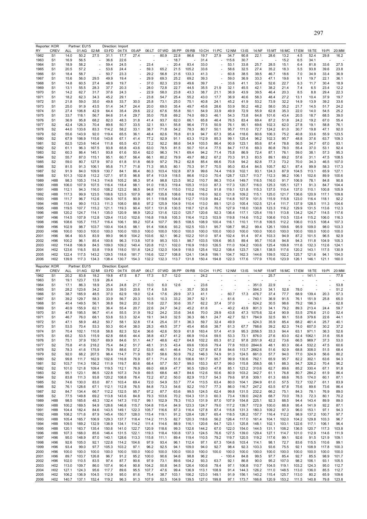| RY           | Reporter: KOR<br><b>CREV</b>       | ALL                | Partner: EU15<br>01:AG | 02:MI          | Direction: Import<br>03:FD | 04:TX          | 05:AP          | 06:LT          | 07:WD          | 08:PP          | 09:RB          | 10:CH          | 11:PC          | 12:NM          | 13:1S          | 14:NF            | 15:MT          | 16:MC          | 17:EM          | 18:TE          | 19:PI          | 20:MM          |
|--------------|------------------------------------|--------------------|------------------------|----------------|----------------------------|----------------|----------------|----------------|----------------|----------------|----------------|----------------|----------------|----------------|----------------|------------------|----------------|----------------|----------------|----------------|----------------|----------------|
| 1962         | S <sub>1</sub>                     | 14.0               | 50.2                   | 27.5           | 31.1                       | 17.7           | 27.4           |                | 80.9           | 22.8           | 86.6           | 19.7           | 27.9           | 34.7           | 90.8           | 22.1             | 28.6           | 13.2           | 4.5            | 52.4           | 29.8           | 16.2           |
| 1963         | S <sub>1</sub>                     | 16.9               | 56.5                   |                | 36.6                       | 22.6           |                |                |                | 18.7           |                | 31.4           |                | 115.6          | 30.7           |                  |                | 15.2           | 6.5            | 34.1           |                |                |
| 1964<br>1965 | S1<br>S <sub>1</sub>               | 18.9<br>20.5       | 58.2<br>57.2           |                | 59.4<br>53.6               | 24.5<br>24.4   |                | 23.4<br>59.3   | 65.2           | 20.4<br>21.5   | 83.4<br>105.2  | 33.0<br>33.6   |                | 53.1<br>58.6   | 33.8<br>32.5   | 25.7<br>27.4     | 28.5<br>35.2   | 15.1<br>18.3   | 6.4<br>5.5     | 81.8<br>93.8   | 33.6<br>39.6   | 27.5<br>23.8   |
| 1966         | S1                                 | 18.4               | 58.7                   | Ĭ.             | 50.7                       | 23.3           |                | 29.2           | 56.8           | 21.6           | 133.3          | 41.3           |                | 60.8           | 38.5           | 39.5             | 46.7           | 18.6           | 7.0            | 34.9           | 33.4           | 36.9           |
| 1967         | S <sub>1</sub>                     | 15.6               | 56.0                   | 29.5           | 49.9                       | 19.4           |                | 29.9           | 69.3           | 25.2           | 69.2           | 39.3           |                | 59.0           | 36.9           | 33.3             | 47.1           | 19.6           | 9.1            | 19.7           | 22.1           | 36.1           |
| 1968<br>1969 | S <sub>1</sub><br>S <sub>1</sub>   | 14.8<br>13.1       | 60.5<br>55.5           | 27.4<br>28.3   | 48.9<br>37.7               | 19.7<br>20.3   |                | 37.0<br>28.0   | 82.3<br>72.8   | 23.9<br>22.7   | 49.6<br>44.5   | 39.7<br>35.5   | 21.9           | 33.6<br>32.1   | 41.1<br>45.5   | 33.4<br>42.1     | 52.6<br>38.2   | 22.7<br>21.4   | 6.3<br>7.4     | 11.7<br>6.5    | 30.4<br>23.4   | 18.9<br>12.2   |
| 1970         | S <sub>1</sub>                     | 14.2               | 62.7                   | 31.7           | 37.6                       | 24.3           |                | 22.9           | 58.0           | 23.8           | 43.3           | 38.7           | 21.1           | 36.9           | 43.9           | 39.5             | 46.4           | 20.3           | 8.5            | 8.8            | 29.4           | 22.3           |
| 1971         | S <sub>1</sub>                     | 18.2               | 62.3                   | 34.3           | 45.2                       | 29.1           |                | 23.8           | 54.7           | 25.4           | 55.2           | 43.0           | 17.7           | 36.9           | 40.6           | 58.3             | 48.4           | 27.2           | 13.1           | 10.4           | 37.9           | 19.7           |
| 1972<br>1973 | S <sub>1</sub><br>S1               | 21.8<br>25.0       | 59.0<br>91.9           | 35.0<br>43.5   | 49.8<br>51.4               | 33.7<br>34.7   | 30.0<br>24.4   | 25.8<br>20.0   | 73.1<br>69.0   | 25.0<br>35.4   | 75.1<br>49.7   | 40.8<br>45.6   | 24.1<br>28.6   | 45.2<br>53.9   | 41.9<br>50.2   | 53.2<br>48.2     | 73.9<br>58.0   | 32.2<br>35.2   | 14.9<br>21.7   | 13.9<br>14.5   | 39.2<br>51.7   | 33.6<br>24.2   |
| 1974         | S <sub>1</sub>                     | 27.4               | 106.8                  | 42.9           | 64.4                       | 35.4           | 29.6           | 22.2           | 67.6           | 55.8           | 50.1           | 54.9           | 33.9           | 49.9           | 72.9           | 55.9             | 62.8           | 35.3           | 22.0           | 14.0           | 54.5           | 25.2           |
| 1975         | S <sub>1</sub>                     | 33.7               | 118.1                  | 56.7           | 84.6                       | 31.4           | 29.7           | 35.0           | 75.8           | 69.2           | 74.0           | 69.3           | 46.1           | 54.3           | 73.8           | 64.8             | 101.6          | 43.4           | 20.5           | 18.7           | 68.5           | 39.0           |
| 1976<br>1977 | S <sub>1</sub><br>S <sub>2</sub>   | 36.9<br>42.4       | 95.8<br>126.3          | 68.2<br>70.4   | 82.0<br>89.6               | 48.3<br>50.7   | 31.8<br>33.5   | 41.4<br>32.1   | 93.7<br>93.1   | 62.0<br>55.8   | 66.1<br>96.4   | 65.8<br>77.5   | 46.4<br>50.9   | 76.5<br>76.1   | 83.4<br>95.1   | 69.4<br>69.6     | 87.2<br>102.3  | 51.8<br>62.0   | 24.2<br>27.8   | 19.2<br>19.1   | 67.0<br>58.8   | 55.4<br>76.1   |
| 1978         | S <sub>2</sub>                     | 44.0               | 133.6                  | 83.3           | 114.2                      | 58.2           | 33.1           | 38.7           | 71.8           | 54.2           | 78.3           | 80.7           | 50.1           | 95.7           | 111.0          | 72.7             | 124.2          | 61.0           | 30.7           | 19.8           | 47.1           | 92.0           |
| 1979         | S <sub>2</sub>                     | 55.6               | 143.9                  | 92.0           | 119.4                      | 65.5           | 36.1           | 48.4           | 82.6           | 76.8           | 61.9           | 94.7           | 67.3           | 95.4           | 118.6          | 80.6             | 106.3          | 75.2           | 40.8           | 33.6           | 55.9           | 123.5          |
| 1980         | S <sub>2</sub>                     | 67.9               | 198.9<br>123.6         | 115.6          | 143.6                      | 67.1           | 41.4           | 77.2<br>72.2   | 92.9           | 91.1           | 63.3           | 112.9<br>103.5 | 85.3           | 99.1           | 125.4          | 96.2             | 102.3          | 95.7           | 48.8           | 37.6           | 63.7           | 109.3          |
| 1981<br>1982 | S2<br>S <sub>2</sub>               | 62.5<br>61.1       | 96.3                   | 140.4<br>167.5 | 111.8<br>93.8              | 65.5<br>65.8   | 43.7<br>43.6   | 63.0           | 92.2<br>78.5   | 88.6<br>81.5   | 54.9<br>50.7   | 101.4          | 86.4<br>77.5   | 90.9<br>84.7   | 123.1<br>117.6 | 85.6<br>69.3     | 87.4<br>80.8   | 78.8<br>78.0   | 56.5<br>55.4   | 34.7<br>37.0   | 67.0<br>53.1   | 93.1<br>92.4   |
| 1983         | S <sub>2</sub>                     | 60.3               | 86.4                   | 145.1          | 93.8                       | 61.6           | 50.4           | 62.0           | 96.3           | 74.1           | 69.4           | 94.2           | 71.4           | 75.8           | 86.9           | 72.4             | 87.1           | 76.1           | 59.0           | 38.1           | 57.3           | 95.3           |
| 1984         | S <sub>2</sub>                     | 55.7               | 87.0                   | 115.1          | 95.1                       | 60.7           | 56.4           | 66.1           | 80.2           | 79.9           | 49.7           | 88.2           | 67.2           | 70.3           | 91.3           | 83.5             | 89.1           | 69.2           | 57.6           | 31.1           | 47.5           | 108.5          |
| 1985<br>1986 | S2<br>S <sub>2</sub>               | 59.0<br>81.5       | 80.7<br>91.3           | 127.9<br>106.1 | 97.0<br>95.6               | 61.8<br>71.7   | 51.8<br>71.8   | 66.9<br>71.3   | 97.2<br>95.5   | 78.2<br>80.1   | 62.8<br>75.3   | 85.4<br>91.7   | 66.6<br>70.5   | 70.8<br>95.0   | 94.2<br>83.4   | 82.8<br>84.5     | 77.3<br>105.7  | 73.2<br>82.1   | 70.0<br>87.4   | 34.3<br>99.9   | 46.5<br>58.3   | 107.0<br>117.3 |
| 1987         | S2                                 | 91.9               | 84.0                   | 109.9          | 130.7                      | 84.1           | 86.4           | 80.3           | 103.4          | 102.8          | 87.9           | 99.6           | 74.4           | 116.9          | 102.1          | 93.1             | 124.3          | 87.9           | 104.5          | 113.1          | 65.9           | 127.1          |
| 1988         | S <sub>2</sub>                     | 101.3              | 102.8                  | 112.2          | 127.1                      | 97.5           | 96.8           | 97.4           | 113.9          | 118.5          | 86.6           | 112.0          | 70.4           | 128.7          | 123.7          | 113.7            | 112.3          | 98.2           | 106.1          | 102.6          | 89.9           | 100.6          |
| 1989<br>1990 | H88<br>H88                         | 98.3<br>106.0      | 105.3<br>107.9         | 114.3<br>107.5 | 114.6<br>116.4             | 105.2<br>118.4 | 98.3<br>98.1   | 97.4<br>91.0   | 98.8<br>118.3  | 123.5<br>119.4 | 90.2<br>105.3  | 110.7<br>113.0 | 86.3<br>87.3   | 110.4<br>117.3 | 149.7<br>120.7 | 116.5<br>116.0   | 116.0<br>125.3 | 91.7<br>105.1  | 106.9<br>127.1 | 78.1<br>91.3   | 84.8<br>84.7   | 90.8<br>104.4  |
| 1991         | H88                                | 112.1              | 94.3                   | 116.0          | 108.2                      | 123.2          | 98.5           | 94.8           | 117.4          | 115.0          | 110.2          | 116.2          | 91.8           | 119.1          | 121.8          | 115.3            | 137.5          | 110.4          | 137.0          | 110.1          | 100.8          | 105.9          |
| 1992         | H88                                | 117.3              | 99.9                   | 123.5          | 108.6                      | 123.5          | 107.9          | 98.7           | 135.8          | 108.6          | 118.6          | 116.0          | 92.0           | 121.8          | 109.2          | 115.1            | 125.0          | 121.7          | 136.6          | 120.9          | 117.1          | 109.8          |
| 1993         | H88                                | 111.7              | 96.7                   | 112.6          | 104.5                      | 107.5          | 90.9           | 91.1           | 119.8          | 104.6          | 112.7          | 113.9          | 84.2           | 114.8          | 107.9          | 101.5            | 115.9          | 115.8          | 123.0          | 116.4          | 118.1          | 92.2           |
| 1994<br>1995 | H88<br>H88                         | 113.4<br>119.5     | 99.0<br>107.7          | 113.3<br>115.2 | 111.3<br>121.1             | 108.0<br>119.3 | 88.6<br>90.4   | 97.2<br>107.1  | 125.9<br>131.8 | 104.9<br>130.5 | 110.4<br>118.7 | 113.0<br>121.6 | 89.1<br>70.5   | 121.0<br>127.9 | 105.4<br>118.0 | 102.5<br>130.8   | 121.4<br>123.3 | 111.7<br>116.2 | 137.9<br>129.9 | 128.5<br>131.5 | 111.3<br>113.6 | 104.6<br>112.3 |
| 1996         | H88                                | 120.2              | 124.7                  | 114.1          | 135.0                      | 120.9          | 98.9           | 120.2          | 131.6          | 122.0          | 125.7          | 120.6          | 92.3           | 136.4          | 117.1          | 125.4            | 119.1          | 113.8          | 134.2          | 124.7          | 114.5          | 117.6          |
| 1997         | H96                                | 114.5              | 107.9                  | 112.8          | 129.4                      | 113.0          | 102.6          | 116.8          | 119.8          | 105.3          | 116.4          | 112.5          | 103.9          | 119.8          | 114.6          | 115.2            | 108.6          | 110.5          | 133.4          | 115.2          | 106.0          | 116.3          |
| 1998<br>1999 | H96<br>H96                         | 108.6<br>102.9     | 105.7<br>98.7          | 115.7<br>103.7 | 116.4<br>100.4             | 106.1<br>104.5 | 99.2<br>98.1   | 107.4<br>91.4  | 107.7<br>106.6 | 99.5<br>93.2   | 108.5<br>102.5 | 108.9<br>103.1 | 100.4<br>95.7  | 116.1<br>108.7 | 110.1<br>95.2  | 111.8<br>99.4    | 109.5<br>126.1 | 112.2<br>109.6 | 106.0<br>95.9  | 113.5<br>109.0 | 108.4<br>98.0  | 107.3<br>103.3 |
| 2000         | H <sub>96</sub>                    | 100.0              | 100.0                  | 100.0          | 100.0                      | 100.0          | 100.0          | 100.0          | 100.0          | 100.0          | 100.0          | 100.0          | 100.0          | 100.0          | 100.0          | 100.0            | 100.0          | 100.0          | 100.0          | 100.0          | 100.0          | 100.0          |
| 2001         | H96                                | 96.4               | 93.5                   | 83.9           | 99.0                       | 96.9           | 104.2          | 103.6          | 92.1           | 96.2           | 102.2          | 101.0          | 97.4           | 102.4          | 91.4           | 97.4             | 103.3          | 94.9           | 87.2           | 101.5          | 96.5           | 92.9           |
| 2002<br>2003 | H96<br>H <sub>02</sub>             | 100.2<br>114.8     | 96.1<br>106.9          | 85.4<br>84.5   | 100.6<br>109.0             | 96.3<br>109.2  | 113.8<br>140.4 | 107.9<br>120.8 | 95.3<br>112.1  | 103.1<br>102.0 | 98.7<br>116.9  | 103.5<br>118.0 | 109.6<br>126.5 | 95.5<br>111.0  | 89.4<br>104.2  | 95.7<br>100.6    | 110.8<br>125.4 | 94.8<br>109.8  | 94.3<br>111.6  | 111.8<br>132.3 | 104.9<br>112.6 | 105.3<br>124.1 |
| 2004         | H <sub>02</sub>                    | 123.6              | 116.5                  | 93.8           | 119.8                      | 118.0          | 151.8          | 124.2          | 132.0          | 104.9          | 118.0          | 125.4          | 152.2          | 108.4          | 123.7          | 128.1            | 138.5          | 117.6          | 120.2          | 143.1          | 117.5          | 130.9          |
| 2005         | H <sub>02</sub>                    | 122.4              | 117.5                  | 143.2          | 129.5                      | 118.6          | 181.7          | 116.6          | 122.7          | 108.8          | 124.1          | 134.8          | 199.1          | 104.7          | 162.3          | 144.6            | 159.5          | 102.2          | 125.7          | 121.6          | 94.1           | 154.0          |
| 2006         | H <sub>02</sub>                    | 139.9              |                        |                |                            | 130.7          | 154.3          | 132.2          | 132.3          | 113.7          | 131.8          | 150.4          | 194.8          | 122.3          | 177.6          | 177.9            | 170.6          | 123.9          | 126.1          | 146.1          | 121.1          | 160.0          |
|              |                                    |                    | 117.3                  | 134.3          | 138.4                      |                |                |                |                |                |                |                |                |                |                |                  |                |                |                |                |                |                |
|              | Reporter: KOR                      |                    | Partner: EU15          |                | Direction: Export          |                |                |                |                |                |                |                |                |                |                |                  |                |                |                |                |                |                |
| RY<br>1962   | CREV<br>S <sub>1</sub>             | <b>ALL</b><br>20.2 | 01:AG<br>83.8          | 02:MI<br>18.2  | 03:FD<br>19.8              | 04:TX<br>47.5  | 05:AP<br>8.7   | 06:LT<br>17.3  | 07:WD<br>5.7   | 08:PP<br>12.0  | 09:RB          | 10:CH<br>24.2  |                | 11:PC 12:NM    | $13:$ IS       | 14:NF            | 15:MT<br>25.7  | 16:MC 17:EM    |                | 18:TE<br>141.1 | 19:PI          | 20:MM<br>77.8  |
| 1963         | S <sub>1</sub>                     | 19.1               | 123.7                  | 13.9           | 26.4                       |                |                |                |                |                |                |                |                |                |                |                  |                |                |                |                |                |                |
| 1964         | S <sub>1</sub>                     | 17.1               | 86.3                   | 18.9           | 25.4                       | 24.8           | 21.7           | 10.0           | 6.0            | 12.6           |                | 23.6           |                |                |                | 351.0            | 22.9           |                |                |                |                | 53.8           |
| 1965<br>1966 | S <sub>1</sub><br>S <sub>1</sub>   | 28.2<br>38.7       | 123.6<br>165.9         | 34.2<br>48.5   | 33.6<br>37.0               | 39.5<br>62.9   | 20.6<br>19.0   | 17.4<br>12.4   | 5.8<br>17.6    | 29.9           | 35.7<br>37.3   | 30.8<br>41.1   |                | 60.7           | 17.3           | 564.3<br>476.7   | 34.1<br>37.4   | 52.8<br>77.7   | 78.0<br>68.9   | 139.4          | 20.3           | 51.2<br>57.3   |
| 1967         | S <sub>1</sub>                     | 39.2               | 129.7                  | 58.3           | 33.9                       | 56.7           | 20.3           | 10.5           | 10.3           | 33.2           | 39.7           | 52.1           |                | 61.6           |                | 740.1            | 36.9           | 91.5           | 76.1           | 151.9          | 25.8           | 65.0           |
| 1968         | S1                                 | 40.4               | 149.5                  | 56.1           | 38.8                       | 59.2           | 20.2           | 10.8           | 22.7           | 30.6           | 35.7           | 62.2           | 37.4           | 37.0           |                | 624.2            | 30.5           | 98.6           | 79.2           | 196.3          |                | 62.8           |
| 1969<br>1970 | S1<br>S <sub>1</sub>               | 40.9<br>47.8       | 155.9<br>195.5         | 62.1<br>96.7   | 36.4<br>41.4               | 55.4<br>55.5   | 20.7<br>31.9   | 22.6<br>19.2   | 24.7<br>24.2   | 34.2<br>33.6   | 45.2<br>34.6   | 61.6<br>70.0   | 29.9           | 40.2<br>43.8   | 43.9<br>47.3   | 801.3<br>1075.6  | 34.1<br>32.4   | 79.2<br>90.9   | 89.3<br>53.5   | 213.4<br>276.6 | 24.4<br>21.0   | 59.7<br>52.4   |
| 1971         | S <sub>1</sub>                     | 46.7               | 76.0                   | 68.1           | 53.8                       | 53.3           | 32.4           | 19.1           | 34.0           | 32.5           | 36.3           | 66.1           | 24.7           | 42.7           | 52.1           | 784.9            | 32.5           | 90.1           | 53.8           | 379.6          | 22.6           | 44.1           |
| 1972         | S1                                 | 47.1               | 58.9                   | 48.2           | 50.7                       | 58.1           | 32.8           | 17.4           | 25.4           | 37.1           | 36.3           | 59.7           | 32.4           | 49.9           |                | 624.3            | 35.9           | 85.4           | 68.2           | 461.4          | 25.7           | 40.1           |
| 1973<br>1974 | S <sub>1</sub><br>S <sub>1</sub>   | 53.5<br>70.4       | 70.4<br>102.1          | 53.3<br>110.8  | 50.3<br>58.8               | 60.4<br>82.3   | 38.0<br>52.4   | 28.3<br>36.6   | 49.5<br>42.6   | 37.7<br>50.9   | 45.4<br>61.8   | 85.6<br>163.4  | 38.7<br>57.4   | 61.3<br>41.9   | 67.7<br>95.3   | 788.6<br>2056.5  | 39.2<br>33.3   | 82.3<br>94.4   | 74.0<br>63.1   | 607.0<br>971.1 | 30.2<br>36.3   | 37.2<br>52.6   |
| 1975         | S <sub>1</sub>                     | 65.2               | 53.5                   | 115.9          | 62.8                       | 68.6           | 44.4           | 38.8           | 43.7           | 41.2           | 66.9           | 110.4          | 59.5           | 53.3           | 73.1           | 876.0            | 27.6           | 83.0           | 62.4           | 1062.1         | 31.6           | 55.8           |
| 1976         | S <sub>1</sub>                     | 75.1               | 37.9                   | 150.7          | 69.9                       | 84.6           | 51.1           | 44.7           | 48.6           | 42.7           | 64.8           | 102.2          | 65.3           | 61.2           |                | 97.8 2051.9      | 42.2           | 73.6           | 66.5           | 969.7          | 37.3           | 53.0           |
| 1977<br>1978 | S <sub>2</sub><br>S <sub>2</sub>   | 75.8<br>78.3       | 41.6<br>41.6           | 218.2<br>175.9 | 75.4<br>76.9               | 84.2<br>88.6   | 51.7<br>57.2   | 48.1<br>53.5   | 31.5<br>46.1   | 43.4<br>46.4   | 69.6<br>74.2   | 130.6<br>127.8 | 79.4<br>67.8   | 77.8<br>84.6   | 103.0<br>113.7 | 2844.6<br>2662.6 | 48.1<br>51.6   | 80.3<br>92.9   | 66.4<br>68.8   | 532.2<br>308.0 | 47.5<br>51.5   | 60.6<br>68.4   |
| 1979         | S <sub>2</sub>                     | 92.0               | 68.2                   | 207.5          | 98.4                       | 114.7          | 71.9           | 59.7           | 58.6           | 50.9           | 79.2           | 146.3          | 74.9           | 91.3           | 124.5          | 661.0            | 57.7           | 94.0           | 77.0           | 324.9          | 56.6           | 80.2           |
| 1980         | S <sub>2</sub>                     | 99.8               | 111.7                  | 162.9          | 102.6                      | 116.8          | 76.9           | 67.1           | 71.4           | 51.6           | 106.6          | 161.7          | 95.7           | 99.9           | 130.6          | 762.1            | 65.9           | 95.7           | 82.2           | 302.1          | 63.6           | 94.3           |
| 1981         | S <sub>2</sub>                     | 103.7              | 114.3                  | 156.2          | 111.9                      | 119.7          | 80.6           | 68.4           | 57.7           | 50.7           | 99.0           | 153.3          | 67.7           | 99.0           | 115.8          | 358.5            | 68.1           | 88.3           | 94.7           | 326.2          | 70.4           | 96.2           |
| 1982<br>1983 | S <sub>2</sub><br>S <sub>2</sub>   | 101.0<br>95.1      | 121.8<br>123.1         | 109.4<br>86.5  | 119.5<br>122.8             | 112.1<br>107.3 | 76.9<br>74.9   | 69.0<br>69.5   | 68.9<br>68.6   | 47.7<br>48.7   | 90.5<br>84.6   | 129.0<br>112.6 | 47.8<br>50.6   | 85.1<br>80.9   | 123.2<br>103.2 | 310.6<br>342.7   | 62.7<br>61.1   | 89.6<br>76.8   | 85.2<br>80.7   | 330.4<br>284.2 | 67.1<br>61.9   | 91.8<br>86.4   |
| 1984         | S <sub>2</sub>                     | 83.8               | 111.3                  | 93.8           | 120.2                      | 108.8          | 78.4           | 72.2           | 67.2           | 50.0           | 82.9           | 113.7          | 54.3           | 79.6           | 97.8           | 309.1            | 61.3           | 68.6           | 76.5           | 174.0          | 60.1           | 87.1           |
| 1985         | S <sub>2</sub>                     | 74.6               | 130.0                  | 83.0           | 87.1                       | 103.4          | 69.4           | 72.0           | 54.9           | 53.7           | 77.4           | 113.5          | 63.4           | 80.0           | 104.1          | 294.9            | 61.0           | 57.5           | 72.7           | 132.7          | 61.1           | 83.9           |
| 1986<br>1987 | S <sub>2</sub><br>S <sub>2</sub>   | 76.1<br>84.7       | 128.6<br>134.4         | 67.1<br>66.7   | 112.1<br>112.2             | 112.8<br>132.5 | 76.5<br>95.7   | 84.8<br>97.2   | 73.3<br>87.7   | 54.6<br>63.6   | 92.2<br>99.5   | 110.7<br>124.5 | 77.3<br>62.4   | 86.0<br>99.8   | 116.7<br>131.5 | 247.2<br>232.2   | 63.5<br>66.2   | 67.8<br>75.1   | 75.6<br>84.3   | 89.6<br>78.1   | 73.6<br>76.9   | 86.4<br>89.0   |
| 1988         | S <sub>2</sub>                     | 77.5               | 149.8                  | 69.2           | 113.8                      | 143.6          | 84.8           | 79.3           | 103.6          | 70.2           | 104.3          | 131.3          | 60.3           | 73.4           | 139.0          | 242.8            | 68.7           | 70.0           | 78.3           | 72.3           | 80.1           | 70.2           |
| 1989         | H88                                | 98.5               | 165.6                  | 48.3           | 132.4                      | 147.3          | 110.7          | 99.1           | 102.9          | 78.3           | 110.3          | 131.9          | 87.0           | 107.9          | 154.8          | 225.1            | 92.3           | 88.5           | 94.4           | 143.4          | 89.9           | 89.0           |
| 1990<br>1991 | H88<br>H88                         | 100.2<br>104.4     | 169.5<br>182.4         | 94.9<br>84.6   | 128.6<br>143.5             | 146.8<br>149.1 | 115.7<br>122.3 | 104.8<br>105.7 | 115.4<br>116.6 | 84.9<br>87.3   | 123.3<br>116.4 | 124.7<br>127.8 | 79.0<br>87.4   | 117.2<br>115.8 | 139.7<br>131.3 | 172.9<br>180.3   | 100.0<br>109.2 | 88.8<br>97.3   | 95.4<br>96.0   | 141.9<br>153.1 | 92.2<br>97.1   | 87.1<br>94.3   |
| 1992         | H88                                | 108.2              | 171.6                  | 87.9           | 145.4                      | 150.7          | 128.0          | 115.4          | 119.1          | 91.2           | 128.4          | 126.7          | 65.4           | 118.5          | 126.2          | 157.7            | 116.4          | 112.2          | 98.9           | 137.2          | 100.7          | 97.7           |
| 1993         | H88                                | 105.4              | 165.7                  | 106.9          | 129.3                      | 137.7          | 118.4          | 114.2          | 111.5          | 82.7           | 120.3          | 118.6          | 56.2           | 126.4          | 117.0          | 161.4            | 104.1          | 102.0          | 104.2          | 129.8          | 103.3          | 96.7           |
| 1994         | H88                                | 109.5              | 169.2                  | 132.9          | 138.9                      | 134.1          | 114.2          | 111.4          | 114.6          | 88.9           | 116.1          | 120.6          | 64.7           | 123.1          | 125.8          | 148.1            | 102.1          | 103.1          | 122.6          | 117.1          | 106.1          | 96.4           |
| 1995<br>1996 | H88<br>H88                         | 120.1<br>107.3     | 163.7<br>168.0         | 135.4<br>85.6  | 150.6<br>146.4             | 141.0<br>131.5 | 122.7<br>122.1 | 120.9<br>119.3 | 118.6<br>118.4 | 99.3<br>100.8  | 132.6<br>137.3 | 144.2<br>124.5 | 67.0<br>76.6   | 122.0<br>127.5 | 154.0<br>139.0 | 144.5<br>129.4   | 131.1<br>127.1 | 108.2<br>114.7 | 136.5<br>101.0 | 120.7<br>112.9 | 117.3<br>114.6 | 103.8<br>111.9 |
| 1997         | H96                                | 95.0               | 148.9                  | 87.0           | 140.1                      | 128.6          | 113.3          | 115.8          | 111.1          | 89.4           | 119.4          | 110.5          | 79.2           | 119.7          | 120.5          | 119.2            | 117.6          | 99.1           | 92.6           | 91.5           | 121.9          | 109.1          |
| 1998         | H96                                | 92.6               | 105.0                  | 92.1           | 122.6                      | 114.2          | 104.6          | 97.9           | 93.4           | 96.1           | 112.4          | 97.1           | 67.3           | 104.6          | 103.4          | 114.1            | 98.1           | 72.7           | 83.6           | 115.5          | 110.6          | 99.1           |
| 1999<br>2000 | H96<br>H96                         | 93.4<br>100.0      | 99.0<br>100.0          | 97.7<br>100.0  | 105.3<br>100.0             | 103.2<br>100.0 | 97.1<br>100.0  | 96.2<br>100.0  | 92.5<br>100.0  | 94.1<br>100.0  | 109.0<br>100.0 | 94.0<br>100.0  | 92.7<br>100.0  | 98.4<br>100.0  | 92.3<br>100.0  | 103.3<br>100.0   | 93.6<br>100.0  | 75.5<br>100.0  | 92.1<br>100.0  | 108.9<br>100.0 | 117.8<br>100.0 | 100.3<br>100.0 |
| 2001         | H96                                | 89.7               | 103.7                  | 126.8          | 96.7                       | 91.2           | 95.2           | 100.0          | 90.6           | 94.6           | 98.8           | 96.2           |                | 100.4          | 84.8           | 99.5             | 97.7           | 85.4           | 92.7           | 85.5           | 98.9           | 101.7          |
| 2002         | H96                                | 102.0              | 110.5                  | 83.5           | 97.4                       | 87.7           | 90.6           | 97.9           | 73.1           | 89.6           | 104.2          | 93.3           | 63.7           | 92.1           | 86.8           | 90.0             | 95.2           | 107.0          | 98.2           | 106.1          | 93.1           | 105.5          |
| 2003<br>2004 | H <sub>02</sub><br>H <sub>02</sub> | 113.0<br>127.1     | 109.7<br>124.3         | 86.0<br>95.6   | 107.4<br>117.7             | 90.4<br>89.6   | 90.8<br>95.5   | 104.2<br>107.7 | 50.8<br>47.6   | 94.5<br>99.4   | 126.4<br>136.9 | 100.6<br>113.1 | 78.4<br>108.9  | 97.1<br>91.4   | 106.8<br>144.3 | 110.7<br>126.2   | 104.5<br>111.0 | 119.1<br>148.5 | 103.2<br>113.0 | 124.3<br>136.0 | 95.0<br>85.5   | 112.7<br>112.7 |
| 2005<br>2006 | H <sub>02</sub><br>H <sub>02</sub> | 106.2<br>140.7     | 136.9<br>137.1         | 104.5<br>152.4 | 112.9<br>119.2             | 95.0<br>96.3   | 81.6<br>91.3   | 75.4<br>107.9  | 38.7<br>52.5   | 103.1<br>104.9 | 106.2<br>139.5 | 123.0<br>127.0 | 149.1<br>199.8 | 91.9<br>97.1   | 156.1<br>173.7 | 140.2<br>166.6   | 115.4<br>120.9 | 125.7<br>153.2 | 113.0<br>111.5 | 80.2<br>140.8  | 65.9<br>79.8   | 109.6<br>123.8 |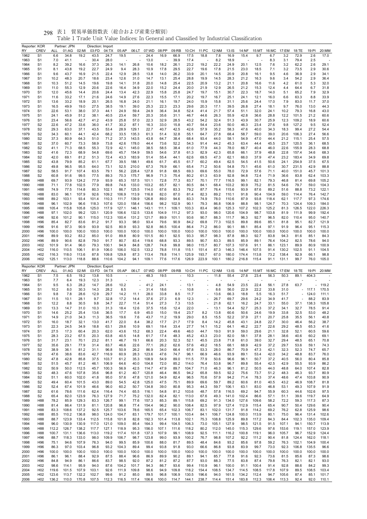| Reporter: KOR<br>RY | <b>CREV</b>                        | ALL            | Partner: JPN<br>01:AG | 02:MI          | Direction: Import<br>03:FD | 04:TX          | 05:AP          |                | 06:LT 07:WD    | 08:PP          | 09:RB          | 10:CH          | 11:PC          | 12:NM          | 13:IS          | 14:NF          | 15:MT          | 16:MC          | 17:EM          | 18:TE          | 19:PI          | 20:MM          |
|---------------------|------------------------------------|----------------|-----------------------|----------------|----------------------------|----------------|----------------|----------------|----------------|----------------|----------------|----------------|----------------|----------------|----------------|----------------|----------------|----------------|----------------|----------------|----------------|----------------|
| 1962                | S <sub>1</sub>                     | 6.6            | 34.8                  | 19.2           | 43.5                       | 24.7           | 19.5           |                | 24.4           | 16.9           | 66.9           | 17.5           | 18.8           | 7.8            | 16.9           | 15.4           | 9.7            | 6.7            | 3.2            | 72.9           | 2.6            | 17.0           |
| 1963                | S <sub>1</sub>                     | 7.0            | 41.1                  |                | 30.4                       | 28.0           |                |                | 13.0           |                | 39.9           | 17.4           |                | 8.2            | 18.9           |                |                | 8.3            | 3.1            | 79.4           | 2.5            |                |
| 1964                | S <sub>1</sub>                     | 8.2            | 39.2                  | 16.6           | 37.3                       | 26.3           | 14.1           | 26.8           | 10.6           | 18.2           | 26.1           | 23.2           | 19.2           | 22.2           | 24.9           | 20.1           | 12.5           | 7.6            | 3.2            | 62.2           | 2.6            | 29.1           |
| 1965<br>1966        | S <sub>1</sub><br>S <sub>1</sub>   | 8.1<br>9.6     | 43.8<br>43.7          | 19.2<br>16.9   | 22.7<br>21.5               | 24.9<br>22.4   | 9.4<br>12.9    | 28.3<br>28.5   | 10.9<br>13.8   | 17.8<br>14.0   | 29.5<br>26.2   | 22.7<br>33.9   | 19.6<br>20.1   | 17.8<br>14.5   | 21.5<br>20.9   | 23.0<br>20.8   | 18.5<br>16.1   | 7.1<br>9.5     | 3.2<br>4.6     | 73.5<br>36.9   | 2.9<br>2.9     | 30.6<br>34.1   |
| 1967                | S <sub>1</sub>                     | 10.2           | 48.3                  | 20.7           | 18.6                       | 23.4           | 12.6           | 31.0           | 14.7           | 13.1           | 25.4           | 28.8           | 19.9           | 14.5           | 28.3           | 21.2           | 16.3           | 9.6            | 3.4            | 54.2           | 2.9            | 36.4           |
| 1968                | S <sub>1</sub>                     | 10.3           | 51.2                  | 14.5           | 19.6                       | 19.8           | 14.1           | 31.8           | 20.0           | 14.8           | 25.4           | 22.5           | 20.9           | 13.2           | 21.1           | 20.8           | 16.6           | 11.6           | 4.2            | 61.0           | 5.3            | 32.0           |
| 1969                | S <sub>1</sub>                     | 11.0           | 55.3                  | 12.9           | 20.6                       | 22.6           | 16.4           | 34.9           | 22.0           | 15.2           | 24.4           | 20.0           | 21.9           | 12.9           | 26.5           | 21.2           | 15.3           | 12.4           | 4.4            | 64.4           | 6.7            | 31.8           |
| 1970                | S <sub>1</sub>                     | 12.0           | 45.6                  | 14.4           | 20.6<br>21.6               | 24.4           | 13.4<br>14.9   | 42.3<br>27.6   | 22.9<br>22.3   | 15.8           | 25.8           | 24.7<br>20.2   | 19.7           | 15.1           | 30.7           | 22.3           | 18.7<br>12.1   | 14.0           | 5.1            | 65.2           | 7.9            | 32.9           |
| 1971<br>1972        | S <sub>1</sub><br>S <sub>1</sub>   | 11.6<br>13.6   | 33.2<br>33.2          | 17.1<br>18.9   | 20.1                       | 24.6<br>26.5   | 16.8           | 24.0           | 21.1           | 15.5<br>16.1   | 17.1<br>19.7   | 24.0           | 19.7<br>15.9   | 16.7<br>15.8   | 25.1<br>31.1   | 24.1<br>25.6   | 24.4           | 16.0<br>17.0   | 6.6<br>7.9     | 63.3<br>83.0   | 8.8<br>11.7    | 33.9<br>37.0   |
| 1973                | S <sub>1</sub>                     | 16.5           | 49.9                  | 19.0           | 27.5                       | 38.5           | 19.1           | 39.0           | 25.3           | 22.3           | 23.3           | 29.6           | 20.3           | 17.1           | 39.5           | 26.8           | 27.4           | 18.1           | 9.7            | 76.0           | 13.0           | 44.3           |
| 1974                | S <sub>1</sub>                     | 22.6           | 53.1                  | 38.0           | 37.3                       | 44.1           | 24.9           | 59.4           | 24.9           | 36.4           | 34.8           | 52.4           | 41.4           | 21.7           | 57.4           | 51.1           | 32.0           | 24.1           | 10.2           | 79.3           | 16.8           | 43.0           |
| 1975                | S <sub>1</sub>                     | 24.1           | 45.9                  | 51.2           | 38.1                       | 40.5           | 23.4           | 59.7           | 20.3           | 35.6           | 31.1           | 46.7           | 44.6           | 26.3           | 55.9           | 42.8           | 36.6           | 28.8           | 12.2           | 101.5          | 21.2           | 60.6           |
| 1976<br>1977        | S <sub>1</sub><br>S <sub>2</sub>   | 23.4<br>22.6   | 56.6<br>47.2          | 42.7<br>33.6   | 41.2<br>36.0               | 43.9<br>41.7   | 25.8<br>30.2   | 57.0<br>87.1   | 22.3<br>16.3   | 32.9<br>33.0   | 28.5<br>15.8   | 43.2<br>40.7   | 54.2<br>54.4   | 32.4<br>23.6   | 51.3<br>50.0   | 43.9<br>46.3   | 30.7<br>23.4   | 25.9<br>27.6   | 12.3<br>9.8    | 109.2<br>127.2 | 18.9<br>9.5    | 60.6<br>52.4   |
| 1978                | S <sub>2</sub>                     | 29.3           | 63.0                  | 37.1           | 43.5                       | 53.4           | 28.9           | 129.1          | 22.7           | 40.7           | 42.5           | 42.6           | 57.9           | 35.2           | 58.3           | 47.6           | 40.0           | 34.3           | 18.3           | 99.4           | 27.2           | 54.4           |
| 1979                | S <sub>2</sub>                     | 34.3           | 60.1                  | 44.1           | 42.4                       | 68.2           | 33.5           | 135.3          | 61.3           | 51.4           | 32.8           | 55.1           | 64.7           | 27.8           | 68.4           | 58.7           | 59.0           | 39.0           | 20.6           | 106.3          | 27.4           | 56.6           |
| 1980                | S <sub>2</sub>                     | 37.3           | 80.9                  | 64.3           | 51.0                       | 71.2           | 37.3           | 143.5          | 43.8           | 64.7           | 38.4           | 68.4           | 93.4           | 44.0           | 58.1           | 54.9           | 47.0           | 44.4           | 21.2           | 115.1          | 25.4           | 57.5           |
| 1981                | S <sub>2</sub>                     | 37.0           | 60.7<br>71.3          | 73.3<br>68.5   | 58.9                       | 73.8<br>72.9   | 42.6<br>42.1   | 178.0<br>145.0 | 44.4<br>38.5   | 73.6<br>58.5   | 52.2<br>38.4   | 54.3<br>61.0   | 91.4<br>77.9   | 44.2<br>44.3   | 45.3<br>78.0   | 63.4           | 44.4<br>40.4   | 45.5<br>46.0   | 23.7<br>22.6   | 120.5<br>155.9 | 36.1<br>28.3   | 68.5<br>68.8   |
| 1982<br>1983        | S <sub>2</sub><br>S <sub>2</sub>   | 41.1<br>41.6   | 72.3                  | 68.9           | 55.3<br>54.8               | 69.6           | 45.7           | 154.9          | 59.5           | 54.6           | 37.8           | 61.3           | 82.9           | 42.3           | 65.8           | 66.7<br>66.1   | 37.9           | 48.8           | 22.8           | 157.4          | 34.6           | 68.3           |
| 1984                | S <sub>2</sub>                     | 42.0           | 69.1                  | 81.2           | 51.3                       | 72.4           | 43.3           | 183.9          | 51.4           | 55.4           | 44.1           | 62.6           | 69.5           | 47.3           | 62.1           | 66.0           | 37.9           | 47.4           | 23.2           | 183.4          | 34.9           | 69.8           |
| 1985                | S <sub>2</sub>                     | 43.8           | 79.9                  | 85.2           | 61.1                       | 67.7           | 39.5           | 188.1          | 49.6           | 61.7           | 45.5           | 61.7           | 60.2           | 49.4           | 62.5           | 54.5           | 41.5           | 50.6           | 24.1           | 254.9          | 37.5           | 67.5           |
| 1986                | S <sub>2</sub>                     | 49.8           | 96.5                  | 95.5           | 64.0                       | 73.1           | 52.5           | 210.0          | 67.3           | 76.9           | 66.1           | 65.4           | 71.2           | 50.6           | 54.8           | 70.1           | 45.6           | 61.0           | 30.7           | 231.5          | 42.9           | 88.8           |
| 1987<br>1988        | S <sub>2</sub><br>S <sub>2</sub>   | 58.5<br>60.8   | 91.7<br>91.6          | 107.4<br>99.5  | 63.5<br>77.5               | 79.1<br>89.3   | 56.2<br>70.3   | 228.4<br>175.7 | 127.8<br>96.9  | 91.8<br>71.3   | 68.5<br>75.4   | 69.3<br>80.2   | 69.6<br>61.3   | 55.0<br>63.9   | 78.0<br>92.8   | 72.9<br>94.8   | 57.6<br>72.4   | 71.1<br>71.9   | 40.0<br>36.6   | 151.0<br>83.8  | 45.7<br>62.4   | 101.3<br>103.3 |
| 1989                | H88                                | 69.7           | 93.9                  | 124.2          | 77.9                       | 93.9           | 65.3           | 157.5          | 101.1          | 72.8           | 77.3           | 83.7           | 70.1           | 77.7           | 116.5          | 99.1           | 82.1           | 79.3           | 46.8           | 81.4           | 69.8           | 105.2          |
| 1990                | H88                                | 71.1           | 77.8                  | 102.5          | 77.9                       | 89.8           | 74.6           | 133.0          | 103.2          | 65.7           | 82.1           | 80.5           | 84.1           | 68.4           | 103.2          | 90.9           | 75.2           | 81.5           | 54.6           | 79.7           | 59.0           | 104.3          |
| 1991                | H88                                | 74.9           | 77.5                  | 114.8          | 80.3                       | 102.1          | 86.7           | 125.5          | 114.0          | 67.6           | 83.3           | 79.2           | 87.7           | 76.4           | 115.6          | 93.9           | 87.6           | 89.2           | 51.6           | 88.8           | 73.2           | 122.1          |
| 1992                | H88                                | 83.0           | 96.1                  | 107.9          | 92.6                       | 109.2          | 106.9          | 113.9          | 116.8          | 82.0           | 87.0           | 81.4           | 82.3           | 89.2           | 110.1          | 91.8           | 90.4           | 104.9          | 59.0           | 114.4          | 76.4           | 142.7          |
| 1993<br>1994        | H88<br>H88                         | 89.2<br>96.1   | 103.1<br>102.9        | 93.4<br>96.6   | 101.4<br>118.3             | 110.3<br>107.6 | 111.7<br>120.0 | 139.9<br>158.4 | 126.8<br>156.6 | 89.0<br>98.2   | 94.6<br>102.9  | 83.3<br>90.1   | 74.9<br>79.3   | 78.0<br>86.8   | 110.6<br>106.9 | 87.9<br>88.8   | 93.8<br>98.1   | 118.4<br>124.7 | 62.1<br>70.3   | 117.7<br>124.4 | 97.3<br>109.3  | 174.6<br>184.0 |
| 1995                | H88                                | 105.4          | 115.8                 | 105.8          | 125.0                      | 117.9          | 127.1          | 146.1          | 143.1          | 111.1          | 109.1          | 103.3          | 83.4           | 96.0           | 125.3          | 107.2          | 102.3          | 125.2          | 81.3           | 126.5          | 122.0          | 226.3          |
| 1996                | H88                                | 97.1           | 102.0                 | 99.2           | 120.1                      | 120.9          | 106.6          | 132.5          | 133.6          | 104.9          | 111.2          | 97.3           | 93.0           | 98.0           | 120.6          | 104.9          | 98.7           | 103.8          | 81.9           | 111.9          | 99.9           | 192.4          |
| 1997                | H96                                | 92.6           | 101.2                 | 90.1           | 115.0                      | 112.3          | 100.4          | 131.2          | 121.7          | 89.9           | 101.1          | 93.6           | 90.7           | 88.3           | 111.7          | 96.3           | 92.7           | 96.5           | 82.0           | 110.4          | 95.0           | 140.7          |
| 1998<br>1999        | H96<br>H96                         | 85.4<br>91.6   | 82.7<br>97.3          | 83.6<br>90.9   | 81.2<br>93.9               | 91.7<br>92.5   | 93.3<br>80.9   | 98.0<br>93.3   | 93.4<br>92.8   | 79.6<br>86.5   | 90.9<br>100.4  | 84.2<br>86.4   | 69.8<br>71.2   | 77.3<br>86.0   | 102.5<br>90.1  | 89.8<br>88.1   | 89.6<br>85.4   | 85.1<br>97.1   | 81.8<br>91.9   | 95.1<br>96.4   | 82.7<br>95.1   | 121.9<br>115.3 |
| 2000                | H96                                | 100.0          | 100.0                 | 100.0          | 100.0                      | 100.0          | 100.0          | 100.0          | 100.0          | 100.0          | 100.0          | 100.0          | 100.0          | 100.0          | 100.0          | 100.0          | 100.0          | 100.0          | 100.0          | 100.0          | 100.0          | 100.0          |
| 2001                | H96                                | 89.9           | 93.2                  | 83.2           | 85.0                       | 91.0           | 89.8           | 80.9           | 101.5          | 80.1           | 92.5           | 93.3           | 95.7           | 98.3           | 87.8           | 88.3           | 92.7           | 83.8           | 94.3           | 81.6           | 85.1           | 84.3           |
| 2002                | H96                                | 89.9           | 90.6                  | 82.8           | 79.0                       | 91.7           | 80.7           | 83.4           | 119.6          | 68.8           | 93.3           | 89.5           | 90.7           | 83.3           | 89.5           | 85.9           | 89.1           | 76.4           | 104.2          | 82.5           | 78.6           | 94.0           |
| 2003<br>2004        | H <sub>02</sub><br>H <sub>02</sub> | 101.9<br>116.0 | 91.4<br>110.5         | 96.0<br>106.1  | 79.3<br>81.9               | 100.1<br>106.0 | 94.9<br>106.0  | 84.8<br>102.5  | 128.7<br>133.2 | 74.8<br>78.8   | 99.8<br>111.8  | 98.0<br>115.1  | 115.7<br>151.4 | 80.7<br>87.3   | 107.3<br>146.3 | 107.6<br>146.4 | 91.1<br>107.5  | 86.1<br>91.4   | 123.1<br>130.2 | 89.9<br>102.5  | 80.9<br>91.1   | 100.9<br>104.5 |
| 2005                | H <sub>02</sub>                    | 116.3          | 118.0                 | 113.6          | 87.8                       | 109.8          | 129.8          | 87.3           | 113.4          | 78.8           | 114.1          | 125.9          | 193.7          | 67.0           | 180.0          | 174.4          | 113.8          | 73.2           | 138.4          | 92.9           | 66.1           | 98.8           |
| 2006                | H <sub>02</sub>                    | 125.1          | 113.0                 | 118.8          | 88.6                       | 110.6          | 104.2          | 94.1           | 109.1          | 77.6           | 117.6          | 126.9          | 223.9          | 100.1          | 180.2          | 216.8          | 115.4          | 91.1           | 131.1          | 99.7           | 76.0           | 105.0          |
|                     |                                    |                |                       |                |                            |                |                |                |                |                |                |                |                |                |                |                |                |                |                |                |                |                |
| Reporter: KOR       |                                    |                | Partner: JPN          |                | Direction: Export          |                |                |                |                |                |                |                |                |                |                |                |                |                |                |                |                |                |
| RY                  | <b>CREV</b>                        | ALL            | 01:AG                 | 02:MI          | 03:FD                      | 04:TX          | 05:AP          | 06:LT          | 07:WD          | 08:PP          | 09:RB          | 10:CH          | 11:PC          | 12:NM          | 13:IS          | 14:NF          | 15:MT          | 16:MC          | 17:EM          | 18:TE          | 19:PI          | 20:MM          |
| 1962                | S <sub>1</sub>                     | 7.5            | 6.5                   | 19.2           | 13.8                       | 10.5           |                |                | 48.3           | 19.5           |                | 10.3           |                | 11.8           | 55.4           | 27.8           | 23.4           | 56.3           | 50.3           | 89.1           | 404.3          |                |
| 1963                | S <sub>1</sub>                     | 7.7            | 6.4                   | 19.3           | 12.3                       | 31.3           |                |                |                |                |                |                |                |                |                |                |                |                |                |                |                |                |
| 1964<br>1965        | S <sub>1</sub><br>S <sub>1</sub>   | 9.5<br>10.2    | 6.3<br>8.0            | 28.2<br>30.3   | 14.7<br>14.3               | 28.6<br>28.2   | 10.2<br>8.5    | ä,             | 41.2<br>31.4   | 24.1<br>18.6   |                | 13.1<br>10.8   |                | 4.8<br>8.6     | 54.9<br>56.0   | 23.5<br>22.9   | 22.4<br>22.2   | 56.1<br>33.8   | 27.8<br>31.0   | 63.7           | 117.1          | 119.2<br>170.5 |
| 1966                | S <sub>1</sub>                     | 9.8            | 7.8                   | 28.6           | 12.9                       | 29.7           | 14.2           | 11.1           | 28.0           | 33.8           | 8.5            | 11.7           |                | 13.6           | 66.3           | 18.8           | 5.5            | 16.3           | 51.7           |                | 124.0          | 111.1          |
| 1967                | S <sub>1</sub>                     | 11.5           | 10.1                  | 28.1           | 9.7                        | 32.8           | 17.2           | 14.4           | 37.6           | 27.3           | 6.9            | 12.3           |                | 26.7           | 69.7           | 29.6           | 24.2           | 34.9           | 41.7           | ÷,             | 88.2           | 83.9           |
| 1968                | S <sub>1</sub>                     | 12.2           | 8.8                   | 30.5           | 9.8                        | 34.7           | 22.7           | 11.4           | 51.4           | 27.3           | 7.3            | 13.5           |                | 21.8           | 62.1           | 16.2           | 24.7           | 33.1           | 55.0           | 37.1           | 138.3          | 105.8          |
| 1969<br>1970        | S <sub>1</sub><br>S <sub>1</sub>   | 13.3<br>14.6   | 14.7<br>25.2          | 31.0<br>25.4   | 10.3<br>13.6               | 31.3<br>36.5   | 18.4<br>17.7   | 12.6<br>6.9    | 37.5<br>45.0   | 15.6<br>15.0   | 12.4<br>19.4   | 22.0<br>23.7   | 8.2            | 13.1<br>13.8   | 54.4<br>60.6   | 52.7<br>50.6   | 25.3<br>24.6   | 37.2<br>19.9   | 34.1<br>33.8   | 32.7<br>32.5   | 78.5<br>53.0   | 91.4<br>48.2   |
| 1971                | S <sub>1</sub>                     | 14.9           | 21.0                  | 34.3           | 11.3                       | 36.5           | 19.6           | 7.6            | 43.7           | 11.2           | 19.9           | 29.0           | 8.5            | 15.5           | 52.2           | 37.9           | 27.1           | 20.7           | 25.8           | 35.5           | 56.1           | 40.8           |
| 1972                | S <sub>1</sub>                     | 16.0           | 18.7                  | 32.1           | 13.0                       | 41.7           | 22.0           | 8.4            | 38.2           | 17.7           | 21.7           | 17.9           | 8.4            | 14.2           | 45.8           | 43.1           | 24.8           | 22.7           | 30.0           | 46.4           | 56.2           | 38.7           |
| 1973                | S <sub>1</sub>                     | 22.3           | 24.5                  | 34.9           | 18.8                       | 63.1           | 29.6           | 10.9           | 69.1           | 19.4           | 33.4           | 27.7           | 14.1           | 15.2           | 64.1           | 46.2           | 22.7           | 22.6           | 29.2           | 48.5           | 65.3           | 41.6           |
| 1974<br>1975        | S <sub>1</sub><br>S1               | 27.5<br>28.3   | 17.3<br>23.2          | 60.4<br>67.5   | 20.3<br>20.3               | 62.0<br>63.8   | 43.6<br>40.5   | 15.2<br>14.8   | 68.3<br>61.7   | 22.4<br>17.4   | 49.6<br>48.3   | 46.0<br>45.2   | 44.7<br>43.3   | 19.0<br>23.0   | 91.9<br>82.0   | 59.0<br>58.1   | 29.6<br>37.8   | 21.1<br>28.1   | 32.8<br>38.6   | 52.1<br>40.6   | 60.5<br>60.2   | 59.6<br>69.1   |
| 1976                | S <sub>1</sub>                     | 31.7           | 23.1                  | 70.1           | 23.2                       | 81.1           | 46.7           | 19.1           | 66.6           | 20.3           | 52.3           | 52.1           | 45.5           | 23.8           | 71.8           | 61.0           | 39.0           | 32.7           | 29.4           | 48.5           | 65.1           | 70.8           |
| 1977                | S <sub>2</sub>                     | 35.6           | 29.1                  | 77.9           | 31.4                       | 83.7           | 46.6           | 22.6           | 77.1           | 26.2           | 62.6           | 57.6           | 49.2           | 18.5           | 68.1           | 68.9           | 42.9           | 37.2           | 29.7           | 53.6           | 59.1           | 74.3           |
| 1978                | S <sub>2</sub>                     | 38.9           | 36.1                  | 81.2           | 31.1                       | 96.8           | 50.9           | 26.2           | 86.9           | 34.0           | 66.4           | 67.8           | 53.3           | 28.0           | 86.7           | 70.9           | 47.3           | 42.1           | 32.3           | 52.3           | 74.7           | 65.7           |
| 1979<br>1980        | S <sub>2</sub><br>S <sub>2</sub>   | 47.6<br>47.8   | 38.6<br>42.8          | 83.6<br>85.8   | 42.7<br>37.5               | 116.9<br>103.7 | 60.9<br>61.2   | 28.3<br>35.3   | 123.6<br>108.9 | 47.6<br>54.9   | 74.7<br>89.0   | 96.1<br>111.5  | 66.9<br>77.9   | 46.6<br>50.6   | 93.9<br>96.6   | 89.1<br>96.1   | 53.4<br>50.7   | 42.0<br>37.2   | 34.2<br>40.5   | 48.8<br>56.0   | 83.7<br>80.4   | 76.0<br>85.8   |
| 1981                | S <sub>2</sub>                     | 51.5           | 45.7                  | 81.2           | 46.1                       | 106.9          | 64.6           | 40.0           | 104.8          | 72.0           | 85.2           | 114.0          | 76.4           | 53.8           | 96.7           | 89.8           | 55.4           | 42.5           | 42.9           | 55.5           | 93.9           | 86.2           |
| 1982                | S <sub>2</sub>                     | 50.9           | 50.0                  | 112.5          | 45.7                       | 100.3          | 56.9           | 42.5           | 114.7          | 47.9           | 89.7           | 104.7          | 71.0           | 46.3           | 96.1           | 81.2           | 50.5           | 44.0           | 48.8           | 64.0           | 107.4          | 82.8           |
| 1983                | S <sub>2</sub>                     | 48.3           | 47.6                  | 107.8          | 35.6                       | 96.8           | 61.2           | 40.7           | 120.8          | 46.4           | 86.5           | 94.2           | 65.8           | 59.5           | 92.2           | 75.6           | 73.7           | 51.2           | 48.3           | 46.3           | 93.7           | 80.9           |
| 1984                | S <sub>2</sub>                     | 51.1           | 60.0                  | 102.0<br>101.5 | 41.8                       | 95.0<br>89.0   | 57.6           | 47.8           | 121.0          | 54.9           | 82.4           | 96.5           | 70.6           | 57.9<br>59.7   | 94.2           | 71.4           | 78.3           | 37.4           | 48.6           | 47.4           | 103.8<br>108.7 | 90.9           |
| 1985<br>1986        | S <sub>2</sub><br>S <sub>2</sub>   | 49.4<br>52.4   | 60.4<br>67.4          | 101.9          | 43.0<br>46.6               | 96.0           | 54.5<br>60.2   | 42.8<br>50.7   | 125.0<br>134.8 | 47.5<br>39.0   | 75.1<br>80.8   | 89.9<br>95.3   | 69.6<br>44.3   | 59.7           | 89.2<br>106.1  | 60.6<br>63.1   | 81.0<br>83.0   | 40.5<br>46.8   | 43.2<br>53.1   | 46.9<br>49.3   | 107.9          | 81.8<br>91.9   |
| 1987                | S <sub>2</sub>                     | 61.6           | 78.6                  | 111.6          | 62.4                       | 116.4          | 74.4           | 65.5           | 116.1          | 54.8           | 81.2           | 103.6          | 48.7           | 57.8           | 116.5          | 69.2           | 94.7           | 55.9           | 60.3           | 44.6           | 102.6          | 97.5           |
| 1988                | S <sub>2</sub>                     | 65.4           | 82.0                  | 123.9          | 76.3                       | 127.9          | 71.7           | 75.2           | 132.0          | 82.4           | 82.1           | 113.0          | 67.6           | 49.3           | 141.0          | 102.4          | 86.6           | 57.1           | 51.1           | 39.6           | 119.7          | 64.9           |
| 1989                | H88                                | 78.2           | 85.9                  | 129.3          | 83.3                       | 126.7          | 99.1           | 77.6           | 157.3          | 85.3           | 89.1           | 115.8          | 69.2           | 91.3           | 134.0          | 127.6          | 109.6          | 58.2           | 72.2           | 59.3           | 117.3          | 87.3           |
| 1990<br>1991        | H88<br>H88                         | 81.4<br>83.3   | 86.4<br>108.6         | 131.9<br>137.2 | 81.1<br>92.5               | 120.8<br>125.7 | 96.8<br>103.6  | 77.4<br>78.6   | 154.4<br>165.5 | 96.2<br>65.4   | 90.0<br>102.3  | 108.4<br>106.7 | 82.5<br>83.1   | 97.9<br>102.0  | 127.4<br>131.7 | 112.9<br>91.8  | 115.4<br>114.2 | 65.4<br>69.2   | 90.7<br>76.2   | 50.4<br>62.8   | 129.6<br>125.9 | 90.4<br>98.6   |
| 1992                | H88                                | 85.5           | 110.2                 | 136.8          | 98.0                       | 124.0          | 104.7          | 83.1           | 179.7          | 101.7          | 100.1          | 103.4          | 84.1           | 106.7          | 124.8          | 100.0          | 113.9          | 80.1           | 75.0           | 96.4           | 131.4          | 102.6          |
| 1993                | H88                                | 88.7           | 123.9                 | 133.4          | 112.5                      | 115.8          | 101.8          | 82.8           | 192.3          | 101.4          | 113.8          | 102.1          | 75.3           | 108.8          | 125.9          | 89.8           | 117.2          | 84.3           | 84.4           | 102.3          | 135.0          | 109.4          |
| 1994                | H88                                | 96.0           | 130.9                 | 130.9          | 117.0                      | 121.0          | 109.0          | 85.4           | 164.3          | 99.4           | 104.5          | 106.3          | 73.0           | 105.1          | 127.9          | 98.5           | 121.5          | 91.5           | 107.1          | 94.1           | 150.7          | 113.9          |
| 1995<br>1996        | H88<br>H88                         | 112.2<br>100.7 | 126.7<br>131.1        | 138.2<br>136.6 | 117.7<br>113.0             | 127.1<br>119.2 | 118.9<br>117.4 | 95.3<br>101.8  | 156.0<br>137.3 | 107.1<br>107.9 | 111.6<br>99.1  | 118.2<br>108.9 | 80.2<br>92.5   | 112.0<br>111.1 | 145.0<br>116.2 | 115.3<br>100.8 | 129.6<br>119.1 | 97.6<br>96.0   | 153.6<br>105.7 | 119.1<br>96.7  | 157.0<br>152.9 | 123.9<br>124.4 |
| 1997                | H96                                | 88.7           | 118.3                 | 133.0          | 98.0                       | 109.9          | 106.7          | 98.7           | 123.8          | 99.0           | 93.9           | 100.2          | 76.7           | 98.8           | 107.2          | 92.2           | 111.2          | 90.4           | 81.8           | 124.4          | 162.0          | 118.1          |
| 1998                | H96                                | 75.1           | 94.6                  | 107.9          | 76.3                       | 94.0           | 99.5           | 85.9           | 100.6          | 88.0           | 81.7           | 89.5           | 48.4           | 84.6           | 93.2           | 85.6           | 97.8           | 59.2           | 76.3           | 102.1          | 104.9          | 100.4          |
| 1999                | H96                                | 86.3           | 97.0                  | 103.4          | 96.8                       | 93.2           | 104.3          | 89.4           | 99.4           | 93.8           | 91.8           | 93.0           | 66.6           | 86.8           | 93.8           | 83.9           | 99.7           | 73.0           | 92.3           | 106.8          | 135.5          | 96.6           |
| 2000<br>2001        | H96<br>H <sub>96</sub>             | 100.0<br>86.1  | 100.0<br>96.1         | 100.0<br>88.4  | 100.0<br>92.9              | 100.0<br>87.5  | 100.0<br>88.4  | 100.0<br>96.6  | 100.0<br>86.9  | 100.0<br>89.9  | 100.0<br>90.2  | 100.0<br>89.1  | 100.0<br>94.1  | 100.0<br>85.7  | 100.0<br>77.8  | 100.0<br>91.6  | 100.0<br>92.3  | 100.0<br>73.6  | 100.0<br>81.5  | 100.0<br>85.6  | 100.0<br>87.3  | 100.0<br>98.6  |
| 2002                | H96                                | 84.8           | 94.9                  | 86.1           | 86.6                       | 83.7           | 98.5           | 92.0           | 87.2           | 81.2           | 87.2           | 87.7           | 93.0           | 88.3           | 77.5           | 83.8           | 87.4           | 79.8           | 76.3           | 82.1           | 82.1           | 93.0           |
| 2003                | H <sub>02</sub>                    | 98.6           | 114.1                 | 95.9           | 94.0                       | 87.6           | 104.2          | 101.7          | 94.3           | 86.7           | 93.6           | 99.4           | 110.9          | 96.1           | 100.0          | 91.1           | 100.4          | 91.4           | 92.8           | 88.6           | 84.2           | 99.3           |
| 2004<br>2005        | H <sub>02</sub><br>H <sub>02</sub> | 119.6<br>123.6 | 101.5<br>113.7        | 107.9<br>132.2 | 103.1<br>102.7             | 92.6<br>99.6   | 111.9<br>91.2  | 109.8<br>85.0  | 98.6<br>89.5   | 94.9<br>96.8   | 109.8<br>106.9 | 118.2<br>130.5 | 154.4<br>196.6 | 108.5<br>94.0  | 134.7<br>161.5 | 114.5<br>134.2 | 108.5<br>112.4 | 117.8<br>94.7  | 107.9<br>105.6 | 89.5<br>87.4   | 108.5<br>85.1  | 103.4<br>101.7 |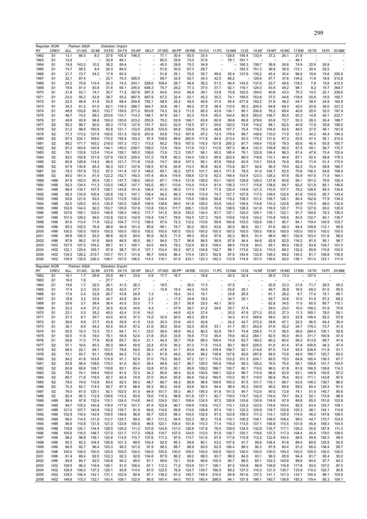| Reporter: KOR<br>RY | <b>CREV</b>                        | ALL            | Partner: ASIA<br>01:AG | 02:MI          | Direction: Import<br>03:FD | 04:TX          | 05:AP          | 06:LT                    | 07:WD          | 08:PP          | 09:RB          | 10:CH          | 11:PC          | 12:NM          | 13:IS          | 14:NF          | 15:MT          | 16:MC          | 17:EM          | 18:TE          | 19:PI          | 20:MM          |
|---------------------|------------------------------------|----------------|------------------------|----------------|----------------------------|----------------|----------------|--------------------------|----------------|----------------|----------------|----------------|----------------|----------------|----------------|----------------|----------------|----------------|----------------|----------------|----------------|----------------|
| 1962                | S <sub>1</sub>                     | 13.1           | 66.5                   | 8.0            | 27.6                       | 105.5          | 746.0          |                          | 77.1           | 30.4           | 83.5           | 33.4           |                | 129.6          | 195.4          | 133.4          | 37.2           | 26.1           | 21.8           |                |                |                |
| 1963                | S <sub>1</sub>                     | 12.4           |                        |                | 30.9                       | 89.1           |                |                          | 65.5           | 29.6           | 73.0           | 31.6           |                | 78.1           | 181.1          |                |                |                | 46.1           |                |                |                |
| 1964                | S <sub>1</sub>                     | 19.9           | 143.2                  | 10.2           | 36.2                       | 89.4           |                | $\overline{\phantom{a}}$ | 45.0           | 29.8           | 75.3           | 34.9           |                |                | 180.3          | 138.7          | 39.9           | 26.6           | 74.9           | 32.6           | 26.9           |                |
| 1965<br>1966        | S1<br>S1                           | 14.7<br>21.7   | 58.5<br>73.7           | 9.4<br>24.2    | 24.3<br>17.9               | 84.0<br>60.2   |                |                          | 51.6<br>51.8   | 30.5<br>29.1   | 67.3<br>70.0   | 29.7<br>35.7   | 48.6           | 35.4           | 183.3<br>137.6 | 151.3<br>135.2 | 36.8<br>45.4   | 36.9<br>30.4   | 113.1<br>96.8  | 30.4<br>18.6   | 25.5<br>15.6   | 350.9          |
| 1967                | S <sub>1</sub>                     | 22.1           | 67.4                   |                | 23.1                       | 75.3           | 425.0          |                          | 58.7           | 32.9           | 62.7           | 34.3           | 42.5           | 66.2           |                | 129.9          | 57.7           | 37.6           | 144.2          | 11.9           | 18.9           | 312.8          |
| 1968                | S <sub>1</sub>                     | 24.2           | 70.6                   | 119.4          | 24.3                       | 74.5           | 243.1          | 526.6                    | 109.4          | 28.7           | 56.6           | 36.2           | 51.2           | 94.4           | 143.5          | 137.0          | 23.7           | 48.6           | 118.2          | 7.8            | 15.6           | 412.0          |
| 1969                | S <sub>1</sub>                     | 18.6           | 41.0                   | 83.9           | 31.6                       | 69.1           | 245.0          | 649.3                    | 70.7           | 29.2           | 77.3           | 37.0           | 37.7           | 92.1           | 116.1          | 124.3          | 43.5           | 49.2           | 98.1           | 8.2            | 15.7           | 364.7          |
| 1970                | S <sub>1</sub>                     | 21.8           | 52.1                   | 74.7           | 35.7                       | 71.2           | 357.8          | 991.3                    | 64.6           | 33.0           | 68.9           | 39.1           | 33.8           | 70.8           | 162.5          | 154.0          | 40.6           | 43.3           | 75.3           | 14.0           | 20.1           | 338.6          |
| 1971<br>1972        | S <sub>1</sub><br>S <sub>1</sub>   | 23.0<br>22.5   | 56.2<br>48.9           | 53.8<br>41.8   | 39.7<br>50.5               | 55.2<br>68.4   | 697.5<br>259.8 | 667.9<br>755.1           | 67.2<br>58.5   | 32.4<br>29.2   | 53.1<br>49.5   | 45.2<br>46.9   | 35.2<br>37.0   | 74.1<br>94.4   | 169.5<br>277.9 | 153.8<br>180.2 | 37.0<br>37.8   | 44.6<br>58.2   | 118.8<br>54.7  | 20.6<br>38.4   | 19.5<br>24.9   | 192.7<br>162.8 |
| 1973                | S <sub>1</sub>                     | 34.3           | 81.2                   | 61.0           | 62.1                       | 116.3          | 288.7          | 364.7                    | 32.6           | 36.1           | 89.2           | 57.9           | 36.9           | 115.5          | 56.3           | 200.4          | 64.6           | 69.3           | 42.0           | 20.8           | 36.0           | 221.3          |
| 1974                | S <sub>1</sub>                     | 48.8           | 103.6                  | 96.5           | 133.7                      | 139.5          | 271.5          | 803.6                    | 74.3           | 62.3           | 111.5          | 65.3           | 43.9           | 134.1          | 85.1           | 330.6          | 76.3           | 69.4           | 40.8           | 25.0           | 32.0           | 187.4          |
| 1975                | S <sub>1</sub>                     | 46.7           | 74.2                   | 99.3           | 203.6                      | 110.1          | 114.3          | 186.1                    | 87.9           | 64.1           | 82.3           | 70.4           | 65.0           | 104.4          | 80.5           | 283.0          | 106.7          | 85.5           | 50.3           | 14.8           | 40.1           | 232.7          |
| 1976                | S <sub>1</sub>                     | 49.9           | 93.8                   | 98.8           | 100.0                      | 120.6          | 223.2          | 255.5                    | 79.2           | 52.9           | 106.1          | 63.8           | 60.9           | 99.8           | 69.8           | 279.6          | 83.6           | 73.7           | 50.3           | 28.3           | 36.4           | 188.7          |
| 1977<br>1978        | S <sub>2</sub><br>S <sub>2</sub>   | 50.2<br>51.2   | 99.7<br>98.6           | 90.5<br>100.8  | 85.3<br>83.8               | 117.6<br>121.1 | 127.9<br>133.5 | 191.7<br>230.8           | 83.5<br>124.9  | 52.9<br>55.8   | 116.5<br>129.9 | 67.1<br>79.3   | 55.6<br>48.8   | 120.0<br>157.7 | 73.6<br>75.4   | 116.2<br>118.3 | 88.1<br>104.9  | 62.5<br>63.5   | 40.9<br>46.0   | 17.8<br>27.5   | 35.8<br>46.1   | 190.0<br>161.6 |
| 1979                | S <sub>2</sub>                     | 77.3           | 173.2                  | 127.9          | 102.6                      | 151.3          | 152.8          | 251.6                    | 93.8           | 73.2           | 167.8          | 97.2           | 72.4           | 179.4          | 88.7           | 149.8          | 110.0          | 71.9           | 53.1           | 34.2           | 45.4           | 194.3          |
| 1980                | S <sub>2</sub>                     | 97.4           | 204.1                  | 169.6          | 170.2                      | 155.4          | 193.3          | 97.4                     | 108.6          | 88.6           | 200.9          | 117.9          | 94.5           | 213.4          | 93.3           | 170.3          | 121.6          | 67.3           | 53.6           | 47.4           | 56.1           | 210.4          |
| 1981                | S <sub>2</sub>                     | 98.2           | 171.7                  | 163.2          | 218.0                      | 157.3          | 172.1          | 113.3                    | 85.2           | 78.9           | 167.0          | 118.5          | 107.8          | 200.3          | 87.7           | 149.4          | 110.8          | 79.3           | 65.6           | 46.4           | 63.8           | 180.7          |
| 1982                | S <sub>2</sub>                     | 87.2           | 163.6                  | 140.9          | 144.1                      | 149.3          | 239.7          | 108.0                    | 72.9           | 76.6           | 117.9          | 112.1          | 112.6          | 187.3          | 86.4           | 133.3          | 109.8          | 90.2           | 57.5           | 49.1           | 58.7           | 170.7          |
| 1983<br>1984        | S <sub>2</sub><br>S <sub>2</sub>   | 78.1<br>82.0   | 133.8<br>152.8         | 123.4<br>121.9 | 110.4<br>127.9             | 129.1<br>142.5 | 165.0<br>230.0 | 106.6<br>101.2           | 73.9<br>79.8   | 72.2<br>80.2   | 135.7<br>134.4 | 99.1<br>105.3  | 95.2<br>95.8   | 185.4<br>203.4 | 76.1<br>86.0   | 122.8<br>118.8 | 104.4<br>110.1 | 96.3<br>94.4   | 67.4<br>67.1   | 47.6<br>52.4   | 73.4<br>58.8   | 152.4<br>176.3 |
| 1985                | S <sub>2</sub>                     | 80.8           | 128.8                  | 114.2          | 96.5                       | 121.7          | 171.8          | 115.6                    | 74.7           | 65.6           | 107.3          | 95.1           | 87.6           | 159.6          | 83.5           | 110.1          | 103.8          | 76.9           | 65.4           | 71.9           | 51.4           | 175.0          |
| 1986                | S <sub>2</sub>                     | 67.9           | 130.8                  | 65.3           | 92.3                       | 123.1          | 127.6          | 138.5                    | 67.8           | 65.8           | 110.3          | 90.8           | 42.9           | 170.9          | 82.7           | 92.6           | 95.3           | 79.0           | 62.0           | 70.4           | 58.8           | 166.7          |
| 1987                | S <sub>2</sub>                     | 78.3           | 157.9                  | 72.2           | 97.0                       | 141.8          | 137.3          | 146.6                    | 65.1           | 92.2           | 127.5          | 101.7          | 60.4           | 171.5          | 79.5           | 91.0           | 104.7          | 82.5           | 70.6           | 136.2          | 54.6           | 158.4          |
| 1988                | S <sub>2</sub>                     | 85.0           | 161.4                  | 81.0           | 122.2                      | 152.7          | 140.3          | 147.4                    | 85.4           | 116.9          | 158.9          | 121.5          | 62.3           | 148.4          | 103.4          | 123.3          | 126.2          | 87.8           | 55.9           | 147.6          | 71.5           | 164.1          |
| 1989<br>1990        | H88<br>H88                         | 87.9<br>93.3   | 152.0<br>134.5         | 90.4<br>111.3  | 130.1<br>133.0             | 147.7<br>146.2 | 138.5<br>147.1 | 160.0<br>163.0           | 87.1<br>85.1   | 119.4<br>110.6 | 131.9<br>115.4 | 126.0<br>115.4 | 63.1<br>81.9   | 140.6<br>136.3 | 129.8<br>111.7 | 129.3<br>115.8 | 137.8<br>138.8 | 85.6<br>94.7   | 59.1<br>62.0   | 191.2<br>121.9 | 76.6<br>85.1   | 155.4<br>146.6 |
| 1991                | H88                                | 96.4           | 135.7                  | 107.5          | 128.1                      | 143.9          | 141.6          | 106.4                    | 91.0           | 95.5           | 117.3          | 119.7          | 77.5           | 125.4          | 116.6          | 121.3          | 110.0          | 107.7          | 78.2           | 126.6          | 84.3           | 134.6          |
| 1992                | H88                                | 95.3           | 133.9                  | 100.4          | 126.6                      | 132.1          | 147.1          | 106.4                    | 94.2           | 89.3           | 119.9          | 113.9          | 74.7           | 127.7          | 107.9          | 117.5          | 109.4          | 122.4          | 81.8           | 134.8          | 90.7           | 143.4          |
| 1993                | H88                                | 93.6           | 121.6                  | 93.0           | 120.0                      | 110.9          | 130.0          | 105.7                    | 134.4          | 83.9           | 119.5          | 108.6          | 69.8           | 119.2          | 108.3          | 101.2          | 109.7          | 126.1          | 80.4           | 162.8          | 77.9           | 134.2          |
| 1994                | H88                                | 92.0           | 129.2                  | 83.5           | 130.9                      | 120.5          | 128.9          | 106.9                    | 138.6          | 88.5           | 141.8          | 108.5          | 63.8           | 124.2          | 109.4          | 115.8          | 110.2          | 122.6          | 69.9           | 115.5          | 86.0           | 132.4          |
| 1995<br>1996        | H88<br>H88                         | 102.5<br>107.6 | 144.0<br>155.1         | 92.3<br>103.0  | 153.7<br>146.9             | 135.6<br>126.4 | 137.8<br>146.0 | 112.8<br>117.7           | 130.0<br>141.5 | 117.7<br>83.9  | 206.1<br>193.2 | 133.8<br>134.4 | 72.6<br>81.7   | 138.5<br>137.1 | 128.2<br>122.0 | 141.9<br>129.1 | 116.9<br>116.1 | 120.7<br>122.1 | 77.0<br>91.7   | 127.6<br>124.6 | 93.0<br>78.3   | 135.9<br>136.4 |
| 1997                | H96                                | 101.0          | 128.2                  | 99.0           | 133.8                      | 122.5          | 142.9          | 118.4                    | 134.7          | 78.6           | 154.5          | 127.3          | 78.5           | 119.8          | 116.9          | 124.2          | 115.8          | 109.4          | 83.5           | 132.7          | 83.1           | 136.7          |
| 1998                | H96                                | 87.6           | 113.4                  | 71.8           | 122.2                      | 104.7          | 117.2          | 106.5                    | 97.0           | 72.3           | 112.2          | 110.6          | 59.6           | 100.8          | 103.0          | 102.6          | 105.1          | 90.7           | 84.1           | 119.4          | 104.9          | 103.7          |
| 1999                | H96                                | 85.3           | 102.5                  | 76.9           | 98.9                       | 94.9           | 101.0          | 95.6                     | 99.1           | 75.7           | 90.0           | 99.5           | 63.6           | 95.5           | 88.5           | 93.1           | 97.6           | 88.3           | 84.4           | 109.8          | 112.1          | 95.8           |
| 2000                | H96                                | 100.0          | 100.0                  | 100.0          | 100.0                      | 100.0          | 100.0          | 100.0                    | 100.0          | 100.0          | 100.0          | 100.0          | 100.0          | 100.0          | 100.0          | 100.0          | 100.0          | 100.0          | 100.0          | 100.0          | 100.0          | 100.0          |
| 2001                | H96                                | 95.8<br>97.8   | 100.0<br>99.2          | 93.5           | 86.8<br>89.6               | 92.9           | 93.9           | 90.9<br>89.1             | 92.5           | 71.5<br>72.7   | 89.3<br>96.8   | 93.5<br>89.5   | 97.6<br>89.9   | 92.3<br>87.8   | 89.5<br>94.4   | 91.4<br>84.8   | 98.9<br>92.6   | 88.1<br>82.5   | 102.9<br>116.2 | 103.4<br>81.5  | 101.8<br>95.1  | 98.0<br>98.7   |
| 2002<br>2003        | H96<br>H <sub>02</sub>             | 107.5          | 107.5                  | 91.6<br>105.2  | 89.7                       | 86.5<br>91.1   | 95.5<br>100.1  | 93.5                     | 94.0<br>94.5   | 79.2           | 132.4          | 92.5           | 108.0          | 88.5           | 110.8          | 93.0           | 95.1           | 86.0           | 130.2          | 83.6           | 104.7          | 101.0          |
| 2004                | H <sub>02</sub>                    | 122.1          | 125.4                  | 165.7          | 97.9                       | 98.7           | 101.5          | 107.1                    | 103.4          | 83.2           | 167.3          | 104.8          | 132.7          | 98.1           | 173.6          | 122.4          | 110.0          | 88.0           | 132.2          | 85.8           | 115.6          | 103.0          |
| 2005                | H <sub>02</sub>                    | 134.3          | 128.2                  | 215.7          | 103.7                      | 101.7          | 131.8          | 96.7                     | 104.6          | 86.4           | 174.4          | 120.3          | 162.8          | 97.5           | 184.8          | 133.8          | 126.3          | 89.2           | 140.2          | 81.7           | 106.8          | 136.9          |
| 2006                | H <sub>02</sub>                    | 139.9          | 135.8                  | 236.3          | 108.7                      | 107.0          | 106.2          | 114.3                    | 118.1          | 91.5           | 233.1          | 123.3          | 192.3          | 112.9          | 174.9          | 181.0          | 136.6          | 92.0           | 136.1          | 101.4          | 123.1          | 111.9          |
|                     |                                    |                |                        |                |                            |                |                |                          |                |                |                |                |                |                |                |                |                |                |                |                |                |                |
|                     | Reporter: KOR                      |                | Partner: ASIA          |                | Direction: Export          |                |                |                          |                |                |                |                |                |                |                |                |                |                |                |                |                |                |
| RY                  | <b>CREV</b>                        | ALL            | 01:AG                  | 02:MI          | 03:FD                      | 04:TX          | 05:AP          | 06:LT                    | 07:WD          | 08:PP          | 09:RB          |                | 10:CH 11:PC    | 12:NM          | 13:1S          | 14:NF          | 15:MT          | 16:MC 17:EM    |                | 18:TE          | 19:PI          | 20:MM          |
| 1962                | S <sub>1</sub>                     | 16.1           | 1.7                    | 29.9           | 25.9                       | 46.1           | 33.6           | 0.9                      | 17.7           | 16.7           |                | 18.8           |                | 42.3           | 32.4           |                | 26.5           | 13.3           |                | 127.0          |                |                |
| 1963<br>1964        | S <sub>1</sub><br>S <sub>1</sub>   | 16.3<br>15.6   | 1.6<br>1.7             | 32.0           | 27.7<br>26.1               | 41.5           | 26.3           |                          | 19.5           |                | 38.3           | 17.0           |                | 47.5           |                |                | 25.9           | 33.3           | 21.6           | 71.7           | 28.5           | 55.3           |
| 1965                | S <sub>1</sub>                     | 17.4           | 2.3                    | 33.0           | 30.0                       | 42.5           | 27.7           |                          | 10.8           | 15.4           | 44.3           | 15.5           |                | 53.6           | 28.1           |                | 49.7           | 26.9           | 16.5           | 68.2           | 61.5           | 55.5           |
| 1966                | S1                                 | 17.6           | 2.4                    | 32.9           | 26.7                       | 43.8           | 24.8           | 1.3                      |                | 16.4           | 34.3           | 15.1           |                | 33.8           | 26.5           |                | 61.1           | 26.2           | 9.7            | 77.4           | 74.1           | 99.1           |
| 1967                | S <sub>1</sub>                     | 18.9           | 3.2                    | 33.6           | 34.7                       | 42.8           | 25.4           | 2.2                      |                | 17.5           | 34.9           | 18.5           |                | 34.7           | 35.1           |                | 55.7           | 30.6           | 10.5           | 51.8           | 87.2           | 69.2           |
| 1968                | S <sub>1</sub><br>S <sub>1</sub>   | 20.6<br>22.2   | 3.7<br>4.4             | 36.4<br>37.2   | 36.4<br>34.5               | 43.5           | 33.0           | 7.1<br>9.3               |                | 25.7<br>37.9   | 36.8           | 23.0           | 40.1           | 36.0<br>35.7   |                |                | 62.8<br>59.0   | 34.5           | 11.0<br>16.0   | 65.5           | 85.7<br>91.9   | 110.1          |
| 1969<br>1970        | S <sub>1</sub>                     | 23.1           | 5.0                    | 35.2           | 40.0                       | 42.9<br>42.4   | 34.6<br>31.6   | 14.0                     |                | 44.6           | 38.7<br>42.4   | 21.2<br>27.4   | 29.6           | 35.0           | 37.4<br>47.6   | 271.3          | 63.0           | 23.0<br>27.3   | 11.3           | 108.2<br>165.1 | 78.0           | 75.8<br>59.1   |
| 1971                | S <sub>1</sub>                     | 27.3           | 8.7                    | 39.7           | 43.0                       | 40.0           | 37.3           | 15.2                     | 32.9           | 20.0           | 45.3           | 29.5           |                | 34.3           | 41.0           | 265.6          | 56.0           | 39.3           | 22.8           | 148.4          | 82.2           | 57.8           |
| 1972                | S1                                 | 26.6           | 5.8                    | 37.7           | 43.8                       | 39.9           | 41.5           | 13.0                     | 30.3           | 23.6           | 45.3           | 42.8           |                | 34.2           | 42.7           | 272.3          | 39.8           | 47.1           | 22.0           | 96.5           | 64.4           | 36.4           |
| 1973                | S <sub>1</sub>                     | 36.1           | 8.5                    | 44.2           | 54.5                       | 60.5           | 57.2           | 21.6                     | 38.0           | 35.6           | 52.0           | 50.6           | 33.1           | 41.7           | 55.1           | 263.4          | 57.6           | 50.2           | 24.7           | 179.3          | 73.7           | 41.5           |
| 1974                | S <sub>1</sub>                     | 50.5           | 10.3                   | 72.3           | 72.1                       | 64.1           | 51.1           | 23.0                     | 38.4           | 48.9           | 84.2           | 80.2           | 92.8           | 78.7           | 74.9           | 258.3          | 71.0           | 56.5           | 36.6           | 294.4          | 100.1          | 56.8           |
| 1975<br>1976        | S <sub>1</sub><br>S <sub>1</sub>   | 50.5<br>55.6   | 11.6<br>11.5           | 79.0<br>77.8   | 78.1<br>83.8               | 56.8<br>65.7   | 52.6<br>50.4   | 21.8<br>21.1             | 35.0<br>44.3   | 33.8<br>35.7   | 76.8<br>76.6   | 77.0<br>68.5   | 95.4<br>109.4  | 79.6<br>74.9   | 60.2<br>63.7   | 284.1<br>160.2 | 82.5<br>80.2   | 55.0<br>60.4   | 45.0<br>58.5   | 311.7<br>413.8 | 100.9<br>89.7  | 47.4<br>47.9   |
| 1977                | S <sub>2</sub>                     | 57.1           | 16.6                   | 80.3           | 85.3                       | 68.4           | 50.6           | 22.4                     | 47.6           | 36.2           | 81.2           | 71.5           | 114.5          | 80.1           | 69.5           | 225.5          | 81.8           | 61.4           | 47.6           | 438.8          | 94.3           | 47.4           |
| 1978                | S <sub>2</sub>                     | 66.0           | 22.1                   | 84.1           | 103.7                      | 79.8           | 59.0           | 28.3                     | 47.6           | 41.7           | 83.4           | 84.3           | 109.4          | 106.7          | 82.1           | 214.9          | 87.0           | 73.4           | 55.9           | 238.6          | 111.8          | 51.1           |
| 1979                | S <sub>2</sub>                     | 73.1           | 43.7                   | 91.1           | 108.8                      | 94.2           | 71.5           | 24.1                     | 81.9           | 49.2           | 85.4           | 99.2           | 136.8          | 127.6          | 93.6           | 287.9          | 98.0           | 73.8           | 44.0           | 186.7          | 120.7          | 62.0           |
| 1980<br>1981        | S <sub>2</sub><br>S <sub>2</sub>   | 84.2<br>83.8   | 41.8<br>56.4           | 103.6<br>108.6 | 174.9<br>175.3             | 91.1<br>91.0   | 82.9<br>80.0   | 37.0<br>38.4             | 79.2<br>68.6   | 58.0<br>42.7   | 97.2<br>96.7   | 121.1<br>129.0 | 174.5<br>190.9 | 133.2<br>139.6 | 101.3<br>85.3  | 204.1<br>125.2 | 89.5<br>76.5   | 75.0<br>75.4   | 64.8<br>69.1   | 185.4<br>158.6 | 136.3<br>141.7 | 67.7<br>104.0  |
| 1982                | S <sub>2</sub>                     | 80.9           | 68.6                   | 108.7          | 116.6                      | 83.1           | 83.4           | 33.8                     | 67.9           | 50.1           | 85.9           | 109.2          | 186.7          | 130.7          | 90.1           | 110.0          | 96.5           | 61.8           | 61.6           | 166.5          | 138.6          | 114.3          |
| 1983                | S <sub>2</sub>                     | 78.0           | 74.1                   | 109.4          | 105.0                      | 81.6           | 72.3           | 34.3                     | 80.8           | 46.4           | 82.8           | 100.6          | 168.1          | 122.4          | 88.7           | 110.9          | 88.8           | 63.9           | 63.1           | 148.9          | 140.6          | 97.0           |
| 1984                | S <sub>2</sub>                     | 80.7           | 71.6                   | 118.5          | 92.7                       | 82.4           | 74.9           | 37.0                     | 90.4           | 50.8           | 84.6           | 102.4          | 160.5          | 110.0          | 90.7           | 119.0          | 86.9           | 76.4           | 62.0           | 171.1          | 143.8          | 97.6           |
| 1985                | S <sub>2</sub>                     | 78.0           | 74.9                   | 112.6          | 83.4                       | 82.0           | 69.3           | 48.7                     | 88.7           | 46.3           | 88.8           | 96.6           | 159.8          | 100.3          | 87.5           | 101.7          | 116.1          | 66.7           | 63.9           | 148.3          | 139.7          | 86.0           |
| 1986                | S <sub>2</sub>                     | 70.3           | 83.7                   | 114.5          | 90.7                       | 87.4           | 68.8           | 50.3                     | 86.2           | 45.8           | 83.6           | 92.4           | 94.4           | 98.4           | 85.3           | 100.9          | 95.2           | 65.6           | 69.5           | 60.4           | 129.4          | 91.4           |
| 1987<br>1988        | S <sub>2</sub><br>S <sub>2</sub>   | 76.0<br>82.4   | 81.0<br>90.3           | 120.1<br>112.9 | 92.1<br>129.6              | 102.0<br>115.2 | 81.0<br>83.8   | 64.9<br>78.6             | 101.7<br>115.3 | 55.3<br>98.8   | 86.7<br>101.8  | 106.3<br>127.1 | 91.6<br>92.7   | 101.5<br>116.5 | 94.7<br>119.7  | 112.0<br>122.0 | 90.5<br>116.0  | 72.8<br>79.7   | 74.1<br>64.3   | 51.0<br>52.1   | 140.7<br>115.9 | 85.6<br>88.4   |
| 1989                | H88                                | 98.4           | 97.8                   | 132.4          | 115.1                      | 124.0          | 114.6          | 84.0                     | 124.5          | 100.1          | 108.4          | 124.5          | 97.2           | 126.8          | 133.6          | 130.9          | 118.9          | 97.9           | 89.8           | 65.0           | 151.6          | 103.8          |
| 1990                | H88                                | 94.7           | 105.2                  | 140.8          | 118.0                      | 117.9          | 101.7          | 87.4                     | 122.9          | 96.7           | 109.9          | 118.6          | 115.7          | 115.1          | 120.2          | 123.5          | 118.8          | 103.4          | 82.5           | 63.4           | 153.7          | 109.1          |
| 1991                | H88                                | 101.0          | 107.7                  | 140.6          | 116.2                      | 135.7          | 91.5           | 94.6                     | 114.5          | 99.9           | 110.5          | 108.8          | 97.4           | 116.1          | 122.3          | 124.9          | 116.7          | 102.8          | 100.3          | 48.1           | 142.1          | 114.9          |
| 1992                | H88                                | 102.8          | 116.4                  | 142.9          | 109.5                      | 136.6          | 98.8           | 95.7                     | 120.0          | 98.3           | 104.0          | 102.8          | 87.3           | 123.8          | 106.0          | 117.3          | 114.1          | 105.9          | 114.5          | 46.2           | 147.6          | 109.4          |
| 1993<br>1994        | H88<br>H88                         | 96.0<br>99.9   | 114.5<br>110.8         | 131.8<br>131.5 | 112.7<br>121.3             | 125.7<br>123.8 | 99.0<br>100.6  | 95.1<br>96.8             | 131.2<br>123.1 | 94.0<br>105.4  | 102.3<br>101.8 | 95.3<br>110.3  | 73.8<br>71.4   | 119.1<br>116.3 | 106.2<br>113.5 | 106.1<br>107.1 | 108.0<br>106.8 | 108.4<br>110.5 | 99.0<br>101.9  | 44.7<br>45.8   | 170.7<br>169.3 | 103.5<br>104.5 |
| 1995                | H88                                | 116.8          | 120.1                  | 134.4          | 128.5                      | 129.2          | 111.2          | 107.6                    | 124.8          | 131.0          | 126.8          | 137.8          | 76.5           | 129.9          | 134.5          | 132.9          | 135.7          | 117.1          | 129.2          | 55.6           | 187.9          | 111.3          |
| 1996                | H88                                | 105.6          | 116.0                  | 148.7          | 127.0                      | 121.7          | 117.2          | 108.8                    | 119.7          | 107.0          | 124.0          | 112.0          | 91.9           | 128.7          | 120.1          | 118.8          | 137.2          | 117.3          | 104.4          | 45.4           | 179.0          | 109.5          |
| 1997                | H96                                | 98.2           | 98.8                   | 138.1          | 124.8                      | 113.6          | 115.7          | 107.6                    | 117.3          | 97.5           | 113.7          | 101.6          | 67.5           | 117.6          | 110.9          | 112.2          | 122.8          | 100.4          | 98.6           | 59.6           | 192.3          | 98.0           |
| 1998                | H96                                | 85.3           | 82.2                   | 104.0          | 105.8                      | 101.3          | 99.9           | 100.4                    | 92.5           | 85.3           | 95.6           | 80.1           | 53.2           | 107.5          | 91.7           | 95.6           | 108.4          | 81.6           | 89.4           | 60.6           | 125.5          | 92.0           |
| 1999<br>2000        | H96<br>H96                         | 86.5<br>100.0  | 92.7<br>100.0          | 96.4           | 103.3                      | 96.2           | 101.0<br>100.0 | 97.9                     | 98.5<br>100.0  | 88.7           | 88.9           | 83.5           | 62.5           | 106.4          | 88.3           | 90.3           | 97.9<br>100.0  | 80.4           | 91.2           | 68.2           | 138.4          | 95.7           |
| 2001                | H96                                | 91.4           | 89.4                   | 100.0<br>82.0  | 100.0<br>102.3             | 100.0<br>92.3  | 92.8           | 100.0<br>104.6           | 87.9           | 100.0<br>86.2  | 100.0<br>98.2  | 100.0<br>88.0  | 100.0<br>93.7  | 100.0<br>98.9  | 100.0<br>84.5  | 100.0<br>93.1  | 99.3           | 100.0<br>85.9  | 100.0<br>94.4  | 100.0<br>81.7  | 100.0<br>95.4  | 100.0<br>93.0  |
| 2002                | H96                                | 95.8           | 84.7                   | 82.5           | 104.8                      | 90.3           | 99.0           | 91.1                     | 99.8           | 72.1           | 93.6           | 89.6           | 100.3          | 95.7           | 88.0           | 85.1           | 102.3          | 100.8          | 99.9           | 94.0           | 87.7           | 84.3           |
| 2003                | H <sub>02</sub>                    | 109.5          | 96.2                   | 116.6          | 106.1                      | 91.0           | 108.4          | 87.1                     | 112.3          | 71.2           | 103.9          | 101.7          | 126.1          | 87.2           | 104.8          | 88.9           | 109.9          | 116.8          | 117.8          | 93.0           | 107.0          | 87.0           |
| 2004<br>2005        | H <sub>02</sub><br>H <sub>02</sub> | 128.9<br>129.0 | 106.3<br>106.4         | 137.3<br>142.1 | 120.1<br>131.1             | 93.9<br>102.9  | 114.4<br>92.6  | 87.0<br>87.1             | 122.0<br>138.2 | 76.8<br>81.0   | 124.7<br>145.7 | 130.7<br>145.4 | 166.5<br>216.0 | 89.2<br>80.9   | 137.0<br>161.6 | 116.3<br>137.3 | 121.0<br>141.1 | 135.7<br>101.3 | 133.9<br>133.1 | 110.2<br>100.0 | 122.7<br>98.1  | 90.6<br>103.5  |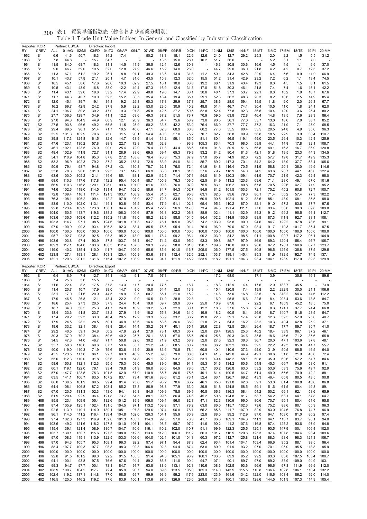| Reporter: KOR | <b>CREV</b>                        |                | Partner: US/CA<br>01:AG |                | 03:FD          | Direction: Import | 05:AP          |                | 07:WD          | 08:PP          | 09:RB          | 10:CH          | 11:PC          |                |                |                |                | 16:MC          |                | 18:TE          |               | 20:MM          |
|---------------|------------------------------------|----------------|-------------------------|----------------|----------------|-------------------|----------------|----------------|----------------|----------------|----------------|----------------|----------------|----------------|----------------|----------------|----------------|----------------|----------------|----------------|---------------|----------------|
| RY<br>1962    | S <sub>1</sub>                     | ALL<br>6.6     | 41.6                    | 02:MI<br>50.7  | 18.3           | 04:TX<br>34.2     | 17.4           | 06:LT          | 50.2           | 18.3           | 15.1           | 22.6           | 12.6           | 12:NM<br>24.0  | 13:IS<br>12.7  | 14:NF<br>29.2  | 15:MT<br>25.3  | 2.0            | 17:EM<br>2.2   | 1.5            | 19:PI<br>5.5  | 31.2           |
| 1963          | S <sub>1</sub>                     | 7.8            | 44.8                    |                | 15.7           | 34.7              |                |                |                | 13.5           | 15.0           | 26.1           | 10.2           | 51.7           | 36.6           |                |                | 5.2            | 3.1            | 1.1            | 7.0           |                |
| 1964          | S <sub>1</sub>                     | 11.5           | 84.0                    | 68.7           | 18.3           | 31.1              | 14.5           | 41.9           | 36.5           | 12.4           | 12.6           | 30.3           |                | 46.3           | 30.8           | 30.6           | 16.6           | 4.5            | 4.5            | 1.1            | 9.6           | 37.0           |
| 1965          | S <sub>1</sub>                     | 9.0            | 46.7                    | 59.0           | 19.5           | 32.0              | 12.8           | 27.9           | 46.6           | 15.2           | 14.0           | 26.0           |                | 44.7           | 29.0           | 36.0           | 21.8           | 4.2            | 4.2            | 0.7            | 12.3          | 37.2           |
| 1966          | S <sub>1</sub>                     | 11.3           | 67.1                    | 51.2           | 19.2           | 26.1              | 8.8            | 91.1           | 49.3           | 13.6           | 13.4           | 31.8           | 11.2           | 50.1           | 34.3           | 42.8           | 22.9           | 6.4            | 5.6            | 0.9            | 11.0          | 66.9           |
| 1967          | S <sub>1</sub>                     | 10.1           | 43.7                    | 57.8           | 21.1           | 20.1              | 4.7            | 81.6           | 43.5           | 15.8           | 12.3           | 32.0           | 15.5           | 51.2           | 31.4           | 42.9           | 23.2           | 7.2            | 6.2            | 1.1            | 13.4          | 74.5           |
| 1968          | S <sub>1</sub>                     | 10.5<br>10.5   | 45.1<br>43.1            | 50.6<br>43.9   | 17.6<br>16.8   | 26.6<br>33.0      | 10.3<br>12.2   | 62.9<br>49.4   | 27.5<br>57.3   | 18.1<br>16.9   | 10.8<br>12.4   | 33.8           | 19.2<br>17.0   | 68.1           | 31.9<br>30.3   | 43.4<br>46.1   | 19.3<br>21.8   | 8.0<br>7.4     | 4.5            | 1.5            | 8.1           | 61.5<br>42.2   |
| 1969<br>1970  | S <sub>1</sub><br>S <sub>1</sub>   | 11.4           | 43.1                    | 39.6           | 19.8           | 33.2              | 17.4           | 29.9           | 40.8           | 19.6           | 14.7           | 31.3<br>33.1   | 30.8           | 51.8<br>48.1   | 37.3           | 53.7           | 22.1           | 8.0            | 7.4<br>10.2    | 1.6<br>1.9     | 15.1<br>16.7  | 67.6           |
| 1971          | S <sub>1</sub>                     | 11.7           | 44.3                    | 40.7           | 19.0           | 39.3              | 15.2           | 30.5           | 35.4           | 18.4           | 19.4           | 35.1           | 29.1           | 52.3           | 36.2           | 48.3           | 20.3           | 8.2            | 10.6           | 2.5            | 14.9          | 85.4           |
| 1972          | S <sub>1</sub>                     | 12.0           | 45.1                    | 39.7           | 19.1           | 34.3              | 9.2            | 29.8           | 60.3           | 17.3           | 29.9           | 37.3           | 25.7           | 38.6           | 28.0           | 59.4           | 19.5           | 11.8           | 9.0            | 2.0            | 26.3          | 67.7           |
| 1973          | S <sub>1</sub>                     | 16.2           | 69.7                    | 42.9           | 24.2           | 37.8              | 5.9            | 32.2           | 53.0           | 23.0           | 30.9           | 40.2           | 49.8           | 51.4           | 46.7           | 74.1           | 30.4           | 10.5           | 11.0           | 1.8            | 24.1          | 62.0           |
| 1974          | S <sub>1</sub>                     | 24.1           | 106.7                   | 80.8           | 39.2           | 47.0              | 9.3            | 91.8           | 35.8           | 42.5           | 27.2           | 50.5           | 52.8           | 52.4           | 77.8           | 92.3           | 36.5           | 10.4           | 12.0           | 3.6            | 26.4          | 80.2           |
| 1975          | S <sub>1</sub>                     | 27.7           | 106.6                   | 129.7          | 34.9           | 41.1              | 12.2           | 63.6           | 49.3           | 37.2           | 51.5           | 73.7           | 70.9           | 59.0           | 63.8           | 72.8           | 46.4           | 14.8           | 13.5           | 7.6            | 29.3          | 86.4           |
| 1976          | S <sub>1</sub>                     | 27.0           | 94.3                    | 104.9          | 44.9           | 60.9              | 12.1           | 26.9           | 36.3           | 34.7           | 75.6           | 58.9           | 73.0           | 90.5           | 56.1           | 77.0           | 53.7           | 13.0           | 18.6           | 7.0            | 38.7          | 85.2           |
| 1977          | S <sub>2</sub>                     | 27.5           | 93.8                    | 96.6           | 49.2           | 65.5              | 11.5           | 25.9           | 50.2           | 33.5           | 42.2           | 53.0           | 76.4           | 86.0           | 37.7           | 77.7           | 37.2           | 16.3           | 21.9           | 7.1            | 25.0          | 68.5           |
| 1978          | S <sub>2</sub><br>S <sub>2</sub>   | 29.4<br>32.5   | 89.5<br>101.3           | 96.1<br>102.9  | 51.4           | 71.7<br>75.0      | 10.5           | 40.6<br>90.1   | 47.1           | 32.3           | 68.9           | 60.8<br>75.2   | 60.2           | 77.0<br>82.7   | 55.5<br>56.8   | 80.4<br>99.9   | 53.5<br>56.8   | 20.5           | 24.8           | 4.9<br>3.9     | 35.0          | 96.3           |
| 1979<br>1980  | S <sub>2</sub>                     | 39.8           | 117.3                   | 124.8          | 70.6<br>61.5   | 82.6              | 11.5<br>14.7   | 63.9           | 54.4<br>51.4   | 40.3<br>31.2   | 57.0<br>59.1   | 85.0           | 70.7<br>81.1   | 80.1           | 46.5           | 119.1          | 49.0           | 18.5<br>23.5   | 22.9<br>26.4   | 10.3           | 30.4<br>42.4  | 110.7<br>125.9 |
| 1981          | S <sub>2</sub>                     | 47.6           | 123.1                   | 130.2          | 57.8           | 88.9              | 22.7           | 72.8           | 75.0           | 62.8           |                | 93.9           | 105.3          | 83.4           | 70.3           | 98.0           | 59.9           | 44.1           | 14.8           | 17.8           | 32.1          | 108.7          |
| 1982          | S <sub>2</sub>                     | 46.1           | 102.1                   | 123.5          | 76.0           | 90.0              | 25.4           | 72.9           | 75.4           | 71.3           | 44.4           | 88.6           | 95.9           | 91.8           | 80.9           | 51.6           | 56.8           | 49.1           | 16.3           | 16.7           | 36.9          | 120.8          |
| 1983          | S <sub>2</sub>                     | 48.4           | 102.9                   | 111.8          | 72.7           | 91.1              | 28.9           | 88.6           | 69.5           | 69.4           | 65.3           | 79.9           | 93.2           | 84.2           | 80.4           | 81.3           | 42.1           | 51.8           | 19.5           | 23.3           | 44.3          | 134.5          |
| 1984          | S <sub>2</sub>                     | 54.1           | 110.9                   | 104.8          | 95.3           | 87.8              | 27.2           | 183.8          | 76.4           | 76.3           | 75.3           | 87.9           | 97.0           | 85.7           | 74.9           | 82.0           | 72.2           | 57.7           | 19.8           | 31.7           | 49.9          | 135.3          |
| 1985          | S <sub>2</sub>                     | 53.2           | 96.9                    | 102.3          | 79.2           | 87.2              | 35.2           | 153.4          | 72.9           | 63.9           | 84.0           | 81.4           | 85.7           | 89.2           | 117.3          | 70.1           | 84.2           | 64.2           | 18.9           | 37.7           | 53.4          | 105.6          |
| 1986          | S <sub>2</sub>                     | 50.9           | 79.4                    | 98.7           | 94.8           | 97.2              | 43.1           | 130.3          | 78.7           | 62.1           | 76.0           | 72.4           | 61.9           | 84.8           | 116.4          | 70.5           | 81.9           | 58.8           | 20.1           | 38.0           | 49.9          | 114.6          |
| 1987          | S <sub>2</sub>                     | 53.8           | 78.3                    | 90.0           | 101.0          | 99.3              | 73.1           | 142.7          | 66.9           | 88.3           | 68.1           | 81.6           | 57.6           | 79.7           | 118.9          | 54.0           | 74.5           | 63.6           | 20.7           | 44.1           | 46.0          | 122.4          |
| 1988<br>1989  | S <sub>2</sub><br>H88              | 63.6<br>68.0   | 100.0<br>110.3          | 105.2<br>117.6 | 121.1<br>117.8 | 114.6<br>112.2    | 85.1<br>95.4   | 118.1<br>106.4 | 52.9<br>58.7   | 112.5<br>105.9 | 71.4<br>76.3   | 107.1<br>106.5 | 54.0<br>62.5   | 81.9<br>84.9   | 120.3<br>113.2 | 109.1<br>123.3 | 61.9<br>69.6   | 70.7<br>71.1   | 21.9<br>28.0   | 42.3<br>49.1   | 62.4<br>67.0  | 98.0<br>101.6  |
| 1990          | H88                                | 66.9           | 110.3                   | 116.8          | 120.1          | 126.0             | 99.6           | 101.0          | 61.6           | 99.8           | 76.0           | 97.9           | 75.5           | 83.1           | 106.2          | 80.8           | 67.8           | 70.5           | 29.6           | 42.7           | 71.9          | 95.2           |
| 1991          | H88                                | 74.6           | 102.6                   | 118.0          | 114.5          | 131.4             | 94.7           | 102.5          | 58.6           | 84.7           | 84.3           | 102.7          | 84.9           | 81.2           | 101.5          | 103.3          | 72.1           | 75.2           | 45.2           | 60.8           | 72.7          | 100.7          |
| 1992          | H88                                | 72.8           | 109.4                   | 116.1          | 111.4          | 121.3             | 103.7          | 108.9          | 55.4           | 81.5           | 82.7           | 95.8           | 63.1           | 82.0           | 89.6           | 79.6           | 80.1           | 71.4           | 50.2           | 57.4           | 77.3          | 102.2          |
| 1993          | H88                                | 76.3           | 108.1                   | 106.2          | 109.4          | 112.2             | 97.9           | 98.9           | 82.7           | 72.3           | 83.5           | 99.4           | 60.9           | 90.5           | 102.4          | 81.2           | 83.6           | 85.1           | 43.9           | 68.1           | 85.5          | 98.0           |
| 1994          | H88                                | 83.9           | 110.0                   | 102.0          | 113.1          | 114.1             | 93.8           | 95.5           | 83.4           | 77.9           | 91.1           | 102.1          | 65.4           | 95.3           | 110.2          | 87.0           | 82.1           | 91.0           | 57.2           | 83.6           | 87.7          | 97.6           |
| 1995          | H88                                | 92.8           | 123.4                   | 109.9          | 123.8          | 138.1             | 94.4           | 101.2          | 85.4           | 122.7          | 96.9           | 117.8          | 73.4           | 94.3           | 121.4          | 111.1          | 77.6           | 93.4           | 58.6           | 98.3           | 89.8          | 109.0          |
| 1996          | H88                                | 104.0          | 150.5                   | 113.7          | 119.6          | 138.2             | 106.3          | 109.6          | 87.9           | 93.8           | 102.2          | 106.8          | 88.9           | 102.4          | 111.1          | 102.9          | 84.3           | 91.2           | 99.2           | 95.5           | 91.1          | 112.7          |
| 1997          | H96                                | 103.6          | 135.5                   | 109.6          | 112.2          | 135.2             | 111.8          | 119.0          | 88.2           | 82.9           | 98.8           | 104.5          | 94.4           | 102.2          | 114.9          | 100.6          | 98.9           | 87.3           | 111.8          | 92.7           | 83.1          | 108.1          |
| 1998          | H96                                | 103.3          | 114.7<br>100.9          | 97.1           | 98.5<br>93.4   | 124.6<br>106.3    | 101.8<br>92.3  | 101.3<br>88.4  | 93.7<br>85.5   | 76.1<br>75.6   | 105.0<br>95.4  | 95.8           | 74.2<br>76.4   | 103.9          | 93.8<br>79.0   | 90.0           | 94.6<br>98.4   | 84.7<br>91.7   | 129.2<br>110.3 | 97.8<br>101.7  | 78.6<br>85.4  | 99.1           |
| 1999<br>2000  | H96<br>H96                         | 97.0<br>100.0  | 100.0                   | 90.3<br>100.0  | 100.0          | 100.0             | 100.0          | 100.0          | 100.0          | 100.0          | 100.0          | 91.4<br>100.0  | 100.0          | 96.0<br>100.0  | 100.0          | 87.0<br>100.0  | 100.0          | 100.0          | 100.0          | 100.0          | 100.0         | 97.5<br>100.0  |
| 2001          | H96                                | 95.7           | 102.7                   | 93.8           | 92.5           | 98.3              | 95.2           | 113.9          | 105.1          | 78.4           | 99.2           | 96.4           | 99.2           | 103.0          | 84.2           | 98.5           | 91.1           | 100.8          | 90.7           | 117.2          | 96.1          | 104.9          |
| 2002          | H96                                | 103.6          | 103.8                   | 97.4           | 93.9           | 87.8              | 103.7          | 98.4           | 94.7           | 74.2           | 93.0           | 95.0           | 93.3           | 99.8           | 85.7           | 97.9           | 86.9           | 89.3           | 120.4          | 156.4          | 96.7          | 106.7          |
| 2003          | H <sub>02</sub>                    | 109.3          | 117.1                   | 104.0          | 103.6          | 100.3             | 112.4          | 107.5          | 90.3           | 79.9           | 98.8           | 101.6          | 120.7          | 109.8          | 116.0          | 99.8           | 96.0           | 87.2           | 128.1          | 160.6          | 87.7          | 123.7          |
| 2004          | H <sub>02</sub>                    | 119.0          | 140.2                   | 135.4          | 110.0          | 111.7             | 104.7          | 109.9          | 95.6           | 85.6           | 101.0          | 116.7          | 205.0          | 106.0          | 177.5          | 127.5          | 80.8           | 98.5           | 125.9          | 135.8          | 87.5          | 129.5          |
| 2005          | H <sub>02</sub>                    | 123.8          | 127.4                   | 193.1          | 128.1          | 103.3             | 120.4          | 105.9          | 93.6           | 87.8           | 112.4          | 132.6          | 252.1          | 103.7          | 189.1          | 145.4          | 85.3           | 81.9           | 132.5          | 192.7          | 74.9          | 137.1          |
|               | H <sub>02</sub>                    | 132.1          | 129.6                   | 201.2          | 131.6          | 115.4             | 107.2          | 108.9          | 98.4           | 94.7           | 121.9          | 145.2          | 283.5          | 118.2          | 191.1          | 194.3          | 93.4           | 104.1          | 128.9          | 117.0          | 89.3          | 129.9          |
| 2006          |                                    |                |                         |                |                |                   |                |                |                |                |                |                |                |                |                |                |                |                |                |                |               |                |
| Reporter: KOR |                                    |                | Partner: US/CA          |                |                | Direction: Export |                |                |                |                |                |                |                |                |                |                |                |                |                |                |               |                |
| RY            | <b>CREV</b>                        | ALL            | 01:AG                   | 02:MI          | 03:FD          | 04:TX             | 05:AP          | 06:LT          | 07:WD          | 08:PP          | 09:RB          | 10:CH 11:PC    |                | 12:NM          | 13:IS          | 14:NF          | 15:MT          | 16:MC          | 17:EM          | 18:TE          | 19:PI         | 20:MM          |
| 1962          | S <sub>1</sub>                     | 6.4            | 18.9                    | 7.4            | 12.7           | 34.1              | 14.3           | 9.1            | 7.0            | 97.3           |                |                |                | 17.2           | 68.0           |                | 17.1           | 3.9            |                | 35.6           | 16.1          | 89.6           |
| 1963          | S <sub>1</sub>                     | 7.4            | 25.8                    | 5.6            | 15.5           |                   |                |                |                |                |                |                |                |                |                |                |                |                |                |                |               |                |
| 1964          | S <sub>1</sub>                     | 11.6           | 22.4                    | 8.3            | 17.5           | 37.8              | 13.3           | 11.7           | 20.4           | 77.5           |                | 16.7           |                | 18.3           | 112.9          | 4.4            | 17.6           | 2.9            | 183.7          | 35.5           |               | 73.9           |
| 1965          | S <sub>1</sub>                     | 11.4           | 20.7                    | 10.7           | 17.9           | 38.0              | 14.7           | 8.0            | 15.0           | 64.4           | 12.0           | 13.8           |                | 15.4           | 120.8          | 7.4            | 19.8           | 2.2            | 282.9          | 30.0           | 21.1          | 106.6          |
| 1966<br>1967  | S <sub>1</sub><br>S <sub>1</sub>   | 23.1<br>17.9   | 17.0<br>46.5            | 21.6<br>26.8   | 20.9<br>12.1   | 44.5<br>43.4      | 18.9<br>22.2   | 9.5<br>9.9     | 60.7<br>16.5   | 65.1<br>74.9   | 21.0<br>28.8   | 15.2<br>22.8   |                | 14.8<br>16.0   | 73.0<br>95.8   | 16.8<br>16.6   | 23.5<br>22.5   | 1.8<br>8.4     | 378.2<br>293.4 | 54.6<br>53.6   | 14.6<br>13.5  | 112.2<br>84.7  |
| 1968          | S <sub>1</sub>                     | 18.6           | 25.4                    | 27.3           | 20.5           | 37.9              | 24.4           | 10.4           | 19.8           | 69.7           | 29.9           | 30.7           | 25.0           | 16.9           | 87.6           |                | 22.2           | 6.1            | 180.9          | 45.2           | 18.5          | 75.0           |
| 1969          | S <sub>1</sub>                     | 18.7           | 34.0                    | 30.5           | 25.3           | 41.7              | 24.0           | 10.9           | 19.2           | 58.1           | 32.9           | 30.1           | 12.2           | 18.3           | 57.6           | 15.8           | 25.4           | 8.3            | 171.1          | 37.7           | 24.4          | 66.8           |
| 1970          | S <sub>1</sub>                     | 18.4           | 33.6                    | 41.8           | 23.7           | 43.2              | 27.9           | 11.9           | 18.2           | 55.8           | 34.6           | 31.0           | 19.9           | 18.2           | 60.5           | 16.1           | 26.9           | 8.7            | 140.7          | 51.6           | 28.5          | 54.7           |
| 1971          | S <sub>1</sub>                     | 17.4           | 29.2                    | 52.3           | 33.0           | 46.4              | 28.5           | 12.2           | 19.3           | 53.9           | 33.2           | 38.2           | 19.8           | 22.3           | 59.1           | 17.4           | 23.8           | 12.3           | 39.5           | 57.9           | 25.0          | 40.7           |
| 1972          | S <sub>1</sub>                     | 17.9           | 24.5                    | 28.2           | 28.5           | 50.1              | 34.9           | 13.6           | 16.6           | 53.6           | 36.6           | 36.9           | 21.8           | 21.7           | 64.3           | 16.2           | 23.2           | 10.3           | 40.4           | 62.8           | 25.2          | 37.1           |
| 1973          | S <sub>1</sub>                     | 19.6           | 33.2                    | 32.1           | 38.4           | 48.8              | 28.4           | 14.4           | 30.2           | 58.7           | 40.1           | 35.1           | 29.6           | 22.8           | 72.5           | 26.4           | 26.4           | 18.7           | 17.7           | 89.7           | 30.7          | 41.0           |
| 1974          | S <sub>1</sub>                     | 29.2           | 40.5                    | 59.1           | 34.8           | 50.2              | 47.9           | 22.4           | 27.9           | 73.1           | 60.3           | 65.7           | 52.0           | 28.4           | 128.5          | 25.3           | 40.2           | 18.4           | 38.9           | 86.1           | 37.2          | 46.1           |
| 1975<br>1976  | S <sub>1</sub><br>S <sub>1</sub>   | 30.3<br>34.5   | 37.0<br>47.3            | 70.2<br>74.0   | 38.4<br>46.7   | 59.6<br>71.7      | 40.2<br>50.8   | 25.7<br>32.6   | 26.1<br>30.2   | 68.1<br>71.9   | 67.0<br>63.2   | 65.5<br>58.9   | 50.4<br>52.0   | 25.8<br>27.6   | 89.3<br>92.3   | 34.6<br>38.3   | 35.5<br>36.7   | 18.6<br>20.0   | 46.6<br>47.1   | 71.2<br>103.6  | 35.6<br>37.8  | 55.8<br>48.1   |
| 1977          | S <sub>2</sub>                     | 35.7           | 58.8                    | 116.0          | 60.6           | 67.7              | 50.6           | 35.7           | 21.2           | 74.3           | 68.5           | 80.7           | 53.6           | 36.2           | 103.2          | 38.4           | 39.5           | 22.2           | 49.3           | 85.8           | 41.7          | 55.7           |
| 1978          | S <sub>2</sub>                     | 40.0           | 119.0                   | 110.3          | 71.9           | 75.6              | 53.6           | 41.9           | 30.9           | 83.6           | 70.8           | 78.4           | 60.8           | 40.1           | 110.6          | 37.3           | 44.0           | 31.9           | 50.5           | 68.5           | 46.5          | 64.0           |
| 1979          | S <sub>2</sub>                     | 45.5           | 123.5                   | 117.6          | 86.1           | 92.7              | 69.3           | 46.9           | 55.2           | 89.8           | 79.0           | 88.6           | 64.3           | 41.3           | 142.0          | 44.9           | 49.1           | 30.6           | 51.8           | 21.9           | 48.6          | 72.4           |
| 1980          | S <sub>2</sub>                     | 55.0           | 112.3                   | 110.0          | 91.8           | 93.6              | 70.9           | 54.8           | 45.1           | 92.2           | 93.2           | 96.9           | 53.1           | 49.4           | 148.2          | 58.1           | 50.8           | 35.9           | 60.6           | 57.2           | 54.7          | 84.6           |
| 1981          | S <sub>2</sub>                     | 58.6           | 150.8                   | 132.1          | 112.3          | 95.5              | 75.3           | 59.0           | 45.5           | 89.0           | 89.3           | 91.1           | 55.3           | 51.6           | 134.2          | 60.6           | 54.8           | 45.3           | 66.7           | 64.6           | 53.0          | 91.1           |
| 1982          | S <sub>2</sub>                     | 60.1           | 119.1                   | 122.0          | 79.1           | 93.4              | 79.8           | 61.9           | 96.0           | 86.0           | 84.9           | 78.6           | 53.7           | 60.2           | 126.8          | 63.0           | 53.2           | 53.6           | 58.3           | 75.6           | 49.7          | 92.9           |
| 1983<br>1984  | S <sub>2</sub><br>S <sub>2</sub>   | 57.0<br>63.5   | 147.7<br>141.1          | 123.5<br>106.7 | 75.3<br>83.5   | 101.5<br>107.2    | 62.9<br>83.1   | 67.0<br>73.4   | 110.9<br>101.6 | 85.7<br>88.6   | 80.5<br>81.2   | 75.6<br>73.1   | 49.1<br>52.4   | 61.4<br>63.1   | 100.5<br>126.7 | 64.7<br>69.2   | 51.4<br>43.3   | 49.0<br>46.4   | 55.6<br>60.8   | 70.9<br>80.5   | 42.2<br>43.5  | 88.1<br>90.8   |
| 1985          | S <sub>2</sub>                     | 66.0           | 130.5                   | 101.9          | 80.5           | 99.4              | 81.4           | 73.6           | 91.7           | 93.2           | 78.6           | 66.2           | 46.1           | 65.6           | 121.8          | 62.8           | 59.1           | 53.0           | 61.4           | 100.8          | 43.0          | 86.8           |
| 1986          | S <sub>2</sub>                     | 64.4           | 108.1                   | 106.8          | 87.2           | 103.4             | 85.2           | 78.3           | 86.9           | 98.8           | 77.9           | 63.0           | 29.9           | 61.8           | 124.8          | 58.5           | 59.1           | 51.6           | 61.5           | 60.4           | 49.8          | 89.1           |
| 1987          | S <sub>2</sub>                     | 67.0           | 120.5                   | 131.3          | 102.3          | 113.0             | 94.1           | 86.8           | 84.5           | 109.9          | 78.5           | 69.9           | 40.5           | 66.3           | 136.3          | 58.4           | 54.2           | 50.2           | 66.1           | 62.1           | 53.6          | 65.9           |
| 1988          | S <sub>2</sub>                     | 61.9           | 120.4                   | 92.9           | 96.4           | 121.8             | 73.7           | 54.5           | 88.1           | 99.5           | 86.4           | 74.6           | 45.2           | 50.5           | 124.8          | 81.7           | 58.7           | 54.2           | 63.1           | 64.1           | 57.8          | 64.7           |
| 1989          | H88                                | 85.5           | 123.4                   | 109.9          | 105.4          | 132.6             | 101.2          | 89.9           | 106.0          | 109.4          | 96.0           | 82.3           | 47.1           | 82.3           | 130.9          | 96.0           | 80.6           | 70.7           | 90.1           | 80.4           | 61.6          | 95.8           |
| 1990          | H88                                | 87.4           | 105.9                   | 125.1          | 102.4          | 131.5             | 104.5          | 97.1           | 113.2          | 108.8          | 97.1           | 78.2           | 63.0           | 86.0           | 115.7          | 102.3          | 79.6           | 75.2           | 88.6           | 80.1           | 65.9          | 96.3           |
| 1991          | H88                                | 92.5           | 113.9                   | 119.1          | 114.0          | 139.1             | 105.1          | 97.3           | 129.6          | 107.4          | 96.0           | 78.7           | 65.2           | 85.8           | 111.7          | 107.9          | 82.9           | 83.0           | 104.6          | 76.8           | 74.7          | 96.9           |
| 1992          | H88<br>H88                         | 96.1           | 114.5                   | 111.2          | 116.4          | 138.4             | 104.8          | 102.0          | 126.3<br>114.3 | 104.1          | 95.9           | 80.9           | 52.8           | 88.0           | 99.2           | 112.9          | 87.0           | 94.1           | 108.0          | 81.0           | 80.2          | 97.4           |
| 1993<br>1994  | H88                                | 97.4<br>103.6  | 102.8<br>149.2          | 127.3<br>121.6 | 116.9<br>118.2 | 132.0<br>127.8    | 101.3<br>101.0 | 105.7<br>106.1 | 104.1          | 99.5<br>98.5   | 97.0<br>96.7   | 78.3<br>97.2   | 41.7<br>41.6   | 86.6<br>90.2   | 109.1<br>111.2 | 104.3<br>107.6 | 111.3<br>116.8 | 84.1<br>87.4   | 113.7<br>125.2 | 83.7<br>93.6   | 90.1<br>97.9  | 94.0<br>94.8   |
| 1995          | H88                                | 115.4          | 139.1                   | 121.4          | 108.9          | 130.7             | 104.7          | 110.6          | 116.1          | 110.2          | 102.0          | 110.7          | 51.1           | 99.9           | 122.3          | 125.5          | 125.1          | 93.5           | 147.9          | 100.1          | 106.4         | 102.0          |
| 1996          | H88                                | 103.7          | 130.1                   | 130.7          | 115.6          | 127.5             | 108.0          | 112.5          | 113.6          | 112.0          | 106.3          | 111.2          | 66.3           | 101.7          | 116.5          | 120.6          | 125.3          | 97.4           | 107.8          | 104.4          | 98.4          | 109.6          |
| 1997          | H96                                | 97.0           | 108.3                   | 115.1          | 113.9          | 122.5             | 103.3          | 109.6          | 104.0          | 102.4          | 101.0          | 104.3          | 60.3           | 97.2           | 112.7          | 125.8          | 121.4          | 88.3           | 98.6           | 98.3           | 121.3         | 106.7          |
| 1998          | H96                                | 87.0           | 94.3                    | 105.7          | 95.3           | 108.1             | 96.3           | 92.2           | 97.4           | 97.1           | 94.4           | 87.3           | 62.4           | 93.4           | 101.4          | 104.1          | 103.4          | 66.6           | 95.2           | 88.1           | 99.5          | 96.4           |
| 1999          | H96                                | 88.4           | 107.7                   | 109.3          | 97.7           | 98.8              | 98.3           | 92.3           | 106.6          | 92.3           | 94.4           | 87.4           | 63.0           | 89.9           | 91.9           | 93.2           | 97.0           | 70.1           | 96.0           | 95.5           | 118.8         | 95.9           |
| 2000          | H96                                | 100.0          | 100.0                   | 100.0          | 100.0          | 100.0             | 100.0          | 100.0          | 100.0          | 100.0          | 100.0          | 100.0          | 100.0          | 100.0          | 100.0          | 100.0          | 100.0          | 100.0          | 100.0          | 100.0          | 100.0         | 100.0          |
| 2001          | H96                                | 92.8           | 91.5                    | 101.2          | 99.0           | 92.2              | 91.5           | 105.3          | 91.4           | 94.3           | 105.1          | 93.9           | 100.1          | 103.3          | 89.9           | 95.2           | 99.2           | 83.3           | 85.8           | 107.5          | 103.4         | 100.7          |
| 2002<br>2003  | H96<br>H <sub>02</sub>             | 94.1<br>99.3   | 100.1<br>94.7           | 93.8<br>97.7   | 97.5<br>100.1  | 76.6<br>73.1      | 87.6<br>84.7   | 94.4<br>91.7   | 89.2<br>93.8   | 86.5<br>88.0   | 111.0<br>113.1 | 90.4<br>92.3   | 94.7<br>110.6  | 107.1<br>108.6 | 90.1<br>102.5  | 89.7<br>93.6   | 97.0<br>96.6   | 89.2<br>96.6   | 88.9<br>97.3   | 109.0<br>111.9 | 94.9<br>99.9  | 103.1<br>112.0 |
| 2004          | H <sub>02</sub>                    | 108.9          | 100.7                   | 104.2          | 117.7          | 72.4              | 85.9           | 90.7           | 94.0           | 89.6           | 123.5          | 105.0          | 165.3          | 114.0          | 143.5          | 115.5          | 110.8          | 136.4          | 102.8          | 106.1          | 110.4         | 132.2          |
| 2005<br>2006  | H <sub>02</sub><br>H <sub>02</sub> | 102.4<br>116.5 | 119.2<br>125.0          | 137.1<br>146.2 | 114.8<br>119.2 | 77.0<br>77.6      | 68.5<br>83.9   | 69.7<br>100.1  | 99.9<br>113.6  | 93.9<br>97.0   | 99.2<br>126.9  | 117.9<br>123.0 | 223.0<br>269.0 | 123.9<br>131.3 | 161.6<br>160.1 | 134.2<br>183.3 | 122.0<br>128.6 | 116.6<br>144.5 | 103.4<br>101.9 | 86.2<br>107.3  | 92.0<br>114.9 | 114.0<br>105.4 |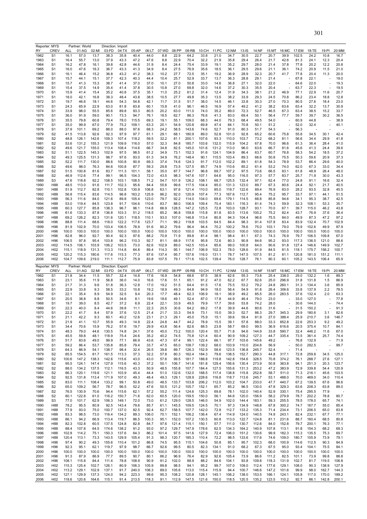| Reporter: MYS                                                                                                                                                                                                                                                                                                                                       |                                  |               | Partner: World |               | Direction: Import |                |                |               |               |               |                |                |                |                |                  |                |               |                |               |                |                          |               |
|-----------------------------------------------------------------------------------------------------------------------------------------------------------------------------------------------------------------------------------------------------------------------------------------------------------------------------------------------------|----------------------------------|---------------|----------------|---------------|-------------------|----------------|----------------|---------------|---------------|---------------|----------------|----------------|----------------|----------------|------------------|----------------|---------------|----------------|---------------|----------------|--------------------------|---------------|
| RY                                                                                                                                                                                                                                                                                                                                                  | <b>CREV</b>                      | ALL           | 01:AG          | 02:MI         | 03:FD             | 04:TX          | 05:AP          | 06:LT         | 07:WD         | 08:PP         | 09:RB          | 10:CH          | 11:PC          | 12:NM          | 13:IS            | 14:NF          | 15:MT         | 16:MC          | 17:EM         | 18:TE          | 19:PI                    | 20:MM         |
| 1962<br>1963                                                                                                                                                                                                                                                                                                                                        | S <sub>1</sub><br>S1             | 16.1<br>16.4  | 57.0<br>55.7   | 13.7<br>13.0  | 38.3<br>37.9      | 35.8<br>43.3   | 40.4<br>47.2   | 44.0<br>47.6  | 8.8<br>8.8    | 22.9<br>22.9  | 64.2<br>70.4   | 33.8<br>32.2   | 21.0<br>21.9   | 34.7<br>35.8   | 30.5<br>29.4     | 22.7<br>26.4   | 20.7<br>21.7  | 39.9<br>42.6   | 102.5<br>81.3 | 24.2<br>24.1   | 10.8<br>12.3             | 16.7<br>20.4  |
| 1964                                                                                                                                                                                                                                                                                                                                                | S1                               | 16.2          | 47.8           | 16.1          | 39.8              | 42.8           | 44.6           | 31.9          | 8.4           | 24.4          | 75.4           | 33.9           | 19.1           | 35.2           | 29.7             | 28.0           | 21.4          | 37.8           | 77.8          | 20.2           | 12.2                     | 20.8          |
| 1965                                                                                                                                                                                                                                                                                                                                                | S1                               | 16.0          | 47.6           | 16.3          | 36.7              | 43.3           | 41.3           | 34.9          | 8.4           | 27.5          | 76.9           | 35.6           | 18.5           | 36.1           | 29.5             | 29.6           | 21.1          | 36.1           | 74.2          | 20.9           | 11.5                     | 21.0          |
| 1966                                                                                                                                                                                                                                                                                                                                                | S1                               | 16.1          | 46.4           | 15.2          | 36.8              | 43.2           | 41.2           | 38.3          | 10.2          | 27.7          | 72.5           | 35.1           | 19.2           | 36.9           | 28.9             | 32.3           | 20.7          | 41.7           | 77.8          | 20.4           | 11.3                     | 20.0          |
| 1967                                                                                                                                                                                                                                                                                                                                                | S1                               | 15.7          | 44.1           | 15.1          | 37.7              | 42.3           | 40.3           | 44.4          | 10.4          | 25.7          | 52.9           | 33.7           | 13.7           | 36.3           | 28.8             | 29.1           | 21.4          |                | 67.8          | 22.1           |                          | 19.0          |
| 1968                                                                                                                                                                                                                                                                                                                                                | S <sub>1</sub>                   | 15.7          | 41.3           | 15.3          | 38.7              | 41.4           | 37.0           | 37.0          | 10.1          | 27.0          | 50.8           | 33.0           | 14.6           | 36.8           | 27.1             | 32.0           | 22.0          |                | 64.6          | 22.0           |                          | 19.3          |
| 1969                                                                                                                                                                                                                                                                                                                                                | S1                               | 15.4          | 37.5           | 14.9          | 35.4              | 41.4           | 37.8           | 30.5          | 10.8          | 27.0          | 69.8           | 32.0           | 14.6           | 37.2           | 30.3             | 35.5           | 20.4          |                | 63.7          | 22.3           |                          | 19.5          |
| 1970                                                                                                                                                                                                                                                                                                                                                | S1                               | 15.9          | 41.4           | 15.4          | 35.2              | 40.8           | 37.5           | 35.1          | 11.0          | 25.2          | 61.2           | 31.4           | 12.4           | 31.9           | 34.3             | 38.1           | 21.2          | 46.9           | 77.1          | 22.9           | 11.6                     | 20.7          |
| 1971                                                                                                                                                                                                                                                                                                                                                | S1                               | 18.0          | 42.1           | 16.8          | 38.3              | 48.4           | 43.8           | 38.5          | 10.5          | 27.7          | 49.8           | 35.3           | 13.5           | 38.2           | 33.9             | 29.3           | 24.5          | 70.8           | 86.2          | 23.4           | 18.8                     | 12.8          |
| 1972                                                                                                                                                                                                                                                                                                                                                | S <sub>1</sub>                   | 19.7          | 46.6           | 18.1          | 44.6              | 54.3           | 54.8           | 42.1          | 11.7          | 31.5          | 51.7           | 38.0           | 14.5           | 46.1           | 33.8             | 30.3           | 27.0          | 70.3           | 80.5          | 27.6           | 18.4                     | 23.0          |
| 1973                                                                                                                                                                                                                                                                                                                                                | S <sub>1</sub>                   | 24.3          | 65.9           | 22.9          | 63.0              | 81.8           | 83.8           | 60.1          | 15.8          | 41.0          | 96.1           | 46.5           | 16.9           | 57.4           | 49.2             | 41.2           | 38.2          | 63.6           | 63.4          | 32.2           | 13.7                     | 30.9          |
| 1974                                                                                                                                                                                                                                                                                                                                                | S <sub>1</sub>                   | 33.9          | 98.0           | 55.5          | 85.6              | 89.8           | 93.3           | 80.5          | 20.2          | 63.0          | 111.0          | 74.0           | 35.2           | 89.0           | 72.3             | 52.7           | 46.5          | 67.3           | 63.4          | 38.5           | 15.2                     | 33.7          |
| 1975                                                                                                                                                                                                                                                                                                                                                | S1                               | 36.0          | 91.9           | 59.0          | 90.1              | 73.3           | 94.7           | 76.1          | 18.5          | 62.7          | 86.3           | 76.6           | 41.3           | 83.0           | 69.4             | 50.1           | 56.4          | 77.7           | 59.7          | 39.7           | 30.2                     | 36.5          |
| 1976                                                                                                                                                                                                                                                                                                                                                | S <sub>1</sub>                   | 35.5          | 79.8           | 60.8          | 79.4              | 78.0           | 115.5          | 69.3          | 19.1          | 55.1          | 109.0          | 68.3           | 44.0           | 79.3           | 68.4             | 49.5           | 54.0          |                | 60.9          | 44.8           |                          | 38.9          |
| 1977                                                                                                                                                                                                                                                                                                                                                | S1                               | 35.0          | 99.9           | 67.0          | 77.9              | 75.2           | 109.1          | 63.3          | 20.1          | 54.9          | 120.8          | 69.8           | 47.4           | 84.1           | 70.8             | 50.1           | 51.2          |                | 52.0          | 32.4           |                          | 40.1          |
| 1978                                                                                                                                                                                                                                                                                                                                                | S <sub>1</sub>                   | 37.9          | 101.1          | 69.2          | 88.0              | 88.0           | 97.6           | 68.3          | 24.2          | 58.5          | 143.6          | 74.6           | 52.7           | 91.0           | 80.3             | 51.7           | 54.3          |                | 56.3          |                |                          |               |
| 1979                                                                                                                                                                                                                                                                                                                                                | S <sub>2</sub>                   | 41.5          | 113.8          | 92.6          | 92.3              | 97.9           | 97.7           | 61.1          | 29.1          | 68.1          | 180.9          | 89.0           | 52.8           | 101.0          | 92.8             | 65.2           | 60.6          | 75.8           | 55.8          | 34.5           | 30.1                     | 42.4          |
| 1980                                                                                                                                                                                                                                                                                                                                                | S <sub>2</sub>                   | 48.8          | 126.1          | 142.6         | 109.3             | 107.4          | 118.2          | 59.5          | 32.2          | 81.1          | 200.1          | 107.6          | 93.3           | 110.0          | 103.7            | 73.2           | 68.2          | 81.1           | 56.6          | 34.4           | 29.9                     | 41.8          |
| 1981                                                                                                                                                                                                                                                                                                                                                | S <sub>2</sub>                   | 53.6          | 131.2          | 155.3         | 121.9             | 109.9          | 116.0          | 57.0          | 32.3          | 84.8          | 185.7          | 103.6          | 132.0          | 115.9          | 104.2            | 67.8           | 70.0          | 96.6           | 61.3          | 36.4           | 28.4                     | 41.0          |
| 1982                                                                                                                                                                                                                                                                                                                                                | S <sub>2</sub>                   | 49.6          | 121.7          | 155.0         | 113.4             | 108.4          | 114.6          | 66.7          | 34.8          | 82.5          | 145.0          | 101.6          | 131.2          | 113.0          | 96.0             | 63.6           | 66.7          | 81.6           | 45.6          | 41.3           | 24.4                     | 39.6          |
| 1983                                                                                                                                                                                                                                                                                                                                                | S <sub>2</sub>                   | 51.1          | 122.5          | 145.3         | 102.9             | 97.5           | 98.5           | 61.2          | 34.9          | 73.1          | 152.3          | 91.6           | 124.1          | 104.9          | 86.4             | 63.7           | 60.7          | 76.8           | 58.3          | 54.2           | 18.5                     | 37.2          |
| 1984                                                                                                                                                                                                                                                                                                                                                | S <sub>2</sub>                   | 49.3          | 125.5          | 131.3         | 98.7              | 97.6           | 93.0           | 61.3          | 34.9          | 76.2          | 148.4          | 90.1           | 115.5          | 103.4          | 89.3             | 66.6           | 50.8          | 75.5           | 50.3          | 59.6           | 20.9                     | 37.3          |
| 1985                                                                                                                                                                                                                                                                                                                                                | S <sub>2</sub>                   | 52.2          | 111.7          | 130.0         | 88.6              | 100.8          | 90.9           | 69.3          | 37.4          | 74.6          | 124.3<br>127.5 | 91.7           | 112.0          | 102.2          | 89.1             | 61.8           | 54.3          | 78.9           | 53.7          | 86.4           | 29.6                     | 40.0          |
| 1986                                                                                                                                                                                                                                                                                                                                                | S <sub>2</sub><br>S <sub>2</sub> | 49.6          | 98.0<br>100.8  | 76.3<br>81.6  | 84.6<br>83.7      | 100.8<br>111.3 | 87.7           | 59.3          | 29.8<br>35.0  | 73.5<br>87.7  | 144.7          | 85.7<br>96.8   | 74.9<br>69.7   | 110.6<br>107.2 | 85.2<br>97.5     | 61.4<br>73.6   | 53.2          | 74.0           | 62.0<br>61.8  | 67.3<br>48.9   | 33.0<br>26.4             | 34.4<br>48.0  |
| 1987<br>1988                                                                                                                                                                                                                                                                                                                                        | S <sub>2</sub>                   | 51.5<br>46.9  | 112.6          | 77.4          | 99.1              | 96.5           | 101.1<br>104.3 | 58.1<br>72.0  | 43.5          | 98.3          | 147.6          | 107.1          | 64.6           | 95.0           | 116.5            | 97.3           | 66.5<br>57.7  | 83.1<br>83.7   | 25.7          | 71.9           | 30.0                     | 43.3          |
| 1989                                                                                                                                                                                                                                                                                                                                                | S3                               | 47.6          | 118.8          | 92.2          | 108.5             | 103.1          | 108.5          | 71.2          | 54.7          | 101.9         | 126.2          | 108.1          | 68.7           | 125.5          | 132.4            | 97.1           | 62.4          | 77.0           | 24.8          | 91.1           | 16.6                     | 32.4          |
| 1990                                                                                                                                                                                                                                                                                                                                                | H88                              | 48.5          | 113.0          | 91.6          | 111.7             | 102.3          | 95.6           | 84.4          | 55.6          | 99.6          | 117.5          | 104.4          | 85.0           | 131.3          | 123.0            | 89.7           | 67.3          | 80.6           | 24.4          | 92.1           | 21.7                     | 40.5          |
| 1991                                                                                                                                                                                                                                                                                                                                                | H88                              | 51.9          | 112.7          | 82.8          | 110.1             | 102.8          | 130.9          | 106.8         | 63.1          | 97.6          | 121.4          | 110.0          | 85.0           | 119.7          | 122.6            | 89.4           | 76.9          | 83.0           | 28.2          | 93.5           | 32.8                     | 45.5          |
| 1992                                                                                                                                                                                                                                                                                                                                                | H88                              | 56.8          | 115.4          | 83.6          | 114.5             | 96.8           | 163.2          | 125.9         | 86.2          | 92.0          | 120.9          | 107.4          | 77.3           | 167.6          | 112.7            | 95.4           | 75.2          | 95.7           | 33.7          | 97.1           | 44.1                     | 51.5          |
| 1993                                                                                                                                                                                                                                                                                                                                                | H88                              | 56.3          | 111.6          | 84.0          | 121.6             | 89.8           | 105.4          | 123.0         | 79.7          | 92.2          | 114.0          | 104.0          | 69.6           | 179.1          | 114.5            | 88.8           | 85.8          | 94.6           | 34.1          | 95.3           | 38.7                     | 42.5          |
| 1994                                                                                                                                                                                                                                                                                                                                                | H88                              | 53.0          | 119.4          | 84.5          | 123.8             | 91.7           | 104.6          | 110.6         | 83.7          | 88.0          | 106.9          | 109.4          | 70.4           | 183.1          | 116.3            | 81.4           | 74.3          | 59.9           | 32.3          | 108.1          | 53.3                     | 35.7          |
| 1995                                                                                                                                                                                                                                                                                                                                                | H88                              | 60.3          | 127.7          | 85.8          | 138.3             | 96.7           | 96.1           | 114.8         | 86.9          | 128.5         | 147.2          | 125.5          | 72.8           | 103.0          | 128.7            | 93.1           | 70.0          | 67.1           | 39.7          | 115.0          | 46.2                     | 43.8          |
| 1996                                                                                                                                                                                                                                                                                                                                                | H88                              | 61.6          | 133.3          | 87.8          | 136.8             | 103.3          | 51.2           | 118.5         | 85.2          | 96.8          | 159.8          | 115.8          | 81.8           | 83.5           | 113.6            | 100.2          | 75.2          | 82.4           | 43.7          | 76.9           | 37.6                     | 36.4          |
| 1997                                                                                                                                                                                                                                                                                                                                                | H88                              | 69.2          | 126.2          | 82.3          | 131.6             | 120.1          | 118.5          | 110.1         | 93.0          | 107.0         | 146.8          | 113.4          | 80.8           | 94.3           | 104.4            | 96.6           | 75.5          | 84.0           | 49.9          | 87.3           | 47.2                     | 97.2          |
| 1998                                                                                                                                                                                                                                                                                                                                                | H96                              | 88.8          | 111.4          | 68.6          | 118.0             | 122.2          | 117.6          | 123.7         | 71.1          | 99.2          | 119.8          | 103.5          | 64.5           | 84.4           | 98.3             | 91.4           | 107.8         | 83.4           | 83.9          | 132.4          | 70.7                     | 102.9         |
| 1999                                                                                                                                                                                                                                                                                                                                                | H96                              | 81.9          | 102.9          | 70.0          | 103.4             | 106.5          | 78.9           | 91.6          | 80.2          | 79.6          | 96.4           | 94.4           | 70.2           | 100.2          | 78.6             | 75.0           | 103.1         | 79.0           | 79.9          | 102.6          | 49.9                     | 87.9          |
| 2000                                                                                                                                                                                                                                                                                                                                                | H96                              | 100.0         | 100.0          | 100.0         | 100.0             | 100.0          | 100.0          | 100.0         | 100.0         | 100.0         | 100.0          | 100.0          | 100.0          | 100.0          | 100.0            | 100.0          | 100.0         | 100.0          | 100.0         | 100.0          | 100.0                    | 100.0         |
| 2001                                                                                                                                                                                                                                                                                                                                                | H96                              | 82.8          | 96.0           | 92.7          | 90.4              | 92.3           | 97.6           | 88.2          | 70.9          | 71.9          | 89.8           | 81.4           | 98.1           | 98.4           | 81.1             | 67.3           | 74.3          | 76.9           | 79.7          | 106.5          | 109.8                    | 67.0          |
| 2002                                                                                                                                                                                                                                                                                                                                                | H96                              | 106.5         | 97.8           | 95.4          | 103.8             | 96.2           | 110.3          | 92.7          | 81.1          | 68.9          | 117.6          | 95.8           | 72.6           | 80.3           | 90.8             | 84.6           | 95.2          | 93.0           | 117.3         | 136.5          | 121.0                    | 88.6          |
| 2003                                                                                                                                                                                                                                                                                                                                                | H <sub>02</sub>                  | 114.5         | 106.1          | 103.9         | 106.2             | 103.5          | 73.0           | 82.6          | 102.9         | 89.0          | 142.5          | 103.4          | 85.6           | 99.0           | 100.8            | 64.0           | 90.6          | 91.8           | 127.4         | 146.6          | 149.9                    | 102.7         |
| 2004                                                                                                                                                                                                                                                                                                                                                | H <sub>02</sub>                  | 115.1         | 118.9          | 131.3         | 113.3             | 114.8          | 64.8           | 89.4          | 114.3         | 95.1          | 144.7          | 106.9          | 102.3          | 78.0           | 128.6            | 91.9           | 84.5          | 81.5           | 118.1         | 175.7          | 156.2                    | 100.7         |
| 2005                                                                                                                                                                                                                                                                                                                                                | H <sub>02</sub>                  | 120.2         | 115.3          | 180.6         | 117.6             | 115.3          | 77.3           | 87.6          | 137.4         | 95.7          | 157.6          | 116.0          | 131.1          | 78.7           | 147.5            | 107.5          | 81.2          | 81.1           | 120.8         | 181.0          | 151.2                    | 111.1         |
| 2006                                                                                                                                                                                                                                                                                                                                                | H <sub>02</sub>                  | 104.7         | 109.6          | 219.0         | 111.1             | 112.7          | 75.9           | 83.8          | 107.5         | 79.1          | 171.6          | 102.5          | 139.4          | 76.0           | 128.7            | 76.1           | 80.3          | 60.1           | 105.2         | 143.5          | 106.4                    | 65.9          |
|                                                                                                                                                                                                                                                                                                                                                     |                                  |               |                |               |                   |                |                |               |               |               |                |                |                |                |                  |                |               |                |               |                |                          |               |
|                                                                                                                                                                                                                                                                                                                                                     |                                  |               |                |               |                   |                |                |               |               |               |                |                |                |                |                  |                |               |                |               |                |                          |               |
|                                                                                                                                                                                                                                                                                                                                                     |                                  |               | Partner: World |               | Direction: Export |                |                |               |               |               |                |                |                |                |                  |                |               |                |               |                |                          |               |
|                                                                                                                                                                                                                                                                                                                                                     | CREV<br>S1                       | ALL<br>21.8   | 01:AG<br>34.4  | 02:MI<br>11.5 | 03:FD<br>55.7     | 04:TX<br>32.4  | 05:AP<br>14.8  | 06:LT<br>17.6 | 07:WD<br>16.9 | 08:PP<br>54.8 | 09:RB<br>68.6  | 10:CH<br>97.5  | 11:PC<br>38.9  | 12:NM<br>62.6  | $13:$ IS<br>55.3 | 14:NF<br>73.8  | 15:MT<br>25.4 | 16:MC<br>338.0 | 17:EM<br>29.0 | 18:TE<br>132.2 | 19:PI<br>1.6             | 20:MM<br>89.3 |
| 1963                                                                                                                                                                                                                                                                                                                                                | S1                               | 23.1          | 35.6           | 11.9          | 56.8              | 36.0           | 14.0           | 16.6          | 17.6          | 51.1          | 65.1           | 91.2           | 47.0           | 62.2           | 67.7             | 82.6           | 25.0          | 296.9          | 31.8          | 131.8          | 1.5                      | 86.9          |
|                                                                                                                                                                                                                                                                                                                                                     | S1                               | 21.7          | 31.3           | 9.6           | 51.8              | 36.3           | 12.8           | 17.0          | 19.2          | 51.5          | 64.4           | 91.5           | 17.6           | 75.5           | 53.2             | 79.2           | 24.8          | 260.1          | 31.3          | 134.4          | 3.6                      | 85.9          |
|                                                                                                                                                                                                                                                                                                                                                     | S1                               | 22.9          | 33.8           | 9.3           | 58.5              | 33.2           | 10.8           | 19.2          | 18.9          | 49.3          | 64.8           | 94.9           | 18.0           | 56.4           | 54.9             | 91.8           | 26.4          | 306.6          | 33.8          | 137.9          | 2.2                      | 78.5          |
|                                                                                                                                                                                                                                                                                                                                                     | S1                               | 22.1          | 35.4           | 8.9           | 54.9              | 32.5           | 9.4            | 20.3          | 17.7          | 48.4          | 62.3           | 106.9          | 18.1           | 38.9           | 49.2             | 85.5           | 26.0          | 283.5          | 37.6          | 132.4          | 2.0                      | 63.3          |
|                                                                                                                                                                                                                                                                                                                                                     | S1                               | 20.5          | 38.8           | 8.8           | 50.5              | 34.6           | 8.1            | 19.6          | 18.6          | 49.1          | 52.4           | 87.0           | 17.8           | 44.9           | 46.4             | 79.0           | 23.0          |                | 33.0          | 127.0          |                          | 77.8          |
|                                                                                                                                                                                                                                                                                                                                                     | S1                               | 19.7          | 39.0           | 8.5           | 42.7              | 37.2           | 6.9            | 22.4          | 22.1          | 33.9          | 49.5           | 79.9           | 17.7           | 39.6           | 53.8             | 74.2           | 28.0          |                | 30.6          | 144.0          |                          | 74.4          |
|                                                                                                                                                                                                                                                                                                                                                     | S1                               | 22.3          | 40.0           | 8.4           | 44.6              | 39.8           | 11.1           | 22.3          | 20.5          | 30.6          | 64.2           | 69.2           | 17.8           | 39.9           | 44.6             | 80.6           | 31.6          |                | 31.5          | 150.2          |                          | 91.3          |
|                                                                                                                                                                                                                                                                                                                                                     | S1                               | 22.2          | 41.7           | 8.4           | 57.9              | 37.6           | 12.5           | 21.4          | 21.7          | 33.3          | 54.9           | 73.1           | 15.0           | 39.3           | 52.7             | 86.3           | 29.7          | 345.3          | 29.9          | 180.6          | 3.1                      | 82.6          |
|                                                                                                                                                                                                                                                                                                                                                     | S1                               | 21.1          | 42.2           | 9.3           | 60.1              | 40.2           | 12.6           | 23.1          | 21.3          | 29.1          | 45.0           | 75.9           | 15.1           | 39.6           | 59.4             | 81.9           | 27.0          | 388.4          | 25.9          | 210.7          | 3.6                      | 146.7         |
| 1972                                                                                                                                                                                                                                                                                                                                                | S1                               | 21.9          | 41.1           | 10.7          | 55.9              | 49.3           | 14.9           | 22.4          | 24.8          | 44.7          | 44.2           | 78.9           | 15.5           | 39.1           | 57.8             | 88.0           | 33.3          | 852.8          | 22.6          | 253.3          | 9.2                      | 49.2          |
|                                                                                                                                                                                                                                                                                                                                                     | S1                               | 34.4          | 70.6           | 15.9          | 76.2              | 57.6           | 19.7           | 29.9          | 43.8          | 56.4          | 82.6           | 88.5           | 23.8           | 58.7           | 69.0             | 99.5           | 36.9          | 616.6          | 20.5          | 375.4          | 10.7                     | 84.1          |
|                                                                                                                                                                                                                                                                                                                                                     | S1                               | 48.3          | 79.0           | 44.6          | 130.5             | 74.8           | 24.1           | 37.6          | 45.0          | 73.2          | 100.0          | 120.4          | 55.7           | 71.8           | 94.6             | 144.9          | 33.8          | 590.7          | 32.4          | 446.2          | 11.6                     | 67.0          |
|                                                                                                                                                                                                                                                                                                                                                     | S1                               | 45.5          | 59.8           | 48.1          | 118.9             | 75.4           | 24.6           | 35.2          | 40.2          | 74.5          | 75.8           | 121.4          | 60.4           | 90.9           | 109.2            | 127.3          | 44.7          | 335.4          | 73.5          | 361.4          | 25.7                     | 74.4          |
|                                                                                                                                                                                                                                                                                                                                                     | S1                               | 51.7          | 83.6           | 49.0          | 99.9              | 77.1           | 66.9           | 43.6          | 47.3          | 67.4          | 99.1           | 122.4          | 66.1           | 97.7           | 103.6            | 145.6          | 49.2          |                | 76.8          | 132.9          |                          | 71.9          |
|                                                                                                                                                                                                                                                                                                                                                     | S1                               | 59.2          | 86.4           | 53.7          | 135.8             | 85.8           | 79.4           | 33.7          | 47.5          | 65.0          | 108.7          | 139.2          | 68.0           | 103.9          | 110.0            | 204.8          | 56.9          |                | 50.0          | 292.5          | $\overline{\phantom{a}}$ | 99.7          |
|                                                                                                                                                                                                                                                                                                                                                     | S1<br>S <sub>2</sub>             | 64.3<br>85.5  | 86.9<br>154.5  | 54.1<br>81.7  | 138.7<br>161.5    | 98.4<br>113.3  | 32.4<br>37.3   | 26.5<br>32.2  | 39.8<br>57.8  | 89.7<br>80.3  | 126.3<br>162.4 | 152.9<br>184.3 | 58.6<br>79.6   | 123.5<br>138.5 | 136.8<br>152.7   | 245.7<br>290.3 | 52.4<br>44.8  | 317.1          | 71.4<br>72.8  | 259.8          | 34.5                     | 125.0         |
|                                                                                                                                                                                                                                                                                                                                                     | S <sub>2</sub>                   | 100.6         | 147.2          | 138.3         | 142.6             | 115.6          | 43.0           | 43.0          | 57.6          | 99.5          | 181.7          | 188.8          | 119.8          | 142.8          | 154.6            | 328.5          | 70.8          | 374.2          | 76.1          | 288.7          | 27.6                     | 127.1         |
|                                                                                                                                                                                                                                                                                                                                                     | S <sub>2</sub>                   | 95.5          | 124.1          | 147.4         | 127.9             | 115.6          | 40.3           | 37.2          | 50.1          | 106.7         | 141.6          | 181.8          | 129.4          | 156.6          | 130.4            | 273.9          | 50.8          | 363.8          | 94.1          | 251.3          | 20.3                     | 123.7         |
|                                                                                                                                                                                                                                                                                                                                                     | S <sub>2</sub>                   | 88.0          | 134.2          | 137.5         | 112.1             | 116.5          | 43.3           | 50.9          | 48.5          | 155.8         | 107.7          | 184.4          | 127.5          | 155.6          | 131.3            | 253.2          | 47.2          | 383.9          | 72.9          | 339.8          | 54.4                     | 120.9         |
|                                                                                                                                                                                                                                                                                                                                                     | S <sub>2</sub>                   | 86.3          | 120.1          | 119.6         | 121.1             | 103.9          | 45.4           | 44.4          | 51.0          | 132.6         | 132.0          | 168.5          | 117.4          | 138.8          | 115.8            | 252.8          | 58.7          | 511.0          | 71.3          | 216.1          | 45.6                     | 103.5         |
|                                                                                                                                                                                                                                                                                                                                                     | S <sub>2</sub>                   | 92.5          | 131.8          | 113.4         | 171.9             | 107.0          | 49.3           | 48.4          | 49.3          | 129.1         | 128.9          | 228.6          | 116.8          | 118.7          | 113.6            | 245.7          | 53.1          | 488.0          | 70.0          | 469.0          | 34.0                     | 110.4         |
|                                                                                                                                                                                                                                                                                                                                                     | S <sub>2</sub>                   | 83.0          | 111.1          | 108.4         | 133.2             | 99.1           | 50.8           | 49.0          | 48.5          | 133.7         | 103.8          | 206.2          | 112.0          | 103.2          | 104.7            | 233.0          | 47.7          | 440.7          | 67.2          | 139.5          | 67.6                     | 96.6          |
|                                                                                                                                                                                                                                                                                                                                                     | S <sub>2</sub>                   | 65.0          | 109.2          | 56.7          | 78.7              | 96.5           | 52.2           | 47.6          | 50.5          | 121.2         | 105.7          | 152.1          | 65.7           | 85.2           | 96.5             | 130.0          | 47.8          | 329.3          | 63.6          | 208.3          | 63.8                     | 89.0          |
|                                                                                                                                                                                                                                                                                                                                                     | S <sub>2</sub>                   | 76.5          | 130.9          | 70.6          | 94.4              | 115.6          | 62.1           | 57.2          | 55.2          | 111.4         | 124.6          | 125.3          | 69.8           | 78.1           | 102.0            | 140.4          | 52.9          | 330.1          | 75.4          | 295.5          | 77.9                     |               |
|                                                                                                                                                                                                                                                                                                                                                     | S <sub>2</sub>                   | 80.1          | 122.8          | 61.0          | 116.2             | 150.7          | 71.6           | 62.0          | 60.5          | 120.0         | 159.5          | 150.0          | 56.1           | 84.6           | 120.0            | 156.9          | 58.2          | 279.9          | 78.7          | 202.2          | 78.8                     | 80.7          |
|                                                                                                                                                                                                                                                                                                                                                     | S3                               | 77.0          | 101.7          | 62.9          | 106.3             | 149.1          | 72.0           | 73.0          | 61.2          | 129.0         | 128.5          | 146.0          | 54.9           | 102.0          | 144.4            | 183.1          | 59.3          | 255.5          | 78.5          | 178.0          | 65.7                     | 74.1          |
|                                                                                                                                                                                                                                                                                                                                                     | H88                              | 78.2          | 95.5           | 80.9          | 92.5              | 143.4          | 79.6           | 85.7          | 61.1          | 145.5         | 109.5          | 124.5          | 70.1           | 97.3           | 134.9            | 148.8          | 67.8          | 300.2          | 74.7          | 167.7          | 55.0                     | 85.4          |
|                                                                                                                                                                                                                                                                                                                                                     | H88                              | 77.9          | 93.0           | 75.0          | 100.7             | 137.0          | 82.5           | 92.4          | 62.7          | 158.5         | 107.7          | 142.0          | 72.8           | 112.7          | 133.2            | 135.3          | 71.4          | 234.4          | 73.1          | 206.5          | 65.0                     | 83.8          |
|                                                                                                                                                                                                                                                                                                                                                     | H88                              | 83.3          | 98.5           | 73.0          | 116.4             | 134.2          | 89.3           | 106.0         | 70.1          | 152.1         | 106.2          | 136.4          | 67.4           | 114.9          | 124.0            | 140.5          | 74.9          | 243.1          | 82.4          | 232.1          | 67.7                     | 77.1          |
|                                                                                                                                                                                                                                                                                                                                                     | H88                              | 86.1          | 94.2           | 66.9          | 113.4             | 119.7          | 86.5           | 100.3         | 95.1          | 152.0         | 107.2          | 130.5          | 60.8           | 113.0          | 122.7            | 124.8          | 81.1          | 231.6          | 88.7          | 160.4          | 68.5                     | 80.8          |
|                                                                                                                                                                                                                                                                                                                                                     | H88                              | 82.3          | 102.8          | 60.5          | 137.5             | 124.8          | 82.8           | 84.7          | 97.6          | 121.4         | 115.1          | 150.1          | 57.7           | 111.0          | 130.7            | 112.6          | 84.0          | 152.8          | 79.7          | 200.1          | 76.3                     | 77.1          |
|                                                                                                                                                                                                                                                                                                                                                     | H88                              | 88.4          | 107.8          | 64.5          | 174.6             | 138.2          | 91.2           | 93.0          | 97.2          | 129.7         | 147.9          | 178.6          | 62.5           | 134.3          | 164.2            | 140.9          | 107.8         | 113.1          | 91.8          | 154.3          | 68.2                     | 69.3          |
|                                                                                                                                                                                                                                                                                                                                                     | H88                              | 102.8         | 114.2          | 75.1          | 150.3             | 137.6          | 64.3           | 86.2          | 101.4         | 97.5          | 141.6          | 127.9          | 72.4           | 106.0          | 151.2            | 130.6          | 99.9          | 182.3          | 115.3         | 135.5          | 75.3                     | 69.7          |
|                                                                                                                                                                                                                                                                                                                                                     | H88                              | 120.4<br>97.4 | 113.1<br>90.2  | 73.3          | 143.5             | 129.9          | 105.4          | 91.3          | 98.3          | 120.7         | 185.3          | 110.4          | 72.2           | 98.5           | 133.6            | 117.6          | 74.6          | 109.0          | 180.7         | 105.9          | 73.9<br>90.3             | 79.1          |
|                                                                                                                                                                                                                                                                                                                                                     | H96<br>H96                       |               |                | 49.3          | 155.6             | 110.4<br>97.9  | 101.2          | 86.8          | 74.5          | 95.5          | 115.1<br>80.5  | 104.6          | 50.8           | 85.1<br>91.0   | 95.7             | 102.3          | 68.0          | 100.9          | 114.6         | 112.5          |                          | 84.9          |
|                                                                                                                                                                                                                                                                                                                                                     | H96                              | 92.3<br>100.0 | 95.1<br>100.0  | 62.1<br>100.0 | 119.7<br>100.0    | 100.0          | 98.7<br>100.0  | 66.7<br>100.0 | 92.6<br>100.0 | 99.5<br>100.0 | 100.0          | 82.3<br>100.0  | 134.1<br>100.0 | 100.0          | 68.2<br>100.0    | 67.3<br>100.0  | 67.5<br>100.0 | 95.0<br>100.0  | 93.4<br>100.0 | 104.1<br>100.0 | 75.5<br>100.0            | 84.1<br>100.0 |
|                                                                                                                                                                                                                                                                                                                                                     | H96                              | 91.3          | 87.9           | 86.9          | 77.7              | 89.5           | 90.7           | 80.1          | 86.2          | 96.9          | 76.4           | 82.9           | 92.6           | 105.4          | 73.9             | 86.6           | 111.2         | 82.5           | 101.1         | 73.9           | 99.8                     | 88.8          |
|                                                                                                                                                                                                                                                                                                                                                     | H96                              | 108.1         | 115.8          | 84.4          | 111.4             | 78.8           | 108.9          | 90.9          | 91.2          | 102.0         | 88.9           | 88.2           | 84.6           | 104.1          | 93.8             | 109.8          | 118.3         | 131.9          | 102.7         | 81.7           | 119.5                    | 106.8         |
| Reporter: MYS<br>RY<br>1962<br>1964<br>1965<br>1966<br>1967<br>1968<br>1969<br>1970<br>1971<br>1973<br>1974<br>1975<br>1976<br>1977<br>1978<br>1979<br>1980<br>1981<br>1982<br>1983<br>1984<br>1985<br>1986<br>1987<br>1988<br>1989<br>1990<br>1991<br>1992<br>1993<br>1994<br>1995<br>1996<br>1997<br>1998<br>1999<br>2000<br>2001<br>2002<br>2003 | H <sub>02</sub>                  | 115.3         | 125.4          | 102.7         | 126.1             | 80.9           | 106.3          | 105.9         | 89.8          | 98.5          | 94.1           | 95.2           | 99.7           | 107.0          | 109.0            | 112.4          | 177.6         | 129.1          | 108.0         | 90.3           | 138.9                    | 127.9         |
| 2004                                                                                                                                                                                                                                                                                                                                                | H <sub>02</sub>                  | 113.2         | 129.1          | 102.9         | 137.1             | 91.7           | 240.0          | 106.3         | 89.0          | 105.6         | 113.0          | 115.4          | 115.9          | 94.4           | 100.7            | 146.6          | 147.2         | 101.6          | 99.9          | 98.0           | 162.7                    | 144.3         |
| 2005                                                                                                                                                                                                                                                                                                                                                | H <sub>02</sub>                  | 127.1         | 129.9          | 137.3         | 124.0             | 94.2           | 223.3          | 99.6          | 95.3          | 108.2         | 120.8          | 128.1          | 145.1          | 106.2          | 138.0            | 153.5          | 166.1         | 124.1          | 105.8         | 117.0          | 170.0                    | 189.2         |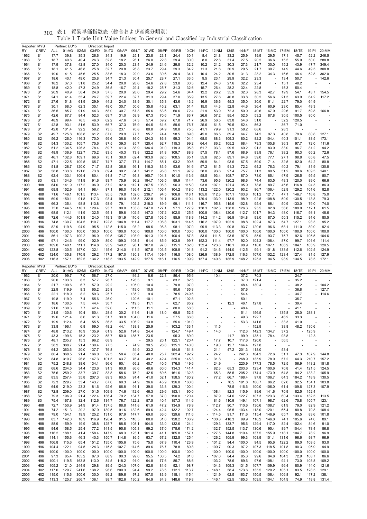| 表1<br>302 | 貿易単価指数表(総合および産業分類別) |
|-----------|---------------------|
|-----------|---------------------|

| Reporter: MYS       |                                    |                | Partner: EU15  |                | Direction: Import |                   |                          |                |                |                                  |                |                |                                |                          |                                                      |                |                |                          |                |                          |                |                |
|---------------------|------------------------------------|----------------|----------------|----------------|-------------------|-------------------|--------------------------|----------------|----------------|----------------------------------|----------------|----------------|--------------------------------|--------------------------|------------------------------------------------------|----------------|----------------|--------------------------|----------------|--------------------------|----------------|----------------|
| RY<br>1962          | <b>CREV</b><br>S <sub>1</sub>      | ALL<br>17.7    | 01:AG<br>39.8  | 02:MI<br>35.3  | 03:FD<br>26.6     | 04:TX<br>34.3     | 05:AP<br>19.9            | 06:LT<br>25.1  | 07:WD<br>23.8  | 08:PP<br>23.1                    | 09:RB<br>24.4  | 10:CH<br>30.1  | 11:PC<br>8.4                   | 12:NM<br>21.8            | 13:IS<br>33.2                                        | 14:NF<br>25.9  | 15:MT<br>19.9  | 16:MC<br>29.5            | 17:EM<br>17.1  | 18:TE<br>45.7            | 19:PI<br>52.2  | 20:MM<br>246.5 |
| 1963                | S <sub>1</sub>                     | 18.7           | 40.6           | 40.4           | 26.3              | 32.8              | 18.2                     | 26.1           | 26.0           | 22.8                             | 29.4           | 30.0           | 8.0                            | 22.8                     | 31.4                                                 | 27.5           | 20.2           | 36.6                     | 15.5           | 55.0                     | 50.0           | 288.8          |
| 1964                | S <sub>1</sub>                     | 17.9           | 37.8           | 42.8           | 27.0              | 34.0              | 20.3                     | 23.4           | 24.9           | 24.6                             | 29.8           | 32.2           | 10.2                           | 21.2                     | 30.3                                                 | 27.3           | 21.7           | 30.0                     | 15.2           | 43.9                     | 47.7           | 349.4          |
| 1965                | S <sub>1</sub>                     | 18.1           | 41.5           | 46.8           | 25.8              | 32.7              | 20.8                     | 26.8           | 23.7           | 29.4                             | 29.3           | 34.2           | 11.3                           | 21.6                     | 30.9                                                 | 29.5           | 21.7           | 30.7                     | 14.9           | 44.6                     | 49.5           | 308.8          |
| 1966                | S <sub>1</sub>                     | 19.0           | 41.5           | 45.6           | 25.5              | 33.6              | 18.3                     | 29.0           | 23.6           | 30.6                             | 30.4           | 34.7           | 10.4                           | 24.2                     | 30.5                                                 | 31.3           | 23.2           | 34.3                     | 16.6           | 46.4                     | 52.8           | 302.0          |
| 1967                | S <sub>1</sub>                     | 18.6           | 40.1           | 49.0           | 25.8              | 34.7              | 21.3                     | 30.4           | 25.7           | 28.7                             | 27.1           | 33.5           | 9.5                            | 23.1                     | 29.9                                                 | 32.2           | 23.3           |                          | 13.4           | 50.7                     |                | 142.6          |
| 1968                | S <sub>1</sub>                     | 18.2           | 37.0           | 51.8           | 25.2              | 34.4              | 20.0                     | 28.6           | 24.6           | 27.8                             | 23.8           | 30.5           | 12.4                           | 24.6                     | 27.6                                                 | 32.2           | 23.4           | ÷,                       | 15.1           | 48.2                     |                |                |
| 1969                | S <sub>1</sub>                     | 18.8           | 42.0           | 47.3           | 24.9              | 36.5              | 16.7                     | 29.4           | 18.2           | 25.7                             | 31.3           | 32.6           | 15.7                           | 26.4                     | 28.2                                                 | 32.4           | 22.8           | ÷,                       | 15.3           | 50.4                     |                |                |
| 1970                | S <sub>1</sub>                     | 20.9           | 40.9<br>41.4   | 50.4<br>55.4   | 24.8              | 37.5              | 20.9<br>22.4             | 28.0           | 29.4           | 29.2<br>29.4                     | 24.6           | 34.4<br>35.9   | 12.2                           | 26.2                     | 35.9                                                 | 32.3           | 28.3<br>30.2   | 42.7                     | 19.9           | 54.1<br>63.9             | 43.7           | 154.5<br>117.2 |
| 1971<br>1972        | S <sub>1</sub><br>S <sub>1</sub>   | 24.1<br>27.6   | 51.8           | 61.9           | 26.7<br>29.9      | 39.7<br>44.2      | 24.0                     | 32.7<br>38.9   | 31.3<br>30.1   | 35.3                             | 37.0<br>43.6   | 43.2           | 13.5<br>16.9                   | 27.6<br>36.6             | 40.8<br>45.3                                         | 33.8<br>35.0   | 30.0           | 56.6<br>61.1             | 21.3<br>22.7   | 79.0                     | 64.2<br>64.9   |                |
| 1973                | S <sub>1</sub>                     | 30.1           | 68.0           | 62.3           | 35.1              | 49.0              | 30.7                     | 50.6           | 35.8           | 45.2                             | 63.1           | 51.4           | 15.0                           | 44.3                     | 52.8                                                 | 44.6           | 36.4           | 60.9                     | 23.0           | 85.4                     | 49.3           |                |
| 1974                | S <sub>1</sub>                     | 36.5           | 85.7           | 91.9           | 44.3              | 58.0              | 30.7                     | 67.3           | 55.6           | 63.6                             | 60.6           | 72.4           | 21.9                           | 53.9                     | 72.3                                                 | 50.9           | 40.6           | 67.9                     | 29.6           | 91.7                     | 59.8           | 166.8          |
| 1975                | S <sub>1</sub>                     | 42.6           | 87.7           | 84.4           | 52.3              | 69.7              | 31.0                     | 58.9           | 67.3           | 70.6                             | 71.9           | 83.7           | 26.6                           | 57.2                     | 85.4                                                 | 52.5           | 53.2           | 87.8                     | 30.5           | 100.5                    | 80.0           |                |
| 1976                | S <sub>1</sub>                     | 48.9           | 99.4           | 76.5           | 46.0              | 62.2              | 47.6                     | 57.3           | 57.4           | 59.2                             | 67.8           | 71.7           | 26.9                           | 56.5                     | 83.8                                                 | 54.6           | 51.0           | $\overline{a}$           | 52.2           | 120.5                    |                |                |
| 1977                | S <sub>1</sub>                     | 42.8           | 93.1           | 81.6           | 53.9              | 66.7              | 37.3                     | 76.9           | 64.5           | 61.6                             | 59.6           | 76.7           | 25.6                           | 61.5                     | 79.5                                                 | 52.4           | 56.3           | $\overline{\phantom{a}}$ | 36.7           | 71.0                     |                |                |
| 1978                | S <sub>1</sub>                     | 42.8           | 101.4          | 92.2           | 58.2              | 73.5              | 23.1                     | 70.8           | 80.8           | 64.9                             | 90.8           | 75.5           | 41.1                           | 79.9                     | 91.3                                                 | 58.2           | 68.6           | Ĭ.                       | 28.3           |                          |                |                |
| 1979                | S <sub>2</sub>                     | 49.7           | 125.8          | 108.8          | 61.2              | 87.0              | 29.9                     | 77.7           | 95.7           | 74.4                             | 98.5           | 89.8           | 45.0                           | 86.5                     | 89.4                                                 | 64.7           | 74.2           | 97.3                     | 40.8           | 79.6                     | 80.8           | 127.1          |
| 1980                | S <sub>2</sub>                     | 56.2           | 126.0          | 116.3          | 70.0              | 99.6              | 36.8                     | 86.0           | 124.3          | 86.8                             | 99.3           | 104.4          | 68.0                           | 88.3                     | 109.3                                                | 80.2           | 82.2           | 104.4                    | 40.3           | 101.1                    | 88.5           | 173.1          |
| 1981                | S <sub>2</sub>                     | 54.3           | 130.2          | 105.7          | 75.6              | 87.5              | 39.3                     | 85.7           | 120.4          | 92.7                             | 115.3          | 99.2           | 64.4                           | 86.2                     | 105.2                                                | 68.4           | 79.3           | 105.8                    | 36.3           | 97.7                     | 72.0           | 111.6          |
| 1982                | S <sub>2</sub>                     | 51.2           | 134.5          | 126.3          | 78.4              | 89.7              | 41.3                     | 88.9           | 136.4          | 91.0                             | 119.3          | 95.8           | 61.7                           | 93.3                     | 99.5                                                 | 69.2           | 91.2           | 83.9                     | 33.0           | 96.7                     | 81.2           | 94.2           |
| 1983                | S <sub>2</sub>                     | 48.9           | 136.9          | 122.7          | 75.2              | 83.5              | 40.3                     | 73.8           | 122.2          | 81.8                             | 109.7          | 88.9           | 57.5                           | 78.1                     | 87.6                                                 | 68.9           | 83.9           | 76.1                     | 38.2           | 90.3                     | 66.2           | 72.6           |
| 1984                | S <sub>2</sub>                     | 46.1           | 132.8          | 109.1          | 69.6              | 75.1              | 38.0                     | 62.4           | 103.9          | 82.5                             | 108.5          | 85.1           | 55.8                           | 82.5                     | 89.1                                                 | 64.8           | 59.0           | 77.1                     | 27.1           | 98.8                     | 65.8           | 47.5           |
| 1985                | S <sub>2</sub>                     | 47.1<br>51.8   | 122.5<br>128.7 | 109.5<br>120.0 | 65.7              | 74.7<br>82.8      | 37.7<br>36.8             | 77.4<br>99.1   | 114.7<br>116.3 | 85.1<br>83.9                     | 93.2<br>93.6   | 90.5<br>91.6   | 59.9                           | 84.1<br>81.5             | 93.6                                                 | 67.5<br>72.2   | 59.0<br>64.2   | 71.4<br>76.3             | 32.5<br>40.2   | 82.0<br>79.1             | 64.2           | 80.8<br>130.8  |
| 1986<br>1987        | S <sub>2</sub><br>S <sub>2</sub>   | 58.8           | 133.8          | 121.6          | 71.7<br>73.8      | 89.4              | 39.2                     | 84.7           | 141.2          | 95.8                             | 91.1           | 97.9           | 57.2<br>58.0                   | 93.6                     | 91.3<br>97.4                                         | 75.7           | 71.3           | 80.5                     | 51.2           | 98.6                     | 81.9<br>109.3  | 140.1          |
| 1988                | S <sub>2</sub>                     | 62.4           | 133.1          | 106.4          | 80.4              | 91.8              | 71.7                     | 95.8           | 160.7          | 104.3                            | 101.0          | 113.6          | 58.5                           | 93.4                     | 108.7                                                | 87.0           | 73.0           | 85.1                     | 47.9           | 126.5                    | 95.5           | 80.7           |
| 1989                | S <sub>3</sub>                     | 63.1           | 134.6          | 111.9          | 91.6              | 93.7              | 75.9                     | 96.2           | 194.7          | 106.5                            | 99.9           | 114.4          | 73.6                           | 95.6                     | 120.2                                                | 98.6           | 74.4           | 83.5                     | 48.3           | 120.0                    | 89.0           | 66.6           |
| 1990                | H88                                | 64.0           | 141.9          | 117.2          | 96.0              | 87.2              | 92.0                     | 112.1          | 267.5          | 106.3                            | 96.3           | 115.0          | 93.8                           | 107.1                    | 121.4                                                | 95.9           | 78.8           | 89.7                     | 45.6           | 116.8                    | 94.3           | 86.3           |
| 1991                | H88                                | 69.8           | 152.9          | 94.1           | 98.4              | 87.1              | 98.0                     | 136.4          | 212.1          | 106.4                            | 104.2          | 118.0          | 113.2                          | 122.0                    | 120.2                                                | 93.2           | 86.7           | 106.4                    | 52.9           | 129.2                    | 101.6          | 82.8           |
| 1992                | H88                                | 71.6           | 146.1          | 101.5          | 113.4             | 95.5              | 79.8                     | 152.0          | 236.7          | 94.5                             | 106.8          | 118.1          | 105.0                          | 112.3                    | 107.1                                                | 103.8          | 101.2          | 121.1                    | 47.1           | 146.7                    | 116.8          | 75.0           |
| 1993                | H88                                | 69.9           | 150.1          | 91.8           | 117.3             | 93.4              | 99.0                     | 135.5          | 232.8          | 91.1                             | 103.8          | 110.4          | 129.4                          | 103.0                    | 113.9                                                | 98.9           | 92.5           | 108.8                    | 50.9           | 130.5                    | 113.8          | 79.3           |
| 1994                | H88                                | 66.3           | 135.4          | 98.8           | 113.8             | 93.9              | 79.1                     | 102.2          | 218.3          | 89.9                             | 99.1           | 111.1          | 116.7                          | 95.8                     | 115.6                                                | 102.8          | 95.4           | 88.1                     | 50.9           | 133.0                    | 79.0           | 74.0           |
| 1995                | H88                                | 75.0           | 144.5          | 110.1          | 129.4             | 93.7              | 90.0                     | 133.8          | 247.0          | 127.1                            | 97.1           | 127.9          | 138.3                          | 102.3                    | 138.0                                                | 126.3          | 95.5           | 82.8                     | 56.6           | 189.0                    | 112.1          | 61.5           |
| 1996                | H88                                | 68.5           | 112.1          | 111.9          | 132.5             | 95.1              | 59.8                     | 102.5          | 147.3          | 107.2                            | 102.0          | 125.5          | 100.8                          | 108.4                    | 120.6                                                | 112.7          | 101.7          | 94.3                     | 48.0           | 116.7                    | 98.1           | 48.6           |
| 1997                | H88                                | 72.6           | 144.6          | 101.8          | 124.0             | 119.3             | 101.9                    | 110.6          | 127.8          | 103.5                            | 95.9           | 118.9          | 114.2                          | 114.2                    | 96.9                                                 | 104.8          | 93.0           | 87.0                     | 50.3           | 115.2                    | 91.6           | 80.5           |
| 1998                | H96                                | 74.8           | 130.7          | 104.5          | 110.7             | 122.8             | 104.8                    | 111.4          | 117.7          | 106.8                            | 103.1          | 114.5          | 116.2                          | 107.9                    | 102.9                                                | 98.8           | 102.4          | 87.3                     | 54.7           | 127.1                    | 93.3           | 95.2           |
| 1999<br>2000        | H96<br>H96                         | 82.9<br>100.0  | 119.8<br>100.0 | 94.9<br>100.0  | 95.5<br>100.0     | 112.5<br>100.0    | 115.0<br>100.0           | 93.2<br>100.0  | 98.6<br>100.0  | 98.3<br>100.0                    | 98.1<br>100.0  | 107.0<br>100.0 | 99.9<br>100.0                  | 113.3<br>100.0           | 90.8<br>100.0                                        | 93.7<br>100.0  | 120.6<br>100.0 | 96.6<br>100.0            | 68.1<br>100.0  | 111.0<br>100.0           | 89.0<br>100.0  | 92.4<br>100.0  |
| 2001                | H96                                | 86.1           | 107.3          | 100.2          | 96.0              | 99.5              | 135.7                    | 108.9          | 101.3          | 101.6                            | 100.4          | 87.8           | 83.6                           | 111.5                    | 93.5                                                 | 97.5           | 85.9           | 93.7                     | 75.7           | 92.6                     | 105.5          | 104.6          |
| 2002                | H96                                | 97.1           | 124.6          | 99.0           | 102.9             | 89.0              | 109.3                    | 103.4          | 91.4           | 85.9                             | 103.8          | 99.7           | 152.3                          | 111.4                    | 97.7                                                 | 92.0           | 104.3          | 108.4                    | 87.0           | 99.7                     | 101.6          | 111.4          |
| 2003                | H <sub>02</sub>                    | 109.0          | 140.1          | 111.1          | 114.8             | 95.9              | 140.2                    | 98.1           | 107.0          | 97.0                             | 115.1          | 102.0          | 152.4                          | 123.8                    | 110.1                                                | 98.9           | 110.0          | 107.1                    | 106.2          | 104.1                    | 103.9          | 120.5          |
| 2004                | H <sub>02</sub>                    | 123.8          | 130.5          | 157.0          | 132.1             | 115.6             | 214.0                    | 111.5          | 107.5          | 103.5                            | 108.8          | 101.8          | 91.2                           | 134.6                    | 144.0                                                | 112.5          | 99.1           | 101.8                    | 133.5          | 112.6                    | 102.5          | 124.9          |
| 2005                | H <sub>02</sub>                    | 124.0          | 135.8          | 170.9          | 129.2             | 117.2             | 197.0                    | 130.3          | 117.4          | 109.4                            | 116.5          | 108.0          | 126.9                          | 138.9                    | 172.5                                                | 116.3          | 107.0          | 102.2                    | 123.4          | 127.4                    | 81.5           | 127.9          |
| 2006                | H <sub>02</sub>                    | 116.3          | 157.1          | 162.5          | 134.2             | 118.3             | 193.5                    | 142.9          | 127.5          | 116.1                            | 116.5          | 109.9          | 137.4                          | 140.6                    | 185.9                                                | 148.2          | 125.3          | 94.5                     | 98.9           | 134.5                    | 78.5           | 172.1          |
|                     |                                    |                |                |                |                   |                   |                          |                |                |                                  |                |                |                                |                          |                                                      |                |                |                          |                |                          |                |                |
|                     |                                    |                | Partner: EU15  |                |                   | Direction: Export |                          |                |                |                                  |                |                |                                |                          |                                                      |                |                |                          |                |                          |                |                |
| Reporter: MYS<br>RY | <b>CREV</b>                        | ALL            | 01:AG          | 02:MI          | 03:FD             | 04:TX             | 05:AP                    | 06:LT          | 07:WD          | 08:PP                            | 09:RB          | 10:CH          | 11:PC                          | 12:NM                    | $13:$ IS                                             | 14:NF          | 15:MT          |                          | 16:MC 17:EM    | 18:TE                    | 19:PI          | 20:MM          |
| 1962                | S <sub>1</sub>                     | 20.0           | 99.7           | 7.0            | 58.7              | 27.0              | $\overline{\phantom{a}}$ | 116.2          | 8.6            | 22.8                             | 86.4           | 95.6           | ÷,                             | 10.4                     |                                                      | 37.2           | 70.3           |                          |                | 24.7                     |                |                |
| 1963                | S <sub>1</sub>                     | 20.0           | 103.8          | 6.3            | 57.7              | 26.7              | $\overline{\phantom{a}}$ | 128.3          | 9.1            | ÷,                               | 83.2           | 82.5           | ä,                             |                          |                                                      | 37.0           | 121.4          |                          |                | 35.2                     |                |                |
| 1964                | S <sub>1</sub>                     | 21.7           | 109.6          | 6.7            | 57.9              | 29.2              | $\overline{\phantom{a}}$ | 105.0          | 10.4           | ÷,                               | 79.8           | 97.0           |                                |                          |                                                      | 48.4           | 130.4          |                          |                | 38.2                     |                | 104.2          |
| 1965                | S <sub>1</sub>                     | 22.9           | 119.9          | 8.3            | 65.2              | 25.8              | $\overline{\phantom{a}}$ | 119.0          | 10.5           |                                  | 80.6           | 165.8          |                                |                          |                                                      | 57.6           |                |                          |                | 36.8                     |                | 127.7          |
| 1966                | S <sub>1</sub>                     | 22.1           | 118.9          | 8.2            | 59.3              | 25.7              | $\overline{\phantom{a}}$ | 135.2          | 9.4            | ÷,                               | 78.5           | 249.6          | $\overline{\phantom{a}}$       |                          |                                                      | 54.4           |                |                          |                | 34.7                     |                | 114.6          |
| 1967                | S <sub>1</sub>                     | 19.8           | 119.0          | 7.4            | 55.6              | 26.0              | $\overline{\phantom{a}}$ | 120.6          | 10.1           | $\overline{\phantom{a}}$         | 67.1           | 102.8          |                                |                          |                                                      | 50.1           |                |                          |                | 35.7                     |                |                |
| 1968                | S <sub>1</sub>                     | 18.6           | 130.5          | 7.5            | 44.4              | 30.7              | $\overline{\phantom{a}}$ | 119.5          | 11.1           | $\overline{\phantom{a}}$         | 62.7           | 85.2           |                                |                          | 12.3                                                 | 46.1           | 127.8          |                          |                | 39.4                     |                |                |
| 1969                | S <sub>1</sub>                     | 21.6           | 130.3          | 7.7            | 42.4              | 32.0              |                          | 111.3          | 11.1           | ä,                               | 80.0           | 58.3           |                                |                          |                                                      | 48.4           |                |                          |                | 41.1                     |                |                |
| 1970<br>1971        | S <sub>1</sub><br>S <sub>1</sub>   | 21.5<br>19.6   | 130.6<br>121.4 | 10.4<br>8.6    | 60.4<br>61.3      | 28.5<br>31.7      | 30.2<br>30.9             | 111.6<br>104.0 | 11.9<br>11.6   | 18.0<br>$\overline{\phantom{a}}$ | 68.8<br>57.5   | 52.5<br>66.8   |                                | $\overline{\phantom{a}}$ |                                                      | 51.1<br>49.3   | 156.5<br>122.7 |                          | 135.8<br>46.2  | 28.0<br>33.3             | 288.1          |                |
| 1972                | S <sub>1</sub>                     | 19.9           | 112.4          | 6.4            | 55.5              | 36.5              | 33.5                     | 106.2          | 13.8           |                                  | 55.6           | 101.0          |                                |                          |                                                      | 53.3           | 141.6          |                          | 33.3           | 41.0                     |                |                |
| 1973                | S <sub>1</sub>                     | 33.8           | 196.1          | 6.8            | 69.0              | 48.2              | 44.1                     | 138.8          | 25.9           |                                  | $-103.2$       | 133.1          |                                | 11.5                     |                                                      |                | 152.9          |                          | 38.8           | 48.2                     | 130.6          |                |
| 1974                | S <sub>1</sub>                     | 48.8           | 213.2          | 10.9           | 135.9             | 61.9              | 52.6                     | 194.8          | 24.4           | $\overline{\phantom{a}}$         | 124.7          | 149.4          |                                | 14.0                     | $\overline{\phantom{a}}$                             | 112.3          | 142.3          | 134.7                    | 37.2           |                          | 125.9          |                |
| 1975                | S <sub>1</sub>                     | 43.3           | 199.6          | 15.3           | 123.2             | 58.7              | 50.0                     | 185.7          | 23.5           | $\overline{\phantom{a}}$         | 95.3           | 89.0           | ÷,                             |                          | 11.7                                                 | 99.9           | 135.1          | 78.4                     | 98.8           | $\overline{\phantom{a}}$ | 112.8          |                |
| 1976                | S <sub>1</sub>                     | 48.1           | 235.7          | 15.3           | 96.2              | 68.9              | ×,                       |                | 29.5           | 20.1                             | 122.1          | 120.4          | $\overline{\phantom{a}}$       | 17.7                     | 10.7                                                 | 117.6          | 120.0          | $\overline{\phantom{a}}$ | 56.5           |                          |                |                |
| 1977                | S <sub>1</sub>                     | 58.2           | 388.7          | 21.4           | 130.4             | 77.5              | ×,                       | 74.9           | 30.5           | 26.8                             | 135.1          | 140.0          |                                | 19.0                     | 12.7                                                 | 164.4          | 127.8          |                          |                |                          |                |                |
| 1978                | S <sub>1</sub>                     | 64.2           | 363.6          | 20.0           | 137.7             | 76.8              | Ĭ.                       | 54.9           | 33.2           | $\overline{\phantom{a}}$         | 154.8          | 161.8          | ä,<br>$\overline{\phantom{a}}$ | 21.1                     | 47.2                                                 | 201.3          | 118.0          | L,                       | 53.4           |                          |                |                |
| 1979                | S <sub>2</sub>                     | 80.4           | 368.5          | 21.4           | 166.0             | 92.3              | 58.4                     | 63.4           | 48.8           | 25.7<br>42.4                     | 202.4          | 192.2          | $\overline{\phantom{a}}$       | 24.2                     | $\overline{\phantom{a}}$<br>$\overline{\phantom{a}}$ | 242.3          | 104.2          | 72.6                     | 51.1           | 47.3                     | 107.9          | 144.8          |
| 1980<br>1981        | S2<br>S2                           | 84.8<br>75.2   | 319.7<br>248.8 | 26.8<br>38.6   | 147.3<br>134.1    | 101.5<br>96.6     | 63.7<br>60.1             | 76.4<br>66.2   | 49.2<br>40.7   | 40.5                             | 225.0<br>176.5 | 145.3<br>149.6 |                                | 31.8<br>24.9             | $\overline{\phantom{a}}$                             | 268.9<br>220.9 | 135.9<br>177.3 | 78.0<br>78.5             | 57.2<br>72.5   | 64.3<br>56.9             | 210.7<br>143.2 | 157.2<br>151.8 |
| 1982                | S2                                 | 68.6           | 234.5          | 34.4           | 123.6             | 91.3              | 60.8                     | 86.6           | 40.6           | 60.0                             | 134.3          | 141.4          | ä,                             | 82.3                     | 65.3                                                 | 203.6          | 123.4          | 100.6                    | 70.8           | 41.4                     | 121.5          | 124.5          |
| 1983                | S <sub>2</sub>                     | 75.6           | 259.2          | 33.7           | 139.7             | 83.8              | 58.6                     | 75.2           | 42.5           | 69.6                             | 161.6          | 132.3          | $\overline{\phantom{a}}$       | 65.3                     | 58.5                                                 | 205.2          | 174.4          | 173.9                    | 64.8           | 94.2                     | 133.2          | 105.9          |
| 1984                | S2                                 | 83.5           | 257.4          | 35.8           | 207.3             | 89.3              | 60.5                     | 91.4           | 41.0           | 52.1                             | 158.5          | 180.2          | $\frac{1}{2}$                  | 77.2                     | 66.7                                                 | 198.4          | 97.8           | 106.7                    | 64.3           | 184.2                    | 118.9          | 130.5          |
| 1985                | S <sub>2</sub>                     | 72.3           | 229.7          | 33.4           | 143.7             | 87.0              | 60.3                     | 74.9           | 36.6           | 45.9                             | 126.8          | 160.6          |                                |                          | 76.5                                                 | 191.8          | 100.7          | 96.2                     | 62.6           | 92.5                     | 134.1          | 103.8          |
| 1986                | S2                                 | 64.9           | 219.0          | 23.3           | 81.6              | 92.6              | 66.8                     | 91.1           | 39.0           | 33.8                             | 129.3          | 100.4          | $\overline{\phantom{a}}$       | ä,                       | 78.5                                                 | 116.6          | 100.0          | 106.0                    | 61.4           | 109.6                    | 127.3          | 107.9          |
| 1987                | S <sub>2</sub>                     | 72.8           | 209.0          | 27.0           | 101.5             | 109.9             | 74.6                     | 112.6          | 46.3           | 29.6                             | 153.1          | 90.0           | ٠                              | 108.4                    | 82.3                                                 | 115.9          | 89.6           | 141.6                    | 70.9           | 82.5                     | 152.4          |                |
| 1988                | S <sub>2</sub>                     | 79.3           | 196.9          | 21.4           | 122.4             | 136.4             | 79.2                     | 134.7          | 57.8           | 37.0                             | 190.0          | 120.4          | ÷,                             | 87.9                     | 94.6                                                 | 122.7          | 107.3          | 123.3                    | 60.4           | 133.4                    | 132.5          | 113.5          |
| 1989                | S3                                 | 75.4           | 167.8          | 32.4           | 112.6             | 134.7             | 76.7                     | 122.2          | 57.5           | 40.4                             | 157.3          | 114.6          | ä,                             | 81.6                     | 110.9                                                | 149.1          | 107.1          | 98.7                     | 62.6           | 75.8                     | 105.7          | 123.1          |
| 1990                | H88                                | 72.7           | 150.9          | 24.9           | 91.4              | 137.5             | 88.8                     | 141.8          | 61.9           | 47.2                             | 134.9          | 78.9           |                                | $-112.7$                 | 90.7                                                 | 110.6          | 130.6          | 108.7                    | 61.9           | 79.0                     | 82.9           | 121.2          |
| 1991<br>1992        | H88<br>H88                         | 74.2<br>79.0   | 151.3<br>154.1 | 20.2<br>19.9   | 97.9<br>125.2     | 139.5<br>131.0    | 91.6<br>97.9             | 132.6<br>147.7 | 59.6<br>69.0   | 42.4<br>36.0                     | 132.2<br>129.6 | 102.7<br>111.6 |                                | $-124.4$<br>$-114.5$     | 95.5<br>91.7                                         | 103.4<br>111.6 | 118.0<br>115.4 | 120.1<br>146.9           | 65.4<br>65.7   | 80.8<br>95.5             | 79.8<br>83.6   | 108.4<br>101.8 |
| 1993                | H88                                | 83.7           | 142.0          | 18.9           | 116.9             | 126.4             | 91.5                     | 116.5          | 88.0           | 31.6                             | 128.2          | 106.9          |                                | $-130.8$                 | 418.3                                                | 99.9           | 116.2          | 146.0                    | 74.1           | 105.6                    | 74.0           | 89.1           |
| 1994                | H88                                | 88.9           | 159.9          | 19.9           | 138.8             | 125.7             | 88.5                     | 108.1          | 104.0          | 33.0                             | 132.6          | 124.4          |                                | $-129.3$                 | 133.7                                                | 95.6           | 129.4          | 117.0                    | 82.4           | 102.4                    | 84.6           | 91.0           |
| 1995                | H88                                | 94.6           | 158.5          | 25.4           | 177.2             | 141.5             | 95.8                     | 105.3          | 99.2           | 37.0                             | 175.6          | 174.2          |                                | $-132.7$                 | 152.5                                                | 113.7          | 130.6          | 95.4                     | 89.7           | 104.4                    | 78.4           | 86.8           |
| 1996                | H88                                | 116.2          | 188.1          | 41.4           | 158.4             | 147.9             | 68.3                     | 123.1          | 101.4          | 41.1                             | 165.8          | 157.1          |                                | $-127.5$                 | 144.8                                                | 110.4          | 137.5          | 155.9                    | 118.1          | 104.7                    | 78.2           | 96.9           |
| 1997                | H88                                | 114.1          | 155.6          | 46.3           | 140.3             | 150.7             | 114.8                    | 86.5           | 93.7           | 67.2                             | 132.5          | 125.4          |                                | $-126.2$                 | 105.9                                                | 99.3           | 108.9          | 101.1                    | 131.6          | 96.6                     | 98.7           | 96.9           |
| 1998                | H96                                | 106.8          | 115.6          | 65.4           | 151.2             | 135.0             | 105.6                    | 75.6           | 75.0           | 67.9                             | 110.4          | 123.9          |                                | $-101.2$                 | 94.4                                                 | 100.0          | 94.5           | 95.6                     | 122.2          | 89.0                     | 109.5          | 93.0           |
| 1999                | H96                                | 104.4          | 122.1          | 94.5           | 124.3             | 115.8             | 102.7                    | 114.6          | 89.6           | 76.7                             | 78.8           | 89.8           |                                | $-109.7$                 | 90.3                                                 | 97.2           | 107.3          | 118.5                    | 101.8          | 90.3                     | 95.9           | 94.9           |
| 2000                | H96                                | 100.0          | 100.0          | 100.0          | 100.0             | 100.0             | 100.0                    | 100.0          | 100.0          | 100.0                            | 100.0          | 100.0          |                                | $-100.0$                 | 100.0                                                | 100.0          | 100.0          | 100.0                    | 100.0          | 100.0                    | 100.0          | 100.0          |
| 2001                | H <sub>96</sub>                    | 97.3           | 85.4           | 165.2          | 87.0              | 88.9              | 90.3                     | 99.0           | 95.5           | 100.5                            | 74.2           | 81.0           |                                | $-107.0$                 | 84.4                                                 | 85.3           | 99.6           | 94.8                     | 104.3          | 72.9                     | 108.7          | 86.6           |
| 2002                | H96                                | 100.1          | 119.5          | 163.8          | 113.0             | 84.5              | 118.2                    | 91.0           | 94.8           | 77.6                             | 85.7           | 88.6           |                                | $-103.2$                 | 78.6                                                 | 89.6           | 97.6           | 108.1                    | 94.1           | 73.0                     | 103.8          | 109.2          |
| 2003<br>2004        | H <sub>02</sub><br>H <sub>02</sub> | 105.2<br>117.0 | 121.0<br>129.7 | 244.9<br>241.6 | 129.8<br>138.2    | 89.5<br>96.6      | 124.3<br>200.3           | 107.0<br>94.4  | 92.8<br>99.2   | 81.6<br>78.5                     | 92.1<br>112.1  | 98.7<br>113.7  |                                | $-104.3$<br>$-148.1$     | 109.3<br>58.4                                        | 131.5<br>173.6 | 107.7<br>135.5 | 109.9<br>120.2           | 96.4<br>105.1  | 80.9<br>83.5             | 114.0<br>128.5 | 121.6<br>129.1 |
| 2005<br>2006        | H <sub>02</sub><br>H <sub>02</sub> | 115.0<br>113.3 | 115.6<br>125.7 | 300.6<br>266.7 | 130.0<br>136.1    | 99.2<br>98.7      | 189.6<br>182.6           | 97.2<br>130.2  | 107.0<br>84.9  | 83.9<br>84.3                     | 118.1<br>148.6 | 115.4<br>119.8 |                                | $-121.9$<br>$-146.1$     | 62.5<br>62.5                                         | 163.7<br>185.3 | 150.5<br>109.5 | 106.4<br>104.1           | 106.8<br>104.9 | 92.1<br>74.9             | 117.2<br>118.8 | 138.1<br>131.4 |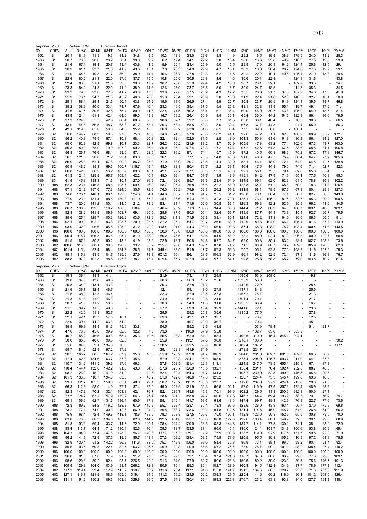| Reporter: MYS |                                     |                | Partner: JPN   |                | Direction: Import |                          |                                                      |                                  |                   |                          |                |                |                |                               |                        |                |                          |                                                      |                          |                |                          |                                                      |
|---------------|-------------------------------------|----------------|----------------|----------------|-------------------|--------------------------|------------------------------------------------------|----------------------------------|-------------------|--------------------------|----------------|----------------|----------------|-------------------------------|------------------------|----------------|--------------------------|------------------------------------------------------|--------------------------|----------------|--------------------------|------------------------------------------------------|
| RY<br>1962    | CREV<br>S <sub>1</sub>              | ALL<br>20.1    | 01:AG<br>81.9  | 02:MI<br>11.9  | 03:FD<br>19.3     | 04:TX<br>34.2            | 05:AP<br>34.8                                        | 06:LT<br>9.6                     | 07:WD<br>10.3     | 08:PP<br>18.3            | 09:RB<br>23.0  | 10:CH<br>29.6  | 11:PC<br>3.8   | 12:NM<br>14.9                 | 13:IS<br>29.2          | 14:NF<br>16.5  | 15:MT<br>19.9            | 16:MC<br>38.3                                        | 17:EM<br>179.5           | 18:TE<br>24.0  | 19:PI<br>13.2            | 20:MM<br>28.3                                        |
| 1963          | S1                                  | 20.7           | 78.6           | 20.0           | 20.2              | 38.4                     | 39.0                                                 | 9.7                              | 6.2               | 17.4                     | 24.1           | 27.2           | 3.8            | 15.4                          | 28.6                   | 16.6           | 23.0                     | 49.9                                                 | 118.3                    | 27.5           | 12.6                     | 29.9                                                 |
| 1964          | S1                                  | 21.6           | 67.1           | 19.4           | 20.7              | 43.4                     | 43.6                                                 | 11.9                             | 5.9               | 20.1                     | 23.4           | 25.9           | 5.0            | 15.5                          | 29.9                   | 17.0           | 20.3                     | 64.2                                                 | 124.4                    | 25.6           | 12.5                     | 29.1                                                 |
| 1965          | S1                                  | 20.9           | 61.1           | 23.7           | 21.6              | 41.9                     | 43.6                                                 | 15.1                             | 7.6               | 26.3                     | 24.9           | 29.9           | 4.7            | 15.1                          | 30.3                   | 18.8           | 20.4                     | 26.2                                                 | 124.0                    | 27.8           | 12.9                     | 29.1                                                 |
| 1966          | S1                                  | 21.9           | 64.6           | 19.8           | 21.7              | 36.9                     | 38.9                                                 | 14.1                             | 10.6              | 26.7                     | 27.8           | 29.3           | 5.2            | 14.5                          | 30.2                   | 22.2           | 19.1                     | 40.6                                                 | 125.4                    | 27.9           | 13.3                     | 29.5                                                 |
| 1967          | S <sub>1</sub>                      | 22.6           | 80.2           | 21.1           | 22.0              | 37.6                     | 37.7                                                 | 15.5                             | 10.8              | 25.0                     | 30.5           | 26.8           | 4.6            | 14.6                          | 30.6                   | 20.1           | 22.8                     |                                                      | 124.8                    | 31.6           |                          | 33.8                                                 |
| 1968          | S <sub>1</sub>                      | 22.4           | 83.8           | 21.1           | 21.6              | 39.6                     | 39.0                                                 | 17.9                             | 10.2              | 26.8                     | 25.9           | 27.4           | 4.2            | 15.0                          | 28.7                   | 23.1           | 22.1                     | $\overline{\phantom{a}}$                             | 102.9                    | 33.3           | $\overline{\phantom{a}}$ | 34.7                                                 |
| 1969          | S1                                  | 23.3           | 84.2           | 24.3           | 22.0              | 41.2                     | 38.9                                                 | 14.8                             | 12.6              | 26.0                     | 23.7           | 26.5           | 5.0            | 16.7                          | 30.9                   | 24.7           | 18.5                     | ÷,                                                   | 114.5                    | 35.3           |                          | 34.5                                                 |
| 1970          | S1                                  | 23.3           | 79.6           | 23.0           | 22.3              | 41.2                     | 43.6                                                 | 13.8                             | 13.6              | 22.8                     | 27.5           | 26.2           | 4.3            | 17.2                          | 33.5                   | 26.8           | 21.7                     | 37.5                                                 | 107.9                    | 34.6           | 17.5                     | 41.9                                                 |
| 1971          | S <sub>1</sub>                      | 25.9           | 73.1           | 24.7           | 21.8              | 45.2                     | 46.6                                                 | 20.5                             | 15.3              | 28.4                     | 22.1           | 26.9           | 3.8            | 18.0                          | 31.9                   | 22.4           | 21.6                     | 52.3                                                 | 140.3                    | 32.7           | 18.1                     | 50.0                                                 |
| 1972          | S <sub>1</sub>                      | 29.1           | 88.1           | 29.4           | 24.6              | 50.4                     | 43.8                                                 | 24.2                             | 19.6              | 33.5                     | 26.5           | 27.4           | 4.9            | 22.7                          | 35.8                   | 23.7           | 26.5                     | 61.9                                                 | 124.4                    | 39.5           | 19.7                     | 46.8                                                 |
| 1973          | S <sub>1</sub>                      | 35.2           | 108.9          | 40.0           | 33.1              | 74.7                     | 67.6                                                 | 46.4                             | 23.3              | 46.5                     | 35.4           | 37.5           | 5.4            | 25.8                          | 48.1                   | 32.8           | 31.9                     | 55.1                                                 | 119.7                    | 49.1           | 17.9                     | 71.1                                                 |
| 1974          | S1                                  | 41.6           | 161.5          | 39.6           | 42.8              | 75.4                     | 89.0                                                 | 41.6                             | 22.4              | 71.5                     | 40.2           | 66.4           | 6.7            | 36.4                          | 69.0                   | 45.0           | 39.7                     | 43.8                                                 | 105.9                    | 54.9           | 18.5                     | 87.4                                                 |
| 1975          | S1                                  | 43.9           | 124.4          | 51.8           | 42.1              | 64.6                     | 99.0                                                 | 49.8                             | 16.7              | 59.2                     | 36.4           | 60.9           | 8.4            | 32.1                          | 65.4                   | 35.0           | 44.2                     | 54.6                                                 | 122.3                    | 56.4           | 36.0                     | 79.5                                                 |
| 1976          | S <sub>1</sub>                      | 37.3           | 124.8          | 55.5           | 42.6              | 66.4                     | 88.3                                                 | 38.8                             | 10.8              | 52.1                     | 39.2           | 53.8           | 7.7            | 31.5                          | 63.0                   | 36.1           | 48.4                     | ٠                                                    | 78.3                     | 38.6           |                          | 66.5                                                 |
| 1977          | S1                                  | 43.0           | 144.6          | 56.5           | 48.7              | 63.8                     | 87.2                                                 | 58.1                             | 20.3              | 53.4                     | 58.5           | 52.3           | 8.0            | 30.4                          | 67.8                   | 37.7           | 44.3                     |                                                      | 91.4                     | 55.0           |                          | 56.3                                                 |
| 1978          | S <sub>1</sub>                      | 49.1           | 119.5          | 65.0           | 50.0              | 84.6                     | 95.2                                                 | 18.5                             | 26.6              | 68.2                     | 93.8           | 54.0           | 8.5            | 36.4                          | 77.5                   | 39.8           | 50.0                     |                                                      | 106.1                    |                |                          |                                                      |
| 1979          | S <sub>2</sub>                      | 56.6           | 144.2          | 68.3           | 50.8              | 97.8                     | 75.8                                                 | 16.0                             | 34.6              | 74.5                     | 97.6           | 70.0           | 10.2           | 44.1                          | 92.6                   | 47.2           | 51.1                     | 62.3                                                 | 108.9                    | 60.9           | 35.9                     | 172.7                                                |
| 1980          | S <sub>2</sub>                      | 56.2           | 140.8          | 75.5           | 57.1              | 110.8                    | 98.4                                                 | 20.3                             | 22.1              | 82.4                     | 102.0          | 81.5           | 12.5           | 48.0                          | 101.3                  | 50.3           | 61.6                     | 61.3                                                 | 86.2                     | 56.4           | 34.2                     | 127.0                                                |
| 1981<br>1982  | S <sub>2</sub><br>S <sub>2</sub>    | 65.0<br>59.3   | 162.3<br>150.9 | 82.9<br>78.0   | 69.8<br>70.0      | 110.1<br>107.2           | 123.3<br>99.2                                        | 32.7<br>26.4                     | 26.2<br>29.0      | 90.2<br>86.1             | 121.9<br>107.4 | 83.2<br>78.3   | 14.7<br>17.2   | 52.9<br>47.4                  | 105.5<br>97.2          | 47.3<br>42.5   | 63.2<br>61.8             | 77.4<br>67.5                                         | 102.0<br>83.6            | 67.3<br>65.8   | 43.7<br>31.1             | 163.0<br>196.8                                       |
| 1983          | S <sub>2</sub>                      | 56.3           | 126.7          | 76.6           | 68.4              | 99.0                     | 87.1                                                 | 22.9                             | 22.3              | 76.2                     | 87.1           | 74.4           | 15.7           | 45.9                          | 87.2                   | 40.5           | 60.1                     | 68.6                                                 | 75.2                     | 67.2           | 17.8                     | 146.7                                                |
| 1984          | S <sub>2</sub>                      | 56.5           | 121.5          | 90.8           | 71.2              | 92.1                     | 83.8                                                 | 33.0                             | 36.1              | 83.5                     | 77.1           | 75.3           | 14.8           | 43.6                          | 91.6                   | 46.6           | 47.5                     | 75.9                                                 | 66.4                     | 64.7           | 27.2                     | 105.6                                                |
| 1985          | S <sub>2</sub>                      | 56.9           | 125.8          | 67.1           | 67.8              | 99.9                     | 86.7                                                 | 25.3                             | 31.0              | 83.9                     | 79.7           | 78.5           | 14.4           | 39.9                          | 88.1                   | 46.1           | 48.9                     | 72.4                                                 | 64.9                     | 64.5           | 42.5                     | 138.8                                                |
| 1986          | S <sub>2</sub>                      | 60.9           | 146.2          | 85.1           | 69.5              | 100.7                    | 115.7                                                | 49.4                             | 48.0              | 83.8                     | 80.4           | 79.7           | 12.2           | 39.1                          | 86.4                   | 47.6           | 44.9                     | 79.0                                                 | 74.0                     | 71.4           | 52.7                     | 82.3                                                 |
| 1987          | S <sub>2</sub>                      | 66.0           | 142.8          | 86.2           | 53.2              | 105.7                    | 89.6                                                 | 46.1                             | 42.1              | 97.7                     | 107.1          | 86.3           | 13.1           | 40.3                          | 99.1                   | 55.1           | 75.5                     | 79.4                                                 | 82.6                     | 65.8           | 65.4                     |                                                      |
| 1988          | S <sub>2</sub>                      | 61.3           | 124.1          | 125.9          | 65.7              | 109.4                    | 142.2                                                | 40.1                             | 48.0              | 99.4                     | 94.7           | 101.7          | 13.9           | 48.6                          | 119.1                  | 64.2           | 47.9                     | 71.3                                                 | 55.1                     | 77.5           | 40.3                     | 95.3                                                 |
| 1989          | S3                                  | 61.9           | 145.8          | 133.1          | 71.6              | 110.1                    | 127.0                                                | 36.2                             | 72.1              | 102.0                    | 85.7           | 99.3           | 21.4           | 51.9                          | 134.5                  | 69.1           | 62.0                     | 62.3                                                 | 61.5                     | 78.8           | 20.3                     | 102.2                                                |
| 1990          | H88                                 | 62.3           | 123.4          | 146.3          | 68.8              | 123.7                    | 109.4                                                | 46.2                             | 68.7              | 95.4                     | 76.8           | 96.6           | 22.2           | 58.0                          | 128.8                  | 64.1           | 61.2                     | 65.8                                                 | 60.0                     | 78.3           | 21.8                     | 126.4                                                |
| 1991          | H88                                 | 67.1           | 121.3          | 157.6          | 77.3              | 124.0                    | 130.5                                                | 72.9                             | 76.0              | 95.2                     | 79.9           | 102.3          | 26.2           | 59.2                          | 131.9                  | 68.1           | 78.5                     | 67.6                                                 | 67.3                     | 80.4           | 25.8                     | 127.3                                                |
| 1992          | H88                                 | 74.8           | 126.1          | 140.1          | 89.1              | 129.5                    | 124.6                                                | 64.4                             | 144.6             | 88.7                     | 87.6           | 94.7           | 25.5           | 61.2                          | 126.8                  | 78.1           | 86.4                     | 77.1                                                 | 80.7                     | 82.7           | 30.5                     | 143.0                                                |
| 1993          | H88                                 | 77.9           | 123.1          | 131.4          | 98.8              | 130.8                    | 117.9                                                | 67.3                             | 95.4              | 86.6                     | 81.3           | 93.3           | 32.3           | 70.1                          | 125.1                  | 76.1           | 106.2                    | 81.5                                                 | 82.7                     | 95.3           | 29.0                     | 100.5                                                |
| 1994          | H88                                 | 73.7           | 120.2          | 141.2          | 100.4             | 114.5                    | 121.2                                                | 78.2                             | 93.1              | 81.1                     | 71.6           | 102.0          | 30.8           | 66.4                          | 126.3                  | 59.8           | 92.2                     | 52.9                                                 | 85.9                     | 96.2           | 41.0                     | 84.5                                                 |
| 1995          | H88                                 | 86.7           | 138.6          | 132.5          | 110.2             | 108.3                    | 118.4                                                | 88.5                             | 146.4             | 93.9                     | 71.3           | 106.6          | 34.4           | 68.8                          | 144.4                  | 71.2           | 80.2                     | 64.0                                                 | 106.7                    | 109.1          | 46.5                     | 109.1                                                |
| 1996          | H88                                 | 92.8           | 128.2          | 141.8          | 109.9             | 108.7                    | 69.4                                                 | 120.5                            | 125.6             | 87.5                     | 80.0           | 100.1          | 32.4           | 59.7                          | 133.5                  | 87.7           | 94.1                     | 73.3                                                 | 115.4                    | 92.7           | 60.7                     | 79.5                                                 |
| 1997          | H88                                 | 85.6           | 125.1          | 125.7          | 100.3             | 126.2                    | 103.5                                                | 172.9                            | 135.3             | 111.8                    | 71.5           | 102.8          | 38.1           | 60.1                          | 124.4                  | 72.2           | 81.1                     | 64.9                                                 | 96.0                     | 86.3           | 50.5                     | 91.1                                                 |
| 1998          | H <sub>96</sub>                     | 92.1           | 109.9          | 102.2          | 93.8              | 123.6                    | 120.9                                                | 223.5                            | 127.2             | 105.1                    | 84.7           | 99.7           | 26.6           | 63.9                          | 112.9                  | 80.3           | 104.9                    | 66.1                                                 | 105.4                    | 91.6           | 87.3                     | 113.9                                                |
| 1999          | H96                                 | 93.9           | 132.9          | 96.6           | 105.6             | 125.9                    | 131.2                                                | 140.2                            | 113.4             | 101.9                    | 94.3           | 93.0           | 56.0           | 90.8                          | 87.4                   | 68.3           | 128.2                    | 75.7                                                 | 103.4                    | 100.4          | 71.3                     | 143.5                                                |
| 2000          | H96                                 | 100.0          | 100.0          | 100.0          | 100.0             | 100.0                    | 100.0                                                | 100.0                            | 100.0             | 100.0                    | 100.0          | 100.0          | 100.0          | 100.0                         | 100.0                  | 100.0          | 100.0                    | 100.0                                                | 100.0                    | 100.0          | 100.0                    | 100.0                                                |
| 2001          | H96                                 | 90.4           | 115.7          | 106.3          | 86.6              | 95.4                     | 81.0                                                 | 138.0                            | 150.2             | 76.6                     | 84.1           | 84.6           | 84.9           | 88.2                          | 73.2                   | 88.9           | 92.4                     | 81.2                                                 | 96.3                     | 90.0           | 102.7                    | 60.8                                                 |
| 2002          | H96                                 | 91.5           | 87.1           | 80.8           | 90.2              | 113.9                    | 41.9                                                 | 63.6                             | 172.6             | 78.7                     | 90.8           | 94.8           | 92.7           | 64.7                          | 69.0                   | 100.3          | 85.1                     | 83.2                                                 | 93.4                     | 102.7          | 103.2                    | 73.6                                                 |
| 2003          | H <sub>0</sub> 2                    | 100.6<br>101.4 | 113.8<br>115.4 | 88.1<br>92.4   | 99.8<br>98.4      | 128.6<br>134.8           | 33.2<br>128.5                                        | 83.7<br>84.7                     | 255.7<br>349.4    | 90.0<br>88.5             | 104.3<br>91.9  | 109.1<br>117.7 | 87.8<br>87.3   | 74.7<br>53.6                  | 71.5<br>75.7           | 80.9           | 68.7<br>62.8             | 79.2<br>77.6                                         | 109.3<br>108.2           | 105.9          | 128.0<br>102.6           | 82.8<br>79.3                                         |
| 2004<br>2005  | H <sub>0</sub> 2<br>H <sub>02</sub> | 98.1           | 115.3          | 93.5           | 104.7             | 135.0                    | 127.9                                                | 73.3                             | 601.2             | 90.4                     | 96.1           | 123.5          | 106.3          | 52.9                          | 96.1                   | 105.1<br>98.2  | 52.5                     | 72.4                                                 | 97.9                     | 111.6<br>111.6 | 86.8                     | 76.7                                                 |
| 2006          | H <sub>02</sub>                     | 88.8           | 97.0           | 102.8          | 98.6              | 125.8                    | 138.7                                                | 73.1                             | 609.4             | 85.2                     | 107.9          | 97.4           | 57.7           | 54.7                          | 99.8                   | 125.3          | 58.8                     | 65.2                                                 | 79.0                     | 103.8          | 70.2                     | 67.4                                                 |
|               |                                     |                |                |                |                   |                          |                                                      |                                  |                   |                          |                |                |                |                               |                        |                |                          |                                                      |                          |                |                          |                                                      |
|               |                                     |                |                |                |                   |                          |                                                      |                                  |                   |                          |                |                |                |                               |                        |                |                          |                                                      |                          |                |                          |                                                      |
| Reporter: MYS |                                     |                | Partner: JPN   |                | Direction: Expor  |                          |                                                      |                                  |                   |                          |                |                |                |                               |                        |                |                          |                                                      |                          |                |                          |                                                      |
| RY            | <b>CREV</b>                         | ALL            | 01:AG          | 02:MI          | 03:FD             |                          | 04:TX 05:AP                                          |                                  | 06:LT 07:WD 08:PP |                          | 09:RB          | 10:CH          | 11:PC          | 12:NM                         | $13:$ IS               | 14:NF          |                          | 15:MT 16:MC 17:EM                                    |                          | 18:TE          | 19:PI                    | 20:MM                                                |
| 1962          | S1                                  | 19.3           | 36.1           | 13.1           | 41.4              |                          |                                                      |                                  | 21.9              |                          | 73.1           | 17.7           | 29.8           |                               | $-1695.6$              | 53.0           | 208.0                    |                                                      |                          | 19.8           |                          |                                                      |
| 1963          | S1                                  | 19.8           | 37.8           | 13.6           | 40.5              |                          |                                                      |                                  | 20.3              |                          | 66.3           | 16.2           | 25.6           |                               | $-1336.9$              | 53.0           |                          |                                                      |                          |                |                          |                                                      |
| 1964          | S1                                  | 20.8           | 34.9           | 13.1           | 43.3              |                          |                                                      |                                  | 20.3              |                          | 67.8           | 17.2           |                |                               | $-1440.6$              | 72.2           | $\overline{\phantom{a}}$ |                                                      |                          | 28.4           |                          |                                                      |
| 1965          | S1                                  | 21.6           | 36.7           | 12.4           | 46.7              |                          | $\overline{\phantom{a}}$                             |                                  | 12.1              |                          | 69.1           | 18.0           | 27.5           |                               | $-1437.1$              | 81.8           | $\overline{\phantom{a}}$ | $\overline{\phantom{a}}$                             |                          | 25.5           |                          |                                                      |
| 1966          | S1                                  | 21.5           | 38.9           | 12.3           | 46.4              |                          | $\overline{\phantom{a}}$<br>$\overline{\phantom{a}}$ |                                  | 22.3              |                          | 67.9           | 23.5           | 27.3           |                               | $-1465.2$              | 75.7           | $\overline{\phantom{a}}$ | $\overline{\phantom{a}}$<br>$\overline{\phantom{a}}$ |                          | 21.3           |                          |                                                      |
| 1967          | S1                                  | 21.3           | 41.8           | 11.9           | 46.3              | $\overline{\phantom{a}}$ |                                                      |                                  | 24.0              |                          | 57.4           | 19.8           | 24.6           |                               | $-1701.4$              | 70.1           | $\overline{\phantom{a}}$ |                                                      |                          | 21.7           |                          |                                                      |
| 1968<br>1969  | S1<br>S1                            | 20.7<br>21.5   | 41.3<br>39.7   | 11.2<br>11.3   | 53.8<br>49.3      | $\overline{\phantom{a}}$ | $\overline{\phantom{a}}$                             |                                  | 30.3<br>27.2      |                          | 54.9<br>69.9   | 14.8<br>13.4   | 31.8<br>32.9   |                               | $-1795.5$<br>$-1441.6$ | 66.9<br>72.1   | $\overline{\phantom{a}}$ | $\overline{\phantom{a}}$                             |                          | 16.7<br>23.6   | ÷,                       |                                                      |
| 1970          | S1                                  | 22.2           | 42.0           | 11.3           | 52.7              | $\overline{\phantom{a}}$ | $\overline{\phantom{a}}$                             |                                  | 29.5              |                          | 59.2           | 25.8           | 35.6           |                               | $-1335.2$              | 77.5           | $\overline{\phantom{a}}$ | $\overline{\phantom{a}}$                             | ÷                        | 27.8           |                          |                                                      |
| 1971          | S1                                  | 22.1           | 42.1           | 12.7           | 57.8              | 18.1                     |                                                      |                                  | 29.6              |                          | 49.1           | 24.1           | 33.7           |                               |                        | 73.7           |                          |                                                      |                          | 12.5           |                          |                                                      |
| 1972          | S1                                  | 22.9           | 39.4           | 14.2           | 63.3              | 54.0                     |                                                      |                                  | 38.0              |                          | 49.7           | 29.9           | 39.7           |                               |                        | 79.4           |                          |                                                      |                          | 45.1           |                          |                                                      |
| 1973          | S1                                  | 35.9           | 69.9           | 18.9           | 81.6              | 75.6                     | 33.8                                                 | $\overline{\phantom{a}}$         | 64.5              |                          | 85.2           | 42.5           | 41.5           |                               |                        | $-103.0$       | 78.4                     | $\sim$                                               | $\overline{\phantom{a}}$ | 51.1           | 31.7                     |                                                      |
| 1974          | S1                                  | 47.0           | 78.5           | 45.0           | 99.9              | 62.6                     | 32.2                                                 | 7.8                              | 73.8              | $\overline{\phantom{a}}$ | 110.0          | 37.9           | 55.8           | $\overline{\phantom{a}}$      | ä,                     | 132.7          | 83.0                     | $\overline{\phantom{a}}$                             | 505.9                    |                |                          |                                                      |
| 1975          | S1                                  | 40.7           | 58.2           | 46.5           | 100.3             | 65.4                     | 35.3                                                 | 10.6                             | 65.5              | 98.3                     | 82.0           | 61.1           | 83.4           |                               | $-499.6$               | 119.9          | 116.4                    | 845.1                                                | 204.1                    |                |                          |                                                      |
| 1976          | S1                                  | 50.0           | 85.5           | 48.0           | 99.3              | 62.6                     | $\overline{\phantom{a}}$                             |                                  | 85.9              |                          | $-113.1$       | 57.6           | 90.0           | $\overline{\phantom{a}}$      | 216.1                  | 133.3          |                          |                                                      |                          |                |                          | 30.2                                                 |
| 1977          | S1                                  | 55.6           | 84.8           | 52.1           | 134.0             | 70.3                     | $\overline{\phantom{a}}$                             |                                  | 100.5             |                          | $-122.5$       | 53.8           | 86.8           | $\overline{\phantom{a}}$      | 182.4                  | 187.2          | $\overline{\phantom{a}}$ |                                                      |                          | ÷              | $\overline{\phantom{a}}$ | 117.1                                                |
| 1978          | S1                                  | 55.7           | 84.2           | 52.9           | 97.2              | 87.2                     | i,                                                   | ÷,                               | 39.1              | 122.3                    | 141.9          | 74.9           |                | $\overline{\phantom{m}}$      | 278.5                  | 221.7          | $\overline{\phantom{a}}$ |                                                      |                          |                |                          |                                                      |
| 1979          | S <sub>2</sub>                      | 90.5           | 165.7          | 80.5           | 167.2             | 87.9                     | 35.8                                                 | 18.3<br>$\overline{\phantom{a}}$ | 55.8              | 175.9                    | 182.8          | 91.7           | 106.9          | $\overline{\phantom{a}}$<br>٠ | 264.0                  | 261.8          | 102.7                    | 801.5                                                | 189.7                    | 66.3           | 30.7                     | $\overline{\phantom{a}}$                             |
| 1980          | S <sub>2</sub>                      | 117.4          | 162.8          | 134.6          | 163.7             | 87.8                     | 45.6                                                 |                                  | 57.9              | 182.3                    | 204.1          | 106.0          | 108.0          | $\overline{\phantom{m}}$      | 375.4                  | 294.9          | 125.7                    | 593.7                                                | 217.9                    | 64.1           | 37.8                     |                                                      |
| 1981          | S <sub>2</sub>                      | 110.7          | 131.6          | 141.5          | 139.3             | 97.6                     | 46.3                                                 |                                  | 57.8              | 253.5                    | 161.4          | 122.3          | 118.1          | $\overline{\phantom{a}}$      | 224.5                  | 247.5          | 73.5                     | 655.1                                                | 215.9                    | 67.1           | 37.3                     | $\overline{\phantom{a}}$<br>$\overline{\phantom{a}}$ |
| 1982          | S <sub>2</sub>                      | 110.4          | 144.4          | 132.8          | 142.2             | 91.6                     | 43.8                                                 | 54.8                             | 57.6              | 325.7                    | 126.9          | 116.5          | 132.1          |                               | 158.4                  | 231.1          | 70.4                     | 502.4                                                | 232.8                    | 88.7           | 46.3                     |                                                      |
| 1983          | S <sub>2</sub>                      | 98.2           | 126.0          | 115.2          | 141.9             | 81.2                     | $\sim$<br>$\sim$                                     | 42.5                             | 52.4              | 180.4                    | 154.3          | 107.7          | 131.3          | $\overline{\phantom{a}}$      | 105.7                  | 230.9          | 82.3                     | 499.9                                                | 146.5                    | 95.8           | 29.6                     | $\overline{\phantom{a}}$                             |
| 1984<br>1985  | S <sub>2</sub><br>S <sub>2</sub>    | 101.3<br>93.1  | 136.3<br>111.7 | 110.7<br>105.3 | 194.0<br>159.0    | 83.5<br>83.1             | 40.8                                                 | 40.2<br>29.1                     | 51.0<br>50.2      | 192.8<br>173.2           | 146.6<br>115.2 | 117.6<br>130.5 | 129.2<br>123.7 | $\overline{\phantom{a}}$      | $-120.7$<br>112.6      | 224.4<br>207.0 | 75.3<br>97.2             | 545.4<br>424.4                                       | 199.0<br>215.6           | 69.6<br>29.6   | 16.6<br>21.0             | $\overline{\phantom{a}}$                             |
| 1986          | S <sub>2</sub>                      | 66.3           | 112.8          | 58.0           | 114.0             | 77.1                     | 37.4                                                 | 39.0                             | 49.0              | 223.9                    | 121.9          | 156.3          | 66.5           | 105.1                         | 97.0                   | 115.9          | 47.9                     | 357.3                                                | 172.4                    | 48.9           | 23.2                     | $\overline{\phantom{a}}$                             |
| 1987          | S2                                  | 82.3           | 147.3          | 70.2           | 132.1             | 108.8                    | 42.1                                                 | 76.7                             | 62.1              | 280.7                    | 143.8          | 115.3          | 70.1           | 99.6                          | 102.2                  | 129.5          | 31.3                     | 200.6                                                | 292.3                    | 50.0           | 27.1                     |                                                      |
| 1988          | S2                                  | 73.5           | 124.2          | 63.2           | 157.9             | 139.2                    | 64.3                                                 | 97.7                             | 68.4              | 301.1                    | 188.8          | 99.7           | 60.6           | 114.3                         | 146.3                  | 144.4          | 69.4                     | 193.9                                                | 88.3                     | 20.1           | 56.2                     | 79.7                                                 |
| 1989          | S3                                  | 69.1           | 106.6          | 62.7           | 134.6             | 136.4                    | 60.5                                                 | 87.3                             | 68.1              | 310.1                    | 141.7          | 98.6           | 61.6           | 143.6                         | 147.4                  | 169.7          | 48.3                     | 142.9                                                | 76.3                     | 22.7           | 77.6                     | 73.6                                                 |
| 1990          | H88                                 | 72.3           | 89.3           | 84.2           | 116.2             | 128.3                    | 67.9                                                 | 110.8                            | 65.7              | 398.4                    | 123.1          | 85.1           | 78.3           | 96.6                          | 128.6                  | 128.0          | 43.8                     | 163.4                                                | 56.7                     | 27.0           | 75.8                     | 69.8                                                 |
| 1991          | H88                                 | 73.2           | 77.4           | 74.0           | 130.3             | 112.6                    | 66.9                                                 | 124.2                            | 69.5              | 383.7                    | 123.6          | 100.2          | 81.8           | 112.5                         | 121.4                  | 114.6          | 45.0                     | 145.7                                                | 61.0                     | 26.8           | 64.2                     | 66.2                                                 |
| 1992          | H88                                 | 75.9           | 68.4           | 72.4           | 149.8             | 118.1                    | 78.6                                                 | 133.6                            | 78.3              | 358.8                    | 127.5          | 100.6          | 75.0           | 105.1                         | 112.8                  | 123.0          | 50.3                     | 152.9                                                | 65.5                     | 30.8           | 73.5                     | 70.0                                                 |
| 1993          | H88                                 | 83.0           | 73.3           | 66.3           | 134.8             | 103.6                    | 82.8                                                 | 144.7                            | 112.5             | 404.6                    | 129.7          | 100.6          | 68.8           | 127.6                         | 122.6                  | 108.4          | 68.1                     | 149.9                                                | 72.5                     | 30.1           | 72.6                     | 68.9                                                 |
| 1994          | H88                                 | 81.3           | 93.3           | 60.4           | 133.7             | 114.5                    | 72.9                                                 | 129.7                            | 108.4             | 214.2                    | 129.0          | 136.8          | 63.3           | 144.6                         | 134.7                  | 114.1          | 77.5                     | 130.2                                                | 74.1                     | 38.1           | 83.9                     | 72.9                                                 |
| 1995          | H88                                 | 93.4           | 113.7          | 64.4           | 171.2             | 130.4                    | 82.5                                                 | 110.4                            | 109.3             | 173.7                    | 153.5          | 138.4          | 66.0           | 145.4                         | 180.0                  | 121.4          | 101.7                    | 131.8                                                | 100.6                    | 53.8           | 80.9                     | 69.4                                                 |
| 1996          | H88                                 | 104.3          | 104.0          | 73.4           | 147.8             | 128.0                    | 56.7                                                 | 140.8                            | 112.7             | 115.3                    | 139.7          | 114.2          | 75.9           | 100.3                         | 128.5                  | 119.0          | 92.9                     | 117.5                                                | 131.5                    | 59.8           | 92.0                     | 71.0                                                 |
| 1997          | H88                                 | 96.2           | 141.9          | 72.9           | 137.5             | 119.9                    | 85.7                                                 | 148.1                            | 107.3             | 109.2                    | 123.4          | 103.3          | 75.9           | 73.6                          | 120.5                  | 95.5           | 80.1                     | 105.2                                                | 110.9                    | 97.2           | 68.8                     | 75.5                                                 |
| 1998          | H96                                 | 82.9           | 130.4          | 51.2           | 142.2             | 96.2                     | 111.6                                                | 83.5                             | 75.7              | 112.3                    | 106.0          | 99.0           | 54.4           | 70.3                          | 86.9                   | 73.1           | 88.1                     | 96.5                                                 | 98.2                     | 90.4           | 91.4                     | 82.4                                                 |
| 1999          | H96                                 | 89.5           | 103.5          | 60.8           | 122.4             | 82.7                     | 103.7                                                | 105.5                            | 99.9              | 122.3                    | 90.9           | 86.6           | 67.2           | 75.7                          | 73.0                   | 75.7           | 99.2                     | 101.1                                                | 98.2                     | 138.4          | 97.4                     | 110.2                                                |
| 2000          | H96                                 | 100.0          | 100.0          | 100.0          | 100.0             | 100.0                    | 100.0                                                | 100.0                            | 100.0             | 100.0                    | 100.0          | 100.0          | 100.0          | 100.0                         | 100.0                  | 100.0          | 100.0                    | 100.0                                                | 100.0                    | 100.0          | 100.0                    | 100.0                                                |
| 2001<br>2002  | H96<br>H96                          | 96.0<br>98.6   | 91.3<br>120.8  | 87.0<br>80.2   | 77.9<br>92.4      | 91.9<br>93.7             | 91.2<br>226.5                                        | 77.3<br>42.0                     | 92.4<br>91.3      | 99.3<br>84.0             | 72.1<br>97.9   | 106.4<br>82.7  | 97.4<br>89.6   | 124.6<br>128.8                | 116.7<br>150.6         | 87.6<br>80.2   | 80.6<br>89.9             | 93.9<br>123.0                                        | 99.0<br>89.5             | 77.3<br>75.6   | 99.8<br>146.5            | 109.1<br>101.3                                       |
| 2003          | H <sub>02</sub>                     | 105.9          | 129.8          | 104.0          | 103.9             | 98.1                     | 266.2                                                | 72.3                             | 90.6              | 76.1                     | 99.3           | 80.1           | 102.7          | 128.9                         | 160.3                  | 94.6           | 112.3                    | 134.9                                                | 87.7                     | 78.9           | 177.1                    | 112.4                                                |
| 2004          | H <sub>02</sub>                     | 117.3          | 119.4          | 92.4           | 112.9             | 115.9                    | 310.7                                                | 83.2                             | 111.6             | 70.4                     | 117.1          | 91.6           | 115.8          | 144.7                         | 191.5                  | 134.5          | 88.5                     | 129.7                                                | 95.6                     | 71.6           | 237.5                    | 121.9                                                |
| 2005          | H02                                 | 127.1          | 116.7          | 121.9          | 108.9             | 105.0                    | 319.4                                                | 84.9                             | 111.2             | 56.2                     | 123.5          | 100.2          | 139.3          | 129.5                         | 225.4                  | 141.6          | 66.2                     | 116.0                                                | 96.1                     | 101.2          | 208.0                    | 126.4                                                |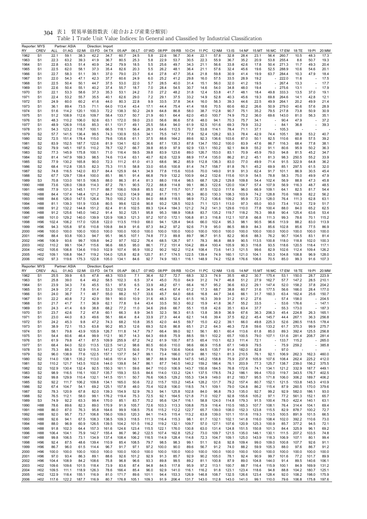| Reporter: MYS<br>RY | <b>CREV</b>                        | ALL            | Partner: ASIA<br>01:AG | 02:MI          | Direction: Import<br>03:FD | 04:TX          | 05:AP          | 06:LT          | 07:WD         | 08:PP          | 09:RB          | 10:CH          | 11:PC          | 12:NM          | $13:$ IS       | 14:NF          | 15:MT          |                                | 16:MC 17:EM    | 18:TE          | 19:PI                    | 20:MM          |
|---------------------|------------------------------------|----------------|------------------------|----------------|----------------------------|----------------|----------------|----------------|---------------|----------------|----------------|----------------|----------------|----------------|----------------|----------------|----------------|--------------------------------|----------------|----------------|--------------------------|----------------|
| 1962                | S <sub>1</sub>                     | 22.1           | 59.1                   | 38.3           | 42.2                       | 34.7           | 60.7           | 24.5           | 5.8           | 22.6           | 56.7           | 30.4           | 22.1           | 57.8           | 32.8           | 28.4           | 23.1           | 56.4                           | 260.7          | 10.5           | 48.3                     | 17.3           |
| 1963                | S <sub>1</sub>                     | 22.3           | 63.2                   | 39.3           | 41.9                       | 36.7           | 80.5           | 25.3           | 5.8           | 22.9           | 53.7           | 30.5           | 22.3           | 55.9           | 36.7           | 35.2           | 20.9           | 53.8                           | 255.4          | 8.6            | 50.7                     | 19.3           |
| 1964                | S1                                 | 22.8           | 63.5                   | 51.4           | 40.9                       | 34.2           | 79.9           | 18.5           | 5.5           | 25.6           | 49.7           | 34.3           | 21.1           | 56.6           | 33.8           | 42.6           | 17.8           | 50.4                           | 271.3          | 11.7           | 49.3                     | 20.4           |
| 1965<br>1966        | S <sub>1</sub><br>S <sub>1</sub>   | 22.5<br>22.7   | 62.0<br>58.3           | 58.1<br>51.1   | 37.3<br>39.1               | 35.4<br>37.0   | 82.6<br>79.0   | 20.3<br>23.7   | 5.5<br>6.4    | 26.2<br>27.8   | 48.1<br>47.7   | 36.4<br>35.4   | 21.1<br>21.8   | 57.6<br>59.8   | 32.4<br>30.9   | 45.6<br>41.4   | 19.6<br>19.9   | 52.5<br>63.7                   | 288.9<br>284.4 | 10.6<br>10.3   | 54.6<br>47.9             | 20.1<br>18.4   |
| 1967                | S <sub>1</sub>                     | 22.0           | 54.3                   | 47.1           | 42.3                       | 37.7           | 60.6           | 24.9           | 6.0           | 25.2           | 41.2           | 29.8           | 16.0           | 57.5           | 33.5           | 28.9           | 19.2           |                                | 222.0          | 11.6           |                          | 17.5           |
| 1968                | S <sub>1</sub>                     | 22.5           | 50.4                   | 50.1           | 44.7                       | 37.5           | 53.0           | 22.0           | 5.7           | 28.5           | 40.0           | 31.4           | 15.1           | 56.0           | 32.0           | 41.2           | 19.5           | ä,                             | 267.4          | 13.3           |                          | 17.7           |
| 1969                | S <sub>1</sub>                     | 22.6           | 50.4                   | 55.1           | 40.2                       | 37.4           | 55.7           | 18.7           | 7.0           | 28.4           | 54.5           | 30.7           | 14.6           | 54.0           | 34.8           | 48.0           | 19.4           |                                | 275.6          | 13.1           |                          | 17.9           |
| 1970                | S <sub>1</sub>                     | 22.1           | 53.3                   | 58.6           | 37.3                       | 35.3           | 53.1           | 24.2           | 7.0           | 27.2           | 48.2           | 31.8           | 12.4           | 53.8           | 41.7           | 48.1           | 18.4           | 49.8                           | 333.3          | 13.5           | 37.0                     | 19.1           |
| 1971<br>1972        | S <sub>1</sub><br>S <sub>1</sub>   | 22.4<br>24.9   | 53.2<br>60.0           | 55.7<br>60.2   | 35.5<br>41.6               | 40.1<br>44.0   | 62.6<br>80.3   | 29.0<br>22.8   | 7.2<br>9.9    | 29.1<br>33.5   | 37.5<br>37.8   | 33.2<br>34.4   | 14.9<br>16.0   | 52.8<br>56.3   | 40.3<br>39.3   | 45.6<br>44.6   | 19.3<br>22.5   | 69.8<br>49.9                   | 264.6<br>264.1 | 14.1<br>20.2   | 42.8<br>49.9             | 12.1<br>21.4   |
| 1973                | S <sub>1</sub>                     | 36.1           | 89.4                   | 73.5           | 71.1                       | 64.0           | 113.4          | 43.4           | 17.1          | 44.4           | 75.4           | 41.4           | 18.6           | 70.5           | 60.6           | 60.2           | 26.6           | 50.9                           | 279.0          | 40.6           | 57.6                     | 28.9           |
| 1974                | S <sub>1</sub>                     | 51.6           | 114.2                  | 120.1          | 100.3                      | 72.2           | 138.3          | 50.2           | 24.9          | 64.8           | 86.8           | 58.0           | 38.7           | 112.8          | 90.7           | 75.1           | 35.2           | 79.5                           | 217.8          | 73.8           | 50.9                     | 30.9           |
| 1975                | S <sub>1</sub>                     | 51.2           | 108.9                  | 112.6          | 109.7                      | 58.4           | 133.7          | 50.7           | 21.9          | 60.1           | 64.4           | 62.0           | 45.0           | 100.7          | 74.9           | 75.2           | 36.0           | 69.6                           | 143.0          | 81.0           | 56.3                     | 35.1           |
| 1976                | S <sub>1</sub>                     | 48.3           | 110.2<br>126.9         | 106.0          | 92.6<br>85.3               | 63.1           | 172.0          | 59.0           | 23.0          | 56.6           | 86.6           | 57.6           | 48.0           | 94.1           | 70.3<br>69.3   | 75.7           | 34.1<br>33.2   | $\overline{\phantom{a}}$<br>L, | 90.4           | 47.9           |                          | 37.2<br>39.3   |
| 1977<br>1978        | S <sub>1</sub><br>S1               | 48.9<br>54.3   | 123.2                  | 115.6<br>118.7 | 100.1                      | 61.1<br>66.5   | 131.7<br>118.1 | 49.1<br>56.4   | 25.5<br>28.3  | 58.4<br>64.6   | 94.0<br>112.5  | 61.9<br>70.7   | 52.5<br>53.8   | 101.6<br>114.1 | 78.4           | 79.9<br>71.1   | 37.1           |                                | 84.1<br>105.3  | 36.8           |                          |                |
| 1979                | S <sub>2</sub>                     | 57.7           | 141.5                  | 136.4          | 99.5                       | 74.3           | 130.9          | 53.5           | 34.1          | 75.5           | 147.1          | 77.8           | 52.4           | 128.2          | 93.3           | 78.4           | 42.9           | 74.4                           | 105.1          | 38.9           | 53.2                     | 40.7           |
| 1980                | S2                                 | 72.5           | 151.4                  | 178.4          | 115.0                      | 79.6           | 135.6          | 61.1           | 37.5          | 88.6           | 164.2          | 89.6           | 92.3           | 136.6          | 103.6          | 87.0           | 50.1           | 82.5                           | 110.6          | 60.8           | 57.5                     | 39.2           |
| 1981                | S <sub>2</sub>                     | 83.9           | 152.5                  | 187.7          | 122.6                      | 81.9           | 134.1          | 62.0           | 36.6          | 87.1           | 135.3          | 87.8           | 134.7          | 150.2          | 100.0          | 83.9           | 47.6           | 86.7                           | 116.3          | 68.4           | 77.8                     | 38.1           |
| 1982                | S <sub>2</sub>                     | 79.9           | 145.1<br>145.9         | 197.5<br>175.8 | 110.2                      | 78.7           | 132.7          | 66.7           | 39.8          | 85.9           | 97.9<br>123.6  | 92.9<br>89.0   | 133.1<br>126.7 | 150.2          | 92.1           | 84.9<br>70.9   | 55.2           | 91.1                           | 80.6<br>94.8   | 95.9           | 50.2                     | 36.3           |
| 1983<br>1984        | S <sub>2</sub><br>S2               | 77.3<br>81.4   | 147.9                  | 169.3          | 100.1<br>98.5              | 71.0<br>74.6   | 116.4<br>113.4 | 59.5<br>63.1   | 39.8<br>40.7  | 83.9<br>82.6   | 122.9          | 88.9           | 117.4          | 153.0<br>135.0 | 83.1<br>86.2   | 81.2           | 45.9<br>45.1   | 79.0<br>81.3                   | 98.3           | 81.5<br>250.5  | 45.2<br>55.2             | 34.7<br>33.9   |
| 1985                | S <sub>2</sub>                     | 77.9           | 130.2                  | 165.8          | 90.0                       | 72.3           | 111.2          | 61.0           | 41.3          | 68.6           | 96.2           | 85.9           | 112.8          | 136.3          | 83.0           | 77.0           | 49.9           | 71.4                           | 91.5           | 322.9          | 64.8                     | 36.2           |
| 1986                | S <sub>2</sub>                     | 68.4           | 112.8                  | 135.5          | 82.3                       | 75.3           | 111.5          | 58.8           | 33.0          | 65.6           | 100.8          | 81.4           | 74.7           | 158.7          | 81.8           | 76.1           | 45.2           | 69.9                           | 85.1           | 297.5          | 61.5                     | 32.0           |
| 1987                | S <sub>2</sub>                     | 74.8           | 116.5                  | 142.0          | 83.7                       | 84.4           | 125.9          | 64.1           | 34.9          | 77.8           | 115.6          | 103.6          | 70.0           | 149.0          | 91.9           | 91.3           | 62.4           | 91.7                           | 101.1          | 86.9           | 30.5                     | 45.4           |
| 1988                | S2                                 | 67.7           | 129.7                  | 139.4          | 100.0                      | 85.1           | 86.1           | 91.4           | 66.8          | 79.9           | 132.2          | 100.9          | 64.2           | 132.6          | 115.6          | 101.9          | 54.5           | 78.8                           | 58.3<br>56.9   | 75.0           | 49.9                     | 47.9           |
| 1989<br>1990        | S <sub>3</sub><br>H88              | 70.8<br>73.6   | 133.0<br>128.0         | 161.5<br>139.8 | 106.5<br>114.3             | 88.0<br>87.2   | 86.3<br>78.1   | 81.4<br>90.5   | 81.3<br>72.2  | 88.0<br>88.8   | 118.4<br>114.8 | 98.5<br>99.1   | 68.7<br>86.3   | 126.2<br>122.6 | 129.8<br>120.0 | 109.8<br>104.7 | 54.4<br>57.4   | 102.4<br>107.9                 | 56.9           | 88.8<br>116.3  | 47.3<br>48.7             | 45.8<br>48.5   |
| 1991                | H88                                | 77.9           | 131.3                  | 145.1          | 111.7                      | 88.7           | 106.0          | 109.8          | 85.5          | 82.7           | 115.7          | 101.7          | 87.5           | 132.0          | 117.6          | 96.0           | 66.9           | 109.1                          | 64.1           | 82.5           | 81.7                     | 54.4           |
| 1992                | H88                                | 84.4           | 137.4                  | 148.4          | 121.2                      | 84.0           | 132.0          | 134.9          | 88.2          | 81.7           | 115.1          | 98.3           | 80.0           | 130.3          | 108.3          | 103.9          | 74.2           | 128.8                          | 70.6           | 168.9          | 82.2                     | 56.2           |
| 1993                | H88                                | 84.6           | 126.0                  | 147.5          | 126.4                      | 78.0           | 100.2          | 121.5          | 84.0          | 88.8           | 118.5          | 98.9           | 73.2           | 136.6          | 109.2          | 95.9           | 72.3           | 128.0                          | 76.4           | 111.3          | 62.8                     | 63.1           |
| 1994                | H88                                | 81.1           | 139.3                  | 151.9          | 133.8                      | 80.5           | 99.6           | 122.6          | 90.8          | 93.2           | 128.5          | 102.5          | 71.1           | 123.1          | 113.0          | 97.3           | 65.0           | 93.0                           | 73.4           | 112.3          | 72.9                     | 51.7           |
| 1995<br>1996        | H88<br>H88                         | 91.2<br>91.2   | 132.2<br>125.6         | 144.8<br>145.0 | 151.2<br>140.2             | 82.4<br>91.4   | 81.6<br>50.2   | 102.5<br>125.1 | 89.3<br>95.8  | 124.4<br>95.3  | 184.3<br>188.9 | 121.2<br>108.8 | 74.2<br>83.7   | 141.3<br>135.2 | 129.6<br>119.7 | 110.0<br>118.2 | 77.8<br>76.3   | 100.4<br>99.8                  | 88.0<br>90.4   | 84.0<br>125.4  | 65.2<br>63.6             | 62.5<br>53.4   |
| 1997                | H88                                | 101.0          | 129.2                  | 140.0          | 139.9                      | 120.9          | 108.3          | 121.3          | 97.2          | 107.0          | 172.1          | 106.8          | 81.3           | 116.8          | 112.1          | 107.8          | 66.8           | 111.3                          | 99.3           | 78.6           | 70.1                     | 115.2          |
| 1998                | H <sub>96</sub>                    | 102.4          | 106.2                  | 117.0          | 120.8                      | 122.0          | 113.5          | 119.0          | 68.0          | 94.1           | 128.4          | 94.6           | 66.0           | 102.4          | 95.3           | 98.1           | 90.5           | 96.6                           | 113.9          | 88.2           | 83.0                     | 113.9          |
| 1999                | H <sub>96</sub>                    | 94.3           | 105.8                  | 97.6           | 110.8                      | 109.8          | 84.9           | 91.6           | 87.3          | 84.2           | 97.2           | 92.6           | 71.9           | 95.0           | 86.5           | 88.9           | 84.3           | 85.6                           | 102.8          | 85.6           | 77.5                     | 86.9           |
| 2000                | H <sub>96</sub>                    | 100.0          | 100.0<br>93.8          | 100.0<br>100.3 | 100.0                      | 100.0          | 100.0          | 100.0<br>107.1 | 100.0<br>74.8 | 100.0          | 100.0<br>89.8  | 100.0          | 100.0          | 100.0<br>91.5  | 100.0          | 100.0<br>90.6  | 100.0<br>88.3  | 100.0                          | 100.0<br>90.7  | 100.0<br>104.5 | 100.0<br>83.1            | 100.0          |
| 2001<br>2002        | H <sub>96</sub><br>H <sub>96</sub> | 88.4<br>106.9  | 93.6                   | 99.7           | 94.7<br>109.8              | 95.1<br>94.2   | 96.5<br>97.7   | 102.2          | 76.4          | 77.3<br>68.5   | 126.7          | 89.7<br>97.1   | 96.7<br>78.3   | 86.8           | 82.2<br>88.9   | 90.5           | 113.5          | 76.2<br>100.8                  | 118.0          | 118.8          | 102.0                    | 81.4<br>100.3  |
| 2003                | H <sub>02</sub>                    | 110.2          | 99.1                   | 104.7          | 115.6                      | 96.6           | 68.5           | 95.0           | 86.1          | 77.2           | 151.4          | 104.2          | 89.4           | 100.4          | 105.9          | 90.3           | 116.8          | 93.5                           | 118.6          | 120.5          | 118.4                    | 117.1          |
| 2004                | H <sub>02</sub>                    | 105.6          | 106.8                  | 134.6          | 119.0                      | 102.9          | 107.4          | 95.9           | 100.2         | 90.2           | 162.2          | 112.4          | 108.4          | 73.6           | 141.3          | 121.5          | 99.6           | 82.9                           | 102.6          | 112.4          | 109.4                    | 126.2          |
| 2005                | H <sub>02</sub>                    | 109.1          | 108.8                  | 164.7          | 119.2                      | 104.0          | 125.8          | 82.8           | 120.7         | 81.7           | 174.5          | 122.5          | 139.4          | 74.9           | 160.1          | 121.0          | 104.1          | 83.3                           | 104.8          | 108.8          | 96.9                     | 128.0          |
| 2006                | H <sub>02</sub>                    | 97.3           | 119.6                  | 175.3          | 122.8                      | 105.0          | 134.1          | 84.6           | 92.7          | 74.9           | 183.1          | 116.1          | 148.9          | 74.2           | 152.8          | 176.6          | 106.6          | 70.5                           | 85.0           | 99.3           | 91.6                     | 107.3          |
|                     |                                    |                |                        |                |                            |                |                |                |               |                |                |                |                |                |                |                |                |                                |                |                |                          |                |
| Reporter: MYS       |                                    |                | Partner: ASIA          |                | Direction: Export          |                |                |                |               |                |                |                |                |                |                |                |                |                                |                |                |                          |                |
| RY                  | CREV                               | ALL            | 01:AG                  | 02:MI          | 03:FD                      | 04:TX          | 05:AP          | 06:LT          | 07:WD         | 08:PP          | 09:RB          | 10:CH          | 11:PC          | 12:NM          | $13:$ IS       | 14:NF          | 15:MT          | 16:MC                          | 17:EM          | 18:TE          | 19:PI                    | 20:MM          |
| 1962                | S <sub>1</sub>                     | 25.5           | 39.9                   | 6.5            | 47.8                       | 48.3           | 103.0          | 7.1            | 36.4          | 52.7           | 72.7           | 68.3           | 32.3           | 74.9           | 35.5           | 48.2           | 30.7           | 175.4                          | 53.1           | 150.0          | 28.7                     | 223.9          |
| 1963<br>1964        | S1<br>S <sub>1</sub>               | 25.8<br>23.9   | 39.0<br>34.3           | 6.4<br>7.6     | 49.2<br>45.5               | 58.5<br>53.1   | 102.3<br>97.6  | 6.5<br>6.5     | 37.4<br>33.9  | 45.0<br>48.2   | 70.0<br>67.1   | 64.9<br>66.4   | 31.2<br>16.7   | 74.7<br>95.2   | 46.8<br>36.6   | 51.2<br>63.2   | 27.9<br>29.1   | 162.7<br>147.4                 | 57.7<br>52.0   | 147.2<br>158.2 | 28.5<br>37.8             | 210.1<br>204.2 |
| 1965                | S <sub>1</sub>                     | 24.9           | 37.2                   | 7.8            | 51.4                       | 53.3           | 102.9          | 7.4            | 34.9          | 45.4           | 67.4           | 61.2           | 17.3           | 68.7           | 38.8           | 60.7           | 31.6           | 177.5                          | 56.6           | 166.0          | 28.4                     | 177.0          |
| 1966                | S <sub>1</sub>                     | 24.0           | 36.7                   | 7.1            | 48.7                       | 55.0           | 88.2           | 10.7           | 33.6          | 45.7           | 64.0           | 68.6           | 16.8           | 44.7           | 34.6           | 66.1           | 31.7           | 160.3                          | 63.4           | 162.4          | 25.6                     | 150.7          |
| 1967                | S <sub>1</sub>                     | 22.2           | 40.8                   | 7.2            | 42.9                       | 59.1           | 90.0           | 10.9           | 31.6          | 48.3           | 52.4           | 61.5           | 16.3           | 39.9           | 31.2           | 61.2           | 27.6           |                                | 57.4           | 158.0          |                          | 204.5          |
| 1968                | S <sub>1</sub>                     | 21.7           | 41.7                   | 7.1            | 36.9                       | 62.1           | 77.8           | 9.4            | 43.4          | 33.5           | 50.3           | 60.2           | 15.9           | 41.8           | 36.7           | 55.2           | 33.5           | ÷,                             | 53.6           | 176.6          |                          | 147.1          |
| 1969<br>1970        | S <sub>1</sub><br>S <sub>1</sub>   | 24.3<br>23.7   | 41.4<br>42.6           | 6.9<br>7.2     | 38.8<br>47.8               | 68.2<br>60.1   | 77.2<br>66.3   | 11.0<br>8.9    | 34.6<br>34.5  | 29.6<br>32.3   | 66.7<br>56.3   | 55.1<br>61.5   | 15.8<br>13.8   | 42.6<br>38.9   | 35.1<br>36.9   | 63.4<br>67.6   | 37.7<br>36.3   | 206.3                          | 55.3<br>45.4   | 173.0<br>224.8 | 26.3                     | 187.3<br>165.1 |
| 1971                | S <sub>1</sub>                     | 23.0           | 44.0                   | 8.3            | 49.6                       | 56.1           | 66.4           | 8.4            | 33.9          | 27.3           | 44.4           | 62.1           | 14.6           | 39.4           | 37.5           | 62.2           | 45.4           | 145.7                          | 44.4           | 267.1          | 36.3                     | 256.8          |
| 1972                | S1                                 | 24.2           | 45.3                   | 9.8            | 47.2                       | 74.3           | 68.2           | 10.8           | 35.5          | 42.0           | 44.5           | 59.7           | 15.0           | 42.2           | 39.1           | 66.0           | 49.8           | 225.3                          | 52.6           | 280.5          | 118.5                    | 178.4          |
| 1973                | S <sub>1</sub>                     | 38.9           | 72.1                   | 15.3           | 63.8                       | 90.2           | 85.3           | 12.6           | 69.3          | 52.6           | 86.8           | 65.1           | 21.2           | 64.3           | 46.3           | 72.8           | 59.6           | 133.2                          | 61.7           | 370.3          | 99.9                     | 275.7          |
| 1974<br>1975        | S1<br>S <sub>1</sub>               | 58.1<br>54.4   | 79.8<br>60.6           | 43.9<br>46.4   | 105.9<br>99.9              | 126.7<br>112.1 | 111.8<br>90.7  | 14.7<br>14.3   | 79.7<br>64.3  | 66.4<br>69.8   | 99.0<br>75.9   | 92.1<br>88.5   | 56.1<br>59.1   | 80.1<br>102.2  | 60.4<br>65.7   | 113.6<br>100.5 | 61.8<br>79.0   | 85.0<br>107.1                  | 89.3<br>131.6  | 392.4<br>281.4 | 125.5<br>208.7           | 256.8<br>281.4 |
| 1976                | S <sub>1</sub>                     | 61.9           | 79.8                   | 47.1           | 87.5                       | 109.9          | 255.9          | 67.2           | 74.2          | 61.9           | 100.7          | 87.5           | 65.4           | 110.1          | 62.3           | 111.4          | 72.1           | $\overline{\phantom{a}}$       | 133.7          | 115.2          |                          | 265.0          |
| 1977                | S <sub>1</sub>                     | 68.4           | 84.0                   | 52.0           | 113.5                      | 122.5          | 141.2          | 98.6           | 80.5          | 60.6           | 110.0          | 98.6           | 66.9           | 115.8          | 67.1           | 149.9          | 79.5           | ÷,                             | 75.9           | 259.2          | $\overline{\phantom{a}}$ | 385.8          |
| 1978                | S <sub>1</sub>                     | 75.3           | 88.3                   | 52.9           | 115.3                      | 141.2          | 127.5          | 50.6           | 71.6          | 79.9           | 130.6          | 104.6          | 64.5           | 135.7          | 91.4           | 182.0          | 82.8           | ÷,                             | 97.0           | ÷,             |                          |                |
| 1979<br>1980        | S <sub>2</sub><br>S <sub>2</sub>   | 96.0<br>114.0  | 138.9<br>138.1         | 77.6<br>135.2  | 122.5<br>113.0             | 157.1<br>140.6 | 137.7<br>151.4 | 54.7<br>50.1   | 99.1<br>98.7  | 73.4<br>88.9   | 166.0<br>184.8 | 127.9<br>147.5 | 88.1<br>145.2  | 152.1<br>158.8 | 81.3<br>75.9   | 210.5          | 76.1<br>105.9  | 92.1<br>107.6                  | 106.9<br>108.4 | 262.3<br>262.4 | 162.3<br>225.2           | 460.0<br>412.0 |
| 1981                | S <sub>2</sub>                     | 110.2          | 121.7                  | 143.5          | 102.6                      | 144.0          | 139.8          | 54.7           | 86.1          | 87.7           | 140.5          | 140.2          | 159.2          | 186.4          | 76.1           | 237.8<br>203.9 | 77.3           | 125.7                          | 138.7          | 239.0          | 156.2                    | 375.5          |
| 1982                | S <sub>2</sub>                     | 102.9          | 130.4                  | 132.4          | 92.5                       | 150.3          | 161.1          | 59.6           | 84.7          | 110.0          | 106.9          | 143.7          | 150.8          | 184.5          | 76.8           | 172.6          | 74.1           | 134.1                          | 121.2          | 332.9          | 187.7                    | 449.1          |
| 1983                | S <sub>2</sub>                     | 98.9           | 116.5                  | 116.1          | 100.7                      | 135.7          | 159.3          | 53.5           | 84.6          | 114.0          | 133.2          | 124.1          | 137.5          | 178.5          | 74.2           | 186.1          | 99.4           | 170.0                          | 119.7          | 343.5          | 176.7                    | 402.5          |
| 1984                | S <sub>2</sub>                     | 99.8           | 129.9                  | 110.4          | 132.1                      | 141.5          | 151.1          | 50.7           | 76.6          | 106.5          | 129.2          | 155.3          | 134.9          | 149.0          | 81.2           | 183.7          | 95.5           | 171.8                          | 106.0          | 306.2          | 189.7                    | 406.2          |
| 1985                | S <sub>2</sub>                     | 92.2           | 111.7                  | 106.2          | 109.8                      | 134.1          | 165.0          | 50.6           | 72.2          | 115.7          | 103.2          | 145.4          | 128.2          | 131.7          | 79.2           | 157.4          | 80.7           | 152.1                          | 121.5          | 153.8          | 145.3                    | 410.9          |
| 1986                | S <sub>2</sub>                     | 67.4           | 104.7                  | 54.1           | 69.2                       | 125.1          | 157.8          | 48.0           | 70.4          | 102.8          | 106.0          | 118.5          | 74.1           | 109.1          | 79.0           | 124.8          | 86.2           | 115.4                          | 87.9           | 260.5          | 170.0                    | 379.6          |
| 1987<br>1988        | S <sub>2</sub><br>S <sub>2</sub>   | 78.3<br>76.5   | 120.9<br>112.1         | 67.8<br>58.0   | 82.0<br>99.1               | 139.3<br>176.2 | 154.9<br>119.4 | 52.9<br>75.3   | 76.3<br>72.5  | 94.1<br>92.1   | 125.8<br>164.5 | 102.8<br>121.8 | 84.0<br>71.0   | 96.8<br>102.7  | 79.3<br>92.8   | 135.0<br>155.6 | 92.7<br>105.2  | 99.2<br>97.1                   | 92.9<br>77.2   | 582.0<br>561.3 | 186.1<br>152.1           | 93.0<br>65.7   |
| 1989                | S <sub>3</sub>                     | 74.9           | 92.2                   | 63.3           | 99.4                       | 170.0          | 85.1           | 83.7           | 70.2          | 95.6           | 124.7          | 116.1          | 58.8           | 124.0          | 114.8          | 179.3          | 91.5           | 100.4                          | 78.0           | 422.4          | 140.1                    | 63.1           |
| 1990                | H88                                | 78.6           | 89.6                   | 82.3           | 89.0                       | 170.9          | 91.9           | 105.7          | 72.6          | 103.3          | 113.3          | 108.8          | 75.9           | 116.4          | 110.5          | 165.3          | 107.7          | 108.1                          | 76.4           | 314.4          | 104.1                    | 69.4           |
| 1991                | H88                                | 86.0           | 87.0                   | 76.3           | 95.8                       | 164.6          | 99.9           | 108.5          | 75.6          | 115.2          | 112.2          | 122.7          | 65.7           | 139.0          | 108.0          | 152.3          | 123.8          | 115.5                          | 82.9           | 878.7          | 100.2                    | 72.7           |
| 1992<br>1993        | H88<br>H88                         | 92.0<br>92.6   | 95.7<br>94.1           | 73.7<br>67.5   | 106.8<br>108.3             | 156.0<br>138.5 | 109.0<br>109.3 | 120.3<br>118.5 | 84.1<br>111.3 | 114.5<br>116.4 | 115.4<br>115.3 | 113.2<br>98.1  | 63.8<br>61.7   | 139.0<br>132.1 | 101.1<br>102.1 | 151.6<br>141.8 | 119.3<br>116.0 | 113.5<br>108.4                 | 100.5<br>102.0 | 891.9<br>392.2 | 101.5<br>110.6           | 66.5<br>73.0   |
| 1994                | H88                                | 88.0           | 96.9                   | 60.9           | 126.5                      | 139.5          | 104.2          | 101.5          | 116.2         | 119.2          | 132.1          | 109.7          | 57.0           | 127.1          | 107.6          | 120.9          | 125.3          | 100.9                          | 85.7           | 377.2          | 94.5                     | 72.1           |
| 1995                | H88                                | 91.8           | 102.3                  | 64.4           | 157.3                      | 161.6          | 124.6          | 123.4          | 115.5         | 122.1          | 176.0          | 130.8          | 63.0           | 131.4          | 124.8          | 151.5          | 150.8          | 101.3                          | 84.4           | 325.9          | 96.1                     | 69.2           |
| 1996                | H88                                | 106.4          | 104.1                  | 75.9           | 142.7                      | 155.4          | 86.7           | 96.2           | 122.5         | 107.4          | 162.8          | 125.2          | 73.0           | 109.7          | 121.5          | 135.0          | 146.1          | 130.1                          | 111.5          | 207.2          | 103.5                    | 74.8           |
| 1997                | H88                                | 99.8           | 106.5                  | 73.1           | 134.9                      | 137.4          | 108.4          | 106.2          | 116.5         | 114.9          | 128.4          | 114.8          | 72.3           | 104.7          | 109.1          | 125.0          | 143.9          | 118.3                          | 106.9          | 107.1          | 80.1                     | 99.4           |
| 1998                | H96                                | 92.4           | 87.5                   | 48.6           | 139.4                      | 110.9          | 85.4           | 108.5          | 79.7          | 98.5           | 98.3           | 99.1           | 51.1           | 92.6           | 92.8           | 109.4          | 99.0           | 109.0                          | 100.8          | 107.7          | 92.6                     | 91.1           |
| 1999<br>2000        | H <sub>96</sub><br>H96             | 86.7<br>100.0  | 96.0<br>100.0          | 61.5<br>100.0  | 114.4<br>100.0             | 96.7<br>100.0  | 91.7<br>100.0  | 97.1<br>100.0  | 97.2<br>100.0 | 100.0<br>100.0 | 90.0<br>100.0  | 89.6<br>100.0  | 56.7<br>100.0  | 91.2<br>100.0  | 74.0<br>100.0  | 88.2<br>100.0  | 59.9<br>100.0  | 105.3<br>100.0                 | 88.0<br>100.0  | 97.6<br>100.0  | 86.7<br>100.0            | 91.2<br>100.0  |
| 2001                | H96                                | 97.0           | 93.4                   | 86.3           | 89.1                       | 88.6           | 92.6           | 101.2          | 92.9          | 91.3           | 85.7           | 92.9           | 90.2           | 105.0          | 78.1           | 92.4           | 90.9           | 99.7                           | 101.6          | 77.2           | 101.7                    | 89.9           |
| 2002                | H96                                | 104.4          | 108.9                  | 84.2           | 108.6                      | 75.8           | 96.8           | 96.6           | 93.3          | 89.8           | 99.5           | 89.2           | 81.1           | 100.8          | 87.9           | 89.0           | 104.8          | 144.0                          | 91.4           | 89.5           | 140.6                    | 106.1          |
| 2003                | H <sub>02</sub>                    | 109.6          | 109.6                  | 101.5          | 118.4                      | 73.9           | 83.6           | 87.4           | 94.8          | 84.5           | 117.8          | 95.9           | 97.2           | 113.1          | 100.7          | 88.7           | 116.4          | 115.9                          | 100.1          | 84.9           | 169.9                    | 131.2          |
| 2004<br>2005        | H <sub>02</sub><br>H <sub>02</sub> | 109.5<br>122.9 | 111.1<br>118.4         | 118.9<br>155.1 | 126.3<br>116.9             | 78.6<br>81.0   | 166.4<br>171.7 | 85.4<br>89.6   | 96.0<br>101.1 | 92.9<br>94.4   | 141.0<br>153.3 | 116.1<br>126.9 | 116.2<br>146.8 | 91.8<br>108.7  | 123.1<br>132.5 | 123.4<br>126.6 | 118.6<br>123.4 | 94.8<br>128.4                  | 88.8<br>92.0   | 104.2<br>108.2 | 180.7<br>198.0           | 125.1<br>175.9 |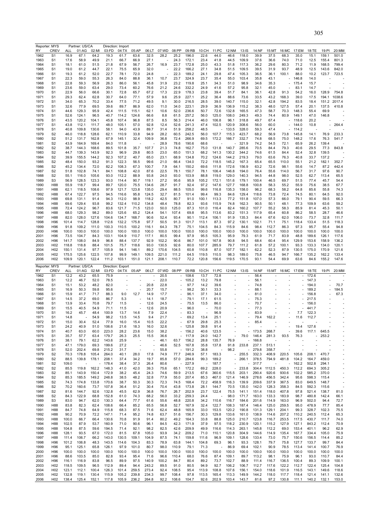| RY                                                   | Reporter: MYS<br>CREV              | ALL            | Partner: US/CA<br>01:AG | 02:MI          | 03:FD             | Direction: Import<br>04:TX | 05:AP                    | 06:LT          | 07:WD          | 08:PP                    | 09:RB                | 10:CH          | 11:PC          | 12:NM                          | 13:IS                    | 14:NF          | 15:MT                             | 16:MC                    | 17:EM          | 18:TE                | 19:PI          | 20:MM          |
|------------------------------------------------------|------------------------------------|----------------|-------------------------|----------------|-------------------|----------------------------|--------------------------|----------------|----------------|--------------------------|----------------------|----------------|----------------|--------------------------------|--------------------------|----------------|-----------------------------------|--------------------------|----------------|----------------------|----------------|----------------|
| 1962                                                 | S <sub>1</sub>                     | 16.9           | 67.1                    | 64.2           | 19.3              | 61.7                       | 63.6                     | 32.5           | 28.2           | 25.2                     | 196.0                | 22.6           | 44.0           | 46.6                           | 118.0                    | 39.9           | 37.5                              | 68.3                     | 35.0           | 15.1                 | 159.1          | 501.0          |
| 1963                                                 | S <sub>1</sub>                     | 17.6           | 58.9                    | 49.9           | 21.1              | 66.7                       | 66.9                     | 27.1           |                | 24.3                     | 172.1                | 23.4           | 41.8           | 44.5                           | 109.9                    | 37.6           | 36.6                              | 74.0                     | 71.0           | 12.5                 | 155.4          | 801.3          |
| 1964                                                 | S <sub>1</sub>                     | 18.1           | 61.0                    | 51.5           | 21.8              | 67.9                       | 56.7                     | 26.7           | 16.9           | 23.7                     | 172.8                | 25.0           | 43.3           | 51.8                           | 117.3                    | 36.2           | 29.6                              | 80.3                     | 71.2           | 11.9                 | 168.5          | 799.4          |
| 1965<br>1966                                         | S <sub>1</sub><br>S <sub>1</sub>   | 19.0<br>19.3   | 61.2<br>61.2            | 44.7<br>52.0   | 22.1<br>22.7      | 75.5<br>78.1               | 65.9<br>72.0             | 32.0<br>24.8   |                | 22.2<br>22.3             | 166.2<br>189.2       | 27.1<br>24.1   | 34.8<br>29.8   | 51.5<br>47.4                   | 109.5<br>105.3           | 39.5<br>36.5   | 31.9<br>36.1                      | 93.7<br>100.1            | 48.9<br>88.0   | 12.5<br>10.2         | 143.6<br>123.7 | 842.0<br>723.5 |
| 1967                                                 | S <sub>1</sub>                     | 22.3           | 59.0                    | 55.3           | 26.3              | 84.0                       | 88.8                     | 36.1           | 10.7           | 23.7                     | 324.9                | 23.7           | 35.4           | 55.0                           | 103.4                    | 35.8           | 43.1                              |                          | 146.8          | 14.0                 |                |                |
| 1968                                                 | S <sub>1</sub>                     | 22.8           | 59.3                    | 56.9           | 26.3              | 86.0                       | 56.1                     | 45.8           | 31.9           | 23.2                     | 119.8                | 25.1           | 34.3           | 51.0                           | 98.9                     | 34.6           | 35.3                              |                          | 175.4          | 15.7                 |                |                |
| 1969                                                 | S <sub>1</sub>                     | 23.6           | 59.0                    | 63.4           | 29.0              | 73.4                       | 60.2                     | 76.6           | 21.2           | 24.6                     | 332.2                | 24.9           | 41.6           | 57.2                           | 95.8                     | 32.1           | 45.0                              |                          | 83.1           | 14.7                 |                |                |
| 1970                                                 | S <sub>1</sub>                     | 22.9           | 56.0                    | 66.6           | 30.1              | 72.8                       | 65.7                     | 67.2           | 17.3           | 22.9                     | 178.3                | 23.8           | 39.4           | 51.7                           | 84.1                     | 36.1           | 42.8                              | 91.3                     | 54.2           | 16.0                 | 128.9          | 754.8          |
| 1971                                                 | S <sub>1</sub>                     | 29.3           | 62.4                    | 62.8           | 30.7              | 64.0                       | 77.1                     | 57.9           | 9.6            | 25.9                     | 227.1                | 25.2           | 36.4           | 88.6                           | 73.6                     | 33.5           | 43.2                              | 168.3                    | 39.0           | 17.5                 | 194.1          | 1038.6         |
| 1972                                                 | S <sub>1</sub>                     | 34.0           | 65.3                    | 70.2           | 33.4              | 77.5                       | 71.2                     | 49.5           | 9.1            | 30.0                     | 216.5                | 28.5           | 39.0           | 140.7                          | 115.0                    | 32.1           | 42.8                              | 194.2                    | 83.5           | 18.4                 | 151.2          | 2017.4         |
| 1973<br>1974                                         | S <sub>1</sub><br>S <sub>1</sub>   | 32.6<br>44.6   | 77.9<br>129.3           | 69.5<br>95.9   | 39.6<br>42.4      | 89.7<br>111.5              | 86.9<br>115.1            | 62.0<br>62.1   | 11.0<br>10.6   | 34.0<br>52.0             | 223.1<br>236.6       | 29.9<br>50.7   | 36.9<br>72.6   | 136.9<br>132.8                 | 115.2<br>165.5           | 38.3<br>47.3   | 48.0<br>58.7                      | 127.5<br>70.3            | 57.4<br>148.3  | 20.1<br>55.4         | 137.5<br>69.9  | 410.8          |
| 1975                                                 | S <sub>1</sub>                     | 52.6           | 124.1                   | 96.5           | 40.7              | 114.2                      | 124.6                    | 66.6           | 8.8            | 61.5                     | 257.2                | 56.0           | 125.0          | 108.0                          | 249.3                    | 49.3           | 74.4                              | 80.9                     | 149.1          | 47.0                 | 146.8          |                |
| 1976                                                 | S <sub>1</sub>                     | 43.5           | 120.2                   | 104.1          | 45.8              | 107.4                      | 96.8                     | 87.5           | 8.5            | 56.3                     | 214.4                | 46.0           | 106.8          | 96.1                           | 318.8                    | 49.7           | 67.4                              |                          | 118.6          | 20.2                 |                |                |
| 1977                                                 | S <sub>1</sub>                     | 43.8           | 112.1                   | 111.7          | 48.0              | 105.1                      | 57.0                     | 92.8           | 12.4           | 52.6                     | 241.3                | 47.4           | 102.5          | 120.9                          | 308.6                    | 56.0           | 60.0                              |                          | 144.0          | 10.8                 |                | 264.4          |
| 1978                                                 | S <sub>1</sub>                     | 40.8           | 109.8                   | 130.6          | 58.1              | 94.0                       | 43.9                     | 89.7           | 31.4           | 51.9                     | 258.2                | 48.5           |                | 133.5                          | 328.0                    | 59.3           | 47.4                              |                          | 114.2          |                      |                |                |
| 1979                                                 | S <sub>2</sub>                     | 46.0           | 118.8                   | 128.6          | 62.1              | 110.9                      | 33.8                     | 94.9           | 28.2           | 60.5                     | 242.5                | 56.0           | 107.7          | 115.3                          | 423.7                    | 68.2           | 56.9                              | 73.8                     | 145.8          | 14.1                 | 76.9           | 233.3          |
| 1980<br>1981                                         | S <sub>2</sub><br>S <sub>2</sub>   | 51.2<br>43.9   | 131.7<br>164.9          | 162.8<br>169.4 | 67.9<br>84.0      | 145.1<br>111.8             | 32.4                     | 109.9          | 36.8<br>28.9   | 72.4<br>78.6             | 266.9<br>190.6       | 69.5<br>68.6   | 172.2          | 166.7                          | 332.7<br>321.9           | 74.8<br>74.2   | 68.5<br>54.5                      | 75.0<br>72.1             | 148.2<br>65.9  | 17.6<br>26.2         | 76.3<br>139.4  | 541.7          |
| 1982                                                 | S <sub>2</sub>                     | 38.7           | 144.3                   | 168.6          | 89.5              | 101.8                      | 35.7                     | 107.7          | 21.3           | 74.8                     | 162.7                | 75.0           | 131.8          | 140.7                          | 285.6                    | 70.5           | 84.4                              | 79.3                     | 40.6           | 29.5                 | 77.3           | 843.8          |
| 1983                                                 | S <sub>2</sub>                     | 44.7           | 139.3                   | 143.9          | 92.3              | 96.9                       | 29.8                     | 80.5           | 23.0           | 65.0                     | 151.3                | 68.2           | 141.3          | 130.2                          | 344.2                    | 74.6           | 61.5                              | 84.4                     | 52.4           | 32.8                 | 139.5          |                |
| 1984                                                 | S <sub>2</sub>                     | 39.9           | 155.5                   | 144.2          | 92.3              | 107.2                      | 40.7                     | 65.0           | 23.1           | 68.9                     | 134.8                | 70.2           | 124.6          | 144.2                          | 219.3                    | 79.0           | 63.6                              | 76.3                     | 40.8           | 33.7                 | 137.2          |                |
| 1985                                                 | S <sub>2</sub>                     | 48.4           | 150.0                   | 93.2           | 91.3              | 122.3                      | 56.5                     | 99.6           | 21.0           | 66.4                     | 134.0                | 72.2           | 118.5          | 145.2                          | 167.3                    | 65.4           | 65.5                              | 110.0                    | 55.1           | 21.2                 | 182.1          | 352.7          |
| 1986                                                 | S <sub>2</sub>                     | 45.2           | 134.4                   | 72.0           | 82.2              | 108.3                      | 67.3                     | 100.7          | 7.9            | 64.1                     | 150.2                | 69.6           | 111.8          | 172.6                          | 156.9                    | 63.2           | 72.6                              | 98.1                     | 55.6           | 14.7                 | 87.2           | 442.4          |
| 1987                                                 | S <sub>2</sub><br>S <sub>2</sub>   | 51.8           | 102.8                   | 74.1           | 84.1              | 108.8<br>112.2             | 42.0                     | 87.6<br>93.8   | 22.5<br>24.0   | 78.1                     | 150.7<br>103.9       | 78.1           | 106.4<br>119.0 | 146.8<br>129.0                 | 194.0                    | 76.4<br>94.5   | 55.6                              | 114.0                    | 56.7           | 31.7                 | 97.6           | 90.7           |
| 1988<br>1989                                         | S <sub>3</sub>                     | 55.1<br>56.9   | 116.0<br>128.5          | 105.6<br>123.3 | 93.0<br>93.0      | 114.4                      | 88.9<br>90.7             | 119.1          | 27.2           | 93.0<br>95.6             | 95.9                 | 88.8<br>105.2  | 172.1          | 151.6                          | 140.3<br>179.1           | 100.4          | 44.8<br>46.5                      | 98.0<br>69.7             | 52.5<br>51.5   | 62.7<br>77.4         | 113.4<br>45.7  | 65.5<br>54.4   |
| 1990                                                 | H88                                | 55.9           | 118.7                   | 99.4           | 89.7              | 120.0                      | 75.5                     | 134.6          | 28.7           | 91.7                     | 92.4                 | 97.2           | 147.6          | 127.7                          | 168.8                    | 100.8          | 58.3                              | 55.2                     | 55.9           | 75.6                 | 38.5           | 67.7           |
| 1991                                                 | H88                                | 62.1           | 118.5                   | 108.6          | 97.9              | 121.7                      | 123.8                    | 135.0          | 29.4           | 88.5                     | 105.0                | 99.6           | 116.8          | 135.3                          | 158.0                    | 96.2           | 68.3                              | 58.2                     | 64.8           | 85.6                 | 55.8           | 74.3           |
| 1992                                                 | H88                                | 67.4           | 122.7                   | 97.5           | 94.5              | 116.6                      | 95.8                     | 124.5          | 32.7           | 81.5                     | 101.4                | 99.4           | 99.3           | 84.6                           | 129.4                    | 118.6          | 73.8                              | 72.4                     | 74.5           | 80.1                 | 64.5           | 92.0           |
| 1993                                                 | H88                                | 69.8           | 131.1                   | 91.4           | 94.3              | 112.0                      | 98.9                     | 118.2          | 42.5           | 80.7                     | 91.0                 | 100.1          | 113.3          | 77.2                           | 151.8                    | 107.0          | 57.3                              | 66.0                     | 79.1           | 90.4                 | 59.5           | 66.3           |
| 1994                                                 | H88                                | 69.6           | 129.4                   | 93.8           | 99.2              | 132.4                      | 110.2                    | 134.8          | 48.4           | 78.8                     | 82.3                 | 93.6           | 115.9          | 74.8                           | 162.3                    | 90.5           | 50.1                              | 48.1                     | 77.3           | 109.9                | 63.6           | 59.2           |
| 1995                                                 | H88                                | 72.4<br>68.0   | 124.2<br>129.3          | 96.7<br>98.2   | 83.6<br>89.0      | 121.7<br>125.6             | 71.5                     | 123.0<br>124.4 | 50.0           | 125.0<br>107.4           | 87.3<br>69.8         | 101.0<br>95.5  | 116.4<br>113.6 | 82.4<br>83.2                   | 160.2<br>151.3           | 107.7<br>117.9 | 55.2<br>65.4                      | 58.3<br>60.8             | 85.9<br>86.2   | 81.4                 | 45.3<br>28.7   | 50.1           |
| 1996<br>1997                                         | H88<br>H88                         | 82.0           | 128.0                   | 127.6          | 104.6             | 134.7                      | 65.2<br>168.7            | 90.6           | 54.1<br>52.4   | 93.4                     | 90.1                 | 112.4          | 106.1          | 91.9                           | 135.3                    | 84.4           | 67.6                              | 62.0                     | 106.0          | 58.5<br>73.7         | 32.8           | 46.6<br>111.7  |
| 1998                                                 | H96                                | 101.4          | 114.7                   | 128.8          | 112.6             | 132.2                      | 175.8                    | 97.7           | 50.5           | 91.3                     | 101.7                | 113.1          | 87.3           | 97.2                           | 130.1                    | 102.1          | 71.1                              | 75.1                     | 118.4          | 133.4                | 51.5           | 118.3          |
| 1999                                                 | H96                                | 91.8           | 109.2                   | 111.0          | 100.3             | 110.5                      | 100.2                    | 116.1          | 64.3           | 78.7                     | 75.1                 | 104.5          | 84.3           | 115.9                          | 84.6                     | 98.4           | 112.7                             | 86.3                     | 97.3           | 95.7                 | 55.4           | 94.8           |
| 2000                                                 | H <sub>96</sub>                    | 100.0          | 100.0                   | 100.0          | 100.0             | 100.0                      | 100.0                    | 100.0          | 100.0          | 100.0                    | 100.0                | 100.0          | 100.0          | 100.0                          | 100.0                    | 100.0          | 100.0                             | 100.0                    | 100.0          | 100.0                | 100.0          | 100.0          |
| 2001                                                 | H96                                | 73.5           | 104.7                   | 84.3           | 103.1             | 104.9                      | 110.7                    | 117.1          | 80.5           | 99.4                     | 97.9                 | 95.5           | 105.3          | 95.9                           | 79.3                     | 61.9           | 71.7                              | 83.9                     | 48.8           | 189.6                | 126.1          | 117.6          |
| 2002                                                 | H96                                | 141.7          | 108.0                   | 84.9           | 96.8              | 88.4                       | 137.7                    | 92.9           | 102.2          | 90.6                     | 86.7                 | 101.0          | 167.8          | 90.8                           | 94.5                     | 68.4           | 60.4                              | 95.4                     | 129.9          | 153.6                | 158.9          | 136.2          |
| 2003<br>2004                                         | H <sub>02</sub><br>H <sub>02</sub> | 118.8<br>150.1 | 118.8<br>131.4          | 88.4<br>97.7   | 101.5<br>105.9    | 75.7<br>94.1               | 118.6<br>146.1           | 93.0<br>89.2   | 130.5<br>170.6 | 92.6<br>104.5            | 80.0<br>60.8         | 107.7<br>110.8 | 285.9<br>87.0  | 79.7<br>107.7                  | 111.2<br>182.1           | 61.8<br>62.2   | 57.2<br>52.3                      | 100.1<br>87.9            | 93.3<br>130.5  | 133.3<br>175.0       | 134.0<br>170.9 | 120.1<br>121.6 |
| 2005                                                 | H <sub>02</sub>                    | 175.5          | 125.6                   | 122.5          | 107.8             | 99.9                       | 149.1                    | 109.5          | 221.0          | 111.2                    | 64.5                 | 119.5          | 110.5          | 98.3                           | 189.0                    | 75.8           | 46.5                              | 94.7                     | 166.7          | 135.2                | 162.2          | 133.4          |
| 2006                                                 | H <sub>02</sub>                    | 109.9          | 120.1                   | 122.4          | 111.2             | 103.1                      | 151.0                    | 121.1          | 208.1          | 110.7                    | 72.2                 | 120.8          | 156.6          | 119.5                          | 170.5                    | 93.1           | 54.4                              | 69.9                     | 63.6           | 84.6                 | 155.2          | 147.6          |
|                                                      |                                    |                |                         |                |                   |                            |                          |                |                |                          |                      |                |                |                                |                          |                |                                   |                          |                |                      |                |                |
|                                                      |                                    |                |                         |                |                   |                            |                          |                |                |                          |                      |                |                |                                |                          |                |                                   |                          |                |                      |                |                |
| RY                                                   | Reporter: MYS<br><b>CREV</b>       | <b>ALL</b>     | Partner: US/CA<br>01:AG | 02:MI          | 03:FD             | Direction: Export<br>04:TX | 05:AP                    | 06:LT          | 07:WD          | 08:PP                    | 09:RB                | 10:CH          | 11:PC          | 12:NM                          | $13:$ IS                 |                | 14:NF  15:MT  16:MC  17:EM        |                          |                | 18:TE                | 19:PI          | 20:MM          |
| 1962                                                 | S <sub>1</sub>                     | 12.2           | 43.2                    | 65.5           | 75.9              |                            |                          |                | 20.5           |                          | 108.6                | 13.7           | 72.8           |                                |                          | 56.4           |                                   |                          |                | 172.6                |                |                |
| 1963                                                 | S <sub>1</sub>                     | 12.2           | 46.7                    | 52.0           | 78.5              | $\overline{\phantom{a}}$   |                          | ÷,             | 22.0           | $\sim$                   | 105.2                | 13.2           | 79.8           |                                |                          | 56.1           |                                   |                          |                | 147.3                |                |                |
| 1964                                                 | S <sub>1</sub>                     | 15.1           | 53.2                    | 48.2           | 82.0              |                            |                          | 20.8           | 22.8           | $\overline{a}$           | 97.7                 | 14.2           | 39.6           |                                |                          | 74.8           |                                   |                          |                | 194.0                |                | 70.7           |
| 1965                                                 | S <sub>1</sub>                     | 16.9           | 50.3                    | 59.8           | 95.6              | $\overline{\phantom{a}}$   |                          | 20.7           | 15.7           | $\overline{\phantom{a}}$ | 98.2                 | 30.1           | 33.3           | $\overline{\phantom{a}}$       |                          | 88.1           |                                   | $\overline{\phantom{a}}$ |                | 189.2                |                | 184.5          |
| 1966                                                 | S <sub>1</sub>                     | 15.9           | 41.7                    | 71.7           | 88.3              | 9.0                        | 12.7                     | 14.9           | 17.7           | $\overline{\phantom{a}}$ | 96.1                 | 37.1           | 34.0           |                                |                          | 81.0           |                                   |                          |                | 156.8                |                | 67.3           |
| 1967<br>1968                                         | S <sub>1</sub><br>S <sub>1</sub>   | 14.5<br>13.9   | 37.2<br>33.4            | 69.0<br>70.8   | 86.7<br>79.7      | 5.3<br>11.5                |                          | 14.1<br>12.6   | 18.7<br>24.5   |                          | 79.1<br>75.5         | 17.1<br>13.5   | 61.5<br>86.0   |                                |                          | 75.3<br>70.7   |                                   |                          |                | 217.5<br>156.0       |                |                |
| 1969                                                 | S <sub>1</sub>                     | 15.5           | 40.5                    | 54.9           | 71.1              | 11.5                       | ÷,                       | 12.6           | 20.9           | $\overline{\phantom{a}}$ | 96.0                 |                | 70.0           | $\overline{\phantom{a}}$       |                          | 77.3           |                                   |                          |                | 441.7                |                |                |
| 1970                                                 | S <sub>1</sub>                     | 16.2           | 45.7                    | 48.4           | 100.9             | 13.7                       | 14.6                     | 7.9            | 22.4           |                          | 83.3                 |                | 96.9           |                                |                          | 83.9           |                                   |                          | 7.7            | 122.3                |                |                |
| 1971                                                 |                                    | 14.8           |                         | 54.9           | 98.2              | 13.5                       | 14.5                     | 9.4            | 21.7           |                          | 69.2                 | 13.4           | 25.1           |                                |                          | 79.4           | 162.2                             |                          | 11.6           | 112.7                |                |                |
| 1972                                                 | S <sub>1</sub>                     | 15.0           | 30.4                    | 52.4           | 77.9              | 16.0                       | 15.4                     | 10.5           | 22.2           | $\sim$                   | 67.9                 | 29.8           | 25.3           |                                |                          | 85.4           |                                   |                          |                |                      |                |                |
| 1973<br>1974                                         | S <sub>1</sub><br>S <sub>1</sub>   | 24.2<br>40.7   | 40.9<br>63.0            | 51.0<br>60.0   | 106.6<br>223.0    | 21.6<br>28.2               | 18.3<br>23.6             | 16.0<br>15.0   | 32.6<br>38.2   |                          | $-125.8$<br>$-156.2$ | 39.8<br>40.6   | 91.4<br>123.5  | $\overline{\phantom{a}}$<br>×, | $\overline{\phantom{a}}$ | 173.5          | 268.7                             |                          | 19.4<br>39.6   | 127.6<br>117.1       | 645.5          |                |
|                                                      | S <sub>1</sub>                     | 35.7           | 57.7                    | 63.4           | 179.7             | 26.3                       | 25.5                     | 15.5           | 36.6           |                          | $-117.9$             | 24.0           | 142.7          | $\overline{\phantom{a}}$       | 79.0                     | 146.4          | 281.3                             | 93.5                     | 76.3           |                      | 253.2          |                |
| 1976                                                 | S <sub>1</sub>                     | 38.1           | 79.1                    | 62.2           | 143.6             | 25.9                       | $\overline{\phantom{a}}$ |                | 46.1           |                          | 63.7 156.2           | 28.8           | 135.7          | 76.9                           | ٠                        | 166.8          |                                   |                          |                |                      |                |                |
|                                                      | S <sub>1</sub>                     | 47.1           | 179.0                   | 69.3           | 199.6             | 27.2                       | $\overline{\phantom{a}}$ | ÷              | 46.6           | 52.5                     | 167.8                | 35.8           | 137.8          | 91.8                           | 233.8                    | 237.1          | 513.1                             | ÷,                       |                |                      |                |                |
|                                                      | S <sub>1</sub>                     | 52.0           | 202.4                   | 69.8           | 215.2             | 31.7                       | $\overline{\phantom{a}}$ |                | 55.8           |                          | $-191.2$             | 38.8           |                | 98.2                           | $\overline{\phantom{a}}$ | 279.8          | 358.7                             |                          |                |                      |                |                |
|                                                      | S <sub>2</sub>                     | 70.3           | 178.8                   | 105.4          | 264.0             | 40.1                       | 28.0                     | 17.8           | 74.9           | 77.7                     | 246.9                | 57.1           | 183.3          | $\overline{\phantom{a}}$       | 255.5                    | 332.3          | 408.9                             | 220.5                    | 105.6          | 208.1                | 470.7          |                |
| 1980                                                 | S <sub>2</sub><br>S <sub>2</sub>   | 88.5<br>109.0  | 139.8<br>÷,             | 178.1          | 208.1<br>$-178.4$ | 37.4<br>38.4               | 34.2<br>37.3             | 19.7<br>26.4   | 85.8<br>80.6   | 57.0                     | 284.6<br>$-227.9$    | 99.3           | 189.2<br>187.7 | $\overline{\phantom{a}}$       | 266.1                    | 378.5<br>317.7 | 794.9<br>$\overline{\phantom{a}}$ | 481.8                    | 104.2<br>162.2 | 164.7<br>502.8       | 459.0<br>294.1 |                |
|                                                      | S <sub>2</sub>                     | 85.5           | 119.8                   | 162.2          | 148.3             | 41.0                       | 42.0                     | 39.3           | 75.6           |                          | 65.1 172.2           | 69.2           | 228.0          | $\overline{\phantom{a}}$       | 233.8                    | 304.4          | 1112.5                            | 450.3                    | 112.2          | 694.3                | 305.2          |                |
| 1975<br>1977<br>1978<br>1979<br>1981<br>1982<br>1983 | S <sub>2</sub>                     | 85.1           | 143.9                   | 150.4          | 172.9             | 38.2                       | 45.4                     | 24.3           | 74.6           | 59.9                     | 213.5                | 67.6           | 360.6          | 115.5                          | 203.1                    | 290.4          | 920.6                             | 930.6                    | 102.2          | 585.2                | 370.0          |                |
| 1984                                                 | S <sub>2</sub>                     | 85.3           | 185.5                   | 149.2          | 248.8             | 38.5                       | 48.2                     | 32.8           | 77.9           | 55.0                     | 207.4                | 85.3           | 467.0          | 121.4                          | 146.9                    | 278.6          | 456.5                             | 342.4                    | 95.6           | 598.3                | 115.4          |                |
|                                                      | S <sub>2</sub>                     | 74.3           | 174.8                   | 133.8          | 170.6             | 38.7                       | 50.3                     | 30.3           | 72.3           | 74.5                     | 168.4                | 72.2           | 458.9          | 116.3                          | 139.9                    | 209.6          | 337.9                             | 367.5                    | 83.0           | 649.5                | 148.7          |                |
| 1985<br>1986                                         | S <sub>2</sub>                     | 70.2           | 160.6                   | 73.7           | 107.8             | 36.4                       | 51.2                     | 30.4           | 70.4           | 43.8                     | 173.8                | 28.1           | 144.7          | 70.5                           | 135.0                    | 142.0          | 128.3                             | 358.3                    | 84.5           | 592.3                | 115.6          |                |
| 1987                                                 | S <sub>2</sub>                     | 81.6           | 144.7                   | 92.6           | 132.8             | 45.5                       | 62.9                     | 36.8           | 76.7           | 26.7                     | 202.9                | 23.7           | 122.4          | 75.5                           | 141.1                    | 151.4          | 118.0                             | 407.8                    | 97.8           | 521.4                | 138.7          | 81.0           |
| 1988<br>1989                                         | S <sub>2</sub><br>S <sub>3</sub>   | 84.3<br>83.0   | 122.9<br>94.7           | 68.8<br>62.0   | 152.8<br>130.3    | 61.0<br>64.4               | 74.3<br>77.7             | 68.2<br>61.6   | 56.0<br>55.6   | 33.2<br>48.8             | 259.3<br>220.8       | 24.4<br>34.2   | 110.6          | 98.0<br>116.7                  | 171.7<br>184.6           | 163.0<br>201.6 | 133.3<br>114.9                    | 183.9<br>163.0           | 98.7<br>96.9   | 480.8<br>502.0       | 142.4<br>94.4  | 66.1<br>72.7   |
| 1990                                                 | H88                                | 83.8           | 82.3                    | 62.4           | 108.6             | 66.4                       | 85.2                     | 65.5           | 56.8           | 52.7                     | 167.9                | 32.4           | 122.7          | 108.3                          | 187.4                    | 146.4          | 125.0                             | 259.5                    | 95.0           | 478.9                | 77.7           | 85.4           |
| 1991                                                 | H88                                | 84.7           | 74.8                    | 64.9           | 115.8             | 68.3                       | 87.5                     | 71.6           | 62.4           | 48.8                     | 165.9                | 33.0           | 153.5          | 120.2                          | 190.8                    | 131.3          | 129.1                             | 204.1                    | 99.3           | 328.7                | 102.3          | 75.5           |
| 1992                                                 | H88                                | 90.2           | 70.9                    | 72.2           | 147.1             | 71.4                       | 95.2                     | 74.8           | 63.7           | 51.6                     | 156.7                | 30.3           | 129.8          | 133.6                          | 161.0                    | 138.9          | 114.6                             | 207.2                    | 110.2          | 240.5                | 112.4          | 65.3           |
| 1993                                                 | H88                                | 100.0          | 66.7                    | 66.4           | 130.6             | 70.8                       | 91.9                     | 91.4           | 80.2           | 49.2                     | 164.3                | 33.8           | 88.8           | 125.0                          | 210.7                    | 123.8          | 116.7                             | 253.5                    | 117.5          | 430.7                | 111.7          | 74.0           |
| 1994                                                 | H88                                | 102.5          | 87.9                    | 53.7           | 160.9             | 71.0                       | 90.6                     | 96.1           | 84.5           | 42.3                     | 171.9                | 37.9           | 97.5           | 118.2                          | 230.9                    | 120.1          | 115.2                             | 127.9                    | 127.1          | 843.2                | 112.4          | 70.9           |
| 1995<br>1996                                         | H88<br>H88                         | 104.8<br>128.1 | 87.5<br>93.5            | 59.6<br>67.0   | 194.5<br>172.0    | 71.4<br>81.5               | 92.1<br>67.8             | 98.2<br>105.0  | 82.5<br>93.9   | 42.6<br>34.2             | 209.9<br>209.2       | 49.9<br>71.0   | 116.6<br>110.1 | 114.3<br>120.8                 | 263.1<br>304.9           | 145.8<br>144.6 | 112.2<br>114.9                    | 69.0<br>135.4            | 153.4<br>167.7 | 401.1<br>334.4       | 96.2<br>105.0  | 62.9<br>75.9   |
| 1997                                                 | H88                                | 111.4          | 106.7                   | 66.2           | 143.0             | 130.5                      | 109.1                    | 104.9          | 87.5           | 74.1                     | 159.8                | 111.6          | 96.9           | 109.1                          | 128.6                    | 133.4          | 73.0                              | 75.7                     | 150.6          | 156.5                | 114.4          | 85.2           |
| 1998                                                 | H96                                | 101.2          | 106.8                   | 48.3           | 143.5             | 114.6                      | 104.3                    | 83.3           | 78.9           | 63.8                     | 144.1                | 104.8          | 69.3           | 96.1                           | 93.3                     | 128.1          | 79.7                              | 75.8                     | 127.7          | 133.7                | 99.7           | 84.4           |
| 1999                                                 | H96                                | 95.1           | 125.1                   | 65.8           | 126.1             | 97.9                       | 101.0                    | 80.7           | 98.0           | 110.9                    | 79.1                 | 71.3           |                | 86.9                           | 69.4                     | 102.1          | 90.9                              | 78.5                     | 113.4          | 141.4                | 100.7          | 76.9           |
| 2000                                                 | H96                                | 100.0          | 100.0                   | 100.0          | 100.0             | 100.0                      | 100.0                    | 100.0          | 100.0          | 100.0                    | 100.0                | 100.0          | 100.0          | 100.0                          | 100.0                    | 100.0          | 100.0                             | 100.0                    | 100.0          | 100.0                | 100.0          | 100.0          |
| 2001                                                 | H96                                | 88.6           | 103.5                   | 85.0           | 82.8              | 93.4                       | 95.4                     | 71.6           | 96.6           | 110.4                    | 68.0                 | 76.6           | 87.4           | 109.1                          | 89.7                     | 113.2          | 98.1                              | 75.9                     | 96.1           | 93.0                 | 110.7          | 84.4           |
| 2002                                                 | H96                                | 116.1          | 116.9<br>109.5          | 83.8           | 96.5              | 89.9<br>89.4               | 97.5                     | 140.9          | 100.2          | 84.7                     | 80.4                 | 89.2           | 73.7           | 102.7                          | 88.9                     | 111.4          | 116.7                             | 136.5                    | 100.4          | 89.3                 | 109.9<br>125.4 | 100.1          |
| 2003<br>2004                                         | H <sub>02</sub><br>H <sub>02</sub> | 118.5<br>123.1 | 112.1                   | 96.5<br>100.4  | 112.9<br>126.3    | 101.4                      | 94.4<br>259.5            | 243.2<br>273.4 | 89.5<br>92.4   | 91.0<br>108.5            | 80.5<br>95.4         | 94.9<br>113.9  | 92.7<br>108.8  | 106.2<br>107.6                 | 106.7<br>156.1           | 112.7<br>154.0 | 117.6<br>118.6                    | 122.2<br>101.9           | 112.7<br>116.5 | 122.4<br>143.1       | 149.6          | 104.8<br>118.6 |
| 2005<br>2006                                         | H <sub>02</sub><br>H <sub>02</sub> | 132.8<br>138.4 | 119.1<br>125.4          | 130.4<br>152.1 | 115.9<br>117.8    | 105.2<br>105.9             | 239.8<br>236.2           | 234.3<br>264.8 | 99.7<br>92.2   | 108.4<br>108.6           | 97.8<br>104.7        | 113.5<br>92.6  | 165.4<br>202.9 | 113.3<br>103.4                 | 149.9<br>143.7           | 144.2<br>81.6  | 118.0                             | 117.7<br>97.2 130.8      | 118.4<br>111.1 | 121.4<br>140.2 132.1 | 141.1          | 132.6<br>153.0 |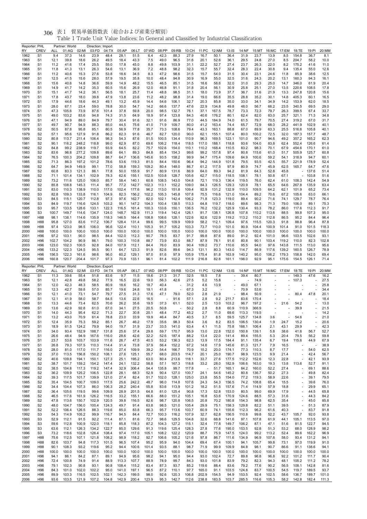| Reporter: PHL<br>RY | <b>CREV</b>                        | <b>ALL</b>     | Partner: World<br>01:AG | 02:MI          | Direction: Import<br>03:FD | 04:TX          | 05:AP          | 06:LT          | 07:WD          | 08:PP          | 09:RB          | 10:CH          | 11:PC          | 12:NM          | $13:$ IS       | 14:NF          | 15:MT          |                                                      | 16:MC 17:EM                    | 18:TE          | 19:PI          | 20:MM          |
|---------------------|------------------------------------|----------------|-------------------------|----------------|----------------------------|----------------|----------------|----------------|----------------|----------------|----------------|----------------|----------------|----------------|----------------|----------------|----------------|------------------------------------------------------|--------------------------------|----------------|----------------|----------------|
| 1962                | S <sub>1</sub>                     | 9.4            | 37.3                    | 14.6           | 23.9                       | 48.4           | 28.1           | 51.5           | 6.4            | 42.3           | 88.3           | 27.9           | 16.7           | 50.1           | 36.4           | 31.9           | 23.7           | 13.9                                                 | 8.5                            | 154.8          | 36.7           | 8.1            |
| 1963                | S <sub>1</sub>                     | 12.1           | 39.8                    | 18.6           | 26.2                       | 49.5           | 18.4           | 43.3           | 7.5            | 49.0           | 96.5           | 31.6           | 20.1           | 52.6           | 36.1           | 29.5           | 24.8           | 27.0                                                 | 8.5                            | 204.7          | 58.2           | 10.0           |
| 1964                | S <sub>1</sub>                     | 11.2           | 41.6                    | 17.4           | 25.5                       | 55.0           | 17.8           | 45.0           | 8.8            | 49.8           | 103.9          | 31.1           | 22.2           | 52.7           | 27.4           | 23.7           | 26.3           | 22.0                                                 | 8.2                            | 175.2          | 41.6           | 11.0           |
| 1965                | S <sub>1</sub>                     | 11.8           | 41.3                    | 13.1           | 26.3                       | 54.6           | 13.1           | 36.9           | 7.2            | 48.8           | 98.2           | 32.3           | 15.7           | 55.7           | 32.4           | 28.3           | 22.4           | 30.8                                                 | 9.4                            | 135.4          | 55.0           | 12.6           |
| 1966                | S <sub>1</sub>                     | 11.2           | 40.6                    | 15.3           | 27.6                       | 53.8           | 18.6           | 34.5           | 8.3            | 47.2           | 98.6           | 31.5           | 15.7           | 54.0           | 31.5           | 30.4           | 23.1           | 24.6                                                 | 11.8                           | 85.9           | 38.6           | 12.5           |
| 1967<br>1968        | S <sub>1</sub><br>S <sub>1</sub>   | 12.5<br>15.6   | 41.5<br>40.6            | 15.6<br>14.8   | 28.0<br>36.6               | 57.9<br>59.9   | 19.5<br>14.9   | 35.8<br>48.2   | 10.0<br>15.5   | 48.4<br>46.5   | 94.8<br>85.1   | 30.9<br>31.5   | 16.9<br>18.6   | 55.0<br>58.6   | 32.5<br>32.0   | 31.6<br>31.0   | 24.3<br>29.3   | 20.2<br>25.0                                         | 13.1<br>14.7                   | 160.3<br>346.0 | 94.3<br>61.9   | 16.1<br>20.4   |
| 1969                | S <sub>1</sub>                     | 14.9           | 41.7                    | 14.2           | 35.3                       | 60.5           | 15.6           | 26.9           | 12.0           | 46.8           | 91.1           | 31.8           | 20.4           | 56.1           | 30.9           | 25.8           | 25.1           | 27.0                                                 | 13.5                           | 220.6          | 108.5          | 17.8           |
| 1970                | S <sub>1</sub>                     | 15.1           | 41.7                    | 14.2           | 36.1                       | 56.5           | 18.1           | 25.7           | 11.4           | 48.8           | 98.5           | 31.1           | 18.0           | 73.9           | 37.7           | 36.7           | 31.6           | 21.9                                                 | 13.3                           | 247.8          | 120.8          | 15.6           |
| 1971                | S <sub>1</sub>                     | 17.8           | 43.7                    | 18.0           | 39.8                       | 47.9           | 13.8           | 23.6           | 11.2           | 48.2           | 98.8           | 31.4           | 19.0           | 66.6           | 35.5           | 28.8           | 35.2           | 30.1                                                 | 14.8                           | 405.3          | 60.1           | 16.5           |
| 1972                | S <sub>1</sub>                     | 17.9           | 44.6                    | 18.6           | 44.3                       | 49.1           | 13.2           | 45.9           | 14.4           | 54.6           | 106.1          | 32.7           | 20.3           | 85.8           | 35.0           | 33.0           | 34.1           | 34.9                                                 | 14.2                           | 153.9          | 62.0           | 18.5           |
| 1973                | S <sub>1</sub>                     | 28.0           | 67.1                    | 23.4           | 59.0                       | 78.8           | 30.0           | 54.7           | 14.2           | 66.6           | 137.7          | 47.6           | 22.9           | 134.8          | 49.8           | 48.0           | 56.7           | 66.2                                                 | 23.5                           | 340.5          | 69.5           | 29.0           |
| 1974                | S <sub>1</sub>                     | 47.3           | 105.6                   | 73.9           | 87.6                       | 101.4          | 37.8           | 59.8           | 20.0           | 98.5           | 132.7          | 76.1           | 37.1           | 167.5          | 78.7           | 73.3           | 72.3           | 79.7                                                 | 26.3                           | 399.5          | 67.4           | 33.7           |
| 1975                | S <sub>1</sub>                     | 49.0           | 103.2                   | 83.6           | 94.8                       | 74.3           | 31.5           | 64.9           | 18.9           | 97.4           | 123.8          | 84.3           | 40.6           | 176.2          | 80.1           | 62.4           | 82.0           | 83.0                                                 | 25.7<br>27.4                   | 321.1          | 71.3           | 34.8           |
| 1976<br>1977        | S <sub>1</sub><br>S <sub>1</sub>   | 47.1<br>49.7   | 94.9<br>90.7            | 89.0<br>94.9   | 84.9<br>88.3               | 79.7<br>85.0   | 30.4<br>44.5   | 91.6<br>75.6   | 32.1<br>41.0   | 91.6<br>71.9   | 86.9<br>109.7  | 77.0<br>80.0   | 44.5<br>41.2   | 184.9<br>163.4 | 74.0<br>74.4   | 61.5<br>65.7   | 79.7<br>72.9   | 70.5<br>68.0                                         | 28.2                           | 319.2<br>441.9 | 67.0<br>102.9  | 31.7<br>40.1   |
| 1978                | S <sub>2</sub>                     | 50.5           | 87.8                    | 95.8           | 85.1                       | 80.5           | 56.9           | 77.8           | 35.7           | 73.3           | 108.6          | 79.4           | 43.3           | 163.1          | 88.8           | 67.0           | 89.9           | 63.3                                                 | 25.5                           | 516.6          | 105.8          | 40.1           |
| 1979                | S <sub>2</sub>                     | 57.1           | 95.6                    | 127.9          | 91.8                       | 86.2           | 62.3           | 91.6           | 46.7           | 82.7           | 120.0          | 90.0           | 62.1           | 155.1          | 107.4          | 80.0           | 100.2          | 72.5                                                 | 32.0                           | 187.3          | 157.7          | 48.7           |
| 1980                | S <sub>2</sub>                     | 80.8           | 113.7                   | 211.4          | 106.4                      | 98.3           | 54.3           | 87.6           | 51.5           | 100.5          | 134.4          | 110.9          | 96.3           | 169.5          | 123.1          | 101.0          | 90.7           | 94.6                                                 | 49.2                           | 357.2          | 165.2          | 62.3           |
| 1981                | S <sub>2</sub>                     | 90.1           | 116.2                   | 248.2          | 118.8                      | 99.0           | 62.9           | 87.0           | 69.6           | 106.2          | 118.4          | 118.5          | 117.0          | 188.1          | 118.8          | 93.6           | 104.0          | 83.8                                                 | 62.4                           | 552.4          | 126.6          | 61.4           |
| 1982                | S <sub>2</sub>                     | 84.8           | 99.2                    | 238.9          | 119.7                      | 93.9           | 64.5           | 82.2           | 75.7           | 102.6          | 154.0          | 110.1          | 110.2          | 168.4          | 110.5          | 83.2           | 98.3           | 70.1                                                 | 67.9                           | 454.6          | 170.1          | 61.0           |
| 1983<br>1984        | S <sub>2</sub><br>S <sub>2</sub>   | 83.6<br>76.5   | 96.8<br>100.3           | 277.2<br>204.2 | 109.8<br>109.8             | 89.6<br>88.7   | 64.1<br>64.7   | 89.3<br>136.6  | 84.8<br>145.6  | 85.4<br>93.5   | 154.3<br>158.2 | 99.6<br>99.9   | 99.2<br>94.7   | 157.8<br>175.4 | 97.4<br>109.6  | 80.8<br>84.9   | 115.6<br>100.6 | 61.0<br>59.2                                         | 51.7<br>54.1                   | 505.9<br>318.9 | 125.7<br>94.7  | 60.8<br>60.1   |
| 1985                | S <sub>2</sub>                     | 71.3           | 86.3                    | 197.2          | 101.2                      | 78.6           | 53.6           | 119.3          | 81.5           | 84.4           | 150.6          | 96.4           | 94.2           | 144.9          | 101.8          | 79.5           | 93.5           | 42.5                                                 | 55.7                           | 221.9          | 178.9          | 52.4           |
| 1986                | S <sub>2</sub>                     | 64.7           | 94.9                    | 149.9          | 99.1                       | 77.0           | 58.8           | 159.3          | 109.2          | 80.4           | 148.0          | 86.7           | 61.2           | 117.5          | 97.9           | 80.9           | 74.7           | 45.9                                                 | 62.5                           | 165.7          | 64.7           | 47.6           |
| 1987                | S <sub>2</sub>                     | 60.8           | 83.3                    | 121.3          | 86.1                       | 77.8           | 50.0           | 155.9          | 91.7           | 80.9           | 131.6          | 86.9           | 64.0           | 89.3           | 94.2           | 81.9           | 64.3           | 52.8                                                 | 45.8                           |                | 137.6          | 51.4           |
| 1988                | S <sub>2</sub>                     | 71.1           | 101.4                   | 134.1          | 102.9                      | 78.3           | 62.6           | 155.1          | 102.5          | 103.8          | 128.7          | 105.6          | 62.7           | 115.0          | 118.5          | 108.1          | 78.1           | 50.8                                                 | 67.1                           |                | 103.8          | 51.6           |
| 1989                | S <sub>2</sub>                     | 73.2           | 111.6                   | 125.0          | 106.0                      | 85.7           | 58.4           | 140.1          | 60.8           | 108.5          | 143.0          | 104.8          | 72.1           | 119.3          | 136.4          | 119.5          | 76.0           | 62.4                                                 | 61.0                           | 108.3          | 142.4          | 54.9           |
| 1990                | S <sub>2</sub>                     | 85.8           | 108.8                   | 145.3          | 111.4                      | 95.7           | 77.2           | 142.7          | 102.3          | 113.1          | 152.2          | 109.0          | 84.3           | 126.5          | 129.3          | 120.9          | 78.1           | 65.5                                                 | 64.6                           | 267.8          | 135.9          | 63.4           |
| 1991<br>1992        | S <sub>2</sub><br>S <sub>3</sub>   | 83.0<br>82.8   | 110.3<br>109.3          | 138.9<br>133.8 | 110.0<br>116.1             | 117.0<br>104.9 | 102.4<br>82.3  | 177.6<br>156.2 | 96.2<br>102.2  | 113.0<br>105.3 | 151.8<br>145.8 | 109.4<br>107.8 | 92.9<br>75.5   | 131.2<br>116.6 | 132.9<br>121.0 | 110.0<br>104.4 | 109.5<br>89.2  | 64.2<br>70.6                                         | 62.1<br>67.2                   | 101.9<br>105.6 | 65.2<br>63.0   | 73.4<br>66.1   |
| 1993                | S <sub>3</sub>                     | 84.5           | 115.1                   | 120.7          | 112.8                      | 97.3           | 97.6           | 162.7          | 82.0           | 102.1          | 142.4          | 106.2          | 71.8           | 123.3          | 119.0          | 89.4           | 90.2           | 71.6                                                 | 74.1                           | 129.7          | 78.7           | 76.4           |
| 1994                | S <sub>3</sub>                     | 84.9           | 119.7                   | 116.6          | 124.5                      | 103.2          | 90.1           | 147.2          | 104.3          | 100.4          | 138.5          | 113.3          | 64.8           | 119.7          | 118.0          | 89.6           | 98.3           | 71.3                                                 | 79.0                           | 106.0          | 89.1           | 75.3           |
| 1995                | S <sub>3</sub>                     | 95.7           | 133.5                   | 128.6          | 133.1                      | 122.3          | 116.5          | 161.4          | 100.3          | 133.6          | 150.1          | 136.5          | 76.2           | 132.2          | 125.9          | 130.4          | 93.3           | 78.2                                                 | 86.0                           | 117.6          | 112.3          | 91.7           |
| 1996                | S <sub>3</sub>                     | 100.7          | 149.7                   | 114.6          | 134.7                      | 124.0          | 148.7          | 162.9          | 111.3          | 119.4          | 142.4          | 126.1          | 81.7           | 138.1          | 126.8          | 107.8          | 110.2          | 113.6                                                | 88.5                           | 99.8           | 107.3          | 95.0           |
| 1997                | H88                                | 98.1           | 138.1                   | 114.6          | 135.9                      | 118.3          | 146.5          | 164.4          | 108.8          | 108.6          | 128.1          | 122.6          | 82.6           | 122.9          | 119.2          | 113.2          | 110.2          | 112.8                                                | 86.5                           | 95.2           | 84.4           | 96.4           |
| 1998                | H88                                | 95.8           | 127.0<br>123.0          | 83.6           | 117.2<br>106.0             | 106.7          | 128.4<br>122.4 | 131.4          | 99.6           | 99.5           | 109.9<br>105.2 | 109.9<br>103.3 | 58.2<br>73.7   | 112.1          | 109.4          | 97.6<br>90.9   | 115.5          | 120.3                                                | 91.8                           | 88.8           | 96.4           | 87.8           |
| 1999<br>2000        | H88<br>H88                         | 97.4<br>100.0  | 100.0                   | 98.5<br>100.0  | 100.0                      | 96.6<br>100.0  | 100.0          | 110.1<br>100.0 | 105.3<br>100.0 | 91.7<br>100.0  | 100.0          | 100.0          | 100.0          | 110.0<br>100.0 | 101.0<br>100.0 | 100.0          | 104.4<br>100.0 | 100.9<br>100.0                                       | 101.4<br>100.0                 | 91.0<br>100.0  | 101.5<br>100.0 | 118.3<br>100.0 |
| 2001                | H <sub>96</sub>                    | 97.2           | 103.1                   | 90.0           | 98.5                       | 84.4           | 102.0          | 112.3          | 90.7           | 78.5           | 83.7           | 91.7           | 99.8           | 87.6           | 89.0           | 91.2           | 92.4           | 101.0                                                | 96.6                           | 103.5          | 102.6          | 93.1           |
| 2002                | H <sub>96</sub>                    | 102.7          | 104.2                   | 90.9           | 86.1                       | 79.0           | 100.3          | 110.8          | 88.7           | 73.9           | 83.0           | 88.7           | 87.9           | 78.1           | 91.6           | 80.8           | 90.1           | 103.4                                                | 119.2                          | 110.0          | 82.3           | 102.8          |
| 2003                | H <sub>96</sub>                    | 123.0          | 102.3                   | 100.5          | 92.8                       | 84.0           | 107.9          | 112.1          | 84.4           | 76.0           | 83.9           | 90.4           | 109.2          | 73.7           | 110.6          | 95.5           | 94.0           | 97.6                                                 | 143.8                          | 111.5          | 113.0          | 95.6           |
| 2004                | H <sub>96</sub>                    | 133.2          | 122.3                   | 124.5          | 95.5                       | 90.1           | 64.7           | 123.3          | 91.9           | 82.6           | 89.6           | 94.3           | 131.1          | 80.3           | 143.0          | 114.7          | 86.9           | 117.6                                                | 139.2                          | 160.5          | 126.7          | 78.9           |
| 2005<br>2006        | H <sub>96</sub>                    | 156.5<br>160.8 | 122.3                   | 161.6          | 98.6                       | 96.0           | 60.2           | 129.1          | 97.0           | 81.6           | 97.9           | 105.9          | 175.4          | 81.8           | 163.9          | 140.2          | 95.0           | 106.2                                                | 179.3                          | 158.8          | 142.0          | 69.4<br>71.4   |
|                     | H <sub>96</sub>                    |                | 120.7                   | 204.4          | 101.7                      | 97.3           | 70.9           | 133.1          | 96.1           | 81.4           | 102.2          | 111.9          | 216.8          | 82.8           | 161.1          | 198.0          | 92.9           | 95.1                                                 | 175.6                          | 154.5          | 126.1          |                |
|                     |                                    |                |                         |                |                            |                |                |                |                |                |                |                |                |                |                |                |                |                                                      |                                |                |                |                |
| Reporter: PHL       |                                    |                | Partner: World          |                | Direction: Export          |                |                |                |                |                |                |                |                |                |                |                |                |                                                      |                                |                |                |                |
| RY                  | <b>CREV</b>                        | ALL            | 01:AG                   | 02:MI          | 03:FD                      | 04:TX          | 05:AP          | 06:LT          | 07:WD          | 08:PP          | 09:RB          | 10:CH          | 11:PC          | 12:NM          | $13:$ IS       | 14:NF          | 15:MT          |                                                      | 16:MC 17:EM                    | 18:TE          | 19:PI          | 20:MM          |
| 1962                | S <sub>1</sub><br>S1               | 11.3<br>12.1   | 39.6<br>42.8            | 55.4<br>49.8   | 51.8                       | 83.6<br>77.9   | 9.7<br>16.5    | 11.5<br>22.6   | 18.6<br>19.0   | 21.3<br>56.3   | 31.7<br>42.6   | 32.5<br>27.5   | 18.5           | 7.8<br>15.8    |                | 39.4           | 80.7<br>74.9   | $\overline{\phantom{a}}$<br>$\overline{\phantom{a}}$ | ÷.<br>$\overline{\phantom{a}}$ | 149.3<br>107.3 | 47.6           | 16.2<br>27.5   |
| 1963<br>1964        | S <sub>1</sub>                     | 12.0           | 42.3                    | 48.3           | 58.2<br>58.5               | 80.9           | 18.6           | 16.2           | 18.7           | 40.4           |                | 31.2           | 5.2<br>4.6     | 13.9           |                | 49.0           | 67.1           | ÷,                                                   |                                |                |                | 25.8           |
| 1965                | S <sub>1</sub>                     | 12.3           | 42.7                    | 59.8           | 57.0                       | 85.7           | 19.6           | 24.8           | 19.1           | 41.8           |                | 67.3           | 3.2            |                |                | 70.9           | 53.6           |                                                      |                                |                |                | 34.4           |
| 1966                | S1                                 | 12.1           | 41.0                    | 73.1           | 54.7                       | 79.7           | 27.5           | 31.3           | 17.6           | 47.1           | 79.0           | 52.0           | 2.8            | 21.9           |                | 98.4           | 50.9           | $\overline{\phantom{a}}$                             |                                | 80.4           | 47.8           | 20.1           |
| 1967                | S <sub>1</sub>                     | 12.1           | 41.9                    | 58.0           | 58.7                       | 64.5           | 13.6           | 22.6           | 16.5           |                | 91.6           | 57.1           | 2.8            | 9.2            | 211.7          | 83.6           | 170.4          |                                                      |                                |                |                | 18.4           |
| 1968                | S <sub>1</sub>                     | 13.3           | 44.6                    | 73.4           | 62.5                       | 70.6           | 26.2           | 35.6           | 19.5           | 37.3           | 61.1           | 52.0           | 2.5            | 13.0           | 103.2          | 96.7           | 197.2          | ÷,                                                   | 21.6                           | 54.2           |                | 13.0           |
| 1969<br>1970        | S <sub>1</sub><br>S <sub>1</sub>   | 13.6<br>14.0   | 42.9<br>44.3            | 92.8<br>95.4   | 61.0<br>62.2               | 67.0<br>71.3   | 34.1<br>22.7   | 27.5<br>30.8   | 20.5<br>20.1   | 50.8<br>48.4   | 77.2           | 50.2<br>45.2   | 2.8<br>2.7     | 8.8<br>11.0    | 60.9<br>69.6   | 110.9<br>113.3 | 366.9<br>119.5 | $\overline{\phantom{a}}$                             |                                | 39.9           |                | 21.5<br>14.2   |
| 1971                | S <sub>1</sub>                     | 13.2           | 43.0                    | 70.9           | 61.4                       | 78.8           | 23.0           | 33.9           | 19.9           | 46.4           | 84.7           | 40.5           | 3.7            | 8.5            | 59.5           | 125.7          | 134.8          | 3.6                                                  |                                | 54.6           |                | 21.0           |
| 1972                | S <sub>1</sub>                     | 12.4           | 35.9                    | 75.3           | 59.2                       | 85.1           | 26.7           | 46.2           | 17.9           | 35.6           | 98.3           | 50.4           | 3.6            | 8.2            | 83.5           | 106.5          | 130.4          | 1.9                                                  | 24.7                           | 15.2           |                | 20.6           |
| 1973                | S <sub>1</sub>                     | 18.9           | 61.5                    | 124.2          | 79.9                       | 94.0           | 19.7           | 31.9           | 23.7           | 33.5           | 141.0          | 63.4           | 4.1            | 11.5           | 75.8           | 166.1          | 106.4          | 2.1                                                  | 43.1                           | 29.9           |                | 42.3           |
| 1974                | S1                                 | 34.0           | 93.4                    | 152.9          | 188.7                      | 131.8          | 25.6           | 37.4           | 29.8           | 59.7           | 170.7          | 95.9           | 13.0           | 22.8           | 152.0          | 150.8          | 139.1          | 5.8                                                  | 38.6                           | 41.6           | 56.7           | 52.7           |
| 1975                | S1                                 | 26.6           | 48.4                    | 94.9           | 167.6                      | 116.0          | 28.6           | 42.6           | 32.2           | 52.6           | 187.4          | 88.2           | 13.4           | 22.0           | 141.4          | 89.4           | 155.5          | 5.3                                                  | 20.4                           | 79.5           | 56.2           | 59.8           |
| 1976<br>1977        | S1<br>S <sub>1</sub>               | 23.7<br>26.8   | 53.6<br>79.3            | 103.7<br>107.5 | 103.9<br>110.3             | 111.6<br>114.4 | 26.7<br>31.4   | 47.5<br>73.8   | 40.5<br>37.9   | 53.2<br>56.4   | 136.3<br>152.2 | 62.3<br>67.2   | 13.9<br>14.6   | 17.5<br>17.9   | 184.4<br>145.6 | 91.1<br>81.3   | 135.4<br>121.7 | 6.7<br>7.9                                           | 19.4<br>16.5                   | 115.6          | 44.9           | 67.9<br>38.9   |
| 1978                | S2                                 | 28.0           | 81.0                    | 117.0          | 111.7                      | 116.0          | 27.4           | 109.9          | 39.2           | 54.4           | 166.7          | 70.9           | 15.2           | 20.0           | 174.1          | 77.3           | 110.3          | 8.7                                                  | 17.7                           | ÷,             | 54.0           | 62.5           |
| 1979                | S <sub>2</sub>                     | 37.0           | 113.5                   | 156.8          | 150.2                      | 108.1          | 27.6           | 125.1          | 55.7           | 68.0           | 203.5          | 114.7          | 20.1           | 25.0           | 190.7          | 98.9           | 123.5          | 9.9                                                  | 21.4                           |                | 42.4           | 56.7           |
| 1980                | S <sub>2</sub>                     | 40.6           | 109.8                   | 194.1          | 150.1                      | 127.3          | 25.1           | 195.2          | 63.0           | 80.4           | 213.6          | 118.1          | 33.7           | 27.6           | 177.5          | 112.2          | 152.6          | 12.3                                                 | 22.8                           |                | 42.1           | 93.9           |
| 1981                | S <sub>2</sub>                     | 38.7           | 101.7                   | 159.2          | 154.2                      | 147.4          | 24.1           | 132.2          | 58.8           | 57.1           | 167.3          | 118.8          | 33.2           | 28.0           | 182.9          | 106.6          | 163.0          | 19.3                                                 | 13.8                           | 113.6          | 52.7           | 91.1           |
| 1982                | S <sub>2</sub>                     | 38.5           | 104.8                   | 117.3          | 119.2                      | 147.4          | 32.9           | 306.4          | 54.4           | 135.8          | 99.7           | 117.8          |                | 51.7           | 165.1          | 84.2           | 160.0          | 52.2                                                 | 27.4                           |                | 69.1           | 88.6           |
| 1983                | S <sub>2</sub>                     | 36.2<br>39.3   | 109.9                   | 125.2          | 106.5                      | 122.8          | 28.1           | 68.3           | 52.9<br>51.7   | 90.4           | 127.0          | 100.7          | 24.1           | 54.6           | 145.2          | 80.8           | 136.7          | 50.2                                                 | 27.3                           |                | 49.8<br>39.1   | 82.4           |
| 1984<br>1985        | S <sub>2</sub><br>S <sub>2</sub>   | 35.4           | 117.5<br>104.5          | 101.7<br>100.7 | 139.9<br>109.0             | 121.0<br>117.5 | 27.4<br>25.6   | 82.4<br>242.2  | 48.7           | 102.0<br>96.0  | 128.1<br>114.8 | 125.0<br>107.6 | 23.8<br>24.3   | 55.5<br>54.3   | 154.0<br>156.5 | 77.2<br>74.2   | 119.3<br>108.8 | 58.9<br>65.4                                         | 22.6<br>15.5                   |                | 39.6           | 79.5<br>76.0   |
| 1986                | S <sub>2</sub>                     | 34.4           | 104.4                   | 107.3          | 86.0                       | 106.3          | 28.2           | 240.4          | 55.8           | 83.6           | 113.9          | 101.2          | 18.2           | 51.5           | 157.6          | 71.4           | 114.9          | 57.9                                                 | 18.8                           | ä,             | 29.9           | 65.1           |
| 1987                | S <sub>2</sub>                     | 36.4           | 105.6                   | 119.5          | 99.6                       | 109.9          | 28.9           | 201.5          | 64.8           | 81.0           | 125.4          | 90.8           | 17.3           | 52.8           | 153.0          | 80.5           | 99.0           | 69.9                                                 | 17.9                           |                | 44.5           | 65.8           |
| 1988                | S <sub>2</sub>                     | 46.5           | 117.6                   | 161.9          | 126.2                      | 116.5          | 33.2           | 155.1          | 66.6           | 88.0           | 151.2          | 105.1          | 16.8           | 53.6           | 170.9          | 124.6          | 88.5           | 57.3                                                 | 31.6                           |                | 44.3           | 84.2           |
| 1989                | S2                                 | 47.8           | 113.6                   | 150.7          | 102.9                      | 120.5          | 39.8           | 116.5          | 82.6           | 98.7           | 120.8          | 106.5          | 20.8           | 70.2           | 180.8          | 154.3          | 98.8           | 62.5                                                 | 35.4                           |                | 45.0           | 85.8           |
| 1990                | S <sub>2</sub>                     | 48.0           | 104.7                   | 156.0          | 100.4                      | 124.3          | 49.7           | 91.4           | 63.8           | 98.5           | 121.0          | 105.4          | 29.9           | 75.1<br>74.1   | 158.3          | 129.8          | 82.2           | 51.1                                                 | 39.5                           | ÷,             | 51.3           | 87.9           |
| 1991<br>1992        | S <sub>2</sub><br>S <sub>3</sub>   | 52.2<br>54.3   | 106.4<br>114.9          | 126.5<br>105.2 | 88.3<br>99.9               | 119.6<br>116.7 | 85.0<br>94.5   | 83.8<br>84.4   | 66.3<br>72.7   | 95.7<br>100.3  | 113.6<br>116.2 | 103.7<br>107.9 | 60.9<br>32.7   | 62.8           | 155.6<br>156.5 | 112.3<br>110.8 | 96.2<br>99.8   | 61.6<br>52.2                                         | 40.3<br>43.7                   | 105.7          | 83.7<br>92.0   | 91.8<br>93.8   |
| 1993                | S3                                 | 52.9           | 112.1                   | 91.5           | 92.2                       | 111.4          | 87.1           | 81.6           | 72.7           | 98.6           | 129.5          | 104.8          | 32.6           | 68.8           | 141.6          | 97.1           | 107.8          | 61.9                                                 | 44.1                           | 105.1          | 113.5          | 97.0           |
| 1994                | S <sub>3</sub>                     | 59.6           | 112.8                   | 100.9          | 122.0                      | 118.1          | 85.8           | 118.3          | 87.2           | 104.3          | 127.2          | 115.1          | 32.4           | 77.8           | 149.7          | 106.2          | 87.1           | 47.1                                                 | 51.6                           | 81.5           | 122.7          | 94.5           |
| 1995                | S <sub>3</sub>                     | 63.6           | 112.1                   | 126.3          | 134.2                      | 122.7          | 85.0           | 129.6          | 91.3           | 119.6          | 125.4          | 128.3          | 27.8           | 77.6           | 195.0          | 153.5          | 92.8           | 51.3                                                 | 53.2                           | 68.0           | 128.9          | 98.2           |
| 1996                | S3                                 | 73.2           | 118.6                   | 102.8          | 126.4                      | 108.4          | 97.4           | 117.0          | 105.1          | 108.2          | 122.2          | 120.9          | 88.7           | 75.9           | 147.5          | 124.0          | 99.2           | 113.2                                                | 52.4                           | 89.6           | 162.2          | 96.9           |
| 1997                | H88                                | 75.6           | 112.5                   | 107.1          | 121.8                      | 108.2          | 98.9           | 118.2          | 92.7           | 106.6          | 105.2          | 121.6          | 97.8           | 86.7           | 111.6          | 134.9          | 96.9           | 107.8                                                | 58.0                           | 93.4           | 131.2          | 94.1           |
| 1998<br>1999        | H88<br>H88                         | 82.6<br>90.1   | 103.7<br>108.3          | 94.8<br>93.2   | 117.3<br>119.6             | 101.5<br>95.2  | 96.5<br>94.4   | 107.4<br>100.6 | 95.2<br>101.4  | 95.9<br>93.5   | 94.0<br>88.1   | 104.4<br>98.7  | 69.4<br>71.9   | 67.4<br>99.9   | 100.1<br>109.9 | 94.1<br>84.8   | 105.7<br>98.1  | 99.8<br>90.7                                         | 73.1<br>86.6                   | 97.0<br>91.1   | 119.9<br>138.6 | 91.0<br>94.1   |
| 2000                | H88                                | 100.0          | 100.0                   | 100.0          | 100.0                      | 100.0          | 100.0          | 100.0          | 100.0          | 100.0          | 100.0          | 100.0          | 100.0          | 100.0          | 100.0          | 100.0          | 100.0          | 100.0                                                | 100.0                          | 100.0          | 100.0          | 100.0          |
| 2001                | H <sub>96</sub>                    | 94.1           | 86.1                    | 84.2           | 87.1                       | 89.1           | 94.9           | 95.6           | 98.2           | 94.1           | 95.0           | 94.4           | 93.0           | 102.4          | 72.7           | 89.8           | 96.8           | 96.8                                                 | 92.2                           | 101.2          | 111.7          | 90.4           |
| 2002                | H <sub>96</sub>                    | 72.4           | 100.8                   | 74.9           | 91.4                       | 88.9           | 113.3          | 107.7          | 88.9           | 78.9           | 99.7           | 84.3           | 93.0           | 101.8          | 83.9           | 79.2           | 82.3           | 94.3                                                 | 48.1                           | 105.2          | 111.2          | 78.2           |
| 2003                | H <sub>96</sub>                    | 79.1           | 102.3                   | 90.8           | 93.1                       | 90.8           | 108.4          | 115.2          | 83.4           | 87.3           | 93.7           | 85.2           | 119.6          | 88.4           | 83.6           | 79.2           | 77.6           | 90.2                                                 | 56.5                           | 108.1          | 142.8          | 81.6           |
| 2004<br>2005        | H <sub>96</sub><br>H <sub>96</sub> | 84.3<br>89.9   | 101.0<br>103.3          | 102.0<br>116.5 | 102.2<br>102.5             | 95.0<br>102.1  | 141.0<br>142.3 | 197.1<br>199.5 | 96.5<br>98.0   | 87.2<br>92.6   | 110.1<br>120.3 | 97.7<br>106.8  | 165.0<br>202.9 | 91.1<br>154.5  | 103.5<br>94.9  | 124.8<br>153.5 | 83.7<br>92.4   | 100.5<br>102.5                                       | 54.5<br>58.6                   | 119.7<br>136.7 | 189.5<br>189.7 | 93.7<br>101.0  |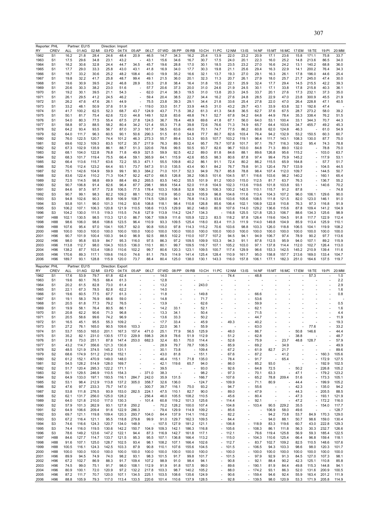|                                                                                                                                                                                                                                                                                                      | Reporter: PHL                    |               | Partner: EU15  |                | Direction: Import   |                |                                                      |                          |                |                          |                          |                         |                          |                          |                          |                      |                                                      |                                |               |                          |                |                |
|------------------------------------------------------------------------------------------------------------------------------------------------------------------------------------------------------------------------------------------------------------------------------------------------------|----------------------------------|---------------|----------------|----------------|---------------------|----------------|------------------------------------------------------|--------------------------|----------------|--------------------------|--------------------------|-------------------------|--------------------------|--------------------------|--------------------------|----------------------|------------------------------------------------------|--------------------------------|---------------|--------------------------|----------------|----------------|
| RY                                                                                                                                                                                                                                                                                                   | <b>CREV</b>                      | ALL           | 01:AG          | 02:MI          | 03:FD               | 04:TX          | 05:AP                                                | 06:LT                    | 07:WD          | 08:PP                    | 09:RB                    | 10:CH                   | 11:PC                    | 12:NM                    | $13:$ IS                 | 14:NF                | 15:MT                                                | 16:MC                          | 17:EM         | 18:TE                    | 19:PI          | 20:MM          |
| 1962                                                                                                                                                                                                                                                                                                 | S <sub>1</sub>                   | 16.2          | 21.8           | 28.4           | 24.6                | 48.4           | 20.9                                                 | 46.5                     | 14.7           | 34.3                     | 16.2                     | 25.4                    | 13.9                     | 22.0                     | 23.2                     | 20.9                 | 17.1                                                 | 23.6                           | 15.8          | 171.1                    | 75.8           | 33.7           |
| 1963                                                                                                                                                                                                                                                                                                 | S <sub>1</sub>                   | 17.5          | 29.6           | 34.8           | 23.1                | 43.2           | $\overline{\phantom{a}}$                             | 43.1                     | 15.6           | 34.6                     | 16.7                     | 30.7                    | 17.5                     | 24.0                     | 20.1                     | 22.3                 | 16.0                                                 | 25.2                           | 14.8          | 213.6                    | 86.5           | 34.0           |
| 1964                                                                                                                                                                                                                                                                                                 | S <sub>1</sub>                   | 16.2          | 30.6           | 32.8           | 24.4                | 44.7           | 34.5                                                 | 45.7                     | 19.6           | 28.8                     | 17.0                     | 30.1                    | 18.5                     | 23.5                     | 23.2                     | 27.0                 | 16.6                                                 | 24.2                           | 13.1          | 140.2                    | 68.8           | 36.0           |
| 1965                                                                                                                                                                                                                                                                                                 | S <sub>1</sub>                   | 17.7          | 29.0           | 33.3           | 25.8                | 43.0           | 43.1                                                 | 41.8                     | 16.9           | 34.0                     | 17.7                     | 30.3                    | 19.8                     | 21.1                     | 25.6                     | 29.4                 | 16.3                                                 | 22.9                           | 14.1          | 200.2                    | 76.4           | 34.3           |
| 1966                                                                                                                                                                                                                                                                                                 | S <sub>1</sub>                   | 18.7          | 33.2           | 30.6           | 25.2                | 48.2           | 108.4                                                | 40.0                     | 19.9           | 35.2                     | 16.6                     | 32.1                    | 13.7                     | 19.3                     | 27.0                     | 29.1                 | 16.3                                                 | 26.1                           | 17.8          | 196.0                    | 44.6           | 25.4           |
| 1967                                                                                                                                                                                                                                                                                                 | S <sub>1</sub>                   | 19.8          | 32.2           | 41.7           | 25.8                | 48.7           | 99.4                                                 | 49.1                     | 21.5           | 36.0                     | 20.1                     | 32.3                    | 11.3                     | 20.7                     | 26.1                     | 27.9                 | 18.0                                                 | 25.7                           | 21.7          | 245.0                    | 47.4           | 30.0           |
| 1968                                                                                                                                                                                                                                                                                                 | S <sub>1</sub>                   | 19.6          | 30.9           | 39.5           | 24.2                | 46.8           | 28.9                                                 | 53.3                     | 21.8           | 38.4                     | 16.4                     | 31.8                    | 15.5                     | 22.1                     | 25.9                     | 32.4                 | 17.7                                                 | 29.4                           | 14.5          | 215.5                    | 42.2           | 39.3           |
| 1969                                                                                                                                                                                                                                                                                                 | S <sub>1</sub>                   | 20.6          | 30.3           | 38.2           | 23.0                | 51.6           | $\overline{\phantom{a}}$<br>$\sim$                   | 57.7                     | 20.6           | 37.3                     | 20.0                     | 31.0                    | 24.6                     | 21.9                     | 24.5                     | 30.1                 | 17.1                                                 | 33.8                           | 17.8          | 215.8                    | 40.3           | 36.1           |
| 1970<br>1971                                                                                                                                                                                                                                                                                         | S <sub>1</sub><br>S <sub>1</sub> | 19.2<br>26.1  | 30.1<br>29.5   | 39.5<br>41.2   | 21.1<br>24.5        | 54.3<br>46.2   | $\blacksquare$                                       | 62.0<br>59.4             | 21.4<br>20.4   | 38.3<br>38.5             | 19.5<br>22.7             | 31.0<br>34.4            | 13.8<br>16.2             | 20.3<br>27.6             | 24.5<br>24.8             | 33.7<br>28.5         | 20.1<br>22.9                                         | 27.6<br>47.0                   | 17.3<br>23.8  | 232.1<br>300.9           | 37.3<br>45.5   | 35.0<br>21.9   |
| 1972                                                                                                                                                                                                                                                                                                 | S <sub>1</sub>                   | 26.2          | 47.6           | 47.6           | 26.1                | 44.9           | $\sim$                                               | 75.5                     | 23.8           | 39.3                     | 29.1                     | 34.4                    | 21.8                     | 33.6                     | 25.4                     | 27.8                 | 22.0                                                 | 47.0                           | 26.4          | 228.8                    | 47.1           | 40.5           |
| 1973                                                                                                                                                                                                                                                                                                 | S <sub>1</sub>                   | 33.2          | 48.1           | 50.9           | 37.6                | 51.9           | $\overline{\phantom{a}}$                             | 119.0                    | 33.0           | 51.7                     | 33.9                     | 44.5                    | 31.0                     | 43.2                     | 29.7                     | 43.1                 | 33.9                                                 | 63.8                           | 32.1          | 192.6                    | 47.4           |                |
| 1974                                                                                                                                                                                                                                                                                                 | S <sub>1</sub>                   | 41.7          | 100.2          | 62.5           | 52.3                | 68.7           | 43.7                                                 | 124.9                    | 43.7           | 71.5                     | 38.2                     | 61.3                    | 41.3                     | 54.8                     | 36.5                     | 62.7                 | 37.6                                                 | 67.5                           | 28.7          | 273.2                    | 58.0           | 39.2           |
| 1975                                                                                                                                                                                                                                                                                                 | S <sub>1</sub>                   | 50.1          | 81.7           | 75.4           | 62.6                | 72.0           | 44.8                                                 | 149.1                    | 52.8           | 83.6                     | 48.8                     | 74.1                    | 52.7                     | 67.8                     | 54.2                     | 64.8                 | 44.9                                                 | 78.4                           | 35.3          | 338.4                    | 76.2           | 51.5           |
| 1976                                                                                                                                                                                                                                                                                                 | S <sub>1</sub>                   | 54.0          | 80.3           | 77.5           | 55.4                | 67.5           | 27.8                                                 | 124.5                    | 36.7           | 78.4                     | 48.9                     | 69.6                    | 41.8                     | 67.1                     | 56.0                     | 64.0                 | 53.1                                                 | 100.4                          | 33.1          | 344.3                    | 70.7           | 44.3           |
| 1977                                                                                                                                                                                                                                                                                                 | S <sub>1</sub>                   | 58.8          | 97.3           | 88.5           | 58.2                | 80.4           | 34.2                                                 | 121.4                    | 55.3           | 71.8                     | 39.8                     | 72.6                    | 76.6                     | 71.3                     | 74.9                     | 65.7                 | 64.4                                                 | 103.6                          | 34.7          | 455.7                    | 49.2           | 45.3           |
| 1978                                                                                                                                                                                                                                                                                                 | S <sub>2</sub>                   | 64.2          | 93.4           | 93.5           | 56.7                | 87.0           | 37.3                                                 | 161.7                    | 56.5           | 63.6                     | 49.0                     | 70.1                    | 74.7                     | 77.5                     | 86.2                     | 60.8                 | 62.0                                                 | 124.8                          | 46.3          |                          | 61.0           | 54.9           |
| 1979                                                                                                                                                                                                                                                                                                 | S <sub>2</sub>                   | 64.0          | 111.7          | 96.3           | 60.5                | 90.1           | 50.6                                                 | 290.3                    | 51.5           | 81.0                     | 54.8                     | 77.7                    | 80.7                     | 82.6                     | 103.4                    | 76.4                 | 94.2                                                 | 132.9                          | 53.2          | 150.5                    | 60.3           | 60.7           |
| 1980                                                                                                                                                                                                                                                                                                 | S <sub>2</sub>                   | 76.0          | 122.5          | 120.7          | 74.4                | 101.2          | 46.3                                                 | 273.3                    | 55.7           | 89.4                     | 53.3                     | 93.5                    | 107.7                    | 103.2                    | 119.1                    | 96.4                 | 111.7                                                | 143.1                          | 108.3         | 130.0                    | 87.7           | 75.0           |
| 1981                                                                                                                                                                                                                                                                                                 | S <sub>2</sub>                   | 69.6          | 102.3          | 109.3          | 83.5                | 107.2          | 35.7                                                 | 217.9                    | 76.3           | 89.5                     | 52.4                     | 95.7                    | 79.7                     | 107.8                    | 101.7                    | 97.1                 | 79.7                                                 | 116.3                          | 106.2         | 95.4                     | 74.3           | 78.8           |
| 1982                                                                                                                                                                                                                                                                                                 | S <sub>2</sub>                   | 67.3          | 102.9          | 135.9          | 86.1                | 88.7           | 51.3                                                 | 320.6                    | 78.6           | 99.5                     | 50.5                     | 93.7                    | 82.6                     | 96.7                     | 103.0                    | 84.8                 | 71.3                                                 | 89.0                           | 132.0         |                          | 78.8           | 75.0           |
| 1983                                                                                                                                                                                                                                                                                                 | S <sub>2</sub>                   | 68.1          | 104.0          | 122.8          | 76.8                | 71.8           | 49.9                                                 | 321.5                    | 59.9           | 92.5                     | 42.2                     | 89.0                    | 81.8                     | 84.6                     | 88.1                     | 89.6                 | 126.8                                                | 95.6                           | 115.2         |                          | 103.0          | 63.7           |
| 1984                                                                                                                                                                                                                                                                                                 | S <sub>2</sub>                   | 68.3          | 101.7          | 119.4          | 75.5                | 66.4           | 59.1                                                 | 365.9                    | 64.1           | 115.9                    | 42.6                     | 85.5                    | 98.3                     | 80.6                     | 87.8                     | 97.4                 | 99.4                                                 | 75.9                           | 145.2         |                          | 117.9          | 53.1           |
| 1985                                                                                                                                                                                                                                                                                                 | S <sub>2</sub>                   | 66.4          | 113.6          | 115.7          | 63.6                | 72.2           | 55.3                                                 | 471.1                    | 55.5           | 109.8                    | 40.2                     | 86.1                    | 91.1                     | 72.4                     | 80.2                     | 86.2                 | 115.5                                                | 65.9                           | 164.8         |                          | 57.7           | 51.7           |
| 1986                                                                                                                                                                                                                                                                                                 | S <sub>2</sub>                   | 70.6          | 112.4          | 123.2          | 64.4                | 93.1           | 73.7                                                 | 547.3                    | 51.0           | 135.5                    | 43.4                     | 90.1                    | 84.2                     | 76.7                     | 79.8                     | 91.3                 | 120.4                                                | 79.7                           | 133.9         |                          | 104.5          | 44.5           |
| 1987                                                                                                                                                                                                                                                                                                 | S <sub>2</sub>                   | 75.1          | 142.6          | 104.9          | 59.9                | 99.1           | 90.3                                                 | 384.2                    | 71.0           | 101.7                    | 52.3                     | 94.9                    | 79.7                     | 85.8                     | 78.8                     | 98.4                 | 107.4                                                | 112.0                          | 109.7         |                          | 144.5          | 50.7           |
| 1988                                                                                                                                                                                                                                                                                                 | S <sub>2</sub>                   | 83.6          | 122.4          | 110.2          | 71.3                | 104.7          | 92.2                                                 | 427.0                    | 66.5           | 126.8                    | 38.2                     | 106.5                   | 101.6                    | 104.5                    | 97.1                     | 116.6                | 103.6                                                | 98.2                           | 140.2         |                          | 160.1          | 65.4           |
| 1989                                                                                                                                                                                                                                                                                                 | S <sub>2</sub>                   | 72.5          | 114.5          | 98.8           | 69.9                | 88.4           | 69.2                                                 | 265.5                    | 83.5           | 140.2                    | 55.5                     | 101.9                   | 81.2                     | 100.0                    | 115.0                    | 112.5                | 81.7                                                 | 63.7                           | 76.3          |                          | 136.7          | 55.2           |
| 1990                                                                                                                                                                                                                                                                                                 | S <sub>2</sub>                   | 90.7          | 106.8          | 91.4           | 82.6                | 96.4           | 87.7                                                 | 298.1                    | 99.6           | 154.4                    | 52.0                     | 111.8                   | 104.9                    | 102.3                    | 113.6                    | 119.6                | 101.8                                                | 103.8                          | 93.1          |                          | $-140.6$       | 70.2           |
| 1991                                                                                                                                                                                                                                                                                                 | S <sub>2</sub>                   | 84.6          | 97.5           | 97.7           | 72.8                | 106.5          | 77.5                                                 | 178.4                    | 103.3          | 108.8                    | 52.8                     | 106.3                   | 106.3                    | 100.2                    | 142.5                    | 110.1                | 115.7                                                | 91.2                           | 87.8          |                          |                | 74.8           |
| 1992                                                                                                                                                                                                                                                                                                 | S <sub>3</sub>                   | 90.7          | 99.1           | 98.3           | 82.2                | 109.2          | 88.1                                                 | 150.2                    | 110.9          | 95.0                     | 62.9                     | 105.9                   | 96.8                     | 104.6                    | 111.6                    | 113.4                | 104.3                                                | 107.2                          | 96.0          | 106.1                    | 129.6          | 90.0           |
| 1993                                                                                                                                                                                                                                                                                                 | S <sub>3</sub>                   | 94.8          | 102.6          | 90.3           | 85.9                | 106.9          | 108.7                                                | 174.5                    | 128.0          | 94.1                     | 76.8                     | 114.3                   | 93.6                     | 103.6                    | 105.6                    | 108.5                | 111.8                                                | 121.5                          | 82.0          | 123.0                    | 146.1          | 91.0           |
| 1994                                                                                                                                                                                                                                                                                                 | S <sub>3</sub>                   | 93.8          | 101.1          | 96.0           | 101.3               | 116.2          | 93.6                                                 | 108.8                    | 118.1          | 98.4                     | 110.8                    | 126.8                   | 85.6                     | 106.4                    | 102.1                    | 106.9                | 122.8                                                | 110.8                          | 76.3          | 97.3                     | 116.8          | 91.9           |
| 1995                                                                                                                                                                                                                                                                                                 | S <sub>3</sub>                   | 106.2         | 107.1          | 106.3          | 120.8               | 121.9          | 110.5                                                | 108.6                    | 113.5          | 129.9                    | 90.2                     | 148.0                   | 80.9                     | 107.6                    | 114.0                    | 129.2                | 136.6                                                | 115.6                          | 87.8          | 109.4                    | 141.2          | 104.9          |
| 1996                                                                                                                                                                                                                                                                                                 | S <sub>3</sub>                   | 104.2         | 130.0          | 111.5          | 119.3               | 115.5          | 74.8                                                 | 127.9                    | 113.9          | 114.2                    | 124.7                    | 134.3                   |                          | 116.8                    | 125.5                    | 121.8                | 125.3                                                | 106.7                          | 88.6          | 134.3                    | 125.6          | 98.9           |
| 1997                                                                                                                                                                                                                                                                                                 | H88                              | 102.1         | 130.5          | 98.5           | 113.3               | 121.0          | 86.7                                                 | 106.7                    | 109.9          | 111.6                    | 105.9                    | 122.3                   | 83.5                     | 118.2                    | 97.8                     | 126.4                | 119.6                                                | 104.5                          | 91.8          | 117.7                    | 122.9          | 112.4          |
| 1998                                                                                                                                                                                                                                                                                                 | H88                              | 98.6          | 106.0          | 98.6           | 108.6               | 123.5          | 96.4                                                 | 110.9                    | 93.3           | 109.5                    | 125.4                    | 118.0                   | 83.4                     | 111.3                    | 111.9                    | 114.0                | 149.8                                                | 104.9                          | 85.9          | 113.4                    | 125.9          | 110.1          |
| 1999                                                                                                                                                                                                                                                                                                 | H88                              | 107.6         | 95.4           | 97.0           | 104.1               | 105.7<br>100.0 | 92.0                                                 | 90.8                     | 105.0<br>100.0 | 97.8<br>100.0            | 114.3                    | 115.2                   | 70.6                     | 103.6                    | 98.8                     | 103.3                | 126.0<br>100.0                                       | 118.8                          | 106.5         | 104.1<br>100.0           | 119.9<br>100.0 | 108.2          |
| 2000<br>2001                                                                                                                                                                                                                                                                                         | H88<br>H96                       | 100.0<br>90.7 | 100.0<br>101.9 | 100.0<br>100.4 | 100.0<br>100.3      | 94.0           | 100.0<br>96.9                                        | 100.0<br>92.5            | 88.5           | 102.2                    | 100.0<br>110.0           | 100.0<br>107.7          | 100.0<br>107.2           | 100.0<br>94.5            | 100.0<br>94.1            | 100.0<br>94.9        | 106.7                                                | 100.0<br>97.4                  | 100.0<br>78.9 | 90.2                     | 97.7           | 100.0<br>113.6 |
| 2002                                                                                                                                                                                                                                                                                                 | H96                              | 98.0          | 95.8           | 93.9           | 84.7                | 95.3           | 116.0                                                | 97.5                     | 86.3           | 97.2                     | 109.5                    | 109.9                   | 103.3                    | 94.3                     | 91.1                     | 87.8                 | 112.5                                                | 95.9                           | 94.0          | 107.1                    | 89.2           | 115.9          |
| 2003                                                                                                                                                                                                                                                                                                 | H <sub>96</sub>                  | 113.8         | 112.7          | 98.0           | 104.3               | 103.5          | 136.0                                                | 110.1                    | 80.1           | 99.7                     | 109.5                    | 116.7                   | 107.1                    | 105.2                    | 103.0                    | 97.1                 | 137.8                                                | 114.4                          | 112.0         | 102.7                    | 126.4          | 113.0          |
| 2004                                                                                                                                                                                                                                                                                                 | H <sub>96</sub>                  | 138.2         | 87.7           | 103.4          | 108.0               | 110.6          | 102.2                                                | 99.7                     | 80.6           | 120.3                    | 123.1                    | 109.5                   | 100.7                    | 117.4                    | 129.9                    | 96.6                 | 153.3                                                | 142.5                          | 145.2         | 210.9                    | 139.4          | 111.6          |
| 2005                                                                                                                                                                                                                                                                                                 | H96                              | 170.6         | 89.3           | 117.1          | 109.6               | 116.0          | 74.6                                                 | 81.1                     | 79.5           | 114.9                    | 141.4                    | 125.4                   | 128.4                    | 110.9                    | 161.7                    | 95.0                 | 158.8                                                | 157.7                          | 213.6         | 169.0                    | 133.4          | 104.7          |
| 2006                                                                                                                                                                                                                                                                                                 | H96                              | 189.7         | 93.1           | 128.8          | 115.9               | 120.0          | 73.7                                                 | 88.4                     | 80.4           | 125.0                    | 138.0                    | 130.1                   | 143.3                    | 116.0                    | 157.8                    | 106.1                | 177.1                                                | 182.3                          | 251.0         | 164.6                    | 137.5          | 119.7          |
|                                                                                                                                                                                                                                                                                                      |                                  |               |                |                |                     |                |                                                      |                          |                |                          |                          |                         |                          |                          |                          |                      |                                                      |                                |               |                          |                |                |
|                                                                                                                                                                                                                                                                                                      |                                  |               |                |                |                     |                |                                                      |                          |                |                          |                          |                         |                          |                          |                          |                      |                                                      |                                |               |                          |                |                |
|                                                                                                                                                                                                                                                                                                      | Reporter: PHL                    |               | Partner: EU15  |                | Direction: Export   |                |                                                      |                          |                |                          |                          |                         |                          |                          |                          |                      |                                                      |                                |               |                          |                |                |
| RY                                                                                                                                                                                                                                                                                                   | <b>CREV</b>                      | ALL           | 01:AG          | 02:MI          | 03:FD               | 04:TX          | 05:AP                                                | 06:LT                    | 07:WD          | 08:PP                    |                          | 09:RB 10:CH 11:PC 12:NM |                          |                          | $13:$ IS                 | 14:NF                |                                                      | 15:MT 16:MC 17:EM              |               | 18:TE                    | 19:PI          | 20:MM          |
|                                                                                                                                                                                                                                                                                                      | S <sub>1</sub>                   | 17.6          | 53.9           | 79.7           | 61.8                | 62.4           |                                                      |                          | 14.0           |                          |                          |                         |                          | 74.4                     |                          | 48.8                 |                                                      |                                |               | 57.3                     |                | 1.0            |
| 1963                                                                                                                                                                                                                                                                                                 | S <sub>1</sub>                   | 19.6          | 60.1           | 76.5           | 68.4                | 61.3           |                                                      |                          | 12.8           |                          |                          |                         |                          |                          |                          |                      |                                                      |                                |               |                          |                | 2.2            |
|                                                                                                                                                                                                                                                                                                      | S <sub>1</sub>                   | 20.2          | 61.5           | 82.8           | 73.0                | 61.4           | $\overline{\phantom{a}}$                             | ×,                       | 13.2           | $\overline{\phantom{a}}$ |                          | 243.0                   |                          | $\overline{\phantom{a}}$ |                          | ×,                   | $\overline{\phantom{a}}$<br>$\overline{\phantom{a}}$ | ×,                             | ä,            |                          |                | 2.9            |
| 1965                                                                                                                                                                                                                                                                                                 | S <sub>1</sub>                   | 22.1          | 67.3           | 78.5           | 82.8                | 62.2           | $\overline{\phantom{a}}$                             | ×,                       | 14.0           | $\overline{\phantom{a}}$ | $\overline{\phantom{a}}$ |                         |                          | $\overline{\phantom{a}}$ |                          | ×,                   |                                                      | $\overline{\phantom{a}}$       |               |                          |                | 1.6            |
| 1966                                                                                                                                                                                                                                                                                                 | S <sub>1</sub>                   | 19.6          | 60.5           | 77.5           | 67.7                | 61.3           | $\overline{\phantom{a}}$<br>$\overline{\phantom{a}}$ | $\overline{\phantom{a}}$ | 11.8           | $\overline{\phantom{a}}$ |                          | 149.8                   |                          |                          |                          | 66.6                 |                                                      |                                |               |                          |                | 0.8            |
| 1967                                                                                                                                                                                                                                                                                                 | S <sub>1</sub>                   | 19.1          | 58.3           | 76.9           | 68.6                | 59.0           |                                                      |                          | 14.8           |                          |                          | 71.7                    |                          |                          |                          | 53.6                 |                                                      |                                |               |                          |                |                |
|                                                                                                                                                                                                                                                                                                      | S <sub>1</sub><br>S <sub>1</sub> | 20.5<br>19.9  | 61.8           | 77.3           | 79.2<br>80.5        | 76.5<br>86.1   | $\overline{\phantom{a}}$<br>$\overline{\phantom{a}}$ |                          | 13.9           |                          | $\overline{\phantom{a}}$ | 62.6                    |                          |                          |                          | 59.9                 |                                                      | $\overline{\phantom{a}}$<br>×, |               |                          |                | 0.5            |
|                                                                                                                                                                                                                                                                                                      | S <sub>1</sub>                   | 20.8          | 58.1<br>62.2   | 76.4<br>90.6   | 71.3                | 96.8           | $\overline{\phantom{a}}$                             | $\overline{\phantom{a}}$ | 14.2<br>13.3   | 33.1<br>34.1             | $\overline{\phantom{a}}$ | 52.1<br>50.4            |                          |                          |                          | 62.1<br>71.5         |                                                      |                                |               |                          |                | 1.6<br>4.4     |
|                                                                                                                                                                                                                                                                                                      | S <sub>1</sub>                   | 20.5          | 58.6           | 99.6           | 74.2                | 96.9           |                                                      | $\overline{\phantom{a}}$ | 13.6           | 33.3                     | $\sim$                   | 50.2                    |                          |                          |                          | 44.7                 |                                                      |                                |               |                          |                | 11.9           |
|                                                                                                                                                                                                                                                                                                      | S1                               | 16.5          | 45.1           | 95.5           | 55.3                | 109.2          |                                                      |                          | 17.7           | 33.4                     |                          | 45.9                    |                          | 49.3                     |                          | 40.2                 |                                                      |                                |               |                          |                | 19.3           |
|                                                                                                                                                                                                                                                                                                      | S <sub>1</sub>                   | 27.2          | 76.1           | 165.0          | 90.5                | 109.6          | 103.3                                                |                          | 22.0           | 36.1                     | ×,                       | 55.9                    |                          |                          |                          | 63.0                 |                                                      | ×,                             |               | 77.6                     |                | 33.2           |
|                                                                                                                                                                                                                                                                                                      | S <sub>1</sub>                   | 53.7          | 155.0          | 165.0          | 201.1               | 167.3          | 157.4                                                | 471.0                    | 25.1           | 77.9                     | 56.5                     | 125.9                   |                          | 48.0                     |                          | 86.7                 |                                                      | ÷,                             | 50.8          | 146.6                    |                | 44.4           |
|                                                                                                                                                                                                                                                                                                      | S1                               | 35.2          | 82.1           | 231.0          | 130.5               | 177.0          | 229.9                                                | 598.3                    | 26.9           | 78.6                     | 51.9                     | 112.9                   |                          | 51.2                     |                          | 62.8                 |                                                      | Ĭ.                             | 38.8          |                          |                | 48.7           |
|                                                                                                                                                                                                                                                                                                      | S <sub>1</sub>                   | 31.8          | 73.0           | 251.1          | 87.8                | 147.4          | 253.0                                                | 682.3                    | 32.4           | 83.1                     | 70.0                     | 114.4                   |                          | 52.6                     |                          | 75.9                 |                                                      | 23.7                           | 48.8          | 128.7                    |                | 57.9           |
|                                                                                                                                                                                                                                                                                                      | S <sub>1</sub>                   | 43.2          | 114.7          | 356.6          | 121.3               | 130.8          | $\overline{\phantom{a}}$                             |                          | 28.9           | 79.7                     | 78.7                     | 106.5                   |                          | 85.9                     |                          | 69.2                 |                                                      | 34.9                           |               |                          |                | 49.9           |
|                                                                                                                                                                                                                                                                                                      | S <sub>2</sub>                   | 48.5          | 121.9          | 374.5          | 145.2               | 131.1          | ÷,                                                   | $\overline{a}$           | 30.1           | 73.8                     | $\overline{\phantom{a}}$ | 109.4                   |                          | 67.2                     |                          | 61.9                 | 82.7                                                 | 21.7                           |               |                          |                | 89.6           |
|                                                                                                                                                                                                                                                                                                      | S <sub>2</sub>                   | 68.6          | 174.9          | 511.2          | 210.8               | 152.1          |                                                      |                          | 43.0           | 81.8                     | $\overline{\phantom{a}}$ | 151.1                   |                          | 67.6                     |                          | 87.2                 |                                                      | 41.2                           |               | L,                       | 160.3          | 105.6          |
|                                                                                                                                                                                                                                                                                                      | S <sub>2</sub>                   | 61.2          | 152.1          | 470.9          | 149.0               | 148.0          | ÷,                                                   | ×,                       | 46.4           | 115.1                    | 71.8                     | 135.0                   |                          | 78.4                     |                          | 91.7                 |                                                      | 65.4                           | ä,            | ÷,                       | 172.9          | 127.5          |
|                                                                                                                                                                                                                                                                                                      | S <sub>2</sub>                   | 54.5          | 128.2          | 514.9          | 128.0               | 169.7          | $\overline{\phantom{a}}$                             | ÷,                       | 42.1           | 119.6                    | 65.7                     | 94.0                    | ×,                       | 86.0                     | $\overline{a}$           | 85.2                 | 93.0                                                 | $\overline{\phantom{a}}$       | ×             | $\overline{a}$           | 192.9          | 102.5          |
|                                                                                                                                                                                                                                                                                                      | S <sub>2</sub>                   | 51.7          | 120.4          | 295.3          | 122.2               | 171.1          | $\overline{\phantom{a}}$                             |                          | 39.5           |                          | $\overline{a}$           | 93.0                    |                          | 92.6                     |                          | 64.8                 | 72.5                                                 | ×,                             | 50.2          | $\overline{\phantom{0}}$ | 226.8          | 105.2          |
|                                                                                                                                                                                                                                                                                                      | S <sub>2</sub>                   | 50.1          | 129.5          | 246.9          | 110.5               | 154.3          | $\sim$                                               | 371.0                    | 38.3           | Ĭ.                       |                          | 98.2                    |                          | 97.3                     |                          | 70.1                 | 63.3                                                 | ÷,                             | 47.1          |                          | 179.2          | 123.2          |
|                                                                                                                                                                                                                                                                                                      | S <sub>2</sub>                   | 64.9          | 133.0          | 197.1          | 193.5               | 116.1          | 284.7                                                | 242.0                    | 35.9           | 131.5                    | $\overline{\phantom{a}}$ | 166.7                   |                          | 107.6                    |                          | 65.2                 | 78.8                                                 | 209.4                          | 51.6          |                          | $-173.3$       | 105.1          |
|                                                                                                                                                                                                                                                                                                      | S <sub>2</sub>                   | 53.1          | 98.4           | 212.9          | 113.8               | 137.2          | 305.0                                                | 358.7                    | 32.6           | 136.0                    | $\overline{\phantom{a}}$ | 124.7                   |                          | 109.9                    |                          | 71.1                 | 80.9                                                 | ÷                              | 44.4          |                          | - 199.9        | 105.2          |
|                                                                                                                                                                                                                                                                                                      | S2                               | 47.6          | 97.7           | 233.3          | 75.7                | 147.0          | $\sim$                                               | 300.7                    | 39.7           | 116.1                    | 75.0                     | 93.2                    |                          | 94.7                     |                          | 55.6                 |                                                      |                                | 42.3          |                          | 135.0          | 94.2           |
|                                                                                                                                                                                                                                                                                                      | S <sub>2</sub>                   | 53.8          | 111.8          | 276.5          | 93.9                | 153.0          | 282.5                                                | 224.1                    | 47.5           | 110.1                    | 82.7                     | 90.0                    |                          | 89.0                     |                          | 47.9                 |                                                      |                                | 44.3          |                          | $-205.5$       | 88.5           |
|                                                                                                                                                                                                                                                                                                      | S2                               | 62.1          | 131.7          | 256.0          | 125.0               | 128.2          | $\sim$                                               | 256.4                    | 46.0           | 105.5                    | 108.2                    | 110.5                   |                          | 45.6                     |                          | 80.4                 |                                                      | ÷,                             | 47.3          |                          | $-193.1$       | 121.9          |
|                                                                                                                                                                                                                                                                                                      | S <sub>2</sub>                   | 64.0          | 121.8          | 210.0          | 117.0               | 130.3          |                                                      | $-101.4$                 | 60.8           | 119.2                    | 101.3                    | 125.6                   |                          | 114.4                    | $\overline{\phantom{a}}$ | 92.1                 |                                                      |                                | 47.2          | $\overline{\phantom{0}}$ | $-172.2$       | 116.0          |
|                                                                                                                                                                                                                                                                                                      | S2<br>S <sub>2</sub>             | 57.9<br>64.9  | 101.3<br>106.6 | 262.9<br>209.4 | 93.1<br>91.6        | 127.8<br>122.9 | 250.2<br>286.3                                       |                          | 70.2<br>79.4   | 128.2<br>129.9           | 100.0<br>114.9           | 107.4<br>109.2          |                          | 104.8<br>85.6            |                          | 103.4                | 90.5<br>106.9                                        | 229.2<br>58.0                  | 35.5<br>49.6  |                          | 154.0          | 117.7<br>128.7 |
|                                                                                                                                                                                                                                                                                                      | S3                               | 69.7          | 121.1          | 119.8          | 109.4               | 120.3          | 293.7                                                | 104.0                    | 84.4           | 137.9                    | 114.1                    | 116.2                   | $\overline{\phantom{a}}$ | 82.2                     |                          |                      | 94.2                                                 | 73.8                           | 53.7          | 84.9                     | 170.3          | 129.0          |
|                                                                                                                                                                                                                                                                                                      | S3                               | 67.2          | 116.4          | 121.1          | 95.5                | 118.8          | 279.8                                                | 99.9                     | 91.0           | 129.7                    | 162.3                    | 109.5                   |                          | 84.4                     |                          |                      | 94.0                                                 | 88.1                           | 50.7          | 98.6                     | 159.0          | 130.4          |
|                                                                                                                                                                                                                                                                                                      | S3                               | 74.6          | 116.6          | 124.3          | 120.7               | 134.0          | 148.9                                                | ×,                       | 107.5          | 127.9                    | 181.2                    | 121.1                   |                          | 106.8                    |                          | 118.9                | 83.3                                                 | 119.6                          | 60.7          | 43.0                     | 222.8          | 129.3          |
|                                                                                                                                                                                                                                                                                                      | S3                               | 74.4          | 116.0          | 119.5          | 130.6               | 142.2          | 150.7                                                | 104.9                    | 109.3          | 142.1                    | 186.3                    | 116.8                   |                          | 105.6                    |                          | 108.3                | 86.1                                                 | 111.8                          | 56.3          | 30.3                     | 232.7          | 126.6          |
|                                                                                                                                                                                                                                                                                                      | S3                               | 78.6          | 149.2          | 123.6          | 147.2               | 122.1          | 94.4                                                 | 87.3                     | 116.9          | 142.7                    | 161.8                    | 117.1                   | $\overline{\phantom{a}}$ | 112.1                    |                          | 76.6                 | 119.4                                                | 125.8                          | 56.9          | 59.3                     | 185.4          | 122.5          |
|                                                                                                                                                                                                                                                                                                      | H88                              | 84.6          | 127.7          | 114.7          | 133.7               | 121.5          | 95.3                                                 | 95.5                     | 107.1          | 136.8                    | 166.4                    | 113.2                   |                          | 115.0                    | $\overline{\phantom{a}}$ | 104.3                | 110.6                                                | 125.4                          | 66.4          | 96.8                     | 159.4          | 118.1          |
|                                                                                                                                                                                                                                                                                                      | H88                              | 91.6          | 107.1          | 125.0          | 128.7               | 102.5          | 93.4                                                 | 98.1                     | 108.2          | 107.1                    | 166.4                    | 102.6                   |                          | 112.7                    |                          | 83.7                 | 102.7                                                | 109.2                          | 82.5          | 110.5                    | 148.6          | 107.6          |
|                                                                                                                                                                                                                                                                                                      | H88                              | 100.5         | 116.1          | 124.3          | 142.5               | 103.3          | 87.9                                                 | 90.8                     | 110.1          | 107.6                    | 155.6                    | 104.5                   |                          | 101.5                    | $\overline{\phantom{a}}$ | 106.5                | 94.3                                                 | 103.3                          | 98.6          | 98.0                     | 120.3          | 101.7          |
|                                                                                                                                                                                                                                                                                                      | H88                              | 100.0         | 100.0          | 100.0          | 100.0               | 100.0          | 100.0                                                | 100.0                    | 100.0          | 100.0                    | 100.0                    | 100.0                   | $\overline{\phantom{a}}$ | 100.0                    | $\overline{\phantom{a}}$ | 100.0                | 100.0                                                | 100.0                          | 100.0         | 100.0                    | 100.0          | 100.0          |
|                                                                                                                                                                                                                                                                                                      | H96                              | 89.9          | 94.5           | 74.9           | 74.0                | 98.2           | 93.1                                                 | 98.3                     | 101.5          | 91.7                     | 99.8                     | 101.7                   |                          | 101.5                    |                          | 97.9                 | 92.9                                                 | 91.3                           | 84.5          | 127.0                    | 107.3          | 98.1           |
| 1962<br>1964<br>1968<br>1969<br>1970<br>1971<br>1972<br>1973<br>1974<br>1975<br>1976<br>1977<br>1978<br>1979<br>1980<br>1981<br>1982<br>1983<br>1984<br>1985<br>1986<br>1987<br>1988<br>1989<br>1990<br>1991<br>1992<br>1993<br>1994<br>1995<br>1996<br>1997<br>1998<br>1999<br>2000<br>2001<br>2002 | H96                              | 67.2          | 102.7          | 86.9           | 88.3                | 91.7           | 109.4                                                | 107.2                    | 98.9           | 91.0                     | 98.4                     | 94.1                    |                          | 90.8                     |                          | 92.1                 | 88.4                                                 | 90.2                           | 42.3          | 125.1                    | 110.8          | 85.8           |
| 2003                                                                                                                                                                                                                                                                                                 | H <sub>96</sub>                  | 74.5          | 99.0           | 75.1           | 91.7                | 98.0           | 108.1                                                | 112.9                    | 91.9           | 91.8                     | 107.5                    | 99.0                    |                          | 89.6                     | $\overline{\phantom{a}}$ | 190.1                | 81.9                                                 | 84.4                           | 49.8          | 115.3                    | 144.8          | 94.1           |
| 2004                                                                                                                                                                                                                                                                                                 | H96                              | 80.9          | 100.1          | 72.0           | 120.9               | 97.2           | 132.2                                                | 217.8                    | 103.3          | 98.7                     | 140.2                    | 105.2                   |                          | 88.0                     | $\overline{\phantom{a}}$ | 174.2                | 93.1                                                 | 86.3                           | 52.0          | 131.6                    | 200.9          | 100.5          |
| 2005<br>2006                                                                                                                                                                                                                                                                                         | H <sub>96</sub><br>H96           | 87.2<br>88.8  | 111.7<br>105.9 | 70.7           | 120.0<br>79.3 117.0 | 107.1<br>113.4 | 134.5<br>133.5                                       | 225.1<br>220.6           | 103.5<br>101.4 | 108.6<br>110.6           | 135.6<br>137.9           | 124.9<br>128.5          |                          | 90.6<br>92.8             |                          | $-159.4$<br>$-139.5$ | 94.6<br>98.0                                         | 92.4<br>120.9                  | 55.9<br>53.3  | 163.4<br>171.9           | 201.2<br>205.8 | 111.9<br>114.9 |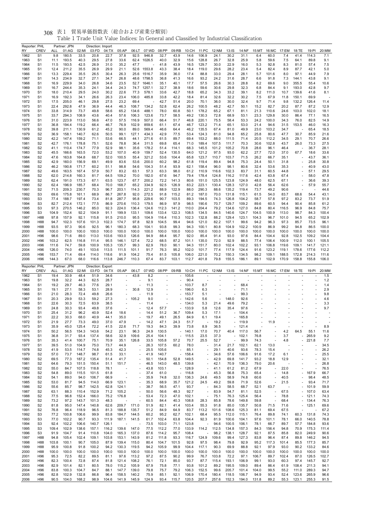| Reporter: PHL<br>RY | <b>CREV</b>                      | ALL            | Partner: JPN<br>01:AG | 02:MI          | Direction: Import<br>03:FD | 04:TX           | 05:AP                    | 06:LT                                                | 07:WD            | 08:PP                    | 09:RB                    |                | 10:CH 11:PC              | 12:NM          | $13:$ IS                 | 14:NF          | 15:MT                   | 16:MC                    | 17:EM          | 18:TE                                                | 19:PI          | 20:MM          |
|---------------------|----------------------------------|----------------|-----------------------|----------------|----------------------------|-----------------|--------------------------|------------------------------------------------------|------------------|--------------------------|--------------------------|----------------|--------------------------|----------------|--------------------------|----------------|-------------------------|--------------------------|----------------|------------------------------------------------------|----------------|----------------|
| 1962                | S <sub>1</sub>                   | 9.8            | 180.5                 | 33.5           | 20.8                       | 22.7            | 37.8                     | 92.5                                                 | 946.8            | 32.7                     | 43.9                     | 14.6           | 106.9                    | 24.1           | 30.2                     | 31.1           | 6.4                     | 60.0                     | 7.4            | 41.4                                                 | 114.3          | 7.1            |
| 1963                | S <sub>1</sub>                   | 11.1           | 193.5                 | 40.3           | 29.5                       | 27.8            | 33.6                     | 62.4                                                 | 1026.5           | 40.0                     | 32.9                     | 15.6           | 128.8                    | 26.7           | 32.8                     | 25.9           | 5.8                     | 59.6                     | 7.5            | 64.1                                                 | 89.8           | 9.1            |
| 1964                | S <sub>1</sub>                   | 11.5           | 193.5                 | 42.5           | 26.9                       | 31.0            | 35.2                     | 47.7                                                 |                  | 41.8                     | 43.9                     | 16.5           | 129.7                    | 30.0           | 22.9                     | 16.0           | 5.3                     | 92.8                     | 8.3            | 81.0                                                 | 57.4           | 7.5            |
| 1965                | S <sub>1</sub>                   | 12.4           | 211.2                 | 35.5           | 26.9                       | 29.9            | 21.1                     | 52.6                                                 | 1553.8           | 43.3                     | 38.4                     | 18.4           | 119.0                    | 29.6           | 28.2                     | 23.4           | 5.4                     | 82.4                     | 8.9            | 87.7                                                 | 42.1           | 5.0            |
| 1966                | S <sub>1</sub>                   | 13.3           | 229.4                 | 35.5           | 26.5                       | 30.4            | 26.3                     | 25.6                                                 | 1516.7           | 35.9                     | 36.0                     | 17.4           | 88.8                     | 33.0           | 29.4                     | 28.1           | 5.7                     | 101.6                    | 8.0            | 97.1                                                 | 44.9           | 7.9            |
| 1967                | S <sub>1</sub>                   | 14.3           | 234.9                 | 32.7           | 27.1                       | 34.7            | 26.8                     | 48.6                                                 | 1798.5           | 36.8                     | 41.3                     | 16.6           | 93.2                     | 24.2           | 31.6                     | 28.7           | 6.6                     | 91.8                     | 7.3            | 144.1                                                | 43.8           | 9.1            |
| 1968                | S1                               | 16.9           | 229.9<br>244.4        | 34.0<br>35.3   | 26.8<br>24.1               | 34.6<br>34.4    | 23.5<br>24.3             | 52.7<br>74.7                                         | 1646.1<br>1257.1 | 35.1<br>32.7             | 40.1<br>38.9             | 17.7           | 57.5<br>59.6             | 26.6<br>30.6   | 30.3<br>29.8             | 28.8<br>32.3   | 8.2                     | 69.6                     | 9.0            | 355.5<br>193.0                                       | 55.4<br>42.8   | 10.6<br>9.7    |
| 1969<br>1970        | S1<br>S <sub>1</sub>             | 16.7<br>18.0   | 210.4                 | 29.5           | 24.0                       | 30.2            | 22.6                     | 77.3                                                 | 578.1            | 33.6                     | 42.7                     | 18.6<br>18.8   | 65.2                     | 34.3           | 33.2                     | 39.1           | 6.8<br>8.2              | 84.4<br>111.0            | 9.1<br>10.7    | 139.6                                                | 41.6           | 8.1            |
| 1971                | S1                               | 16.9           | 192.3                 | 34.1           | 26.6                       | 26.3            | 23.4                     | 106.0                                                | 485.8            | 33.8                     | 42.2                     | 18.4           | 81.4                     | 32.6           | 32.2                     | 30.2           | 7.5                     | 67.9                     | 11.8           | 150.1                                                | 69.9           |                |
| 1972                | S1                               | 17.5           | 205.0                 | 46.1           | 29.8                       | 27.5            | 23.2                     | 69.4                                                 |                  | 42.7                     | 51.4                     | 20.0           | 70.1                     | 36.0           | 30.0                     | 32.4           | 9.7                     | 71.4                     | 9.8            | 132.2                                                | 126.4          | 11.4           |
| 1973                | S1                               | 22.4           | 292.8                 | 47.9           | 36.9                       | 44.4            | 46.3                     | 108.7                                                | 134.2            | 52.8                     | 62.4                     | 26.2           | 100.5                    | 48.2           | 42.7                     | 50.1           | 15.2                    | 82.7                     | 20.2           | 87.7                                                 | 87.2           | 12.9           |
| 1974                | S1                               | 33.8           | 314.9                 | 73.7           | 49.8                       | 58.6            | 65.2                     | 134.6                                                | 488.1            | 78.0                     | 60.8                     | 50.1           | 178.2                    | 65.2           | 67.1                     | 81.1           | 21.3                    | 110.6                    | 24.6           | 103.0                                                | 102.0          | 18.1           |
| 1975                | S1                               | 33.7           | 294.3                 | 108.9          | 43.6                       | 40.4            | 57.6                     | 106.3                                                | 123.6            | 73.7                     | 58.5                     | 49.2           | 130.3                    | 72.8           | 68.9                     | 53.1           | 23.3                    | 129.8                    | 30.0           | 86.4                                                 | 77.1           | 16.5           |
| 1976                | S1                               | 31.0           | 223.9                 | 113.0          | 56.6                       | 47.0            | 57.5                     | 116.9                                                | 507.0            | 66.4                     | 51.7                     | 46.8           | 220.1                    | 75.5           | 58.4                     | 53.3           | 24.2                    | 100.0                    | 34.3           | 76.0                                                 | 82.5           | 14.9           |
| 1977                | S1                               | 36.8           | 194.4                 | 119.2          | 66.4                       | 46.7            | 76.9                     | 102.9                                                | 859.6            | 61.1                     | 67.4                     | 46.7           | 123.2                    | 71.4           | 65.1                     | 53.0           | 21.4                    | 94.6                     | 31.5           | 153.5                                                | 46.0           | 16.3           |
| 1978                | S <sub>2</sub>                   | 39.8           | 211.1                 | 130.9          | 61.2                       | 45.2            | 90.0                     | 89.0                                                 | 569.4            | 46.6                     | 64.4                     | 46.2           | 135.5                    | 67.4           | 81.0                     | 49.9           | 23.0                    | 103.2                    | 34.7           |                                                      | 65.4           | 18.5           |
| 1979                | S <sub>2</sub><br>S <sub>2</sub> | 36.9<br>42.2   | 158.1<br>147.4        | 140.7          | 62.6                       | 50.5<br>53.6    | 99.1                     | 127.1<br>44.1                                        | 434.3<br>271.6   | 42.9                     | 77.5<br>89.7             | 53.4           | 124.3                    | 81.0<br>88.0   | 94.8                     | 65.2           | 25.8<br>20.5            | 80.6                     | 47.7           | 30.7<br>29.1                                         | 85.9<br>70.7   | 21.6<br>26.6   |
| 1980<br>1981        | S <sub>2</sub>                   | 42.7           | 176.1                 | 159.2<br>178.8 | 71.1<br>75.1               | 52.6            | 66.5<br>78.8             | 36.4                                                 | 311.5            | 61.5<br>69.8             | 65.4                     | 69.4<br>71.0   | 153.2<br>189.4           | 107.5          | 111.5<br>111.7           | 71.4<br>70.3   | 30.6                    | 112.2<br>102.8           | 34.5<br>43.7   | 26.0                                                 | 73.3           | 27.5           |
| 1982                | S2                               | 41.1           | 110.4                 | 174.7          | 77.9                       | 52.9            | 98.1                     | 35.6                                                 | 178.2            | 51.4                     | 114.1                    | 68.3           | 145.5                    | 101.2          | 105.2                    | 70.8           | 28.6                    | 96.1                     | 46.4           |                                                      | 36.7           | 28.1           |
| 1983                | S <sub>2</sub>                   | 45.5           | 166.6                 | 163.5          | 72.0                       | 53.2            | 107.0                    | 40.9                                                 | 159.7            | 52.4                     | 130.5                    | 64.0           | 121.2                    | 97.5           | 93.0                     | 62.2           | 27.7                    | 72.0                     | 37.0           | 67.7                                                 | 18.6           | 33.6           |
| 1984                | S <sub>2</sub>                   | 47.6           | 163.8                 | 164.8          | 68.7                       | 52.0            | 100.5                    | 55.4                                                 | 321.2            | 53.6                     | 104.4                    | 65.8           | 123.7                    | 110.7          | 103.7                    | 71.5           | 26.2                    | 66.7                     | 35.1           |                                                      | 43.7           | 36.1           |
| 1985                | S <sub>2</sub>                   | 42.9           | 160.0                 | 156.9          | 69.1                       | 49.9            | 83.6                     | 53.6                                                 | 200.0            | 60.2                     | 98.2                     | 61.8           | 119.4                    | 89.4           | 94.8                     | 75.3           | 24.4                    | 50.1                     | 31.8           |                                                      | 25.8           | 30.8           |
| 1986                | S2                               | 46.2           | 190.8                 | 171.7          | 60.2                       | 51.1            | 98.8                     | 54.6                                                 | 104.3            | 51.4                     | 93.9                     | 62.1           | 158.4                    | 96.0           | 98.1                     | 80.6           | 32.4                    | 53.6                     | 35.3           |                                                      | 40.9           | 43.0           |
| 1987                | S <sub>2</sub>                   | 49.6           | 163.5                 | 167.4          | 57.9                       | 50.7            | 83.2                     | 63.1                                                 | 57.3             | 63.3                     | 98.0                     | 61.2           | 110.9                    | 116.6          | 102.3                    | 83.7           | 31.1                    | 60.5                     | 44.8           |                                                      | 57.1           | 29.5           |
| 1988                | S <sub>2</sub>                   | 62.0           | 214.8                 | 160.3          | 81.7                       | 64.5            | 109.2                    | 70.0                                                 | 182.0            | 67.6                     | 94.7                     | 79.4           | 178.4                    | 124.8          | 116.2                    | 117.6          | 42.4                    | 63.8                     | 67.4           |                                                      | 58.0           | 47.8           |
| 1989                | S <sub>2</sub>                   | 62.4           | 191.0                 | 173.3          | 67.1                       | 63.5            | 123.7                    | 67.7                                                 | 200.2            | 72.2                     | 141.3                    | 80.6           | 151.0                    | 125.5          | 123.8                    | 124.9          | 48.0                    | 62.5                     | 67.1           |                                                      | 36.6           | 39.3           |
| 1990                | S2                               | 62.4           | 196.9                 | 185.7          | 68.4                       | 70.0            | 168.7                    | 65.2                                                 | 334.9            | 92.5                     | 126.9                    | 83.2           | 223.1                    | 130.4          | 128.3                    | 127.0          | 42.8                    | 56.4                     | 62.6           |                                                      | 57.9           | 55.7           |
| 1991                | S <sub>2</sub>                   | 71.5           | 209.3                 | 230.7          | 70.3<br>68.9               | 96.7            | 203.1<br>267.8           | 114.3<br>92.0                                        | 221.2<br>272.5   | 88.9                     | 122.9                    | 88.0           | 290.3                    | 88.6<br>70.0   | 135.2                    | 119.4          | 73.7                    | 49.2                     | 90.6           |                                                      |                | 44.6<br>43.1   |
| 1992<br>1993        | S3<br>S3                         | 69.6<br>77.4   | 175.8<br>188.7        | 161.1<br>197.4 | 73.4                       | 86.7<br>81.8    | 287.7                    | 95.8                                                 | 229.6            | 91.8<br>90.7             | 115.2<br>103.5           | 81.2<br>89.3   | 187.0<br>194.5           | 74.3           | 131.8<br>126.8           | 115.1<br>104.2 | 61.5<br>58.7            | 54.0<br>57.8             | 83.7<br>97.2   | 68.6<br>83.2                                         | 54.4<br>73.7   | 51.9           |
| 1994                | S3                               | 82.7           | 212.4                 | 172.1          | 77.5                       | 86.9            | 270.6                    | 110.3                                                | 179.5            | 86.9                     | 97.9                     | 98.5           | 190.6                    | 70.7           | 129.7                    | 109.2          | 89.6                    | 60.5                     | 94.4           | 90.4                                                 | 85.8           | 61.2           |
| 1995                | S3                               | 97.3           | 270.5                 | 146.2          | 85.0                       | 92.3            | 224.0                    | 136.4                                                | 124.6            | 112.3                    | 141.2                    | 110.0          | 204.4                    | 79.2           | 134.6                    | 127.0          | 84.8                    | 80.4                     | 116.5          | 96.9                                                 | 84.8           | 75.7           |
| 1996                | S3                               | 104.9          | 152.4                 | 92.2           | 104.9                      | 91.1            | 199.9                    | 133.1                                                | 109.6            | 133.4                    | 122.3                    | 108.5          | 134.5                    | 84.5           | 140.6                    | 124.7          | 104.5                   | 100.9                    | 113.0          | 98.7                                                 | 84.3           | 100.4          |
| 1997                | H88                              | 97.8           | 157.9                 | 92.1           | 115.8                      | 91.5            | 210.0                    | 95.5                                                 | 104.9            | 116.4                    | 110.3                    | 102.3          | 132.8                    | 88.2           | 129.4                    | 123.1          | 104.3                   | 96.7                     | 101.0          | 94.5                                                 | 65.2           | 102.9          |
| 1998                | H88                              | 94.7           | 102.3                 | 107.6          | 101.3                      | 102.3           | 174.7                    | 97.8                                                 | 92.9             | 104.5                    | 99.4                     | 94.6           | 121.0                    | 82.2           | 107.1                    | 99.6           | 94.2                    | 96.3                     | 97.3           | 85.7                                                 | 73.5           | 96.1           |
| 1999                | H88                              | 93.5           | 97.3                  | 90.6           | 92.5                       | 96.1            | 180.3                    | 68.3                                                 | 104.1            | 93.8                     | 99.3                     | 94.3           | 100.1                    | 80.8           | 104.9                    | 102.2          | 100.9                   | 86.9                     | 99.2           | 94.8                                                 | 86.5           | 100.0          |
| 2000                | H88                              | 100.0          | 100.0                 | 100.0          | 100.0                      | 100.0           | 100.0                    | 100.0                                                | 100.0            | 100.0                    | 100.0                    | 100.0          | 100.0                    | 100.0          | 100.0                    | 100.0          | 100.0                   | 100.0                    | 100.0          | 100.0                                                | 100.0          | 100.0          |
| 2001                | H <sub>96</sub>                  | 98.6           | 71.6                  | 89.0           | 113.0                      | 103.6           | 193.0                    | 126.6                                                | 94.9             | 88.4                     | 95.7                     | 92.0           | 85.4                     | 91.4           | 93.0                     | 97.6           | 84.4                    | 104.4                    | 92.8           | 102.5                                                | 109.2          | 104.4          |
| 2002<br>2003        | H96<br>H <sub>96</sub>           | 103.2<br>111.6 | 62.5<br>74.7          | 116.8<br>59.8  | 111.4<br>100.9             | 95.5<br>105.3   | 146.1<br>135.7           | 127.4<br>99.3                                        | 72.2<br>62.9     | 68.5<br>78.0             | 87.2<br>90.1             | 101.1<br>94.3  | 135.0<br>151.7           | 72.0<br>80.0   | 92.9<br>102.4            | 88.5<br>102.2  | 77.4<br>93.1            | 106.4<br>106.8           | 100.9<br>119.6 | 112.0<br>109.1                                       | 100.1<br>141.7 | 105.5<br>121.1 |
| 2004                | H96                              | 126.0          | 74.0                  | 49.1           | 103.6                      | 113.5           | 111.5                    | 101.1                                                | 91.7             | 76.3                     | 95.2                     | 102.0          | 101.7                    | 77.4           | 117.9                    | 124.4          | 91.6                    | 123.2                    | 119.1          | 178.6                                                | 177.6          | 112.2          |
| 2005                | H <sub>96</sub>                  | 153.7          | 71.4                  | 69.4           | 114.0                      | 118.6           | 91.9                     | 104.2                                                | 75.4             | 81.5                     | 105.8                    | 106.0          | 221.0                    | 70.2           | 150.3                    | 134.5          | 98.2                    | 109.1                    | 188.5          | 172.8                                                | 214.3          | 111.6          |
| 2006                | H <sub>96</sub>                  | 144.3          | 67.0                  | 68.0           | 116.6                      | 113.8           | 246.7                    | 110.3                                                | 67.4             | 83.7                     | 103.1                    | 112.7          | 401.8                    | 79.8           | 155.5                    | 186.1          | 89.1                    | 102.9                    | 170.9          | 158.8                                                | 155.8          | 106.0          |
|                     |                                  |                |                       |                |                            |                 |                          |                                                      |                  |                          |                          |                |                          |                |                          |                |                         |                          |                |                                                      |                |                |
|                     |                                  |                |                       |                |                            |                 |                          |                                                      |                  |                          |                          |                |                          |                |                          |                |                         |                          |                |                                                      |                |                |
| Reporter: PHL<br>RY | <b>CREV</b>                      | ALL            | Partner: JPN<br>01:AG | 02:MI          | Direction:<br>03:FD        | Export<br>04:TX | 05:AP                    | 06:LT                                                | 07:WD            | 08:PP                    |                          | 09:RB 10:CH    | 11:PC                    | 12:NM          | 13:IS                    | 14:NF          | 15:MT 16:MC 17:EM 18:TE |                          |                |                                                      | 19:PI          | 20:MM          |
| 1962                | S <sub>1</sub>                   | 19.4           | 30.9                  | 48.4           | 51.9                       | 34.6            |                          | 43.8                                                 | 8.2              |                          | ä,                       | 105.6          |                          |                |                          |                |                         |                          |                |                                                      |                | 1.5            |
| 1963                | S <sub>1</sub>                   | 19.8           | 32.2                  | 44.3           | 62.5                       | 28.7            |                          |                                                      | 9.1              | ä,                       |                          | 90.4           |                          |                |                          |                |                         |                          |                |                                                      |                | 1.2            |
| 1964                | S <sub>1</sub>                   | 19.2           | 29.7                  | 46.3           | 77.6                       | 29.1            | $\overline{\phantom{a}}$ |                                                      | 11.3             | ÷,                       |                          | 103.7          | 8.7                      | ä,             |                          | 68.4           |                         |                          |                |                                                      |                | 1.4            |
| 1965                | S1                               | 19.1           | 27.1                  | 58.3           | 53.1                       | 28.9            |                          | 30.8                                                 | 12.9             |                          |                          | 196.0          | 6.3                      |                |                          | 71.1           |                         |                          |                |                                                      |                | 2.9            |
| 1966                | S <sub>1</sub>                   | 21.0           | 28.3                  | 72.4           | 49.8                       | 26.6            | $\overline{\phantom{a}}$ |                                                      | 11.9             | $\overline{\phantom{a}}$ |                          | $-153.7$       | 5.1                      |                |                          | 99.3           |                         | $\overline{\phantom{a}}$ |                |                                                      |                | 9.8            |
| 1967                | S1                               | 20.3           | 29.9                  | 53.3           | 59.2                       | 27.3            |                          | $-105.2$                                             | 9.0              | $\overline{\phantom{a}}$ |                          | $-142.6$       | 5.6                      |                | 148.0                    | 92.6           |                         | ÷,                       |                |                                                      |                | 4.6            |
| 1968                | S <sub>1</sub>                   | 22.6           | 30.3                  | 72.5           | 63.9                       | 38.5            |                          |                                                      | 11.4             |                          |                          | 134.0          | 5.3                      | 21.4           | 49.6                     | 79.2           |                         |                          |                |                                                      |                | 3.3            |
| 1969                | S1                               | 24.8           | 30.3                  | 93.4           | 49.8                       | 37.6            |                          |                                                      | 12.4             | 57.7                     |                          | 133.9          | 5.8                      | 12.6           | 35.4                     | 97.6           |                         |                          |                |                                                      |                | 9.7            |
| 1970<br>1971        | S1<br>S1                         | 25.4<br>22.2   | 31.2<br>30.3          | 96.2<br>68.0   | 40.9<br>40.9               | 52.4<br>44.1    | 18.6<br>35.0             | $\overline{\phantom{a}}$                             | 14.4<br>19.7     | 51.2<br>49.1             | 36.7<br>26.5             | 109.4<br>84.9  | 5.3<br>6.1               | 17.1<br>19.4   |                          | 104.4          |                         |                          |                |                                                      |                |                |
| 1972                | S1                               | 21.9           | 27.7                  | 73.3           | 49.0                       | 37.0            | 47.9                     |                                                      | 14.2             | 47.1                     | 24.3                     | 51.7           |                          | 19.2           |                          | 165.8<br>119.9 |                         | 11.9                     |                |                                                      |                |                |
| 1973                | S1                               | 35.9           | 45.0                  | 125.4          | 72.2                       | 41.5            | 22.6                     | 71.7                                                 | 19.3             | 84.3                     | 39.9                     | 73.8           | 8.9                      | 36.5           | $\overline{\phantom{a}}$ | 121.4          |                         |                          |                |                                                      |                | 8.9            |
| 1974                | S <sub>1</sub>                   | 50.2           | 56.5                  | 154.3          | 143.6                      | 54.2            | 23.1                     | 96.3                                                 | 24.9             | 130.5                    | $\overline{\phantom{a}}$ | 140.1          | 17.0                     | 70.7           | 40.4                     | 117.0          | 56.7                    |                          | 4.2            | 64.5                                                 | 55.1           | 11.6           |
| 1975                | S <sub>1</sub>                   | 36.8           | 31.7                  | 93.4           | 137.4                      | 58.6            | 32.9                     | 109.6                                                | 25.4             | 104.1                    | $\overline{\phantom{a}}$ | 115.5          | 23.5                     | 37.3           | $\overline{a}$           | 102.1          | 76.8                    |                          | 3.7            |                                                      | 265.9          | 9.2            |
| 1976                | S <sub>1</sub>                   | 35.3           | 41.4                  | 100.7          | 75.1                       | 70.9            | 35.1                     | 126.8                                                | 33.5             | 105.8                    | 57.2                     | 70.7           | 25.5                     | 52.7           | $\overline{\phantom{a}}$ | 99.9           | 74.3                    | ÷,                       | 4.8            | $\overline{\phantom{m}}$                             | 221.8          | 7.7            |
| 1977                | S <sub>1</sub>                   | 39.5           | 51.0                  | 104.9          | 75.0                       | 73.7            | 44.9                     |                                                      | 26.3             | 107.5                    | 60.2                     | 78.0           |                          | 31.4           | 21.7                     | 102.1          | 62.1                    | 13.0                     |                |                                                      |                | 34.5           |
| 1978                | S <sub>2</sub>                   | 41.9           | 53.5                  | 114.7          | 74.8                       | 45.3            | 42.3                     | $\overline{\phantom{a}}$                             | 25.5             | 105.6                    | $\overline{\phantom{a}}$ | 85.1           |                          | 29.1           | 40.6                     | 93.6           | 78.3                    | 15.4                     |                |                                                      |                | 26.2           |
| 1979                | S <sub>2</sub>                   | 57.0           | 73.7                  | 148.7          | 98.7                       | 61.5<br>51.4    | 33.1<br>41.7             | $\overline{\phantom{a}}$<br>$\overline{\phantom{a}}$ | 41.9             | 140.7                    |                          | $-158.4$       |                          | 34.6           | 57.6                     | 106.6          | 91.6                    | 17.2                     | 6.1<br>12.9    |                                                      |                | 25.5           |
| 1980<br>1981        | S2<br>S <sub>2</sub>             | 69.5<br>64.6   | 77.3<br>79.3          | 187.2<br>151.5 | 135.4<br>150.4             | 51.1            | 151.7                    | $\overline{\phantom{a}}$                             | 50.1<br>46.5     | 154.8<br>143.0           | 52.8<br>48.5             | 149.5<br>139.8 |                          | 42.9<br>42.1   | 69.8<br>70.9             | 141.7<br>136.3 | 93.2<br>79.0            | 18.8<br>20.6             |                |                                                      |                | 32.1<br>26.8   |
| 1982                | S2                               | 55.0           | 84.7                  | 107.5          | 118.8                      | 78.1            | ×,                       | $\overline{\phantom{a}}$                             | 43.8             | 103.1                    | $\sim$                   | 128.9          | $\overline{\phantom{a}}$ | 41.1           | 61.2                     | 81.2           | 67.9                    | ÷,                       | 22.0           | ä,                                                   |                | 76.5           |
| 1983                | S <sub>2</sub>                   | 54.8           | 89.0                  | 115.5          | 101.5                      | 61.8            |                          | $\overline{\phantom{a}}$                             | 37.4             | 61.0                     | $\overline{\phantom{a}}$ | 116.8          |                          | 45.3           | 56.8                     | 75.3           | 65.4                    | ÷,                       | 14.8           | $\overline{\phantom{a}}$                             | 167.9          | 66.7           |
| 1984                | S2                               | 54.1           | 89.0                  | 94.0           | 106.7                      | 66.9            |                          | $\overline{\phantom{a}}$                             | 35.9             | 74.8                     | 32.0                     | 136.3          | 24.6                     | 49.5           | 58.9                     | 74.8           | 60.6                    | $\overline{\phantom{a}}$ | 40.5           |                                                      | 98.4           | 48.5           |
| 1985                | S <sub>2</sub>                   | 53.0           | 81.7                  | 94.5           | 114.0                      | 66.9            | 123.1                    | ×,                                                   | 35.3             | 68.9                     | 35.7                     | 121.2          | 24.5                     | 49.2           | 59.8                     | 71.9           | 52.6                    |                          | 21.5           |                                                      | 93.4           | 71.7           |
| 1986                | S <sub>2</sub>                   | 55.6           | 85.7                  | 98.7           | 142.5                      | 62.8            | 124.1                    | $\overline{\phantom{a}}$                             | 38.7             | 56.5                     | 47.1                     | 93.7           | $\overline{\phantom{a}}$ | 84.3           | 58.5                     | 68.7           | 52.1                    | 63.7                     |                |                                                      | 101.9          | 59.9           |
| 1987                | S <sub>2</sub>                   | 63.1           | 88.3                  | 110.4          | 152.9                      | 71.2            | 105.2                    |                                                      | 50.0             | 56.6                     | 48.3                     | 92.7           |                          | 83.9           | 54.7                     | 81.1           | 52.5                    | $\overline{\phantom{a}}$ | 67.5           |                                                      | 107.0          | 63.4           |
| 1988                | S <sub>2</sub>                   | 77.5           | 96.8                  | 152.4          | 166.0                      | 75.2            | 176.8                    | ×,                                                   | 53.4             | 72.3                     | 47.0                     | 102.1          | $\overline{\phantom{a}}$ | 75.1           | 76.3                     | 125.4          | 56.4                    | L,                       | 78.8           |                                                      | 121.1          | 74.3           |
| 1989                | S2                               | 73.2           | 97.2                  | 143.7          | 101.3                      | 48.3            |                          |                                                      | 60.5             | 84.4                     | 40.3                     | 108.8          | 28.3                     | 85.8           | 78.6                     | 149.8          | 59.8                    |                          | 68.4           | $\overline{\phantom{m}}$<br>$\overline{\phantom{a}}$ | 134.4          | 76.3           |
| 1990<br>1991        | S <sub>2</sub><br>S <sub>2</sub> | 81.8<br>76.8   | 95.0<br>96.4          | 147.4<br>118.9 | 140.8<br>96.5              | 62.6<br>81.3    | 209.7<br>188.8           | 171.0<br>135.7                                       | 51.9<br>51.2     | 82.1<br>84.9             | 41.4<br>64.9             | 103.4<br>83.7  | 55.3<br>113.2            | 91.8<br>101.6  | 85.0<br>108.6            | 135.7<br>125.3 | 50.8<br>81.1            | 71.5<br>69.4             | 71.6<br>67.5   |                                                      | 125.1          | 69.6<br>67.2   |
| 1992                | S <sub>3</sub>                   | 77.2           | 100.8                 | 106.6          | 99.9                       | 83.8            | 184.7                    | 144.5                                                | 60.2             | 95.2                     | 62.7                     | 102.1          | 68.4                     | 95.5           | 112.0                    | 115.1          | 76.4                    | 89.8                     | 74.1           | 60.3                                                 | 131.8          | 74.3           |
| 1993                | S3                               | 77.0           | 102.2                 | 90.7           | 93.3                       | 111.9           | 187.1                    | 141.5                                                | 61.7             | 102.4                    | 63.8                     | 104.4          | 92.3                     | 81.9           | 100.6                    | 104.1          | 97.6                    | 101.1                    | 78.1           | 66.0                                                 | 140.5          | 78.8           |
| 1994                | S3                               | 92.4           | 102.2                 | 106.6          | 140.7                      | 126.1           | ÷,                       |                                                      | 73.5             | 103.0                    | 71.1                     | 123.8          | ÷,                       | 94.6           | 100.5                    | 106.1          | 78.1                    | 66.7                     | 89.7           | 57.7                                                 | 184.8          | 93.6           |
| 1995                | S3                               | 109.4          | 102.9                 | 138.6          | 157.1                      | 116.2           | 139.6                    | 147.0                                                | 77.5             | 112.2                    | 77.0                     | 133.9          | 114.2                    | 112.5          | 134.8                    | 157.3          | 84.3                    | 156.4                    | 94.8           | 70.9                                                 | 175.3          | 111.4          |
| 1996                | S3                               | 91.9           | 104.7                 | 91.4           | 110.8                      | 104.0           | 165.3                    | 137.0                                                | 87.6             | 114.2                    | 95.7                     | 108.4          | $\overline{\phantom{a}}$ | 98.2           | 138.1                    | 128.7          | 92.1                    | 87.5                     | 85.8           | 82.0                                                 | 249.9          | 90.6           |
| 1997                | H88                              | 94.8           | 105.4                 | 102.4          | 109.1                      | 103.8           | 153.1                    | 143.9                                                | 81.2             | 111.8                    | 93.3                     | 116.7          | 124.9                    | 109.6          | 99.4                     | 127.3          | 83.8                    | 96.4                     | 87.4           | 89.8                                                 | 146.2          | 94.5           |
| 1998                | H88                              | 103.8          | 100.1                 | 90.7           | 105.0                      | 87.9            | 139.4                    | 115.0                                                | 80.4             | 104.7                    | 101.5                    | 92.8           | 97.5                     | 98.4           | 79.8                     | 92.9           | 95.2                    | 117.3                    | 101.4          | 85.5                                                 | 177.3          | 85.7           |
| 1999                | H88                              | 95.9           | 100.8                 | 91.8           | 100.2                      | 94.2            | 130.3                    | 119.5                                                | 94.2             | 105.9                    | 99.9                     | 104.4          | 117.1                    | 90.3           | 69.9                     | 88.8           | 92.1                    | 97.9                     | 93.0           | 90.2                                                 | 133.2          | 84.6           |
| 2000<br>2001        | H88<br>H <sub>96</sub>           | 100.0<br>95.3  | 100.0<br>72.5         | 100.0<br>82.2  | 100.0<br>89.5              | 100.0<br>81.1   | 100.0<br>97.6            | 100.0<br>113.2                                       | 100.0<br>97.2    | 100.0<br>87.5            | 100.0<br>90.2            | 100.0<br>99.9  | 100.0<br>76.7            | 100.0<br>103.8 | 100.0<br>72.2            | 100.0<br>97.1  | 100.0<br>106.7          | 100.0<br>89.7            | 100.0<br>102.4 | 100.0<br>87.0                                        | 100.0<br>126.5 | 100.0<br>102.7 |
| 2002                | H96                              | 82.3           | 100.4                 | 72.8           | 87.4                       | 81.8            | 121.4                    | 108.2                                                | 76.1             | 72.1                     | 85.0                     | 93.7           | 87.7                     | 115.4          | 193.1                    | 106.9          | 99.1                    | 93.0                     | 60.3           | 97.4                                                 | 145.7          | 92.7           |
| 2003                | H <sub>96</sub>                  | 82.9           | 101.4                 | 82.1           | 80.5                       | 78.0            | 115.2                    | 105.9                                                | 67.9             | 75.8                     | 77.1                     | 93.8           | 101.2                    | 89.2           | 195.5                    | 109.0          | 89.4                    | 86.4                     | 61.9           | 108.4                                                | 211.3          | 94.1           |
| 2004                | H <sub>96</sub>                  | 83.8           | 100.3                 | 104.7          | 84.7                       | 88.1            | 147.7                    | 139.0                                                | 79.8             | 75.7                     | 79.2                     | 106.3          | 152.5                    | 99.6           | 205.7                    | 101.4          | 104.0                   | 99.5                     | 55.2           | 111.0                                                | 289.3          | 94.7           |
| 2005<br>2006        | H96<br>H96                       | 82.8<br>90.5   | 102.9<br>104.0        | 132.8<br>168.2 | 86.8<br>98.9               | 96.4<br>104.6   | 158.5<br>141.9           | 140.2<br>145.9                                       | 75.9<br>124.9    | 85.1<br>93.4             | 92.1<br>115.7            | 106.9<br>120.5 | 170.4<br>207.7           | 180.4<br>257.6 | 118.5<br>152.3           | 106.7<br>194.0 | 94.9<br>131.8           | 93.4<br>89.2             | 52.4<br>55.3   | 123.6<br>123.1                                       | 265.9<br>255.3 | 96.6<br>91.5   |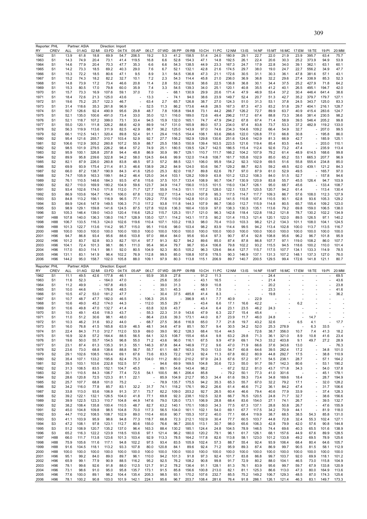|                                                                                                              | Reporter: PHL   |       | Partner: ASIA |                          | Direction: Import |       |        |       |                          |       |        |       |       |                          |                |       |       |       |       |                          |          |                |
|--------------------------------------------------------------------------------------------------------------|-----------------|-------|---------------|--------------------------|-------------------|-------|--------|-------|--------------------------|-------|--------|-------|-------|--------------------------|----------------|-------|-------|-------|-------|--------------------------|----------|----------------|
| RY                                                                                                           | <b>CREV</b>     | ALL   | 01:AG         | 02:MI                    | 03:FD             | 04:TX | 05:AP  | 06:LT | 07:WD                    | 08:PP | 09:RB  | 10:CH | 11:PC | 12:NM                    | 13:IS          | 14:NF | 15:MT | 16:MC | 17:EM | 18:TE                    | 19:PI    | 20:MM          |
| 1962                                                                                                         | S <sub>1</sub>  | 13.9  | 61.8          | 18.8                     | 69.9              | 54.7  | 206.5  | 19.2  | 5.3                      | 41.2  | 158.5  | 51.4  | 24.0  | 180.9                    | 29.1           | 22.7  | 22.0  | 21.9  | 23.9  | 395.7                    | 63.4     | 75.7           |
| 1963                                                                                                         | S1              | 14.3  | 74.9          | 20.4                     |                   | 41.4  |        |       |                          | 52.8  |        | 47.1  | 14.8  |                          | 26.1           | 22.4  | 20.6  | 30.3  | 25.2  | 373.9                    | 94.9     | 53.9           |
|                                                                                                              |                 |       |               |                          | 73.1              |       | 119.5  | 16.8  | 6.6                      |       | 154.3  |       |       | 192.5                    |                |       |       |       |       |                          |          |                |
| 1964                                                                                                         | S1              | 14.6  | 77.9          | 20.4                     | 70.3              | 47.7  | 35.3   | 6.6   | 6.6                      | 54.3  | 138.5  | 44.9  | 23.3  | 167.3                    | 24.7           | 17.9  | 22.8  | 34.0  | 39.1  | 362.1                    | 63.1     | 60.1           |
| 1965                                                                                                         | S1              | 14.2  | 73.3          | 18.5                     | 69.2              | 40.3  | 29.0   | 7.6   | 6.7                      | 52.1  | 132.1  | 42.8  | 21.6  | 174.5                    | 29.7           | 38.0  | 19.0  | 24.7  | 22.7  | 556.2                    | 34.9     | 47.7           |
| 1966                                                                                                         | S1              | 15.3  | 72.2          | 18.5                     | 80.6              | 47.1  | 9.5    | 8.9   | 3.1                      | 54.5  | 136.8  | 47.3  | 21.1  | 172.6                    | 30.5           | 31.1  | 30.3  | 36.1  | 47.8  | 381.6                    | 57.1     | 43.1           |
|                                                                                                              |                 |       |               |                          |                   |       |        |       |                          |       |        |       |       |                          |                |       |       |       |       |                          |          |                |
| 1967                                                                                                         | S1              | 15.2  | 74.3          | 18.2                     | 82.2              | 32.7  | 10.1   | 7.2   | 2.3                      | 54.3  | 114.4  | 45.8  | 21.0  | 236.0                    | 36.9           | 36.8  | 32.2  | 29.6  | 27.4  | 338.9                    | 85.3     | 52.3           |
| 1968                                                                                                         | S1              | 14.8  | 73.9          | 17.2                     | 73.4              | 46.6  | 20.8   | 11.4  | 2.8                      | 53.2  | 102.6  | 38.6  | 22.5  | 136.8                    | 36.8           | 30.1  | 34.4  | 37.5  | 25.2  | 427.9                    | 71.8     | 64.2           |
| 1969                                                                                                         | S1              | 15.3  | 80.5          | 17.0                     | 79.8              | 60.0  | 35.9   | 7.4   | 3.3                      | 54.5  | 139.3  | 34.0  | 25.1  | 120.1                    | 40.8           | 35.5  | 41.2  | 40.1  | 26.5  | 495.1                    | 194.7    | 42.0           |
|                                                                                                              |                 |       |               |                          |                   |       |        |       | ÷,                       |       |        |       |       |                          |                |       |       |       |       |                          |          |                |
| 1970                                                                                                         | S1              | 15.7  | 73.3          | 16.9                     | 107.6             | 59.1  | 37.0   | 7.0   |                          | 68.1  | 130.9  | 29.9  | 20.6  | 171.4                    | 47.9           | 46.9  | 53.4  | 37.2  | 30.4  | 446.4                    | 641.4    | 38.6           |
| 1971                                                                                                         | S <sub>1</sub>  | 18.4  | 72.6          | 21.3                     | 125.0             | 43.6  | ÷,     | 13.3  | $\overline{\phantom{a}}$ | 74.1  | 94.0   | 38.6  | 23.9  | 149.7                    | 52.4           | 20.7  | 51.3  | 42.7  | 35.2  | 379.7                    | 179.7    | 127.1          |
| 1972                                                                                                         | S1              | 19.6  | 75.2          | 25.7                     | 122.3             | 46.7  |        | 63.4  | 2.7                      | 65.7  | 126.8  | 38.7  | 27.0  | 124.3                    | 51.0           | 31.3  | 53.1  | 37.8  | 24.5  | 343.7                    | 125.0    | 83.3           |
| 1973                                                                                                         | S1              | 31.4  | 118.6         | 35.3                     | 261.8             | 96.9  |        | 52.5  | 11.3                     | 86.2  | 173.6  | 44.8  | 28.5  | 167.3                    | 87.3           | 47.3  | 83.2  | 51.8  | 29.7  | 404.1                    | 216.1    | 128.7          |
|                                                                                                              |                 |       |               |                          |                   |       |        |       |                          |       |        |       |       |                          |                |       |       |       |       |                          |          |                |
| 1974                                                                                                         | S1              | 50.7  | 126.6         | 92.4                     | 490.9             | 95.6  | 29.8   | 48.7  | 7.8                      | 108.8 | 194.8  | 73.1  | 44.2  | 266.7                    | 126.2          | 72.7  | 89.9  | 63.7  | 40.9  | 415.4                    | 283.6    | 124.7          |
| 1975                                                                                                         | S1              | 52.1  | 135.0         | 100.6                    | 491.0             | 73.4  | 33.0   | 35.0  | 12.1                     | 116.0 | 189.0  | 72.6  | 49.4  | 296.2                    | 117.2          | 67.4  | 88.8  | 73.3  | 38.6  | 381.4                    | 230.5    | 98.2           |
| 1976                                                                                                         | S1              | 52.1  | 118.7         | 107.2                    | 399.0             | 73.1  | 33.4   | 94.5  | 15.9                     | 132.0 | 165.1  | 74.7  | 47.9  | 294.2                    | 67.8           | 67.4  | 71.4  | 58.9  | 39.5  | 546.4                    | 205.2    | 99.8           |
|                                                                                                              |                 |       |               |                          |                   |       |        |       |                          |       |        |       |       |                          |                |       |       |       |       |                          |          |                |
| 1977                                                                                                         | S1              | 55.0  | 120.1         | 111.8                    | 326.2             | 88.6  | 42.9   | 89.9  | 14.7                     | 131.0 | 165.9  | 89.0  | 57.3  | 234.0                    | 97.4           | 83.8  | 73.7  | 53.3  | 37.2  | 482.9                    | 119.2    | 133.0          |
| 1978                                                                                                         | S2              | 56.3  | 119.9         | 113.6                    | 311.9             | 82.5  | 42.9   | 88.7  | 36.2                     | 125.0 | 143.9  | 97.0  | 74.6  | 234.3                    | 104.6          | 109.2 | 66.4  | 54.9  | 32.7  |                          | 207.0    | 99.5           |
| 1979                                                                                                         | S <sub>2</sub>  | 66.1  | 112.5         | 143.1                    | 320.4             | 89.8  | 52.4   | 91.1  | 29.4                     | 116.5 | 154.4  | 108.1 | 93.6  | 266.6                    | 122.0          | 126.8 | 77.0  | 66.8  | 30.8  |                          | $-195.8$ | 86.0           |
| 1980                                                                                                         | S2              | 95.4  | 121.6         | 255.7                    | 310.7             | 103.4 | 52.9   | 92.7  | 27.7                     | 156.2 | 182.9  | 129.8 | 130.6 | 251.6                    | 124.6          | 142.9 | 81.3  | 66.9  | 42.7  |                          | $-185.9$ | 125.1          |
|                                                                                                              |                 |       |               |                          |                   |       |        |       |                          |       |        |       |       |                          |                |       |       |       |       | $\overline{\phantom{a}}$ |          |                |
| 1981                                                                                                         | S2              | 106.6 | 112.9         | 305.2                    | 260.8             | 107.2 | 55.9   | 88.7  | 25.5                     | 158.5 | 150.9  | 139.4 | 163.5 | 223.5                    | 121.6          | 119.4 | 85.4  | 83.5  | 44.5  |                          | 203.0    | 110.1          |
| 1982                                                                                                         | S2              | 98.5  | 101.9         | 279.5                    | 226.2             | 98.4  | 57.2   | 74.9  | 25.1                     | 180.5 | 139.5  | 124.7 | 142.5 | 186.5                    | 115.4          | 112.4 | 92.6  | 73.2  | 47.4  |                          | 235.9    | 113.4          |
| 1983                                                                                                         | S2              | 95.9  | 100.1         | 326.8                    | 257.8             | 94.4  | 48.8   | 86.9  | 30.9                     | 99.7  | 129.1  | 110.7 | 111.7 | 166.2                    | 104.2          | 107.9 | 79.2  | 61.4  | 48.9  | 614.5                    | 168.6    | 99.8           |
| 1984                                                                                                         | S2              | 89.9  | 95.8          | 239.6                    | 322.8             | 94.2  | 58.0   | 124.5 | 64.6                     | 99.9  | 132.0  | 114.8 | 108.7 | 161.7                    | 105.8          | 102.9 | 85.0  | 65.2  | 53.1  | 665.3                    | 207.7    | 96.9           |
|                                                                                                              |                 |       |               |                          |                   |       |        |       |                          |       |        |       |       |                          |                |       |       |       |       |                          |          |                |
| 1985                                                                                                         | S2              | 82.1  | 87.9          | 226.0                    | 260.8             | 83.8  | 48.5   | 97.3  | 57.2                     | 88.5  | 122.1  | 106.0 | 95.9  | 154.2                    | 92.3           | 102.9 | 69.5  | 51.6  | 55.8  | 555.4                    | 234.8    | 85.0           |
| 1986                                                                                                         | S2              | 69.9  | 93.9          | 175.4                    | 211.4             | 81.3  | 46.6   | 138.9 | 28.2                     | 84.9  | 124.0  | 93.6  | 56.7  | 129.2                    | 88.7           | 82.5  | 59.2  | 48.5  | 62.0  | 439.1                    | 121.2    | 84.3           |
| 1987                                                                                                         | S2              | 66.0  | 87.2          | 138.7                    | 190.9             | 84.3  | 41.6   | 125.0 | 25.3                     | 82.0  | 118.7  | 89.8  | 62.6  | 78.7                     | 97.0           | 87.9  | 61.0  | 52.9  | 49.5  |                          | $-165.7$ | 97.0           |
| 1988                                                                                                         | S2              | 74.7  | 105.9         | 163.3                    | 199.1             | 84.2  | 46.4   | 125.0 | 34.4                     | 103.1 | 128.2  | 109.9 | 63.8  | 101.2                    | 123.2          | 108.3 | 84.0  | 51.5  | 52.7  |                          | $-157.8$ | 94.6           |
|                                                                                                              |                 |       |               |                          |                   |       |        |       |                          |       |        |       |       |                          |                |       |       |       |       |                          |          |                |
| 1989                                                                                                         | S2              | 76.1  | 110.5         | 148.6                    | 184.3             | 93.5  | 47.6   | 115.6 | 37.5                     | 101.7 | 133.4  | 108.9 | 90.7  | 104.7                    | 130.9          | 120.9 | 83.8  | 55.7  | 45.5  | 126.4                    | 94.7     | 103.9          |
| 1990                                                                                                         | S2              | 82.7  | 110.0         | 169.9                    | 180.2             | 104.9 | 59.6   | 123.7 | 34.9                     | 114.7 | 156.0  | 113.5 | 101.5 | 116.0                    | 134.7          | 126.1 | 95.0  | 68.7  | 45.6  |                          | 133.4    | 108.7          |
| 1991                                                                                                         | S2              | 93.4  | 102.6         | 174.0                    | 171.8             | 112.0 | 71.7   | 127.7 | 55.9                     | 114.3 | 151.1  | 117.2 | 128.0 | 122.1                    | 133.7          | 120.5 | 120.7 | 94.2  | 61.4  | ä,                       | 113.4    | 130.4          |
| 1992                                                                                                         | S3              | 86.9  | 103.6         | 164.7                    | 154.1             | 106.0 | 67.8   | 133.2 | 102.7                    | 113.4 | 143.0  | 107.8 | 95.3  | 117.5                    | 114.7          | 117.7 | 109.3 | 86.7  | 57.6  | 108.0                    | 112.3    | 127.9          |
| 1993                                                                                                         | S3              | 84.8  | 113.2         | 156.1                    | 116.9             | 96.5  | 77.1   | 129.2 | 77.6                     | 110.9 | 142.8  | 101.0 | 93.2  | 141.5                    | 110.8          | 107.4 | 110.5 | 90.1  | 62.8  | 93.6                     | 105.3    | 129.2          |
|                                                                                                              |                 |       |               |                          |                   |       |        |       |                          |       |        |       |       |                          |                |       |       |       |       |                          |          |                |
| 1994                                                                                                         | S3              | 89.9  | 124.6         | 147.9                    | 149.5             | 106.3 | 71.0   | 117.2 | 93.8                     | 111.8 | 144.3  | 107.9 | 86.7  | 136.0                    | 112.7          | 115.9 | 114.8 | 80.5  | 65.7  | 155.4                    | 109.2    | 123.0          |
| 1995                                                                                                         | S3              | 98.9  | 129.1         | 159.8                    | 141.6             | 124.5 | 87.5   | 127.8 | 102.6                    | 136.3 | 160.4  | 133.9 | 97.0  | 138.3                    | 130.3          | 135.1 | 113.6 | 79.2  | 69.8  | 159.0                    | 106.5    | 138.0          |
| 1996                                                                                                         | S3              | 105.3 | 146.4         | 139.0                    | 143.0             | 120.4 | 116.6  | 125.2 | 115.7                    | 125.3 | 151.7  | 121.0 | 96.3  | 142.8                    | 118.4          | 122.8 | 118.2 | 121.8 | 78.7  | 130.2                    | 102.2    | 134.9          |
| 1997                                                                                                         | <b>H88</b>      | 107.8 | 140.0         | 136.3                    | 138.0             | 116.7 | 128.9  | 135.0 | 127.1                    | 114.2 | 143.1  | 117.5 | 90.2  | 131.4                    | 115.3          | 121.4 | 120.1 | 122.0 | 89.5  | 126.5                    | 97.1     | 140.2          |
|                                                                                                              |                 |       |               |                          |                   |       |        |       |                          |       |        |       |       |                          |                |       |       |       |       |                          |          |                |
| 1998                                                                                                         | H88             | 106.7 | 133.5         | 116.3                    | 124.0             | 102.6 | 119.6  | 110.4 | 107.1                    | 103.2 | 118.3  | 98.0  | 70.4  | 113.0                    | 103.3          | 98.2  | 121.2 | 134.3 | 101.1 | 108.0                    | 104.1    | 124.5          |
| 1999                                                                                                         | <b>H88</b>      | 101.3 | 122.7         | 113.6                    | 114.2             | 95.7  | 115.0  | 95.1  | 110.6                    | 98.0  | 103.4  | 98.2  | 83.9  | 114.4                    | 99.5           | 94.2  | 113.4 | 102.8 | 100.0 | 113.7                    | 113.5    | 116.7          |
| 2000                                                                                                         | H88             | 100.0 | 100.0         | 100.0                    | 100.0             | 100.0 | 100.0  | 100.0 | 100.0                    | 100.0 | 100.0  | 100.0 | 100.0 | 100.0                    | 100.0          | 100.0 | 100.0 | 100.0 | 100.0 | 100.0                    | 100.0    | 100.0          |
| 2001                                                                                                         | H96             | 94.7  | 86.8          | 93.4                     | 95.6              | 88.6  | 103.8  | 97.0  | 88.4                     | 84.0  | 95.6   | 93.4  | 97.3  | 90.7                     | 87.4           | 92.8  | 108.8 | 95.6  | 96.2  | 96.7                     | 101.8    | 95.9           |
| 2002                                                                                                         | H96             | 101.2 | 83.7          | 92.8                     | 93.3              | 82.7  | 101.4  | 97.7  | 91.3                     | 82.7  | 94.2   | 89.6  | 85.0  | 87.4                     | 87.8           | 86.8  | 107.7 | 97.1  | 119.0 | 108.2                    | 86.0     | 107.7          |
| 2003                                                                                                         | H96             | 104.1 | 72.4          | 101.3                    | 98.1              | 86.1  | 111.0  | 95.4  | 90.4                     | 79.7  | 96.7   | 93.4  | 106.8 | 79.8                     | 102.2          | 93.2  | 115.5 | 94.5  | 118.6 | 100.2                    | 110.0    | 101.4          |
|                                                                                                              |                 |       |               |                          |                   |       |        |       |                          |       |        |       |       |                          |                |       |       |       |       |                          |          |                |
| 2004                                                                                                         | H96             | 117.0 | 83.0          | 114.1                    | 98.1              | 92.0  | 80.5   | 104.9 | 92.3                     | 80.5  | 105.2  | 96.3  | 129.6 | 84.4                     | 127.7          | 115.7 | 117.5 | 107.7 | 134.1 | 133.3                    | 114.9    | 78.5           |
| 2005                                                                                                         | H96             | 131.1 | 83.1          | 141.9                    | 96.4              | 102.2 | 76.9   | 112.8 | 99.5                     | 85.0  | 108.8  | 107.6 | 178.5 | 90.3                     | 146.9          | 137.1 | 131.3 | 107.2 | 148.1 | 137.3                    | 127.0    | 76.0           |
| 2006                                                                                                         | H96             | 144.2 | 95.0          | 158.7                    | 102.0             | 105.8 | 88.0   | 109.1 | 97.9                     | 80.3  | 113.8  | 115.1 | 206.9 | 89.7                     | 140.7          | 200.5 | 129.5 | 99.4  | 172.6 | 141.8                    | 121.1    | 80.7           |
|                                                                                                              | Reporter: PHL   |       | Partner: ASIA |                          |                   |       |        |       |                          |       |        |       |       |                          |                |       |       |       |       |                          |          |                |
|                                                                                                              |                 |       |               |                          |                   |       |        |       |                          |       |        |       |       |                          |                |       |       |       |       |                          |          |                |
|                                                                                                              |                 |       |               |                          | Direction: Export |       |        |       |                          |       |        |       |       |                          |                |       |       |       |       |                          |          |                |
| RY                                                                                                           | CREV            | ALL   | 01:AG         | 02:MI                    | 03:FD             | 04:TX | 05:AP  | 06:LT | 07:WD                    | 08:PP | 09:RB  | 10:CH | 11:PC | 12:NM                    | $13:$ IS       | 14:NF | 15:MT | 16:MC | 17:EM | 18:TE                    | 19:PI    | 20:MM          |
| 1962                                                                                                         | S <sub>1</sub>  | 11.1  | 49.5          | 42.6                     | 177.8             | 46.1  |        | 93.9  | 35.9                     | 27.8  |        | 91.2  | 11.3  |                          |                |       | 24.4  |       |       |                          |          | 69.5           |
| 1963                                                                                                         | S <sub>1</sub>  | 11.6  | 52.3          |                          | 164.0             | 47.0  |        |       | 25.6                     | 35.0  | $\sim$ | 43.1  | 16.5  |                          |                |       | 21.4  |       |       |                          |          | 43.6           |
| 1964                                                                                                         | S1              | 11.2  | 49.9          | ÷.                       | 167.8             | 49.5  | ٠      | ä,    | 39.0                     | 31.3  | $\sim$ | 58.9  | 10.8  |                          |                |       | 20.2  |       |       |                          |          | 23.8           |
| 1965                                                                                                         | S <sub>1</sub>  |       |               | $\overline{\phantom{a}}$ |                   |       | ٠      | ÷,    |                          |       |        |       |       | $\overline{\phantom{a}}$ | $\blacksquare$ | Ĭ.    |       |       |       |                          |          |                |
|                                                                                                              |                 | 10.0  | 44.6          |                          | 176.6             | 48.5  |        |       | 30.1                     | 45.3  |        | 48.1  | 7.5   |                          |                |       | 23.3  |       |       |                          |          | 41.6           |
| 1966                                                                                                         | S1              | 10.5  | 47.2          | 53.0                     | 181.2             | 47.7  |        |       | 30.4                     | 37.5  | 485.8  | 41.4  | 8.3   |                          |                |       | 19.8  |       |       |                          |          | 36.2           |
|                                                                                                              | S1              | 10.7  | 48.7          | 47.7                     | 182.0             | 46.5  | $\sim$ | 106.3 | 25.5                     |       | 396.9  | 45.1  | 7.7   | 40.9                     |                | 22.9  |       |       |       |                          |          |                |
|                                                                                                              | S1              | 10.6  | 49.0          | 45.2                     | 174.0             | 44.3  |        | 112.0 | 35.5                     | 29.7  |        | 43.4  | 6.6   | 17.1                     | 16.6           | 42.2  |       |       | 6.2   |                          |          |                |
| 1967<br>1968<br>1969                                                                                         | S1              | 10.6  | 49.8          | 47.0                     | 132.7             | 41.4  |        | 63.8  | 32.6                     | 43.7  |        | 43.4  | 6.4   | 23.1                     | 23.5           | 46.2  | 24.3  |       |       |                          |          |                |
|                                                                                                              |                 |       |               |                          |                   |       |        |       |                          |       |        |       |       |                          |                |       |       |       |       |                          |          |                |
|                                                                                                              | S1              | 10.3  | 49.1          | 43.6                     | 118.3             | 43.7  |        | 55.3  | 22.3                     | 31.9  | 143.6  | 47.9  | 6.3   | 22.7                     | 15.4           | 45.4  |       |       |       |                          |          |                |
|                                                                                                              | S1              | 11.U  | 51.2          | 30.6                     | 98.1              | 48.U  |        | 86.4  | 23.6                     | 39.3  | 173.1  | 44.U  | ୪.    | 23.9                     | 11.7           | 46.0  | 24.8  |       |       | ۱4. ا                    |          |                |
|                                                                                                              | S1              | 10.3  | 46.2          | 31.6                     | 93.2              | 44.0  |        | 68.7  | 27.5                     | 36.6  | 116.9  | 65.0  | 7.7   | 21.8                     | 19.7           | 43.2  | 32.6  |       | 6.5   | 4.1                      |          | 17.7           |
|                                                                                                              | S <sub>1</sub>  | 16.0  | 76.8          | 41.5                     | 165.8             | 63.9  | 46.5   | 48.1  | 34.6                     | 47.9  | 85.1   | 50.7  | 9.4   | 30.5                     | 34.2           | 52.0  | 25.3  | 278.9 |       | 6.3                      | 33.5     |                |
|                                                                                                              |                 |       |               |                          |                   |       |        |       |                          |       |        |       |       |                          |                |       |       |       |       |                          |          |                |
|                                                                                                              | S <sub>1</sub>  | 22.4  | 84.3          | 71.0                     | 312.7             | 112.0 | 53.9   | 69.0  | 39.0                     | 90.2  | 128.3  | 68.4  | 10.4  | 44.5                     |                | 72.6  | 38.7  | 356.0 | 10.7  | 7.4                      | 41.3     | 18.2           |
|                                                                                                              | S1              | 16.9  | 32.8          | 57.2                     | 164.4             | 88.5  | 56.5   | 64.1  | 32.5                     | 108.7 | 155.4  | 65.4  | 9.8   | 63.2                     | 29.8           | 71.3  | 36.1  | 321.0 | 8.9   | 10.8                     | 41.6     | 23.4           |
|                                                                                                              | S1              | 19.6  | 50.0          | 55.7                     | 154.5             | 96.8  | 55.0   | 71.2  | 43.6                     | 96.0  | 116.1  | 67.5  | 9.9   | 47.9                     | 69.1           | 74.3  | 33.2  | 403.8 | 9.1   | 49.7                     | 27.2     | 28.9           |
|                                                                                                              | S <sub>1</sub>  | 23.1  | 87.4          | 61.3                     | 135.3             | 91.3  | 55.1   | 146.3 | 87.8                     | 84.4  | 146.9  | 77.2  | 9.6   | 47.0                     | 71.9           | 66.6  | 37.6  | 343.6 | 13.0  | $\blacksquare$           |          | 76.3           |
|                                                                                                              | S2              | 23.6  | 73.0          | 68.8                     | 138.6             | 88.8  | 56.7   | 55.7  | 61.1                     | 68.7  | 163.0  | 76.0  | 13.0  | 54.7                     | 60.8           | 64.6  | 39.5  | 282.4 | 17.2  |                          | 34.8     | 101.0          |
|                                                                                                              | S <sub>2</sub>  | 29.1  | 102.6         | 108.5                    | 163.4             | 69.1  | 67.6   | 73.6  | 83.5                     | 72.2  | 197.3  | 92.4  | 11.3  | 67.8                     | 60.2           | 80.9  | 44.8  | 292.7 | 17.5  | ä,                       | 38.8     | 110.9          |
|                                                                                                              | S2              | 35.4  | 107.1         | 133.2                    | 195.6             | 82.4  | 75.3   | 104.0 | 111.2                    | 80.0  | 210.2  | 97.9  | 24.3  | 67.6                     | 57.2           | 97.1  | 54.5  | 238.1 | 28.7  | ä,                       | 57.1     | 164.2          |
|                                                                                                              |                 |       |               |                          |                   |       |        | ä,    |                          |       |        |       |       |                          |                |       |       |       |       | L,                       |          |                |
|                                                                                                              | S2              | 39.5  | 103.1         | 103.6                    | 232.8             | 102.5 | 57.7   |       | 94.6                     | 69.9  | 169.5  | 104.8 | 30.6  | 72.3                     | 55.0           | 91.7  | 59.7  | 142.3 | 80.6  |                          | 53.1     | 190.2          |
|                                                                                                              | S2              | 31.3  | 108.5         | 83.5                     | 152.1             | 104.7 | 45.5   | ä,    | 89.1                     | 54.6  | 143.4  | 98.2  | ٠     | 67.2                     | 52.2           | 81.0  | 43.7  | 171.8 | 34.3  |                          | 54.0     | 137.8          |
| 1970<br>1971<br>1972<br>1973<br>1974<br>1975<br>1976<br>1977<br>1978<br>1979<br>1980<br>1981<br>1982<br>1983 | S2              | 30.1  | 110.5         | 84.3                     | 106.7             | 77.4  | 72.5   | 54.1  | 100.5                    | 86.1  | 206.4  | 85.8  | J.    | 79.2                     | 50.1           | 77.3  | 41.0  | 301.6 |       |                          | 45.1     | 178.1          |
| 1984                                                                                                         | S2              | 28.6  | 120.8         | 72.5                     | 123.3             | 81.1  | 22.1   | ä,    | 85.9                     | 104.9 | 212.7  | 95.3  | 34.4  | 61.6                     | 59.3           | 73.4  | 34.8  | 169.6 | 18.4  | ä,                       | 28.7     | 194.9          |
| 1985                                                                                                         | S2              | 25.7  | 107.7         | 68.8                     | 101.0             | 75.2  | ÷,     | L,    | 78.9                     | 135.7 | 175.5  | 94.2  | 35.3  | 65.3                     | 55.7           | 67.0  | 32.2  | 79.2  | 17.1  | ä,                       | 32.0     | 128.2          |
|                                                                                                              |                 |       |               |                          |                   |       |        |       |                          |       |        |       |       |                          |                |       |       |       |       | ä,                       |          |                |
|                                                                                                              | S2              | 34.2  | 116.0         | 77.8                     | 85.7              | 83.1  | 32.2   | 31.7  | 74.1                     | 118.2 | 176.1  | 99.2  | 26.6  | 61.4                     | 46.6           | 71.2  | 36.1  | 84.2  | 47.4  |                          | 31.7     | 106.6          |
|                                                                                                              | S2              | 33.8  | 113.0         | 93.6                     | 106.9             | 91.3  | 37.1   | 73.7  | 82.2                     | 109.0 | 203.2  | 92.7  | 26.5  | 60.4                     | 46.6           | 79.4  | 40.6  | 77.9  | 33.9  | ä,                       | 37.4     | 128.3          |
|                                                                                                              | S2              | 39.2  | 122.1         | 132.1                    | 126.5             | 104.0 | 41.8   | 77.1  | 69.8                     | 92.3  | 238.1  | 102.5 | 32.8  | 66.7                     | 76.5           | 120.5 | 24.8  | 71.7  | 32.7  | $\overline{a}$           | 38.6     | 156.6          |
|                                                                                                              | S <sub>2</sub>  | 39.9  | 122.5         | 123.3                    | 110.7             | 104.8 | 44.9   | 147.6 | 79.0                     | 126.0 | 173.1  | 106.9 | 28.8  | 68.4                     | 83.6           | 154.0 | 27.1  | 74.1  | 26.7  | ÷,                       | 39.5     | 132.7          |
|                                                                                                              |                 |       |               |                          |                   |       |        |       |                          |       |        |       |       |                          |                |       |       |       |       | ÷,                       |          |                |
|                                                                                                              | S2              | 38.2  | 108.4         | 135.8                    | 100.4             | 110.5 | 48.7   | 82.7  | 63.2                     | 140.1 | 170.1  | 108.0 | 34.3  | 77.5                     | 67.3           | 137.1 | 28.8  | 50.8  | 26.7  |                          | 47.6     | 155.9          |
|                                                                                                              | S <sub>2</sub>  | 45.0  | 104.8         | 109.8                    | 98.5              | 104.8 | 70.0   | 117.3 | 56.5                     | 104.0 | 161.1  | 102.1 | 54.0  | 69.1                     | 67.7           | 117.5 | 34.2  | 70.9  | 44.1  | ÷,                       | 81.9     | 118.0          |
|                                                                                                              | S3              | 44.7  | 110.2         | 108.5                    | 108.7             | 102.9 | 89.0   | 110.4 | 60.6                     | 90.7  | 155.3  | 107.2 | 40.0  | 77.1                     | 68.4           | 119.9 | 38.7  | 68.5  | 38.5  | 54.3                     | 85.8     | 131.0          |
|                                                                                                              | S3              | 41.1  | 103.9         | 95.9                     | 98.6              | 94.8  | 77.3   | 118.7 | 66.8                     | 72.3  | 212.1  | 102.9 | 30.4  | 77.7                     | 60.5           | 103.7 | 44.8  | 72.8  | 32.4  | 55.3                     | 102.4    | 127.1          |
|                                                                                                              |                 |       |               |                          |                   |       |        |       |                          |       |        |       |       |                          |                |       |       |       |       |                          |          |                |
|                                                                                                              | S3              | 47.2  | 108.1         | 97.8                     | 123.1             | 112.7 | 80.6   | 155.0 | 76.6                     | 96.7  | 200.5  | 113.1 | 30.7  | 98.0                     | 65.6           | 106.3 | 42.8  | 79.9  | 42.0  | 57.6                     | 90.8     | 144.8          |
|                                                                                                              | S3              | 51.2  | 108.9         | 120.7                    | 135.2             | 137.0 | 96.4   | 163.3 | 88.4                     | 130.2 | 185.1  | 124.4 | 24.8  | 104.5                    | 78.9           | 146.5 | 74.4  | 69.6  | 40.3  | 65.5                     | 101.6    | 138.9          |
|                                                                                                              | S3              | 65.2  | 116.3         | 122.2                    | 123.9             | 118.5 | 103.6  | 97.1  | 121.4                    | 96.2  | 180.0  | 120.2 | 79.1  | 96.1                     | 61.7           | 126.1 | 68.1  | 157.6 | 44.9  | 67.6                     | 89.9     | 128.5          |
|                                                                                                              |                 |       |               |                          |                   |       |        |       |                          |       |        |       |       |                          |                |       |       |       |       |                          |          |                |
|                                                                                                              | <b>H88</b>      | 66.0  | 111.7         | 113.8                    | 123.6             | 101.3 | 103.4  | 92.9  | 113.3                    | 78.5  | 164.2  | 117.8 | 82.6  | 113.8                    | 58.1           | 123.0 | 101.2 | 133.8 | 49.2  | 69.5                     | 78.9     | 125.6          |
|                                                                                                              | H88             | 75.9  | 105.6         | 111.6                    | 117.1             | 94.8  | 102.2  | 97.5  | 93.4                     | 83.5  | 105.9  | 102.4 | 57.3  | 88.7                     | 55.4           | 92.4  | 93.9  | 106.4 | 68.4  | 80.4                     | 64.6     | 105.7          |
| 1986<br>1987<br>1988<br>1989<br>1990<br>1991<br>1992<br>1993<br>1994<br>1995<br>1996<br>1997<br>1998<br>1999 | H88             | 91.6  | 104.5         | 118.1                    | 113.2             | 93.3  | 107.8  | 80.0  | 120.8                    | 84.1  | 89.6   | 92.4  | 71.2  | 95.9                     | 89.3           | 87.4  | 86.9  | 99.7  | 90.5  | 81.5                     | 58.1     | 112.9          |
| 2000                                                                                                         |                 |       |               |                          |                   |       |        |       |                          |       |        |       |       |                          |                |       |       |       |       |                          |          |                |
|                                                                                                              | H88             | 100.0 | 100.0         | 100.0                    | 100.0             | 100.0 | 100.0  | 100.0 | 100.0                    | 100.0 | 100.0  | 100.0 | 100.0 | 100.0                    | 100.0          | 100.0 | 100.0 | 100.0 | 100.0 | 100.0                    | 100.0    | 100.0          |
| 2001                                                                                                         | H96             | 95.1  | 99.2          | 84.0                     | 89.0              | 89.7  | 96.1   | 110.0 | 94.2                     | 101.3 | 91.8   | 97.3  | 92.4  | 101.7                    | 83.8           | 86.8  | 99.7  | 103.7 | 92.0  | 69.9                     | 118.1    |                |
|                                                                                                              | H <sub>96</sub> | 65.9  | 99.1          | 77.9                     | 90.9              | 88.5  | 116.2  | 95.2  | 92.5                     | 76.2  | 108.2  | 90.8  | 99.8  | 91.7                     | 72.9           | 80.2  | 88.0  | 104.1 | 46.5  | 73.0                     | 115.8    | 101.2<br>104.9 |
|                                                                                                              | H <sub>96</sub> | 78.1  | 99.6          | 92.6                     | 91.8              | 88.0  | 112.5  | 121.7 | 91.2                     | 78.2  | 136.4  | 91.1  | 128.1 | 81.3                     | 76.1           | 83.9  | 95.6  | 99.7  | 59.7  | 67.9                     | 133.8    | 120.9          |
|                                                                                                              | H96             | 73.1  | 98.6          | 91.0                     | 95.0              | 95.8  | 135.7  | 173.1 | 91.5                     | 85.8  | 156.6  | 100.8 | 213.0 | 82.1                     | 81.1           | 125.3 | 86.6  | 113.0 | 47.3  | 80.0                     | 164.9    | 113.6          |
| 2002<br>2003<br>2004<br>2005                                                                                 | H96             | 77.6  | 100.0         | 89.1                     | 98.2              | 104.4 | 135.4  | 205.3 | 98.5                     | 93.1  | 170.2  | 107.6 | 232.7 | 85.5                     | 75.2           | 149.2 | 106.7 | 129.3 | 48.5  | 87.0                     | 174.3    | 125.6          |
| 2006                                                                                                         | H96             | 78.1  | 100.2         | 90.8                     | 103.0             | 101.9 | 142.1  | 224.1 | 95.6                     | 96.7  | 203.7  | 108.4 | 281.6 | 76.4                     | 91.8           | 286.1 | 126.1 | 121.4 | 46.3  | 83.1                     | 149.7    | 173.3          |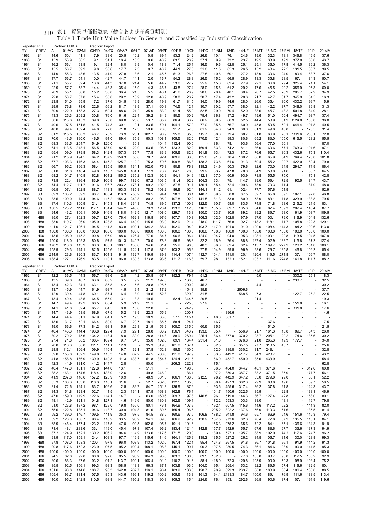| Reporter: PHL<br>RY | <b>CREV</b>                      | <b>ALL</b>     | Partner: US/CA<br>01:AG | 02:MI          | Direction: Import<br>03:FD | 04:TX          | 05:AP          | 06:LT                             | 07:WD          | 08:PP                    | 09:RB                              | 10:CH          | 11:PC                                                | 12:NM                    | $13:$ IS                 | 14:NF                    | 15:MT                    |                          | 16:MC 17:EM 18:TE        |                          | 19:PI          | 20:MM          |
|---------------------|----------------------------------|----------------|-------------------------|----------------|----------------------------|----------------|----------------|-----------------------------------|----------------|--------------------------|------------------------------------|----------------|------------------------------------------------------|--------------------------|--------------------------|--------------------------|--------------------------|--------------------------|--------------------------|--------------------------|----------------|----------------|
| 1962                | S <sub>1</sub>                   | 14.6           | 50.1                    | 41.1           | 7.9                        | 33.6           | 20.5           | 10.2                              | 0.5            | 39.4                     | 53.3                               | 24.2           | 26.6                                                 | 10.1                     | 76.1                     | 24.6                     | 19.0                     | 32.3                     | 18.1                     | 349.8                    | 46.5           | 37.6           |
| 1963                | S <sub>1</sub>                   | 15.9           | 53.9                    | 66.5           | 9.1                        | 31.1           | 18.4           | 10.3                              | 0.6            | 46.9                     | 63.5                               | 26.9           | 37.1                                                 | 9.9                      | 73.2                     | 23.7                     | 19.5                     | 33.9                     | 19.9                     | 377.0                    | 55.0           | 43.7           |
| 1964                | S <sub>1</sub>                   | 16.2           | 56.1                    | 63.8           | 9.1                        | 32.4           | 18.0           | 9.9                               | 0.4            | 48.3                     | 71.4                               | 25.1           | 36.5                                                 | 9.6                      | 62.8                     | 25.1                     | 25.1                     | 36.0                     | 17.8                     | 414.5                    | 36.2           | 36.3           |
| 1965                | S <sub>1</sub>                   | 15.5           | 56.7                    | 59.2           | 9.8                        | 33.6           | 17.7           | 7.3                               | 0.7            | 46.7                     | 44.1                               | 27.0           | 31.0                                                 | 11.5                     | 65.3                     | 26.5                     | 15.2                     | 40.4                     | 22.5                     | 131.5                    | 30.7           | 39.5           |
| 1966                | S <sub>1</sub>                   | 14.9           | 55.3                    | 43.6           | 13.5                       | 41.9           | 27.8           | 8.6                               | 2.1            | 45.5                     | 51.3                               | 26.8           | 27.8                                                 | 10.6                     | 60.1                     | 27.2                     | 13.9                     | 30.6                     | 24.0                     | 89.4                     | 63.7           | 37.6           |
| 1967<br>1968        | S <sub>1</sub><br>S <sub>1</sub> | 17.7<br>21.1   | 56.7<br>55.7            | 54.1<br>52.4   | 10.0<br>13.6               | 42.7<br>44.3   | 44.7<br>37.0   | 14.1<br>21.4                      | 2.0<br>5.6     | 46.7<br>44.2             | 54.2<br>53.6                       | 28.8<br>27.2   | 26.5<br>25.9                                         | 15.2<br>15.8             | 66.5<br>62.4             | 28.9<br>27.9             | 13.3<br>22.1             | 35.8<br>36.8             | 28.5<br>29.4             | 167.1<br>325.4           | 84.3<br>71.1   | 50.7<br>54.1   |
| 1969                | S <sub>1</sub>                   | 22.9           | 57.7                    | 53.7           | 14.4                       | 48.3           | 35.4           | 15.9                              | 4.3            | 46.7                     | 43.8                               | 27.4           | 28.0                                                 | 15.6                     | 61.2                     | 29.2                     | 17.6                     | 45.5                     | 29.2                     | 356.9                    | 95.3           | 60.0           |
| 1970                | S <sub>1</sub>                   | 20.9           | 55.1                    | 56.8           | 15.2                       | 38.8           | 36.4           | 21.5                              | 5.5            | 48.1                     | 41.6                               | 26.9           | 28.6                                                 | 20.4                     | 40.1                     | 30.4                     | 20.7                     | 42.5                     | 26.9                     | 205.7                    | 62.9           | 34.9           |
| 1971                | S <sub>1</sub>                   | 22.8           | 50.7                    | 67.0           | 15.4                       | 35.0           | 29.2           | 10.9                              | 12.0           | 46.9                     | 58.8                               | 26.2           | 30.7                                                 | 17.4                     | 43.2                     | 28.6                     | 21.7                     | 42.7                     | 31.7                     | 345.9                    | 64.5           | 16.3           |
| 1972                | S <sub>1</sub>                   | 23.8           | 51.0                    | 65.9           | 17.2                       | 37.6           | 34.5           | 19.9                              | 28.0           | 49.8                     | 61.7                               | 31.5           | 34.0                                                 | 19.9                     | 44.6                     | 28.0                     | 26.0                     | 35.4                     | 30.0                     | 430.2                    | 99.7           | 15.9           |
| 1973                | S <sub>1</sub>                   | 29.9           | 76.8                    | 78.6           | 22.6                       | 56.2           | 81.7           | 13.9                              | 37.1           | 60.8                     | 74.5                               | 42.1           | 30.7                                                 | 30.2                     | 57.7                     | 38.0                     | 32.1                     | 42.2                     | 37.7                     | 348.0                    | 86.8           | 31.3           |
| 1974                | S <sub>1</sub>                   | 39.9           | 122.9                   | 158.3          | 27.3                       | 69.4           | 88.6           | 21.2                              | 35.9           | 83.2                     | 91.4                               | 55.0           | 52.5                                                 | 29.0                     | 70.4                     | 52.0                     | 38.6                     | 45.7                     | 48.2                     | 501.8                    | 84.9           | 28.1           |
| 1975                | S <sub>1</sub>                   | 43.3           | 125.3                   | 209.2          | 30.8                       | 76.0           | 61.6           | 22.4                              | 39.2           | 84.9                     | 80.5                               | 60.2           | 75.4                                                 | 36.8                     | 87.2                     | 49.7                     | 49.6                     | 51.0                     | 50.4                     | 494.7                    | 98.7           | 37.4           |
| 1976<br>1977        | S <sub>1</sub><br>S <sub>1</sub> | 50.6<br>49.6   | 113.6<br>97.5           | 145.3<br>151.5 | 39.0<br>41.5               | 75.8<br>74.3   | 69.8<br>30.1   | 26.8<br>19.1                      | 53.7<br>83.5   | 85.7<br>79.1             | 86.4<br>104.1                      | 63.7<br>57.9   | 66.2<br>77.0                                         | 39.5<br>35.5             | 86.9<br>76.7             | 52.5<br>60.9             | 44.4<br>45.8             | 50.9<br>59.5             | 59.1                     | 61.2 1124.8<br>646.4     | 105.0<br>197.8 | 36.0<br>40.5   |
| 1978                | S <sub>2</sub>                   | 48.0           | 99.4                    | 162.4          | 44.8                       | 72.0           | 71.8           | 17.3                              | 59.6           | 76.6                     | 91.7                               | 57.5           | 81.2                                                 | 34.6                     | 94.9                     | 60.0                     | 61.3                     | 49.8                     | 48.8                     |                          | 176.5          | 31.4           |
| 1979                | S <sub>2</sub>                   | 61.2           | 115.5                   | 180.3          | 46.7                       | 70.9           | 73.9           | 23.1                              | 102.7          | 90.9                     | 95.8                               | 65.5           | 115.7                                                | 38.6                     | 79.4                     | 68.7                     | 61.8                     | 66.9                     | 76.1                     | 1111.6                   | 205.1          | 72.0           |
| 1980                | S <sub>2</sub>                   | 70.0           | 143.5                   | 190.0          | 46.5                       | 91.0           | 89.4           | 35.9                              | 90.3           | 108.1                    | 105.5                              | 82.0           | 170.5                                                | 42.1                     | 99.3                     | 80.6                     | 65.2                     | 83.0                     | 105.0                    | 615.5                    | 128.2          | 55.5           |
| 1981                | S <sub>2</sub>                   | 68.3           | 133.5                   | 204.7          | 54.9                       | 120.0          |                | 30.3                              |                | 104.4                    | 112.4                              | 90.0           |                                                      | 86.4                     | 78.1                     | 93.6                     | 56.4                     | 77.0                     | 60.1                     |                          |                | 87.0           |
| 1982                | S <sub>2</sub>                   | 64.1           | 113.5                   | 213.1          | 56.5                       | 137.9          | 82.5           | 22.0                              | 63.5           | 96.5                     | 123.3                              | 82.2           | 169.4                                                | 83.3                     | 74.2                     | 81.1                     | 86.0                     | 60.6                     | 57.1                     | 763.3                    | 101.6          | 97.1           |
| 1983                | S <sub>2</sub>                   | 65.4           | 109.0                   | 179.8          | 58.3                       | 142.4          | 107.3          | 35.7                              | 77.8           | 83.9                     | 105.6                              | 82.6           | 161.8                                                | 93.4                     | 72.3                     | 87.2                     | 76.6                     | 65.7                     | 80.3                     | 432.6                    | 75.3           | 110.4          |
| 1984<br>1985        | S <sub>2</sub><br>S <sub>2</sub> | 71.2<br>67.7   | 115.9<br>103.3          | 194.5<br>176.3 | 64.2<br>64.4               | 137.2<br>145.2 | 159.3<br>125.7 | 56.8<br>112.2                     | 78.7<br>75.3   | 92.4<br>79.6             | 109.2<br>109.8                     | 83.0<br>86.3   | 135.0<br>138.3                                       | 91.8<br>73.6             | 70.4<br>61.6             | 100.2<br>91.3            | 88.0<br>69.4             | 65.9<br>55.2             | 84.9<br>92.7             | 764.4<br>422.0           | 123.0<br>69.4  | 101.8<br>79.8  |
| 1986                | S <sub>2</sub>                   | 66.7           | 95.2                    | 166.3          | 58.4                       | 135.5          | 165.0          | 134.1                             | 102.0          | 75.8                     | 90.9                               | 76.8           | 138.2                                                | 64.9                     | 50.3                     | 79.6                     | 82.6                     | 70.0                     | 94.9                     | 294.7                    | 71.9           | 86.4           |
| 1987                | S <sub>2</sub>                   | 61.0           | 81.8                    | 116.4          | 49.8                       | 110.7          | 145.8          | 104.1                             | 77.3           | 78.7                     | 84.5                               | 78.6           | 99.2                                                 | 53.7                     | 47.8                     | 78.0                     | 64.9                     | 50.0                     | 91.6                     |                          | 86.7           | 64.5           |
| 1988                | S <sub>2</sub>                   | 68.2           | 101.7                   | 140.8          | 62.8                       | 101.2          | 185.2          | 235.2                             | 112.3          | 92.9                     | 94.1                               | 94.9           | 112.1                                                | 57.0                     | 60.9                     | 93.9                     | 73.8                     | 55.5                     | 75.0                     |                          | 75.1           | 42.8           |
| 1989                | S <sub>2</sub>                   | 73.8           | 122.4                   | 136.4          | 83.9                       | 100.9          | 99.7           | 182.0                             | 97.2           | 103.5                    | 81.4                               | 92.2           | 104.3                                                | 63.4                     | 75.1                     | 114.7                    | 89.0                     | 59.4                     | 72.5                     | 190.5                    | 84.7           | 43.7           |
| 1990                | S <sub>2</sub>                   | 74.4           | 112.7                   | 111.7          | 91.6                       | 96.7           | 203.2          | 178.1                             | 99.2           | 102.0                    | 87.5                               | 91.7           | 136.1                                                | 65.4                     | 72.4                     | 109.6                    | 73.9                     | 70.3                     | 71.4                     | $\overline{\phantom{a}}$ | 87.0           | 48.0           |
| 1991                | S <sub>2</sub>                   | 66.5           | 107.1                   | 102.8          | 88.7                       | 118.3          | 163.3          | 185.3                             | 78.2           | 108.2                    | 86.9                               | 92.4           | 144.1                                                | 71.2                     | 61.1                     | 102.4                    | 77.7                     | 57.6                     | 51.9                     |                          |                | 52.9           |
| 1992                | S <sub>3</sub>                   | 69.3           | 103.2<br>109.0          | 89.2           | 98.7                       | 105.4          | 116.3<br>154.3 | 250.2<br>249.8                    | 96.5<br>80.2   | 94.4                     | 98.3                               | 88.1           | 148.7                                                | 69.5                     | 58.0<br>53.8             | 87.5                     | 52.7<br>58.9             | 65.8                     | 59.5                     | 182.1<br>323.9           | 97.8           | 46.8<br>79.5   |
| 1993<br>1994        | S <sub>3</sub><br>S <sub>3</sub> | 83.5<br>87.4   | 110.3                   | 74.4<br>100.9  | 94.6<br>121.1              | 115.2<br>145.3 | 118.4          | 234.3                             | 74.8           | 95.2<br>89.5             | 107.8<br>137.2                     | 92.2<br>100.9  | 141.5<br>122.5                                       | 81.3<br>90.7             | 58.0                     | 80.9<br>83.5             | 74.8                     | 83.1<br>71.8             | 71.8<br>93.6             | 215.2                    | 138.8<br>121.5 | 83.1           |
| 1995                | S <sub>3</sub>                   | 100.5          | 123.2                   | 111.6          | 117.1                      | 151.4          | 144.2          | 240.8                             | 79.3           | 128.4                    | 123.0                              | 112.3          | 116.3                                                | 105.5                    | 69.7                     | 105.6                    | 84.6                     | 87.4                     | 109.3                    | 202.4                    | 140.4          | 87.7           |
| 1996                | S3                               | 94.6           | 143.2                   | 106.1          | 105.9                      | 146.9          | 118.0          | 142.5                             | 121.7          | 108.0                    | 129.7                              | 113.3          | 150.0                                                | 123.7                    | 80.5                     | 89.2                     | 89.2                     | 89.7                     | 93.0                     | 161.9                    | 103.7          | 109.5          |
| 1997                | H88                              | 85.0           | 127.4                   | 102.3          | 109.7                      | 127.0          | 76.4           | 162.3                             | 116.8          | 97.6                     | 107.7                              | 110.3          | 106.3                                                | 102.0                    | 102.8                    | 97.9                     | 97.0                     | 100.1                    | 79.0                     | 116.9                    | 104.8          | 132.6          |
| 1998                | H88                              | 83.0           | 119.7                   | 96.0           | 105.9                      | 128.8          | 66.4           | 140.9                             | 115.5          | 93.9                     | 102.9                              | 121.4          | 218.0                                                | 111.7                    | 76.8                     | 92.7                     | 118.2                    | 118.1                    | 71.7                     | 105.8                    | 122.3          | 129.1          |
| 1999                | H88                              | 111.0          | 121.7                   | 106.1          | 94.5                       | 111.3          | 83.8           | 100.1                             | 134.2          | 88.4                     | 102.0                              | 104.0          | 193.7                                                | 117.9                    | 101.0                    | 91.0                     | 120.0                    | 108.4                    | 114.3                    | 84.2                     | 100.6          | 113.0          |
| 2000<br>2001        | H88<br>H <sub>96</sub>           | 100.0<br>113.5 | 100.0<br>108.9          | 100.0<br>115.2 | 100.0<br>90.8              | 100.0<br>95.9  | 100.0<br>88.6  | 100.0<br>126.4                    | 100.0<br>77.6  | 100.0<br>84.7            | 100.0<br>96.6                      | 100.0<br>96.4  | 100.0<br>124.0                                       | 100.0<br>104.7           | 100.0<br>94.0            | 100.0<br>95.3            | 100.0<br>108.1           | 100.0<br>100.1           | 100.0<br>122.8           | 100.0<br>113.5           | 100.0<br>104.5 | 100.0<br>107.9 |
| 2002                | H <sub>96</sub>                  | 150.0          | 118.0                   | 109.3          | 80.8                       | 97.9           | 101.3          | 140.7                             | 70.0           | 78.8                     | 96.6                               | 98.8           | 32.2                                                 | 118.9                    | 76.4                     | 88.8                     | 127.4                    | 102.9                    | 183.7                    | 115.8                    | 67.2           | 127.4          |
| 2003                | H <sub>96</sub>                  | 178.2          | 118.8                   | 113.9          | 80.3                       | 105.1          | 108.1          | 130.6                             | 94.6           | 81.4                     | 95.2                               | 98.3           | 40.3                                                 | 86.8                     | 82.4                     | 82.4                     | 113.7                    | 109.7                    | 227.2                    | 120.2                    | 101.0          | 100.1          |
| 2004                | H <sub>96</sub>                  | 158.9          | 129.3                   | 114.1          | 82.5                       | 125.6          | 111.5          | 124.1                             | 117.5          | 87.6                     | 103.2                              | 95.9           | 77.9                                                 | 104.9                    | 99.5                     | 96.9                     | 98.6                     | 129.7                    | 185.8                    | 146.8                    | 106.2          | 85.4           |
| 2005                | H <sub>96</sub>                  | 214.9          | 123.6                   | 120.3          | 83.7                       | 101.3          | 91.9           | 132.7                             | 119.9          | 89.3                     | 114.4                              | 107.4          | 112.7                                                | 104.1                    | 141.0                    | 120.1                    | 120.4                    | 119.5                    | 271.8                    | 137.1                    | 106.7          | 88.0           |
|                     | H <sub>96</sub>                  | 188.4          | 127.1                   |                | 83.5                       | 110.1          | 96.8           | 130.3                             | 123.8          | 93.6                     | 121.7                              | 116.8          | 59.7                                                 | 98.1                     | 132.3                    | 152.1                    | 103.2                    | 111.6                    | 224.8                    | 141.8                    | 111.7          | 88.2           |
| 2006                |                                  |                |                         | 126.9          |                            |                |                |                                   |                |                          |                                    |                |                                                      |                          |                          |                          |                          |                          |                          |                          |                |                |
| Reporter: PHL       |                                  |                | Partner: US/CA          |                | Direction: Export          |                |                |                                   |                |                          |                                    |                |                                                      |                          |                          |                          |                          |                          |                          |                          |                |                |
| RY                  | <b>CREV</b>                      | ALL            | 01:AG                   | 02:MI          | 03:FD                      | 04:TX          | 05:AP          | 06:LT                             | 07:WD          | 08:PP                    | 09:RB                              | 10:CH          | 11:PC                                                | 12:NM                    | $13:$ IS                 | 14:NF 15:MT              |                          |                          | 16:MC 17:EM 18:TE        |                          | 19:PI          | 20:MM          |
| 1962                | S <sub>1</sub>                   | 12.2           | 36.5                    | 44.3           | 56.7                       | 93.6           | 2.5            | 4.2                               | 20.8           | 67.7                     | 152.2                              | 79.1           | 51.2                                                 |                          | $\overline{\phantom{a}}$ | $\overline{\phantom{a}}$ | 5.0                      | $\overline{\phantom{a}}$ | $\overline{\phantom{a}}$ | 330.2                    | 26.1           | 18.3           |
| 1963                | S1                               | 13.5           | 39.8                    | 46.7           | 63.6                       | 80.2           | 3.5            | 9.2                               | 21.2           | 197.0                    | $\overline{\phantom{a}}$           | 166.8          | 46.7                                                 | ä,                       |                          |                          |                          | ä,                       | $\sim$                   | 238.7                    |                | 32.5           |
| 1964                | S1                               | 13.4           | 42.3                    | 34.1           | 63.1                       | 85.8           | 4.2            | 5.6                               | 20.8           | 125.5                    | $\overline{\phantom{a}}$<br>$\sim$ | 200.2          | 45.3                                                 | $\overline{\phantom{a}}$ |                          | ÷,                       | 4.4                      | $\overline{\phantom{a}}$ |                          |                          |                | 30.2           |
| 1965<br>1966        | S <sub>1</sub><br>S1             | 13.7<br>12.9   | 45.9<br>39.4            | 44.7<br>44.8   | 61.9<br>60.1               | 93.7<br>87.4   | 4.5<br>6.4     | 9.4<br>13.9                       | 21.2<br>19.5   | 117.2<br>52.3            | $\overline{\phantom{a}}$           | 454.3<br>329.9 | 35.9<br>31.5                                         | $\overline{\phantom{a}}$ | $\sim$                   | $-2509.6$<br>568.5       | 7.3                      | $\overline{\phantom{a}}$ |                          | $-122.7$                 | 26.2           | 37.7<br>22.5   |
| 1967                | S <sub>1</sub>                   | 13.4           | 40.4                    | 43.5           | 64.5                       | 65.0           | 3.1            | 13.3                              | 19.5           |                          | 52.4                               | 344.5          | 29.5                                                 |                          | $\overline{\phantom{a}}$ |                          | 21.4                     | $\overline{\phantom{a}}$ |                          |                          |                | 19.3           |
| 1968                | S <sub>1</sub>                   | 14.7           | 49.4                    | 42.2           | 68.5                       | 66.4           | 5.9            | 21.9                              | 21.1           | $\overline{\phantom{a}}$ |                                    | 225.8          | 27.9                                                 |                          |                          |                          |                          |                          |                          | 151.8                    |                | 16.1           |
| 1969                | S <sub>1</sub>                   | 14.1           | 41.8                    | 52.4           | 65.7                       | 64.5           | 8.0            | 15.6                              | 22.0           |                          |                                    | 242.9          |                                                      |                          |                          |                          |                          | $\overline{\phantom{a}}$ |                          | - 111.8                  |                | 17.6           |
| 1970                | S <sub>1</sub>                   | 14.7           | 43.9                    | 58.5           | 68.6                       | 67.5           | 5.2            | 18.9                              | 22.3           | 55.9                     | $\overline{\phantom{a}}$           | 200.7          | $\overline{\phantom{a}}$                             | $\overline{\phantom{a}}$ | 396.6                    | $\overline{\phantom{a}}$ | $\overline{\phantom{a}}$ | $\overline{\phantom{a}}$ |                          |                          |                | 14.6           |
| 1971                | S <sub>1</sub>                   | 14.4           | 44.4                    | 51.1           | 67.9                       | 84.1           | 5.2            | 19.3                              | 18.9           | 33.6                     |                                    | 57.5 115.1     |                                                      | $-48.8$                  | 381.7                    | $\overline{\phantom{a}}$ |                          | $\sim$                   |                          |                          |                |                |
| 1972<br>1973        | S <sub>1</sub><br>S <sub>1</sub> | 13.6<br>19.0   | 31.7<br>66.6            | 52.1<br>77.3   | 66.4<br>84.2               | 89.0<br>98.1   | 6.7<br>5.9     | 29.7<br>26.8                      | 18.1<br>21.9   | 35.5<br>53.9             | 58.4<br>108.0                      | 124.7<br>215.0 | 60.6                                                 | 46.7<br>35.6             |                          |                          |                          | 37.6<br>151.0            |                          |                          |                | 7.5<br>21.5    |
| 1974                | S1                               | 40.4           | 143.3                   | 114.4          | 193.8                      | 129.4          | 7.9            | 29.1                              | 28.8           | 86.2                     | 156.1                              | 343.2          | 193.8                                                | 35.4                     | ÷,                       | 556.9                    | 21.7                     | 161.3                    | 15.8                     | 89.7                     | 34.3           | 26.0           |
| 1975                | S <sub>1</sub>                   | 30.2           | 70.2                    | 75.6           | 134.2                      | 118.4          | 8.0            | 30.0                              | 28.8           | 114.8                    | 88.9                               | 269.4          | 225.1                                                | 86.4                     | 377.0                    | 370.2                    | 23.7                     | 205.1                    | 20.2                     | 74.6                     | 135.6          | 30.2           |
| 1976                | S1                               | 27.4           | 71.8                    | 88.2           | 108.4                      | 109.4          | 9.7            | 34.3                              | 35.0           | 102.6                    | 89.1                               | 164.4          | 231.4                                                | 51.0                     | $\overline{\phantom{a}}$ | 376.8                    | 21.0                     | 265.3                    | 19.9                     | 177.7                    |                | 34.0           |
| 1977                | S1                               | 28.8           | 116.3                   | 88.8           | 111.1                      | 111.1          | 12.9           |                                   | 35.3           | 319.5                    | 101.0                              | 167.1          |                                                      | 52.5                     | ä,                       | 357.5                    | 27.7                     | 310.5                    | 43.7                     |                          |                | 25.6           |
| 1978                | S2                               | 28.8<br>39.0   | 112.1<br>153.8          | 106.4<br>132.2 | 109.9                      | 110.4          | 9.7            | 32.1                              | 37.8           | 452.3                    | 95.5                               | 160.5          | ä,<br>ä,                                             | 52.0                     | 385.8                    | 330.2                    | 31.7                     | 248.1                    |                          |                          |                | 32.8           |
| 1979<br>1980        | S <sub>2</sub><br>S <sub>2</sub> | 41.8           | 158.8                   | 166.9          | 149.8<br>139.9             | 115.3<br>140.3 | 14.0<br>11.3   | 67.2<br>133.7                     | 44.5<br>51.8   | 280.6<br>354.7           | 121.0<br>124.4                     | 197.9<br>211.6 | $\overline{\phantom{a}}$                             | 53.3<br>66.0             | 449.2<br>452.7           | 417.7<br>459.0           | 34.3<br>35.6             | 420.7<br>433.9           |                          |                          |                | 43.2<br>58.4   |
| 1981                | S2                               | 42.3           | 141.9                   | 181.0          | 141.2                      | 144.7          | 12.8           |                                   | 50.0           | ۰                        | 206.3                              | 222.3          |                                                      | 75.1                     |                          |                          |                          |                          |                          |                          |                | 62.8           |
| 1982                | S <sub>2</sub>                   | 40.4           | 147.0                   | 161.1          | 127.8                      | 144.0          | 13.1           | $\overline{\phantom{a}}$          | 51.1           | $\overline{\phantom{a}}$ | ÷,                                 | 198.3          | ä,                                                   | 86.3                     | 404.0                    | 344.7                    | 40.1                     | 371.6                    |                          | ä,                       | 312.6          | 60.8           |
| 1983                | S <sub>2</sub>                   | 38.2           | 163.1                   | 154.6          | 118.4                      | 133.9          | 12.6           | $\overline{\phantom{a}}$          | 49.8           | 246.2                    | ä,                                 | 136.1          | ä,                                                   | 97.2                     | 359.3                    | 387.7                    | 33.2                     | 371.5                    | 35.9                     | ä,                       | 177.7          | 56.1           |
| 1984                | S <sub>2</sub>                   | 41.9           | 207.8                   | 116.6          | 157.2                      | 125.9          | 10.9           | $\overline{\phantom{a}}$          | 48.9           | 301.3                    | 166.1                              | 136.3          | 212.5                                                | 98.2                     | 442.9                    | 347.2                    | 33.0                     | 279.0                    | 29.0                     |                          | 86.1           | 52.2           |
| 1985                | S <sub>2</sub>                   | 35.3           | 188.3                   | 103.0          | 118.3                      | 118.1          | 11.6           | $\overline{\phantom{a}}$          | 52.7           | 262.8                    | 132.5                              | 105.6          |                                                      | 88.4                     | 427.3                    | 382.3                    | 29.9                     | 88.8                     | 19.6                     |                          | 89.7           | 50.5           |
| 1986                | S <sub>2</sub>                   | 31.4           | 172.6                   | 124.1          | 83.7                       | 109.6          | 12.5           | 89.7                              | 54.7           | 251.8                    | 136.9                              | 87.6           | $\overline{\phantom{a}}$<br>$\overline{\phantom{a}}$ | 93.6                     | 455.6                    | 317.4                    | 36.2                     | 137.8<br>÷,              | 21.8                     |                          | $-124.3$       | 43.7<br>46.9   |
| 1987<br>1988        | S <sub>2</sub><br>S <sub>2</sub> | 34.3<br>47.0   | 151.8<br>159.0          | 123.4<br>119.9 | 102.7<br>122.6             | 111.5<br>114.1 | 12.3<br>14.7   | 134.1<br>$\overline{\phantom{a}}$ | 57.5<br>63.0   | 168.3<br>160.6           | 162.8<br>209.3                     | 76.1<br>97.8   | 146.8                                                | 101.7<br>96.1            | 450.6<br>519.0           | 322.5<br>144.3           | 35.9<br>36.7             | 127.4                    | 22.8<br>42.8             |                          | 133.1<br>163.0 | 80.1           |
| 1989                | S2                               | 48.1           | 142.9                   | 121.1          | 104.8                      | 127.1          | 14.6           | 146.6                             | 80.0           | 130.8                    | 162.6                              | 109.1          |                                                      | $-172.2$                 | 553.3                    | 103.3                    | 38.0                     |                          | 48.1                     |                          | 116.7          | 79.8           |
| 1990                | S <sub>2</sub>                   | 51.0           | 123.8                   | 137.2          | 98.1                       | 129.0          | 19.8           | 155.0                             | 80.1           | 76.1                     | 164.9                              | 107.9          |                                                      | $-192.4$                 | 607.5                    | 115.6                    | 44.6                     | 117.2                    | 52.2                     | ÷,                       | 141.3          | 82.0           |
| 1991                | S <sub>2</sub>                   | 55.6           | 122.8                   | 135.1          | 94.6                       | 118.7          | 30.9           | 104.3                             | 81.6           | 89.5                     | 165.4                              | 96.6           | $\overline{\phantom{a}}$                             | 205.2                    | 822.2                    | 137.6                    | 56.9                     | 110.3                    | 51.6                     |                          | 135.5          | 81.4           |
| 1992                | S <sub>3</sub>                   | 59.2           | 139.0                   | 146.7          | 109.5                      | 111.9          | 35.3           | 97.5                              | 84.5           | 88.5                     | 160.6                              | 97.5           | 106.8                                                | 178.2                    | 911.8                    | 94.6                     | 65.7                     | 66.9                     | 54.6                     | 151.6                    | 115.3          | 79.4           |
| 1993                | S3                               | 59.2           | 128.3                   | 150.7          | 98.4                       | 116.2          | 33.5           | 96.9                              | 94.1           | 89.0                     | 166.2                              | 92.9           | 130.9                                                | 157.5                    | 973.6                    | 82.3                     | 70.4                     | 72.8                     | 57.2                     | 135.5                    | 118.1          | 84.1           |
| 1994<br>1995        | S <sub>3</sub><br>S <sub>3</sub> | 68.9<br>71.4   | 146.4<br>148.1          | 157.4<br>233.6 | 123.2<br>133.1             | 117.5<br>119.0 | 47.0<br>45.4   | 90.5<br>97.8                      | 102.5<br>107.4 | 95.7<br>96.2             | 191.1<br>183.4                     | 101.6<br>121.4 | 142.8                                                | $-156.3$<br>157.7        | 975.2<br>942.9           | 65.6<br>55.7             | 72.2<br>67.6             | 84.1<br>88.6             | 65.1<br>67.7             | 136.6<br>133.6           | 134.3<br>137.3 | 91.9<br>94.9   |
| 1996                | S3                               | 87.2           | 124.9                   | 152.1          | 130.2                      | 106.2          | 94.6           | 114.9                             | 123.6          | 117.6                    | 171.5                              | 120.0          | $\overline{\phantom{a}}$                             | 139.4                    | 527.3                    | 195.7                    | 88.9                     | 102.0                    | 74.2                     | 117.6                    | 124.7          | 96.2           |
| 1997                | H88                              | 91.9           | 117.0                   | 159.1          | 124.4                      | 108.3          | 97.7           | 116.9                             | 115.6          | 114.6                    | 164.1                              | 125.9          | 135.2                                                | 135.5                    | 527.2                    | 126.2                    | 84.5                     | 106.7                    | 81.6                     | 130.0                    | 128.8          | 99.3           |
| 1998                | H88                              | 97.8           | 108.0                   | 158.3          | 120.4                      | 97.9           | 96.0           | 103.9                             | 113.2          | 102.0                    | 167.4                              | 122.1          | 95.4                                                 | 124.8                    | 267.5                    | 91.8                     | 86.7                     | 101.8                    | 96.1                     | 91.9                     | 114.2          | 91.3           |
| 1999                | H88                              | 99.8           | 117.6                   | 152.3          | 123.9                      | 97.5           | 95.2           | 100.4                             | 108.1          | 98.3                     | 145.1                              | 99.7           | 90.3                                                 | 107.5                    | 239.5                    | 74.3                     | 86.1                     | 84.6                     | 103.9                    | 90.0                     | 141.5          | 95.3           |
| 2000                | H88                              | 100.0          | 100.0                   | 100.0          | 100.0                      | 100.0          | 100.0          | 100.0                             | 100.0          | 100.0                    | 100.0                              | 100.0          | 100.0                                                | 100.0                    | 100.0                    | 100.0                    | 100.0                    | 100.0                    | 100.0                    | 100.0                    | 100.0          | 100.0          |
| 2001                | H <sub>96</sub>                  | 94.5           | 82.8                    | 92.8           | 88.8                       | 92.6           | 95.5           | 93.9                              | 104.3          | 93.8                     | 103.3                              | 100.6          | 89.5                                                 | 102.6                    |                          | 77.8                     | 105.8                    | 93.7                     | 93.8                     | 112.5                    | 105.2          | 92.9           |
| 2002<br>2003        | H <sub>96</sub><br>H96           | 80.6<br>85.5   | 88.3<br>92.5            | 87.6<br>156.1  | 93.2<br>99.3               | 91.2<br>93.3   | 113.7<br>108.5 | 109.1<br>118.3                    | 106.4<br>96.3  | 91.2<br>87.1             | 110.7<br>103.9                     | 91.6<br>93.0   | 88.1<br>104.0                                        | 118.9<br>95.4            | 72.3<br>205.4            | 129.8<br>153.2           | 105.9<br>92.2            | 90.0<br>89.5             | 50.3<br>57.4             | 98.9<br>119.6            | 103.4<br>132.5 | 75.2<br>80.1   |
| 2004                | H96                              | 101.6          | 90.8                    | 114.6          | 108.7                      | 90.3           | 142.8          | 207.7                             | 116.1          | 96.4                     | 103.9                              | 103.5          | 128.7                                                | 90.9                     | 829.3                    | 233.7                    | 88.0                     | 100.9                    | 66.4                     | 106.4                    | 185.0          | 88.5           |
| 2005<br>2006        | H <sub>96</sub><br>H96           | 105.4<br>110.0 | 93.7<br>95.2            | 131.4<br>142.8 | 107.5<br>110.5             | 85.3<br>93.8   | 143.6<br>144.7 | 196.1<br>195.2                    | 119.2<br>118.3 | 100.2<br>90.8            | 105.6<br>105.3                     | 113.8<br>115.4 | 161.3<br>224.6                                       | 94.1<br>76.4             | 2183.3<br>853.1          | 184.7<br>292.6           | 100.0<br>96.5            | 89.1<br>90.6             | 76.9<br>87.4             | 111.6<br>107.1           | 183.5<br>191.9 | 113.4<br>119.6 |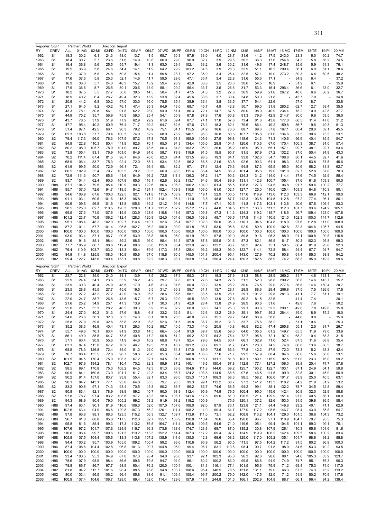|              | Reporter: SGP                    |               | Partner: World |                | Direction: Import |                |                |               |                |                |                |                |                |               |                  |                |                |                |               |                |                |                |
|--------------|----------------------------------|---------------|----------------|----------------|-------------------|----------------|----------------|---------------|----------------|----------------|----------------|----------------|----------------|---------------|------------------|----------------|----------------|----------------|---------------|----------------|----------------|----------------|
| RY           | CREV                             | <b>ALL</b>    | 01:AG          | 02:MI          | 03:FD             | 04:TX          | 05:AP          | 06:LT         | 07:WD          | 08:PP          | 09:RB          | 10:CH          | 11:PC          | 12:NM         | $13:$ IS         | 14:NF          | 15:MT          | 16:MC          | 17:EM         | 18:TE          | 19:PI          | 20:MM          |
| 1962<br>1963 | S <sub>1</sub><br>S1             | 18.3<br>18.4  | 30.2<br>30.7   | 6.1<br>5.7     | 24.3<br>23.6      | 48.0<br>51.6   | 13.7<br>14.9   | 11.5<br>10.8  | 65.7<br>66.0   | 30.3<br>29.0   | 97.6<br>96.9   | 33.0<br>32.7   | 4.0<br>3.9     | 28.7<br>29.6  | 31.6<br>30.2     | 41.2<br>36.3   | 17.5<br>17.6   | 243.0<br>254.6 | 23.3<br>34.3  | 6.0<br>5.8     | 60.2<br>56.2   | 74.7<br>74.5   |
| 1964         | S1                               | 19.4          | 36.8           | 5.6            | 25.5              | 55.7           | 19.4           | 11.3          | 63.0           | 29.4           | 102.1          | 33.2           | 3.6            | 30.2          | 31.6             | 49.6           | 17.4           | 248.7          | 35.6          | 5.9            | 61.3           | 76.1           |
| 1965         | S1                               | 19.5          | 36.9           | 5.6            | 24.6              | 54.4           | 14.1           | 11.9          | 64.2           | 29.2           | 101.2          | 34.5           | 3.9            | 28.3          | 32.9             | 51.1           | 16.2           | 290.4          | 36.1          | 6.0            | 61.1           | 78.6           |
| 1966         | S <sub>1</sub>                   | 19.2          | 37.9           | 5.8            | 24.8              | 50.8           | 15.4           | 11.4          | 59.8           | 28.7           | 97.2           | 35.9           | 3.4            | 25.4          | 32.5             | 57.1           | 19.0           | 273.2          | 39.3          | 6.4            | 60.5           | 48.2           |
| 1967         | S <sub>1</sub>                   | 17.6          | 37.6           | 5.8            | 25.3              | 52.1           | 14.6           | 11.7          | 59.5           | 29.6           | 47.1           | 35.4           | 3.4            | 22.8          | 31.6             | 55.6           | 17.1           |                | 34.9          | 6.4            |                | 37.2           |
| 1968         | S1                               | 16.9          | 36.3           | 5.7            | 24.0              | 48.3           | 15.7           | 13.2          | 59.4           | 28.9           | 42.0           | 33.8           | 3.5            | 26.3          | 30.6             | 54.5           | 16.9           |                | 31.2          | 6.1            |                | 35.9           |
| 1969         | S1                               | 17.9          | 36.6           | 5.7            | 26.5              | 50.1           | 20.6           | 13.9          | 55.1           | 29.2           | 55.4           | 33.7           | 3.5            | 26.6          | 31.7             | 53.3           | 16.4           | 296.4          | 36.6          | 6.1            | 33.0           | 32.7           |
| 1970         | S <sub>1</sub>                   | 18.2          | 37.5           | 5.5            | 27.7              | 50.0           | 39.5           | 14.5          | 58.4           | 31.7           | 47.5<br>45.6   | 34.3           | 3.2            | 27.8<br>30.4  | 36.9             | 59.9<br>50.0   | 21.6<br>21.8   | 267.2          | 40.0<br>43.7  | 6.6<br>7.9     | 36.2           | 36.7           |
| 1971<br>1972 | S <sub>1</sub><br>S1             | 18.9<br>20.9  | 40.2<br>44.2   | 6.4<br>6.8     | 26.7<br>30.2      | 49.4<br>57.0   | 32.3<br>33.0   | 15.9<br>16.0  | 53.8<br>78.5   | 32.4<br>35.4   | 38.9           | 33.6<br>36.4   | 3.7<br>3.8     | 33.5          | 34.8<br>37.7     | 54.4           | 22.6           |                | 57.0          | 8.7            |                | 34.8<br>33.8   |
| 1973         | S <sub>1</sub>                   | 27.1          | 64.5           | 9.2            | 40.2              | 76.1           | 47.4           | 25.3          | 64.9           | 43.0           | 68.7           | 46.7           | 4.9            | 42.8          | 50.7             | 69.0           | 31.8           | 280.2          | 62.7          | 12.7           | 38.4           | 35.5           |
| 1974         | S1                               | 43.3          | 78.1           | 30.8           | 56.1              | 91.8           | 62.2           | 28.0          | 54.0           | 67.4           | 80.3           | 72.1           | 14.7           | 67.6          | 80.0             | 98.9           | 40.9           | 234.4          | 78.2          | 10.9           | 42.8           | 37.7           |
| 1975         | S <sub>1</sub>                   | 44.9          | 75.2           | 35.7           | 56.9              | 75.9           | 59.3           | 25.4          | 54.1           | 65.9           | 67.8           | 87.8           | 17.6           | 60.8          | 91.3             | 79.6           | 42.9           | 214.7          | 80.0          | 9.6            | 53.5           | 36.0           |
| 1976         | S1                               | 43.7          | 78.5           | 37.9           | 51.9              | 77.9           | 62.9           | 29.2          | 61.6           | 59.4           | 87.7           | 74.1           | 17.0           | 57.6          | 73.4             | 81.3           | 43.8           | 177.0          | 66.5          | 11.4           | 47.0           | 31.2           |
| 1977         | S1                               | 47.7          | 95.4           | 40.2           | 60.9              | 76.4           | 71.7           | 39.2          | 64.7           | 62.6           | 97.6           | 78.2           | 18.3           | 62.1          | 79.6             | 86.4           | 49.2           | 159.8          | 56.7          | 19.6           | 49.3           | 51.3           |
| 1978         | S <sub>1</sub>                   | 51.4          | 97.1           | 42.5           | 66.1              | 90.3           | 79.2           | 48.2          | 75.1           | 64.1           | 115.5          | 84.2           | 18.6           | 73.6          | 88.7             | 89.3           | 57.8           | 167.1          | 60.4          | 20.0           | 59.1           | 45.5           |
| 1979<br>1980 | S <sub>1</sub><br>S <sub>2</sub> | 62.3<br>79.4  | 103.8<br>117.3 | 57.7<br>96.0   | 70.4<br>76.3      | 100.3<br>107.5 | 74.0<br>87.2   | 52.2<br>67.8  | 68.0<br>70.5   | 76.2<br>91.3   | 146.1<br>165.0 | 95.3<br>105.6  | 16.8<br>27.9   | 80.6<br>96.8  | 107.7<br>118.6   | 105.8<br>124.3 | 61.6<br>71.3   | 134.6<br>140.6 | 87.3<br>96.9  | 30.6<br>40.4   | 73.3<br>85.5   | 53.1<br>54.7   |
| 1981         | S <sub>2</sub>                   | 84.9          | 122.8          | 110.3          | 80.4              | 111.9          | 92.6           | 70.1          | 65.0           | 94.3           | 134.4          | 105.0          | 29.8           | 104.1         | 120.6            | 110.6          | 67.0           | 170.4          | 100.3         | 38.7           | 91.0           | 57.4           |
| 1982         | S <sub>2</sub>                   | 80.2          | 108.0          | 105.7          | 78.9              | 101.0          | 89.7           | 78.5          | 60.3           | 84.8           | 103.2          | 95.0           | 26.6           | 95.2          | 116.9            | 95.0           | 65.1           | 157.1          | 99.7          | 38.1           | 92.7           | 53.6           |
| 1983         | S <sub>2</sub>                   | 73.8          | 105.4          | 93.1           | 76.9              | 101.0          | 84.9           | 84.6          | 58.7           | 79.9           | 118.9          | 91.5           | 19.5           | 95.7          | 91.5             | 97.9           | 57.2           | 132.2          | 87.0          | 50.4           | 84.9           | 43.3           |
| 1984         | S <sub>2</sub>                   | 70.2          | 111.4          | 87.4           | 81.5              | 98.7           | 64.6           | 76.0          | 62.3           | 84.4           | 121.5          | 98.3           | 19.3           | 84.1          | 93.8             | 102.3          | 54.7           | 108.6          | 80.1          | 44.5           | 82.7           | 41.6           |
| 1985         | S <sub>2</sub>                   | 68.9          | 106.4          | 83.7           | 75.3              | 92.4           | 72.0           | 65.1          | 63.4           | 82.5           | 96.2           | 86.5           | 21.6           | 80.5          | 92.6             | 90.3           | 61.1           | 98.3           | 82.8          | 53.8           | 67.5           | 45.6           |
| 1986         | S <sub>2</sub>                   | 61.9          | 99.5           | 50.0           | 72.9              | 96.1           | 72.1           | 66.4          | 65.1           | 82.2           | 97.1           | 77.4           | 12.4           | 79.3          | 94.8             | 87.3           | 65.5           | 95.0           | 80.6          | 58.2           | 81.8           | 62.7           |
| 1987         | S <sub>2</sub>                   | 66.5          | 102.9          | 55.4           | 79.7              | 103.5          | 79.2           | 83.3          | 66.9           | 98.3           | 115.4          | 85.4           | 14.5           | 86.9          | 101.4            | 95.6           | 79.0           | 101.0          | 82.7          | 52.8           | 87.6           | 70.3           |
| 1988<br>1989 | S <sub>2</sub><br>S <sub>2</sub> | 72.9<br>83.7  | 111.3<br>104.4 | 50.7<br>62.4   | 85.6<br>90.0      | 111.6<br>107.9 | 84.9<br>85.5   | 96.2<br>116.1 | 72.5<br>62.6   | 111.4<br>96.2  | 136.3<br>113.7 | 97.2<br>94.6   | 11.7<br>50.4   | 90.3<br>89.9  | 124.3<br>131.1   | 131.2<br>142.6 | 114.0<br>100.7 | 114.4<br>105.4 | 87.6<br>87.6  | 74.5<br>61.6   | 92.9<br>103.3  | 85.4<br>80.0   |
| 1990         | H88                              | 87.1          | 104.2          | 79.5           | 85.4              | 110.9          | 80.3           | 122.6         | 86.6           | 106.3          | 106.2          | 104.0          | 61.4           | 85.5          | 126.8            | 127.3          | 94.5           | 96.8           | 91.7          | 59.4           | 100.2          | 77.7           |
| 1991         | H88                              | 95.7          | 107.0          | 72.6           | 94.7              | 118.5          | 84.2           | 124.1         | 102.4          | 109.9          | 110.8          | 103.0          | 61.0           | 102.1         | 127.7            | 125.0          | 110.0          | 125.4          | 103.3         | 64.8           | 110.3          | 90.1           |
| 1992         | H88                              | 94.6          | 106.9          | 67.6           | 100.0             | 122.5          | 92.1           | 121.8         | 111.5          | 103.9          | 112.1          | 119.1          | 52.9           | 100.5         | 117.6            | 118.9          | 113.0          | 112.3          | 103.3         | 66.9           | 112.1          | 99.0           |
| 1993         | H88                              | 91.1          | 103.1          | 60.5           | 101.6             | 115.3          | 96.8           | 117.2         | 113.1          | 95.1           | 111.0          | 113.5          | 48.8           | 87.7          | 112.3            | 103.5          | 104.5          | 112.8          | 97.2          | 77.4           | 96.1           | 86.1           |
| 1994         | H88                              | 90.6          | 109.6          | 56.9           | 101.6             | 113.8          | 105.6          | 119.2         | 121.2          | 94.6           | 114.8          | 117.7          | 47.1           | 92.5          | 111.8            | 117.6          | 103.1          | 113.6          | 90.6          | 87.6           | 106.4          | 83.3           |
| 1995         | H88                              | 98.5          | 125.0          | 62.7           | 110.5             | 120.3          | 128.0          | 131.7         | 131.2          | 132.2          | 157.2          | 117.7          | 44.8           | 104.5         | 132.3            | 133.3          | 111.3          | 112.3          | 101.7         | 93.6           | 124.2          | 105.1          |
| 1996         | H88                              | 99.5          | 127.3          | 71.0           | 107.6             | 115.9          | 133.9          | 128.9         | 119.8          | 118.6          | 157.3          | 109.8          | 47.3           | 111.3         | 124.3            | 119.2          | 115.7          | 118.5          | 96.7          | 109.4          | 123.0          | 107.8          |
| 1997         | H88                              | 101.2         | 123.7          | 70.9           | 106.2             | 112.4          | 128.3          | 120.9         | 124.0          | 104.6          | 136.0          | 109.3          | 48.7           | 106.5         | 117.9            | 114.3          | 110.5          | 121.0          | 102.3         | 100.3          | 144.7          | 112.6          |
| 1998<br>1999 | H96<br>H96                       | 95.1<br>87.2  | 108.4<br>101.1 | 48.2<br>57.7   | 102.0<br>101.4    | 102.7<br>95.5  | 114.4<br>102.7 | 110.7<br>96.2 | 92.6<br>100.0  | 96.4<br>90.9   | 107.7<br>101.8 | 102.3<br>96.7  | 50.0<br>63.0   | 95.9<br>95.6  | 110.1<br>92.9    | 94.6<br>89.8   | 104.8<br>100.9 | 118.0<br>102.8 | 97.6<br>82.3  | 112.8<br>104.6 | 117.0<br>105.7 | 108.9<br>94.5  |
| 2000         | H96                              | 100.0         | 100.0          | 100.0          | 100.0             | 100.0          | 100.0          | 100.0         | 100.0          | 100.0          | 100.0          | 100.0          | 100.0          | 100.0         | 100.0            | 100.0          | 100.0          | 100.0          | 100.0         | 100.0          | 100.0          | 100.0          |
| 2001         | H96                              | 93.0          | 93.4           | 87.1           | 96.7              | 90.5           | 93.9           | 98.8          | 96.8           | 95.0           | 101.9          | 96.9           | 97.8           | 102.0         | 89.8             | 91.6           | 95.3           | 88.9           | 91.1          | 100.8          | 99.8           | 115.8          |
| 2002         | H96                              | 82.6          | 91.6           | 85.1           | 98.4              | 89.2           | 88.5           | 96.0          | 95.4           | 84.3           | 107.9          | 87.8           | 105.5          | 101.6         | 87.3             | 82.1           | 86.5           | 61.7           | 80.3          | 102.3          | 95.8           | 99.3           |
| 2003         | H <sub>0</sub> 2                 | 77.7          | 105.9          | 80.7           | 98.6              | 112.4          | 88.6           | 85.8          | 115.8          | 86.4           | 123.9          | 92.0           | 122.2          | 93.7          | 96.2             | 92.4           | 75.1           | 59.5           | 66.4          | 81.9           | 93.8           | 92.3           |
| 2004         | H <sub>0</sub> 2                 | 76.4          | 110.9          | 103.7          | 103.2             | 113.3          | 90.4           | 79.9          | 117.3          | 87.3           | 128.4          | 93.2           | 148.3          | 93.0          | 122.7            | 114.1          | 72.8           | 58.4           | 54.4          | 87.7           | 94.7           | 94.7           |
| 2005         | H <sub>02</sub>                  | 84.9          | 114.8          | 125.5          | 108.0             | 110.9          | 85.6           | 67.0          | 118.6          | 90.5           | 145.0          | 101.1          | 200.4          | 95.4          | 143.0            | 127.9          | 70.2           | 60.8           | 61.4          | 85.3           | 98.8           | 94.2           |
| 2006         | H <sub>02</sub>                  | 99.4          | 122.7          | 143.6          | 109.4             | 153.1          | 99.8           | 82.2          | 138.3          | 98.7           | 203.8          | 116.4          | 250.4          | 124.4         | 150.3            | 182.5          | 88.9           | 74.2           | 68.3          | 95.9           | 119.2          | 99.6           |
|              | Reporter: SGP                    |               | Partner: World |                | Direction: Export |                |                |               |                |                |                |                |                |               |                  |                |                |                |               |                |                |                |
| RY<br>1962   | <b>CREV</b><br>S <sub>1</sub>    | ALL<br>23.7   | 01:AG<br>22.8  | 02:MI<br>35.0  | 03:FD<br>24.0     | 04:TX<br>34.1  | 05:AP<br>13.9  | 06:LT<br>4.5  | 07:WD<br>28.2  | 08:PP<br>37.9  | 09:RB<br>65.3  | 10:CH<br>27.4  | 11:PC<br>18.3  | 12:NM<br>27.9 | $13:$ IS<br>31.3 | 14:NF<br>58.8  | 15:MT<br>28.9  | 16:MC<br>260.2 | 17:EM<br>31.7 | 18:TE<br>14.6  | 19:PI<br>133.1 | 20:MM<br>14.1  |
| 1963         | S <sub>1</sub>                   | 22.9          | 24.4           | 34.1           | 23.6              | 35.9           | 16.2           | 4.2           | 29.7           | 37.8           | 62.3           | 27.6           | 14.3           | 27.8          | 31.2             | 52.0           | 28.8           | 299.2          | 36.8          | 14.6           | 143.7          | 15.2           |
| 1964         | S <sub>1</sub>                   |               |                |                |                   |                |                |               |                |                |                |                |                |               |                  |                |                |                |               |                |                |                |
| 1965         | S <sub>1</sub>                   |               |                |                |                   |                |                |               |                |                |                |                |                |               |                  |                |                |                |               |                |                |                |
| 1966         |                                  | 23.9<br>23.5  | 30.3<br>28.8   | 40.4<br>45.5   | 24.9<br>27.7      | 48.5<br>45.6   | 17.9<br>16.5   | 4.6<br>5.5    | 31.3<br>31.7   | 37.6<br>36.3   | 60.0<br>59.7   | 30.2<br>31.1   | 13.9<br>13.7   | 28.2<br>28.1  | 30.0<br>28.9     | 76.5<br>88.6   | 29.0<br>29.4   | 277.6<br>296.8 | 36.8<br>37.5  | 14.6<br>7.5    | 160.4<br>126.6 | 20.7<br>17.8   |
|              | S <sub>1</sub>                   | 23.3          | 27.2           | 43.2           | 27.2              | 42.0           | 16.0           | 6.3           | 28.6           | 35.6           | 58.1           | 33.5           | 13.9           | 28.1          | 29.1             | 101.2          | 29.8           | 281.3          | 41.1          | 7.7            | 61.1           | 19.1           |
| 1967         | S <sub>1</sub>                   | 22.0          | 24.7           | 38.7           | 26.8              | 43.6           | 15.7           | 6.7           | 29.3           | 32.9           | 46.5           | 33.9           | 13.9           | 27.6          | 30.2             | 81.5           | 32.6           |                | 41.4          | 7.4            |                | 20.1           |
| 1968         | S <sub>1</sub>                   | 21.6          | 25.2           | 34.9           | 25.1              | 47.3           | 13.9           | 6.1           | 30.3           | 31.9           | 42.9           | 28.4           | 13.8           | 24.9          | 28.9             | 90.6           | 31.6           |                | 42.8          | 7.6            |                | 50.2           |
| 1969         | S <sub>1</sub>                   | 25.0          | 25.1           | 35.3           | 28.2              | 46.5           | 30.3           | 5.9           | 31.4           | 32.2           | 60.0           | 30.0           | 14.1           | 25.3          | 29.1             | 90.6           | 32.2           | 290.1          | 42.0          | 7.8            | 149.8          | 15.8           |
| 1970         | S <sub>1</sub>                   | 24.4          | 27.0           | 40.2           | 31.3              | 47.6           | 18.8           | 6.8           | 33.2           | 32.9           | 51.1           | 32.6           | 13.2           | 28.9          | 35.1             | 99.7           | 39.2           | 284.4          | 49.0          | 8.9            | 75.2           | 18.0           |
| 1971         | 51                               | 24.0          | 26.6           | 36.1           | 32.3              | 50.5           | 14.3           | 6.1           | 30.8           | 28.3           | 40.8           | 36.7           | 15.1           | 29.7          | 34.8             | 80.9           | 38.8           |                | 44.6          | 9.8            |                | 15.9           |
| 1972<br>1973 | S <sub>1</sub><br>S <sub>1</sub> | 25.8<br>35.2  | 27.9<br>38.3   | 39.8<br>46.9   | 32.6<br>40.4      | 55.8<br>73.1   | 22.9<br>26.3   | 6.3<br>10.2   | 52.6<br>98.7   | 31.5<br>40.5   | 39.8<br>73.3   | 36.7<br>44.0   | 15.2<br>20.5   | 31.3<br>40.8  | 33.7<br>46.5     | 75.6<br>82.2   | 38.2<br>47.4   | 265.8          | 51.1<br>55.1  | 10.6<br>12.5   | 91.7           | 25.3<br>26.7   |
| 1974         | S <sub>1</sub>                   | 55.7          | 49.6           | 76.1           | 63.4              | 91.9           | 33.8           | 14.5          | 66.4           | 56.4           | 91.9           | 69.7           | 55.6           | 59.6          | 64.0             | 105.5          | 61.2           | 149.7          | 65.5          | 11.9           | 79.0           | 33.6           |
| 1975         | S <sub>1</sub>                   | 56.1          | 49.0           | 85.5           | 64.7              | 73.8           | 40.8           | 17.2          | 60.8           | 51.2           | 69.2           | 82.7           | 64.2           | 75.4          | 72.7             | 95.8           | 72.1           | 97.4           | 68.2          | 10.4           | 68.3           | 31.5           |
| 1976         | S <sub>1</sub>                   | 57.1          | 60.4           | 90.9           | 55.6              | 71.9           | 44.6           | 16.2          | 68.8           | 48.7           | 92.4           | 79.6           | 64.5           | 60.4          | 66.1             | 102.9          | 71.0           | 52.4           | 67.3          | 11.6           | 68.8           | 35.4           |
| 1977         | S <sub>1</sub>                   | 63.1          | 87.4           | 115.8          | 67.2              | 76.2           | 46.7           | 19.5          | 72.0           | 48.7           | 101.2          | 80.7           | 69.1           | 61.7          | 64.9             | 120.3          | 74.2           | 74.8           | 66.8          | 13.6           | 60.5           | 38.7           |
| 1978         | S <sub>1</sub>                   | 68.5          | 78.3           | 126.8          | 72.4              | 85.0           | 51.3           | 24.0          | 83.2           | 54.8           | 117.0          | 89.9           | 73.6           | 66.3          | 77.8             | 142.2          | 87.9           | 72.0           | 73.3          | 15.2           | 63.3           | 42.4           |
| 1979         | S <sub>1</sub>                   | 76.7          | 88.4           | 135.5          | 72.8              | 98.7           | 58.3           | 26.6          | 85.3           | 65.4           | 148.8          | 103.8          | 77.6           | 71.7          | 99.2             | 157.9          | 88.4           | 84.6           | 86.0          | 15.6           | 68.6           | 53.1           |
| 1980         | S <sub>2</sub>                   | 101.5         | 94.5           | 170.4          | 75.0              | 108.3          | 67.2           | 32.1          | 94.5           | 81.3           | 166.8          | 116.7          | 131.1          | 81.8          | 103.1            | 189.1          | 115.9          | 92.5           | 111.0         | 23.3           | 76.0           | 59.2           |
| 1981<br>1982 | S <sub>2</sub><br>S <sub>2</sub> | 102.7<br>98.5 | 97.6<br>89.1   | 194.2<br>170.8 | 78.1<br>75.0      | 110.4<br>108.2 | 70.2<br>64.5   | 32.3<br>42.3  | 89.9<br>81.3   | 87.2<br>86.8   | 140.1<br>104.6 | 119.6<br>111.8 | 150.4<br>144.0 | 67.8<br>69.2  | 112.9<br>125.7   | 177.4<br>160.2 | 127.2<br>122.7 | 106.0<br>103.1 | 89.8<br>87.1  | 20.4<br>24.9   | 74.7<br>64.1   | 57.6<br>59.8   |
| 1983         | S <sub>2</sub>                   | 90.9          | 84.1           | 160.8          | 73.0              | 101.1          | 61.7           | 42.3          | 83.4           | 86.7           | 124.2          | 103.8          | 114.9          | 68.6          | 97.5             | 146.5          | 111.5          | 99.9           | 82.8          | 30.1           | 45.9           | 56.9           |
| 1984         | S <sub>2</sub>                   | 90.2          | 91.4           | 157.0          | 83.7              | 93.8           | 55.4           | 32.1          | 83.3           | 96.0           | 125.3          | 110.1          | 108.3          | 68.3          | 98.5             | 158.2          | 106.0          | 101.7          | 83.9          | 25.0           | 40.5           | 63.1           |
| 1985         | S <sub>2</sub>                   | 90.1          | 84.7           | 143.1          | 77.1              | 93.0           | 64.8           | 35.5          | 79.7           | 90.5           | 99.3           | 99.1           | 112.2          | 68.7          | 97.3             | 141.2          | 113.3          | 118.2          | 84.2          | 21.8           | 31.2           | 53.2           |
| 1986         | S <sub>2</sub>                   | 83.2          | 90.8           | 97.1           | 74.3              | 93.4           | 70.5           | 45.3          | 80.2           | 86.7           | 99.2           | 86.7           | 74.6           | 68.5          | 94.2             | 99.1           | 88.1           | 132.2          | 78.7          | 34.5           | 32.8           | 59.4           |
| 1987         | S <sub>2</sub>                   | 90.8          | 83.4           | 92.1           | 78.9              | 98.9           | 89.2           | 40.7          | 90.0           | 98.9           | 112.4          | 95.9           | 74.9           | 79.5          | 100.4            | 95.0           | 115.6          | 142.4          | 90.9          | 32.0           | 52.9           | 58.8           |
| 1988         | S <sub>2</sub>                   | 97.8          | 78.7           | 97.4           | 83.2              | 108.6          | 97.7           | 43.3          | 98.6           | 106.1          | 141.6          | 117.5          | 69.0           | 81.0          | 120.5            | 121.4          | 129.9          | 151.4          | 97.0          | 40.5           | 66.1           | 60.0           |
| 1989         | S <sub>2</sub>                   | 94.3          | 68.9           | 90.4           | 79.0              | 105.2          | 99.2           | 53.2          | 91.9           | 98.2           | 119.2          | 100.9          |                | 75.6          | 120.1            | 137.2          | 82.6           | 153.0          | 91.5          | 39.6           | 86.5           | 58.4           |
| 1990<br>1991 | H88<br>H88                       | 97.4<br>102.6 | 63.1<br>63.4   | 90.1<br>94.9   | 81.9<br>86.6      | 116.6<br>120.8 | 106.0<br>107.3 | 52.0<br>56.2  | 107.0<br>120.1 | 107.6<br>111.4 | 108.0<br>108.2 | 92.0<br>114.0  | 87.9<br>90.4   | 73.1<br>64.7  | 123.8<br>127.0   | 121.1<br>117.2 | 84.4<br>98.6   | 146.6<br>146.7 | 93.2<br>98.4  | 40.1<br>43.0   | 71.1<br>85.8   | 62.9<br>64.7   |
| 1992         | H88                              | 97.8          | 66.8           | 98.1           | 88.0              | 123.5          | 115.2          | 56.3          | 132.7          | 109.7          | 113.6          | 111.0          | 73.1           | 62.2          | 108.8            | 113.2          | 104.1          | 129.0          | 101.5         | 36.6           | 104.3          | 73.2           |
| 1993         | H88                              | 96.7          | 61.8           | 88.8           | 95.8              | 117.5          | 112.0          | 62.7          | 155.1          | 103.9          | 110.8          | 110.4          | 70.6           | 35.4          | 120.8            | 96.7           | 97.1           | 110.9          | 104.7         | 70.7           | 95.5           | 75.3           |
| 1994         | H88                              | 95.8          | 81.6           | 85.4           | 99.3              | 117.3          | 113.2          | 76.5          | 164.7          | 111.4          | 126.8          | 109.5          | 64.6           | 71.0          | 119.6            | 105.4          | 99.4           | 104.5          | 101.1         | 89.3           | 99.1           | 75.1           |
| 1995         | H88                              | 107.6         | 97.2           | 101.7          | 107.6             | 124.9          | 115.7          | 96.3          | 173.6          | 138.6          | 174.7          | 123.3          | 69.7           | 87.0          | 135.2            | 130.8          | 107.9          | 126.1          | 110.3         | 65.6           | 101.6          | 81.6           |
| 1996         | H88                              | 110.6         | 96.4           | 99.7           | 109.6             | 121.3          | 113.2          | 113.3         | 152.2          | 114.4          | 167.3          | 117.2          | 69.4           | 97.7          | 134.9            | 119.9          | 106.2          | 142.4          | 109.5         | 58.6           | 100.2          | 83.4           |
| 1997         | H88                              | 105.8         | 107.5          | 104.4          | 105.6             | 118.3          | 113.8          | 107.2         | 138.9          | 111.6          | 135.0          | 112.8          | 69.6           | 108.3         | 125.0            | 117.0          | 105.2          | 135.1          | 101.7         | 68.6           | 98.2           | 85.8           |
| 1998         | H96                              | 94.4          | 100.2          | 95.7           | 103.9             | 105.0          | 109.2          | 100.4         | 99.2           | 93.6           | 110.6          | 95.9           | 56.2           | 90.5          | 111.5            | 97.5           | 104.2          | 117.2          | 91.5          | 80.2           | 96.9           | 100.3          |
| 1999         | H96                              | 87.4          | 108.6          | 104.4          | 102.8             | 96.8           | 101.3          | 90.7          | 104.8          | 96.9           | 99.4           | 96.7           | 63.1           | 110.6         | 98.4             | 90.7           | 91.8           | 98.0           | 84.6          | 53.3           | 110.2          | 93.5           |
| 2000<br>2001 | H96<br>H96                       | 100.0<br>93.4 | 100.0<br>100.5 | 100.0<br>95.3  | 100.0<br>94.9     | 100.0<br>87.0  | 100.0<br>97.3  | 100.0<br>95.4 | 100.0<br>94.0  | 100.0<br>95.0  | 100.0<br>93.1  | 100.0<br>92.1  | 100.0<br>102.3 | 100.0<br>95.8 | 100.0<br>96.3    | 100.0<br>92.6  | 100.0<br>98.0  | 100.0<br>88.1  | 100.0<br>94.6 | 100.0<br>105.3 | 100.0<br>83.9  | 100.0<br>123.7 |
| 2002         | H96                              | 78.6          | 107.9          | 98.9           | 98.4              | 86.6           | 89.6           | 79.8          | 94.7           | 94.0           | 96.1           | 80.2           | 100.2          | 83.0          | 99.5             | 86.8           | 94.9           | 74.9           | 74.7          | 95.1           | 76.3           | 90.3           |
| 2003         | H <sub>02</sub>                  | 78.8          | 86.7           | 86.7           | 97.7              | 98.9           | 90.4           | 76.2          | 120.0          | 100.4          | 100.1          | 81.3           | 116.1          | 77.4          | 101.5            | 95.6           | 75.9           | 71.2           | 69.4          | 75.3           | 71.0           | 117.0          |
| 2004         | H <sub>02</sub>                  | 81.8          | 94.2           | 113.7          | 101.6             | 98.4           | 88.5           | 78.6          | 94.8           | 103.7          | 108.6          | 95.4           | 148.5          | 78.5          | 131.8            | 131.1          | 79.0           | 66.3           | 67.3          | 74.3           | 75.2           | 113.2          |
| 2005<br>2006 | H <sub>02</sub><br>H02           | 80.0<br>100.9 | 103.4<br>107.4 | 96.5<br>104.6  | 106.2<br>106.7    | 96.4<br>128.0  | 85.8<br>89.4   | 88.6<br>102.0 | 91.1<br>114.4  | 106.4<br>129.6 | 105.4<br>157.6 | 99.7<br>119.4  | 200.2<br>244.8 | 79.0<br>101.5 | 142.0<br>166.1   | 147.5<br>202.9 | 82.0<br>104.8  | 71.2<br>88.7   | 51.9<br>66.1  | 80.2<br>96.4   | 70.9<br>94.2   | 117.8<br>139.4 |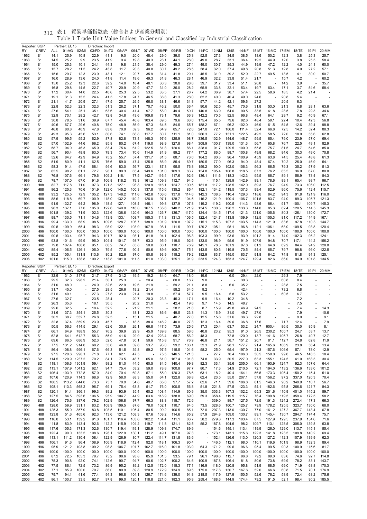| Reporter: SGP |                                    |                    | Partner: EU15  |                | Direction: Import |                |                |                |                |                                |                |               |                          |                          |                |                |                |                          |                |                |                |                          |
|---------------|------------------------------------|--------------------|----------------|----------------|-------------------|----------------|----------------|----------------|----------------|--------------------------------|----------------|---------------|--------------------------|--------------------------|----------------|----------------|----------------|--------------------------|----------------|----------------|----------------|--------------------------|
| RY<br>1962    | <b>CREV</b><br>S <sub>1</sub>      | <b>ALL</b><br>14.1 | 01:AG<br>25.9  | 02:MI<br>10.8  | 03:FD<br>22.9     | 04:TX<br>41.1  | 05:AP<br>9.0   | 06:LT<br>20.0  | 07:WD<br>48.4  | 08:PP<br>29.0                  | 09:RB<br>39.0  | 10:CH<br>25.3 | 11:PC<br>52.5            | 12:NM<br>27.3            | 13:IS<br>34.5  | 14:NF<br>38.5  | 15:MT<br>18.6  | 16:MC<br>50.2            | 17:EM<br>12.3  | 18:TE<br>3.8   | 19:PI<br>25.3  | 20:MM<br>25.7            |
| 1963          | S <sub>1</sub>                     | 14.5               | 25.2           | 9.9            | 23.5              | 41.9           | 9.4            | 19.8           | 40.3           | 28.1                           | 44.1           | 26.0          | 49.0                     | 28.7                     | 33.1           | 36.4           | 19.2           | 44.9                     | 12.0           | 3.8            | 25.5           | 58.4                     |
| 1964          | S <sub>1</sub>                     | 15.0               | 25.3           | 10.1           | 24.1              | 44.3           | 9.8            | 21.5           | 38.4           | 29.0                           | 49.3           | 27.4          | 49.0                     | 30.7                     | 35.3           | 44.9           | 19.9           | 47.2                     | 12.2           | 4.0            | 24.1           | 60.0                     |
| 1965          | S <sub>1</sub>                     | 15.7               | 28.2           | 11.5           | 24.2              | 43.8           | 11.7           | 20.3           | 40.8           | 30.7                           | 49.2           | 28.5          | 58.4                     | 32.0                     | 37.4           | 49.8           | 20.8           | 51.3                     | 12.8           | 4.0            | 27.2           | 57.1                     |
| 1966          | S <sub>1</sub>                     | 15.6               | 29.7           | 12.3           | 23.9              | 43.1           | 12.1           | 20.7           | 35.9           | 31.4                           | 41.8           | 29.1          | 45.5                     | 31.0                     | 39.2           | 52.9           | 22.7           | 49.5                     | 13.5           | 4.1            | 30.0           | 50.7                     |
| 1967          | S <sub>1</sub>                     | 16.0               | 28.9           | 13.6           | 24.0              | 41.8           | 11.4           | 19.6           | 49.3           | 31.8                           | 46.3           | 28.1          | 46.9                     | 32.2                     | 33.8           | 51.4           | 21.7           |                          | 15.7           | 4.2            |                | 60.2                     |
| 1968          | S <sub>1</sub>                     | 15.0               | 25.2           | 12.3           | 22.6              | 39.2           | 14.0           | 18.4           | 48.1           | 30.3                           | 38.8           | 28.6          | 39.7                     | 31.7                     | 33.4           | 51.1           | 20.8           |                          | 14.2           | 3.9            |                | 35.7                     |
| 1969          | S <sub>1</sub>                     | 16.8<br>17.2       | 29.8<br>30.4   | 14.5           | 22.7<br>22.5      | 40.7<br>40.6   | 20.9           | 20.9<br>22.5   | 47.7<br>53.2   | 31.0                           | 36.0<br>37.1   | 28.2<br>28.7  | 65.9                     | 33.8<br>36.9             | 32.1<br>38.7   | 53.4           | 19.7<br>22.5   | 63.4                     | 17.1           | 3.7<br>4.2     | 54.6           | 58.4                     |
| 1970<br>1971  | S <sub>1</sub><br>S <sub>1</sub>   | 19.1               | 31.3           | 14.0<br>15.5   | 24.4              | 41.5           | 25.3<br>17.8   | 24.7           | 46.5           | 33.5<br>36.8                   | 41.3           | 28.0          | 64.2<br>62.2             | 40.0                     | 40.4           | 57.4<br>49.0   | 24.6           | 58.6                     | 18.5<br>20.8   | 5.4            | 21.4           |                          |
| 1972          | S <sub>1</sub>                     | 21.1               | 41.7           | 20.9           | 27.1              | 47.5           | 25.7           | 26.5           | 66.0           | 38.1                           | 46.6           | 31.8          | 57.7                     | 44.2                     | 42.1           | 59.6           | 27.2           |                          | 20.5           | 6.3            |                |                          |
| 1973          | S <sub>1</sub>                     | 22.8               | 52.3           | 22.3           | 32.3              | 51.3           | 28.2           | 37.1           | 70.7           | 46.2                           | 50.0           | 36.4          | 90.6                     | 52.5                     | 45.7           | 70.6           | 31.8           | 53.0                     | 21.3           | 6.8            | 28.1           | 63.6                     |
| 1974          | S <sub>1</sub>                     | 27.6               | 54.1           | 25.1           | 35.1              | 63.6           | 30.4           | 41.4           | 97.7           | 58.0                           | 49.4           | 50.7          | 140.8                    | 63.9                     | 64.0           | 90.5           | 33.5           | 61.8                     | 28.5           | 7.8            | 29.3           | 34.6                     |
| 1975          | S <sub>1</sub>                     | 32.9               | 70.1           | 28.2           | 42.7              | 72.8           | 34.8           | 43.6           | 109.8          | 73.1                           | 79.6           | 66.3          | 142.2                    | 70.5                     | 92.5           | 96.8           | 48.4           | 64.1                     | 29.7           | 9.2            | 40.9           | 67.1                     |
| 1976          | S <sub>1</sub>                     | 30.8               | 78.5           | 31.6           | 39.9              | 67.7           | 45.4           | 46.8           | 103.4          | 69.5                           | 79.6           | 63.0          | 175.4                    | 65.5                     | 79.6           | 92.6           | 48.4           | 59.1                     | 22.4           | 10.4           | 42.3           | 56.8                     |
| 1977          | S <sub>1</sub>                     | 40.6               | 67.7           | 29.6           | 40.8              | 75.0           | 48.9           | 56.9           | 97.3           | 64.5                           | 84.5           | 65.7          | 188.2                    | 67.1                     | 96.2           | 102.0          | 46.9           | 61.5                     | 54.5           | 12.6           | 39.4           | 98.8                     |
| 1978          | S <sub>1</sub>                     | 46.8               | 80.8           | 40.9           | 47.8              | 83.8           | 70.9           | 59.3           | 96.2           | 64.9                           | 85.7           | 72.6          | 247.0                    | 72.1                     | 106.0          | 111.4          | 52.4           | 66.8                     | 72.5           | 14.2           | 52.4           | 88.3                     |
| 1979<br>1980  | S <sub>1</sub><br>S <sub>2</sub>   | 49.3<br>57.9       | 95.3<br>99.5   | 45.6<br>55.2   | 53.1<br>62.9      | 80.6<br>87.8   | 74.1<br>82.8   | 68.8<br>73.4   | 117.7<br>148.3 | 80.7<br>97.6                   | 111.1<br>125.9 | 81.0<br>98.7  | 266.3<br>336.5           | 77.2<br>102.9            | 131.1<br>144.6 | 122.5<br>148.7 | 49.2<br>59.5   | 58.5<br>65.4             | 72.0<br>79.0   | 18.0<br>23.9   | 55.6<br>57.0   | 62.8<br>69.4             |
| 1981          | S <sub>2</sub>                     | 57.0               | 102.9          | 44.6           | 66.2              | 85.8           | 80.2           | 67.4           | 119.0          | 98.9                           | 127.8          | 98.4          | 308.9                    | 100.7                    | 139.0          | 131.3          | 56.7           | 65.8                     | 76.7           | 22.5           | 49.1           | 82.9                     |
| 1982          | S <sub>2</sub>                     | 58.7               | 94.0           | 46.3           | 65.9              | 83.4           | 75.6           | 61.2           | 122.5          | 81.8                           | 120.6          | 86.1          | 328.0                    | 91.7                     | 129.5          | 100.0          | 55.8           | 75.7                     | 81.5           | 24.7           | 54.6           | 85.0                     |
| 1983          | S <sub>2</sub>                     | 56.7               | 90.4           | 48.8           | 63.0              | 79.3           | 73.4           | 70.6           | 114.9          | 81.9                           | 89.2           | 77.4          | 177.2                    | 86.0                     | 98.7           | 100.8          | 49.8           | 68.2                     | 84.6           | 30.3           | 49.0           | 70.8                     |
| 1984          | S <sub>2</sub>                     | 52.6               | 84.7           | 42.9           | 64.9              | 75.2           | 55.7           | 57.4           | 131.7          | 81.5                           | 88.7           | 73.0          | 164.2                    | 80.3                     | 96.4           | 100.9          | 45.9           | 63.8                     | 74.5           | 25.4           | 48.8           | 61.3                     |
| 1985          | S <sub>2</sub>                     | 51.9               | 80.9           | 41.1           | 62.5              | 76.6           | 59.0           | 47.4           | 125.8          | 86.9                           | 85.4           | 69.7          | 150.5                    | 77.0                     | 96.3           | 94.0           | 48.4           | 67.4                     | 70.2           | 25.0           | 46.9           | 54.1                     |
| 1986          | S <sub>2</sub>                     | 58.3               | 91.4           | 47.5           | 68.1              | 94.6           | 83.0           | 56.7           | 123.1          | 87.3                           | 95.5           | 76.8          | 159.2                    | 90.0                     | 102.0          | 106.3          | 56.3           | 66.5                     | 79.3           | 35.2           | 57.9           | 51.3                     |
| 1987          | S <sub>2</sub>                     | 65.5               | 98.2           | 61.1           | 72.7              | 98.1           | 99.3           | 65.4           | 149.6          | 101.0                          | 109.3          | 83.7          | 154.8                    | 105.4                    | 106.8          | 118.5          | 67.3           | 76.2                     | 85.5           | 36.0           | 67.0           | 80.0                     |
| 1988<br>1989  | S <sub>2</sub><br>S <sub>2</sub>   | 76.8<br>78.7       | 107.6<br>107.0 | 66.1<br>67.0   | 79.6<br>91.6      | 109.2<br>106.8 | 118.1<br>118.2 | 77.5<br>79.3   | 142.7<br>161.2 | 116.4<br>109.3                 | 117.6<br>112.7 | 92.6<br>94.5  | 136.1<br>ä,              | 111.6<br>115.1           | 118.3<br>129.9 | 142.3<br>142.9 | 95.5<br>89.1   | 86.7<br>78.6             | 89.1<br>89.1   | 58.9<br>65.4   | 73.4<br>98.7   | 84.3<br>96.7             |
| 1990          | H88                                | 82.7               | 117.8          | 71.0           | 97.3              | 121.3          | 127.1          | 98.8           | 120.9          | 116.1                          | 124.7          | 100.5         | 181.8                    | 117.2                    | 128.5          | 142.0          | 89.3           | 76.7                     | 94.9           | 73.3           | 106.0          | 112.5                    |
| 1991          | H88                                | 86.2               | 125.3          | 70.6           | 101.9             | 122.0          | 145.2          | 100.3          | 137.8          | 115.6                          | 135.2          | 85.4          | 182.1                    | 134.2                    | 118.5          | 137.3          | 99.4           | 82.9                     | 96.0           | 75.6           | 112.4          | 115.7                    |
| 1992          | H88                                | 93.2               | 125.5          | 72.9           | 105.2             | 127.3          | 148.2          | 111.6          | 142.8          | 106.6                          | 137.8          | 114.6         | 142.3                    | 138.3                    | 110.4          | 129.3          | 118.6          | 84.2                     | 94.3           | 91.8           | 121.9          | 116.0                    |
| 1993          | H88                                | 88.6               | 118.8          | 69.7           | 100.9             | 118.0          | 132.2          | 110.2          | 126.0          | 97.1                           | 128.7          | 104.5         | 116.2                    | 121.9                    | 100.4          | 106.7          | 101.5          | 83.7                     | 94.0           | 89.3           | 105.7          | 121.3                    |
| 1994          | H88                                | 91.9               | 132.7          | 64.2           | 98.9              | 118.5          | 127.1          | 108.4          | 146.1          | 99.8                           | 137.9          | 107.8         | 119.2                    | 119.2                    | 100.5          | 114.3          | 98.6           | 86.4                     | 91.7           | 100.1          | 109.7          | 145.3                    |
| 1995          | H88                                | 96.3               | 137.1          | 77.0           | 105.0             | 122.6          | 140.0          | 118.0          | 167.5          | 135.6                          | 140.2          | 121.9         | 134.5                    | 130.3                    | 126.2          | 133.3          | 114.0          | 85.3                     | 82.4           | 120.5          | 114.5          | 145.3                    |
| 1996          | H88                                | 101.8              | 139.2          | 71.9           | 102.3             | 122.6          | 138.6          | 120.6          | 164.3          | 126.7                          | 136.7          | 117.0         | 124.4                    | 134.5                    | 117.4          | 121.3          | 121.0          | 105.6                    | 80.3           | 126.1          | 130.0          | 172.7                    |
| 1997          | H88                                | 98.7               | 130.5          | 71.1           | 104.6             | 113.9          | 133.1          | 108.7          | 155.3          | 111.3                          | 131.3          | 106.5         | 122.4                    | 124.7                    | 113.8          | 109.9          | 112.5          | 105.3                    | 81.0           | 117.2          | 114.9          | 167.1                    |
| 1998<br>1999  | H96<br>H96                         | 99.4<br>90.5       | 133.0<br>109.9 | 68.9<br>65.4   | 98.5<br>98.3      | 109.6<br>98.9  | 128.7<br>122.1 | 106.7<br>103.9 | 138.9<br>107.9 | 101.9<br>98.1                  | 120.8<br>111.5 | 107.2<br>99.7 | 115.1<br>129.2           | 115.3<br>105.1           | 107.2<br>95.1  | 103.5<br>96.8  | 114.3<br>112.1 | 121.9<br>106.1           | 83.6<br>68.0   | 97.8<br>109.5  | 110.3<br>93.8  | 144.7<br>120.4           |
| 2000          | H96                                | 100.0              | 100.0          | 100.0          | 100.0             | 100.0          | 100.0          | 100.0          | 100.0          | 100.0                          | 100.0          | 100.0         | 100.0                    | 100.0                    | 100.0          | 100.0          | 100.0          | 100.0                    | 100.0          | 100.0          | 100.0          | 100.0                    |
| 2001          | H96                                | 90.5               | 103.4          | 95.7           | 94.3              | 101.7          | 92.0           | 98.1           | 81.8           | 94.1                           | 102.4          | 96.3          | 103.3                    | 99.9                     | 93.6           | 93.9           | 101.2          | 91.4                     | 74.0           | 102.3          | 96.2           | 124.1                    |
| 2002          | H96                                | 93.8               | 101.6          | 99.9           | 95.0              | 104.4          | 101.7          | 93.7           | 93.3           | 95.9                           | 119.0          | 92.6          | 133.0                    | 98.9                     | 95.6           | 91.9           | 107.9          | 94.8                     | 70.7           | 117.1          | 114.2          | 156.2                    |
| 2003          | H <sub>02</sub>                    | 79.8               | 107.4          | 106.8          | 95.1              | 80.2           | 74.7           | 85.8           | 50.8           | 86.1                           | 110.7          | 76.9          | 145.1                    | 78.3                     | 101.9          | 97.8           | 81.2           | 64.8                     | 69.2           | 84.4           | 94.2           | 128.0                    |
| 2004          | H <sub>02</sub>                    | 85.4               | 106.5          | 126.1          | 105.0             | 79.5           | 77.6           | 90.4           | 50.6           | 89.6                           | 109.7          | 75.1          | 143.5                    | 80.6                     | 119.8          | 70.5           | 84.4           | 65.7                     | 79.7           | 98.8           | 96.0           | 122.5                    |
| 2005          | H <sub>02</sub>                    | 85.2               | 105.4          | 131.8          | 113.6             | 80.2           | 82.6           | 97.0           | 50.8           | 93.9                           | 115.2          | 79.2          | 182.9                    | 83.7                     | 145.0          | 83.7           | 91.8           | 64.2                     | 74.8           | 81.8           | 91.3           | 125.1                    |
|               |                                    | 101.6              |                |                | 109.2             |                | 101.0          | 111.5          | 61.0           | 103.0                          | 125.1          | 91.9          | 233.5                    | 124.3                    | 163.3          | 124.7          | 129.4          | 82.6                     | 86.0           | 94.9           | 101.8          | 134.5                    |
| 2006          | H <sub>02</sub>                    |                    | 115.0          | 138.8          |                   | 113.8          |                |                |                |                                |                |               |                          |                          |                |                |                |                          |                |                |                |                          |
| Reporter: SGP |                                    |                    | Partner: EU15  |                | Direction: Export |                |                |                |                |                                |                |               |                          |                          |                |                |                |                          |                |                |                |                          |
| RY            | CREV                               | ALL                | 01:AG          | 02:MI          | 03:FD             | 04:TX          | 05:AP          | 06:LT          | 07:WD          | 08:PP                          | 09:RB          | 10:CH         | 11:PC                    | 12:NM                    | $13:$ IS       | 14:NF          | 15:MT          | 16:MC                    | 17:EM          | 18:TE          | 19:PI          | 20:MM                    |
| 1962          | S <sub>1</sub>                     | 32.9               | 31.0           | 317.9          | 21.7              | 27.9           | 31.2           | 19.5           | 19.2           | 84.0                           | 64.7           | 18.0          | 19.6                     |                          | 6.0            | 29.4           | 22.0           | ä,                       | 29.3           | 7.9            |                |                          |
| 1963          | S <sub>1</sub>                     | 29.5               | 32.3           | 298.2          | 21.4              | 30.1           | 25.3           |                | 20.4           | ÷,                             | 60.8           | 16.7          | 9.0                      |                          |                | 30.3           |                | ä,                       | 60.8           | 8.4            |                | $\overline{\phantom{a}}$ |
| 1964          | S <sub>1</sub>                     | 31.0               | 48.0           |                | 24.0              | 32.6           | 22.9           | 19.6           | 21.9           | $\overline{\phantom{a}}$       | 59.2           | 21.1          | 8.8                      | $\overline{\phantom{a}}$ | 6.0            | 35.2           |                |                          | 28.8           | 7.5            |                |                          |
| 1965          | S <sub>1</sub>                     | 31.7               | 45.0           |                | 27.5              | 28.5           | 26.6           | 19.2           | 21.4           | ä,<br>$\overline{\phantom{a}}$ | 58.2           | 34.5          | 9.2                      |                          |                | 42.4           | ÷              |                          | 73.2           | 6.8            |                |                          |
| 1966<br>1967  | S <sub>1</sub><br>S <sub>1</sub>   | 31.6<br>27.6       | 40.1<br>32.7   |                | 27.3<br>23.5      | 27.8<br>28.4   | 23.0           | 21.4<br>20.7   | 19.8<br>20.3   | 23.3                           | 57.4<br>45.3   | 57.7<br>17.1  | 9.5<br>9.9               | 16.4<br>16.4             | 5.8<br>10.2    | 53.2<br>34.8   |                |                          | 60.5           | 6.7<br>7.2     |                |                          |
| 1968          | S <sub>1</sub>                     | 26.3               | 35.6           |                | 18.1              | 30.5           |                | 20.2           | 21.0           | $\overline{\phantom{a}}$       | 42.4           | 19.6          | 9.7                      | 14.5                     | 14.5           | 48.7           |                |                          |                | 7.5            |                |                          |
| 1969          | S <sub>1</sub>                     | 29.6               | 32.5           |                | 18.4              | 32.2           |                | 21.2           | 21.1           |                                | 58.2           | 21.8          | 8.7                      | 15.9                     | 49.8           | 46.9           | 24.5           |                          |                | 7.4            |                | 14.3                     |
| 1970          | S <sub>1</sub>                     | 31.6               | 37.3           | 354.1          | 25.5              | 30.3           |                | 18.1           | 22.3           | 86.6                           | 49.5           | 23.3          | 11.3                     | 16.9                     | 31.0           | 49.7           | 27.0           | $\overline{\phantom{a}}$ |                | 7.9            |                | 10.6                     |
| 1971          | S <sub>1</sub>                     | 30.2               | 38.7           | 332.7          | 26.8              | 32.3           |                | 15.1           | 21.5           | $\overline{\phantom{a}}$       | 40.7           | 27.0          | 12.5                     | 15.6                     | 31.6           | 36.3           | 22.8           |                          |                | 9.0            |                | 9.1                      |
| 1972          | S <sub>1</sub>                     | 32.8               | 37.4           | 359.9          | 23.9              | 45.7           |                | 18.5           | 38.4           | 146.2                          | 40.0           | 27.3          | 12.3                     | 16.4                     | 39.6           | 36.8           | 17.6           |                          | 71.7           | 12.4           |                | 7.9                      |
| 1973          | S <sub>1</sub>                     | 50.5               | 56.3           | 414.5          | 29.1              | 62.6           | 30.6           | 26.1           | 66.8           | 147.5                          | 73.9           | 25.6          | 17.3                     | 20.4                     | 63.7           | 53.2           | 24.7           | 600.4                    | 86.5           | 30.0           | 85.9           | 8.1                      |
| 1974<br>1975  | S <sub>1</sub><br>S <sub>1</sub>   | 66.1<br>62.8       | 64.9<br>64.1   | 788.9<br>612.7 | 55.7<br>55.3      | 76.2<br>55.9   | 39.9<br>41.6   | 29.9<br>29.9   | 45.9<br>42.4   | 189.8<br>223.4                 | 88.5<br>68.7   | 58.6<br>56.2  | 40.8<br>48.3             | 23.2                     | 95.3<br>72.8   | 91.0<br>120.0  | 26.5<br>13.7   | 230.2<br>141.6           | 100.7<br>106.7 | 24.7<br>26.8   | 53.7<br>40.7   | 13.7<br>12.7             |
| 1976          | S <sub>1</sub>                     | 69.6               | 86.5           | 686.9          | 52.3              | 52.0           | 47.8           | 30.1           | 50.6           | 115.8                          | 91.7           | 76.9          | 46.8                     | 21.1                     | 58.7           | 151.2          | 20.7           | 81.1                     | 112.7          | 24.8           | 62.8           | 11.9                     |
| 1977          | S <sub>1</sub>                     | 77.5               | 131.2          | 914.0          | 68.2              | 55.6           | 46.8           | 39.6           | 53.7           | 93.0                           | 99.2           | 103.1         | 52.3                     | 21.9                     | 98.1           | 177.7          | 21.4           | 165.6                    | 106.9          | 23.8           | 56.4           | 13.4                     |
| 1978          | S <sub>1</sub>                     | 86.4               | 108.8          | 996.1          | 67.6              | 66.3           | 51.5           | 39.8           | 59.2           | 97.5                           | 115.5          | 101.6         | 58.2                     | 25.0                     | 65.4           | 197.9          | 21.3           | 157.6                    | 106.6          | 57.1           | 78.0           | 12.9                     |
| 1979          | S <sub>1</sub>                     | 97.5               | 120.6          | 990.1          | 71.8              | 77.1           | 62.1           | 47.5           |                | 75.5                           | 146.5          | 121.3         |                          | 27.7                     | 70.4           | 196.0          | 30.5           | 150.0                    | 99.6           | 46.5           | 148.5          | 18.4                     |
| 1980          | S <sub>2</sub>                     | 114.5              | 129.9 1237.2   |                | 70.2              | 84.1           | 73.5           | 48.7           | 65.0           | 61.0                           | 167.4          | 101.8         | 74.8                     | 33.9                     | 30.5           | 227.0          | 63.3           | 155.1                    | 124.5          | 61.0           | 168.3          | 30.4                     |
| 1981          | S <sub>2</sub>                     | 118.1              | 106.6 1301.9   |                | 59.4              | 98.2           | 81.0           | 44.5           | 60.5           | 84.5                           | 140.4          | 99.8          | 82.3                     | 33.1                     | 35.6           | 205.0          | 66.1           | 193.9                    | 124.7          | 92.3           | 157.6          | 64.4                     |
| 1982          | S <sub>2</sub>                     | 113.1<br>106.4     | 107.9 1041.2   |                | 62.1              | 94.7<br>84.0   | 75.4           | 53.2           | 59.0<br>57.1   | 78.8<br>55.0                   | 100.8          | 97.7          | 80.7                     | 17.3<br>18.2             | 34.9           | 210.5          | 72.1<br>56.5   | 194.0                    | 113.2          | 136.6<br>150.2 | 133.0          | 101.2<br>51.0            |
| 1983<br>1984  | S <sub>2</sub><br>S <sub>2</sub>   | 107.6              | 103.9<br>120.9 | 772.8<br>714.3 | 57.0<br>68.6      | 72.9           | 70.4<br>58.0   | 69.3<br>88.3   | 55.0           | 64.1                           | 120.3<br>122.8 | 78.6<br>68.8  | 63.1<br>62.4             | 23.5                     | 40.4<br>55.0   | 164.1<br>207.1 | 57.8           | 173.3<br>156.2           | 106.4<br>97.2  | 337.0          | 115.4<br>120.3 | 70.4                     |
| 1985          | S <sub>2</sub>                     | 100.5              | 113.2          | 644.0          | 73.3              | 75.7           | 70.9           | 34.8           | 48.7           | 65.8                           | 97.7           | 57.2          | 62.6                     | 71.1                     | 59.6           | 186.8          | 61.5           | 146.3                    | 90.2           | 349.9          | 110.7          | 56.7                     |
| 1986          | S <sub>2</sub>                     | 108.1              | 113.3          | 568.2          | 96.7              | 69.1           | 75.4           | 63.8           | 51.7           | 76.0                           | 100.5          | 56.8          | 51.8                     | 221.8                    | 57.5           | 123.3          | 54.1           | 182.6                    | 95.8           | 266.6          | 121.7          | 84.3                     |
| 1987          | S <sub>2</sub>                     | 120.1              | 91.4           | 366.1          | 99.3              | 89.2           | 93.9           | 35.4           | 60.2           | 108.4                          | 114.9          | 60.9          | 35.0                     | 303.3                    | 107.3          | 102.2          | 65.3           | 201.6                    | 110.9          | 401.0          | 145.2          | 59.7                     |
| 1988          | S <sub>2</sub>                     | 127.5              | 84.5           | 393.6          | 106.5             | 95.9           | 104.7          | 44.9           | 63.6           | 118.9                          | 138.8          | 69.0          | 59.3                     | 358.4                    | 119.5          | 115.7          | 76.4           | 199.8                    | 119.5          | 359.4          | 172.5          | 58.2                     |
| 1989          | S <sub>2</sub>                     | 126.4              | 75.6           | 387.6          | 79.2              | 102.9          | 106.8          | 97.7           | 66.3           | 88.8                           | 118.7          | 72.6          | ÷,                       | 339.0                    | 89.7           | 127.5          | 72.5           | 191.3                    | 124.2          | 272.4          | 117.3          | 66.3                     |
| 1990          | H88                                | 128.0              | 59.9           | 331.1          | 83.2              | 108.9          | 109.5          | 87.6           | 78.0           | 102.1                          | 110.7          | 84.5          | 73.5                     | 328.6                    | 100.7          | 125.7          | 79.9           | 178.2                    | 125.5          | 323.7          | 130.0          | 68.0                     |
| 1991          | H88<br>H88                         | 125.3              | 55.0           | 357.9          | 83.8              | 108.5          | 110.1          | 105.4          | 80.5           | 99.2                           | 106.5          | 85.1          | 72.0                     | 297.3                    | 113.0          | 130.7          | 77.0           | 161.2                    | 127.2          | 367.7          | 143.4<br>174.4 | 67.8                     |
| 1992<br>1993  | H88                                | 123.8<br>116.0     | 51.6<br>53.1   | 465.6<br>139.2 | 92.3<br>91.0      | 113.6<br>101.7 | 121.2<br>116.4 | 108.3<br>103.6 | 87.6<br>102.2  | 108.2<br>104.4                 | 114.6<br>111.1 | 85.2<br>86.7  | 57.9<br>58.2             | 294.8<br>279.8           | 109.0<br>117.3 | 130.7<br>103.4 | 89.1<br>87.5   | 145.4<br>127.9           | 130.7<br>129.5 | 294.7<br>237.9 | 154.6          | 75.7<br>71.6             |
| 1994          | H88                                | 111.8              | 83.9           | 143.4          | 92.6              | 112.2          | 115.9          | 104.2          | 119.7          | 111.8                          | 121.1          | 82.5          | 55.2                     | 187.8                    | 104.6          | 98.2           | 109.7          | 113.1                    | 128.5          | 306.0          | 139.8          | 63.8                     |
| 1995          | H88                                | 117.6              | 105.3          | 171.3          | 102.6             | 130.7          | 119.4          | 119.1          | 128.9          | 109.8                          | 174.7          | 89.9          |                          | $-154.6$                 | 145.1          | 113.4          | 119.9          | 126.0                    | 129.0          | 113.7          | 145.1          | 55.4                     |
| 1996          | H88                                | 122.4              | 90.0           | 133.5          | 108.6             | 126.1          | 122.9          | 130.1          | 111.2          | 49.1                           | 167.0          | 97.3          |                          | $-173.1$                 | 143.1          | 115.6          | 122.3          | 141.8                    | 123.5          | 109.8          | 140.2          | 69.4                     |
| 1997          | H88                                | 113.1              | 111.2          | 130.4          | 108.4             | 122.9          | 126.9          | 80.7           | 122.4          | 114.7                          | 131.8          | 83.6          |                          | $-152.4$                 | 126.6          | 113.0          | 120.3          | 127.2                    | 112.3          | 107.9          | 139.9          | 62.3                     |
| 1998          | H96                                | 106.1              | 91.6           | 96.4           | 108.9             | 106.9          | 118.9          | 112.4          | 92.0           | 118.1                          | 106.3          | 90.4          | $\overline{\phantom{a}}$ | 146.5                    | 112.1          | 98.0           | 110.1          | 119.6                    | 101.9          | 98.9           | 132.3          | 89.4                     |
| 1999          | H96                                | 95.9               | 121.2          | 103.8          | 109.2             | 98.8           | 106.7          | 101.7          | 102.7          | 116.0                          | 101.8          | 103.9         | 64.3                     | 171.2                    | 99.6           | 96.6           | 95.4           | 99.5                     | 90.3           | 100.9          | 115.6          | 81.7                     |
| 2000          | H96                                | 100.0              | 100.0          | 100.0          | 100.0             | 100.0          | 100.0          | 100.0          | 100.0          | 100.0                          | 100.0          | 100.0         | 100.0                    | 100.0                    | 100.0          | 100.0          | 100.0          | 100.0                    | 100.0          | 100.0          | 100.0          | 100.0                    |
| 2001          | H96                                | 87.2               | 72.5           | 105.3          | 79.7              | 75.2           | 98.6           | 93.8           | 85.9           | 101.5                          | 93.5           | 79.1<br>64.6  | 96.1                     | 198.6                    | 112.7          | 96.8           | 79.2           | 89.0                     | 83.6           | 74.6           | 92.7           | 114.8                    |
| 2002<br>2003  | H96<br>H <sub>02</sub>             | 75.3<br>77.5       | 90.8<br>86.1   | 92.0<br>72.5   | 74.1<br>73.2      | 112.6<br>86.9  | 90.7<br>95.2   | 94.7<br>89.2   | 90.6<br>112.5  | 102.7<br>172.0                 | 100.2<br>118.3 | 77.1          | 100.9<br>116.9           | 187.8<br>118.0           | 106.4<br>120.8 | 81.8<br>95.8   | 80.6<br>51.9   | 73.8<br>68.5             | 69.9<br>69.0   | 78.2<br>71.9   | 83.1<br>68.8   | 143.7<br>170.3           |
| 2004          | H <sub>02</sub>                    | 77.1               | 85.9           | 100.0          | 79.7              | 86.0           | 89.9           | 89.8           | 120.9          | 172.9                          | 134.9          | 89.5          | 175.0                    | 117.8                    | 130.7          | 167.6          | 52.0           | 66.6                     | 60.8           | 71.5           | 70.1           | 176.9                    |
| 2005<br>2006  | H <sub>02</sub><br>H <sub>02</sub> | 79.7<br>86.1       | 94.1<br>100.7  | 41.6<br>33.5   | 77.4<br>92.7      | 94.3<br>97.8   | 96.8<br>99.0   | 104.1<br>120.1 | 126.7<br>118.8 | 174.6<br>221.0                 | 139.0<br>182.3 | 91.8<br>95.9  | 218.5<br>259.4           | 117.9<br>188.6           | 127.9<br>144.9 | 150.5<br>174.4 | 52.6<br>79.2   | 76.2<br>91.5             | 58.9<br>52.1   | 72.4<br>98.4   | 68.2<br>90.2   | 175.6<br>185.5           |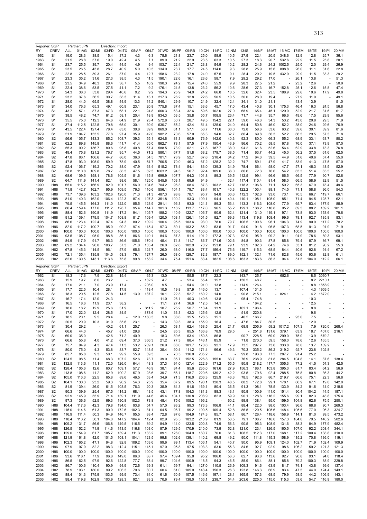|              | Reporter: SGP                      |                | Partner: JPN          |                | Direction: Import          |                |                |                          |                |               |                |                |                                  |                |                |                |                |                          |                          |              |                |                          |
|--------------|------------------------------------|----------------|-----------------------|----------------|----------------------------|----------------|----------------|--------------------------|----------------|---------------|----------------|----------------|----------------------------------|----------------|----------------|----------------|----------------|--------------------------|--------------------------|--------------|----------------|--------------------------|
| RY           | CREV                               | ALL            | 01:AG                 | 02:MI          | 03:FD                      | 04:TX          | 05:AP          | 06:LT                    | 07:WD          | 08:PP         | 09:RB          | 10:CH          | 11:PC                            | 12:NM          | 13:IS          | 14:NF          | 15:MT          | 16:MC                    | 17:EM                    | 18:TE        | 19:PI          | 20:MM                    |
| 1962         | S <sub>1</sub>                     | 19.0           | 28.3                  | 38.5           | 15.4                       | 37.2           | 4.3            | 6.3                      | 78.6           | 21.8          | 23.7           | 25.0           | 58.9                             | 10.5           | 27.9           | 22.4           | 20.5           | 348.6                    | 12.9                     | 12.8         | 25.7           | 36.1                     |
| 1963         | S <sub>1</sub>                     | 21.5           | 28.8                  | 37.6           | 19.0                       | 42.4           | 4.5            | 7.1                      | 89.0           | 21.2          | 22.9           | 23.5           | 63.3                             | 10.5           | 27.3           | 18.3           | 20.7           | 532.6                    | 22.9                     | 11.5         | 25.8           | 20.1                     |
| 1964         | S <sub>1</sub>                     | 23.7           | 25.5                  | 39.7           | 20.4                       | 44.5           | 4.9            | 9.4                      | 103.7          | 22.4          | 21.7           | 23.8           | 54.9                             | 10.2           | 28.2           | 24.6           | 24.2           | 1002.5                   | 25.0                     | 12.0         | 29.4           | 26.9                     |
| 1965         | S <sub>1</sub>                     | 23.5           | 26.5                  | 43.8           | 28.7                       | 40.9           | 5.0            | 10.5                     | 134.0          | 23.7          | 17.7           | 24.5           | 114.6                            | 9.3            | 28.8           | 25.9           | 15.6           | 898.8                    | 26.0                     | 11.1         | 31.6           | 22.8                     |
| 1966         | S <sub>1</sub>                     | 22.8           | 28.5                  | 39.3           | 26.1                       | 37.0           | 4.4            | 12.7                     | 158.6          | 23.2          | 17.8           | 24.0           | 57.5                             | 9.1            | 28.4           | 29.2           | 19.5           | 432.9                    | 29.9                     | 11.5         | 33.3           | 29.2                     |
| 1967         | S <sub>1</sub>                     | 23.3           | 35.2                  | 31.6           | 27.3                       | 38.5           | 4.3            | 11.5                     | 190.1          | 22.6          | 16.1           | 23.6           | 58.7                             | 7.9            | 29.2           | 29.2           | 17.0           |                          | 26.1                     | 13.8         |                | 51.3                     |
| 1968         | S <sub>1</sub>                     | 23.5           | 34.9                  | 48.3           | 28.4                       | 38.7           | 5.5            | 10.2                     | 190.3          | 24.2          | 15.4           | 24.0           | 55.9                             | 9.9            | 28.3           | 27.5           | 21.2           |                          | 23.2                     | 12.6         |                | 50.9                     |
| 1969         | S <sub>1</sub>                     | 22.4           | 38.6                  | 53.5           | 27.5                       | 41.1           | 7.2            | 9.2                      | 176.1          | 24.5          | 13.8           | 23.2           | 56.2                             | 10.6           | 28.6           | 27.3           | 16.7           | 152.8                    | 25.1                     | 12.6         | 15.8           | 47.4                     |
| 1970         | S <sub>1</sub>                     | 24.3           | 38.3<br>37.6          | 53.8           | 29.4                       | 40.6           | 9.2            | 9.2                      | 194.3<br>217.3 | 25.9          | 14.0           | 24.2           | 66.8                             | 10.5           | 32.6           | 32.4           | 23.5<br>19.4   | 188.9                    | 29.6                     | 10.6         | 17.9           | 49.8                     |
| 1971         | S <sub>1</sub>                     | 23.2           |                       | 56.5           | 30.7                       | 38.3           | 11.4           | 13.1                     |                | 26.2          | 12.8           | 22.6           | 50.5                             | 10.5           | 30.0           | 28.0           |                |                          | 27.9                     | 11.9         |                | 49.1                     |
| 1972         | S <sub>1</sub>                     | 28.0           | 44.0                  | 65.5           | 38.8                       | 44.9           | 13.3           | 14.2                     | 540.1          | 29.9          | 10.7           | 24.9           | 32.4                             | 12.4           | 34.1           | 31.0           | 21.1           |                          | 43.4                     | 13.9         |                | 51.0                     |
| 1973         | S <sub>1</sub>                     | 34.0           | 76.3                  | 65.3           | 49.1                       | 60.9<br>68.1   | 23.1           | 20.8<br>24.8             | 775.8<br>660.3 | 37.4          | 15.1           | 33.6<br>59.6   | 45.7                             | 17.0<br>27.0   | 43.4           | 40.8           | 30.1<br>45.1   | 175.3                    | 46.4                     | 16.3         | 24.5           | 56.8                     |
| 1974         | S <sub>1</sub><br>S <sub>1</sub>   | 43.7<br>38.5   | 57.1<br>48.2          | 87.3<br>74.7   | 67.3                       |                | 22.1<br>20.4   | 18.9                     | 934.3          | 63.4          | 32.6<br>35.8   | 55.7           | 102.0<br>108.5                   | 26.4           | 68.9           | 65.4           |                | 129.9<br>66.6            | 52.9<br>49.6             | 21.7<br>17.5 | 31.6           | 61.7<br>95.6             |
| 1975<br>1976 | S <sub>1</sub>                     | 35.5           | 75.0                  | 112.3          | 61.2                       | 58.1<br>64.9   | 21.9           | 23.4                     | 572.8          | 53.5<br>50.7  | 28.7           | 49.5           | 154.2                            | 22.1           | 71.7<br>59.0   | 44.8<br>46.3   | 35.7<br>34.3   | 53.2                     | 43.0                     | 20.8         | 29.9<br>29.5   | 71.9                     |
| 1977         | S <sub>1</sub>                     | 37.4           | 112.5                 | 122.5          | 64.6<br>79.8               | 65.0           | 30.1           | 30.9                     | 630.7          | 55.2          | 42.4           | 51.4           | 125.0                            | 24.0           | 64.4           | 50.8           | 46.0           | 52.2                     | 38.0                     | 24.6         | 29.6           | 76.9                     |
| 1978         | S <sub>1</sub>                     | 43.5           | 122.4                 | 127.4          | 78.4                       | 83.0           | 30.8           | 39.9                     | 869.0          | 61.1          | 57.1           | 56.7           | 111.6                            | 30.0           | 72.8           | 58.6           | 53.6           | 63.2                     | 39.6                     | 30.1         | 39.9           | 81.6                     |
| 1979         | S <sub>1</sub>                     | 51.9           | 104.7                 | 133.5          | 77.8                       | 97.4           | 35.9           | 42.0                     | 982.2          | 70.6          | 57.0           | 65.3           | 94.0                             | 32.7           | 86.4           | 69.8           | 56.3           | 52.2                     | 66.5                     | 29.5         | 57.3           | 71.8                     |
| 1980         | S <sub>2</sub>                     | 56.6           | 105.7                 | 143.3          | 85.2                       | 108.7          | 39.3           | 55.1                     | 624.6          | 81.3          | 60.9           | 76.9           | 142.0                            | 40.3           | 92.3           | 80.0           | 66.3           | 55.2                     | 68.9                     | 33.1         | 63.7           | 80.2                     |
| 1981         | S <sub>2</sub>                     | 62.2           | 89.8                  | 145.8          | 88.6                       | 111.7          | 41.4           | 65.0                     | 862.7          | 78.1          | 57.5           | 77.9           | 150.4                            | 43.9           | 96.6           | 70.2           | 58.5           | 67.8                     | 76.0                     | 37.1         | 73.9           | 87.0                     |
| 1982         | S <sub>2</sub>                     | 55.3           | 90.2                  | 136.7          | 80.6                       | 95.8           | 40.8           | 57.4                     | 588.5          | 73.9          | 62.1           | 71.8           | 187.7                            | 38.0           | 94.2           | 61.6           | 52.6           | 56.4                     | 62.9                     | 33.8         | 73.3           | 76.8                     |
| 1983         | S <sub>2</sub>                     | 49.4           | 75.8                  | 121.2          | 76.7                       | 95.7           | 44.5           | 71.2                     | 580.1          | 67.7          | 51.8           | 68.2           | 179.7                            | 38.5           | 71.4           | 63.7           | 44.2           | 45.0                     | 56.2                     | 37.5         | 61.6           | 62.5                     |
| 1984         | S <sub>2</sub>                     | 47.8           | 86.1                  | 106.6          | 44.7                       | 86.0           | 36.0           | 54.5                     | 701.1          | 73.9          | 52.7           | 67.6           | 218.4                            | 34.2           | 77.2           | 64.3           | 39.5           | 44.9                     | 51.6                     | 40.6         | 57.4           | 55.0                     |
| 1985         | S <sub>2</sub>                     | 47.8           | 93.0                  | 105.0          | 59.9                       | 78.9           | 40.5           | 54.7                     | 760.5          | 70.0          | 46.3           | 67.2           | 125.2                            | 32.2           | 74.7           | 59.1           | 47.9           | 41.7                     | 53.9                     | 41.3         | 47.5           | 57.0                     |
| 1986         | S <sub>2</sub>                     | 52.4           | 106.7                 | 119.2          | 70.2                       | 88.0           | 47.9           | 63.4                     | 515.2          | 78.4          | 54.1           | 83.0           | 139.3                            | 34.9           | 78.4           | 66.4           | 58.0           | 47.7                     | 57.1                     | 46.3         | 48.5           | 52.9                     |
| 1987         | S <sub>2</sub>                     | 58.8           | 110.8                 | 109.8          | 78.7                       | 88.3           | 47.5           | 82.3                     | 1063.2         | 94.3          | 56.7           | 92.4           | 109.6                            | 36.0           | 86.6           | 72.3           | 76.6           | 54.2                     | 63.3                     | 51.4         | 65.5           | 55.2                     |
| 1988         | S <sub>2</sub>                     | 68.6           | 109.5                 | 158.1          | 78.6                       | 105.5          | 51.6           | 115.8                    | 699.9          | 107.7         | 64.3           | 101.8          | 89.3                             | 39.5           | 112.5          | 99.4           | 96.6           | 66.5                     | 66.5                     | 77.9         | 90.7           | 52.6                     |
| 1989         | S <sub>2</sub>                     | 64.7           | 111.9                 | 141.4          | 82.1                       | 98.6           | 58.1           | 125.0                    | 545.6          | 103.1         | 69.6           | 94.9           |                                  | 32.4           | 117.4          | 110.4          | 81.4           | 58.0                     | 66.5                     | 58.9         | 82.9           | 51.5                     |
| 1990         | H88                                | 65.0           | 115.2                 | 166.9          | 82.0                       | 101.7          | 56.0           | 104.6                    | 704.2          | 96.3          | 68.4           | 87.3           | 103.2                            | 42.7           | 118.3          | 106.6          | 71.1           | 59.2                     | 65.3                     | 67.9         | 78.4           | 49.6                     |
| 1991         | H88                                | 71.8           | 142.7                 | 162.7          | 95.9                       | 109.5          | 76.3           | 110.6                    | 556.1          | 104.1         | 79.7           | 83.4           | 101.7                            | 40.3           | 122.2          | 103.4          | 88.1           | 74.5                     | 71.1                     | 58.8         | 96.0           | 54.3                     |
| 1992         | H88                                | 73.7           | 139.6                 | 163.2          | 102.6                      | 120.0          | 71.3           | 91.3                     | 487.3          | 98.8          | 78.1           | 95.7           | 94.8                             | 30.6           | 112.3          | 102.6          | 93.0           | 73.1                     | 70.5                     | 66.7         | 119.7          | 66.1                     |
| 1993         | H88                                | 81.0           | 140.3                 | 162.0          | 106.4                      | 122.3          | 87.4           | 107.3                    | 351.8          | 100.2         | 93.3           | 109.1          | 94.4                             | 40.4           | 110.1          | 108.1          | 105.0          | 85.1                     | 71.4                     | 94.5         | 128.7          | 62.1                     |
| 1994         | H88                                | 79.5           | 145.5                 | 164.3          | 111.0                      | 122.0          | 85.5           | 123.9                    | 291.1          | 96.3          | 93.0           | 124.1          | 89.3                             | 53.4           | 113.3          | 116.3          | 108.0          | 77.9                     | 65.7                     | 83.4         | 177.9          | 85.9                     |
| 1995         | H88                                | 86.4           | 159.4                 | 177.6          | 111.2                      | 128.7          | 95.4           | 114.7                    | 301.3          | 118.2         | 113.7          | 117.0          | 96.5                             | 55.2           | 129.1          | 138.2          | 116.8          | 95.2                     | 69.5                     | 88.2         | 169.2          | 101.1                    |
| 1996         | H88                                | 88.4           | 152.6                 | 190.8          | 111.9                      | 117.2          | 94.1           | 105.7                    | 188.2          | 110.9         | 122.7          | 106.7          | 90.9                             | 62.4           | 121.4          | 131.0          | 119.1          | 97.1                     | 73.8                     | 93.0         | 153.6          | 79.6                     |
| 1997         | H88                                | 91.2           | 139.1                 | 179.5          | 104.7                      | 108.8          | 81.7           | 109.4                    | 120.0          | 108.1         | 126.1          | 101.5          | 92.7                             | 69.3           | 113.4          | 119.8          | 108.4          | 99.6                     | 78.1                     | 92.7         | 185.8          | 83.1                     |
| 1998         | H96                                | 86.6           | 123.4                 | 122.4          | 97.4                       | 94.3           | 80.2           | 109.2                    | 100.4          | 95.5          | 103.6          | 93.0           | 78.0                             | 79.7           | 106.5          | 100.6          | 96.1           | 104.3                    | 74.9                     | 90.9         | 117.2          | 78.2                     |
| 1999         | H <sub>96</sub>                    | 82.0           | 117.2                 | 100.7          | 95.0                       | 99.2           | 97.4           | 115.4                    | 97.3           | 89.1          | 103.2          | 85.2           | 53.5                             | 91.7           | 94.0           | 91.8           | 96.5           | 107.3                    | 68.5                     | 91.3         | 91.9           | 71.9                     |
| 2000         | H96                                | 100.0          | 100.0                 | 100.0          | 100.0                      | 100.0          | 100.0          | 100.0                    | 100.0          | 100.0         | 100.0          | 100.0          | 100.0                            | 100.0          | 100.0          | 100.0          | 100.0          | 100.0                    | 100.0                    | 100.0        | 100.0          | 100.0                    |
| 2001<br>2002 | H <sub>96</sub><br>H96             | 93.5<br>84.9   | 108.7<br>117.9        | 95.0<br>91.7   | 98.8<br>96.3               | 86.1<br>86.6   | 86.6<br>105.6  | 140.1<br>170.4           | 84.6<br>45.4   | 87.3<br>74.8  | 91.4<br>111.7  | 101.2<br>86.7  | 172.3<br>171.6                   | 107.3<br>102.6 | 92.9<br>84.8   | 95.9<br>90.3   | 99.2<br>87.8   | 91.1<br>85.8             | 94.9<br>79.4             | 78.6<br>87.9 | 89.3<br>86.7   | 93.1<br>69.1             |
| 2003         | H <sub>02</sub>                    | 69.2           | 134.4                 | 96.0           | 103.7                      | 57.3           | 71.0           | 133.4                    | 26.0           | 62.8          | 102.9          | 70.2           | 153.8                            | 79.1           | 93.9           | 102.3          | 64.2           | 74.6                     | 53.1                     | 81.2         | 90.2           | 55.3                     |
| 2004         | H <sub>02</sub>                    | 67.8           | 145.3                 | 114.5          | 96.1                       | 57.9           | 65.6           | 124.7                    | 26.0           | 68.0          | 116.0          | 77.7           | 156.4                            | 75.6           | 119.7          | 115.3          | 68.5           | 84.4                     | 40.6                     | 92.8         | 91.4           | 67.2                     |
| 2005         | H <sub>02</sub>                    | 72.1           | 135.4                 | 135.9          | 104.5                      | 58.3           | 79.1           | 127.7                    | 26.0           | 68.0          | 129.7          | 82.3           | 187.7                            | 89.0           | 152.1          | 132.1          | 71.6           | 82.8                     | 45.6                     | 93.6         | 82.8           | 61.1                     |
| 2006         | H <sub>02</sub>                    | 82.6           | 130.5                 | 143.1          | 113.6                      | 75.8           | 99.8           | 158.2                    | 34.4           | 75.4          | 151.6          | 83.4           | 182.5                            | 108.6          | 163.3          | 183.6          | 86.3           | 94.4                     | 51.5                     | 104.0        | 112.2          | 66.1                     |
|              |                                    |                |                       |                |                            |                |                |                          |                |               |                |                |                                  |                |                |                |                |                          |                          |              |                |                          |
|              |                                    |                |                       |                |                            |                |                |                          |                |               |                |                |                                  |                |                |                |                |                          |                          |              |                |                          |
| RY           | Reporter: SGP<br>CREV              | ALL            | Partner: JPN<br>01:AG | 02:MI          | Direction: Export<br>03:FD | 04:TX          | 05:AP          | 06:LT                    | 07:WD          | 08:PP         | 09:RB          | 10:CH          | 11:PC                            | 12:NM          | 13:1S          | 14:NF          | 15:MT          |                          | 16:MC 17:EM              | 18:TE        | 19:PI          | 20:MM                    |
| 1962         | S <sub>1</sub>                     | 18.3           | 17.6                  | 7.9            | 22.8                       | 15.4           |                | 65.3                     | 13.0           | ä,            | 55.5           | 87.7           | 22.3                             | ٠              | 143.7          | 125.7          |                | 682.6                    |                          | 8.5          | 3090.7         |                          |
| 1963         | S <sub>1</sub>                     | 15.9           | 19.7                  | 8.0            | 23.2                       |                | ÷.             | 132.2                    | 4.7            | ÷,            | 53.4           | 55.4           | 15.2                             |                | $-130.2$       | 48.7           |                |                          |                          | 8.2          | 2210.1         |                          |
| 1964         | S <sub>1</sub>                     | 17.0           | 21.1                  | 7.0            | 23.9                       | 17.4           | ÷.             | 206.0                    | 9.5            | ä,            | 54.4           | 91.0           | 13.8                             |                | $-114.9$       | 126.4          |                | $\overline{\phantom{a}}$ | ٠                        | 8.8          | 1858.9         |                          |
| 1965         | S <sub>1</sub>                     | 17.7           | 22.5                  | 10.4           | 28.1                       | 17.8           | $\sim$         | 118.4                    | 10.5           | 19.8          | 57.9           | 146.0          | 13.7                             |                | $-107.4$       | 131.5          |                |                          |                          | 4.3          | 1903.5         |                          |
| 1966         | S <sub>1</sub>                     | 18.3           | 20.5                  | 12.5           | 27.8                       | 14.5           | 13.9           | 187.2                    | 10.1           | 22.3          | 52.7           | 160.2          | 14.0                             | ä,             | 90.8           | 215.1          |                | 824.1                    |                          | 4.2          | 1672.0         |                          |
| 1967         | S <sub>1</sub>                     | 16.7           | 17.4                  | 12.0           | 24.3                       |                |                |                          | 11.0           | 26.1          | 40.3           | 140.6          | 13.8                             |                | 95.4           | 174.8          |                |                          | $\overline{\phantom{a}}$ | 10.3         |                |                          |
| 1968         | S <sub>1</sub>                     | 16.5           | 18.6                  | 11.9           | 23.1                       | 38.2           |                |                          | 11.1           | 27.4          | 36.6           | 112.5          | 14.1                             | $\overline{a}$ |                | 164.2          | ٠              | $\overline{\phantom{a}}$ |                          | 12.5         |                | $\overline{\phantom{a}}$ |
| 1969         | S <sub>1</sub>                     | 18.6           | 18.2                  | 12.9           | 25.6                       | 31.9           | ×.             | 311.2                    | 10.7           | 25.2          | 50.7           | 113.4          | 13.9                             |                | 102.1          | 196.4          |                |                          |                          | 8.8          |                |                          |
| 1970         | S <sub>1</sub>                     | 17.0           | 22.0                  | 12.4           | 28.5                       | 34.5           | $\sim$         | 878.6                    | 11.0           | 33.3          | 42.3           | 125.6          | 12.5                             | ٠              | 51.9           | 220.8          |                |                          |                          | 9.6          |                |                          |
| 1971         | S <sub>1</sub>                     | 18.5           | 20.1                  | 9.5            | 28.4                       |                |                | 12.0 1160.3              | 9.8            | 38.8          | 35.5           | 128.5          | 15.1                             |                | 46.5           | 166.7          |                |                          | 93.0                     | 7.5          |                |                          |
| 1972         | S <sub>1</sub>                     | 20.5           | 20.9                  | 10.3           | 31.9                       | 35.6           | 23.1           |                          | 14.3           | 39.3          | 38.3           | 155.9          | 16.4                             |                | 47.6           | 184.7          | 30.5           |                          |                          | 12.0         |                |                          |
| 1973         | S <sub>1</sub>                     | 30.4           | 29.2                  | $\overline{a}$ | 40.2                       | 61.1           | 25.7           | $\overline{\phantom{a}}$ | 26.3           | 58.1          | 62.4           | 168.5          | 25.4                             | 21.7           | 68.9           | 205.9          | 59.2           | 1017.2                   | 107.3                    | 7.9          | 720.0          | 268.4                    |
| 1974         | S <sub>1</sub>                     | 66.6           | 44.0                  | $\overline{a}$ | 45.7                       | 81.0           | 29.8           | ×,                       | 24.5           | 85.3          | 85.5           | 166.8          | 78.9                             | 29.5           | ä,             | 251.8          | 131.6          | 379.1                    | 63.9                     | 18.7         | 407.0          | 216.1                    |
| 1975         | S <sub>1</sub>                     | 69.0           | 35.0                  | $\overline{a}$ | 42.6                       | 71.2           | 40.9           | $\overline{\phantom{a}}$ | 18.3           | 89.6          | 63.4           | 150.8          | 86.8                             | ä,<br>÷,       | 90.7           | 228.5          | 69.0           | 299.0                    | 75.0                     | 13.9         | 679.2          | $\overline{\phantom{a}}$ |
| 1976<br>1977 | S <sub>1</sub><br>S <sub>1</sub>   | 66.6<br>75.7   | 55.8<br>94.9          | 4.0<br>4.3     | 41.2<br>47.4               | 69.4<br>71.3   | 37.0<br>53.2   | 366.3<br>209.1           | 21.2<br>26.9   | 77.3<br>68.0  | 88.4<br>101.7  | 143.1<br>170.6 | 85.9<br>92.1                     | 17.9           | 71.8<br>73.5   | 270.0<br>297.7 | 59.5<br>73.6   | 158.0<br>333.8           | 78.6<br>78.0             | 12.6<br>13.7 | 165.5<br>109.2 |                          |
|              |                                    |                |                       |                |                            |                |                |                          |                |               |                |                |                                  |                |                |                |                |                          |                          |              |                | ÷,                       |
| 1978         | S <sub>1</sub>                     | 80.0           | 75.0                  | 4.3            | 53.8                       | 83.7           | 52.7           | 148.5                    | 35.4           | 90.4          | 111.2          | 171.4          | 96.6<br>$\overline{\phantom{a}}$ | 49.3           | 70.3           | 335.2          | 86.2           | 319.2                    | 92.7                     | 23.8         | 102.8          |                          |
| 1979<br>1980 | S <sub>1</sub><br>S <sub>2</sub>   | 85.7<br>124.5  | 85.8<br>98.5          | 9.3<br>11.4    | 50.1<br>68.3               | 99.2<br>107.2  | 55.9<br>52.6   | 39.3<br>73.7             | 39.0           | 70.5<br>85.7  | 136.0<br>152.5 | 205.2<br>226.8 | 155.0                            | 63.7           | 99.8<br>76.9   | 193.0<br>238.9 | 77.5<br>81.8   | 287.7<br>284.5           | 91.4<br>104.8            | 25.2<br>14.1 | 87.6           | 138.4                    |
| 1981         | S <sub>2</sub>                     | 132.5          | 113.6                 | 11.1           | 72.0                       | 126.0          | 64.4           | 48.3                     | 37.3           | 94.0          | 127.4          | 222.9          | 171.2                            | 55.5           | 90.9           | 218.2          | 117.7          | 305.3                    | 77.2                     | 41.5         | 54.3           | 42.5                     |
| 1982         | S <sub>2</sub>                     | 128.4          | 105.6                 | 12.6           | 60.7                       | 109.1          | 57.7           | 46.9                     | 38.1           | 84.4          | 95.6           | 235.0          | 161.6                            | 27.9           | 156.3          | 186.1          | 103.8          | 395.3                    | 81.7                     | 83.4         | 64.2           | 56.9                     |
| 1983         | S <sub>2</sub>                     | 113.8          | 108.6                 | 11.2           | 62.9                       | 100.2          | 57.9           | 28.6                     | 39.7           | 66.1          | 118.7          | 220.6          | 139.2                            | 42.2           | 93.5           | 179.6          | 92.4           | 288.5                    | 75.8                     | 80.8         | 36.3           | 44.2                     |
| 1984         | S <sub>2</sub>                     | 105.0          | 113.3                 | 22.5           | 65.8                       | 89.6           | 46.5           | 53.4                     | 34.9           | 71.3          | 116.0          | 206.3          | 125.9                            | 46.3           | 78.5           | 192.6          | 86.7           | 219.7                    | 66.6                     | 75.1         | 22.3           | 56.8                     |
| 1985         | S <sub>2</sub>                     | 104.1          | 130.3                 | 23.2           | 59.3                       | 90.2           | 54.3           | 25.9                     | 35.4           | 67.2          | 89.5           | 190.1          | 128.3                            | 48.5           | 88.2           | 172.8          | 99.1           | 178.1                    | 66.9                     | 67.1         | 19.0           | 142.0                    |
| 1986         | S <sub>2</sub>                     | 81.9           | 139.4                 | 26.0           | 61.5                       | 103.5          | 76.3           | 20.3                     | 35.9           | 84.3          | 91.6           | 169.1          | 80.4                             | 36.5           | 91.3           | 108.1          | 78.5           | 133.9                    | 84.2                     | 91.6         | 31.0           | 218.6                    |
| 1987         | S <sub>2</sub>                     | 90.3           | 139.9                 | 25.4           | 67.5                       | 114.2          | 68.1           | 43.5                     | 43.1           | 77.8          | 104.3          | 181.3          | 88.3                             | 43.1           | 90.9           | 100.9          | 111.0          | 151.4                    | 90.4                     | 104.2        | 44.5           | 187.1                    |
| 1988         | S <sub>2</sub>                     | 92.9           | 145.9                 | 35.9           | 71.4                       | 139.1          | 111.9          | 44.6                     | 45.4           | 104.1         | 130.8          | 208.9          | 82.3                             | 59.9           | 90.1           | 128.6          | 116.2          | 155.6                    | 99.1                     | 82.3         | 48.8           | 175.4                    |
| 1989         | S <sub>2</sub>                     | 97.3           | 136.6                 | 52.5           | 69.3                       | 190.8          | 102.3          | 73.8                     | 48.4           | 75.6          | 108.2          | 196.2          | ٠.                               | 60.2           | 99.9           | 138.4          | 95.0           | 159.5                    | 104.8                    | 62.6         | 75.5           | 250.1                    |
| 1990         | H88                                | 104.4          | 117.6                 | 42.3           | 79.8                       | 194.0          | 93.8           | 54.7                     | 57.0           | 93.2          | 99.3           | 176.3          | 106.8                            | 41.1           | 88.4           | 122.0          | 98.0           | 103.4                    | 96.6                     | 68.8         | 90.7           | 269.3                    |
| 1991         | H88                                | 115.0          | 114.6                 | 61.3           | 90.0                       | 172.6          | 102.3          | 81.1                     | 64.5           | 96.7          | 99.2           | 190.5          | 109.4                            | 52.8           | 86.5           | 120.5          | 105.6          | 148.4                    | 105.6                    | 77.0         | 96.3           | 324.7                    |
| 1992         | H88                                | 116.9          | 111.4                 | 50.3           | 94.9                       | 146.7          | 95.5           | 88.4                     | 72.8<br>82.9   | 97.6          | 104.9          | 174.3          | 85.7                             | 58.1           | 86.7           | 126.4          | 118.6          | 158.9                    | 114.1                    | 81.0         | 99.5           | 473.2                    |
| 1993<br>1994 | H88<br>H88                         | 118.4<br>109.2 | 113.2<br>131.7        | 50.1<br>56.6   | 104.0<br>106.8             | 147.2<br>149.5 | 104.4<br>116.5 | 112.4<br>89.2            | 84.9           | 95.5<br>114.0 | 103.2<br>123.5 | 210.9<br>200.8 | 81.9<br>74.9                     | 53.5<br>56.3   | 79.1<br>90.5   | 108.7<br>95.3  | 116.0<br>108.9 | 157.3<br>131.6           | 104.0<br>88.3            | 79.5<br>84.9 | 140.2<br>177.9 | 502.6<br>482.4           |
| 1995         | H88                                | 126.5          | 152.2                 | 71.9           | 114.6                      | 143.5          | 116.8          | 103.0                    | 87.9           | 129.5         | 170.9          | 210.0          | 73.9                             | 52.8           | 121.0          | 123.4          | 126.5          | 160.5                    | 107.0                    | 92.2         | 208.4          | 344.1                    |
| 1996         | H88                                | 129.0          | 154.9                 | 61.7           | 105.7                      | 139.4          | 111.3          | 133.2                    | 89.1           | 126.0         | 164.9          | 180.7          | 70.0                             | 61.3           | 108.5          | 112.3          | 117.0          | 168.1                    | 117.2                    | 100.4        | 138.8          | 310.0                    |
| 1997         | H88                                | 121.9          | 161.8                 | 42.0           | 101.5                      | 108.1          | 104.1          | 123.5                    | 99.8           | 102.6         | 139.1          | 140.2          | 69.8                             | 49.2           | 90.0           | 111.8          | 115.3          | 158.9                    | 115.2                    | 70.8         | 136.0          | 119.1                    |
| 1998         | H96                                | 102.3          | 165.2                 | 47.1           | 94.8                       | 92.8           | 109.2          | 103.6                    | 99.6           | 99.1          | 113.4          | 106.1          | 54.1                             | 45.7           | 90.0           | 95.9           | 109.1          | 124.0                    | 102.7                    | 71.9         | 102.4          | 109.9                    |
| 1999         | H96                                | 97.9           | 97.9                  | 82.2           | 98.3                       | 112.4          | 115.1          | 115.1                    | 97.0           | 95.8          | 97.5           | 103.3          | 63.0                             | 55.3           | 84.6           | 92.7           | 92.9           | 98.6                     | 106.2                    | 59.2         | 121.3          | 121.3                    |
| 2000         | H96                                | 100.0          | 100.0                 | 100.0          | 100.0                      | 100.0          | 100.0          | 100.0                    | 100.0          | 100.0         | 100.0          | 100.0          | 100.0                            | 100.0          | 100.0          | 100.0          | 100.0          | 100.0                    | 100.0                    | 100.0        | 100.0          | 100.0                    |
| 2001         | H96                                | 93.6           | 118.1                 | 77.9           | 96.8                       | 149.0          | 86.0           | 88.7                     | 97.4           | 109.4         | 95.8           | 95.2           | 106.0                            | 56.3           | 82.7           | 93.8           | 113.6          | 92.7                     | 90.8                     | 93.1         | 94.0           | 118.4                    |
| 2002         | H96                                | 86.5           | 162.5                 | 97.9           | 92.6                       | 122.8          | 77.7           | 88.4                     | 99.7           | 104.6         | 100.9          | 118.5          | 94.3                             | 46.5           | 85.9           | 86.4           | 88.1           | 85.8                     | 79.2                     | 100.3        | 88.9           | 229.8                    |
| 2003         | H <sub>02</sub>                    | 86.7           | 100.6                 | 110.4          | 90.9                       | 94.9           | 72.6           | 69.3                     | 61.1           | 59.7          | 94.1           | 127.0          | 110.5                            | 26.9           | 109.3          | 91.6           | 63.9           | 81.7                     | 74.1                     | 43.8         | 99.6           | 137.4                    |
| 2004<br>2005 | H <sub>02</sub><br>H <sub>02</sub> | 78.9<br>88.4   | 103.1<br>101.3        | 180.0<br>175.9 | 99.2<br>103.5              | 106.3<br>99.9  | 70.6<br>73.4   | 80.7<br>84.0             | 60.4<br>61.6   | 61.0<br>60.9  | 105.0<br>107.5 | 143.4<br>146.6 | 156.3<br>197.1                   | 26.3<br>28.1   | 123.8<br>165.9 | 146.3<br>157.3 | 66.9<br>68.5   | 83.4<br>79.9             | 47.5<br>58.5             | 44.0<br>44.2 | 124.4<br>106.9 | 143.1<br>143.1           |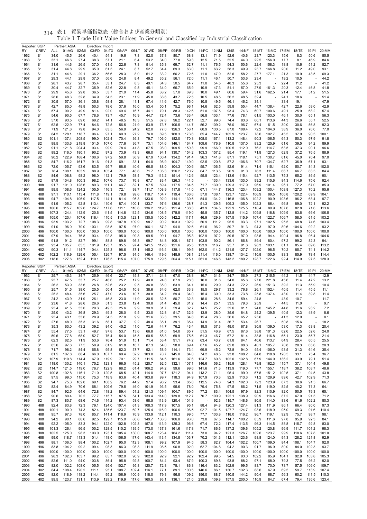| Reporter: SGP<br>RY | <b>CREV</b>                        | <b>ALL</b>    | Partner: ASIA<br>01:AG | 02:MI          | Direction: Import<br>03:FD | 04:TX          | 05:AP          | 06:LT          | 07:WD          | 08:PP          | 09:RB          | 10:CH          | 11:PC          | 12:NM          | 13:IS          | 14:NF          | 15:MT          |                | 16:MC 17:EM   | 18:TE         | 19:PI          | 20:MM          |
|---------------------|------------------------------------|---------------|------------------------|----------------|----------------------------|----------------|----------------|----------------|----------------|----------------|----------------|----------------|----------------|----------------|----------------|----------------|----------------|----------------|---------------|---------------|----------------|----------------|
| 1962                | S <sub>1</sub>                     | 34.0          | 45.5                   | 26.6           | 40.4                       | 54.1           | 19.6           | 7.8            | 52.0           | 37.8           | 80.7           | 68.8           | 13.1           | 71.9           | 52.6           | 40.6           | 23.7           | 123.3          | 15.6          | 8.3           | 50.6           | 85.5           |
| 1963                | S <sub>1</sub>                     | 33.1          | 46.6                   | 27.4           | 38.3                       | 57.1           | 21.1           | 6.4            | 53.2           | 34.0           | 77.8           | 59.3           | 12.5           | 71.5           | 52.5           | 44.0           | 22.5           | 156.0          | 17.7          | 8.1           | 46.9           | 84.6           |
| 1964                | S <sub>1</sub>                     | 31.6          | 44.6                   | 26.5           | 37.0                       | 61.5           | 22.6           | 7.8            | 51.4           | 35.3           | 69.7           | 62.7           | 11.1           | 76.5           | 54.3           | 50.6           | 22.4           | 158.3          | 18.8          | 10.6          | 51.2           | 82.7           |
| 1965                | S <sub>1</sub>                     | 31.4          | 44.8                   | 29.9           | 35.0                       | 61.5           | 24.1           | 8.7            | 52.7           | 34.4           | 69.3           | 63.0           | 11.1           | 63.2           | 58.3           | 49.9           | 23.7           | 166.8          | 20.0          | 11.2          | 49.0           | 93.1           |
| 1966                | S <sub>1</sub>                     | 31.1          | 44.6                   | 29.1           | 36.2                       | 56.6           | 28.3           | 8.0            | 51.2           | 33.2           | 66.2           | 72.6           | 11.0           | 47.9           | 52.6           | 58.2           | 27.7           | 177.1          | 21.3          | 10.9          | 43.5           | 69.3           |
| 1967<br>1968        | S <sub>1</sub><br>S <sub>1</sub>   | 29.3<br>28.1  | 44.1<br>43.7           | 29.8<br>28.7   | 37.0<br>35.4               | 56.6<br>53.1   | 24.8<br>24.7   | 8.4<br>8.3     | 49.2<br>49.1   | 35.2<br>34.3   | 56.1<br>50.5   | 72.0<br>64.7   | 11.1<br>11.0   | 46.1<br>54.5   | 50.7<br>48.3   | 53.6<br>55.6   | 23.4<br>25.3   | ä,             | 19.2<br>22.4  | 10.5<br>11.2  |                | 44.2<br>41.2   |
| 1969                | S <sub>1</sub>                     | 30.4          | 44.7                   | 32.7           | 35.9                       | 52.6           | 22.8           | 9.5            | 45.1           | 34.0           | 66.7           | 65.9           | 10.9           | 47.3           | 51.1           | 57.0           | 27.9           | 161.3          | 20.3          | 12.4          | 46.8           | 41.8           |
| 1970                | S <sub>1</sub>                     | 29.9          | 45.6                   | 29.8           | 36.5                       | 53.7           | 21.9           | 11.4           | 45.8           | 38.2           | 57.0           | 69.3           | 10.0           | 49.1           | 60.6           | 59.4           | 31.6           | 162.5          | 21.4          | 17.1          | 51.2           | 51.5           |
| 1971                | S <sub>1</sub>                     | 28.6          | 48.3                   | 32.8           | 34.9                       | 54.3           | 23.1           | 11.9           | 45.8           | 38.6           | 43.7           | 72.5           | 10.5           | 48.5           | 56.2           | 48.5           | 32.4           |                | 24.1          | 18.6          |                | 51.4           |
| 1972                | S <sub>1</sub>                     | 30.5          | 57.0                   | 36.1           | 35.8                       | 58.4           | 28.1           | 11.1           | 67.4           | 41.6           | 42.7           | 76.0           | 10.8           | 49.5           | 46.1           | 46.2           | 34.1           | ä,             | 33.4          | 19.1          |                | 47.9           |
| 1973                | S <sub>1</sub>                     | 42.7          | 85.0                   | 48.8           | 50.3                       | 78.6           | 37.6           | 16.0           | 53.4           | 50.1           | 75.2           | 96.1           | 14.6           | 62.5           | 59.8           | 55.4           | 44.7           | 138.4          | 42.7          | 22.6          | 59.0           | 42.9           |
| 1974                | S <sub>1</sub>                     | 57.4          | 90.2                   | 49.9           | 81.4                       | 92.0           | 49.4           | 16.7           | 44.1           | 79.1           | 88.3           | 142.6          | 51.0           | 107.5          | 93.4           | 74.3           | 60.7           | 100.6          | 49.1          | 25.9          | 68.2           | 57.4           |
| 1975                | S <sub>1</sub>                     | 54.6          | 90.5                   | 67.7           | 78.6                       | 73.7           | 45.7           | 16.9           | 44.7           | 72.4           | 73.6           | 133.4          | 56.8           | 103.1          | 77.6           | 78.1           | 61.5           | 103.0          | 46.1          | 30.0          | 65.1           | 56.3           |
| 1976<br>1977        | S <sub>1</sub><br>S <sub>1</sub>   | 57.0<br>62.5  | 93.5<br>122.9          | 69.0<br>77.4   | 69.2<br>84.6               | 74.1<br>72.5   | 48.5<br>56.5   | 18.3<br>21.9   | 51.5<br>53.9   | 67.8<br>73.7   | 96.2<br>106.5  | 122.1<br>144.7 | 52.7<br>56.2   | 99.0<br>109.2  | 74.4<br>75.0   | 83.6<br>96.7   | 60.1<br>67.4   | 113.6<br>61.5  | 44.3<br>30.0  | 26.6<br>30.6  | 55.7<br>56.8   | 52.5<br>92.3   |
| 1978                | S <sub>1</sub>                     | 71.9          | 121.6                  | 79.8           | 94.0                       | 83.5           | 56.9           | 24.2           | 62.0           | 77.0           | 126.3          | 156.1          | 60.9           | 130.5          | 87.0           | 108.4          | 72.2           | 104.0          | 38.9          | 36.0          | 76.0           | 77.0           |
| 1979                | S <sub>1</sub>                     | 84.2          | 128.1                  | 118.7          | 96.4                       | 97.1           | 60.3           | 27.2           | 76.0           | 89.5           | 160.3          | 173.6          | 65.4           | 144.7          | 102.9          | 123.7          | 78.6           | 102.7          | 45.5          | 37.9          | 90.3           | 100.1          |
| 1980                | S <sub>2</sub>                     | 101.1         | 137.4                  | 208.5          | 99.0                       | 102.4          | 70.4           | 36.3           | 79.7           | 106.0          | 182.0          | 170.3          | 108.0          | 167.1          | 113.2          | 148.4          | 90.3           | 106.5          | 64.3          | 50.3          | 97.9           | 91.8           |
| 1981                | S <sub>2</sub>                     | 98.5          | 133.6                  | 219.8          | 101.5                      | 107.0          | 77.6           | 36.7           | 73.1           | 104.6          | 146.1          | 164.7          | 109.6          | 176.9          | 110.8          | 137.0          | 83.2           | 125.9          | 61.6          | 39.5          | 94.2           | 89.9           |
| 1982                | S <sub>2</sub>                     | 91.1          | 121.8                  | 204.4          | 93.4                       | 99.9           | 78.4           | 41.8           | 67.5           | 98.0           | 109.5          | 150.3          | 99.9           | 166.0          | 100.5          | 112.0          | 76.2           | 114.7          | 63.5          | 37.3          | 90.1           | 96.6           |
| 1983                | S <sub>2</sub>                     | 89.2          | 116.0                  | 180.1          | 90.2                       | 97.2           | 73.9           | 43.3           | 66.0           | 94.1           | 130.7          | 154.2          | 103.3          | 157.2          | 85.4           | 119.1          | 71.9           | 127.3          | 62.9          | 37.2          | 76.5           | 88.9           |
| 1984                | S <sub>2</sub>                     | 90.2          | 122.9                  | 168.4          | 100.6                      | 97.2           | 59.8           | 36.9           | 67.9           | 100.4          | 134.2          | 191.4          | 96.3           | 141.8          | 87.1           | 118.1          | 75.1           | 130.7          | 61.6          | 45.0          | 70.4           | 97.0           |
| 1985<br>1986        | S <sub>2</sub><br>S <sub>2</sub>   | 84.7<br>72.0  | 116.2<br>105.7         | 161.7<br>93.6  | 91.6<br>83.5               | 91.3<br>95.7   | 69.1<br>68.6   | 33.1<br>40.6   | 64.0<br>66.5   | 98.9<br>88.0   | 104.7<br>104.3 | 149.0<br>100.6 | 92.5<br>55.7   | 120.8<br>106.5 | 87.2<br>82.6   | 106.6<br>91.4  | 70.7<br>71.4   | 134.7<br>115.1 | 62.7<br>62.0  | 36.9<br>50.7  | 67.1<br>84.3   | 93.1<br>102.0  |
| 1987                | S <sub>2</sub>                     | 78.4          | 108.1                  | 103.9          | 88.9                       | 105.4          | 77.1           | 48.6           | 71.7           | 105.3          | 126.2          | 120.2          | 64.7           | 113.5          | 90.9           | 91.0           | 76.3           | 111.4          | 66.7          | 66.7          | 83.5           | 84.4           |
| 1988                | S <sub>2</sub>                     | 84.6          | 108.8                  | 98.2           | 98.0                       | 112.1          | 79.9           | 58.4           | 79.3           | 113.2          | 151.4          | 142.6          | 55.8           | 123.4          | 113.6          | 115.4          | 92.7           | 113.5          | 75.3          | 65.2          | 86.5           | 90.1           |
| 1989                | S <sub>2</sub>                     | 87.9          | 104.8                  | 100.3          | 98.2                       | 107.6          | 73.7           | 76.8           | 67.7           | 83.4           | 126.3          | 141.5          |                | 133.4          | 133.6          | 133.0          | 99.2           | 115.6          | 84.3          | 114.6         | 75.6           | 92.4           |
| 1990                | H88                                | 91.7          | 101.0                  | 128.6          | 89.3                       | 111.1          | 66.7           | 82.1           | 97.5           | 89.4           | 117.5          | 134.5          | 71.7           | 130.0          | 129.3          | 117.9          | 96.9           | 101.4          | 96.1          | 77.2          | 67.0           | 85.3           |
| 1991                | H88                                | 99.5          | 108.6                  | 124.2          | 105.5                      | 116.3          | 72.1           | 93.7           | 111.7          | 108.9          | 117.8          | 141.0          | 67.1           | 144.7          | 136.3          | 123.4          | 109.2          | 100.4          | 108.8         | 127.3         | 70.2           | 95.6           |
| 1992                | H88                                | 97.1          | 110.1                  | 113.4          | 111.8                      | 119.1          | 79.8           | 99.6           | 118.7          | 104.7          | 119.4          | 136.6          | 57.0           | 138.1          | 123.7          | 122.4          | 106.9          | 89.5           | 106.8         | 120.2         | 69.9           | 104.1          |
| 1993                | H88                                | 94.7          | 104.8                  | 106.9          | 117.5                      | 114.1          | 81.4           | 95.3           | 133.6          | 92.0           | 114.1          | 130.5          | 54.0           | 134.2          | 116.8          | 106.8          | 102.2          | 90.9           | 103.6         | 96.2          | 68.4           | 97.7           |
| 1994<br>1995        | H88<br>H88                         | 91.9<br>100.6 | 105.2<br>115.7         | 92.8<br>102.6  | 113.4<br>124.7             | 110.6<br>117.6 | 87.4<br>111.1  | 100.1<br>110.6 | 133.7<br>136.2 | 97.6<br>119.5  | 136.6<br>191.4 | 128.7<br>138.3 | 51.3<br>43.9   | 129.5<br>134.5 | 109.3<br>122.9 | 105.0<br>125.5 | 102.3<br>110.4 | 86.4<br>89.9   | 96.8<br>107.6 | 89.0<br>82.8  | 72.1<br>71.6   | 92.2<br>113.6  |
| 1996                | H88                                | 107.3         | 124.4                  | 112.9          | 120.6                      | 111.5          | 114.8          | 112.5          | 134.6          | 108.5          | 178.8          | 119.0          | 45.8           | 135.7          | 112.8          | 114.2          | 109.8          | 118.8          | 109.9         | 83.6          | 66.6           | 106.5          |
| 1997                | H88                                | 105.0         | 120.4                  | 107.6          | 116.4                      | 110.5          | 113.5          | 123.1          | 130.5          | 100.5          | 142.2          | 117.1          | 46.9           | 129.9          | 107.5          | 115.9          | 107.4          | 122.7          | 106.7         | 58.0          | 61.5           | 103.2          |
| 1998                | H <sub>96</sub>                    | 93.9          | 103.2                  | 72.7           | 108.3                      | 99.8           | 107.8          | 109.9          | 98.7           | 90.2           | 103.3          | 102.9          | 50.9           | 111.2          | 95.5           | 93.3           | 97.1           | 102.5          | 95.5          | 68.8          | 74.6           | 103.4          |
| 1999                | H <sub>96</sub>                    | 91.0          | 96.0                   | 70.0           | 103.1                      | 93.5           | 97.5           | 97.0           | 106.1          | 87.2           | 94.0           | 92.6           | 61.6           | 96.2           | 89.7           | 91.3           | 94.3           | 97.0           | 89.6          | 104.6         | 92.2           | 93.2           |
| 2000                | H <sub>96</sub>                    | 100.0         | 100.0                  | 100.0          | 100.0                      | 100.0          | 100.0          | 100.0          | 100.0          | 100.0          | 100.0          | 100.0          | 100.0          | 100.0          | 100.0          | 100.0          | 100.0          | 100.0          | 100.0         | 100.0         | 100.0          | 100.0          |
| 2001                | H <sub>96</sub>                    | 97.9          | 94.4                   | 76.8           | 93.4                       | 92.8           | 95.0           | 99.8           | 99.5           | 99.1           | 94.7           | 95.3           | 102.9          | 97.2           | 89.5           | 97.0           | 98.5           | 94.4           | 100.4         | 96.8          | 96.4           | 104.6          |
| 2002                | H <sub>96</sub>                    | 91.8          | 91.2<br>105.7          | 82.7<br>85.5   | 99.1<br>101.9              | 88.8           | 89.8<br>95.5   | 95.3           | 99.7           | 84.8           | 105.1<br>121.6 | 87.1           | 103.8<br>123.9 | 90.2           | 86.1<br>95.7   | 86.8<br>91.6   | 89.4<br>98.3   | 80.4           | 97.2          | 99.2          | 82.3<br>69.6   | 94.1<br>113.2  |
| 2003<br>2004        | H <sub>02</sub><br>H <sub>02</sub> | 93.4<br>90.3  | 111.1                  | 114.7          | 104.4                      | 123.7<br>125.3 | 98.6           | 97.4<br>87.1   | 141.5<br>145.2 | 112.6<br>116.4 | 138.1          | 95.5<br>99.5   | 162.0          | 116.7<br>114.2 | 121.5          | 127.7          | 102.0          | 103.1<br>98.5  | 81.1<br>70.2  | 85.4<br>85.7  | 74.1           | 114.2          |
| 2005                | H <sub>02</sub>                    | 102.2         | 116.9                  | 129.6          | 105.4                      | 126.7          | 97.5           | 91.5           | 146.4          | 119.6          | 148.9          | 108.1          | 211.4          | 116.0          | 138.7          | 134.2          | 110.9          | 100.5          | 83.3          | 85.9          | 78.4           | 114.4          |
|                     | H <sub>02</sub>                    | 118.6         | 127.6                  | 152.4          | 110.1                      | 176.5          | 115.4          | 107.0          | 175.9          | 129.5          | 204.4          | 115.1          | 261.0          | 146.6          | 143.2          | 180.2          | 128.7          | 122.6          | 92.4          | 114.9         | 97.5           | 128.3          |
| 2006                |                                    |               |                        |                |                            |                |                |                |                |                |                |                |                |                |                |                |                |                |               |               |                |                |
|                     |                                    |               |                        |                |                            |                |                |                |                |                |                |                |                |                |                |                |                |                |               |               |                |                |
| Reporter: SGP<br>RY |                                    | ALL           | Partner: ASIA          |                | Direction: Export          |                |                |                | 07:WD          | 08:PP          |                | 10:CH          |                |                |                |                | 15:MT          |                |               |               | 19:PI          |                |
| 1962                | <b>CREV</b><br>S <sub>1</sub>      | 25.7          | 01:AG<br>45.3          | 02:MI<br>34.7  | 03:FD<br>25.9              | 04:TX<br>46.6  | 05:AP<br>22.7  | 06:LT<br>15.8  | 37.1           | 24.8           | 09:RB<br>67.0  | 28.8           | 11:PC<br>16.7  | 12:NM<br>31.6  | 13:IS<br>34.7  | 14:NF<br>56.9  | 27.3           | 16:MC<br>215.5 | 17:EM<br>44.2 | 18:TE<br>11.5 | 44.7           | 20:MM<br>12.9  |
| 1963                | S <sub>1</sub>                     | 25.7          | 47.5                   | 33.7           | 25.7                       | 46.6           | 25.2           | 17.9           | 40.8           | 24.8           | 67.9           | 28.3           | 16.0           | 31.6           | 34.0           | 65.6           | 27.0           | 221.8          | 45.6          | 11.4          | 47.2           | 13.2           |
| 1964                | S <sub>1</sub>                     | 26.2          | 53.9                   | 33.6           | 26.8                       | 52.6           | 23.2           | 9.5            | 36.8           | 35.0           | 63.9           | 34.1           | 15.6           | 29.9           | 34.3           | 72.2           | 26.9           | 151.3          | 39.2          | 11.3          | 55.9           | 10.4           |
| 1965                | S <sub>1</sub>                     | 25.7          | 51.5                   | 38.0           | 25.5                       | 50.4           | 24.5           | 10.8           | 38.6           | 34.6           | 62.0           | 33.3           | 15.5           | 29.7           | 33.2           | 76.8           | 26.1           | 152.4          | 40.5          | 11.4          | 45.5           | 11.1           |
| 1966                | S1                                 | 25.2          | 48.4                   | 35.6           | 25.7                       | 47.0           | 23.6           | 10.7           | 30.8           | 34.2           | 59.4           | 34.0           | 15.4           | 30.0           | 33.3           | 73.8           | 25.8           | 137.4          | 43.0          | 11.4          | 39.8           | 11.4           |
| 1967                | S <sub>1</sub>                     | 24.2          | 43.9                   | 31.9           | 26.1                       | 46.8           | 23.0           | 11.9           | 30.5           | 32.5           | 50.7           | 32.3           | 15.0           | 28.6           | 34.6           | 59.4           | 24.8           |                | 43.9          | 10.7          |                | 11.7           |
| 1968                | S <sub>1</sub><br>S <sub>1</sub>   | 23.6<br>25.4  | 41.8<br>41.5           | 28.6<br>33.0   | 26.6<br>29.3               | 51.3<br>49.5   | 23.8           | 12.4           | 30.8<br>30.9   | 31.4<br>31.7   | 45.0<br>59.4   | 31.2<br>32.7   | 14.4<br>14.5   | 25.1<br>25.2   | 33.5           | 79.3<br>81.1   | 25.9<br>24.0   |                | 44.5<br>44.8  | 11.0<br>11.6  |                | 9.7            |
| 1969<br>1970        | S <sub>1</sub>                     | 25.0          | 43.2                   | 36.8           | 29.3                       | 49.3           | 25.6<br>28.0   | 9.9<br>9.5     | 33.0           | 32.8           | 51.7           | 32.9           | 13.9           | 28.0           | 32.6<br>35.6   | 84.8           | 24.2           | 145.2<br>139.5 | 40.5          | 12.3          | 93.2<br>48.9   | 7.2<br>8.6     |
| 1971                | S <sub>1</sub>                     | 25.4          | 43.1                   | 33.6           | 28.9                       | 54.5           | 27.0           | 9.9            | 31.6           | 33.3           | 39.5           | 34.8           | 15.4           | 28.3           | 36.6           | 65.2           | 25.6           |                | 41.3          | 12.9          |                | 8.1            |
| 1972                | S <sub>1</sub>                     | 27.6          | 48.0                   | 35.3           | 31.6                       | 58.1           | 37.7           | 9.2            | 48.4           | 35.1           | 39.1           | 35.4           | 14.9           | 31.4           | 36.7           | 53.4           | 26.7           |                | 50.8          | 15.6          |                | 18.2           |
| 1973                | S <sub>1</sub>                     | 35.3          | 63.0                   | 43.2           | 39.2                       | 84.0           | 45.2           | 11.0           | 72.6           | 44.7           | 76.2           | 43.4           | 19.5           | 37.3           | 49.0           | 67.8           | 30.9           | 139.0          | 53.0          | 17.3          | 63.8           | 20.4           |
| 1974                | S1                                 | 55.4          | 77.5                   | 53.1           | 49.7                       | 97.8           | 53.7           | 13.6           | 66.8           | 61.0           | 94.0           | 65.7           | 51.5           | 46.9           | 67.5           | 87.6           | 38.8           | 101.3          | 62.6          | 22.5          | 52.6           | 24.0           |
| 1975                | S <sub>1</sub>                     | 59.6          | 77.8                   | 68.0           | 52.7                       | 76.4           | 54.0           | 15.5           | 60.5           | 55.3           | 69.9           | 75.5           | 61.3           | 46.7           | 67.2           | 81.4           | 38.8           | 116.8          | 65.1          | 23.0          | 55.7           | 21.4           |
| 1976<br>1977        | S1<br>S <sub>1</sub>               | 62.3<br>65.6  | 82.5<br>97.6           | 71.9<br>77.5   | 53.6<br>58.9               | 76.4<br>81.9   | 51.9<br>61.8   | 15.1<br>16.7   | 71.4<br>87.3   | 53.4<br>54.0   | 91.1<br>98.8   | 74.2<br>69.4   | 63.4<br>67.6   | 43.7<br>45.2   | 61.8<br>62.8   | 84.1<br>88.6   | 40.6<br>40.1   | 113.7<br>105.7 | 64.9<br>70.8  | 28.4<br>28.3  | 60.5<br>65.6   | 25.5<br>28.3   |
| 1978                | S1                                 | 71.7          | 98.2                   | 84.4           | 65.8                       | 95.8           | 62.3           | 37.7           | 92.1           | 58.9           | 114.1          | 73.4           | 69.9           | 45.2           | 72.8           | 94.0           | 45.4           | 106.0          | 93.5          | 31.3          | 64.6           | 35.4           |
| 1979                | S <sub>1</sub>                     | 81.5          | 107.8                  | 86.4           | 66.0                       | 107.7          | 69.4           | 32.2           | 103.0          | 70.7           | 145.0          | 84.0           | 74.2           | 48.5           | 93.8           | 108.2          | 64.8           | 118.8          | 120.5         | 33.1          | 75.4           | 36.7           |
| 1980                | S2                                 | 107.9         | 119.8                  | 114.4          | 67.9                       | 119.9          | 70.1           | 29.7           | 111.5          | 84.5           | 161.6          | 97.6           | 124.7          | 60.8           | 102.0          | 132.8          | 67.9           | 144.0          | 136.2         | 33.9          | 79.1           | 51.4           |
| 1981                | S <sub>2</sub>                     | 118.0         | 130.2                  | 140.1          | 75.2                       | 123.1          | 66.5           | 45.2           | 120.7          | 92.5           | 132.1          | 107.1          | 146.6          | 56.2           | 115.9          | 128.1          | 79.8           | 162.3          | 115.7         | 37.1          | 104.4          | 49.8           |
| 1982                | S <sub>2</sub>                     | 114.7         | 121.5                  | 119.0          | 76.7                       | 122.9          | 68.2           | 61.4           | 106.2          | 94.2           | 99.6           | 99.6           | 141.6          | 71.3           | 113.9          | 119.0          | 77.7           | 155.1          | 118.7         | 38.2          | 108.7          | 48.6           |
| 1983                | S <sub>2</sub>                     | 100.8         | 102.8                  | 116.1          | 71.0                       | 120.5          | 68.5           | 42.1           | 114.0          | 97.7           | 121.2          | 94.1           | 113.2          | 71.1           | 95.4           | 99.0           | 67.5           | 151.2          | 102.5         | 37.1          | 94.5           | 43.8           |
| 1984<br>1985        | S <sub>2</sub><br>S <sub>2</sub>   | 97.5<br>94.7  | 99.0<br>75.3           | 115.0<br>102.0 | 75.3<br>69.1               | 118.9<br>108.2 | 63.6<br>76.2   | 40.4<br>44.2   | 103.8<br>97.4  | 99.7<br>96.2   | 118.3<br>93.4  | 94.9<br>85.8   | 107.9<br>112.5 | 70.3<br>74.6   | 92.9<br>94.3   | 113.3<br>102.0 | 71.2<br>72.3   | 129.9<br>123.9 | 89.6<br>87.3  | 42.7<br>38.6  | 102.9<br>91.5  | 71.3<br>66.7   |
| 1986                | S <sub>2</sub>                     | 82.4          | 84.9                   | 70.6           | 68.1                       | 109.6          | 79.5           | 46.0           | 101.9          | 93.5           | 95.6           | 78.0           | 79.4           | 75.8           | 97.5           | 86.2           | 71.5           | 119.0          | 82.5          | 40.2          | 71.3           | 64.1           |
| 1987                | S <sub>2</sub>                     | 84.7          | 92.5                   | 64.6           | 72.8                       | 118.2          | 89.4           | 51.2           | 121.3          | 109.4          | 104.7          | 89.5           | 77.2           | 83.4           | 104.5          | 97.9           | 82.3           | 110.9          | 82.0          | 50.5          | 79.3           | 65.1           |
| 1988                | S <sub>2</sub>                     | 90.6          | 80.4                   | 70.2           | 77.7                       | 115.7          | 87.5           | 54.1           | 133.4          | 114.0          | 139.8          | 112.7          | 70.7           | 100.9          | 122.1          | 138.9          | 90.9           | 116.6          | 87.2          | 67.0          | 91.3           | 71.2           |
| 1989                | S <sub>2</sub>                     | 87.3          | 80.7                   | 68.6           | 74.6                       | 114.2          | 93.4           | 53.6           | 98.5           | 113.9          | 120.4          | 101.9          |                | 92.3           | 115.7          | 148.6          | 80.5           | 114.0          | 83.6          | 61.6          | 102.2          | 80.3           |
| 1990                | H88                                | 92.4          | 83.8                   | 72.3           | 79.1                       | 124.0          | 107.4          | 61.3           | 108.3          | 117.9          | 107.5          | 95.1           | 88.4           | 94.8           | 120.3          | 127.4          | 81.3           | 111.9          | 86.1          | 66.4          | 80.0           | 97.3           |
| 1991                | H88                                | 100.1         | 90.0                   | 74.3           | 82.4                       | 135.6          | 123.7          | 69.7           | 125.4          | 116.9          | 106.6          | 106.5          | 92.7           | 101.5          | 127.7          | 124.7          | 93.6           | 118.9          | 95.0          | 69.3          | 91.6           | 110.4          |
| 1992                | H88<br>H88                         | 95.7          | 97.3                   | 78.0           | 85.7                       | 141.4          | 118.9          | 76.9           | 133.9          | 112.1          | 110.3          | 99.5           | 77.7           | 103.8          | 118.0          | 116.2          | 96.7           | 119.1          | 92.9          | 75.7          | 98.7           | 98.1           |
| 1993<br>1994        | H88                                | 94.2<br>92.2  | 90.1<br>105.0          | 80.6<br>83.3   | 92.5<br>94.1               | 129.7<br>122.0 | 115.0<br>102.8 | 80.6<br>102.8  | 149.7<br>157.0 | 108.3<br>113.9 | 106.8<br>125.3 | 93.0<br>96.6   | 73.8<br>67.4   | 67.5<br>72.2   | 114.7<br>117.4 | 100.2<br>113.5 | 85.9<br>96.3   | 111.6<br>114.5 | 97.8<br>88.8  | 95.9<br>115.7 | 92.3<br>92.8   | 84.1<br>83.0   |
| 1995                | H88                                | 101.3         | 126.4                  | 96.5           | 100.2                      | 128.5          | 110.2          | 139.5          | 173.0          | 137.3          | 161.6          | 117.8          | 71.7           | 86.6           | 137.2          | 139.6          | 105.2          | 120.8          | 96.9          | 111.7         | 101.2          | 98.3           |
| 1996                | H88                                | 102.5         | 125.0                  | 98.3           | 103.0                      | 123.1          | 105.4          | 130.0          | 168.7          | 123.4          | 164.2          | 111.4          | 73.0           | 94.2           | 121.3          | 126.7          | 102.6          | 123.7          | 99.9          | 118.6         | 107.8          | 101.0          |
| 1997                | H88                                | 99.0          | 118.7                  | 113.3          | 101.4                      | 118.0          | 106.5          | 117.6          | 143.4          | 113.4          | 134.8          | 103.7          | 70.2           | 101.3          | 112.1          | 123.6          | 98.8           | 124.0          | 94.3          | 128.2         | 121.8          | 92.9           |
| 1998                | H96                                | 88.1          | 106.0                  | 98.4           | 100.2                      | 102.7          | 95.0           | 112.3          | 108.1          | 99.2           | 107.9          | 94.5           | 58.3           | 82.7           | 104.4          | 102.2          | 100.7          | 109.0          | 84.4          | 108.1         | 104.7          | 92.0           |
| 1999                | H <sub>96</sub>                    | 83.8          | 104.2                  | 99.2           | 99.4                       | 98.3           | 86.3           | 98.3           | 111.9          | 98.5           | 96.8           | 92.0           | 62.7           | 104.8          | 94.2           | 90.3           | 91.7           | 96.9           | 80.0          | 84.0          | 102.3          | 93.7           |
| 2000                | H96                                | 100.0         | 100.0                  | 100.0          | 100.0                      | 100.0          | 100.0          | 100.0          | 100.0          | 100.0          | 100.0          | 100.0          | 100.0          | 100.0          | 100.0          | 100.0          | 100.0          | 100.0          | 100.0         | 100.0         | 100.0          | 100.0          |
| 2001                | H <sub>96</sub>                    | 98.3          | 102.0                  | 103.7<br>94.0  | 99.2                       | 85.7           | 102.0          | 90.9           | 102.8          | 92.9           | 92.1           | 92.2           | 102.4          | 99.5           | 94.5           | 93.0           | 102.2          | 85.9           | 104.1         | 92.8          | 103.8          | 105.3          |
| 2002<br>2003        | H <sub>96</sub><br>H <sub>02</sub> | 82.6<br>82.0  | 111.0<br>102.2         | 108.0          | 103.8<br>105.5             | 86.4<br>95.6   | 95.8<br>102.7  | 92.5<br>95.8   | 100.7<br>120.7 | 84.4<br>72.8   | 93.4<br>78.1   | 87.9<br>86.3   | 100.3<br>116.4 | 89.8<br>83.2   | 93.8<br>102.9  | 88.2<br>99.5   | 97.1<br>83.7   | 68.0<br>70.0   | 79.3<br>73.7  | 77.5<br>57.5  | 96.2<br>106.0  | 92.0<br>109.7  |
| 2004                | H <sub>02</sub>                    | 84.4          | 108.4                  | 120.2          | 111.1                      | 95.1           | 108.7          | 102.4          | 116.1          | 77.1           | 89.1           | 100.5          | 146.6          | 86.1           | 130.7          | 132.3          | 88.6           | 67.9           | 69.5          | 59.7          | 113.9          | 107.4          |
| 2005<br>2006        | H <sub>02</sub><br>H <sub>02</sub> | 82.0<br>99.5  | 118.9<br>123.7         | 118.2<br>131.1 | 114.4<br>113.9             | 95.2<br>129.2  | 106.9<br>119.9 | 100.9<br>117.6 | 118.0<br>160.5 | 79.3<br>93.1   | 96.8<br>136.1  | 109.2<br>121.0 | 196.0<br>239.6 | 88.7<br>109.8  | 140.5<br>157.5 | 144.2<br>200.0 | 90.4<br>110.9  | 68.7<br>84.7   | 56.3<br>67.4  | 60.2<br>79.4  | 111.5<br>136.6 | 110.3<br>123.4 |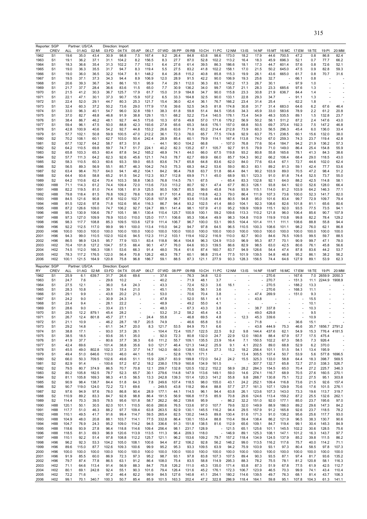|              | Reporter: SGP                      |                | Partner: US/CA |                                |                | Direction: Import |                |                          |                |                |                |                |                                  |                          |                |                |                |                |               |               |                |                          |
|--------------|------------------------------------|----------------|----------------|--------------------------------|----------------|-------------------|----------------|--------------------------|----------------|----------------|----------------|----------------|----------------------------------|--------------------------|----------------|----------------|----------------|----------------|---------------|---------------|----------------|--------------------------|
| <b>RY</b>    | <b>CREV</b>                        | ALL            | 01:AG          | 02:MI                          | 03:FD          | 04:TX             | 05:AP          | 06:LT                    | 07:WD          | 08:PP          | 09:RB          | 10:CH          | 11:PC                            | 12:NM                    | 13:IS          | 14:NF          | 15:MT          | 16:MC          | 17:EM         | 18:TE         | 19:PI          | 20:MM                    |
| 1962<br>1963 | S <sub>1</sub><br>S <sub>1</sub>   | 19.6<br>19.1   | 35.0<br>36.2   | 43.4<br>37.1                   | 30.9<br>31.1   | 98.8<br>104.2     | 7.5<br>8.2     | 167.4<br>156.5           | 9.2<br>8.3     | 26.4<br>27.7   | 84.8<br>87.0   | 63.8<br>52.8   | 98.6<br>102.2                    | 173.0<br>113.2           | 18.2<br>16.4   | 17.9<br>18.3   | 44.6<br>45.9   | 700.5<br>696.3 | 47.2<br>52.1  | 0.8<br>0.7    | 86.8<br>77.7   | 82.4<br>66.2             |
| 1964         | S <sub>1</sub>                     | 18.3           | 36.6           | 35.4                           | 31.3           | 102.2             | 7.7            | 152.1                    | 6.4            | 27.6           | 61.4           | 39.5           | 86.3                             | 186.6                    | 18.1           | 17.3           | 44.7           | 601.4          | 57.6          | 0.8           | 72.6           | 52.1                     |
| 1965         | S <sub>1</sub>                     | 19.0           | 36.3           | 35.5                           | 31.7           | 94.7              | 8.3            | 119.4                    | 5.5            | 27.5           | 83.2           | 41.8           | 102.2                            | 158.1                    | 17.0           | 21.5           | 50.2           | 645.0          | 47.5          | 0.9           | 82.8           | 59.3                     |
| 1966         | S1                                 | 19.0           | 36.0           | 36.5                           | 32.2           | 104.7             | 8.1            | 148.2                    | 8.4            | 26.8           | 115.2          | 40.8           | 85.8                             | 115.3                    | 19.9           | 26.1           | 43.6           | 665.0          | 61.7          | 0.8           | 70.7           | 31.6                     |
| 1967         | S <sub>1</sub>                     | 19.5           | 37.1           | 37.3                           | 34.3           | 94.4              | 8.9            | 106.9                    | 12.0           | 28.9           | 91.5           | 42.2           | 90.0                             | 106.9                    | 19.3           | 25.6           | 32.7           |                | 66.1          | 0.8           |                |                          |
| 1968         | S <sub>1</sub>                     | 20.6           | 39.3           | 36.7                           | 34.1           | 86.1              | 10.1           | 95.9                     | 7.4            | 29.1           | 112.0          | 36.3           | 83.1                             | 140.2                    | 17.3           | 26.7           | 30.1           |                | 97.9          | 1.0           |                |                          |
| 1969         | S <sub>1</sub>                     | 21.7           | 37.7           | 28.4                           | 36.6           | 83.6              | 11.5           | 65.0                     | 7.7            | 30.9           | 136.2          | 34.0           | 99.7                             | 135.7                    | 21.1           | 28.3           | 23.3           | 685.6          | 97.6          | 1.3           |                |                          |
| 1970         | S <sub>1</sub>                     | 21.5           | 41.2           | 30.3                           | 36.7           | 125.7             | 17.9           | 61.7                     | 15.0           | 31.9           | 184.8          | 34.7           | 90.0                             | 115.8                    | 23.3           | 30.8           | 21.9           | 636.7          | 84.4          | 1.4           |                |                          |
| 1971         | S <sub>1</sub>                     | 22.1           | 47.1           | 30.1                           | 37.3           | 90.7              | 15.9           | 107.2                    | 6.5            | 33.3           | 164.8          | 32.5           | 90.0                             | 133.1                    | 22.8           | 29.3           | 34.7           |                | 91.1          | 1.3           |                |                          |
| 1972         | S <sub>1</sub>                     | 22.4           | 52.0           | 29.1                           | 44.7           | 80.3              | 25.3           | 121.7                    | 15.4           | 36.0           | 42.4           | 36.1           | 76.7                             | 166.2                    | 23.4           | 31.4           | 25.4           |                | 62.2          | 1.8           |                |                          |
| 1973         | S <sub>1</sub>                     | 32.4           | 60.3           | 37.2                           | 50.2           | 73.6              | 29.0           | 177.9                    | 17.6           | 39.6           | 52.5           | 34.5           | 81.8                             | 174.8                    | 30.8           | 31.7           | 31.4           | 683.0          | 64.6          | 6.2           | 67.6           | 46.4                     |
| 1974         | S <sub>1</sub>                     | 33.0           | 96.3           | 40.1                           | 54.7           | 96.0              | 32.8           | 159.1                    | 38.3           | 61.8           | 59.8           | 51.4           | 84.5                             | 135.6                    | 34.3           | 45.9           | 33.0           | 583.6          | 78.9          | 2.2           | 61.2           | 20.8                     |
| 1975         | S <sub>1</sub><br>S <sub>1</sub>   | 37.0<br>38.4   | 82.7<br>86.7   | 48.8<br>46.2                   | 46.8<br>48.1   | 91.9<br>92.7      | 38.8<br>44.5   | 129.1<br>173.6           | 15.1<br>10.3   | 68.2<br>67.6   | 52.2<br>49.8   | 73.4<br>57.0   | 140.5<br>171.6                   | 178.1<br>179.2           | 73.4<br>56.9   | 54.9           | 48.3<br>58.1   | 535.5<br>511.2 | 89.1<br>87.2  | 1.5<br>2.4    | 132.8<br>147.6 | 23.7<br>43.0             |
| 1976<br>1977 | S <sub>1</sub>                     | 59.4           | 96.1           | 47.5                           | 50.0           | 88.8              | 42.3           | 193.6                    | 27.8           | 65.6           | 65.3           | 54.6           | 176.1                            | 157.0                    | 68.8           | 50.2<br>50.5   | 69.7           | 370.4          | 192.3         | 7.5           | 147.2          | 46.8                     |
| 1978         | S <sub>1</sub>                     | 42.8           | 100.9          | 40.6                           | 54.2           | 92.7              | 44.8           | 153.2                    | 26.6           | 63.6           | 71.9           | 63.2           | 214.4                            | 212.8                    | 73.9           | 60.3           | 56.5           | 296.3          | 45.4          | 6.0           | 136.0          | 33.4                     |
| 1979         | S <sub>1</sub>                     | 57.7           | 102.1          | 50.8                           | 59.9           | 100.5             | 47.0           | 212.2                    | 36.1           | 72.3           | 76.0           | 65.7           | 77.5                             | 174.8                    | 92.9           | 63.7           | 75.1           | 238.5          | 60.1          | 15.6          | 132.0          | 38.0                     |
| 1980         | S <sub>2</sub>                     | 70.2           | 108.1          | 60.1                           | 62.7           | 103.0             | 50.4           | 242.4                    | 28.9           | 85.4           | 60.1           | 79.9           | 114.1                            | 167.4                    | 113.8          | 74.0           | 67.0           | 259.3          | 74.3          | 23.7          | 119.4          | 42.8                     |
| 1981         | S <sub>2</sub>                     | 67.7           | 132.7          | 64.2                           | 58.7           | 87.3              | 51.8           |                          | 44.1           | 90.0           | 104.2          | 66.8           |                                  | 107.0                    | 76.8           | 77.6           | 50.4           | 184.7          | 94.2          | 21.9          | 136.2          | 57.3                     |
| 1982         | S <sub>2</sub>                     | 64.2           | 110.5          | 69.8                           | 59.7           | 74.7              | 51.7           | 224.1                    | 40.2           | 82.3           | 135.2          | 67.1           | 105.7                            | 92.7                     | 91.5           | 79.9           | 71.0           | 149.0          | 86.4          | 25.4          | 154.8          | 55.9                     |
| 1983         | S <sub>2</sub>                     | 65.8           | 103.3          | 65.3                           | 60.4           | 87.8              | 54.2           | 165.2                    | 48.9           | 74.1           | 44.0           | 66.0           | 67.5                             | 119.8                    | 93.2           | 80.8           | 55.8           | 165.6          | 78.1          | 41.3          | 84.3           | 38.6                     |
| 1984         | S <sub>2</sub>                     | 57.7           | 111.3          | 64.2                           | 62.3           | 92.6              | 45.6           | 121.1                    | 74.0           | 78.7           | 62.7           | 69.9           | 66.0                             | 85.7                     | 104.3          | 90.2           | 66.2           | 106.4          | 68.4          | 29.0          | 118.5          | 43.0                     |
| 1985         | S <sub>2</sub>                     | 58.3           | 110.5          | 60.3                           | 60.6           | 93.3              | 59.0           | 65.5                     | 83.6           | 74.7           | 65.8           | 64.8           | 83.6                             | 62.0                     | 84.0           | 77.6           | 63.4           | 67.1           | 72.7          | 44.6          | 102.0          | 62.4                     |
| 1986         | S <sub>2</sub>                     | 56.5           | 89.3           | 56.9                           | 55.1           | 85.7              | 46.3           | 104.2                    | 74.0           | 75.3           | 68.3           | 64.2           | 53.6                             | 59.0                     | 80.3           | 83.1           | 89.2           | 81.3           | 59.1          | 42.4          | 77.7           | 53.6                     |
| 1987         | S <sub>2</sub>                     | 63.4<br>64.4   | 98.4<br>93.6   | 70.7<br>58.8                   | 64.0<br>65.2   | 94.1<br>91.5      | 48.2<br>54.2   | 104.1                    | 84.2<br>93.7   | 96.4<br>112.8  | 79.8<br>69.9   | 63.7<br>71.1   | 51.8<br>45.0                     | 66.4<br>68.9             | 84.1<br>93.1   | 90.2<br>123.3  | 103.9<br>91.0  | 89.0<br>81.8   | 70.5<br>74.4  | 47.2<br>52.5  | 98.4<br>73.7   | 51.2<br>55.0             |
| 1988<br>1989 | S <sub>2</sub><br>S <sub>2</sub>   | 64.2           | 110.6          | 62.4                           | 70.4           | 103.3             | 58.8           | 112.3<br>136.5           | 76.8           | 114.5          | 79.1           | 67.5           |                                  | 65.4                     | 83.3           | 132.8          | 92.1           | 64.0           | 88.2          | 42.5          | 114.8          | 58.1                     |
| 1990         | H88                                | 71.1           | 114.3          | 61.2                           | 74.4           | 109.4             | 72.0           | 113.6                    | 73.0           | 113.2          | 80.7           | 92.1           | 47.4                             | 67.7                     | 80.3           | 126.1          | 93.8           | 64.1           | 92.0          | 52.6          | 128.0          | 66.4                     |
| 1991         | H88                                | 82.2           | 119.5          | 81.0                           | 74.4           | 108.1             | 81.9           | 125.5                    | 90.5           | 106.7          | 85.5           | 99.6           | 45.8                             | 74.6                     | 93.9           | 115.1          | 114.0          | 81.2           | 103.9         | 64.2          | 146.3          | 77.1                     |
| 1992         | H88                                | 79.8           | 118.4          | 81.5                           | 76.8           | 109.2             | 78.6           | 130.8                    | 81.7           | 101.4          | 85.2           | 118.8          | 42.3                             | 79.0                     | 86.4           | 111.9          | 107.3          | 73.6           | 100.0         | 52.3          | 141.7          | 82.0                     |
| 1993         | H88                                | 84.5           | 121.6          | 90.8                           | 67.8           | 102.0             | 102.7          | 120.8                    | 107.9          | 96.7           | 93.6           | 113.8          | 44.8                             | 80.5                     | 94.8           | 95.0           | 101.6          | 83.4           | 99.7          | 72.9          | 109.7          | 79.4                     |
| 1994         | H88                                | 81.5           | 122.6          | 97.8                           | 71.8           | 102.6             | 95.4           | 116.3                    | 86.7           | 94.4           | 93.2           | 102.5          | 41.4                             | 88.0                     | 104.1          | 92.3           | 108.6          | 82.6           | 101.8         | 81.1          | 65.6           | 80.6                     |
| 1995         | H88                                | 87.2           | 126.6          | 109.0                          | 74.7           | 106.2             | 92.7           | 124.7                    | 89.1           | 141.4          | 98.1           | 107.9          | 41.0                             | 95.2                     | 109.9          | 109.9          | 115.1          | 92.0           | 93.5          | 77.5          | 73.5           | 94.1                     |
| 1996         | H88                                | 95.3           | 130.9          | 106.6                          | 78.7           | 105.1             | 98.1           | 130.4                    | 110.4          | 125.7          | 100.9          | 100.1          | 59.2                             | 109.6                    | 113.3          | 110.2          | 121.8          | 96.0           | 106.4         | 85.6          | 90.7           | 107.9                    |
| 1997         | H88                                | 97.3           | 127.0          | 109.9                          | 78.9           | 103.0             | 110.0          | 125.0                    | 117.1          | 106.6          | 95.3           | 106.4          | 49.9                             | 98.3                     | 104.8          | 110.9          | 119.9          | 110.8          | 99.8          | 82.2          | 78.4           | 129.2                    |
| 1998         | H96<br>H96                         | 98.3<br>92.2   | 117.7          | 108.8                          | 85.3<br>99.9   | 109.5<br>99.1     | 103.6          | 127.9                    | 111.4          | 106.7<br>94.2  | 96.7<br>94.7   | 100.0<br>97.8  | 53.1<br>64.5                     | 99.5<br>96.5             | 104.4<br>110.5 | 101.4          | 111.1<br>108.6 | 111.1<br>101.1 | 108.6<br>98.2 | 88.8<br>76.0  | 55.8<br>62.1   | 94.4                     |
| 1999<br>2000 | H96                                | 100.0          | 112.5<br>100.0 | 117.0<br>100.0                 | 100.0          | 100.0             | 100.0<br>100.0 | 113.4<br>100.0           | 115.0<br>100.0 | 100.0          | 100.0          | 100.0          | 100.0                            | 100.0                    | 100.0          | 100.3<br>100.0 | 100.0          | 100.0          | 100.0         | 100.0         | 100.0          | 86.8<br>100.0            |
| 2001         | H96                                | 94.3           | 99.0           | 110.5                          | 102.0          | 102.6             | 94.5           | 112.3                    | 111.2          | 103.1          | 119.4          | 102.2          | 116.9                            | 110.0                    | 82.7           | 90.0           | 84.6           | 76.5           | 109.5         | 99.5          | 59.7           | 88.5                     |
| 2002         | H96                                | 86.5           | 98.9           | 124.5                          | 95.7           | 77.9              | 103.1          | 83.4                     | 118.8          | 96.4           | 104.8          | 96.3           | 124.9                            | 113.0                    | 96.9           | 95.3           | 87.7           | 70.1           | 90.9          | 99.7          | 47.1           | 78.0                     |
| 2003         | H <sub>02</sub>                    | 70.4           | 101.8          | 127.2                          | 104.7          | 57.5              | 66.4           | 90.1                     | 47.7           | 76.0           | 64.6           | 93.3           | 139.5                            | 86.6                     | 82.9           | 98.5           | 63.0           | 42.5           | 80.6          | 76.1          | 45.8           | 56.6                     |
| 2004         | H <sub>02</sub>                    | 74.5           | 112.0          | 166.3                          | 108.1          | 53.6              | 66.3           | 91.4                     | 48.0           | 76.4           | 61.6           | 87.4           | 160.7                            | 83.7                     | 94.9           | 126.6          | 54.4           | 47.4           | 87.8          | 83.6          | 44.2           | 53.7                     |
| 2005         | H <sub>02</sub>                    | 78.3           | 117.2          | 176.5                          | 122.0          | 56.4              | 70.8           | 126.2                    | 48.3           | 78.7           | 60.1           | 98.8           | 215.4                            | 77.5                     | 101.9          | 139.5          | 54.8           | 46.8           | 95.2          | 86.1          | 38.2           | 56.2                     |
|              |                                    |                |                |                                |                |                   |                |                          |                |                |                |                |                                  |                          |                |                |                |                |               |               |                |                          |
| 2006         | H <sub>02</sub>                    | 100.1          | 121.5          | 164.9                          | 120.8          | 75.8              | 96.8           | 186.7                    | 59.1           | 88.5           | 87.3           | 121.1          | 277.9                            | 93.3                     | 128.3          | 156.5          | 74.4           | 64.6           | 127.9         | 89.1          | 53.9           | 62.3                     |
|              | Reporter: SGP                      |                | Partner: US/CA |                                |                | Direction: Export |                |                          |                |                |                |                |                                  |                          |                |                |                |                |               |               |                |                          |
| <b>RY</b>    | <b>CREV</b>                        | ALL            | 01:AG          | 02:MI                          | 03:FD          | 04:TX             | 05:AP          | 06:LT                    | 07:WD          | 08:PP          | 09:RB          | 10:CH          | 11:PC                            | 12:NM                    | 13:IS          | 14:NF          | 15:MT          | 16:MC          | 17:EM         | 18:TE         | 19:PI          | 20:MM                    |
| 1962         | S <sub>1</sub>                     | 25.9           | 6.1            | 639.7                          | 31.7           | 26.6              | 69.6           |                          | 37.6           |                | 76.3           | 34.8           | 12.0                             |                          |                |                | 270.6          |                | 167.6         | 7.0           | 2659.9         | 2050.3                   |
| 1963         | S <sub>1</sub>                     | 24.7           | 7.6            |                                | 29.6           | 10.2              |                |                          | 40.2           |                | 71.9           | 48.1           | 3.7                              |                          |                |                | 270.7          |                | 151.3         | 11.1          | 2244.9         | 1908.9                   |
| 1964         | S <sub>1</sub>                     | 27.5           | 12.1           |                                | 36.0           | 5.4               | 24.3           |                          | 43.3           |                | 72.4           | 52.3           | 3.6                              | 16.1                     |                |                | 270.5          |                | 188.2         | 13.3          |                |                          |
| 1965         | S <sub>1</sub>                     | 28.3           | 10.8           | ä,                             | 39.1           | 19.4              | 21.0           |                          | 45.1           |                | 70.5           | 56.1           | 3.6                              |                          |                |                | 270.6          |                | 168.3         | 11.1          |                |                          |
| 1966         | S <sub>1</sub>                     | 29.1           | 9.9            |                                | 43.8           | 20.2              | 21.3           |                          | 53.0           |                | 70.6           | 70.4           | 3.8                              |                          |                | 47.4           | 269.9          |                | 151.0         | 9.3           |                |                          |
| 1967         | S <sub>1</sub>                     | 24.2           | 9.0            |                                | 30.9           | 24.3              |                |                          | 47.8           |                | 52.0           | 55.1           | 4.1                              |                          |                | 43.8           |                |                |               | 15.5          |                |                          |
| 1968<br>1969 | S <sub>1</sub><br>S <sub>1</sub>   | 23.4<br>28.6   | 9.4<br>9.0     |                                | 28.1<br>33.4   | 22.2<br>23.1      |                |                          | 48.9<br>48.3   |                | 49.2<br>67.3   | 55.0<br>43.3   | 4.1<br>3.8                       |                          |                | 38.7           | 337.8          |                |               | 10.1<br>10.3  |                |                          |
| 1970         | S1                                 | 29.5           | 12.2           | 879.1                          | 45.4           | 28.2              |                |                          | 53.2           | 31.2           | 58.2           | 45.4           | 4.3                              |                          |                | 49.0           | 429.8          |                |               | 9.5           |                |                          |
| 1971         | S <sub>1</sub>                     | 26.7           | 12.4           | 801.8                          | 45.7           | 27.1              |                | 24.4                     | 55.8           |                | 46.8           | 69.5           | 4.8                              |                          | 12.3           | 45.3           | 339.6          |                |               | 10.9          |                |                          |
| 1972         | S <sub>1</sub>                     | 21.1           | 10.9           |                                | 46.2           | 28.7              | 18.7           | 20.5                     | 74.9           |                | 46.6           | 65.8           | 5.0                              |                          |                | 71.8           |                |                | 36.6          | 15.1          |                |                          |
| 1973         | S <sub>1</sub>                     | 29.2           | 14.8           | ä,                             | 61.1           | 34.7              | 20.0           | 8.3                      | 121.7          | 53.5           | 84.9           | 70.1           | 6.6                              | $\overline{\phantom{a}}$ |                | 43.8           | 444.9          | 75.3           | 46.6          | 35.7          | 1856.7 2791.2  |                          |
| 1974         | S <sub>1</sub>                     | 38.8           | 17.1           | ÷,                             | 93.0           | 37.3              | 26.1           | $\overline{\phantom{a}}$ | 104.4          | 72.4           | 105.7          | 122.5          | 22.5                             | 9.2                      | 9.8            | 144.4          | 437.6          | 62.1           | 54.9          | 15.3          |                | 776.4 4181.5             |
| 1975         | S <sub>1</sub>                     | 38.5           | 18.5           | ä,                             | 93.6           | 35.1              | 35.0           | ÷,                       | 92.0           | 72.3           | 80.8           | 132.0          | 24.7                             | 22.9                     | 12.0           | 180.8          | 88.4           | 67.9           | 57.7          | 17.5          | 475.4          |                          |
| 1976         | S <sub>1</sub>                     | 41.9           | 37.7           | ä,<br>$\overline{\phantom{a}}$ | 80.6           | 37.7              | 38.3           | 6.6                      | 111.2          | 55.7           | 109.1          | 135.5          | 23.9                             | 16.4                     | 7.1            | 150.5          | 102.2          | 67.3           | 58.5          | 7.3           | 926.4          |                          |
| 1977         | S <sub>1</sub>                     | 42.4           | 69.6           |                                | 101.4          | 38.8              | 35.6           | 9.0                      | 121.7          | 46.4           | 121.3          | 144.2          | 25.9                             | 9.1                      | 4.1            | 202.5          | 89.0           | 68.8           | 52.9          | 6.2           | 370.0          | $\overline{\phantom{a}}$ |
| 1978<br>1979 | S <sub>1</sub><br>S <sub>1</sub>   | 45.5<br>49.4   | 49.0<br>51.0   | 802.8<br>646.6                 | 102.3<br>110.0 | 37.3<br>46.0      | 37.7<br>44.1   | 14.7<br>15.6             | 142.0<br>÷,    | 66.0<br>52.8   | 138.9<br>178.1 | 153.4<br>171.1 | 27.3<br>$\overline{\phantom{a}}$ | 15.2                     | 18.2<br>13.4   | 256.4<br>305.5 | 101.1<br>107.4 | 51.5<br>50.7   | 54.1<br>53.9  | 13.4<br>5.6   | 195.9<br>577.8 | 1696.5                   |
| 1980         | S <sub>2</sub>                     | 66.0           | 50.3           | 709.5                          | 102.6          | 49.6              | 51.1           | 15.9                     | 226.7          | 83.9           | 199.8          | 172.0          | 54.2                             | 24.2                     | 15.5           | 325.3          | 133.0          | 58.8           | 64.4          | 18.3          | 398.7          | 569.5                    |
| 1981         | S <sub>2</sub>                     | 82.9           | 91.4           | ÷,                             | 100.6          | 57.2              | 67.2           | 18.2                     | 238.0          | 176.9          | 160.8          | 134.9          | 161.5                            | ÷,                       |                | 307.7          | 132.7          | 65.8           | 72.7          | 27.0          | 338.3          | 526.7                    |
| 1982         | S <sub>2</sub>                     | 79.5           | 80.7           | 374.9                          | 86.5           | 70.7              | 70.8           | 12.1                     | 259.7          | 132.8          | 120.5          | 132.2          | 152.2                            | 58.9                     | 28.2           | 284.3          | 154.5          | 65.0           | 70.4          | 27.2          | 225.7          | 346.3                    |
| 1983         | S <sub>2</sub>                     | 80.2           | 105.8          | 182.5                          | 78.7           | 52.3              | 65.7           | 30.1                     | 279.6          | 114.8          | 147.9          | 113.6          | 149.1                            | 59.0                     | 14.6           | 274.1          | 116.7          | 68.9           | 70.5          | 27.6          | 160.5          | 270.1                    |
| 1984         | S <sub>2</sub>                     | 81.1           | 105.8          | 169.3                          | 98.3           | 41.5              | 56.5           | 13.3                     | 242.8          | 139.3          | 151.4          | 120.3          | 141.2                            | 55.8                     | 9.8            | 268.7          | 130.8          | 75.1           | 72.2          | 27.5          | 95.1           | 303.8                    |
| 1985         | S <sub>2</sub>                     | 90.9           | 98.4           | 138.7                          | 84.4           | 51.8              | 64.3           | 7.8                      | 249.6          | 107.4          | 118.5          | 98.0           | 155.0                            | 43.1                     | 24.2           | 252.1          | 109.4          | 116.8          | 73.6          | 21.5          | 92.6           | 157.4                    |
| 1986         | S <sub>2</sub>                     | 90.7           | 119.0          | 124.0                          | 72.2           | 72.1              | 69.6           |                          | 249.5          | 43.8           | 118.2          | 99.4           | 88.8                             | 57.7                     | 27.7           | 161.3          | 107.1          | 129.9          | 70.6          | 17.6          | 101.5          | 276.1                    |
| 1987         | S <sub>2</sub>                     | 97.6           | 94.9           | 97.6                           | 78.0           | 86.8              | 90.4           | 28.9                     | 177.1          | 44.1           | 114.5          | 96.1           | 94.4                             | 63.8                     | 26.1           | 123.6          | 107.3          | 143.0          | 73.3          | 19.6          | 113.7          | 319.7                    |
| 1988<br>1989 | S <sub>2</sub><br>S <sub>2</sub>   | 110.9<br>114.4 | 89.2<br>70.3   | 83.3<br>39.5                   | 84.7<br>78.5   | 92.8<br>95.6      | 98.8<br>101.8  | 86.4<br>58.7             | 191.5<br>262.2 | 56.9<br>66.2   | 166.8<br>139.6 | 117.5<br>95.9  | 85.9<br>L,                       | 70.8<br>86.2             | 29.6<br>32.2   | 124.6<br>151.0 | 113.4<br>92.0  | 159.2<br>177.1 | 87.2<br>85.0  | 25.5<br>23.7  | 132.6<br>195.6 | 262.1<br>97.0            |
| 1990         | H88                                | 120.1          | 50.1           | 30.5                           | 82.0           | 101.1             | 110.5          | 60.6                     | 280.6          | 76.5           | 133.6          | 97.0           | 107.7                            | 79.6                     | 32.0           | 149.9          | 88.9           | 186.0          | 89.2          | 29.6          | 147.3          | 84.2                     |
| 1991         | H88                                | 117.7          | 51.0           | 46.3                           | 88.2           | 97.7              | 109.4          | 63.8                     | 263.5          | 82.9           | 130.1          | 145.5          | 116.2                            | 94.4                     | 29.5           | 157.9          | 91.2           | 165.8          | 92.6          | 23.7          | 118.5          | 78.2                     |
| 1992         | H88                                | 110.1          | 49.5           | 41.7                           | 91.6           | 99.4              | 114.7          | 59.5                     | 265.4          | 82.5           | 130.2          | 144.5          | 89.8                             | 130.4                    | 51.6           | 171.3          | 91.0           | 138.2          | 95.6          | 25.6          | 117.7          | 93.0                     |
| 1993         | H88                                | 104.9          | 48.0           | 20.8                           | 88.1           | 103.7             | 114.1          | 77.5                     | 332.8          | 86.4           | 130.1          | 153.4          | 88.8                             | 110.4                    | 59.4           | 138.4          | 86.2           | 121.9          | 96.5          | 38.3          | 130.7          | 90.6                     |
| 1994         | H88                                | 104.7          | 76.9           | 24.3                           | 95.2           | 109.0             | 114.2          | 94.5                     | 336.6          | 91.3           | 151.8          | 138.5          | 81.6                             | 112.9                    | 65.6           | 109.1          | 84.7           | 119.4          | 99.1          | 30.4          | 145.3          | 84.9                     |
| 1995         | H88                                | 118.6          | 93.9           | 27.8                           | 96.4           | 118.8             | 114.6          | 109.4                    | 256.4          | 98.1           | 231.7          | 128.9          | $\overline{\phantom{a}}$         | 121.5                    | 65.1           | 125.6          | 101.1          | 145.5          | 102.2         | 30.6          | 128.5          | 75.6                     |
| 1996         | H88                                | 118.5          | 81.3           | 69.3                           | 96.9           | 120.6             | 113.9          | 113.5                    | 111.3          | 96.4           | 209.3          | 118.0          | $\overline{\phantom{a}}$         | 146.9                    | 89.1           | 125.3          | 108.1          | 147.1          | 101.2         | 16.3          | 143.7          | 97.7                     |
| 1997<br>1998 | H88<br>H96                         | 110.1<br>96.2  | 92.2<br>92.3   | 51.4<br>53.3                   | 97.8<br>104.2  | 108.8<br>105.0    | 112.2<br>108.1 | 125.7<br>100.6           | 121.1<br>94.4  | 96.2<br>87.2   | 153.6<br>106.2 | 109.2<br>92.8  | 79.7<br>56.2                     | 157.2<br>146.2           | 118.4<br>99.0  | 134.9<br>113.5 | 124.5<br>116.2 | 137.9<br>117.6 | 85.2          | 39.8<br>40.0  | 111.5<br>114.2 | 86.2                     |
| 1999         | H96                                | 89.6           | 115.0          | 87.7                           | 102.6          | 109.3             | 100.6          | 99.9                     | 95.2           | 95.3           | 93.3           | 109.5          | 63.9                             | 94.2                     | 75.9           | 103.9          | 93.1           | 97.3           | 75.7<br>80.4  | 58.5          | 97.8           | 71.1<br>107.3            |
| 2000         | H96                                | 100.0          | 100.0          | 100.0                          | 100.0          | 100.0             | 100.0          | 100.0                    | 100.0          | 100.0          | 100.0          | 100.0          | 100.0                            | 100.0                    | 100.0          | 100.0          | 100.0          | 100.0          | 100.0         | 100.0         | 100.0          | 100.0                    |
| 2001         | H96                                | 91.9           | 85.5           | 60.0                           | 86.9           | 72.3              | 97.3           | 95.2                     | 98.7           | 93.1           | 97.8           | 83.8           | 107.3                            | 107.5                    | 89.4           | 90.3           | 93.5           | 87.1           | 97.4          | 81.7          | 93.6           | 135.2                    |
| 2002         | H96                                | 79.7           | 87.4           | 77.8                           | 86.5           | 63.1              | 91.2           | 86.4                     | 108.0          | 75.4           | 83.5           | 58.8           | 114.9                            | 295.3                    | 88.3           | 78.2           | 75.5           | 78.1           | 81.2          | 120.8         | 58.1           | 116.3                    |
| 2003         | H <sub>02</sub>                    | 71.1           | 64.6           | 113.4                          | 91.4           | 56.9              | 88.3           | 84.7                     | 75.8           | 126.2          | 111.0          | 45.3           | 135.0                            | 171.4                    | 93.8           | 87.3           | 51.9           | 67.8           | 77.5          | 61.9          | 42.5           | 112.7                    |
| 2004         | H <sub>02</sub>                    | 80.1           | 69.1           | 242.8                          | 92.4           | 55.1              | 90.3           | 101.6                    | 79.4           | 126.4          | 131.6          | 45.2           | 176.1                            | 172.3                    | 106.7          | 123.9          | 46.5           | 70.3           | 99.9          | 74.1          | 43.4           | 110.4                    |
| 2005<br>2006 | H <sub>02</sub><br>H <sub>02</sub> | 72.2<br>99.1   | 71.6<br>70.1   | 340.7                          | 97.2<br>100.3  | 46.4<br>50.7      | 82.2<br>85.4   | 99.9<br>85.9             | 84.5<br>101.5  | 127.6<br>163.3 | 140.8<br>202.4 | 41.1<br>47.2   | 254.1<br>322.8                   | 180.2<br>286.9           | 114.6<br>118.4 | 139.5<br>164.1 | 49.7<br>59.8   | 76.3<br>95.1   | 68.1<br>107.8 | 81.4<br>104.3 | 43.7<br>61.3   | 106.3<br>141.1           |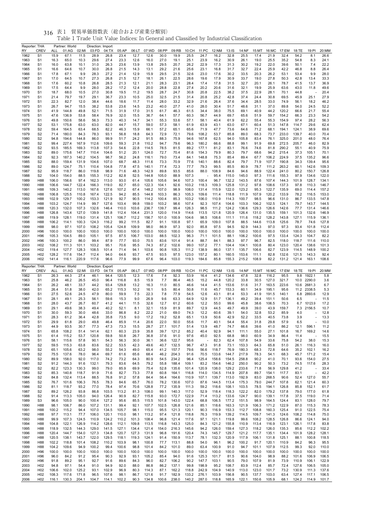| Reporter: THA | <b>CREV</b>                        | <b>ALL</b>     | Partner: World |                | Direction: Import<br>03:FD | 04:TX          | 05:AP          | 06:LT          | 07:WD          | 08:PP          | 09:RB          | 10:CH          | 11:PC                            |                |                  |                |                |                | 16:MC 17:EM    |                |                | 20:MM          |
|---------------|------------------------------------|----------------|----------------|----------------|----------------------------|----------------|----------------|----------------|----------------|----------------|----------------|----------------|----------------------------------|----------------|------------------|----------------|----------------|----------------|----------------|----------------|----------------|----------------|
| RY<br>1962    | S <sub>1</sub>                     | 15.9           | 01:AG<br>67.1  | 02:MI<br>11.5  | 28.9                       | 26.8           | 23.4           | 12.7           | 12.6           | 30.0           | 19.9           | 25.5           | 24.7                             | 12:NM<br>16.2  | $13:$ IS<br>32.8 | 14:NF<br>25.5  | 15:MT<br>17.4  | 21.9           | 32.4           | 18:TE<br>54.2  | 19:PI<br>8.1   | 26.6           |
| 1963          | S <sub>1</sub>                     | 16.3           | 65.0           | 10.3           | 29.6                       | 27.4           | 23.3           | 12.6           | 16.0           | 27.0           | 19.1           | 25.1           | 23.9                             | 16.2           | 30.9             | 26.1           | 19.0           | 25.5           | 35.2           | 54.8           | 8.3            | 24.1           |
| 1964          | S <sub>1</sub>                     | 16.0           | 63.8           | 10.1           | 31.0                       | 26.3           | 23.6           | 13.9           | 13.8           | 29.5           | 20.7           | 26.2           | 22.9                             | 17.3           | 31.3             | 30.2           | 19.2           | 22.0           | 39.6           | 50.1           | 7.4            | 22.2           |
| 1965          | S <sub>1</sub>                     | 16.6           | 64.6           | 10.7           | 30.0                       | 26.8           | 21.5           | 14.3           | 13.1           | 29.2           | 21.6           | 25.6           | 23.1                             | 16.8           | 31.7             | 32.7           | 22.4           | 25.9           | 42.2           | 46.8           | 8.8            | 26.4           |
| 1966          | S <sub>1</sub>                     | 17.8           | 67.1           | 9.9            | 28.3                       | 27.2           | 21.4           | 12.9           | 15.9           | 29.5           | 21.5           | 32.6           | 23.0                             | 17.6           | 30.2             | 33.5           | 20.3           | 26.2           | 53.1           | 53.4           | 9.9            | 28.0           |
| 1967          | S <sub>1</sub>                     | 17.0           | 64.5           | 10.7           | 27.3                       | 26.8           | 21.5           | 12.7           | 18.1           | 26.1           | 22.5           | 28.6           | 19.6                             | 17.9           | 30.9             | 33.7           | 19.0           | 27.8           | 50.3           | 42.8           | 13.4           | 33.3           |
| 1968          | S <sub>1</sub>                     | 17.6           | 60.2<br>64.4   | 10.8<br>9.9    | 26.8<br>28.0               | 28.5<br>28.2   | 21.3<br>17.2   | 12.1<br>12.4   | 21.1<br>20.0   | 28.3<br>28.8   | 23.1<br>22.8   | 28.4<br>27.4   | 17.4<br>20.2                     | 17.8<br>20.6   | 31.5<br>31.6     | 32.7<br>32.1   | 20.1<br>19.9   | 26.1<br>25.9   | 78.7<br>63.6   | 41.5<br>43.0   | 13.7           | 36.9           |
| 1969<br>1970  | S <sub>1</sub><br>S <sub>1</sub>   | 17.5<br>18.7   | 68.0           | 10.5           | 27.0                       | 30.8           | 19.5           | 11.2           | 19.5           | 28.7           | 24.7           | 30.8           | 20.8                             | 22.5           | 38.2             | 37.5           | 22.9           | 28.1           | 70.1           | 44.8           | 11.8           | 49.6<br>20.4   |
| 1971          | S <sub>1</sub>                     | 21.4           | 79.7           | 19.7           | 29.1                       | 36.7           | 23.3           | 10.5           | 25.0           | 32.5           | 21.5           | 31.4           | 20.8                             | 25.2           | 42.8             | 37.4           | 24.4           | 30.8           | 69.5           | 45.9           | 25.1           | 27.9           |
| 1972          | S <sub>1</sub>                     | 22.3           | 82.7           | 12.0           | 38.4                       | 44.6           | 18.6           | 11.7           | 11.4           | 28.0           | 33.2           | 32.9           | 21.6                             | 26.4           | 37.6             | 34.4           | 28.5           | 33.0           | 74.9           | 56.1           | 18.2           | 46.2           |
| 1973          | S <sub>1</sub>                     | 26.7           | 94.7           | 15.5           | 38.2                       | 53.8           | 23.6           | 14.5           | 23.2           | 40.0           | 27.7           | 41.0           | 28.0                             | 30.4           | 51.7             | 48.6           | 31.1           | 37.0           | 89.8           | 54.0           | 24.5           | 52.2           |
| 1974          | S <sub>1</sub>                     | 41.9           | 144.8          | 49.8           | 52.1                       | 71.5           | 31.9           | 17.0           | 31.5           | 61.7           | 46.3           | 61.5           | 34.4                             | 38.0           | 75.5             | 69.1           | 40.9           | 44.2           | 120.2          | 66.6           | 21.7           | 55.4           |
| 1975          | S <sub>1</sub>                     | 47.6           | 136.9          | 53.8           | 58.4                       | 76.9           | 32.0           | 15.5           | 36.7           | 64.1           | 57.7           | 60.3           | 56.7                             | 44.9           | 69.7             | 65.6           | 51.9           | 59.7           | 154.2          | 66.3           | 23.3           | 54.2           |
| 1976          | S <sub>1</sub>                     | 49.8           | 150.6          | 58.6           | 56.3                       | 73.3           | 40.3           | 14.7           | 34.1           | 55.3           | 53.6           | 57.1           | 58.1                             | 40.4           | 61.9             | 62.2           | 55.4           | 55.3           | 154.9          | 97.4           | 28.2           | 56.3           |
| 1977          | S <sub>2</sub>                     | 53.1           | 175.8          | 63.0           | 63.0                       | 82.0           | 44.7           | 15.7           | 59.0           | 57.3           | 58.1           | 61.9           | 63.9                             | 43.1           | 63.0             | 67.1           | 60.4           | 51.3           | 147.8          | 114.7          | 29.6           | 62.4           |
| 1978          | S <sub>2</sub><br>S <sub>2</sub>   | 59.4           | 164.5<br>180.0 | 63.4<br>84.3   | 68.5<br>78.3               | 82.2<br>93.1   | 46.3           | 15.9           | 66.1           | 57.2           | 65.1           | 65.6<br>79.6   | 71.9<br>108.2                    | 47.7<br>53.7   | 73.6             | 64.6<br>89.0   | 71.2<br>68.3   | 68.1           | 194.1          | 124.1<br>139.7 | 38.9<br>40.0   | 69.6           |
| 1979<br>1980  | S <sub>2</sub>                     | 71.4<br>94.8   | 194.6          | 144.8          | 86.0                       | 99.9           | 56.8<br>51.7   | 18.8<br>24.2   | 64.3<br>91.5   | 72.9<br>88.3   | 72.1<br>75.9   | 94.6           | 167.8                            | 62.5           | 85.8<br>94.0     | 105.8          | 83.4           | 73.7<br>76.1   | 233.0<br>325.0 | 201.0          | 48.0           | 70.4<br>76.4   |
| 1981          | S <sub>2</sub>                     | 99.4           | 227.4          | 167.9          | 112.6                      | 109.6          | 59.3           | 21.8           | 110.2          | 94.7           | 79.6           | 96.3           | 180.2                            | 66.6           | 88.8             | 99.1           | 91.9           | 69.8           | 272.5          | 205.7          | 46.0           | 82.9           |
| 1982          | S <sub>2</sub>                     | 93.5           | 185.5          | 169.3          | 113.8                      | 107.3          | 54.6           | 22.8           | 114.5          | 78.5           | 81.5           | 89.2           | 177.1                            | 81.2           | 83.1             | 76.6           | 74.6           | 81.8           | 290.2          | 55.1           | 40.9           | 75.9           |
| 1983          | S <sub>2</sub>                     | 89.0           | 175.6          | 147.7          | 110.4                      | 104.6          | 51.2           | 20.1           | 124.0          | 72.7           | 70.4           | 81.6           | 154.3                            | 79.9           | 80.3             | 79.7           | 68.6           | 94.2           | 215.4          | 37.3           | 105.1          | 70.1           |
| 1984          | S <sub>2</sub>                     | 92.3           | 187.3          | 140.2          | 104.5                      | 98.7           | 56.2           | 24.8           | 116.1          | 79.0           | 73.4           | 84.1           | 148.8                            | 75.3           | 85.4             | 89.4           | 67.7           | 106.2          | 224.9          | 37.5           | 135.2          | 96.6           |
| 1985          | S <sub>2</sub>                     | 88.0           | 159.4          | 131.9          | 104.6                      | 107.0          | 68.7           | 48.3           | 111.6          | 73.3           | 70.9           | 77.6           | 140.1                            | 88.6           | 82.4             | 79.7           | 71.9           | 107.7          | 190.8          | 34.3           | 139.4          | 95.6           |
| 1986          | S <sub>2</sub>                     | 89.0           | 124.7          | 75.1           | 110.4                      | 104.8          | 77.8           | 47.5           | 140.1          | 77.4           | 72.3           | 77.7           | 79.3                             | 99.5           | 85.5             | 80.9           | 78.7           | 111.2          | 263.2          | 60.1           | 142.6          | 109.3          |
| 1987          | S <sub>2</sub>                     | 95.9           | 118.7          | 86.0           | 119.8                      | 98.9           | 71.6           | 48.3           | 142.9          | 89.8           | 93.5           | 85.6           | 88.0                             | 108.9          | 84.6             | 94.6           | 88.9           | 122.4          | 241.0          | 80.2           | 150.7          | 126.8          |
| 1988<br>1989  | S <sub>2</sub><br>H88              | 104.0<br>106.0 | 154.0<br>156.6 | 88.5<br>97.4   | 155.3<br>162.3             | 112.2<br>113.0 | 82.8<br>93.0   | 52.5<br>61.4   | 144.8<br>105.6 | 105.0<br>105.6 | 88.9<br>94.6   | 107.3<br>107.3 | 100.4                            | 95.4<br>96.7   | 115.0<br>132.2   | 145.0<br>143.5 | 97.3<br>87.6   | 111.6<br>107.4 | 155.3<br>144.3 | 97.9<br>101.9  | 134.6<br>128.7 | 122.0<br>134.1 |
| 1990          | H88                                | 106.6          | 144.7          | 122.4          | 166.3                      | 119.0          | 82.7           | 65.0           | 122.3          | 104.1          | 92.6           | 103.2          | 118.3                            | 109.3          | 125.8            | 131.2          | 97.8           | 108.6          | 137.3          | 97.8           | 110.3          | 146.7          |
| 1991          | H88                                | 109.3          | 140.2          | 113.0          | 167.6                      | 127.6          | 107.2          | 67.4           | 148.2          | 107.0          | 98.9           | 108.0          | 131.4                            | 115.9          | 122.0            | 123.2          | 95.3           | 122.7          | 135.9          | 69.0           | 114.4          | 157.2          |
| 1992          | H88                                | 106.8          | 125.5          | 110.8          | 167.4                      | 122.5          | 94.2           | 85.5           | 144.8          | 103.3          | 86.3           | 105.3          | 109.6                            | 111.4          | 118.8            | 111.9          | 107.9          | 120.2          | 133.9          | 78.2           | 116.5          | 153.0          |
| 1993          | H88                                | 102.9          | 129.7          | 100.2          | 153.3                      | 121.9          | 92.7           | 90.5           | 114.2          | 100.4          | 85.3           | 103.2          | 106.0                            | 110.9          | 114.3            | 100.7          | 98.5           | 96.6           | 131.0          | 86.7           | 133.5          | 147.8          |
| 1994          | H88                                | 103.2          | 124.7          | 114.9          | 99.7                       | 127.6          | 103.4          | 99.8           | 159.0          | 103.2          | 98.6           | 107.4          | 92.3                             | 107.4          | 104.6            | 103.3          | 106.2          | 102.5          | 124.1          | 79.7           | 143.7          | 144.5          |
| 1995          | H88                                | 120.3          | 132.0          | 107.3          | 132.6                      | 146.4          | 110.0          | 103.6          | 236.7          | 139.7          | 99.4           | 126.3          | 98.5                             | 111.2          | 124.2            | 136.6          | 129.3          | 126.6          | 142.6          | 77.7           | 131.4          | 146.6          |
| 1996          | H88                                | 126.8          | 143.4          | 127.0          | 139.9                      | 141.8          | 112.4          | 104.4          | 231.3          | 120.0          | 114.9          | 114.6          | 113.5                            | 121.8          | 120.9            | 126.4          | 131.0          | 135.5          | 159.1          | 101.3          | 132.6          | 146.9          |
| 1997          | H88                                | 119.9          | 128.1          | 119.0          | 131.4                      | 125.1          | 106.7          | 112.2          | 156.7          | 101.0          | 100.9          | 104.6          | 98.5                             | 108.6          | 111.1            | 111.6          | 118.2          | 128.2          | 143.8          | 127.1          | 115.9          | 136.1          |
| 1998          | H88                                | 106.2          | 114.1<br>97.1  | 100.3<br>107.0 | 124.3<br>108.2             | 116.2<br>105.4 | 99.2           | 111.5<br>109.9 | 82.7<br>98.0   | 91.1           | 100.8<br>97.3  | 97.1<br>92.0   | 65.9<br>85.8                     | 109.0          | 107.8<br>94.5    | 88.5<br>92.9   | 144.6          | 113.8<br>97.0  | 125.6<br>97.3  | 78.7<br>93.4   | 74.6           | 127.8<br>112.4 |
| 1999<br>2000  | H88<br>H <sub>96</sub>             | 98.0<br>100.0  | 100.0          | 100.0          | 100.0                      | 100.0          | 124.8<br>100.0 | 100.0          | 100.0          | 86.9<br>100.0  | 100.0          | 100.0          | 100.0                            | 97.5<br>100.0  | 100.0            | 100.0          | 144.3<br>100.0 | 100.0          | 100.0          | 100.0          | 101.8<br>100.0 | 100.0          |
| 2001          | H <sub>96</sub>                    | 105.3          | 104.5          | 89.0           | 105.1                      | 97.5           | 87.5           | 106.7          | 103.0          | 88.5           | 102.3          | 96.3           | 71.1                             | 101.5          | 88.1             | 106.2          | 100.6          | 97.5           | 133.4          | 124.3          | 104.7          | 82.2           |
| 2002          | H <sub>96</sub>                    | 100.3          | 100.2          | 86.0           | 99.4                       | 87.9           | 77.7           | 93.0           | 70.5           | 83.6           | 101.4          | 91.4           | 88.7                             | 84.1           | 88.3             | 97.7           | 96.7           | 82.5           | 118.0          | 118.7          | 111.6          | 110.0          |
| 2003          | H <sub>02</sub>                    | 108.2          | 111.3          | 101.1          | 103.2                      | 95.1           | 70.6           | 95.5           | 74.3           | 87.2           | 102.6          | 99.0           | 107.2                            | 77.1           | 104.4            | 104.1          | 100.8          | 80.4           | 123.0          | 120.4          | 138.6          | 101.3          |
| 2004          | H <sub>02</sub>                    | 119.4          | 127.7          | 128.3          | 108.5                      | 101.4          | 71.4           | 94.1           | 103.6          | 90.8           | 105.3          | 111.2          | 138.9                            | 86.0           | 137.1            | 135.7          | 106.6          | 82.7           | 123.9          | 114.5          | 148.9          | 100.2          |
| 2005          | H <sub>02</sub>                    | 128.2          | 117.6          | 154.7          | 112.4                      | 94.0           | 64.6           | 93.7           | 47.5           | 93.5           | 97.5           | 123.0          | 157.2                            | 80.1           | 160.5            | 153.6          | 111.1          | 82.8           | 132.6          | 121.5          | 143.3          | 92.4           |
| 2006          | H <sub>02</sub>                    | 141.4          | 116.1          | 220.9          | 117.6                      | 96.6           | 77.9           | 99.9           | 67.6           | 96.4           | 103.0          | 119.3          | 184.6                            | 85.8           | 155.3            | 215.2          | 108.9          | 82.2           | 131.2          | 121.4          | 163.1          | 108.6          |
|               |                                    |                |                |                |                            |                |                |                |                |                |                |                |                                  |                |                  |                |                |                |                |                |                |                |
| Reporter: THA |                                    |                | Partner: World |                | Direction: Export          |                |                |                |                |                |                |                |                                  |                |                  |                |                |                |                |                |                |                |
| RY            | <b>CREV</b>                        | ALL            | 01:AG          | 02:MI          | 03:FD                      | 04:TX          | 05:AP          | 06:LT          | 07:WD          | 08:PP          | 09:RB          | 10:CH          | 11:PC                            | 12:NM          | 13:IS            | 14:NF          | 15:MT          | 16:MC          | 17:EM          | 18:TE          | 19:PI          | 20:MM          |
| 1962          | S <sub>1</sub>                     | 26.3           | 44.3           | 27.4           | 46.1                       | 94.4           | 120.5          | 12.3           | 17.6           | 7.4            | 92.3           | 53.9           | 16.4                             | 41.2           | 134.6            | 47.8           | 32.8           | 116.2          | 95.5           | 9.8            | 1922.1         | 5.8            |
| 1963          | S <sub>1</sub>                     | 25.8           | 46.2           | 26.5           | 45.0                       | 96.4           | 116.8          | 8.5            | 15.9           | 7.7            | 86.4           | 46.5           | 15.2                             | 44.8           | 120.2            | 33.8           | 30.5           | 127.0          | 321.7          | 10.0           | 2290.0         | 3.6            |
| 1964          | S <sub>1</sub>                     | 26.2           | 48.1           | 33.7           | 44.2                       | 93.4           | 129.8          | 13.2           | 16.3           | 11.0           | 80.5           | 46.6           | 14.4                             | 41.5           | 153.6            | 51.6           | 31.7           | 163.5          | 223.6          | 10.6           | 2681.3         | 6.7            |
| 1965          | S <sub>1</sub>                     | 26.4           | 51.8           | 38.0           | 42.0                       | 65.2           | 115.3          | 10.2           | 16.1           | 9.5            | 80.4           | 50.8           | 11.6                             | 45.7           | 153.3            | 60.1           | 34.9           | 195.1          | 95.6           | 11.2           | 2338.5         | 5.3            |
| 1966          | S1                                 | 27.5           | 52.6           | 24.5           | 47.9                       | 80.0           | 59.9           | 7.5            | 22.3           | 7.8            | 77.9           | 54.5           | 12.6                             | 43.1           | 81.4             | 53.3           | 41.9           | 191.5          | 140.1          | 6.8            | 2893.6         | 12.9           |
| 1967<br>1968  | S <sub>1</sub><br>S <sub>1</sub>   | 28.1<br>28.0   | 49.1<br>43.7   | 25.3<br>26.7   | 56.1<br>60.7               | 59.6<br>41.2   | 15.3<br>44.1   | 9.0<br>11.5    | 26.9<br>32.6   | 9.6<br>12.7    | 63.3<br>61.2   | 64.9<br>60.6   | 12.9<br>12.2                     | 51.7<br>55.0   | 136.1<br>99.6    | 49.2<br>45.8   | 39.4<br>38.6   | 151.1<br>106.5 | 50.6<br>70.3   | 6.5<br>6.7     | 10123.9        | 11.5<br>17.2   |
| 1969          | S <sub>1</sub>                     | 29.1           | 49.6           | 38.3           | 49.4                       | 40.2           | 52.1           | 8.1            | 32.1           | 15.9           | 81.9           | 89.7           | 12.9                             | 44.5           | 49.7             | 49.9           | 39.0           | 43.9           | 159.7          | 7.3            | 2156.5         | 10.7           |
| 1970          | S <sub>1</sub>                     | 30.0           | 59.3           | 30.0           | 48.6                       | 33.0           | 86.8           | 8.2            | 22.2           | 21.0           | 69.0           | 74.3           | 12.2                             | 60.6           | 39.1             | 54.0           | 32.8           | 53.2           | 85.9           | 4.0            |                | 12.8           |
| 1971          | S <sub>1</sub>                     | 28.3           | 61.2           | 36.4           | 42.8                       | 35.8           | 73.5           | 9.0            | 17.2           | 19.2           | 52.8           | 65.1           | 13.9                             | 50.6           | 42.9             | 52.2           | 33.5           | 40.5           | 73.8           | 3.9            |                | 13.3           |
| 1972          | S <sub>1</sub>                     | 29.9           | 61.8           | 29.0           | 49.8                       | 46.4           | 85.9           | 11.4           | 20.6           | 22.0           | 50.0           | 55.6           | 11.7                             | 40.1           | 54.4             | 55.4           | 31.8           | 29.8           | 57.9           | 6.5            |                | 10.0           |
| 1973          | S <sub>1</sub>                     | 44.9           | 93.5           | 30.7           | 77.3                       | 47.3           | 73.3           | 15.5           | 28.7           | 27.1           | 101.7          | 51.4           | 13.9                             | 48.7           | 74.7             | 66.6           | 39.6           | 41.0           | 86.2           | 12.1           | 596.1          | 11.2           |
| 1974          | S1                                 | 65.8           | 108.2          | 51.4           | 141.4                      | 62.1           | 60.3           | 23.9           | 35.8           | 39.7           | 121.2          | 85.2           | 40.4                             | 92.9           | 94.1             | 111.1          | 55.0           | 27.1           | 101.8          | 16.7           | 169.2          | 14.6           |
| 1975<br>1976  | S <sub>1</sub><br>S1               | 61.4<br>58.1   | 115.2<br>115.6 | 53.7<br>57.8   | 120.8<br>90.1              | 59.8<br>54.3   | 50.8<br>56.3   | 26.7<br>30.0   | 36.8<br>36.1   | 37.6<br>36.6   | 91.0<br>122.7  | 97.6<br>95.6   | 45.0<br>$\overline{\phantom{a}}$ | 92.5<br>82.3   | 68.8<br>62.4     | 98.0<br>107.8  | 60.9<br>54.9   | 34.9<br>33.6   | 86.4<br>75.8   | 11.4<br>54.2   | 38.0           | 15.5<br>15.3   |
| 1977          | S <sub>2</sub>                     | 59.5           | 115.3          | 63.8           | 83.6                       | 52.2           | 53.5           | 42.3           | 49.6           | 40.7           | 132.5          | 96.7           | 47.3                             | 91.8           | 73.1             | 153.3          | 64.3           | 65.8           | 51.0           | 26.1           | 116.3          | 16.0           |
| 1978          | S2                                 | 65.1           | 105.6          | 63.2           | 98.0                       | 55.2           | 54.3           | 49.0           | 65.4           | 41.2           | 157.7          | 79.6           | 56.6                             | 118.7          | 76.9             | 180.3          | 68.3           | 72.8           | 64.6           | 35.2           | 102.1          | 16.2           |
| 1979          | S <sub>2</sub>                     | 75.5           | 137.6          | 78.0           | 96.4                       | 69.7           | 61.6           | 65.6           | 68.4           | 46.2           | 204.3          | 91.6           | 70.5                             | 133.6          | 144.7            | 217.9          | 78.3           | 54.1           | 68.3           | 45.7           | 171.2          | 15.4           |
| 1980          | S <sub>2</sub>                     | 89.9           | 158.0          | 92.0           | 117.0                      | 74.2           | 73.2           | 64.3           | 80.9           | 54.5           | 234.2          | 96.4           | 125.4                            | 158.6          | 154.5            | 258.8          | 90.2           | 41.0           | 70.1           | 93.6           | 154.0          | 27.5           |
| 1981          | S <sub>2</sub>                     | 91.2           | 144.3          | 91.6           | 132.1                      | 79.3           | 83.6           | 64.5           | 79.2           | 55.8           | 188.4          | 109.1          | 83.2                             | 154.6          | 146.2            | 250.0          | 90.2           | 50.3           | 73.2           | 74.5           | 117.6          | 28.3           |
| 1982          | S <sub>2</sub>                     | 82.2           | 123.3          | 130.3          | 99.0                       | 79.0           | 85.9           | 69.9           | 75.4           | 52.8           | 135.6          | 101.4          | 120.9                            | 138.0          | 129.2            | 233.6          | 71.8           | 56.9           | 129.8          | 41.2           |                | 33.4           |
| 1983          | S <sub>2</sub>                     | 85.3           | 140.8          | 118.7          | 91.9                       | 71.6           | 82.7           | 73.3           | 77.8           | 60.8           | 164.1          | 116.8          | 114.0                            | 134.5          | 114.9            | 207.8          | 89.7           | 154.1          | 117.7          | 83.1           |                | 42.2           |
| 1984          | S <sub>2</sub>                     | 84.8<br>76.7   | 132.4          | 113.4          | 88.5                       | 76.8<br>78.3   | 91.2           | 57.8           | 84.4<br>76.0   | 56.4           | 164.6          | 110.9          | 107.1                            | 139.7<br>144.5 | 113.0            | 192.9          | 83.0           | 268.5          | 90.6           | 52.4           | 127.0          | 55.7           |
| 1985<br>1986  | S <sub>2</sub><br>S <sub>2</sub>   | 81.1           | 101.6          | 106.3<br>93.2  | 76.5<br>77.0               | 78.4           | 84.6<br>97.4   | 65.7<br>70.6   | 128.8          | 78.2<br>77.2   | 130.6<br>135.9 | 107.0<br>111.3 | 87.6<br>59.2                     | 118.6          | 113.4<br>108.1   | 175.3<br>103.5 | 79.0<br>78.5   | 244.7<br>194.1 | 107.8<br>126.8 | 62.1<br>85.8   | 121.4<br>152.1 | 60.3<br>61.7   |
| 1987          | S <sub>2</sub>                     | 89.2           | 118.7<br>126.2 | 93.8           | 86.8                       | 103.5          | 113.2          | 81.3           | 108.0          | 99.1           | 140.3          | 117.0          | 52.9                             | 118.4          | 118.3            | 122.2          | 82.0           | 179.2          | 137.8          | 79.0           | 177.0          | 61.8           |
| 1988          | S <sub>2</sub>                     | 91.4           | 113.3          | 105.0          | 94.0                       | 126.4          | 90.9           | 82.7           | 115.8          | 93.0           | 172.7          | 122.9          | 71.4                             | 113.2          | 133.6            | 124.7          | 90.0           | 139.1          | 117.8          | 37.5           | 119.0          | 71.4           |
| 1989          | S3                                 | 96.6           | 105.0          | 90.0           | 100.4                      | 127.2          | 95.6           | 85.5           | 115.5          | 101.8          | 143.0          | 122.4          | 68.8                             | 106.5          | 177.2            | 151.5          | 98.9           | 164.5          | 124.4          | 83.1           | 128.0          | 79.7           |
| 1990          | H88                                | 98.1           | 106.7          | 86.0           | 107.2                      | 131.1          | 99.4           | 92.1           | 107.7          | 102.5          | 126.8          | 121.6          | 85.1                             | 118.6          | 163.3            | 121.9          | 106.3          | 171.2          | 122.9          | 87.0           | 115.3          | 78.3           |
| 1991          | H88                                | 100.2          | 115.2          | 94.4           | 107.0                      | 134.5          | 105.7          | 98.1           | 115.0          | 95.5           | 121.3          | 120.1          | 90.3                             | 116.9          | 153.3            | 112.7          | 108.8          | 160.3          | 125.4          | 91.0           | 122.5          | 75.4           |
| 1992          | H88                                | 97.7           | 113.1          | 77.7           | 106.0                      | 120.1          | 110.0          | 98.1           | 113.2          | 97.4           | 121.8          | 118.8          | 76.3                             | 119.9          | 139.2            | 114.5          | 109.7          | 141.3          | 124.6          | 108.2          | 114.8          | 75.0           |
| 1993          | H88                                | 99.9           | 107.3          | 124.5          | 110.9                      | 124.2          | 110.2          | 101.3          | 108.4          | 96.8           | 121.4          | 117.6          | 97.1                             | 121.1          | 119.8            | 99.6           | 108.2          | 128.5          | 126.8          | 86.6           | 124.1          | 94.0           |
| 1994          | H88                                | 104.8          | 122.1          | 126.9          | 114.2                      | 128.6          | 112.1          | 109.8          | 113.5          | 116.8          | 143.3          | 125.0          | 84.3                             | 121.2          | 155.8            | 110.9          | 113.4          | 116.9          | 123.1          | 126.1          | 117.8          | 83.8           |
| 1995<br>1996  | H88<br>H88                         | 118.9<br>120.4 | 132.5<br>144.7 | 144.3<br>154.0 | 129.0<br>127.3             | 141.5<br>134.8 | 127.1<br>120.7 | 134.4<br>127.3 | 121.4<br>131.9 | 154.0<br>96.8  | 216.3<br>191.6 | 145.6<br>120.4 | 94.2<br>74.3                     | 126.0<br>145.7 | 159.4<br>129.7   | 127.3<br>121.2 | 118.2<br>117.7 | 126.0<br>135.1 | 135.3<br>134.4 | 85.6<br>101.9  | 112.2<br>128.2 | 102.2<br>128.1 |
| 1997          | H88                                | 120.5          | 138.1          | 143.7          | 122.0                      | 129.5          | 118.1          | 119.3          | 124.1          | 91.4           | 150.9          | 113.7          | 78.1                             | 132.3          | 120.9            | 117.9          | 106.1          | 131.8          | 125.1          | 88.1           | 100.8          | 118.5          |
| 1998          | H88                                | 102.2          | 118.8          | 101.4          | 108.2                      | 110.2          | 103.9          | 98.1           | 100.8          | 77.7           | 113.1          | 88.8           | 54.0                             | 96.1           | 96.2             | 100.2          | 91.7           | 120.1          | 110.9          | 84.2           | 96.3           | 95.5           |
| 1999          | H88                                | 104.2          | 109.6          | 94.9           | 100.2                      | 99.4           | 100.6          | 98.8           | 101.4          | 84.2           | 101.0          | 89.0           | 63.4                             | 100.9          | 91.0             | 94.7           | 101.1          | 107.9          | 112.5          | 99.3           | 92.0           | 110.0          |
| 2000          | H96                                | 100.0          | 100.0          | 100.0          | 100.0                      | 100.0          | 100.0          | 100.0          | 100.0          | 100.0          | 100.0          | 100.0          | 100.0                            | 100.0          | 100.0            | 100.0          | 100.0          | 100.0          | 100.0          | 100.0          | 100.0          | 100.0          |
| 2001          | H <sub>96</sub>                    | 96.0           | 84.2           | 91.2           | 95.4                       | 90.3           | 92.9           | 93.1           | 105.2          | 85.4           | 94.0           | 91.6           | 125.3                            | 101.7          | 81.5             | 90.6           | 104.0          | 98.9           | 88.2           | 101.6          | 106.9          | 106.5          |
| 2002          | H96                                | 91.8           | 89.2           | 95.1           | 92.7                       | 91.6           | 89.6           | 84.3           | 96.0           | 82.7           | 106.2          | 90.2           | 147.7                            | 103.1          | 90.5             | 79.0           | 107.9          | 81.9           | 73.9           | 110.9          | 106.1          | 122.9          |
| 2003          | H <sub>02</sub>                    | 94.8           | 97.1           | 54.4           | 91.0                       | 94.9           | 92.0           | 88.0           | 86.8           | 86.2           | 137.1          | 99.8           | 198.9                            | 95.2           | 108.7            | 83.9           | 112.4          | 85.7           | 72.4           | 127.6          | 106.5          | 105.0          |
| 2004<br>2005  | H <sub>02</sub><br>H <sub>02</sub> | 106.6<br>108.3 | 102.0<br>117.6 | 125.2<br>171.8 | 93.1<br>96.5               | 102.9<br>107.6 | 96.9<br>98.1   | 80.3<br>86.7   | 114.3<br>121.6 | 87.1<br>91.7   | 162.2<br>182.9 | 118.8<br>133.2 | 242.9<br>276.1                   | 104.9<br>103.9 | 140.9<br>156.8   | 113.0<br>90.5  | 123.0<br>137.7 | 101.7<br>103.0 | 73.2<br>63.4   | 130.9<br>127.4 | 111.3<br>117.1 | 137.6<br>106.5 |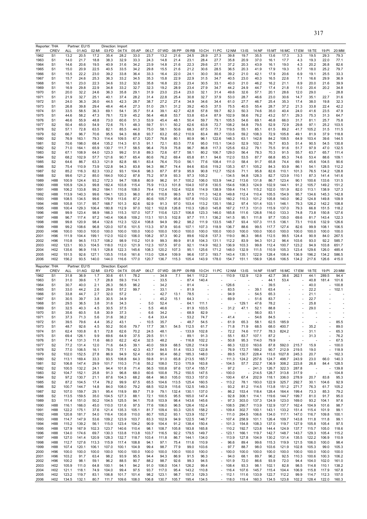| Reporter: THA |                                     |                | Partner: EU15  |                | Direction: Import |                |                          |                          |               |                          |                   |                          |                          |               |                          |               |                |                          |                |                          |                |                |
|---------------|-------------------------------------|----------------|----------------|----------------|-------------------|----------------|--------------------------|--------------------------|---------------|--------------------------|-------------------|--------------------------|--------------------------|---------------|--------------------------|---------------|----------------|--------------------------|----------------|--------------------------|----------------|----------------|
| RY            | <b>CREV</b>                         | ALL            | 01:AG          | 02:MI          | 03:FD             | 04:TX          | 05:AP                    | 06:LT                    | 07:WD         | 08:PP                    | 09:RB             | 10:CH                    | 11:PC                    | 12:NM         | 13:1S                    | 14:NF         | 15:MT          | 16:MC                    | 17:EM          | 18:TE                    | 19:PI          | 20:MM          |
| 1962          | S <sub>1</sub>                      | 13.2           | 20.5           | 17.2           | 35.4              | 28.2           | 33.0                     | 23.7                     | 13.2          | 21.6                     | 24.5              | 28.9                     | 27.3                     | 39.8          | 19.7                     | 35.5          | 13.6           | 17.3                     | 3.3            | 19.5                     | 29.3           | 79.3           |
| 1963          | S1                                  | 14.0           | 21.7           | 18.8           | 38.3              | 32.9           | 33.3                     | 24.3                     | 14.8          | 21.4                     | 23.1              | 28.4                     | 27.7                     | 35.8          | 20.9                     | 37.0          | 16.1           | 17.7                     | 4.3            | 19.3                     | 22.0           | 77.1           |
| 1964          | S1                                  | 14.6           | 20.6           | 19.5           | 40.9              | 31.6           | 34.2                     | 23.9                     | 14.8          | 21.6                     | 22.3              | 29.6                     | 27.1                     | 37.2          | 20.3                     | 43.9          | 16.1           | 19.0                     | 4.3            | 20.2                     | 26.8           | 82.6           |
| 1965          | S <sub>1</sub>                      | 15.0           | 20.9           | 22.5           | 40.5              | 33.5           | 34.2                     | 29.8                     | 15.5          | 21.6                     | 21.2              | 30.6                     | 28.5                     | 36.5          | 20.3                     | 41.9          | 17.9           | 19.3                     | 5.7            | 18.0                     | 25.2           | 79.7           |
| 1966          | S <sub>1</sub>                      | 15.5           | 22.2           | 23.0           | 39.2              | 33.8           | 36.4                     | 33.3                     | 16.4          | 22.0                     | 24.1              | 30.0                     | 30.6                     | 39.2          | 21.0                     | 42.1          | 17.9           | 20.6                     | 6.9            | 19.1                     | 25.5           | 33.3           |
| 1967          | S <sub>1</sub>                      | 15.7           | 24.6           | 25.3           | 36.3              | 33.2           | 34.5                     | 35.3                     | 15.8          | 22.9                     | 22.9              | 31.5                     | 34.7                     | 40.5          | 23.0                     | 40.3          | 16.5           | 22.6                     | 7.1            | 16.6                     | 29.9           | 36.9           |
| 1968          | S <sub>1</sub>                      | 16.1           | 23.0           | 22.3           | 34.6              | 33.2           | 32.6                     | 35.8                     | 16.8          | 22.3                     | 23.4              | 30.5                     | 33.1                     | 40.0          | 21.0                     | 46.2          | 16.2           | 21.1                     | 8.9            | 20.0                     | 21.6           | 39.9           |
| 1969          | S1                                  | 16.9           | 29.8           | 22.9           | 34.8              | 33.2           | 32.7                     | 32.3                     | 19.2          | 28.9                     | 23.4              | 27.9                     | 34.7                     | 44.2          | 24.9                     | 44.7          | 17.4           | 21.8                     | 11.0           | 20.4                     | 20.2           | 34.8           |
| 1970          | S <sub>1</sub>                      | 20.0           | 32.2           | 24.6           | 36.3              | 35.8           | 29.1                     | 31.9                     | 23.0          | 23.4                     | 23.0              | 32.1                     | 31.4                     | 49.6          | 32.6                     | 57.1          | 20.1           | 28.6                     | 12.0           | 29.0                     |                | 28.8           |
| 1971          | S1                                  | 21.9           | 32.7           | 25.1           | 40.1              | 37.4           | 28.2                     | 31.4                     | 22.8          | 25.4                     | 30.8              | 32.7                     | 37.9                     | 53.0          | 28.7                     | 46.6          | 23.0           | 30.6                     | 14.7           | 35.1                     | 22.7           | 31.6           |
| 1972          | S1                                  | 24.0           | 36.3           | 26.0           | 44.5              | 42.3           | 28.7                     | 38.7                     | 27.2          | 27.4                     | 34.9              | 34.6                     | 34.4                     | 61.0          | 27.7                     | 46.7          | 25.4           | 35.3                     | 17.4           | 38.0                     | 19.8           | 32.3           |
| 1973          | S <sub>1</sub>                      | 26.8           | 39.8           | 29.4           | 48.4              | 46.4           | 27.3                     | 51.0                     | 29.1          | 31.2                     | 39.2              | 40.5                     | 37.5                     | 75.5          | 40.5                     | 55.4          | 28.7           | 37.2                     | 21.3           | 33.8                     | 22.4           | 42.2           |
| 1974<br>1975  | S <sub>1</sub><br>S <sub>1</sub>    | 33.5<br>44.6   | 58.5<br>58.2   | 36.3<br>47.3   | 69.1<br>78.1      | 54.1<br>72.9   | 35.7<br>45.2             | 51.4<br>56.4             | 39.1          | 42.7                     | 42.8<br>53.8      | 57.8                     | 59.7<br>87.9             | 82.3<br>102.9 | 50.3                     | 74.6<br>76.2  | 35.0<br>43.2   | 40.4<br>57.1             | 24.0<br>29.3   | 41.6<br>75.3             | 23.5<br>31.3   | 47.9<br>64.7   |
| 1976          | S <sub>1</sub>                      | 46.6           | 55.9           | 48.8           | 73.0              | 60.6           | 51.3                     | 53.9                     | 46.8<br>45.4  | 53.7<br>48.1             | 50.4              | 63.4<br>59.7             | 79.1                     | 105.5         | 58.6<br>54.6             | 69.1          | 46.8           | 66.0                     | 31.7           | 81.1                     | 25.7           | 75.8           |
| 1977          | S <sub>2</sub>                      | 50.4           | 65.0           | 54.9           | 72.6              | 75.1           | 48.3                     | 59.7                     | 51.1          | 50.2                     | 62.6              | 63.8                     | 72.7                     | 108.2         | 54.8                     | 79.5          | 52.9           | 72.9                     | 29.8           | 97.1                     | 25.2           | 103.5          |
| 1978          | S <sub>2</sub>                      | 57.1           | 72.8           | 63.5           | 82.1              | 85.5           | 44.0                     | 75.0                     | 58.1          | 50.6                     | 68.3              | 67.5                     | 77.3                     | 119.5         | 55.1                     | 85.1          | 61.5           | 89.2                     | 41.7           | 105.2                    | 31.5           | 111.5          |
| 1979          | S <sub>2</sub>                      | 66.7           | 96.7           | 70.6           | 95.5              | 94.3           | 66.8                     | 93.7                     | 63.2          | 65.2                     | 110.9             | 83.4                     | 89.7                     | 133.6         | 59.2                     | 108.3         | 72.9           | 105.8                    | 49.1           | 81.9                     | 37.9           | 118.8          |
| 1980          | S <sub>2</sub>                      | 76.9           | 163.1          | 79.3           | 114.4             | 109.5          | 67.3                     | 120.7                    | 76.8          | 80.1                     | 80.9              | 96.1                     | 122.6                    | 148.3         | 63.1                     | 142.8         | 84.2           | 108.5                    | 64.9           | 103.4                    | 39.6           | 144.5          |
| 1981          | S <sub>2</sub>                      | 70.6           | 198.0          | 68.4           | 135.2             | 114.3          | 61.5                     | 91.1                     | 72.1          | 83.5                     | 77.6              | 95.0                     | 115.1                    | 134.0         | 52.9                     | 102.1         | 76.7           | 83.5                     | 51.4           | 90.5                     | 54.5           | 130.8          |
| 1982          | S <sub>2</sub>                      | 71.0           | 164.1          | 65.9           | 130.7             | 111.7          | 58.5                     | 96.4                     | 75.9          | 75.8                     | 96.7              | 86.8                     | 117.3                    | 125.6         | 63.2                     | 79.1          | 75.5           | 91.6                     | 51.7           | 97.9                     | 47.0           | 132.5          |
| 1983          | S <sub>2</sub>                      | 67.1           | 108.9          | 64.0           | 123.3             | 99.2           | 51.8                     | 89.3                     | 72.6          | 67.7                     | 58.1              | 80.2                     | 106.7                    | 129.0         | 56.4                     | 78.3          | 70.3           | 91.5                     | 55.7           | 63.7                     | 65.7           | 111.4          |
| 1984          | S <sub>2</sub>                      | 68.2           | 102.9          | 57.7           | 121.6             | 90.7           | 65.4                     | 80.6                     | 76.2          | 69.4                     | 65.8              | 81.1                     | 94.6                     | 112.0         | 53.5                     | 87.7          | 68.8           | 85.3                     | 74.6           | 53.4                     | 88.6           | 109.1          |
| 1985          | S <sub>2</sub>                      | 64.6           | 86.7           | 63.3           | 121.9             | 82.8           | 66.1                     | 83.4                     | 76.4          | 70.0                     | 56.1              | 77.6                     | 108.4                    | 111.0         | 58.4                     | 91.7          | 65.8           | 74.4                     | 69.1           | 45.6                     | 104.5          | 90.6           |
| 1986          | S <sub>2</sub>                      | 75.4           | 110.9          | 73.9           | 122.8             | 94.3           | 83.8                     | 94.3                     | 86.7          | 74.4                     | 84.6              | 83.6                     | 119.2                    | 135.3         | 67.1                     | 105.2         | 84.3           | 93.9                     | 86.1           | 54.1                     | 128.5          | 112.2          |
| 1987          | S2                                  | 85.2           | 116.3          | 82.3           | 133.2             | 93.1           | 104.6                    | 98.3                     | 87.7          | 87.9                     | 95.9              | 90.8                     | 112.7                    | 152.6         | 71.1                     | 95.8          | 82.6           | 110.1                    | 101.3          | 76.5                     | 134.2          | 128.8          |
| 1988          | S <sub>2</sub>                      | 99.6           | 121.2          | 85.0           | 164.0             | 100.2          | 87.8                     | 75.2                     | 97.9          | 93.3                     | 97.3              | 105.2                    | $\overline{\phantom{a}}$ | 134.5         | 94.8                     | 128.3         | 82.7           | 123.9                    | 110.1          | 87.3                     | 141.4          | 141.6          |
| 1989          | H88                                 | 100.9          | 124.4          | 93.2           | 172.3             | 94.7           | 108.6                    | 80.9                     | 96.2          | 91.7                     | 100.2             | 106.0                    | 103.9                    | 144.2         | 113.6                    | 131.8         | 86.7           | 123.4                    | 90.1           | 100.6                    | 133.6          | 131.5          |
| 1990          | H88                                 | 105.9          | 124.3          | 99.8           | 182.4             | 103.8          | 115.4                    | 75.9                     | 113.3         | 101.8                    | 104.0             | 107.8                    | 130.5                    | 154.6         | 108.3                    | 124.9         | 102.9          | 144.1                    | 91.2           | 105.7                    | 149.2          | 151.2          |
| 1991          | H88                                 | 106.2          | 133.8          | 99.2           | 184.1             | 110.8          | 108.0                    | 79.4                     | 112.4         | 102.4                    | 102.6             | 114.9                    | 138.9                    | 159.4         | 114.1                    | 115.2         | 102.0          | 151.9                    | 82.0           | 113.1                    | 138.9          | 127.3          |
| 1992          | H88                                 | 113.9          | 140.3          | 99.6           | 194.1             | 120.3          | 96.0                     | 87.6                     | 110.8         | 99.5                     | 97.5              | 111.3                    | 142.8                    | 149.8         | 112.4                    | 110.4         | 105.5          | 154.9                    | 95.7           | 134.6                    | 145.3          | 142.8          |
| 1993          | H88                                 | 108.5          | 134.5          | 99.6           | 179.9             | 113.6          | 87.2                     | 80.6                     | 105.7         | 95.8                     | 107.8             | 110.0                    | 132.0                    | 160.2         | 110.3                    | 101.2         | 105.8          | 140.0                    | 96.2           | 124.8                    | 149.8          | 109.9          |
| 1994          | H88                                 | 105.8          | 131.7          | 95.7           | 168.7             | 101.3          | 82.6                     | 92.9                     | 91.3          | 97.0                     | 103.4             | 113.2                    | 135.1                    | 156.2         | 97.4                     | 101.4         | 103.1          | 146.1                    | 79.3           | 126.2                    | 142.2          | 108.8          |
| 1995          | H88                                 | 100.4          | 129.3          | 106.4          | 180.8             | 112.9          | 97.0                     | 102.1                    | 102.8         | 126.8                    | 110.3             | 126.0                    | 145.8                    | 167.2         | 117.3                    | 131.0         | 115.9          | 137.0                    | 79.3           | 66.8                     | 151.5          | 118.2          |
| 1996          | H88                                 | 99.9           | 123.4          | 98.9           | 166.3             | 115.3          | 107.0                    | 107.7                    | 110.6         | 123.7                    | 106.8             | 123.3                    | 146.0                    | 165.8         | 111.6                    | 126.8         | 116.0          | 133.3                    | 74.8           | 73.8                     | 150.8          | 127.6          |
| 1997          | H88                                 | 96.7           | 117.4          | 97.2           | 140.4             | 106.8          | 109.2                    | 113.1                    | 101.5         | 102.8                    | 97.7              | 111.1                    | 136.2                    | 141.5         | 95.1                     | 111.8         | 97.7           | 135.0                    | 69.6           | 81.7                     | 143.4          | 122.3          |
| 1998          | H88                                 | 99.8           | 120.9          | 98.4           | 132.6             | 112.3          | 122.4                    | 108.8                    | 94.9          | 99.2                     | 98.2              | 111.9                    | 133.5                    | 148.7         | 93.4                     | 107.3         | 111.5          | 136.1                    | 73.1           | 110.6                    | 132.9          | 126.6          |
| 1999          | H88                                 | 99.2           | 108.6          | 96.8           | 120.0             | 107.6          | 101.5                    | 113.3                    | 97.9          | 93.6                     | 107.1             | 107.3                    | 118.9                    | 136.7         | 88.6                     | 99.5          | 117.7          | 127.4                    | 82.6           | 99.9                     | 108.1          | 106.5          |
| 2000          | H96                                 | 100.0          | 100.0          | 100.0          | 100.0             | 100.0          | 100.0                    | 100.0                    | 100.0         | 100.0                    | 100.0             | 100.0                    | 100.0                    | 100.0         | 100.0                    | 100.0         | 100.0          | 100.0                    | 100.0          | 100.0                    | 100.0          | 100.0          |
| 2001          | H96                                 | 111.9          | 104.4          | 199.1          | 112.0             | 102.0          | 106.0                    | 108.2                    | 97.3          | 90.2                     | 89.6              | 102.8                    | 137.3                    | 119.0         | 86.3                     | 98.6          | 112.5          | 99.5                     | 124.4          | 90.9                     | 84.0           | 267.5          |
| 2002          | H96                                 | 110.8          | 94.5           | 113.7          | 108.2             | 98.9           | 110.2                    | 101.9                    | 99.3          | 89.9                     | 81.8              | 104.3                    | 131.1                    | 112.2         | 83.9                     | 94.3          | 101.2          | 96.4                     | 103.6          | 93.0                     | 92.2           | 585.7          |
| 2003          | H <sub>02</sub>                     | 123.1          | 93.3           | 104.5          | 118.0             | 112.0          | 121.9                    | 112.3                    | 107.5         | 97.0                     | 92.1              | 114.9                    | 162.3                    | 136.9         | 103.3                    | 99.8          | 112.4          | 100.7                    | 123.2          | 94.9                     | 103.8          | 651.7          |
| 2004          | H <sub>02</sub>                     | 135.6          | 96.9           | 118.1          | 128.8             | 122.3          | 145.6                    | 108.3                    | 120.2         | 107.3                    | 95.1              | 125.6                    | 171.2                    | 148.0         | 132.9                    | 111.5         | 110.9          | 105.3                    | 123.4          | 129.6                    | 126.0          | 485.4          |
| 2005          | H <sub>02</sub><br>H <sub>0</sub> 2 | 151.5<br>156.2 | 92.6<br>93.5   | 127.1          | 135.5             | 115.6          | 161.6                    | 113.0                    | 128.4         | 109.9                    | 96.6              | 137.3                    | 193.7                    | 143.4         | 135.1                    | 122.9         | 128.4          | 108.4                    | 136.9          | 196.2<br>217.6           | 134.2          | 586.5          |
| 2006          |                                     |                |                |                |                   |                |                          |                          |               |                          |                   |                          |                          |               |                          |               |                |                          |                |                          |                |                |
|               |                                     |                |                | 140.0          | 144.0             | 116.6          | 177.0                    | 120.7                    | 136.7         | 115.3                    | 105.4             | 143.9                    | 178.0                    | 154.7         | 151.1                    | 156.9         | 126.6          | 106.5                    | 134.2          |                          | 126.6          | 415.0          |
| Reporter: THA |                                     |                | Partner: EU15  |                | Direction: Export |                |                          |                          |               |                          |                   |                          |                          |               |                          |               |                |                          |                |                          |                |                |
| RY            | <b>CREV</b>                         | ALL            | 01:AG          | 02:MI          | 03:FD             | 04:TX          | 05:AP                    | 06:LT                    | 07:WD         | 08:PP                    | 09:RB             | 10:CH 11:PC              |                          | 12:NM         | $13:$ IS                 | 14:NF         | 15:MT          | 16:MC                    | 17:EM          | 18:TE                    | 19:PI          | 20:MM          |
| 1962          | S <sub>1</sub>                      | 31.8           | 36.9           | 1.7            | 30.6              | 61.1           | 78.2                     |                          | 34.9          | 7.1                      | 94.1              | 112.2                    |                          | 110.9         | 132.9                    | 12.9          | 42.7           | 38.6                     | 262.1          | 44.1                     | 289.5          | 94.4           |
| 1963          | S1                                  | 31.0           | 39.6           | 1.7            | 28.8              | 59.3           | 114.1                    |                          | 33.5          |                          | 87.4              | 140.4                    |                          |               |                          |               | 44.1           | 53.4                     |                | 40.8                     | 181.4          | 101.6          |
| 1964          | S1                                  | 30.7           | 40.0           | 2.1            | 26.3              | 56.5           | 96.2                     |                          | 34.2          |                          | 81.4              |                          |                          | 126.6         |                          |               | 39.5           |                          |                | 40.0                     |                | 100.8          |
| 1965          | S1                                  | 33.0           | 44.2           | 2.6            | 29.6              | 57.2           | 99.7                     | $\overline{\phantom{a}}$ | 33.1          | $\overline{\phantom{a}}$ | 81.9              | $\overline{\phantom{a}}$ |                          | 83.5          |                          | 39.1          | 63.4           | $\overline{\phantom{a}}$ |                | 22.2                     |                | 102.1          |
| 1966          | S1                                  | 33.8           | 44.7           | 2.7            | 32.0              | 57.2           |                          |                          | 42.7          | 13.1                     | 78.5              |                          |                          | 94.9          |                          | 54.5          | 65.3           |                          |                | 21.1                     |                |                |
| 1967          | S1                                  | 30.5           | 39.7           | 3.8            | 30.5              | 34.9           |                          |                          | 45.2          | 15.1                     | 64.3              |                          |                          | 69.9          |                          | 51.6          | 83.7           |                          |                | 22.7                     |                |                |
| 1968          | S1                                  | 29.5           | 36.5           | 3.8            | 31.6              | 34.3           |                          | 5.0                      | 52.4          |                          | 64.1              | 111.1                    |                          |               | 129.1                    | 47.6          | 78.2           |                          |                | 25.8                     |                |                |
| 1969          | S1                                  | 32.5           | 40.3           | 4.5            | 30.5              | 37.5           | $\overline{\phantom{a}}$ | 5.5                      | 46.6          | $\overline{\phantom{a}}$ | 81.9              | 103.5                    |                          | 31.2          | 47.1                     | 52.1          | 88.8           |                          |                | 29.0                     |                |                |
| 1970          | S <sub>1</sub>                      | 35.6           | 60.5           | 5.8            | 30.9              | 37.3           |                          | 6.6                      | 34.2          | $\overline{\phantom{a}}$ | 68.9              | 82.9                     |                          |               |                          | 56.0          | 83.1           |                          |                |                          |                |                |
| 1971          | S1                                  | 37.3           | 71.3           | 5.6            | 31.6              | 38.2           |                          | 6.4                      | 33.4          | $\overline{\phantom{a}}$ | 53.2              | 74.7                     |                          | 41.4          |                          | 54.6          | 84.5           |                          |                |                          |                |                |
| 1972<br>1973  | S1                                  | 39.5           | 79.6           | 4.4            | 35.2              | 43.1           |                          | 10.5                     | 35.7          |                          | 48.7              | 54.5                     |                          | 61.9          | 65.3                     | 58.1          | 62.5           | 185.9                    |                |                          |                | 85.5           |
| 1974          | S1<br>S1                            | 48.7<br>62.4   | 92.6<br>100.8  | 4.5<br>8.1     | 50.2<br>72.8      | 50.6<br>62.6   | 79.7<br>70.2             | 17.7<br>24.5             | 38.1<br>48.1  | 54.5                     | 112.5<br>$-133.9$ | 61.7<br>102.8            |                          | 71.8<br>72.2  | 71.9<br>74.6             | 68.5<br>117.7 | 68.0<br>78.3   | 400.7<br>824.2           |                | 35.2<br>31.1             |                | 89.0<br>65.3   |
| 1975          | S1                                  | 69.4           | 126.1          | 9.9            | 69.6              | 64.9           | 37.5                     | 29.5                     | 51.1          | $\overline{\phantom{a}}$ | 89.1              | 91.3                     |                          | 55.1          | 83.7                     | 107.1         | 87.2           |                          |                | 31.3                     |                | 76.2           |
| 1976          | S1                                  | 71.4           | 131.3          | 11.6           | 66.0              | 62.2           | 42.4                     | 32.5                     | 48.2          | $\overline{\phantom{a}}$ | 116.8             | 102.2                    |                          | 50.8          | 95.3                     | 114.0         | 79.9           |                          |                |                          |                | 67.5           |
| 1977          | S <sub>2</sub>                      | 77.2           | 131.4          | 12.0           | 71.6              | 64.5           | 39.1                     | 40.0                     | 59.9          | 68.5                     | 128.2             | 114.9                    | $\frac{1}{2}$            | 66.3          | 122.0                    | 163.6         | 87.8           | 592.0                    | 215.7          | 15.9                     |                | $-100.0$       |
| 1978          | S <sub>2</sub>                      | 77.0           | 106.5          | 16.1           | 78.0              | 77.1           | 42.3                     | 43.7                     | 84.5          | 51.4                     | 153.3             | 122.8                    |                          | 76.9          | 172.7                    | 189.2         | 90.7           | 212.9                    | 219.5          | 19.0                     |                | $-118.9$       |
| 1979          | S <sub>2</sub>                      | 102.0          | 152.5          | 27.8           | 86.9              | 94.9           | 52.4                     | 63.9                     | 90.4          | 66.2                     | 185.3             | 148.0                    |                          | 89.5          | 130.7                    | 228.4         | 113.6          | 1027.8                   | 245.3          | 20.7                     |                | 162.3          |
| 1980          | S <sub>2</sub>                      | 113.1          | 169.4          | 33.3           | 93.5              | 108.8          | 64.3                     | 59.8                     | 91.0          | 65.8                     | 213.5             | 165.7                    | ÷.                       | 111.3         | 124.2                    | 257.6         | 124.7          | 498.7                    | 243.9          | 23.0                     | 66.0           | 140.3          |
| 1981          | S <sub>2</sub>                      | 106.8          | 147.4          | 29.9           | 101.7             | 110.3          | 71.6                     | 55.2                     | 108.0         | 72.0                     | 175.9             | 163.8                    | ÷.                       | 104.5         | 57.7                     | 232.7         | 136.9          | 308.2                    | 223.8          | 26.8                     | 84.4           | 128.5          |
| 1982          | S <sub>2</sub>                      | 100.5          | 132.2          | 24.1           | 94.4              | 101.8          | 71.4                     | 56.5                     | 100.8         | 97.6                     | 137.4             | 155.7                    | $\overline{\phantom{a}}$ | 97.2          | ÷                        | 241.3         | 126.7          | 322.3                    | 287.8          | $\overline{\phantom{a}}$ |                | 139.8          |
| 1983          | S <sub>2</sub>                      | 104.7          | 152.1          | 25.8           | 91.3              | 96.8           | 68.0                     | 60.6                     | 100.8         | 75.2                     | 150.5             | 147.5                    | ٠                        | 100.0         | $\overline{\phantom{a}}$ | 214.5         | 128.7          | 313.8                    | 317.9          | $\overline{\phantom{a}}$ |                | 104.8          |
| 1984          | S <sub>2</sub>                      | 97.2           | 130.7          | 21.1           | 87.6              | 104.3          | 68.2                     | 68.4                     | 96.0          | 105.0                    | 153.3             | 157.0                    | $\overline{\phantom{a}}$ | 100.4         | 67.4                     | 202.9         | 118.1          | 336.0                    | 278.9          | 20.7                     | 83.8           | 95.3           |
| 1985          | S <sub>2</sub>                      | 87.2           | 104.5          | 17.4           | 78.2              | 99.9           | 67.5                     | 65.5                     | 104.6         | 113.5                    | 125.4             | 160.5                    | ÷                        | 113.2         | 78.1                     | 193.0         | 122.9          | 325.7                    | 292.7          | 30.1                     | 104.6          | 92.9           |
| 1986          | S <sub>2</sub>                      | 100.7          | 144.7          | 14.8           | 84.0              | 108.0          | 79.2                     | 68.5                     | 102.9         | 115.6                    | 132.5             | 149.3                    | $\overline{\phantom{a}}$ | 93.2          | 81.2                     | 114.5         | 113.8          | 151.2                    | 271.7          | 76.3                     | 61.7           | 105.2          |
| 1987          | S <sub>2</sub>                      | 107.0          | 159.7          | 29.1           | 95.4              | 118.9          | 89.7                     | 71.9                     | 79.1          | 132.4                    | 130.1             | 137.0                    | ٠                        | 86.2          | 153.4                    | 118.4         | 128.4          | 164.4                    | 199.4          | 73.3                     | 85.3           | 79.2           |
| 1988          | S <sub>2</sub>                      | 113.5          | 159.5          | 35.0           | 104.5             | 127.3          | 88.1                     | 72.1                     | 100.5         | 95.5                     | 165.0             | 147.4                    | ÷,                       | 92.8          | 308.1                    | 114.1         | 119.6          | 144.7                    | 199.7          | 81.0                     | 91.7           | 95.0           |
| 1989          | S <sub>3</sub>                      | 111.4          | 151.0          | 50.2           | 104.5             | 125.5          | 94.1                     | 70.8                     | 103.9         | 98.4                     | 143.6             | 145.6                    | $\frac{1}{2}$            | 97.3          | 303.0                    | 137.3         | 124.9          | 123.0                    | 169.0          | 93.2                     | 104.1          | 97.6           |
| 1990          | H88                                 | 116.1          | 166.0          | 45.0           | 110.0             | 131.6          | 97.5                     | 77.6                     | 106.0         | 96.5                     | 126.4             | 152.4                    | $\overline{\phantom{a}}$ | 108.5         | 290.7                    | 113.9         | 132.9          | 137.7                    | 162.4          | 104.9                    | 101.6          | 98.7           |
| 1991          | H88                                 | 122.2          | 175.1          | 37.6           | 121.4             | 135.3          | 105.1                    | 81.7                     | 109.4         | 93.3                     | 120.5             | 158.2                    | $\overline{\phantom{a}}$ | 109.4         | 302.7                    | 100.1         | 143.1          | 133.2                    | 151.4          | 115.4                    | 101.9          | 99.1           |
| 1992          | H88                                 | 120.8          | 181.7          | 54.0           | 116.4             | 130.8          | 110.0                    | 80.7                     | 105.2         | 93.1                     | 123.9             | 152.7                    | $\overline{\phantom{a}}$ | 111.0         | 264.5                    | 106.6         | 134.0          | 117.1                    | 147.0          | 116.7                    | 109.8          | 100.1          |
| 1993          | H88                                 | 114.7          | 147.9          | 53.6           | 109.2             | 123.9          | 103.7                    | 83.3                     | 102.9         | 94.9                     | 122.5             | 146.7                    |                          | $-107.4$      | 258.9                    | 101.1         | 126.4          | 109.7                    | 143.8          | 111.8                    | 111.8          | 99.1           |
| 1994          | H88                                 | 115.2          | 139.2          | 56.1           | 115.0             | 123.4          | 104.2                    | 90.9                     | 104.4         | 91.2                     | 138.4             | 150.4                    |                          | $-101.3$      | 154.8                    | 108.3         | 137.0          | 119.7                    | 127.9          | 105.8                    | 105.4          | 97.5           |
| 1995          | H88                                 | 127.9          | 167.9          | 102.3          | 123.7             | 140.6          | 110.4                    | 98.1                     | 108.7         | 105.8                    | 183.8             | 165.8                    |                          | $-110.2$      | 192.7                    | 123.8         | 144.4          | 124.9                    | 137.7          | 115.7                    | 105.0          | 118.6          |
| 1996          | H88                                 | 134.0          | 174.6          | 69.7           | 130.3             | 133.8          | 113.8                    | 103.7                    | 116.5         | 92.2                     | 179.5             | 149.7                    |                          | $-123.1$      | 166.1                    | 119.7         | 142.7          | 148.7                    | 143.7          | 129.3                    | 105.4          | 115.2          |
| 1997          | H88                                 | 127.0<br>112.7 | 141.4          | 120.9          | 128.3             | 132.7          | 118.7                    | 103.4                    | 111.8         | 86.7                     | 144.1             | 134.0                    | $\frac{1}{2}$            | $-113.9$      | 127.8                    | 104.9         | 130.2          | 131.4                    | 135.5          | 122.2                    | 106.9<br>100.0 | 110.9          |
| 1998<br>1999  | H88<br>H88                          | 107.4          | 127.6<br>120.1 | 113.3<br>106.1 | 115.9<br>107.0    | 117.4<br>100.1 | 108.8<br>104.9           | 94.1<br>99.4             | 97.1<br>98.7  | 75.4<br>77.9             | 111.6<br>99.0     | 110.9<br>103.6           | ٠                        | 96.6<br>97.7  | 89.4<br>88.7             | 99.6<br>98.0  | 115.3<br>103.6 | 119.9<br>121.9           | 121.5<br>102.8 | 106.0<br>105.3           | 99.0           | 98.4<br>105.3  |
|               |                                     |                |                |                |                   |                |                          |                          |               |                          |                   |                          | $\overline{\phantom{a}}$ |               |                          |               |                |                          |                |                          |                |                |
| 2000<br>2001  | H <sub>96</sub><br>H <sub>96</sub>  | 100.0<br>103.2 | 100.0<br>91.7  | 100.0<br>63.4  | 100.0<br>98.2     | 100.0<br>93.9  | 100.0<br>95.5            | 100.0<br>94.4            | 100.0<br>94.3 | 100.0<br>86.9            | 100.0<br>91.5     | 100.0<br>96.3            | $\frac{1}{2}$            | 100.0<br>94.0 | 100.0<br>68.1            | 100.0<br>89.7 | 100.0<br>96.2  | 100.0<br>92.5            | 100.0<br>110.3 | 100.0<br>100.6           | 100.0<br>100.3 | 100.0<br>106.2 |
| 2002          | H <sub>96</sub>                     | 100.2          | 98.1           | 59.1           | 96.2              | 88.5           | 90.7                     | 88.2                     | 98.7          | 92.6                     | 99.3              | 94.5                     |                          | $-101.9$      | 72.0                     | 86.6          | 93.9           | 72.0                     | 94.4           | 104.0                    | 102.0          | 161.0          |
| 2003          | H <sub>02</sub>                     | 105.9          | 111.0          | 64.8           | 100.1             | 94.1           | 94.2                     | 91.0                     | 106.0         | 104.1                    | 126.2             | 99.4                     | $\overline{\phantom{a}}$ | 108.4         | 93.3                     | 98.1          | 102.1          | 82.8                     | 98.5           | 114.8                    | 110.1          | 138.2          |
| 2004          | H <sub>0</sub> 2                    | 121.1          | 118.1          | 74.9           | 104.0             | 99.4           | 97.5                     | 93.7                     | 117.0         | 95.4                     | 143.2             | 110.8                    |                          | $-116.4$      | 107.6                    | 145.7         | 115.4          | 104.4                    | 106.9          | 115.8                    | 117.9          | 167.8          |
| 2005          | H <sub>02</sub>                     | 123.2          | 119.7          | 83.1           | 106.8             | 101.7          | 101.4                    | 98.2                     | 123.1         | 98.7                     | 157.3             | 129.3                    |                          | $-112.1$      | 111.6                    | 133.9         | 122.7          | 112.2                    | 99.9           | 114.7                    | 112.3          | 157.0          |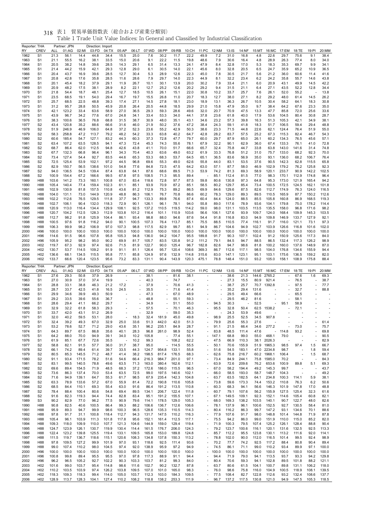| Reporter: THA       |                                    |                    | Partner: JPN   |                | Direction: Import |                |                                                      |                          |                |                          |                |                |                                                      |               |                |                |                |                          |                |                |                |                |
|---------------------|------------------------------------|--------------------|----------------|----------------|-------------------|----------------|------------------------------------------------------|--------------------------|----------------|--------------------------|----------------|----------------|------------------------------------------------------|---------------|----------------|----------------|----------------|--------------------------|----------------|----------------|----------------|----------------|
| RY<br>1962          | <b>CREV</b><br>S <sub>1</sub>      | <b>ALL</b><br>21.3 | 01:AG<br>56.1  | 02:MI<br>14.4  | 03:FD<br>44.8     | 04:TX<br>34.4  | 05:AP<br>15.5                                        | 06:LT<br>25.0            | 07:WD<br>7.6   | 08:PP<br>30.2            | 09:RB<br>11.7  | 10:CH<br>22.2  | 11:PC<br>49.9                                        | 12:NM<br>7.2  | 13:IS<br>31.0  | 14:NF<br>16.8  | 15:MT<br>4.8   | 16:MC<br>22.6            | 17:EM<br>29.7  | 18:TE<br>75.6  | 19:PI<br>9.1   | 20:MM<br>38.4  |
| 1963                | S <sub>1</sub>                     | 21.1               | 55.5           | 16.2           | 38.1              | 33.5           | 15.0                                                 | 20.6                     | 9.1            | 22.2                     | 11.5           | 19.8           | 48.6                                                 | 7.9           | 30.6           | 16.4           | 4.8            | 28.9                     | 26.3           | 77.4           | 8.0            | 34.0           |
| 1964                | S <sub>1</sub>                     | 20.5               | 38.2           | 14.8           | 39.6              | 28.5           | 14.3                                                 | 29.1                     | 6.5            | 31.4                     | 13.3           | 24.1           | 47.9                                                 | 8.4           | 32.8           | 17.0           | 5.3            | 18.3                     | 35.3           | 69.7           | 9.9            | 34.1           |
| 1965                | S <sub>1</sub>                     | 21.4               | 44.2           | 15.9           | 42.1              | 29.3           | 12.8                                                 | 29.0                     | 6.1            | 30.5                     | 14.0           | 22.1           | 45.6                                                 | 8.0           | 32.8           | 20.5           | 6.5            | 24.7                     | 35.9           | 65.2           | 10.9           | 36.5           |
| 1966                | S <sub>1</sub>                     | 20.4               | 43.7           | 16.9           | 39.6              | 28.5           | 12.7                                                 | 30.4                     | 5.3            | 28.9                     | 12.6           | 22.3           | 45.0                                                 | 7.8           | 30.5           | 21.7           | 5.6            | 21.2                     | 36.0           | 60.6           | 11.4           | 41.6           |
| 1967                | S <sub>1</sub>                     | 20.8               | 42.8           | 17.6           | 35.8              | 28.5           | 11.6                                                 | 28.6                     | 7.9            | 29.7                     | 14.0           | 22.3           | 44.9                                                 | 8.1           | 32.2           | 23.4           | 6.2            | 24.2                     | 35.8           | 55.7           | 14.6           | 43.8           |
| 1968                | S <sub>1</sub>                     | 20.1               | 45.4           | 18.2           | 37.9              | 29.1           | 11.9                                                 | 26.7                     | 10.1           | 30.1                     | 13.9           | 20.0           | 30.2                                                 | 7.9           | 33.4           | 21.1           | 6.0            | 20.9                     | 43.1           | 49.9           | 14.5           | 42.2           |
| 1969                | S <sub>1</sub>                     | 20.9               | 48.2           | 17.5           | 38.1              | 28.9           | 8.2                                                  | 22.1                     | 12.7           | 25.2                     | 12.6           | 20.2           | 29.2                                                 | 9.4           | 31.5           | 21.1           | 6.4            | 27.1                     | 43.5           | 52.2           | 12.8           | 34.4           |
| 1970                | S <sub>1</sub>                     | 21.8               | 54.4           | 18.7           | 48.1              | 25.4           | 12.7                                                 | 18.5                     | 10.5           | 26.1                     | 15.1           | 22.0           | 30.8                                                 | 10.2          | 33.7           | 25.7           | 7.6            | 26.1                     | 52.0           | 55.2           |                | 13.8           |
| 1971                | S <sub>1</sub>                     | 23.5               | 68.5           | 19.1           | 54.0              | 29.4           | 16.7                                                 | 19.7                     | 15.5           | 26.8                     | 11.0           | 20.7           | 18.3                                                 | 12.7          | 38.0           | 27.1           | 8.2            | 29.2                     | 48.0           | 61.4           | 14.5           | 26.2           |
| 1972                | S <sub>1</sub><br>S <sub>1</sub>   | 25.7<br>31.2       | 68.5<br>95.7   | 22.5<br>28.8   | 48.8<br>50.5      | 39.3<br>45.9   | 17.4<br>20.8                                         | 27.1<br>26.4             | 14.5<br>20.5   | 27.8<br>44.8             | 18.1<br>18.5   | 23.0<br>29.9   | 18.9<br>21.0                                         | 13.1<br>15.8  | 36.3<br>47.9   | 26.7<br>35.0   | 10.5<br>9.7    | 30.4<br>38.4             | 58.2<br>64.2   | 64.1<br>67.6   | 18.3<br>23.3   | 30.8<br>35.0   |
| 1973<br>1974        | S <sub>1</sub>                     | 42.1               | 123.2          | 33.4           | 63.6              | 58.9           | 27.0                                                 | 36.5                     | 29.3           | 59.3                     | 28.6           | 49.6           | 32.0                                                 | 20.7          | 70.9           | 47.5           | 13.3           | 47.7                     | 85.8           | 72.0           | 25.6           | 33.6           |
| 1975                | S <sub>1</sub>                     | 43.9               | 96.7           | 34.2           | 77.6              | 67.0           | 24.8                                                 | 34.1                     | 33.4           | 53.3                     | 34.0           | 44.1           | 37.8                                                 | 23.6          | 61.8           | 40.0           | 17.9           | 53.6                     | 104.5          | 80.4           | 30.8           | 28.7           |
| 1976                | S <sub>1</sub>                     | 38.3               | 100.6          | 36.5           | 76.8              | 68.8           | 31.5                                                 | 38.7                     | 30.9           | 48.0                     | 35.1           | 43.1           | 34.6                                                 | 23.2          | 57.3           | 39.8           | 16.3           | 51.3                     | 105.3          | 42.1           | 34.9           | 38.1           |
| 1977                | S <sub>2</sub>                     | 43.4               | 120.8          | 35.2           | 88.6              | 66.6           | 31.6                                                 | 46.0                     | 21.9           | 50.2                     | 37.6           | 47.2           | 38.4                                                 | 24.3          | 59.1           | 41.8           | 18.3           | 51.7                     | 106.5          | 59.4           | 29.4           | 48.8           |
| 1978                | S <sub>2</sub>                     | 51.9               | 246.9          | 46.9           | 106.0             | 64.8           | 37.2                                                 | 52.3                     | 23.6           | 55.2                     | 42.9           | 50.3           | 38.6                                                 | 23.3          | 71.5           | 44.8           | 22.6           | 62.1                     | 124.4          | 76.4           | 51.9           | 55.0           |
| 1979                | S <sub>2</sub>                     | 58.3               | 258.8          | 47.2           | 113.7             | 79.2           | 48.2                                                 | 54.2                     | 33.3           | 63.8                     | 40.2           | 64.7           | 42.8                                                 | 28.2          | 83.7           | 57.5           | 25.2           | 67.3                     | 115.3          | 82.4           | 46.7           | 54.3           |
| 1980                | S <sub>2</sub>                     | 60.6               | 185.4          | 54.7           | 127.1             | 83.2           | 44.3                                                 | 60.3                     | 37.3           | 72.8                     | 47.7           | 79.7           | 60.0                                                 | 29.7          | 87.9           | 65.0           | 26.1           | 60.2                     | 134.3          | 76.5           | 45.6           | 57.1           |
| 1981                | S <sub>2</sub>                     | 63.4               | 107.2          | 63.5           | 128.5             | 94.1           | 47.3                                                 | 72.4                     | 45.3           | 74.3                     | 55.6           | 78.1           | 67.9                                                 | 32.2          | 90.1           | 62.9           | 36.0           | 67.4                     | 133.3          | 76.1           | 41.0           | 72.8           |
| 1982                | S <sub>2</sub>                     | 68.7               | 86.4           | 62.0           | 112.5             | 94.8           | 42.6                                                 | 43.8                     | 41.1           | 70.0                     | 51.7           | 66.6           | 65.7                                                 | 32.4          | 75.8           | 44.7           | 33.8           | 63.8                     | 143.0          | 141.6          | 31.4           | 74.8           |
| 1983                | S <sub>2</sub>                     | 67.7               | 132.3          | 66.8           | 96.4              | 96.1           | 34.3                                                 | 70.4                     | 40.3           | 63.6                     | 49.0           | 63.2           | 61.9                                                 | 33.3          | 76.8           | 51.2           | 31.0           | 75.7                     | 133.0          | 68.2           | 92.3           | 70.0           |
| 1984                | S <sub>2</sub>                     | 73.4               | 127.4          | 54.4           | 92.7              | 83.5           | 44.6                                                 | 65.3                     | 53.3           | 68.3                     | 53.7           | 64.5           | 65.1                                                 | 36.5          | 83.6           | 56.9           | 35.0           | 93.1                     | 136.0          | 68.2           | 106.7          | 76.4           |
| 1985                | S <sub>2</sub>                     | 72.5<br>82.9       | 125.4<br>150.7 | 53.9<br>56.5   | 102.1<br>138.6    | 97.2<br>101.0  | 44.5                                                 | 96.8<br>77.6             | 69.6<br>84.8   | 55.3<br>72.5             | 49.0<br>47.5   | 62.6<br>64.2   | 55.8                                                 | 44.0          | 83.1<br>87.7   | 53.5<br>58.0   | 37.6<br>46.9   | 90.5<br>102.9            | 142.3<br>179.2 | 62.8<br>76.2   | 115.5<br>125.8 | 65.8<br>92.3   |
| 1986<br>1987        | S <sub>2</sub><br>S <sub>2</sub>   | 94.0               | 136.5          | 54.5           | 139.4             | 87.4           | 54.8<br>63.8                                         | 64.1                     | 87.6           | 68.6                     | 89.5           | 71.3           | 63.0<br>53.9                                         | 57.1<br>74.2  | 81.3           | 69.3           | 58.9           | 120.1                    | 233.7          | 90.9           | 142.2          | 102.5          |
| 1988                | S <sub>2</sub>                     | 100.9              | 154.4          | 67.2           | 166.6             | 99.5           | 67.8                                                 | 97.5                     | 108.5          | 71.3                     | 95.5           | 89.4           |                                                      | 85.1          | 112.4          | 81.5           | 77.0           | 98.3                     | 170.1          | 112.9          | 174.8          | 96.4           |
| 1989                | H88                                | 103.6              | 141.2          | 73.3           | 160.1             | 100.8          | 67.0                                                 | 83.4                     | 118.6          | 72.8                     | 97.7           | 87.5           | 59.8                                                 | 80.6          | 130.8          | 97.3           | 64.8           | 95.3                     | 173.0          | 121.9          | 165.4          | 94.2           |
| 1990                | H88                                | 105.4              | 140.4          | 77.4           | 159.4             | 102.3          | 61.1                                                 | 85.1                     | 93.9           | 70.9                     | 87.2           | 85.1           | 58.5                                                 | 80.2          | 129.7          | 85.4           | 73.4           | 100.5                    | 172.5          | 124.5          | 162.1          | 101.8          |
| 1991                | H88                                | 102.9              | 130.9          | 81.8           | 157.5             | 110.8          | 43.6                                                 | 81.2                     | 112.9          | 75.3                     | 89.2           | 86.5           | 69.9                                                 | 84.6          | 129.6          | 87.5           | 82.6           | 112.7                    | 174.9          | 76.3           | 124.0          | 116.5          |
| 1992                | H88                                | 104.0              | 131.1          | 73.0           | 144.9             | 120.9          | 48.8                                                 | 86.3                     | 106.1          | 76.7                     | 70.8           | 86.6           | 60.2                                                 | 78.3          | 129.0          | 89.3           | 89.5           | 110.5                    | 165.9          | 87.7           | 150.2          | 112.6          |
| 1993                | H88                                | 102.2              | 112.6          | 76.5           | 129.5             | 111.8          | 37.7                                                 | 94.7                     | 133.3          | 89.8                     | 76.6           | 87.4           | 60.4                                                 | 84.4          | 124.0          | 88.5           | 85.5           | 105.8                    | 160.8          | 86.9           | 168.5          | 119.3          |
| 1994                | H88                                | 102.7              | 106.1          | 90.4           | 132.0             | 118.3          | 72.9                                                 | 90.1                     | 126.1          | 96.1                     | 78.1           | 94.0           | 55.8                                                 | 89.0          | 117.6          | 78.9           | 93.6           | 104.1                    | 179.8          | 75.0           | 178.2          | 114.4          |
| 1995                | H88                                | 120.9              | 113.0          | 116.4          | 134.4             | 129.9          | 108.1                                                | 92.5                     | 137.2          | 110.5                    | 119.5          | 114.2          | 59.0                                                 | 98.0          | 131.1          | 103.5          | 113.5          | 135.5                    | 158.0          | 96.8           | 171.6          | 98.2           |
| 1996                | H88                                | 120.7              | 104.2          | 112.5          | 128.3             | 112.9          | 103.8                                                | 101.2                    | 116.4          | 101.1                    | 110.9          | 103.6          | 56.6                                                 | 106.1         | 127.6          | 93.9           | 109.7          | 124.0                    | 168.4          | 109.9          | 145.3          | 103.5          |
| 1997                | H88                                | 112.7              | 98.2           | 91.8           | 125.9             | 104.4          | 86.1                                                 | 93.4                     | 98.8           | 88.0                     | 94.6           | 87.6           | 54.4                                                 | 91.8          | 116.8          | 83.0           | 94.9           | 109.8                    | 146.9          | 133.7          | 127.9          | 92.1           |
| 1998                | H88                                | 100.5              | 97.6           | 91.8           | 116.2             | 94.0           | 90.1                                                 | 100.5                    | 107.3          | 76.4                     | 113.7          | 85.1           | 75.5                                                 | 88.5          | 110.5          | 77.4           | 116.1          | 91.7                     | 116.0          | 121.1          | 73.1           | 97.3           |
| 1999<br>2000        | H88<br>H96                         | 106.3<br>100.0     | 99.9<br>100.0  | 98.2<br>100.0  | 106.9<br>100.0    | 97.0<br>100.0  | 107.3<br>100.0                                       | 98.8<br>100.0            | 117.5<br>100.0 | 82.9<br>100.0            | 99.7<br>100.0  | 85.1<br>100.0  | 94.9<br>100.0                                        | 86.7<br>100.0 | 104.6<br>100.0 | 94.9<br>100.0  | 102.7<br>100.0 | 103.9<br>100.0           | 126.6<br>100.0 | 116.8<br>100.0 | 101.6<br>100.0 | 102.0<br>100.0 |
| 2001                | H96                                | 114.6              | 91.5           | 96.6           | 107.8             | 95.8           | 105.3                                                | 94.8                     | 136.0          | 94.2                     | 104.7          | 95.5           | 189.8                                                | 91.7          | 90.3           | 107.1          | 102.4          | 91.2                     | 150.9          | 125.6          | 117.3          | 84.0           |
| 2002                | H96                                | 105.9              | 95.2           | 98.2           | 95.0              | 90.2           | 69.9                                                 | 81.7                     | 105.7          | 83.5                     | 120.8          | 91.2           | 111.2                                                | 79.1          | 84.5           | 94.7           | 88.5           | 86.5                     | 132.4          | 117.3          | 126.2          | 98.9           |
| 2003                | H <sub>02</sub>                    | 119.7              | 67.3           | 92.9           | 97.4              | 92.6           | 71.5                                                 | 81.9                     | 122.7          | 90.0                     | 125.4          | 96.7           | 182.8                                                | 82.6          | 94.7           | 98.6           | 81.8           | 100.2                    | 160.0          | 137.6          | 148.9          | 87.0           |
| 2004                | H <sub>02</sub>                    | 130.7              | 53.7           | 114.5          | 109.2             | 91.9           | 91.1                                                 | 81.1                     | 126.4          | 95.7                     | 120.4          | 108.6          | 369.3                                                | 86.7          | 112.6          | 117.1          | 98.5           | 104.0                    | 176.8          | 134.6          | 155.9          | 94.4           |
| 2005                | H <sub>02</sub>                    | 136.6              | 68.1           | 134.5          | 115.5             | 95.8           | 77.1                                                 | 85.8                     | 124.9          | 97.6                     | 132.9          | 114.8          | 315.6                                                | 83.0          | 147.1          | 123.1          | 95.1           | 103.1                    | 175.6          | 136.5          | 159.2          | 82.0           |
| 2006                | H <sub>02</sub>                    | 133.7              | 66.6           | 120.4          | 123.5             | 95.6           | 73.2                                                 | 83.3                     | 131.1          | 90.4                     | 143.9          | 120.3          | 475.1                                                | 78.8          | 148.4          | 151.0          | 93.2           | 105.0                    | 158.1          | 108.9          | 175.8          | 88.4           |
|                     |                                    |                    |                |                |                   |                |                                                      |                          |                |                          |                |                |                                                      |               |                |                |                |                          |                |                |                |                |
|                     |                                    |                    | Partner: JPN   |                | Direction:        | Export         |                                                      |                          |                |                          |                |                |                                                      |               |                |                |                |                          |                |                |                |                |
| Reporter: THA<br>RY | CREV                               | ALL                | 01:AG          | 02:MI          | 03:FD             | 04:TX          | 05:AP                                                | 06:LT                    | 07:WD          | 08:PP                    | 09:RB          | 10:CH          | 11:PC                                                | 12:NM         | 13:IS          | 14:NF          | 15:MT          |                          | 16:MC 17:EM    | 18:TE          | 19:PI          | 20:MM          |
| 1962                | S <sub>1</sub>                     | 27.6               | 29.3           | 50.8           | 37.9              | 26.9           |                                                      |                          | 38.1           | $\overline{\phantom{a}}$ | 81.6           | 38.1           |                                                      |               | 38.6           | 21.3           | 144.6          | 2765.2                   |                | 67.6           | 1.6            | 69.3           |
| 1963                | S <sub>1</sub>                     | 27.0               | 30.9           | 37.0           | 37.4              | 19.9           |                                                      |                          | 40.3           | ä,                       | 74.7           |                |                                                      | ä,            | 27.3           | 15.5           | 80.9           | 921.4                    |                | 76.5           |                | 38.7           |
| 1964                | S <sub>1</sub>                     | 28.8               | 33.1           | 38.8           | 46.3              | 21.2           | 17.2                                                 |                          | 37.9           |                          | 70.6           | 41.3           | ä,                                                   | ä,            | 38.7           | 25.7           | 70.7           | 1392.8                   |                | 97.5           |                | 77.7           |
| 1965                | S <sub>1</sub>                     | 28.7               | 33.7           | 42.5           | 41.8              | 16.5           | 24.5                                                 |                          | 35.5           |                          | 71.6           | 41.4           |                                                      |               | 35.2           | 29.4           | 131.6          |                          |                | 32.7           |                | 88.8           |
| 1966                | S <sub>1</sub>                     | 29.9               | 34.6           | 39.9           | 49.3              | 50.9           |                                                      | $\overline{\phantom{a}}$ | 47.3           | $\overline{\phantom{a}}$ | 67.0           | 48.9           |                                                      |               | 29.5           | 49.4           | 66.6           |                          |                | 65.5           |                |                |
| 1967                | S <sub>1</sub>                     | 29.2               | 33.5           | 39.6           | 55.6              | 36.7           | ä,                                                   | $\overline{\phantom{a}}$ | 48.8           | $\overline{\phantom{a}}$ | 55.1           | 59.3           |                                                      |               | 29.5           | 46.2           | 81.6           |                          |                | 58.1           |                |                |
| 1968                | S <sub>1</sub>                     | 28.6               | 29.4           | 41.1           | 66.2              | 29.7           | ä,                                                   | $\overline{\phantom{a}}$ | 34.9           | $\overline{a}$           | 51.1           | 55.0           |                                                      | 94.5          | 30.3           |                | 52.5           | $\overline{\phantom{a}}$ | 95.1           | 58.9           |                |                |
| 1969                | S <sub>1</sub>                     | 32.9               | 32.2           | 61.8           | 58.3              | 29.3           |                                                      |                          | 57.5           |                          | 70.1           | 46.3           |                                                      | 95.5          | 32.8           | 50.4           | 62.5           | 1538.2                   |                | 72.1           |                |                |
| 1970                | S <sub>1</sub>                     | 33.7               | 42.0           | 43.1           | 51.2              | 26.9           | $\overline{\phantom{a}}$<br>$\overline{\phantom{a}}$ |                          | 32.9           |                          | 59.0           | 35.3           |                                                      |               | 24.3           | 53.9           | 49.6           |                          |                |                |                |                |
| 1971<br>1972        | S <sub>1</sub><br>S <sub>1</sub>   | 32.0<br>32.4       | 40.2<br>39.2   | 59.5<br>49.3   | 53.1<br>67.0      | 28.0<br>32.9   | 25.0                                                 | 18.3<br>33.6             | 32.4<br>51.3   | 181.9<br>442.0           | 45.0<br>42.0   | 49.8<br>51.3   |                                                      | 98.9<br>79.9  | 25.5<br>25.6   | 52.5<br>55.3   | 34.5<br>27.6   | 907.8                    |                |                |                | 61.4           |
| 1973                | S <sub>1</sub>                     | 53.2               | 78.6           | 52.7           | 71.2              | 29.0           | 43.6                                                 | 35.1                     | 96.2           | 235.1                    | 84.9           | 28.7           |                                                      | 91.1          | 21.5           | 66.4           | 34.6           | 277.2                    |                | 73.0           |                | 75.7           |
| 1974                | S <sub>1</sub>                     | 64.3               | 89.7           | 67.5           | 86.8              | 35.6           | 40.1                                                 | 28.3                     | 96.8           | 261.0                    | 98.9           | 52.4           |                                                      | 83.8          | 48.5           | 111.4          | 47.6           | ä,                       | 114.8          | 93.2           |                | 69.8           |
| 1975                | S <sub>1</sub>                     | 64.2               | 88.0           | 70.0           | 94.9              | 39.1           | 34.0                                                 | 10.2                     | 105.8          | ×,                       | 77.4           | 55.1           | $\overline{\phantom{a}}$                             | 147.1         | 68.8           | 99.0           | 55.0           | 468.1                    | 79.0           |                |                | 90.5           |
| 1976                | S <sub>1</sub>                     | 61.9               | 85.1           | 67.7           | 72.6              | 35.5           | $\overline{\phantom{a}}$                             | 10.2                     | 99.3           | $\overline{\phantom{a}}$ | 108.2          | 62.2           | $\frac{1}{2}$                                        | 47.5          | 66.9           | 110.3          | 38.1           | 2026.3                   |                |                |                | 82.9           |
| 1977                | S <sub>2</sub>                     | 58.8               | 82.1           | 91.5           | 57.7              | 36.0           | 31.7                                                 | 38.7                     | 95.0           | $\overline{\phantom{a}}$ | 114.5          | 55.5           | ÷,                                                   | 50.1          | 70.6           | 155.9          | 51.9           | 1965.3                   | 98.5           | 97.4           | 1.5            | 66.7           |
| 1978                | S <sub>2</sub>                     | 66.1               | 74.2           | 89.4           | 61.4              | 39.7           | 33.5                                                 | 44.3                     | 124.7          | 954.8                    | 133.1          | 55.8           | ä,                                                   | 51.6          | 54.5           | 183.1          | 47.0           | 2234.8                   | 98.7           |                | 1.8            | 59.4           |
| 1979                | S <sub>2</sub>                     | 80.5               | 85.3           | 145.5          | 71.2              | 48.7           | 41.4                                                 | 38.2                     | 198.5          | 817.4                    | 176.5          | 68.3           | $\overline{\phantom{a}}$<br>$\overline{\phantom{a}}$ | 62.6          | 75.8           | 216.7          | 60.2           | 1968.1                   | 106.4          |                | 1.5            | 68.7           |
| 1980                | S <sub>2</sub>                     | 91.1               | 93.4           | 171.5          | 78.2              | 51.6           | 54.6                                                 | 66.4                     | 216.3          | 984.7                    | 201.0          | 97.1           |                                                      | 73.4          | 84.9           | 244.1          | 75.8           | 1585.0                   | 70.2           |                |                | 84.3           |
| 1981<br>1982        | S <sub>2</sub><br>S <sub>2</sub>   | 83.1<br>69.6       | 99.5<br>89.4   | 140.5<br>154.5 | 78.8<br>71.9      | 49.6<br>48.5   | 63.5<br>68.3                                         | 71.3<br>37.2             | 163.0<br>172.6 | 380.4<br>186.0           | 162.6<br>115.5 | 112.1<br>96.5  | ä,                                                   | 63.9<br>67.0  | 72.6<br>58.2   | 209.6<br>194.4 | 76.2<br>49.2   | 653.6<br>145.3           | 100.9<br>99.7  | 89.8           | 5.1            | 69.3<br>43.7   |
| 1983                | S <sub>2</sub>                     | 73.6               | 86.3           | 137.4          | 70.0              | 53.4           | 63.5                                                 | 72.5                     | 99.0           | 197.5                    | 140.6          | 102.1          | $\overline{\phantom{a}}$                             | 66.0          | 58.5           | 193.0          | 58.7           | 148.7                    | 104.3          |                |                | 49.2           |
| 1984                | S <sub>2</sub>                     | 71.6               | 94.9           | 139.1          | 64.7              | 55.3           | 61.7                                                 | 98.5                     | 67.9           | 235.4                    | 142.3          | 104.8          | $\overline{\phantom{a}}$                             | 63.7          | 63.5           | 182.5          | 64.1           | 234.8                    | 100.3          | 114.1          | 5.9            | 38.1           |
| 1985                | S <sub>2</sub>                     | 63.3               | 78.9           | 133.6          | 57.2              | 67.0           | 55.9                                                 | 81.4                     | 72.2           | 190.8                    | 110.6          | 105.8          |                                                      | 73.8          | 59.6           | 173.3          | 74.4           | 153.2                    | 110.8          | 76.3           | 6.2            | 50.6           |
| 1986                | S <sub>2</sub>                     | 68.5               | 84.4           | 110.1          | 69.3              | 55.4           | 63.0                                                 | 91.6                     | 86.4           | 191.2                    | 113.5          | 110.8          | ä,                                                   | 60.3          | 68.3           | 94.1           | 56.6           | 146.3                    | 101.9          | 147.8          | 17.0           | 48.8           |
| 1987                | S <sub>2</sub>                     | 78.4               | 88.4           | 100.4          | 80.6              | 54.8           | 69.4                                                 | 89.5                     | 134.1          | 206.7                    | 122.4          | 111.8          | $\overline{\phantom{a}}$                             | 60.7          | 79.1           | 107.6          | 56.2           | 155.9                    | 127.5          | 125.4          | 32.3           | 61.6           |
| 1988                | S <sub>2</sub>                     | 91.6               | 82.3           | 119.3          | 94.4              | 74.4           | 82.8                                                 | 83.4                     | 95.1           | 191.2                    | 155.5          | 107.1          | $\overline{\phantom{m}}$                             | 67.1          | 149.5          | 109.1          | 92.3           | 152.1                    | 114.6          | 105.4          | 60.8           | 82.1           |
| 1989                | S3                                 | 90.2               | 82.9           | 77.0           | 96.2              | 77.5           | 90.9                                                 | 79.6                     | 114.1          | 178.5                    | 129.0          | 105.3          | ä,                                                   | 68.0          | 169.3          | 138.2          | 103.5          | 140.1                    | 90.7           | 122.7          | 48.0           | 82.6           |
| 1990                | H88                                | 90.8               | 82.5           | 40.6           | 100.5             | 86.4           | 99.3                                                 | 88.2                     | 106.6          | 136.7                    | 112.6          | 106.6          | ÷,                                                   | 78.1          | 137.9          | 96.1           | 100.6          | 152.5                    | 92.7           | 130.5          | 58.4           | 81.0           |
| 1991                | H88                                | 95.9               | 89.3           | 94.7           | 99.9              | 98.6           | 100.3                                                | 96.5                     | 128.6          | 135.3                    | 110.5          | 114.3          | $\overline{\phantom{a}}$<br>$\overline{\phantom{m}}$ | 80.4          | 116.2          | 86.3           | 99.7           | 147.2                    | 93.1           | 134.6          | 70.1           | 88.6           |
| 1992<br>1993        | H88<br>H88                         | 97.8<br>105.4      | 91.7<br>96.1   | 31.1<br>103.9  | 100.8<br>111.3    | 118.4<br>101.8 | 112.7<br>117.8                                       | 94.3<br>95.6             | 131.7<br>152.1 | 147.5<br>161.4           | 110.2<br>112.5 | 116.3<br>117.1 | ä,                                                   | 77.9<br>75.5  | 107.6<br>94.2  | 91.7<br>86.0   | 98.0<br>99.0   | 148.8<br>151.9           | 101.4<br>110.0 | 144.8<br>115.0 | 71.9<br>85.2   | 87.8<br>82.0   |
| 1994                | H88                                | 109.3              | 118.0          | 109.9          | 110.0             | 107.7          | 121.3                                                | 104.6                    | 144.9          | 159.0                    | 129.4          | 119.4          | ÷,                                                   | 71.9          | 100.3          | 79.5           | 107.4          | 125.2                    | 126.1          | 128.4          | 88.8           | 90.4           |
| 1995                | H88                                | 124.7              | 123.9          | 126.1          | 130.7             | 119.9          | 130.4                                                | 114.4                    | 161.5          | 176.7                    | 206.0          | 124.3          | $\overline{\phantom{a}}$                             | 79.2          | 123.7          | 100.6          | 116.1          | 120.1                    | 131.6          | 132.5          | 92.5           | 113.3          |
| 1996                | H88                                | 122.4              | 123.2          | 139.8          | 125.5             | 119.4          | 133.1                                                | 109.5                    | 165.8          | 153.0                    | 189.8          | 124.8          | $\overline{a}$                                       | 85.7          | 112.2          | 95.5           | 123.8          | 130.1                    | 113.2          | 111.6          | 92.0           | 114.1          |
| 1997                | H88                                | 111.5              | 119.7          | 136.7          | 118.6             | 115.1          | 120.6                                                | 108.3                    | 134.8          | 137.8                    | 150.3          | 113.2          | ä,                                                   | 78.8          | 102.0          | 90.0           | 112.0          | 116.5                    | 101.4          | 99.5           | 92.4           | 98.9           |
| 1998                | H88                                | 97.8               | 109.5          | 127.2          | 99.9              | 101.9          | 97.0                                                 | 93.1                     | 118.6          | 92.5                     | 111.4          | 93.6           | $\overline{\phantom{a}}$                             | 70.2          | 77.7           | 74.2           | 92.5           | 117.2                    | 88.4           | 80.8           | 90.4           | 89.4           |
| 1999                | H88                                | 99.0               | 107.4          | 110.2          | 98.0              | 104.5          | 97.4                                                 | 92.0                     | 138.9          | 95.9                     | 97.2           | 94.9           | ä,                                                   | 74.5          | 86.1           | 71.1           | 99.0           | 110.2                    | 93.4           | 89.9           | 97.1           | 100.0          |
| 2000                | H96                                | 100.0              | 100.0          | 100.0          | 100.0             | 100.0          | 100.0                                                | 100.0                    | 100.0          | 100.0                    | 100.0          | 100.0          | $\overline{\phantom{a}}$                             | 100.0         | 100.0          | 100.0          | 100.0          | 100.0                    | 100.0          | 100.0          | 100.0          | 100.0          |
| 2001                | H96                                | 100.8              | 99.8           | 89.4           | 95.5              | 95.5           | 97.0                                                 | 97.8                     | 117.3          | 88.9                     | 91.1           | 94.4           | ä,                                                   | 94.4          | 71.9           | 79.0           | 94.1           | 113.5                    | 93.7           | 93.3           | 94.2           | 129.8          |
| 2002                | H <sub>96</sub>                    | 96.2               | 96.5           | 105.2          | 92.7              | 102.2          | 90.3                                                 | 103.3                    | 103.7          | 81.2                     | 99.3           | 84.0           | $\overline{\phantom{a}}$                             | 80.4          | 70.6           | 59.3           | 94.1           | 102.8                    | 89.5           | 101.8          | 88.2           | 121.1          |
| 2003                | H <sub>02</sub>                    | 101.6              | 99.0           | 103.7          | 95.4              | 114.8          | 98.6                                                 | 111.6                    | 102.7          | 90.2                     | 132.7          | 87.8           | $\overline{\phantom{a}}$<br>$\overline{a}$           | 63.7          | 80.6           | 61.5           | 104.1          | 100.7                    | 89.8           | 131.1          | 106.2          | 118.0          |
| 2004<br>2005        | H <sub>02</sub><br>H <sub>02</sub> | 110.2<br>118.3     | 103.5<br>109.3 | 103.9<br>118.3 | 97.4<br>99.4      | 126.2<br>114.0 | 103.8<br>105.0                                       | 109.5<br>103.7           | 107.0<br>112.3 | 101.0<br>103.0           | 165.0<br>184.3 | 98.3<br>109.5  | ÷,                                                   | 76.0<br>77.5  | 98.6<br>108.4  | 75.8<br>82.7   | 116.0<br>122.8 | 104.9<br>112.6           | 100.5<br>93.2  | 118.9<br>132.4 | 108.1<br>108.6 | 139.5<br>137.7 |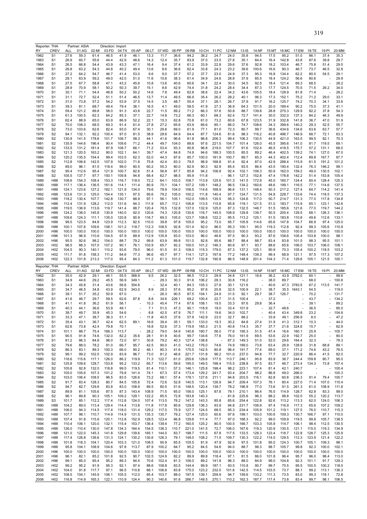|              | Reporter: THA                    |                | Partner: ASIA |                | Direction: Import |               |                          |              |                |              |                |                |                |               |                |                |                |                |                |              |                |               |
|--------------|----------------------------------|----------------|---------------|----------------|-------------------|---------------|--------------------------|--------------|----------------|--------------|----------------|----------------|----------------|---------------|----------------|----------------|----------------|----------------|----------------|--------------|----------------|---------------|
| RY           | <b>CREV</b>                      | ALL            | 01:AG         | 02:MI          | 03:FD             | 04:TX         | 05:AP                    | 06:LT        | 07:WD          | 08:PP        | 09:RB          | 10:CH          | 11:PC          | 12:NM         | 13:IS          | 14:NF          | 15:MT          | 16:MC          | 17:EM          | 18:TE        | 19:PI          | 20:MM         |
| 1962         | S <sub>1</sub>                   | 27.6           | 59.3          | 61.4           | 46.5              | 41.9          | 46.1                     | 13.3         | 11.7           | 36.6         | 94.2           | 38.2           | 24.7           | 24.0          | 35.8           | 94.5           | 17.5           | 95.2           | 51.0           | 86.1         | 37.4           | 35.3          |
| 1963         | S1                               | 26.9           | 60.7          | 55.6           | 44.4              | 42.9          | 48.6                     | 14.3         | 12.4           | 35.7         | 83.9           | 37.0           | 23.5           | 27.8          | 35.1           | 84.4           | 16.4           | 142.8          | 43.8           | 87.6         | 39.8           | 29.7          |
| 1964         | S <sub>1</sub>                   | 26.5           | 66.8          | 54.4           | 43.9              | 43.3          | 47.1                     | 16.4         | 9.4            | 37.4         | 61.2           | 33.9           | 22.8           | 29.6          | 37.6           | 92.8           | 18.2           | 103.4          | 46.7           | 75.8         | 51.4           | 29.5          |
| 1965         | S <sub>1</sub>                   | 26.8           | 63.2<br>64.2  | 54.3           | 44.8              | 40.2          | 49.4                     | 13.6         | 8.6            | 36.6         | 62.4           | 33.8<br>37.7   | 24.3           | 23.2<br>24.9  | 39.6           | 100.6          | 16.6           | 90.3           | 46.7           | 73.7<br>80.0 | 46.5           | 32.8          |
| 1966         | S1                               | 27.2           |               | 54.7           | 46.7              | 41.4          | 53.0                     | 9.6          | 9.0            | 37.7         | 57.2           |                | 23.0           |               | 37.3           | 95.3           | 16.8           | 134.4          | 62.2           |              | 54.5           | 29.1          |
| 1967         | S <sub>1</sub>                   | 28.1           | 63.9          | 59.2           | 49.0              | 42.0          | 51.0                     | 11.6         | 10.6           | 38.3         | 61.4           | 34.9           | 24.6           | 28.8          | 37.9           | 85.5           | 18.4           | 124.2          | 56.6           | 80.6         |                | 29.9          |
| 1968         | S1                               | 27.5           | 67.7          | 58.8           | 47.1              | 43.2          | 45.6                     | 10.8         | 13.6           | 40.6         | 60.6           | 34.1           | 22.4           | 30.0          | 34.5           | 92.5           | 18.4           | 121.4          | 69.3           | 68.5         |                | 28.2          |
| 1969         | S1<br>S1                         | 28.9<br>30.1   | 70.9<br>71.1  | 58.1<br>54.4   | 50.2<br>48.8      | 50.3<br>50.2  | 39.7<br>50.2             | 15.1<br>14.6 | 8.6<br>7.8     | 42.9<br>49.4 | 74.4<br>62.8   | 31.8<br>38.6   | 24.2<br>22.4   | 28.4<br>34.2  | 34.4<br>43.6   | 87.3<br>105.5  | 17.7<br>18.4   | 124.5<br>128.9 | 70.5<br>81.8   | 71.5<br>71.4 | 26.2           | 34.0<br>28.2  |
| 1970<br>1971 | S1                               | 31.1           | 72.7          | 52.4           | 51.1              | 51.4          | 46.5                     | 13.7         | 11.4           | 49.5         | 66.9           | 35.4           | 26.2           | 28.2          | 40.1           | 96.3           | 17.3           | 152.1          | 75.2           | 71.2         | 29.0           | 33.1          |
| 1972         | S1                               | 31.0           | 73.8          | 57.2           | 54.2              | 53.9          | 37.5                     | 14.5         | 3.5            | 48.7         | 55.4           | 37.1           | 28.1           | 26.7          | 37.9           | 91.7           | 16.2           | 125.7          | 74.2           | 70.3         | 34.1           | 33.6          |
| 1973         | S1                               | 39.3           | 81.1          | 68.7           | 49.4              | 79.4          | 36.1                     | 16.5         | 4.1            | 49.0         | 58.5           | 41.9           | 27.3           | 36.9          | 64.3           | 101.5          | 20.0           | 189.4          | 90.2           | 75.0         | 37.3           | 41.1          |
| 1974         | S1                               | 59.4           | 121.2         | 89.8           | 58.0              | 91.3          | 43.8                     | 22.7         | 11.5           | 89.2         | 71.2           | 66.3           | 57.6           | 50.8          | 88.7           | 139.8          | 28.8           | 275.3          | 129.9          | 92.2         | 37.8           | 54.3          |
| 1975         | S1                               | 61.3           | 100.5         | 62.3           | 64.2              | 85.3          | 37.1                     | 22.7         | 14.8           | 73.2         | 66.3           | 60.1           | 68.3           | 62.4          | 72.7           | 141.4          | 30.0           | 332.0          | 137.3          | 84.2         | 46.3           | 49.9          |
| 1976         | S1                               | 62.4           | 88.9          | 65.0           | 63.9              | 86.9          | 52.2                     | 22.1         | 15.3           | 62.8         | 70.8           | 61.0           | 73.2           | 60.6          | 67.8           | 123.5          | 31.9           | 332.8          | 141.8          | 36.7         | 47.0           | 51.9          |
| 1977         | S <sub>2</sub>                   | 70.0           | 108.3         | 68.5           | 69.3              | 91.4          | 61.4                     | 27.8         | 27.2           | 65.6         | 63.9           | 66.6           | 85.1           | 66.0          | 74.7           | 108.6          | 34.3           | 399.6          | 140.2          | 29.3         | 52.5           | 55.7          |
| 1978         | S <sub>2</sub>                   | 73.0           | 103.6         | 62.6           | 82.4              | 93.0          | 67.4                     | 30.1         | 29.8           | 69.0         | 61.9           | 77.1           | 81.0           | 72.3          | 80.7           | 99.7           | 36.6           | 434.6          | 134.6          | 63.6         | 63.7           | 57.7          |
| 1979         | S <sub>2</sub>                   | 94.1           | 132.1         | 92.2           | 100.4             | 97.0          | 81.5                     | 38.9         | 28.6           | 84.9         | 64.4           | 87.7           | 124.6          | 81.6          | 98.3           | 116.2          | 40.8           | 496.7          | 146.9          | 68.7         | 72.1           | 63.3          |
| 1980         | S <sub>2</sub>                   | 130.9          | 141.5         | 178.6          | 101.7             | 106.7         | 58.3                     | 44.1         | 41.6           | 96.6         | 81.8           | 96.8           | 206.3          | 99.4          | 106.3          | 130.5          | 44.9           | 421.0          | 163.5          | 99.5         | 82.1           | 70.3          |
| 1981         | S <sub>2</sub>                   | 135.9          | 144.6         | 196.4          | 90.4              | 109.6         | 71.2                     | 44.4         | 49.7           | 104.0        | 88.6           | 97.6           | 221.5          | 104.7         | 101.4          | 126.0          | 45.5           | 395.6          | 141.0          | 81.7         | 119.5          | 69.1          |
| 1982         | S <sub>2</sub>                   | 133.5          | 131.2         | 181.4          | 87.9              | 108.7         | 66.1                     | 71.2         | 53.4           | 93.3         | 90.8           | 96.8           | 219.0          | 107.7         | 91.6           | 102.4          | 46.5           | 418.5          | 175.7          | 57.2         | 131.1          | 68.0          |
| 1983         | S <sub>2</sub>                   | 121.3          | 120.5         | 163.2          | 90.0              | 102.1         | 64.1                     | 39.7         | 47.4           | 84.8         | 74.9           | 94.6           | 188.3          | 100.5         | 85.5           | 89.2           | 46.4           | 402.5          | 139.2          | 74.1         | 127.0          | 67.0          |
| 1984         | S <sub>2</sub>                   | 120.2          | 135.5         | 154.4          | 99.4              | 103.5         | 62.3                     | 52.0         | 44.3           | 87.6         | 85.7           | 100.0          | 181.9          | 100.7         | 89.7           | 85.3           | 44.3           | 402.4          | 112.4          | 89.8         | 167.7          | 87.7          |
| 1985         | S <sub>2</sub>                   | 112.8          | 106.6         | 142.5          | 107.9             | 102.0         | 71.8                     | 75.8         | 42.4           | 83.3         | 79.5           | 98.9           | 168.8          | 91.4          | 92.4           | 87.0           | 42.9           | 288.4          | 115.9          | 61.5         | 191.2          | 101.2         |
| 1986         | S <sub>2</sub>                   | 89.0           | 96.1          | 81.5           | 118.4             | 99.0          | 80.5                     | 60.2         | 55.3           | 80.0         | 82.9           | 90.3           | 92.9           | 85.4          | 93.5           | 86.4           | 43.5           | 190.4          | 132.4          | 76.3         | 146.2          | 99.1          |
| 1987         | S <sub>2</sub>                   | 95.4           | 112.6         | 95.4           | 121.9             | 100.7         | 82.6                     | 51.4         | 56.8           | 87.7         | 85.8           | 94.2           | 106.8          | 92.4          | 102.1          | 108.3          | 50.9           | 162.0          | 159.2          | 49.0         | 130.5          | 102.1         |
| 1988         | S2                               | 105.5          | 137.7         | 97.7           | 150.1             | 109.8         | 94.8                     | 68.4         | 62.7           | 98.5         | 95.9           | 111.8          |                | 96.1          | 127.3          | 152.8          | 47.4           | 178.8          | 142.2          | 51.4         | 153.8          | 105.4         |
| 1989         | H88                              | 108.6          | 154.3         | 108.4          | 153.3             | 116.7         | 118.0                    | 72.2         | 64.1           | 103.0        | 108.7          | 113.9          | 125.6          | 101.3         | 141.5          | 172.9          | 45.0           | 160.7          | 124.4          | 60.4         | 128.4          | 125.3         |
| 1990         | H88                              | 117.1          | 136.4         | 136.5          | 161.6             | 114.1         | 111.4                    | 80.9         | 70.1           | 104.1        | 107.2          | 109.1          | 148.2          | 96.5          | 134.2          | 160.6          | 48.6           | 199.1          | 116.5          | 77.1         | 114.6          | 137.5         |
| 1991         | H88                              | 124.1          | 123.6         | 127.2          | 162.1             | 121.9         | 134.0                    | 79.6         | 78.9           | 104.0        | 106.5          | 114.6          | 168.9          | 96.6          | 131.1          | 148.4          | 50.3           | 217.2          | 127.4          | 64.7         | 114.2          | 141.4         |
| 1992         | H88                              | 123.6          | 131.3         | 125.0          | 154.4             | 135.1         | 97.5                     | 95.6         | 79.2           | 105.0        | 100.2          | 111.8          | 140.4          | 97.7          | 124.7          | 131.5          | 54.8           | 228.7          | 133.6          | 74.4         | 118.5          | 137.3         |
| 1993         | H88                              | 118.2          | 130.4         | 107.7          | 142.8             | 130.7         | 88.9                     | 97.1         | 56.1           | 105.1        | 102.0          | 109.5          | 135.5          | 95.3          | 124.6          | 117.0          | 50.7           | 214.7          | 131.3          | 77.0         | 117.8          | 134.8         |
| 1994         | H88                              | 112.4          | 131.9         | 128.2          | 112.0             | 131.6         | 94.3                     | 111.9        | 65.7           | 112.1        | 106.8          | 113.5          | 115.8          | 85.8          | 119.1          | 121.5          | 51.0           | 183.7          | 115.9          | 65.1         | 123.1          | 142.6         |
| 1995         | H88                              | 119.5          | 136.9         | 113.6          | 119.7             | 141.4         | 88.7                     | 120.4        | 78.5           | 132.8        | 137.0          | 132.9          | 125.0          | 87.3          | 132.5          | 148.7          | 51.5           | 185.6          | 121.6          | 77.0         | 119.7          | 144.2         |
| 1996         | H88                              | 124.2          | 138.0         | 145.8          | 130.9             | 140.0         | 92.0                     | 120.6        | 74.3           | 120.8        | 130.6          | 116.7          | 145.5          | 108.9         | 129.8          | 139.7          | 50.5           | 205.4          | 129.5          | 68.1         | 126.3          | 136.1         |
| 1997         | H88                              | 109.6          | 124.3         | 111.1          | 135.0             | 120.8         | 90.9                     | 116.7        | 69.3           | 105.0        | 123.7          | 108.6          | 122.2          | 95.5          | 113.2          | 125.1          | 51.5           | 183.8          | 110.8          | 49.6         | 112.6          | 133.1         |
| 1998         | H88                              | 99.5           | 123.5         | 84.8           | 123.9             | 112.3         | 82.5                     | 110.0        | 39.8           | 97.8         | 105.0          | 95.2           | 73.0           | 95.7          | 105.8          | 114.6          | 65.6           | 147.8          | 104.7          | 66.9         | 97.4           | 125.0         |
| 1999         | H88                              | 100.1          | 107.8         | 109.6          | 108.1             | 101.2         | 118.7                    | 112.3        | 108.5          | 92.8         | 101.4          | 92.0           | 96.0           | 95.3          | 100.1          | 95.0           | 119.3          | 112.8          | 92.4           | 99.3         | 105.6          | 110.9         |
| 2000         | H96                              | 100.0          | 100.0         | 100.0          | 100.0             | 100.0         | 100.0                    | 100.0        | 100.0          | 100.0        | 100.0          | 100.0          | 100.0          | 100.0         | 100.0          | 100.0          | 100.0          | 100.0          | 100.0          | 100.0        | 100.0          | 100.0         |
| 2001         | H96                              | 101.3          | 96.9          | 110.6          | 104.5             | 97.9          | 89.9                     | 112.9        | 135.9          | 93.0         | 103.0          | 96.0           | 46.6           | 97.5          | 90.3           | 93.2           | 87.6           | 108.6          | 105.4          | 103.8        | 100.0          | 98.1          |
| 2002         | H96                              | 95.5           | 92.6          | 98.2           | 104.0             | 88.7          | 79.2                     | 99.8         | 63.9           | 89.8         | 101.0          | 92.8           | 95.6           | 88.7          | 88.4           | 88.7           | 83.4           | 83.8           | 101.5          | 98.3         | 95.5           | 101.1         |
| 2003         | H <sub>02</sub>                  | 96.5           | 88.3          | 107.0          | 107.2             | 90.1          | 76.1                     | 103.9        | 65.7           | 92.2         | 100.0          | 101.2          | 146.3          | 80.8          | 97.1           | 93.7           | 88.6           | 65.6           | 106.0          | 103.7        | 106.0          | 108.1         |
| 2004         | H <sub>02</sub>                  | 104.5          | 90.3          | 140.1          | 110.2             | 93.6          | 79.0                     | 96.0         | 91.5           | 91.3         | 108.0          | 115.3          | 179.0          | 87.3          | 137.2          | 125.1          | 90.9           | 70.3           | 105.4          | 100.2        | 118.5          | 103.2         |
| 2005         | H <sub>02</sub>                  | 111.7          | 91.8          | 158.3          | 111.2             | 94.6          | 77.3                     | 96.6         | 45.7           | 97.7         | 114.1          | 127.3          | 197.8          | 77.2          | 148.4          | 139.3          | 99.4           | 68.9           | 121.1          | 97.5         | 117.3          | 107.2         |
| 2006         | H <sub>02</sub>                  | 122.3          | 101.8         | 213.3          | 117.0             | 95.4          | 84.3                     | 111.2        | 61.3           | 101.0        | 119.7          | 132.8          | 190.8          | 86.5          | 148.9          | 201.4          | 104.3          | 71.4           | 129.6          | 105.1        | 121.5          | 100.1         |
|              |                                  |                |               |                |                   |               |                          |              |                |              |                |                |                |               |                |                |                |                |                |              |                |               |
|              | Reporter: THA                    |                | Partner: ASIA |                | Direction: Export |               |                          |              |                |              |                |                |                |               |                |                |                |                |                |              |                |               |
| RY           | CREV                             | ALL            | 01:AG         | 02:MI          | 03:FD             | 04:TX         | 05:AP                    | 06:LT        | 07:WD          | 08:PP        | 09:RB          | 10:CH          | 11:PC          | 12:NM         | 13:IS          | 14:NF          | 15:MT          |                | 16:MC 17:EM    | 18:TE        | 19:PI          | 20:MM         |
| 1962         | S <sub>1</sub>                   | 35.0           | 42.9          | 29.1           | 46.1              | 55.5          | 368.9                    | 9.5          | 26.2           | 32.5         | 96.5           | 112.3          | 29.9           | 34.8          | 121.1          | 16.6           | 36.2           | 43.9           | 3762.0         | 60.1         |                | 99.6          |
| 1963         | S1                               | 34.9           | 44.6          | 29.2           | 45.5              | 56.9          | 349.1                    |              | 29.3           | 30.3         | 91.6           | 106.2          | 28.3           | 30.8          | 116.2          |                | 38.0           | 89.7           |                | 68.0         |                | 100.8         |
| 1964         | S1                               | 34.3           | 45.8          | 31.4           | 43.6              | 56.6          | 354.6                    | ÷,           | 32.4           | 40.1         | 84.3           | 105.3          | 27.8           | 30.1          | 121.6          | ÷,             | 40.6           |                | 47.3 3783.5    | 67.2         | 113.5          | 141.7         |
| 1965         | S1                               | 34.7           | 46.5          | 34.8           | 43.9              | 62.9          | 343.0                    | 8.9          | 28.3           | 57.6         | 85.2           | 97.6           | 20.8           | 32.5          | 100.9          | 22.1           | 38.7           | 35.5           | 1643.1         | 54.5         |                | 119.0         |
| 1966         | S1                               | 39.1           | 51.7          | 35.2           | 50.9              | 67.0          |                          |              | 26.3           | 90.5         | 87.5           | 104.1          | 24.9           | 31.5          | 92.1           | 29.7           | 38.7           | 126.7          |                | 70.2         |                | 131.7         |
| 1967         | S <sub>1</sub>                   | 41.6           | 46.7          | 29.7           | 59.5              | 62.6          | 87.8                     | 8.8          | 34.6           | 226.1        | 69.2           | 100.4          | 22.7           | 31.5          | 100.4          |                | 37.2           |                |                | 43.7         |                | 134.2         |
| 1968         | S <sub>1</sub>                   | 41.1           | 41.8          | 36.2           | 61.9              | 56.1          |                          | 10.3         | 45.4           | 77.4         | 67.6           | 108.1          | 19.5           | 33.3          | 97.6           | 29.8           | 36.4           |                |                | 39.1         |                | 89.2          |
| 1969         | S <sub>1</sub>                   | 40.3           | 44.1          | 36.6           | 53.9              | 49.1          |                          | 7.1          | 51.0           | 47.3         | 90.1           | 118.9          | 19.0           | 33.4          | 101.9          |                | 32.7           | 48.6           |                | 36.5         |                | 85.0          |
| 1970         | S <sub>1</sub>                   | 38.7           | 49.7          | 35.9           | 45.3              | 54.6          |                          | 8.8          | 42.5           | 47.9         | 76.7           | 111.1          | 19.6           | 34.0          | 102.7          |                | 40.4           | 43.4           | 349.8          | 23.2         |                | 104.8         |
| 1971         | S <sub>1</sub>                   | 33.3           | 47.1          | 38.7           | 36.3              | 51.1          |                          | 11.8         | 40.5           | 37.6         | 57.9           | 142.9          | 23.0           | 32.7          | 88.2           |                | 33.9           | 49.1           | 256.9          | 8.0          |                | 47.2          |
| 1972         | S1                               | 35.4           | 43.1          | 36.7           | 42.4              | 62.5          | 89.1                     | 16.6         | 39.4           | 35.1         | 59.1           | 133.0          | 19.3           | 30.2          | 84.8           | 27.4           | 31.9           | 41.3           | 312.1          | 10.3         |                | 44.0          |
| 1973         | S <sub>1</sub>                   | 62.6           | 73.8          | 42.4           | 79.8              | 70.1          | $\overline{\phantom{a}}$ | 18.8         | 52.6           | 37.3         | 119.9          | 165.3          | 21.5           | 40.8          | 114.3          | 35.7           | 37.7           | 21.6           | 324.6          | 15.7         |                | 62.9          |
| 1974         | S <sub>1</sub>                   | 101.1          | 88.7          | 75.4           | 168.3             | 113.7         | $\overline{\phantom{a}}$ | 28.2         | 79.0           | 54.9         | 140.8          | 160.7          | 56.0           | 77.6          | 195.3          | 51.5           | 47.4           | 16.6           | 160.1          | 25.9         |                | 105.7         |
| 1975         | S <sub>1</sub>                   | 90.5           | 91.8          | 74.6           | 132.0             | 82.2          | 35.6                     | 28.1         | 91.9           | 40.6         | 99.7           | 134.6          | 77.6           | 76.0          | 161.9          | 69.5           | 53.6           | 22.9           | 192.7          | 25.0         |                | 80.0          |
| 1976<br>1977 | S <sub>1</sub><br>S <sub>2</sub> | 81.2<br>79.6   | 86.3<br>88.0  | 84.8<br>78.2   | 98.0<br>91.0      | 72.0<br>66.7  | 97.1<br>95.7             | 30.8<br>42.5 | 79.2<br>90.0   | 40.3<br>41.0 | 127.4<br>143.2 | 138.8<br>176.0 | 74.6           | 67.3<br>74.9  | 149.3<br>189.0 | 51.0<br>73.8   | 52.0<br>63.4   | 29.6<br>26.9   | 164.4<br>128.6 | 32.3<br>31.8 | 68.8           | 78.3<br>89.1  |
| 1978         | S <sub>2</sub>                   | 86.3           | 83.1          | 89.3           | 100.3             | 66.0          | 90.2                     | 46.1         | 80.3           | 41.6         | 175.5          | 142.5          | 80.8           | 96.4          | 191.7          | 77.4           | 69.0           | 37.1           | 171.2          | 74.6         | 43.2           | 76.5          |
| 1979         | S <sub>2</sub>                   | 99.1           | 99.2          | 102.5          | 102.9             | 83.9          | 96.7                     | 73.0         | 81.2           | 46.6         | 221.7          | 131.8          | 96.2           | 101.0         | 237.0          | 94.8           | 77.7           | 32.7           | 220.9          | 86.4         | 41.5           | 82.0          |
| 1980         | S <sub>2</sub>                   | 116.6          | 115.6         | 117.1          | 126.0             | 86.2          | 119.9                    | 71.3         | 122.7          | 61.0         | 255.6          | 129.6          | 177.5          | 113.7         | 246.1          | 95.8           | 83.9           | 38.7           | 244.4          | 159.8        | 80.7           | 95.0          |
| 1981         | S <sub>2</sub>                   | 125.8          | 109.6         | 128.7          | 153.8             | 95.2          | 133.2                    | 65.7         | 113.6          | 59.6         | 195.0          | 149.5          | 198.4          | 115.5         | 238.8          | 97.5           | 83.7           | 46.7           | 273.4          | 134.3        | 73.8           | 107.4         |
| 1982         | S <sub>2</sub>                   | 105.8          | 92.8          | 132.0          | 118.8             | 99.5          | 119.5                    | 81.4         | 110.1          | 57.3         | 146.1          | 125.8          | 198.4          | 98.2          | 223.1          | 107.4          | 81.4           | 42.1           | 240.7          | ÷,           |                | 100.4         |
| 1983         | S <sub>2</sub>                   | 105.0          | 105.6         | 107.3          | 101.2             | 79.8          | 141.4                    | 74.1         | 67.3           | 57.4         | 173.4          | 129.2          | 241.7          | 93.4          | 204.7          | 98.2           | 86.8           | 49.0           | 266.0          |              |                | 100.3         |
| 1984         | S <sub>2</sub>                   | 103.0          | 106.4         | 108.5          | 96.5              | 83.5          | 126.6                    | 73.2         | 68.1           | 57.4         | 178.1          | 127.6          | 211.1          | 94.8          | 203.5          | 116.1          | 82.8           | 60.8           | 236.3          | 91.4         | 79.4           | 100.7         |
| 1985         | S <sub>2</sub>                   | 91.7           | 83.4          | 128.3          | 80.7              | 84.5          | 105.6                    | 72.4         | 72.6           | 52.8         | 140.5          | 113.1          | 126.9          | 94.7          | 209.4          | 107.3          | 76.1           | 80.4           | 227.0          | 71.4         | 107.0          | 115.4         |
| 1986         | S <sub>2</sub>                   | 94.7           | 82.7          | 129.8          | 83.8              | 83.0          | 108.9                    | 89.5         | 80.5           | 51.6         | 148.5          | 120.4          | 139.7          | 78.2          | 196.9          | 77.0           | 73.6           | 91.5           | 261.3          | 61.0         | 108.9          | 111.8         |
| 1987         | S <sub>2</sub>                   | 89.9           | 81.1          | 105.6          | 87.5              | 87.3          | 143.4                    | 108.9        | 71.5           | 65.0         | 156.0          | 125.1          | 87.8           | 79.1          | 210.1          | 86.4           | 76.5           | 114.9          | 128.7          | 62.8         | 83.3           | 99.0          |
| 1988         | S <sub>2</sub>                   | 96.1           | 89.8          | 90.3           | 105.1             | 109.2         | 129.1                    | 122.2        | 85.5           | 72.8         | 183.8          | 140.3          |                | 81.8          | 225.6          | 96.3           | 88.2           | 98.8           | 102.0          | 55.2         | 120.2          | 113.7         |
| 1989         | S <sub>3</sub>                   | 101.7          | 85.1          | 112.2          | 117.4             | 112.8         | 124.0                    | 107.4        | 113.5          | 78.2         | 147.2          | 143.3          | 85.8           | 85.6          | 254.4          | 122.8          | 92.6           | 113.2          | 113.3          | 62.0         | 124.0          | 106.3         |
| 1990         | H88                              | 104.2          | 89.0          | 113.4          | 129.4             | 114.4         | 113.8                    | 111.8        | 117.8          | 85.6         | 129.8          | 136.3          | 93.9           | 94.8          | 231.7          | 106.9          | 97.4           | 116.9          | 117.3          | 65.6         | 107.2          | 109.2         |
| 1991         | H88                              | 106.0          | 94.3          | 114.5          | 117.4             | 118.0         | 131.4                    | 129.2        | 117.0          | 75.9         | 127.7          | 124.5          | 68.5           | 95.3          | 234.4          | 105.9          | 101.2          | 119.1          | 127.5          | 76.0         | 110.7          | 115.3         |
| 1992         | H88                              | 107.7          | 98.1          | 110.7          | 114.9             | 114.9         | 131.5                    | 135.3        | 130.7          | 79.2         | 127.4          | 125.0          | 60.6           | 97.6          | 199.1          | 103.0          | 100.6          | 109.3          | 130.7          | 166.7        | 97.1           | 110.0         |
| 1993         | H88                              | 107.4          | 91.8          | 115.6          | 120.1             | 112.8         | 152.9                    | 128.5        | 123.4          | 66.8         | 129.6          | 111.4          | 77.7           | 97.0          | 168.3          | 92.2           | 99.0           | 109.9          | 119.5          | 99.8         | 105.7          | 138.5         |
| 1994         | H88                              | 110.4          | 106.1         | 120.0          | 132.1             | 115.4         | 153.7                    | 136.4        | 139.4          | 77.2         | 160.5          | 125.2          | 80.5           | 100.5         | 166.7          | 103.3          | 105.8          | 114.7          | 106.1          | 98.4         | 112.5          | 130.5         |
| 1995         | H88                              | 126.0          | 110.4         | 130.0          | 147.8             | 134.3         | 164.4                    | 154.5        | 136.3          | 110.7        | 221.0          | 141.5          | 72.7           | 106.0         | 167.6          | 119.3          | 120.9          | 130.5          | 121.1          | 115.0        | 119.3          | 134.9         |
| 1996         | H88                              | 121.0          | 122.0         | 145.3          | 141.8             | 129.8         | 139.6                    | 165.1        | 144.0          | 83.7         | 198.7          | 111.5          | 67.8           | 117.5         | 133.5          | 128.3          | 123.4          | 118.7          | 122.8          | 128.7        | 125.3          | 125.9         |
| 1997         | H88                              | 117.4          | 126.8         | 136.6          | 131.3             | 124.1         | 130.2                    | 130.6        | 126.3          | 79.1         | 148.0          | 108.2          | 71.5           | 109.7         | 130.3          | 122.2          | 114.0          | 129.5          | 112.3          | 123.9        | 121.4          | 122.2         |
| 1998         | H88                              | 101.8          | 118.3         | 104.1          | 120.4             | 103.3         | 121.0                    | 108.5        | 90.9           | 65.5         | 105.5          | 81.9           | 47.9           | 92.9          | 97.5           | 101.8          | 95.0           | 124.3          | 100.7          | 105.1        | 109.3          | 98.1          |
| 1999         | H88                              | 95.8           | 104.1         | 108.9          | 104.6             | 97.8          | 113.7                    | 87.9         | 100.2          | 84.7         | 95.2           | 84.5           | 54.6           | 94.0          | 88.7           | 98.3           | 98.7           | 105.7          | 99.8           | 92.3         | 100.0          | 102.1         |
| 2000         | H96                              | 100.0          | 100.0         | 100.0          | 100.0             | 100.0         | 100.0                    | 100.0        | 100.0          | 100.0        | 100.0          | 100.0          | 100.0          | 100.0         | 100.0          | 100.0          | 100.0          | 100.0          | 100.0          | 100.0        | 100.0          | 100.0         |
| 2001         | H96                              | 96.1           | 82.1          | 85.2           | 101.8             | 92.5          | 90.7                     | 102.5        | 124.9          | 82.2         | 89.9           | 89.8           | 118.4          | 97.1          | 81.5           | 86.0           | 101.8          | 96.4           | 95.7           | 96.0         | 98.4           | 113.0         |
| 2002         | H96                              | 99.1           | 85.0          | 85.4           | 95.2              | 89.3          | 94.4                     | 70.6         | 102.4          | 81.3         | 106.0          | 89.2           | 141.8          | 96.3          | 88.0           | 84.9           | 99.0           | 104.8          | 92.3           | 101.1        | 91.7           | 129.3         |
| 2003         | H <sub>02</sub>                  | 99.2           | 95.2          | 91.9           | 95.3              | 92.1          | 97.4                     | 88.6         | 108.8          | 83.5         | 144.4          | 99.9           | 187.1          | 93.5          | 110.8          | 90.7           | 99.7           | 75.5           | 95.5           | 100.5        | 100.2          | 118.0         |
| 2004<br>2005 | H <sub>02</sub><br>H02           | 104.0<br>108.5 | 91.8<br>104.1 | 117.7<br>145.9 | 97.1<br>106.1     | 96.5<br>105.5 | 110.8<br>112.0           | 66.1<br>85.4 | 106.8<br>103.7 | 83.8<br>88.0 | 175.0<br>197.5 | 123.2<br>139.1 | 232.0<br>259.9 | 101.6<br>94.7 | 142.5<br>159.6 | 114.5<br>133.2 | 103.5<br>111.3 | 73.7<br>73.5   | 88.1<br>83.0   | 99.2<br>99.3 | 113.1<br>118.1 | 136.3<br>72.8 |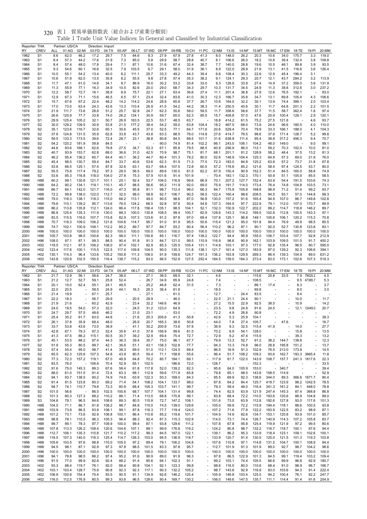| Reporter: THA       |                                    |                | Partner: US/CA          |                | Direction: Import |                            |               |                          |                |                          |                |                          |                                                      |                      |                   |                          |                |                          |                |                          |                |                |
|---------------------|------------------------------------|----------------|-------------------------|----------------|-------------------|----------------------------|---------------|--------------------------|----------------|--------------------------|----------------|--------------------------|------------------------------------------------------|----------------------|-------------------|--------------------------|----------------|--------------------------|----------------|--------------------------|----------------|----------------|
| RY<br>1962          | <b>CREV</b><br>S <sub>1</sub>      | ALL<br>8.6     | 01:AG<br>62.0           | 02:MI<br>46.2  | 03:FD<br>17.2     | 04:TX<br>29.7              | 05:AP<br>7.5  | 06:LT<br>84.6            | 07:WD<br>8.3   | 08:PP<br>27.9            | 09:RB<br>67.9  | 10:CH<br>27.8            | 11:PC<br>41.3                                        | 12:NM<br>8.0         | $13:$ IS<br>148.0 | 14:NF<br>26.2            | 15:MT<br>20.3  | 16:MC<br>10.6            | 17:EM<br>34.0  | 18:TE<br>175.7           | 19:PI<br>3.3   | 20:MM<br>119.0 |
| 1963                | S <sub>1</sub>                     | 8.4            | 57.3                    | 44.2           | 17.6              | 31.9                       | 7.3           | 85.0                     | 5.8            | 29.9                     | 58.7           | 28.8                     | 40.7                                                 | 8.1                  | 106.6             | 26.0                     | 18.2           | 10.8                     | 39.4           | 132.4                    | 3.8            | 109.8          |
| 1964                | S1                                 | 8.4            | 57.4                    | 48.0           | 17.8              | 29.4                       | 7.1           | 87.1                     | 10.6           | 31.6                     | 67.4           | 32.4                     | 38.7                                                 | 7.7                  | 140.0             | 28.8                     | 19.6           | 10.5                     | 46.1           | 89.8                     | 3.9            | 93.5           |
| 1965                | S <sub>1</sub>                     | 9.3            | 54.6                    | 60.1           | 16.6              | 32.5                       | 7.9           | 103.5                    | 6.7            | 29.1                     | 58.0           | 31.9                     | 36.1                                                 | 8.9                  | 122.0             | 28.9                     | 21.9           | 13.1                     | 41.5           | 116.6                    | 3.6            | 126.4          |
| 1966                | S <sub>1</sub>                     | 10.5           | 55.1                    | 54.2           | 13.4              | 40.0                       | 8.2           | 111.1                    | 25.7           | 33.3                     | 49.2           | 44.3                     | 39.4                                                 | 6.6                  | 108.4             | 30.3                     | 22.6           | 12.9                     | 45.4           | 196.4                    | 3.1            |                |
| 1967                | S <sub>1</sub>                     | 10.6           | 51.9                    | 62.0           | 13.5              | 35.8                       | 8.2           | 55.5                     | 9.8            | 27.8                     | 57.4           | 35.3                     | 38.2                                                 | 9.1                  | 124.1             | 29.3                     | 20.7           | 12.1                     | 43.7           | 284.2                    | 3.2            | 113.9          |
| 1968                | S <sub>1</sub>                     | 11.7           | 47.1                    | 61.0           | 14.6              | 34.1                       | 8.7           | 86.9                     | 16.0           | 30.2                     | 53.2           | 33.8                     | 33.0                                                 | 9.3                  | 128.9             | 33.9                     | 27.4           | 14.9                     | 37.2           | 359.0                    | 3.6            | 131.9          |
| 1969                | S <sub>1</sub>                     | 11.3           | 55.9                    | 77.1           | 16.3              | 34.9                       | 10.5          | 82.6                     | 20.0           | 29.0                     | 68.7           | 34.3                     | 29.7                                                 | 10.3                 | 131.7             | 34.5                     | 24.9           | 11.3                     | 38.8           | 312.6                    | 3.0            | 237.2          |
| 1970                | S <sub>1</sub>                     | 12.2           | 58.7                    | 72.7           | 16.1              | 38.9                       | 8.9           | 75.7                     | 22.1           | 27.1                     | 63.4           | 36.6                     | 27.4                                                 | 11.1                 | 201.4             | 36.8                     | 27.9           | 12.6                     | 76.5           | 192.1                    |                | 93.0           |
| 1971                | S <sub>1</sub>                     | 12.9           | 67.3                    | 71.1           | 15.6              | 46.5                       | 6.5           | 57.1                     | 23.4           | 32.4                     | 83.6           | 41.0                     | 30.3                                                 | 12.3                 | 166.7             | 35.8                     | 34.7           | 13.1                     | 89.8           | 105.4                    | 4.3            | 106.6          |
| 1972                | S <sub>1</sub><br>S <sub>1</sub>   | 15.7<br>17.0   | 67.6<br>73.0            | 67.2<br>63.4   | 22.4<br>24.3      | 48.2<br>42.6               | 14.2<br>13.3  | 114.2<br>110.4           | 24.6<br>26.9   | 28.9<br>41.5             | 65.8<br>54.2   | 37.7<br>44.2             | 26.7<br>38.3                                         | 10.6<br>11.4         | 164.0<br>250.5    | 32.2<br>40.6             | 30.1<br>30.1   | 13.9                     | 74.4<br>64.8   | 389.1<br>201.3           | 2.0<br>2.2     | 103.4<br>101.5 |
| 1973<br>1974        | S <sub>1</sub>                     | 21.9           | 111.7                   | 73.6           | 28.8              | 51.2                       | 25.7          | 92.8                     | 24.7           | 62.3                     | 55.6           | 58.0                     | 59.5                                                 | 11.7                 | 358.6             | 58.6                     | 37.7           | 11.7<br>11.5             | 58.7           | 362.4                    | 1.6            | 97.4           |
| 1975                | S <sub>1</sub>                     | 26.6           | 120.9                   | 77.7           | 33.8              | 74.0                       | 26.2          | 124.1                    | 30.9           | 59.7                     | 65.0           | 62.3                     | 85.5                                                 | 15.7                 | 409.8             | 57.0                     | 47.6           | 20.9                     | 100.4          | 129.1                    | 2.9            | 120.1          |
| 1976                | S <sub>1</sub>                     | 29.9           | 125.4                   | 105.2          | 32.1              | 50.7                       | 26.9          | 163.5                    | 22.5           | 53.7                     | 48.5           | 63.7                     |                                                      | 18.8                 | 414.2             | 61.5                     | 75.2           | 27.5                     | 121.8          |                          | 4.6            | 93.7           |
| 1977                | S <sub>2</sub>                     | 30.0           | 129.2                   | 109.5          | 30.9              | 53.8                       | 21.5          | 177.2                    | 38.4           | 54.2                     | 59.0           | 63.8                     | 104.4                                                | 18.2                 | 467.5             | 68.0                     | 73.9           | 24.6                     | 96.6           | 180.5                    | 4.0            | 110.0          |
| 1978                | S <sub>2</sub>                     | 35.1           | 123.6                   | 116.7          | 32.6              | 65.1                       | 30.6          | 45.5                     | 37.0           | 52.5                     | 77.1           | 64.7                     | 171.6                                                | 20.6                 | 529.4             | 70.4                     | 79.9           | 33.3                     | 166.1          | 188.0                    | 4.1            | 104.3          |
| 1979                | S <sub>2</sub>                     | 37.6           | 124.8                   | 131.5          | 35.9              | 62.8                       | 33.8          | 43.7                     | 43.8           | 63.3                     | 88.5           | 76.0                     | 114.8                                                | 27.6                 | 414.7             | 76.5                     | 98.6           | 37.6                     | 171.4          | 128.7                    | 5.2            | 99.8           |
| 1980                | S <sub>2</sub>                     | 59.5           | 133.3                   | 173.5          | 39.6              | 72.4                       | 28.7          | 23.1                     | 38.8           | 80.8                     | 84.5           | 89.5                     | 101.7                                                | 31.6                 | 638.9             | 111.4                    | 95.4           | 38.8                     | 317.2          | 456.3                    | 9.4            | 70.7           |
| 1981                | S <sub>2</sub>                     | 54.2           | 120.2                   | 181.9          | 59.8              | 84.5                       |               |                          |                | 90.0                     | 74.9           | 81.4                     | 102.2                                                | 66.1                 | 243.0             | 106.1                    | 104.2          | 48.0                     | 149.0          |                          | 9.0            | 99.1           |
| 1982                | S <sub>2</sub>                     | 44.6           | 93.6                    | 168.1          | 62.6              | 79.8                       | 27.5          | 34.7                     | 53.3           | 67.1                     | 85.8           | 79.5                     | 88.5                                                 | 60.9                 | 256.9             | 86.0                     | 112.1          | 59.2                     | 70.3           | 102.0                    | 10.0           | 81.0           |
| 1983                | S <sub>2</sub>                     | 40.7           | 93.9                    | 153.7          | 62.8              | 68.0                       | 36.6          | 31.0                     | 42.5           | 70.9                     | 98.7           | 75.1                     | 81.7                                                 | 68.1                 | 201.1             | 91.2                     | 128.9          | 58.2                     | 48.4           | 37.5                     | 13.2           | 81.3           |
| 1984                | S <sub>2</sub>                     | 46.2           | 95.4                    | 136.2          | 60.7              | 64.4                       | 40.1          | 36.2                     | 44.7           | 80.4                     | 101.3          | 79.2                     | 80.0                                                 | 52.6                 | 148.9             | 104.4                    | 125.3          | 64.8                     | 57.3           | 69.0                     | 21.9           | 76.0           |
| 1985                | S <sub>2</sub>                     | 45.4           | 98.5<br>66.5            | 130.7          | 59.4              | 84.7                       | 33.7          | 40.6                     | 53.6           | 62.3                     | 91.9           | 71.3<br>72.8             | 77.0                                                 | 72.3                 | 183.0             | 84.8                     | 125.2          | 63.8                     | 57.2<br>97.4   | 73.7<br>124.5            | 31.8           | 67.8           |
| 1986<br>1987        | S <sub>2</sub><br>S <sub>2</sub>   | 53.6<br>55.5   | 75.8                    | 125.1<br>117.4 | 57.4<br>79.2      | 87.8<br>97.3               | 32.6<br>28.0  | 63.1<br>56.5             | 63.7<br>69.0   | 68.4<br>89.6             | 107.5<br>130.0 | 81.5                     | 60.5<br>62.2                                         | 57.2<br>67.9         | 178.8<br>150.4    | 85.2<br>90.9             | 121.6<br>152.3 | 58.4<br>51.4             | 84.5           | 165.0                    | 53.7<br>58.8   | 80.0<br>74.9   |
| 1988                | S <sub>2</sub>                     | 53.6           | 95.3                    | 116.8          | 118.0             | 104.0                      | 27.9          | 75.3                     | 57.9           | 101.6                    | 91.4           | 101.9                    |                                                      | 70.4                 | 183.1             | 132.3                    | 170.1          | 50.9                     | 51.1           | 105.9                    | 85.5           | 58.5           |
| 1989                | H88                                | 60.2           | 99.1                    | 130.8          | 121.7             | 101.1                      | 25.1          | 92.4                     | 53.7           | 106.0                    | 116.9          | 99.6                     | 66.9                                                 | 70.1                 | 207.2             | 127.7                    | 152.4          | 63.9                     | 54.4           | 191.5                    | 103.6          | 74.3           |
| 1990                | H88                                | 64.2           | 90.2                    | 134.1          | 119.1             | 110.1                      | 45.7          | 98.5                     | 56.6           | 95.2                     | 111.9          | 92.0                     | 69.0                                                 | 75.9                 | 191.7             | 114.0                    | 173.4          | 76.4                     | 74.8           | 104.8                    | 103.5          | 73.1           |
| 1991                | H88                                | 66.7           | 84.1                    | 142.0          | 121.7             | 116.0                      | 47.3          | 95.8                     | 81.1           | 98.7                     | 112.4          | 96.0                     | 66.3                                                 | 84.7                 | 175.9             | 105.8                    | 168.8          | 98.9                     | 71.2           | 51.4                     | 99.2           | 93.7           |
| 1992                | H88                                | 72.2           | 99.8                    | 138.0          | 122.0             | 112.7                      | 32.0          | 98.0                     | 58.8           | 92.7                     | 106.7          | 90.5                     | 58.5                                                 | 122.4                | 160.4             | 98.6                     | 208.5          | 94.5                     | 93.1           | 57.0                     | 144.8          | 99.3           |
| 1993                | H88                                | 79.0           | 116.3                   | 138.1          | 118.3             | 115.0                      | 66.2          | 113.1                    | 49.0           | 90.5                     | 98.6           | 87.0                     | 56.8                                                 | 130.0                | 157.2             | 91.6                     | 165.4          | 94.9                     | 107.0          | 86.7                     | 149.8          | 102.8          |
| 1994                | H88                                | 79.6           | 110.1                   | 139.2          | 95.7              | 113.6                      | 76.5          | 124.2                    | 66.5           | 92.8                     | 97.8           | 93.4                     | 54.8                                                 | 137.3                | 164.5             | 97.7                     | 222.9          | 79.1                     | 112.0          | 107.0                    | 170.7          | 89.9           |
| 1995                | H88                                | 86.2           | 113.8                   | 135.8          | 112.1             | 124.0                      | 86.4          | 117.8                    | 156.4          | 135.1                    | 88.5           | 104.1                    | 52.1                                                 | 132.3                | 150.9             | 122.7                    | 202.2          | 89.2                     | 114.7          | 118.8                    | 146.2          | 89.7           |
| 1996                | H88                                | 86.8           | 125.4                   | 135.3          | 111.9             | 130.0                      | 88.3          | 100.0                    | 130.8          | 108.5                    | 99.4           | 100.7                    | 62.9                                                 | 128.6                | 143.3             | 114.2                    | 169.5          | 102.8                    | 112.8          | 100.5                    | 143.3          | 97.1           |
| 1997                | H88                                | 83.5           | 115.5                   | 116.0          | 107.7             | 115.8                      | 82.9          | 107.3                    | 123.6          | 91.2                     | 87.8           | 97.0                     | 69.4                                                 | 137.8                | 125.1             | 96.8                     | 149.1          | 100.6                    | 106.1          | 120.2                    | 115.3          | 70.8           |
| 1998                | H88                                | 70.7           | 118.3                   | 109.0          | 106.2             | 121.6                      | 104.6         | 114.7                    | 95.7           | 91.0                     | 91.9           | 95.5                     | 50.6                                                 | 115.4                | 121.2             | 95.0                     | 191.8          | 94.4                     | 76.9           | 49.9                     | 98.5           | 85.5           |
| 1999                | H88<br>H96                         | 74.7<br>100.0  | 102.1<br>100.0          | 100.9<br>100.0 | 108.1<br>100.0    | 112.2<br>100.0             | 85.2<br>100.0 | 89.7<br>100.0            | 97.7<br>100.0  | 84.7<br>100.0            | 93.2<br>100.0  | 90.4<br>100.0            | 56.4<br>100.0                                        | 110.2<br>100.0       | 96.2<br>100.0     | 87.1<br>100.0            | 90.1<br>100.0  | 92.0                     | 52.7<br>100.0  | 130.8<br>100.0           | 123.8<br>100.0 | 83.1<br>100.0  |
| 2000<br>2001        | H96                                | 105.7          | 103.8                   | 98.5           | 100.6             | 82.3                       | 98.0          | 111.1                    | 150.8          | 85.1                     | 116.7          | 97.4                     | 138.2                                                | 122.7                | 94.4              | 95.9                     | 155.0          | 100.0<br>106.7           | 103.4          | 107.7                    | 92.8           | 212.9          |
| 2002                | H96                                | 108.0          | 97.1                    | 87.1           | 99.3              | 88.5                       | 90.4          | 91.8                     | 91.3           | 84.7                     | 121.0          | 99.5                     | 115.9                                                | 116.9                | 98.6              | 90.9                     | 162.1          | 103.9                    | 109.5          | 101.0                    | 91.7           | 450.2          |
| 2003                | H <sub>02</sub>                    | 118.5          | 112.1                   | 97.5           | 106.2             | 108.0                      | 97.4          | 102.1                    | 82.9           | 85.3                     | 125.5          | 105.4                    | 131.1                                                | 114.8                | 103.1             | 97.3                     | 177.0          | 92.8                     | 135.4          | 96.5                     | 90.7           | 595.0          |
| 2004                | H <sub>02</sub>                    | 123.4          | 117.6                   | 100.1          | 115.5             | 122.5                      | 117.4         | 109.8                    | 104.5          | 90.0                     | 135.3          | 111.8                    | 138.1                                                | 121.7                | 161.4             | 127.0                    | 183.9          | 87.0                     | 139.2          | 92.3                     | 106.6          | 394.1          |
| 2005                | H <sub>02</sub>                    | 130.1          | 114.3                   | 96.4           | 133.6             | 105.2                      | 150.8         | 111.3                    | 108.0          | 91.9                     | 159.6          | 124.7                    | 191.3                                                | 136.2                | 163.9             | 129.9                    | 269.3          | 86.4                     | 139.3          | 104.9                    | 89.0           | 631.2          |
| 2006                | H <sub>02</sub>                    | 143.8          | 120.9                   | 102.5          | 150.5             | 116.4                      | 138.7         | 115.2                    | 83.0           | 96.5                     | 152.9          | 127.5                    | 252.4                                                | 184.5                | 159.0             | 164.3                    | 273.4          | 83.0                     | 173.1          | 102.6                    | 107.3          | 519.3          |
|                     |                                    |                |                         |                |                   |                            |               |                          |                |                          |                |                          |                                                      |                      |                   |                          |                |                          |                |                          |                |                |
|                     |                                    |                |                         |                |                   |                            |               |                          |                |                          |                |                          |                                                      |                      |                   |                          |                |                          |                |                          |                |                |
| Reporter: THA<br>RY | <b>CREV</b>                        | ALL            | Partner: US/CA<br>01:AG | 02:MI          | 03:FD             | Direction: Export<br>04:TX | 05:AP         | 06:LT                    | 07:WD          | 08:PP                    | 09:RB          | 10:CH                    | 11:PC                                                | 12:NM                | $13:$ IS          | 14:NF                    | 15:MT          | 16:MC                    | 17:EM          | 18:TE                    | 19:PI          | 20:MM          |
| 1962                | S <sub>1</sub>                     | 21.7           | 12.9                    | 56.1           | 58.6              | 24.7                       | 38.0          | $\overline{a}$           | 27.1           | 36.5                     | 69.5           | 32.1                     |                                                      | 4.6                  |                   |                          | 115.6          | 25.8                     | 33.5           | 7.9                      | 79025.2        | 4.5            |
| 1963                | S <sub>1</sub>                     | 21.2           | 12.7                    | 52.7           | 59.1              | 25.8                       | 52.4          | $\overline{\phantom{a}}$ | 26.7           | 34.9                     | 65.9           | 24.8                     | ä,                                                   | 7.4                  | ä,                | $\overline{\phantom{a}}$ | 108.5          |                          |                | 9.5                      | 47385.7        | 5.3            |
| 1964                | S <sub>1</sub>                     | 20.1           | 15.0                    | 62.4           | 55.1              | 24.1                       | 49.5          | $\overline{\phantom{a}}$ | 25.2           | 46.8                     | 62.4           | 31.5                     |                                                      | 7.3                  |                   |                          | 86.1           | 17.4                     |                | 8.3                      |                | 3.7            |
| 1965                | S <sub>1</sub>                     | 22.0           | 20.5                    |                | 58.5              | 24.9                       | 44.1          | 16.3                     | 26.3           | 36.4                     | 61.8           |                          |                                                      | 18.5                 |                   |                          | 69.8           |                          |                | 8.0                      |                | 3.0            |
| 1966                | S <sub>1</sub>                     | 21.4           | 19.9                    |                | 67.1              | 25.7                       |               |                          | 27.1           |                          | 61.0           |                          |                                                      | 12.7                 |                   | 24.4                     | 83.5           |                          |                | 8.4                      |                |                |
| 1967                | S <sub>1</sub>                     | 22.2           | 18.3                    | ä,             | 56.7              | 29.9                       |               | 20.5                     | 28.9           | L,                       | 46.0           |                          |                                                      | 22.0                 | 21.1              | 24.4                     | 90.1           | J.                       |                | 10.0                     |                | 11.7           |
| 1968                | S <sub>1</sub>                     | 21.9           | 21.6                    |                | 60.2              | 42.9                       |               | 23.4                     | 32.2           | 146.6                    | 46.9           |                          |                                                      | 27.2                 | 15.5              | 22.9                     | 92.5           | 38.5                     |                | 10.9                     |                | 14.2           |
| 1969                | S <sub>1</sub>                     | 24.0           | 19.5                    | 54.0           | 57.3              | 32.0                       |               | 24.5                     | 31.2           | 123.0                    | 64.9           |                          |                                                      | 23.5                 | 9.8               | 24.9                     | 91.6           | 24.5                     |                |                          | 12.1 12449.0   | 20.7           |
| 1970                | S <sub>1</sub>                     | 24.7           | 29.7                    | 57.5           | 48.6              | 46.2                       |               | 21.0                     | 23.1           |                          | 53.0           | $\overline{\phantom{a}}$ |                                                      | 72.2                 | 4.9               | 26.8                     | 90.8           |                          |                |                          |                |                |
| 1971<br>1972        | S <sub>1</sub><br>S <sub>1</sub>   | 25.4           | 35.2                    | 61.7           | 63.0              | 44.6<br>48.0               |               | 21.6                     | 20.3           | 205.6                    | 41.3           | 50.8                     |                                                      | 42.6<br>44.0         | 5.3               | 25.9                     | 104.1          |                          | 47.6           | $\overline{\phantom{a}}$ |                | 38.3           |
| 1973                | S <sub>1</sub>                     | 26.1<br>33.7   | 37.8<br>53.8            | 35.9<br>43.6   | 68.4<br>73.0      | 38.9                       |               | 26.9<br>41.1             | 20.7<br>30.2   | 165.3<br>200.9           | 38.6<br>73.6   | 50.8<br>57.9             |                                                      | 36.9                 | 7.8<br>9.3        | 27.4<br>32.5             | 105.7<br>115.4 | 41.9                     |                | 14.0                     |                | 16.7<br>27.7   |
| 1974                | S <sub>1</sub>                     | 42.8           | 67.1                    | 79.3           | 97.3              | 52.4                       | 35.6          | 41.0                     | 37.8           | 156.9                    | 99.6           | 81.5                     |                                                      | 70.2                 | 8.9               | 54.1                     | 128.0          |                          |                | 15.8                     |                | 13.5           |
| 1975                | S <sub>1</sub>                     | 41.3           | 47.5                    | 86.2           | 115.1             | 50.5                       | 30.7          | 39.2                     | 32.9           | 69.4                     | 75.4           | 72.7                     | ÷,                                                   | 72.9                 | 9.2               | 47.4                     | 115.9          | J.                       |                | 39.3                     |                | 13.2           |
| 1976                | S <sub>1</sub>                     | 45.1           | 53.5                    | 88.2           | 97.4              | 44.3                       | 36.3          | 39.4                     | 35.7           | 75.0                     | 96.1           | 67.7                     | $\overline{\phantom{a}}$                             | 79.9                 | 13.3              | 52.7                     | 91.2           | 38.2                     | 144.7          | 139.8                    |                | 12.3           |
| 1977                | S <sub>2</sub>                     | 51.9           | 55.3                    | 80.5           | 99.7              | 42.1                       | 36.6          | 51.1                     | 43.1           | 136.3                    | 102.8          | 77.7                     |                                                      | 94.3                 | 13.3              | 74.8                     | 96.0           | 28.8                     | 195.8          | 151.2                    |                | 13.7           |
| 1978                | S2                                 | 57.4           | 55.4                    | 95.0           | 98.7              | 41.4                       | 38.3          | 69.0                     | 51.0           | 112.1                    | 124.5          | 69.4                     | ä,                                                   | 96.5                 | 16.9              | 91.3                     | 102.9          | 76.5                     | 213.0          | 173.9                    |                | 14.5           |
| 1979                | S <sub>2</sub>                     | 65.5           | 62.3                    | 125.6          | 107.3             | 54.8                       | 43.9          | 80.5                     | 50.4           | 71.1                     | 158.8          | 55.6                     | ä,                                                   | 96.4                 | 51.7              | 108.2                    | 109.2          | 93.6                     | 162.7          | 193.3                    | 3665.4         | 11.8           |
| 1980                | S <sub>2</sub>                     | 77.3           | 72.3                    | 157.2          | 119.1             | 67.0                       | 46.9          | 64.8                     | 70.2           | 80.7                     | 184.1          | 69.1                     | $\overline{\phantom{a}}$<br>$\overline{\phantom{a}}$ | 117.9                | 61.7              | 122.0                    | 143.9          | 108.7                    | 157.7          |                          | 241.3 1617.6   | 22.3           |
| 1981                | S <sub>2</sub>                     | 83.5           | 76.0                    |                | 106.8             | 70.4                       | 52.9          | 65.1                     | 102.5<br>117.8 | $\overline{\phantom{a}}$ | 186.6          | 72.0                     | ÷,                                                   | 128.7                |                   |                          | 152.3<br>153.0 | $\overline{\phantom{a}}$ |                |                          |                | 33.5<br>39.4   |
| 1982<br>1983        | S <sub>2</sub><br>S <sub>2</sub>   | 91.6<br>88.0   | 75.0<br>61.0            | 145.3<br>151.5 | 89.3<br>91.4      | 67.6<br>72.4               | 58.4<br>63.3  | 61.8<br>68.1             | 112.9          | 52.0<br>59.6             | 139.2<br>171.9 | 82.3<br>65.8             | $\overline{\phantom{a}}$                             | 95.6<br>79.8         | 64.0<br>65.1      | 105.9<br>98.5            | 143.8          | 158.5                    | 340.7<br>114.9 | Î,                       |                | 52.9           |
| 1984                | S <sub>2</sub>                     | 94.1           | 93.7                    | 138.5          | 90.2              | 74.9                       | 74.6          | 63.9                     | 122.3          | 50.3                     | 169.0          | 84.3                     | $\overline{\phantom{a}}$                             | 95.5                 | 69.9              | 92.3                     | 138.6          | 344.0                    | 89.3           |                          | 366.6 1671.7   | 80.4           |
| 1985                | S <sub>2</sub>                     | 91.4           | 81.5                    | 123.8          | 80.3              | 69.2                       | 71.4          | 54.1                     | 108.2          | 104.1                    | 133.7          | 98.0                     | ÷,                                                   | 87.8                 | 64.2              | 84.4                     | 125.7          | 419.7                    | 123.9          | 98.2                     | 1242.5         | 78.5           |
| 1986                | S <sub>2</sub>                     | 94.7           | 74.1                    | 110.7          | 79.8              | 73.3                       | 80.9          | 68.4                     | 105.3          | 103.7                    | 141.1          | 99.7                     | ä,                                                   | 79.3                 | 59.4              | 48.0                     | 116.4          | 341.3                    | 161.2          | 84.1                     | 448.0          | 78.8           |
| 1987                | S <sub>2</sub>                     | 101.5          | 56.6                    | ÷,             | 86.5              | 102.5                      | 100.6         | 68.7                     | 107.7          | 104.1                    | 131.4          | 99.8                     | $\overline{\phantom{a}}$                             | 74.4                 | 62.5              | 63.9                     | 121.9          | 247.4                    | 145.3          | 87.4                     | 368.8          | 86.8           |
| 1988                | S <sub>2</sub>                     | 101.3          | 80.3                    | 127.3          | 88.2              | 110.2                      | 86.1          | 71.4                     | 113.5          | 68.8                     | 170.8          | 99.1                     | ÷,                                                   | 83.8                 | 68.4              | 72.2                     | 110.5          | 193.6                    | 120.6          | 86.9                     | 104.8          | 89.0           |
| 1989                | S3                                 | 104.6          | 79.1                    | 96.5           | 84.6              | 108.6                      | 89.3          | 80.5                     | 115.8          | 72.7                     | 147.2          | 108.1                    | $\overline{\phantom{a}}$                             | 101.6                | 73.0              | 63.9                     | 112.8          | 192.6                    | 127.8          | 93.0                     | 117.6          | 101.3          |
| 1990                | H88                                | 104.5          | 71.1                    | 86.7           | 91.8              | 108.2                      | 98.7          | 84.8                     | 115.0          | 74.5                     | 139.0          | 129.6                    | $\overline{\phantom{a}}$                             | 105.0                | 59.9              | 72.2                     | 115.9          | 194.4                    | 118.1          | 88.6                     | 100.5          | 93.8           |
| 1991                | H88                                | 103.9          | 73.9                    | 86.5           | 93.9              | 108.1                      | 99.1          | 87.8                     | 116.3          | 77.7                     | 119.4          | 124.0                    |                                                      | $-107.2$             | 71.6              | 77.8                     | 122.2          | 183.9                    | 122.5          | 83.2                     | 98.9           | 87.1           |
| 1992                | H88                                | 101.2          | 73.1                    | 73.6           | 92.9              | 106.8                      | 100.1         | 86.4                     | 110.8          | 85.2                     | 119.6          | 101.7                    | $\sim$                                               | 104.9                | 74.9              | 82.6                     | 134.7          | 153.1                    | 120.8          | 93.9                     | 101.0          | 85.7           |
| 1993<br>1994        | H88<br>H88                         | 98.8<br>99.7   | 78.1<br>89.1            | 110.5<br>78.3  | 96.3<br>97.7      | 105.3<br>109.9             | 96.4<br>100.0 | 88.3<br>99.4             | 92.4<br>87.1   | 87.3<br>93.8             | 115.3<br>129.6 | 102.9<br>111.2           |                                                      | $-114.0$<br>$-107.8$ | 73.1<br>67.8      | 74.4<br>95.8             | 126.7<br>125.4 | 140.9<br>119.9           | 114.3<br>121.9 | 107.2<br>97.2            | 105.8<br>99.5  | 83.7<br>80.6   |
| 1995                | H88                                | 107.8          | 113.3                   | 126.2          | 108.4             | 120.6                      | 104.6         | 107.1                    | 89.1           | 99.9                     | 176.8          | 119.2                    |                                                      | $-124.2$             | 80.8              | 98.7                     | 132.2          | 116.7                    | 118.7          | 100.1                    | 97.6           | 94.4           |
| 1996                | H88                                | 112.7          | 106.1                   | 135.3          | 110.8             | 121.7                      | 110.2         | 117.2                    | 99.3           | 84.5                     | 167.0          | 122.1                    |                                                      | $-139.1$             | 86.2              | 95.3                     | 133.9          | 118.4                    | 123.1          | 109.1                    | 102.6          | 100.1          |
| 1997                | H88                                | 116.5          | 107.3                   | 140.0          | 116.3             | 125.4                      | 114.7         | 126.3                    | 103.0          | 95.5                     | 136.9          | 118.7                    |                                                      | $-133.9$             | 120.7             | 91.4                     | 130.5          | 120.0                    | 121.5          | 101.3                    | 119.3          | 103.8          |
| 1998                | H88                                | 105.6          | 103.5                   | 97.6           | 98.8              | 110.0                      | 105.0         | 97.2                     | 89.4           | 79.1                     | 106.2          | 104.8                    |                                                      | $-107.6$             | 110.8             | 97.1                     | 114.8          | 131.5                    | 104.7          | 100.1                    | 108.9          | 94.4           |
| 1999                | H88                                | 94.5           | 98.1                    | 87.1           | 92.9              | 97.3                       | 97.8          | 98.5                     | 101.5          | 83.3                     | 97.8           | 95.7                     |                                                      | $-112.7$             | 101.9             | 91.3                     | 101.9          | 89.0                     | 92.7           | 98.7                     | 104.2          | 98.6           |
| 2000                | H96                                | 100.0          | 100.0                   | 100.0          | 100.0             | 100.0                      | 100.0         | 100.0                    | 100.0          | 100.0                    | 100.0          | 100.0                    | $\overline{\phantom{a}}$                             | 100.0                | 100.0             | 100.0                    | 100.0          | 100.0                    | 100.0          | 100.0                    | 100.0          | 100.0          |
| 2001                | H <sub>96</sub>                    | 94.1           | 78.8                    | 98.5           | 86.2              | 97.4                       | 95.2          | 91.6                     | 90.9           | 89.0                     | 91.8           | 96.3                     | ä,                                                   | 97.8                 | 86.5              | 122.9                    | 101.3          | 84.5                     | 99.1           | 119.4                    | 103.2          | 109.4          |
| 2002                | H96                                | 91.5           | 77.0                    | 99.9           | 82.8              | 92.4                       | 88.2          | 91.4                     | 85.6           | 94.1                     | 102.3          | 91.1                     | ÷,                                                   | 99.2                 | 103.1             | 74.4                     | 105.5          | 66.6                     | 89.9           | 96.8                     | 92.9           | 180.7          |
| 2003                | H <sub>02</sub>                    | 93.3           | 88.4                    | 119.7          | 76.1              | 92.0                       | 88.4          | 90.8                     | 104.1          | 92.1                     | 123.3          | 99.8                     | $\overline{\phantom{a}}$<br>$\overline{a}$           | 98.6                 | 116.5             | 80.0                     | 110.6          | 68.4                     | 91.0           | 98.9                     | 96.7           | 166.7          |
| 2004<br>2005        | H <sub>02</sub><br>H <sub>02</sub> | 103.1<br>106.8 | 103.4<br>100.9          | 128.7<br>154.4 | 75.9<br>75.4      | 90.8<br>93.5               | 92.3<br>90.5  | 92.3<br>91.1             | 117.1<br>134.9 | 90.3<br>92.6             | 132.2<br>146.2 | 105.2<br>125.4           |                                                      | 98.7<br>$-105.9$     | 143.6<br>146.8    | 92.9<br>103.4            | 116.9<br>125.5 | 83.0<br>94.2             | 103.6<br>100.4 | 94.3<br>76.1             | 91.4<br>92.2   | 222.4<br>247.7 |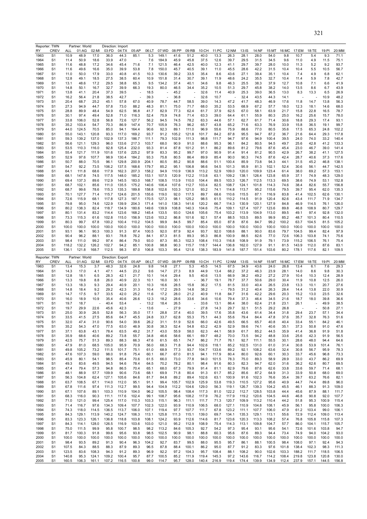|              | Reporter: TWN                    |               | Partner: World |              | Direction: Import |              |              |               |                |              |               |              |              |              |              |              |                |               |                |               |               |               |
|--------------|----------------------------------|---------------|----------------|--------------|-------------------|--------------|--------------|---------------|----------------|--------------|---------------|--------------|--------------|--------------|--------------|--------------|----------------|---------------|----------------|---------------|---------------|---------------|
| RY           | CREV                             | ALL           | 01:AG          | 02:MI        | 03:FD             | 04:TX        | 05:AP        | 06:LT         | 07:WD          | 08:PP        | 09:RB         | 10:CH        | 11:PC        | 12:NM        | 13:1S        | 14:NF        | 15:MT          | 16:MC         | 17:EM          | 18:TE         | 19:PI         | 20:MM         |
| 1963         | S <sub>1</sub>                   | 10.9          | 48.9           | 17.0         | 36.0              | 44.3         | 85.1         | 5.3           | 149.1          | 41.6         | 51.2          | 40.0         | 13.3         | 26.3         | 28.1         | 28.0         | 54.0           | 9.8           | 10.7           | 5.4           | 9.3           | 71.1          |
| 1964         | S1                               | 11.4          | 50.9           | 18.6         | 33.9              | 47.0         |              | 7.6           | 184.9          | 45.9         | 45.8          | 37.5         | 12.6         | 39.7         | 29.5         | 31.5         | 34.5           | 9.6           | 11.0           | 4.9           | 11.5          | 75.1          |
| 1965         | S1                               | 11.6          | 48.8           | 17.2         | 34.6              | 45.4         | 71.6         | 7.1           | 121.5          | 46.4         | 42.5          | 40.0         | 12.3         | 41.1         | 29.7         | 39.7         | 28.0           | 10.0          | 11.3           | 5.2           | 9.2           | 93.7          |
| 1966         | S1                               | 11.6          | 49.6           | 16.6         | 35.0              | 39.9         | 53.8         | 7.8           | 150.0          | 45.7         | 40.5          | 39.1         | 11.0         | 45.5         | 28.6         | 42.2         | 31.5           | 10.4          | 10.4           | 5.5           | 10.5          | 56.7          |
| 1967         | S1                               | 11.0          | 50.0           | 17.9         | 33.0              | 40.8         | 41.5         | 10.3          | 130.6          | 39.2         | 33.5          | 35.4         | 8.6          | 43.6         | 27.1         | 39.4         | 35.1           | 10.4          | 7.4            | 4.9           | 6.8           | 62.1          |
| 1968         | S1                               | 12.8          | 49.1           | 18.5         | 27.5              | 38.5         | 60.4         | 10.9          | 151.8          | 31.4         | 30.7          | 39.1         | 11.9         | 48.6         | 24.2         | 35.5         | 32.7           | 10.4          | 11.4           | 5.9           | 7.8           | 42.7          |
| 1969         | S <sub>1</sub>                   | 13.1          | 48.6           | 17.2         | 29.5              | 38.8         | 65.3         | 9.5           | 134.2          | 37.4         | 40.1          | 34.6         | 9.8          | 46.3         | 25.5         | 38.3         | 37.9           | 12.7          | 10.8           | 7.1           | 6.6           | 41.9          |
| 1970         | S1                               | 14.8          | 50.1           | 16.7         | 32.7              | 39.9         | 66.3         | 19.3          | 80.0           | 46.5         | 34.4          | 35.2         | 10.5         | 51.3         | 29.7         | 45.8         | 38.2           | 14.0          | 13.5           | 8.6           | 6.7           | 43.9          |
| 1971         | S1                               | 13.8          | 41.1           | 20.4         | 37.3              | 39.5         |              | 18.5          |                | 45.2         |               | 32.6         | 11.4         | 40.9         | 25.3         | 39.0         | 36.5           | 13.0          | 8.3            | 13.3          | 6.5           | 26.9          |
| 1972         | S1                               | 16.2          | 56.4           | 21.8         | 38.5              | 42.7         |              | 39.3          |                | 36.8         |               | 32.6         | 10.7         |              | 32.4         | 43.5         | 44.3           | 14.1          |                |               | 10.9          | 48.2          |
| 1973         | S <sub>1</sub>                   | 20.4          | 68.7           | 25.2         | 45.1              | 57.8         | 67.0         | 40.9          | 78.7           | 44.7         | 58.5          | 39.0         | 14.3         | 47.2         | 41.7         | 48.3         | 46.9           | 17.6          | 11.8           | 14.7          | 13.8          | 56.3          |
| 1974         | S1                               | 27.3          | 94.9           | 44.7         | 57.8              | 73.0         | 88.2         | 48.3          | 81.1           | 75.0         | 71.7          | 68.0         | 35.2         | 53.5         | 68.9         | 67.2         | 57.7           | 18.0          | 12.3           | 18.1          | 14.6          | 68.0          |
| 1975         | S1                               | 28.8          | 89.9           | 48.4         | 54.9              | 62.5         | 96.8         | 41.7          | 82.9           | 77.3         | 62.4          | 61.7         | 37.9         | 62.5         | 67.0         | 58.1         | 63.9           | 21.7          | 15.8           | 22.8          | 16.5          | 78.7          |
| 1976         | S1                               | 30.1          | 97.4           | 49.4         | 52.8              | 71.0         | 116.3        | 52.4          | 75.9           | 74.8         | 71.4          | 63.3         | 39.0         | 64.4         | 61.1         | 55.9         | 80.3           | 25.0          | 16.2           | 25.6          | 15.7          | 78.0          |
| 1977         | S <sub>1</sub>                   | 33.8          | 106.0          | 52.8         | 56.8              | 72.6         | 127.7        | 56.2          | 94.5           | 74.5         | 78.2          | 63.3         | 44.6         | 57.1         | 62.7         | 61.7         | 71.4           | 30.6          | 18.8           | 29.3          | 17.4          | 93.1          |
| 1978         | S1                               | 35.2          | 103.4          | 54.7         | 70.3              | 86.9         | 147.4        | 70.7          | 105.9          | 76.3         | 96.2          | 65.7         | 43.8         | 65.2         | 71.6         | 63.3         | 76.9           | 33.9          | 15.8           | 36.5          | 19.1          | 99.7          |
| 1979         | S1                               | 44.0          | 124.5          | 70.5         | 85.0              | 94.1         | 164.4        | 90.6          | 92.3           | 89.1         | 111.0         | 96.9         | 55.6         | 75.9         | 88.6         | 77.0         | 80.5           | 35.6          | 17.5           | 65.3          | 24.8          | 102.2         |
| 1980         | S1                               | 55.0          | 143.1          | 120.8        | 93.3              | 117.0        | 169.2        | 93.7          | 91.2           | 105.2        | 121.8         | 101.7        | 84.2         | 87.8         | 95.5         | 94.7         | 87.2           | 36.7          | 21.6           | 64.4          | 29.3          | 117.8         |
| 1981         | S1                               | 59.3          | 139.2          | 137.0        | 102.9             | 137.3        | 186.7        | 111.1         | 79.3           | 102.9        | 111.3         | 98.8         | 111.7        | 94.7         | 97.6         | 94.9         | 100.4          | 39.5          | 24.0           | 74.0          | 33.2          | 140.4         |
| 1982         | S1                               | 56.6          | 121.1          | 129.3        | 96.0              | 133.6        | 217.3        | 103.7         | 68.0           | 90.9         | 91.0          | 88.6         | 95.3         | 96.1         | 84.2         | 80.5         | 94.5           | 49.7          | 25.6           | 42.8          | 41.2          | 133.3         |
| 1983         | S1                               | 53.5          | 110.3          | 116.0        | 92.8              | 125.4        | 232.0        | 93.3          | 81.4           | 87.8         | 101.2         | 91.1         | 86.2         | 89.6         | 81.2         | 79.6         | 87.6           | 45.4          | 23.0           | 46.7          | 39.0          | 141.4         |
| 1984         | S1                               | 55.4          | 121.7          | 111.9        | 101.6             | 137.6        | 225.2        | 97.9          | 83.3           | 95.2         | 99.7          | 97.0         | 90.9         | 91.4         | 91.4         | 81.2         | 90.5           | 42.9          | 26.7           | 38.2          | 41.1          | 127.5         |
| 1985         | S1                               | 52.9          | 97.6           | 107.7        | 98.9              | 130.4        | 184.2        | 93.3          | 75.8           | 80.5         | 86.4          | 89.9         | 85.4         | 90.0         | 90.3         | 74.5         | 87.6           | 42.4          | 28.7           | 40.6          | 37.3          | 117.6         |
| 1986         | S1                               | 50.7          | 88.0           | 70.5         | 96.1              | 129.8        | 200.9        | 204.1         | 80.5           | 85.2         | 90.8          | 88.6         | 51.1         | 100.4        | 85.9         | 73.8         | 94.3           | 44.1          | 31.5           | 45.2          | 46.8          | 138.1         |
| 1987         | S1                               | 54.7          | 92.2           | 73.5         | 106.2             | 137.5        | 168.6        | 179.7         | 85.2           | 95.1         | 106.8         | 98.6         | 54.5         | 101.3        | 95.9         | 81.3         | 102.1          | 52.4          | 30.6           | 56.1          | 44.7          | 142.5         |
| 1988         | S1                               | 64.1          | 111.8          | 68.6         | 117.9             | 162.3        | 207.3        | 158.2         | 94.9           | 110.9        | 136.9         | 113.2        | 52.9         | 109.0        | 120.0        | 109.9        | 123.4          | 61.4          | 38.0           | 69.2          | 57.3          | 153.1         |
| 1989         | S1                               | 68.1          | 147.8          | 74.5         | 117.5             | 148.0        | 185.2        | 153.1         | 107.5          | 120.9        | 112.2         | 113.8        | 63.1         | 109.2        | 138.1        | 126.4        | 123.8          | 65.9          | 37.1           | 74.9          | 48.3          | 129.0         |
| 1990         | S1                               | 69.4          | 137.3          | 89.6         | 112.9             | 145.5        | 183.0        | 168.7         | 108.5          | 113.9        | 110.0         | 104.4        | 89.5         | 103.3        | 126.7        | 112.5        | 113.3          | 69.5          | 38.6           | 74.9          | 53.1          | 152.8         |
| 1991         | S1                               | 68.7          | 102.1          | 85.6         | 111.0             | 135.5        | 175.2        | 140.6         | 106.4          | 107.6        | 112.7         | 103.4        | 82.5         | 108.7        | 124.1        | 101.8        | 114.3          | 74.6          | 38.4           | 82.6          | 55.7          | 156.8         |
| 1992         | S1                               | 68.7          | 99.6           | 78.6         | 115.3             | 135.3        | 189.8        | 158.8         | 102.6          | 103.3        | 121.0         | 93.2         | 74.1         | 114.8        | 113.7        | 95.2         | 115.6          | 79.5          | 39.7           | 95.4          | 62.0          | 135.3         |
| 1993         | S <sub>1</sub>                   | 70.1          | 127.7          | 71.4         | 115.7             | 124.6        | 201.5        | 155.6         | 119.0          | 92.0         | 117.5         | 89.7         | 68.6         | 110.6        | 115.5        | 87.1         | 116.9          | 83.8          | 41.4           | 102.5         | 62.6          | 130.1         |
| 1994         | S1                               | 72.6          | 115.9          | 68.1         | 117.8             | 127.3        | 187.1        | 170.5         | 127.3          | 98.1         | 125.2         | 98.5         | 61.5         | 110.2        | 114.5        | 91.9         | 120.4          | 82.6          | 43.4           | 111.7         | 71.9          | 134.7         |
| 1995         | S <sub>1</sub>                   | 79.8          | 95.0           | 74.6         | 122.9             | 139.9        | 204.3        | 171.4         | 141.0          | 138.3        | 141.6         | 120.2        | 66.7         | 114.3        | 130.9        | 120.1        | 127.9          | 84.8          | 46.9           | 114.5         | 76.1          | 126.0         |
| 1996         | S <sub>1</sub>                   | 80.2          | 138.3          | 82.4         | 118.7             | 134.9        | 180.6        | 149.6         | 139.9          | 108.8        | 140.3         | 104.6        | 75.4         | 109.1        | 127.4        | 107.7        | 123.6          | 89.8          | 46.8           | 108.9         | 80.7          | 129.7         |
| 1997         | S <sub>1</sub>                   | 80.1          | 131.4          | 83.2         | 114.4             | 123.6        | 168.2        | 145.4         | 133.5          | 93.0         | 124.6         | 105.6        | 75.4         | 103.2        | 113.9        | 104.9        | 113.0          | 89.5          | 49.1           | 97.4          | 92.8          | 132.0         |
| 1998         | S1                               | 73.3          | 115.3          | 61.6         | 102.8             | 115.0        | 156.9        | 123.6         | 103.2          | 86.8         | 101.6         | 92.1         | 57.4         | 88.5         | 103.5        | 89.5         | 99.9           | 85.2          | 48.7           | 101.3         | 80.4          | 110.5         |
| 1999         | S <sub>1</sub>                   | 80.3          | 99.7           | 67.8         | 100.2             | 100.4        | 110.2        | 104.5         | 99.9           | 84.5         | 99.7          | 85.4         | 65.0         | 87.8         | 87.6         | 84.7         | 99.2           | 100.2         | 63.7           | 104.5         | 81.5          | 105.2         |
| 2000         | S <sub>1</sub>                   | 100.0         | 100.0          | 100.0        | 100.0             | 100.0        | 100.0        | 100.0         | 100.0          | 100.0        | 100.0         | 100.0        | 100.0        | 100.0        | 100.0        | 100.0        | 100.0          | 100.0         | 100.0          | 100.0         | 100.0         | 100.0         |
| 2001         | S <sub>1</sub>                   | 93.1          | 96.1           | 90.3         | 100.3             | 91.3         | 87.4         | 100.5         | 92.0           | 87.9         | 92.4          | 93.7         | 92.0         | 108.6        | 88.1         | 90.0         | 83.6           | 79.7          | 104.5          | 99.4          | 82.4          | 97.9          |
| 2002         | S <sub>1</sub>                   | 90.4          | 96.2           | 88.1         | 93.1              | 78.8         | 76.2         | 84.1          | 87.3           | 81.5         | 89.3          | 95.3         | 86.8         | 100.9        | 88.5         | 82.6         | 77.0           | 72.6          | 106.3          | 103.8         | 74.1          | 75.6          |
| 2003         | S1                               | 98.4          | 111.0          | 99.2         | 97.4              | 86.4         | 79.0         | 93.0          | 87.3           | 85.3         | 102.3         | 108.4        | 110.3        | 116.8        | 108.9        | 91.9         | 79.1           | 73.9          | 115.2          | 106.5         | 76.1          | 75.4          |
| 2004         | S1                               | 118.2         | 132.2          | 126.2        | 102.7             | 94.2         | 85.1         | 100.8         | 98.8           | 90.3         | 115.7         | 118.7        | 144.4        | 136.8        | 162.0        | 127.9        | 91.1           | 81.5          | 143.9          | 112.0         | 87.6          | 83.1          |
|              | S1                               | 136.1         | 121.8          | 168.7        | 112.5             | 98.3         | 87.0         | 106.8         | 103.3          | 95.4         | 121.6         | 138.3        | 183.9        | 141.8        | 187.7        | 151.4        | 103.6          | 80.2          | 178.1          | 117.6         | 82.1          | 109.5         |
| 2005         |                                  |               |                |              |                   |              |              |               |                |              |               |              |              |              |              |              |                |               |                |               |               |               |
|              |                                  |               |                |              |                   |              |              |               |                |              |               |              |              |              |              |              |                |               |                |               |               |               |
|              | Reporter: TWN                    |               | Partner: World |              | Direction: Export |              |              |               |                |              |               |              |              |              |              |              |                |               |                |               |               |               |
| RY           | <b>CREV</b>                      | ALL           | 01:AG          | 02:MI        | 03:FD             | 04:TX        | 05:AP        | 06:LT         | 07:WD          | 08:PP        | 09:RB         | 10:CH        | 11:PC        | 12:NM        | 13:1S        | 14:NF        | 15:MT          | 16:MC         | 17:EM          | 18:TE         | 19:PI         | 20:MM         |
| 1963         | S1                               | 13.4          | 15.3           | 3.7          | 48.3              | 32.6         | 24.8         | 9.8           | 14.8           | 27.1         | 5.3           | 45.5         | 14.5         | 67.5         | 34.9         | 43.6         | 24.0           | 26.8          | 13.4           | 6.1           | 7.6           | 29.3          |
| 1964         | S <sub>1</sub>                   | 14.3          | 17.0           | 4.1          | 47.1              | 44.5         | 23.2         | 9.6           | 14.7           | 27.3         | 8.9           | 44.9         | 13.4         | 68.2         | 37.2         | 46.3         | 23.9           | 28.1          | 14.0           | 8.6           | 9.8           | 30.3          |
| 1965         | S <sub>1</sub>                   | 12.8          | 18.1           | 6.5          | 28.3              | 42.1         | 21.7         | 10.1          | 14.4           | 29.4         | 9.5           | 40.6         | 13.5         | 66.9         | 38.2         | 49.2         | 27.2           | 27.9          | 10.4           | 10.3          | 12.4          | 28.9          |
| 1966         | S <sub>1</sub>                   | 13.3          | 19.8           | 8.8          | 26.0              | 40.9         | 22.3         | 10.1          | 16.0           | 30.1         |               | 36.7         | 19.1         | 78.7         | 37.7         | 50.6         | 29.0           | 30.4          | 11.9           | 10.8          | 12.5          | 26.0          |
| 1967         | S <sub>1</sub>                   | 13.3          | 18.3           | 9.3          | 29.4              | 40.9         | 20.1         | 10.3          | 16.6           | 28.5         | 15.8          | 36.2         | 17.5         | 81.5         | 33.0         | 40.4         | 26.5           | 23.8          | 13.3           | 10.1          | 20.7          | 27.6          |
| 1968         | S <sub>1</sub>                   | 14.8          | 18.4           | 9.2          | 29.2              | 42.3         | 31.3         | 10.4          | 17.2           | 29.5         | 14.8          | 38.2         |              | 79.5         | 31.2         | 40.4         | 26.3           | 28.4          | 14.4           | 13.8          | 22.0          | 30.9          |
| 1969         | S <sub>1</sub>                   | 14.7          | 17.5           | 9.7          | 33.5              | 42.0         | 25.2         | 11.6          | 17.2           | 28.0         | 21.2          | 40.9         | 11.8         | 84.7         | 31.6         | 42.2         | 29.6           | 20.3          | 15.2           | 13.0          | 23.5          | 32.6          |
| 1970         | S <sub>1</sub>                   | 16.0          | 18.9           | 10.9         | 35.4              | 40.6         | 26.6         | 12.3          | 18.2           | 28.6         | 33.6          | 34.6         | 10.6         | 79.4         | 37.3         | 46.4         | 34.5           | 21.6          | 18.7           | 18.0          | 39.8          | 36.6          |
| 1971         | S <sub>1</sub>                   | 19.7          | 18.7           |              | 40.4              | 53.4         |              | 13.2          | 18.4           | 26.5         |               | 33.6         | 13.1         | 86.4         | 38.0         | 62.4         | 21.8           | 23.1          | 26.1           |               | 49.9          | 38.5          |
| 1972         | S1                               | 19.7          | 29.9           | 22.6         | 45.6              | 42.3         |              | 13.6          |                | 27.9         |               | 27.8         | 14.3         | 29.7         | 32.1         | 51.5         | 29.2           | 26.8          |                |               | 50.8          | 27.1          |
| 1973         | S1                               | 25.0          | 30.9           | 26.5         | 52.8              | 56.3         | 35.0         | 17.1          | 28.8           | 37.4         | 40.0          | 39.5         | 17.6         | 35.8         | 43.6         | 61.4         | 34.4           | 31.8          | 29.4           | 23.7          | 57.1          | 34.4          |
| 1974         | S1                               | 33.5          | 41.5           | 27.5         | 85.6              | 64.7         | 45.5         | 24.8          | 33.7           | 62.8         | 55.3          | 75.1         | 44.3         | 55.6         | 79.4         | 84.4         | 47.8           | 37.6          | 35.7           | 32.8          | 76.3          | 51.6          |
| 1975         | S1                               | 32.0          | 47.4           | 31.0         | 90.6              | 54.0         | 39.6         | 26.2          | 31.1           | 51.9         | 52.6          | 66.0         | 42.6         | 49.5         | 66.5         | 65.7         | 40.8           | 40.4          | 33.4           | 55.1          | 84.2          | 46.1          |
| 1976         | S <sub>1</sub>                   | 35.2          | 54.3           | 47.0         | 77.5              | 63.0         | 46.9         | 30.8          | 38.3           | 52.4         | 54.8          | 63.2         | 42.9         | 52.9         | 59.6         | 74.1         | 40.6           | 35.1          | 37.3           | 50.8          | 91.0          | 47.6          |
| 1977         | S <sub>1</sub>                   | 37.1          | 63.8           | 43.1         | 78.4              | 63.5         | 49.2         | 31.7          | 43.0           | 55.9         | 58.0          | 62.3         | 44.1         | 58.9         | 61.7         | 85.2         | 44.5           | 35.9          | 41.4           | 36.8          | 91.9          | 51.8          |
| 1978         | S1                               | 35.9          | 68.6           | 40.6         | 89.2              | 73.8         | 55.7         | 34.8          | 46.6           | 58.6         | 66.1          | 69.7         | 48.2         | 70.0         | 73.5         | 94.2         | 48.8           | 33.6          | 25.6           | 42.3          | 91.9          | 56.5          |
| 1979         | S1                               | 42.5          | 75.7           | 51.3         | 89.3              | 88.3         | 66.3         | 47.6          | 61.5           | 65.1         | 74.7          | 86.2         | 71.7         | 76.1         | 92.7         | 111.1        | 55.5           | 30.1          | 28.6           | 48.0          | 94.4          | 64.6          |
| 1980         | S <sub>1</sub>                   | 47.9          | 81.0           | 68.5         | 105.0             | 95.9         | 70.9         | 56.0          | 68.3           | 71.8         | 94.4          | 102.6        | 118.1        | 85.2         | 102.5        | 131.0        | 61.0           | 31.4          | 30.8           | 53.9          | 101.4         | 76.1          |
| 1981         | S <sub>1</sub>                   | 49.8          | 105.2          | 73.2         | 111.5             | 101.7        | 75.1         | 61.0          | 68.9           | 77.3         | 93.7          | 104.7        | 133.6        | 89.2         | 92.1         | 108.2        | 63.6           | 32.4          | 30.8           | 56.7          | 95.9          | 78.3          |
| 1982         | S1                               | 47.6          | 107.3          | 59.0         | 98.0              | 91.8         | 75.4         | 60.1          | 66.7           | 67.0         | 81.5          | 94.1         | 117.9        | 80.4         | 80.0         | 92.6         | 60.1           | 30.3          | 33.7           | 45.6          | 96.8          | 73.3          |
| 1983         | S <sub>1</sub>                   | 45.9          | 80.1           | 54.1         | 98.5              | 85.4         | 70.6         | 61.5          | 66.0           | 73.0         | 77.8          | 94.0         | 101.5        | 78.3         | 75.0         | 89.3         | 58.9           | 28.9          | 33.0           | 43.7          | 86.2          | 69.9          |
| 1984         | S <sub>1</sub>                   | 49.3          | 83.6           | 49.5         | 94.5              | 94.6         | 78.4         | 64.5          | 70.2           | 78.2         | 80.1          | 98.4         | 91.6         | 80.3         | 82.3         | 94.7         | 62.0           | 31.6          | 36.2           | 62.6          | 80.7          | 69.5          |
| 1985         | S1                               | 47.4          | 79.4           | 57.3         | 94.8              | 86.5         | 70.4         | 65.1          | 68.0           | 67.3         | 79.9          | 91.4         | 81.1         | 82.9         | 79.6         | 87.6         | 62.6           | 33.8          | 33.6           | 59.7          | 71.4          | 68.1          |
| 1986         | S <sub>1</sub>                   | 48.1          | 88.9           | 57.7         | 109.9             | 90.6         | 73.6         | 68.1          | 69.9           | 71.8         | 80.4          | 91.3         | 61.7         | 85.2         | 85.6         | 87.2         | 64.9           | 31.3          | 33.9           | 50.8          | 68.0          | 69.0          |
| 1987         | S <sub>1</sub>                   | 56.3          | 104.8          | 62.4         | 127.1             | 105.6        | 84.6         | 81.7          | 84.8           | 89.2         | 89.4          | 102.6        | 63.1         | 100.9        | 91.6         | 102.3        | 76.6           | 35.4          | 39.7           | 63.2          | 76.6          | 82.1          |
| 1988         | S <sub>1</sub>                   | 63.7          | 108.5          | 67.1         | 114.0             | 112.0        | 95.1         | 91.1          | 99.4           | 105.7        | 102.9         | 125.9        | 53.8         | 119.3        | 110.5        | 127.2        | 95.6           | 40.9          | 44.7           | 74.4          | 89.8          | 96.0          |
| 1989         | S <sub>1</sub>                   | 67.8          | 111.6          | 97.4         | 111.3             | 112.7        | 99.5         | 94.4          | 104.9          | 112.2        | 104.6         | 129.0        | 56.3         | 119.1        | 126.7        | 139.3        | 104.2          | 45.5          | 46.1           | 88.3          | 91.3          | 109.0         |
| 1990         | S1                               | 67.1          | 107.6          | 89.1         | 103.3             | 110.9        | 104.0        | 96.2          | 105.5          | 98.4         | 108.4         | 117.3        | 81.0         | 122.2        | 112.7        | 128.5        | 103.8          | 44.4          | 45.6           | 87.9          | 88.1          | 111.7         |
| 1991         | S1                               | 68.3          | 116.0          | 90.3         | 111.1             | 117.6        | 102.4        | 99.1          | 108.7          | 95.6         | 108.2         | 117.9        | 76.2         | 117.9        | 119.2        | 120.6        | 104.5          | 44.6          | 46.8           | 90.8          | 92.0          | 107.7         |
| 1992         | S <sub>1</sub><br>S1             | 71.0          | 121.0          | 99.4         | 125.4             | 117.0        | 110.3        | 103.3         | 115.1<br>122.0 | 96.3         | 111.1         | 111.7        | 71.3         | 120.7        | 109.9        | 113.2        | 110.4<br>108.1 | 44.2          | 51.8           | 95.3          | 100.9         | 115.4         |
| 1993         |                                  | 71.4          | 116.7          | 97.6         | 134.3             | 109.4        | 107.7        | 102.3         |                | 93.9         | 110.9         | 106.5        | 68.0         | 127.1        | 110.9        | 104.8        |                | 45.9          | 56.1           | 95.8          | 100.0         | 106.3         |
| 1994         | S1                               | 74.3          | 118.0          | 114.5        | 136.5             | 113.7        | 106.0        | 107.1         | 119.4          | 97.7         | 107.7         | 111.7        | 67.8         | 123.2        | 111.1        | 107.7        | 106.0          | 47.9          | 61.2           | 103.4         | 99.0          | 106.1         |
| 1995         | S1                               | 84.3          | 129.1          | 113.9        | 140.2             | 124.7        | 106.3        | 113.1         | 125.8          | 111.3        | 115.1         | 139.0        | 69.7         | 134.1        | 135.3        | 129.1        | 113.1          | 55.6          | 72.9           | 112.4         | 109.0         | 113.4         |
| 1996         | S <sub>1</sub><br>S <sub>1</sub> | 83.3          | 123.3          | 126.1        | 136.8             | 118.8        | 103.8        | 108.1         | 124.2          | 93.9         | 112.6         | 114.6        | 81.7         | 123.6        | 120.3        | 113.3        | 108.2          | 57.4          | 76.8           | 105.8         | 115.8         | 107.3         |
| 1997         |                                  | 84.3          | 114.1          | 128.0        | 126.5             | 116.9        | 103.6        | 103.0         | 121.0          | 95.2         | 112.9         | 108.9        | 75.4         | 114.3        | 113.1        | 109.8        | 104.7          | 57.7          | 86.0           | 104.1         | 115.7         | 105.7         |
| 1998         | S1<br>S1                         | 75.0<br>81.7  | 111.5          | 99.9         | 95.8              | 100.7        | 98.5         | 98.2          | 113.2          | 84.6         | 105.3         | 92.7<br>88.8 | 54.2         | 97.3         | 95.4         | 93.1         | 95.6           | 54.1          | 72.6           | 101.6<br>94.0 | 103.8         | 94.7          |
| 1999         | S <sub>1</sub>                   |               | 100.3          | 91.8         | 99.6              | 95.6         | 93.8         | 98.5          | 102.5          | 90.9         | 98.1          |              | 60.3         | 95.6         | 87.6         | 89.3         | 94.4           | 73.4          | 74.9           |               | 104.2         | 93.0          |
| 2000         | S <sub>1</sub>                   | 100.0         | 100.0          | 100.0        | 100.0             | 100.0        | 100.0        | 100.0         | 100.0          | 100.0        | 100.0         | 100.0        | 100.0        | 100.0        | 100.0        | 100.0        | 100.0          | 100.0         | 100.0          | 100.0         | 100.0<br>92.4 | 100.0         |
| 2001<br>2002 | S1                               | 98.4<br>107.5 | 93.5<br>84.3   | 89.2<br>88.5 | 91.3<br>88.3      | 90.4<br>87.9 | 96.3<br>89.3 | 104.2<br>96.5 | 92.7<br>87.8   | 83.7<br>88.4 | 99.5<br>100.1 | 88.0<br>86.2 | 95.5<br>95.0 | 95.7<br>87.7 | 86.1<br>91.2 | 88.1<br>83.3 | 100.5<br>97.6  | 98.4<br>101.8 | 108.0<br>138.4 | 97.1<br>102.3 | 98.3          | 94.3<br>111.3 |
| 2003         | S <sub>1</sub>                   | 123.5         | 83.6           | 108.3        | 94.3              | 91.2         | 89.3         | 96.9          | 92.2           | 97.2         | 104.3         | 95.7         | 108.4        | 88.1         | 108.2        | 90.0         | 102.6          | 103.3         | 188.2          | 111.7         | 118.5         | 106.5         |
| 2004         | S1                               | 140.8         | 95.3           | 124.1        | 109.2             | 100.4        | 95.7         | 87.7          | 100.5          | 85.2         | 111.9         | 119.4        | 145.3        | 97.2         | 143.6        | 116.7        | 114.2          | 108.4         | 219.8          | 123.8         | 120.8         | 130.0         |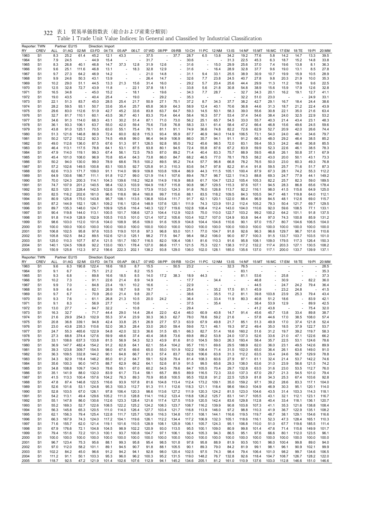| 06:LT 07:WD<br>S <sub>1</sub><br>8.3<br>25.2<br>61.4<br>45.2<br>12.1<br>43.3<br>37.5<br>37.7<br>28.7<br>6.5<br>13.8<br>34.2<br>19.2<br>77.6<br>5.8<br>14.2<br>14.7<br>13.3<br>39.5<br>1963<br>1964<br>S <sub>1</sub><br>7.9<br>24.5<br>44.9<br>15.4<br>31.7<br>30.6<br>31.3<br>22.5<br>45.3<br>6.3<br>18.7<br>15.2<br>14.8<br>33.8<br>26.8<br>37.3<br>15.0<br>29.9<br>25.6<br>36.3<br>1965<br>S <sub>1</sub><br>8.3<br>40.1<br>46.8<br>14.7<br>12.8<br>31.9<br>12.6<br>31.6<br>37.0<br>7.4<br>19.6<br>13.8<br>8.1<br>12.9<br>16.4<br>28.9<br>27.8<br>1966<br>S <sub>1</sub><br>9.6<br>25.1<br>111.6<br>46.8<br>13.1<br>18.3<br>32.8<br>31.6<br>32.8<br>37.7<br>9.6<br>19.0<br>13.1<br>8.5<br>25.5<br>28.9<br>1967<br>S <sub>1</sub><br>9.7<br>27.3<br>64.2<br>46.9<br>14.2<br>21.0<br>14.8<br>31.1<br>33.1<br>38.9<br>30.9<br>10.7<br>19.9<br>15.9<br>10.5<br>9.4<br>9.9<br>24.6<br>50.3<br>43.1<br>13.9<br>26.4<br>23.8<br>27.8<br>9.8<br>20.3<br>10.0<br>35.3<br>1968<br>S <sub>1</sub><br>14.7<br>32.6<br>7.7<br>24.5<br>40.7<br>21.9<br>10.2<br>29.0<br>44.5<br>13.3<br>21.3<br>15.6<br>16.0<br>29.2<br>5.7<br>20.4<br>25.6<br>44.4<br>29.9<br>19.6<br>9.6<br>22.5<br>1969<br>S <sub>1</sub><br>51.1<br>31.4<br>11.3<br>11.2<br>$\overline{\phantom{a}}$<br>32.8<br>22.1<br>37.8<br>30.8<br>38.9<br>15.6<br>15.9<br>17.9<br>32.8<br>1970<br>S <sub>1</sub><br>12.5<br>72.7<br>43.9<br>11.8<br>18.1<br>33.8<br>5.6<br>21.8<br>54.8<br>12.6<br>34.8<br>45.0<br>15.2<br>18.1<br>19.6<br>7.7<br>28.7<br>32.7<br>20.1<br>16.2<br>19.1<br>41.1<br>1971<br>S <sub>1</sub><br>16.5<br>34.3<br>34.3<br>12.7<br>43.5<br>25.4<br>19.0<br>29.2<br>32.2<br>23.0<br>24.9<br>33.1<br>1972<br>S <sub>1</sub><br>19.0<br>40.4<br>35.3<br>51.0<br>22.1<br>51.3<br>83.7<br>45.0<br>28.5<br>25.4<br>21.7<br>50.9<br>27.1<br>75.1<br>37.2<br>8.7<br>34.3<br>37.7<br>38.2<br>42.7<br>29.1<br>16.7<br>18.4<br>24.4<br>38.6<br>1973<br>S <sub>1</sub><br>59.5<br>93.1<br>35.4<br>36.9<br>64.3<br>40.1<br>70.6<br>18.7<br>22.4<br>43.9<br>1974<br>S <sub>1</sub><br>28.2<br>50.7<br>33.6<br>25.7<br>65.8<br>58.9<br>12.4<br>36.8<br>44.6<br>31.3<br>21.2<br>29.6<br>83.0<br>112.6<br>42.7<br>45.2<br>33.6<br>63.7<br>64.7<br>59.3<br>58.3<br>39.0<br>30.8<br>22.1<br>35.0<br>21.6<br>63.4<br>1975<br>S <sub>1</sub><br>51.9<br>83.8<br>14.5<br>50.1<br>55.6<br>81.7<br>110.1<br>43.5<br>53.4<br>38.4<br>24.0<br>32.5<br>22.9<br>53.2<br>1976<br>S <sub>1</sub><br>32.7<br>60.1<br>36.7<br>40.1<br>83.3<br>70.4<br>64.4<br>58.4<br>16.3<br>57.7<br>37.4<br>54.6<br>34.6<br>91.3<br>114.0<br>68.3<br>43.1<br>30.2<br>87.1<br>71.0<br>73.0<br>56.2<br>25.1<br>65.7<br>54.5<br>33.0<br>55.7<br>40.3<br>21.4<br>43.4<br>23.1<br>48.3<br>1977<br>S <sub>1</sub><br>51.4<br>93.3<br>106.1<br>42.0<br>75.6<br>76.8<br>58.4<br>47.2<br>15.6<br>59.6<br>1978<br>S <sub>1</sub><br>36.1<br>63.7<br>55.0<br>59.4<br>73.8<br>58.3<br>33.1<br>61.4<br>66.4<br>46.8<br>49.6<br>24.5<br>1979<br>43.8<br>91.0<br>125.1<br>70.5<br>75.4<br>74.8<br>82.2<br>72.6<br>52.7<br>20.9<br>42.0<br>26.6<br>74.4<br>S <sub>1</sub><br>63.0<br>55.1<br>78.1<br>81.1<br>91.1<br>74.9<br>36.6<br>62.9<br>121.6<br>146.8<br>86.9<br>60.0<br>82.8<br>93.4<br>95.9<br>94.0<br>114.9<br>106.5<br>54.0<br>24.0<br>79.7<br>1980<br>S <sub>1</sub><br>51.3<br>72.4<br>115.3<br>87.7<br>46.9<br>73.1<br>46.1<br>34.6<br>50.2<br>127.2<br>152.2<br>92.3<br>74.5<br>49.8<br>99.0<br>96.4<br>94.9<br>106.9<br>86.0<br>35.7<br>94.1<br>91.1<br>91.2<br>66.3<br>48.0<br>29.2<br>46.4<br>38.5<br>85.2<br>1981<br>S <sub>1</sub><br>112.6<br>136.0<br>95.0<br>72.0<br>85.5<br>1982<br>S <sub>1</sub><br>49.0<br>87.5<br>67.6<br>51.3<br>97.1<br>126.5<br>92.8<br>79.2<br>45.6<br>98.5<br>83.1<br>59.4<br>55.3<br>24.2<br>46.6<br>36.8<br>113.1<br>117.5<br>78.8<br>87.5<br>80.1<br>72.4<br>87.6<br>67.2<br>83.9<br>59.9<br>52.3<br>22.6<br>78.3<br>1983<br>S <sub>1</sub><br>46.4<br>64.1<br>53.1<br>93.8<br>94.5<br>55.8<br>46.1<br>38.5<br>114.0<br>119.1<br>99.3<br>56.1<br>72.5<br>79.5<br>87.0<br>89.2<br>71.4<br>83.3<br>75.7<br>88.9<br>26.1<br>67.9<br>1984<br>S <sub>1</sub><br>47.9<br>67.4<br>40.4<br>59.5<br>46.8<br>50.8<br>37.1<br>45.4<br>101.0<br>108.0<br>96.9<br>70.8<br>65.4<br>64.3<br>73.8<br>86.0<br>84.7<br>68.2<br>46.5<br>77.0<br>78.1<br>78.5<br>58.2<br>43.0<br>20.0<br>50.1<br>43.1<br>73.3<br>1985<br>S <sub>1</sub><br>94.0<br>130.0<br>68.6<br>100.2<br>89.5<br>96.8<br>66.8<br>50.0<br>23.0<br>76.8<br>1986<br>S <sub>1</sub><br>50.2<br>99.0<br>78.9<br>78.5<br>95.2<br>74.4<br>57.7<br>78.2<br>76.5<br>60.3<br>49.3<br>57.2<br>102.6<br>149.5<br>100.8<br>100.5<br>92.7<br>125.8<br>91.3<br>110.3<br>97.8<br>82.2<br>59.5<br>25.7<br>87.3<br>1987<br>S <sub>1</sub><br>83.1<br>83.6<br>54.7<br>81.4<br>91.8<br>71.6<br>51.7<br>113.3<br>171.7<br>109.0<br>114.0<br>99.9<br>109.8<br>103.8<br>109.4<br>44.3<br>111.5<br>105.1<br>100.4<br>87.9<br>67.3<br>28.1<br>74.2<br>55.3<br>112.2<br>1988<br>S <sub>1</sub><br>62.6<br>91.1<br>86.9<br>130.6<br>186.7<br>111.1<br>91.8<br>112.7<br>99.0<br>121.9<br>114.1<br>107.6<br>89.4<br>78.7<br>96.7<br>122.1<br>114.3<br>88.8<br>69.3<br>24.7<br>77.9<br>44.1<br>149.2<br>1989<br>S <sub>1</sub><br>64.9<br>124.3<br>200.3<br>139.6<br>118.2<br>123.2<br>105.4<br>82.2<br>25.7<br>82.3<br>189.5<br>1990<br>S <sub>1</sub><br>70.0<br>114.1<br>104.3<br>162.8<br>114.9<br>116.9<br>88.8<br>61.7<br>104.7<br>105.3<br>59.0<br>107.9<br>201.2<br>140.5<br>98.4<br>132.3<br>103.9<br>164.9<br>118.7<br>115.8<br>96.7<br>129.5<br>115.3<br>97.6<br>107.1<br>94.5<br>28.3<br>86.8<br>65.6<br>178.4<br>1991<br>S <sub>1</sub><br>74.7<br>90.8<br>120.1<br>228.4<br>142.5<br>102.6<br>130.3<br>112.5<br>173.9<br>113.0<br>124.3<br>76.0<br>126.8<br>113.7<br>92.2<br>98.0<br>41.5<br>115.6<br>125.0<br>1992<br>S <sub>1</sub><br>82.5<br>91.8<br>116.1<br>64.9<br>S <sub>1</sub><br>82.5<br>116.2<br>202.6<br>161.0<br>96.5<br>118.6<br>99.4<br>160.8<br>99.7<br>115.6<br>88.1<br>83.5<br>118.2<br>109.5<br>84.3<br>105.5<br>94.7<br>48.1<br>119.8<br>64.0<br>112.1<br>1993<br>1994<br>S <sub>1</sub><br>80.9<br>125.8<br>175.0<br>143.8<br>95.7<br>108.1<br>113.5<br>136.8<br>103.4<br>111.7<br>91.7<br>62.1<br>120.1<br>122.0<br>88.4<br>96.9<br>84.5<br>48.1<br>112.6<br>115.7<br>69.0<br>1995<br>S <sub>1</sub><br>87.2<br>144.9<br>152.1<br>126.1<br>109.2<br>116.1<br>120.4<br>148.9<br>137.6<br>120.1<br>111.9<br>74.3<br>123.9<br>151.2<br>112.4<br>105.2<br>79.3<br>50.4<br>121.7<br>69.7<br>129.5<br>89.7<br>135.3<br>148.0<br>124.7<br>109.9<br>125.6<br>116.4<br>140.3<br>122.7<br>119.6<br>102.8<br>108.4<br>112.4<br>143.0<br>104.0<br>110.6<br>92.0<br>59.6<br>108.5<br>77.1<br>133.1<br>1996<br>S <sub>1</sub><br>90.4<br>119.8<br>144.0<br>113.1<br>100.5<br>101.7<br>108.6<br>127.3<br>104.4<br>112.9<br>102.5<br>75.0<br>110.0<br>122.7<br>103.2<br>99.2<br>100.2<br>64.2<br>101.1<br>91.8<br>137.5<br>1997<br>S1<br>S <sub>1</sub><br>91.8<br>114.9<br>128.9<br>102.9<br>105.5<br>110.5<br>101.0<br>121.4<br>107.2<br>105.6<br>103.4<br>102.7<br>107.0<br>124.9<br>93.8<br>94.4<br>97.0<br>74.3<br>100.8<br>85.9<br>131.2<br>1998<br>1999<br>S <sub>1</sub><br>98.6<br>103.0<br>112.0<br>101.6<br>104.0<br>108.9<br>95.6<br>109.0<br>91.6<br>105.9<br>104.8<br>104.4<br>104.6<br>110.6<br>90.1<br>97.0<br>115.7<br>80.7<br>104.6<br>106.5<br>104.0<br>2000<br>100.0<br>100.0<br>100.0<br>100.0<br>100.0<br>100.0<br>100.0<br>100.0<br>100.0<br>100.0<br>100.0<br>100.0<br>100.0<br>100.0<br>100.0<br>100.0<br>100.0<br>100.0<br>100.0<br>100.0<br>100.0<br>S1<br>S <sub>1</sub><br>106.8<br>102.5<br>95.8<br>97.6<br>103.5<br>119.0<br>101.8<br>97.3<br>96.8<br>93.0<br>101.1<br>104.7<br>91.8<br>92.6<br>96.3<br>96.6<br>129.7<br>96.7<br>101.6<br>110.6<br>2001<br>77.0<br>2002<br>S <sub>1</sub><br>105.8<br>102.5<br>84.2<br>89.5<br>102.6<br>121.0<br>125.1<br>98.2<br>77.5<br>94.7<br>98.4<br>58.2<br>106.0<br>90.0<br>87.7<br>100.3<br>91.5<br>133.7<br>103.7<br>103.5<br>101.0<br>2003<br>S <sub>1</sub><br>125.0<br>110.3<br>107.7<br>87.4<br>121.5<br>151.7<br>150.7<br>116.5<br>82.0<br>106.4<br>108.1<br>81.6<br>110.3<br>91.6<br>95.8<br>108.1<br>109.0<br>179.5<br>117.3<br>126.4<br>150.3<br>2004<br>S <sub>1</sub><br>124.5<br>109.8<br>92.2<br>133.0<br>193.1<br>178.4<br>127.0<br>117.1<br>121.5<br>122.1<br>138.3<br>117.2<br>132.2<br>203.3<br>127.1<br>130.5<br>108.2<br>140.1<br>86.6<br>75.3<br>117.4<br>2005<br>S <sub>1</sub><br>150.9<br>125.8<br>112.3<br>97.2<br>156.6<br>222.3<br>202.1<br>138.2<br>93.8<br>129.0<br>136.0<br>102.0<br>128.1<br>185.0<br>135.6<br>137.0<br>117.1<br>200.0<br>133.7<br>139.9<br>137.1<br>Reporter: TWN<br>Partner: EU15<br>Direction: Export<br><b>CREV</b><br>05:AP<br>06:LT<br>07:WD<br>08:PP<br>09:RB<br>10:CH<br>11:PC<br>12:NM<br>15:MT 16:MC 17:EM<br>20:MM<br>RY<br>ALL<br>01:AG<br>02:MI<br>03:FD<br>04:TX<br>$13:$ IS<br>14:NF<br>18:TE<br>19:PI<br>122.4<br>50.5<br>32.3<br>76.5<br>1963<br>S <sub>1</sub><br>9.6<br>6.3<br>190.8<br>18.6<br>18.0<br>8.7<br>15.5<br>$\overline{\phantom{a}}$<br>23.2<br>$\sim$<br>28.5<br>1964<br>9.1<br>6.7<br>75.1<br>21.2<br>8.2<br>83.1<br>35.3<br>S <sub>1</sub><br>15.5<br>٠<br>1965<br>6.8<br>89.8<br>16.6<br>18.5<br>14.0<br>38.3<br>18.9<br>44.3<br>81.1<br>53.6<br>25.8<br>37.3<br>S1<br>9.3<br>8.5<br>17.2<br>ä,<br>$\overline{\phantom{a}}$<br>٠<br>1966<br>10.2<br>7.3<br>91.1<br>22.6<br>34.4<br>46.8<br>30.9<br>82.2<br>36.0<br>S1<br>21.4<br>8.9<br>14.9<br>17.7<br>ä,<br>1967<br>S <sub>1</sub><br>9.9<br>7.0<br>84.8<br>23.4<br>19.1<br>10.2<br>16.6<br>22.9<br>44.5<br>24.7<br>24.2<br>79.4<br>36.4<br>ä,<br>٠<br>1968<br>9.9<br>82.1<br>26.9<br>18.7<br>35.2<br>17.5<br>45.9<br>23.2<br>24.8<br>41.5<br>S <sub>1</sub><br>6.4<br>9.8<br>19.7<br>25.4<br>81.1<br>S <sub>1</sub><br>9.7<br>6.7<br>70.9<br>26.0<br>21.4<br>9.8<br>20.7<br>38.6<br>35.5<br>11.2<br>81.1<br>39.8<br>103.8<br>23.9<br>25.3<br>79.4<br>43.4<br>1969<br>ä,<br>٠<br>S <sub>1</sub><br>7.6<br>26.8<br>20.0<br>33.4<br>80.3<br>51.2<br>18.6<br>83.9<br>42.1<br>1970<br>9.3<br>61.1<br>21.3<br>10.5<br>24.2<br>36.4<br>11.9<br>40.8<br>٠<br>1971<br>S <sub>1</sub><br>9.1<br>8.3<br>56.9<br>27.7<br>10.6<br>35.4<br>38.4<br>53.9<br>12.9<br>89.9<br>42.5<br>37.5<br>1972<br>S <sub>1</sub><br>13.0<br>27.7<br>32.2<br>10.8<br>41.2<br>43.8<br>75.4<br>32.0<br>64.7<br>29.4<br>S <sub>1</sub><br>16.3<br>32.7<br>44.4<br>29.0<br>14.4<br>28.4<br>22.0<br>42.4<br>46.0<br>60.9<br>40.8<br>91.4<br>45.6<br>45.7<br>13.8<br>33.4<br>89.8<br>38.7<br>1973<br>71.7<br>14.7<br>Ĭ.<br>1974<br>S <sub>1</sub><br>21.6<br>29.9<br>102.9<br>55.3<br>37.4<br>23.9<br>30.3<br>36.3<br>62.7<br>78.0<br>78.6<br>59.2<br>21.6<br>44.6<br>17.0<br>38.5<br>108.0<br>57.4<br>254.3<br>57.8<br>1975<br>26.9<br>27.7<br>52.4<br>20.8<br>42.4<br>33.8<br>63.9<br>49.8<br>85.1<br>49.9<br>37.4<br>51<br>36.8<br>339.1<br>94.8<br>25.1<br>57.3<br>67.9<br>21.7<br>51.3<br>17.0<br>121.8<br>1976<br>23.0<br>43.8<br>235.3<br>110.6<br>52.0<br>38.3<br>28.4<br>33.0<br>26.0<br>59.4<br>72.1<br>46.1<br>19.3<br>97.2<br>49.4<br>35.0<br>18.5<br>37.9<br>122.7<br>53.7<br>S <sub>1</sub><br>59.6<br>1977<br>S <sub>1</sub><br>24.7<br>55.3<br>465.6<br>122.9<br>54.8<br>42.0<br>32.3<br>36.6<br>31.5<br>65.1<br>66.3<br>82.7<br>51.4<br>18.6<br>160.2<br>51.6<br>31.2<br>19.7<br>39.2<br>119.7<br>58.3<br>1978<br>S <sub>1</sub><br>27.3<br>68.8<br>374.4<br>127.6<br>59.9<br>48.6<br>37.4<br>40.4<br>38.8<br>73.6<br>69.8<br>89.2<br>53.8<br>24.0<br>137.3<br>52.6<br>33.6<br>21.0<br>47.1<br>122.6<br>66.2<br>1979<br>S <sub>1</sub><br>33.1<br>108.6<br>637.3<br>133.8<br>81.5<br>56.9<br>54.3<br>52.3<br>43.9<br>81.6<br>81.0<br>104.5<br>59.0<br>26.3<br>193.4<br>58.4<br>35.7<br>22.5<br>53.1<br>124.6<br>78.6<br>1980<br>S <sub>1</sub><br>36.9<br>147.7<br>482.4<br>154.2<br>91.2<br>62.8<br>64.1<br>62.1<br>55.4<br>104.2<br>95.7<br>110.1<br>69.6<br>29.5<br>188.9<br>62.0<br>36.0<br>23.1<br>49.5<br>142.6<br>89.9<br>1981<br>S <sub>1</sub><br>39.3<br>123.8<br>309.7<br>154.5<br>98.0<br>67.6<br>69.6<br>65.0<br>55.0<br>101.9<br>102.2<br>108.4<br>71.4<br>31.5<br>102.0<br>65.0<br>36.4<br>26.1<br>63.6<br>149.0<br>91.0<br>1982<br>S <sub>1</sub><br>36.3<br>109.5<br>332.8<br>144.2<br>90.1<br>64.8<br>66.7<br>57.4<br>83.7<br>82.8<br>106.6<br>63.8<br>31.3<br>112.2<br>63.5<br>33.4<br>24.6<br>56.7<br>129.9<br>78.8<br>61.3<br>1983<br>S <sub>1</sub><br>34.3<br>92.9<br>118.4<br>146.2<br>85.0<br>61.2<br>64.7<br>59.1<br>52.8<br>79.4<br>81.4<br>108.3<br>60.6<br>27.9<br>97.1<br>61.1<br>32.4<br>21.4<br>53.7<br>142.2<br>74.6<br>1984<br>S <sub>1</sub><br>35.6<br>100.3<br>90.0<br>147.5<br>88.7<br>62.9<br>66.2<br>64.1<br>52.6<br>81.9<br>91.5<br>99.5<br>65.6<br>29.3<br>138.0<br>63.6<br>31.0<br>23.9<br>56.6<br>121.5<br>74.2<br>1985<br>S <sub>1</sub><br>34.8<br>108.8<br>109.7<br>134.0<br>78.6<br>59.1<br>67.0<br>60.2<br>54.5<br>79.6<br>84.7<br>105.5<br>70.4<br>29.7<br>132.8<br>63.5<br>31.6<br>23.0<br>53.5<br>112.7<br>76.0<br>1986<br>S <sub>1</sub><br>35.1<br>141.9<br>88.0<br>132.0<br>83.9<br>61.7<br>73.4<br>58.1<br>65.7<br>89.5<br>89.9<br>116.5<br>72.3<br>33.0<br>137.3<br>67.0<br>29.7<br>21.3<br>54.5<br>101.0<br>79.4<br>1987<br>S <sub>1</sub><br>41.5<br>113.3<br>100.4<br>157.6<br>104.2<br>76.3<br>89.3<br>70.9<br>85.8<br>100.5<br>95.5<br>152.8<br>91.2<br>22.5<br>125.9<br>81.8<br>34.3<br>25.3<br>67.4<br>103.6<br>92.8<br>1988<br>S <sub>1</sub><br>47.8<br>87.4<br>146.8<br>122.5<br>116.6<br>93.9<br>107.8<br>81.6<br>104.8<br>113.4<br>112.4<br>173.2<br>109.1<br>35.0<br>159.2<br>97.1<br>39.2<br>28.6<br>83.3<br>117.1<br>104.0<br>30.3<br>S <sub>1</sub><br>52.6<br>101.6<br>124.8<br>95.3<br>100.3<br>112.7<br>91.3<br>111.1<br>112.6<br>118.3<br>121.1<br>118.4<br>98.6<br>164.0<br>104.9<br>46.9<br>95.1<br>120.1<br>114.0<br>1989<br>53.1<br>1990<br>52.8<br>103.5<br>126.1<br>97.8<br>106.4<br>120.3<br>98.6<br>113.6<br>127.2<br>111.9<br>120.3<br>124.2<br>81.5<br>123.0<br>104.6<br>43.5<br>31.4<br>103.3<br>114.3<br>118.1<br>S <sub>1</sub><br>67.0<br>1991<br>113.1<br>49.4<br>129.6<br>105.2<br>111.0<br>128.8<br>116.2<br>123.4<br>118.8<br>126.2<br>125.7<br>83.1<br>141.7<br>105.5<br>43.1<br>32.1<br>123.1<br>116.7<br>S1<br>54.2<br>114.1<br>112.1<br>1992<br>147.8<br>86.0<br>130.6<br>112.6<br>123.3<br>128.4<br>121.6<br>117.4<br>127.5<br>115.9<br>120.5<br>142.4<br>83.6<br>129.8<br>112.8<br>40.4<br>33.4<br>118.1<br>136.1<br>120.7<br>S1<br>55.1<br>1993<br>S <sub>1</sub><br>55.2<br>169.3<br>52.7<br>122.6<br>108.5<br>122.2<br>125.2<br>124.2<br>108.3<br>123.7<br>108.7<br>116.2<br>139.9<br>90.8<br>103.8<br>107.3<br>41.1<br>35.3<br>121.6<br>138.8<br>108.4<br>122.9<br>1994<br>56.3<br>145.8<br>65.3<br>120.5<br>111.0<br>114.0<br>126.4<br>127.7<br>103.4<br>121.7<br>116.8<br>113.9<br>146.0<br>97.2<br>98.8<br>110.3<br>36.7<br>135.1<br>108.2<br>S1<br>41.9<br>1995<br>156.3<br>79.4<br>125.4<br>125.7<br>126.9<br>116.3<br>134.8<br>108.1<br>38.1<br>129.1<br>154.6<br>116.6<br>S1<br>62.1<br>122.8<br>111.7<br>157.1<br>144.1<br>116.6<br>119.5<br>119.7<br>48.7<br>1996<br>167.9<br>74.3<br>124.0<br>117.2<br>104.1<br>119.6<br>126.1<br>112.2<br>134.4<br>117.2<br>106.9<br>132.3<br>105.1<br>52.3<br>47.3<br>128.4<br>165.1<br>110.3<br>S <sub>1</sub><br>66.3<br>118.6<br>116.1<br>155.7<br>62.0<br>121.4<br>119.1<br>101.6<br>128.9<br>108.1<br>125.9<br>106.1<br>105.7<br>124.3<br>95.1<br>106.8<br>110.0<br>51.0<br>67.7<br>119.6<br>185.5<br>111.4<br>1997<br>S1<br>71.6<br>110.5<br>1998<br>176.6<br>72.1<br>104.8<br>98.9<br>102.2<br>120.9<br>93.0<br>113.5<br>95.5<br>100.1<br>109.0<br>80.9<br>99.8<br>101.4<br>47.6<br>71.4<br>115.6<br>149.9<br>101.7<br>S1<br>67.9<br>104.5<br>1999<br>79.4<br>72.2<br>101.3<br>100.1<br>100.8<br>104.7<br>97.1<br>106.1<br>92.4<br>105.3<br>86.5<br>95.1<br>66.6<br>80.1<br>123.5<br>96.1<br>S1<br>151.6<br>93.7<br>94.3<br>97.6<br>112.0<br>100.0<br>2000<br>100.0<br>100.0<br>100.0<br>100.0<br>100.0<br>100.0<br>100.0<br>100.0<br>100.0<br>100.0<br>100.0<br>100.0<br>100.0<br>100.0<br>100.0<br>100.0<br>100.0<br>100.0<br>100.0<br>100.0<br>S1<br>100.4<br>S <sub>1</sub><br>96.7<br>123.4<br>75.3<br>95.6<br>88.1<br>99.3<br>95.8<br>95.4<br>98.5<br>101.8<br>97.8<br>95.8<br>88.9<br>81.9<br>93.5<br>100.1<br>96.0<br>99.8<br>89.0<br>94.0<br>2001<br>2002<br>97.0<br>112.0<br>58.2<br>101.1<br>89.1<br>90.7<br>88.1<br>105.5<br>90.1<br>79.0<br>81.9<br>99.1<br>98.1<br>96.1<br>90.9<br>102.1<br>99.9<br>S <sub>1</sub><br>94.5<br>91.8<br>89.3<br>84.2<br>2003<br>S <sub>1</sub><br>102.2<br>84.2<br>45.0<br>96.6<br>94.2<br>94.1<br>92.8<br>120.4<br>102.5<br>97.5<br>98.4<br>79.4<br>101.0<br>98.2<br>99.7<br>134.6<br>106.5<br>91.2<br>98.0<br>74.3<br>106.4<br>2004<br>S <sub>1</sub><br>111.2<br>91.1<br>95.3<br>96.0<br>131.5<br>119.0<br>76.7<br>132.8<br>92.6<br>108.7<br>128.2<br>122.0<br>50.1<br>103.3<br>96.2<br>100.3<br>95.2<br>148.2<br>118.4<br>104.7<br>126.7<br>2005<br>S <sub>1</sub><br>118.7<br>92.5<br>47.2<br>121.9<br>101.4<br>102.6<br>107.6<br>112.9<br>94.1<br>145.2<br>134.6<br>205.1<br>81.2<br>161.0<br>110.9<br>137.6<br>103.0<br>112.8<br>146.6<br>151.0<br>146.6 | Reporter: TWN<br>RY | <b>CREV</b> | ALL | Partner: EU15<br>01:AG | 02:MI | 03:FD | Direction: Import<br>04:TX | 05:AP |  | 08:PP | 09:RB | 10:CH | 11:PC | 12:NM | 13:IS | 14:NF | 15:MT | 16:MC | 17:EM | 18:TE | 19:PI | 20:MM |
|-------------------------------------------------------------------------------------------------------------------------------------------------------------------------------------------------------------------------------------------------------------------------------------------------------------------------------------------------------------------------------------------------------------------------------------------------------------------------------------------------------------------------------------------------------------------------------------------------------------------------------------------------------------------------------------------------------------------------------------------------------------------------------------------------------------------------------------------------------------------------------------------------------------------------------------------------------------------------------------------------------------------------------------------------------------------------------------------------------------------------------------------------------------------------------------------------------------------------------------------------------------------------------------------------------------------------------------------------------------------------------------------------------------------------------------------------------------------------------------------------------------------------------------------------------------------------------------------------------------------------------------------------------------------------------------------------------------------------------------------------------------------------------------------------------------------------------------------------------------------------------------------------------------------------------------------------------------------------------------------------------------------------------------------------------------------------------------------------------------------------------------------------------------------------------------------------------------------------------------------------------------------------------------------------------------------------------------------------------------------------------------------------------------------------------------------------------------------------------------------------------------------------------------------------------------------------------------------------------------------------------------------------------------------------------------------------------------------------------------------------------------------------------------------------------------------------------------------------------------------------------------------------------------------------------------------------------------------------------------------------------------------------------------------------------------------------------------------------------------------------------------------------------------------------------------------------------------------------------------------------------------------------------------------------------------------------------------------------------------------------------------------------------------------------------------------------------------------------------------------------------------------------------------------------------------------------------------------------------------------------------------------------------------------------------------------------------------------------------------------------------------------------------------------------------------------------------------------------------------------------------------------------------------------------------------------------------------------------------------------------------------------------------------------------------------------------------------------------------------------------------------------------------------------------------------------------------------------------------------------------------------------------------------------------------------------------------------------------------------------------------------------------------------------------------------------------------------------------------------------------------------------------------------------------------------------------------------------------------------------------------------------------------------------------------------------------------------------------------------------------------------------------------------------------------------------------------------------------------------------------------------------------------------------------------------------------------------------------------------------------------------------------------------------------------------------------------------------------------------------------------------------------------------------------------------------------------------------------------------------------------------------------------------------------------------------------------------------------------------------------------------------------------------------------------------------------------------------------------------------------------------------------------------------------------------------------------------------------------------------------------------------------------------------------------------------------------------------------------------------------------------------------------------------------------------------------------------------------------------------------------------------------------------------------------------------------------------------------------------------------------------------------------------------------------------------------------------------------------------------------------------------------------------------------------------------------------------------------------------------------------------------------------------------------------------------------------------------------------------------------------------------------------------------------------------------------------------------------------------------------------------------------------------------------------------------------------------------------------------------------------------------------------------------------------------------------------------------------------------------------------------------------------------------------------------------------------------------------------------------------------------------------------------------------------------------------------------------------------------------------------------------------------------------------------------------------------------------------------------------------------------------------------------------------------------------------------------------------------------------------------------------------------------------------------------------------------------------------------------------------------------------------------------------------------------------------------------------------------------------------------------------------------------------------------------------------------------------------------------------------------------------------------------------------------------------------------------------------------------------------------------------------------------------------------------------------------------------------------------------------------------------------------------------------------------------------------------------------------------------------------------------------------------------------------------------------------------------------------------------------------------------------------------------------------------------------------------------------------------------------------------------------------------------------------------------------------------------------------------------------------------------------------------------------------------------------------------------------------------------------------------------------------------------------------------------------------------------------------------------------------------------------------------------------------------------------------------------------------------------------------------------------------------------------------------------------------------------------------------------------------------------------------------------------------------------------------------------------------------------------------------------------------------------------------------------------------------------------------------------------------------------------------------------------------------------------------------------------------------------------------------------------------------------------------------------------------------------------------------------------------------------------------------------------------------------------------------------------------------------------------------------------------------------------------------------------------------------------------------------------------------------------------------------------------------------------------------------------------------------------------------------------------------------------------------------------------------------------------------------------------------------------------------------------------------------------------------------------------------------------------------------------------------------------------------------------------------------------------------------------------------------------------------------------------------------------------------------------------------------------------------------------------------------------------------------------------------------------------------------------------------------------------------------------------------------------------------------------------------------------------------------------------------------------------------------------------------------------------------------------------------------------------------------------------------------------------------------------------------------------------------------------------------------------------------------------------------------------------------------------------------------------------------------------------------------------------------------------------------------------------------------------------------------------------------------------------------------------------------------------------------------------------------------------------------------------------------------------------------------------------------------------------------------------------------------------------------------------------------------------------------------------------------------------------------------------------------------------------------------------------------------------------------------------------------------------------------------------------------------------------------------------------------------------------------------------------------------------------------------------------------------------------------------------------------------------------------------------------------------------------------------------------------------------------------------------------------------------------------------------------------------------------------------------------------------------------------------------------------------------------------------------------------------------------------------------------------------------------------------------------------------------------------------------------------------------------------------------------------------------------------------------------------------------------------------------------------------------------------------------------------------------------------------------------------------------------------------------------------------------------------------------------------------------------------------------------------------------------------------------------------------------------------------------------------------------------------------------------------------------------------------------------------------------------------------------------------------------------------------------------------------------------------------------------------------------------------------------------------------------------------------------------------------------------------------------------------------------------------------------------------------------------------------------------------------------------------------------------------------------------------------------------------------------------------------------------------------------------------------------------------------------------------------------------------------------------------------------------------------------------------------------------------------------------------------------------------------------------------------------------------------------------------------------------------------------------------------------------------------------------------------------------------------------------------------------------------------------------------------------------------------------------------------------------------------------------------------------------------------------------------------------------------------------------------------------------------------------------------------------------------------------------------------------------------------------------------------------------------------------------------------------------------------------------------------------------------------------------------------------------------------------------------------------------------------------------------------------------------------------------------------------------------------------------------------------------------------------------------------------------------------------------------------------------------------------------------------------------------------------------------------------------------------------------------------------------------------------------------------------------------------------------------------------------------------------------------------------------------------------------------------------------------------------------------------------------------------------------------------------------------------------------------------------------------------------------------------------------------------------------------------------------------------------------------------------------------------------------------------------------------------------------------------------------------------------------------------------------------------------------------------------------------------------------------------------------------------------------------------------------------------------------------------------------------------------------------------------------------------------------------------------------------------------------------------------------------------------------------------------------------------------------------------------------------------------------------------------------------------------------------------------------------------------------------------------------------------------------------------------------------------------------------------------------------------------------------------------------------------------------------------------------------------------------------------------------------------------------------------------------------------------------------------------------------------------------------------------------------------------------------------------------------------------------------------------------------------------------------------------------------------------------------------------------------------------------------------------------------------------------------------------------------------------------------------------------------------------------------------------------------------------------------------------------------------------------------------------------------------------------------------------------------------------------------------------------------------------------------------------------------------|---------------------|-------------|-----|------------------------|-------|-------|----------------------------|-------|--|-------|-------|-------|-------|-------|-------|-------|-------|-------|-------|-------|-------|-------|
|                                                                                                                                                                                                                                                                                                                                                                                                                                                                                                                                                                                                                                                                                                                                                                                                                                                                                                                                                                                                                                                                                                                                                                                                                                                                                                                                                                                                                                                                                                                                                                                                                                                                                                                                                                                                                                                                                                                                                                                                                                                                                                                                                                                                                                                                                                                                                                                                                                                                                                                                                                                                                                                                                                                                                                                                                                                                                                                                                                                                                                                                                                                                                                                                                                                                                                                                                                                                                                                                                                                                                                                                                                                                                                                                                                                                                                                                                                                                                                                                                                                                                                                                                                                                                                                                                                                                                                                                                                                                                                                                                                                                                                                                                                                                                                                                                                                                                                                                                                                                                                                                                                                                                                                                                                                                                                                                                                                                                                                                                                                                                                                                                                                                                                                                                                                                                                                                                                                                                                                                                                                                                                                                                                                                                                                                                                                                                                                                                                                                                                                                                                                                                                                                                                                                                                                                                                                                                                                                                                                                                                                                                                                                                                                                                                                                                                                                                                                                                                                                                                                                                                                                                                                                                                                                                                                                                                                                                                                                                                                                                                                                                                                                                                                                                                                                                                                                                                                                                                                                                                                                                                                                                                                                                                                                                                                                                                                                                                                                                                                                                                                                                                                                                                                                                                                                                                                                                                                                                                                                                                                                                                                                                                                                                                                                                                                                                                                                                                                                                                                                                                                                                                                                                                                                                                                                                                                                                                                                                                                                                                                                                                                                                                                                                                                                                                                                                                                                                                                                                                                                                                                                                                                                                                                                                                                                                                                                                                                                                                                                                                                                                                                                                                                                                                                                                                                                                                                                                                                                                                                                                                                                                                                                                                                                                                                                                                                                                                                                                                                                                                                                                                                                                                                                                                                                                                                                                                                                                                                                                                                                                                                                                                                                                                                                                                                                                                                                                                                                                                                                                                                                                                                                                                                                                                                                                                                                                                                                                                                                                                                                                                                                                                                                                                                                                                                                                                                                                                                                                                                                                                                                                                                                                                                                                                                                                                                                                                                                                                                                                                                                                                                                                                                                                                                                                                                                                                                                                                                                                                                                                                                                                                                                                                                                                                                                                                                                                                                                                                                                                                                                                                                                                                                                                                                                                                                                                                                                                                                                                                                                                                                                                                                                                                                                                                                                                                                                                                                                                                                                                                                                                                                                                                                                                                                                                                                                   |                     |             |     |                        |       |       |                            |       |  |       |       |       |       |       |       |       |       |       |       |       |       |       |
|                                                                                                                                                                                                                                                                                                                                                                                                                                                                                                                                                                                                                                                                                                                                                                                                                                                                                                                                                                                                                                                                                                                                                                                                                                                                                                                                                                                                                                                                                                                                                                                                                                                                                                                                                                                                                                                                                                                                                                                                                                                                                                                                                                                                                                                                                                                                                                                                                                                                                                                                                                                                                                                                                                                                                                                                                                                                                                                                                                                                                                                                                                                                                                                                                                                                                                                                                                                                                                                                                                                                                                                                                                                                                                                                                                                                                                                                                                                                                                                                                                                                                                                                                                                                                                                                                                                                                                                                                                                                                                                                                                                                                                                                                                                                                                                                                                                                                                                                                                                                                                                                                                                                                                                                                                                                                                                                                                                                                                                                                                                                                                                                                                                                                                                                                                                                                                                                                                                                                                                                                                                                                                                                                                                                                                                                                                                                                                                                                                                                                                                                                                                                                                                                                                                                                                                                                                                                                                                                                                                                                                                                                                                                                                                                                                                                                                                                                                                                                                                                                                                                                                                                                                                                                                                                                                                                                                                                                                                                                                                                                                                                                                                                                                                                                                                                                                                                                                                                                                                                                                                                                                                                                                                                                                                                                                                                                                                                                                                                                                                                                                                                                                                                                                                                                                                                                                                                                                                                                                                                                                                                                                                                                                                                                                                                                                                                                                                                                                                                                                                                                                                                                                                                                                                                                                                                                                                                                                                                                                                                                                                                                                                                                                                                                                                                                                                                                                                                                                                                                                                                                                                                                                                                                                                                                                                                                                                                                                                                                                                                                                                                                                                                                                                                                                                                                                                                                                                                                                                                                                                                                                                                                                                                                                                                                                                                                                                                                                                                                                                                                                                                                                                                                                                                                                                                                                                                                                                                                                                                                                                                                                                                                                                                                                                                                                                                                                                                                                                                                                                                                                                                                                                                                                                                                                                                                                                                                                                                                                                                                                                                                                                                                                                                                                                                                                                                                                                                                                                                                                                                                                                                                                                                                                                                                                                                                                                                                                                                                                                                                                                                                                                                                                                                                                                                                                                                                                                                                                                                                                                                                                                                                                                                                                                                                                                                                                                                                                                                                                                                                                                                                                                                                                                                                                                                                                                                                                                                                                                                                                                                                                                                                                                                                                                                                                                                                                                                                                                                                                                                                                                                                                                                                                                                                                                                                                                                   |                     |             |     |                        |       |       |                            |       |  |       |       |       |       |       |       |       |       |       |       |       |       |       |
|                                                                                                                                                                                                                                                                                                                                                                                                                                                                                                                                                                                                                                                                                                                                                                                                                                                                                                                                                                                                                                                                                                                                                                                                                                                                                                                                                                                                                                                                                                                                                                                                                                                                                                                                                                                                                                                                                                                                                                                                                                                                                                                                                                                                                                                                                                                                                                                                                                                                                                                                                                                                                                                                                                                                                                                                                                                                                                                                                                                                                                                                                                                                                                                                                                                                                                                                                                                                                                                                                                                                                                                                                                                                                                                                                                                                                                                                                                                                                                                                                                                                                                                                                                                                                                                                                                                                                                                                                                                                                                                                                                                                                                                                                                                                                                                                                                                                                                                                                                                                                                                                                                                                                                                                                                                                                                                                                                                                                                                                                                                                                                                                                                                                                                                                                                                                                                                                                                                                                                                                                                                                                                                                                                                                                                                                                                                                                                                                                                                                                                                                                                                                                                                                                                                                                                                                                                                                                                                                                                                                                                                                                                                                                                                                                                                                                                                                                                                                                                                                                                                                                                                                                                                                                                                                                                                                                                                                                                                                                                                                                                                                                                                                                                                                                                                                                                                                                                                                                                                                                                                                                                                                                                                                                                                                                                                                                                                                                                                                                                                                                                                                                                                                                                                                                                                                                                                                                                                                                                                                                                                                                                                                                                                                                                                                                                                                                                                                                                                                                                                                                                                                                                                                                                                                                                                                                                                                                                                                                                                                                                                                                                                                                                                                                                                                                                                                                                                                                                                                                                                                                                                                                                                                                                                                                                                                                                                                                                                                                                                                                                                                                                                                                                                                                                                                                                                                                                                                                                                                                                                                                                                                                                                                                                                                                                                                                                                                                                                                                                                                                                                                                                                                                                                                                                                                                                                                                                                                                                                                                                                                                                                                                                                                                                                                                                                                                                                                                                                                                                                                                                                                                                                                                                                                                                                                                                                                                                                                                                                                                                                                                                                                                                                                                                                                                                                                                                                                                                                                                                                                                                                                                                                                                                                                                                                                                                                                                                                                                                                                                                                                                                                                                                                                                                                                                                                                                                                                                                                                                                                                                                                                                                                                                                                                                                                                                                                                                                                                                                                                                                                                                                                                                                                                                                                                                                                                                                                                                                                                                                                                                                                                                                                                                                                                                                                                                                                                                                                                                                                                                                                                                                                                                                                                                                                                                                                                   |                     |             |     |                        |       |       |                            |       |  |       |       |       |       |       |       |       |       |       |       |       |       |       |
|                                                                                                                                                                                                                                                                                                                                                                                                                                                                                                                                                                                                                                                                                                                                                                                                                                                                                                                                                                                                                                                                                                                                                                                                                                                                                                                                                                                                                                                                                                                                                                                                                                                                                                                                                                                                                                                                                                                                                                                                                                                                                                                                                                                                                                                                                                                                                                                                                                                                                                                                                                                                                                                                                                                                                                                                                                                                                                                                                                                                                                                                                                                                                                                                                                                                                                                                                                                                                                                                                                                                                                                                                                                                                                                                                                                                                                                                                                                                                                                                                                                                                                                                                                                                                                                                                                                                                                                                                                                                                                                                                                                                                                                                                                                                                                                                                                                                                                                                                                                                                                                                                                                                                                                                                                                                                                                                                                                                                                                                                                                                                                                                                                                                                                                                                                                                                                                                                                                                                                                                                                                                                                                                                                                                                                                                                                                                                                                                                                                                                                                                                                                                                                                                                                                                                                                                                                                                                                                                                                                                                                                                                                                                                                                                                                                                                                                                                                                                                                                                                                                                                                                                                                                                                                                                                                                                                                                                                                                                                                                                                                                                                                                                                                                                                                                                                                                                                                                                                                                                                                                                                                                                                                                                                                                                                                                                                                                                                                                                                                                                                                                                                                                                                                                                                                                                                                                                                                                                                                                                                                                                                                                                                                                                                                                                                                                                                                                                                                                                                                                                                                                                                                                                                                                                                                                                                                                                                                                                                                                                                                                                                                                                                                                                                                                                                                                                                                                                                                                                                                                                                                                                                                                                                                                                                                                                                                                                                                                                                                                                                                                                                                                                                                                                                                                                                                                                                                                                                                                                                                                                                                                                                                                                                                                                                                                                                                                                                                                                                                                                                                                                                                                                                                                                                                                                                                                                                                                                                                                                                                                                                                                                                                                                                                                                                                                                                                                                                                                                                                                                                                                                                                                                                                                                                                                                                                                                                                                                                                                                                                                                                                                                                                                                                                                                                                                                                                                                                                                                                                                                                                                                                                                                                                                                                                                                                                                                                                                                                                                                                                                                                                                                                                                                                                                                                                                                                                                                                                                                                                                                                                                                                                                                                                                                                                                                                                                                                                                                                                                                                                                                                                                                                                                                                                                                                                                                                                                                                                                                                                                                                                                                                                                                                                                                                                                                                                                                                                                                                                                                                                                                                                                                                                                                                                                                                                                                   |                     |             |     |                        |       |       |                            |       |  |       |       |       |       |       |       |       |       |       |       |       |       |       |
|                                                                                                                                                                                                                                                                                                                                                                                                                                                                                                                                                                                                                                                                                                                                                                                                                                                                                                                                                                                                                                                                                                                                                                                                                                                                                                                                                                                                                                                                                                                                                                                                                                                                                                                                                                                                                                                                                                                                                                                                                                                                                                                                                                                                                                                                                                                                                                                                                                                                                                                                                                                                                                                                                                                                                                                                                                                                                                                                                                                                                                                                                                                                                                                                                                                                                                                                                                                                                                                                                                                                                                                                                                                                                                                                                                                                                                                                                                                                                                                                                                                                                                                                                                                                                                                                                                                                                                                                                                                                                                                                                                                                                                                                                                                                                                                                                                                                                                                                                                                                                                                                                                                                                                                                                                                                                                                                                                                                                                                                                                                                                                                                                                                                                                                                                                                                                                                                                                                                                                                                                                                                                                                                                                                                                                                                                                                                                                                                                                                                                                                                                                                                                                                                                                                                                                                                                                                                                                                                                                                                                                                                                                                                                                                                                                                                                                                                                                                                                                                                                                                                                                                                                                                                                                                                                                                                                                                                                                                                                                                                                                                                                                                                                                                                                                                                                                                                                                                                                                                                                                                                                                                                                                                                                                                                                                                                                                                                                                                                                                                                                                                                                                                                                                                                                                                                                                                                                                                                                                                                                                                                                                                                                                                                                                                                                                                                                                                                                                                                                                                                                                                                                                                                                                                                                                                                                                                                                                                                                                                                                                                                                                                                                                                                                                                                                                                                                                                                                                                                                                                                                                                                                                                                                                                                                                                                                                                                                                                                                                                                                                                                                                                                                                                                                                                                                                                                                                                                                                                                                                                                                                                                                                                                                                                                                                                                                                                                                                                                                                                                                                                                                                                                                                                                                                                                                                                                                                                                                                                                                                                                                                                                                                                                                                                                                                                                                                                                                                                                                                                                                                                                                                                                                                                                                                                                                                                                                                                                                                                                                                                                                                                                                                                                                                                                                                                                                                                                                                                                                                                                                                                                                                                                                                                                                                                                                                                                                                                                                                                                                                                                                                                                                                                                                                                                                                                                                                                                                                                                                                                                                                                                                                                                                                                                                                                                                                                                                                                                                                                                                                                                                                                                                                                                                                                                                                                                                                                                                                                                                                                                                                                                                                                                                                                                                                                                                                                                                                                                                                                                                                                                                                                                                                                                                                                                                                                                   |                     |             |     |                        |       |       |                            |       |  |       |       |       |       |       |       |       |       |       |       |       |       |       |
|                                                                                                                                                                                                                                                                                                                                                                                                                                                                                                                                                                                                                                                                                                                                                                                                                                                                                                                                                                                                                                                                                                                                                                                                                                                                                                                                                                                                                                                                                                                                                                                                                                                                                                                                                                                                                                                                                                                                                                                                                                                                                                                                                                                                                                                                                                                                                                                                                                                                                                                                                                                                                                                                                                                                                                                                                                                                                                                                                                                                                                                                                                                                                                                                                                                                                                                                                                                                                                                                                                                                                                                                                                                                                                                                                                                                                                                                                                                                                                                                                                                                                                                                                                                                                                                                                                                                                                                                                                                                                                                                                                                                                                                                                                                                                                                                                                                                                                                                                                                                                                                                                                                                                                                                                                                                                                                                                                                                                                                                                                                                                                                                                                                                                                                                                                                                                                                                                                                                                                                                                                                                                                                                                                                                                                                                                                                                                                                                                                                                                                                                                                                                                                                                                                                                                                                                                                                                                                                                                                                                                                                                                                                                                                                                                                                                                                                                                                                                                                                                                                                                                                                                                                                                                                                                                                                                                                                                                                                                                                                                                                                                                                                                                                                                                                                                                                                                                                                                                                                                                                                                                                                                                                                                                                                                                                                                                                                                                                                                                                                                                                                                                                                                                                                                                                                                                                                                                                                                                                                                                                                                                                                                                                                                                                                                                                                                                                                                                                                                                                                                                                                                                                                                                                                                                                                                                                                                                                                                                                                                                                                                                                                                                                                                                                                                                                                                                                                                                                                                                                                                                                                                                                                                                                                                                                                                                                                                                                                                                                                                                                                                                                                                                                                                                                                                                                                                                                                                                                                                                                                                                                                                                                                                                                                                                                                                                                                                                                                                                                                                                                                                                                                                                                                                                                                                                                                                                                                                                                                                                                                                                                                                                                                                                                                                                                                                                                                                                                                                                                                                                                                                                                                                                                                                                                                                                                                                                                                                                                                                                                                                                                                                                                                                                                                                                                                                                                                                                                                                                                                                                                                                                                                                                                                                                                                                                                                                                                                                                                                                                                                                                                                                                                                                                                                                                                                                                                                                                                                                                                                                                                                                                                                                                                                                                                                                                                                                                                                                                                                                                                                                                                                                                                                                                                                                                                                                                                                                                                                                                                                                                                                                                                                                                                                                                                                                                                                                                                                                                                                                                                                                                                                                                                                                                                                                                                                                   |                     |             |     |                        |       |       |                            |       |  |       |       |       |       |       |       |       |       |       |       |       |       |       |
|                                                                                                                                                                                                                                                                                                                                                                                                                                                                                                                                                                                                                                                                                                                                                                                                                                                                                                                                                                                                                                                                                                                                                                                                                                                                                                                                                                                                                                                                                                                                                                                                                                                                                                                                                                                                                                                                                                                                                                                                                                                                                                                                                                                                                                                                                                                                                                                                                                                                                                                                                                                                                                                                                                                                                                                                                                                                                                                                                                                                                                                                                                                                                                                                                                                                                                                                                                                                                                                                                                                                                                                                                                                                                                                                                                                                                                                                                                                                                                                                                                                                                                                                                                                                                                                                                                                                                                                                                                                                                                                                                                                                                                                                                                                                                                                                                                                                                                                                                                                                                                                                                                                                                                                                                                                                                                                                                                                                                                                                                                                                                                                                                                                                                                                                                                                                                                                                                                                                                                                                                                                                                                                                                                                                                                                                                                                                                                                                                                                                                                                                                                                                                                                                                                                                                                                                                                                                                                                                                                                                                                                                                                                                                                                                                                                                                                                                                                                                                                                                                                                                                                                                                                                                                                                                                                                                                                                                                                                                                                                                                                                                                                                                                                                                                                                                                                                                                                                                                                                                                                                                                                                                                                                                                                                                                                                                                                                                                                                                                                                                                                                                                                                                                                                                                                                                                                                                                                                                                                                                                                                                                                                                                                                                                                                                                                                                                                                                                                                                                                                                                                                                                                                                                                                                                                                                                                                                                                                                                                                                                                                                                                                                                                                                                                                                                                                                                                                                                                                                                                                                                                                                                                                                                                                                                                                                                                                                                                                                                                                                                                                                                                                                                                                                                                                                                                                                                                                                                                                                                                                                                                                                                                                                                                                                                                                                                                                                                                                                                                                                                                                                                                                                                                                                                                                                                                                                                                                                                                                                                                                                                                                                                                                                                                                                                                                                                                                                                                                                                                                                                                                                                                                                                                                                                                                                                                                                                                                                                                                                                                                                                                                                                                                                                                                                                                                                                                                                                                                                                                                                                                                                                                                                                                                                                                                                                                                                                                                                                                                                                                                                                                                                                                                                                                                                                                                                                                                                                                                                                                                                                                                                                                                                                                                                                                                                                                                                                                                                                                                                                                                                                                                                                                                                                                                                                                                                                                                                                                                                                                                                                                                                                                                                                                                                                                                                                                                                                                                                                                                                                                                                                                                                                                                                                                                                                                                                   |                     |             |     |                        |       |       |                            |       |  |       |       |       |       |       |       |       |       |       |       |       |       |       |
|                                                                                                                                                                                                                                                                                                                                                                                                                                                                                                                                                                                                                                                                                                                                                                                                                                                                                                                                                                                                                                                                                                                                                                                                                                                                                                                                                                                                                                                                                                                                                                                                                                                                                                                                                                                                                                                                                                                                                                                                                                                                                                                                                                                                                                                                                                                                                                                                                                                                                                                                                                                                                                                                                                                                                                                                                                                                                                                                                                                                                                                                                                                                                                                                                                                                                                                                                                                                                                                                                                                                                                                                                                                                                                                                                                                                                                                                                                                                                                                                                                                                                                                                                                                                                                                                                                                                                                                                                                                                                                                                                                                                                                                                                                                                                                                                                                                                                                                                                                                                                                                                                                                                                                                                                                                                                                                                                                                                                                                                                                                                                                                                                                                                                                                                                                                                                                                                                                                                                                                                                                                                                                                                                                                                                                                                                                                                                                                                                                                                                                                                                                                                                                                                                                                                                                                                                                                                                                                                                                                                                                                                                                                                                                                                                                                                                                                                                                                                                                                                                                                                                                                                                                                                                                                                                                                                                                                                                                                                                                                                                                                                                                                                                                                                                                                                                                                                                                                                                                                                                                                                                                                                                                                                                                                                                                                                                                                                                                                                                                                                                                                                                                                                                                                                                                                                                                                                                                                                                                                                                                                                                                                                                                                                                                                                                                                                                                                                                                                                                                                                                                                                                                                                                                                                                                                                                                                                                                                                                                                                                                                                                                                                                                                                                                                                                                                                                                                                                                                                                                                                                                                                                                                                                                                                                                                                                                                                                                                                                                                                                                                                                                                                                                                                                                                                                                                                                                                                                                                                                                                                                                                                                                                                                                                                                                                                                                                                                                                                                                                                                                                                                                                                                                                                                                                                                                                                                                                                                                                                                                                                                                                                                                                                                                                                                                                                                                                                                                                                                                                                                                                                                                                                                                                                                                                                                                                                                                                                                                                                                                                                                                                                                                                                                                                                                                                                                                                                                                                                                                                                                                                                                                                                                                                                                                                                                                                                                                                                                                                                                                                                                                                                                                                                                                                                                                                                                                                                                                                                                                                                                                                                                                                                                                                                                                                                                                                                                                                                                                                                                                                                                                                                                                                                                                                                                                                                                                                                                                                                                                                                                                                                                                                                                                                                                                                                                                                                                                                                                                                                                                                                                                                                                                                                                                                                                                                                   |                     |             |     |                        |       |       |                            |       |  |       |       |       |       |       |       |       |       |       |       |       |       |       |
|                                                                                                                                                                                                                                                                                                                                                                                                                                                                                                                                                                                                                                                                                                                                                                                                                                                                                                                                                                                                                                                                                                                                                                                                                                                                                                                                                                                                                                                                                                                                                                                                                                                                                                                                                                                                                                                                                                                                                                                                                                                                                                                                                                                                                                                                                                                                                                                                                                                                                                                                                                                                                                                                                                                                                                                                                                                                                                                                                                                                                                                                                                                                                                                                                                                                                                                                                                                                                                                                                                                                                                                                                                                                                                                                                                                                                                                                                                                                                                                                                                                                                                                                                                                                                                                                                                                                                                                                                                                                                                                                                                                                                                                                                                                                                                                                                                                                                                                                                                                                                                                                                                                                                                                                                                                                                                                                                                                                                                                                                                                                                                                                                                                                                                                                                                                                                                                                                                                                                                                                                                                                                                                                                                                                                                                                                                                                                                                                                                                                                                                                                                                                                                                                                                                                                                                                                                                                                                                                                                                                                                                                                                                                                                                                                                                                                                                                                                                                                                                                                                                                                                                                                                                                                                                                                                                                                                                                                                                                                                                                                                                                                                                                                                                                                                                                                                                                                                                                                                                                                                                                                                                                                                                                                                                                                                                                                                                                                                                                                                                                                                                                                                                                                                                                                                                                                                                                                                                                                                                                                                                                                                                                                                                                                                                                                                                                                                                                                                                                                                                                                                                                                                                                                                                                                                                                                                                                                                                                                                                                                                                                                                                                                                                                                                                                                                                                                                                                                                                                                                                                                                                                                                                                                                                                                                                                                                                                                                                                                                                                                                                                                                                                                                                                                                                                                                                                                                                                                                                                                                                                                                                                                                                                                                                                                                                                                                                                                                                                                                                                                                                                                                                                                                                                                                                                                                                                                                                                                                                                                                                                                                                                                                                                                                                                                                                                                                                                                                                                                                                                                                                                                                                                                                                                                                                                                                                                                                                                                                                                                                                                                                                                                                                                                                                                                                                                                                                                                                                                                                                                                                                                                                                                                                                                                                                                                                                                                                                                                                                                                                                                                                                                                                                                                                                                                                                                                                                                                                                                                                                                                                                                                                                                                                                                                                                                                                                                                                                                                                                                                                                                                                                                                                                                                                                                                                                                                                                                                                                                                                                                                                                                                                                                                                                                                                                                                                                                                                                                                                                                                                                                                                                                                                                                                                                                                                                                   |                     |             |     |                        |       |       |                            |       |  |       |       |       |       |       |       |       |       |       |       |       |       |       |
|                                                                                                                                                                                                                                                                                                                                                                                                                                                                                                                                                                                                                                                                                                                                                                                                                                                                                                                                                                                                                                                                                                                                                                                                                                                                                                                                                                                                                                                                                                                                                                                                                                                                                                                                                                                                                                                                                                                                                                                                                                                                                                                                                                                                                                                                                                                                                                                                                                                                                                                                                                                                                                                                                                                                                                                                                                                                                                                                                                                                                                                                                                                                                                                                                                                                                                                                                                                                                                                                                                                                                                                                                                                                                                                                                                                                                                                                                                                                                                                                                                                                                                                                                                                                                                                                                                                                                                                                                                                                                                                                                                                                                                                                                                                                                                                                                                                                                                                                                                                                                                                                                                                                                                                                                                                                                                                                                                                                                                                                                                                                                                                                                                                                                                                                                                                                                                                                                                                                                                                                                                                                                                                                                                                                                                                                                                                                                                                                                                                                                                                                                                                                                                                                                                                                                                                                                                                                                                                                                                                                                                                                                                                                                                                                                                                                                                                                                                                                                                                                                                                                                                                                                                                                                                                                                                                                                                                                                                                                                                                                                                                                                                                                                                                                                                                                                                                                                                                                                                                                                                                                                                                                                                                                                                                                                                                                                                                                                                                                                                                                                                                                                                                                                                                                                                                                                                                                                                                                                                                                                                                                                                                                                                                                                                                                                                                                                                                                                                                                                                                                                                                                                                                                                                                                                                                                                                                                                                                                                                                                                                                                                                                                                                                                                                                                                                                                                                                                                                                                                                                                                                                                                                                                                                                                                                                                                                                                                                                                                                                                                                                                                                                                                                                                                                                                                                                                                                                                                                                                                                                                                                                                                                                                                                                                                                                                                                                                                                                                                                                                                                                                                                                                                                                                                                                                                                                                                                                                                                                                                                                                                                                                                                                                                                                                                                                                                                                                                                                                                                                                                                                                                                                                                                                                                                                                                                                                                                                                                                                                                                                                                                                                                                                                                                                                                                                                                                                                                                                                                                                                                                                                                                                                                                                                                                                                                                                                                                                                                                                                                                                                                                                                                                                                                                                                                                                                                                                                                                                                                                                                                                                                                                                                                                                                                                                                                                                                                                                                                                                                                                                                                                                                                                                                                                                                                                                                                                                                                                                                                                                                                                                                                                                                                                                                                                                                                                                                                                                                                                                                                                                                                                                                                                                                                                                                                                                                   |                     |             |     |                        |       |       |                            |       |  |       |       |       |       |       |       |       |       |       |       |       |       |       |
|                                                                                                                                                                                                                                                                                                                                                                                                                                                                                                                                                                                                                                                                                                                                                                                                                                                                                                                                                                                                                                                                                                                                                                                                                                                                                                                                                                                                                                                                                                                                                                                                                                                                                                                                                                                                                                                                                                                                                                                                                                                                                                                                                                                                                                                                                                                                                                                                                                                                                                                                                                                                                                                                                                                                                                                                                                                                                                                                                                                                                                                                                                                                                                                                                                                                                                                                                                                                                                                                                                                                                                                                                                                                                                                                                                                                                                                                                                                                                                                                                                                                                                                                                                                                                                                                                                                                                                                                                                                                                                                                                                                                                                                                                                                                                                                                                                                                                                                                                                                                                                                                                                                                                                                                                                                                                                                                                                                                                                                                                                                                                                                                                                                                                                                                                                                                                                                                                                                                                                                                                                                                                                                                                                                                                                                                                                                                                                                                                                                                                                                                                                                                                                                                                                                                                                                                                                                                                                                                                                                                                                                                                                                                                                                                                                                                                                                                                                                                                                                                                                                                                                                                                                                                                                                                                                                                                                                                                                                                                                                                                                                                                                                                                                                                                                                                                                                                                                                                                                                                                                                                                                                                                                                                                                                                                                                                                                                                                                                                                                                                                                                                                                                                                                                                                                                                                                                                                                                                                                                                                                                                                                                                                                                                                                                                                                                                                                                                                                                                                                                                                                                                                                                                                                                                                                                                                                                                                                                                                                                                                                                                                                                                                                                                                                                                                                                                                                                                                                                                                                                                                                                                                                                                                                                                                                                                                                                                                                                                                                                                                                                                                                                                                                                                                                                                                                                                                                                                                                                                                                                                                                                                                                                                                                                                                                                                                                                                                                                                                                                                                                                                                                                                                                                                                                                                                                                                                                                                                                                                                                                                                                                                                                                                                                                                                                                                                                                                                                                                                                                                                                                                                                                                                                                                                                                                                                                                                                                                                                                                                                                                                                                                                                                                                                                                                                                                                                                                                                                                                                                                                                                                                                                                                                                                                                                                                                                                                                                                                                                                                                                                                                                                                                                                                                                                                                                                                                                                                                                                                                                                                                                                                                                                                                                                                                                                                                                                                                                                                                                                                                                                                                                                                                                                                                                                                                                                                                                                                                                                                                                                                                                                                                                                                                                                                                                                                                                                                                                                                                                                                                                                                                                                                                                                                                                                                                                                   |                     |             |     |                        |       |       |                            |       |  |       |       |       |       |       |       |       |       |       |       |       |       |       |
|                                                                                                                                                                                                                                                                                                                                                                                                                                                                                                                                                                                                                                                                                                                                                                                                                                                                                                                                                                                                                                                                                                                                                                                                                                                                                                                                                                                                                                                                                                                                                                                                                                                                                                                                                                                                                                                                                                                                                                                                                                                                                                                                                                                                                                                                                                                                                                                                                                                                                                                                                                                                                                                                                                                                                                                                                                                                                                                                                                                                                                                                                                                                                                                                                                                                                                                                                                                                                                                                                                                                                                                                                                                                                                                                                                                                                                                                                                                                                                                                                                                                                                                                                                                                                                                                                                                                                                                                                                                                                                                                                                                                                                                                                                                                                                                                                                                                                                                                                                                                                                                                                                                                                                                                                                                                                                                                                                                                                                                                                                                                                                                                                                                                                                                                                                                                                                                                                                                                                                                                                                                                                                                                                                                                                                                                                                                                                                                                                                                                                                                                                                                                                                                                                                                                                                                                                                                                                                                                                                                                                                                                                                                                                                                                                                                                                                                                                                                                                                                                                                                                                                                                                                                                                                                                                                                                                                                                                                                                                                                                                                                                                                                                                                                                                                                                                                                                                                                                                                                                                                                                                                                                                                                                                                                                                                                                                                                                                                                                                                                                                                                                                                                                                                                                                                                                                                                                                                                                                                                                                                                                                                                                                                                                                                                                                                                                                                                                                                                                                                                                                                                                                                                                                                                                                                                                                                                                                                                                                                                                                                                                                                                                                                                                                                                                                                                                                                                                                                                                                                                                                                                                                                                                                                                                                                                                                                                                                                                                                                                                                                                                                                                                                                                                                                                                                                                                                                                                                                                                                                                                                                                                                                                                                                                                                                                                                                                                                                                                                                                                                                                                                                                                                                                                                                                                                                                                                                                                                                                                                                                                                                                                                                                                                                                                                                                                                                                                                                                                                                                                                                                                                                                                                                                                                                                                                                                                                                                                                                                                                                                                                                                                                                                                                                                                                                                                                                                                                                                                                                                                                                                                                                                                                                                                                                                                                                                                                                                                                                                                                                                                                                                                                                                                                                                                                                                                                                                                                                                                                                                                                                                                                                                                                                                                                                                                                                                                                                                                                                                                                                                                                                                                                                                                                                                                                                                                                                                                                                                                                                                                                                                                                                                                                                                                                                                                                                                                                                                                                                                                                                                                                                                                                                                                                                                                                                                                   |                     |             |     |                        |       |       |                            |       |  |       |       |       |       |       |       |       |       |       |       |       |       |       |
|                                                                                                                                                                                                                                                                                                                                                                                                                                                                                                                                                                                                                                                                                                                                                                                                                                                                                                                                                                                                                                                                                                                                                                                                                                                                                                                                                                                                                                                                                                                                                                                                                                                                                                                                                                                                                                                                                                                                                                                                                                                                                                                                                                                                                                                                                                                                                                                                                                                                                                                                                                                                                                                                                                                                                                                                                                                                                                                                                                                                                                                                                                                                                                                                                                                                                                                                                                                                                                                                                                                                                                                                                                                                                                                                                                                                                                                                                                                                                                                                                                                                                                                                                                                                                                                                                                                                                                                                                                                                                                                                                                                                                                                                                                                                                                                                                                                                                                                                                                                                                                                                                                                                                                                                                                                                                                                                                                                                                                                                                                                                                                                                                                                                                                                                                                                                                                                                                                                                                                                                                                                                                                                                                                                                                                                                                                                                                                                                                                                                                                                                                                                                                                                                                                                                                                                                                                                                                                                                                                                                                                                                                                                                                                                                                                                                                                                                                                                                                                                                                                                                                                                                                                                                                                                                                                                                                                                                                                                                                                                                                                                                                                                                                                                                                                                                                                                                                                                                                                                                                                                                                                                                                                                                                                                                                                                                                                                                                                                                                                                                                                                                                                                                                                                                                                                                                                                                                                                                                                                                                                                                                                                                                                                                                                                                                                                                                                                                                                                                                                                                                                                                                                                                                                                                                                                                                                                                                                                                                                                                                                                                                                                                                                                                                                                                                                                                                                                                                                                                                                                                                                                                                                                                                                                                                                                                                                                                                                                                                                                                                                                                                                                                                                                                                                                                                                                                                                                                                                                                                                                                                                                                                                                                                                                                                                                                                                                                                                                                                                                                                                                                                                                                                                                                                                                                                                                                                                                                                                                                                                                                                                                                                                                                                                                                                                                                                                                                                                                                                                                                                                                                                                                                                                                                                                                                                                                                                                                                                                                                                                                                                                                                                                                                                                                                                                                                                                                                                                                                                                                                                                                                                                                                                                                                                                                                                                                                                                                                                                                                                                                                                                                                                                                                                                                                                                                                                                                                                                                                                                                                                                                                                                                                                                                                                                                                                                                                                                                                                                                                                                                                                                                                                                                                                                                                                                                                                                                                                                                                                                                                                                                                                                                                                                                                                                                                                                                                                                                                                                                                                                                                                                                                                                                                                                                                                                                                   |                     |             |     |                        |       |       |                            |       |  |       |       |       |       |       |       |       |       |       |       |       |       |       |
|                                                                                                                                                                                                                                                                                                                                                                                                                                                                                                                                                                                                                                                                                                                                                                                                                                                                                                                                                                                                                                                                                                                                                                                                                                                                                                                                                                                                                                                                                                                                                                                                                                                                                                                                                                                                                                                                                                                                                                                                                                                                                                                                                                                                                                                                                                                                                                                                                                                                                                                                                                                                                                                                                                                                                                                                                                                                                                                                                                                                                                                                                                                                                                                                                                                                                                                                                                                                                                                                                                                                                                                                                                                                                                                                                                                                                                                                                                                                                                                                                                                                                                                                                                                                                                                                                                                                                                                                                                                                                                                                                                                                                                                                                                                                                                                                                                                                                                                                                                                                                                                                                                                                                                                                                                                                                                                                                                                                                                                                                                                                                                                                                                                                                                                                                                                                                                                                                                                                                                                                                                                                                                                                                                                                                                                                                                                                                                                                                                                                                                                                                                                                                                                                                                                                                                                                                                                                                                                                                                                                                                                                                                                                                                                                                                                                                                                                                                                                                                                                                                                                                                                                                                                                                                                                                                                                                                                                                                                                                                                                                                                                                                                                                                                                                                                                                                                                                                                                                                                                                                                                                                                                                                                                                                                                                                                                                                                                                                                                                                                                                                                                                                                                                                                                                                                                                                                                                                                                                                                                                                                                                                                                                                                                                                                                                                                                                                                                                                                                                                                                                                                                                                                                                                                                                                                                                                                                                                                                                                                                                                                                                                                                                                                                                                                                                                                                                                                                                                                                                                                                                                                                                                                                                                                                                                                                                                                                                                                                                                                                                                                                                                                                                                                                                                                                                                                                                                                                                                                                                                                                                                                                                                                                                                                                                                                                                                                                                                                                                                                                                                                                                                                                                                                                                                                                                                                                                                                                                                                                                                                                                                                                                                                                                                                                                                                                                                                                                                                                                                                                                                                                                                                                                                                                                                                                                                                                                                                                                                                                                                                                                                                                                                                                                                                                                                                                                                                                                                                                                                                                                                                                                                                                                                                                                                                                                                                                                                                                                                                                                                                                                                                                                                                                                                                                                                                                                                                                                                                                                                                                                                                                                                                                                                                                                                                                                                                                                                                                                                                                                                                                                                                                                                                                                                                                                                                                                                                                                                                                                                                                                                                                                                                                                                                                                                                                                                                                                                                                                                                                                                                                                                                                                                                                                                                                                                                                   |                     |             |     |                        |       |       |                            |       |  |       |       |       |       |       |       |       |       |       |       |       |       |       |
|                                                                                                                                                                                                                                                                                                                                                                                                                                                                                                                                                                                                                                                                                                                                                                                                                                                                                                                                                                                                                                                                                                                                                                                                                                                                                                                                                                                                                                                                                                                                                                                                                                                                                                                                                                                                                                                                                                                                                                                                                                                                                                                                                                                                                                                                                                                                                                                                                                                                                                                                                                                                                                                                                                                                                                                                                                                                                                                                                                                                                                                                                                                                                                                                                                                                                                                                                                                                                                                                                                                                                                                                                                                                                                                                                                                                                                                                                                                                                                                                                                                                                                                                                                                                                                                                                                                                                                                                                                                                                                                                                                                                                                                                                                                                                                                                                                                                                                                                                                                                                                                                                                                                                                                                                                                                                                                                                                                                                                                                                                                                                                                                                                                                                                                                                                                                                                                                                                                                                                                                                                                                                                                                                                                                                                                                                                                                                                                                                                                                                                                                                                                                                                                                                                                                                                                                                                                                                                                                                                                                                                                                                                                                                                                                                                                                                                                                                                                                                                                                                                                                                                                                                                                                                                                                                                                                                                                                                                                                                                                                                                                                                                                                                                                                                                                                                                                                                                                                                                                                                                                                                                                                                                                                                                                                                                                                                                                                                                                                                                                                                                                                                                                                                                                                                                                                                                                                                                                                                                                                                                                                                                                                                                                                                                                                                                                                                                                                                                                                                                                                                                                                                                                                                                                                                                                                                                                                                                                                                                                                                                                                                                                                                                                                                                                                                                                                                                                                                                                                                                                                                                                                                                                                                                                                                                                                                                                                                                                                                                                                                                                                                                                                                                                                                                                                                                                                                                                                                                                                                                                                                                                                                                                                                                                                                                                                                                                                                                                                                                                                                                                                                                                                                                                                                                                                                                                                                                                                                                                                                                                                                                                                                                                                                                                                                                                                                                                                                                                                                                                                                                                                                                                                                                                                                                                                                                                                                                                                                                                                                                                                                                                                                                                                                                                                                                                                                                                                                                                                                                                                                                                                                                                                                                                                                                                                                                                                                                                                                                                                                                                                                                                                                                                                                                                                                                                                                                                                                                                                                                                                                                                                                                                                                                                                                                                                                                                                                                                                                                                                                                                                                                                                                                                                                                                                                                                                                                                                                                                                                                                                                                                                                                                                                                                                                                                                                                                                                                                                                                                                                                                                                                                                                                                                                                                                                                                                   |                     |             |     |                        |       |       |                            |       |  |       |       |       |       |       |       |       |       |       |       |       |       |       |
|                                                                                                                                                                                                                                                                                                                                                                                                                                                                                                                                                                                                                                                                                                                                                                                                                                                                                                                                                                                                                                                                                                                                                                                                                                                                                                                                                                                                                                                                                                                                                                                                                                                                                                                                                                                                                                                                                                                                                                                                                                                                                                                                                                                                                                                                                                                                                                                                                                                                                                                                                                                                                                                                                                                                                                                                                                                                                                                                                                                                                                                                                                                                                                                                                                                                                                                                                                                                                                                                                                                                                                                                                                                                                                                                                                                                                                                                                                                                                                                                                                                                                                                                                                                                                                                                                                                                                                                                                                                                                                                                                                                                                                                                                                                                                                                                                                                                                                                                                                                                                                                                                                                                                                                                                                                                                                                                                                                                                                                                                                                                                                                                                                                                                                                                                                                                                                                                                                                                                                                                                                                                                                                                                                                                                                                                                                                                                                                                                                                                                                                                                                                                                                                                                                                                                                                                                                                                                                                                                                                                                                                                                                                                                                                                                                                                                                                                                                                                                                                                                                                                                                                                                                                                                                                                                                                                                                                                                                                                                                                                                                                                                                                                                                                                                                                                                                                                                                                                                                                                                                                                                                                                                                                                                                                                                                                                                                                                                                                                                                                                                                                                                                                                                                                                                                                                                                                                                                                                                                                                                                                                                                                                                                                                                                                                                                                                                                                                                                                                                                                                                                                                                                                                                                                                                                                                                                                                                                                                                                                                                                                                                                                                                                                                                                                                                                                                                                                                                                                                                                                                                                                                                                                                                                                                                                                                                                                                                                                                                                                                                                                                                                                                                                                                                                                                                                                                                                                                                                                                                                                                                                                                                                                                                                                                                                                                                                                                                                                                                                                                                                                                                                                                                                                                                                                                                                                                                                                                                                                                                                                                                                                                                                                                                                                                                                                                                                                                                                                                                                                                                                                                                                                                                                                                                                                                                                                                                                                                                                                                                                                                                                                                                                                                                                                                                                                                                                                                                                                                                                                                                                                                                                                                                                                                                                                                                                                                                                                                                                                                                                                                                                                                                                                                                                                                                                                                                                                                                                                                                                                                                                                                                                                                                                                                                                                                                                                                                                                                                                                                                                                                                                                                                                                                                                                                                                                                                                                                                                                                                                                                                                                                                                                                                                                                                                                                                                                                                                                                                                                                                                                                                                                                                                                                                                                                                                                                   |                     |             |     |                        |       |       |                            |       |  |       |       |       |       |       |       |       |       |       |       |       |       |       |
|                                                                                                                                                                                                                                                                                                                                                                                                                                                                                                                                                                                                                                                                                                                                                                                                                                                                                                                                                                                                                                                                                                                                                                                                                                                                                                                                                                                                                                                                                                                                                                                                                                                                                                                                                                                                                                                                                                                                                                                                                                                                                                                                                                                                                                                                                                                                                                                                                                                                                                                                                                                                                                                                                                                                                                                                                                                                                                                                                                                                                                                                                                                                                                                                                                                                                                                                                                                                                                                                                                                                                                                                                                                                                                                                                                                                                                                                                                                                                                                                                                                                                                                                                                                                                                                                                                                                                                                                                                                                                                                                                                                                                                                                                                                                                                                                                                                                                                                                                                                                                                                                                                                                                                                                                                                                                                                                                                                                                                                                                                                                                                                                                                                                                                                                                                                                                                                                                                                                                                                                                                                                                                                                                                                                                                                                                                                                                                                                                                                                                                                                                                                                                                                                                                                                                                                                                                                                                                                                                                                                                                                                                                                                                                                                                                                                                                                                                                                                                                                                                                                                                                                                                                                                                                                                                                                                                                                                                                                                                                                                                                                                                                                                                                                                                                                                                                                                                                                                                                                                                                                                                                                                                                                                                                                                                                                                                                                                                                                                                                                                                                                                                                                                                                                                                                                                                                                                                                                                                                                                                                                                                                                                                                                                                                                                                                                                                                                                                                                                                                                                                                                                                                                                                                                                                                                                                                                                                                                                                                                                                                                                                                                                                                                                                                                                                                                                                                                                                                                                                                                                                                                                                                                                                                                                                                                                                                                                                                                                                                                                                                                                                                                                                                                                                                                                                                                                                                                                                                                                                                                                                                                                                                                                                                                                                                                                                                                                                                                                                                                                                                                                                                                                                                                                                                                                                                                                                                                                                                                                                                                                                                                                                                                                                                                                                                                                                                                                                                                                                                                                                                                                                                                                                                                                                                                                                                                                                                                                                                                                                                                                                                                                                                                                                                                                                                                                                                                                                                                                                                                                                                                                                                                                                                                                                                                                                                                                                                                                                                                                                                                                                                                                                                                                                                                                                                                                                                                                                                                                                                                                                                                                                                                                                                                                                                                                                                                                                                                                                                                                                                                                                                                                                                                                                                                                                                                                                                                                                                                                                                                                                                                                                                                                                                                                                                                                                                                                                                                                                                                                                                                                                                                                                                                                                                                                                                                                   |                     |             |     |                        |       |       |                            |       |  |       |       |       |       |       |       |       |       |       |       |       |       |       |
|                                                                                                                                                                                                                                                                                                                                                                                                                                                                                                                                                                                                                                                                                                                                                                                                                                                                                                                                                                                                                                                                                                                                                                                                                                                                                                                                                                                                                                                                                                                                                                                                                                                                                                                                                                                                                                                                                                                                                                                                                                                                                                                                                                                                                                                                                                                                                                                                                                                                                                                                                                                                                                                                                                                                                                                                                                                                                                                                                                                                                                                                                                                                                                                                                                                                                                                                                                                                                                                                                                                                                                                                                                                                                                                                                                                                                                                                                                                                                                                                                                                                                                                                                                                                                                                                                                                                                                                                                                                                                                                                                                                                                                                                                                                                                                                                                                                                                                                                                                                                                                                                                                                                                                                                                                                                                                                                                                                                                                                                                                                                                                                                                                                                                                                                                                                                                                                                                                                                                                                                                                                                                                                                                                                                                                                                                                                                                                                                                                                                                                                                                                                                                                                                                                                                                                                                                                                                                                                                                                                                                                                                                                                                                                                                                                                                                                                                                                                                                                                                                                                                                                                                                                                                                                                                                                                                                                                                                                                                                                                                                                                                                                                                                                                                                                                                                                                                                                                                                                                                                                                                                                                                                                                                                                                                                                                                                                                                                                                                                                                                                                                                                                                                                                                                                                                                                                                                                                                                                                                                                                                                                                                                                                                                                                                                                                                                                                                                                                                                                                                                                                                                                                                                                                                                                                                                                                                                                                                                                                                                                                                                                                                                                                                                                                                                                                                                                                                                                                                                                                                                                                                                                                                                                                                                                                                                                                                                                                                                                                                                                                                                                                                                                                                                                                                                                                                                                                                                                                                                                                                                                                                                                                                                                                                                                                                                                                                                                                                                                                                                                                                                                                                                                                                                                                                                                                                                                                                                                                                                                                                                                                                                                                                                                                                                                                                                                                                                                                                                                                                                                                                                                                                                                                                                                                                                                                                                                                                                                                                                                                                                                                                                                                                                                                                                                                                                                                                                                                                                                                                                                                                                                                                                                                                                                                                                                                                                                                                                                                                                                                                                                                                                                                                                                                                                                                                                                                                                                                                                                                                                                                                                                                                                                                                                                                                                                                                                                                                                                                                                                                                                                                                                                                                                                                                                                                                                                                                                                                                                                                                                                                                                                                                                                                                                                                                                                                                                                                                                                                                                                                                                                                                                                                                                                                                                                                                                   |                     |             |     |                        |       |       |                            |       |  |       |       |       |       |       |       |       |       |       |       |       |       |       |
|                                                                                                                                                                                                                                                                                                                                                                                                                                                                                                                                                                                                                                                                                                                                                                                                                                                                                                                                                                                                                                                                                                                                                                                                                                                                                                                                                                                                                                                                                                                                                                                                                                                                                                                                                                                                                                                                                                                                                                                                                                                                                                                                                                                                                                                                                                                                                                                                                                                                                                                                                                                                                                                                                                                                                                                                                                                                                                                                                                                                                                                                                                                                                                                                                                                                                                                                                                                                                                                                                                                                                                                                                                                                                                                                                                                                                                                                                                                                                                                                                                                                                                                                                                                                                                                                                                                                                                                                                                                                                                                                                                                                                                                                                                                                                                                                                                                                                                                                                                                                                                                                                                                                                                                                                                                                                                                                                                                                                                                                                                                                                                                                                                                                                                                                                                                                                                                                                                                                                                                                                                                                                                                                                                                                                                                                                                                                                                                                                                                                                                                                                                                                                                                                                                                                                                                                                                                                                                                                                                                                                                                                                                                                                                                                                                                                                                                                                                                                                                                                                                                                                                                                                                                                                                                                                                                                                                                                                                                                                                                                                                                                                                                                                                                                                                                                                                                                                                                                                                                                                                                                                                                                                                                                                                                                                                                                                                                                                                                                                                                                                                                                                                                                                                                                                                                                                                                                                                                                                                                                                                                                                                                                                                                                                                                                                                                                                                                                                                                                                                                                                                                                                                                                                                                                                                                                                                                                                                                                                                                                                                                                                                                                                                                                                                                                                                                                                                                                                                                                                                                                                                                                                                                                                                                                                                                                                                                                                                                                                                                                                                                                                                                                                                                                                                                                                                                                                                                                                                                                                                                                                                                                                                                                                                                                                                                                                                                                                                                                                                                                                                                                                                                                                                                                                                                                                                                                                                                                                                                                                                                                                                                                                                                                                                                                                                                                                                                                                                                                                                                                                                                                                                                                                                                                                                                                                                                                                                                                                                                                                                                                                                                                                                                                                                                                                                                                                                                                                                                                                                                                                                                                                                                                                                                                                                                                                                                                                                                                                                                                                                                                                                                                                                                                                                                                                                                                                                                                                                                                                                                                                                                                                                                                                                                                                                                                                                                                                                                                                                                                                                                                                                                                                                                                                                                                                                                                                                                                                                                                                                                                                                                                                                                                                                                                                                                                                                                                                                                                                                                                                                                                                                                                                                                                                                                                                                                                   |                     |             |     |                        |       |       |                            |       |  |       |       |       |       |       |       |       |       |       |       |       |       |       |
|                                                                                                                                                                                                                                                                                                                                                                                                                                                                                                                                                                                                                                                                                                                                                                                                                                                                                                                                                                                                                                                                                                                                                                                                                                                                                                                                                                                                                                                                                                                                                                                                                                                                                                                                                                                                                                                                                                                                                                                                                                                                                                                                                                                                                                                                                                                                                                                                                                                                                                                                                                                                                                                                                                                                                                                                                                                                                                                                                                                                                                                                                                                                                                                                                                                                                                                                                                                                                                                                                                                                                                                                                                                                                                                                                                                                                                                                                                                                                                                                                                                                                                                                                                                                                                                                                                                                                                                                                                                                                                                                                                                                                                                                                                                                                                                                                                                                                                                                                                                                                                                                                                                                                                                                                                                                                                                                                                                                                                                                                                                                                                                                                                                                                                                                                                                                                                                                                                                                                                                                                                                                                                                                                                                                                                                                                                                                                                                                                                                                                                                                                                                                                                                                                                                                                                                                                                                                                                                                                                                                                                                                                                                                                                                                                                                                                                                                                                                                                                                                                                                                                                                                                                                                                                                                                                                                                                                                                                                                                                                                                                                                                                                                                                                                                                                                                                                                                                                                                                                                                                                                                                                                                                                                                                                                                                                                                                                                                                                                                                                                                                                                                                                                                                                                                                                                                                                                                                                                                                                                                                                                                                                                                                                                                                                                                                                                                                                                                                                                                                                                                                                                                                                                                                                                                                                                                                                                                                                                                                                                                                                                                                                                                                                                                                                                                                                                                                                                                                                                                                                                                                                                                                                                                                                                                                                                                                                                                                                                                                                                                                                                                                                                                                                                                                                                                                                                                                                                                                                                                                                                                                                                                                                                                                                                                                                                                                                                                                                                                                                                                                                                                                                                                                                                                                                                                                                                                                                                                                                                                                                                                                                                                                                                                                                                                                                                                                                                                                                                                                                                                                                                                                                                                                                                                                                                                                                                                                                                                                                                                                                                                                                                                                                                                                                                                                                                                                                                                                                                                                                                                                                                                                                                                                                                                                                                                                                                                                                                                                                                                                                                                                                                                                                                                                                                                                                                                                                                                                                                                                                                                                                                                                                                                                                                                                                                                                                                                                                                                                                                                                                                                                                                                                                                                                                                                                                                                                                                                                                                                                                                                                                                                                                                                                                                                                                                                                                                                                                                                                                                                                                                                                                                                                                                                                                                                                                                   |                     |             |     |                        |       |       |                            |       |  |       |       |       |       |       |       |       |       |       |       |       |       |       |
|                                                                                                                                                                                                                                                                                                                                                                                                                                                                                                                                                                                                                                                                                                                                                                                                                                                                                                                                                                                                                                                                                                                                                                                                                                                                                                                                                                                                                                                                                                                                                                                                                                                                                                                                                                                                                                                                                                                                                                                                                                                                                                                                                                                                                                                                                                                                                                                                                                                                                                                                                                                                                                                                                                                                                                                                                                                                                                                                                                                                                                                                                                                                                                                                                                                                                                                                                                                                                                                                                                                                                                                                                                                                                                                                                                                                                                                                                                                                                                                                                                                                                                                                                                                                                                                                                                                                                                                                                                                                                                                                                                                                                                                                                                                                                                                                                                                                                                                                                                                                                                                                                                                                                                                                                                                                                                                                                                                                                                                                                                                                                                                                                                                                                                                                                                                                                                                                                                                                                                                                                                                                                                                                                                                                                                                                                                                                                                                                                                                                                                                                                                                                                                                                                                                                                                                                                                                                                                                                                                                                                                                                                                                                                                                                                                                                                                                                                                                                                                                                                                                                                                                                                                                                                                                                                                                                                                                                                                                                                                                                                                                                                                                                                                                                                                                                                                                                                                                                                                                                                                                                                                                                                                                                                                                                                                                                                                                                                                                                                                                                                                                                                                                                                                                                                                                                                                                                                                                                                                                                                                                                                                                                                                                                                                                                                                                                                                                                                                                                                                                                                                                                                                                                                                                                                                                                                                                                                                                                                                                                                                                                                                                                                                                                                                                                                                                                                                                                                                                                                                                                                                                                                                                                                                                                                                                                                                                                                                                                                                                                                                                                                                                                                                                                                                                                                                                                                                                                                                                                                                                                                                                                                                                                                                                                                                                                                                                                                                                                                                                                                                                                                                                                                                                                                                                                                                                                                                                                                                                                                                                                                                                                                                                                                                                                                                                                                                                                                                                                                                                                                                                                                                                                                                                                                                                                                                                                                                                                                                                                                                                                                                                                                                                                                                                                                                                                                                                                                                                                                                                                                                                                                                                                                                                                                                                                                                                                                                                                                                                                                                                                                                                                                                                                                                                                                                                                                                                                                                                                                                                                                                                                                                                                                                                                                                                                                                                                                                                                                                                                                                                                                                                                                                                                                                                                                                                                                                                                                                                                                                                                                                                                                                                                                                                                                                                                                                                                                                                                                                                                                                                                                                                                                                                                                                                                                                                                   |                     |             |     |                        |       |       |                            |       |  |       |       |       |       |       |       |       |       |       |       |       |       |       |
|                                                                                                                                                                                                                                                                                                                                                                                                                                                                                                                                                                                                                                                                                                                                                                                                                                                                                                                                                                                                                                                                                                                                                                                                                                                                                                                                                                                                                                                                                                                                                                                                                                                                                                                                                                                                                                                                                                                                                                                                                                                                                                                                                                                                                                                                                                                                                                                                                                                                                                                                                                                                                                                                                                                                                                                                                                                                                                                                                                                                                                                                                                                                                                                                                                                                                                                                                                                                                                                                                                                                                                                                                                                                                                                                                                                                                                                                                                                                                                                                                                                                                                                                                                                                                                                                                                                                                                                                                                                                                                                                                                                                                                                                                                                                                                                                                                                                                                                                                                                                                                                                                                                                                                                                                                                                                                                                                                                                                                                                                                                                                                                                                                                                                                                                                                                                                                                                                                                                                                                                                                                                                                                                                                                                                                                                                                                                                                                                                                                                                                                                                                                                                                                                                                                                                                                                                                                                                                                                                                                                                                                                                                                                                                                                                                                                                                                                                                                                                                                                                                                                                                                                                                                                                                                                                                                                                                                                                                                                                                                                                                                                                                                                                                                                                                                                                                                                                                                                                                                                                                                                                                                                                                                                                                                                                                                                                                                                                                                                                                                                                                                                                                                                                                                                                                                                                                                                                                                                                                                                                                                                                                                                                                                                                                                                                                                                                                                                                                                                                                                                                                                                                                                                                                                                                                                                                                                                                                                                                                                                                                                                                                                                                                                                                                                                                                                                                                                                                                                                                                                                                                                                                                                                                                                                                                                                                                                                                                                                                                                                                                                                                                                                                                                                                                                                                                                                                                                                                                                                                                                                                                                                                                                                                                                                                                                                                                                                                                                                                                                                                                                                                                                                                                                                                                                                                                                                                                                                                                                                                                                                                                                                                                                                                                                                                                                                                                                                                                                                                                                                                                                                                                                                                                                                                                                                                                                                                                                                                                                                                                                                                                                                                                                                                                                                                                                                                                                                                                                                                                                                                                                                                                                                                                                                                                                                                                                                                                                                                                                                                                                                                                                                                                                                                                                                                                                                                                                                                                                                                                                                                                                                                                                                                                                                                                                                                                                                                                                                                                                                                                                                                                                                                                                                                                                                                                                                                                                                                                                                                                                                                                                                                                                                                                                                                                                                                                                                                                                                                                                                                                                                                                                                                                                                                                                                                                                                   |                     |             |     |                        |       |       |                            |       |  |       |       |       |       |       |       |       |       |       |       |       |       |       |
|                                                                                                                                                                                                                                                                                                                                                                                                                                                                                                                                                                                                                                                                                                                                                                                                                                                                                                                                                                                                                                                                                                                                                                                                                                                                                                                                                                                                                                                                                                                                                                                                                                                                                                                                                                                                                                                                                                                                                                                                                                                                                                                                                                                                                                                                                                                                                                                                                                                                                                                                                                                                                                                                                                                                                                                                                                                                                                                                                                                                                                                                                                                                                                                                                                                                                                                                                                                                                                                                                                                                                                                                                                                                                                                                                                                                                                                                                                                                                                                                                                                                                                                                                                                                                                                                                                                                                                                                                                                                                                                                                                                                                                                                                                                                                                                                                                                                                                                                                                                                                                                                                                                                                                                                                                                                                                                                                                                                                                                                                                                                                                                                                                                                                                                                                                                                                                                                                                                                                                                                                                                                                                                                                                                                                                                                                                                                                                                                                                                                                                                                                                                                                                                                                                                                                                                                                                                                                                                                                                                                                                                                                                                                                                                                                                                                                                                                                                                                                                                                                                                                                                                                                                                                                                                                                                                                                                                                                                                                                                                                                                                                                                                                                                                                                                                                                                                                                                                                                                                                                                                                                                                                                                                                                                                                                                                                                                                                                                                                                                                                                                                                                                                                                                                                                                                                                                                                                                                                                                                                                                                                                                                                                                                                                                                                                                                                                                                                                                                                                                                                                                                                                                                                                                                                                                                                                                                                                                                                                                                                                                                                                                                                                                                                                                                                                                                                                                                                                                                                                                                                                                                                                                                                                                                                                                                                                                                                                                                                                                                                                                                                                                                                                                                                                                                                                                                                                                                                                                                                                                                                                                                                                                                                                                                                                                                                                                                                                                                                                                                                                                                                                                                                                                                                                                                                                                                                                                                                                                                                                                                                                                                                                                                                                                                                                                                                                                                                                                                                                                                                                                                                                                                                                                                                                                                                                                                                                                                                                                                                                                                                                                                                                                                                                                                                                                                                                                                                                                                                                                                                                                                                                                                                                                                                                                                                                                                                                                                                                                                                                                                                                                                                                                                                                                                                                                                                                                                                                                                                                                                                                                                                                                                                                                                                                                                                                                                                                                                                                                                                                                                                                                                                                                                                                                                                                                                                                                                                                                                                                                                                                                                                                                                                                                                                                                                                                                                                                                                                                                                                                                                                                                                                                                                                                                                                                                                                   |                     |             |     |                        |       |       |                            |       |  |       |       |       |       |       |       |       |       |       |       |       |       |       |
|                                                                                                                                                                                                                                                                                                                                                                                                                                                                                                                                                                                                                                                                                                                                                                                                                                                                                                                                                                                                                                                                                                                                                                                                                                                                                                                                                                                                                                                                                                                                                                                                                                                                                                                                                                                                                                                                                                                                                                                                                                                                                                                                                                                                                                                                                                                                                                                                                                                                                                                                                                                                                                                                                                                                                                                                                                                                                                                                                                                                                                                                                                                                                                                                                                                                                                                                                                                                                                                                                                                                                                                                                                                                                                                                                                                                                                                                                                                                                                                                                                                                                                                                                                                                                                                                                                                                                                                                                                                                                                                                                                                                                                                                                                                                                                                                                                                                                                                                                                                                                                                                                                                                                                                                                                                                                                                                                                                                                                                                                                                                                                                                                                                                                                                                                                                                                                                                                                                                                                                                                                                                                                                                                                                                                                                                                                                                                                                                                                                                                                                                                                                                                                                                                                                                                                                                                                                                                                                                                                                                                                                                                                                                                                                                                                                                                                                                                                                                                                                                                                                                                                                                                                                                                                                                                                                                                                                                                                                                                                                                                                                                                                                                                                                                                                                                                                                                                                                                                                                                                                                                                                                                                                                                                                                                                                                                                                                                                                                                                                                                                                                                                                                                                                                                                                                                                                                                                                                                                                                                                                                                                                                                                                                                                                                                                                                                                                                                                                                                                                                                                                                                                                                                                                                                                                                                                                                                                                                                                                                                                                                                                                                                                                                                                                                                                                                                                                                                                                                                                                                                                                                                                                                                                                                                                                                                                                                                                                                                                                                                                                                                                                                                                                                                                                                                                                                                                                                                                                                                                                                                                                                                                                                                                                                                                                                                                                                                                                                                                                                                                                                                                                                                                                                                                                                                                                                                                                                                                                                                                                                                                                                                                                                                                                                                                                                                                                                                                                                                                                                                                                                                                                                                                                                                                                                                                                                                                                                                                                                                                                                                                                                                                                                                                                                                                                                                                                                                                                                                                                                                                                                                                                                                                                                                                                                                                                                                                                                                                                                                                                                                                                                                                                                                                                                                                                                                                                                                                                                                                                                                                                                                                                                                                                                                                                                                                                                                                                                                                                                                                                                                                                                                                                                                                                                                                                                                                                                                                                                                                                                                                                                                                                                                                                                                                                                                                                                                                                                                                                                                                                                                                                                                                                                                                                                                                                                                   |                     |             |     |                        |       |       |                            |       |  |       |       |       |       |       |       |       |       |       |       |       |       |       |
|                                                                                                                                                                                                                                                                                                                                                                                                                                                                                                                                                                                                                                                                                                                                                                                                                                                                                                                                                                                                                                                                                                                                                                                                                                                                                                                                                                                                                                                                                                                                                                                                                                                                                                                                                                                                                                                                                                                                                                                                                                                                                                                                                                                                                                                                                                                                                                                                                                                                                                                                                                                                                                                                                                                                                                                                                                                                                                                                                                                                                                                                                                                                                                                                                                                                                                                                                                                                                                                                                                                                                                                                                                                                                                                                                                                                                                                                                                                                                                                                                                                                                                                                                                                                                                                                                                                                                                                                                                                                                                                                                                                                                                                                                                                                                                                                                                                                                                                                                                                                                                                                                                                                                                                                                                                                                                                                                                                                                                                                                                                                                                                                                                                                                                                                                                                                                                                                                                                                                                                                                                                                                                                                                                                                                                                                                                                                                                                                                                                                                                                                                                                                                                                                                                                                                                                                                                                                                                                                                                                                                                                                                                                                                                                                                                                                                                                                                                                                                                                                                                                                                                                                                                                                                                                                                                                                                                                                                                                                                                                                                                                                                                                                                                                                                                                                                                                                                                                                                                                                                                                                                                                                                                                                                                                                                                                                                                                                                                                                                                                                                                                                                                                                                                                                                                                                                                                                                                                                                                                                                                                                                                                                                                                                                                                                                                                                                                                                                                                                                                                                                                                                                                                                                                                                                                                                                                                                                                                                                                                                                                                                                                                                                                                                                                                                                                                                                                                                                                                                                                                                                                                                                                                                                                                                                                                                                                                                                                                                                                                                                                                                                                                                                                                                                                                                                                                                                                                                                                                                                                                                                                                                                                                                                                                                                                                                                                                                                                                                                                                                                                                                                                                                                                                                                                                                                                                                                                                                                                                                                                                                                                                                                                                                                                                                                                                                                                                                                                                                                                                                                                                                                                                                                                                                                                                                                                                                                                                                                                                                                                                                                                                                                                                                                                                                                                                                                                                                                                                                                                                                                                                                                                                                                                                                                                                                                                                                                                                                                                                                                                                                                                                                                                                                                                                                                                                                                                                                                                                                                                                                                                                                                                                                                                                                                                                                                                                                                                                                                                                                                                                                                                                                                                                                                                                                                                                                                                                                                                                                                                                                                                                                                                                                                                                                                                                                                                                                                                                                                                                                                                                                                                                                                                                                                                                                                                                                   |                     |             |     |                        |       |       |                            |       |  |       |       |       |       |       |       |       |       |       |       |       |       |       |
|                                                                                                                                                                                                                                                                                                                                                                                                                                                                                                                                                                                                                                                                                                                                                                                                                                                                                                                                                                                                                                                                                                                                                                                                                                                                                                                                                                                                                                                                                                                                                                                                                                                                                                                                                                                                                                                                                                                                                                                                                                                                                                                                                                                                                                                                                                                                                                                                                                                                                                                                                                                                                                                                                                                                                                                                                                                                                                                                                                                                                                                                                                                                                                                                                                                                                                                                                                                                                                                                                                                                                                                                                                                                                                                                                                                                                                                                                                                                                                                                                                                                                                                                                                                                                                                                                                                                                                                                                                                                                                                                                                                                                                                                                                                                                                                                                                                                                                                                                                                                                                                                                                                                                                                                                                                                                                                                                                                                                                                                                                                                                                                                                                                                                                                                                                                                                                                                                                                                                                                                                                                                                                                                                                                                                                                                                                                                                                                                                                                                                                                                                                                                                                                                                                                                                                                                                                                                                                                                                                                                                                                                                                                                                                                                                                                                                                                                                                                                                                                                                                                                                                                                                                                                                                                                                                                                                                                                                                                                                                                                                                                                                                                                                                                                                                                                                                                                                                                                                                                                                                                                                                                                                                                                                                                                                                                                                                                                                                                                                                                                                                                                                                                                                                                                                                                                                                                                                                                                                                                                                                                                                                                                                                                                                                                                                                                                                                                                                                                                                                                                                                                                                                                                                                                                                                                                                                                                                                                                                                                                                                                                                                                                                                                                                                                                                                                                                                                                                                                                                                                                                                                                                                                                                                                                                                                                                                                                                                                                                                                                                                                                                                                                                                                                                                                                                                                                                                                                                                                                                                                                                                                                                                                                                                                                                                                                                                                                                                                                                                                                                                                                                                                                                                                                                                                                                                                                                                                                                                                                                                                                                                                                                                                                                                                                                                                                                                                                                                                                                                                                                                                                                                                                                                                                                                                                                                                                                                                                                                                                                                                                                                                                                                                                                                                                                                                                                                                                                                                                                                                                                                                                                                                                                                                                                                                                                                                                                                                                                                                                                                                                                                                                                                                                                                                                                                                                                                                                                                                                                                                                                                                                                                                                                                                                                                                                                                                                                                                                                                                                                                                                                                                                                                                                                                                                                                                                                                                                                                                                                                                                                                                                                                                                                                                                                                                                                                                                                                                                                                                                                                                                                                                                                                                                                                                                                                                                   |                     |             |     |                        |       |       |                            |       |  |       |       |       |       |       |       |       |       |       |       |       |       |       |
|                                                                                                                                                                                                                                                                                                                                                                                                                                                                                                                                                                                                                                                                                                                                                                                                                                                                                                                                                                                                                                                                                                                                                                                                                                                                                                                                                                                                                                                                                                                                                                                                                                                                                                                                                                                                                                                                                                                                                                                                                                                                                                                                                                                                                                                                                                                                                                                                                                                                                                                                                                                                                                                                                                                                                                                                                                                                                                                                                                                                                                                                                                                                                                                                                                                                                                                                                                                                                                                                                                                                                                                                                                                                                                                                                                                                                                                                                                                                                                                                                                                                                                                                                                                                                                                                                                                                                                                                                                                                                                                                                                                                                                                                                                                                                                                                                                                                                                                                                                                                                                                                                                                                                                                                                                                                                                                                                                                                                                                                                                                                                                                                                                                                                                                                                                                                                                                                                                                                                                                                                                                                                                                                                                                                                                                                                                                                                                                                                                                                                                                                                                                                                                                                                                                                                                                                                                                                                                                                                                                                                                                                                                                                                                                                                                                                                                                                                                                                                                                                                                                                                                                                                                                                                                                                                                                                                                                                                                                                                                                                                                                                                                                                                                                                                                                                                                                                                                                                                                                                                                                                                                                                                                                                                                                                                                                                                                                                                                                                                                                                                                                                                                                                                                                                                                                                                                                                                                                                                                                                                                                                                                                                                                                                                                                                                                                                                                                                                                                                                                                                                                                                                                                                                                                                                                                                                                                                                                                                                                                                                                                                                                                                                                                                                                                                                                                                                                                                                                                                                                                                                                                                                                                                                                                                                                                                                                                                                                                                                                                                                                                                                                                                                                                                                                                                                                                                                                                                                                                                                                                                                                                                                                                                                                                                                                                                                                                                                                                                                                                                                                                                                                                                                                                                                                                                                                                                                                                                                                                                                                                                                                                                                                                                                                                                                                                                                                                                                                                                                                                                                                                                                                                                                                                                                                                                                                                                                                                                                                                                                                                                                                                                                                                                                                                                                                                                                                                                                                                                                                                                                                                                                                                                                                                                                                                                                                                                                                                                                                                                                                                                                                                                                                                                                                                                                                                                                                                                                                                                                                                                                                                                                                                                                                                                                                                                                                                                                                                                                                                                                                                                                                                                                                                                                                                                                                                                                                                                                                                                                                                                                                                                                                                                                                                                                                                                                                                                                                                                                                                                                                                                                                                                                                                                                                                                                                                                   |                     |             |     |                        |       |       |                            |       |  |       |       |       |       |       |       |       |       |       |       |       |       |       |
|                                                                                                                                                                                                                                                                                                                                                                                                                                                                                                                                                                                                                                                                                                                                                                                                                                                                                                                                                                                                                                                                                                                                                                                                                                                                                                                                                                                                                                                                                                                                                                                                                                                                                                                                                                                                                                                                                                                                                                                                                                                                                                                                                                                                                                                                                                                                                                                                                                                                                                                                                                                                                                                                                                                                                                                                                                                                                                                                                                                                                                                                                                                                                                                                                                                                                                                                                                                                                                                                                                                                                                                                                                                                                                                                                                                                                                                                                                                                                                                                                                                                                                                                                                                                                                                                                                                                                                                                                                                                                                                                                                                                                                                                                                                                                                                                                                                                                                                                                                                                                                                                                                                                                                                                                                                                                                                                                                                                                                                                                                                                                                                                                                                                                                                                                                                                                                                                                                                                                                                                                                                                                                                                                                                                                                                                                                                                                                                                                                                                                                                                                                                                                                                                                                                                                                                                                                                                                                                                                                                                                                                                                                                                                                                                                                                                                                                                                                                                                                                                                                                                                                                                                                                                                                                                                                                                                                                                                                                                                                                                                                                                                                                                                                                                                                                                                                                                                                                                                                                                                                                                                                                                                                                                                                                                                                                                                                                                                                                                                                                                                                                                                                                                                                                                                                                                                                                                                                                                                                                                                                                                                                                                                                                                                                                                                                                                                                                                                                                                                                                                                                                                                                                                                                                                                                                                                                                                                                                                                                                                                                                                                                                                                                                                                                                                                                                                                                                                                                                                                                                                                                                                                                                                                                                                                                                                                                                                                                                                                                                                                                                                                                                                                                                                                                                                                                                                                                                                                                                                                                                                                                                                                                                                                                                                                                                                                                                                                                                                                                                                                                                                                                                                                                                                                                                                                                                                                                                                                                                                                                                                                                                                                                                                                                                                                                                                                                                                                                                                                                                                                                                                                                                                                                                                                                                                                                                                                                                                                                                                                                                                                                                                                                                                                                                                                                                                                                                                                                                                                                                                                                                                                                                                                                                                                                                                                                                                                                                                                                                                                                                                                                                                                                                                                                                                                                                                                                                                                                                                                                                                                                                                                                                                                                                                                                                                                                                                                                                                                                                                                                                                                                                                                                                                                                                                                                                                                                                                                                                                                                                                                                                                                                                                                                                                                                                                                                                                                                                                                                                                                                                                                                                                                                                                                                                                                                                                   |                     |             |     |                        |       |       |                            |       |  |       |       |       |       |       |       |       |       |       |       |       |       |       |
|                                                                                                                                                                                                                                                                                                                                                                                                                                                                                                                                                                                                                                                                                                                                                                                                                                                                                                                                                                                                                                                                                                                                                                                                                                                                                                                                                                                                                                                                                                                                                                                                                                                                                                                                                                                                                                                                                                                                                                                                                                                                                                                                                                                                                                                                                                                                                                                                                                                                                                                                                                                                                                                                                                                                                                                                                                                                                                                                                                                                                                                                                                                                                                                                                                                                                                                                                                                                                                                                                                                                                                                                                                                                                                                                                                                                                                                                                                                                                                                                                                                                                                                                                                                                                                                                                                                                                                                                                                                                                                                                                                                                                                                                                                                                                                                                                                                                                                                                                                                                                                                                                                                                                                                                                                                                                                                                                                                                                                                                                                                                                                                                                                                                                                                                                                                                                                                                                                                                                                                                                                                                                                                                                                                                                                                                                                                                                                                                                                                                                                                                                                                                                                                                                                                                                                                                                                                                                                                                                                                                                                                                                                                                                                                                                                                                                                                                                                                                                                                                                                                                                                                                                                                                                                                                                                                                                                                                                                                                                                                                                                                                                                                                                                                                                                                                                                                                                                                                                                                                                                                                                                                                                                                                                                                                                                                                                                                                                                                                                                                                                                                                                                                                                                                                                                                                                                                                                                                                                                                                                                                                                                                                                                                                                                                                                                                                                                                                                                                                                                                                                                                                                                                                                                                                                                                                                                                                                                                                                                                                                                                                                                                                                                                                                                                                                                                                                                                                                                                                                                                                                                                                                                                                                                                                                                                                                                                                                                                                                                                                                                                                                                                                                                                                                                                                                                                                                                                                                                                                                                                                                                                                                                                                                                                                                                                                                                                                                                                                                                                                                                                                                                                                                                                                                                                                                                                                                                                                                                                                                                                                                                                                                                                                                                                                                                                                                                                                                                                                                                                                                                                                                                                                                                                                                                                                                                                                                                                                                                                                                                                                                                                                                                                                                                                                                                                                                                                                                                                                                                                                                                                                                                                                                                                                                                                                                                                                                                                                                                                                                                                                                                                                                                                                                                                                                                                                                                                                                                                                                                                                                                                                                                                                                                                                                                                                                                                                                                                                                                                                                                                                                                                                                                                                                                                                                                                                                                                                                                                                                                                                                                                                                                                                                                                                                                                                                                                                                                                                                                                                                                                                                                                                                                                                                                                                                                                                   |                     |             |     |                        |       |       |                            |       |  |       |       |       |       |       |       |       |       |       |       |       |       |       |
|                                                                                                                                                                                                                                                                                                                                                                                                                                                                                                                                                                                                                                                                                                                                                                                                                                                                                                                                                                                                                                                                                                                                                                                                                                                                                                                                                                                                                                                                                                                                                                                                                                                                                                                                                                                                                                                                                                                                                                                                                                                                                                                                                                                                                                                                                                                                                                                                                                                                                                                                                                                                                                                                                                                                                                                                                                                                                                                                                                                                                                                                                                                                                                                                                                                                                                                                                                                                                                                                                                                                                                                                                                                                                                                                                                                                                                                                                                                                                                                                                                                                                                                                                                                                                                                                                                                                                                                                                                                                                                                                                                                                                                                                                                                                                                                                                                                                                                                                                                                                                                                                                                                                                                                                                                                                                                                                                                                                                                                                                                                                                                                                                                                                                                                                                                                                                                                                                                                                                                                                                                                                                                                                                                                                                                                                                                                                                                                                                                                                                                                                                                                                                                                                                                                                                                                                                                                                                                                                                                                                                                                                                                                                                                                                                                                                                                                                                                                                                                                                                                                                                                                                                                                                                                                                                                                                                                                                                                                                                                                                                                                                                                                                                                                                                                                                                                                                                                                                                                                                                                                                                                                                                                                                                                                                                                                                                                                                                                                                                                                                                                                                                                                                                                                                                                                                                                                                                                                                                                                                                                                                                                                                                                                                                                                                                                                                                                                                                                                                                                                                                                                                                                                                                                                                                                                                                                                                                                                                                                                                                                                                                                                                                                                                                                                                                                                                                                                                                                                                                                                                                                                                                                                                                                                                                                                                                                                                                                                                                                                                                                                                                                                                                                                                                                                                                                                                                                                                                                                                                                                                                                                                                                                                                                                                                                                                                                                                                                                                                                                                                                                                                                                                                                                                                                                                                                                                                                                                                                                                                                                                                                                                                                                                                                                                                                                                                                                                                                                                                                                                                                                                                                                                                                                                                                                                                                                                                                                                                                                                                                                                                                                                                                                                                                                                                                                                                                                                                                                                                                                                                                                                                                                                                                                                                                                                                                                                                                                                                                                                                                                                                                                                                                                                                                                                                                                                                                                                                                                                                                                                                                                                                                                                                                                                                                                                                                                                                                                                                                                                                                                                                                                                                                                                                                                                                                                                                                                                                                                                                                                                                                                                                                                                                                                                                                                                                                                                                                                                                                                                                                                                                                                                                                                                                                                                                                                                   |                     |             |     |                        |       |       |                            |       |  |       |       |       |       |       |       |       |       |       |       |       |       |       |
|                                                                                                                                                                                                                                                                                                                                                                                                                                                                                                                                                                                                                                                                                                                                                                                                                                                                                                                                                                                                                                                                                                                                                                                                                                                                                                                                                                                                                                                                                                                                                                                                                                                                                                                                                                                                                                                                                                                                                                                                                                                                                                                                                                                                                                                                                                                                                                                                                                                                                                                                                                                                                                                                                                                                                                                                                                                                                                                                                                                                                                                                                                                                                                                                                                                                                                                                                                                                                                                                                                                                                                                                                                                                                                                                                                                                                                                                                                                                                                                                                                                                                                                                                                                                                                                                                                                                                                                                                                                                                                                                                                                                                                                                                                                                                                                                                                                                                                                                                                                                                                                                                                                                                                                                                                                                                                                                                                                                                                                                                                                                                                                                                                                                                                                                                                                                                                                                                                                                                                                                                                                                                                                                                                                                                                                                                                                                                                                                                                                                                                                                                                                                                                                                                                                                                                                                                                                                                                                                                                                                                                                                                                                                                                                                                                                                                                                                                                                                                                                                                                                                                                                                                                                                                                                                                                                                                                                                                                                                                                                                                                                                                                                                                                                                                                                                                                                                                                                                                                                                                                                                                                                                                                                                                                                                                                                                                                                                                                                                                                                                                                                                                                                                                                                                                                                                                                                                                                                                                                                                                                                                                                                                                                                                                                                                                                                                                                                                                                                                                                                                                                                                                                                                                                                                                                                                                                                                                                                                                                                                                                                                                                                                                                                                                                                                                                                                                                                                                                                                                                                                                                                                                                                                                                                                                                                                                                                                                                                                                                                                                                                                                                                                                                                                                                                                                                                                                                                                                                                                                                                                                                                                                                                                                                                                                                                                                                                                                                                                                                                                                                                                                                                                                                                                                                                                                                                                                                                                                                                                                                                                                                                                                                                                                                                                                                                                                                                                                                                                                                                                                                                                                                                                                                                                                                                                                                                                                                                                                                                                                                                                                                                                                                                                                                                                                                                                                                                                                                                                                                                                                                                                                                                                                                                                                                                                                                                                                                                                                                                                                                                                                                                                                                                                                                                                                                                                                                                                                                                                                                                                                                                                                                                                                                                                                                                                                                                                                                                                                                                                                                                                                                                                                                                                                                                                                                                                                                                                                                                                                                                                                                                                                                                                                                                                                                                                                                                                                                                                                                                                                                                                                                                                                                                                                                                                                                                                   |                     |             |     |                        |       |       |                            |       |  |       |       |       |       |       |       |       |       |       |       |       |       |       |
|                                                                                                                                                                                                                                                                                                                                                                                                                                                                                                                                                                                                                                                                                                                                                                                                                                                                                                                                                                                                                                                                                                                                                                                                                                                                                                                                                                                                                                                                                                                                                                                                                                                                                                                                                                                                                                                                                                                                                                                                                                                                                                                                                                                                                                                                                                                                                                                                                                                                                                                                                                                                                                                                                                                                                                                                                                                                                                                                                                                                                                                                                                                                                                                                                                                                                                                                                                                                                                                                                                                                                                                                                                                                                                                                                                                                                                                                                                                                                                                                                                                                                                                                                                                                                                                                                                                                                                                                                                                                                                                                                                                                                                                                                                                                                                                                                                                                                                                                                                                                                                                                                                                                                                                                                                                                                                                                                                                                                                                                                                                                                                                                                                                                                                                                                                                                                                                                                                                                                                                                                                                                                                                                                                                                                                                                                                                                                                                                                                                                                                                                                                                                                                                                                                                                                                                                                                                                                                                                                                                                                                                                                                                                                                                                                                                                                                                                                                                                                                                                                                                                                                                                                                                                                                                                                                                                                                                                                                                                                                                                                                                                                                                                                                                                                                                                                                                                                                                                                                                                                                                                                                                                                                                                                                                                                                                                                                                                                                                                                                                                                                                                                                                                                                                                                                                                                                                                                                                                                                                                                                                                                                                                                                                                                                                                                                                                                                                                                                                                                                                                                                                                                                                                                                                                                                                                                                                                                                                                                                                                                                                                                                                                                                                                                                                                                                                                                                                                                                                                                                                                                                                                                                                                                                                                                                                                                                                                                                                                                                                                                                                                                                                                                                                                                                                                                                                                                                                                                                                                                                                                                                                                                                                                                                                                                                                                                                                                                                                                                                                                                                                                                                                                                                                                                                                                                                                                                                                                                                                                                                                                                                                                                                                                                                                                                                                                                                                                                                                                                                                                                                                                                                                                                                                                                                                                                                                                                                                                                                                                                                                                                                                                                                                                                                                                                                                                                                                                                                                                                                                                                                                                                                                                                                                                                                                                                                                                                                                                                                                                                                                                                                                                                                                                                                                                                                                                                                                                                                                                                                                                                                                                                                                                                                                                                                                                                                                                                                                                                                                                                                                                                                                                                                                                                                                                                                                                                                                                                                                                                                                                                                                                                                                                                                                                                                                                                                                                                                                                                                                                                                                                                                                                                                                                                                                                                                                                   |                     |             |     |                        |       |       |                            |       |  |       |       |       |       |       |       |       |       |       |       |       |       |       |
|                                                                                                                                                                                                                                                                                                                                                                                                                                                                                                                                                                                                                                                                                                                                                                                                                                                                                                                                                                                                                                                                                                                                                                                                                                                                                                                                                                                                                                                                                                                                                                                                                                                                                                                                                                                                                                                                                                                                                                                                                                                                                                                                                                                                                                                                                                                                                                                                                                                                                                                                                                                                                                                                                                                                                                                                                                                                                                                                                                                                                                                                                                                                                                                                                                                                                                                                                                                                                                                                                                                                                                                                                                                                                                                                                                                                                                                                                                                                                                                                                                                                                                                                                                                                                                                                                                                                                                                                                                                                                                                                                                                                                                                                                                                                                                                                                                                                                                                                                                                                                                                                                                                                                                                                                                                                                                                                                                                                                                                                                                                                                                                                                                                                                                                                                                                                                                                                                                                                                                                                                                                                                                                                                                                                                                                                                                                                                                                                                                                                                                                                                                                                                                                                                                                                                                                                                                                                                                                                                                                                                                                                                                                                                                                                                                                                                                                                                                                                                                                                                                                                                                                                                                                                                                                                                                                                                                                                                                                                                                                                                                                                                                                                                                                                                                                                                                                                                                                                                                                                                                                                                                                                                                                                                                                                                                                                                                                                                                                                                                                                                                                                                                                                                                                                                                                                                                                                                                                                                                                                                                                                                                                                                                                                                                                                                                                                                                                                                                                                                                                                                                                                                                                                                                                                                                                                                                                                                                                                                                                                                                                                                                                                                                                                                                                                                                                                                                                                                                                                                                                                                                                                                                                                                                                                                                                                                                                                                                                                                                                                                                                                                                                                                                                                                                                                                                                                                                                                                                                                                                                                                                                                                                                                                                                                                                                                                                                                                                                                                                                                                                                                                                                                                                                                                                                                                                                                                                                                                                                                                                                                                                                                                                                                                                                                                                                                                                                                                                                                                                                                                                                                                                                                                                                                                                                                                                                                                                                                                                                                                                                                                                                                                                                                                                                                                                                                                                                                                                                                                                                                                                                                                                                                                                                                                                                                                                                                                                                                                                                                                                                                                                                                                                                                                                                                                                                                                                                                                                                                                                                                                                                                                                                                                                                                                                                                                                                                                                                                                                                                                                                                                                                                                                                                                                                                                                                                                                                                                                                                                                                                                                                                                                                                                                                                                                                                                                                                                                                                                                                                                                                                                                                                                                                                                                                                                                                                   |                     |             |     |                        |       |       |                            |       |  |       |       |       |       |       |       |       |       |       |       |       |       |       |
|                                                                                                                                                                                                                                                                                                                                                                                                                                                                                                                                                                                                                                                                                                                                                                                                                                                                                                                                                                                                                                                                                                                                                                                                                                                                                                                                                                                                                                                                                                                                                                                                                                                                                                                                                                                                                                                                                                                                                                                                                                                                                                                                                                                                                                                                                                                                                                                                                                                                                                                                                                                                                                                                                                                                                                                                                                                                                                                                                                                                                                                                                                                                                                                                                                                                                                                                                                                                                                                                                                                                                                                                                                                                                                                                                                                                                                                                                                                                                                                                                                                                                                                                                                                                                                                                                                                                                                                                                                                                                                                                                                                                                                                                                                                                                                                                                                                                                                                                                                                                                                                                                                                                                                                                                                                                                                                                                                                                                                                                                                                                                                                                                                                                                                                                                                                                                                                                                                                                                                                                                                                                                                                                                                                                                                                                                                                                                                                                                                                                                                                                                                                                                                                                                                                                                                                                                                                                                                                                                                                                                                                                                                                                                                                                                                                                                                                                                                                                                                                                                                                                                                                                                                                                                                                                                                                                                                                                                                                                                                                                                                                                                                                                                                                                                                                                                                                                                                                                                                                                                                                                                                                                                                                                                                                                                                                                                                                                                                                                                                                                                                                                                                                                                                                                                                                                                                                                                                                                                                                                                                                                                                                                                                                                                                                                                                                                                                                                                                                                                                                                                                                                                                                                                                                                                                                                                                                                                                                                                                                                                                                                                                                                                                                                                                                                                                                                                                                                                                                                                                                                                                                                                                                                                                                                                                                                                                                                                                                                                                                                                                                                                                                                                                                                                                                                                                                                                                                                                                                                                                                                                                                                                                                                                                                                                                                                                                                                                                                                                                                                                                                                                                                                                                                                                                                                                                                                                                                                                                                                                                                                                                                                                                                                                                                                                                                                                                                                                                                                                                                                                                                                                                                                                                                                                                                                                                                                                                                                                                                                                                                                                                                                                                                                                                                                                                                                                                                                                                                                                                                                                                                                                                                                                                                                                                                                                                                                                                                                                                                                                                                                                                                                                                                                                                                                                                                                                                                                                                                                                                                                                                                                                                                                                                                                                                                                                                                                                                                                                                                                                                                                                                                                                                                                                                                                                                                                                                                                                                                                                                                                                                                                                                                                                                                                                                                                                                                                                                                                                                                                                                                                                                                                                                                                                                                                                                                                   |                     |             |     |                        |       |       |                            |       |  |       |       |       |       |       |       |       |       |       |       |       |       |       |
|                                                                                                                                                                                                                                                                                                                                                                                                                                                                                                                                                                                                                                                                                                                                                                                                                                                                                                                                                                                                                                                                                                                                                                                                                                                                                                                                                                                                                                                                                                                                                                                                                                                                                                                                                                                                                                                                                                                                                                                                                                                                                                                                                                                                                                                                                                                                                                                                                                                                                                                                                                                                                                                                                                                                                                                                                                                                                                                                                                                                                                                                                                                                                                                                                                                                                                                                                                                                                                                                                                                                                                                                                                                                                                                                                                                                                                                                                                                                                                                                                                                                                                                                                                                                                                                                                                                                                                                                                                                                                                                                                                                                                                                                                                                                                                                                                                                                                                                                                                                                                                                                                                                                                                                                                                                                                                                                                                                                                                                                                                                                                                                                                                                                                                                                                                                                                                                                                                                                                                                                                                                                                                                                                                                                                                                                                                                                                                                                                                                                                                                                                                                                                                                                                                                                                                                                                                                                                                                                                                                                                                                                                                                                                                                                                                                                                                                                                                                                                                                                                                                                                                                                                                                                                                                                                                                                                                                                                                                                                                                                                                                                                                                                                                                                                                                                                                                                                                                                                                                                                                                                                                                                                                                                                                                                                                                                                                                                                                                                                                                                                                                                                                                                                                                                                                                                                                                                                                                                                                                                                                                                                                                                                                                                                                                                                                                                                                                                                                                                                                                                                                                                                                                                                                                                                                                                                                                                                                                                                                                                                                                                                                                                                                                                                                                                                                                                                                                                                                                                                                                                                                                                                                                                                                                                                                                                                                                                                                                                                                                                                                                                                                                                                                                                                                                                                                                                                                                                                                                                                                                                                                                                                                                                                                                                                                                                                                                                                                                                                                                                                                                                                                                                                                                                                                                                                                                                                                                                                                                                                                                                                                                                                                                                                                                                                                                                                                                                                                                                                                                                                                                                                                                                                                                                                                                                                                                                                                                                                                                                                                                                                                                                                                                                                                                                                                                                                                                                                                                                                                                                                                                                                                                                                                                                                                                                                                                                                                                                                                                                                                                                                                                                                                                                                                                                                                                                                                                                                                                                                                                                                                                                                                                                                                                                                                                                                                                                                                                                                                                                                                                                                                                                                                                                                                                                                                                                                                                                                                                                                                                                                                                                                                                                                                                                                                                                                                                                                                                                                                                                                                                                                                                                                                                                                                                                                                                                   |                     |             |     |                        |       |       |                            |       |  |       |       |       |       |       |       |       |       |       |       |       |       |       |
|                                                                                                                                                                                                                                                                                                                                                                                                                                                                                                                                                                                                                                                                                                                                                                                                                                                                                                                                                                                                                                                                                                                                                                                                                                                                                                                                                                                                                                                                                                                                                                                                                                                                                                                                                                                                                                                                                                                                                                                                                                                                                                                                                                                                                                                                                                                                                                                                                                                                                                                                                                                                                                                                                                                                                                                                                                                                                                                                                                                                                                                                                                                                                                                                                                                                                                                                                                                                                                                                                                                                                                                                                                                                                                                                                                                                                                                                                                                                                                                                                                                                                                                                                                                                                                                                                                                                                                                                                                                                                                                                                                                                                                                                                                                                                                                                                                                                                                                                                                                                                                                                                                                                                                                                                                                                                                                                                                                                                                                                                                                                                                                                                                                                                                                                                                                                                                                                                                                                                                                                                                                                                                                                                                                                                                                                                                                                                                                                                                                                                                                                                                                                                                                                                                                                                                                                                                                                                                                                                                                                                                                                                                                                                                                                                                                                                                                                                                                                                                                                                                                                                                                                                                                                                                                                                                                                                                                                                                                                                                                                                                                                                                                                                                                                                                                                                                                                                                                                                                                                                                                                                                                                                                                                                                                                                                                                                                                                                                                                                                                                                                                                                                                                                                                                                                                                                                                                                                                                                                                                                                                                                                                                                                                                                                                                                                                                                                                                                                                                                                                                                                                                                                                                                                                                                                                                                                                                                                                                                                                                                                                                                                                                                                                                                                                                                                                                                                                                                                                                                                                                                                                                                                                                                                                                                                                                                                                                                                                                                                                                                                                                                                                                                                                                                                                                                                                                                                                                                                                                                                                                                                                                                                                                                                                                                                                                                                                                                                                                                                                                                                                                                                                                                                                                                                                                                                                                                                                                                                                                                                                                                                                                                                                                                                                                                                                                                                                                                                                                                                                                                                                                                                                                                                                                                                                                                                                                                                                                                                                                                                                                                                                                                                                                                                                                                                                                                                                                                                                                                                                                                                                                                                                                                                                                                                                                                                                                                                                                                                                                                                                                                                                                                                                                                                                                                                                                                                                                                                                                                                                                                                                                                                                                                                                                                                                                                                                                                                                                                                                                                                                                                                                                                                                                                                                                                                                                                                                                                                                                                                                                                                                                                                                                                                                                                                                                                                                                                                                                                                                                                                                                                                                                                                                                                                                                                                                                   |                     |             |     |                        |       |       |                            |       |  |       |       |       |       |       |       |       |       |       |       |       |       |       |
|                                                                                                                                                                                                                                                                                                                                                                                                                                                                                                                                                                                                                                                                                                                                                                                                                                                                                                                                                                                                                                                                                                                                                                                                                                                                                                                                                                                                                                                                                                                                                                                                                                                                                                                                                                                                                                                                                                                                                                                                                                                                                                                                                                                                                                                                                                                                                                                                                                                                                                                                                                                                                                                                                                                                                                                                                                                                                                                                                                                                                                                                                                                                                                                                                                                                                                                                                                                                                                                                                                                                                                                                                                                                                                                                                                                                                                                                                                                                                                                                                                                                                                                                                                                                                                                                                                                                                                                                                                                                                                                                                                                                                                                                                                                                                                                                                                                                                                                                                                                                                                                                                                                                                                                                                                                                                                                                                                                                                                                                                                                                                                                                                                                                                                                                                                                                                                                                                                                                                                                                                                                                                                                                                                                                                                                                                                                                                                                                                                                                                                                                                                                                                                                                                                                                                                                                                                                                                                                                                                                                                                                                                                                                                                                                                                                                                                                                                                                                                                                                                                                                                                                                                                                                                                                                                                                                                                                                                                                                                                                                                                                                                                                                                                                                                                                                                                                                                                                                                                                                                                                                                                                                                                                                                                                                                                                                                                                                                                                                                                                                                                                                                                                                                                                                                                                                                                                                                                                                                                                                                                                                                                                                                                                                                                                                                                                                                                                                                                                                                                                                                                                                                                                                                                                                                                                                                                                                                                                                                                                                                                                                                                                                                                                                                                                                                                                                                                                                                                                                                                                                                                                                                                                                                                                                                                                                                                                                                                                                                                                                                                                                                                                                                                                                                                                                                                                                                                                                                                                                                                                                                                                                                                                                                                                                                                                                                                                                                                                                                                                                                                                                                                                                                                                                                                                                                                                                                                                                                                                                                                                                                                                                                                                                                                                                                                                                                                                                                                                                                                                                                                                                                                                                                                                                                                                                                                                                                                                                                                                                                                                                                                                                                                                                                                                                                                                                                                                                                                                                                                                                                                                                                                                                                                                                                                                                                                                                                                                                                                                                                                                                                                                                                                                                                                                                                                                                                                                                                                                                                                                                                                                                                                                                                                                                                                                                                                                                                                                                                                                                                                                                                                                                                                                                                                                                                                                                                                                                                                                                                                                                                                                                                                                                                                                                                                                                                                                                                                                                                                                                                                                                                                                                                                                                                                                                                                                                   |                     |             |     |                        |       |       |                            |       |  |       |       |       |       |       |       |       |       |       |       |       |       |       |
|                                                                                                                                                                                                                                                                                                                                                                                                                                                                                                                                                                                                                                                                                                                                                                                                                                                                                                                                                                                                                                                                                                                                                                                                                                                                                                                                                                                                                                                                                                                                                                                                                                                                                                                                                                                                                                                                                                                                                                                                                                                                                                                                                                                                                                                                                                                                                                                                                                                                                                                                                                                                                                                                                                                                                                                                                                                                                                                                                                                                                                                                                                                                                                                                                                                                                                                                                                                                                                                                                                                                                                                                                                                                                                                                                                                                                                                                                                                                                                                                                                                                                                                                                                                                                                                                                                                                                                                                                                                                                                                                                                                                                                                                                                                                                                                                                                                                                                                                                                                                                                                                                                                                                                                                                                                                                                                                                                                                                                                                                                                                                                                                                                                                                                                                                                                                                                                                                                                                                                                                                                                                                                                                                                                                                                                                                                                                                                                                                                                                                                                                                                                                                                                                                                                                                                                                                                                                                                                                                                                                                                                                                                                                                                                                                                                                                                                                                                                                                                                                                                                                                                                                                                                                                                                                                                                                                                                                                                                                                                                                                                                                                                                                                                                                                                                                                                                                                                                                                                                                                                                                                                                                                                                                                                                                                                                                                                                                                                                                                                                                                                                                                                                                                                                                                                                                                                                                                                                                                                                                                                                                                                                                                                                                                                                                                                                                                                                                                                                                                                                                                                                                                                                                                                                                                                                                                                                                                                                                                                                                                                                                                                                                                                                                                                                                                                                                                                                                                                                                                                                                                                                                                                                                                                                                                                                                                                                                                                                                                                                                                                                                                                                                                                                                                                                                                                                                                                                                                                                                                                                                                                                                                                                                                                                                                                                                                                                                                                                                                                                                                                                                                                                                                                                                                                                                                                                                                                                                                                                                                                                                                                                                                                                                                                                                                                                                                                                                                                                                                                                                                                                                                                                                                                                                                                                                                                                                                                                                                                                                                                                                                                                                                                                                                                                                                                                                                                                                                                                                                                                                                                                                                                                                                                                                                                                                                                                                                                                                                                                                                                                                                                                                                                                                                                                                                                                                                                                                                                                                                                                                                                                                                                                                                                                                                                                                                                                                                                                                                                                                                                                                                                                                                                                                                                                                                                                                                                                                                                                                                                                                                                                                                                                                                                                                                                                                                                                                                                                                                                                                                                                                                                                                                                                                                                                                                                                                   |                     |             |     |                        |       |       |                            |       |  |       |       |       |       |       |       |       |       |       |       |       |       |       |
|                                                                                                                                                                                                                                                                                                                                                                                                                                                                                                                                                                                                                                                                                                                                                                                                                                                                                                                                                                                                                                                                                                                                                                                                                                                                                                                                                                                                                                                                                                                                                                                                                                                                                                                                                                                                                                                                                                                                                                                                                                                                                                                                                                                                                                                                                                                                                                                                                                                                                                                                                                                                                                                                                                                                                                                                                                                                                                                                                                                                                                                                                                                                                                                                                                                                                                                                                                                                                                                                                                                                                                                                                                                                                                                                                                                                                                                                                                                                                                                                                                                                                                                                                                                                                                                                                                                                                                                                                                                                                                                                                                                                                                                                                                                                                                                                                                                                                                                                                                                                                                                                                                                                                                                                                                                                                                                                                                                                                                                                                                                                                                                                                                                                                                                                                                                                                                                                                                                                                                                                                                                                                                                                                                                                                                                                                                                                                                                                                                                                                                                                                                                                                                                                                                                                                                                                                                                                                                                                                                                                                                                                                                                                                                                                                                                                                                                                                                                                                                                                                                                                                                                                                                                                                                                                                                                                                                                                                                                                                                                                                                                                                                                                                                                                                                                                                                                                                                                                                                                                                                                                                                                                                                                                                                                                                                                                                                                                                                                                                                                                                                                                                                                                                                                                                                                                                                                                                                                                                                                                                                                                                                                                                                                                                                                                                                                                                                                                                                                                                                                                                                                                                                                                                                                                                                                                                                                                                                                                                                                                                                                                                                                                                                                                                                                                                                                                                                                                                                                                                                                                                                                                                                                                                                                                                                                                                                                                                                                                                                                                                                                                                                                                                                                                                                                                                                                                                                                                                                                                                                                                                                                                                                                                                                                                                                                                                                                                                                                                                                                                                                                                                                                                                                                                                                                                                                                                                                                                                                                                                                                                                                                                                                                                                                                                                                                                                                                                                                                                                                                                                                                                                                                                                                                                                                                                                                                                                                                                                                                                                                                                                                                                                                                                                                                                                                                                                                                                                                                                                                                                                                                                                                                                                                                                                                                                                                                                                                                                                                                                                                                                                                                                                                                                                                                                                                                                                                                                                                                                                                                                                                                                                                                                                                                                                                                                                                                                                                                                                                                                                                                                                                                                                                                                                                                                                                                                                                                                                                                                                                                                                                                                                                                                                                                                                                                                                                                                                                                                                                                                                                                                                                                                                                                                                                                                                                                                   |                     |             |     |                        |       |       |                            |       |  |       |       |       |       |       |       |       |       |       |       |       |       |       |
|                                                                                                                                                                                                                                                                                                                                                                                                                                                                                                                                                                                                                                                                                                                                                                                                                                                                                                                                                                                                                                                                                                                                                                                                                                                                                                                                                                                                                                                                                                                                                                                                                                                                                                                                                                                                                                                                                                                                                                                                                                                                                                                                                                                                                                                                                                                                                                                                                                                                                                                                                                                                                                                                                                                                                                                                                                                                                                                                                                                                                                                                                                                                                                                                                                                                                                                                                                                                                                                                                                                                                                                                                                                                                                                                                                                                                                                                                                                                                                                                                                                                                                                                                                                                                                                                                                                                                                                                                                                                                                                                                                                                                                                                                                                                                                                                                                                                                                                                                                                                                                                                                                                                                                                                                                                                                                                                                                                                                                                                                                                                                                                                                                                                                                                                                                                                                                                                                                                                                                                                                                                                                                                                                                                                                                                                                                                                                                                                                                                                                                                                                                                                                                                                                                                                                                                                                                                                                                                                                                                                                                                                                                                                                                                                                                                                                                                                                                                                                                                                                                                                                                                                                                                                                                                                                                                                                                                                                                                                                                                                                                                                                                                                                                                                                                                                                                                                                                                                                                                                                                                                                                                                                                                                                                                                                                                                                                                                                                                                                                                                                                                                                                                                                                                                                                                                                                                                                                                                                                                                                                                                                                                                                                                                                                                                                                                                                                                                                                                                                                                                                                                                                                                                                                                                                                                                                                                                                                                                                                                                                                                                                                                                                                                                                                                                                                                                                                                                                                                                                                                                                                                                                                                                                                                                                                                                                                                                                                                                                                                                                                                                                                                                                                                                                                                                                                                                                                                                                                                                                                                                                                                                                                                                                                                                                                                                                                                                                                                                                                                                                                                                                                                                                                                                                                                                                                                                                                                                                                                                                                                                                                                                                                                                                                                                                                                                                                                                                                                                                                                                                                                                                                                                                                                                                                                                                                                                                                                                                                                                                                                                                                                                                                                                                                                                                                                                                                                                                                                                                                                                                                                                                                                                                                                                                                                                                                                                                                                                                                                                                                                                                                                                                                                                                                                                                                                                                                                                                                                                                                                                                                                                                                                                                                                                                                                                                                                                                                                                                                                                                                                                                                                                                                                                                                                                                                                                                                                                                                                                                                                                                                                                                                                                                                                                                                                                                                                                                                                                                                                                                                                                                                                                                                                                                                                                                                                                   |                     |             |     |                        |       |       |                            |       |  |       |       |       |       |       |       |       |       |       |       |       |       |       |
|                                                                                                                                                                                                                                                                                                                                                                                                                                                                                                                                                                                                                                                                                                                                                                                                                                                                                                                                                                                                                                                                                                                                                                                                                                                                                                                                                                                                                                                                                                                                                                                                                                                                                                                                                                                                                                                                                                                                                                                                                                                                                                                                                                                                                                                                                                                                                                                                                                                                                                                                                                                                                                                                                                                                                                                                                                                                                                                                                                                                                                                                                                                                                                                                                                                                                                                                                                                                                                                                                                                                                                                                                                                                                                                                                                                                                                                                                                                                                                                                                                                                                                                                                                                                                                                                                                                                                                                                                                                                                                                                                                                                                                                                                                                                                                                                                                                                                                                                                                                                                                                                                                                                                                                                                                                                                                                                                                                                                                                                                                                                                                                                                                                                                                                                                                                                                                                                                                                                                                                                                                                                                                                                                                                                                                                                                                                                                                                                                                                                                                                                                                                                                                                                                                                                                                                                                                                                                                                                                                                                                                                                                                                                                                                                                                                                                                                                                                                                                                                                                                                                                                                                                                                                                                                                                                                                                                                                                                                                                                                                                                                                                                                                                                                                                                                                                                                                                                                                                                                                                                                                                                                                                                                                                                                                                                                                                                                                                                                                                                                                                                                                                                                                                                                                                                                                                                                                                                                                                                                                                                                                                                                                                                                                                                                                                                                                                                                                                                                                                                                                                                                                                                                                                                                                                                                                                                                                                                                                                                                                                                                                                                                                                                                                                                                                                                                                                                                                                                                                                                                                                                                                                                                                                                                                                                                                                                                                                                                                                                                                                                                                                                                                                                                                                                                                                                                                                                                                                                                                                                                                                                                                                                                                                                                                                                                                                                                                                                                                                                                                                                                                                                                                                                                                                                                                                                                                                                                                                                                                                                                                                                                                                                                                                                                                                                                                                                                                                                                                                                                                                                                                                                                                                                                                                                                                                                                                                                                                                                                                                                                                                                                                                                                                                                                                                                                                                                                                                                                                                                                                                                                                                                                                                                                                                                                                                                                                                                                                                                                                                                                                                                                                                                                                                                                                                                                                                                                                                                                                                                                                                                                                                                                                                                                                                                                                                                                                                                                                                                                                                                                                                                                                                                                                                                                                                                                                                                                                                                                                                                                                                                                                                                                                                                                                                                                                                                                                                                                                                                                                                                                                                                                                                                                                                                                                                                                                   |                     |             |     |                        |       |       |                            |       |  |       |       |       |       |       |       |       |       |       |       |       |       |       |
|                                                                                                                                                                                                                                                                                                                                                                                                                                                                                                                                                                                                                                                                                                                                                                                                                                                                                                                                                                                                                                                                                                                                                                                                                                                                                                                                                                                                                                                                                                                                                                                                                                                                                                                                                                                                                                                                                                                                                                                                                                                                                                                                                                                                                                                                                                                                                                                                                                                                                                                                                                                                                                                                                                                                                                                                                                                                                                                                                                                                                                                                                                                                                                                                                                                                                                                                                                                                                                                                                                                                                                                                                                                                                                                                                                                                                                                                                                                                                                                                                                                                                                                                                                                                                                                                                                                                                                                                                                                                                                                                                                                                                                                                                                                                                                                                                                                                                                                                                                                                                                                                                                                                                                                                                                                                                                                                                                                                                                                                                                                                                                                                                                                                                                                                                                                                                                                                                                                                                                                                                                                                                                                                                                                                                                                                                                                                                                                                                                                                                                                                                                                                                                                                                                                                                                                                                                                                                                                                                                                                                                                                                                                                                                                                                                                                                                                                                                                                                                                                                                                                                                                                                                                                                                                                                                                                                                                                                                                                                                                                                                                                                                                                                                                                                                                                                                                                                                                                                                                                                                                                                                                                                                                                                                                                                                                                                                                                                                                                                                                                                                                                                                                                                                                                                                                                                                                                                                                                                                                                                                                                                                                                                                                                                                                                                                                                                                                                                                                                                                                                                                                                                                                                                                                                                                                                                                                                                                                                                                                                                                                                                                                                                                                                                                                                                                                                                                                                                                                                                                                                                                                                                                                                                                                                                                                                                                                                                                                                                                                                                                                                                                                                                                                                                                                                                                                                                                                                                                                                                                                                                                                                                                                                                                                                                                                                                                                                                                                                                                                                                                                                                                                                                                                                                                                                                                                                                                                                                                                                                                                                                                                                                                                                                                                                                                                                                                                                                                                                                                                                                                                                                                                                                                                                                                                                                                                                                                                                                                                                                                                                                                                                                                                                                                                                                                                                                                                                                                                                                                                                                                                                                                                                                                                                                                                                                                                                                                                                                                                                                                                                                                                                                                                                                                                                                                                                                                                                                                                                                                                                                                                                                                                                                                                                                                                                                                                                                                                                                                                                                                                                                                                                                                                                                                                                                                                                                                                                                                                                                                                                                                                                                                                                                                                                                                                                                                                                                                                                                                                                                                                                                                                                                                                                                                                                                                                                   |                     |             |     |                        |       |       |                            |       |  |       |       |       |       |       |       |       |       |       |       |       |       |       |
|                                                                                                                                                                                                                                                                                                                                                                                                                                                                                                                                                                                                                                                                                                                                                                                                                                                                                                                                                                                                                                                                                                                                                                                                                                                                                                                                                                                                                                                                                                                                                                                                                                                                                                                                                                                                                                                                                                                                                                                                                                                                                                                                                                                                                                                                                                                                                                                                                                                                                                                                                                                                                                                                                                                                                                                                                                                                                                                                                                                                                                                                                                                                                                                                                                                                                                                                                                                                                                                                                                                                                                                                                                                                                                                                                                                                                                                                                                                                                                                                                                                                                                                                                                                                                                                                                                                                                                                                                                                                                                                                                                                                                                                                                                                                                                                                                                                                                                                                                                                                                                                                                                                                                                                                                                                                                                                                                                                                                                                                                                                                                                                                                                                                                                                                                                                                                                                                                                                                                                                                                                                                                                                                                                                                                                                                                                                                                                                                                                                                                                                                                                                                                                                                                                                                                                                                                                                                                                                                                                                                                                                                                                                                                                                                                                                                                                                                                                                                                                                                                                                                                                                                                                                                                                                                                                                                                                                                                                                                                                                                                                                                                                                                                                                                                                                                                                                                                                                                                                                                                                                                                                                                                                                                                                                                                                                                                                                                                                                                                                                                                                                                                                                                                                                                                                                                                                                                                                                                                                                                                                                                                                                                                                                                                                                                                                                                                                                                                                                                                                                                                                                                                                                                                                                                                                                                                                                                                                                                                                                                                                                                                                                                                                                                                                                                                                                                                                                                                                                                                                                                                                                                                                                                                                                                                                                                                                                                                                                                                                                                                                                                                                                                                                                                                                                                                                                                                                                                                                                                                                                                                                                                                                                                                                                                                                                                                                                                                                                                                                                                                                                                                                                                                                                                                                                                                                                                                                                                                                                                                                                                                                                                                                                                                                                                                                                                                                                                                                                                                                                                                                                                                                                                                                                                                                                                                                                                                                                                                                                                                                                                                                                                                                                                                                                                                                                                                                                                                                                                                                                                                                                                                                                                                                                                                                                                                                                                                                                                                                                                                                                                                                                                                                                                                                                                                                                                                                                                                                                                                                                                                                                                                                                                                                                                                                                                                                                                                                                                                                                                                                                                                                                                                                                                                                                                                                                                                                                                                                                                                                                                                                                                                                                                                                                                                                                                                                                                                                                                                                                                                                                                                                                                                                                                                                                                                                                                   |                     |             |     |                        |       |       |                            |       |  |       |       |       |       |       |       |       |       |       |       |       |       |       |
|                                                                                                                                                                                                                                                                                                                                                                                                                                                                                                                                                                                                                                                                                                                                                                                                                                                                                                                                                                                                                                                                                                                                                                                                                                                                                                                                                                                                                                                                                                                                                                                                                                                                                                                                                                                                                                                                                                                                                                                                                                                                                                                                                                                                                                                                                                                                                                                                                                                                                                                                                                                                                                                                                                                                                                                                                                                                                                                                                                                                                                                                                                                                                                                                                                                                                                                                                                                                                                                                                                                                                                                                                                                                                                                                                                                                                                                                                                                                                                                                                                                                                                                                                                                                                                                                                                                                                                                                                                                                                                                                                                                                                                                                                                                                                                                                                                                                                                                                                                                                                                                                                                                                                                                                                                                                                                                                                                                                                                                                                                                                                                                                                                                                                                                                                                                                                                                                                                                                                                                                                                                                                                                                                                                                                                                                                                                                                                                                                                                                                                                                                                                                                                                                                                                                                                                                                                                                                                                                                                                                                                                                                                                                                                                                                                                                                                                                                                                                                                                                                                                                                                                                                                                                                                                                                                                                                                                                                                                                                                                                                                                                                                                                                                                                                                                                                                                                                                                                                                                                                                                                                                                                                                                                                                                                                                                                                                                                                                                                                                                                                                                                                                                                                                                                                                                                                                                                                                                                                                                                                                                                                                                                                                                                                                                                                                                                                                                                                                                                                                                                                                                                                                                                                                                                                                                                                                                                                                                                                                                                                                                                                                                                                                                                                                                                                                                                                                                                                                                                                                                                                                                                                                                                                                                                                                                                                                                                                                                                                                                                                                                                                                                                                                                                                                                                                                                                                                                                                                                                                                                                                                                                                                                                                                                                                                                                                                                                                                                                                                                                                                                                                                                                                                                                                                                                                                                                                                                                                                                                                                                                                                                                                                                                                                                                                                                                                                                                                                                                                                                                                                                                                                                                                                                                                                                                                                                                                                                                                                                                                                                                                                                                                                                                                                                                                                                                                                                                                                                                                                                                                                                                                                                                                                                                                                                                                                                                                                                                                                                                                                                                                                                                                                                                                                                                                                                                                                                                                                                                                                                                                                                                                                                                                                                                                                                                                                                                                                                                                                                                                                                                                                                                                                                                                                                                                                                                                                                                                                                                                                                                                                                                                                                                                                                                                                                                                                                                                                                                                                                                                                                                                                                                                                                                                                                                                                                                   |                     |             |     |                        |       |       |                            |       |  |       |       |       |       |       |       |       |       |       |       |       |       |       |
|                                                                                                                                                                                                                                                                                                                                                                                                                                                                                                                                                                                                                                                                                                                                                                                                                                                                                                                                                                                                                                                                                                                                                                                                                                                                                                                                                                                                                                                                                                                                                                                                                                                                                                                                                                                                                                                                                                                                                                                                                                                                                                                                                                                                                                                                                                                                                                                                                                                                                                                                                                                                                                                                                                                                                                                                                                                                                                                                                                                                                                                                                                                                                                                                                                                                                                                                                                                                                                                                                                                                                                                                                                                                                                                                                                                                                                                                                                                                                                                                                                                                                                                                                                                                                                                                                                                                                                                                                                                                                                                                                                                                                                                                                                                                                                                                                                                                                                                                                                                                                                                                                                                                                                                                                                                                                                                                                                                                                                                                                                                                                                                                                                                                                                                                                                                                                                                                                                                                                                                                                                                                                                                                                                                                                                                                                                                                                                                                                                                                                                                                                                                                                                                                                                                                                                                                                                                                                                                                                                                                                                                                                                                                                                                                                                                                                                                                                                                                                                                                                                                                                                                                                                                                                                                                                                                                                                                                                                                                                                                                                                                                                                                                                                                                                                                                                                                                                                                                                                                                                                                                                                                                                                                                                                                                                                                                                                                                                                                                                                                                                                                                                                                                                                                                                                                                                                                                                                                                                                                                                                                                                                                                                                                                                                                                                                                                                                                                                                                                                                                                                                                                                                                                                                                                                                                                                                                                                                                                                                                                                                                                                                                                                                                                                                                                                                                                                                                                                                                                                                                                                                                                                                                                                                                                                                                                                                                                                                                                                                                                                                                                                                                                                                                                                                                                                                                                                                                                                                                                                                                                                                                                                                                                                                                                                                                                                                                                                                                                                                                                                                                                                                                                                                                                                                                                                                                                                                                                                                                                                                                                                                                                                                                                                                                                                                                                                                                                                                                                                                                                                                                                                                                                                                                                                                                                                                                                                                                                                                                                                                                                                                                                                                                                                                                                                                                                                                                                                                                                                                                                                                                                                                                                                                                                                                                                                                                                                                                                                                                                                                                                                                                                                                                                                                                                                                                                                                                                                                                                                                                                                                                                                                                                                                                                                                                                                                                                                                                                                                                                                                                                                                                                                                                                                                                                                                                                                                                                                                                                                                                                                                                                                                                                                                                                                                                                                                                                                                                                                                                                                                                                                                                                                                                                                                                                                                                                   |                     |             |     |                        |       |       |                            |       |  |       |       |       |       |       |       |       |       |       |       |       |       |       |
|                                                                                                                                                                                                                                                                                                                                                                                                                                                                                                                                                                                                                                                                                                                                                                                                                                                                                                                                                                                                                                                                                                                                                                                                                                                                                                                                                                                                                                                                                                                                                                                                                                                                                                                                                                                                                                                                                                                                                                                                                                                                                                                                                                                                                                                                                                                                                                                                                                                                                                                                                                                                                                                                                                                                                                                                                                                                                                                                                                                                                                                                                                                                                                                                                                                                                                                                                                                                                                                                                                                                                                                                                                                                                                                                                                                                                                                                                                                                                                                                                                                                                                                                                                                                                                                                                                                                                                                                                                                                                                                                                                                                                                                                                                                                                                                                                                                                                                                                                                                                                                                                                                                                                                                                                                                                                                                                                                                                                                                                                                                                                                                                                                                                                                                                                                                                                                                                                                                                                                                                                                                                                                                                                                                                                                                                                                                                                                                                                                                                                                                                                                                                                                                                                                                                                                                                                                                                                                                                                                                                                                                                                                                                                                                                                                                                                                                                                                                                                                                                                                                                                                                                                                                                                                                                                                                                                                                                                                                                                                                                                                                                                                                                                                                                                                                                                                                                                                                                                                                                                                                                                                                                                                                                                                                                                                                                                                                                                                                                                                                                                                                                                                                                                                                                                                                                                                                                                                                                                                                                                                                                                                                                                                                                                                                                                                                                                                                                                                                                                                                                                                                                                                                                                                                                                                                                                                                                                                                                                                                                                                                                                                                                                                                                                                                                                                                                                                                                                                                                                                                                                                                                                                                                                                                                                                                                                                                                                                                                                                                                                                                                                                                                                                                                                                                                                                                                                                                                                                                                                                                                                                                                                                                                                                                                                                                                                                                                                                                                                                                                                                                                                                                                                                                                                                                                                                                                                                                                                                                                                                                                                                                                                                                                                                                                                                                                                                                                                                                                                                                                                                                                                                                                                                                                                                                                                                                                                                                                                                                                                                                                                                                                                                                                                                                                                                                                                                                                                                                                                                                                                                                                                                                                                                                                                                                                                                                                                                                                                                                                                                                                                                                                                                                                                                                                                                                                                                                                                                                                                                                                                                                                                                                                                                                                                                                                                                                                                                                                                                                                                                                                                                                                                                                                                                                                                                                                                                                                                                                                                                                                                                                                                                                                                                                                                                                                                                                                                                                                                                                                                                                                                                                                                                                                                                                                                                                                   |                     |             |     |                        |       |       |                            |       |  |       |       |       |       |       |       |       |       |       |       |       |       |       |
|                                                                                                                                                                                                                                                                                                                                                                                                                                                                                                                                                                                                                                                                                                                                                                                                                                                                                                                                                                                                                                                                                                                                                                                                                                                                                                                                                                                                                                                                                                                                                                                                                                                                                                                                                                                                                                                                                                                                                                                                                                                                                                                                                                                                                                                                                                                                                                                                                                                                                                                                                                                                                                                                                                                                                                                                                                                                                                                                                                                                                                                                                                                                                                                                                                                                                                                                                                                                                                                                                                                                                                                                                                                                                                                                                                                                                                                                                                                                                                                                                                                                                                                                                                                                                                                                                                                                                                                                                                                                                                                                                                                                                                                                                                                                                                                                                                                                                                                                                                                                                                                                                                                                                                                                                                                                                                                                                                                                                                                                                                                                                                                                                                                                                                                                                                                                                                                                                                                                                                                                                                                                                                                                                                                                                                                                                                                                                                                                                                                                                                                                                                                                                                                                                                                                                                                                                                                                                                                                                                                                                                                                                                                                                                                                                                                                                                                                                                                                                                                                                                                                                                                                                                                                                                                                                                                                                                                                                                                                                                                                                                                                                                                                                                                                                                                                                                                                                                                                                                                                                                                                                                                                                                                                                                                                                                                                                                                                                                                                                                                                                                                                                                                                                                                                                                                                                                                                                                                                                                                                                                                                                                                                                                                                                                                                                                                                                                                                                                                                                                                                                                                                                                                                                                                                                                                                                                                                                                                                                                                                                                                                                                                                                                                                                                                                                                                                                                                                                                                                                                                                                                                                                                                                                                                                                                                                                                                                                                                                                                                                                                                                                                                                                                                                                                                                                                                                                                                                                                                                                                                                                                                                                                                                                                                                                                                                                                                                                                                                                                                                                                                                                                                                                                                                                                                                                                                                                                                                                                                                                                                                                                                                                                                                                                                                                                                                                                                                                                                                                                                                                                                                                                                                                                                                                                                                                                                                                                                                                                                                                                                                                                                                                                                                                                                                                                                                                                                                                                                                                                                                                                                                                                                                                                                                                                                                                                                                                                                                                                                                                                                                                                                                                                                                                                                                                                                                                                                                                                                                                                                                                                                                                                                                                                                                                                                                                                                                                                                                                                                                                                                                                                                                                                                                                                                                                                                                                                                                                                                                                                                                                                                                                                                                                                                                                                                                                                                                                                                                                                                                                                                                                                                                                                                                                                                                                                                                   |                     |             |     |                        |       |       |                            |       |  |       |       |       |       |       |       |       |       |       |       |       |       |       |
|                                                                                                                                                                                                                                                                                                                                                                                                                                                                                                                                                                                                                                                                                                                                                                                                                                                                                                                                                                                                                                                                                                                                                                                                                                                                                                                                                                                                                                                                                                                                                                                                                                                                                                                                                                                                                                                                                                                                                                                                                                                                                                                                                                                                                                                                                                                                                                                                                                                                                                                                                                                                                                                                                                                                                                                                                                                                                                                                                                                                                                                                                                                                                                                                                                                                                                                                                                                                                                                                                                                                                                                                                                                                                                                                                                                                                                                                                                                                                                                                                                                                                                                                                                                                                                                                                                                                                                                                                                                                                                                                                                                                                                                                                                                                                                                                                                                                                                                                                                                                                                                                                                                                                                                                                                                                                                                                                                                                                                                                                                                                                                                                                                                                                                                                                                                                                                                                                                                                                                                                                                                                                                                                                                                                                                                                                                                                                                                                                                                                                                                                                                                                                                                                                                                                                                                                                                                                                                                                                                                                                                                                                                                                                                                                                                                                                                                                                                                                                                                                                                                                                                                                                                                                                                                                                                                                                                                                                                                                                                                                                                                                                                                                                                                                                                                                                                                                                                                                                                                                                                                                                                                                                                                                                                                                                                                                                                                                                                                                                                                                                                                                                                                                                                                                                                                                                                                                                                                                                                                                                                                                                                                                                                                                                                                                                                                                                                                                                                                                                                                                                                                                                                                                                                                                                                                                                                                                                                                                                                                                                                                                                                                                                                                                                                                                                                                                                                                                                                                                                                                                                                                                                                                                                                                                                                                                                                                                                                                                                                                                                                                                                                                                                                                                                                                                                                                                                                                                                                                                                                                                                                                                                                                                                                                                                                                                                                                                                                                                                                                                                                                                                                                                                                                                                                                                                                                                                                                                                                                                                                                                                                                                                                                                                                                                                                                                                                                                                                                                                                                                                                                                                                                                                                                                                                                                                                                                                                                                                                                                                                                                                                                                                                                                                                                                                                                                                                                                                                                                                                                                                                                                                                                                                                                                                                                                                                                                                                                                                                                                                                                                                                                                                                                                                                                                                                                                                                                                                                                                                                                                                                                                                                                                                                                                                                                                                                                                                                                                                                                                                                                                                                                                                                                                                                                                                                                                                                                                                                                                                                                                                                                                                                                                                                                                                                                                                                                                                                                                                                                                                                                                                                                                                                                                                                                                                                                                   |                     |             |     |                        |       |       |                            |       |  |       |       |       |       |       |       |       |       |       |       |       |       |       |
|                                                                                                                                                                                                                                                                                                                                                                                                                                                                                                                                                                                                                                                                                                                                                                                                                                                                                                                                                                                                                                                                                                                                                                                                                                                                                                                                                                                                                                                                                                                                                                                                                                                                                                                                                                                                                                                                                                                                                                                                                                                                                                                                                                                                                                                                                                                                                                                                                                                                                                                                                                                                                                                                                                                                                                                                                                                                                                                                                                                                                                                                                                                                                                                                                                                                                                                                                                                                                                                                                                                                                                                                                                                                                                                                                                                                                                                                                                                                                                                                                                                                                                                                                                                                                                                                                                                                                                                                                                                                                                                                                                                                                                                                                                                                                                                                                                                                                                                                                                                                                                                                                                                                                                                                                                                                                                                                                                                                                                                                                                                                                                                                                                                                                                                                                                                                                                                                                                                                                                                                                                                                                                                                                                                                                                                                                                                                                                                                                                                                                                                                                                                                                                                                                                                                                                                                                                                                                                                                                                                                                                                                                                                                                                                                                                                                                                                                                                                                                                                                                                                                                                                                                                                                                                                                                                                                                                                                                                                                                                                                                                                                                                                                                                                                                                                                                                                                                                                                                                                                                                                                                                                                                                                                                                                                                                                                                                                                                                                                                                                                                                                                                                                                                                                                                                                                                                                                                                                                                                                                                                                                                                                                                                                                                                                                                                                                                                                                                                                                                                                                                                                                                                                                                                                                                                                                                                                                                                                                                                                                                                                                                                                                                                                                                                                                                                                                                                                                                                                                                                                                                                                                                                                                                                                                                                                                                                                                                                                                                                                                                                                                                                                                                                                                                                                                                                                                                                                                                                                                                                                                                                                                                                                                                                                                                                                                                                                                                                                                                                                                                                                                                                                                                                                                                                                                                                                                                                                                                                                                                                                                                                                                                                                                                                                                                                                                                                                                                                                                                                                                                                                                                                                                                                                                                                                                                                                                                                                                                                                                                                                                                                                                                                                                                                                                                                                                                                                                                                                                                                                                                                                                                                                                                                                                                                                                                                                                                                                                                                                                                                                                                                                                                                                                                                                                                                                                                                                                                                                                                                                                                                                                                                                                                                                                                                                                                                                                                                                                                                                                                                                                                                                                                                                                                                                                                                                                                                                                                                                                                                                                                                                                                                                                                                                                                                                                                                                                                                                                                                                                                                                                                                                                                                                                                                                                                                                                   |                     |             |     |                        |       |       |                            |       |  |       |       |       |       |       |       |       |       |       |       |       |       |       |
|                                                                                                                                                                                                                                                                                                                                                                                                                                                                                                                                                                                                                                                                                                                                                                                                                                                                                                                                                                                                                                                                                                                                                                                                                                                                                                                                                                                                                                                                                                                                                                                                                                                                                                                                                                                                                                                                                                                                                                                                                                                                                                                                                                                                                                                                                                                                                                                                                                                                                                                                                                                                                                                                                                                                                                                                                                                                                                                                                                                                                                                                                                                                                                                                                                                                                                                                                                                                                                                                                                                                                                                                                                                                                                                                                                                                                                                                                                                                                                                                                                                                                                                                                                                                                                                                                                                                                                                                                                                                                                                                                                                                                                                                                                                                                                                                                                                                                                                                                                                                                                                                                                                                                                                                                                                                                                                                                                                                                                                                                                                                                                                                                                                                                                                                                                                                                                                                                                                                                                                                                                                                                                                                                                                                                                                                                                                                                                                                                                                                                                                                                                                                                                                                                                                                                                                                                                                                                                                                                                                                                                                                                                                                                                                                                                                                                                                                                                                                                                                                                                                                                                                                                                                                                                                                                                                                                                                                                                                                                                                                                                                                                                                                                                                                                                                                                                                                                                                                                                                                                                                                                                                                                                                                                                                                                                                                                                                                                                                                                                                                                                                                                                                                                                                                                                                                                                                                                                                                                                                                                                                                                                                                                                                                                                                                                                                                                                                                                                                                                                                                                                                                                                                                                                                                                                                                                                                                                                                                                                                                                                                                                                                                                                                                                                                                                                                                                                                                                                                                                                                                                                                                                                                                                                                                                                                                                                                                                                                                                                                                                                                                                                                                                                                                                                                                                                                                                                                                                                                                                                                                                                                                                                                                                                                                                                                                                                                                                                                                                                                                                                                                                                                                                                                                                                                                                                                                                                                                                                                                                                                                                                                                                                                                                                                                                                                                                                                                                                                                                                                                                                                                                                                                                                                                                                                                                                                                                                                                                                                                                                                                                                                                                                                                                                                                                                                                                                                                                                                                                                                                                                                                                                                                                                                                                                                                                                                                                                                                                                                                                                                                                                                                                                                                                                                                                                                                                                                                                                                                                                                                                                                                                                                                                                                                                                                                                                                                                                                                                                                                                                                                                                                                                                                                                                                                                                                                                                                                                                                                                                                                                                                                                                                                                                                                                                                                                                                                                                                                                                                                                                                                                                                                                                                                                                                                                                                                   |                     |             |     |                        |       |       |                            |       |  |       |       |       |       |       |       |       |       |       |       |       |       |       |
|                                                                                                                                                                                                                                                                                                                                                                                                                                                                                                                                                                                                                                                                                                                                                                                                                                                                                                                                                                                                                                                                                                                                                                                                                                                                                                                                                                                                                                                                                                                                                                                                                                                                                                                                                                                                                                                                                                                                                                                                                                                                                                                                                                                                                                                                                                                                                                                                                                                                                                                                                                                                                                                                                                                                                                                                                                                                                                                                                                                                                                                                                                                                                                                                                                                                                                                                                                                                                                                                                                                                                                                                                                                                                                                                                                                                                                                                                                                                                                                                                                                                                                                                                                                                                                                                                                                                                                                                                                                                                                                                                                                                                                                                                                                                                                                                                                                                                                                                                                                                                                                                                                                                                                                                                                                                                                                                                                                                                                                                                                                                                                                                                                                                                                                                                                                                                                                                                                                                                                                                                                                                                                                                                                                                                                                                                                                                                                                                                                                                                                                                                                                                                                                                                                                                                                                                                                                                                                                                                                                                                                                                                                                                                                                                                                                                                                                                                                                                                                                                                                                                                                                                                                                                                                                                                                                                                                                                                                                                                                                                                                                                                                                                                                                                                                                                                                                                                                                                                                                                                                                                                                                                                                                                                                                                                                                                                                                                                                                                                                                                                                                                                                                                                                                                                                                                                                                                                                                                                                                                                                                                                                                                                                                                                                                                                                                                                                                                                                                                                                                                                                                                                                                                                                                                                                                                                                                                                                                                                                                                                                                                                                                                                                                                                                                                                                                                                                                                                                                                                                                                                                                                                                                                                                                                                                                                                                                                                                                                                                                                                                                                                                                                                                                                                                                                                                                                                                                                                                                                                                                                                                                                                                                                                                                                                                                                                                                                                                                                                                                                                                                                                                                                                                                                                                                                                                                                                                                                                                                                                                                                                                                                                                                                                                                                                                                                                                                                                                                                                                                                                                                                                                                                                                                                                                                                                                                                                                                                                                                                                                                                                                                                                                                                                                                                                                                                                                                                                                                                                                                                                                                                                                                                                                                                                                                                                                                                                                                                                                                                                                                                                                                                                                                                                                                                                                                                                                                                                                                                                                                                                                                                                                                                                                                                                                                                                                                                                                                                                                                                                                                                                                                                                                                                                                                                                                                                                                                                                                                                                                                                                                                                                                                                                                                                                                                                                                                                                                                                                                                                                                                                                                                                                                                                                                                                                                                                   |                     |             |     |                        |       |       |                            |       |  |       |       |       |       |       |       |       |       |       |       |       |       |       |
|                                                                                                                                                                                                                                                                                                                                                                                                                                                                                                                                                                                                                                                                                                                                                                                                                                                                                                                                                                                                                                                                                                                                                                                                                                                                                                                                                                                                                                                                                                                                                                                                                                                                                                                                                                                                                                                                                                                                                                                                                                                                                                                                                                                                                                                                                                                                                                                                                                                                                                                                                                                                                                                                                                                                                                                                                                                                                                                                                                                                                                                                                                                                                                                                                                                                                                                                                                                                                                                                                                                                                                                                                                                                                                                                                                                                                                                                                                                                                                                                                                                                                                                                                                                                                                                                                                                                                                                                                                                                                                                                                                                                                                                                                                                                                                                                                                                                                                                                                                                                                                                                                                                                                                                                                                                                                                                                                                                                                                                                                                                                                                                                                                                                                                                                                                                                                                                                                                                                                                                                                                                                                                                                                                                                                                                                                                                                                                                                                                                                                                                                                                                                                                                                                                                                                                                                                                                                                                                                                                                                                                                                                                                                                                                                                                                                                                                                                                                                                                                                                                                                                                                                                                                                                                                                                                                                                                                                                                                                                                                                                                                                                                                                                                                                                                                                                                                                                                                                                                                                                                                                                                                                                                                                                                                                                                                                                                                                                                                                                                                                                                                                                                                                                                                                                                                                                                                                                                                                                                                                                                                                                                                                                                                                                                                                                                                                                                                                                                                                                                                                                                                                                                                                                                                                                                                                                                                                                                                                                                                                                                                                                                                                                                                                                                                                                                                                                                                                                                                                                                                                                                                                                                                                                                                                                                                                                                                                                                                                                                                                                                                                                                                                                                                                                                                                                                                                                                                                                                                                                                                                                                                                                                                                                                                                                                                                                                                                                                                                                                                                                                                                                                                                                                                                                                                                                                                                                                                                                                                                                                                                                                                                                                                                                                                                                                                                                                                                                                                                                                                                                                                                                                                                                                                                                                                                                                                                                                                                                                                                                                                                                                                                                                                                                                                                                                                                                                                                                                                                                                                                                                                                                                                                                                                                                                                                                                                                                                                                                                                                                                                                                                                                                                                                                                                                                                                                                                                                                                                                                                                                                                                                                                                                                                                                                                                                                                                                                                                                                                                                                                                                                                                                                                                                                                                                                                                                                                                                                                                                                                                                                                                                                                                                                                                                                                                                                                                                                                                                                                                                                                                                                                                                                                                                                                                                                                                                   |                     |             |     |                        |       |       |                            |       |  |       |       |       |       |       |       |       |       |       |       |       |       |       |
|                                                                                                                                                                                                                                                                                                                                                                                                                                                                                                                                                                                                                                                                                                                                                                                                                                                                                                                                                                                                                                                                                                                                                                                                                                                                                                                                                                                                                                                                                                                                                                                                                                                                                                                                                                                                                                                                                                                                                                                                                                                                                                                                                                                                                                                                                                                                                                                                                                                                                                                                                                                                                                                                                                                                                                                                                                                                                                                                                                                                                                                                                                                                                                                                                                                                                                                                                                                                                                                                                                                                                                                                                                                                                                                                                                                                                                                                                                                                                                                                                                                                                                                                                                                                                                                                                                                                                                                                                                                                                                                                                                                                                                                                                                                                                                                                                                                                                                                                                                                                                                                                                                                                                                                                                                                                                                                                                                                                                                                                                                                                                                                                                                                                                                                                                                                                                                                                                                                                                                                                                                                                                                                                                                                                                                                                                                                                                                                                                                                                                                                                                                                                                                                                                                                                                                                                                                                                                                                                                                                                                                                                                                                                                                                                                                                                                                                                                                                                                                                                                                                                                                                                                                                                                                                                                                                                                                                                                                                                                                                                                                                                                                                                                                                                                                                                                                                                                                                                                                                                                                                                                                                                                                                                                                                                                                                                                                                                                                                                                                                                                                                                                                                                                                                                                                                                                                                                                                                                                                                                                                                                                                                                                                                                                                                                                                                                                                                                                                                                                                                                                                                                                                                                                                                                                                                                                                                                                                                                                                                                                                                                                                                                                                                                                                                                                                                                                                                                                                                                                                                                                                                                                                                                                                                                                                                                                                                                                                                                                                                                                                                                                                                                                                                                                                                                                                                                                                                                                                                                                                                                                                                                                                                                                                                                                                                                                                                                                                                                                                                                                                                                                                                                                                                                                                                                                                                                                                                                                                                                                                                                                                                                                                                                                                                                                                                                                                                                                                                                                                                                                                                                                                                                                                                                                                                                                                                                                                                                                                                                                                                                                                                                                                                                                                                                                                                                                                                                                                                                                                                                                                                                                                                                                                                                                                                                                                                                                                                                                                                                                                                                                                                                                                                                                                                                                                                                                                                                                                                                                                                                                                                                                                                                                                                                                                                                                                                                                                                                                                                                                                                                                                                                                                                                                                                                                                                                                                                                                                                                                                                                                                                                                                                                                                                                                                                                                                                                                                                                                                                                                                                                                                                                                                                                                                                                                                                                   |                     |             |     |                        |       |       |                            |       |  |       |       |       |       |       |       |       |       |       |       |       |       |       |
|                                                                                                                                                                                                                                                                                                                                                                                                                                                                                                                                                                                                                                                                                                                                                                                                                                                                                                                                                                                                                                                                                                                                                                                                                                                                                                                                                                                                                                                                                                                                                                                                                                                                                                                                                                                                                                                                                                                                                                                                                                                                                                                                                                                                                                                                                                                                                                                                                                                                                                                                                                                                                                                                                                                                                                                                                                                                                                                                                                                                                                                                                                                                                                                                                                                                                                                                                                                                                                                                                                                                                                                                                                                                                                                                                                                                                                                                                                                                                                                                                                                                                                                                                                                                                                                                                                                                                                                                                                                                                                                                                                                                                                                                                                                                                                                                                                                                                                                                                                                                                                                                                                                                                                                                                                                                                                                                                                                                                                                                                                                                                                                                                                                                                                                                                                                                                                                                                                                                                                                                                                                                                                                                                                                                                                                                                                                                                                                                                                                                                                                                                                                                                                                                                                                                                                                                                                                                                                                                                                                                                                                                                                                                                                                                                                                                                                                                                                                                                                                                                                                                                                                                                                                                                                                                                                                                                                                                                                                                                                                                                                                                                                                                                                                                                                                                                                                                                                                                                                                                                                                                                                                                                                                                                                                                                                                                                                                                                                                                                                                                                                                                                                                                                                                                                                                                                                                                                                                                                                                                                                                                                                                                                                                                                                                                                                                                                                                                                                                                                                                                                                                                                                                                                                                                                                                                                                                                                                                                                                                                                                                                                                                                                                                                                                                                                                                                                                                                                                                                                                                                                                                                                                                                                                                                                                                                                                                                                                                                                                                                                                                                                                                                                                                                                                                                                                                                                                                                                                                                                                                                                                                                                                                                                                                                                                                                                                                                                                                                                                                                                                                                                                                                                                                                                                                                                                                                                                                                                                                                                                                                                                                                                                                                                                                                                                                                                                                                                                                                                                                                                                                                                                                                                                                                                                                                                                                                                                                                                                                                                                                                                                                                                                                                                                                                                                                                                                                                                                                                                                                                                                                                                                                                                                                                                                                                                                                                                                                                                                                                                                                                                                                                                                                                                                                                                                                                                                                                                                                                                                                                                                                                                                                                                                                                                                                                                                                                                                                                                                                                                                                                                                                                                                                                                                                                                                                                                                                                                                                                                                                                                                                                                                                                                                                                                                                                                                                                                                                                                                                                                                                                                                                                                                                                                                                                                                                                   |                     |             |     |                        |       |       |                            |       |  |       |       |       |       |       |       |       |       |       |       |       |       |       |
|                                                                                                                                                                                                                                                                                                                                                                                                                                                                                                                                                                                                                                                                                                                                                                                                                                                                                                                                                                                                                                                                                                                                                                                                                                                                                                                                                                                                                                                                                                                                                                                                                                                                                                                                                                                                                                                                                                                                                                                                                                                                                                                                                                                                                                                                                                                                                                                                                                                                                                                                                                                                                                                                                                                                                                                                                                                                                                                                                                                                                                                                                                                                                                                                                                                                                                                                                                                                                                                                                                                                                                                                                                                                                                                                                                                                                                                                                                                                                                                                                                                                                                                                                                                                                                                                                                                                                                                                                                                                                                                                                                                                                                                                                                                                                                                                                                                                                                                                                                                                                                                                                                                                                                                                                                                                                                                                                                                                                                                                                                                                                                                                                                                                                                                                                                                                                                                                                                                                                                                                                                                                                                                                                                                                                                                                                                                                                                                                                                                                                                                                                                                                                                                                                                                                                                                                                                                                                                                                                                                                                                                                                                                                                                                                                                                                                                                                                                                                                                                                                                                                                                                                                                                                                                                                                                                                                                                                                                                                                                                                                                                                                                                                                                                                                                                                                                                                                                                                                                                                                                                                                                                                                                                                                                                                                                                                                                                                                                                                                                                                                                                                                                                                                                                                                                                                                                                                                                                                                                                                                                                                                                                                                                                                                                                                                                                                                                                                                                                                                                                                                                                                                                                                                                                                                                                                                                                                                                                                                                                                                                                                                                                                                                                                                                                                                                                                                                                                                                                                                                                                                                                                                                                                                                                                                                                                                                                                                                                                                                                                                                                                                                                                                                                                                                                                                                                                                                                                                                                                                                                                                                                                                                                                                                                                                                                                                                                                                                                                                                                                                                                                                                                                                                                                                                                                                                                                                                                                                                                                                                                                                                                                                                                                                                                                                                                                                                                                                                                                                                                                                                                                                                                                                                                                                                                                                                                                                                                                                                                                                                                                                                                                                                                                                                                                                                                                                                                                                                                                                                                                                                                                                                                                                                                                                                                                                                                                                                                                                                                                                                                                                                                                                                                                                                                                                                                                                                                                                                                                                                                                                                                                                                                                                                                                                                                                                                                                                                                                                                                                                                                                                                                                                                                                                                                                                                                                                                                                                                                                                                                                                                                                                                                                                                                                                                                                                                                                                                                                                                                                                                                                                                                                                                                                                                                                                                                                   |                     |             |     |                        |       |       |                            |       |  |       |       |       |       |       |       |       |       |       |       |       |       |       |
|                                                                                                                                                                                                                                                                                                                                                                                                                                                                                                                                                                                                                                                                                                                                                                                                                                                                                                                                                                                                                                                                                                                                                                                                                                                                                                                                                                                                                                                                                                                                                                                                                                                                                                                                                                                                                                                                                                                                                                                                                                                                                                                                                                                                                                                                                                                                                                                                                                                                                                                                                                                                                                                                                                                                                                                                                                                                                                                                                                                                                                                                                                                                                                                                                                                                                                                                                                                                                                                                                                                                                                                                                                                                                                                                                                                                                                                                                                                                                                                                                                                                                                                                                                                                                                                                                                                                                                                                                                                                                                                                                                                                                                                                                                                                                                                                                                                                                                                                                                                                                                                                                                                                                                                                                                                                                                                                                                                                                                                                                                                                                                                                                                                                                                                                                                                                                                                                                                                                                                                                                                                                                                                                                                                                                                                                                                                                                                                                                                                                                                                                                                                                                                                                                                                                                                                                                                                                                                                                                                                                                                                                                                                                                                                                                                                                                                                                                                                                                                                                                                                                                                                                                                                                                                                                                                                                                                                                                                                                                                                                                                                                                                                                                                                                                                                                                                                                                                                                                                                                                                                                                                                                                                                                                                                                                                                                                                                                                                                                                                                                                                                                                                                                                                                                                                                                                                                                                                                                                                                                                                                                                                                                                                                                                                                                                                                                                                                                                                                                                                                                                                                                                                                                                                                                                                                                                                                                                                                                                                                                                                                                                                                                                                                                                                                                                                                                                                                                                                                                                                                                                                                                                                                                                                                                                                                                                                                                                                                                                                                                                                                                                                                                                                                                                                                                                                                                                                                                                                                                                                                                                                                                                                                                                                                                                                                                                                                                                                                                                                                                                                                                                                                                                                                                                                                                                                                                                                                                                                                                                                                                                                                                                                                                                                                                                                                                                                                                                                                                                                                                                                                                                                                                                                                                                                                                                                                                                                                                                                                                                                                                                                                                                                                                                                                                                                                                                                                                                                                                                                                                                                                                                                                                                                                                                                                                                                                                                                                                                                                                                                                                                                                                                                                                                                                                                                                                                                                                                                                                                                                                                                                                                                                                                                                                                                                                                                                                                                                                                                                                                                                                                                                                                                                                                                                                                                                                                                                                                                                                                                                                                                                                                                                                                                                                                                                                                                                                                                                                                                                                                                                                                                                                                                                                                                                                                                                                   |                     |             |     |                        |       |       |                            |       |  |       |       |       |       |       |       |       |       |       |       |       |       |       |
|                                                                                                                                                                                                                                                                                                                                                                                                                                                                                                                                                                                                                                                                                                                                                                                                                                                                                                                                                                                                                                                                                                                                                                                                                                                                                                                                                                                                                                                                                                                                                                                                                                                                                                                                                                                                                                                                                                                                                                                                                                                                                                                                                                                                                                                                                                                                                                                                                                                                                                                                                                                                                                                                                                                                                                                                                                                                                                                                                                                                                                                                                                                                                                                                                                                                                                                                                                                                                                                                                                                                                                                                                                                                                                                                                                                                                                                                                                                                                                                                                                                                                                                                                                                                                                                                                                                                                                                                                                                                                                                                                                                                                                                                                                                                                                                                                                                                                                                                                                                                                                                                                                                                                                                                                                                                                                                                                                                                                                                                                                                                                                                                                                                                                                                                                                                                                                                                                                                                                                                                                                                                                                                                                                                                                                                                                                                                                                                                                                                                                                                                                                                                                                                                                                                                                                                                                                                                                                                                                                                                                                                                                                                                                                                                                                                                                                                                                                                                                                                                                                                                                                                                                                                                                                                                                                                                                                                                                                                                                                                                                                                                                                                                                                                                                                                                                                                                                                                                                                                                                                                                                                                                                                                                                                                                                                                                                                                                                                                                                                                                                                                                                                                                                                                                                                                                                                                                                                                                                                                                                                                                                                                                                                                                                                                                                                                                                                                                                                                                                                                                                                                                                                                                                                                                                                                                                                                                                                                                                                                                                                                                                                                                                                                                                                                                                                                                                                                                                                                                                                                                                                                                                                                                                                                                                                                                                                                                                                                                                                                                                                                                                                                                                                                                                                                                                                                                                                                                                                                                                                                                                                                                                                                                                                                                                                                                                                                                                                                                                                                                                                                                                                                                                                                                                                                                                                                                                                                                                                                                                                                                                                                                                                                                                                                                                                                                                                                                                                                                                                                                                                                                                                                                                                                                                                                                                                                                                                                                                                                                                                                                                                                                                                                                                                                                                                                                                                                                                                                                                                                                                                                                                                                                                                                                                                                                                                                                                                                                                                                                                                                                                                                                                                                                                                                                                                                                                                                                                                                                                                                                                                                                                                                                                                                                                                                                                                                                                                                                                                                                                                                                                                                                                                                                                                                                                                                                                                                                                                                                                                                                                                                                                                                                                                                                                                                                                                                                                                                                                                                                                                                                                                                                                                                                                                                                                                                                   |                     |             |     |                        |       |       |                            |       |  |       |       |       |       |       |       |       |       |       |       |       |       |       |
|                                                                                                                                                                                                                                                                                                                                                                                                                                                                                                                                                                                                                                                                                                                                                                                                                                                                                                                                                                                                                                                                                                                                                                                                                                                                                                                                                                                                                                                                                                                                                                                                                                                                                                                                                                                                                                                                                                                                                                                                                                                                                                                                                                                                                                                                                                                                                                                                                                                                                                                                                                                                                                                                                                                                                                                                                                                                                                                                                                                                                                                                                                                                                                                                                                                                                                                                                                                                                                                                                                                                                                                                                                                                                                                                                                                                                                                                                                                                                                                                                                                                                                                                                                                                                                                                                                                                                                                                                                                                                                                                                                                                                                                                                                                                                                                                                                                                                                                                                                                                                                                                                                                                                                                                                                                                                                                                                                                                                                                                                                                                                                                                                                                                                                                                                                                                                                                                                                                                                                                                                                                                                                                                                                                                                                                                                                                                                                                                                                                                                                                                                                                                                                                                                                                                                                                                                                                                                                                                                                                                                                                                                                                                                                                                                                                                                                                                                                                                                                                                                                                                                                                                                                                                                                                                                                                                                                                                                                                                                                                                                                                                                                                                                                                                                                                                                                                                                                                                                                                                                                                                                                                                                                                                                                                                                                                                                                                                                                                                                                                                                                                                                                                                                                                                                                                                                                                                                                                                                                                                                                                                                                                                                                                                                                                                                                                                                                                                                                                                                                                                                                                                                                                                                                                                                                                                                                                                                                                                                                                                                                                                                                                                                                                                                                                                                                                                                                                                                                                                                                                                                                                                                                                                                                                                                                                                                                                                                                                                                                                                                                                                                                                                                                                                                                                                                                                                                                                                                                                                                                                                                                                                                                                                                                                                                                                                                                                                                                                                                                                                                                                                                                                                                                                                                                                                                                                                                                                                                                                                                                                                                                                                                                                                                                                                                                                                                                                                                                                                                                                                                                                                                                                                                                                                                                                                                                                                                                                                                                                                                                                                                                                                                                                                                                                                                                                                                                                                                                                                                                                                                                                                                                                                                                                                                                                                                                                                                                                                                                                                                                                                                                                                                                                                                                                                                                                                                                                                                                                                                                                                                                                                                                                                                                                                                                                                                                                                                                                                                                                                                                                                                                                                                                                                                                                                                                                                                                                                                                                                                                                                                                                                                                                                                                                                                                                                                                                                                                                                                                                                                                                                                                                                                                                                                                                                                                                                   |                     |             |     |                        |       |       |                            |       |  |       |       |       |       |       |       |       |       |       |       |       |       |       |
|                                                                                                                                                                                                                                                                                                                                                                                                                                                                                                                                                                                                                                                                                                                                                                                                                                                                                                                                                                                                                                                                                                                                                                                                                                                                                                                                                                                                                                                                                                                                                                                                                                                                                                                                                                                                                                                                                                                                                                                                                                                                                                                                                                                                                                                                                                                                                                                                                                                                                                                                                                                                                                                                                                                                                                                                                                                                                                                                                                                                                                                                                                                                                                                                                                                                                                                                                                                                                                                                                                                                                                                                                                                                                                                                                                                                                                                                                                                                                                                                                                                                                                                                                                                                                                                                                                                                                                                                                                                                                                                                                                                                                                                                                                                                                                                                                                                                                                                                                                                                                                                                                                                                                                                                                                                                                                                                                                                                                                                                                                                                                                                                                                                                                                                                                                                                                                                                                                                                                                                                                                                                                                                                                                                                                                                                                                                                                                                                                                                                                                                                                                                                                                                                                                                                                                                                                                                                                                                                                                                                                                                                                                                                                                                                                                                                                                                                                                                                                                                                                                                                                                                                                                                                                                                                                                                                                                                                                                                                                                                                                                                                                                                                                                                                                                                                                                                                                                                                                                                                                                                                                                                                                                                                                                                                                                                                                                                                                                                                                                                                                                                                                                                                                                                                                                                                                                                                                                                                                                                                                                                                                                                                                                                                                                                                                                                                                                                                                                                                                                                                                                                                                                                                                                                                                                                                                                                                                                                                                                                                                                                                                                                                                                                                                                                                                                                                                                                                                                                                                                                                                                                                                                                                                                                                                                                                                                                                                                                                                                                                                                                                                                                                                                                                                                                                                                                                                                                                                                                                                                                                                                                                                                                                                                                                                                                                                                                                                                                                                                                                                                                                                                                                                                                                                                                                                                                                                                                                                                                                                                                                                                                                                                                                                                                                                                                                                                                                                                                                                                                                                                                                                                                                                                                                                                                                                                                                                                                                                                                                                                                                                                                                                                                                                                                                                                                                                                                                                                                                                                                                                                                                                                                                                                                                                                                                                                                                                                                                                                                                                                                                                                                                                                                                                                                                                                                                                                                                                                                                                                                                                                                                                                                                                                                                                                                                                                                                                                                                                                                                                                                                                                                                                                                                                                                                                                                                                                                                                                                                                                                                                                                                                                                                                                                                                                                                                                                                                                                                                                                                                                                                                                                                                                                                                                                                                                                                   |                     |             |     |                        |       |       |                            |       |  |       |       |       |       |       |       |       |       |       |       |       |       |       |
|                                                                                                                                                                                                                                                                                                                                                                                                                                                                                                                                                                                                                                                                                                                                                                                                                                                                                                                                                                                                                                                                                                                                                                                                                                                                                                                                                                                                                                                                                                                                                                                                                                                                                                                                                                                                                                                                                                                                                                                                                                                                                                                                                                                                                                                                                                                                                                                                                                                                                                                                                                                                                                                                                                                                                                                                                                                                                                                                                                                                                                                                                                                                                                                                                                                                                                                                                                                                                                                                                                                                                                                                                                                                                                                                                                                                                                                                                                                                                                                                                                                                                                                                                                                                                                                                                                                                                                                                                                                                                                                                                                                                                                                                                                                                                                                                                                                                                                                                                                                                                                                                                                                                                                                                                                                                                                                                                                                                                                                                                                                                                                                                                                                                                                                                                                                                                                                                                                                                                                                                                                                                                                                                                                                                                                                                                                                                                                                                                                                                                                                                                                                                                                                                                                                                                                                                                                                                                                                                                                                                                                                                                                                                                                                                                                                                                                                                                                                                                                                                                                                                                                                                                                                                                                                                                                                                                                                                                                                                                                                                                                                                                                                                                                                                                                                                                                                                                                                                                                                                                                                                                                                                                                                                                                                                                                                                                                                                                                                                                                                                                                                                                                                                                                                                                                                                                                                                                                                                                                                                                                                                                                                                                                                                                                                                                                                                                                                                                                                                                                                                                                                                                                                                                                                                                                                                                                                                                                                                                                                                                                                                                                                                                                                                                                                                                                                                                                                                                                                                                                                                                                                                                                                                                                                                                                                                                                                                                                                                                                                                                                                                                                                                                                                                                                                                                                                                                                                                                                                                                                                                                                                                                                                                                                                                                                                                                                                                                                                                                                                                                                                                                                                                                                                                                                                                                                                                                                                                                                                                                                                                                                                                                                                                                                                                                                                                                                                                                                                                                                                                                                                                                                                                                                                                                                                                                                                                                                                                                                                                                                                                                                                                                                                                                                                                                                                                                                                                                                                                                                                                                                                                                                                                                                                                                                                                                                                                                                                                                                                                                                                                                                                                                                                                                                                                                                                                                                                                                                                                                                                                                                                                                                                                                                                                                                                                                                                                                                                                                                                                                                                                                                                                                                                                                                                                                                                                                                                                                                                                                                                                                                                                                                                                                                                                                                                                                                                                                                                                                                                                                                                                                                                                                                                                                                                                                                                                   |                     |             |     |                        |       |       |                            |       |  |       |       |       |       |       |       |       |       |       |       |       |       |       |
|                                                                                                                                                                                                                                                                                                                                                                                                                                                                                                                                                                                                                                                                                                                                                                                                                                                                                                                                                                                                                                                                                                                                                                                                                                                                                                                                                                                                                                                                                                                                                                                                                                                                                                                                                                                                                                                                                                                                                                                                                                                                                                                                                                                                                                                                                                                                                                                                                                                                                                                                                                                                                                                                                                                                                                                                                                                                                                                                                                                                                                                                                                                                                                                                                                                                                                                                                                                                                                                                                                                                                                                                                                                                                                                                                                                                                                                                                                                                                                                                                                                                                                                                                                                                                                                                                                                                                                                                                                                                                                                                                                                                                                                                                                                                                                                                                                                                                                                                                                                                                                                                                                                                                                                                                                                                                                                                                                                                                                                                                                                                                                                                                                                                                                                                                                                                                                                                                                                                                                                                                                                                                                                                                                                                                                                                                                                                                                                                                                                                                                                                                                                                                                                                                                                                                                                                                                                                                                                                                                                                                                                                                                                                                                                                                                                                                                                                                                                                                                                                                                                                                                                                                                                                                                                                                                                                                                                                                                                                                                                                                                                                                                                                                                                                                                                                                                                                                                                                                                                                                                                                                                                                                                                                                                                                                                                                                                                                                                                                                                                                                                                                                                                                                                                                                                                                                                                                                                                                                                                                                                                                                                                                                                                                                                                                                                                                                                                                                                                                                                                                                                                                                                                                                                                                                                                                                                                                                                                                                                                                                                                                                                                                                                                                                                                                                                                                                                                                                                                                                                                                                                                                                                                                                                                                                                                                                                                                                                                                                                                                                                                                                                                                                                                                                                                                                                                                                                                                                                                                                                                                                                                                                                                                                                                                                                                                                                                                                                                                                                                                                                                                                                                                                                                                                                                                                                                                                                                                                                                                                                                                                                                                                                                                                                                                                                                                                                                                                                                                                                                                                                                                                                                                                                                                                                                                                                                                                                                                                                                                                                                                                                                                                                                                                                                                                                                                                                                                                                                                                                                                                                                                                                                                                                                                                                                                                                                                                                                                                                                                                                                                                                                                                                                                                                                                                                                                                                                                                                                                                                                                                                                                                                                                                                                                                                                                                                                                                                                                                                                                                                                                                                                                                                                                                                                                                                                                                                                                                                                                                                                                                                                                                                                                                                                                                                                                                                                                                                                                                                                                                                                                                                                                                                                                                                                                                                                                   |                     |             |     |                        |       |       |                            |       |  |       |       |       |       |       |       |       |       |       |       |       |       |       |
|                                                                                                                                                                                                                                                                                                                                                                                                                                                                                                                                                                                                                                                                                                                                                                                                                                                                                                                                                                                                                                                                                                                                                                                                                                                                                                                                                                                                                                                                                                                                                                                                                                                                                                                                                                                                                                                                                                                                                                                                                                                                                                                                                                                                                                                                                                                                                                                                                                                                                                                                                                                                                                                                                                                                                                                                                                                                                                                                                                                                                                                                                                                                                                                                                                                                                                                                                                                                                                                                                                                                                                                                                                                                                                                                                                                                                                                                                                                                                                                                                                                                                                                                                                                                                                                                                                                                                                                                                                                                                                                                                                                                                                                                                                                                                                                                                                                                                                                                                                                                                                                                                                                                                                                                                                                                                                                                                                                                                                                                                                                                                                                                                                                                                                                                                                                                                                                                                                                                                                                                                                                                                                                                                                                                                                                                                                                                                                                                                                                                                                                                                                                                                                                                                                                                                                                                                                                                                                                                                                                                                                                                                                                                                                                                                                                                                                                                                                                                                                                                                                                                                                                                                                                                                                                                                                                                                                                                                                                                                                                                                                                                                                                                                                                                                                                                                                                                                                                                                                                                                                                                                                                                                                                                                                                                                                                                                                                                                                                                                                                                                                                                                                                                                                                                                                                                                                                                                                                                                                                                                                                                                                                                                                                                                                                                                                                                                                                                                                                                                                                                                                                                                                                                                                                                                                                                                                                                                                                                                                                                                                                                                                                                                                                                                                                                                                                                                                                                                                                                                                                                                                                                                                                                                                                                                                                                                                                                                                                                                                                                                                                                                                                                                                                                                                                                                                                                                                                                                                                                                                                                                                                                                                                                                                                                                                                                                                                                                                                                                                                                                                                                                                                                                                                                                                                                                                                                                                                                                                                                                                                                                                                                                                                                                                                                                                                                                                                                                                                                                                                                                                                                                                                                                                                                                                                                                                                                                                                                                                                                                                                                                                                                                                                                                                                                                                                                                                                                                                                                                                                                                                                                                                                                                                                                                                                                                                                                                                                                                                                                                                                                                                                                                                                                                                                                                                                                                                                                                                                                                                                                                                                                                                                                                                                                                                                                                                                                                                                                                                                                                                                                                                                                                                                                                                                                                                                                                                                                                                                                                                                                                                                                                                                                                                                                                                                                                                                                                                                                                                                                                                                                                                                                                                                                                                                                                                                                   |                     |             |     |                        |       |       |                            |       |  |       |       |       |       |       |       |       |       |       |       |       |       |       |
|                                                                                                                                                                                                                                                                                                                                                                                                                                                                                                                                                                                                                                                                                                                                                                                                                                                                                                                                                                                                                                                                                                                                                                                                                                                                                                                                                                                                                                                                                                                                                                                                                                                                                                                                                                                                                                                                                                                                                                                                                                                                                                                                                                                                                                                                                                                                                                                                                                                                                                                                                                                                                                                                                                                                                                                                                                                                                                                                                                                                                                                                                                                                                                                                                                                                                                                                                                                                                                                                                                                                                                                                                                                                                                                                                                                                                                                                                                                                                                                                                                                                                                                                                                                                                                                                                                                                                                                                                                                                                                                                                                                                                                                                                                                                                                                                                                                                                                                                                                                                                                                                                                                                                                                                                                                                                                                                                                                                                                                                                                                                                                                                                                                                                                                                                                                                                                                                                                                                                                                                                                                                                                                                                                                                                                                                                                                                                                                                                                                                                                                                                                                                                                                                                                                                                                                                                                                                                                                                                                                                                                                                                                                                                                                                                                                                                                                                                                                                                                                                                                                                                                                                                                                                                                                                                                                                                                                                                                                                                                                                                                                                                                                                                                                                                                                                                                                                                                                                                                                                                                                                                                                                                                                                                                                                                                                                                                                                                                                                                                                                                                                                                                                                                                                                                                                                                                                                                                                                                                                                                                                                                                                                                                                                                                                                                                                                                                                                                                                                                                                                                                                                                                                                                                                                                                                                                                                                                                                                                                                                                                                                                                                                                                                                                                                                                                                                                                                                                                                                                                                                                                                                                                                                                                                                                                                                                                                                                                                                                                                                                                                                                                                                                                                                                                                                                                                                                                                                                                                                                                                                                                                                                                                                                                                                                                                                                                                                                                                                                                                                                                                                                                                                                                                                                                                                                                                                                                                                                                                                                                                                                                                                                                                                                                                                                                                                                                                                                                                                                                                                                                                                                                                                                                                                                                                                                                                                                                                                                                                                                                                                                                                                                                                                                                                                                                                                                                                                                                                                                                                                                                                                                                                                                                                                                                                                                                                                                                                                                                                                                                                                                                                                                                                                                                                                                                                                                                                                                                                                                                                                                                                                                                                                                                                                                                                                                                                                                                                                                                                                                                                                                                                                                                                                                                                                                                                                                                                                                                                                                                                                                                                                                                                                                                                                                                                                                                                                                                                                                                                                                                                                                                                                                                                                                                                                                                                                   |                     |             |     |                        |       |       |                            |       |  |       |       |       |       |       |       |       |       |       |       |       |       |       |
|                                                                                                                                                                                                                                                                                                                                                                                                                                                                                                                                                                                                                                                                                                                                                                                                                                                                                                                                                                                                                                                                                                                                                                                                                                                                                                                                                                                                                                                                                                                                                                                                                                                                                                                                                                                                                                                                                                                                                                                                                                                                                                                                                                                                                                                                                                                                                                                                                                                                                                                                                                                                                                                                                                                                                                                                                                                                                                                                                                                                                                                                                                                                                                                                                                                                                                                                                                                                                                                                                                                                                                                                                                                                                                                                                                                                                                                                                                                                                                                                                                                                                                                                                                                                                                                                                                                                                                                                                                                                                                                                                                                                                                                                                                                                                                                                                                                                                                                                                                                                                                                                                                                                                                                                                                                                                                                                                                                                                                                                                                                                                                                                                                                                                                                                                                                                                                                                                                                                                                                                                                                                                                                                                                                                                                                                                                                                                                                                                                                                                                                                                                                                                                                                                                                                                                                                                                                                                                                                                                                                                                                                                                                                                                                                                                                                                                                                                                                                                                                                                                                                                                                                                                                                                                                                                                                                                                                                                                                                                                                                                                                                                                                                                                                                                                                                                                                                                                                                                                                                                                                                                                                                                                                                                                                                                                                                                                                                                                                                                                                                                                                                                                                                                                                                                                                                                                                                                                                                                                                                                                                                                                                                                                                                                                                                                                                                                                                                                                                                                                                                                                                                                                                                                                                                                                                                                                                                                                                                                                                                                                                                                                                                                                                                                                                                                                                                                                                                                                                                                                                                                                                                                                                                                                                                                                                                                                                                                                                                                                                                                                                                                                                                                                                                                                                                                                                                                                                                                                                                                                                                                                                                                                                                                                                                                                                                                                                                                                                                                                                                                                                                                                                                                                                                                                                                                                                                                                                                                                                                                                                                                                                                                                                                                                                                                                                                                                                                                                                                                                                                                                                                                                                                                                                                                                                                                                                                                                                                                                                                                                                                                                                                                                                                                                                                                                                                                                                                                                                                                                                                                                                                                                                                                                                                                                                                                                                                                                                                                                                                                                                                                                                                                                                                                                                                                                                                                                                                                                                                                                                                                                                                                                                                                                                                                                                                                                                                                                                                                                                                                                                                                                                                                                                                                                                                                                                                                                                                                                                                                                                                                                                                                                                                                                                                                                                                                                                                                                                                                                                                                                                                                                                                                                                                                                                                                                                                   |                     |             |     |                        |       |       |                            |       |  |       |       |       |       |       |       |       |       |       |       |       |       |       |
|                                                                                                                                                                                                                                                                                                                                                                                                                                                                                                                                                                                                                                                                                                                                                                                                                                                                                                                                                                                                                                                                                                                                                                                                                                                                                                                                                                                                                                                                                                                                                                                                                                                                                                                                                                                                                                                                                                                                                                                                                                                                                                                                                                                                                                                                                                                                                                                                                                                                                                                                                                                                                                                                                                                                                                                                                                                                                                                                                                                                                                                                                                                                                                                                                                                                                                                                                                                                                                                                                                                                                                                                                                                                                                                                                                                                                                                                                                                                                                                                                                                                                                                                                                                                                                                                                                                                                                                                                                                                                                                                                                                                                                                                                                                                                                                                                                                                                                                                                                                                                                                                                                                                                                                                                                                                                                                                                                                                                                                                                                                                                                                                                                                                                                                                                                                                                                                                                                                                                                                                                                                                                                                                                                                                                                                                                                                                                                                                                                                                                                                                                                                                                                                                                                                                                                                                                                                                                                                                                                                                                                                                                                                                                                                                                                                                                                                                                                                                                                                                                                                                                                                                                                                                                                                                                                                                                                                                                                                                                                                                                                                                                                                                                                                                                                                                                                                                                                                                                                                                                                                                                                                                                                                                                                                                                                                                                                                                                                                                                                                                                                                                                                                                                                                                                                                                                                                                                                                                                                                                                                                                                                                                                                                                                                                                                                                                                                                                                                                                                                                                                                                                                                                                                                                                                                                                                                                                                                                                                                                                                                                                                                                                                                                                                                                                                                                                                                                                                                                                                                                                                                                                                                                                                                                                                                                                                                                                                                                                                                                                                                                                                                                                                                                                                                                                                                                                                                                                                                                                                                                                                                                                                                                                                                                                                                                                                                                                                                                                                                                                                                                                                                                                                                                                                                                                                                                                                                                                                                                                                                                                                                                                                                                                                                                                                                                                                                                                                                                                                                                                                                                                                                                                                                                                                                                                                                                                                                                                                                                                                                                                                                                                                                                                                                                                                                                                                                                                                                                                                                                                                                                                                                                                                                                                                                                                                                                                                                                                                                                                                                                                                                                                                                                                                                                                                                                                                                                                                                                                                                                                                                                                                                                                                                                                                                                                                                                                                                                                                                                                                                                                                                                                                                                                                                                                                                                                                                                                                                                                                                                                                                                                                                                                                                                                                                                                                                                                                                                                                                                                                                                                                                                                                                                                                                                                                                                                   |                     |             |     |                        |       |       |                            |       |  |       |       |       |       |       |       |       |       |       |       |       |       |       |
|                                                                                                                                                                                                                                                                                                                                                                                                                                                                                                                                                                                                                                                                                                                                                                                                                                                                                                                                                                                                                                                                                                                                                                                                                                                                                                                                                                                                                                                                                                                                                                                                                                                                                                                                                                                                                                                                                                                                                                                                                                                                                                                                                                                                                                                                                                                                                                                                                                                                                                                                                                                                                                                                                                                                                                                                                                                                                                                                                                                                                                                                                                                                                                                                                                                                                                                                                                                                                                                                                                                                                                                                                                                                                                                                                                                                                                                                                                                                                                                                                                                                                                                                                                                                                                                                                                                                                                                                                                                                                                                                                                                                                                                                                                                                                                                                                                                                                                                                                                                                                                                                                                                                                                                                                                                                                                                                                                                                                                                                                                                                                                                                                                                                                                                                                                                                                                                                                                                                                                                                                                                                                                                                                                                                                                                                                                                                                                                                                                                                                                                                                                                                                                                                                                                                                                                                                                                                                                                                                                                                                                                                                                                                                                                                                                                                                                                                                                                                                                                                                                                                                                                                                                                                                                                                                                                                                                                                                                                                                                                                                                                                                                                                                                                                                                                                                                                                                                                                                                                                                                                                                                                                                                                                                                                                                                                                                                                                                                                                                                                                                                                                                                                                                                                                                                                                                                                                                                                                                                                                                                                                                                                                                                                                                                                                                                                                                                                                                                                                                                                                                                                                                                                                                                                                                                                                                                                                                                                                                                                                                                                                                                                                                                                                                                                                                                                                                                                                                                                                                                                                                                                                                                                                                                                                                                                                                                                                                                                                                                                                                                                                                                                                                                                                                                                                                                                                                                                                                                                                                                                                                                                                                                                                                                                                                                                                                                                                                                                                                                                                                                                                                                                                                                                                                                                                                                                                                                                                                                                                                                                                                                                                                                                                                                                                                                                                                                                                                                                                                                                                                                                                                                                                                                                                                                                                                                                                                                                                                                                                                                                                                                                                                                                                                                                                                                                                                                                                                                                                                                                                                                                                                                                                                                                                                                                                                                                                                                                                                                                                                                                                                                                                                                                                                                                                                                                                                                                                                                                                                                                                                                                                                                                                                                                                                                                                                                                                                                                                                                                                                                                                                                                                                                                                                                                                                                                                                                                                                                                                                                                                                                                                                                                                                                                                                                                                                                                                                                                                                                                                                                                                                                                                                                                                                                                                                                                                   |                     |             |     |                        |       |       |                            |       |  |       |       |       |       |       |       |       |       |       |       |       |       |       |
|                                                                                                                                                                                                                                                                                                                                                                                                                                                                                                                                                                                                                                                                                                                                                                                                                                                                                                                                                                                                                                                                                                                                                                                                                                                                                                                                                                                                                                                                                                                                                                                                                                                                                                                                                                                                                                                                                                                                                                                                                                                                                                                                                                                                                                                                                                                                                                                                                                                                                                                                                                                                                                                                                                                                                                                                                                                                                                                                                                                                                                                                                                                                                                                                                                                                                                                                                                                                                                                                                                                                                                                                                                                                                                                                                                                                                                                                                                                                                                                                                                                                                                                                                                                                                                                                                                                                                                                                                                                                                                                                                                                                                                                                                                                                                                                                                                                                                                                                                                                                                                                                                                                                                                                                                                                                                                                                                                                                                                                                                                                                                                                                                                                                                                                                                                                                                                                                                                                                                                                                                                                                                                                                                                                                                                                                                                                                                                                                                                                                                                                                                                                                                                                                                                                                                                                                                                                                                                                                                                                                                                                                                                                                                                                                                                                                                                                                                                                                                                                                                                                                                                                                                                                                                                                                                                                                                                                                                                                                                                                                                                                                                                                                                                                                                                                                                                                                                                                                                                                                                                                                                                                                                                                                                                                                                                                                                                                                                                                                                                                                                                                                                                                                                                                                                                                                                                                                                                                                                                                                                                                                                                                                                                                                                                                                                                                                                                                                                                                                                                                                                                                                                                                                                                                                                                                                                                                                                                                                                                                                                                                                                                                                                                                                                                                                                                                                                                                                                                                                                                                                                                                                                                                                                                                                                                                                                                                                                                                                                                                                                                                                                                                                                                                                                                                                                                                                                                                                                                                                                                                                                                                                                                                                                                                                                                                                                                                                                                                                                                                                                                                                                                                                                                                                                                                                                                                                                                                                                                                                                                                                                                                                                                                                                                                                                                                                                                                                                                                                                                                                                                                                                                                                                                                                                                                                                                                                                                                                                                                                                                                                                                                                                                                                                                                                                                                                                                                                                                                                                                                                                                                                                                                                                                                                                                                                                                                                                                                                                                                                                                                                                                                                                                                                                                                                                                                                                                                                                                                                                                                                                                                                                                                                                                                                                                                                                                                                                                                                                                                                                                                                                                                                                                                                                                                                                                                                                                                                                                                                                                                                                                                                                                                                                                                                                                                                                                                                                                                                                                                                                                                                                                                                                                                                                                                                                                                                   |                     |             |     |                        |       |       |                            |       |  |       |       |       |       |       |       |       |       |       |       |       |       |       |
|                                                                                                                                                                                                                                                                                                                                                                                                                                                                                                                                                                                                                                                                                                                                                                                                                                                                                                                                                                                                                                                                                                                                                                                                                                                                                                                                                                                                                                                                                                                                                                                                                                                                                                                                                                                                                                                                                                                                                                                                                                                                                                                                                                                                                                                                                                                                                                                                                                                                                                                                                                                                                                                                                                                                                                                                                                                                                                                                                                                                                                                                                                                                                                                                                                                                                                                                                                                                                                                                                                                                                                                                                                                                                                                                                                                                                                                                                                                                                                                                                                                                                                                                                                                                                                                                                                                                                                                                                                                                                                                                                                                                                                                                                                                                                                                                                                                                                                                                                                                                                                                                                                                                                                                                                                                                                                                                                                                                                                                                                                                                                                                                                                                                                                                                                                                                                                                                                                                                                                                                                                                                                                                                                                                                                                                                                                                                                                                                                                                                                                                                                                                                                                                                                                                                                                                                                                                                                                                                                                                                                                                                                                                                                                                                                                                                                                                                                                                                                                                                                                                                                                                                                                                                                                                                                                                                                                                                                                                                                                                                                                                                                                                                                                                                                                                                                                                                                                                                                                                                                                                                                                                                                                                                                                                                                                                                                                                                                                                                                                                                                                                                                                                                                                                                                                                                                                                                                                                                                                                                                                                                                                                                                                                                                                                                                                                                                                                                                                                                                                                                                                                                                                                                                                                                                                                                                                                                                                                                                                                                                                                                                                                                                                                                                                                                                                                                                                                                                                                                                                                                                                                                                                                                                                                                                                                                                                                                                                                                                                                                                                                                                                                                                                                                                                                                                                                                                                                                                                                                                                                                                                                                                                                                                                                                                                                                                                                                                                                                                                                                                                                                                                                                                                                                                                                                                                                                                                                                                                                                                                                                                                                                                                                                                                                                                                                                                                                                                                                                                                                                                                                                                                                                                                                                                                                                                                                                                                                                                                                                                                                                                                                                                                                                                                                                                                                                                                                                                                                                                                                                                                                                                                                                                                                                                                                                                                                                                                                                                                                                                                                                                                                                                                                                                                                                                                                                                                                                                                                                                                                                                                                                                                                                                                                                                                                                                                                                                                                                                                                                                                                                                                                                                                                                                                                                                                                                                                                                                                                                                                                                                                                                                                                                                                                                                                                                                                                                                                                                                                                                                                                                                                                                                                                                                                                                                                                                   |                     |             |     |                        |       |       |                            |       |  |       |       |       |       |       |       |       |       |       |       |       |       |       |
|                                                                                                                                                                                                                                                                                                                                                                                                                                                                                                                                                                                                                                                                                                                                                                                                                                                                                                                                                                                                                                                                                                                                                                                                                                                                                                                                                                                                                                                                                                                                                                                                                                                                                                                                                                                                                                                                                                                                                                                                                                                                                                                                                                                                                                                                                                                                                                                                                                                                                                                                                                                                                                                                                                                                                                                                                                                                                                                                                                                                                                                                                                                                                                                                                                                                                                                                                                                                                                                                                                                                                                                                                                                                                                                                                                                                                                                                                                                                                                                                                                                                                                                                                                                                                                                                                                                                                                                                                                                                                                                                                                                                                                                                                                                                                                                                                                                                                                                                                                                                                                                                                                                                                                                                                                                                                                                                                                                                                                                                                                                                                                                                                                                                                                                                                                                                                                                                                                                                                                                                                                                                                                                                                                                                                                                                                                                                                                                                                                                                                                                                                                                                                                                                                                                                                                                                                                                                                                                                                                                                                                                                                                                                                                                                                                                                                                                                                                                                                                                                                                                                                                                                                                                                                                                                                                                                                                                                                                                                                                                                                                                                                                                                                                                                                                                                                                                                                                                                                                                                                                                                                                                                                                                                                                                                                                                                                                                                                                                                                                                                                                                                                                                                                                                                                                                                                                                                                                                                                                                                                                                                                                                                                                                                                                                                                                                                                                                                                                                                                                                                                                                                                                                                                                                                                                                                                                                                                                                                                                                                                                                                                                                                                                                                                                                                                                                                                                                                                                                                                                                                                                                                                                                                                                                                                                                                                                                                                                                                                                                                                                                                                                                                                                                                                                                                                                                                                                                                                                                                                                                                                                                                                                                                                                                                                                                                                                                                                                                                                                                                                                                                                                                                                                                                                                                                                                                                                                                                                                                                                                                                                                                                                                                                                                                                                                                                                                                                                                                                                                                                                                                                                                                                                                                                                                                                                                                                                                                                                                                                                                                                                                                                                                                                                                                                                                                                                                                                                                                                                                                                                                                                                                                                                                                                                                                                                                                                                                                                                                                                                                                                                                                                                                                                                                                                                                                                                                                                                                                                                                                                                                                                                                                                                                                                                                                                                                                                                                                                                                                                                                                                                                                                                                                                                                                                                                                                                                                                                                                                                                                                                                                                                                                                                                                                                                                                                                                                                                                                                                                                                                                                                                                                                                                                                                                                                                                                   |                     |             |     |                        |       |       |                            |       |  |       |       |       |       |       |       |       |       |       |       |       |       |       |
|                                                                                                                                                                                                                                                                                                                                                                                                                                                                                                                                                                                                                                                                                                                                                                                                                                                                                                                                                                                                                                                                                                                                                                                                                                                                                                                                                                                                                                                                                                                                                                                                                                                                                                                                                                                                                                                                                                                                                                                                                                                                                                                                                                                                                                                                                                                                                                                                                                                                                                                                                                                                                                                                                                                                                                                                                                                                                                                                                                                                                                                                                                                                                                                                                                                                                                                                                                                                                                                                                                                                                                                                                                                                                                                                                                                                                                                                                                                                                                                                                                                                                                                                                                                                                                                                                                                                                                                                                                                                                                                                                                                                                                                                                                                                                                                                                                                                                                                                                                                                                                                                                                                                                                                                                                                                                                                                                                                                                                                                                                                                                                                                                                                                                                                                                                                                                                                                                                                                                                                                                                                                                                                                                                                                                                                                                                                                                                                                                                                                                                                                                                                                                                                                                                                                                                                                                                                                                                                                                                                                                                                                                                                                                                                                                                                                                                                                                                                                                                                                                                                                                                                                                                                                                                                                                                                                                                                                                                                                                                                                                                                                                                                                                                                                                                                                                                                                                                                                                                                                                                                                                                                                                                                                                                                                                                                                                                                                                                                                                                                                                                                                                                                                                                                                                                                                                                                                                                                                                                                                                                                                                                                                                                                                                                                                                                                                                                                                                                                                                                                                                                                                                                                                                                                                                                                                                                                                                                                                                                                                                                                                                                                                                                                                                                                                                                                                                                                                                                                                                                                                                                                                                                                                                                                                                                                                                                                                                                                                                                                                                                                                                                                                                                                                                                                                                                                                                                                                                                                                                                                                                                                                                                                                                                                                                                                                                                                                                                                                                                                                                                                                                                                                                                                                                                                                                                                                                                                                                                                                                                                                                                                                                                                                                                                                                                                                                                                                                                                                                                                                                                                                                                                                                                                                                                                                                                                                                                                                                                                                                                                                                                                                                                                                                                                                                                                                                                                                                                                                                                                                                                                                                                                                                                                                                                                                                                                                                                                                                                                                                                                                                                                                                                                                                                                                                                                                                                                                                                                                                                                                                                                                                                                                                                                                                                                                                                                                                                                                                                                                                                                                                                                                                                                                                                                                                                                                                                                                                                                                                                                                                                                                                                                                                                                                                                                                                                                                                                                                                                                                                                                                                                                                                                                                                                                                                                                                   |                     |             |     |                        |       |       |                            |       |  |       |       |       |       |       |       |       |       |       |       |       |       |       |
|                                                                                                                                                                                                                                                                                                                                                                                                                                                                                                                                                                                                                                                                                                                                                                                                                                                                                                                                                                                                                                                                                                                                                                                                                                                                                                                                                                                                                                                                                                                                                                                                                                                                                                                                                                                                                                                                                                                                                                                                                                                                                                                                                                                                                                                                                                                                                                                                                                                                                                                                                                                                                                                                                                                                                                                                                                                                                                                                                                                                                                                                                                                                                                                                                                                                                                                                                                                                                                                                                                                                                                                                                                                                                                                                                                                                                                                                                                                                                                                                                                                                                                                                                                                                                                                                                                                                                                                                                                                                                                                                                                                                                                                                                                                                                                                                                                                                                                                                                                                                                                                                                                                                                                                                                                                                                                                                                                                                                                                                                                                                                                                                                                                                                                                                                                                                                                                                                                                                                                                                                                                                                                                                                                                                                                                                                                                                                                                                                                                                                                                                                                                                                                                                                                                                                                                                                                                                                                                                                                                                                                                                                                                                                                                                                                                                                                                                                                                                                                                                                                                                                                                                                                                                                                                                                                                                                                                                                                                                                                                                                                                                                                                                                                                                                                                                                                                                                                                                                                                                                                                                                                                                                                                                                                                                                                                                                                                                                                                                                                                                                                                                                                                                                                                                                                                                                                                                                                                                                                                                                                                                                                                                                                                                                                                                                                                                                                                                                                                                                                                                                                                                                                                                                                                                                                                                                                                                                                                                                                                                                                                                                                                                                                                                                                                                                                                                                                                                                                                                                                                                                                                                                                                                                                                                                                                                                                                                                                                                                                                                                                                                                                                                                                                                                                                                                                                                                                                                                                                                                                                                                                                                                                                                                                                                                                                                                                                                                                                                                                                                                                                                                                                                                                                                                                                                                                                                                                                                                                                                                                                                                                                                                                                                                                                                                                                                                                                                                                                                                                                                                                                                                                                                                                                                                                                                                                                                                                                                                                                                                                                                                                                                                                                                                                                                                                                                                                                                                                                                                                                                                                                                                                                                                                                                                                                                                                                                                                                                                                                                                                                                                                                                                                                                                                                                                                                                                                                                                                                                                                                                                                                                                                                                                                                                                                                                                                                                                                                                                                                                                                                                                                                                                                                                                                                                                                                                                                                                                                                                                                                                                                                                                                                                                                                                                                                                                                                                                                                                                                                                                                                                                                                                                                                                                                                                                                                                   |                     |             |     |                        |       |       |                            |       |  |       |       |       |       |       |       |       |       |       |       |       |       |       |
|                                                                                                                                                                                                                                                                                                                                                                                                                                                                                                                                                                                                                                                                                                                                                                                                                                                                                                                                                                                                                                                                                                                                                                                                                                                                                                                                                                                                                                                                                                                                                                                                                                                                                                                                                                                                                                                                                                                                                                                                                                                                                                                                                                                                                                                                                                                                                                                                                                                                                                                                                                                                                                                                                                                                                                                                                                                                                                                                                                                                                                                                                                                                                                                                                                                                                                                                                                                                                                                                                                                                                                                                                                                                                                                                                                                                                                                                                                                                                                                                                                                                                                                                                                                                                                                                                                                                                                                                                                                                                                                                                                                                                                                                                                                                                                                                                                                                                                                                                                                                                                                                                                                                                                                                                                                                                                                                                                                                                                                                                                                                                                                                                                                                                                                                                                                                                                                                                                                                                                                                                                                                                                                                                                                                                                                                                                                                                                                                                                                                                                                                                                                                                                                                                                                                                                                                                                                                                                                                                                                                                                                                                                                                                                                                                                                                                                                                                                                                                                                                                                                                                                                                                                                                                                                                                                                                                                                                                                                                                                                                                                                                                                                                                                                                                                                                                                                                                                                                                                                                                                                                                                                                                                                                                                                                                                                                                                                                                                                                                                                                                                                                                                                                                                                                                                                                                                                                                                                                                                                                                                                                                                                                                                                                                                                                                                                                                                                                                                                                                                                                                                                                                                                                                                                                                                                                                                                                                                                                                                                                                                                                                                                                                                                                                                                                                                                                                                                                                                                                                                                                                                                                                                                                                                                                                                                                                                                                                                                                                                                                                                                                                                                                                                                                                                                                                                                                                                                                                                                                                                                                                                                                                                                                                                                                                                                                                                                                                                                                                                                                                                                                                                                                                                                                                                                                                                                                                                                                                                                                                                                                                                                                                                                                                                                                                                                                                                                                                                                                                                                                                                                                                                                                                                                                                                                                                                                                                                                                                                                                                                                                                                                                                                                                                                                                                                                                                                                                                                                                                                                                                                                                                                                                                                                                                                                                                                                                                                                                                                                                                                                                                                                                                                                                                                                                                                                                                                                                                                                                                                                                                                                                                                                                                                                                                                                                                                                                                                                                                                                                                                                                                                                                                                                                                                                                                                                                                                                                                                                                                                                                                                                                                                                                                                                                                                                                                                                                                                                                                                                                                                                                                                                                                                                                                                                                                                                                   |                     |             |     |                        |       |       |                            |       |  |       |       |       |       |       |       |       |       |       |       |       |       |       |
|                                                                                                                                                                                                                                                                                                                                                                                                                                                                                                                                                                                                                                                                                                                                                                                                                                                                                                                                                                                                                                                                                                                                                                                                                                                                                                                                                                                                                                                                                                                                                                                                                                                                                                                                                                                                                                                                                                                                                                                                                                                                                                                                                                                                                                                                                                                                                                                                                                                                                                                                                                                                                                                                                                                                                                                                                                                                                                                                                                                                                                                                                                                                                                                                                                                                                                                                                                                                                                                                                                                                                                                                                                                                                                                                                                                                                                                                                                                                                                                                                                                                                                                                                                                                                                                                                                                                                                                                                                                                                                                                                                                                                                                                                                                                                                                                                                                                                                                                                                                                                                                                                                                                                                                                                                                                                                                                                                                                                                                                                                                                                                                                                                                                                                                                                                                                                                                                                                                                                                                                                                                                                                                                                                                                                                                                                                                                                                                                                                                                                                                                                                                                                                                                                                                                                                                                                                                                                                                                                                                                                                                                                                                                                                                                                                                                                                                                                                                                                                                                                                                                                                                                                                                                                                                                                                                                                                                                                                                                                                                                                                                                                                                                                                                                                                                                                                                                                                                                                                                                                                                                                                                                                                                                                                                                                                                                                                                                                                                                                                                                                                                                                                                                                                                                                                                                                                                                                                                                                                                                                                                                                                                                                                                                                                                                                                                                                                                                                                                                                                                                                                                                                                                                                                                                                                                                                                                                                                                                                                                                                                                                                                                                                                                                                                                                                                                                                                                                                                                                                                                                                                                                                                                                                                                                                                                                                                                                                                                                                                                                                                                                                                                                                                                                                                                                                                                                                                                                                                                                                                                                                                                                                                                                                                                                                                                                                                                                                                                                                                                                                                                                                                                                                                                                                                                                                                                                                                                                                                                                                                                                                                                                                                                                                                                                                                                                                                                                                                                                                                                                                                                                                                                                                                                                                                                                                                                                                                                                                                                                                                                                                                                                                                                                                                                                                                                                                                                                                                                                                                                                                                                                                                                                                                                                                                                                                                                                                                                                                                                                                                                                                                                                                                                                                                                                                                                                                                                                                                                                                                                                                                                                                                                                                                                                                                                                                                                                                                                                                                                                                                                                                                                                                                                                                                                                                                                                                                                                                                                                                                                                                                                                                                                                                                                                                                                                                                                                                                                                                                                                                                                                                                                                                                                                                                                                                                                                   |                     |             |     |                        |       |       |                            |       |  |       |       |       |       |       |       |       |       |       |       |       |       |       |
|                                                                                                                                                                                                                                                                                                                                                                                                                                                                                                                                                                                                                                                                                                                                                                                                                                                                                                                                                                                                                                                                                                                                                                                                                                                                                                                                                                                                                                                                                                                                                                                                                                                                                                                                                                                                                                                                                                                                                                                                                                                                                                                                                                                                                                                                                                                                                                                                                                                                                                                                                                                                                                                                                                                                                                                                                                                                                                                                                                                                                                                                                                                                                                                                                                                                                                                                                                                                                                                                                                                                                                                                                                                                                                                                                                                                                                                                                                                                                                                                                                                                                                                                                                                                                                                                                                                                                                                                                                                                                                                                                                                                                                                                                                                                                                                                                                                                                                                                                                                                                                                                                                                                                                                                                                                                                                                                                                                                                                                                                                                                                                                                                                                                                                                                                                                                                                                                                                                                                                                                                                                                                                                                                                                                                                                                                                                                                                                                                                                                                                                                                                                                                                                                                                                                                                                                                                                                                                                                                                                                                                                                                                                                                                                                                                                                                                                                                                                                                                                                                                                                                                                                                                                                                                                                                                                                                                                                                                                                                                                                                                                                                                                                                                                                                                                                                                                                                                                                                                                                                                                                                                                                                                                                                                                                                                                                                                                                                                                                                                                                                                                                                                                                                                                                                                                                                                                                                                                                                                                                                                                                                                                                                                                                                                                                                                                                                                                                                                                                                                                                                                                                                                                                                                                                                                                                                                                                                                                                                                                                                                                                                                                                                                                                                                                                                                                                                                                                                                                                                                                                                                                                                                                                                                                                                                                                                                                                                                                                                                                                                                                                                                                                                                                                                                                                                                                                                                                                                                                                                                                                                                                                                                                                                                                                                                                                                                                                                                                                                                                                                                                                                                                                                                                                                                                                                                                                                                                                                                                                                                                                                                                                                                                                                                                                                                                                                                                                                                                                                                                                                                                                                                                                                                                                                                                                                                                                                                                                                                                                                                                                                                                                                                                                                                                                                                                                                                                                                                                                                                                                                                                                                                                                                                                                                                                                                                                                                                                                                                                                                                                                                                                                                                                                                                                                                                                                                                                                                                                                                                                                                                                                                                                                                                                                                                                                                                                                                                                                                                                                                                                                                                                                                                                                                                                                                                                                                                                                                                                                                                                                                                                                                                                                                                                                                                                                                                                                                                                                                                                                                                                                                                                                                                                                                                                                                                                                   |                     |             |     |                        |       |       |                            |       |  |       |       |       |       |       |       |       |       |       |       |       |       |       |
|                                                                                                                                                                                                                                                                                                                                                                                                                                                                                                                                                                                                                                                                                                                                                                                                                                                                                                                                                                                                                                                                                                                                                                                                                                                                                                                                                                                                                                                                                                                                                                                                                                                                                                                                                                                                                                                                                                                                                                                                                                                                                                                                                                                                                                                                                                                                                                                                                                                                                                                                                                                                                                                                                                                                                                                                                                                                                                                                                                                                                                                                                                                                                                                                                                                                                                                                                                                                                                                                                                                                                                                                                                                                                                                                                                                                                                                                                                                                                                                                                                                                                                                                                                                                                                                                                                                                                                                                                                                                                                                                                                                                                                                                                                                                                                                                                                                                                                                                                                                                                                                                                                                                                                                                                                                                                                                                                                                                                                                                                                                                                                                                                                                                                                                                                                                                                                                                                                                                                                                                                                                                                                                                                                                                                                                                                                                                                                                                                                                                                                                                                                                                                                                                                                                                                                                                                                                                                                                                                                                                                                                                                                                                                                                                                                                                                                                                                                                                                                                                                                                                                                                                                                                                                                                                                                                                                                                                                                                                                                                                                                                                                                                                                                                                                                                                                                                                                                                                                                                                                                                                                                                                                                                                                                                                                                                                                                                                                                                                                                                                                                                                                                                                                                                                                                                                                                                                                                                                                                                                                                                                                                                                                                                                                                                                                                                                                                                                                                                                                                                                                                                                                                                                                                                                                                                                                                                                                                                                                                                                                                                                                                                                                                                                                                                                                                                                                                                                                                                                                                                                                                                                                                                                                                                                                                                                                                                                                                                                                                                                                                                                                                                                                                                                                                                                                                                                                                                                                                                                                                                                                                                                                                                                                                                                                                                                                                                                                                                                                                                                                                                                                                                                                                                                                                                                                                                                                                                                                                                                                                                                                                                                                                                                                                                                                                                                                                                                                                                                                                                                                                                                                                                                                                                                                                                                                                                                                                                                                                                                                                                                                                                                                                                                                                                                                                                                                                                                                                                                                                                                                                                                                                                                                                                                                                                                                                                                                                                                                                                                                                                                                                                                                                                                                                                                                                                                                                                                                                                                                                                                                                                                                                                                                                                                                                                                                                                                                                                                                                                                                                                                                                                                                                                                                                                                                                                                                                                                                                                                                                                                                                                                                                                                                                                                                                                                                                                                                                                                                                                                                                                                                                                                                                                                                                                                                                                                   |                     |             |     |                        |       |       |                            |       |  |       |       |       |       |       |       |       |       |       |       |       |       |       |
|                                                                                                                                                                                                                                                                                                                                                                                                                                                                                                                                                                                                                                                                                                                                                                                                                                                                                                                                                                                                                                                                                                                                                                                                                                                                                                                                                                                                                                                                                                                                                                                                                                                                                                                                                                                                                                                                                                                                                                                                                                                                                                                                                                                                                                                                                                                                                                                                                                                                                                                                                                                                                                                                                                                                                                                                                                                                                                                                                                                                                                                                                                                                                                                                                                                                                                                                                                                                                                                                                                                                                                                                                                                                                                                                                                                                                                                                                                                                                                                                                                                                                                                                                                                                                                                                                                                                                                                                                                                                                                                                                                                                                                                                                                                                                                                                                                                                                                                                                                                                                                                                                                                                                                                                                                                                                                                                                                                                                                                                                                                                                                                                                                                                                                                                                                                                                                                                                                                                                                                                                                                                                                                                                                                                                                                                                                                                                                                                                                                                                                                                                                                                                                                                                                                                                                                                                                                                                                                                                                                                                                                                                                                                                                                                                                                                                                                                                                                                                                                                                                                                                                                                                                                                                                                                                                                                                                                                                                                                                                                                                                                                                                                                                                                                                                                                                                                                                                                                                                                                                                                                                                                                                                                                                                                                                                                                                                                                                                                                                                                                                                                                                                                                                                                                                                                                                                                                                                                                                                                                                                                                                                                                                                                                                                                                                                                                                                                                                                                                                                                                                                                                                                                                                                                                                                                                                                                                                                                                                                                                                                                                                                                                                                                                                                                                                                                                                                                                                                                                                                                                                                                                                                                                                                                                                                                                                                                                                                                                                                                                                                                                                                                                                                                                                                                                                                                                                                                                                                                                                                                                                                                                                                                                                                                                                                                                                                                                                                                                                                                                                                                                                                                                                                                                                                                                                                                                                                                                                                                                                                                                                                                                                                                                                                                                                                                                                                                                                                                                                                                                                                                                                                                                                                                                                                                                                                                                                                                                                                                                                                                                                                                                                                                                                                                                                                                                                                                                                                                                                                                                                                                                                                                                                                                                                                                                                                                                                                                                                                                                                                                                                                                                                                                                                                                                                                                                                                                                                                                                                                                                                                                                                                                                                                                                                                                                                                                                                                                                                                                                                                                                                                                                                                                                                                                                                                                                                                                                                                                                                                                                                                                                                                                                                                                                                                                                                                                                                                                                                                                                                                                                                                                                                                                                                                                                                                                                   |                     |             |     |                        |       |       |                            |       |  |       |       |       |       |       |       |       |       |       |       |       |       |       |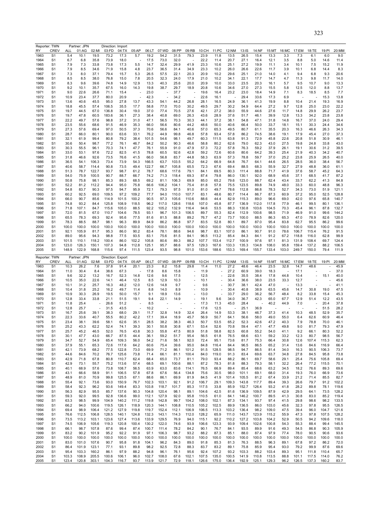| RY           | Reporter: TWN<br><b>CREV</b>     | ALL           | Partner: JPN<br>01:AG | 02:MI          | Direction: Import<br>03:FD | 04:TX          | 05:AP          | 06:LT          | 07:WD          | 08:PP          | 09:RB          | 10:CH          | 11:PC          | 12:NM          | 13:1S          | 14:NF          | 15:MT          | 16:MC                    | 17:EM          | 18:TE          | 19:PI          | 20:MM          |
|--------------|----------------------------------|---------------|-----------------------|----------------|----------------------------|----------------|----------------|----------------|----------------|----------------|----------------|----------------|----------------|----------------|----------------|----------------|----------------|--------------------------|----------------|----------------|----------------|----------------|
| 1963         | S <sub>1</sub>                   | 5.4           | 10.1                  | 19.5           | 73.2                       | 17.3           | 5.7            | 19.2           | 54.2           | 31.5           | 79.3           | 23.9           | 11.8           | 13.5           | 26.5           | 15.4           | 13.3           | 3.3                      | 7.3            | 6.1            | 6.0            | 9.0            |
| 1964         | S <sub>1</sub>                   | 6.7           | 6.8                   | 35.8           | 73.9                       | 18.0           |                | 17.5           | 73.0           | 32.0           |                | 22.2           | 11.4           | 20.7           | 27.1           | 16.4           | 12.1           | 3.5                      | 8.8            | 5.0            | 14.6           | 11.4           |
| 1965<br>1966 | S <sub>1</sub><br>S1             | 7.9<br>7.9    | 7.3<br>8.5            | 33.8<br>34.6   | 73.8<br>71.9               | 17.3<br>15.8   | 5.5<br>4.8     | 14.7<br>23.7   | 32.4<br>36.5   | 29.9<br>31.4   | 41.9<br>34.9   | 23.3<br>23.3   | 10.6<br>10.2   | 25.1<br>26.0   | 27.2<br>26.6   | 19.9<br>22.6   | 11.1<br>11.7   | 3.4<br>3.9               | 10.1<br>10.1   | 7.5<br>6.8     | 15.2<br>14.4   | 11.9<br>8.3    |
| 1967         | S <sub>1</sub>                   | 7.3           | 8.0                   | 37.1           | 79.4                       | 15.7           | 5.3            | 26.5           | 57.5           | 22.1           | 20.3           | 20.9           | 10.2           | 29.6           | 25.1           | 21.0           | 14.0           | 4.1                      | 9.4            | 6.8            | 9.3            | 20.6           |
| 1968         | S <sub>1</sub>                   | 8.5           | 8.5                   | 38.0           | 76.8                       | 15.0           | 7.8            | 20.5           | 32.3           | 24.0           | 17.9           | 21.0           | 10.2           | 34.1           | 22.1           | 17.7           | 14.7           | 4.7                      | 11.3           | 9.8            | 11.7           | 14.0           |
| 1969         | S <sub>1</sub>                   | 8.3           | 9.6                   | 39.6           | 74.8                       | 14.9           | 12.9           | 13.3           | 40.3           | 25.6           | 20.0           | 20.9           | 10.0           | 33.0           | 23.5           | 20.3           | 16.1           | 5.7                      | 9.5            | 10.7           | 9.0            | 13.3           |
| 1970<br>1971 | S <sub>1</sub><br>S <sub>1</sub> | 9.2<br>9.0    | 10.1<br>22.6          | 35.7<br>26.6   | 67.5<br>71.1               | 16.0<br>15.4   | 14.3           | 19.8<br>23.0   | 38.7           | 29.7<br>37.7   | 18.9           | 20.8<br>19.6   | 10.6<br>16.4   | 34.6<br>23.2   | 27.0<br>23.0   | 27.3<br>18.4   | 15.5<br>14.9   | 5.8<br>7.1               | 12.5<br>8.3    | 12.0<br>18.5   | 8.8<br>8.5     | 13.7<br>7.7    |
| 1972         | S <sub>1</sub>                   | 10.9          | 23.4                  | 37.7           | 80.0                       | 20.9           |                | 42.3           |                | 34.2           |                | 22.6           | 16.1           |                | 29.4           | 33.6           | 17.3           | 6.9                      |                |                | 15.3           | 13.8           |
| 1973         | S <sub>1</sub>                   | 13.6          | 40.6                  | 45.5           | 95.0                       | 27.8           | 13.7           | 43.3           | 54.1           | 44.2           | 26.8           | 28.1           | 16.5           | 24.9           | 36.1           | 41.3           | 19.9           | 8.8                      | 10.4           | 21.4           | 19.3           | 16.9           |
| 1974<br>1975 | S <sub>1</sub><br>S <sub>1</sub> | 18.8<br>19.7  | 45.5<br>44.5          | 57.4<br>67.0   | 106.5<br>136.8             | 35.5<br>30.4   | 17.7<br>19.0   | 58.8<br>37.0   | 77.0<br>77.4   | 70.0<br>70.5   | 30.2<br>27.6   | 49.5<br>42.1   | 29.7<br>27.2   | 30.2<br>38.0   | 54.9<br>55.9   | 64.4<br>44.6   | 27.2<br>27.6   | 9.7<br>11.7              | 12.8<br>14.8   | 25.0<br>29.9   | 23.0<br>26.2   | 22.2<br>23.7   |
| 1976         | S <sub>1</sub>                   | 19.7          | 47.8                  | 60.5           | 183.6                      | 36.1           | 27.3           | 38.4           | 40.8           | 69.0           | 26.3           | 43.6           | 28.9           | 37.6           | 51.7           | 46.1           | 39.9           | 12.8                     | 13.3           | 34.2           | 23.8           | 23.8           |
| 1977         | S <sub>1</sub>                   | 22.2          | 49.7                  | 57.6           | 98.8                       | 37.2           | 31.0           | 47.1           | 56.5           | 70.3           | 30.3           | 44.1           | 37.2           | 38.1           | 54.8           | 47.1           | 31.8           | 14.8                     | 16.7           | 37.0           | 24.0           | 29.4           |
| 1978         | S <sub>1</sub>                   | 23.5          | 55.6                  | 68.6           | 91.5                       | 46.9           | 35.3           | 66.0           | 56.6           | 80.6           | 44.2           | 48.6           | 50.0           | 40.6           | 66.4           | 50.0           | 33.7           | 18.1                     | 15.1           | 30.3           | 24.4           | 34.6           |
| 1979<br>1980 | S <sub>1</sub><br>S <sub>1</sub> | 27.3<br>28.7  | 57.6<br>66.0          | 69.4<br>80.1   | 97.0<br>90.0               | 50.5<br>63.6   | 37.3<br>33.1   | 70.6<br>76.2   | 56.6<br>44.9   | 84.1<br>99.8   | 40.6<br>46.8   | 57.0<br>57.8   | 65.3<br>93.4   | 49.5<br>57.8   | 80.7<br>86.2   | 61.1<br>74.5   | 35.5<br>38.6   | 20.3<br>19.1             | 16.3<br>17.9   | 46.6<br>45.4   | 26.3<br>27.0   | 34.3<br>37.3   |
| 1981         | S <sub>1</sub>                   | 32.1          | 61.9                  | 99.4           | 80.8                       | 79.2           | 38.4           | 101.5          | 54.6           | 98.1           | 49.7           | 60.3           | 111.5          | 63.8           | 91.3           | 72.9           | 45.8           | 22.6                     | 20.8           | 51.8           | 30.9           | 46.1           |
| 1982         | S <sub>1</sub>                   | 30.6          | 50.4                  | 98.7           | 77.2                       | 76.1           | 46.7           | 84.2           | 50.2           | 90.3           | 46.6           | 58.8           | 80.2           | 62.6           | 79.0           | 62.3           | 43.0           | 27.5                     | 19.8           | 24.8           | 33.8           | 43.0           |
| 1983<br>1984 | S <sub>1</sub><br>S <sub>1</sub> | 30.3<br>33.0  | 55.5<br>53.1          | 96.1<br>97.6   | 70.3<br>72.2               | 74.1<br>82.5   | 47.7<br>41.5   | 76.1<br>78.8   | 55.9<br>60.5   | 91.0<br>92.6   | 47.9<br>42.8   | 57.3<br>59.2   | 72.2<br>72.6   | 57.8<br>60.6   | 76.3<br>80.6   | 59.2<br>64.2   | 37.9<br>39.3   | 26.1<br>25.4             | 19.1<br>21.9   | 30.6<br>40.3   | 31.2<br>34.2   | 39.5<br>40.7   |
| 1985         | S <sub>1</sub>                   | 31.8          | 46.6                  | 92.6           | 73.5                       | 76.6           | 41.5           | 66.0           | 56.8           | 83.7           | 44.8           | 58.3           | 63.9           | 57.3           | 78.8           | 59.7           | 37.0           | 25.2                     | 23.8           | 25.9           | 26.5           | 40.0           |
| 1986         | S <sub>1</sub>                   | 36.5          | 54.1                  | 106.3          | 73.4                       | 73.9           | 54.3           | 166.5          | 63.7           | 103.5          | 55.2           | 64.2           | 66.9           | 64.8           | 76.7           | 64.1           | 44.6           | 26.5                     | 28.5           | 36.0           | 38.4           | 56.7           |
| 1987         | S <sub>1</sub>                   | 40.6          | 58.7                  | 114.4          | 90.8                       | 73.5           | 49.4           | 122.7          | 66.7           | 105.8          | 65.5           | 72.3           | 67.6           | 69.4           | 88.5           | 68.3           | 55.9           | 32.7                     | 27.9           | 48.8           | 36.0           | 61.1           |
| 1988<br>1989 | S1<br>S <sub>1</sub>             | 51.3<br>54.0  | 78.7<br>75.9          | 122.7<br>100.5 | 93.7<br>90.7               | 98.7<br>88.7   | 61.2<br>66.7   | 78.7<br>74.2   | 68.6<br>71.3   | 117.6<br>118.4 | 79.1<br>69.3   | 84.1<br>87.4   | 69.5<br>79.8   | 80.3<br>86.0   | 111.4<br>130.1 | 88.8<br>92.0   | 71.7<br>68.9   | 41.9<br>45.6             | 37.6<br>37.1   | 58.7<br>68.5   | 45.2<br>41.7   | 64.3<br>87.2   |
| 1990         | S <sub>1</sub>                   | 50.8          | 75.8                  | 98.1           | 85.3                       | 89.3           | 68.5           | 69.2           | 81.1           | 106.3          | 69.9           | 85.0           | 65.2           | 79.6           | 123.0          | 88.7           | 62.4           | 43.4                     | 33.7           | 62.2           | 41.3           | 84.8           |
| 1991         | S <sub>1</sub>                   | 52.2          | 81.2                  | 112.2          | 94.4                       | 95.0           | 75.8           | 66.6           | 106.2          | 104.1          | 75.4           | 81.8           | 57.8           | 75.5           | 123.5          | 89.8           | 74.9           | 48.0                     | 33.3           | 60.0           | 48.8           | 96.3           |
| 1992<br>1993 | S <sub>1</sub><br>S <sub>1</sub> | 54.8<br>60.2  | 83.7<br>92.5          | 90.3<br>69.0   | 97.5<br>109.5              | 94.7<br>97.2   | 95.9<br>109.2  | 72.1<br>77.7   | 79.3<br>94.0   | 97.5<br>110.0  | 91.0<br>107.7  | 81.0<br>83.1   | 49.7<br>48.6   | 78.6<br>80.7   | 112.8<br>114.4 | 86.8<br>86.7   | 78.3<br>87.3   | 52.7<br>60.9             | 34.3<br>37.2   | 73.0<br>95.0   | 51.9<br>52.5   | 121.1<br>128.8 |
| 1994         | S1                               | 66.0          | 90.7                  | 85.6           | 114.9                      | 101.5          | 100.2          | 90.5           | 97.3           | 105.6          | 110.6          | 88.6           | 44.4           | 82.9           | 115.3          | 89.0           | 96.6           | 69.0                     | 42.0           | 97.6           | 65.8           | 140.7          |
| 1995         | S <sub>1</sub>                   | 74.8          | 93.2                  | 84.4           | 125.8                      | 108.9          | 118.5          | 96.2           | 117.0          | 128.6          | 118.6          | 107.0          | 45.8           | 87.7           | 136.9          | 112.0          | 117.8          | 77.9                     | 46.1           | 99.5           | 80.1           | 136.1          |
| 1996         | S1                               | 71.8          | 107.1                 | 84.7           | 115.6                      | 105.0          | 88.5           | 92.2           | 105.2          | 132.9          | 116.4          | 94.6           | 53.5           | 88.3           | 130.8          | 103.6          | 104.5          | 70.3                     | 45.4           | 96.1           | 87.8           | 132.7          |
| 1997<br>1998 | S <sub>1</sub><br>S1             | 72.0<br>65.5  | 81.5<br>78.3          | 67.0<br>69.3   | 110.7<br>92.4              | 104.6<br>95.6  | 78.5<br>77.5   | 93.1<br>81.6   | 96.7<br>81.5   | 101.3<br>88.8  | 106.5<br>89.2  | 89.7<br>76.7   | 55.3<br>47.2   | 82.4<br>73.7   | 112.9<br>100.0 | 100.6<br>88.5  | 98.5<br>86.3   | 71.9<br>65.3             | 46.9<br>47.0   | 91.0<br>78.9   | 99.6<br>82.6   | 144.2<br>120.0 |
| 1999         | S <sub>1</sub>                   | 78.3          | 88.5                  | 88.7           | 98.1                       | 96.3           | 89.9           | 84.9           | 86.2           | 86.8           | 97.7           | 83.5           | 52.8           | 80.1           | 89.7           | 87.0           | 95.4           | 83.8                     | 62.7           | 95.5           | 86.2           | 99.6           |
| 2000         | S <sub>1</sub>                   | 100.0         | 100.0                 | 100.0          | 100.0                      | 100.0          | 100.0          | 100.0          | 100.0          | 100.0          | 100.0          | 100.0          | 100.0          | 100.0          | 100.0          | 100.0          | 100.0          | 100.0                    | 100.0          | 100.0          | 100.0          | 100.0          |
| 2001<br>2002 | S <sub>1</sub><br>S1             | 92.1<br>89.0  | 105.9<br>95.6         | 81.7<br>94.3   | 95.3<br>98.8               | 86.0<br>77.5   | 90.2<br>93.5   | 83.4<br>83.1   | 78.1<br>75.6   | 88.6<br>81.5   | 94.6<br>84.1   | 98.7<br>96.5   | 83.1<br>113.2  | 107.0<br>85.4  | 86.1<br>84.3   | 90.7<br>84.1   | 91.0<br>91.2   | 78.6<br>67.2             | 106.7<br>118.8 | 115.4<br>116.0 | 76.2<br>62.8   | 91.5<br>99.9   |
| 2003         | S <sub>1</sub>                   | 101.5         | 110.1                 | 118.2          | 100.4                      | 86.0           | 102.2          | 105.8          | 80.6           | 89.3           | 88.2           | 107.7          | 153.4          | 112.7          | 100.9          | 97.6           | 97.1           | 81.3                     | 131.9          | 108.4          | 69.7           | 124.4          |
| 2004         | S <sub>1</sub>                   | 123.0         | 126.3                 | 150.1          | 107.3                      | 94.8           | 112.8          | 125.1          | 95.7           | 88.6           | 97.5           | 129.3          | 167.6          | 133.3          | 135.3          | 134.8          | 108.0          | 95.8                     | 159.4          | 137.2          | 88.2           | 106.5          |
| 2005         | S1                               | 148.9         | 122.9                 | 168.8          | 115.6                      | 97.4           | 111.5          | 123.4          | 93.5           | 98.8           | 101.0          | 153.6          | 188.6          | 153.3          | 169.4          | 155.7          | 133.4          | 103.0                    | 249.7          | 150.0          | 79.4           | 111.9          |
|              |                                  |               |                       |                |                            |                |                |                |                |                |                |                |                |                |                |                |                |                          |                |                |                |                |
| RY           | Reporter: TWN<br><b>CREV</b>     | ALL           | Partner: JPN<br>01:AG | 02:MI          | Direction: Export<br>03:FD | 04:TX          | 05:AP          | 06:LT          | 07:WD          | 08:PP          | 09:RB          | 10:CH          | 11:PC          | 12:NM          | 13:1S          | 14:NF          | 15:MT          | 16:MC                    | 17:EM          | 18:TE          | 19:PI          | 20:MM          |
| 1963         | S <sub>1</sub>                   | 10.3          | 26.2                  | 7.6            | 37.8                       | 91.4           | 20.1           | 23.3           | 8.2            | 15.8           | 29.8           | 11.4           | 11.0           | 27.2           | 48.6           | 46.4           | 23.5           | 32.8                     | 14.7           | 48.6           |                | 45.9           |
| 1964         | S <sub>1</sub><br>S <sub>1</sub> | 11.0          | 30.4                  | 8.4            | 38.6                       | 67.3           |                | 17.8           | 8.6            | 15.8           |                | 11.9           |                | 27.2<br>22.6   | 60.9           | 39.0           | 18.3           | $\overline{\phantom{a}}$ | 17.1           |                |                | 37.0           |
| 1965<br>1966 | S1                               | 9.6<br>10.5   | 32.2<br>35.0          | 13.2<br>22.6   | 16.7<br>14.1               | 52.3<br>46.4   | 14.8<br>12.5   | 12.6<br>8.5    | 9.6<br>12.9    | 17.5<br>10.3   |                | 12.5<br>10.1   |                | 30.4           | 35.5<br>36.6   | 38.4<br>38.0   | 17.8<br>23.5   | 44.8<br>33.3             | 10.4<br>12.7   |                | 15.1           | 40.0<br>45.6   |
| 1967         | S <sub>1</sub>                   | 10.1          | 31.2                  | 25.7           | 16.3                       | 48.2           | 12.0           | 12.6           | 14.8           | 9.7            |                | 9.6            |                | 30.7           | 38.1           | 42.4           | 47.0           |                          | 13.3           |                |                | 41.1           |
| 1968         | S <sub>1</sub>                   | 10.4          | 31.8                  | 25.2           | 16.2                       | 49.7           | 11.4           | 8.8            | 14.0           | 8.9            |                | 10.9           |                | 30.4           | 40.8           | 38.9           | 63.5           | 45.6                     | 14.7           | 30.8           | 19.0           | 47.5           |
| 1969<br>1970 | S <sub>1</sub><br>S1             | 10.9<br>12.8  | 30.3<br>33.4          | 26.9<br>33.8   | 19.5<br>21.1               | 50.0<br>51.5   | 15.7<br>19.1   | 9.1<br>9.4     | 18.9<br>22.1   | 13.6<br>14.9   |                | 13.0<br>19.1   | 9.6            | 33.7<br>34.0   | 29.0<br>36.7   | 36.2<br>42.3   | 56.7<br>65.0   | 48.4<br>67.7             | 8.2<br>12.9    | 33.8<br>51.4   | 15.4<br>12.2   | 45.3<br>43.5   |
| 1971         | S <sub>1</sub>                   | 11.8          | 25.4                  |                | 26.6                       | 51.2           |                | 8.5            |                |                |                | 17.3           | 11.3           | 45.0           | 28.4           |                | 40.2           | 44.9                     | 7.0            |                | 20.4           | 37.8           |
| 1972         | S <sub>1</sub>                   | 12.8          | 25.7                  |                | 31.5                       | 43.5           |                | 10.2           |                |                |                | 17.6           | 12.5           |                | 25.1           | 36.9           |                |                          |                |                | 51.5           | 28.2           |
| 1973<br>1974 | S <sub>1</sub><br>S1             | 16.7<br>22.3  | 25.6<br>33.6          | 39.1<br>40.7   | 38.3<br>55.5               | 68.0<br>80.2   | 29.1<br>42.2   | 11.7<br>17.1   | 32.8<br>39.4   | 14.9<br>18.9   | 32.4<br>45.7   | 26.4<br>56.9   | 14.9<br>50.7   | 53.3<br>64.1   | 38.1<br>56.6   | 46.7<br>58.0   | 37.3<br>49.0   | 41.4<br>55.0             | 10.3<br>6.4    | 48.5<br>62.6   | 52.9<br>60.9   | 35.7<br>46.4   |
| 1975         | S1                               | 23.4          | 38.1                  | 39.6           | 58.1                       | 62.6           | 35.1           | 28.5           | 38.2           | 38.3           | 46.3           | 50.7           | 53.5           | 65.2           | 52.3           | 42.6           | 47.2           | 40.3                     | 7.9            | 78.8           | 70.0           | 46.1           |
| 1976         | S <sub>1</sub>                   | 25.2          | 43.3                  | 62.2           | 52.4                       | 74.1           | 39.3           | 30.1           | 50.8           | 30.8           | 67.1           | 53.4           | 52.6           | 70.8           | 59.4           | 47.1           | 47.7           | 49.8                     | 9.0            | 81.7           | 79.3           | 47.9           |
| 1977<br>1978 | S <sub>1</sub><br>S <sub>1</sub> | 25.7<br>30.1  | 45.2<br>47.7          | 46.5<br>43.0   | 52.0<br>66.7               | 76.5<br>87.5   | 43.8<br>44.4   | 30.3<br>36.1   | 55.8<br>59.2   | 47.5<br>51.7   | 80.9<br>95.4   | 51.8<br>56.5   | 58.8<br>61.8   | 82.5<br>76.5   | 60.8<br>68.6   | 55.2<br>63.1   | 54.0<br>59.2   | 41.1<br>33.2             | 9.2<br>12.3    | 66.1<br>80.7   | 80.3<br>98.5   | 52.2<br>56.7   |
| 1979         | S <sub>1</sub>                   | 34.7          | 52.7                  | 54.9           | 65.4                       | 109.3          | 56.0           | 54.2           | 71.6           | 58.1           | 92.0           | 72.4           | 95.1           | 73.6           | 81.7           | 75.3           | 66.4           | 30.8                     | 12.6           | 107.4          | 115.3          | 62.3           |
| 1980         | S <sub>1</sub>                   | 37.9          | 55.1                  | 65.3           | 72.6                       | 117.6          | 64.2           | 60.6           | 75.4           | 39.6           | 95.0           | 84.8           | 116.4          | 84.4           | 96.5           | 86.5           | 65.2           | 31.4                     | 13.6           | 84.6           | 116.9          | 66.4           |
| 1981<br>1982 | S <sub>1</sub><br>S <sub>1</sub> | 42.1<br>44.6  | 73.9<br>84.6          | 68.2<br>70.2   | 77.5<br>76.7               | 122.8<br>125.6 | 73.0<br>73.8   | 69.9<br>71.4   | 71.2<br>66.1   | 86.1<br>81.1   | 101.2<br>100.4 | 91.5<br>84.0   | 128.5<br>119.0 | 98.5<br>91.3   | 94.7<br>83.4   | 86.5<br>69.6   | 81.4<br>63.7   | 34.0<br>34.8             | 16.3<br>27.8   | 90.5<br>84.5   | 106.3<br>95.8  | 73.7<br>73.8   |
| 1983         | S <sub>1</sub>                   | 42.9          | 71.8                  | 67.8           | 80.8                       | 110.7          | 62.4           | 68.4           | 65.0           | 73.7           | 81.1           | 79.0           | 93.4           | 88.2           | 86.1           | 69.7           | 58.6           | 29.1                     | 25.4           | 75.6           | 105.8          | 69.4           |
| 1984         | S <sub>1</sub>                   | 42.9          | 73.1                  | 55.7           | 75.2                       | 113.6          | 57.4           | 68.5           | 69.1           | 100.6          | 88.1           | 87.2           | 78.3           | 81.8           | 88.3           | 79.3           | 58.1           | 32.2                     | 26.4           | 77.2           | 115.5          | 70.1           |
| 1985         | S <sub>1</sub>                   | 40.1          | 68.9                  | 57.6           | 73.8                       | 108.7          | 56.5           | 63.9           | 63.0           | 83.6           | 114.1          | 76.5           | 66.9           | 89.4           | 85.4           | 68.6           | 63.2           | 34.5                     | 18.2           | 76.6           | 89.3           | 69.6           |
| 1986<br>1987 | S <sub>1</sub><br>S <sub>1</sub> | 43.1<br>48.9  | 66.6<br>81.0          | 58.9<br>70.9   | 91.1<br>99.8               | 106.5<br>125.5 | 57.8<br>67.1   | 67.8<br>88.6   | 67.6<br>86.1   | 56.4<br>69.9   | 134.8<br>81.9  | 75.6<br>84.5   | 30.5<br>41.9   | 98.0<br>101.4  | 101.1<br>105.5 | 69.1<br>81.2   | 68.0<br>67.4   | 31.4<br>33.9             | 19.3<br>21.2   | 76.0<br>71.4   | 66.9<br>85.5   | 73.6<br>82.7   |
| 1988         | S <sub>1</sub>                   | 55.4          | 92.1                  | 73.6           | 93.0                       | 150.9          | 76.7           | 102.3          | 103.1          | 92.1           | 91.2           | 106.7          | 29.1           | 109.3          | 143.8          | 117.7          | 89.4           | 39.3                     | 26.6           | 79.7           | 91.2           | 102.2          |
| 1989         | S <sub>1</sub>                   | 58.4          | 92.3                  | 96.2           | 93.6                       | 149.4          | 83.3           | 103.8          | 118.7          | 101.7          | 85.3           | 117.5          | 33.8           | 85.9           | 152.7          | 126.4          | 93.2           | 41.8                     | 28.2           | 89.8           | 78.1           | 119.6          |
| 1990<br>1991 | S1<br>S <sub>1</sub>             | 56.3<br>59.3  | 82.9<br>92.0          | 95.5<br>99.5   | 85.7<br>92.8               | 137.6<br>136.6 | 90.3<br>99.0   | 104.8<br>112.1 | 120.4<br>127.9 | 98.1<br>92.0   | 89.1<br>95.8   | 104.6<br>110.5 | 42.5<br>61.0   | 81.6<br>84.1   | 136.9<br>146.2 | 109.5<br>100.7 | 87.9<br>89.5   | 42.9<br>41.3             | 29.5<br>30.8   | 64.1<br>83.0   | 73.5<br>85.2   | 128.2<br>119.4 |
| 1992         | S1                               | 63.3          | 98.5                  | 99.9           | 104.9                      | 140.2          | 111.2          | 119.8          | 142.8          | 99.7           | 104.2          | 108.0          | 102.1          | 87.3           | 134.1          | 93.7           | 97.4           | 41.5                     | 29.8           | 98.6           | 98.2           | 133.5          |
| 1993         | S <sub>1</sub>                   | 66.2          | 94.0                  | 100.6          | 119.5                      | 126.1          | 118.9          | 120.3          | 144.1          | 108.8          | 110.5          | 105.2          | 102.5          | 89.9           | 136.5          | 86.0           | 103.0          | 45.6                     | 32.3           | 97.8           | 95.5           | 126.5          |
| 1994<br>1995 | S1<br>S <sub>1</sub>             | 69.4<br>76.6  | 98.9<br>112.5         | 106.4<br>106.8 | 121.2<br>128.5             | 127.9<br>140.1 | 119.8<br>124.8 | 119.7<br>132.3 | 152.4<br>143.1 | 112.1<br>114.3 | 106.9<br>112.0 | 106.5<br>128.2 | 113.3<br>65.9  | 103.2<br>111.0 | 136.4<br>143.7 | 98.2<br>123.9  | 109.0<br>115.2 | 47.5<br>55.9             | 39.4<br>47.3   | 96.0<br>97.8   | 104.7<br>107.5 | 121.6<br>128.2 |
| 1996         | S1                               | 73.5          | 113.2                 | 103.1          | 123.6                      | 127.4          | 113.6          | 133.9          | 129.5          | 76.9           | 94.0           | 115.1          | 92.2           | 110.2          | 127.2          | 103.8          | 104.2          | 52.9                     | 50.5           | 94.2           | 109.6          | 118.0          |
| 1997         | S1                               | 74.5          | 106.9                 | 105.6          | 119.3                      | 120.8          | 100.4          | 130.2          | 122.0          | 74.6           | 93.9           | 106.6          | 123.3          | 93.9           | 109.4          | 102.6          | 100.8          | 54.3                     | 55.3           | 88.4           | 99.4           | 145.5          |
| 1998         | S1<br>S <sub>1</sub>             | 66.1<br>83.2  | 98.7<br>90.2          | 107.8<br>101.9 | 87.6<br>95.2               | 99.4<br>92.2   | 87.4<br>91.9   | 100.7<br>97.1  | 111.4<br>106.3 | 78.2<br>98.7   | 84.2<br>93.2   | 90.1<br>88.2   | 76.7<br>87.3   | 84.1<br>85.1   | 93.5<br>88.0   | 89.9<br>87.4   | 91.6<br>97.9   | 49.3                     | 54.5<br>78.0   | 86.8<br>90.5   | 90.3<br>90.6   | 105.9<br>93.6  |
| 1999<br>2000 | S <sub>1</sub>                   | 100.0         | 100.0                 | 100.0          | 100.0                      | 100.0          | 100.0          | 100.0          | 100.0          | 100.0          | 100.0          | 100.0          | 100.0          | 100.0          | 100.0          | 100.0          | 100.0          | 77.4<br>100.0            | 100.0          | 100.0          | 100.0          | 100.0          |
| 2001         | S <sub>1</sub>                   | 83.0          | 101.0                 | 107.6          | 90.7                       | 95.8           | 91.8           | 104.1          | 96.2           | 84.3           | 89.0           | 91.8           | 85.3           | 81.3           | 76.3           | 88.5           | 96.3           | 89.1                     | 67.8           | 97.2           | 86.2           | 72.0           |
| 2002         | S1                               | 86.4          | 101.9                 | 123.1          | 77.1                       | 93.1           | 89.8           | 98.2           | 92.5           | 72.8           | 88.3           | 83.7           | 83.2           | 89.1           | 75.8           | 85.9           | 95.4           | 93.0                     | 79.2           | 99.9           | 87.6           | 69.6           |
| 2003<br>2004 | S1<br>S <sub>1</sub>             | 95.4<br>103.3 | 103.3<br>108.9        | 160.2<br>205.5 | 86.1<br>100.6              | 97.9<br>106.1  | 88.2<br>96.0   | 94.8<br>102.7  | 96.1<br>108.0  | 76.1<br>67.6   | 95.6<br>102.1  | 92.4<br>107.5  | 107.2<br>135.0 | 93.2<br>100.5  | 103.3<br>141.9 | 88.2<br>110.8  | 103.4<br>113.5 | 89.3<br>88.8             | 95.1<br>101.1  | 111.8<br>117.5 | 110.4<br>114.0 | 65.7<br>76.2   |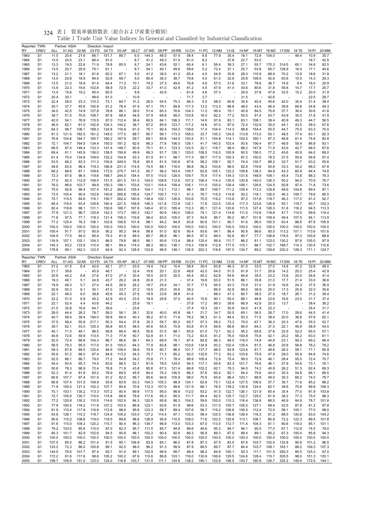| Reporter: TWN | <b>CREV</b>                      |                | Partner: ASIA  |                | Direction: Import |                |                |                | 07:WD          | 08:PP          |                |                |                |                |                  |                |                |                | 16:MC 17:EM    |                |                |                |
|---------------|----------------------------------|----------------|----------------|----------------|-------------------|----------------|----------------|----------------|----------------|----------------|----------------|----------------|----------------|----------------|------------------|----------------|----------------|----------------|----------------|----------------|----------------|----------------|
| RY<br>1963    | S <sub>1</sub>                   | ALL<br>11.5    | 01:AG<br>20.6  | 02:MI<br>21.6  | 03:FD<br>66.1     | 04:TX<br>151.7 | 05:AP<br>89.7  | 06:LT<br>6.0   | 144.3          | 48.5           | 09:RB<br>57.4  | 10:CH<br>58.4  | 11:PC<br>8.8   | 12:NM<br>77.9  | $13:$ IS<br>35.4 | 14:NF<br>18.1  | 15:MT<br>72.8  | 154.0          |                | 18:TE<br>48.4  | 19:PI<br>10.9  | 20:MM<br>35.7  |
| 1964          | S1                               | 13.5           | 20.5           | 23.1           | 66.4              | 91.0           |                | 8.7            | 41.2           | 49.3           | 51.5           | 61.0           | 8.2            |                | 37.8             | 22.7           | 53.0           |                |                |                | 16.7           | 42.5           |
| 1965          | S <sub>1</sub>                   | 13.3           | 19.5           | 22.6           | 71.9              | 78.8           | 85.5           | 8.7            | 24.1           | 43.6           | 52.1           | 60.4           | 8.1            | 59.4           | 39.3             | 27.1           | 55.7           | 170.3          | 314.5          | 65.1           | 34.6           | 82.5           |
| 1966          | S1                               | 13.5           | 20.7           | 20.9           | 75.1              | 61.1           |                | 8.7            | 54.1           | 40.1           | 49.6           | 59.6           | 5.2            | 72.4           | 37.1             | 25.7           | 53.8           | 65.7           | 128.9          | 16.0           | 17.1           | 40.6           |
| 1967          | S1<br>S1                         | 13.2           | 21.1<br>20.8   | 18.1<br>18.9   | 91.6<br>94.4      | 62.2<br>52.6   | 67.1<br>58.7   | 5.0<br>9.0     | 41.2<br>85.4   | 38.5<br>36.3   | 41.2<br>38.7   | 65.4<br>79.8   | 4.5            | 54.9<br>61.0   | 35.8<br>32.6     | 28.3<br>25.8   | 115.9<br>109.5 | 68.9<br>42.6   | 70.2<br>63.6   | 13.9<br>10.5   | 18.6<br>14.3   | 31.9<br>29.3   |
| 1968<br>1969  | S <sub>1</sub>                   | 13.0<br>13.5   | 21.0           | 18.9           | 91.4              | 64.4           | 71.3           | 10.1           | 74.2           | 37.3           | 49.6           | 76.8           | 4.0<br>4.6     | 57.0           | 31.6             | 33.1           | 78.6           | 36.7           | 74.9           | 9.4            | 16.0           | 20.9           |
| 1970          | S <sub>1</sub>                   | 13.9           | 22.3           | 19.6           | 102.8             | 58.9           | 72.9           | 22.2           | 33.7           | 41.0           | 42.9           | 81.2           | 4.5            | 47.9           | 41.4             | 30.6           | 80.6           | 31.8           | 59.8           | 14.7           | 17.7           | 25.7           |
| 1971          | S <sub>1</sub>                   | 13.4           | 15.6           | 19.2           | 95.4              | 65.5           |                | 8.9            |                | 42.9           |                | 61.8           | 4.6            | 57.3           |                  | 29.9           | 37.8           | 47.6           | 33.5           | 15.2           | 20.5           | 31.9           |
| 1972          | S1                               | 20.4           | 30.1           |                | 98.6              | 61.0           |                | 10.9           |                |                |                | 71.7           | 3.7            |                |                  | 31.5           |                | 42.6           |                |                | 22.5           | 28.7           |
| 1973          | S1                               | 22.4           | 28.0           | 23.3           | 110.3             | 73.1           | 84.7           | 31.2           | 26.5           | 54.5           | 75.3           | 88.3           | 5.5            | 58.5           | 60.8             | 30.4           | 40.4           | 45.6           | 42.0           | 30.4           | 21.4           | 38.4           |
| 1974          | S <sub>1</sub>                   | 30.7           | 37.7           | 45.6           | 150.9             | 91.2           | 76.4           | 47.4           | 47.1           | 79.1           | 99.8           | 117.3          | 13.2           | 113.3          | 98.8             | 48.0           | 43.4           | 46.4           | 39.8           | 69.6           | 24.8           | 49.3           |
| 1975<br>1976  | S <sub>1</sub><br>S1             | 34.0<br>39.7   | 42.5<br>51.5   | 74.9<br>70.6   | 127.8<br>108.7    | 78.8<br>87.8   | 86.1<br>88.4   | 39.0<br>44.9   | 51.4<br>57.9   | 65.3<br>68.8   | 76.6<br>99.0   | 104.3<br>103.8 | 11.0<br>16.0   | 99.4<br>82.2   | 79.1<br>77.2     | 45.8<br>50.0   | 84.5<br>91.4   | 75.6<br>53.7   | 57.7<br>43.9   | 36.4<br>35.0   | 30.6<br>31.8   | 41.8<br>41.9   |
| 1977          | S1                               | 42.0           | 54.1           | 76.9           | 115.5             | 87.0           | 112.4          | 36.4           | 60.5           | 84.1           | 106.3          | 111.1          | 14.6           | 87.9           | 83.1             | 63.1           | 108.1          | 39.4           | 40.9           | 49.3           | 44.7           | 56.5           |
| 1978          | S <sub>1</sub>                   | 46.5           | 62.1           | 81.0           | 142.9             | 104.3          | 144.2          | 38.7           | 67.2           | 85.9           | 123.7          | 117.2          | 14.6           | 97.0           | 97.0             | 72.4           | 132.9          | 35.0           | 44.1           | 43.5           | 58.0           | 67.6           |
| 1979          | S <sub>1</sub>                   | 64.3           | 99.7           | 106.1          | 168.3             | 124.8          | 116.9          | 61.0           | 75.1           | 90.4           | 154.0          | 139.6          | 17.4           | 104.4          | 114.3            | 88.8           | 154.4          | 55.5           | 44.7           | 75.5           | 63.3           | 70.0           |
| 1980          | S1                               | 81.3           | 121.5          | 182.5          | 181.2             | 145.0          | 177.0          | 68.7           | 80.7           | 99.1           | 173.3          | 165.0          | 33.7           | 135.3          | 124.0            | 113.8          | 173.0          | 93.1           | 48.5           | 77.4           | 63.1           | 82.3           |
| 1981          | S <sub>1</sub>                   | 76.9           | 104.6<br>104.7 | 184.7          | 165.7<br>134.4    | 160.2<br>150.0 | 187.9          | 59.7           | 69.1           | 85.8           | 144.5<br>106.5 | 153.5          | 51.1           | 154.8          | 114.1<br>103.4   | 102.5<br>93.6  | 160.1<br>156.4 | 87.3           | 46.8           | 61.4           | 74.8           | 82.8           |
| 1982<br>1983  | S <sub>1</sub><br>S <sub>1</sub> | 72.1<br>68.5   | 97.4           | 164.5<br>148.4 | 133.3             | 147.4          | 191.2<br>148.7 | 62.6<br>60.9   | 66.3<br>70.1   | 77.8<br>81.1   | 123.3          | 126.1<br>122.5 | 41.7<br>32.1   | 140.5<br>118.7 | 98.4             | 88.2           | 147.9          | 87.7<br>71.5   | 46.9<br>43.9   | 55.4<br>42.7   | 86.8<br>68.5   | 83.1<br>67.6   |
| 1984          | S1                               | 69.4           | 91.1           | 145.9          | 136.0             | 158.5          | 156.8          | 49.9           | 69.3           | 91.7           | 126.1          | 120.0          | 108.0          | 116.0          | 100.9            | 90.5           | 156.0          | 77.2           | 45.6           | 45.9           | 64.0           | 69.0           |
| 1985          | S <sub>1</sub>                   | 61.4           | 75.4           | 134.8          | 109.6             | 152.2          | 154.8          | 53.3           | 61.9           | 81.1           | 98.7           | 117.3          | 99.7           | 117.5          | 100.3            | 87.2           | 150.0          | 78.5           | 37.5           | 55.6           | 56.8           | 57.4           |
| 1986          | S <sub>1</sub>                   | 53.5           | 68.2           | 83.3           | 111.3             | 150.6          | 249.5          | 76.8           | 65.5           | 81.5           | 100.6          | 87.6           | 58.2           | 109.1          | 92.7             | 74.4           | 130.7          | 88.2           | 32.7           | 51.7           | 63.2           | 55.6           |
| 1987          | S <sub>1</sub>                   | 59.6           | 83.5           | 96.4           | 119.3             | 166.8          | 231.0          | 114.5          | 74.5           | 88.1           | 116.0          | 96.8           | 56.2           | 103.6          | 98.0             | 82.6           | 118.8          | 93.6           | 33.3           | 54.2           | 68.0           | 67.8           |
| 1988          | S1                               | 68.2           | 88.6<br>87.6   | 87.1<br>96.5   | 109.6<br>119.6    | 173.0<br>168.7 | 275.7          | 141.5<br>154.4 | 85.7<br>97.5   | 96.2           | 163.4          | 109.7          | 62.6<br>75.4   | 105.1<br>117.4 | 122.2<br>134.3   | 109.8<br>131.6 | 136.3<br>148.9 | 94.9           | 43.3           | 60.9<br>73.8   | 84.4<br>88.3   | 74.8           |
| 1989<br>1990  | S <sub>1</sub><br>S <sub>1</sub> | 72.3<br>77.0   | 82.3           | 112.9          | 109.5             | 151.5          | 244.5<br>201.5 | 151.0          | 104.0          | 110.0<br>108.8 | 128.5<br>112.6 | 109.7<br>107.2 | 106.4          | 114.3          | 130.5            | 120.8          | 140.0          | 108.1<br>126.3 | 45.4<br>50.2   | 94.0           | 70.9           | 76.3<br>76.7   |
| 1991          | S <sub>1</sub>                   | 76.0           | 86.6           | 103.7          | 99.9              | 150.3          | 199.1          | 153.6          | 103.1          | 104.4          | 109.4          | 105.1          | 111.0          | 105.0          | 128.4            | 106.1          | 126.6          | 124.5          | 50.8           | 97.4           | 71.8           | 73.6           |
| 1992          | S1                               | 75.5           | 92.8           | 96.4           | 107.4             | 161.2          | 260.0          | 155.4          | 104.1          | 112.1          | 112.1          | 98.1           | 98.7           | 109.7          | 111.2            | 105.4          | 113.2          | 129.8          | 48.9           | 104.6          | 89.4           | 87.1           |
| 1993          | S <sub>1</sub>                   | 73.5           | 105.4          | 90.4           | 102.6             | 140.6          | 285.8          | 155.6          | 124.7          | 100.7          | 112.1          | 91.3           | 76.7           | 115.0          | 114.8            | 93.2           | 118.1          | 126.0          | 46.3           | 109.7          | 79.8           | 85.5           |
| 1994          | S1                               | 75.7           | 115.5          | 84.6           | 116.1             | 150.7          | 262.4          | 160.9          | 138.4          | 102.1          | 126.6          | 103.6          | 70.5           | 119.2          | 115.6            | 97.2           | 131.6          | 118.7          | 46.3           | 117.0          | 81.2           | 92.7           |
| 1995          | S <sub>1</sub>                   | 85.4           | 116.4          | 93.4           | 129.6             | 160.4          | 221.5          | 159.8          | 146.3          | 121.8          | 172.8          | 132.1          | 71.6           | 123.5          | 125.4            | 117.3          | 123.6          | 126.6          | 55.1           | 119.7          | 90.7           | 102.3          |
| 1996          | S1                               | 82.4<br>77.9   | 119.8<br>121.3 | 98.1<br>96.7   | 131.1<br>125.8    | 150.6<br>142.3 | 188.7<br>173.7 | 167.6<br>160.3 | 149.4<br>142.7 | 97.0<br>90.6   | 165.4<br>140.0 | 112.3<br>106.0 | 80.1<br>74.1   | 127.4<br>121.4 | 120.6<br>114.8   | 111.5<br>111.0 | 127.4<br>110.8 | 126.3<br>118.8 | 51.8<br>47.7   | 116.2<br>114.5 | 94.5<br>99.6   | 113.3<br>119.4 |
| 1997<br>1998  | S1<br>S1                         | 71.6           | 97.5           | 77.1           | 118.3             | 121.4          | 156.3          | 119.8          | 99.4           | 83.0           | 105.0          | 87.3           | 54.6           | 99.7           | 95.2             | 95.7           | 101.8          | 109.4          | 49.4           | 107.5          | 94.1           | 113.9          |
| 1999          | S <sub>1</sub>                   | 77.2           | 125.4          | 76.3           | 106.1             | 102.8          | 106.6          | 101.8          | 98.1           | 84.2           | 94.8           | 83.8           | 60.6           | 101.1          | 90.7             | 91.6           | 96.0           | 100.5          | 63.4           | 86.6           | 87.9           | 105.9          |
| 2000          | S1                               | 100.0          | 100.0          | 100.0          | 100.0             | 100.0          | 100.0          | 100.0          | 100.0          | 100.0          | 100.0          | 100.0          | 100.0          | 100.0          | 100.0            | 100.0          | 100.0          | 100.0          | 100.0          | 100.0          | 100.0          | 100.0          |
| 2001          | S <sub>1</sub>                   | 100.4          | 91.7           | 97.0           | 95.9              | 90.2           | 95.3           | 94.6           | 88.8           | 91.0           | 92.6           | 90.4           | 93.6           | 94.1           | 86.4             | 90.8           | 86.6           | 85.5           | 113.2          | 101.1          | 113.6          | 101.6          |
| 2002          | S <sub>1</sub>                   | 104.9          | 77.5           | 94.0           | 95.4              | 79.3           | 81.9           | 89.5           | 85.7           | 86.9           | 96.1           | 86.5           | 87.3           | 89.0           | 92.8             | 80.7           | 77.7           | 106.6          | 118.5          | 97.0           | 100.8          | 88.8           |
| 2003          | S <sub>1</sub>                   | 116.9          | 107.1<br>93.2  | 102.1          | 104.3             | 86.5           | 79.8           | 98.5           | 86.1           | 90.6           | 113.4          | 98.4           | 125.4          | 89.9           | 111.7            | 86.2           | 81.1           | 123.0          | 130.2          | 97.6           | 105.0          | 97.9           |
| 2004          | S <sub>1</sub><br>S <sub>1</sub> | 145.3<br>178.8 | 99.1           | 133.9<br>162.3 | 110.4<br>123.5    | 88.1<br>94.9   | 89.4<br>92.4   | 114.0<br>128.9 | 98.3<br>103.8  | 96.0<br>98.9   | 136.1<br>148.1 | 119.3<br>135.9 | 159.9<br>202.3 | 112.8<br>118.6 | 177.5<br>197.5   | 115.1<br>134.7 | 86.7<br>89.2   | 132.7<br>129.6 | 168.7<br>230.2 | 114.3<br>128.3 | 130.4<br>171.1 | 115.6<br>124.7 |
|               |                                  |                |                |                |                   |                |                |                |                |                |                |                |                |                |                  |                |                |                |                |                |                |                |
| 2005          |                                  |                |                |                |                   |                |                |                |                |                |                |                |                |                |                  |                |                |                |                |                |                |                |
| Reporter: TWN |                                  |                | Partner: ASIA  |                | Direction: Export |                |                |                |                |                |                |                |                |                |                  |                |                |                |                |                |                |                |
| RY            | <b>CREV</b>                      | ALL            | 01:AG          | 02:MI          | 03:FD             | 04:TX          | 05:AP          | 06:LT          | 07:WD          | 08:PP          | 09:RB          | 10:CH          | 11:PC          | 12:NM          | 13:IS            | 14:NF          | 15:MT          | 16:MC          | 17:EM          | 18:TE          | 19:PI          | 20:MM          |
| 1963<br>1964  | S <sub>1</sub><br>S <sub>1</sub> | 21.2<br>21.7   | 41.5<br>39.6   | 6.4            | 42.6<br>45.9      | 42.1<br>48.7   | 27.1           | 23.5<br>32.4   | 19.4<br>19.6   | 19.2<br>20.1   | 10.4<br>22.6   | 58.4<br>48.6   | 39.4<br>42.0   | 63.8<br>64.0   | 46.3<br>51.5     | 81.5<br>81.9   | 33.5<br>31.7   | 27.0<br>25.6   | 14.8<br>14.2   | 47.2<br>20.2   | 32.8<br>25.4   | 48.0<br>42.9   |
| 1965          | S <sub>1</sub>                   | 20.6           | 44.2           | 6.8            | 27.6              | 47.0           | 27.4           | 30.4           | 18.5           | 20.5           | 20.5           | 45.4           | 45.2           | 62.8           | 54.6             | 84.8           | 35.5           | 23.2           | 15.8           | 20.4           | 26.8           | 41.4           |
| 1966          | S1                               | 19.3           | 49.1           | 5.1            | 24.9              | 43.7           | 26.2           | 24.8           | 20.8           | 21.3           |                | 37.4           | 19.8           | 63.0           | 51.5             | 86.1           | 35.8           | 21.0           | 17.7           | 21.4           | 33.0           | 36.6           |
| 1967          | S <sub>1</sub>                   | 19.9           | 49.3           | 5.7            | 27.4              | 44.5           | 26.9           | 26.2           | 18.7           | 25.4           | 34.1           | 37.7           | 17.5           | 84.5           | 43.3             | 70.9           | 31.0           | 21.9           | 16.6           | 24.3           | 37.5           | 36.9           |
| 1968          | S <sub>1</sub>                   | 20.9           | 50.3           | 6.1            | 30.1              | 47.0           | 33.7           | 27.2           | 19.5           | 25.0           | 35.6           | 39.2           |                | 86.5           | 42.8             | 69.0           | 38.9           | 25.0           | 17.3           | 25.9           | 32.3           | 35.6           |
| 1969          | S <sub>1</sub>                   | 22.1           | 46.5           | 6.0            | 38.8              | 45.6           | 45.3           | 27.6           | 18.9           | 23.6           | 38.8           | 41.6           |                | 88.0           | 47.3             | 80.7           | 38.5           | 27.5           | 18.7           | 26.1           | 31.2           | 36.4           |
| 1970<br>1971  | S1<br>S <sub>1</sub>             | 22.2<br>22.1   | 51.0<br>52.4   | 6.9<br>4.4     | 45.2<br>43.6      | 42.9<br>44.2   | 45.4           | 23.5<br>25.9   | 18.9<br>19.1   | 29.8           | 37.0           | 40.5<br>37.8   | 15.8<br>17.2   | 90.1<br>89.3   | 55.4<br>39.6     | 89.1<br>66.9   | 46.8<br>42.9   | 23.6<br>25.0   | 16.6<br>13.7   | 23.0           | 31.7<br>38.4   | 37.4<br>36.2   |
| 1972          | S <sub>1</sub>                   | 21.0           | 35.8           | 16.6           | 64.7              | 39.6           |                | 23.6           |                |                |                | 37.4           | 19.3           | 29.1           | 35.8             | 54.0           | 41.9           | 22.3           |                |                | 35.4           | 31.7           |
| 1973          | S <sub>1</sub>                   | 28.0           | 44.4           | 28.2           | 78.7              | 56.0           | 56.1           | 26.1           | 32.6           | 40.0           | 45.8           | 46.1           | 21.7           | 34.7           | 50.5             | 65.1           | 56.5           | 28.7           | 17.0           | 28.6           | 44.5           | 41.4           |
| 1974          | S1                               | 40.7           | 58.4           | 39.4           | 194.0             | 59.8           | 66.4           | 40.3           | 36.2           | 67.0           | 71.6           | 76.2           | 56.3           | 61.3           | 84.4             | 93.3           | 71.5           | 38.4           | 20.0           | 36.8           | 57.6           | 62.1           |
| 1975          | 51                               | 37.5           | 58.4           | 55.8           | 217.1             | 50.3           | 54.4           | 37.8           | 35.3           | 55.7           | 65.2           | 65.7           | 57.3           | 58.2           | 73.3             | 75.0           | 67.1           | 36.3           | 20.3           | 47.6           | 55.3           | 52.1           |
| 1976          | S <sub>1</sub>                   | 39.7           | 62.1           | 53.5           | 125.3             | 56.8           | 60.5           | 48.5           | 45.6           | 55.5           | 70.8           | 63.8           | 61.5           | 69.6           | 66.6             | 84.0           | 64.3           | 37.0           | 22.1           | 49.9           | 56.9           | 54.5           |
| 1977<br>1978  | S <sub>1</sub><br>S <sub>1</sub> | 40.1<br>45.8   | 71.5<br>72.6   | 49.1<br>59.9   | 96.5<br>110.5     | 56.8<br>71.3   | 66.4<br>77.8   | 46.5<br>50.7   | 55.6<br>52.8   | 57.5<br>61.1   | 68.1<br>71.0   | 65.6<br>73.2   | 61.0<br>63.5   | 72.1<br>81.2   | 62.3<br>76.0     | 95.2<br>100.8  | 65.8<br>70.9   | 37.6<br>42.1   | 22.9<br>20.2   | 52.0<br>58.2   | 65.0<br>63.0   | 57.1<br>61.1   |
| 1979          | S <sub>1</sub>                   | 52.5           | 72.4           | 68.8           | 104.3             | 86.7           | 86.6           | 56.1           | 64.3           | 69.5           | 76.1           | 87.4           | 82.8           | 86.3           | 94.5             | 116.0          | 74.9           | 44.8           | 23.1           | 59.3           | 69.2           | 66.4           |
| 1980          | S <sub>1</sub>                   | 58.5           | 79.3           | 95.5           | 117.9             | 91.5           | 105.0          | 64.3           | 77.9           | 82.8           | 98.1           | 103.6          | 134.9          | 93.2           | 102.4            | 135.4          | 81.5           | 46.8           | 25.8           | 56.8           | 76.2           | 79.2           |
| 1981          | S <sub>1</sub>                   | 59.3           | 87.8           | 89.5           | 120.4             | 94.9           | 109.4          | 58.6           | 75.9           | 80.7           | 96.0           | 101.7          | 137.7          | 88.5           | 93.8             | 123.6          | 81.7           | 48.6           | 26.2           | 59.1           | 77.1           | 85.9           |
| 1982          | S <sub>1</sub>                   | 55.6           | 91.2           | 98.0           | 87.4              | 84.9           | 113.2          | 54.5           | 75.7           | 71.3           | 85.2           | 92.0           | 132.6          | 77.2           | 83.3             | 103.6          | 75.9           | 47.9           | 28.0           | 55.9           | 84.8           | 74.6           |
| 1983          | S <sub>1</sub>                   | 52.5           | 86.1           | 86.7           | 79.0              | 77.2           | 84.8           | 54.2           | 75.8           | 71.1           | 78.4           | 88.9           | 105.4          | 72.9           | 75.4             | 99.0           | 72.9           | 46.1           | 28.4           | 55.0           | 72.4           | 70.7           |
| 1984<br>1985  | S <sub>1</sub><br>S <sub>1</sub> | 54.4<br>50.6   | 83.4<br>78.3   | 95.3<br>98.9   | 74.5<br>72.4      | 83.6<br>76.8   | 86.5<br>71.9   | 52.1<br>43.8   | 81.9<br>85.6   | 78.0<br>67.3   | 124.0<br>121.4 | 94.3<br>86.8   | 117.1<br>102.2 | 65.6<br>62.1   | 83.3<br>79.3     | 101.7<br>94.0  | 76.6<br>74.2   | 46.1<br>45.9   | 27.9<br>26.2   | 54.6<br>51.3   | 73.1<br>62.4   | 76.1<br>69.3   |
| 1986          | S <sub>1</sub>                   | 52.3           | 91.4           | 81.8           | 83.2              | 78.9           | 69.5           | 45.9           | 84.4           | 74.3           | 106.5          | 86.3           | 57.6           | 60.4           | 82.1             | 94.4           | 75.6           | 44.0           | 30.3           | 54.8           | 66.1           | 66.5           |
| 1987          | S <sub>1</sub>                   | 60.6           | 107.7          | 97.4           | 101.4             | 91.2           | 82.0           | 56.7           | 90.6           | 94.8           | 105.9          | 98.0           | 70.5           | 65.6           | 96.4             | 103.1          | 88.8           | 49.0           | 35.3           | 69.2           | 74.0           | 79.7           |
| 1988          | S <sub>1</sub>                   | 66.8           | 107.4          | 101.5          | 109.9             | 93.6           | 83.6           | 63.3           | 104.3          | 105.3          | 98.9           | 124.1          | 62.8           | 75.1           | 122.4            | 127.5          | 106.0          | 57.7           | 36.7           | 71.6           | 85.2           | 88.2           |
| 1989          | S <sub>1</sub>                   | 71.9           | 105.0          | 121.2          | 102.3             | 107.7          | 80.6           | 70.8           | 112.3          | 107.0          | 99.6           | 121.9          | 66.1           | 76.5           | 139.2            | 135.9          | 124.5          | 62.7           | 36.6           | 75.8           | 89.9           | 106.3          |
| 1990          | S <sub>1</sub>                   | 70.1           | 103.1          | 135.2          | 113.3             | 107.2          | 80.4           | 69.8           | 117.5          | 95.0           | 98.8           | 112.0          | 93.2           | 91.5           | 122.7            | 126.1          | 121.9          | 60.4           | 35.4           | 77.0           | 81.9           | 103.8          |
| 1991<br>1992  | S1<br>S <sub>1</sub>             | 72.7<br>77.2   | 105.8<br>120.8 | 130.7<br>130.2 | 110.0<br>110.5    | 115.8<br>114.6 | 88.6<br>102.9  | 76.6<br>84.3   | 117.6<br>120.5 | 95.3<br>95.8   | 95.5<br>98.3   | 111.7<br>104.2 | 84.4<br>59.6   | 82.5<br>105.0  | 125.7<br>110.3   | 122.7<br>116.4 | 125.0<br>136.8 | 61.9<br>66.5   | 38.2<br>46.9   | 77.3<br>84.9   | 75.0<br>78.7   | 98.3<br>101.8  |
| 1993          | S <sub>1</sub>                   | 77.9           | 100.5          | 118.2          | 111.8             | 107.2          | 103.5          | 86.8           | 123.1          | 93.6           | 91.9           | 99.6           | 53.3           | 131.5          | 105.7            | 105.0          | 127.1          | 69.4           | 52.5           | 87.8           | 81.2           | 97.8           |
| 1994          | S <sub>1</sub>                   | 81.9           | 110.4          | 117.8          | 116.8             | 112.8          | 98.6           | 95.6           | 123.3          | 99.7           | 89.4           | 107.6          | 58.7           | 119.2          | 106.8            | 105.5          | 112.4          | 72.0           | 58.1           | 100.1          | 77.0           | 98.0           |
| 1995          | S <sub>1</sub>                   | 93.8           | 128.1          | 110.2          | 119.7             | 124.9          | 104.2          | 103.0          | 127.2          | 114.4          | 97.1           | 133.0          | 58.4           | 125.5          | 136.8            | 128.4          | 116.3          | 81.2           | 68.5           | 120.8          | 83.0           | 104.2          |
| 1996          | S <sub>1</sub>                   | 90.6           | 115.2          | 108.6          | 119.0             | 118.5          | 89.8           | 98.6           | 136.9          | 95.8           | 110.5          | 109.0          | 71.6           | 120.2          | 120.6            | 113.1          | 106.1          | 80.9           | 72.2           | 122.3          | 89.5           | 101.8          |
| 1997          | S <sub>1</sub>                   | 91.6           | 110.0          | 109.3          | 120.2             | 115.7          | 90.4           | 96.3           | 134.7          | 96.9           | 113.0          | 103.3          | 67.0           | 113.0          | 112.7            | 111.4          | 104.3          | 81.1           | 80.6           | 119.0          | 85.1           | 101.1          |
| 1998<br>1999  | S <sub>1</sub><br>S1             | 79.2<br>80.3   | 103.5<br>101.7 | 85.6<br>82.9   | 110.0<br>102.6    | 97.0<br>94.5   | 82.3<br>90.8   | 95.7<br>98.1   | 111.5<br>102.2 | 85.7<br>90.4   | 94.9<br>92.6   | 88.6<br>86.2   | 49.6<br>56.9   | 95.3<br>89.3   | 94.7<br>87.0     | 94.1<br>89.4   | 90.5<br>89.1   | 77.0<br>85.2   | 67.1<br>67.3   | 112.9<br>100.4 | 74.5<br>85.9   | 79.0<br>94.3   |
| 2000          | S <sub>1</sub>                   | 100.0          | 100.0          | 100.0          | 100.0             | 100.0          | 100.0          | 100.0          | 100.0          | 100.0          | 100.0          | 100.0          | 100.0          | 100.0          | 100.0            | 100.0          | 100.0          | 100.0          | 100.0          | 100.0          | 100.0          | 100.0          |
| 2001          | S <sub>1</sub>                   | 107.5          | 85.0           | 86.2           | 101.4             | 91.5           | 95.1           | 106.9          | 83.9           | 85.1           | 96.0           | 87.8           | 87.3           | 97.5           | 83.5             | 87.6           | 103.7          | 102.0          | 132.8          | 90.9           | 101.2          | 96.5           |
| 2002          | S <sub>1</sub>                   | 123.2          | 72.3           | 86.0           | 100.8             | 89.1           | 92.0           | 98.0           | 96.2           | 91.3           | 99.9           | 87.9           | 89.5           | 89.7           | 87.7             | 84.4           | 103.7          | 108.1          | 183.1          | 88.2           | 109.3          | 107.3          |
| 2003<br>2004  | S1<br>S <sub>1</sub>             | 144.0<br>172.2 | 79.5<br>91.6   | 101.7<br>117.6 | 87.4<br>98.8      | 93.7<br>105.2  | 91.4<br>100.2  | 99.1<br>87.6   | 102.9<br>110.6 | 99.9<br>88.8   | 99.7<br>103.1  | 99.4<br>116.0  | 98.2<br>130.9  | 84.8<br>106.6  | 100.1<br>129.5   | 93.3<br>124.6  | 111.1<br>128.4 | 101.5<br>115.7 | 250.3<br>305.5 | 85.5<br>98.0   | 125.3<br>151.3 | 97.0<br>120.1  |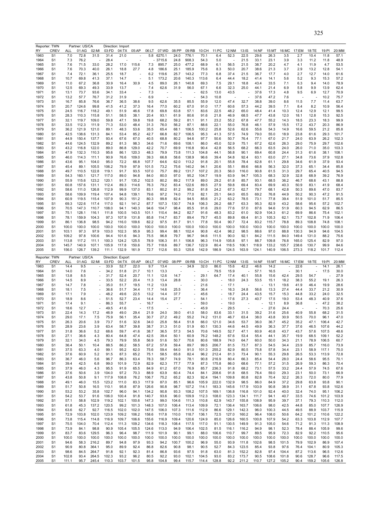|                                                                                                                                                                                      | Reporter: TWN  |                | Partner: US/CA |                          |                | Direction: Import |                          |              |               |              |                |                |               |              |                |               |                |                |              |                |               |                |
|--------------------------------------------------------------------------------------------------------------------------------------------------------------------------------------|----------------|----------------|----------------|--------------------------|----------------|-------------------|--------------------------|--------------|---------------|--------------|----------------|----------------|---------------|--------------|----------------|---------------|----------------|----------------|--------------|----------------|---------------|----------------|
| RY                                                                                                                                                                                   | <b>CREV</b>    | ALL            | 01:AG          | 02:MI                    | 03:FD          | 04:TX             | 05:AP                    | 06:LT        | 07:WD         | 08:PP        | 09:RB          | 10:CH          | 11:PC         | 12:NM        | $13:$ IS       | 14:NF         | 15:MT          | 16:MC          | 17:EM        | 18:TE          | 19:PI         | 20:MM          |
| 1963                                                                                                                                                                                 | S <sub>1</sub> | 7.0            | 72.8           | 31.5                     | 31.4           | 21.0              |                          | 5.8          | 6270.1        | 24.0         | 776.1          | 70.1           | 6.4           | 52.3         | 22.5           | 29.6          | 26.3           | 3.5            | 2.7          | 10.4           | 11.8          | 57.1           |
| 1964                                                                                                                                                                                 | S1             | 7.3            | 76.2           | ÷,                       | 28.4           |                   |                          |              | - 3715.6      | 24.8         | 908.3          | 54.3           | 5.0           | ٠.           | 21.5           | 33.1          | 23.1           | 3.9            | 3.3          | 11.2           | 11.8          | 48.9           |
| 1965                                                                                                                                                                                 | S1             | 7.6            | 71.5           | 33.0                     | 28.2           | 17.0              | 115.6                    | 7.3          | 895.7         | 25.0         | 477.2          | 68.9           | 6.1           | 56.5         | 21.5           | 38.7          | 20.2           | 4.7            | 4.1          | 11.9           | 4.7           | 53.5           |
| 1966                                                                                                                                                                                 | S1             | 7.6            | 70.3           | 40.0                     | 26.1           | 18.8              | 27.7                     | 4.8          | 186.6         | 25.1         | 185.9          | 75.6           | 8.3           | 50.0         | 20.7           | 38.6          | 21.3           | 3.7            | 2.9          | 13.2           | 12.8          | 54.1           |
| 1967                                                                                                                                                                                 | S1             | 7.4            | 72.1           | 36.1                     | 25.5           | 18.7              |                          | 6.2          | 119.6         | 25.7         | 143.2          | 77.3           | 6.8           | 37.4         | 21.5           | 36.7          | 17.7           | 4.0            | 2.7          | 12.7           | 14.0          | 61.6           |
| 1968                                                                                                                                                                                 | S1             | 10.7           | 69.8           | 41.3                     | 37.1           | 14.7              | $\overline{\phantom{a}}$ | 5.1          | 173.2         | 20.6         | 140.3          | 113.6          | 6.4           | 44.4         | 18.2           | 41.4          | 14.1           | 5.6            | 5.2          | 9.3            | 15.3          | 57.2           |
|                                                                                                                                                                                      | S1             | 11.0           | 67.2           |                          | 30.9           |                   | 30.9                     | 4.5          |               | 26.1         |                | 69.3           | 7.5           |              |                | 43.4          | 33.5           | 7.1            |              | 9.4            | 14.0          | 78.9           |
| 1969                                                                                                                                                                                 |                |                |                | 36.8                     |                | 16.4              |                          |              | 89.0          |              | 140.8          |                |               | 29.1         | 18.8           |               |                |                | 6.3          |                |               |                |
| 1970                                                                                                                                                                                 | S1             | 12.5           | 69.3           | 49.3                     | 33.9           | 13.7              |                          | 7.4          | 62.6          | 31.9         | 56.0           | 67.1           | 6.6           | 32.3         | 25.0           | 44.1          | 21.4           | 6.9            | 5.8          | 9.9            | 13.9          | 62.4           |
| 1971                                                                                                                                                                                 | S1             | 13.1           | 73.7           | 93.6                     | 34.1           | 33.4              |                          | 7.3          |               |              |                | 62.5           | 13.0          | 43.5         |                | 37.6          | 17.3           | 4.8            | 9.5          | 6.9            | 12.7          | 70.9           |
| 1972                                                                                                                                                                                 | S1             | 13.2           | 57.7           | 76.7                     | 31.2           | 31.9              | $\overline{\phantom{a}}$ | 6.9          | ÷,            |              |                | 54.3           | 10.8          | ÷,           |                | 37.6          | 47.2           | 7.6            |              |                | 10.2          | 75.7           |
| 1973                                                                                                                                                                                 | S1             | 16.7           | 85.8           | 76.6                     | 36.7           | 36.5              | 38.6                     | 9.5          | 62.6          | 35.5         | 85.5           | 55.9           | 12.0          | 47.4         | 32.7           | 38.8          | 39.0           | 8.6            | 11.5         | 7.7            | 11.4          | 63.7           |
| 1974                                                                                                                                                                                 | S1             | 20.7           | 124.6          | 99.8                     | 41.5           | 41.2              | 37.3                     | 16.4         | 77.0          | 60.2         | 67.0           | 91.0           | 17.7          | 60.6         | 57.3           | 44.2          | 39.5           | 7.1            | 8.4          | 8.2            | 10.9          | 56.4           |
| 1975                                                                                                                                                                                 | S1             | 24.5           | 116.7          | 118.2                    | 49.1           | 51.9              | 46.6                     | 17.8         | 69.8          | 63.8         | 57.1           | 83.6           | 22.5          | 48.2         | 65.0           | 48.4          | 41.4           | 10.3           | 12.4         | 12.9           | 12.1          | 99.5           |
| 1976                                                                                                                                                                                 | S1             | 28.3           | 110.3          | 115.8                    | 51.1           | 58.5              | 38.1                     | 20.4         | 93.1          | 61.9         | 80.6           | 91.6           | 21.8          | 46.9         | 68.5           | 47.7          | 43.8           | 12.0           | 18.1         | 12.8           | 15.3          | 92.5           |
| 1977                                                                                                                                                                                 | S1             | 32.1           | 119.7          | 109.0                    | 59.8           | 47.1              | 59.8                     | 19.8         | 68.2          | 59.2         | 81.1           | 91.1           | 23.2          | 55.2         | 67.8           | 47.7          | 55.2           | 14.3           | 18.5         | 23.3           | 18.3          | 99.9           |
| 1978                                                                                                                                                                                 | S1             | 33.5           | 112.3          | 111.9                    | 71.3           | 53.0              | 48.4                     | 31.3         | 76.0          | 56.2         | 87.1           | 88.6           | 22.1          | 55.0         | 76.8           | 46.1          | 57.9           | 15.5           | 17.2         | 43.7           | 20.3          | 86.9           |
|                                                                                                                                                                                      |                |                |                |                          |                |                   |                          |              |               |              |                |                |               |              |                |               |                |                |              | 59.5           |               |                |
| 1979                                                                                                                                                                                 | S1             | 36.2           | 121.9          | 121.0                    | 89.1           | 48.3              | 53.6                     | 35.5         | 65.4          | 68.1         | 106.5          | 100.2          | 25.8          | 52.6         | 62.6           | 55.6          | 54.3           | 14.9           | 16.6         |                | 21.2          | 85.8           |
| 1980                                                                                                                                                                                 | S1             | 42.5           | 138.6          | 131.3                    | 84.1           | 53.4              | 85.2                     | 42.7         | 66.8          | 82.7         | 106.5          | 95.3           | 41.3          | 57.5         | 74.9           | 79.0          | 55.0           | 18.9           | 23.8         | 61.6           | 29.3          | 101.7          |
| 1981                                                                                                                                                                                 | S1             | 44.9           | 150.4          | 137.7                    | 93.4           | 67.6              | 67.0                     | 40.5         | 68.8          | 80.2         | 94.6           | 97.7           | 50.6          | 50.7         | 76.4           | 77.1          | 67.0           | 21.7           | 24.0         | 63.9           | 26.2          | 102.3          |
| 1982                                                                                                                                                                                 | S1             | 44.6           | 124.5          | 132.9                    | 89.2           | 81.3              | 98.3                     | 34.6         | 71.6          | 69.6         | 108.1          | 86.0           | 45.0          | 52.9         | 75.1           | 67.2          | 62.6           | 26.3           | 29.0         | 75.9           | 29.7          | 102.6          |
| 1983                                                                                                                                                                                 | S1             | 43.2           | 116.8          | 122.0                    | 89.0           | 86.8              | 129.0                    | 42.2         | 70.7          | 69.9         | 116.8          | 90.4           | 42.8          | 56.5         | 68.2           | 66.3          | 63.5           | 24.0           | 26.0         | 71.0           | 35.0          | 103.3          |
| 1984                                                                                                                                                                                 | S1             | 47.9           | 132.3          | 110.3                    | 95.6           | 86.1              | 120.3                    | 48.3         | 79.9          | 73.8         | 111.3          | 104.8          | 44.1          | 56.8         | 90.1           | 69.4          | 60.8           | 24.4           | 31.3         | 61.6           | 38.1          | 108.1          |
| 1985                                                                                                                                                                                 | S1             | 46.0           | 114.3          | 111.1                    | 90.9           | 76.6              | 109.0                    | 39.3         | 66.8          | 58.6         | 138.9          | 96.6           | 39.4          | 54.8         | 92.4           | 63.1          | 63.0           | 27.1           | 34.8         | 73.6           | 37.9          | 102.8          |
| 1986                                                                                                                                                                                 | S1             | 43.6           | 95.1           | 104.0                    | 95.0           | 72.2              | 66.8                     | 107.7        | 64.6          | 62.0         | 113.2          | 91.8           | 20.1          | 55.8         | 78.4           | 62.8          | 61.1           | 29.8           | 34.6         | 61.9           | 37.9          | 93.4           |
| 1987                                                                                                                                                                                 | S1             | 45.4           | 89.1           | 105.5                    | 106.2          | 79.9              | 97.9                     | 101.5        | 73.2          | 75.6         | 140.2          | 94.1           | 20.6          | 55.1         | 89.6           | 66.8          | 56.3           | 32.0           | 37.3         | 65.1           | 34.4          | 85.8           |
|                                                                                                                                                                                      | S1             | 49.7           | 110.5          | 122.8                    | 119.1          | 91.7              | 93.5                     | 107.0        | 75.7          | 89.2         |                | 107.2          | 20.3          | 56.0         | 116.0          | 90.8          | 61.5           | 31.3           | 29.7         | 65.4           | 40.5          | 94.5           |
| 1988                                                                                                                                                                                 |                |                |                |                          |                |                   |                          |              |               |              | 131.7          |                |               |              |                |               |                |                |              |                |               |                |
| 1989                                                                                                                                                                                 | S1             | 54.3           | 160.1          | 121.7                    | 117.0          | 89.0              | 94.8                     | 84.0         | 80.0          | 97.0         | 95.2           | 104.7          | 19.9          | 63.9         | 94.7           | 105.3         | 68.3           | 32.9           | 32.8         | 68.9           | 39.2          | 76.9           |
| 1990                                                                                                                                                                                 | S1             | 55.9           | 115.6          | 123.2                    | 120.1          | 91.7              | 135.2                    | 102.5        | 80.2          | 89.2         | 117.9          | 89.0           | 29.2          | 61.8         | 85.7           | 93.1          | 68.5           | 36.2           | 46.7         | 68.6           | 43.1          | 88.8           |
| 1991                                                                                                                                                                                 | S1             | 60.8           | 157.6          | 131.1                    | 112.4          | 89.3              | 114.6                    | 76.3         | 79.2          | 83.4         | 122.6          | 89.5           | 27.9          | 59.8         | 69.4           | 83.4          | 69.9           | 40.3           | 50.9         | 83.1           | 41.9          | 68.4           |
| 1992                                                                                                                                                                                 | S1             | 58.6           | 111.0          | 126.8                    | 112.9          | 99.9              | 137.0                    | 83.1         | 80.2          | 81.2         | 99.2           | 81.8           | 24.2          | 67.3         | 62.7           | 79.7          | 68.1           | 42.8           | 50.3         | 89.6           | 47.0          | 83.7           |
| 1993                                                                                                                                                                                 | S1             | 58.6           | 109.9          | 119.4                    | 107.4          | 94.8              | 139.1                    | 79.6         | 97.2          | 74.0         | 77.0           | 82.1           | 25.1          | 64.0         | 65.5           | 69.2          | 76.8           | 44.9           | 50.2         | 90.3           | 47.2          | 91.5           |
| 1994                                                                                                                                                                                 | S <sub>1</sub> | 60.9           | 119.5          | 115.4                    | 107.9          | 90.3              | 151.2                    | 80.3         | 99.8          | 82.4         | 94.5           | 85.6           | 21.2          | 63.2         | 78.5           | 73.1          | 77.8           | 39.4           | 51.9         | 101.0          | 51.7          | 85.5           |
| 1995                                                                                                                                                                                 | S1             | 69.3           | 122.6          | 117.4                    | 117.0          | 92.1              | 141.2                    | 87.7         | 107.3         | 130.7        | 74.9           | 106.3          | 26.2          | 68.7         | 63.3           | 95.3          | 82.9           | 43.2           | 58.6         | 95.6           | 57.2          | 102.7          |
| 1996                                                                                                                                                                                 | S <sub>1</sub> | 70.5           | 147.3          | 110.7                    | 108.0          | 94.1              | 140.3                    | 94.6         | 104.7         | 98.4         | 85.5           | 91.6           | 29.0          | 77.6         | 57.0           | 87.6          | 94.6           | 51.9           | 60.3         | 94.5           | 62.9          | 86.5           |
| 1997                                                                                                                                                                                 | S <sub>1</sub> | 75.1           | 128.1          | 116.1                    | 111.8          | 100.5             | 143.5                    | 101.1        | 110.4         | 84.2         | 82.7           | 91.6           | 48.3          | 83.2         | 61.0           | 92.9          | 104.3          | 61.2           | 69.9         | 86.6           | 75.4          | 102.1          |
|                                                                                                                                                                                      |                |                |                |                          |                |                   |                          |              |               |              |                |                |               |              |                |               |                |                |              |                |               |                |
| 1998                                                                                                                                                                                 | S1             | 78.1           | 159.9          | 104.3                    | 97.3           | 107.9             | 131.8                    | 85.8         | 114.7         | 83.7         | 89.4           | 79.7           | 45.5          | 89.8         | 69.4           | 81.3          | 105.3          | 62.1           | 73.7         | 102.8          | 71.9          | 106.4          |
| 1999                                                                                                                                                                                 | S1             | 86.1           | 136.8          | 98.5                     | 94.2           | 116.0             | 109.6                    | 82.2         | 97.5          | 81.7         | 91.1           | 77.8           | 50.4          | 90.7         | 72.4           | 83.2          | 115.7          | 78.8           | 89.3         | 108.8          | 74.8          | 108.1          |
| 2000                                                                                                                                                                                 | S <sub>1</sub> | 100.0          | 100.0          | 100.0                    | 100.0          | 100.0             | 100.0                    | 100.0        | 100.0         | 100.0        | 100.0          | 100.0          | 100.0         | 100.0        | 100.0          | 100.0         | 100.0          | 100.0          | 100.0        | 100.0          | 100.0         | 100.0          |
| 2001                                                                                                                                                                                 | S1             | 103.1          | 97.3           | 97.9                     | 103.0          | 102.3             | 95.9                     | 95.3         | 99.4          | 88.1         | 102.4          | 90.8           | 42.4          | 98.2         | 98.5           | 88.6          | 97.0           | 88.8           | 130.3        | 94.9           | 94.6          | 104.5          |
| 2002                                                                                                                                                                                 | S <sub>1</sub> | 109.2          | 97.8           | 100.6                    | 94.4           | 101.6             | 94.3                     | 75.5         | 96.8          | 79.7         | 96.7           | 94.6           | 111.5         | 90.0         | 92.1           | 84.2          | 111.5          | 84.0           | 149.4        | 131.0          | 88.2          | 75.6           |
| 2003                                                                                                                                                                                 | S1             | 113.8          | 117.2          | 111.1                    | 100.3          | 124.2             | 125.5                    | 78.9         | 106.3         | 81.1         | 106.8          | 96.3           | 114.9         | 105.8        | 97.1           | 88.7          | 109.8          | 76.8           | 165.0        | 125.4          | 82.9          | 97.0           |
| 2004                                                                                                                                                                                 | S <sub>1</sub> | 145.7          | 140.9          | 107.1                    | 105.9          | 117.8             | 150.6                    | 75.7         | 118.6         | 89.7         | 136.7          | 122.9          | 80.4          | 118.5        | 106.1          | 118.9         | 133.2          | 105.7          | 238.6        | 130.7          | 99.9          | 84.6           |
| 2005                                                                                                                                                                                 | S <sub>1</sub> | 156.0          | 126.7          | 139.2                    | 111.1          | 132.9             | 161.9                    | 72.7         | 112.6         | 93.3         | 125.6          | 142.9          | 186.9         | 124.5        | 163.9          | 124.1         | 140.9          | 106.5          | 273.3        | 118.2          | 101.7         | 112.4          |
|                                                                                                                                                                                      |                |                |                |                          |                |                   |                          |              |               |              |                |                |               |              |                |               |                |                |              |                |               |                |
|                                                                                                                                                                                      |                |                |                |                          |                |                   |                          |              |               |              |                |                |               |              |                |               |                |                |              |                |               |                |
| Reporter: TWN                                                                                                                                                                        |                |                | Partner: US/CA |                          |                | Direction: Export |                          |              |               |              |                |                |               |              |                |               |                |                |              |                |               |                |
| RY                                                                                                                                                                                   | <b>CREV</b>    | <b>ALL</b>     | 01:AG          | 02:MI                    | 03:FD          | 04:TX             | 05:AP                    | 06:LT        | 07:WD         | 08:PP        | 09:RB          | 10:CH          | 11:PC         | 12:NM        | $13:$ IS       | 14:NF         | 15:MT          | 16:MC          | 17:EM        | 18:TE          | 19:PI         | 20:MM          |
| 1963                                                                                                                                                                                 | S1             | 14.4           | 9.5            |                          | 33.9           | 52.7              | 22.0                     | 9.7          | 13.4          |              | 34.9           | 32.0           | 86.0          | 15.6         | 42.2           | 46.6          | 14.2           |                | 22.6         |                | 14.1          | 26.1           |
| 1964                                                                                                                                                                                 | S1             | 14.0           | 7.6            | $\overline{\phantom{a}}$ | 34.2           | 51.8              | 21.7                     | 10.1         | 13.3          |              | ٠              |                | 79.5          | 15.9         | ÷,             | 57.1          | 16.5           | ÷,             | 30.1         | ÷,             | 17.5          | 30.0           |
| 1965                                                                                                                                                                                 | S1             | 13.8           | 8.5            | ÷,                       | 31.7           | 52.4              | 20.7                     | 11.1         | 12.6          | 14.7         |                | 29.1           | 64.7          | 17.4         | 40.1           | 55.8          | 15.6           | 42.4           | 29.5         | 54.7           |               | 27.9           |
|                                                                                                                                                                                      |                |                |                | $\overline{a}$           |                |                   |                          |              |               |              |                |                |               |              |                |               |                |                |              |                |               |                |
| 1966                                                                                                                                                                                 | S <sub>1</sub> | 14.5           | 8.9            |                          | 33.5           | 52.2              | 20.4                     | 11.3         | 13.4          | 28.8         |                | 30.0           |               | 18.0         | 24.3           | 53.5          | 15.1           | 18.2           | 38.3         | 55.2           | 19.1          | 26.3           |
| 1967                                                                                                                                                                                 | S1             | 14.7           | 7.8            | $\overline{a}$           | 35.0           | 51.7              | 19.5                     | 11.2         | 13.9          |              |                | 21.6           |               | 17.1         |                |               | 13.1           | 19.6           | 41.9         | 46.4           | 19.9          | 28.6           |
| 1968                                                                                                                                                                                 | S <sub>1</sub> | 18.1           | 7.5            | $\overline{\phantom{a}}$ | 36.6           | 51.7              | 34.4                     | 11.7         | 14.6          | 25.5         | ٠              | 36.4           |               | 16.3         | 24.8           | 56.6          | 13.3           | 27.4           | 44.4         | 33.7           | 21.2          | 30.9           |
| 1969                                                                                                                                                                                 | S <sub>1</sub> | 17.1           | 7.9            | $\overline{\phantom{a}}$ | 48.2           | 49.6              | 22.5                     | 13.2         | 14.4          | 37.7         |                | 45.6           |               | 18.7         | 24.4           | 43.5          | 15.7           | 15.3           | 44.8         | 33.2           | 24.0          | 32.5           |
| 1970                                                                                                                                                                                 | S1             | 18.9           | 8.6            | $\overline{\phantom{a}}$ | 51.5           | 52.7              | 23.4                     | 14.4         | 15.4          | 27.7         |                | 54.1           |               | 17.6         | 27.3           | 40.7          | 17.5           | 19.0           | 53.4         | 48.3           | 40.9          | 37.6           |
| 1971                                                                                                                                                                                 | S1             | 17.4           | 9.1            | $\overline{\phantom{a}}$ | 86.3           | 55.7              |                          | 16.7         |               |              |                | 59.0           |               | 19.0         |                |               | 12.1           | 8.9            | 36.8         |                | 47.2          | 38.2           |
| 1972                                                                                                                                                                                 | S <sub>1</sub> | 18.6           | 12.7           | $\overline{a}$           | 49.5           | 41.6              |                          | 17.5         |               |              |                | 45.9           |               | 29.5         |                |               | 27.6           | 24.4           |              |                | 70.3          | 25.6           |
| 1973                                                                                                                                                                                 | S <sub>1</sub> | 22.4           | 14.3           | 17.2                     | 46.9           | 49.0              | 29.4                     | 21.9         | 24.0          | 39.0         | 41.0           | 58.0           | 83.6          | 33.1         | 31.5           | 39.2          | 31.6           | 25.6           | 40.9         | 55.8           | 68.2          | 31.5           |
| 1974                                                                                                                                                                                 | 51             | 29.0           | 17.1           | 7.5                      | 75.9           | 56.1              | 35.4                     | 30.7         | 27.2          | 49.2         | 55.2           | 74.2           | 131.0         | 46.7         | 63.4           | 38.0          | 43.8           | 30.9           | 50.5         | 70.0           | 96.1          | 47.0           |
| 1975                                                                                                                                                                                 | S1             | 26.3           | 20.6           | 3.9                      |                | 51.6              | 32.6                     | 34.0         | 25.8          | 56.4         | 51.8           | 66.0           | 121.0         | 34.6         | 53.7           | 36.0          | 36.7           | 45.2           | 35.2         | 47.1           | 106.4         | 42.7           |
|                                                                                                                                                                                      |                |                |                |                          | 73.7           |                   |                          |              |               |              |                |                |               |              |                |               |                |                |              |                |               |                |
|                                                                                                                                                                                      | S1             | 28.9           | 23.6           | 3.9                      | 63.4           | 58.7              | 39.8                     | 38.7         | 31.3          | 51.0         | 51.9           | 60.1           | 130.3         | 44.6         | 44.5           | 49.9          | 36.3           | 37.7           | 37.6         | 46.5           | 107.6         | 44.2           |
| 1976<br>1977                                                                                                                                                                         | S1             | 31.8           | 36.6           | 5.2                      | 68.6           | 59.7              | 41.6                     | 38.7         | 36.5          | 57.3         | 54.5           | 70.6           | 149.5         | 52.7         | 47.1           | 60.9          | 40.8           | 43.7           | 43.7         | 57.6           | 107.5         | 48.6           |
|                                                                                                                                                                                      | S1             | 27.1           | 36.6           | 4.3                      | 80.4           | 64.8              | 47.4                     | 42.5         | 39.4          | 50.1         | 60.9           | 76.2           | 148.2         | 67.6         | 53.4           | 55.4          | 44.1           | 35.7           | 19.9         | 68.5           | 109.1         | 52.2           |
|                                                                                                                                                                                      | S1             | 32.1           | 34.0           | 4.5                      | 79.3           | 79.9              | 55.8                     | 56.9         | 51.6          | 50.7         | 70.6           | 80.6           | 188.9         | 74.0         | 64.7           | 60.0          | 50.0           | 34.3           | 21.1         | 78.9           | 106.5         | 60.7           |
|                                                                                                                                                                                      | S1             | 36.4           | 50.1           | 10.4                     | 88.5           | 86.2              | 58.5                     | 67.2         | 57.8          | 59.4         | 89.7           | 99.5           | 206.7         | 81.5         | 73.7           | 87.3          | 54.5           | 34.4           | 23.9         | 85.7           | 116.0         | 73.9           |
|                                                                                                                                                                                      | S1             | 37.5           | 63.3           | 4.0                      | 99.1           | 95.2              | 62.0                     | 75.6         | 59.4          | 64.0         | 91.0           | 101.3          | 255.2         | 82.9         | 80.5           | 75.8          | 57.8           | 34.4           | 23.1         | 58.9           | 117.1         | 75.0           |
| 1979<br>1981                                                                                                                                                                         | S1             | 37.6           | 60.9           | 5.2                      | 91.5           | 87.3              | 65.2                     | 75.1         | 58.5          | 65.8         | 82.4           | 96.2           | 212.4         | 81.3         | 73.4           | 90.1          | 55.3           | 29.8           | 26.5         | 53.3           | 113.9         | 72.8           |
|                                                                                                                                                                                      | S1             | 36.7           | 46.0           | 5.6                      | 96.7           | 86.3              | 63.4                     | 78.3         | 58.7          | 74.9         | 78.1           | 90.8           | 216.9         | 80.4         | 66.3           | 85.4          | 54.4           | 28.0           | 24.4         | 58.6           | 95.5          | 70.1           |
|                                                                                                                                                                                      | S1             | 39.4           | 42.5           | 6.8                      | 99.0           | 101.9             | 72.9                     | 82.9         | 62.3          | 77.7         | 77.9           | 87.3           | 175.8         | 86.0         | 68.6           | 77.1          | 57.2           | 31.5           | 26.9         | 59.3           | 86.3          | 70.4           |
|                                                                                                                                                                                      | S1             | 37.9           | 46.0           | 4.3                      | 95.5           | 91.9              | 65.5                     | 84.9         | 61.2          | 67.0         | 76.9           | 85.7           | 236.3         | 91.8         | 68.2           | 73.1          | 57.5           | 33.2           | 24.4         | 57.9           | 74.5          | 67.6           |
|                                                                                                                                                                                      | S1             | 37.6           | 50.6           | 3.9                      | 104.0          | 97.2              | 70.3                     | 88.9         | 63.9          | 60.4         | 74.4           | 84.1           | 208.6         | 91.8         | 68.5           | 76.4          | 59.0           | 29.3           | 23.1         | 50.0           | 73.1          | 66.9           |
|                                                                                                                                                                                      | S1             | 43.8           | 50.8           | 9.1                      | 117.9          | 108.8             | 76.2                     | 106.7        | 75.2          | 65.2         | 82.3           | 92.4           | 194.1         | 109.8        | 80.8           | 82.8          | 70.4           | 32.2           | 26.3         | 72.0           | 80.0          | 77.9           |
|                                                                                                                                                                                      |                |                |                |                          |                |                   |                          |              |               |              |                |                |               |              |                |               |                |                |              |                |               |                |
|                                                                                                                                                                                      | S1             | 49.1           | 46.0           | 15.5                     | 123.2          | 111.0             | 83.3                     | 117.9        | 87.0          | 85.1         | 96.6           | 105.9          | 222.0         | 132.9        | 98.5           | 86.0          | 84.9           | 37.2           | 29.8         | 63.8           | 93.8          | 90.1           |
|                                                                                                                                                                                      | S1             | 51.7           | 50.8           | 16.5                     | 110.1          | 95.8              | 87.9                     | 126.6        | 90.8          | 98.7         | 107.2          | 114.1          | 183.3         | 145.6        | 117.9          | 103.9         | 90.8           | 38.9           | 31.1         | 67.8           | 93.8          | 102.6          |
|                                                                                                                                                                                      | S1             | 53.2           | 53.2           | 35.8                     | 102.7          | 96.0              | 94.1                     | 134.2        | 90.8          | 93.3         | 108.2          | 107.5          | 169.1         | 136.8        | 116.8          | 101.0         | 92.4           | 40.0           | 32.4         | 74.0           | 95.1          | 106.2          |
|                                                                                                                                                                                      | S1             | 54.2           | 53.7           | 91.6                     | 106.0          | 100.4             | 91.8                     | 140.7        | 93.6          | 96.0         | 109.9          | 112.3          | 108.0         | 123.3        | 134.1          | 111.7         | 94.1           | 40.7           | 33.5         | 74.6           | 101.2         | 103.9          |
|                                                                                                                                                                                      | S1             | 57.1           | 58.8           | 102.9                    | 119.2          | 102.1             | 100.6                    | 147.3        | 99.0          | 104.6        | 111.3          | 110.8          | 62.9          | 143.7        | 155.8          | 108.9         | 95.9           | 39.7           | 37.1         | 79.3           | 110.3         | 112.0          |
|                                                                                                                                                                                      | S1             | 61.8           | 45.3           | 137.2                    | 120.5          | 99.2              | 101.3                    | 148.3        | 107.0         | 106.4        | 113.4          | 109.9          | 72.1          | 136.4        | 163.7          | 106.6         | 98.0           | 42.5           | 44.8         | 85.0           | 107.7         | 126.9          |
|                                                                                                                                                                                      | S1             | 63.6           | 62.7           | 92.7                     | 116.5          | 102.0             | 102.0                    | 147.5        | 106.0         | 107.3        | 111.6          | 112.9          | 86.6          | 129.1        | 142.3          | 96.0          | 100.3          | 44.5           | 49.5         | 88.9           | 103.7         | 115.9          |
|                                                                                                                                                                                      |                |                |                |                          |                |                   |                          |              |               |              |                |                |               |              |                |               |                |                |              |                |               |                |
|                                                                                                                                                                                      | S1             | 72.9           | 103.8          | 102.0                    | 123.9          | 109.2             | 106.2                    | 158.6        | 117.8         | 110.0        | 118.7          | 136.1          | 72.5          | 127.0        | 160.2          | 96.4          | 108.0          | 50.6           | 64.2         | 101.2          | 110.6         | 122.2          |
|                                                                                                                                                                                      | S1             | 73.8           | 115.4          | 114.8                    | 116.9          | 109.7             | 106.6                    | 155.6        | 116.9         | 109.4        | 120.6          | 124.9          | 85.0          | 126.6        | 160.5          | 100.8         | 107.9          | 54.2           | 63.3         | 103.8          | 112.9         | 107.7          |
|                                                                                                                                                                                      | S1             | 75.5           | 104.0          | 70.4                     | 112.4          | 111.3             | 109.2                    | 134.6        | 118.3         | 108.4        | 117.5          | 117.0          | 91.1          | 130.5        | 149.9          | 91.3          | 105.0          | 54.6           | 71.2         | 91.3           | 111.3         | 108.9          |
|                                                                                                                                                                                      | S1             | 73.9           | 84.1           | 98.8                     | 90.9           | 105.4             | 105.5                    | 124.6        | 113.0         | 94.9         | 106.4          | 102.5          | 81.5          | 116.1        | 116.2          | 94.9          | 98.1           | 52.3           | 78.4         | 88.4           | 105.9         | 99.6           |
|                                                                                                                                                                                      | S1             | 83.7           | 83.6           | 129.5                    | 96.3           | 96.4              | 98.7                     | 111.9        | 101.9         | 90.1         | 99.1           | 88.0           | 106.6         | 110.7        | 99.7           | 89.5          | 95.9           | 72.3           | 82.9         | 92.2           | 110.5         | 95.6           |
|                                                                                                                                                                                      | S1             | 100.0          | 100.0          | 100.0                    | 100.0          | 100.0             | 100.0                    | 100.0        | 100.0         | 100.0        | 100.0          | 100.0          | 100.0         | 100.0        | 100.0          | 100.0         | 100.0          | 100.0          | 100.0        | 100.0          | 100.0         | 100.0          |
| 1985                                                                                                                                                                                 | S1             | 94.6           | 58.3           | 216.2                    | 89.7           | 94.8              | 97.9                     | 93.3         | 94.2          | 100.7        | 100.2          | 96.9           | 55.0          | 93.9         | 111.8          | 102.6         | 98.5           | 101.5          | 79.9         | 102.9          | 86.9          | 107.4          |
|                                                                                                                                                                                      | S1             | 90.9           | 80.8           | 364.1                    | 95.0           | 89.9              | 92.4                     | 86.8         | 82.6          | 90.8         | 98.1           | 90.5           | 52.7          | 84.3         | 123.5          | 85.4          | 93.8           | 97.6           | 76.4         | 104.1          | 80.9          | 105.3          |
|                                                                                                                                                                                      |                |                |                |                          |                |                   |                          |              |               |              |                |                |               |              |                |               |                |                |              |                |               |                |
| 1978<br>1980<br>1982<br>1983<br>1984<br>1986<br>1987<br>1988<br>1989<br>1990<br>1991<br>1992<br>1993<br>1994<br>1995<br>1996<br>1997<br>1998<br>1999<br>2000<br>2001<br>2002<br>2003 | S1             | 98.6           | 84.5           | 264.7                    | 91.8           | 92.1              | 92.3                     | 81.4         | 86.8          | 93.6         | 97.5           | 91.8           | 63.0          | 81.3         | 152.2          | 82.8          | 97.4           | 104.4          | 87.2         | 113.6          | 96.5          | 112.6          |
| 2004<br>2005                                                                                                                                                                         | S1<br>S1       | 102.8<br>111.1 | 93.4<br>95.7   | 264.5<br>245.4           | 102.3<br>110.3 | 93.2<br>103.7     | 96.2<br>101.5            | 80.5<br>95.8 | 92.2<br>104.8 | 93.0<br>99.4 | 102.1<br>115.7 | 104.5<br>114.4 | 93.0<br>128.8 | 83.2<br>92.2 | 173.7<br>211.2 | 90.5<br>110.7 | 108.6<br>127.2 | 101.8<br>105.2 | 90.6<br>90.4 | 128.7<br>159.2 | 96.6<br>105.6 | 117.5<br>126.8 |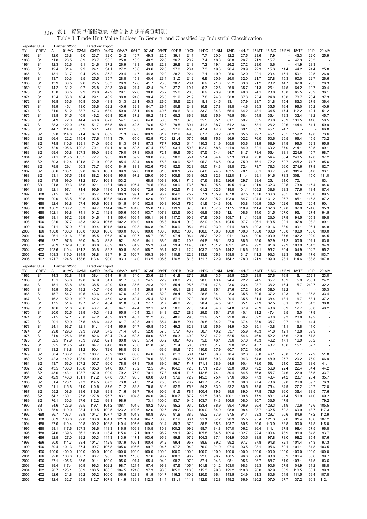| Reporter: USA |                                    |                    | Partner: World |               | Direction: Import |                |                |                | 07:WD          |               |                |                |                |                |                |                |                |                |              |                |               |               |
|---------------|------------------------------------|--------------------|----------------|---------------|-------------------|----------------|----------------|----------------|----------------|---------------|----------------|----------------|----------------|----------------|----------------|----------------|----------------|----------------|--------------|----------------|---------------|---------------|
| RY<br>1962    | <b>CREV</b><br>S <sub>1</sub>      | <b>ALL</b><br>12.0 | 01:AG<br>26.8  | 02:MI<br>9.0  | 03:FD<br>23.7     | 04:TX<br>32.0  | 05:AP<br>24.2  | 06:LT<br>10.7  | 49.3           | 08:PP<br>22.5 | 09:RB<br>39.1  | 10:CH<br>21.1  | 11:PC<br>7.7   | 12:NM<br>20.0  | 13:IS<br>32.2  | 14:NF<br>27.5  | 15:MT<br>23.6  | 17.9           | 16:MC 17:EM  | 18:TE<br>43.3  | 19:PI<br>22.0 | 20:MM<br>25.9 |
| 1963          | S <sub>1</sub>                     | 11.8               | 26.5           | 8.9           | 23.7              | 33.5           | 25.0           | 13.3           | 48.2           | 22.6          | 36.7           | 20.7           | 7.4            | 18.8           | 26.0           | 26.7           | 21.9           | 15.7           |              | 42.3           | 25.3          |               |
| 1964          | S <sub>1</sub>                     | 12.3               | 32.6           | 9.1           | 24.6              | 37.2           | 26.9           | 13.3           | 45.8           | 22.8          | 29.8           | 21.3           | 7.2            | 19.1           | 26.2           | 27.2           | 23.0           | 13.6           |              | 41.9           | 28.3          |               |
| 1965          | S <sub>1</sub>                     | 12.4               | 31.4           | 9.2           | 24.1              | 34.1           | 27.2           | 13.6           | 43.6           | 22.8          | 27.0           | 23.4           | 7.3            | 19.3           | 26.4           | 29.9           | 22.3           | 15.3           | 11.4         | 44.2           | 24.4          | 25.8          |
| 1966          | S <sub>1</sub>                     | 13.1               | 31.7           | 9.4           | 25.4              | 35.2           | 29.4           | 14.7           | 44.8           | 22.9          | 28.7           | 22.4           | 7.1            | 19.9           | 25.6           | 32.0           | 22.1           | 20.4           | 15.1         | 50.1           | 22.5          | 26.9          |
| 1967          | S <sub>1</sub>                     | 13.7               | 30.3           | 9.5           | 25.5              | 35.7           | 28.8           | 15.8           | 40.4           | 23.4          | 31.0           | 21.2           | 6.9            | 20.9           | 26.0           | 32.0           | 21.7           | 27.8           | 15.3         | 60.0           | 22.7          | 26.6          |
| 1968          | S <sub>1</sub>                     | 13.9<br>14.2       | 30.5<br>31.2   | 9.6<br>9.7    | 25.5<br>26.8      | 36.3<br>39.3   | 28.9<br>30.0   | 17.8<br>21.4   | 41.7<br>42.4   | 23.5          | 30.7<br>37.2   | 20.4<br>19.1   | 6.9            | 21.6<br>22.6   | 25.2           | 33.8           | 21.2<br>21.3   | 28.2           | 14.7<br>14.5 | 62.8<br>64.2   | 20.5          | 28.3<br>30.4  |
| 1969<br>1970  | S <sub>1</sub><br>S <sub>1</sub>   | 15.0               | 36.5           | 9.9           | 28.0              | 42.9           | 29.1           | 22.6           | 38.0           | 24.2<br>25.2  | 35.6           | 20.6           | 6.7<br>6.9     | 23.9           | 26.9<br>30.8   | 35.7<br>40.0   | 24.1           | 26.1<br>28.0   | 13.8         | 65.5           | 19.7<br>23.9  | 36.1          |
| 1971          | S <sub>1</sub>                     | 15.4               | 33.8           | 10.4          | 29.1              | 43.2           | 30.0           | 24.6           | 38.4           | 25.5          | 31.2           | 21.9           | 7.8            | 24.0           | 30.8           | 37.3           | 25.4           | 24.8           | 15.0         | 70.7           | 23.4          | 37.3          |
| 1972          | S <sub>1</sub>                     | 16.8               | 35.6           | 10.8          | 30.5              | 43.8           | 31.3           | 28.1           | 40.3           | 26.0          | 35.6           | 22.8           | 8.1            | 24.5           | 33.1           | 37.9           | 28.7           | 31.8           | 15.4         | 83.3           | 27.9          | 36.4          |
| 1973          | S <sub>1</sub>                     | 19.9               | 45.1           | 13.0          | 36.6              | 52.2           | 40.6           | 32.3           | 54.7           | 29.4          | 50.8           | 24.3           | 10.9           | 27.8           | 38.8           | 44.6           | 35.3           | 35.5           | 16.4         | 99.0           | 35.2          | 40.9          |
| 1974          | S <sub>1</sub>                     | 31.6               | 51.2           | 38.7          | 47.3              | 63.9           | 50.9           | 36.1           | 64.9           | 40.6          | 60.6           | 31.4           | 33.2           | 34.3           | 65.4           | 64.2           | 48.1           | 34.5           | 17.4         | 112.2          | 42.1          | 51.2          |
| 1975          | S <sub>1</sub>                     | 33.8               | 51.5           | 40.9          | 46.2              | 66.8           | 52.6           | 37.2           | 56.2           | 48.5          | 68.3           | 36.9           | 35.6           | 35.9           | 75.5           | 58.4           | 54.8           | 36.4           | 19.3         | 132.4          | 48.2          | 45.7          |
| 1976          | S <sub>1</sub>                     | 34.9               | 72.0           | 44.4          | 48.6              | 62.8           | 54.1           | 37.0           | 64.8           | 50.5          | 79.5           | 37.0           | 35.5           | 35.1           | 61.1           | 59.7           | 53.5           | 26.0           | 20.9         | 136.5          | 41.6          | 50.5          |
| 1977          | S <sub>1</sub>                     | 38.3               | 122.0          | 47.9          | 51.7              | 66.5           | 58.4           | 42.5           | 76.6           | 52.3          | 79.5           | 39.1           | 41.3           | 38.7           | 61.2           | 66.1           | 53.1           | 26.2           | 20.6         | 144.4          | 51.1          | 59.9          |
| 1978          | S <sub>1</sub>                     | 44.7<br>52.8       | 114.9<br>114.8 | 53.2<br>71.4  | 58.1              | 74.0<br>85.2   | 63.2           | 53.3           | 86.0<br>100.9  | 52.8          | 97.2           | 43.3<br>49.0   | 47.4           | 47.6<br>53.2   | 74.2           | 69.1           | 63.9<br>72.7   | 45.1           | 24.7         |                |               | 66.8          |
| 1979<br>1980  | S <sub>2</sub><br>S <sub>2</sub>   | 66.4               | 122.2          | 115.4         | 67.3<br>77.6      | 114.3          | 71.3<br>79.1   | 62.8<br>65.0   | 92.9           | 61.7<br>72.0  | 112.9<br>121.4 | 57.5           | 67.7<br>96.8   | 75.6           | 88.9<br>96.9   | 85.5<br>102.2  | 76.0           | 45.1<br>50.6   | 25.5<br>25.5 | 159.2<br>169.4 | 49.8<br>45.5  | 73.6<br>73.2  |
| 1981          | S <sub>2</sub>                     | 74.8               | 110.6          | 129.1         | 74.0              | 95.5           | 81.3           | 57.3           | 97.3           | 77.7          | 105.2          | 61.4           | 110.3          | 61.9           | 105.8          | 93.6           | 81.9           | 68.9           | 34.9         | 199.0          | 52.3          | 95.5          |
| 1982          | S <sub>2</sub>                     | 72.9               | 105.6          | 120.2         | 70.1              | 94.1           | 81.9           | 59.5           | 87.4           | 75.9          | 93.1           | 59.3           | 102.0          | 58.8           | 111.9          | 84.0           | 82.1           | 60.2           | 37.0         | 214.1          | 50.5          | 99.1          |
| 1983          | S <sub>2</sub>                     | 69.4               | 105.8          | 107.3         | 69.0              | 89.5           | 79.0           | 57.8           | 100.8          | 72.1          | 89.9           | 55.0           | 97.5           | 54.4           | 94.7           | 81.7           | 73.4           | 56.4           | 33.1         | 224.6          | 45.7          | 98.7          |
| 1984          | S <sub>2</sub>                     | 71.1               | 113.5          | 103.5         | 72.7              | 93.5           | 86.8           | 59.2           | 98.0           | 78.0          | 90.8           | 55.4           | 97.4           | 54.4           | 97.3           | 83.9           | 73.8           | 54.4           | 36.4         | 240.5          | 47.0          | 97.2          |
| 1985          | S <sub>2</sub>                     | 80.3               | 112.4          | 101.8         | 71.9              | 92.5           | 85.4           | 82.4           | 98.9           | 75.8          | 90.9           | 52.8           | 95.2           | 66.5           | 99.3           | 75.9           | 76.1           | 72.2           | 62.7         | 245.2          | 71.7          | 85.6          |
| 1986          | S <sub>2</sub>                     | 79.5               | 129.1          | 60.3          | 73.7              | 95.0           | 84.9           | 83.3           | 102.6          | 75.6          | 92.5           | 52.3           | 58.0           | 74.3           | 98.8           | 72.4           | 78.7           | 78.3           | 66.0         | 274.6          | 77.8          | 82.7          |
| 1987          | S <sub>2</sub>                     | 86.6               | 103.1          | 69.8          | 84.3              | 103.1          | 89.9           | 92.0           | 118.8          | 81.8          | 100.1          | 56.7           | 64.8           | 74.3           | 103.5          | 78.1           | 86.1           | 86.7           | 69.8         | 301.4          | 81.8          | 93.1          |
| 1988<br>1989  | S <sub>2</sub><br>S <sub>2</sub>   | 93.1<br>87.8       | 107.5<br>99.0  | 61.5<br>71.2  | 88.2<br>87.4      | 108.9<br>109.1 | 95.8<br>103.2  | 97.2           | 129.0<br>68.5  | 95.5<br>106.3 | 108.9<br>106.1 | 63.8<br>71.6   | 56.3<br>57.6   | 82.3<br>88.2   | 122.0<br>126.6 | 111.4<br>129.7 | 99.1<br>98.4   | 91.6<br>125.1  | 78.3<br>91.0 | 308.1<br>70.1  | 115.0         | 111.0<br>83.1 |
| 1990          | S3                                 | 91.8               | 99.3           | 75.5          | 92.1              | 113.1          | 108.4          | 105.4          | 74.5           | 106.4         | 98.9           | 73.6           | 70.0           | 95.5           | 119.5          | 113.1          | 101.9          | 132.3          | 92.5         | 73.8           | 115.4         | 94.6          |
| 1991          | S <sub>3</sub>                     | 92.1               | 97.1           | 71.4          | 95.9              | 113.6          | 110.2          | 103.6          | 72.9           | 99.5          | 102.5          | 74.9           | 61.2           | 102.5          | 119.8          | 101.1          | 105.2          | 138.6          | 98.3         | 77.6           | 113.4         | 87.4          |
| 1992          | H88                                | 91.5               | 84.1           | 67.5          | 95.7              | 114.7          | 108.3          | 99.1           | 81.4           | 95.7          | 104.0          | 75.7           | 57.1           | 105.9          | 107.8          | 97.5           | 107.6          | 136.3          | 96.5         | 82.1           | 115.0         | 89.5          |
| 1993          | H88                                | 90.0               | 83.5           | 60.8          | 93.5              | 108.5          | 103.8          | 96.6           | 92.0           | 90.0          | 105.8          | 75.3           | 53.3           | 105.2          | 103.0          | 84.7           | 104.4          | 131.2          | 96.7         | 85.1           | 116.3         | 87.2          |
| 1994          | H88                                | 92.4               | 93.8           | 57.4          | 95.6              | 109.1          | 101.5          | 94.5           | 102.8          | 90.8          | 104.3          | 76.0           | 51.9           | 104.3          | 104.1          | 93.8           | 106.9          | 133.0          | 102.6        | 89.2           | 120.4         | 90.1          |
| 1995          | H88                                | 106.2              | 100.2          | 63.3          | 99.7              | 114.4          | 104.2          | 101.0          | 95.8           | 116.3         | 119.1          | 87.3           | 56.6           | 107.5          | 117.5          | 118.9          | 111.4          | 137.3          | 167.8        | 92.9           | 124.6         | 95.3          |
| 1996          | H88                                | 102.1              | 96.8           | 74.1          | 101.2             | 112.8          | 105.6          | 105.4          | 103.7          | 107.8         | 123.6          | 90.6           | 65.8           | 106.6          | 112.1          | 108.6          | 114.0          | 131.5          | 107.0        | 95.1           | 127.4         | 94.5          |
| 1997          | H96                                | 98.1               | 97.2           | 69.9          | 104.6             | 111.1          | 105.4          | 106.4          | 106.1          | 98.1          | 117.0          | 90.9           | 67.9           | 100.6          | 109.7          | 111.1          | 109.8          | 123.0          | 97.9         | 94.5           | 105.3         | 89.8          |
| 1998<br>1999  | H96<br>H96                         | 92.6<br>91.1       | 97.7<br>97.9   | 48.3<br>62.1  | 102.3<br>99.4     | 107.6<br>101.5 | 102.2<br>100.6 | 104.0<br>92.3  | 99.9<br>106.8  | 98.3<br>94.2  | 106.4<br>100.9 | 91.9<br>95.4   | 52.9<br>61.0   | 104.4<br>103.0 | 104.5<br>91.4  | 97.7<br>89.8   | 106.1<br>100.3 | 113.5<br>101.6 | 92.1<br>83.9 | 97.8<br>99.1   | 98.2<br>96.1  | 89.1<br>94.8  |
| 2000          | H96                                | 100.0              | 100.0          | 100.0         | 100.0             | 100.0          | 100.0          | 100.0          | 100.0          | 100.0         | 100.0          | 100.0          | 100.0          | 100.0          | 100.0          | 100.0          | 100.0          | 100.0          | 100.0        | 100.0          | 100.0         | 100.0         |
| 2001          | H96                                | 96.1               | 101.6          | 82.6          | 95.5              | 96.8           | 97.0           | 99.7           | 95.7           | 95.9          | 97.4           | 106.4          | 85.2           | 102.2          | 91.1           | 93.4           | 99.0           | 100.9          | 87.6         | 102.2          | 102.0         | 94.5          |
| 2002          | H96                                | 92.7               | 97.6           | 86.0          | 94.3              | 88.8           | 92.1           | 94.6           | 94.1           | 88.0          | 95.0           | 110.8          | 64.8           | 98.1           | 93.3           | 88.5           | 95.0           | 92.9           | 81.2         | 100.5          | 101.1         | 83.8          |
| 2003          | H <sub>02</sub>                    | 96.9               | 102.9          | 103.0         | 98.8              | 86.9           | 89.5           | 84.9           | 95.3           | 88.4          | 99.4           | 114.8          | 86.5           | 101.2          | 102.1          | 92.4           | 99.2           | 91.6           | 79.9         | 103.9          | 104.3         | 94.9          |
| 2004          | H <sub>02</sub>                    | 103.6              | 110.4          | 131.2         | 103.8             | 89.2           | 90.5           | 94.6           | 108.7          | 93.1          | 102.1          | 112.4          | 103.7          | 103.9          | 144.2          | 118.6          | 104.1          | 95.2           | 80.4         | 104.9          | 104.7         | 95.2          |
| 2005          | H <sub>02</sub>                    | 108.3              | 115.0          | 134.9         | 108.8             | 89.7           | 91.2           | 100.7          | 106.3          | 99.4          | 110.9          | 122.9          | 133.6          | 105.3          | 158.8          | 131.7          | 111.2          | 93.3           | 82.3         | 108.5          | 117.6         | 103.7         |
| 2006          | H <sub>02</sub>                    | 121.7              | 124.5          | 168.6         | 113.4             | 90.0           | 93.3           | 114.0          | 113.5          | 105.6         | 126.8          | 131.8          | 131.3          | 122.9          | 164.2          | 178.0          | 121.9          | 109.0          | 93.1         | 114.6          | 138.8         | 107.8         |
|               |                                    |                    |                |               |                   |                |                |                |                |               |                |                |                |                |                |                |                |                |              |                |               |               |
| Reporter: USA |                                    |                    | Partner: World |               | Direction: Export |                |                |                |                |               |                |                |                |                |                |                |                |                |              |                |               |               |
| RY            | <b>CREV</b>                        | ALL                | 01:AG          | 02:MI         | 03:FD             | 04:TX          | 05:AP          | 06:LT          | 07:WD          | 08:PP         | 09:RB          | 10:CH          | 11:PC          | 12:NM          | 13:IS          | 14:NF          | 15:MT          | 16:MC          | 17:EM        | 18:TE          | 19:PI         | 20:MM         |
| 1962          | S <sub>1</sub>                     | 14.3               | 52.8           | 18.8          | 38.4              | 51.4           | 61.0           | 34.0           | 23.6           | 23.4          | 61.8           | 27.2           | 29.8           | 43.5           | 25.5           | 22.5           | 23.8           | 27.6           | 16.8         | 6.1            | 252.1         | 23.0          |
| 1963          | S <sub>1</sub>                     | 15.1               | 53.8           | 19.0          | 37.9              | 51.1           | 61.7           | 35.7           | 24.5           | 22.9          | 60.8           | 26.5           | 28.6           | 43.4           | 24.4           | 22.2           | 24.5           | 35.7           | 18.2         | 5.9            | 255.1         | 24.2          |
| 1964          | S <sub>1</sub>                     | 15.1               | 53.8           | 18.9          | 38.5              | 49.9           | 59.8           | 36.6           | 24.3           | 22.8          | 55.4           | 25.6           | 27.4           | 47.8           | 23.6           | 23.4           | 23.7           | 36.2           | 16.4         | 5.7            | 249.7         | 32.2          |
| 1965          | S <sub>1</sub>                     | 15.9               | 53.0           | 19.2          | 40.7              | 46.6           | 63.8           | 41.4           | 26.8           | 31.7          | 60.1           | 28.9           | 28.6           | 35.1           | 27.6           | 27.2           | 30.4           | 38.0           | 12.2         |                |               | 35.3          |
| 1966          | S <sub>1</sub><br>S <sub>1</sub>   | 15.7<br>16.2       | 54.7<br>52.9   | 19.5<br>19.7  | 43.6              | 45.8<br>45.0   | 67.6           | 42.3<br>40.4   | 27.6<br>25.4   | 32.2          | 58.4<br>57.1   | 28.9<br>27.9   | 28.6           | 34.1<br>35.6   | 28.3           | 35.5<br>35.5   | 30.5<br>31.4   | 37.2<br>38.4   | 12.3<br>13.1 | 5.1<br>6.7     | 136.8         | 33.4          |
| 1967<br>1968  | S <sub>1</sub>                     | 17.5               | 51.4           | 19.7          | 42.6<br>41.7      | 43.4           | 62.8<br>61.8   | 38.1           | 27.7           | 32.1<br>31.7  | 46.8           | 27.5           | 26.6<br>28.4   | 34.5           | 29.4<br>26.1   | 35.1           | 27.9           | 37.5           | 8.1          | 11.7           | 68.1<br>54.3  | 37.2<br>38.8  |
| 1969          | S <sub>1</sub>                     | 18.6               | 51.8           | 20.6          | 43.7              | 43.5           | 64.1           | 42.4           | 32.1           | 32.1          | 50.6           | 27.6           | 26.4           | 34.6           | 24.8           | 37.9           | 28.9           | 43.6           | 8.9          | 12.7           | 55.0          | 40.2          |
| 1970          | S <sub>1</sub>                     | 20.0               | 52.5           | 23.9          | 45.3              | 43.2           | 65.5           | 40.4           | 32.1           | 34.8          | 52.7           | 28.9           | 29.5           | 35.1           | 27.0           | 40.1           | 31.2           | 47.4           | 9.5          | 15.0           | 47.9          |               |
| 1971          | S <sub>1</sub>                     | 21.5               | 57.1           | 25.8          | 47.2              | 43.2           | 63.3           | 43.7           | 31.2           | 35.3          | 48.2           | 29.6           | 31.9           | 35.1           | 29.0           | 36.7           | 32.2           | 43.0           | 9.3          | 20.8           | 49.2          |               |
| 1972          | S <sub>1</sub>                     | 20.1               | 59.9           | 27.5          | 48.6              | 44.3           | 61.7           | 49.3           | 39.1           | 35.4          | 49.8           | 29.1           | 29.8           | 34.2           | 27.9           | 37.4           | 33.9           | 35.7           | 9.7          | 16.1           | 44.4          |               |
| 1973          | S <sub>1</sub>                     | 24.1               | 93.7           | 32.1          | 61.1              | 49.4           | 65.9           | 54.7           | 45.8           | 40.5          | 49.3           | 32.3           | 31.6           | 35.9           | 34.9           | 43.0           | 35.1           | 40.8           | 11.1         | 16.8           | 41.0          |               |
| 1974          | S <sub>1</sub>                     | 29.8               | 129.3          | 59.9          | 79.9              | 57.2           | 71.4           | 61.5           | 52.0           | 57.3          | 57.7           | 43.7           | 50.7           | 40.2           | 53.7           | 55.9           | 40.3           | 41.0           | 12.1         | 18.8           | 39.9          | ä,            |
| 1975<br>1976  | S <sub>1</sub><br>S <sub>1</sub>   | 31.9<br>32.5       | 125.6<br>117.9 | 76.6<br>75.9  | 82.6<br>79.2      | 59.4<br>62.1   | 74.3<br>80.8   | 69.5<br>69.3   | 50.0<br>57.4   | 60.5<br>63.2  | 60.3<br>68.7   | 49.9<br>46.9   | 72.2<br>75.8   | 47.2<br>46.1   | 62.5<br>59.6   | 54.6<br>57.0   | 46.9<br>43.3   | 52.2<br>46.2   | 15.6<br>17.1 | 12.9<br>16.9   | 57.8<br>55.2  |               |
| 1977          | S <sub>1</sub>                     | 32.5               | 118.5          | 74.6          | 84.7              | 64.0           | 86.0           | 73.0           | 61.8           | 62.3          | 71.4           | 50.6           | 83.8           | 51.7           | 59.0           | 62.7           | 45.7           | 43.7           | 18.6         | 15.1           | 57.7          |               |
| 1978          | S1                                 | 33.2               | 118.8          | 81.2          | 90.4              | 72.6           | 98.8           | 56.9           |                | 63.6          | 80.8           | 47.5           | 110.6          | 57.9           | 60.7           | 67.2           | 46.6           | ÷,             |              |                |               |               |
| 1979          | S <sub>2</sub>                     | 38.4               | 136.2          | 93.3          | 100.7             | 78.9           | 100.1          | 68.6           | 84.6           | 74.3          | 81.3           | 56.4           | 114.5          | 66.8           | 78.4           | 82.3           | 56.8           | 46.1           | 23.8         | 17.7           | 72.9          | 51.8          |
| 1980          | S <sub>2</sub>                     | 42.3               | 149.2          | 103.9         | 100.0             | 88.1           | 62.5           | 74.9           | 78.6           | 83.8          | 89.0           | 65.5           | 144.8          | 69.3           | 88.5           | 94.3           | 64.8           | 48.9           | 25.7         | 20.2           | 76.0          | 66.9          |
| 1981          | S <sub>2</sub>                     | 43.7               | 156.0          | 107.2         | 107.7             | 90.0           | 78.8           | 67.3           | 70.9           | 89.0          | 86.7           | 74.7           | 171.1          | 68.9           | 94.5           | 90.4           | 78.0           | 58.1           | 21.0         | 20.3           | 33.6          | 41.1          |
| 1982          | S <sub>2</sub>                     | 43.5               | 136.0          | 108.8         | 105.3             | 94.0           | 83.7           | 73.2           | 72.5           | 84.6          | 104.0          | 72.8           | 157.1          | 72.0           | 92.0           | 80.6           | 79.2           | 56.9           | 22.4         | 22.4           | 34.4          | 44.2          |
| 1983          | S <sub>2</sub>                     | 43.6               | 143.1          | 103.7         | 107.0             | 92.9           | 79.2           | 75.0           | 70.1           | 77.3          | 95.4           | 71.6           | 142.8          | 74.1           | 89.4           | 84.5           | 76.8           | 55.7           | 24.6         | 22.9           | 36.5          | 33.7          |
| 1984          | S <sub>2</sub>                     | 42.9               | 146.6          | 101.1         | 117.2             | 87.8           | 73.7           | 96.5           | 69.8           | 86.1          | 97.9           | 72.9           | 145.3          | 75.4<br>82.7   | 97.6           | 86.5           | 77.3           | 48.4           | 24.2         | 23.7           | 28.4          | 35.7          |
| 1985          | S <sub>2</sub><br>S <sub>2</sub>   | 51.4<br>51.1       | 128.1          | 97.3<br>91.0  | 114.5<br>110.6    | 87.3<br>87.6   | 73.8<br>71.2   | 74.3<br>82.8   | 72.4<br>76.5   | 75.5<br>81.6  | 85.2<br>92.5   | 73.7<br>75.8   | 141.7<br>94.2  | 83.0           | 75.9<br>93.2   | 80.0<br>80.5   | 77.4<br>79.5   | 73.6<br>75.4   | 39.0<br>34.9 | 26.0<br>27.2   | 39.7<br>40.7  | 76.3<br>72.0  |
| 1986<br>1987  | S <sub>2</sub>                     | 55.2               | 115.8<br>108.6 | 88.6          | 116.6             | 89.8           | 71.6           | 93.7           | 76.4           | 90.6          | 91.5           | 78.1           | 100.4          | 79.6           | 89.8           | 89.0           | 77.8           | 78.5           | 36.0         | 36.4           | 38.5          | 77.6          |
| 1988          | S <sub>2</sub>                     | 64.2               | 130.1          | 95.8          | 127.8             | 95.7           | 83.1           | 104.8          | 84.0           | 94.9          | 100.7          | 87.2           | 91.5           | 80.8           | 100.1          | 109.8          | 77.9           | 83.1           | 47.4         | 51.9           | 41.0          | 69.2          |
| 1989          | S <sub>2</sub>                     | 76.1               | 130.3          | 97.6          | 112.2             | 98.1           | 98.9           |                | 73.1           | 100.0         | 83.7           | 94.5           | 103.7          | 74.3           | 106.8          | 108.0          | 80.7           | 133.5          | 47.9         |                |               | 79.2          |
| 1990          | S <sub>3</sub>                     | 84.6               | 123.6          | 99.5          | 119.1             | 101.2          | 108.1          | 101.5          | 80.2           | 100.9         | 85.2           | 93.0           | 123.4          | 78.9           | 99.4           | 106.9          | 96.4           | 129.3          | 51.9         | 70.6           | 42.6          | 105.5         |
| 1991          | S3                                 | 85.9               | 119.0          | 98.4          | 119.5             | 109.5          | 123.2          | 102.6          | 92.0           | 92.5          | 89.2           | 93.4           | 109.0          | 84.9           | 98.8           | 98.4           | 98.7           | 132.5          | 60.2         | 69.9           | 43.7          | 117.3         |
| 1992          | H88                                | 86.7               | 107.4          | 93.8          | 104.7             | 107.7          | 124.0          | 101.3          | 98.8           | 90.6          | 91.8           | 88.6           | 95.2           | 87.9           | 97.5           | 91.4           | 93.3           | 129.7          | 60.6         | 84.6           | 47.2          | 112.9         |
| 1993          | H88<br>H88                         | 86.9               | 108.8          | 92.8          | 103.8             | 104.1          | 121.3          | 101.4          | 104.7          | 86.3          | 87.9           | 86.1           | 91.1           | 87.2           | 98.9           | 85.5           | 95.4           | 121.3          | 62.6         | 91.4           | 48.6          | 107.2         |
| 1994<br>1995  | H88                                | 87.6<br>98.1       | 110.4<br>117.6 | 90.8<br>107.3 | 109.2<br>108.6    | 108.8<br>118.3 | 119.4<br>116.5 | 105.6<br>106.8 | 109.0<br>110.5 | 91.4<br>110.3 | 89.3<br>100.2  | 87.9<br>99.2   | 88.8<br>98.7   | 85.6<br>84.8   | 103.7<br>107.0 | 89.5<br>106.2  | 80.6<br>86.4   | 110.9<br>114.1 | 68.8<br>97.8 | 90.0<br>98.4   | 51.8<br>57.5  | 115.0<br>96.8 |
| 1996          | H88                                | 94.6               | 139.6          | 86.2          | 106.9             | 118.4          | 115.6          | 112.1          | 109.2          | 98.2          | 99.1           | 92.9           | 105.8          | 84.5           | 109.4          | 102.7          | 92.4           | 100.4          | 78.9         | 96.0           | 84.8          | 93.7          |
| 1997          | H <sub>96</sub>                    | 92.5               | 127.0          | 89.2          | 105.3             | 114.3          | 113.9          | 117.1          | 103.6          | 95.9          | 99.8           | 97.2           | 104.3          | 87.1           | 104.9          | 103.5          | 88.8           | 97.8           | 73.0         | 98.2           | 85.4          | 87.6          |
| 1998          | H96                                | 90.0               | 111.7          | 83.4          | 101.7             | 112.9          | 107.9          | 106.1          | 100.4          | 94.2          | 99.4           | 95.7           | 88.6           | 89.2           | 99.2           | 97.7           | 87.8           | 94.8           | 72.1         | 101.4          | 74.3          | 97.3          |
| 1999          | H96                                | 89.4               | 101.3          | 87.4          | 99.7              | 106.8          | 105.6          | 106.6          | 99.7           | 94.5          | 97.7           | 94.9           | 76.0           | 91.9           | 97.4           | 93.5           | 93.1           | 95.6           | 69.1         | 101.1          | 81.8          | 103.5         |
| 2000          | H96                                | 100.0              | 100.0          | 100.0         | 100.0             | 100.0          | 100.0          | 100.0          | 100.0          | 100.0         | 100.0          | 100.0          | 100.0          | 100.0          | 100.0          | 100.0          | 100.0          | 100.0          | 100.0        | 100.0          | 100.0         | 100.0         |
| 2001          | H <sub>96</sub>                    | 92.0               | 100.6          | 100.7         | 96.7              | 96.5           | 99.9           | 113.6          | 97.6           | 96.2          | 100.3          | 98.7           | 92.6           | 98.7           | 100.5          | 96.6           | 99.0           | 93.0           | 65.9         | 106.4          | 88.6          | 99.7          |
| 2002          | H96                                | 87.1               | 105.6          | 85.6          | 91.1              | 100.0          | 95.6           | 97.4           | 95.4           | 94.2          | 98.7           | 97.9           | 87.1           | 94.3           | 98.1           | 95.6           | 96.7           | 88.7           | 61.9         | 103.1          | 61.5          | 83.6          |
| 2003          | H <sub>02</sub>                    | 89.4               | 117.4          | 80.9          | 96.3              | 102.2          | 98.7           | 121.4          | 97.4           | 96.8          | 97.6           | 105.4          | 101.8          | 101.2          | 103.0          | 98.3           | 99.3           | 90.6           | 57.9         | 104.9          | 61.2          | 88.8          |
| 2004<br>2005  | H <sub>02</sub><br>H <sub>02</sub> | 90.7<br>92.6       | 123.1<br>121.8 | 80.9<br>85.2  | 100.5<br>105.2    | 106.5<br>100.0 | 104.5<br>106.6 | 121.6<br>123.3 | 97.3<br>91.9   | 98.5<br>101.7 | 105.0<br>116.2 | 116.5<br>130.2 | 115.3<br>120.5 | 99.0<br>96.4   | 129.2<br>143.5 | 110.8<br>124.9 | 90.0<br>91.3   | 82.9<br>80.6   | 55.2<br>54.9 | 110.5<br>111.5 | 63.1<br>59.4  | 99.3<br>107.8 |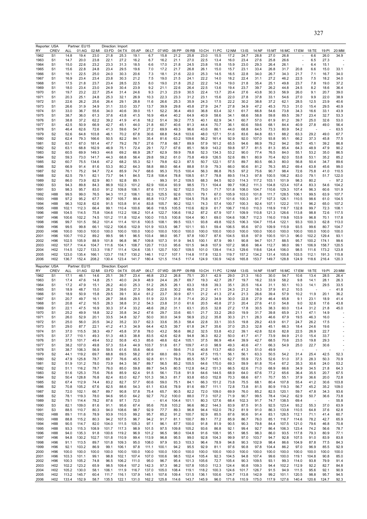| RY           | Reporter: USA<br>CREV              | ALL                | Partner: EU15<br>01:AG | 02:MI          | Direction: Import<br>03:FD | 04:TX          | 05:AP          | 06:LT          | 07:WD          | 08:PP          | 09:RB          | 10:CH          | 11:PC          | 12:NM          | 13:1S          | 14:NF          | 15:MT          | 16:MC          | 17:EM          | 18:TE          | 19:PI          | 20:MM          |
|--------------|------------------------------------|--------------------|------------------------|----------------|----------------------------|----------------|----------------|----------------|----------------|----------------|----------------|----------------|----------------|----------------|----------------|----------------|----------------|----------------|----------------|----------------|----------------|----------------|
| 1962         | S <sub>1</sub>                     | 14.8               | 19.4                   | 23.0           | 21.8                       | 25.3           | 19.1           | 6.7            | 15.8           | 21.2           | 25.8           | 23.0           | 15.5           | 17.2           | 24.7           | 28.8           | 27.0           | 26.8           |                | 6.6            | 26.0           | 34.9           |
| 1963         | S1                                 | 14.7               | 20.0                   | 23.8           | 22.1                       | 27.2           | 16.2           | 6.7            | 16.2           | 21.1           | 27.0           | 22.5           | 13.4           | 16.0           | 23.4           | 27.6           | 25.8           | 26.6           |                | 6.5            | 27.3           |                |
| 1964<br>1965 | S <sub>1</sub><br>S1               | 15.0<br>15.6       | 22.6<br>22.8           | 23.2<br>24.8   | 23.3<br>23.4               | 31.3<br>29.5   | 18.5<br>19.6   | 6.6<br>7.0     | 17.0<br>17.2   | 21.8<br>21.7   | 24.5<br>26.8   | 23.8<br>26.1   | 15.8<br>15.0   | 15.9<br>15.7   | 23.0<br>23.1   | 29.3<br>33.4   | 26.4<br>26.8   | 26.1<br>31.7   | 20.8           | 6.4<br>6.6     | 15.1<br>15.0   | 33.1           |
| 1966         | S <sub>1</sub>                     | 16.1               | 22.5                   | 25.0           | 24.0                       | 30.3           | 20.6           | 7.3            | 18.1           | 21.6           | 22.0           | 25.3           | 14.5           | 16.5           | 22.8           | 34.0           | 26.7           | 34.3           | 21.7           | 7.1            | 16.7           | 34.0           |
| 1967         | S <sub>1</sub><br>S <sub>1</sub>   | 16.9               | 23.4                   | 23.4<br>23.7   | 23.8<br>23.4               | 30.3           | 21.2           | 7.5            | 19.0           | 21.5<br>21.8   | 24.1<br>25.2   | 22.2<br>22.2   | 14.0           | 18.2           | 22.4           | 31.1<br>35.4   | 27.2<br>25.1   | 46.2           | 22.5           | 7.5            | 18.2           | 34.0           |
| 1968<br>1969 | S1                                 | 17.5<br>18.0       | 21.8<br>23.4           | 23.0           | 24.9                       | 28.5<br>30.4   | 22.5<br>23.9   | 8.0<br>9.2     | 19.0<br>21.1   | 22.6           | 26.4           | 22.5           | 14.3<br>13.6   | 19.0<br>19.4   | 21.8<br>23.7   | 39.7           | 26.2           | 49.8<br>44.8   | 23.7<br>24.5   | 7.8<br>8.2     | 19.0<br>18.6   | 37.2<br>36.4   |
| 1970         | S <sub>1</sub>                     | 19.7               | 23.2                   | 22.7           | 25.4                       | 31.4           | 24.6           | 9.3            | 21.3           | 23.9           | 30.5           | 22.4           | 13.7           | 20.4           | 27.6           | 43.8           | 30.3           | 56.9           | 26.0           | 9.1            | 20.7           | 39.0           |
| 1971         | S1                                 | 20.3               | 25.1                   | 24.8           | 25.3                       | 32.1           | 26.9           | 10.3           | 22.3           | 23.3           | 31.2           | 23.1           | 15.6           | 22.0           | 27.8           | 37.8           | 33.1           | 54.6           | 27.0           | 9.9            | 22.0           | 38.9           |
| 1972<br>1973 | S <sub>1</sub><br>S1               | 22.6<br>26.6       | 26.2<br>31.9           | 25.6<br>34.9   | 26.4<br>31.1               | 29.1<br>33.0   | 28.8<br>33.7   | 11.6<br>13.7   | 26.6<br>39.9   | 25.3<br>29.8   | 35.9<br>45.8   | 24.3<br>27.9   | 17.5<br>24.7   | 22.2<br>27.8   | 30.2<br>34.9   | 38.8<br>47.2   | 37.2<br>45.3   | 62.1<br>70.3   | 28.5<br>31.0   | 12.5<br>15.4   | 23.9<br>29.5   | 40.6<br>40.9   |
| 1974         | S <sub>1</sub>                     | 33.0               | 36.7                   | 55.6           | 34.0                       | 40.6           | 39.0           | 15.1           | 52.2           | 36.4           | 49.0           | 36.8           | 63.4           | 32.1           | 61.7           | 66.8           | 54.6           | 73.8           | 34.3           | 16.6           | 33.1           | 43.9           |
| 1975         | S <sub>1</sub><br>S <sub>1</sub>   | 38.7               | 36.0<br>37.2           | 61.3<br>62.2   | 37.6<br>39.2               | 43.8           | 41.5           | 16.9           | 49.4           | 40.2           | 64.9           | 40.9           | 58.6           | 34.1           | 68.6           | 58.8           | 59.8           | 89.5           | 39.7           | 23.4           | 32.7<br>32.6   | 53.3<br>53.0   |
| 1976<br>1977 | S1                                 | 38.8<br>42.5       | 50.9                   | 66.9           | 42.7                       | 41.9<br>45.1   | 41.6<br>44.0   | 18.2<br>21.8   | 51.4<br>60.7   | 39.2<br>40.6   | 77.5<br>81.3   | 40.1<br>44.4   | 62.9<br>70.7   | 34.1<br>36.1   | 60.7<br>60.6   | 57.0<br>59.6   | 61.9<br>68.1   | 81.2<br>84.4   | 39.7<br>40.9   | 25.0<br>27.8   | 49.0           | 56.4           |
| 1978         | S <sub>1</sub>                     | 46.4               | 62.6                   | 72.6           | 41.3                       | 59.6           | 54.7           | 27.2           | 69.9           | 49.3           | 96.6           | 43.6           | 86.1           | 44.0           | 68.8           | 64.5           | 73.3           | 80.9           | 54.2           |                |                | 63.5           |
| 1979<br>1980 | S <sub>2</sub><br>S <sub>2</sub>   | 52.6<br>62.4       | 64.8<br>79.3           | 103.8<br>166.6 | 46.1<br>50.5               | 70.2<br>82.2   | 67.8<br>84.1   | 30.6<br>35.4   | 68.8<br>81.6   | 54.8<br>63.2   | 103.6<br>109.6 | 48.0<br>56.2   | 127.1<br>161.4 | 51.6<br>92.9   | 83.6<br>92.0   | 84.8<br>107.0  | 83.1<br>93.8   | 88.2<br>95.1   | 63.3<br>66.2   | 29.2<br>37.3   | 49.0<br>45.8   | 67.7<br>77.5   |
| 1981         | S <sub>2</sub>                     | 63.7               | 67.0                   | 181.4          | 47.7                       | 79.2           | 78.7           | 27.6           | 77.8           | 68.7           | 89.9           | 57.9           | 161.2          | 65.5           | 94.6           | 86.9           | 79.2           | 94.2           | 59.7           | 45.1           | 39.2           | 86.8           |
| 1982         | S <sub>2</sub>                     | 63.1               | 68.8                   | 162.9          | 46.9                       | 75.1           | 72.4           | 29.1           | 72.7           | 67.6           | 85.1           | 56.9           | 143.2          | 59.8           | 97.7           | 81.5           | 81.3           | 85.4           | 64.3           | 48.9           | 47.9           | 90.2           |
| 1983<br>1984 | S <sub>2</sub><br>S <sub>2</sub>   | 60.5<br>59.3       | 69.9<br>73.0           | 149.3<br>141.7 | 44.6<br>44.3               | 69.2<br>68.8   | 66.9<br>56.4   | 28.7<br>29.8   | 62.9<br>59.2   | 59.9<br>61.0   | 78.8<br>75.8   | 52.3<br>49.9   | 134.3<br>126.5 | 53.2<br>52.6   | 90.0<br>89.1   | 77.4<br>80.9   | 76.5<br>70.4   | 84.0<br>82.0   | 55.1<br>53.8   | 53.2<br>53.1   | 35.0<br>35.2   | 86.5<br>85.2   |
| 1985         | S2                                 | 60.7               | 75.5                   | 134.6          | 47.2                       | 68.2           | 55.3           | 52.1           | 79.8           | 62.3           | 87.5           | 50.7           | 122.1          | 57.5           | 89.7           | 80.5           | 66.3           | 80.0           | 56.8           | 50.4           | 34.7           | 89.6           |
| 1986         | S <sub>2</sub>                     | 66.9               | 91.4                   | 81.6           | 53.3                       | 80.2           | 64.3           | 58.8           | 88.0           | 66.4           | 88.8           | 51.9           | 79.3           | 66.0           | 90.6           | 81.2           | 76.3           | 85.2           | 69.4           | 63.8           | 45.6           | 99.0           |
| 1987<br>1988 | S <sub>2</sub><br>S <sub>2</sub>   | 76.1<br>82.5       | 75.2<br>79.1           | 94.7<br>82.1   | 72.4<br>73.7               | 85.9<br>94.1   | 74.7<br>84.5   | 68.6<br>72.8   | 95.3<br>108.4  | 70.5<br>78.8   | 100.4<br>108.5 | 56.3<br>61.7   | 86.8<br>78.8   | 76.5<br>89.5   | 97.2<br>114.3  | 75.6<br>97.8   | 90.7<br>100.5  | 98.4<br>106.2  | 72.6<br>83.0   | 75.8<br>79.1   | 41.0<br>51.7   | 110.5<br>122.0 |
| 1989         | S <sub>2</sub>                     | 86.0               | 73.9                   | 82.9           | 80.1                       | 92.8           | 89.1           |                | 99.3           | 91.2           | 109.5          | 68.3           | 84.5           | 92.0           | 114.3          | 117.2          | 103.1          | 101.9          | 98.3           | 80.2           |                | 97.2           |
| 1990         | S <sub>3</sub>                     | 94.3               | 89.8                   | 84.3           | 86.9                       | 102.3          | 101.2          | 82.9           | 100.4          | 93.9           | 98.5           | 73.1           | 104.4          | 99.7           | 108.2          | 111.3          | 104.8          | 123.4          | 107.4          | 83.3           | 54.6           | 104.2          |
| 1991<br>1992 | S <sub>3</sub><br>H88              | 98.3<br>99.5       | 95.7<br>99.0           | 83.0<br>76.5   | 91.2<br>94.3               | 109.8<br>111.2 | 106.1<br>106.1 | 87.6<br>92.3   | 117.3<br>125.5 | 92.7<br>92.6   | 102.0<br>105.1 | 75.0<br>79.1   | 71.7<br>67.0   | 101.8<br>105.9 | 108.0<br>103.0 | 104.7<br>101.8 | 110.6<br>111.7 | 129.3<br>128.5 | 107.4<br>106.1 | 96.3<br>99.5   | 60.6<br>63.9   | 101.9<br>107.7 |
| 1993         | H88                                | 97.2               | 95.2                   | 67.7           | 90.7                       | 105.7          | 99.4           | 85.8           | 113.7          | 88.7           | 104.5          | 75.8           | 61.7           | 101.6          | 100.3          | 91.7           | 107.3          | 126.1          | 110.5          | 98.6           | 61.0           | 104.5          |
| 1994         | H88                                | 96.3               | 102.8                  | 62.6           | 91.5                       | 103.8          | 91.4           | 83.8           | 105.7          | 90.2           | 102.1          | 74.3           | 57.4           | 100.7          | 100.3          | 92.4           | 107.1          | 122.2          | 111.1          | 96.2           | 65.0           | 107.2          |
| 1995<br>1996 | H88<br>H88                         | 102.1<br>104.5     | 112.3<br>114.5         | 66.4<br>75.8   | 99.1<br>104.6              | 110.4<br>112.2 | 100.6<br>106.2 | 96.6<br>101.4  | 118.5<br>122.7 | 105.5<br>106.6 | 110.6<br>118.2 | 82.9<br>87.2   | 61.7<br>67.9   | 106.7<br>107.1 | 116.0<br>109.9 | 110.3<br>110.8 | 118.9<br>121.3 | 118.7<br>126.6 | 132.8<br>113.8 | 99.7<br>98.8   | 72.3<br>72.6   | 108.1<br>117.5 |
| 1997         | H96                                | 100.6              | 102.2                  | 74.5           | 101.2                      | 111.8          | 102.4          | 100.0          | 115.5          | 100.8          | 104.4          | 90.1           | 69.0           | 104.6          | 108.7          | 112.3          | 116.0          | 119.8          | 103.9          | 96.8           | 70.1           | 117.8          |
| 1998         | H <sub>96</sub>                    | 99.7               | 101.5                  | 56.2           | 101.4                      | 111.4          | 101.6          | 100.5          | 108.1          | 99.5           | 103.1          | 93.8           | 49.8           | 102.5          | 106.3          | 104.7          | 115.4          | 122.1          | 93.3           | 100.3          | 62.8           | 113.0          |
| 1999<br>2000 | H96<br>H <sub>96</sub>             | 99.5<br>100.0      | 99.8<br>100.0          | 66.1<br>100.0  | 102.2<br>100.0             | 106.6<br>100.0 | 102.9<br>100.0 | 101.9<br>100.0 | 103.5<br>100.0 | 98.7<br>100.0  | 101.1<br>100.0 | 93.1<br>100.0  | 59.4<br>100.0  | 106.5<br>100.0 | 95.6<br>100.0  | 97.0<br>100.0  | 109.9<br>100.0 | 115.9<br>100.0 | 93.5<br>100.0  | 99.6<br>100.0  | 80.7<br>100.0  | 104.7<br>100.0 |
| 2001         | H96                                | 100.7              | 110.2                  | 89.2           | 99.5                       | 98.1           | 96.5           | 103.4          | 98.0           | 95.7           | 97.8           | 100.7          | 87.6           | 104.5          | 93.8           | 97.9           | 100.5          | 101.3          | 96.0           | 102.2          | 129.4          | 93.1           |
| 2002         | H96                                | 102.5              | 105.9                  | 88.9           | 101.8                      | 96.8           | 96.7           | 109.8          | 107.3          | 91.9           | 94.5           | 100.1          | 87.9           | 99.1           | 90.8           | 94.7           | 101.7          | 88.5           | 95.7           | 100.2          | 174.1          | 99.6           |
| 2003<br>2004 | H <sub>02</sub><br>H <sub>02</sub> | 107.7<br>114.5     | 114.4<br>122.7         | 104.7<br>133.3 | 111.6<br>118.7             | 104.1<br>111.4 | 108.7<br>124.6 | 120.7<br>135.1 | 113.0<br>120.7 | 95.6<br>100.7  | 101.5<br>109.5 | 94.8<br>101.0  | 107.9<br>139.4 | 107.2<br>114.3 | 98.6<br>129.6  | 98.4<br>118.6  | 112.7<br>124.4 | 98.0<br>106.0  | 99.1<br>98.5   | 106.9<br>111.6 | 158.7<br>173.2 | 120.5<br>123.8 |
| 2005         | H <sub>02</sub>                    | 123.0              | 135.4                  | 166.1          | 123.7                      | 118.7          | 130.2          | 146.1          | 112.7          | 107.1          | 114.8          | 117.8          | 132.5          | 119.7          | 157.2          | 134.2          | 131.4          | 105.8          | 103.5          | 112.1          | 191.3          | 115.8          |
| 2006         | H <sub>02</sub>                    | 136.7              | 152.4                  | 208.2          | 130.4                      | 123.4          | 141.7          | 180.4          | 121.5          | 114.5          | 117.4          | 124.9          | 130.9          | 142.6          | 165.8          | 153.7          | 149.7          | 128.8          | 124.9          | 118.6          | 216.4          | 120.3          |
|              |                                    |                    |                        |                |                            |                |                |                |                |                |                |                |                |                |                |                |                |                |                |                |                |                |
|              | Reporter: USA                      |                    | Partner: EU15          |                | Direction: Export          |                |                |                |                |                |                |                |                |                |                |                |                |                |                |                |                |                |
| RY<br>1962   | CREV<br>S <sub>1</sub>             | <b>ALL</b><br>17.1 | 01:AG<br>46.1          | 02:MI<br>14.6  | 03:FD<br>25.1              | 04:TX<br>39.7  | 05:AP<br>23.4  | 06:LT<br>46.8  | 07:WD<br>23.2  | 08:PP<br>26.8  | 09:RB<br>75.1  | 10:CH<br>20.1  | 11:PC<br>42.9  | 12:NM<br>29.0  | 13:IS<br>21.3  | 14:NF<br>16.0  | 15:MT<br>30.0  | 16:MC<br>54.7  | 17:EM<br>10.6  | 18:TE<br>13.4  | 19:PI<br>28.5  | 20:MM<br>26.4  |
| 1963         | S <sub>1</sub>                     | 17.4               | 47.6                   | 14.8           | 25.1                       | 40.0           | 24.9           | 48.9           | 24.4           | 26.7           | 69.7           | 19.3           | 42.7           | 28.7           | 19.7           | 16.2           | 33.9           | 58.2           | 9.8            | 14.1           | 28.1           | 26.3           |
| 1964         | S <sub>1</sub>                     | 17.2               | 47.9                   | 15.1           | 26.2                       | 40.0           | 25.3           | 51.2           | 26.5           | 26.1           | 63.3           | 18.8           | 39.3           | 35.1           | 20.5           | 16.4           | 31.1           | 50.1           | 10.3           | 14.1           | 29.5           | 33.5           |
| 1965<br>1966 | S <sub>1</sub><br>S <sub>1</sub>   | 18.9<br>18.9       | 48.7<br>50.9           | 15.0<br>15.8   | 28.2<br>29.5               | 39.6<br>39.1   | 27.3<br>30.4   | 56.6<br>61.2   | 22.6<br>23.7   | 30.2<br>30.9   | 66.5<br>67.1   | 21.2<br>21.2   | 41.1<br>41.3   | 24.3<br>27.4   | 21.2<br>21.3   | 18.3<br>26.6   | 37.9<br>39.4   | 61.2<br>57.9   | 10.5<br>10.2   | 11.9           | 20.1           | 41.8<br>36.2   |
| 1967         | S1                                 | 20.7               | 49.7                   | 16.1           | 28.7                       | 38.6           | 29.5           | 51.9           | 22.5           | 31.8           | 71.4           | 20.2           | 34.9           | 30.0           | 22.8           | 27.9           | 46.4           | 65.8           | 9.1            | 23.1           | 18.9           | 41.4           |
| 1968<br>1969 | S <sub>1</sub><br>S <sub>1</sub>   | 20.8<br>22.1       | 47.2<br>47.5           | 16.5<br>16.9   | 28.3<br>30.3               | 38.8<br>37.4   | 31.2<br>33.2   | 54.3<br>48.6   | 23.8<br>28.2   | 31.0           | 61.6<br>63.1   | 20.5<br>20.5   | 40.8<br>32.8   | 27.3<br>27.2   | 20.4<br>17.8   | 27.6<br>30.5   | 41.0<br>38.3   | 54.8<br>60.0   | 9.0<br>13.4    | 32.6<br>31.2   | 17.6<br>21.8   | 43.8<br>45.0   |
| 1970         | S <sub>1</sub>                     | 25.2               | 49.9                   | 18.8           | 32.2                       | 35.8           | 34.2           | 47.6           | 29.7           | 31.1<br>33.6   | 60.1           | 21.7           | 33.2           | 28.0           | 19.9           | 31.7           | 39.8           | 65.9           | 21.1           | 47.1           | 14.9           |                |
| 1971         | S1                                 | 26.0               | 52.9                   | 20.1           | 33.5                       | 34.8           | 32.7           | 50.0           | 30.0           | 34.9           | 56.9           | 23.2           | 35.8           | 30.3           | 21.1           | 28.3           | 46.6           | 67.9           | 19.5           | 46.3           | 16.0           |                |
| 1972<br>1973 | S1<br>S <sub>1</sub>               | 25.0<br>29.0       | 56.0<br>87.7           | 20.5<br>22.1   | 34.2<br>41.2               | 35.2<br>41.3   | 33.7<br>34.9   | 62.3<br>64.4   | 33.6<br>42.5   | 35.3<br>39.7   | 58.4<br>61.8   | 22.8<br>24.7   | 33.1<br>35.6   | 33.5<br>37.0   | 19.8<br>25.3   | 29.2<br>32.8   | 43.9<br>45.1   | 61.7<br>66.3   | 24.7<br>18.4   | 26.2<br>24.6   | 17.5<br>19.6   |                |
| 1974         | S <sub>1</sub>                     | 37.0               | 115.5                  | 38.3           | 49.7                       | 45.8           | 37.8           | 78.0           | 43.2           | 56.6           | 86.2           | 32.5           | 53.8           | 43.2           | 39.1           | 42.8           | 52.6           | 82.8           | 22.5           | 26.9           | 22.7           | ä,             |
| 1975         | S <sub>1</sub>                     | 37.7               | 110.1                  | 49.3           | 51.3                       | 48.3           | 38.8           | 83.5           | 42.6           | 62.8           | 94.8           | 36.3           | 82.2           | 50.0           | 41.7           | 41.7           | 73.9           | 84.9           | 21.0           | 15.4           | 33.7           |                |
| 1976<br>1977 | S <sub>1</sub><br>S <sub>1</sub>   | 37.5<br>38.2       | 101.7<br>107.0         | 49.4<br>49.8   | 53.2<br>57.3               | 50.8<br>53.4   | 43.3<br>44.9   | 85.6<br>103.7  | 48.6<br>51.6   | 62.4<br>61.7   | 105.1<br>109.7 | 37.5<br>41.0   | 86.9<br>98.9   | 48.4<br>49.3   | 39.9<br>40.6   | 42.7<br>47.1   | 68.5<br>66.3   | 70.6<br>54.9   | 23.5<br>25.0   | 19.8<br>22.7   | 29.3<br>30.6   |                |
| 1978         | S <sub>1</sub>                     | 38.7               | 106.3                  | 56.9           | 59.5                       | 61.6           | 55.6           | 66.6           |                | 59.6           | 71.0           | 40.8           | 113.7          | 48.0           | 41.3           | 51.0           | 49.9           |                |                |                |                |                |
| 1979         | S <sub>2</sub>                     | 44.1               | 119.2                  | 69.7           | 68.8                       | 69.5           | 58.2           | 87.9           | 68.0           | 69.3           | 75.9           | 47.5           | 115.1          | 56.1           | 56.1           | 63.3           | 50.5           | 54.2           | 31.4           | 25.4           | 42.5           | 52.3           |
| 1980<br>1981 | S <sub>2</sub><br>S <sub>2</sub>   | 47.9<br>51.9       | 125.8<br>131.2         | 78.7<br>78.0   | 69.7<br>73.9               | 76.6<br>84.3   | 45.5<br>56.7   | 92.8<br>89.7   | 61.1<br>56.5   | 79.8<br>85.2   | 85.5<br>105.5  | 55.7<br>64.6   | 145.1<br>170.0 | 62.7<br>69.3   | 55.9<br>59.9   | 72.5<br>81.8   | 52.6<br>70.4   | 51.0<br>67.2   | 37.3<br>35.3   | 28.3<br>30.6   | 50.3<br>24.0   | 70.9<br>53.2   |
| 1982         | S <sub>2</sub>                     | 51.1               | 116.2                  | 78.7           | 76.0                       | 85.0           | 59.8           | 89.7           | 54.5           | 80.5           | 112.8          | 64.2           | 151.3          | 66.5           | 62.6           | 71.0           | 68.9           | 66.6           | 34.9           | 34.5           | 21.8           | 64.3           |
| 1983<br>1984 | S <sub>2</sub><br>S <sub>2</sub>   | 51.6<br>50.4       | 125.3<br>128.8         | 75.6<br>76.8   | 76.6<br>82.4               | 85.9<br>83.0   | 62.4           | 91.5<br>101.3  | 56.1<br>56.3   | 73.8           | 91.9<br>93.8   | 64.6<br>65.0   | 144.5<br>152.8 | 68.9<br>70.3   | 64.0<br>68.6   | 67.6<br>67.1   | 77.2<br>70.7   | 65.6<br>55.1   | 36.4<br>37.9   | 35.5<br>36.6   | 20.7<br>20.0   | 67.5<br>72.8   |
| 1985         | S <sub>2</sub>                     | 67.4               | 112.9                  | 74.4           | 83.2                       | 82.7           | 62.7<br>57.7   | 60.6           | 59.0           | 81.7<br>75.1   | 84.1           | 66.3           | 151.2          | 73.8           | 75.5           | 68.1           | 80.4           | 107.8          | 55.4           | 41.2           | 30.6           | 103.8          |
| 1986         | S <sub>2</sub>                     | 70.8               | 105.2                  | 67.6           | 82.5                       | 88.6           | 54.3           | 61.1           | 63.6           | 78.9           | 81.6           | 69.7           | 111.1          | 72.8           | 73.8           | 81.5           | 80.9           | 119.3          | 56.7           | 45.2           | 35.2           | 109.0          |
| 1987<br>1988 | S <sub>2</sub><br>S <sub>2</sub>   | 72.0<br>78.1       | 102.1<br>119.3         | 66.7<br>78.0   | 89.7<br>94.6               | 90.8<br>95.0   | 57.8<br>64.2   | 75.4           | 65.7<br>70.2   | 90.5<br>100.0  | 82.2<br>88.0   | 72.0           | 109.0<br>107.2 | 69.9<br>71.9   | 76.0<br>90.7   | 85.2<br>99.5   | 82.5<br>78.4   | 120.1<br>134.2 | 59.7<br>62.9   | 47.8<br>50.7   | 34.3           | 93.6           |
| 1989         | S <sub>2</sub>                     | 79.1               | 114.4                  | 78.2           | 87.6                       | 97.1           | 72.0           | 92.7           | 61.4           | 104.4          | 101.1          | 77.3<br>80.3   | 127.6          | 68.4           | 102.3          | 91.7           | 74.7           | 138.5          | 69.4           | ÷,             | 36.6<br>J.     | 73.8<br>55.8   |
| 1990         | S <sub>3</sub>                     | 82.1               | 109.0                  | 81.6           | 91.1                       | 95.6           | 67.4           | 95.6           | 70.8           | 103.2          | 96.6           | 86.2           | 144.3          | 83.9           | 87.5           | 91.5           | 92.5           | 123.4          | 93.2           | 55.3           | 37.0           | 63.9           |
| 1991<br>1992 | S <sub>3</sub><br>H88              | 88.5<br>89.1       | 110.7<br>111.6         | 80.3<br>78.9   | 94.0<br>93.9               | 108.6<br>110.5 | 98.7<br>99.2   | 92.9<br>95.7   | 77.7<br>85.2   | 89.3<br>91.2   | 96.8<br>100.7  | 94.4<br>92.9   | 102.0<br>85.5  | 78.2<br>87.6   | 81.9<br>90.6   | 91.0<br>91.4   | 86.3<br>83.1   | 133.8<br>126.5 | 110.5<br>112.1 | 64.8<br>71.1   | 37.6<br>41.4   | 62.8<br>60.7   |
| 1993         | H88                                | 88.8               | 115.2                  | 80.3           | 94.2                       | 107.5          | 96.7           | 94.2           | 91.7           | 81.1           | 100.7          | 89.1           | 77.2           | 85.9           | 86.7           | 76.0           | 85.1           | 116.7          | 114.6          | 78.2           | 42.7           | 65.9           |
| 1994         | H88                                | 90.5               | 114.7                  | 82.0           | 104.0                      | 111.5          | 105.3          | 97.1           | 96.1           | 87.7           | 100.0          | 91.8           | 81.9           | 90.5           | 90.3           | 79.8           | 84.4           | 107.5          | 121.0          | 79.6           | 46.8           | 70.8           |
| 1995<br>1996 | H88<br>H88                         | 93.3<br>94.0       | 115.3<br>135.3         | 108.9<br>91.8  | 101.7<br>100.6             | 117.3<br>119.2 | 98.9<br>96.9   | 101.5<br>101.2 | 97.5<br>96.5   | 109.8<br>98.0  | 105.2<br>104.8 | 93.6<br>91.6   | 86.8<br>108.1  | 92.1<br>95.1   | 99.4<br>98.5   | 92.7<br>98.3   | 86.4<br>86.0   | 106.3<br>93.5  | 123.4<br>117.8 | 74.2<br>79.3   | 56.6<br>80.9   | 78.7<br>77.1   |
| 1997         | H96                                | 94.8               | 130.2                  | 102.7          | 101.8                      | 110.9          | 99.4           | 113.9          | 96.8           | 95.5           | 99.0           | 92.8           | 104.3          | 99.9           | 97.0           | 103.7          | 94.7           | 92.8           | 107.5          | 91.0           | 83.9           | 83.8           |
| 1998         | H96                                | 91.1               | 113.5                  | 89.7           | 101.8                      | 109.3          | 95.0           | 108.0          | 97.9           | 93.3           | 103.3          | 96.4           | 78.9           | 94.8           | 90.3           | 102.9          | 98.4           | 86.6           | 104.9          | 87.8           | 77.5           | 84.3           |
| 1999         | H96<br>H96                         | 92.1<br>100.0      | 103.2<br>100.0         | 86.9<br>100.0  | 99.1<br>100.0              | 106.1<br>100.0 | 97.8<br>100.0  | 111.1<br>100.0 | 100.1<br>100.0 | 94.2<br>100.0  | 95.5<br>100.0  | 92.9<br>100.0  | 81.1<br>100.0  | 97.6<br>100.0  | 90.8<br>100.0  | 97.8<br>100.0  | 104.4<br>100.0 | 86.2<br>100.0  | 97.0<br>100.0  | 96.9<br>100.0  | 85.5<br>100.0  | 92.9<br>100.0  |
| 2000<br>2001 | H96                                | 103.3              | 101.1                  | 99.1           | 98.8                       | 102.1          | 107.4          | 107.0          | 100.6          | 98.5           | 102.4          | 105.4          | 92.3           | 104.5          | 94.8           | 107.4          | 99.6           | 100.0          | 119.1          | 104.8          | 90.8           | 85.0           |
| 2002<br>2003 | H96<br>H <sub>02</sub>             | 100.3<br>102.2     | 105.2<br>123.2         | 74.8<br>65.9   | 96.5<br>98.5               | 106.2<br>109.4 | 111.0<br>107.2 | 95.0<br>142.3  | 96.7<br>97.3   | 95.4<br>98.2   | 101.3<br>107.8 | 105.6<br>105.0 | 72.7<br>112.3  | 105.4<br>124.4 | 90.3<br>90.8   | 109.5<br>109.3 | 93.1<br>94.4   | 99.3<br>102.2  | 114.0<br>112.9 | 93.8<br>92.2   | 79.9<br>82.7   | 91.4<br>84.8   |
| 2004<br>2005 | H <sub>02</sub><br>H <sub>02</sub> | 105.2<br>113.2     | 130.0<br>145.7         | 58.1<br>60.4   | 106.1<br>111.7             | 111.9<br>116.1 | 116.7<br>137.9 | 137.0<br>145.1 | 105.0<br>107.6 | 108.4<br>109.4 | 119.1<br>131.5 | 118.2<br>136.1 | 100.3<br>100.6 | 124.6<br>124.7 | 101.7<br>113.8 | 126.7<br>142.9 | 91.5<br>99.2   | 94.9<br>101.1  | 111.5<br>120.5 | 95.6<br>98.8   | 92.1<br>95.7   | 90.9<br>94.5   |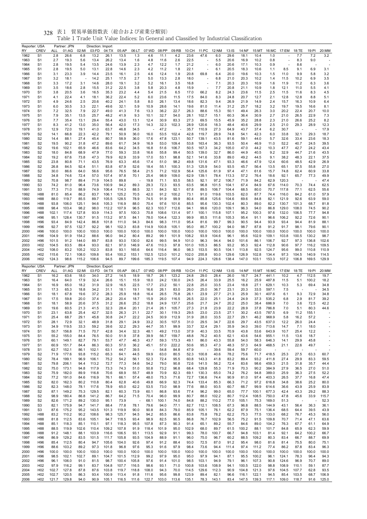| Reporter: USA<br>RY | <b>CREV</b>                        | ALL            | Partner: JPN<br>01:AG | 02:MI          | Direction: Import<br>03:FD | 04:TX          | 05:AP          | 06:LT          | 07:WD          | 08:PP          | 09:RB          | 10:CH          | 11:PC          | 12:NM          | 13:IS          | 14:NF          | 15:MT          | 16:MC          | 17:EM          | 18:TE                    | 19:PI          | 20:MM          |
|---------------------|------------------------------------|----------------|-----------------------|----------------|----------------------------|----------------|----------------|----------------|----------------|----------------|----------------|----------------|----------------|----------------|----------------|----------------|----------------|----------------|----------------|--------------------------|----------------|----------------|
| 1962                | S <sub>1</sub>                     | 2.8            | 26.6                  | 6.8            | 13.2                       | 26.1           | 13.5           | 1.3            | 4.6            | 11.1           | 4.2            | 23.6           | 47.6           | 6.0            | 29.6           | 18.1           | 10.4           | 1.0            |                | 7.7                      | 7.2            | 3.2            |
| 1963                | S <sub>1</sub>                     | 2.7            | 19.3                  | 5.6            | 13.4                       | 26.2           | 13.4           | 1.6            | 4.8            | 11.6           | 2.6            | 22.5           |                | 5.5            | 20.6           | 16.9           | 10.2           | 0.8            |                | 8.3                      | 9.0            |                |
| 1964                | S <sub>1</sub>                     | 2.8            | 19.5                  | 5.4            | 13.5                       | 24.6           | 13.9           | 2.3            | 4.7            | 12.2           | 1.7            | 21.2           | ä,             | 6.0            | 20.6           | 17.1           | 10.3           | 0.9            |                | 8.6                      |                |                |
| 1965<br>1966        | S <sub>1</sub><br>S <sub>1</sub>   | 2.8<br>3.1     | 19.5<br>23.3          | 5.0<br>3.9     | 13.1<br>14.4               | 22.8<br>23.5   | 14.6<br>16.1   | 2.3<br>2.5     | 4.2<br>4.6     | 11.2<br>12.4   | 1.8<br>1.9     | 22.1<br>20.8   | 69.8           | 6.1<br>6.4     | 20.5<br>20.0   | 18.3<br>19.6   | 10.6<br>10.3   | 1.1<br>1.5     | 8.5<br>11.0    | 9.1<br>9.9               | 6.9<br>5.8     | 3.1<br>3.2     |
| 1967                | S <sub>1</sub>                     | 3.2            | 18.1                  |                | 14.2                       | 25.1           | 17.5           | 2.7            | 5.0            | 13.3           | 2.8            | 18.0           |                | 6.8            | 21.0           | 20.3           | 10.2           | 1.4            | 11.5           | 10.2                     | 6.9            | 3.5            |
| 1968                | S <sub>1</sub>                     | 3.3            | 17.2                  | 3.1            | 14.6                       | 28.0           | 19.1           | 3.2            | 5.2            | 16.1           | 3.5            | 16.8           | ä,             | 7.1            | 20.3           | 20.3           | 10.9           | 1.6            | 11.9           | 11.2                     | 6.3            | 3.6            |
| 1969                | S <sub>1</sub>                     | 3.5            | 18.6                  | 2.8            | 15.5                       | 31.2           | 22.5           | 3.8            | 5.8            | 20.3           | 4.8            | 15.9           |                | 7.7            | 20.8           | 21.1           | 10.9           | 1.8            | 12.1           | 11.0                     | 5.5            | 4.1            |
| 1970                | S <sub>1</sub>                     | 3.8            | 20.5                  | 3.6            | 16.5                       | 35.3           | 23.2           | 4.4            | 5.4            | 21.5           | 6.5            | 17.0           | 66.2           | 8.2            | 24.3           | 23.6           | 11.5           | 2.5            | 11.5           | 11.6                     | 8.3            | 4.5            |
| 1971<br>1972        | S <sub>1</sub><br>S <sub>1</sub>   | 4.1<br>4.9     | 22.4<br>24.6          | 4.1<br>2.5     | 18.1<br>20.6               | 36.2<br>40.2   | 22.4<br>24.1   | 5.2<br>5.8     | 6.0<br>8.0     | 23.6<br>26.1   | 11.5<br>13.4   | 17.5<br>18.6   | 84.0<br>82.3   | 8.3<br>9.4     | 24.8<br>26.9   | 20.7<br>21.9   | 12.7<br>14.9   | 2.1<br>2.4     | 12.8<br>15.7   | 12.8<br>16.3             | 8.8<br>10.9    | 5.1<br>6.4     |
| 1973                | S <sub>1</sub>                     | 6.0            | 30.5                  | 3.3            | 22.1                       | 49.6           | 32.1           | 5.9            | 10.9           | 28.6           | 14.1           | 19.6           | 81.0           | 11.4           | 31.2           | 25.7           | 18.2           | 3.2            | 19.7           | 19.5                     | 16.6           | 8.1            |
| 1974                | S <sub>1</sub>                     | 7.2            | 32.5                  | 7.9            | 22.7                       | 49.0           | 41.3           | 7.6            | 13.3           | 36.2           | 22.7           | 26.3           | 88.6           | 15.3           | 50.1           | 49.4           | 26.3           | 3.0            | 20.2           | 22.4                     | 20.7           | 10.0           |
| 1975                | S <sub>1</sub>                     | 7.9            | 35.1                  | 13.5           | 25.7                       | 48.2           | 41.9           | 9.3            | 10.1           | 32.7           | 54.0           | 28.1           | 102.7          | 15.1           | 60.3           | 36.4           | 30.9           | 2.7            | 21.0           | 26.5                     | 22.9           | 7.3            |
| 1976                | S <sub>1</sub><br>S <sub>1</sub>   | 7.7            | 35.4<br>41.2          | 13.1           | 29.4                       | 55.4<br>56.4   | 43.0           | 13.1           | 12.4<br>14.3   | 30.9           | 83.3<br>102.3  | 27.3<br>28.9   | 69.5<br>120.6  | 15.5<br>18.3   | 45.9<br>48.4   | 35.2<br>40.6   | 28.8<br>29.9   | 2.3            | 21.0<br>21.0   | 26.6<br>29.3             | 25.2<br>28.9   | 8.2            |
| 1977<br>1978        | S1                                 | 8.3<br>12.9    | 72.0                  | 13.0<br>19.1   | 35.0<br>41.0               | 63.7           | 42.0<br>46.8   | 17.3<br>34.5   |                | 32.3<br>47.2   |                | 35.7           | 110.9          | 27.3           | 64.9           | 43.7           | 37.4           | 2.5<br>6.2     | 30.7           |                          |                | 12.3<br>17.9   |
| 1979                | S <sub>2</sub>                     | 14.1           | 66.8                  | 22.3           | 42.2                       | 79.1           | 50.9           | 36.0           | 16.0           | 53.5           | 102.4          | 42.8           | 119.7          | 28.9           | 74.8           | 54.1           | 42.3           | 6.0            | 33.8           | 32.1                     | 29.3           | 18.7           |
| 1980                | S <sub>2</sub>                     | 14.4           | 88.1                  | 27.4           | 45.4                       | 80.7           | 58.9           | 36.0           | 17.6           | 47.8           | 123.1          | 50.7           | 139.1          | 43.5           | 81.6           | 59.1           | 44.0           | 5.7            | 32.6           | 33.4                     | 23.6           | 18.3           |
| 1981                | S <sub>2</sub>                     | 19.5           | 90.2                  | 31.8           | 47.2                       | 89.6           | 61.7           | 34.9           | 16.9           | 53.0           | 109.4          | 53.8           | 163.4          | 36.3           | 93.5           | 50.4           | 46.9           | 11.0           | 52.2           | 40.7                     | 24.5           | 39.5           |
| 1982                | S <sub>2</sub>                     | 19.6           | 102.1                 | 65.9           | 46.6                       | 83.6           | 64.2           | 34.5           | 16.8           | 51.6           | 106.7          | 50.5           | 167.3          | 34.2           | 105.0          | 47.0           | 44.2           | 10.3           | 47.7           | 42.7                     | 24.2           | 43.4           |
| 1983<br>1984        | S <sub>2</sub><br>S <sub>2</sub>   | 18.0<br>19.2   | 84.8<br>67.6          | 68.9<br>73.8   | 47.9<br>47.3               | 77.0<br>79.9   | 59.3<br>62.9   | 33.8<br>33.9   | 16.6<br>17.0   | 55.8<br>53.1   | 99.4<br>98.8   | 50.5<br>52.1   | 139.0<br>141.6 | 32.7<br>33.8   | 86.0<br>89.0   | 44.9<br>49.2   | 40.5<br>44.5   | 9.2<br>9.1     | 32.9<br>38.2   | 44.7<br>48.3             | 21.6<br>22.1   | 43.5<br>37.5   |
| 1985                | S <sub>2</sub>                     | 23.8           | 80.8                  | 71.1           | 43.5                       | 76.9           | 63.3           | 45.6           | 17.4           | 51.0           | 98.2           | 49.8           | 131.6          | 47.1           | 93.3           | 46.6           | 47.9           | 12.4           | 60.6           | 48.5                     | 42.9           | 26.9           |
| 1986                | S2                                 | 26.8           | 84.5                  | 92.4           | 51.1                       | 83.8           | 67.9           | 52.6           | 18.4           | 55.1           | 100.3          | 51.3           | 125.9          | 54.0           | 93.5           | 45.7           | 56.4           | 13.5           | 65.1           | 57.5                     | 55.8           | 27.0           |
| 1987                | S <sub>2</sub>                     | 30.0           | 86.6                  | 64.0           | 56.6                       | 95.6           | 76.5           | 58.4           | 21.5           | 71.2           | 102.9          | 56.4           | 125.6          | 61.9           | 97.4           | 47.1           | 61.6           | 15.7           | 74.8           | 62.4                     | 60.9           | 33.8           |
| 1988                | S <sub>2</sub>                     | 34.8           | 74.6                  | 72.4           | 57.0                       | 107.4          | 97.8           | 70.1           | 25.4           | 98.9           | 109.0          | 62.9           | 139.1          | 78.4           | 113.3          | 57.2           | 76.4           | 18.6           | 92.1<br>120.3  | 65.7                     | 77.3           | 49.9           |
| 1989<br>1990        | S <sub>2</sub><br>S <sub>3</sub>   | 70.8<br>74.2   | 98.7<br>81.0          | 89.4<br>96.4   | 71.9<br>73.6               | 104.5<br>100.9 | 89.8<br>94.2   | 89.3           | 19.8<br>29.3   | 71.1<br>72.3   | 93.5<br>93.5   | 58.5<br>63.5   | 92.1<br>96.8   | 97.2<br>101.5  | 106.7<br>104.1 | 71.9<br>67.4   | 84.2<br>84.9   | 62.9<br>67.6   | 114.0          | 70.3                     | 74.4           | 47.4<br>62.5   |
| 1991                | S <sub>3</sub>                     | 77.3           | 71.0                  | 88.9           | 74.9                       | 106.4          | 114.3          | 88.5           | 32.1           | 84.3           | 92.1           | 67.8           | 89.5           | 106.7          | 104.4          | 68.5           | 80.0           | 70.7           | 117.8          | 77.1                     | 62.5           | 55.6           |
| 1992                | H88                                | 81.0           | 85.4                  | 86.2           | 83.7                       | 106.1          | 125.2          | 70.5           | 42.0           | 91.2           | 100.2          | 73.1           | 91.0           | 119.6          | 103.5          | 62.0           | 87.7           | 74.4           | 116.0          | 84.2                     | 61.0           | 57.9           |
| 1993                | H88                                | 88.0           | 119.7                 | 85.5           | 89.7                       | 105.5          | 128.5          | 78.9           | 74.5           | 91.9           | 99.9           | 80.4           | 85.8           | 125.6          | 104.6          | 69.6           | 84.8           | 82.1           | 121.9          | 92.6                     | 63.9           | 59.0           |
| 1994                | H88                                | 93.8           | 106.0                 | 125.1          | 94.6                       | 105.3          | 116.9          | 88.0           | 70.4           | 97.6           | 101.6          | 85.5           | 95.6           | 130.3          | 102.4          | 80.3           | 89.0           | 82.2           | 130.7          | 101.3                    | 68.7           | 81.8           |
| 1995<br>1996        | H88<br>H88                         | 98.4<br>102.1  | 103.4<br>117.4        | 98.2<br>127.8  | 98.0<br>93.9               | 112.2<br>114.3 | 107.9<br>97.5  | 96.5<br>100.3  | 62.3<br>70.8   | 103.7<br>108.6 | 112.6<br>131.4 | 94.1<br>97.1   | 99.6<br>100.1  | 120.0<br>115.8 | 109.1<br>107.1 | 96.3<br>95.2   | 94.0<br>100.3  | 86.8<br>97.6   | 129.0<br>132.0 | 108.0<br>106.5           | 74.5<br>77.7   | 90.2<br>94.8   |
| 1997                | H <sub>96</sub>                    | 95.1           | 128.4                 | 130.7          | 91.5                       | 113.2          | 97.5           | 84.1           | 78.0           | 104.4          | 122.3          | 99.9           | 85.5           | 111.6          | 105.3          | 95.4           | 91.1           | 96.6           | 106.2          | 92.2                     | 72.6           | 90.1           |
| 1998                | H96                                | 93.4           | 84.9                  | 142.4          | 86.8                       | 101.8          | 111.0          | 94.3           | 84.6           | 98.3           | 111.0          | 95.4           | 81.6           | 99.7           | 99.3           | 90.5           | 94.4           | 93.9           | 93.4           | 94.4                     | 81.9           | 88.1           |
| 1999                | H <sub>96</sub>                    | 92.7           | 97.5                  | 132.7          | 92.2                       | 98.1           | 102.3          | 83.8           | 114.9          | 100.8          | 105.1          | 95.0           | 85.7           | 100.2          | 94.0           | 98.7           | 87.8           | 91.2           | 91.7           | 98.1                     | 79.6           | 90.1           |
| 2000                | H96                                | 100.0          | 100.0                 | 100.0          | 100.0                      | 100.0          | 100.0          | 100.0          | 100.0          | 100.0          | 100.0          | 100.0          | 100.0          | 100.0          | 100.0          | 100.0          | 100.0          | 100.0          | 100.0          | 100.0                    | 100.0          | 100.0          |
| 2001<br>2002        | H <sub>96</sub><br>H96             | 104.9<br>101.5 | 91.9<br>91.2          | 154.2<br>144.0 | 88.6<br>89.7               | 96.0<br>83.8   | 94.2<br>93.0   | 80.4<br>130.0  | 89.2<br>82.6   | 99.1<br>99.5   | 101.9<br>94.9  | 108.2<br>101.0 | 93.9<br>96.3   | 104.6<br>94.4  | 96.1<br>94.0   | 95.6<br>101.6  | 102.9<br>86.1  | 109.1<br>106.7 | 103.8<br>92.7  | 100.5<br>97.3            | 130.2<br>136.8 | 98.7<br>102.6  |
| 2003                | H <sub>02</sub>                    | 104.5          | 83.5                  | 89.4           | 93.0                       | 82.1           | 97.0           | 146.9          | 47.6           | 110.3          | 97.8           | 101.0          | 105.3          | 86.5           | 93.2           | 95.3           | 92.4           | 112.8          | 90.6           | 97.7                     | 116.2          | 109.5          |
| 2004                | H <sub>02</sub>                    | 108.0          | 83.2                  | 105.2          | 102.3                      | 83.8           | 93.1           | 165.6          | 64.6           | 116.4          | 96.0           | 98.3           | 153.5          | 90.5           | 104.1          | 113.8          | 92.5           | 124.7          | 95.6           | 99.0                     | 110.8          | 110.9          |
| 2005                | H <sub>02</sub>                    | 115.6          | 72.1                  | 108.0          | 109.8                      | 93.4           | 100.2          | 153.1          | 152.5          | 123.0          | 101.2          | 102.0          | 255.8          | 93.0           | 129.6          | 126.9          | 102.8          | 134.4          | 97.3           | 104.5                    | 140.9          | 114.5          |
| 2006                | H <sub>02</sub>                    | 124.3          | 98.6                  | 115.2          | 106.6                      | 94.5           | 89.7           | 199.6          | 185.3          | 119.5          | 107.4          | 94.9           | 224.3          | 128.6          | 138.4          | 147.0          | 103.1          | 153.3          | 107.2          | 106.8                    | 169.5          | 129.9          |
|                     |                                    |                |                       |                |                            |                |                |                |                |                |                |                |                |                |                |                |                |                |                |                          |                |                |
| Reporter: USA       |                                    |                | Partner: JPN          |                | Direction: Export          |                |                |                |                |                |                |                |                |                |                |                |                |                |                |                          |                |                |
| RY                  | CREV                               | ALL            | 01:AG                 | 02:MI          | 03:FD                      | 04:TX          | 05:AP          | 06:LT          | 07:WD          | 08:PP          | 09:RB          | 10:CH          | 11:PC          | 12:NM          | 13:IS          | 14:NF          | 15:MT          | 16:MC          | 17:EM          | 18:TE                    | 19:PI          | 20:MM          |
| 1962                | S <sub>1</sub>                     | 16.2           | 63.6                  | 18.0           | 34.0                       | 27.2           | 14.5           | 18.9           | 18.7           | 26.1           | 123.2          | 24.8           | 29.0           | 28.4           | 26.0           | 16.7           | 24.7           | 441.1          | 10.2           | 4.7                      | 112.5          | 19.7           |
| 1963<br>1964        | S <sub>1</sub><br>S <sub>1</sub>   | 16.4<br>16.9   | 64.0<br>65.0          | 17.9<br>18.2   | 32.4<br>31.9               | 26.6<br>32.9   | 15.1<br>16.5   | 15.9<br>22.5   | 18.0<br>17.7   | 24.2<br>23.2   | 130.0<br>50.1  | 24.5<br>22.8   | 26.4<br>25.0   | 33.9<br>33.5   | 25.5<br>23.4   | 16.2<br>18.8   | 25.9<br>27.1   | 487.8<br>629.1 | 11.5<br>10.3   | 5.1<br>5.3               | 100.2<br>69.4  | 18.2<br>34.8   |
| 1965                | S <sub>1</sub>                     | 17.3           | 65.3                  | 18.8           | 34.2                       | 31.1           | 18.1           | 19.1           | 16.6           | 26.1           | 83.0           | 26.0           | 25.0           | 36.7           | 23.1           | 20.3           | 33.5           | 597.1          | 7.5            |                          |                | 34.5           |
| 1966                | S <sub>1</sub>                     | 18.1           | 67.8                  | 19.6           | 37.2                       | 28.3           | 25.9           | 18.8           | 16.4           | 26.5           | 75.8           | 26.1           | 23.9           | 27.7           | 21.3           | 25.9           | 30.1           | 407.6          | 6.1            | 9.3                      | 72.9           | 34.8           |
| 1967                | S <sub>1</sub>                     | 17.5           | 59.8                  | 20.0           | 37.4                       | 28.2           | 20.4           | 18.7           | 15.9           | 26.0           | 116.5          | 26.5           | 22.0           | 25.1           | 24.4           | 24.9           | 37.3           | 535.2          | 6.8            | 2.9                      | 81.7           | 39.2           |
| 1968                | S <sub>1</sub>                     | 18.1           | 58.9                  | 20.6           | 37.5                       | 31.2           | 26.6           | 25.2           | 18.8           | 24.9           | 137.7          | 25.6           | 21.7           | 24.7           | 20.2           | 25.0           | 38.4           | 686.9          | 7.0            | 3.6                      | 72.5           | 42.2           |
| 1969<br>1970        | S <sub>1</sub><br>S <sub>1</sub>   | 19.6<br>23.1   | 60.5<br>63.8          | 21.3<br>25.4   | 41.5<br>42.7               | 32.3<br>32.5   | 28.4<br>26.3   | 20.1<br>21.1   | 21.4<br>22.7   | 26.1<br>30.1   | 105.7<br>119.3 | 27.3<br>29.5   | 21.8<br>23.0   | 23.9<br>23.5   | 22.2<br>27.1   | 28.9<br>30.2   | 37.8<br>43.5   | 786.8<br>787.5 | 7.0<br>6.9     | 5.1<br>11.2              | 80.3<br>155.1  | 44.6           |
| 1971                | S <sub>1</sub>                     | 25.4           | 68.7                  | 29.1           | 45.8                       | 30.8           | 24.7           | 22.2           | 24.5           | 30.9           | 112.9          | 31.9           | 28.0           | 33.5           | 22.7           | 29.1           | 46.2           | 968.9          | 5.8            | 16.2                     | 57.2           |                |
| 1972                | S1                                 | 28.1           | 72.9                  | 32.1           | 48.9                       | 31.8           | 29.1           | 24.9           | 33.2           | 30.5           | 107.5          | 31.0           | 29.5           | 34.7           | 22.6           | 29.7           | 43.5           | 637.0          | 12.2           | 26.0                     | 24.4           |                |
| 1973                | S <sub>1</sub>                     | 34.9           | 119.5                 | 33.3           | 59.2                       | 39.6           | 32.2           | 29.3           | 44.7           | 35.1           | 99.9           | 33.7           | 32.4           | 29.1           | 35.9           | 34.0           | 39.0           | 713.6          | 14.7           | 7.1                      | 18.0           |                |
| 1974                | S <sub>1</sub>                     | 50.7           | 156.8                 | 71.5           | 70.7                       | 42.8           | 34.4           | 32.3           | 48.1           | 49.2           | 113.0          | 37.9           | 40.3           | 33.5           | 70.9           | 43.8           | 53.6           | 643.9          | 10.7           | 25.4                     | 12.2           |                |
| 1975<br>1976        | S <sub>1</sub><br>S <sub>1</sub>   | 55.2<br>60.1   | 155.0<br>149.1        | 84.4<br>82.7   | 76.5<br>79.1               | 50.0<br>53.7   | 51.9<br>47.7   | 37.8<br>46.3   | 39.9<br>43.7   | 56.7<br>59.3   | 159.7<br>173.3 | 48.8<br>49.1   | 76.2<br>86.0   | 40.5<br>43.3   | 62.1<br>55.8   | 43.6<br>54.0   | 54.6<br>58.3   | 955.1<br>646.3 | 11.5<br>14.1   | 13.6<br>29.9             | 18.7<br>45.8   | ä,             |
| 1977                | S <sub>1</sub>                     | 60.9           | 151.7                 | 84.4           | 86.3                       | 60.3           | 57.0           | 36.2           | 45.1           | 57.0           | 222.2          | 50.6           | 95.3           | 47.3           | 48.3           | 57.3           | 64.9           | 468.5          | 21.1           | 22.6                     | 49.7           |                |
| 1978                | S <sub>1</sub>                     | 62.7           | 152.1                 | 86.1           | 102.1                      | 63.1           | 44.7           | 39.5           |                | 54.8           | 84.8           | 47.9           | ÷,             | 39.6           | 59.4           | 59.7           | 60.0           | ÷,             |                | $\overline{\phantom{a}}$ |                |                |
| 1979                | S2                                 | 71.9           | 177.6                 | 93.8           | 115.2                      | 65.3           | 64.1           | 44.5           | 59.9           | 63.0           | 80.5           | 52.3           | 100.8          | 40.6           | 78.2           | 75.6           | 71.7           | 418.5          | 25.3           | 27.5                     | 63.3           | 60.7           |
| 1980                | S <sub>2</sub>                     | 78.4           | 199.1                 | 96.9           | 106.1                      | 75.2           | 54.2           | 56.1           | 52.3           | 72.4           | 95.5           | 60.8           | 143.3          | 41.8           | 83.2           | 89.4           | 93.2           | 411.8          | 27.4           | 29.9                     | 83.3           | 59.5           |
| 1981<br>1982        | S2<br>S2                           | 79.8<br>75.0   | 206.1<br>173.1        | 94.4<br>94.8   | 113.2<br>117.9             | 72.7<br>73.3   | 77.3<br>74.3   | 54.6<br>51.0   | 54.2<br>50.8   | 79.0<br>73.2   | 90.8<br>96.8   | 72.6<br>68.4   | 141.5<br>129.8 | 56.2<br>55.3   | 72.4<br>71.9   | 83.6<br>70.3   | 98.6<br>90.2   | 459.3<br>384.9 | 21.5<br>27.9   | 31.8<br>36.5             | 35.7<br>27.0   | 44.4<br>51.0   |
| 1983                | S2                                 | 75.9           | 182.0                 | 89.9           | 116.8                      | 70.6           | 68.9           | 55.7           | 48.9           | 70.9           | 82.3           | 69.1           | 130.3          | 65.0           | 74.2           | 76.2           | 94.8           | 389.0          | 25.9           | 36.3                     | 27.5           | 52.2           |
| 1984                | S2                                 | 77.2           | 191.0                 | 84.6           | 116.9                      | 76.1           | 66.1           | 57.4           | 48.0           | 75.3           | 71.6           | 72.7           | 136.6          | 74.4           | 90.9           | 81.0           | 97.4           | 403.3          | 26.5           | 37.7                     | 16.8           | 47.4           |
| 1985                | S2                                 | 82.0           | 162.3                 | 80.2           | 110.8                      | 80.4           | 62.8           | 40.6           | 49.8           | 66.9           | 92.3           | 74.4           | 133.4          | 85.3           | 66.3           | 71.2           | 97.2           | 616.8          | 34.8           | 38.6                     | 25.2           | 80.0           |
| 1986                | S <sub>2</sub>                     | 82.3           | 148.0                 | 78.1           | 117.6                      | 78.9           | 65.0           | 62.2           | 53.5           | 73.0           | 98.9           | 77.6           | 88.0           | 93.5           | 60.7           | 66.7           | 99.9           | 614.6          | 36.6           | 43.9                     | 25.9           | 83.9           |
| 1987                | S <sub>2</sub>                     | 87.1           | 149.2                 | 75.3           | 129.5                      | 82.1           | 60.3           | 73.9           | 60.1           | 86.8           | 93.6           | 77.4           | 96.2           | 99.0           | 65.0           | 77.7           | 100.1          | 677.3          | 42.4           | 43.3                     | 29.2           | 88.3           |
| 1988<br>1989        | S <sub>2</sub><br>S2               | 98.9<br>82.6   | 180.4<br>171.2        | 86.8<br>89.2   | 141.2<br>130.0             | 86.7<br>95.1   | 64.2<br>73.9   | 71.5           | 70.4<br>68.1   | 96.0<br>100.1  | 99.9<br>74.0   | 80.7<br>84.8   | 88.0           | 102.2<br>110.2 | 80.7<br>77.0   | 112.4<br>105.1 | 108.5<br>75.3  | 750.0<br>169.0 | 47.8<br>51.3   | 45.6                     | 33.9           | 115.7          |
| 1990                | S3                                 | 82.1           | 175.9                 | 94.7           | 141.7                      | 88.4           | 77.8           | 78.1           | 79.6           | 94.0           | 77.1           | 82.7           | 88.2<br>112.1  | 108.5          | 67.3           | 96.8           | 88.5           | 144.9          | 43.1           | 56.4                     | 36.3           | 52.3<br>36.1   |
| 1991                | S3                                 | 87.6           | 175.2                 | 95.2           | 143.5                      | 101.3          | 119.9          | 90.0           | 90.8           | 84.3           | 79.0           | 85.9           | 105.1          | 76.1           | 62.2           | 87.9           | 75.1           | 136.4          | 68.5           | 64.4                     | 39.5           | 43.9           |
| 1992                | H88                                | 83.2           | 110.2                 | 90.2           | 108.6                      | 98.3           | 125.7          | 94.5           | 94.2           | 85.5           | 86.6           | 83.8           | 75.8           | 78.2           | 62.2           | 75.3           | 77.5           | 133.0          | 68.2           | 76.7                     | 45.3           | 56.0           |
| 1993                | H88                                | 81.8           | 112.5                 | 83.6           | 105.1                      | 94.7           | 118.5          | 93.4           | 98.9           | 82.5           | 90.5           | 86.8           | 76.7           | 102.9          | 56.5           | 75.2           | 91.5           | 109.8          | 70.7           | 71.4                     | 47.1           | 63.6           |
| 1994                | H88                                | 85.1           | 118.3                 | 85.1           | 110.1                      | 97.1           | 118.3          | 95.5           | 107.8          | 87.3           | 90.3           | 91.4           | 65.1           | 89.2           | 55.7           | 84.6           | 89.0           | 104.2          | 76.3           | 67.7                     | 61.1           | 64.9           |
| 1995<br>1996        | H88<br>H88                         | 88.5<br>91.2   | 119.9<br>148.1        | 102.6<br>88.1  | 110.4<br>103.9             | 109.2<br>116.6 | 107.8<br>106.5 | 91.9<br>93.1   | 118.4<br>113.5 | 101.9<br>92.9  | 95.0<br>91.1   | 102.9<br>99.3  | 68.0<br>78.0   | 89.7<br>100.7  | 61.5<br>66.7   | 100.2<br>94.8  | 88.1<br>103.1  | 101.7<br>81.4  | 84.8<br>92.1   | 65.9<br>64.2             | 62.3<br>100.2  | 59.9<br>66.7   |
| 1997                | H96                                | 86.9           | 129.2                 | 83.5           | 101.5                      | 111.7          | 105.8          | 93.5           | 104.9          | 88.9           | 91.1           | 96.0           | 75.0           | 96.7           | 60.2           | 88.5           | 109.2          | 80.3           | 83.4           | 66.7                     | 88.7           | 69.9           |
| 1998                | H96                                | 85.4           | 112.5                 | 80.4           | 94.7                       | 105.6          | 104.0          | 92.6           | 97.4           | 91.2           | 88.4           | 93.0           | 72.5           | 87.0           | 91.2           | 95.4           | 98.0           | 81.6           | 81.4           | 75.5                     | 80.0           | 75.1           |
| 1999                | H96                                | 88.6           | 103.2                 | 89.2           | 97.3                       | 101.8          | 96.8           | 97.6           | 95.3           | 91.6           | 97.9           | 98.4           | 73.6           | 94.4           | 111.4          | 97.4           | 111.2          | 77.4           | 86.2           | 87.8                     | 83.4           | 96.3           |
| 2000                | H96                                | 100.0          | 100.0                 | 100.0          | 100.0                      | 100.0          | 100.0          | 100.0          | 100.0          | 100.0          | 100.0          | 100.0          | 100.0          | 100.0          | 100.0          | 100.0          | 100.0          | 100.0          | 100.0          | 100.0                    | 100.0          | 100.0          |
| 2001                | H96                                | 98.5           | 102.1                 | 102.7          | 89.1                       | 104.7          | 101.5          | 112.9          | 99.2<br>97.6   | 97.9           | 95.0           | 95.0           | 97.9           | 94.1           | 87.1           | 95.5           | 100.2          | 96.1           | 124.1          | 78.3                     | 96.4           | 94.3           |
| 2002<br>2003        | H96<br>H <sub>02</sub>             | 96.1<br>97.9   | 106.0<br>116.2        | 91.0<br>99.1   | 81.5<br>83.7               | 98.7<br>104.8  | 100.4<br>107.7 | 105.8<br>116.5 | 98.6           | 91.4<br>93.1   | 101.0<br>71.0  | 98.5<br>100.8  | 103.1<br>103.6 | 94.9<br>108.9  | 79.1<br>94.1   | 96.1<br>100.5  | 107.3<br>122.0 | 90.8<br>98.8   | 124.6<br>108.9 | 96.9<br>110.1            | 70.7<br>59.1   | 89.0<br>87.7   |
| 2004                | H <sub>02</sub>                    | 102.7          | 127.8                 | 87.8           | 87.6                       | 103.8          | 119.7          | 118.8          | 108.0          | 94.3           | 70.0           | 114.5          | 129.6          | 112.3          | 90.9           | 104.8          | 121.3          | 97.6           | 104.5          | 107.7                    | 62.8           | 93.5           |
| 2005<br>2006        | H <sub>02</sub><br>H <sub>02</sub> | 102.7<br>121.7 | 120.5<br>129.8        | 86.3<br>94.0   | 93.4<br>90.9               | 100.9<br>105.1 | 113.4<br>116.5 | 91.8<br>111.6  | 111.6<br>122.7 | 95.6<br>103.0  | 99.8<br>113.6  | 123.9<br>135.1 | 89.4<br>78.3   | 82.1<br>143.1  | 96.6<br>83.4   | 116.1<br>147.5 | 122.1<br>139.3 | 94.5<br>117.1  | 85.4<br>109.0  | 103.5<br>118.7           | 68.7<br>91.6   | 106.9<br>125.0 |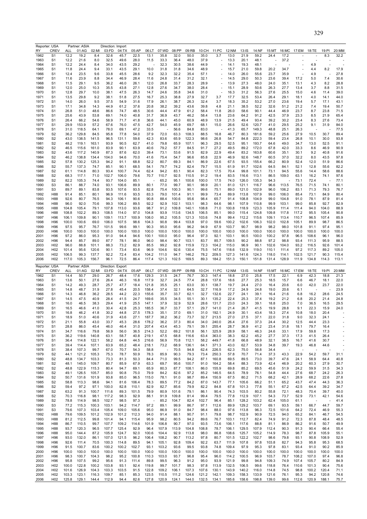| Reporter: USA<br>RY | <b>CREV</b>                        | ALL            | Partner: ASIA<br>01:AG | 02:MI          | Direction: Import<br>03:FD | 04:TX          | 05:AP          | 06:LT                            | 07:WD          | 08:PP          | 09:RB          | 10:CH          | 11:PC          | 12:NM          | 13:IS          | 14:NF          | 15:MT          |                          | 16:MC 17:EM    | 18:TE          | 19:PI          | 20:MM                    |
|---------------------|------------------------------------|----------------|------------------------|----------------|----------------------------|----------------|----------------|----------------------------------|----------------|----------------|----------------|----------------|----------------|----------------|----------------|----------------|----------------|--------------------------|----------------|----------------|----------------|--------------------------|
| 1962                | S <sub>1</sub>                     | 12.2           | 19.2                   | 8.4            | 32.6                       | 45.7           | 22.5           | 13.1                             | 35.8           | 32.0           | 50.0           | 35.0           | 3.7            | 13.0           | 21.9           | 59.2           | 24.4           | 17.2                     |                |                | 8.3            | 32.2                     |
| 1963                | S <sub>1</sub>                     | 12.2           | 21.6                   | 8.0            | 32.5                       | 49.6           | 28.0           | 11.5                             | 33.3           | 36.4           | 48.0           | 37.9           |                | 13.3           | 20.1           | 48.1           |                | 37.2                     |                |                |                |                          |
| 1964<br>1965        | S1<br>S1                           | 12.2<br>11.8   | 24.4<br>24.4           | 8.4<br>9.4     | 34.0<br>33.1               | 43.5<br>43.5   | 29.2<br>29.1   | 10.0                             | 32.3<br>31.8   | 30.5<br>31.8   | 38.6<br>34.6   | 44.9<br>48.9   | ÷,<br>ä,       | 14.1<br>15.7   | 19.3<br>21.0   | 48.1<br>59.8   | 20.2           | 34.7                     |                | 4.9<br>4.4     | 8.2            | 17.9                     |
| 1966                | S <sub>1</sub>                     | 12.4           | 23.5                   | 9.6            | 33.8                       | 45.5           | 28.6           | 9.2                              | 32.3           | 32.2           | 35.4           | 57.1           |                | 14.0           | 26.0           | 55.6           | 23.7           | 35.9                     |                | 4.9            |                | 27.8                     |
| 1967                | S1                                 | 11.6           | 23.9                   | 8.8            | 34.4                       | 46.9           | 28.4           | 11.6                             | 24.8           | 31.4           | 31.2           | 32.1           |                | 14.5           | 29.0           | 50.3           | 23.6           | 39.4                     | 17.2           | 5.0            | 7.4            | 30.6                     |
| 1968<br>1969        | S1<br>S1                           | 11.5<br>12.0   | 29.1<br>25.0           | 9.5<br>10.3    | 36.2<br>35.5               | 46.0<br>43.8   | 26.1<br>27.1   | 12.0<br>12.8                     | 26.8<br>27.6   | 33.7<br>34.7   | 28.3<br>38.0   | 28.9<br>28.4   |                | 13.9<br>15.1   | 27.3<br>28.9   | 48.0<br>50.6   | 24.0<br>26.3   | 35.1<br>27.7             | 13.1<br>13.4   | 4.3<br>3.7     | 8.2<br>8.8     | 28.8<br>31.5             |
| 1970                | S1                                 | 12.8           | 29.7                   | 10.0           | 38.1                       | 47.5           | 26.3           | 14.7                             | 24.6           | 35.8           | 34.6           | 31.0           |                | 16.3           | 31.2           | 56.3           | 27.6           | 25.5                     | 15.0           | 4.6            | 11.4           | 39.0                     |
| 1971                | S1                                 | 13.5           | 29.8                   | 9.2            | 38.1                       | 51.8           | 27.5           | 16.7                             | 25.3           | 38.8           | 27.9           | 32.7           | 3.7            | 17.7           | 32.5           | 53.4           | 26.4           | 29.1                     | 18.1           | 4.0            | 14.1           | 44.0                     |
| 1972                | S1                                 | 14.0           | 26.0                   | 9.5            | 37.5                       | 54.9           | 31.6           | 17.9                             | 26.1           | 38.7           | 26.3           | 32.4           | 3.7            | 18.3           | 35.2           | 53.2           | 27.0           | 23.6                     | 19.4           | 5.7            | 17.1           | 43.1                     |
| 1973<br>1974        | S1<br>S1                           | 17.1<br>26.8   | 34.8<br>51.0           | 14.3<br>48.6   | 44.9<br>86.6               | 61.2<br>74.7   | 37.6<br>48.5   | 20.8<br>30.6                     | 38.2<br>44.4   | 39.2<br>47.9   | 43.6<br>61.2   | 39.8<br>58.4   | 4.8<br>11.8    | 21.1<br>26.0   | 38.5<br>58.6   | 52.2<br>90.1   | 32.6<br>44.4   | 51.2<br>46.9             | 21.2<br>23.7   | 7.4<br>8.7     | 19.4<br>23.8   | 50.7<br>71.5             |
| 1975                | S1                                 | 25.6           | 43.9                   | 53.8           | 69.1                       | 74.0           | 40.8           | 31.7                             | 36.9           | 43.7           | 46.2           | 58.4           | 13.8           | 23.6           | 64.2           | 91.2           | 42.5           | 37.9                     | 23.3           | 8.5            | 21.9           | 65.4                     |
| 1976                | S1                                 | 26.4           | 66.2                   | 54.6           | 58.9                       | 71.7           | 41.8           | 36.6                             | 44.1           | 45.0           | 60.9           | 48.9           | 13.9           | 21.5           | 49.4           | 93.4           | 39.2           | 30.2                     | 23.4           | 8.3            | 27.6           | 73.4                     |
| 1977<br>1978        | S1<br>S1                           | 29.9<br>31.0   | 153.9<br>118.5         | 57.2<br>64.1   | 67.6<br>78.0               | 76.0<br>69.1   | 47.5<br>47.2   | 42.7<br>33.5                     | 54.0           | 45.9<br>56.6   | 69.7<br>84.8   | 68.1<br>83.0   | 15.0           | 26.6<br>41.3   | 52.6<br>65.7   | 120.7<br>149.3 | 41.0<br>48.8   | 29.5<br>25.1             | 25.2<br>26.3   | 9.1            | 31.9           | 84.0<br>77.5             |
| 1979                | S2                                 | 36.2           | 129.8                  | 84.5           | 95.8                       | 77.8           | 54.0           | 37.9                             | 72.0           | 63.3           | 108.3          | 88.5           | 16.8           | 46.7           | 80.3           | 181.6          | 59.2           | 25.6                     | 27.9           | 10.5           | 30.7           | 89.4                     |
| 1980                | S <sub>2</sub>                     | 43.0           | 138.5                  | 141.5          | 96.5                       | 131.1          | 59.6           | 42.3                             | 83.6           | 65.9           | 122.3          | 98.6           | 26.8           | 54.7           | 84.8           | 222.3          | 59.4           | 23.4                     | 26.8           | 10.1           | 30.0           | 93.8                     |
| 1981                | S2<br>S2                           | 48.2<br>46.5   | 119.1<br>115.6         | 163.1<br>161.0 | 93.9                       | 90.5<br>90.1   | 62.7<br>63.9   | 41.0<br>40.6                     | 79.8<br>79.2   | 65.9           | 107.1          | 96.3<br>91.7   | 29.5           | 52.5<br>49.5   | 95.1<br>89.2   | 193.7<br>172.0 | 64.6<br>67.8   | 49.0                     | 34.7           | 13.0<br>8.6    | 52.5<br>46.9   | 91.1<br>90.9             |
| 1982<br>1983        | S2                                 | 43.6           | 117.2                  | 140.9          | 83.9<br>87.3               | 87.6           | 62.0           | 39.4                             | 73.1           | 57.7<br>53.6   | 84.5<br>91.5   | 82.9           | 27.2<br>22.9   | 49.4           | 83.2           | 163.8          | 60.6           | 42.0<br>35.1             | 33.3<br>30.1   | 9.2            | 40.8           | 91.6                     |
| 1984                | S2                                 | 46.2           | 138.8                  | 134.4          | 104.0                      | 94.6           | 70.0           | 41.6                             | 75.4           | 54.7           | 96.6           | 85.8           | 22.9           | 46.9           | 92.6           | 148.7          | 60.5           | 37.0                     | 32.2           | 8.0            | 43.5           | 97.8                     |
| 1985                | S2                                 | 57.8           | 130.2                  | 125.3          | 94.2                       | 91.1           | 68.8           | 52.2                             | 80.7           | 69.3           | 84.1           | 86.9           | 22.6           | 67.5           | 93.5           | 155.4          | 66.2           | 80.9                     | 52.4           | 12.0           | 51.9           | 86.6                     |
| 1986<br>1987        | S2<br>S2                           | 55.7<br>61.1   | 137.3<br>114.8         | 74.7<br>80.3   | 85.1<br>93.4               | 90.1<br>100.7  | 68.5<br>74.4   | 54.1<br>62.4                     | 79.7<br>94.2   | 74.2<br>83.1   | 82.4<br>90.4   | 79.7<br>82.3   | 15.5<br>17.5   | 61.9<br>70.4   | 91.7<br>99.8   | 102.6<br>101.1 | 64.5<br>73.1   | 84.1<br>94.5             | 52.1<br>55.6   | 12.8<br>14.4   | 55.6<br>58.6   | 82.2<br>88.6             |
| 1988                | S2                                 | 68.3           | 117.1                  | 71.0           | 102.7                      | 106.0          | 79.6           | 70.7                             | 110.7          | 92.5           | 110.5          | 91.2           | 19.4           | 83.5           | 116.6          | 113.1          | 86.5           | 109.0                    | 63.1           | 16.2           | 74.1           | 97.6                     |
| 1989                | S2                                 | 82.2           | 105.3                  | 74.4           | 93.7                       | 104.0          | 85.1           |                                  | 65.2           | 95.1           | 100.6          | 100.0          | 17.5           | 74.0           | 126.0          | 135.3          | 94.3           |                          | 73.1           | 72.4           |                | 77.1                     |
| 1990<br>1991        | S3<br>S3                           | 86.1<br>89.7   | 88.7<br>89.1           | 74.0<br>83.8   | 93.1<br>93.5               | 106.6<br>107.6 | 89.9<br>93.5   | 80.1<br>82.8                     | 77.0<br>75.4   | 99.7<br>100.3  | 90.1<br>90.1   | 98.9<br>99.6   | 20.1<br>75.1   | 81.0<br>89.0   | 121.1<br>121.0 | 116.7<br>102.9 | 96.6<br>96.0   | 113.5<br>106.2           | 76.5<br>83.1   | 71.5<br>71.3   | 74.1<br>79.3   | 80.1<br>76.7             |
| 1992                | <b>H88</b>                         | 91.4           | 85.1                   | 80.1           | 96.9                       | 111.6          | 93.5           | 83.3                             | 79.0           | 101.4          | 91.1           | 99.9           | 73.4           | 89.9           | 113.8          | 107.9          | 99.0           | 106.0                    | 85.4           | 73.1           | 84.9           | 80.4                     |
| 1993                | H88                                | 92.6           | 80.7                   | 76.5           | 94.3                       | 106.1          | 90.6           | 90.8                             | 88.4           | 100.6          | 95.6           | 98.4           | 65.7           | 91.4           | 108.8          | 104.9          | 99.0           | 104.8                    | 91.0           | 78.1           | 87.9           | 81.4                     |
| 1994                | H88                                | 96.0           | 92.0                   | 70.6           | 99.3                       | 106.2          | 89.5           | 92.2                             | 92.9           | 102.1          | 103.1          | 98.3           | 64.6           | 98.1           | 107.9          | 110.8          | 99.9           | 103.1                    | 99.0           | 85.8           | 92.7           | 82.9                     |
| 1995<br>1996        | H88<br>H88                         | 104.8<br>108.8 | 105.4<br>102.2         | 79.1<br>89.3   | 107.8<br>108.5             | 113.0<br>114.0 | 93.6<br>97.0   | 98.7<br>104.8                    | 91.2<br>93.9   | 109.8<br>113.6 | 140.1<br>134.5 | 108.8<br>106.5 | 71.0<br>85.1   | 100.8<br>99.0  | 118.9<br>115.4 | 123.3<br>124.8 | 105.9<br>109.8 | 111.4<br>117.8           | 111.4<br>117.2 | 94.0<br>95.5   | 104.0<br>105.4 | 88.9<br>90.8             |
| 1997                | H96                                | 106.1          | 109.8                  | 90.1           | 109.1                      | 113.7          | 100.9          | 108.0                            | 95.2           | 105.5          | 121.3          | 103.6          | 74.8           | 99.4           | 112.2          | 115.6          | 109.1          | 113.4                    | 110.7          | 96.5           | 107.4          | 85.9                     |
| 1998                | H96                                | 100.0          | 100.6                  | 69.0           | 106.0                      | 107.5          | 98.6           | 104.3                            | 90.8           | 99.4           | 103.8          | 97.0           | 59.6           | 100.2          | 102.6          | 106.3          | 102.0          | 102.8                    | 105.1          | 89.9           | 98.7           | 86.5                     |
| 1999<br>2000        | H96<br>H <sub>96</sub>             | 97.5<br>100.0  | 95.7<br>100.0          | 76.7<br>100.0  | 101.5<br>100.0             | 99.6<br>100.0  | 99.1<br>100.0  | 90.3<br>100.0                    | 95.0<br>100.0  | 95.6<br>100.0  | 96.2<br>100.0  | 94.9<br>100.0  | 67.9<br>100.0  | 103.7<br>100.0 | 90.7<br>100.0  | 98.9<br>100.0  | 98.2<br>100.0  | 98.0<br>100.0            | 101.8<br>100.0 | 91.1<br>100.0  | 97.4<br>100.0  | 95.1<br>100.0            |
| 2001                | H <sub>96</sub>                    | 97.2           | 86.0                   | 95.3           | 91.0                       | 94.4           | 94.6           | 100.1                            | 100.0          | 95.0           | 96.4           | 97.3           | 92.1           | 103.1          | 90.5           | 100.0          | 100.2          | 97.8                     | 96.5           | 108.6          | 96.1           | 96.0                     |
| 2002                | H96                                | 94.4           | 85.7                   | 89.0           | 87.7                       | 78.1           | 86.0           | 96.0                             | 98.4           | 90.7           | 103.1          | 83.7           | 85.7           | 109.5          | 90.2           | 88.8           | 97.2           | 98.8                     | 93.4           | 111.3          | 95.9           | 88.5                     |
| 2003                | H <sub>02</sub><br>H <sub>02</sub> | 96.0<br>101.4  | 88.8<br>95.6           | 101.1<br>120.6 | 88.3<br>90.1               | 73.2<br>73.4   | 82.9<br>83.6   | 85.5<br>96.9                     | 99.2<br>104.6  | 92.8<br>92.6   | 115.9<br>130.4 | 72.3<br>75.5   | 104.2<br>147.6 | 115.0<br>118.6 | 96.9<br>132.9  | 90.1<br>119.0  | 102.6<br>110.1 | 104.0<br>111.4           | 93.2<br>97.2   | 116.5<br>117.3 | 92.6<br>89.2   | 101.4<br>105.0           |
| 2004<br>2005        | H <sub>02</sub>                    | 106.5          | 99.3                   | 137.7          | 92.2                       | 72.4           | 83.4           | 104.2                            | 111.0          | 94.7           | 146.2          | 78.2           | 209.5          | 127.3          | 141.6          | 124.3          | 118.0          | 114.1                    | 102.5          | 121.7          | 90.3           | 115.4                    |
| 2006                | H <sub>02</sub>                    | 117.0          | 105.3                  | 156.7          | 96.1                       | 72.5           | 86.4           | 117.4                            | 121.3          | 102.5          | 169.5          | 89.3           | 184.2          | 151.3          | 150.1          | 151.8          | 131.4          | 128.9                    | 111.9          | 134.8          | 114.3          | 113.1                    |
|                     |                                    |                |                        |                |                            |                |                |                                  |                |                |                |                |                |                |                |                |                |                          |                |                |                |                          |
|                     | Reporter: USA                      |                | Partner: ASIA          |                | Direction:                 | Export         |                |                                  |                |                |                |                |                |                |                |                |                |                          |                |                |                |                          |
| RY                  | CREV                               | ALL            | 01:AG                  | 02:MI          | 03:FD                      | 04:TX          | 05:AP          | 06:LT                            | 07:WD          | 08:PP          | 09:RB          | 10:CH          | 11:PC          | 12:NM          | 13:IS          | 14:NF          | 15:MT          | 16:MC                    | 17:EM          | 18:TE          | 19:PI          | 20:MM                    |
| 1962                | S1                                 | 14.4           | 50.7                   | 29.0           | 26.7                       | 48.4           | 17.6           | 129.3                            | 31.5           | 24.7           | 76.7           | 30.3           | 147.4          | 18.8           | 27.0           | 25.8           | 17.5           | 22.1                     | 6.9            | 42.3           | 18.8           | 21.3                     |
| 1963<br>1964        | S1<br>S1                           | 13.6<br>14.2   | 50.1<br>49.3           | 27.6<br>28.7   | 26.4<br>25.7               | 46.3<br>47.7   | 16.8<br>18.4   | 117.9<br>121.8                   | 32.7<br>35.5   | 24.5<br>25.1   | 77.4<br>63.0   | 28.8<br>30.1   | 137.6<br>138.7 | 18.6<br>19.7   | 27.7<br>24.4   | 25.3<br>27.0   | 18.5<br>16.4   | 15.7<br>20.6             | 6.6<br>6.0     | 46.7<br>42.0   | 18.1<br>23.7   | 22.0<br>22.0             |
| 1965                | S <sub>1</sub>                     | 14.8           | 48.7                   | 31.9           | 27.8                       | 45.4           | 20.5           | 158.4                            | 37.4           | 32.1           | 64.5           | 32.7           | 116.9          | 17.2           | 24.9           | 24.8           | 19.0           | 20.6                     | 6.1            |                |                | 23.9                     |
| 1966                | S1                                 | 14.3           | 46.8                   | 36.2           | 28.5                       | 44.2           | 22.3           | 155.6                            | 35.7           | 33.7           | 62.1           | 32.7           | 132.6          | 22.7           | 24.1           | 39.1           | 16.4           | 21.6                     | 6.8            | 16.2           | 28.6           | 24.5                     |
| 1967<br>1968        | S1<br>S1                           | 14.5<br>16.0   | 47.5<br>46.5           | 40.9<br>38.3   | 28.4<br>29.4               | 41.5<br>41.9   | 24.7<br>25.5   | 169.6<br>147.1                   | 35.5<br>37.9   | 34.5<br>32.9   | 55.1<br>52.9   | 30.1<br>28.6   | 135.2<br>131.7 | 22.4<br>23.0   | 25.3<br>24.3   | 37.4<br>39.1   | 19.2<br>18.8   | 21.2<br>25.0             | 6.8<br>7.0     | 20.2<br>36.5   | 21.4<br>16.5   | 24.8<br>29.5             |
| 1969                | S1                                 | 16.5           | 46.6                   | 41.0           | 30.4                       | 42.8           | 25.3           | 185.5                            | 36.7           | 33.7           | 57.1           | 29.7           | 141.0          | 21.4           | 26.7           | 41.5           | 19.9           | 28.8                     | 9.1            | 22.3           | 15.9           | 24.0                     |
| 1970                | S1                                 | 16.8           | 46.2                   | 41.8           | 30.2                       | 44.8           | 27.5           | 178.3                            | 35.1           | 37.0           | 69.1           | 31.0           | 192.1          | 24.9           | 30.1           | 43.4           | 18.3           | 27.4                     | 10.8           | 18.0           | 20.4           |                          |
| 1971<br>1972        | S1<br>S1                           | 18.9           | 51.0                   | 40.6<br>43.0   | 31.9<br>33.7               | 43.6<br>45.3   | 27.1<br>28.6   | 187.7                            | 38.2<br>36.2   | 36.2<br>37.3   | 73.7           | 32.7<br>34.0   | 213.5<br>240.0 | 27.0           | 27.5           | 37.1<br>37.3   | 22.0<br>24.4   | 31.8                     | 9.0            | 32.3           | 24.1<br>23.3   |                          |
| 1973                | S1                                 | 21.1<br>28.8   | 55.8<br>86.0           | 45.4           | 46.0                       | 46.4           | 31.0           | 178.2<br>207.4                   | 43.4           | 45.3           | 80.4<br>79.1   | 39.1           | 255.4          | 26.4<br>28.7   | 27.6<br>36.9   | 41.2           | 23.4           | 30.2<br>31.8             | 12.5<br>18.1   | 44.4<br>79.7   | 16.4           |                          |
| 1974                | S <sub>1</sub>                     | 34.7           | 116.6                  | 79.8           | 56.9                       | 56.0           | 36.5           | 214.3                            | 52.2           | 69.2           | 101.8          | 56.1           | 325.9          | 28.9           | 58.1           | 46.3           | 24.6           | 33.1                     | 17.9           | 59.8           | 17.3           | $\overline{\phantom{a}}$ |
| 1975                | S1                                 | 36.2           | 119.6                  | 140.8          | 63.1                       | 58.7           | 40.8           | 219.1                            | 47.5           | 68.8           | 116.6          | 63.4           | 363.0          | 38.3           | 62.2           | 45.2           | 27.7           | 37.3                     | 17.3           | 41.5           | 26.4           |                          |
| 1976<br>1977        | S1<br>S <sub>1</sub>               | 36.4<br>39.4   | 114.8<br>114.4         | 122.1<br>107.1 | 58.2<br>63.9               | 64.8<br>65.2   | 44.5<br>48.4   | 216.6<br>218.1                   | 56.9<br>73.2   | 70.8<br>68.9   | 112.1<br>136.1 | 58.2<br>64.1   | 449.7<br>371.3 | 41.8<br>43.0   | 66.8<br>62.7   | 48.9<br>53.9   | 32.1<br>34.8   | 38.5<br>39.7             | 16.7<br>19.3   | 41.6<br>46.8   | 30.7<br>44.6   |                          |
| 1978                | S1                                 | 38.4           | 107.3                  | 99.7           | 67.0                       | 70.7           | 54.3           | 58.8                             |                | 70.5           | 94.8           | 62.4           | 226.5          | 62.3           | 75.0           | 56.8           | 34.4           | $\overline{\phantom{a}}$ | J.             | ÷,             |                |                          |
| 1979                | S <sub>2</sub>                     | 44.1           | 121.2                  | 105.3          | 75.3                       | 78.7           | 50.9           | 78.3                             | 85.9           | 90.3           | 79.3           | 73.4           | 250.3          | 57.8           | 70.7           | 71.4           | 37.3           | 43.3                     | 22.9           | 54.2           | 59.7           | 31.1                     |
| 1980<br>1981        | S <sub>2</sub><br>S <sub>2</sub>   | 48.8<br>48.1   | 134.7<br>145.0         | 103.3<br>109.7 | 73.3<br>80.7               | 81.3<br>85.9   | 50.3<br>67.9   | 84.4<br>63.3                     | 71.0<br>69.7   | 99.5<br>95.6   | 94.2<br>100.7  | 87.1<br>91.0   | 160.8<br>164.2 | 69.5<br>58.4   | 89.5<br>88.3   | 73.0<br>73.9   | 39.7<br>42.4   | 47.6<br>46.9             | 24.1<br>20.2   | 58.9<br>60.3   | 64.4<br>27.9   | 40.8<br>30.7             |
| 1982                | S <sub>2</sub>                     | 48.8           | 122.9                  | 115.3          | 80.4                       | 94.7           | 69.1           | 65.9                             | 80.3           | 87.7           | 108.1          | 86.0           | 155.9          | 69.8           | 85.2           | 69.5           | 45.6           | 51.9                     | 24.2           | 59.9           | 31.5           | 34.3                     |
| 1983                | S <sub>2</sub>                     | 49.1           | 126.5                  | 105.7          | 85.0                       | 90.8           | 75.0           | 79.9                             | 84.2           | 82.6           | 97.2           | 85.2           | 146.5          | 64.5           | 78.9           | 76.1           | 54.8           | 44.4                     | 27.6           | 68.7           | 24.2           | 26.3                     |
| 1984<br>1985        | S <sub>2</sub><br>S <sub>2</sub>   | 50.7<br>58.8   | 131.6<br>113.3         | 101.9<br>98.6  | 93.8<br>94.1               | 85.0<br>81.6   | 96.5<br>106.4  | 115.0<br>78.3                    | 78.1<br>89.5   | 91.0<br>77.2   | 98.7<br>84.2   | 89.4<br>87.0   | 150.9<br>143.7 | 67.5<br>77.1   | 80.2<br>105.6  | 71.5<br>66.2   | 68.2<br>51.1   | 42.1<br>65.2             | 28.9<br>43.7   | 68.2<br>47.4   | 22.6<br>44.3   | 27.8<br>36.3             |
| 1986                | S <sub>2</sub>                     | 59.4           | 97.2                   | 97.1           | 100.0                      | 82.8           | 110.1          | 82.9                             | 82.7           | 85.6           | 79.9           | 82.2           | 84.8           | 67.8           | 101.3          | 77.8           | 55.1           | 67.2                     | 42.5           | 64.4           | 39.2           | 34.7                     |
| 1987                | S <sub>2</sub>                     | 63.2           | 91.3                   | 100.7          | 111.6                      | 89.3           | 101.5          | 79.9                             | 80.9           | 101.6          | 79.1           | 86.1           | 90.4           | 74.3           | 103.5          | 80.2           | 55.8           | 72.1                     | 48.3           | 70.4           | 39.7           | 40.0                     |
| 1988                | S <sub>2</sub>                     | 70.3           | 116.8                  | 98.1           | 117.2                      | 98.3           | 92.9           | 88.1<br>$\overline{\phantom{a}}$ | 91.9           | 109.8          | 81.4           | 99.4           | 79.5           | 77.8           | 112.9          | 107.1          | 54.3           | 73.7                     | 52.9           | 73.1<br>٠.     | 42.1           | 54.6                     |
| 1989<br>1990        | S <sub>2</sub><br>S <sub>3</sub>   | 78.8<br>77.2   | 114.9<br>115.3         | 98.5<br>100.3  | 102.7<br>103.1             | 98.5<br>94.2   | 97.3<br>114.7  | 97.2                             | 85.2<br>89.1   | 104.7<br>99.9  | 82.4<br>86.7   | 102.7<br>97.1  | 96.4<br>112.6  | 85.1<br>89.9   | 128.2<br>129.2 | 103.2<br>103.7 | 62.4<br>69.1   | 105.0<br>93.5            | 61.1<br>59.1   | 66.7           | 44.7           | 41.4<br>59.7             |
| 1991                | S <sub>3</sub>                     | 79.6           | 107.3                  | 103.4          | 105.4                      | 109.0          | 105.6          | 95.0                             | 86.9           | 91.0           | 84.7           | 98.4           | 88.0           | 97.6           | 113.8          | 96.3           | 72.5           | 101.6                    | 64.2           | 72.4           | 46.9           | 55.3                     |
| 1992                | H88                                | 79.6           | 109.5                  | 101.2          | 102.9                      | 101.2          | 112.3          | 94.0                             | 91.4           | 88.1           | 90.7           | 91.1           | 79.8           | 98.7           | 102.9          | 90.9           | 72.5           | 94.0                     | 65.2           | 84.1           | 46.7           | 54.5                     |
| 1993<br>1994        | H88<br>H88                         | 81.2<br>86.7   | 112.5<br>110.5         | 99.8<br>99.7   | 101.4<br>107.7             | 94.1<br>109.2  | 115.4<br>114.6 | 95.9<br>101.9                    | 98.2<br>106.8  | 80.5<br>90.7   | 94.2<br>97.0   | 89.6<br>93.5   | 76.7<br>73.6   | 103.1<br>106.1 | 112.7<br>117.6 | 82.4<br>88.8   | 74.9<br>81.1   | 91.2<br>86.9             | 72.3<br>86.2   | 87.8<br>91.6   | 48.4<br>50.7   | 48.5<br>49.9             |
| 1995                | H88                                | 93.7           | 120.3                  | 96.5           | 107.7                      | 125.4          | 92.9           | 96.4                             | 107.9          | 113.9          | 104.8          | 108.8          | 78.7           | 106.1          | 129.5          | 107.9          | 112.4          | 90.3                     | 91.3           | 90.4           | 66.4           | 55.4                     |
| 1996                | H88                                | 95.0           | 144.4                  | 87.2           | 105.9                      | 124.7          | 92.0           | 100.6                            | 104.4          | 92.9           | 113.8          | 98.0           | 86.8           | 108.6          | 125.7          | 105.2          | 114.9          | 78.3                     | 98.7           | 87.8           | 105.9          | 55.1                     |
| 1997                | H96                                | 93.0           | 132.0                  | 86.1           | 107.0                      | 121.5          | 96.2           | 106.4                            | 108.2          | 90.7           | 113.2          | 97.8           | 80.7           | 101.5          | 122.2          | 102.7          | 98.6           | 79.8                     | 93.1           | 90.8           | 108.9          | 52.9                     |
| 1998<br>1999        | H96<br>H96                         | 92.6<br>91.5   | 111.4<br>100.7         | 70.5<br>83.6   | 100.3<br>100.2             | 114.8<br>100.2 | 89.5<br>102.7  | 94.1<br>93.1                     | 105.1<br>103.2 | 92.8<br>93.6   | 109.4<br>99.5  | 92.2<br>93.8   | 63.7<br>74.8   | 111.9<br>109.4 | 107.8<br>97.9  | 97.8<br>95.3   | 103.8<br>97.8  | 82.7<br>83.1             | 94.3<br>93.4   | 95.8<br>91.0   | 95.3<br>90.2   | 68.5<br>85.9             |
| 2000                | H96                                | 100.0          | 100.0                  | 100.0          | 100.0                      | 100.0          | 100.0          | 100.0                            | 100.0          | 100.0          | 100.0          | 100.0          | 100.0          | 100.0          | 100.0          | 100.0          | 100.0          | 100.0                    | 100.0          | 100.0          | 100.0          | 100.0                    |
| 2001                | H96                                | 98.3           | 100.7                  | 104.3          | 98.2                       | 95.2           | 100.8          | 110.3                            | 103.0          | 93.7           | 96.8           | 95.4           | 96.0           | 114.2          | 100.5          | 96.9           | 103.7          | 78.7                     | 108.2          | 107.0          | 97.4           | 96.8                     |
| 2002<br>2003        | H96<br>H <sub>02</sub>             | 95.8<br>100.0  | 107.5<br>122.8         | 99.2<br>100.2  | 95.6<br>103.8              | 91.3<br>93.1   | 111.4<br>92.4  | 89.8<br>119.8                    | 99.5<br>99.7   | 96.3<br>101.7  | 91.2<br>98.3   | 95.0<br>97.8   | 93.9<br>113.9  | 121.9<br>132.5 | 99.8<br>106.5  | 94.8<br>99.6   | 109.3<br>118.8 | 74.9<br>76.4             | 107.4<br>110.6 | 105.7<br>101.3 | 80.2<br>90.4   | 84.9<br>75.6             |
| 2004                | H <sub>02</sub>                    | 101.6          | 126.9                  | 104.3          | 103.3                      | 103.5          | 91.5           | 122.8                            | 109.2          | 106.1          | 107.3          | 107.6          | 130.1          | 143.9          | 140.2          | 116.0          | 114.8          | 74.5                     | 98.8           | 100.2          | 120.4          | 71.1                     |
| 2005<br>2006        | H <sub>02</sub><br>H <sub>02</sub> | 103.3<br>125.8 | 123.1<br>129.1         | 116.3<br>144.4 | 109.7<br>112.9             | 85.1<br>94.4   | 85.3<br>82.6   | 123.5<br>127.8                   | 110.5<br>120.9 | 111.2<br>124.1 | 124.6<br>144.0 | 121.2<br>132.5 | 142.1<br>134.1 | 109.3<br>185.6 | 158.3<br>158.6 | 133.9<br>198.8 | 121.6<br>139.0 | 76.1<br>99.6             | 95.3<br>112.6  | 94.2<br>120.9  | 120.8<br>188.1 | 74.6<br>75.7             |